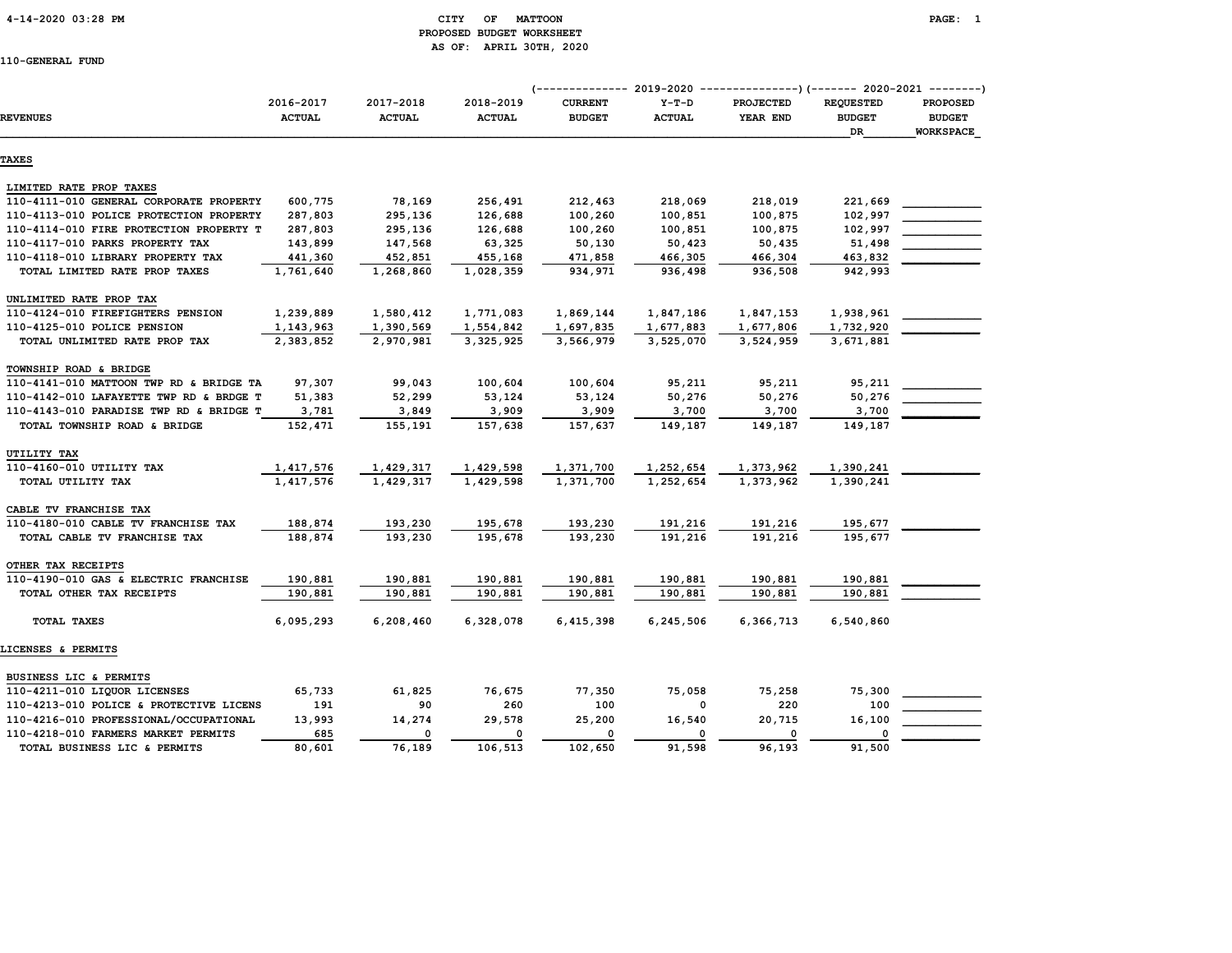# 4-14-2020 03:28 PM CITY OF MATTOON PAGE: 1 PROPOSED BUDGET WORKSHEET AS OF: APRIL 30TH, 2020

|                                         |                            |                            |                            | (-------------- 2019-2020       |                          | ---------------) (------- 2020-2021 --------) |                                         |                                                      |
|-----------------------------------------|----------------------------|----------------------------|----------------------------|---------------------------------|--------------------------|-----------------------------------------------|-----------------------------------------|------------------------------------------------------|
| <b>REVENUES</b>                         | 2016-2017<br><b>ACTUAL</b> | 2017-2018<br><b>ACTUAL</b> | 2018-2019<br><b>ACTUAL</b> | <b>CURRENT</b><br><b>BUDGET</b> | $Y-T-D$<br><b>ACTUAL</b> | PROJECTED<br>YEAR END                         | <b>REQUESTED</b><br><b>BUDGET</b><br>DR | <b>PROPOSED</b><br><b>BUDGET</b><br><b>WORKSPACE</b> |
| <b>TAXES</b>                            |                            |                            |                            |                                 |                          |                                               |                                         |                                                      |
| LIMITED RATE PROP TAXES                 |                            |                            |                            |                                 |                          |                                               |                                         |                                                      |
| 110-4111-010 GENERAL CORPORATE PROPERTY | 600,775                    | 78,169                     | 256,491                    | 212,463                         | 218,069                  | 218,019                                       | 221,669                                 |                                                      |
| 110-4113-010 POLICE PROTECTION PROPERTY | 287,803                    | 295,136                    | 126,688                    | 100,260                         | 100,851                  | 100,875                                       | 102,997                                 |                                                      |
| 110-4114-010 FIRE PROTECTION PROPERTY T | 287,803                    | 295,136                    | 126,688                    | 100,260                         | 100,851                  | 100,875                                       | 102,997                                 |                                                      |
| 110-4117-010 PARKS PROPERTY TAX         | 143,899                    | 147,568                    | 63,325                     | 50,130                          | 50,423                   | 50,435                                        | 51,498                                  |                                                      |
| 110-4118-010 LIBRARY PROPERTY TAX       | 441,360                    | 452,851                    | 455,168                    | 471,858                         | 466,305                  | 466,304                                       | 463,832                                 |                                                      |
| TOTAL LIMITED RATE PROP TAXES           | 1,761,640                  | 1,268,860                  | 1,028,359                  | 934,971                         | 936,498                  | 936,508                                       | 942,993                                 |                                                      |
| UNLIMITED RATE PROP TAX                 |                            |                            |                            |                                 |                          |                                               |                                         |                                                      |
| 110-4124-010 FIREFIGHTERS PENSION       | 1,239,889                  | 1,580,412                  | 1,771,083                  | 1,869,144                       | 1,847,186                | 1,847,153                                     | 1,938,961                               |                                                      |
| 110-4125-010 POLICE PENSION             | 1,143,963                  | 1,390,569                  | 1,554,842                  | 1,697,835                       | 1,677,883                | 1,677,806                                     | 1,732,920                               |                                                      |
| TOTAL UNLIMITED RATE PROP TAX           | 2,383,852                  | 2,970,981                  | 3,325,925                  | 3,566,979                       | 3,525,070                | 3,524,959                                     | 3,671,881                               |                                                      |
| TOWNSHIP ROAD & BRIDGE                  |                            |                            |                            |                                 |                          |                                               |                                         |                                                      |
| 110-4141-010 MATTOON TWP RD & BRIDGE TA | 97,307                     | 99,043                     | 100,604                    | 100,604                         | 95,211                   | 95,211                                        | 95,211                                  |                                                      |
| 110-4142-010 LAFAYETTE TWP RD & BRDGE T | 51,383                     | 52,299                     | 53,124                     | 53,124                          | 50,276                   | 50,276                                        | 50,276                                  |                                                      |
| 110-4143-010 PARADISE TWP RD & BRIDGE T | 3,781                      | 3,849                      | 3,909                      | 3,909                           | 3,700                    | 3,700                                         | 3,700                                   |                                                      |
| TOTAL TOWNSHIP ROAD & BRIDGE            | 152,471                    | 155,191                    | 157,638                    | 157,637                         | 149,187                  | 149,187                                       | 149,187                                 |                                                      |
| UTILITY TAX                             |                            |                            |                            |                                 |                          |                                               |                                         |                                                      |
| 110-4160-010 UTILITY TAX                | 1,417,576                  | 1,429,317                  | 1,429,598                  | 1,371,700                       | 1,252,654                | 1,373,962                                     | 1,390,241                               |                                                      |
| TOTAL UTILITY TAX                       | 1,417,576                  | 1,429,317                  | 1,429,598                  | 1,371,700                       | 1,252,654                | 1,373,962                                     | 1,390,241                               |                                                      |
| CABLE TV FRANCHISE TAX                  |                            |                            |                            |                                 |                          |                                               |                                         |                                                      |
| 110-4180-010 CABLE TV FRANCHISE TAX     | 188,874                    | 193,230                    | 195,678                    | 193,230                         | 191,216                  | 191,216                                       | 195,677                                 |                                                      |
| TOTAL CABLE TV FRANCHISE TAX            | 188,874                    | 193,230                    | 195,678                    | 193,230                         | 191,216                  | 191,216                                       | 195,677                                 |                                                      |
| OTHER TAX RECEIPTS                      |                            |                            |                            |                                 |                          |                                               |                                         |                                                      |
| 110-4190-010 GAS & ELECTRIC FRANCHISE   | 190,881                    | 190,881                    | 190,881                    | 190,881                         | 190,881                  | 190,881                                       | 190,881                                 |                                                      |
| TOTAL OTHER TAX RECEIPTS                | 190,881                    | 190,881                    | 190,881                    | 190,881                         | 190,881                  | 190,881                                       | 190,881                                 |                                                      |
| TOTAL TAXES                             | 6,095,293                  | 6,208,460                  | 6,328,078                  | 6,415,398                       | 6,245,506                | 6,366,713                                     | 6,540,860                               |                                                      |
| LICENSES & PERMITS                      |                            |                            |                            |                                 |                          |                                               |                                         |                                                      |
| BUSINESS LIC & PERMITS                  |                            |                            |                            |                                 |                          |                                               |                                         |                                                      |
| 110-4211-010 LIQUOR LICENSES            | 65,733                     | 61,825                     | 76,675                     | 77,350                          | 75,058                   | 75,258                                        | 75,300                                  |                                                      |
| 110-4213-010 POLICE & PROTECTIVE LICENS | 191                        | 90                         | 260                        | 100                             | 0                        | 220                                           | 100                                     |                                                      |
| 110-4216-010 PROFESSIONAL/OCCUPATIONAL  | 13,993                     | 14,274                     | 29,578                     | 25,200                          | 16,540                   | 20,715                                        | 16,100                                  |                                                      |
| 110-4218-010 FARMERS MARKET PERMITS     | 685                        | 0                          | $\mathbf 0$                | $\mathbf 0$                     | 0                        | 0                                             |                                         |                                                      |
| TOTAL BUSINESS LIC & PERMITS            | 80,601                     | 76,189                     | 106,513                    | 102,650                         | 91,598                   | 96,193                                        | 91,500                                  |                                                      |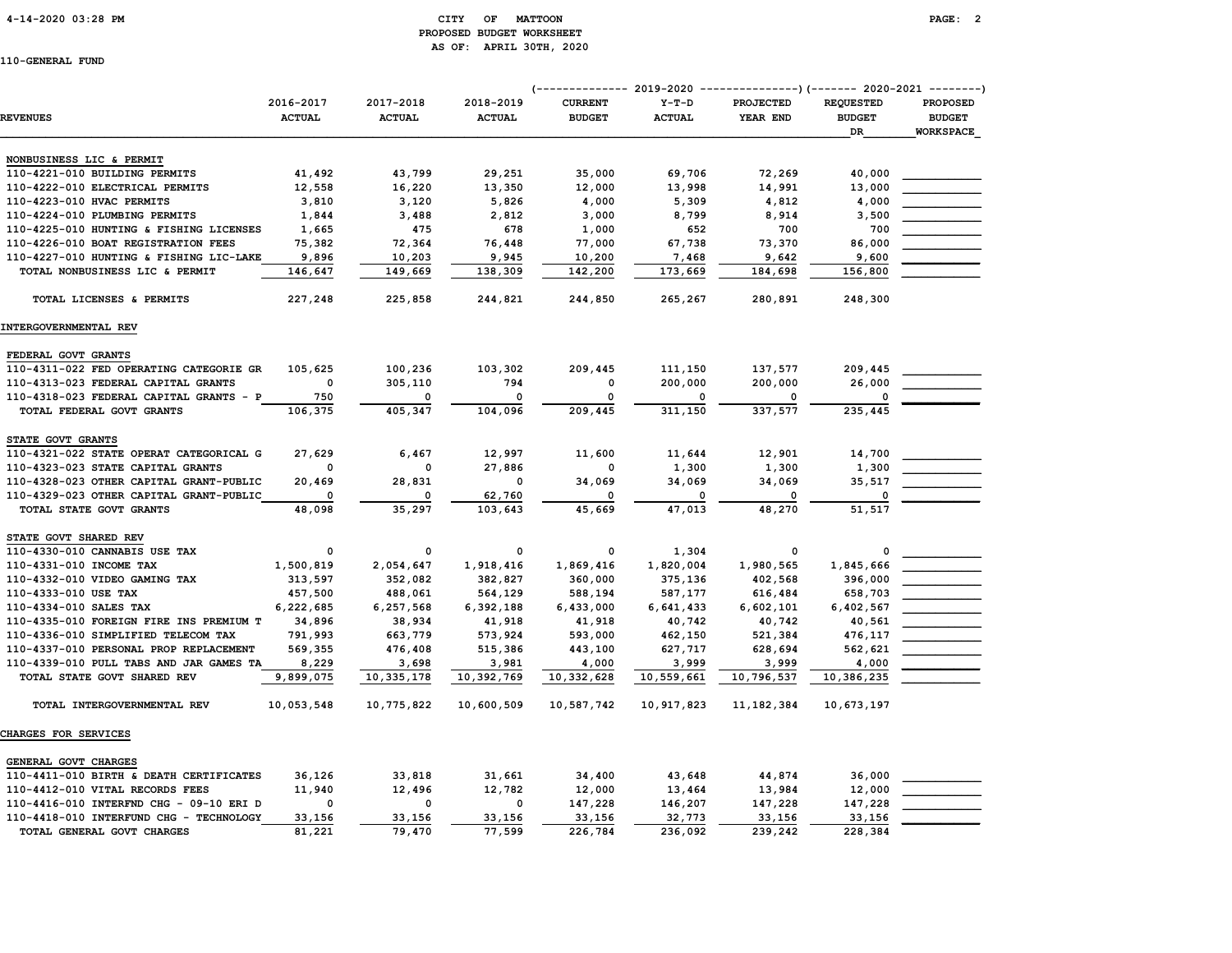# 4-14-2020 03:28 PM CITY OF MATTOON PAGE: 2 PROPOSED BUDGET WORKSHEET AS OF: APRIL 30TH, 2020

| <b>REVENUES</b>                         | 2016-2017<br><b>ACTUAL</b> | 2017-2018<br><b>ACTUAL</b> | 2018-2019<br><b>ACTUAL</b> | (-------------- 2019-2020<br><b>CURRENT</b><br><b>BUDGET</b> | $Y-T-D$<br><b>ACTUAL</b> | ----------------) (------- 2020-2021 ---------<br><b>PROJECTED</b><br>YEAR END | <b>REQUESTED</b><br><b>BUDGET</b><br><b>DR</b> | <b>PROPOSED</b><br><b>BUDGET</b><br><b>WORKSPACE</b> |
|-----------------------------------------|----------------------------|----------------------------|----------------------------|--------------------------------------------------------------|--------------------------|--------------------------------------------------------------------------------|------------------------------------------------|------------------------------------------------------|
| NONBUSINESS LIC & PERMIT                |                            |                            |                            |                                                              |                          |                                                                                |                                                |                                                      |
| 110-4221-010 BUILDING PERMITS           | 41,492                     | 43,799                     | 29,251                     | 35,000                                                       | 69,706                   | 72,269                                                                         | 40,000                                         |                                                      |
| 110-4222-010 ELECTRICAL PERMITS         | 12,558                     | 16,220                     | 13,350                     | 12,000                                                       | 13,998                   | 14,991                                                                         | 13,000                                         |                                                      |
| 110-4223-010 HVAC PERMITS               | 3,810                      | 3,120                      | 5,826                      | 4,000                                                        | 5,309                    | 4,812                                                                          | 4,000                                          |                                                      |
| 110-4224-010 PLUMBING PERMITS           | 1,844                      | 3,488                      | 2,812                      | 3,000                                                        | 8,799                    | 8,914                                                                          | 3,500                                          |                                                      |
| 110-4225-010 HUNTING & FISHING LICENSES | 1,665                      | 475                        | 678                        | 1,000                                                        | 652                      | 700                                                                            | 700                                            |                                                      |
| 110-4226-010 BOAT REGISTRATION FEES     | 75,382                     | 72,364                     | 76,448                     | 77,000                                                       | 67,738                   | 73,370                                                                         | 86,000                                         |                                                      |
| 110-4227-010 HUNTING & FISHING LIC-LAKE | 9,896                      | 10,203                     | 9,945                      | 10,200                                                       | 7,468                    | 9,642                                                                          | 9,600                                          |                                                      |
| TOTAL NONBUSINESS LIC & PERMIT          | 146,647                    | 149,669                    | 138,309                    | 142,200                                                      | 173,669                  | 184,698                                                                        | 156,800                                        |                                                      |
| TOTAL LICENSES & PERMITS                | 227,248                    | 225,858                    | 244,821                    | 244,850                                                      | 265,267                  | 280,891                                                                        | 248,300                                        |                                                      |
| INTERGOVERNMENTAL REV                   |                            |                            |                            |                                                              |                          |                                                                                |                                                |                                                      |
| FEDERAL GOVT GRANTS                     |                            |                            |                            |                                                              |                          |                                                                                |                                                |                                                      |
| 110-4311-022 FED OPERATING CATEGORIE GR | 105,625                    | 100,236                    | 103,302                    | 209,445                                                      | 111,150                  | 137,577                                                                        | 209,445                                        |                                                      |
| 110-4313-023 FEDERAL CAPITAL GRANTS     | $\mathbf 0$                | 305,110                    | 794                        | $\Omega$                                                     | 200,000                  | 200,000                                                                        | 26,000                                         |                                                      |
| 110-4318-023 FEDERAL CAPITAL GRANTS - P | 750                        | 0                          | $\mathbf 0$                | $\mathbf 0$                                                  | $\Omega$                 | 0                                                                              |                                                |                                                      |
| TOTAL FEDERAL GOVT GRANTS               | 106,375                    | 405,347                    | 104,096                    | 209,445                                                      | 311,150                  | 337,577                                                                        | 235,445                                        |                                                      |
| STATE GOVT GRANTS                       |                            |                            |                            |                                                              |                          |                                                                                |                                                |                                                      |
| 110-4321-022 STATE OPERAT CATEGORICAL G | 27,629                     | 6,467                      | 12,997                     | 11,600                                                       | 11,644                   | 12,901                                                                         | 14,700                                         |                                                      |
| 110-4323-023 STATE CAPITAL GRANTS       | $\Omega$                   | <sup>0</sup>               | 27,886                     |                                                              | 1,300                    | 1,300                                                                          | 1,300                                          |                                                      |
| 110-4328-023 OTHER CAPITAL GRANT-PUBLIC | 20,469                     | 28,831                     | 0                          | 34,069                                                       | 34,069                   | 34,069                                                                         | 35,517                                         |                                                      |
| 110-4329-023 OTHER CAPITAL GRANT-PUBLIC |                            |                            | 62,760                     |                                                              | $\Omega$                 |                                                                                |                                                |                                                      |
| TOTAL STATE GOVT GRANTS                 | 48,098                     | 35,297                     | 103,643                    | 45,669                                                       | 47,013                   | 48,270                                                                         | 51,517                                         |                                                      |
| STATE GOVT SHARED REV                   |                            |                            |                            |                                                              |                          |                                                                                |                                                |                                                      |
| 110-4330-010 CANNABIS USE TAX           | 0                          | 0                          | 0                          | 0                                                            | 1,304                    | 0                                                                              | 0                                              |                                                      |
| 110-4331-010 INCOME TAX                 | 1,500,819                  | 2,054,647                  | 1,918,416                  | 1,869,416                                                    | 1,820,004                | 1,980,565                                                                      | 1,845,666                                      |                                                      |
| 110-4332-010 VIDEO GAMING TAX           | 313,597                    | 352,082                    | 382,827                    | 360,000                                                      | 375,136                  | 402,568                                                                        | 396,000                                        |                                                      |
| 110-4333-010 USE TAX                    | 457,500                    | 488,061                    | 564,129                    | 588,194                                                      | 587,177                  | 616,484                                                                        | 658,703                                        |                                                      |
| 110-4334-010 SALES TAX                  | 6,222,685                  | 6,257,568                  | 6,392,188                  | 6,433,000                                                    | 6,641,433                | 6,602,101                                                                      | 6,402,567                                      |                                                      |
| 110-4335-010 FOREIGN FIRE INS PREMIUM T | 34,896                     | 38,934                     | 41,918                     | 41,918                                                       | 40,742                   | 40,742                                                                         | 40,561                                         |                                                      |
| 110-4336-010 SIMPLIFIED TELECOM TAX     | 791,993                    | 663,779                    | 573,924                    | 593,000                                                      | 462,150                  | 521,384                                                                        | 476,117                                        |                                                      |
| 110-4337-010 PERSONAL PROP REPLACEMENT  | 569,355                    | 476,408                    | 515,386                    | 443,100                                                      | 627,717                  | 628,694                                                                        | 562,621                                        |                                                      |
| 110-4339-010 PULL TABS AND JAR GAMES TA | 8,229                      | 3,698                      | 3,981                      | 4,000                                                        | 3,999                    | 3,999                                                                          | 4,000                                          |                                                      |
| TOTAL STATE GOVT SHARED REV             | 9,899,075                  | 10,335,178                 | 10,392,769                 | 10,332,628                                                   | 10,559,661               | 10,796,537                                                                     | 10,386,235                                     |                                                      |
| TOTAL INTERGOVERNMENTAL REV             | 10,053,548                 | 10,775,822                 | 10,600,509                 | 10,587,742                                                   | 10,917,823               | 11, 182, 384                                                                   | 10,673,197                                     |                                                      |
| CHARGES FOR SERVICES                    |                            |                            |                            |                                                              |                          |                                                                                |                                                |                                                      |
| GENERAL GOVT CHARGES                    |                            |                            |                            |                                                              |                          |                                                                                |                                                |                                                      |
| 110-4411-010 BIRTH & DEATH CERTIFICATES | 36,126                     | 33,818                     | 31,661                     | 34,400                                                       | 43,648                   | 44,874                                                                         | 36,000                                         |                                                      |
| 110-4412-010 VITAL RECORDS FEES         | 11,940                     | 12,496                     | 12,782                     | 12,000                                                       | 13,464                   | 13,984                                                                         | 12,000                                         |                                                      |
| 110-4416-010 INTERFND CHG - 09-10 ERI D | 0                          | 0                          | 0                          | 147,228                                                      | 146,207                  | 147,228                                                                        | 147,228                                        |                                                      |
| 110-4418-010 INTERFUND CHG - TECHNOLOGY | 33,156                     | 33,156                     | 33,156                     | 33,156                                                       | 32,773                   | 33,156                                                                         | 33,156                                         |                                                      |
| TOTAL GENERAL GOVT CHARGES              | 81,221                     | 79,470                     | 77,599                     | 226,784                                                      | 236,092                  | 239,242                                                                        | 228,384                                        |                                                      |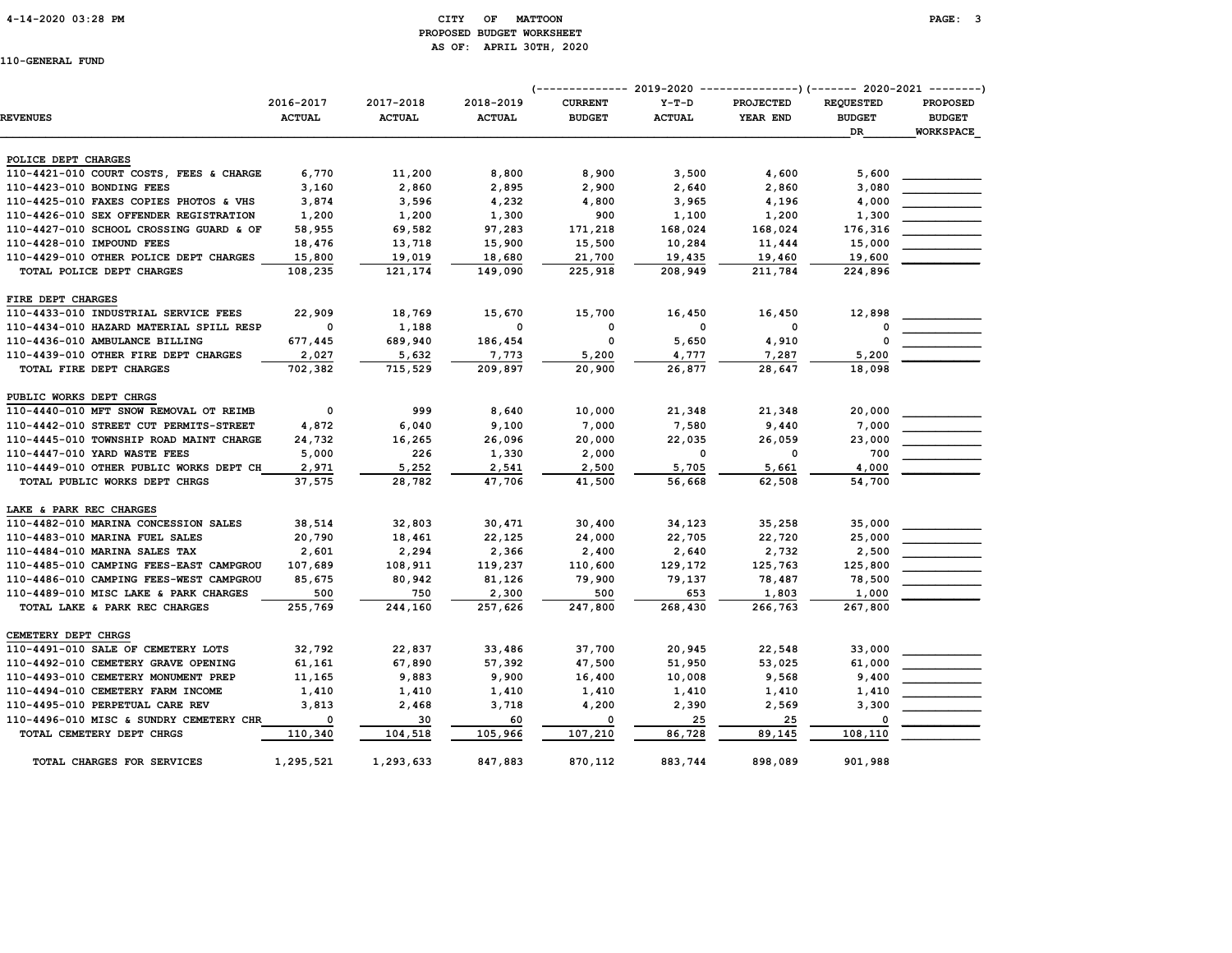# 4-14-2020 03:28 PM CITY OF MATTOON PAGE: 3 PROPOSED BUDGET WORKSHEET AS OF: APRIL 30TH, 2020

|                                         |                          |               |               | (-------------- 2019-2020 ----------------) (------- 2020-2021 --------) |               |                  |                  |                  |
|-----------------------------------------|--------------------------|---------------|---------------|--------------------------------------------------------------------------|---------------|------------------|------------------|------------------|
|                                         | 2016-2017                | 2017-2018     | 2018-2019     | <b>CURRENT</b>                                                           | $Y-T-D$       | <b>PROJECTED</b> | <b>REQUESTED</b> | <b>PROPOSED</b>  |
| <b>REVENUES</b>                         | <b>ACTUAL</b>            | <b>ACTUAL</b> | <b>ACTUAL</b> | <b>BUDGET</b>                                                            | <b>ACTUAL</b> | YEAR END         | <b>BUDGET</b>    | <b>BUDGET</b>    |
|                                         |                          |               |               |                                                                          |               |                  | DR               | <b>WORKSPACE</b> |
| POLICE DEPT CHARGES                     |                          |               |               |                                                                          |               |                  |                  |                  |
| 110-4421-010 COURT COSTS, FEES & CHARGE | 6,770                    | 11,200        | 8,800         | 8,900                                                                    | 3,500         | 4,600            | 5,600            |                  |
| 110-4423-010 BONDING FEES               | 3,160                    | 2,860         | 2,895         | 2,900                                                                    | 2,640         | 2,860            | 3,080            |                  |
| 110-4425-010 FAXES COPIES PHOTOS & VHS  | 3,874                    | 3,596         | 4,232         | 4,800                                                                    | 3,965         | 4,196            | 4,000            |                  |
| 110-4426-010 SEX OFFENDER REGISTRATION  | 1,200                    | 1,200         | 1,300         | 900                                                                      | 1,100         | 1,200            | 1,300            |                  |
| 110-4427-010 SCHOOL CROSSING GUARD & OF | 58,955                   | 69,582        | 97,283        | 171,218                                                                  | 168,024       | 168,024          | 176,316          |                  |
| 110-4428-010 IMPOUND FEES               | 18,476                   | 13,718        | 15,900        | 15,500                                                                   | 10,284        | 11,444           | 15,000           |                  |
| 110-4429-010 OTHER POLICE DEPT CHARGES  | 15,800                   | 19,019        | 18,680        | 21,700                                                                   | 19,435        | 19,460           | 19,600           |                  |
| TOTAL POLICE DEPT CHARGES               | 108,235                  | 121,174       | 149,090       | 225,918                                                                  | 208,949       | 211,784          | 224,896          |                  |
| FIRE DEPT CHARGES                       |                          |               |               |                                                                          |               |                  |                  |                  |
| 110-4433-010 INDUSTRIAL SERVICE FEES    | 22,909                   | 18,769        | 15,670        | 15,700                                                                   | 16,450        | 16,450           | 12,898           |                  |
| 110-4434-010 HAZARD MATERIAL SPILL RESP | $\overline{\mathbf{0}}$  | 1,188         | $\mathbf{o}$  | $\mathbf 0$                                                              | $\mathbf 0$   | $\mathbf 0$      | $\Omega$         |                  |
| 110-4436-010 AMBULANCE BILLING          | 677,445                  | 689,940       | 186,454       | 0                                                                        | 5,650         | 4,910            | O                |                  |
| 110-4439-010 OTHER FIRE DEPT CHARGES    | 2,027                    | 5,632         | 7,773         | 5,200                                                                    | 4,777         | 7,287            | 5,200            |                  |
| TOTAL FIRE DEPT CHARGES                 | 702,382                  | 715,529       | 209,897       | 20,900                                                                   | 26,877        | 28,647           | 18,098           |                  |
|                                         |                          |               |               |                                                                          |               |                  |                  |                  |
| PUBLIC WORKS DEPT CHRGS                 |                          |               |               |                                                                          |               |                  |                  |                  |
| 110-4440-010 MFT SNOW REMOVAL OT REIMB  | $\overline{\mathbf{0}}$  | 999           | 8,640         | 10,000                                                                   | 21,348        | 21,348           | 20,000           |                  |
| 110-4442-010 STREET CUT PERMITS-STREET  | 4,872                    | 6,040         | 9,100         | 7,000                                                                    | 7,580         | 9,440            | 7,000            |                  |
| 110-4445-010 TOWNSHIP ROAD MAINT CHARGE | 24,732                   | 16,265        | 26,096        | 20,000                                                                   | 22,035        | 26,059           | 23,000           |                  |
| 110-4447-010 YARD WASTE FEES            | 5,000                    | 226           | 1,330         | 2,000                                                                    | $\Omega$      | $\Omega$         | 700              |                  |
| 110-4449-010 OTHER PUBLIC WORKS DEPT CH | 2,971                    | 5,252         | 2,541         | 2,500                                                                    | 5,705         | 5,661            | 4,000            |                  |
| TOTAL PUBLIC WORKS DEPT CHRGS           | 37,575                   | 28,782        | 47,706        | 41,500                                                                   | 56,668        | 62,508           | 54,700           |                  |
| LAKE & PARK REC CHARGES                 |                          |               |               |                                                                          |               |                  |                  |                  |
| 110-4482-010 MARINA CONCESSION SALES    | 38,514                   | 32,803        | 30,471        | 30,400                                                                   | 34,123        | 35,258           | 35,000           |                  |
| 110-4483-010 MARINA FUEL SALES          | 20,790                   | 18,461        | 22,125        | 24,000                                                                   | 22,705        | 22,720           | 25,000           |                  |
| 110-4484-010 MARINA SALES TAX           | 2,601                    | 2,294         | 2,366         | 2,400                                                                    | 2,640         | 2,732            | 2,500            |                  |
| 110-4485-010 CAMPING FEES-EAST CAMPGROU | 107,689                  | 108,911       | 119,237       | 110,600                                                                  | 129,172       | 125,763          | 125,800          |                  |
| 110-4486-010 CAMPING FEES-WEST CAMPGROU | 85,675                   | 80,942        | 81,126        | 79,900                                                                   | 79,137        | 78,487           | 78,500           |                  |
| 110-4489-010 MISC LAKE & PARK CHARGES   | 500                      | 750           | 2,300         | 500                                                                      | 653           | 1,803            | 1,000            |                  |
| TOTAL LAKE & PARK REC CHARGES           | 255,769                  | 244,160       | 257,626       | 247,800                                                                  | 268,430       | 266,763          | 267,800          |                  |
| CEMETERY DEPT CHRGS                     |                          |               |               |                                                                          |               |                  |                  |                  |
| 110-4491-010 SALE OF CEMETERY LOTS      | 32,792                   | 22,837        | 33,486        | 37,700                                                                   | 20,945        | 22,548           | 33,000           |                  |
| 110-4492-010 CEMETERY GRAVE OPENING     | 61,161                   | 67,890        | 57,392        | 47,500                                                                   | 51,950        | 53,025           | 61,000           |                  |
| 110-4493-010 CEMETERY MONUMENT PREP     | 11,165                   | 9,883         | 9,900         | 16,400                                                                   | 10,008        | 9,568            | 9,400            |                  |
| 110-4494-010 CEMETERY FARM INCOME       | 1,410                    | 1,410         | 1,410         | 1,410                                                                    | 1,410         | 1,410            | 1,410            |                  |
| 110-4495-010 PERPETUAL CARE REV         | 3,813                    | 2,468         | 3,718         | 4,200                                                                    | 2,390         | 2,569            | 3,300            |                  |
| 110-4496-010 MISC & SUNDRY CEMETERY CHR | $\overline{\phantom{0}}$ | 30            | 60            | $\overline{\phantom{0}}$                                                 | 25            | 25               | $\Omega$         |                  |
| TOTAL CEMETERY DEPT CHRGS               | 110,340                  | 104,518       | 105,966       | 107,210                                                                  | 86,728        | 89,145           | 108,110          |                  |
| TOTAL CHARGES FOR SERVICES              | 1,295,521                | 1,293,633     | 847,883       | 870,112                                                                  | 883,744       | 898,089          | 901,988          |                  |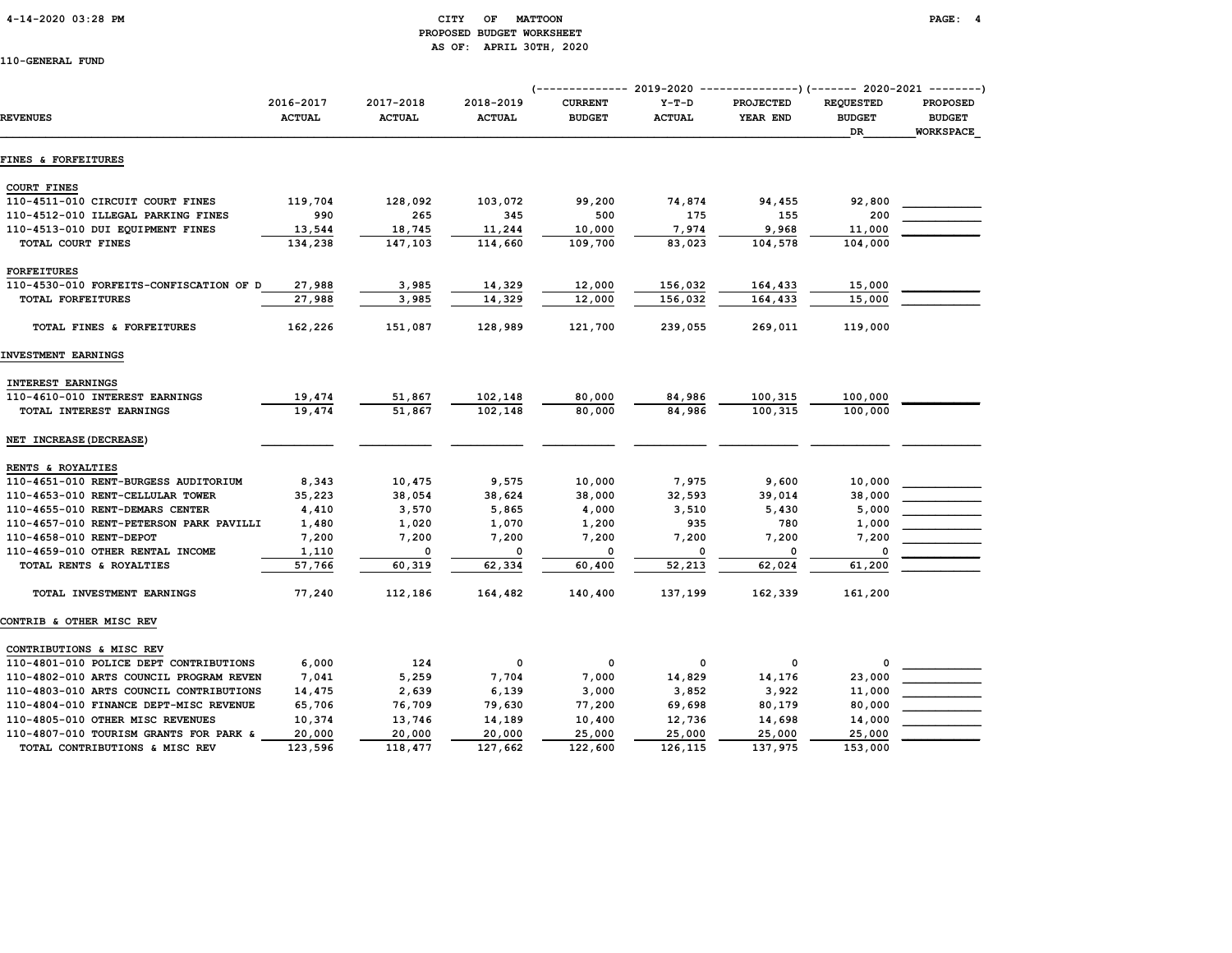# 4-14-2020 03:28 PM CITY OF MATTOON PAGE: 4 PROPOSED BUDGET WORKSHEET AS OF: APRIL 30TH, 2020

|                                         |                            |                            |                            |                                 | (-------------- 2019-2020 ----------------) (------- 2020-2021 --------) |                              |                                         |                                                      |  |
|-----------------------------------------|----------------------------|----------------------------|----------------------------|---------------------------------|--------------------------------------------------------------------------|------------------------------|-----------------------------------------|------------------------------------------------------|--|
| <b>REVENUES</b>                         | 2016-2017<br><b>ACTUAL</b> | 2017-2018<br><b>ACTUAL</b> | 2018-2019<br><b>ACTUAL</b> | <b>CURRENT</b><br><b>BUDGET</b> | $Y-T-D$<br><b>ACTUAL</b>                                                 | <b>PROJECTED</b><br>YEAR END | <b>REQUESTED</b><br><b>BUDGET</b><br>DR | <b>PROPOSED</b><br><b>BUDGET</b><br><b>WORKSPACE</b> |  |
| <b>FINES &amp; FORFEITURES</b>          |                            |                            |                            |                                 |                                                                          |                              |                                         |                                                      |  |
| <b>COURT FINES</b>                      |                            |                            |                            |                                 |                                                                          |                              |                                         |                                                      |  |
| 110-4511-010 CIRCUIT COURT FINES        | 119,704                    | 128,092                    | 103,072                    | 99,200                          | 74,874                                                                   | 94,455                       | 92,800                                  |                                                      |  |
| 110-4512-010 ILLEGAL PARKING FINES      | 990                        | 265                        | 345                        | 500                             | 175                                                                      | 155                          | 200                                     |                                                      |  |
| 110-4513-010 DUI EQUIPMENT FINES        | 13,544                     | 18,745                     | 11,244                     | 10,000                          | 7,974                                                                    | 9,968                        | 11,000                                  |                                                      |  |
| TOTAL COURT FINES                       | 134,238                    | 147,103                    | 114,660                    | 109,700                         | 83,023                                                                   | 104,578                      | 104,000                                 |                                                      |  |
| <b>FORFEITURES</b>                      |                            |                            |                            |                                 |                                                                          |                              |                                         |                                                      |  |
| 110-4530-010 FORFEITS-CONFISCATION OF D | 27,988                     | 3,985                      | 14,329                     | 12,000                          | 156,032                                                                  | 164,433                      | 15,000                                  |                                                      |  |
| TOTAL FORFEITURES                       | 27,988                     | 3,985                      | 14,329                     | 12,000                          | 156,032                                                                  | 164,433                      | 15,000                                  |                                                      |  |
| TOTAL FINES & FORFEITURES               | 162,226                    | 151,087                    | 128,989                    | 121,700                         | 239,055                                                                  | 269,011                      | 119,000                                 |                                                      |  |
| INVESTMENT EARNINGS                     |                            |                            |                            |                                 |                                                                          |                              |                                         |                                                      |  |
| <b>INTEREST EARNINGS</b>                |                            |                            |                            |                                 |                                                                          |                              |                                         |                                                      |  |
| 110-4610-010 INTEREST EARNINGS          | 19,474                     | 51,867                     | 102,148                    | 80,000                          | 84,986                                                                   | 100,315                      | 100,000                                 |                                                      |  |
| TOTAL INTEREST EARNINGS                 | 19,474                     | 51,867                     | 102,148                    | 80,000                          | 84,986                                                                   | 100,315                      | 100,000                                 |                                                      |  |
| NET INCREASE (DECREASE)                 |                            |                            |                            |                                 |                                                                          |                              |                                         |                                                      |  |
| RENTS & ROYALTIES                       |                            |                            |                            |                                 |                                                                          |                              |                                         |                                                      |  |
| 110-4651-010 RENT-BURGESS AUDITORIUM    | 8,343                      | 10,475                     | 9,575                      | 10,000                          | 7,975                                                                    | 9,600                        | 10,000                                  |                                                      |  |
| 110-4653-010 RENT-CELLULAR TOWER        | 35,223                     | 38,054                     | 38,624                     | 38,000                          | 32,593                                                                   | 39,014                       | 38,000                                  |                                                      |  |
| 110-4655-010 RENT-DEMARS CENTER         | 4,410                      | 3,570                      | 5,865                      | 4,000                           | 3,510                                                                    | 5,430                        | 5,000                                   |                                                      |  |
| 110-4657-010 RENT-PETERSON PARK PAVILLI | 1,480                      | 1,020                      | 1,070                      | 1,200                           | 935                                                                      | 780                          | 1,000                                   |                                                      |  |
| 110-4658-010 RENT-DEPOT                 | 7,200                      | 7,200                      | 7,200                      | 7,200                           | 7,200                                                                    | 7,200                        | 7,200                                   |                                                      |  |
| 110-4659-010 OTHER RENTAL INCOME        | 1,110                      | 0                          | $\mathbf 0$                | 0                               | $\Omega$                                                                 | 0                            | 0                                       |                                                      |  |
| TOTAL RENTS & ROYALTIES                 | 57,766                     | 60,319                     | 62,334                     | 60,400                          | 52,213                                                                   | 62,024                       | 61,200                                  |                                                      |  |
| TOTAL INVESTMENT EARNINGS               | 77,240                     | 112,186                    | 164,482                    | 140,400                         | 137,199                                                                  | 162,339                      | 161,200                                 |                                                      |  |
| CONTRIB & OTHER MISC REV                |                            |                            |                            |                                 |                                                                          |                              |                                         |                                                      |  |
| CONTRIBUTIONS & MISC REV                |                            |                            |                            |                                 |                                                                          |                              |                                         |                                                      |  |
| 110-4801-010 POLICE DEPT CONTRIBUTIONS  | 6,000                      | 124                        | 0                          | 0                               | 0                                                                        | 0                            | 0                                       |                                                      |  |
| 110-4802-010 ARTS COUNCIL PROGRAM REVEN | 7,041                      | 5,259                      | 7,704                      | 7,000                           | 14,829                                                                   | 14,176                       | 23,000                                  |                                                      |  |
| 110-4803-010 ARTS COUNCIL CONTRIBUTIONS | 14,475                     | 2,639                      | 6,139                      | 3,000                           | 3,852                                                                    | 3,922                        | 11,000                                  |                                                      |  |
| 110-4804-010 FINANCE DEPT-MISC REVENUE  | 65,706                     | 76,709                     | 79,630                     | 77,200                          | 69,698                                                                   | 80,179                       | 80,000                                  |                                                      |  |
| 110-4805-010 OTHER MISC REVENUES        | 10,374                     | 13,746                     | 14,189                     | 10,400                          | 12,736                                                                   | 14,698                       | 14,000                                  |                                                      |  |
| 110-4807-010 TOURISM GRANTS FOR PARK &  | 20,000                     | 20,000                     | 20,000                     | 25,000                          | 25,000                                                                   | 25,000                       | 25,000                                  |                                                      |  |
| TOTAL CONTRIBUTIONS & MISC REV          | 123,596                    | 118,477                    | 127,662                    | 122,600                         | 126,115                                                                  | 137,975                      | 153,000                                 |                                                      |  |
|                                         |                            |                            |                            |                                 |                                                                          |                              |                                         |                                                      |  |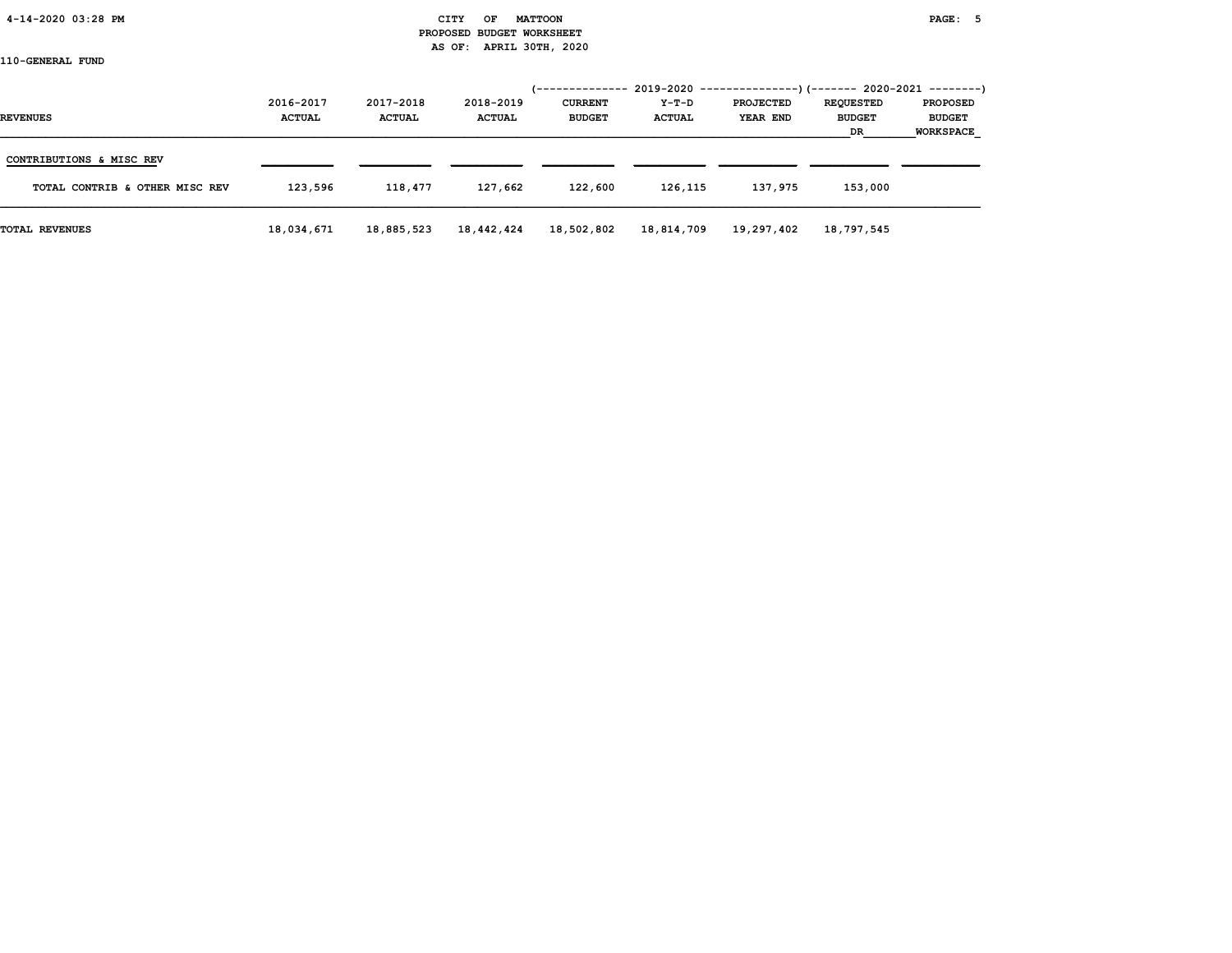# 4-14-2020 03:28 PM CITY OF MATTOON PAGE: 5 PROPOSED BUDGET WORKSHEET AS OF: APRIL 30TH, 2020

|                                |               |               |               | <i>(--------------</i> |               | $2019-2020$ ---------------) (------- 2020-2021 --------) |                     |                                   |
|--------------------------------|---------------|---------------|---------------|------------------------|---------------|-----------------------------------------------------------|---------------------|-----------------------------------|
|                                | 2016-2017     | 2017-2018     | 2018-2019     | <b>CURRENT</b>         | Y-T-D         | <b>PROJECTED</b>                                          | <b>REQUESTED</b>    | <b>PROPOSED</b>                   |
| <b>REVENUES</b>                | <b>ACTUAL</b> | <b>ACTUAL</b> | <b>ACTUAL</b> | <b>BUDGET</b>          | <b>ACTUAL</b> | YEAR END                                                  | <b>BUDGET</b><br>DR | <b>BUDGET</b><br><b>WORKSPACE</b> |
|                                |               |               |               |                        |               |                                                           |                     |                                   |
| CONTRIBUTIONS & MISC REV       |               |               |               |                        |               |                                                           |                     |                                   |
| TOTAL CONTRIB & OTHER MISC REV | 123,596       | 118,477       | 127,662       | 122,600                | 126,115       | 137,975                                                   | 153,000             |                                   |
| <b>TOTAL REVENUES</b>          | 18,034,671    | 18,885,523    | 18,442,424    | 18,502,802             | 18,814,709    | 19,297,402                                                | 18,797,545          |                                   |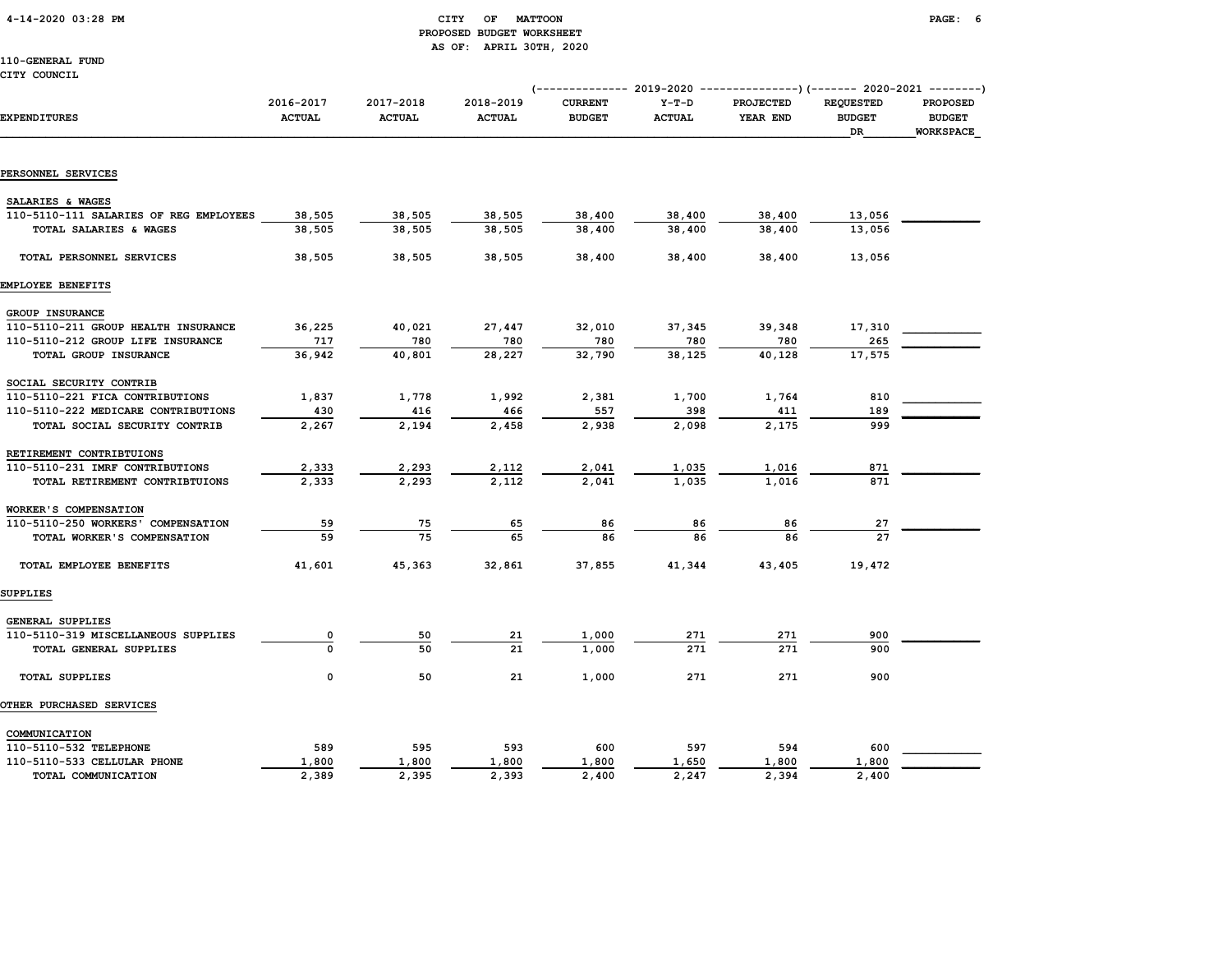# 4-14-2020 03:28 PM CITY OF MATTOON PAGE: 6 PROPOSED BUDGET WORKSHEET AS OF: APRIL 30TH, 2020

| 110-GENERAL FUND                       |                            |                            |                            |                                                                                                           |                          |                              |                                                |                                                      |
|----------------------------------------|----------------------------|----------------------------|----------------------------|-----------------------------------------------------------------------------------------------------------|--------------------------|------------------------------|------------------------------------------------|------------------------------------------------------|
| CITY COUNCIL                           |                            |                            |                            |                                                                                                           |                          |                              |                                                |                                                      |
| <b>EXPENDITURES</b>                    | 2016-2017<br><b>ACTUAL</b> | 2017-2018<br><b>ACTUAL</b> | 2018-2019<br><b>ACTUAL</b> | (------------- 2019-2020 ----------------) (------- 2020-2021 --------<br><b>CURRENT</b><br><b>BUDGET</b> | $Y-T-D$<br><b>ACTUAL</b> | <b>PROJECTED</b><br>YEAR END | <b>REQUESTED</b><br><b>BUDGET</b><br><b>DR</b> | <b>PROPOSED</b><br><b>BUDGET</b><br><b>WORKSPACE</b> |
| PERSONNEL SERVICES                     |                            |                            |                            |                                                                                                           |                          |                              |                                                |                                                      |
| SALARIES & WAGES                       |                            |                            |                            |                                                                                                           |                          |                              |                                                |                                                      |
| 110-5110-111 SALARIES OF REG EMPLOYEES | 38,505                     | 38,505                     | 38,505                     | 38,400                                                                                                    | 38,400                   | 38,400                       | 13,056                                         |                                                      |
| TOTAL SALARIES & WAGES                 | 38,505                     | 38,505                     | 38,505                     | 38,400                                                                                                    | 38,400                   | 38,400                       | 13,056                                         |                                                      |
| TOTAL PERSONNEL SERVICES               | 38,505                     | 38,505                     | 38,505                     | 38,400                                                                                                    | 38,400                   | 38,400                       | 13,056                                         |                                                      |
| <b>EMPLOYEE BENEFITS</b>               |                            |                            |                            |                                                                                                           |                          |                              |                                                |                                                      |
| GROUP INSURANCE                        |                            |                            |                            |                                                                                                           |                          |                              |                                                |                                                      |
| 110-5110-211 GROUP HEALTH INSURANCE    | 36,225                     | 40,021                     | 27,447                     | 32,010                                                                                                    | 37,345                   | 39,348                       | 17,310                                         |                                                      |
| 110-5110-212 GROUP LIFE INSURANCE      | 717                        | 780                        | 780                        | 780                                                                                                       | 780                      | 780                          | 265                                            |                                                      |
| TOTAL GROUP INSURANCE                  | 36,942                     | 40,801                     | 28,227                     | 32,790                                                                                                    | 38,125                   | 40,128                       | 17,575                                         |                                                      |
| SOCIAL SECURITY CONTRIB                |                            |                            |                            |                                                                                                           |                          |                              |                                                |                                                      |
| 110-5110-221 FICA CONTRIBUTIONS        | 1,837                      | 1,778                      | 1,992                      | 2,381                                                                                                     | 1,700                    | 1,764                        | 810                                            |                                                      |
| 110-5110-222 MEDICARE CONTRIBUTIONS    | 430                        | 416                        | 466                        | 557                                                                                                       | 398                      | 411                          | 189                                            |                                                      |
| TOTAL SOCIAL SECURITY CONTRIB          | 2,267                      | 2,194                      | 2,458                      | 2,938                                                                                                     | 2,098                    | 2,175                        | 999                                            |                                                      |
| RETIREMENT CONTRIBTUIONS               |                            |                            |                            |                                                                                                           |                          |                              |                                                |                                                      |
| 110-5110-231 IMRF CONTRIBUTIONS        | 2,333                      | 2,293                      | 2,112                      | 2,041                                                                                                     | 1,035                    | 1,016                        | 871                                            |                                                      |
| TOTAL RETIREMENT CONTRIBTUIONS         | 2,333                      | 2,293                      | 2,112                      | 2,041                                                                                                     | 1,035                    | 1,016                        | 871                                            |                                                      |
| WORKER'S COMPENSATION                  |                            |                            |                            |                                                                                                           |                          |                              |                                                |                                                      |
| 110-5110-250 WORKERS' COMPENSATION     | 59                         | 75                         | 65                         | 86                                                                                                        | 86                       | 86                           | 27                                             |                                                      |
| TOTAL WORKER'S COMPENSATION            | 59                         | 75                         | 65                         | 86                                                                                                        | 86                       | 86                           | 27                                             |                                                      |
|                                        |                            |                            |                            |                                                                                                           |                          |                              |                                                |                                                      |

SUPPLIES

| GENERAL SUPPLIES<br>110-5110-319 MISCELLANEOUS SUPPLIES<br>TOTAL GENERAL SUPPLIES |              | 50<br>50     | 21<br>21     | 1,000<br>1,000 | 271<br>271   | 271<br>271   | 900<br>900   |  |
|-----------------------------------------------------------------------------------|--------------|--------------|--------------|----------------|--------------|--------------|--------------|--|
| <b>TOTAL SUPPLIES</b>                                                             | 0            | 50           | 21           | 1,000          | 271          | 271          | 900          |  |
| <b>OTHER PURCHASED SERVICES</b>                                                   |              |              |              |                |              |              |              |  |
| COMMUNICATION<br>110-5110-532 TELEPHONE<br>110-5110-533 CELLULAR PHONE            | 589<br>1,800 | 595<br>1,800 | 593<br>1,800 | 600<br>1,800   | 597<br>1,650 | 594<br>1,800 | 600<br>1,800 |  |
| TOTAL COMMUNICATION                                                               | 2,389        | 2,395        | 2,393        | 2,400          | 2,247        | 2,394        | 2,400        |  |

TOTAL EMPLOYEE BENEFITS 41,601 45,363 32,861 37,855 41,344 43,405 19,472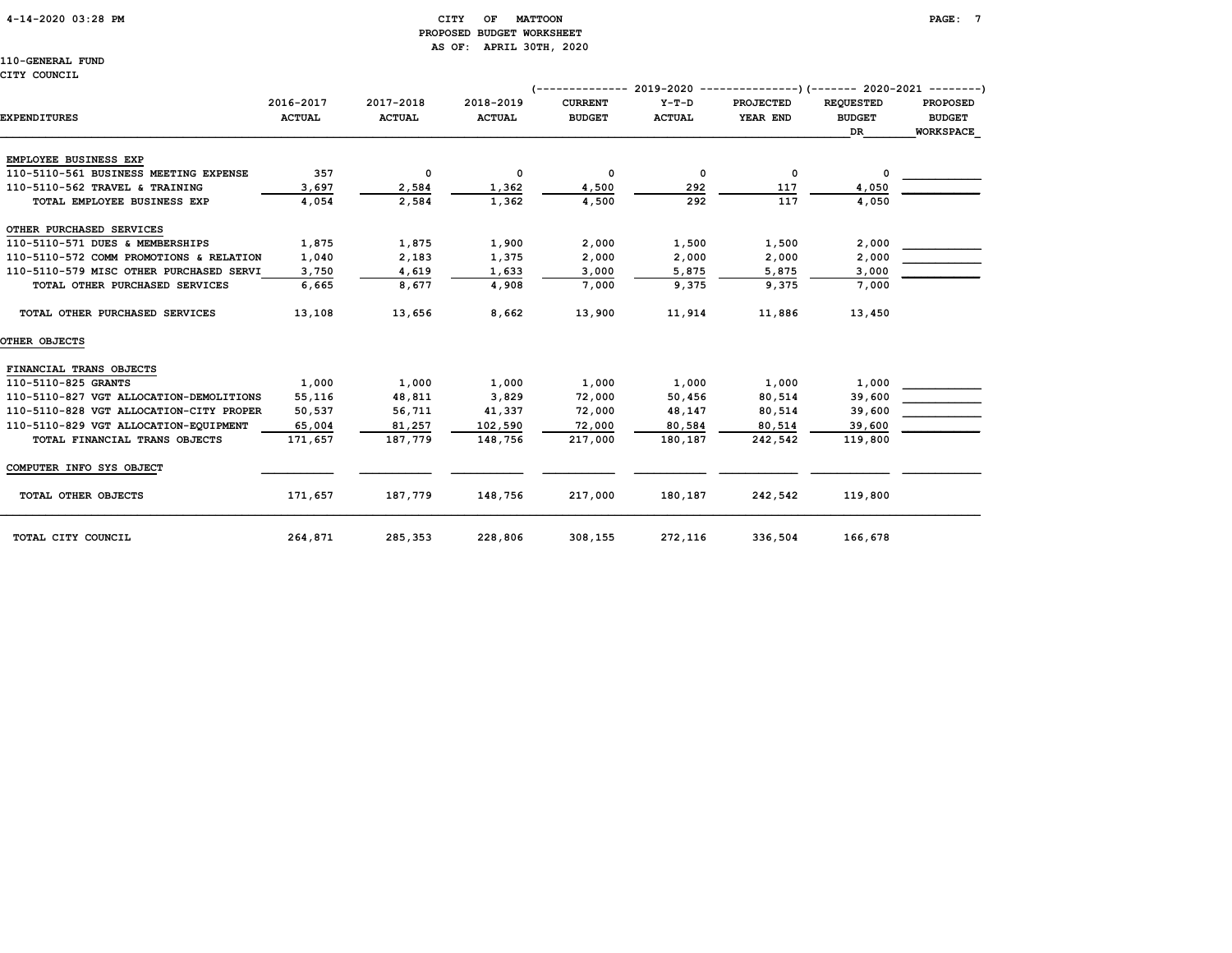# 4-14-2020 03:28 PM CITY OF MATTOON PAGE: 7 PROPOSED BUDGET WORKSHEET AS OF: APRIL 30TH, 2020

110-GENERAL FUND

### CITY COUNCIL

|                                         |                            |                            |                            |                                 | 2019-2020                | ---------------)(------- 2020-2021 --------) |                                          |                                                      |
|-----------------------------------------|----------------------------|----------------------------|----------------------------|---------------------------------|--------------------------|----------------------------------------------|------------------------------------------|------------------------------------------------------|
| EXPENDITURES                            | 2016-2017<br><b>ACTUAL</b> | 2017-2018<br><b>ACTUAL</b> | 2018-2019<br><b>ACTUAL</b> | <b>CURRENT</b><br><b>BUDGET</b> | $Y-T-D$<br><b>ACTUAL</b> | <b>PROJECTED</b><br>YEAR END                 | <b>REOUESTED</b><br><b>BUDGET</b><br>DR. | <b>PROPOSED</b><br><b>BUDGET</b><br><b>WORKSPACE</b> |
| EMPLOYEE BUSINESS EXP                   |                            |                            |                            |                                 |                          |                                              |                                          |                                                      |
| 110-5110-561 BUSINESS MEETING EXPENSE   | 357                        | 0                          | 0                          | 0                               | 0                        | 0                                            | 0                                        |                                                      |
| 110-5110-562 TRAVEL & TRAINING          | 3,697                      | 2,584                      | 1,362                      | 4,500                           | 292                      | 117                                          | 4,050                                    |                                                      |
| TOTAL EMPLOYEE BUSINESS EXP             | 4,054                      | 2,584                      | 1,362                      | 4,500                           | 292                      | 117                                          | 4,050                                    |                                                      |
| OTHER PURCHASED SERVICES                |                            |                            |                            |                                 |                          |                                              |                                          |                                                      |
| 110-5110-571 DUES & MEMBERSHIPS         | 1,875                      | 1,875                      | 1,900                      | 2,000                           | 1,500                    | 1,500                                        | 2,000                                    |                                                      |
| 110-5110-572 COMM PROMOTIONS & RELATION | 1,040                      | 2,183                      | 1,375                      | 2,000                           | 2,000                    | 2,000                                        | 2,000                                    |                                                      |
| 110-5110-579 MISC OTHER PURCHASED SERVI | 3,750                      | 4,619                      | 1,633                      | 3,000                           | 5,875                    | 5,875                                        | 3,000                                    |                                                      |
| TOTAL OTHER PURCHASED SERVICES          | 6,665                      | 8,677                      | 4,908                      | 7,000                           | 9,375                    | 9,375                                        | 7,000                                    |                                                      |
| TOTAL OTHER PURCHASED SERVICES          | 13,108                     | 13,656                     | 8,662                      | 13,900                          | 11,914                   | 11,886                                       | 13,450                                   |                                                      |
| OTHER OBJECTS                           |                            |                            |                            |                                 |                          |                                              |                                          |                                                      |
| FINANCIAL TRANS OBJECTS                 |                            |                            |                            |                                 |                          |                                              |                                          |                                                      |
| 110-5110-825 GRANTS                     | 1,000                      | 1,000                      | 1,000                      | 1,000                           | 1,000                    | 1,000                                        | 1,000                                    |                                                      |
| 110-5110-827 VGT ALLOCATION-DEMOLITIONS | 55,116                     | 48,811                     | 3,829                      | 72,000                          | 50,456                   | 80,514                                       | 39,600                                   |                                                      |
| 110-5110-828 VGT ALLOCATION-CITY PROPER | 50,537                     | 56,711                     | 41,337                     | 72,000                          | 48,147                   | 80,514                                       | 39,600                                   |                                                      |
| 110-5110-829 VGT ALLOCATION-EQUIPMENT   | 65,004                     | 81,257                     | 102,590                    | 72,000                          | 80,584                   | 80,514                                       | 39,600                                   |                                                      |
| TOTAL FINANCIAL TRANS OBJECTS           | 171,657                    | 187,779                    | 148,756                    | 217,000                         | 180,187                  | 242,542                                      | 119,800                                  |                                                      |
| COMPUTER INFO SYS OBJECT                |                            |                            |                            |                                 |                          |                                              |                                          |                                                      |
| TOTAL OTHER OBJECTS                     | 171,657                    | 187,779                    | 148,756                    | 217,000                         | 180,187                  | 242,542                                      | 119,800                                  |                                                      |
| TOTAL CITY COUNCIL                      | 264,871                    | 285,353                    | 228,806                    | 308,155                         | 272,116                  | 336,504                                      | 166,678                                  |                                                      |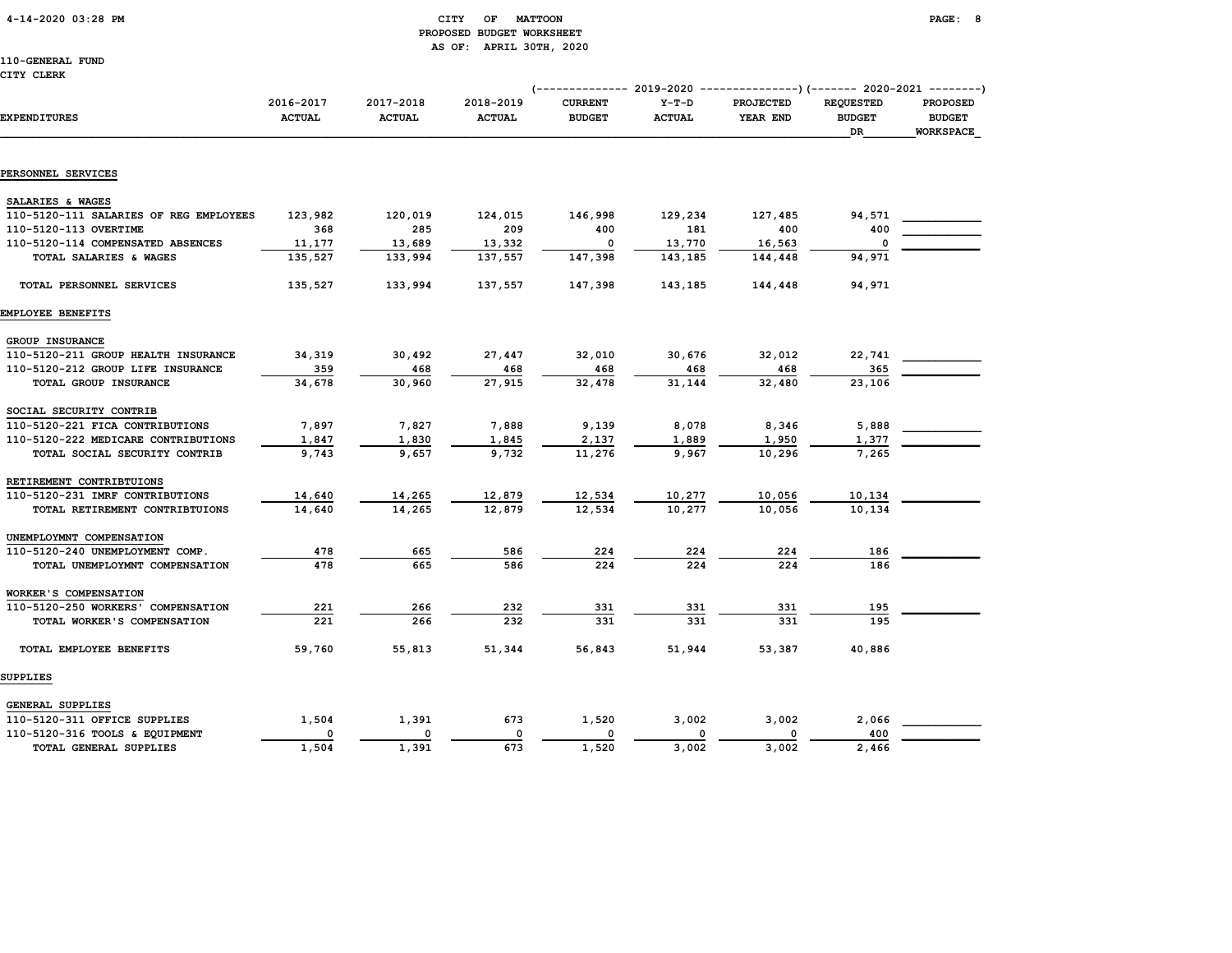# 4-14-2020 03:28 PM CITY OF MATTOON PAGE: 8 PROPOSED BUDGET WORKSHEET AS OF: APRIL 30TH, 2020

110-GENERAL FUND CITY CLERK

|                                        |                            |                            |                            | $--------- 2019-2020$           |                          | ---------------) (------- 2020-2021 --------) |                                         |                                               |
|----------------------------------------|----------------------------|----------------------------|----------------------------|---------------------------------|--------------------------|-----------------------------------------------|-----------------------------------------|-----------------------------------------------|
| <b>EXPENDITURES</b>                    | 2016-2017<br><b>ACTUAL</b> | 2017-2018<br><b>ACTUAL</b> | 2018-2019<br><b>ACTUAL</b> | <b>CURRENT</b><br><b>BUDGET</b> | $Y-T-D$<br><b>ACTUAL</b> | PROJECTED<br>YEAR END                         | <b>REQUESTED</b><br><b>BUDGET</b><br>DR | <b>PROPOSED</b><br><b>BUDGET</b><br>WORKSPACE |
|                                        |                            |                            |                            |                                 |                          |                                               |                                         |                                               |
| PERSONNEL SERVICES                     |                            |                            |                            |                                 |                          |                                               |                                         |                                               |
| SALARIES & WAGES                       |                            |                            |                            |                                 |                          |                                               |                                         |                                               |
| 110-5120-111 SALARIES OF REG EMPLOYEES | 123,982                    | 120,019                    | 124,015                    | 146,998                         | 129,234                  | 127,485                                       | 94,571                                  |                                               |
| 110-5120-113 OVERTIME                  | 368                        | 285                        | 209                        | 400                             | 181                      | 400                                           | 400                                     |                                               |
| 110-5120-114 COMPENSATED ABSENCES      | 11,177                     | 13,689                     | 13,332                     | $\Omega$                        | 13,770                   | 16,563                                        | 0                                       |                                               |
| TOTAL SALARIES & WAGES                 | 135,527                    | 133,994                    | 137,557                    | 147,398                         | 143,185                  | 144,448                                       | 94,971                                  |                                               |
| TOTAL PERSONNEL SERVICES               | 135,527                    | 133,994                    | 137,557                    | 147,398                         | 143,185                  | 144,448                                       | 94,971                                  |                                               |
| EMPLOYEE BENEFITS                      |                            |                            |                            |                                 |                          |                                               |                                         |                                               |
| GROUP INSURANCE                        |                            |                            |                            |                                 |                          |                                               |                                         |                                               |
| 110-5120-211 GROUP HEALTH INSURANCE    | 34,319                     | 30,492                     | 27,447                     | 32,010                          | 30,676                   | 32,012                                        | 22,741                                  |                                               |
| 110-5120-212 GROUP LIFE INSURANCE      | 359                        | 468                        | 468                        | 468                             | 468                      | 468                                           | 365                                     |                                               |
| TOTAL GROUP INSURANCE                  | 34,678                     | 30,960                     | 27,915                     | 32,478                          | 31,144                   | 32,480                                        | 23,106                                  |                                               |
| SOCIAL SECURITY CONTRIB                |                            |                            |                            |                                 |                          |                                               |                                         |                                               |
| 110-5120-221 FICA CONTRIBUTIONS        | 7,897                      | 7,827                      | 7,888                      | 9,139                           | 8,078                    | 8,346                                         | 5,888                                   |                                               |
| 110-5120-222 MEDICARE CONTRIBUTIONS    | 1,847                      | 1,830                      | 1,845                      | 2,137                           | 1,889                    | 1,950                                         | 1,377                                   |                                               |
| TOTAL SOCIAL SECURITY CONTRIB          | 9,743                      | 9,657                      | 9,732                      | 11,276                          | 9,967                    | 10,296                                        | 7,265                                   |                                               |
| RETIREMENT CONTRIBTUIONS               |                            |                            |                            |                                 |                          |                                               |                                         |                                               |
| 110-5120-231 IMRF CONTRIBUTIONS        | 14,640                     | 14,265                     | 12,879                     | 12,534                          | 10,277                   | 10,056                                        | 10,134                                  |                                               |
| TOTAL RETIREMENT CONTRIBTUIONS         | 14,640                     | 14,265                     | 12,879                     | 12,534                          | 10,277                   | 10,056                                        | 10,134                                  |                                               |
|                                        |                            |                            |                            |                                 |                          |                                               |                                         |                                               |
| UNEMPLOYMNT COMPENSATION               |                            |                            |                            |                                 |                          |                                               |                                         |                                               |
| 110-5120-240 UNEMPLOYMENT COMP.        | 478                        | 665<br>665                 | 586                        | 224<br>224                      | 224                      | 224<br>224                                    | 186                                     |                                               |
| TOTAL UNEMPLOYMNT COMPENSATION         | 478                        |                            | 586                        |                                 | 224                      |                                               | 186                                     |                                               |
| <b>WORKER'S COMPENSATION</b>           |                            |                            |                            |                                 |                          |                                               |                                         |                                               |
| 110-5120-250 WORKERS' COMPENSATION     | 221                        | 266                        | 232                        | 331                             | 331                      | 331                                           | 195                                     |                                               |
| TOTAL WORKER'S COMPENSATION            | 221                        | 266                        | 232                        | 331                             | 331                      | 331                                           | 195                                     |                                               |
| TOTAL EMPLOYEE BENEFITS                | 59,760                     | 55,813                     | 51,344                     | 56,843                          | 51,944                   | 53,387                                        | 40,886                                  |                                               |
| SUPPLIES                               |                            |                            |                            |                                 |                          |                                               |                                         |                                               |
| GENERAL SUPPLIES                       |                            |                            |                            |                                 |                          |                                               |                                         |                                               |
| 110-5120-311 OFFICE SUPPLIES           | 1,504                      | 1,391                      | 673                        | 1,520                           | 3,002                    | 3,002                                         | 2,066                                   |                                               |
| 110-5120-316 TOOLS & EQUIPMENT         | $\mathbf 0$                | 0                          | $\mathsf{o}\,$             | 0                               | 0                        | 0                                             | 400                                     |                                               |
| TOTAL GENERAL SUPPLIES                 | 1,504                      | 1,391                      | 673                        | 1,520                           | 3,002                    | 3,002                                         | 2,466                                   |                                               |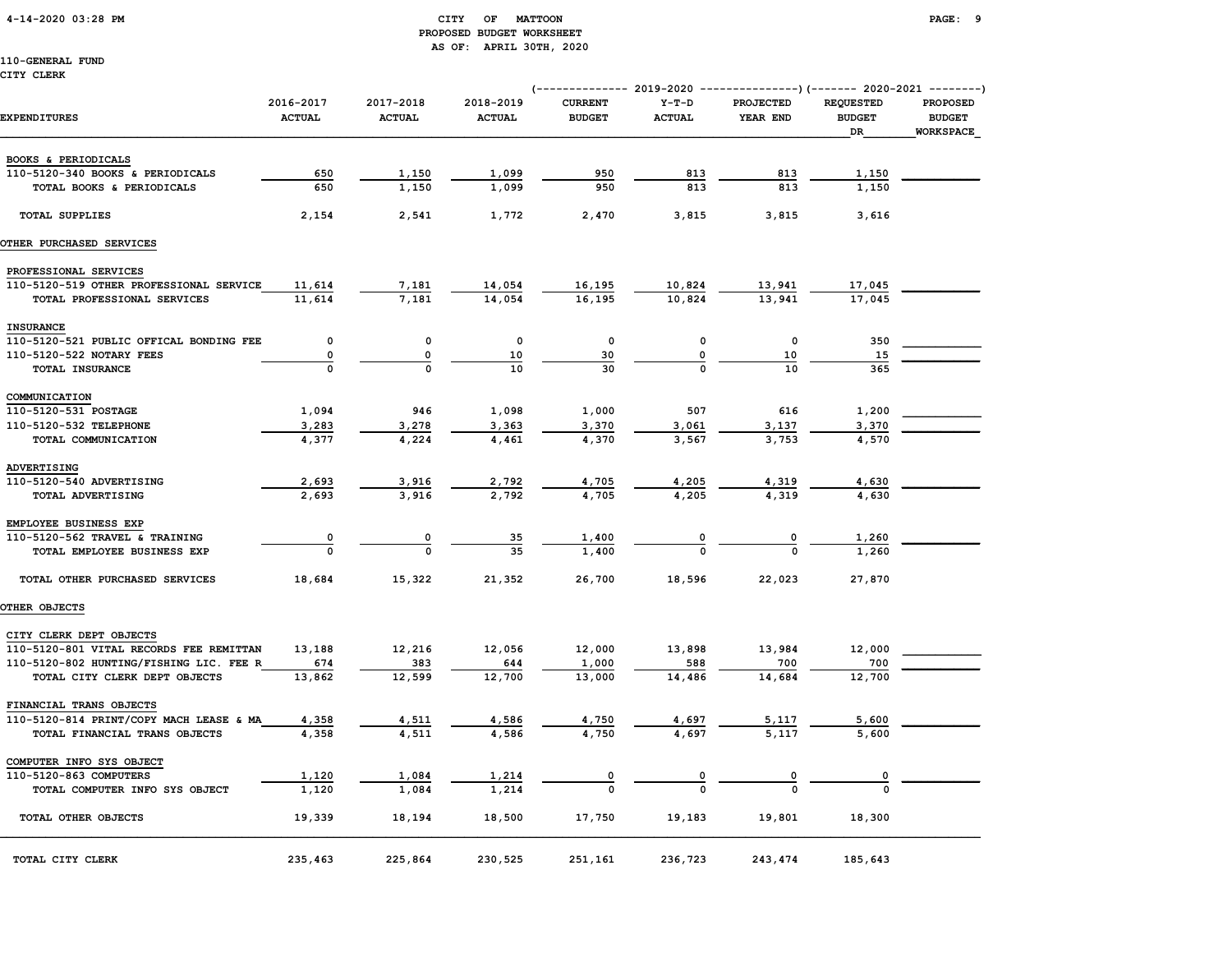# 4-14-2020 03:28 PM CITY OF MATTOON PAGE: 9 PROPOSED BUDGET WORKSHEET AS OF: APRIL 30TH, 2020

|                                         |                            |                            |                            |                                 |                          | (------------- 2019-2020 ----------------) (------- 2020-2021 --------) |                                         |                                               |
|-----------------------------------------|----------------------------|----------------------------|----------------------------|---------------------------------|--------------------------|-------------------------------------------------------------------------|-----------------------------------------|-----------------------------------------------|
| <b>EXPENDITURES</b>                     | 2016-2017<br><b>ACTUAL</b> | 2017-2018<br><b>ACTUAL</b> | 2018-2019<br><b>ACTUAL</b> | <b>CURRENT</b><br><b>BUDGET</b> | $Y-T-D$<br><b>ACTUAL</b> | <b>PROJECTED</b><br>YEAR END                                            | <b>REQUESTED</b><br><b>BUDGET</b><br>DR | PROPOSED<br><b>BUDGET</b><br><b>WORKSPACE</b> |
| BOOKS & PERIODICALS                     |                            |                            |                            |                                 |                          |                                                                         |                                         |                                               |
| 110-5120-340 BOOKS & PERIODICALS        | 650                        | 1,150                      | 1,099                      | 950                             | 813                      | 813                                                                     | 1,150                                   |                                               |
| TOTAL BOOKS & PERIODICALS               | 650                        | 1,150                      | 1,099                      | 950                             | 813                      | 813                                                                     | 1,150                                   |                                               |
|                                         |                            |                            |                            |                                 |                          |                                                                         |                                         |                                               |
| <b>TOTAL SUPPLIES</b>                   | 2,154                      | 2,541                      | 1,772                      | 2,470                           | 3,815                    | 3,815                                                                   | 3,616                                   |                                               |
| OTHER PURCHASED SERVICES                |                            |                            |                            |                                 |                          |                                                                         |                                         |                                               |
| PROFESSIONAL SERVICES                   |                            |                            |                            |                                 |                          |                                                                         |                                         |                                               |
| 110-5120-519 OTHER PROFESSIONAL SERVICE | 11,614                     | 7,181                      | 14,054                     | 16,195                          | 10,824                   | 13,941                                                                  | 17,045                                  |                                               |
| TOTAL PROFESSIONAL SERVICES             | 11,614                     | 7,181                      | 14,054                     | 16,195                          | 10,824                   | 13,941                                                                  | 17,045                                  |                                               |
| <b>INSURANCE</b>                        |                            |                            |                            |                                 |                          |                                                                         |                                         |                                               |
| 110-5120-521 PUBLIC OFFICAL BONDING FEE | 0                          | $\mathsf{o}\,$             | 0                          | $\mathbf 0$                     | 0                        | 0                                                                       | 350                                     |                                               |
| 110-5120-522 NOTARY FEES                | 0                          | 0                          | 10                         | 30                              | 0                        | 10                                                                      | 15                                      |                                               |
| TOTAL INSURANCE                         |                            | $\Omega$                   | 10                         | 30                              |                          | 10                                                                      | 365                                     |                                               |
| COMMUNICATION                           |                            |                            |                            |                                 |                          |                                                                         |                                         |                                               |
| 110-5120-531 POSTAGE                    | 1,094                      | 946                        | 1,098                      | 1,000                           | 507                      | 616                                                                     | 1,200                                   |                                               |
| 110-5120-532 TELEPHONE                  | 3,283                      | 3,278                      | 3,363                      | 3,370                           | 3,061                    | 3,137                                                                   | 3,370                                   |                                               |
| TOTAL COMMUNICATION                     | 4,377                      | 4,224                      | 4,461                      | 4,370                           | 3,567                    | 3,753                                                                   | 4,570                                   |                                               |
| <b>ADVERTISING</b>                      |                            |                            |                            |                                 |                          |                                                                         |                                         |                                               |
| 110-5120-540 ADVERTISING                | 2,693                      | 3,916                      | 2,792                      | 4,705                           | 4,205                    | 4,319                                                                   | 4,630                                   |                                               |
| TOTAL ADVERTISING                       | 2,693                      | 3,916                      | 2,792                      | 4,705                           | 4,205                    | 4,319                                                                   | 4,630                                   |                                               |
| EMPLOYEE BUSINESS EXP                   |                            |                            |                            |                                 |                          |                                                                         |                                         |                                               |
| 110-5120-562 TRAVEL & TRAINING          | 0                          | 0                          | 35                         | 1,400                           | 0                        | $\overline{\mathbf{0}}$                                                 | 1,260                                   |                                               |
| TOTAL EMPLOYEE BUSINESS EXP             | $\Omega$                   | $\mathbf 0$                | 35                         | 1,400                           |                          |                                                                         | 1,260                                   |                                               |
| TOTAL OTHER PURCHASED SERVICES          | 18,684                     | 15,322                     | 21,352                     | 26,700                          | 18,596                   | 22,023                                                                  | 27,870                                  |                                               |
| OTHER OBJECTS                           |                            |                            |                            |                                 |                          |                                                                         |                                         |                                               |
| CITY CLERK DEPT OBJECTS                 |                            |                            |                            |                                 |                          |                                                                         |                                         |                                               |
| 110-5120-801 VITAL RECORDS FEE REMITTAN | 13,188                     | 12,216                     | 12,056                     | 12,000                          | 13,898                   | 13,984                                                                  | 12,000                                  |                                               |
| 110-5120-802 HUNTING/FISHING LIC. FEE R | 674                        | 383                        | 644                        | 1,000                           | 588                      | 700                                                                     | 700                                     |                                               |
| TOTAL CITY CLERK DEPT OBJECTS           | 13,862                     | 12,599                     | 12,700                     | 13,000                          | 14,486                   | 14,684                                                                  | 12,700                                  |                                               |
| FINANCIAL TRANS OBJECTS                 |                            |                            |                            |                                 |                          |                                                                         |                                         |                                               |
| 110-5120-814 PRINT/COPY MACH LEASE & MA | 4,358                      | 4,511                      | 4,586                      | 4,750                           | 4,697                    | 5,117                                                                   | 5,600                                   |                                               |
| TOTAL FINANCIAL TRANS OBJECTS           | 4,358                      | 4,511                      | 4,586                      | 4,750                           | 4,697                    | 5,117                                                                   | 5,600                                   |                                               |
| COMPUTER INFO SYS OBJECT                |                            |                            |                            |                                 |                          |                                                                         |                                         |                                               |
| 110-5120-863 COMPUTERS                  | 1,120                      | 1,084                      | 1,214                      |                                 |                          |                                                                         |                                         |                                               |
| TOTAL COMPUTER INFO SYS OBJECT          | 1,120                      | 1,084                      | 1,214                      |                                 |                          |                                                                         |                                         |                                               |
| TOTAL OTHER OBJECTS                     | 19,339                     | 18,194                     | 18,500                     | 17,750                          | 19,183                   | 19,801                                                                  | 18,300                                  |                                               |
| TOTAL CITY CLERK                        | 235,463                    | 225,864                    | 230,525                    | 251,161                         | 236,723                  | 243,474                                                                 | 185,643                                 |                                               |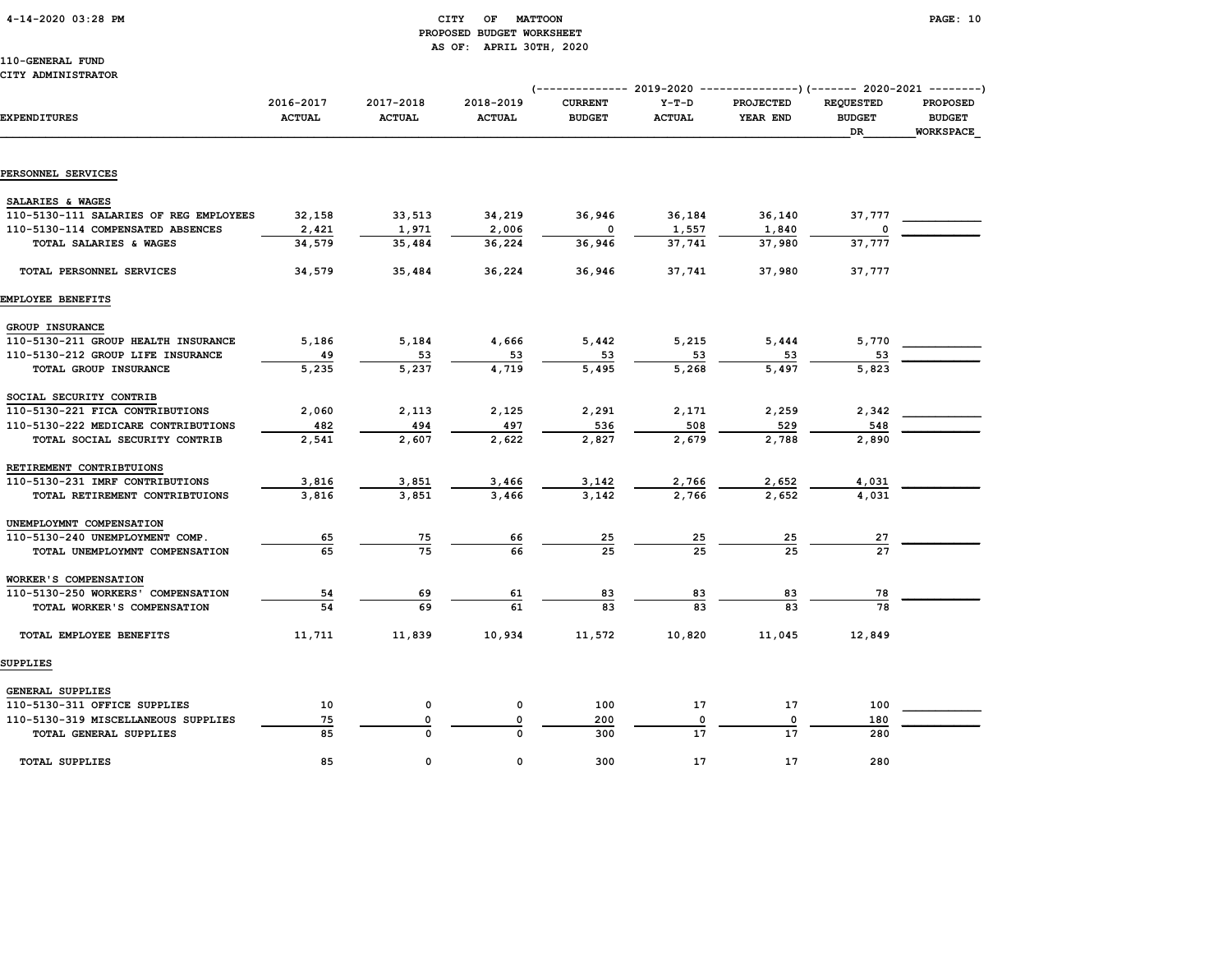### 4-14-2020 03:28 PM CITY OF MATTOON PAGE: 10 PROPOSED BUDGET WORKSHEET AS OF: APRIL 30TH, 2020

110-GENERAL FUND CITY ADMINISTRATOR

# (-------------- 2019-2020 ---------------)(------- 2020-2021 --------) 2016-2017 2017-2018 2018-2019 CURRENT Y-T-D PROJECTED REQUESTED PROPOSED EXPENDITURES ACTUAL ACTUAL ACTUAL BUDGET ACTUAL YEAR END BUDGET BUDGET  $\Box$  . The contract of the contract of the contract of the contract of the contract of the contract of the contract of the contract of the contract of the contract of the contract of the contract of the contract of the co PERSONNEL SERVICES SALARIES & WAGES 110-5130-111 SALARIES OF REG EMPLOYEES 32,158 33,513 34,219 36,946 36,184 36,140 37,777 \_\_\_\_\_\_\_\_\_\_\_\_  $110-5130-114 \text{ COMPENSATED ABSENCES} \begin{array}{l} 2,421 \end{array} \hspace{1.5cm} 1,971 \end{array} \hspace{1.5cm} 2,006 \hspace{1.5cm} 0 \hspace{1.5cm} 1,557 \hspace{1.5cm} 1,840 \hspace{1.5cm} 0$  TOTAL SALARIES & WAGES 34,579 35,484 36,224 36,946 37,741 37,980 37,777 TOTAL PERSONNEL SERVICES 34,579 35,484 36,224 36,946 37,741 37,980 37,777 EMPLOYEE BENEFITS GROUP INSURANCE 110-5130-211 GROUP HEALTH INSURANCE  $\begin{array}{cccc} 5,186 & 5,184 & 4,666 & 5,442 & 5,215 & 5,444 & 5,770 \end{array}$  110-5130-212 GROUP LIFE INSURANCE 49 53 53 53 53 53 53 \_\_\_\_\_\_\_\_\_\_\_\_ TOTAL GROUP INSURANCE 5,235 5,237 4,719 5,495 5,268 5,497 5,823 SOCIAL SECURITY CONTRIB 110-5130-221 FICA CONTRIBUTIONS 2,060 2,113 2,125 2,291 2,171 2,259 2,342<br>110-5130-222 MEDICARE CONTRIBUTIONS 482 494 497 536 508 509 529 548<br>2,890 2,890 110-5130-222 MEDICARE CONTRIBUTIONS  $\frac{482}{2,541}$   $\frac{494}{2,607}$   $\frac{497}{2,622}$   $\frac{536}{2,827}$   $\frac{536}{2,679}$   $\frac{529}{2,788}$   $\frac{529}{2,890}$ TOTAL SOCIAL SECURITY CONTRIB 2,541 2,607 2,622 2,827 2,679 2,788 2,890 RETIREMENT CONTRIBTUIONS 110-5130-231 IMRF CONTRIBUTIONS 3,816 3,851 3,466 3,142 2,766 2,652 4,031 \_\_\_\_\_\_\_\_\_\_\_\_ TOTAL RETIREMENT CONTRIBTUIONS 3,816 3,851 3,466 3,142 2,766 2,652 4,031 UNEMPLOYMNT COMPENSATION 110-5130-240 UNEMPLOYMENT COMP. 65 75 66 25 25 25 27 \_\_\_\_\_\_\_\_\_\_\_\_ TOTAL UNEMPLOYMNT COMPENSATION 65 75 66 25 25 25 27 WORKER'S COMPENSATION 110-5130-250 WORKERS' COMPENSATION 54 69 61 83 83 83 78 \_\_\_\_\_\_\_\_\_\_\_\_ TOTAL WORKER'S COMPENSATION 54 69 61 83 83 83 78 TOTAL EMPLOYEE BENEFITS 11,711 11,839 10,934 11,572 10,820 11,045 12,849 SUPPLIES

| GENERAL SUPPLIES                    |    |  |     |            |    |     |  |
|-------------------------------------|----|--|-----|------------|----|-----|--|
| 110-5130-311 OFFICE SUPPLIES        | 10 |  | 100 | <b>. .</b> | 17 | 100 |  |
| 110-5130-319 MISCELLANEOUS SUPPLIES | 75 |  | 200 |            |    | 180 |  |
| TOTAL GENERAL SUPPLIES              | 85 |  | 300 |            | ᅩ  | 280 |  |
|                                     |    |  |     |            |    |     |  |
| <b>TOTAL SUPPLIES</b>               | 85 |  | 300 |            | 17 | 280 |  |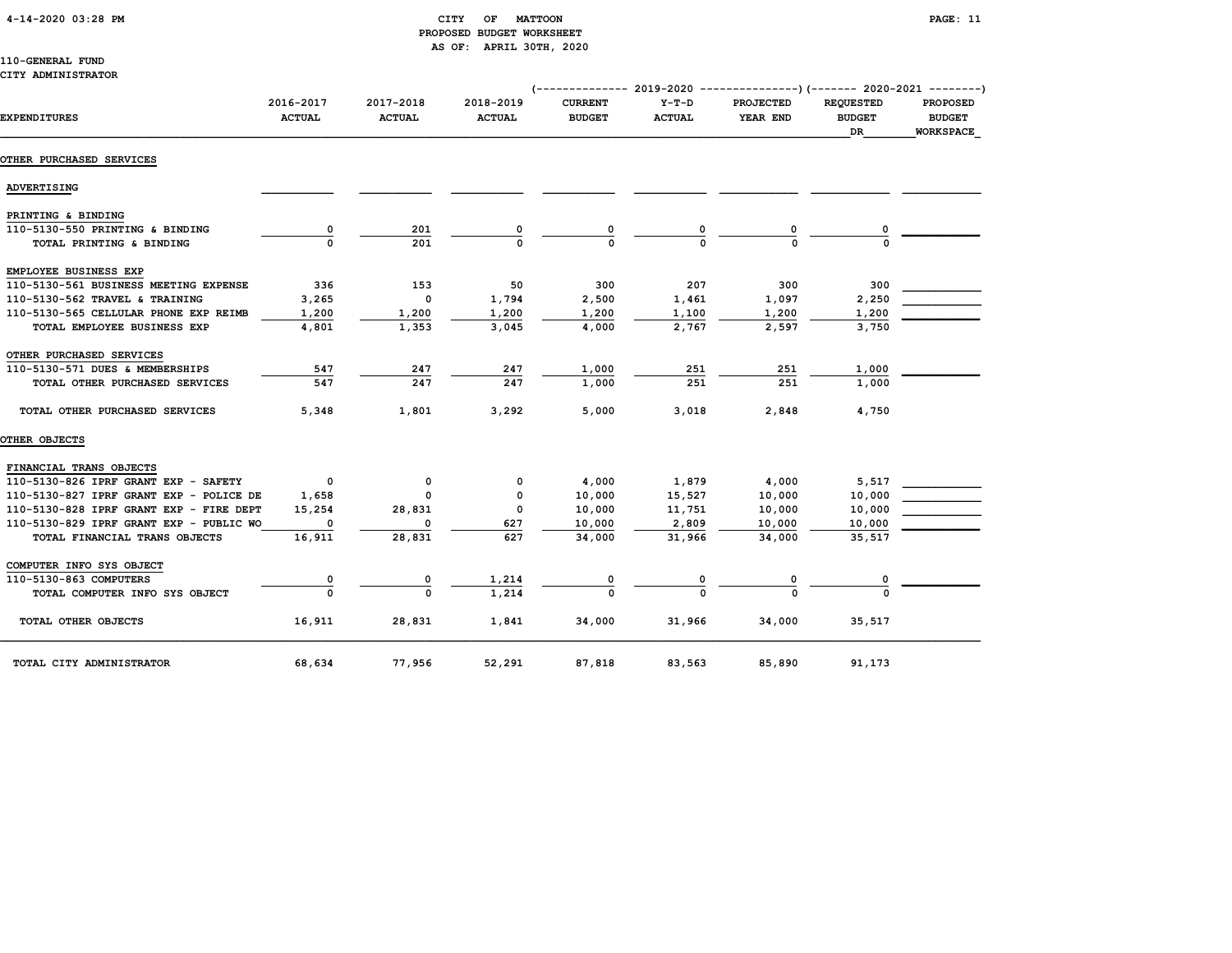# 4-14-2020 03:28 PM CITY OF MATTOON PAGE: 11 PROPOSED BUDGET WORKSHEET AS OF: APRIL 30TH, 2020

# 110-GENERAL FUND CITY ADMINISTRATOR

|                                         |                            |                            |                            | (-------------- 2019-2020       |                          | ----------------) (------- 2020-2021 --------) |                                                |                                                      |
|-----------------------------------------|----------------------------|----------------------------|----------------------------|---------------------------------|--------------------------|------------------------------------------------|------------------------------------------------|------------------------------------------------------|
| <b>EXPENDITURES</b>                     | 2016-2017<br><b>ACTUAL</b> | 2017-2018<br><b>ACTUAL</b> | 2018-2019<br><b>ACTUAL</b> | <b>CURRENT</b><br><b>BUDGET</b> | $Y-T-D$<br><b>ACTUAL</b> | <b>PROJECTED</b><br>YEAR END                   | <b>REQUESTED</b><br><b>BUDGET</b><br><b>DR</b> | <b>PROPOSED</b><br><b>BUDGET</b><br><b>WORKSPACE</b> |
| OTHER PURCHASED SERVICES                |                            |                            |                            |                                 |                          |                                                |                                                |                                                      |
| ADVERTISING                             |                            |                            |                            |                                 |                          |                                                |                                                |                                                      |
| PRINTING & BINDING                      |                            |                            |                            |                                 |                          |                                                |                                                |                                                      |
| 110-5130-550 PRINTING & BINDING         | 0                          | 201                        |                            | 0                               |                          | 0                                              |                                                |                                                      |
| TOTAL PRINTING & BINDING                | $\Omega$                   | 201                        | $\Omega$                   | $\Omega$                        |                          | $\Omega$                                       |                                                |                                                      |
| EMPLOYEE BUSINESS EXP                   |                            |                            |                            |                                 |                          |                                                |                                                |                                                      |
| 110-5130-561 BUSINESS MEETING EXPENSE   | 336                        | 153                        | 50                         | 300                             | 207                      | 300                                            | 300                                            |                                                      |
| 110-5130-562 TRAVEL & TRAINING          | 3,265                      | $\mathbf 0$                | 1,794                      | 2,500                           | 1,461                    | 1,097                                          | 2,250                                          |                                                      |
| 110-5130-565 CELLULAR PHONE EXP REIMB   | 1,200                      | 1,200                      | 1,200                      | 1,200                           | 1,100                    | 1,200                                          | 1,200                                          |                                                      |
| TOTAL EMPLOYEE BUSINESS EXP             | 4,801                      | 1,353                      | 3,045                      | 4,000                           | 2,767                    | 2,597                                          | 3,750                                          |                                                      |
| OTHER PURCHASED SERVICES                |                            |                            |                            |                                 |                          |                                                |                                                |                                                      |
| 110-5130-571 DUES & MEMBERSHIPS         | 547                        | 247                        | 247                        | 1,000                           | 251                      | 251                                            | 1,000                                          |                                                      |
| TOTAL OTHER PURCHASED SERVICES          | 547                        | 247                        | 247                        | 1,000                           | 251                      | 251                                            | 1,000                                          |                                                      |
| TOTAL OTHER PURCHASED SERVICES          | 5,348                      | 1,801                      | 3,292                      | 5,000                           | 3,018                    | 2,848                                          | 4,750                                          |                                                      |
| OTHER OBJECTS                           |                            |                            |                            |                                 |                          |                                                |                                                |                                                      |
| FINANCIAL TRANS OBJECTS                 |                            |                            |                            |                                 |                          |                                                |                                                |                                                      |
| 110-5130-826 IPRF GRANT EXP - SAFETY    | $^{\circ}$                 | 0                          | 0                          | 4,000                           | 1,879                    | 4,000                                          | 5,517                                          |                                                      |
| 110-5130-827 IPRF GRANT EXP - POLICE DE | 1,658                      | $\Omega$                   | 0                          | 10,000                          | 15,527                   | 10,000                                         | 10,000                                         |                                                      |
| 110-5130-828 IPRF GRANT EXP - FIRE DEPT | 15,254                     | 28,831                     | $\mathbf 0$                | 10,000                          | 11,751                   | 10,000                                         | 10,000                                         |                                                      |
| 110-5130-829 IPRF GRANT EXP - PUBLIC WO | $\Omega$                   | 0                          | 627                        | 10,000                          | 2,809                    | 10,000                                         | 10,000                                         |                                                      |
| TOTAL FINANCIAL TRANS OBJECTS           | 16,911                     | 28,831                     | 627                        | 34,000                          | 31,966                   | 34,000                                         | 35,517                                         |                                                      |
| COMPUTER INFO SYS OBJECT                |                            |                            |                            |                                 |                          |                                                |                                                |                                                      |
| 110-5130-863 COMPUTERS                  | 0                          | 0                          | 1,214                      |                                 |                          |                                                |                                                |                                                      |
| TOTAL COMPUTER INFO SYS OBJECT          | $\Omega$                   | 0                          | 1,214                      |                                 |                          |                                                |                                                |                                                      |
| TOTAL OTHER OBJECTS                     | 16,911                     | 28,831                     | 1,841                      | 34,000                          | 31,966                   | 34,000                                         | 35,517                                         |                                                      |
| TOTAL CITY ADMINISTRATOR                | 68,634                     | 77,956                     | 52,291                     | 87,818                          | 83,563                   | 85,890                                         | 91,173                                         |                                                      |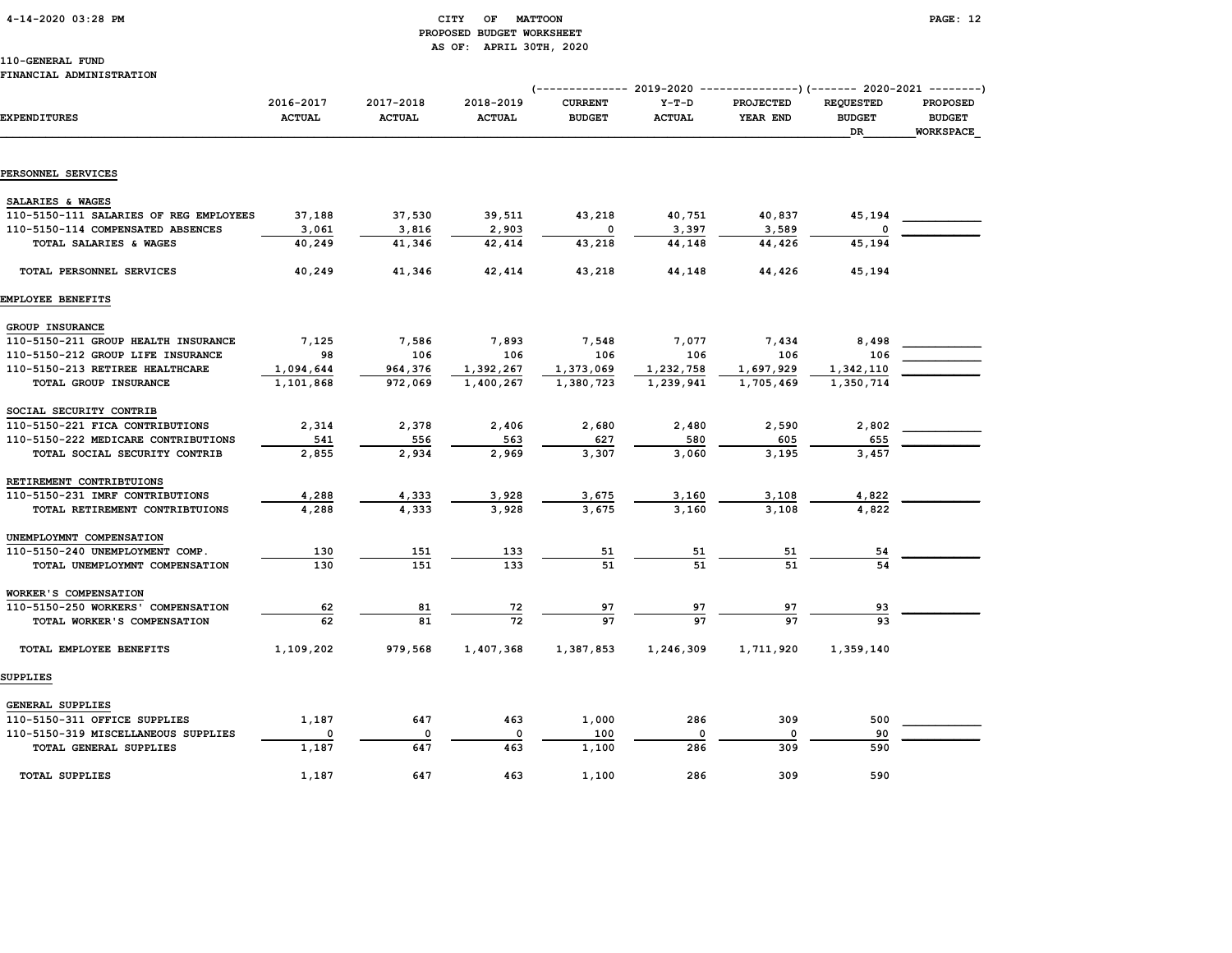# 4-14-2020 03:28 PM CITY OF MATTOON PAGE: 12 PROPOSED BUDGET WORKSHEET AS OF: APRIL 30TH, 2020

# 110-GENERAL FUND

### FINANCIAL ADMINISTRATION

|                                                                      |                            |                            |                            | $--------- 2019-2020$           |                          | ---------------) (------- 2020-2021 --------) |                                         |                                                      |
|----------------------------------------------------------------------|----------------------------|----------------------------|----------------------------|---------------------------------|--------------------------|-----------------------------------------------|-----------------------------------------|------------------------------------------------------|
| <b>EXPENDITURES</b>                                                  | 2016-2017<br><b>ACTUAL</b> | 2017-2018<br><b>ACTUAL</b> | 2018-2019<br><b>ACTUAL</b> | <b>CURRENT</b><br><b>BUDGET</b> | $Y-T-D$<br><b>ACTUAL</b> | PROJECTED<br>YEAR END                         | <b>REQUESTED</b><br><b>BUDGET</b><br>DR | <b>PROPOSED</b><br><b>BUDGET</b><br><b>WORKSPACE</b> |
|                                                                      |                            |                            |                            |                                 |                          |                                               |                                         |                                                      |
| PERSONNEL SERVICES                                                   |                            |                            |                            |                                 |                          |                                               |                                         |                                                      |
| SALARIES & WAGES                                                     |                            |                            |                            |                                 |                          |                                               |                                         |                                                      |
| 110-5150-111 SALARIES OF REG EMPLOYEES                               | 37,188                     | 37,530                     | 39,511                     | 43,218                          | 40,751                   | 40,837                                        | 45,194                                  |                                                      |
| 110-5150-114 COMPENSATED ABSENCES                                    | 3,061                      | 3,816                      | 2,903                      | $\Omega$                        | 3,397                    | 3,589                                         |                                         |                                                      |
| TOTAL SALARIES & WAGES                                               | 40,249                     | 41,346                     | 42,414                     | 43,218                          | 44,148                   | 44,426                                        | 45,194                                  |                                                      |
| TOTAL PERSONNEL SERVICES                                             | 40,249                     | 41,346                     | 42,414                     | 43,218                          | 44,148                   | 44,426                                        | 45,194                                  |                                                      |
| <b>EMPLOYEE BENEFITS</b>                                             |                            |                            |                            |                                 |                          |                                               |                                         |                                                      |
|                                                                      |                            |                            |                            |                                 |                          |                                               |                                         |                                                      |
| GROUP INSURANCE<br>110-5150-211 GROUP HEALTH INSURANCE               | 7,125                      | 7,586                      | 7,893                      | 7,548                           | 7,077                    | 7,434                                         | 8,498                                   |                                                      |
| 110-5150-212 GROUP LIFE INSURANCE                                    | 98                         | 106                        | 106                        | 106                             | 106                      | 106                                           | 106                                     |                                                      |
| 110-5150-213 RETIREE HEALTHCARE                                      | 1,094,644                  | 964,376                    | 1,392,267                  | 1,373,069                       | 1,232,758                | 1,697,929                                     | 1,342,110                               |                                                      |
| TOTAL GROUP INSURANCE                                                | 1,101,868                  | 972,069                    | 1,400,267                  | 1,380,723                       | 1,239,941                | 1,705,469                                     | 1,350,714                               |                                                      |
|                                                                      |                            |                            |                            |                                 |                          |                                               |                                         |                                                      |
| SOCIAL SECURITY CONTRIB                                              |                            |                            |                            |                                 |                          |                                               |                                         |                                                      |
| 110-5150-221 FICA CONTRIBUTIONS                                      | 2,314                      | 2,378                      | 2,406                      | 2,680                           | 2,480                    | 2,590                                         | 2,802                                   |                                                      |
| 110-5150-222 MEDICARE CONTRIBUTIONS<br>TOTAL SOCIAL SECURITY CONTRIB | 541<br>2,855               | 556<br>2,934               | 563<br>2,969               | 627<br>3,307                    | 580<br>3,060             | 605<br>3,195                                  | 655<br>3,457                            |                                                      |
|                                                                      |                            |                            |                            |                                 |                          |                                               |                                         |                                                      |
| RETIREMENT CONTRIBTUIONS                                             |                            |                            |                            |                                 |                          |                                               |                                         |                                                      |
| 110-5150-231 IMRF CONTRIBUTIONS                                      | 4,288                      | 4,333                      | 3,928                      | 3,675                           | 3,160                    | 3,108                                         | 4,822                                   |                                                      |
| TOTAL RETIREMENT CONTRIBTUIONS                                       | 4,288                      | 4,333                      | 3,928                      | 3,675                           | 3,160                    | 3.108                                         | 4,822                                   |                                                      |
| UNEMPLOYMNT COMPENSATION                                             |                            |                            |                            |                                 |                          |                                               |                                         |                                                      |
| 110-5150-240 UNEMPLOYMENT COMP.                                      | 130                        | 151                        | 133                        | 51                              | 51                       | 51                                            | 54                                      |                                                      |
| TOTAL UNEMPLOYMNT COMPENSATION                                       | 130                        | 151                        | 133                        | 51                              | 51                       | 51                                            | 54                                      |                                                      |
| WORKER'S COMPENSATION                                                |                            |                            |                            |                                 |                          |                                               |                                         |                                                      |
| 110-5150-250 WORKERS' COMPENSATION                                   | 62                         | 81                         | 72                         | 97                              | 97                       | 97                                            | 93                                      |                                                      |
| TOTAL WORKER'S COMPENSATION                                          | 62                         | 81                         | 72                         | 97                              | 97                       | 97                                            | 93                                      |                                                      |
| TOTAL EMPLOYEE BENEFITS                                              | 1,109,202                  | 979,568                    | 1,407,368                  | 1,387,853                       | 1,246,309                | 1,711,920                                     | 1,359,140                               |                                                      |
| <b>SUPPLIES</b>                                                      |                            |                            |                            |                                 |                          |                                               |                                         |                                                      |
| GENERAL SUPPLIES                                                     |                            |                            |                            |                                 |                          |                                               |                                         |                                                      |
| 110-5150-311 OFFICE SUPPLIES                                         | 1,187                      | 647                        | 463                        | 1,000                           | 286                      | 309                                           | 500                                     |                                                      |
| 110-5150-319 MISCELLANEOUS SUPPLIES                                  | 0                          | 0                          | $\mathbf 0$                | 100                             | 0                        | 0                                             | 90                                      |                                                      |
| TOTAL GENERAL SUPPLIES                                               | 1,187                      | 647                        | 463                        | 1,100                           | 286                      | 309                                           | 590                                     |                                                      |
|                                                                      |                            |                            |                            |                                 |                          |                                               |                                         |                                                      |
| <b>TOTAL SUPPLIES</b>                                                | 1,187                      | 647                        | 463                        | 1,100                           | 286                      | 309                                           | 590                                     |                                                      |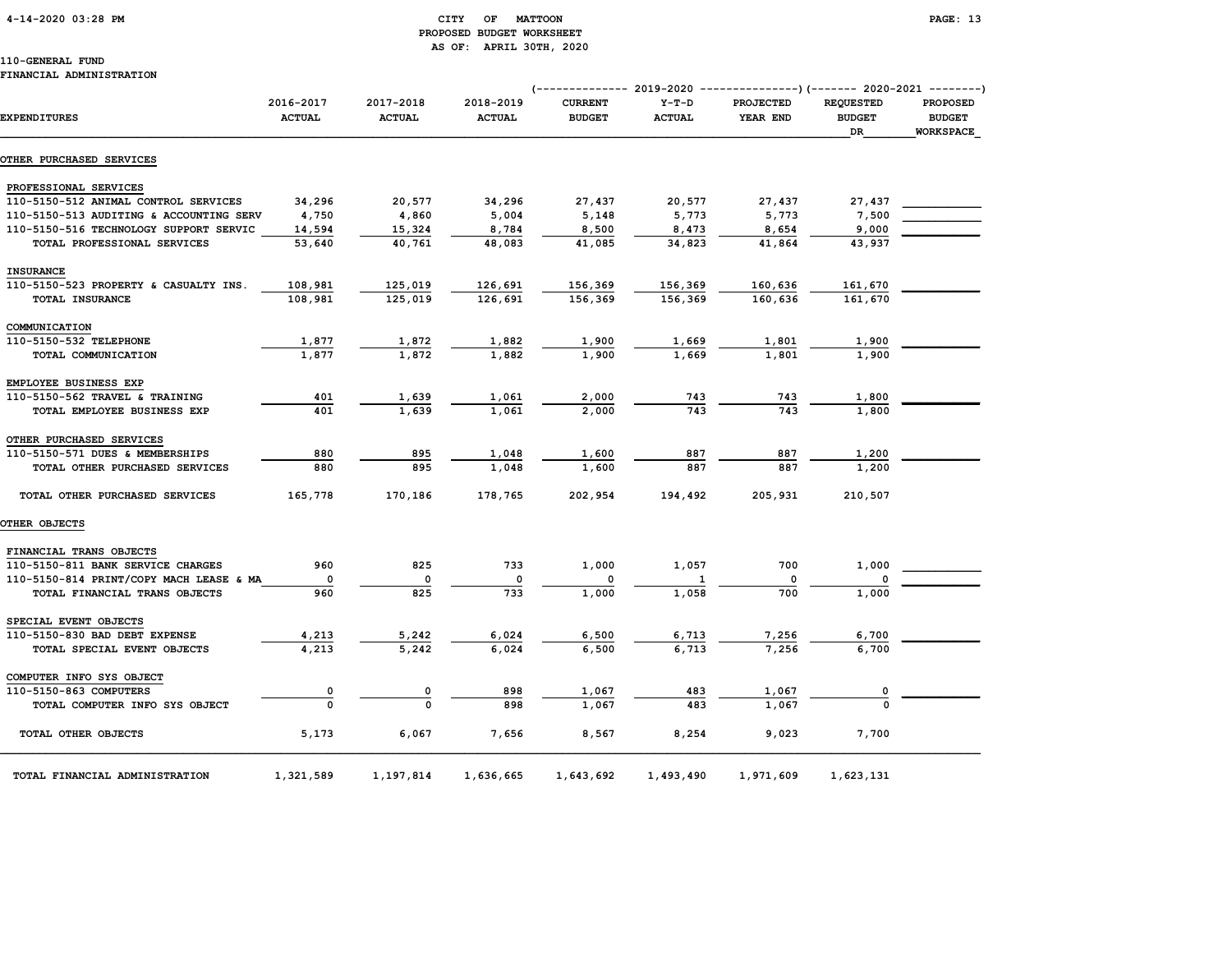# 4-14-2020 03:28 PM CITY OF MATTOON PAGE: 13 PROPOSED BUDGET WORKSHEET AS OF: APRIL 30TH, 2020

|                                         |                            |                            |                            | (------------- 2019-2020 ----------------) (------- 2020-2021 --------) |                          |                              |                                         |                                                      |
|-----------------------------------------|----------------------------|----------------------------|----------------------------|-------------------------------------------------------------------------|--------------------------|------------------------------|-----------------------------------------|------------------------------------------------------|
| EXPENDITURES                            | 2016-2017<br><b>ACTUAL</b> | 2017-2018<br><b>ACTUAL</b> | 2018-2019<br><b>ACTUAL</b> | <b>CURRENT</b><br><b>BUDGET</b>                                         | $Y-T-D$<br><b>ACTUAL</b> | <b>PROJECTED</b><br>YEAR END | <b>REQUESTED</b><br><b>BUDGET</b><br>DR | <b>PROPOSED</b><br><b>BUDGET</b><br><b>WORKSPACE</b> |
| <b>OTHER PURCHASED SERVICES</b>         |                            |                            |                            |                                                                         |                          |                              |                                         |                                                      |
| PROFESSIONAL SERVICES                   |                            |                            |                            |                                                                         |                          |                              |                                         |                                                      |
| 110-5150-512 ANIMAL CONTROL SERVICES    | 34,296                     | 20,577                     | 34,296                     | 27,437                                                                  | 20,577                   | 27,437                       | 27,437                                  |                                                      |
| 110-5150-513 AUDITING & ACCOUNTING SERV | 4,750                      | 4,860                      | 5,004                      | 5,148                                                                   | 5,773                    | 5,773                        | 7,500                                   |                                                      |
| 110-5150-516 TECHNOLOGY SUPPORT SERVIC  | 14,594                     | 15,324                     | 8,784                      | 8,500                                                                   | 8,473                    | 8,654                        | 9,000                                   |                                                      |
| TOTAL PROFESSIONAL SERVICES             | 53,640                     | 40,761                     | 48,083                     | 41,085                                                                  | 34,823                   | 41,864                       | 43,937                                  |                                                      |
| <b>INSURANCE</b>                        |                            |                            |                            |                                                                         |                          |                              |                                         |                                                      |
| 110-5150-523 PROPERTY & CASUALTY INS.   | 108,981                    | 125,019                    | 126,691                    | 156,369                                                                 | 156,369                  | 160,636                      | 161,670                                 |                                                      |
| TOTAL INSURANCE                         | 108,981                    | 125,019                    | 126,691                    | 156,369                                                                 | 156,369                  | 160,636                      | 161,670                                 |                                                      |
| COMMUNICATION                           |                            |                            |                            |                                                                         |                          |                              |                                         |                                                      |
| 110-5150-532 TELEPHONE                  | 1,877                      | 1,872                      | 1,882                      | 1,900                                                                   | 1,669                    | 1,801                        | 1,900                                   |                                                      |
| TOTAL COMMUNICATION                     | 1,877                      | 1,872                      | 1,882                      | 1,900                                                                   | 1,669                    | 1,801                        | 1,900                                   |                                                      |
| EMPLOYEE BUSINESS EXP                   |                            |                            |                            |                                                                         |                          |                              |                                         |                                                      |
| 110-5150-562 TRAVEL & TRAINING          | 401                        | 1,639                      | 1,061                      | 2,000                                                                   | 743                      | 743                          | 1,800                                   |                                                      |
| TOTAL EMPLOYEE BUSINESS EXP             | 401                        | 1,639                      | 1,061                      | 2,000                                                                   | 743                      | 743                          | 1,800                                   |                                                      |
| OTHER PURCHASED SERVICES                |                            |                            |                            |                                                                         |                          |                              |                                         |                                                      |
| 110-5150-571 DUES & MEMBERSHIPS         | 880                        | 895                        | 1,048                      | 1,600                                                                   | 887                      | 887                          | 1,200                                   |                                                      |
| TOTAL OTHER PURCHASED SERVICES          | 880                        | 895                        | 1,048                      | 1,600                                                                   | 887                      | 887                          | 1,200                                   |                                                      |
| TOTAL OTHER PURCHASED SERVICES          | 165,778                    | 170,186                    | 178,765                    | 202,954                                                                 | 194,492                  | 205,931                      | 210,507                                 |                                                      |
| <b>OTHER OBJECTS</b>                    |                            |                            |                            |                                                                         |                          |                              |                                         |                                                      |
| FINANCIAL TRANS OBJECTS                 |                            |                            |                            |                                                                         |                          |                              |                                         |                                                      |
| 110-5150-811 BANK SERVICE CHARGES       | 960                        | 825                        | 733                        | 1,000                                                                   | 1,057                    | 700                          | 1,000                                   |                                                      |
| 110-5150-814 PRINT/COPY MACH LEASE & MA | 0                          | 0                          | 0                          |                                                                         |                          | 0                            |                                         |                                                      |
| TOTAL FINANCIAL TRANS OBJECTS           | 960                        | 825                        | 733                        | 1,000                                                                   | 1,058                    | 700                          | 1,000                                   |                                                      |
| SPECIAL EVENT OBJECTS                   |                            |                            |                            |                                                                         |                          |                              |                                         |                                                      |
| 110-5150-830 BAD DEBT EXPENSE           | 4,213                      | 5,242                      | 6,024                      | 6,500                                                                   | 6,713                    | 7,256                        | 6,700                                   |                                                      |
| TOTAL SPECIAL EVENT OBJECTS             | 4,213                      | 5,242                      | 6,024                      | 6,500                                                                   | 6,713                    | 7,256                        | 6,700                                   |                                                      |
| COMPUTER INFO SYS OBJECT                |                            |                            |                            |                                                                         |                          |                              |                                         |                                                      |
| 110-5150-863 COMPUTERS                  | $\overline{\mathbf{0}}$    | $\overline{\mathbf{0}}$    | 898                        | 1,067                                                                   | 483                      | 1,067                        |                                         |                                                      |
| TOTAL COMPUTER INFO SYS OBJECT          | $\Omega$                   | $\mathbf 0$                | 898                        | 1,067                                                                   | 483                      | 1,067                        |                                         |                                                      |
| TOTAL OTHER OBJECTS                     | 5,173                      | 6,067                      | 7,656                      | 8,567                                                                   | 8,254                    | 9,023                        | 7,700                                   |                                                      |
| TOTAL FINANCIAL ADMINISTRATION          | 1,321,589                  | 1,197,814                  | 1,636,665                  | 1,643,692                                                               | 1,493,490                | 1,971,609                    | 1,623,131                               |                                                      |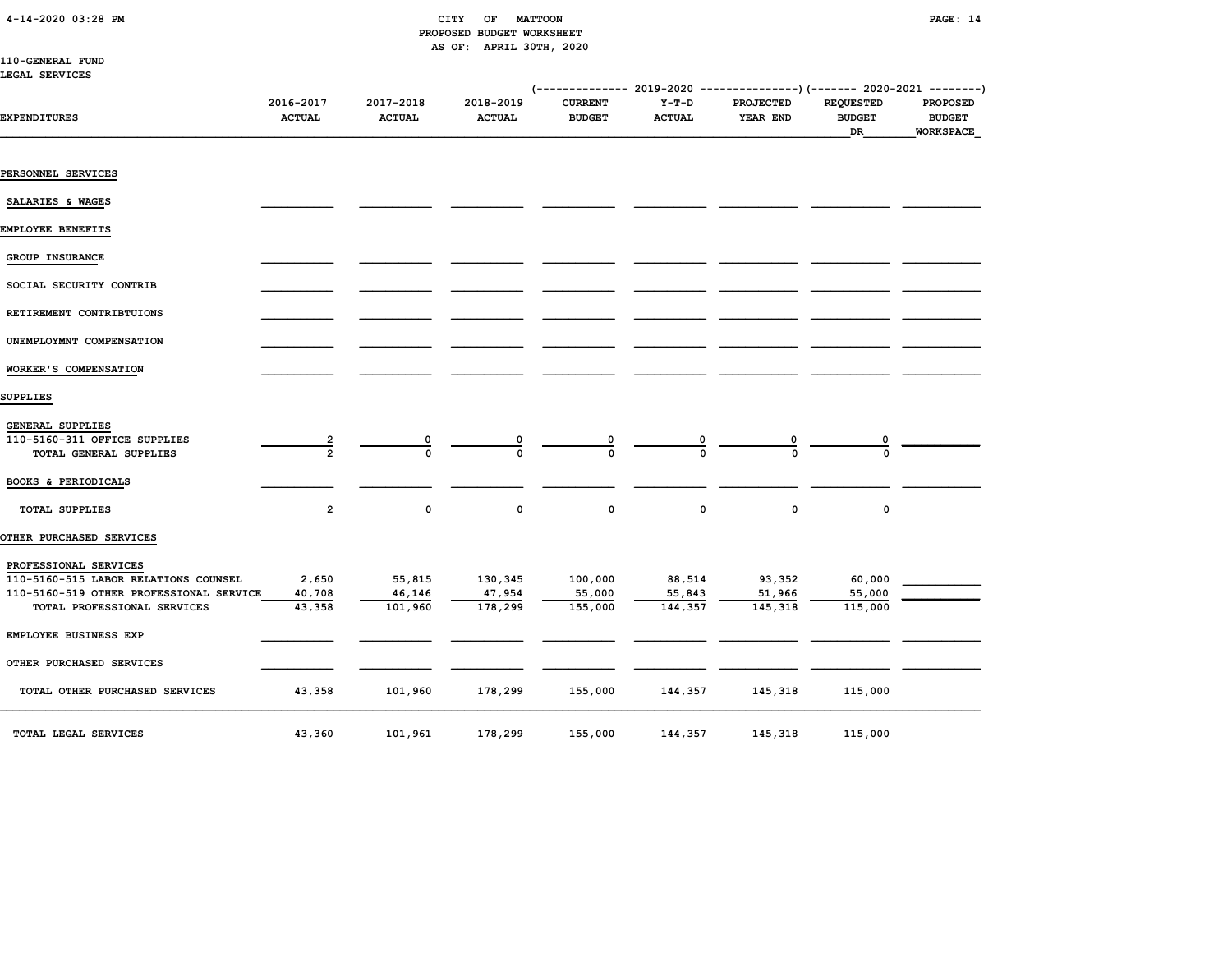# PROPOSED BUDGET WORKSHEET AS OF: APRIL 30TH, 2020

| 110-GENERAL FUND |  |
|------------------|--|
| LEGAL SERVICES   |  |

|                                                                        |                            |                            |                            | (-------------- 2019-2020 ----------------) (------- 2020-2021 --------) |                          |                              |                                         |                                                      |
|------------------------------------------------------------------------|----------------------------|----------------------------|----------------------------|--------------------------------------------------------------------------|--------------------------|------------------------------|-----------------------------------------|------------------------------------------------------|
| <b>EXPENDITURES</b>                                                    | 2016-2017<br><b>ACTUAL</b> | 2017-2018<br><b>ACTUAL</b> | 2018-2019<br><b>ACTUAL</b> | <b>CURRENT</b><br><b>BUDGET</b>                                          | $Y-T-D$<br><b>ACTUAL</b> | <b>PROJECTED</b><br>YEAR END | <b>REQUESTED</b><br><b>BUDGET</b><br>DR | <b>PROPOSED</b><br><b>BUDGET</b><br><b>WORKSPACE</b> |
| PERSONNEL SERVICES                                                     |                            |                            |                            |                                                                          |                          |                              |                                         |                                                      |
|                                                                        |                            |                            |                            |                                                                          |                          |                              |                                         |                                                      |
| SALARIES & WAGES                                                       |                            |                            |                            |                                                                          |                          |                              |                                         |                                                      |
| EMPLOYEE BENEFITS                                                      |                            |                            |                            |                                                                          |                          |                              |                                         |                                                      |
| GROUP INSURANCE                                                        |                            |                            |                            |                                                                          |                          |                              |                                         |                                                      |
| SOCIAL SECURITY CONTRIB                                                |                            |                            |                            |                                                                          |                          |                              |                                         |                                                      |
| RETIREMENT CONTRIBTUIONS                                               |                            |                            |                            |                                                                          |                          |                              |                                         |                                                      |
| UNEMPLOYMNT COMPENSATION                                               |                            |                            |                            |                                                                          |                          |                              |                                         |                                                      |
| WORKER'S COMPENSATION                                                  |                            |                            |                            |                                                                          |                          |                              |                                         |                                                      |
| SUPPLIES                                                               |                            |                            |                            |                                                                          |                          |                              |                                         |                                                      |
| GENERAL SUPPLIES                                                       |                            |                            |                            |                                                                          |                          |                              |                                         |                                                      |
| 110-5160-311 OFFICE SUPPLIES<br>TOTAL GENERAL SUPPLIES                 | $\frac{2}{2}$              |                            |                            |                                                                          |                          |                              |                                         |                                                      |
| BOOKS & PERIODICALS                                                    |                            |                            |                            |                                                                          |                          |                              |                                         |                                                      |
| <b>TOTAL SUPPLIES</b>                                                  | $\overline{2}$             | $\mathbf 0$                | 0                          | $\mathbf 0$                                                              | $\mathbf 0$              | $\mathbf 0$                  | $\mathbf 0$                             |                                                      |
| OTHER PURCHASED SERVICES                                               |                            |                            |                            |                                                                          |                          |                              |                                         |                                                      |
| PROFESSIONAL SERVICES                                                  |                            |                            |                            |                                                                          |                          |                              |                                         |                                                      |
| 110-5160-515 LABOR RELATIONS COUNSEL                                   | 2,650                      | 55,815                     | 130,345                    | 100,000                                                                  | 88,514                   | 93,352                       | 60,000                                  |                                                      |
| 110-5160-519 OTHER PROFESSIONAL SERVICE<br>TOTAL PROFESSIONAL SERVICES | 40,708<br>43,358           | 46,146<br>101,960          | 47,954<br>178,299          | 55,000<br>155,000                                                        | 55,843<br>144,357        | 51,966<br>145,318            | 55,000<br>115,000                       |                                                      |
| EMPLOYEE BUSINESS EXP                                                  |                            |                            |                            |                                                                          |                          |                              |                                         |                                                      |
| OTHER PURCHASED SERVICES                                               |                            |                            |                            |                                                                          |                          |                              |                                         |                                                      |
| TOTAL OTHER PURCHASED SERVICES                                         | 43,358                     | 101,960                    | 178,299                    | 155,000                                                                  | 144,357                  | 145,318                      | 115,000                                 |                                                      |
| TOTAL LEGAL SERVICES                                                   | 43,360                     | 101,961                    | 178,299                    | 155,000                                                                  | 144,357                  | 145,318                      | 115,000                                 |                                                      |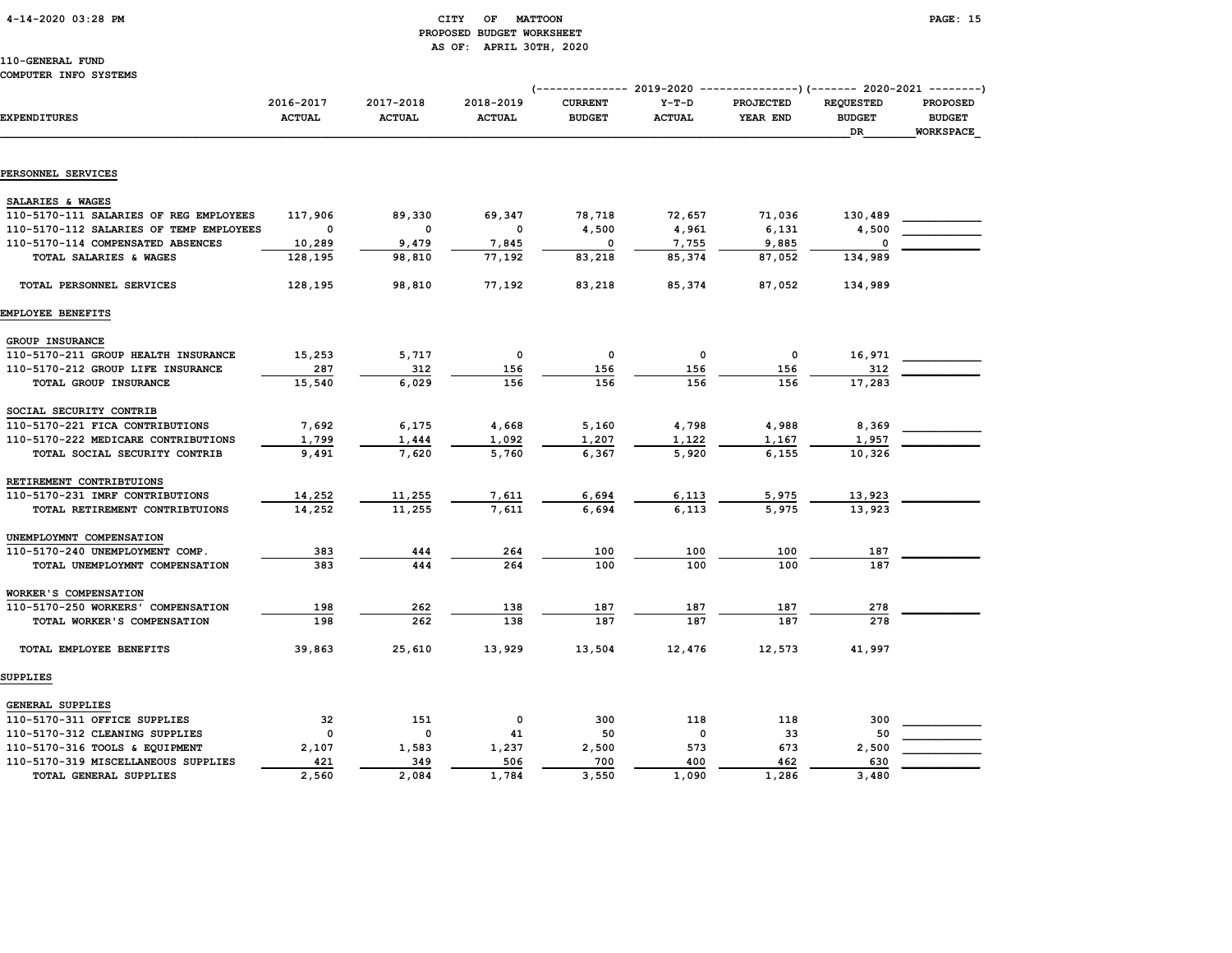# 4-14-2020 03:28 PM CITY OF MATTOON PAGE: 15 PROPOSED BUDGET WORKSHEET AS OF: APRIL 30TH, 2020

|                                         |                            |                            |                            | (-------------- 2019-2020 ----------------)(------- 2020-2021 --------) |                          |                              |                                                |                                                      |
|-----------------------------------------|----------------------------|----------------------------|----------------------------|-------------------------------------------------------------------------|--------------------------|------------------------------|------------------------------------------------|------------------------------------------------------|
| <b>EXPENDITURES</b>                     | 2016-2017<br><b>ACTUAL</b> | 2017-2018<br><b>ACTUAL</b> | 2018-2019<br><b>ACTUAL</b> | <b>CURRENT</b><br><b>BUDGET</b>                                         | $Y-T-D$<br><b>ACTUAL</b> | <b>PROJECTED</b><br>YEAR END | <b>REQUESTED</b><br><b>BUDGET</b><br><b>DR</b> | <b>PROPOSED</b><br><b>BUDGET</b><br><b>WORKSPACE</b> |
|                                         |                            |                            |                            |                                                                         |                          |                              |                                                |                                                      |
| PERSONNEL SERVICES                      |                            |                            |                            |                                                                         |                          |                              |                                                |                                                      |
| SALARIES & WAGES                        |                            |                            |                            |                                                                         |                          |                              |                                                |                                                      |
| 110-5170-111 SALARIES OF REG EMPLOYEES  | 117,906                    | 89,330                     | 69,347                     | 78,718                                                                  | 72,657                   | 71,036                       | 130,489                                        |                                                      |
| 110-5170-112 SALARIES OF TEMP EMPLOYEES | 0                          | 0                          | 0                          | 4,500                                                                   | 4,961                    | 6,131                        | 4,500                                          |                                                      |
| 110-5170-114 COMPENSATED ABSENCES       | 10,289                     | 9,479                      | 7,845                      | 0                                                                       | 7,755                    | 9,885                        | $\Omega$                                       |                                                      |
| TOTAL SALARIES & WAGES                  | 128,195                    | 98,810                     | 77,192                     | 83,218                                                                  | 85,374                   | 87,052                       | 134,989                                        |                                                      |
| TOTAL PERSONNEL SERVICES                | 128,195                    | 98,810                     | 77,192                     | 83,218                                                                  | 85,374                   | 87,052                       | 134,989                                        |                                                      |
| EMPLOYEE BENEFITS                       |                            |                            |                            |                                                                         |                          |                              |                                                |                                                      |
| GROUP INSURANCE                         |                            |                            |                            |                                                                         |                          |                              |                                                |                                                      |
| 110-5170-211 GROUP HEALTH INSURANCE     | 15,253                     | 5,717                      | 0                          | $\mathbf 0$                                                             | 0                        | 0                            | 16,971                                         |                                                      |
| 110-5170-212 GROUP LIFE INSURANCE       | 287                        | 312                        | 156                        | 156                                                                     | 156                      | 156                          | 312                                            |                                                      |
| TOTAL GROUP INSURANCE                   | 15,540                     | 6,029                      | 156                        | 156                                                                     | 156                      | 156                          | 17,283                                         |                                                      |
|                                         |                            |                            |                            |                                                                         |                          |                              |                                                |                                                      |
| SOCIAL SECURITY CONTRIB                 |                            |                            |                            |                                                                         |                          |                              |                                                |                                                      |
| 110-5170-221 FICA CONTRIBUTIONS         | 7,692                      | 6,175                      | 4,668                      | 5,160                                                                   | 4,798                    | 4,988                        | 8,369                                          |                                                      |
| 110-5170-222 MEDICARE CONTRIBUTIONS     | 1,799                      | 1,444                      | 1,092                      | 1,207                                                                   | 1,122                    | 1,167                        | 1,957                                          |                                                      |
| TOTAL SOCIAL SECURITY CONTRIB           | 9,491                      | 7,620                      | 5,760                      | 6,367                                                                   | 5,920                    | 6, 155                       | 10,326                                         |                                                      |
| RETIREMENT CONTRIBTUIONS                |                            |                            |                            |                                                                         |                          |                              |                                                |                                                      |
| 110-5170-231 IMRF CONTRIBUTIONS         | 14,252                     | 11,255                     | 7,611                      | 6,694                                                                   | 6,113                    | 5,975                        | 13,923                                         |                                                      |
| TOTAL RETIREMENT CONTRIBTUIONS          | 14,252                     | 11,255                     | 7.611                      | 6,694                                                                   | 6.113                    | 5,975                        | 13,923                                         |                                                      |
| UNEMPLOYMNT COMPENSATION                |                            |                            |                            |                                                                         |                          |                              |                                                |                                                      |
| 110-5170-240 UNEMPLOYMENT COMP.         | 383                        | 444                        | 264                        | 100                                                                     | 100                      | 100                          | 187                                            |                                                      |
| TOTAL UNEMPLOYMNT COMPENSATION          | 383                        | 444                        | 264                        | 100                                                                     | 100                      | 100                          | 187                                            |                                                      |
|                                         |                            |                            |                            |                                                                         |                          |                              |                                                |                                                      |
| WORKER'S COMPENSATION                   |                            |                            |                            |                                                                         |                          |                              |                                                |                                                      |
| 110-5170-250 WORKERS' COMPENSATION      | 198                        | 262                        | 138                        | 187                                                                     | 187                      | 187                          | 278                                            |                                                      |
| TOTAL WORKER'S COMPENSATION             | 198                        | 262                        | 138                        | 187                                                                     | 187                      | 187                          | 278                                            |                                                      |
| TOTAL EMPLOYEE BENEFITS                 | 39,863                     | 25,610                     | 13,929                     | 13,504                                                                  | 12,476                   | 12,573                       | 41,997                                         |                                                      |
| SUPPLIES                                |                            |                            |                            |                                                                         |                          |                              |                                                |                                                      |
| GENERAL SUPPLIES                        |                            |                            |                            |                                                                         |                          |                              |                                                |                                                      |
| 110-5170-311 OFFICE SUPPLIES            | 32                         | 151                        | 0                          | 300                                                                     | 118                      | 118                          | 300                                            |                                                      |
| 110-5170-312 CLEANING SUPPLIES          | 0                          | 0                          | 41                         | 50                                                                      | $\mathbf 0$              | 33                           | 50                                             |                                                      |
| 110-5170-316 TOOLS & EQUIPMENT          | 2,107                      | 1,583                      | 1,237                      | 2,500                                                                   | 573                      | 673                          | 2,500                                          |                                                      |
| 110-5170-319 MISCELLANEOUS SUPPLIES     | 421                        | 349                        | 506                        | 700                                                                     | 400                      | 462                          | 630                                            |                                                      |
| TOTAL GENERAL SUPPLIES                  | 2,560                      | 2,084                      | 1,784                      | 3,550                                                                   | 1,090                    | 1,286                        | 3,480                                          |                                                      |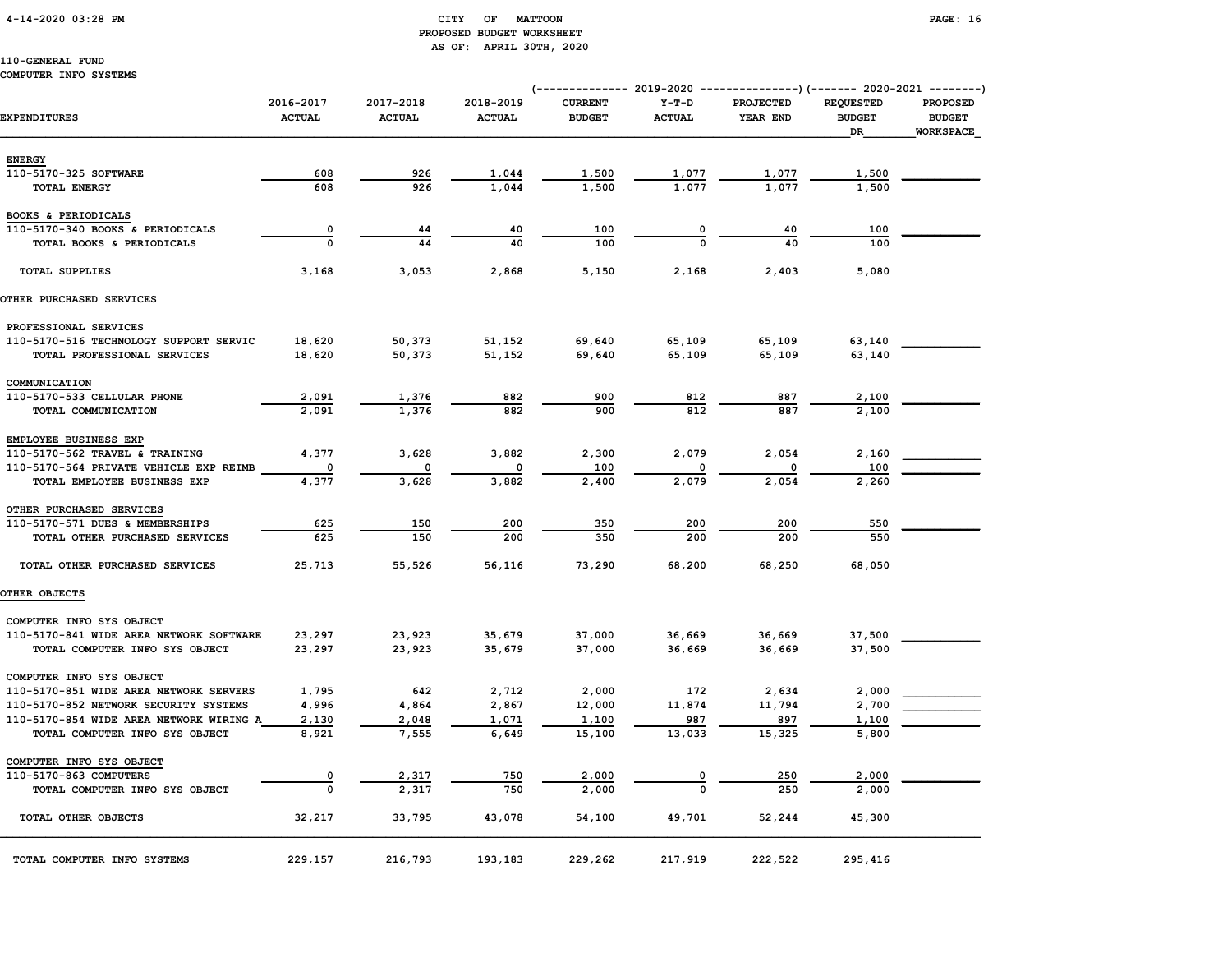# 4-14-2020 03:28 PM CITY OF MATTOON PAGE: 16 PROPOSED BUDGET WORKSHEET AS OF: APRIL 30TH, 2020

# 110-GENERAL FUND

### COMPUTER INFO SYSTEMS

|                                         |                            |                            |                            | (-------------- 2019-2020 ----------------)(------- 2020-2021 --------) |                          |                              |                                         |                                                      |
|-----------------------------------------|----------------------------|----------------------------|----------------------------|-------------------------------------------------------------------------|--------------------------|------------------------------|-----------------------------------------|------------------------------------------------------|
| <b>EXPENDITURES</b>                     | 2016-2017<br><b>ACTUAL</b> | 2017-2018<br><b>ACTUAL</b> | 2018-2019<br><b>ACTUAL</b> | <b>CURRENT</b><br><b>BUDGET</b>                                         | $Y-T-D$<br><b>ACTUAL</b> | <b>PROJECTED</b><br>YEAR END | <b>REQUESTED</b><br><b>BUDGET</b><br>DR | <b>PROPOSED</b><br><b>BUDGET</b><br><b>WORKSPACE</b> |
| <b>ENERGY</b>                           |                            |                            |                            |                                                                         |                          |                              |                                         |                                                      |
| 110-5170-325 SOFTWARE                   | 608                        | 926                        | 1,044                      | 1,500                                                                   | 1,077                    | 1,077                        | 1,500                                   |                                                      |
| <b>TOTAL ENERGY</b>                     | 608                        | 926                        | 1,044                      | 1,500                                                                   | 1,077                    | 1,077                        | 1,500                                   |                                                      |
| BOOKS & PERIODICALS                     |                            |                            |                            |                                                                         |                          |                              |                                         |                                                      |
| 110-5170-340 BOOKS & PERIODICALS        | 0                          | 44                         | 40                         | 100                                                                     | 0                        | 40                           | 100                                     |                                                      |
| TOTAL BOOKS & PERIODICALS               | $\Omega$                   | 44                         | 40                         | 100                                                                     | $\Omega$                 | 40                           | 100                                     |                                                      |
| <b>TOTAL SUPPLIES</b>                   | 3,168                      | 3,053                      | 2,868                      | 5,150                                                                   | 2,168                    | 2,403                        | 5,080                                   |                                                      |
| OTHER PURCHASED SERVICES                |                            |                            |                            |                                                                         |                          |                              |                                         |                                                      |
| PROFESSIONAL SERVICES                   |                            |                            |                            |                                                                         |                          |                              |                                         |                                                      |
| 110-5170-516 TECHNOLOGY SUPPORT SERVIC  | 18,620                     | 50,373                     | 51,152                     | 69,640                                                                  | 65,109                   | 65,109                       | 63,140                                  |                                                      |
| TOTAL PROFESSIONAL SERVICES             | 18,620                     | 50,373                     | 51,152                     | 69,640                                                                  | 65,109                   | 65,109                       | 63,140                                  |                                                      |
| COMMUNICATION                           |                            |                            |                            |                                                                         |                          |                              |                                         |                                                      |
| 110-5170-533 CELLULAR PHONE             | 2,091                      | 1,376                      | 882                        | 900                                                                     | 812                      | 887                          | 2,100                                   |                                                      |
| TOTAL COMMUNICATION                     | 2,091                      | 1,376                      | 882                        | 900                                                                     | 812                      | 887                          | 2,100                                   |                                                      |
| EMPLOYEE BUSINESS EXP                   |                            |                            |                            |                                                                         |                          |                              |                                         |                                                      |
| 110-5170-562 TRAVEL & TRAINING          | 4,377                      | 3,628                      | 3,882                      | 2,300                                                                   | 2,079                    | 2,054                        | 2,160                                   |                                                      |
| 110-5170-564 PRIVATE VEHICLE EXP REIMB  | 0                          | 0                          | 0                          | 100                                                                     | $\mathbf 0$              |                              | 100                                     |                                                      |
| TOTAL EMPLOYEE BUSINESS EXP             | 4,377                      | 3,628                      | 3,882                      | 2,400                                                                   | 2,079                    | 2,054                        | 2,260                                   |                                                      |
| OTHER PURCHASED SERVICES                |                            |                            |                            |                                                                         |                          |                              |                                         |                                                      |
| 110-5170-571 DUES & MEMBERSHIPS         | 625                        | 150                        | 200                        | 350                                                                     | 200                      | 200                          | 550                                     |                                                      |
| TOTAL OTHER PURCHASED SERVICES          | 625                        | 150                        | 200                        | 350                                                                     | 200                      | 200                          | 550                                     |                                                      |
| TOTAL OTHER PURCHASED SERVICES          | 25,713                     | 55,526                     | 56,116                     | 73,290                                                                  | 68,200                   | 68,250                       | 68,050                                  |                                                      |
| OTHER OBJECTS                           |                            |                            |                            |                                                                         |                          |                              |                                         |                                                      |
| COMPUTER INFO SYS OBJECT                |                            |                            |                            |                                                                         |                          |                              |                                         |                                                      |
| 110-5170-841 WIDE AREA NETWORK SOFTWARE | 23,297                     | 23,923                     | 35,679                     | 37,000                                                                  | 36,669                   | 36,669                       | 37,500                                  |                                                      |
| TOTAL COMPUTER INFO SYS OBJECT          | 23,297                     | 23,923                     | 35,679                     | 37,000                                                                  | 36,669                   | 36,669                       | 37,500                                  |                                                      |
| COMPUTER INFO SYS OBJECT                |                            |                            |                            |                                                                         |                          |                              |                                         |                                                      |
| 110-5170-851 WIDE AREA NETWORK SERVERS  | 1,795                      | 642                        | 2,712                      | 2,000                                                                   | 172                      | 2,634                        | 2,000                                   |                                                      |
| 110-5170-852 NETWORK SECURITY SYSTEMS   | 4,996                      | 4,864                      | 2,867                      | 12,000                                                                  | 11,874                   | 11,794                       | 2,700                                   |                                                      |
| 110-5170-854 WIDE AREA NETWORK WIRING A | 2,130                      | 2,048                      | 1,071                      | 1,100                                                                   | 987                      | 897                          | 1,100                                   |                                                      |
| TOTAL COMPUTER INFO SYS OBJECT          | 8,921                      | 7,555                      | 6,649                      | 15,100                                                                  | 13,033                   | 15,325                       | 5,800                                   |                                                      |
| COMPUTER INFO SYS OBJECT                |                            |                            |                            |                                                                         |                          |                              |                                         |                                                      |
| 110-5170-863 COMPUTERS                  | 0                          | 2,317                      | 750                        | 2,000                                                                   |                          | 250                          | 2,000                                   |                                                      |
| TOTAL COMPUTER INFO SYS OBJECT          | $\mathbf 0$                | 2,317                      | 750                        | 2,000                                                                   |                          | 250                          | 2,000                                   |                                                      |
| TOTAL OTHER OBJECTS                     | 32,217                     | 33,795                     | 43,078                     | 54,100                                                                  | 49,701                   | 52,244                       | 45,300                                  |                                                      |
| TOTAL COMPUTER INFO SYSTEMS             | 229,157                    | 216,793                    | 193,183                    | 229,262                                                                 | 217,919                  | 222,522                      | 295,416                                 |                                                      |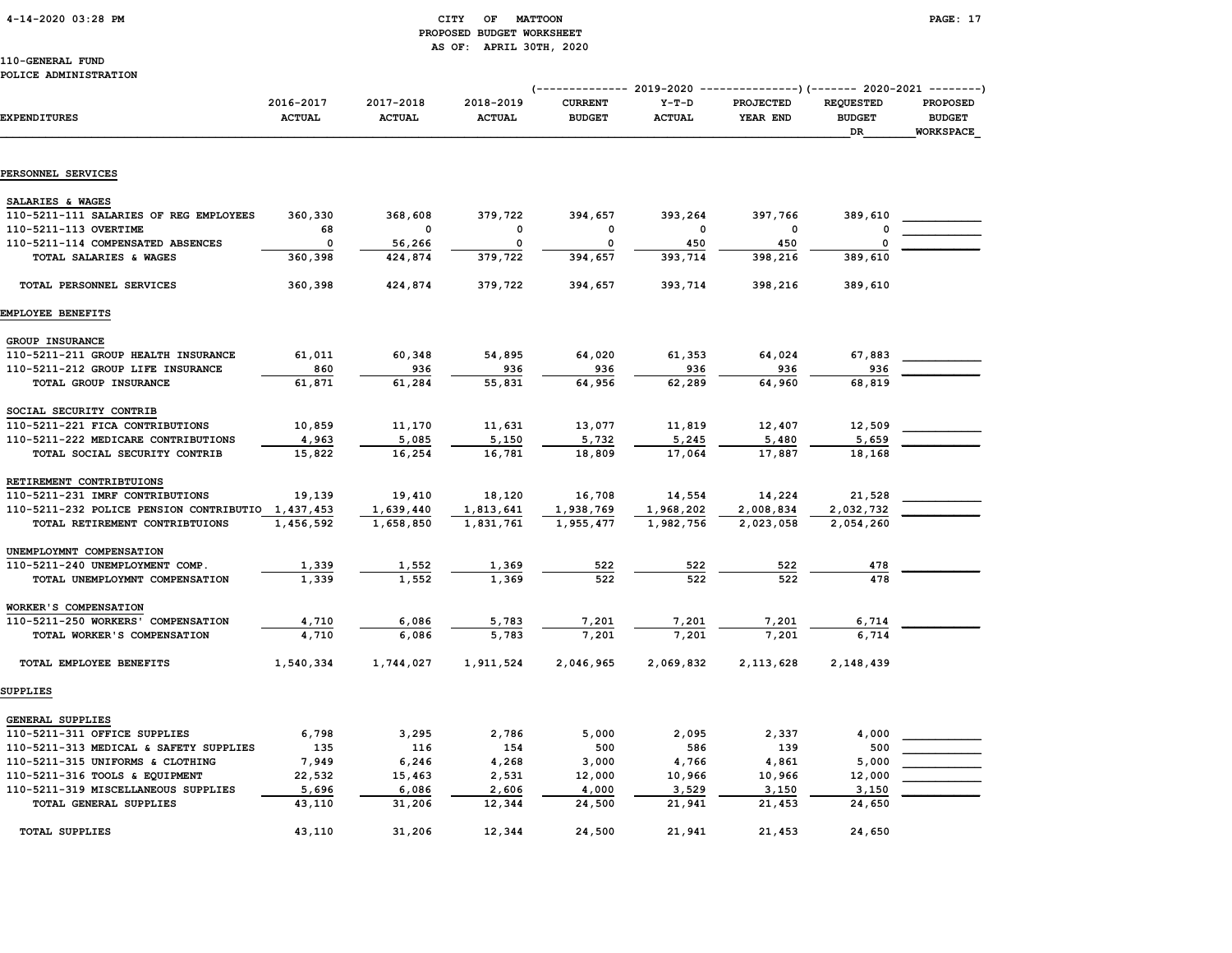# 4-14-2020 03:28 PM CITY OF MATTOON PAGE: 17 PROPOSED BUDGET WORKSHEET AS OF: APRIL 30TH, 2020

# 110-GENERAL FUND

### POLICE ADMINISTRATION

| <b>EXPENDITURES</b>                                         | 2016-2017<br><b>ACTUAL</b> | 2017-2018<br><b>ACTUAL</b> | 2018-2019<br><b>ACTUAL</b> | <b>CURRENT</b><br><b>BUDGET</b> | $Y-T-D$<br><b>ACTUAL</b> | (------------- 2019-2020 ----------------) (------- 2020-2021 --------)<br><b>PROJECTED</b><br>YEAR END | <b>REQUESTED</b><br><b>BUDGET</b><br>DR | <b>PROPOSED</b><br><b>BUDGET</b><br><b>WORKSPACE</b> |
|-------------------------------------------------------------|----------------------------|----------------------------|----------------------------|---------------------------------|--------------------------|---------------------------------------------------------------------------------------------------------|-----------------------------------------|------------------------------------------------------|
| PERSONNEL SERVICES                                          |                            |                            |                            |                                 |                          |                                                                                                         |                                         |                                                      |
|                                                             |                            |                            |                            |                                 |                          |                                                                                                         |                                         |                                                      |
| SALARIES & WAGES<br>110-5211-111 SALARIES OF REG EMPLOYEES  | 360,330                    | 368,608                    | 379,722                    | 394,657                         | 393,264                  | 397,766                                                                                                 | 389,610                                 |                                                      |
| 110-5211-113 OVERTIME                                       | 68                         | 0                          | $\mathbf 0$                | $\mathbf 0$                     | 0                        | $\mathbf 0$                                                                                             | 0                                       |                                                      |
| 110-5211-114 COMPENSATED ABSENCES                           | $\Omega$                   | 56,266                     | 0                          | $\Omega$                        | 450                      | 450                                                                                                     | 0                                       |                                                      |
| TOTAL SALARIES & WAGES                                      | 360,398                    | 424,874                    | 379,722                    | 394,657                         | 393,714                  | 398,216                                                                                                 | 389,610                                 |                                                      |
| TOTAL PERSONNEL SERVICES                                    | 360,398                    | 424,874                    | 379,722                    | 394,657                         | 393,714                  | 398,216                                                                                                 | 389,610                                 |                                                      |
| EMPLOYEE BENEFITS                                           |                            |                            |                            |                                 |                          |                                                                                                         |                                         |                                                      |
| GROUP INSURANCE                                             |                            |                            |                            |                                 |                          |                                                                                                         |                                         |                                                      |
| 110-5211-211 GROUP HEALTH INSURANCE                         | 61,011                     | 60,348                     | 54,895                     | 64,020                          | 61,353                   | 64,024                                                                                                  | 67,883                                  |                                                      |
| 110-5211-212 GROUP LIFE INSURANCE                           | 860                        | 936                        | 936                        | 936                             | 936                      | 936                                                                                                     | 936                                     |                                                      |
| TOTAL GROUP INSURANCE                                       | 61,871                     | 61,284                     | 55,831                     | 64,956                          | 62,289                   | 64,960                                                                                                  | 68,819                                  |                                                      |
| SOCIAL SECURITY CONTRIB                                     |                            |                            |                            |                                 |                          |                                                                                                         |                                         |                                                      |
| 110-5211-221 FICA CONTRIBUTIONS                             | 10,859                     | 11,170                     | 11,631                     | 13,077                          | 11,819                   | 12,407                                                                                                  | 12,509                                  |                                                      |
| 110-5211-222 MEDICARE CONTRIBUTIONS                         | 4,963                      | 5,085                      | 5,150                      | 5,732                           | 5,245                    | 5,480                                                                                                   | 5,659                                   |                                                      |
| TOTAL SOCIAL SECURITY CONTRIB                               | 15,822                     | 16,254                     | 16,781                     | 18,809                          | 17,064                   | 17,887                                                                                                  | 18,168                                  |                                                      |
| RETIREMENT CONTRIBTUIONS                                    |                            |                            |                            |                                 |                          |                                                                                                         |                                         |                                                      |
| 110-5211-231 IMRF CONTRIBUTIONS                             | 19,139                     | 19,410                     | 18,120                     | 16,708                          | 14,554                   | 14,224                                                                                                  | 21,528                                  |                                                      |
| 110-5211-232 POLICE PENSION CONTRIBUTIO 1,437,453           |                            | 1,639,440                  | 1,813,641                  | 1,938,769                       | 1,968,202                | 2,008,834                                                                                               | 2,032,732                               |                                                      |
| TOTAL RETIREMENT CONTRIBTUIONS                              | 1,456,592                  | 1,658,850                  | 1,831,761                  | 1,955,477                       | 1,982,756                | 2,023,058                                                                                               | 2,054,260                               |                                                      |
| UNEMPLOYMNT COMPENSATION                                    |                            |                            |                            |                                 |                          |                                                                                                         |                                         |                                                      |
| 110-5211-240 UNEMPLOYMENT COMP.                             | 1,339                      | 1,552                      | 1,369                      | 522                             | 522                      | 522                                                                                                     | 478                                     |                                                      |
| TOTAL UNEMPLOYMNT COMPENSATION                              | 1,339                      | 1,552                      | 1,369                      | 522                             | 522                      | 522                                                                                                     | 478                                     |                                                      |
|                                                             |                            |                            |                            |                                 |                          |                                                                                                         |                                         |                                                      |
| WORKER'S COMPENSATION<br>110-5211-250 WORKERS' COMPENSATION |                            |                            |                            |                                 |                          |                                                                                                         |                                         |                                                      |
| TOTAL WORKER'S COMPENSATION                                 | 4,710<br>4,710             | 6,086<br>6,086             | 5,783<br>5,783             | 7,201<br>7,201                  | 7,201<br>7,201           | 7,201<br>7.201                                                                                          | 6,714<br>6.714                          |                                                      |
| TOTAL EMPLOYEE BENEFITS                                     | 1,540,334                  | 1,744,027                  | 1,911,524                  | 2,046,965                       | 2,069,832                | 2, 113, 628                                                                                             | 2,148,439                               |                                                      |
| <b>SUPPLIES</b>                                             |                            |                            |                            |                                 |                          |                                                                                                         |                                         |                                                      |
| GENERAL SUPPLIES                                            |                            |                            |                            |                                 |                          |                                                                                                         |                                         |                                                      |
| 110-5211-311 OFFICE SUPPLIES                                | 6,798                      | 3,295                      | 2,786                      | 5,000                           | 2,095                    | 2,337                                                                                                   | 4,000                                   |                                                      |
| 110-5211-313 MEDICAL & SAFETY SUPPLIES                      | 135                        | 116                        | 154                        | 500                             | 586                      | 139                                                                                                     | 500                                     |                                                      |
| 110-5211-315 UNIFORMS & CLOTHING                            | 7,949                      | 6,246                      | 4,268                      | 3,000                           | 4,766                    | 4,861                                                                                                   | 5,000                                   |                                                      |
| 110-5211-316 TOOLS & EQUIPMENT                              | 22,532                     | 15,463                     | 2,531                      | 12,000                          | 10,966                   | 10,966                                                                                                  | 12,000                                  |                                                      |
| 110-5211-319 MISCELLANEOUS SUPPLIES                         | 5,696                      | 6,086                      | 2,606                      | 4,000                           | 3,529                    | 3,150                                                                                                   | 3,150                                   |                                                      |
| TOTAL GENERAL SUPPLIES                                      | 43,110                     | 31,206                     | 12,344                     | 24,500                          | 21,941                   | 21,453                                                                                                  | 24,650                                  |                                                      |
| <b>TOTAL SUPPLIES</b>                                       | 43,110                     | 31,206                     | 12,344                     | 24,500                          | 21,941                   | 21,453                                                                                                  | 24,650                                  |                                                      |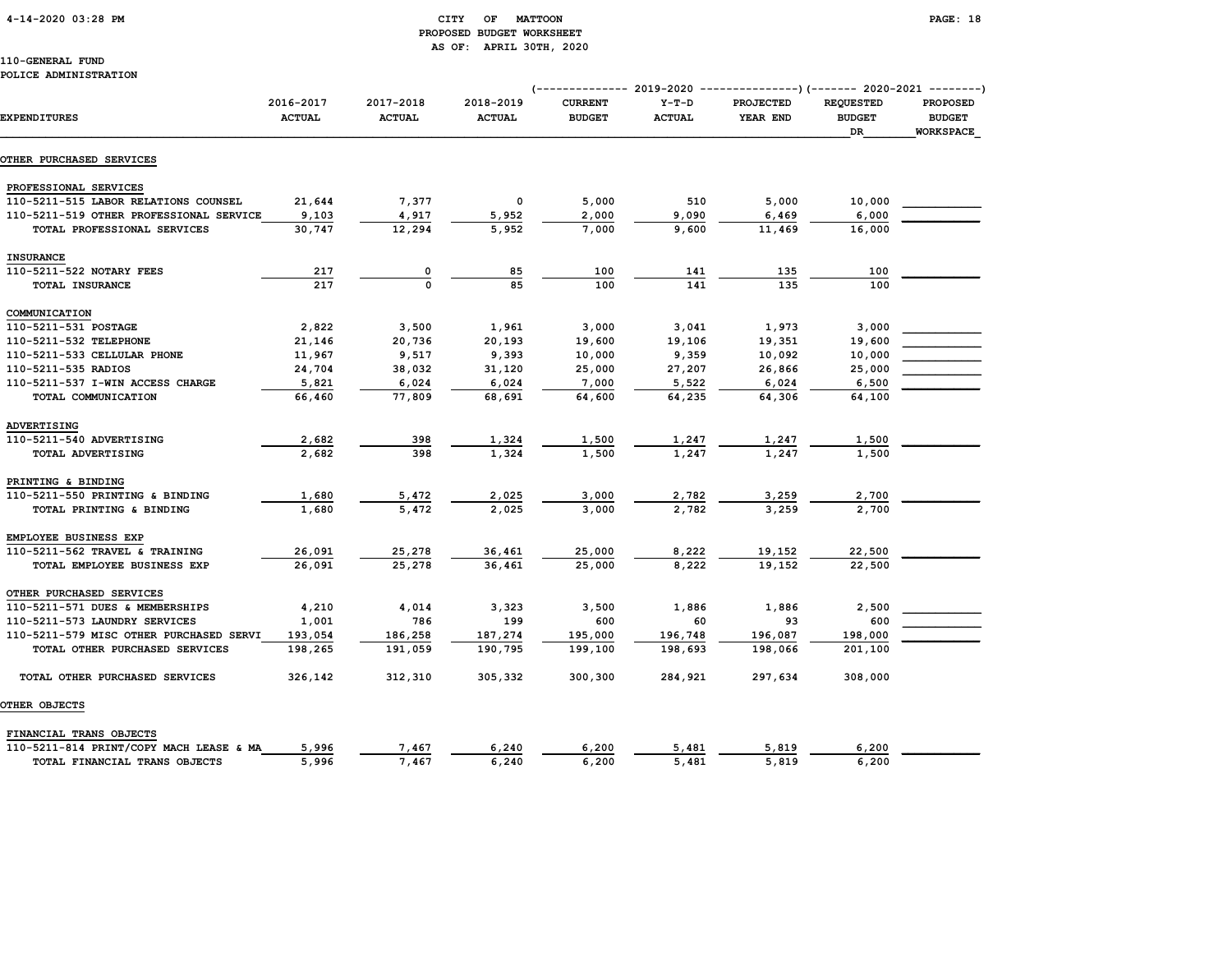# 4-14-2020 03:28 PM CITY OF MATTOON PAGE: 18 PROPOSED BUDGET WORKSHEET AS OF: APRIL 30TH, 2020

# 110-GENERAL FUND

### POLICE ADMINISTRATION

|                                         |               |               |               | (-------------- 2019-2020 ----------------) (------- 2020-2021 --------) |               |                  |                  |                  |
|-----------------------------------------|---------------|---------------|---------------|--------------------------------------------------------------------------|---------------|------------------|------------------|------------------|
|                                         | 2016-2017     | 2017-2018     | 2018-2019     | <b>CURRENT</b>                                                           | $Y-T-D$       | <b>PROJECTED</b> | <b>REQUESTED</b> | <b>PROPOSED</b>  |
| <b>EXPENDITURES</b>                     | <b>ACTUAL</b> | <b>ACTUAL</b> | <b>ACTUAL</b> | <b>BUDGET</b>                                                            | <b>ACTUAL</b> | YEAR END         | <b>BUDGET</b>    | <b>BUDGET</b>    |
|                                         |               |               |               |                                                                          |               |                  | DR               | <b>WORKSPACE</b> |
| OTHER PURCHASED SERVICES                |               |               |               |                                                                          |               |                  |                  |                  |
| PROFESSIONAL SERVICES                   |               |               |               |                                                                          |               |                  |                  |                  |
| 110-5211-515 LABOR RELATIONS COUNSEL    | 21,644        | 7,377         | 0             | 5,000                                                                    | 510           | 5,000            | 10,000           |                  |
| 110-5211-519 OTHER PROFESSIONAL SERVICE | 9,103         | 4,917         | 5,952         | 2,000                                                                    | 9,090         | 6,469            | 6,000            |                  |
| TOTAL PROFESSIONAL SERVICES             | 30,747        | 12,294        | 5,952         | 7,000                                                                    | 9,600         | 11,469           | 16,000           |                  |
| <b>INSURANCE</b>                        |               |               |               |                                                                          |               |                  |                  |                  |
| 110-5211-522 NOTARY FEES                | 217           | 0             | 85            | 100                                                                      | 141           | 135              | 100              |                  |
| TOTAL INSURANCE                         | 217           | $\Omega$      | 85            | 100                                                                      | 141           | 135              | 100              |                  |
| COMMUNICATION                           |               |               |               |                                                                          |               |                  |                  |                  |
| 110-5211-531 POSTAGE                    | 2,822         | 3,500         | 1,961         | 3,000                                                                    | 3,041         | 1,973            | 3,000            |                  |
| 110-5211-532 TELEPHONE                  | 21,146        | 20,736        | 20,193        | 19,600                                                                   | 19,106        | 19,351           | 19,600           |                  |
| 110-5211-533 CELLULAR PHONE             | 11,967        | 9,517         | 9,393         | 10,000                                                                   | 9,359         | 10,092           | 10,000           |                  |
| 110-5211-535 RADIOS                     | 24,704        | 38,032        | 31,120        | 25,000                                                                   | 27,207        | 26,866           | 25,000           |                  |
| 110-5211-537 I-WIN ACCESS CHARGE        | 5,821         | 6,024         | 6,024         | 7,000                                                                    | 5,522         | 6,024            | 6,500            |                  |
| TOTAL COMMUNICATION                     | 66,460        | 77,809        | 68,691        | 64,600                                                                   | 64,235        | 64,306           | 64,100           |                  |
| ADVERTISING                             |               |               |               |                                                                          |               |                  |                  |                  |
| 110-5211-540 ADVERTISING                | 2,682         | 398           | 1,324         | 1,500                                                                    | 1,247         | 1,247            | 1,500            |                  |
| TOTAL ADVERTISING                       | 2,682         | 398           | 1,324         | 1,500                                                                    | 1,247         | 1,247            | 1,500            |                  |
| PRINTING & BINDING                      |               |               |               |                                                                          |               |                  |                  |                  |
| 110-5211-550 PRINTING & BINDING         | 1,680         | 5,472         | 2,025         | 3,000                                                                    | 2,782         | 3,259            | 2,700            |                  |
| TOTAL PRINTING & BINDING                | 1,680         | 5,472         | 2.025         | 3,000                                                                    | 2,782         | 3,259            | 2,700            |                  |
| EMPLOYEE BUSINESS EXP                   |               |               |               |                                                                          |               |                  |                  |                  |
| 110-5211-562 TRAVEL & TRAINING          | 26,091        | 25,278        | 36,461        | 25,000                                                                   | 8,222         | 19,152           | 22,500           |                  |
| TOTAL EMPLOYEE BUSINESS EXP             | 26,091        | 25,278        | 36,461        | 25,000                                                                   | 8.222         | 19,152           | 22,500           |                  |
| OTHER PURCHASED SERVICES                |               |               |               |                                                                          |               |                  |                  |                  |
| 110-5211-571 DUES & MEMBERSHIPS         | 4,210         | 4,014         | 3,323         | 3,500                                                                    | 1,886         | 1,886            | 2,500            |                  |
| 110-5211-573 LAUNDRY SERVICES           | 1,001         | 786           | 199           | 600                                                                      | 60            | 93               | 600              |                  |
| 110-5211-579 MISC OTHER PURCHASED SERVI | 193,054       | 186,258       | 187,274       | 195,000                                                                  | 196,748       | 196,087          | 198,000          |                  |
| TOTAL OTHER PURCHASED SERVICES          | 198,265       | 191,059       | 190,795       | 199,100                                                                  | 198,693       | 198,066          | 201,100          |                  |
| TOTAL OTHER PURCHASED SERVICES          | 326,142       | 312,310       | 305,332       | 300,300                                                                  | 284,921       | 297,634          | 308,000          |                  |
| OTHER OBJECTS                           |               |               |               |                                                                          |               |                  |                  |                  |
| FINANCIAL TRANS OBJECTS                 |               |               |               |                                                                          |               |                  |                  |                  |
| 110-5211-814 PRINT/COPY MACH LEASE & MA | 5,996         | 7,467         | 6,240         | 6,200                                                                    | 5,481         | 5,819            | 6,200            |                  |
| TOTAL FINANCIAL TRANS OBJECTS           | 5,996         | 7,467         | 6,240         | 6,200                                                                    | 5,481         | 5,819            | 6,200            |                  |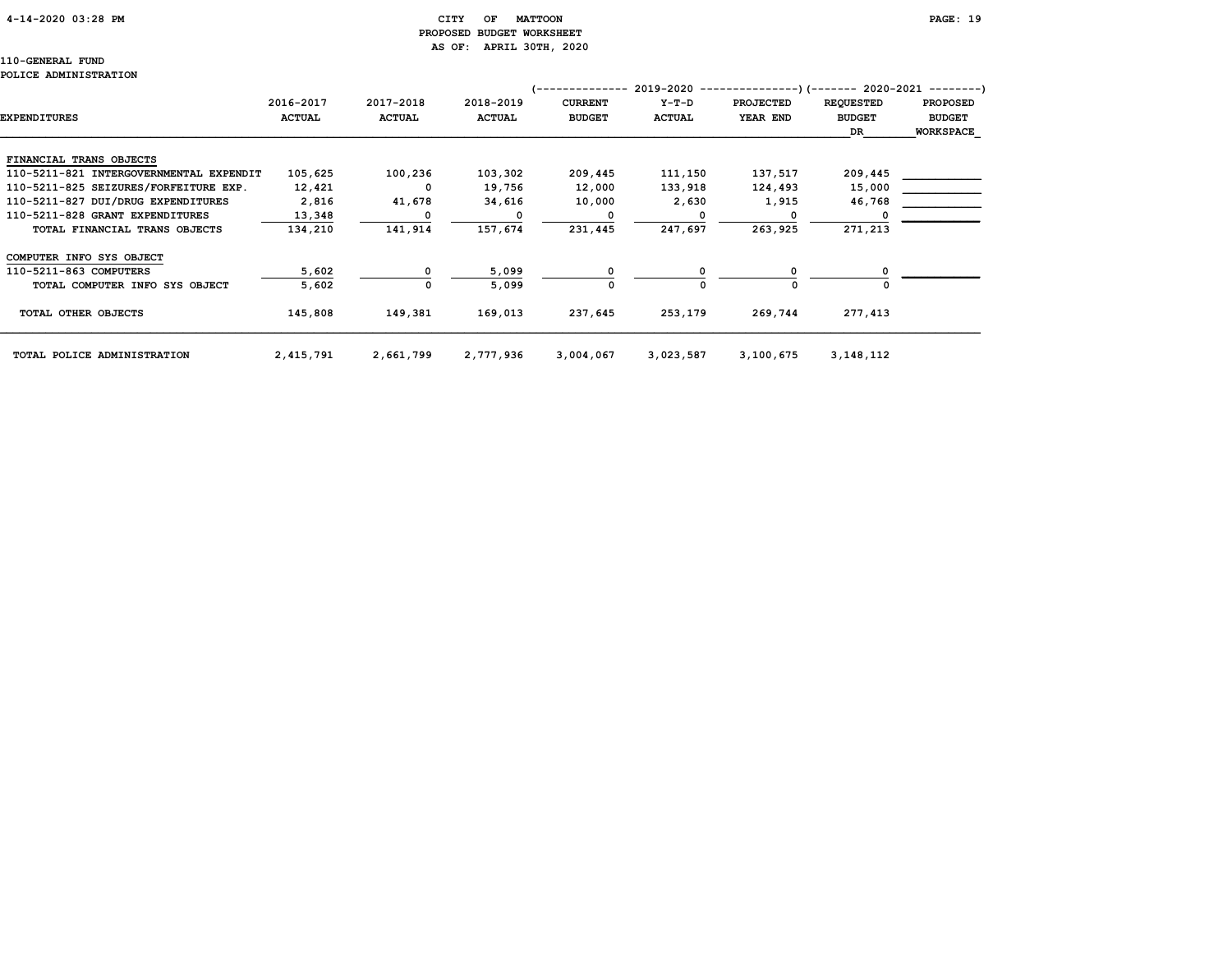# 4-14-2020 03:28 PM CITY OF MATTOON PAGE: 19 PROPOSED BUDGET WORKSHEET AS OF: APRIL 30TH, 2020

|                                         |               |               |               |                | 2019-2020     | ---------        | --)(------- 2020-2021 --------) |                  |
|-----------------------------------------|---------------|---------------|---------------|----------------|---------------|------------------|---------------------------------|------------------|
|                                         | 2016-2017     | 2017-2018     | 2018-2019     | <b>CURRENT</b> | $Y-T-D$       | <b>PROJECTED</b> | <b>REQUESTED</b>                | <b>PROPOSED</b>  |
| <b>EXPENDITURES</b>                     | <b>ACTUAL</b> | <b>ACTUAL</b> | <b>ACTUAL</b> | <b>BUDGET</b>  | <b>ACTUAL</b> | YEAR END         | <b>BUDGET</b>                   | <b>BUDGET</b>    |
|                                         |               |               |               |                |               |                  | DR                              | <b>WORKSPACE</b> |
|                                         |               |               |               |                |               |                  |                                 |                  |
| FINANCIAL TRANS OBJECTS                 |               |               |               |                |               |                  |                                 |                  |
| 110-5211-821 INTERGOVERNMENTAL EXPENDIT | 105,625       | 100,236       | 103,302       | 209,445        | 111,150       | 137,517          | 209,445                         |                  |
| 110-5211-825 SEIZURES/FORFEITURE EXP.   | 12,421        | 0             | 19,756        | 12,000         | 133,918       | 124,493          | 15,000                          |                  |
| 110-5211-827 DUI/DRUG EXPENDITURES      | 2,816         | 41,678        | 34,616        | 10,000         | 2,630         | 1,915            | 46,768                          |                  |
| 110-5211-828 GRANT EXPENDITURES         | 13,348        |               | O             |                |               |                  |                                 |                  |
| TOTAL FINANCIAL TRANS OBJECTS           | 134,210       | 141,914       | 157,674       | 231,445        | 247,697       | 263,925          | 271,213                         |                  |
| COMPUTER INFO SYS OBJECT                |               |               |               |                |               |                  |                                 |                  |
| 110-5211-863 COMPUTERS                  | 5,602         |               | 5,099         |                |               |                  |                                 |                  |
| TOTAL COMPUTER INFO SYS OBJECT          | 5,602         | 0             | 5,099         | 0              |               |                  |                                 |                  |
| TOTAL OTHER OBJECTS                     | 145,808       | 149,381       | 169,013       | 237,645        | 253,179       | 269,744          | 277,413                         |                  |
| TOTAL POLICE ADMINISTRATION             | 2,415,791     | 2,661,799     | 2,777,936     | 3,004,067      | 3,023,587     | 3,100,675        | 3, 148, 112                     |                  |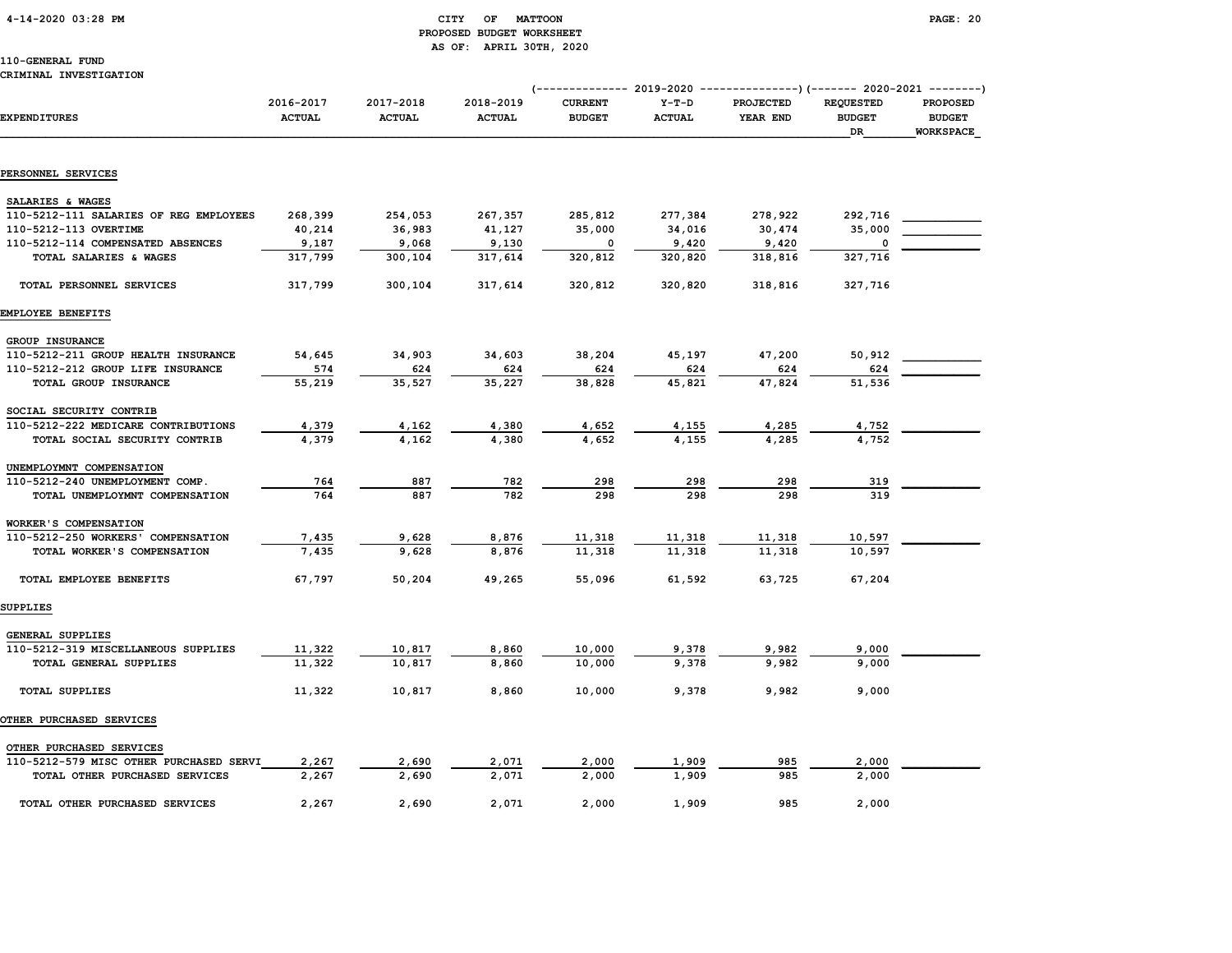# 4-14-2020 03:28 PM CITY OF MATTOON PAGE: 20 PROPOSED BUDGET WORKSHEET AS OF: APRIL 30TH, 2020

|                                         |                            |                            |                            | (------------- 2019-2020 ----------------) (------- 2020-2021 --------) |                          |                              |                                                |                                               |
|-----------------------------------------|----------------------------|----------------------------|----------------------------|-------------------------------------------------------------------------|--------------------------|------------------------------|------------------------------------------------|-----------------------------------------------|
| <b>EXPENDITURES</b>                     | 2016-2017<br><b>ACTUAL</b> | 2017-2018<br><b>ACTUAL</b> | 2018-2019<br><b>ACTUAL</b> | <b>CURRENT</b><br><b>BUDGET</b>                                         | $Y-T-D$<br><b>ACTUAL</b> | <b>PROJECTED</b><br>YEAR END | <b>REQUESTED</b><br><b>BUDGET</b><br><b>DR</b> | <b>PROPOSED</b><br><b>BUDGET</b><br>WORKSPACE |
|                                         |                            |                            |                            |                                                                         |                          |                              |                                                |                                               |
| PERSONNEL SERVICES                      |                            |                            |                            |                                                                         |                          |                              |                                                |                                               |
| SALARIES & WAGES                        |                            |                            |                            |                                                                         |                          |                              |                                                |                                               |
| 110-5212-111 SALARIES OF REG EMPLOYEES  | 268,399                    | 254,053                    | 267,357                    | 285,812                                                                 | 277,384                  | 278,922                      | 292,716                                        |                                               |
| 110-5212-113 OVERTIME                   | 40,214                     | 36,983                     | 41,127                     | 35,000                                                                  | 34,016                   | 30,474                       | 35,000                                         |                                               |
| 110-5212-114 COMPENSATED ABSENCES       | 9,187                      | 9,068                      | 9,130                      | 0                                                                       | 9,420                    | 9,420                        |                                                |                                               |
| TOTAL SALARIES & WAGES                  | 317,799                    | 300,104                    | 317,614                    | 320,812                                                                 | 320,820                  | 318,816                      | 327,716                                        |                                               |
| TOTAL PERSONNEL SERVICES                | 317,799                    | 300,104                    | 317,614                    | 320,812                                                                 | 320,820                  | 318,816                      | 327,716                                        |                                               |
| EMPLOYEE BENEFITS                       |                            |                            |                            |                                                                         |                          |                              |                                                |                                               |
| GROUP INSURANCE                         |                            |                            |                            |                                                                         |                          |                              |                                                |                                               |
| 110-5212-211 GROUP HEALTH INSURANCE     | 54,645                     | 34,903                     | 34,603                     | 38,204                                                                  | 45,197                   | 47,200                       | 50,912                                         |                                               |
| 110-5212-212 GROUP LIFE INSURANCE       | 574                        | 624                        | 624                        | 624                                                                     | 624                      | 624                          | 624                                            |                                               |
| TOTAL GROUP INSURANCE                   | 55,219                     | 35,527                     | 35,227                     | 38,828                                                                  | 45,821                   | 47,824                       | 51,536                                         |                                               |
| SOCIAL SECURITY CONTRIB                 |                            |                            |                            |                                                                         |                          |                              |                                                |                                               |
| 110-5212-222 MEDICARE CONTRIBUTIONS     | 4,379                      | 4,162                      | 4,380                      | 4,652                                                                   | 4,155                    | 4,285                        | 4,752                                          |                                               |
| TOTAL SOCIAL SECURITY CONTRIB           | 4,379                      | 4,162                      | 4,380                      | 4,652                                                                   | 4,155                    | 4,285                        | 4.752                                          |                                               |
| UNEMPLOYMNT COMPENSATION                |                            |                            |                            |                                                                         |                          |                              |                                                |                                               |
| 110-5212-240 UNEMPLOYMENT COMP.         | 764                        | 887                        | 782                        | 298                                                                     | 298                      | 298                          | 319                                            |                                               |
| TOTAL UNEMPLOYMNT COMPENSATION          | 764                        | 887                        | 782                        | 298                                                                     | 298                      | 298                          | 319                                            |                                               |
| WORKER'S COMPENSATION                   |                            |                            |                            |                                                                         |                          |                              |                                                |                                               |
| 110-5212-250 WORKERS' COMPENSATION      | 7,435                      | 9,628                      | 8,876                      | 11,318                                                                  | 11,318                   | 11,318                       | 10,597                                         |                                               |
| TOTAL WORKER'S COMPENSATION             | 7,435                      | 9,628                      | 8,876                      | 11,318                                                                  | 11,318                   | 11,318                       | 10,597                                         |                                               |
| TOTAL EMPLOYEE BENEFITS                 | 67,797                     | 50,204                     | 49,265                     | 55,096                                                                  | 61,592                   | 63,725                       | 67,204                                         |                                               |
| SUPPLIES                                |                            |                            |                            |                                                                         |                          |                              |                                                |                                               |
| GENERAL SUPPLIES                        |                            |                            |                            |                                                                         |                          |                              |                                                |                                               |
| 110-5212-319 MISCELLANEOUS SUPPLIES     | 11,322                     | 10,817                     | 8,860                      | 10,000                                                                  | 9,378                    | 9,982                        | 9,000                                          |                                               |
| TOTAL GENERAL SUPPLIES                  | 11,322                     | 10,817                     | 8,860                      | 10,000                                                                  | 9,378                    | 9,982                        | 9,000                                          |                                               |
| <b>TOTAL SUPPLIES</b>                   | 11,322                     | 10,817                     | 8,860                      | 10,000                                                                  | 9,378                    | 9,982                        | 9,000                                          |                                               |
| OTHER PURCHASED SERVICES                |                            |                            |                            |                                                                         |                          |                              |                                                |                                               |
| OTHER PURCHASED SERVICES                |                            |                            |                            |                                                                         |                          |                              |                                                |                                               |
| 110-5212-579 MISC OTHER PURCHASED SERVI | 2,267                      | 2,690                      | 2,071                      | 2,000                                                                   | 1,909                    | 985                          | 2,000                                          |                                               |
| TOTAL OTHER PURCHASED SERVICES          | 2,267                      | 2,690                      | 2,071                      | 2,000                                                                   | 1,909                    | 985                          | 2,000                                          |                                               |
| TOTAL OTHER PURCHASED SERVICES          | 2,267                      | 2,690                      | 2,071                      | 2,000                                                                   | 1,909                    | 985                          | 2,000                                          |                                               |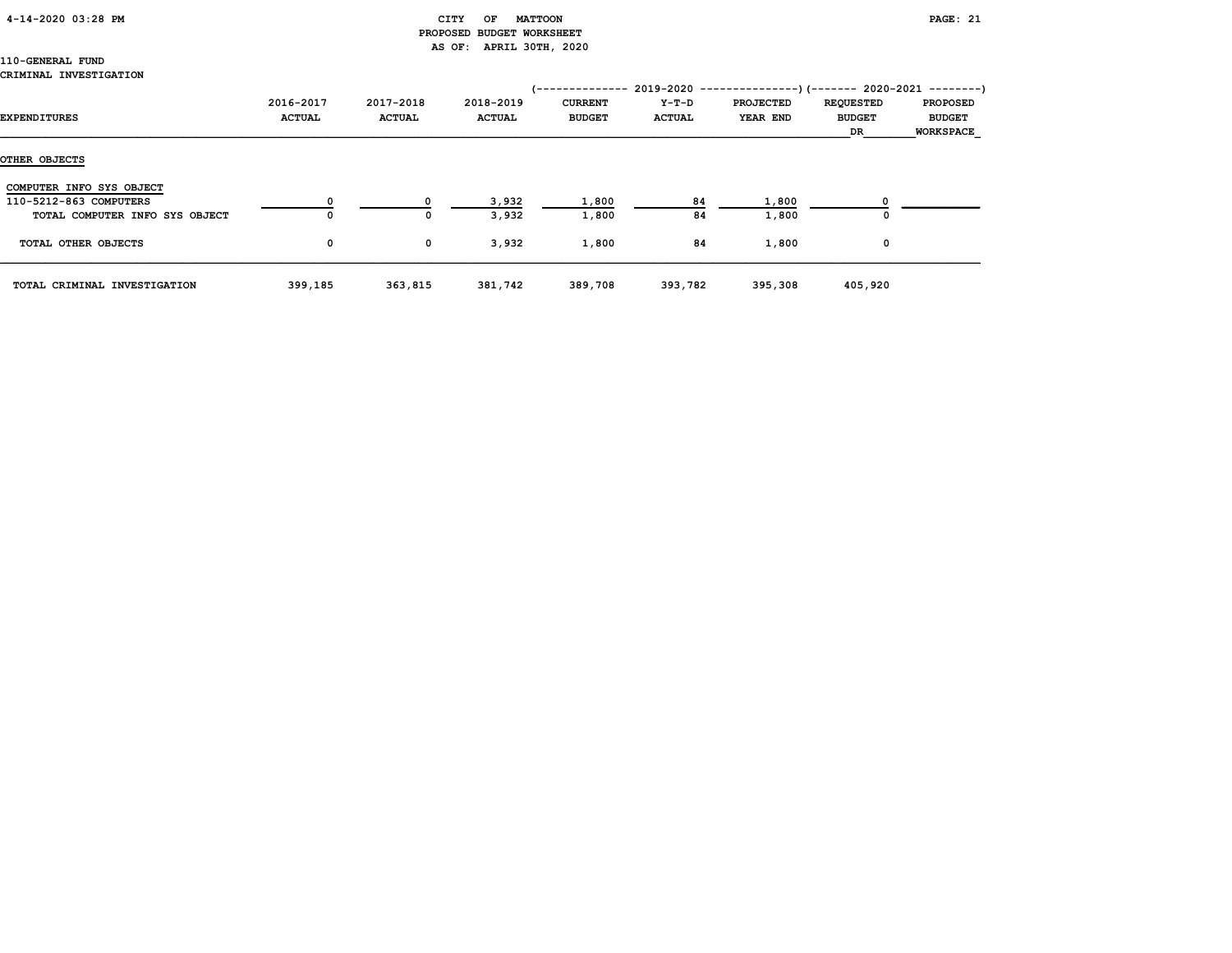# 4-14-2020 03:28 PM CITY OF MATTOON PAGE: 21

# PROPOSED BUDGET WORKSHEET AS OF: APRIL 30TH, 2020

### 110-GENERAL FUND CRIMINAL INVESTIGATION

| EXPENDITURES                   | 2016-2017<br><b>ACTUAL</b> | 2017-2018<br><b>ACTUAL</b> | 2018-2019<br><b>ACTUAL</b> | /--------------<br><b>CURRENT</b><br><b>BUDGET</b> | Y-T-D<br><b>ACTUAL</b> | $2019-2020$ ----------------)(------- 2020-2021 --------)<br><b>PROJECTED</b><br>YEAR END | <b>REQUESTED</b><br><b>BUDGET</b><br>DR | <b>PROPOSED</b><br><b>BUDGET</b><br><b>WORKSPACE</b> |
|--------------------------------|----------------------------|----------------------------|----------------------------|----------------------------------------------------|------------------------|-------------------------------------------------------------------------------------------|-----------------------------------------|------------------------------------------------------|
| OTHER OBJECTS                  |                            |                            |                            |                                                    |                        |                                                                                           |                                         |                                                      |
| COMPUTER INFO SYS OBJECT       |                            |                            |                            |                                                    |                        |                                                                                           |                                         |                                                      |
| 110-5212-863 COMPUTERS         |                            |                            | 3,932                      | 1,800                                              | 84                     | 1,800                                                                                     |                                         |                                                      |
| TOTAL COMPUTER INFO SYS OBJECT | 0                          | 0                          | 3,932                      | 1,800                                              | 84                     | 1,800                                                                                     | 0                                       |                                                      |
| TOTAL OTHER OBJECTS            | 0                          | $\mathbf 0$                | 3,932                      | 1,800                                              | 84                     | 1,800                                                                                     | 0                                       |                                                      |
| TOTAL CRIMINAL INVESTIGATION   | 399,185                    | 363,815                    | 381,742                    | 389,708                                            | 393,782                | 395,308                                                                                   | 405,920                                 |                                                      |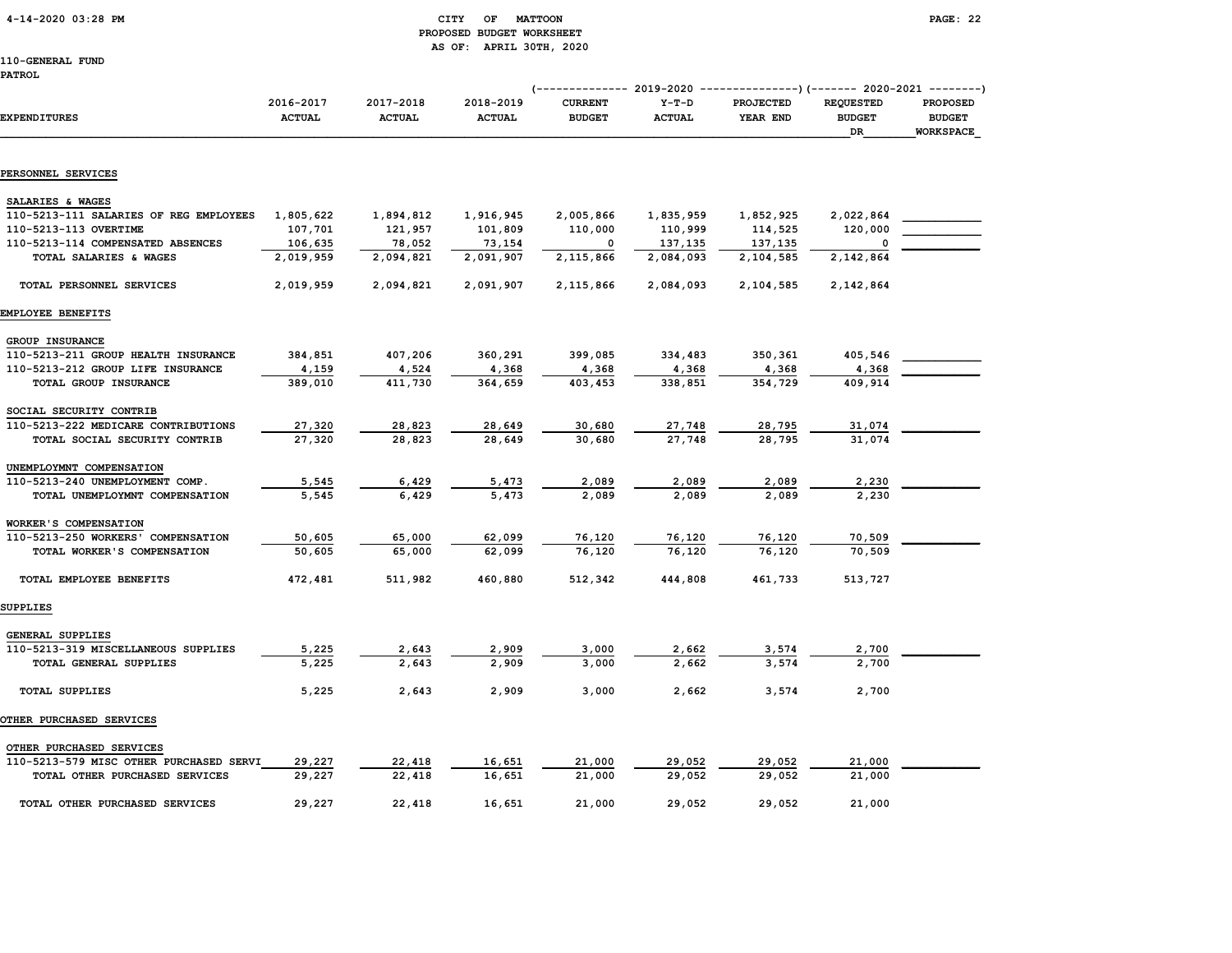4-14-2020 03:28 PM CITY OF MATTOON PAGE: 22

# PROPOSED BUDGET WORKSHEET AS OF: APRIL 30TH, 2020

110-GENERAL FUND

(-------------- 2019-2020 ---------------)(------- 2020-2021 --------)

| <b>EXPENDITURES</b>                    | 2016-2017<br><b>ACTUAL</b> | 2017-2018<br><b>ACTUAL</b> | 2018-2019<br><b>ACTUAL</b> | <b>CURRENT</b><br><b>BUDGET</b> | $Y-T-D$<br><b>ACTUAL</b> | PROJECTED<br>YEAR END | <b>REQUESTED</b><br><b>BUDGET</b><br>DR | <b>PROPOSED</b><br><b>BUDGET</b><br><b>WORKSPACE</b> |
|----------------------------------------|----------------------------|----------------------------|----------------------------|---------------------------------|--------------------------|-----------------------|-----------------------------------------|------------------------------------------------------|
| PERSONNEL SERVICES                     |                            |                            |                            |                                 |                          |                       |                                         |                                                      |
| SALARIES & WAGES                       |                            |                            |                            |                                 |                          |                       |                                         |                                                      |
| 110-5213-111 SALARIES OF REG EMPLOYEES | 1,805,622                  | 1,894,812                  | 1,916,945                  | 2,005,866                       | 1,835,959                | 1,852,925             | 2,022,864                               |                                                      |
| 110-5213-113 OVERTIME                  | 107,701                    | 121,957                    | 101,809                    | 110,000                         | 110,999                  | 114,525               | 120,000                                 |                                                      |
| 110-5213-114 COMPENSATED ABSENCES      | 106,635                    | 78,052                     | 73,154                     | 0                               | 137,135                  | 137,135               | 0                                       |                                                      |
| TOTAL SALARIES & WAGES                 | 2,019,959                  | 2,094,821                  | 2,091,907                  | 2,115,866                       | 2,084,093                | 2,104,585             | 2,142,864                               |                                                      |
| TOTAL PERSONNEL SERVICES               | 2,019,959                  | 2,094,821                  | 2,091,907                  | 2,115,866                       | 2,084,093                | 2,104,585             | 2,142,864                               |                                                      |
| EMPLOYEE BENEFITS                      |                            |                            |                            |                                 |                          |                       |                                         |                                                      |
| <b>GROUP INSURANCE</b>                 |                            |                            |                            |                                 |                          |                       |                                         |                                                      |
| 110-5213-211 GROUP HEALTH INSURANCE    | 384,851                    | 407,206                    | 360,291                    | 399,085                         | 334,483                  | 350,361               | 405,546                                 |                                                      |
| 110-5213-212 GROUP LIFE INSURANCE      | 4,159                      | 4,524                      | 4,368                      | 4,368                           | 4,368                    | 4,368                 | 4,368                                   |                                                      |
| TOTAL GROUP INSURANCE                  | 389,010                    | 411,730                    | 364,659                    | 403,453                         | 338,851                  | 354,729               | 409,914                                 |                                                      |
| SOCIAL SECURITY CONTRIB                |                            |                            |                            |                                 |                          |                       |                                         |                                                      |
| 110-5213-222 MEDICARE CONTRIBUTIONS    | 27,320                     | 28,823                     | 28,649                     | 30,680                          | 27,748                   | 28,795                | 31,074                                  |                                                      |
| TOTAL SOCIAL SECURITY CONTRIB          | 27,320                     | 28,823                     | 28,649                     | 30,680                          | 27,748                   | 28,795                | 31,074                                  |                                                      |
| UNEMPLOYMNT COMPENSATION               |                            |                            |                            |                                 |                          |                       |                                         |                                                      |
| 110-5213-240 UNEMPLOYMENT COMP.        | 5,545                      | 6,429                      | 5,473                      | 2,089                           | 2,089                    | 2,089                 | 2,230                                   |                                                      |
| TOTAL UNEMPLOYMNT COMPENSATION         | 5,545                      | 6,429                      | 5,473                      | 2,089                           | 2,089                    | 2,089                 | 2,230                                   |                                                      |
| WORKER'S COMPENSATION                  |                            |                            |                            |                                 |                          |                       |                                         |                                                      |
| 110-5213-250 WORKERS' COMPENSATION     | 50,605                     | 65,000                     | 62,099                     | 76,120                          | 76,120                   | 76,120                | 70,509                                  |                                                      |
| TOTAL WORKER'S COMPENSATION            | 50,605                     | 65,000                     | 62,099                     | 76,120                          | 76,120                   | 76,120                | 70,509                                  |                                                      |
| TOTAL EMPLOYEE BENEFITS                | 472,481                    | 511,982                    | 460,880                    | 512,342                         | 444,808                  | 461,733               | 513,727                                 |                                                      |
| SUPPLIES                               |                            |                            |                            |                                 |                          |                       |                                         |                                                      |
| GENERAL SUPPLIES                       |                            |                            |                            |                                 |                          |                       |                                         |                                                      |

| 110-5213-319 MISCELLANEOUS SUPPLIES | 5,225 | 2,643 | 2,909 | 3,000 | 2,662 | 3,574 | 2,700 |  |
|-------------------------------------|-------|-------|-------|-------|-------|-------|-------|--|
| TOTAL GENERAL SUPPLIES              | 5,225 | 2,643 | 2,909 | 3,000 | 2,662 | 3,574 | 2,700 |  |
| <b>TOTAL SUPPLIES</b>               | 5,225 | 2,643 | 2,909 | 3,000 | 2,662 | 3,574 | 2,700 |  |
| <b>OTHER PURCHASED SERVICES</b>     |       |       |       |       |       |       |       |  |
| OTHER PURCHASED SERVICES            |       |       |       |       |       |       |       |  |

| 110-5213-579 MISC OTHER PURCHASED SERVI | 29,227 | 22,418 | 16,651 | 21,000 | 29,052 | 29,052 | 21,000 |  |
|-----------------------------------------|--------|--------|--------|--------|--------|--------|--------|--|
| TOTAL OTHER PURCHASED SERVICES          | 29,227 | 22,418 | 16,651 | 21,000 | 29,052 | 29,052 | 21,000 |  |
| TOTAL OTHER PURCHASED SERVICES          | 29,227 | 22,418 | 16,651 | 21,000 | 29,052 | 29,052 | 21,000 |  |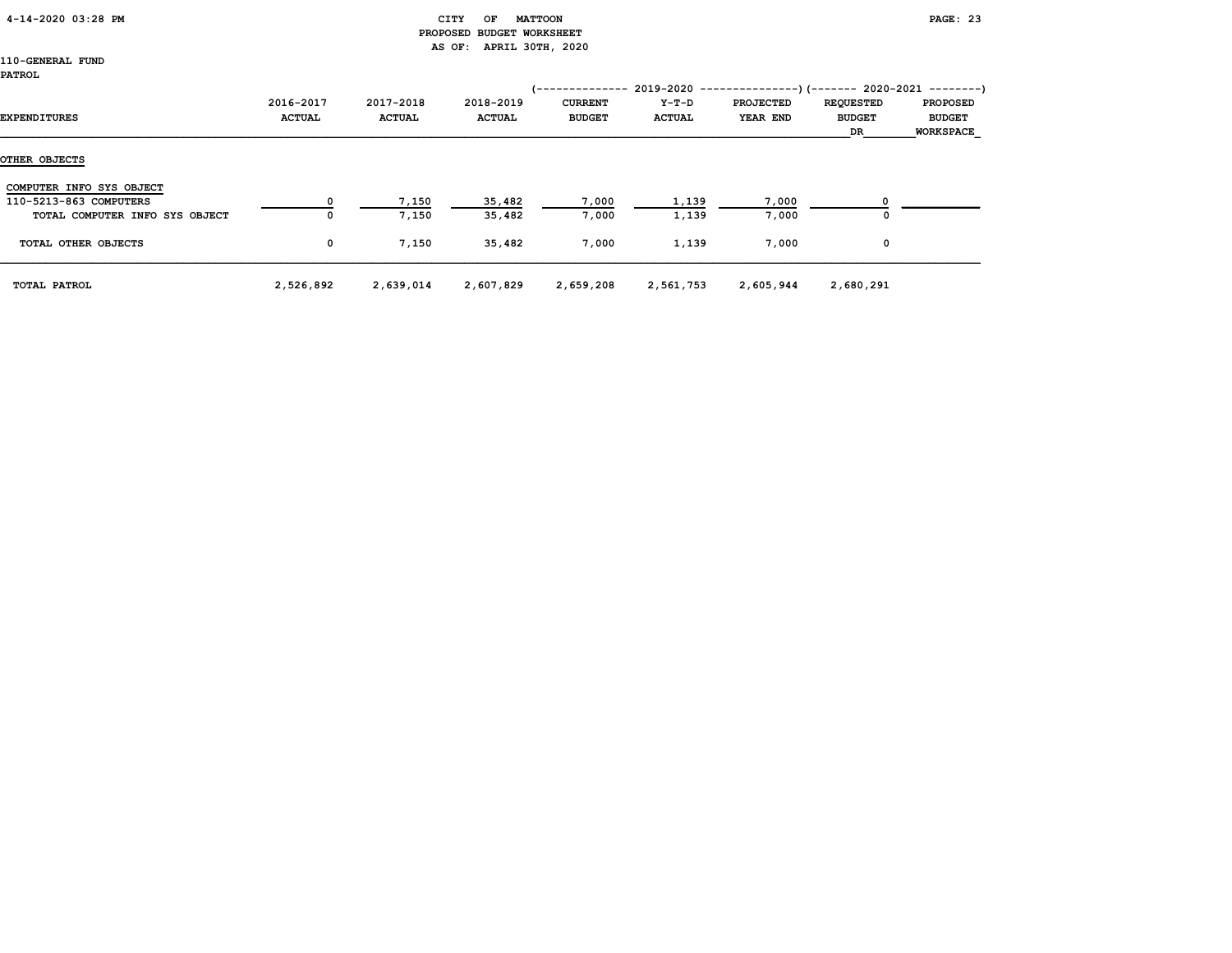| 4-14-2020 03:28 PM |
|--------------------|
|--------------------|

# CITY OF MATTOON **PAGE: 23**  PROPOSED BUDGET WORKSHEET AS OF: APRIL 30TH, 2020

| <b>EXPENDITURES</b>            | 2016-2017<br><b>ACTUAL</b> | 2017-2018<br><b>ACTUAL</b> | 2018-2019<br><b>ACTUAL</b> | /--------------<br><b>CURRENT</b><br><b>BUDGET</b> | Y-T-D<br><b>ACTUAL</b> | <b>PROJECTED</b><br><b>YEAR END</b> | $2019-2020$ ----------------)(------- 2020-2021 --------)<br><b>REQUESTED</b><br><b>BUDGET</b><br>DR | <b>PROPOSED</b><br><b>BUDGET</b><br><b>WORKSPACE</b> |
|--------------------------------|----------------------------|----------------------------|----------------------------|----------------------------------------------------|------------------------|-------------------------------------|------------------------------------------------------------------------------------------------------|------------------------------------------------------|
| OTHER OBJECTS                  |                            |                            |                            |                                                    |                        |                                     |                                                                                                      |                                                      |
| COMPUTER INFO SYS OBJECT       |                            |                            |                            |                                                    |                        |                                     |                                                                                                      |                                                      |
| 110-5213-863 COMPUTERS         |                            | 7,150                      | 35,482                     | 7,000                                              | 1,139                  | 7,000                               |                                                                                                      |                                                      |
| TOTAL COMPUTER INFO SYS OBJECT | 0                          | 7,150                      | 35,482                     | 7,000                                              | 1,139                  | 7,000                               | 0                                                                                                    |                                                      |
| TOTAL OTHER OBJECTS            | 0                          | 7,150                      | 35,482                     | 7,000                                              | 1,139                  | 7,000                               | 0                                                                                                    |                                                      |
| TOTAL PATROL                   | 2,526,892                  | 2,639,014                  | 2,607,829                  | 2,659,208                                          | 2,561,753              | 2,605,944                           | 2,680,291                                                                                            |                                                      |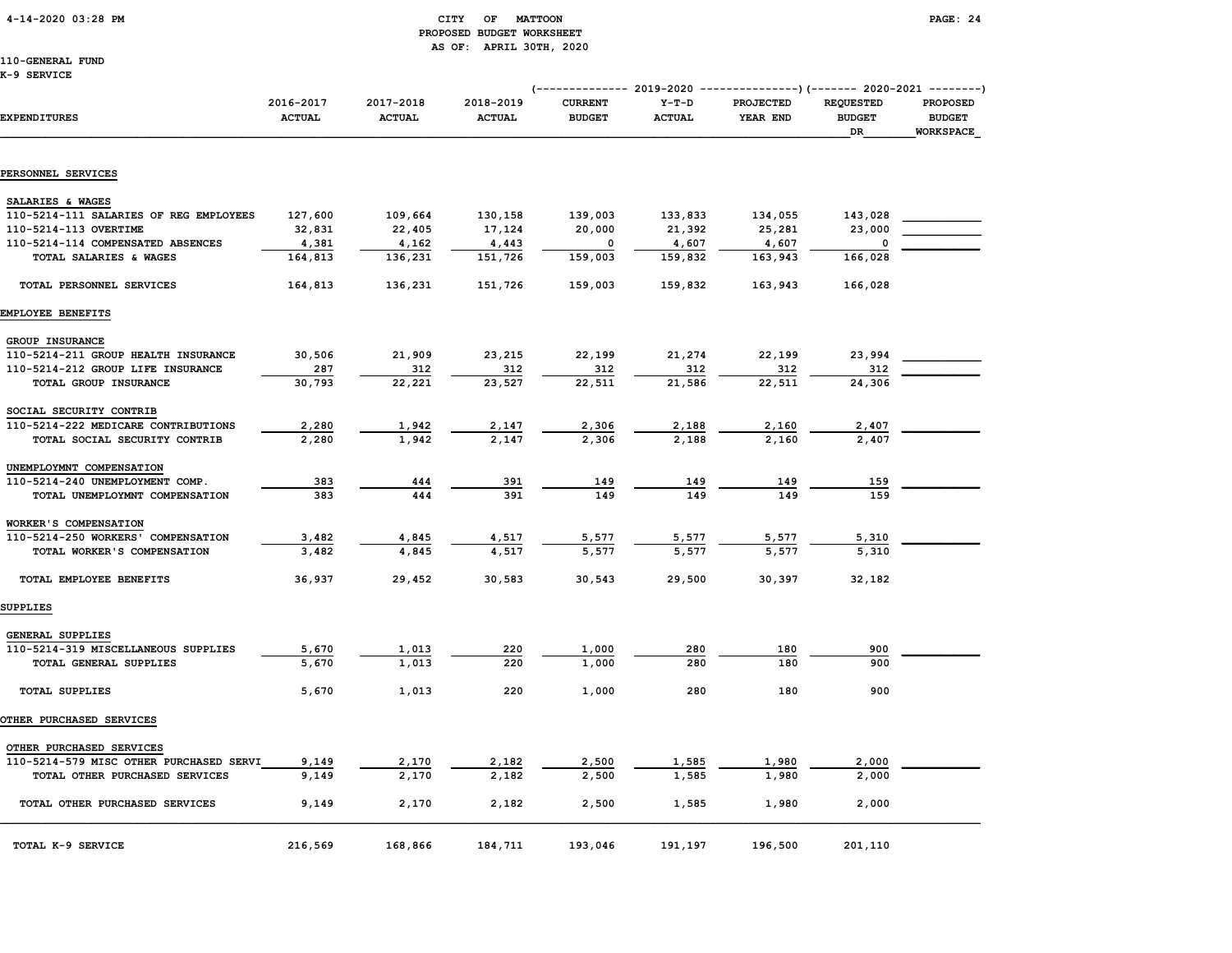# 4-14-2020 03:28 PM CITY OF MATTOON PAGE: 24 PROPOSED BUDGET WORKSHEET AS OF: APRIL 30TH, 2020

110-GENERAL FUND

K-9 SERVICE

|                                         |                            |                            |                            |                                 |                          | (-------------- 2019-2020 ----------------) (------- 2020-2021 --------) |                                         |                                               |
|-----------------------------------------|----------------------------|----------------------------|----------------------------|---------------------------------|--------------------------|--------------------------------------------------------------------------|-----------------------------------------|-----------------------------------------------|
| <b>EXPENDITURES</b>                     | 2016-2017<br><b>ACTUAL</b> | 2017-2018<br><b>ACTUAL</b> | 2018-2019<br><b>ACTUAL</b> | <b>CURRENT</b><br><b>BUDGET</b> | $Y-T-D$<br><b>ACTUAL</b> | <b>PROJECTED</b><br>YEAR END                                             | <b>REQUESTED</b><br><b>BUDGET</b><br>DR | <b>PROPOSED</b><br><b>BUDGET</b><br>WORKSPACE |
| PERSONNEL SERVICES                      |                            |                            |                            |                                 |                          |                                                                          |                                         |                                               |
|                                         |                            |                            |                            |                                 |                          |                                                                          |                                         |                                               |
| SALARIES & WAGES                        |                            |                            |                            |                                 |                          |                                                                          |                                         |                                               |
| 110-5214-111 SALARIES OF REG EMPLOYEES  | 127,600                    | 109,664                    | 130,158                    | 139,003                         | 133,833                  | 134,055                                                                  | 143,028                                 |                                               |
| 110-5214-113 OVERTIME                   | 32,831                     | 22,405                     | 17,124                     | 20,000                          | 21,392                   | 25,281                                                                   | 23,000                                  |                                               |
| 110-5214-114 COMPENSATED ABSENCES       | 4,381                      | 4,162                      | 4,443                      | 0                               | 4,607                    | 4,607                                                                    | 0                                       |                                               |
| TOTAL SALARIES & WAGES                  | 164,813                    | 136,231                    | 151,726                    | 159,003                         | 159,832                  | 163,943                                                                  | 166,028                                 |                                               |
| TOTAL PERSONNEL SERVICES                | 164,813                    | 136,231                    | 151,726                    | 159,003                         | 159,832                  | 163,943                                                                  | 166,028                                 |                                               |
| EMPLOYEE BENEFITS                       |                            |                            |                            |                                 |                          |                                                                          |                                         |                                               |
| GROUP INSURANCE                         |                            |                            |                            |                                 |                          |                                                                          |                                         |                                               |
| 110-5214-211 GROUP HEALTH INSURANCE     | 30,506                     | 21,909                     | 23,215                     | 22,199                          | 21,274                   | 22,199                                                                   | 23,994                                  |                                               |
| 110-5214-212 GROUP LIFE INSURANCE       | 287                        | 312                        | 312                        | 312                             | 312                      | 312                                                                      | 312                                     |                                               |
| TOTAL GROUP INSURANCE                   | 30,793                     | 22,221                     | 23,527                     | 22,511                          | 21,586                   | 22,511                                                                   | 24,306                                  |                                               |
| SOCIAL SECURITY CONTRIB                 |                            |                            |                            |                                 |                          |                                                                          |                                         |                                               |
| 110-5214-222 MEDICARE CONTRIBUTIONS     | 2,280                      | 1,942                      | 2,147                      | 2,306                           | 2,188                    | 2,160                                                                    | 2,407                                   |                                               |
| TOTAL SOCIAL SECURITY CONTRIB           | 2,280                      | 1,942                      | 2,147                      | 2,306                           | 2,188                    | 2,160                                                                    | 2,407                                   |                                               |
| UNEMPLOYMNT COMPENSATION                |                            |                            |                            |                                 |                          |                                                                          |                                         |                                               |
| 110-5214-240 UNEMPLOYMENT COMP.         | 383                        | 444                        | 391                        | 149                             | 149                      | 149                                                                      | 159                                     |                                               |
| TOTAL UNEMPLOYMNT COMPENSATION          | 383                        | 444                        | 391                        | 149                             | 149                      | 149                                                                      | 159                                     |                                               |
| WORKER'S COMPENSATION                   |                            |                            |                            |                                 |                          |                                                                          |                                         |                                               |
| 110-5214-250 WORKERS' COMPENSATION      | 3,482                      | 4,845                      | 4,517                      | 5,577                           | 5,577                    | 5,577                                                                    | 5,310                                   |                                               |
| TOTAL WORKER'S COMPENSATION             | 3,482                      | 4,845                      | 4.517                      | 5,577                           | 5,577                    | 5,577                                                                    | 5,310                                   |                                               |
| TOTAL EMPLOYEE BENEFITS                 | 36,937                     | 29,452                     | 30,583                     | 30,543                          | 29,500                   | 30,397                                                                   | 32,182                                  |                                               |
| <b>SUPPLIES</b>                         |                            |                            |                            |                                 |                          |                                                                          |                                         |                                               |
| GENERAL SUPPLIES                        |                            |                            |                            |                                 |                          |                                                                          |                                         |                                               |
| 110-5214-319 MISCELLANEOUS SUPPLIES     | 5,670                      | 1,013                      | 220                        | 1,000                           | 280                      | 180                                                                      | 900                                     |                                               |
| TOTAL GENERAL SUPPLIES                  | 5,670                      | 1,013                      | 220                        | 1,000                           | 280                      | 180                                                                      | 900                                     |                                               |
| <b>TOTAL SUPPLIES</b>                   | 5,670                      | 1,013                      | 220                        | 1,000                           | 280                      | 180                                                                      | 900                                     |                                               |
| OTHER PURCHASED SERVICES                |                            |                            |                            |                                 |                          |                                                                          |                                         |                                               |
| OTHER PURCHASED SERVICES                |                            |                            |                            |                                 |                          |                                                                          |                                         |                                               |
| 110-5214-579 MISC OTHER PURCHASED SERVI | 9,149                      | 2,170                      | 2,182                      | 2,500                           | 1,585                    | 1,980                                                                    | 2,000                                   |                                               |
| TOTAL OTHER PURCHASED SERVICES          | 9,149                      | 2,170                      | 2,182                      | 2,500                           | 1,585                    | 1,980                                                                    | 2,000                                   |                                               |
| TOTAL OTHER PURCHASED SERVICES          | 9,149                      | 2,170                      | 2,182                      | 2,500                           | 1,585                    | 1,980                                                                    | 2,000                                   |                                               |
| TOTAL K-9 SERVICE                       | 216,569                    | 168,866                    | 184,711                    | 193,046                         | 191,197                  | 196,500                                                                  | 201,110                                 |                                               |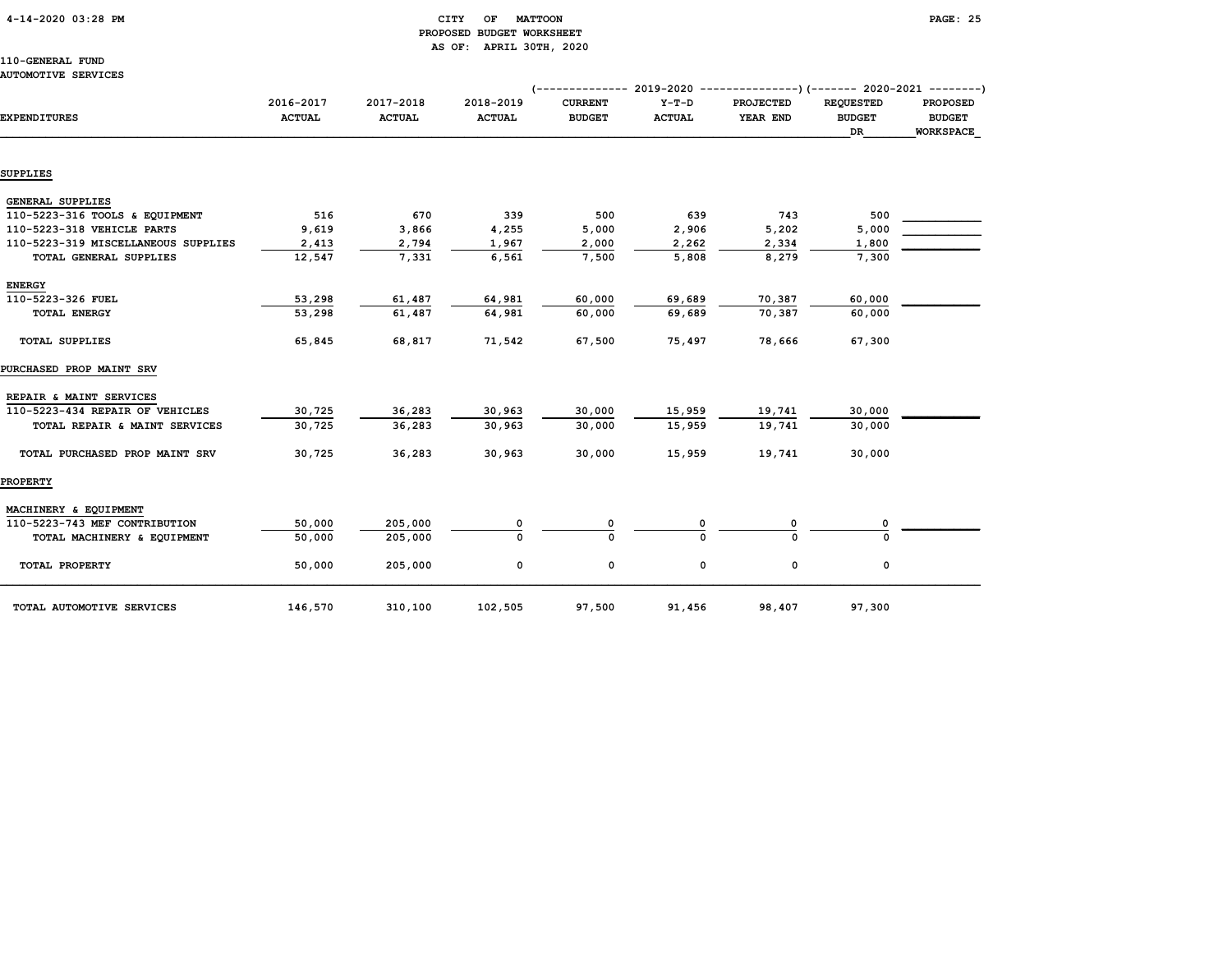# 4-14-2020 03:28 PM CITY OF MATTOON PAGE: 25 PROPOSED BUDGET WORKSHEET AS OF: APRIL 30TH, 2020

# 110-GENERAL FUND AUTOMOTIVE SERVICES

|                                     |                            |                            |                            |                                 |                          | (-------------- 2019-2020 ----------------)(------- 2020-2021 --------) |                                   |                                  |
|-------------------------------------|----------------------------|----------------------------|----------------------------|---------------------------------|--------------------------|-------------------------------------------------------------------------|-----------------------------------|----------------------------------|
| <b>EXPENDITURES</b>                 | 2016-2017<br><b>ACTUAL</b> | 2017-2018<br><b>ACTUAL</b> | 2018-2019<br><b>ACTUAL</b> | <b>CURRENT</b><br><b>BUDGET</b> | $Y-T-D$<br><b>ACTUAL</b> | <b>PROJECTED</b><br>YEAR END                                            | <b>REQUESTED</b><br><b>BUDGET</b> | <b>PROPOSED</b><br><b>BUDGET</b> |
|                                     |                            |                            |                            |                                 |                          |                                                                         | DR                                | WORKSPACE                        |
| <b>SUPPLIES</b>                     |                            |                            |                            |                                 |                          |                                                                         |                                   |                                  |
| <b>GENERAL SUPPLIES</b>             |                            |                            |                            |                                 |                          |                                                                         |                                   |                                  |
| 110-5223-316 TOOLS & EQUIPMENT      | 516                        | 670                        | 339                        | 500                             | 639                      | 743                                                                     | 500                               |                                  |
| 110-5223-318 VEHICLE PARTS          | 9,619                      | 3,866                      | 4,255                      | 5,000                           | 2,906                    | 5,202                                                                   | 5,000                             |                                  |
| 110-5223-319 MISCELLANEOUS SUPPLIES | 2,413                      | 2,794                      | 1,967                      | 2,000                           | 2,262                    | 2,334                                                                   | 1,800                             |                                  |
| TOTAL GENERAL SUPPLIES              | 12,547                     | 7,331                      | 6,561                      | 7,500                           | 5,808                    | 8,279                                                                   | 7,300                             |                                  |
| <b>ENERGY</b>                       |                            |                            |                            |                                 |                          |                                                                         |                                   |                                  |
| 110-5223-326 FUEL                   | 53,298                     | 61,487                     | 64,981                     | 60,000                          | 69,689                   | 70,387                                                                  | 60,000                            |                                  |
| <b>TOTAL ENERGY</b>                 | 53,298                     | 61,487                     | 64,981                     | 60,000                          | 69,689                   | 70,387                                                                  | 60,000                            |                                  |
| <b>TOTAL SUPPLIES</b>               | 65,845                     | 68,817                     | 71,542                     | 67,500                          | 75,497                   | 78,666                                                                  | 67,300                            |                                  |
| PURCHASED PROP MAINT SRV            |                            |                            |                            |                                 |                          |                                                                         |                                   |                                  |
| REPAIR & MAINT SERVICES             |                            |                            |                            |                                 |                          |                                                                         |                                   |                                  |
| 110-5223-434 REPAIR OF VEHICLES     | 30,725                     | 36,283                     | 30,963                     | 30,000                          | 15,959                   | 19,741                                                                  | 30,000                            |                                  |
| TOTAL REPAIR & MAINT SERVICES       | 30.725                     | 36,283                     | 30.963                     | 30,000                          | 15,959                   | 19,741                                                                  | 30,000                            |                                  |
| TOTAL PURCHASED PROP MAINT SRV      | 30,725                     | 36,283                     | 30,963                     | 30,000                          | 15,959                   | 19,741                                                                  | 30,000                            |                                  |
| <b>PROPERTY</b>                     |                            |                            |                            |                                 |                          |                                                                         |                                   |                                  |
| MACHINERY & EQUIPMENT               |                            |                            |                            |                                 |                          |                                                                         |                                   |                                  |
| 110-5223-743 MEF CONTRIBUTION       | 50,000                     | 205,000                    | 0                          |                                 |                          |                                                                         | 0                                 |                                  |
| TOTAL MACHINERY & EQUIPMENT         | 50,000                     | 205,000                    | $\Omega$                   |                                 |                          |                                                                         |                                   |                                  |
| TOTAL PROPERTY                      | 50,000                     | 205,000                    | 0                          | 0                               | 0                        | 0                                                                       | 0                                 |                                  |
| TOTAL AUTOMOTIVE SERVICES           | 146,570                    | 310,100                    | 102,505                    | 97,500                          | 91,456                   | 98,407                                                                  | 97,300                            |                                  |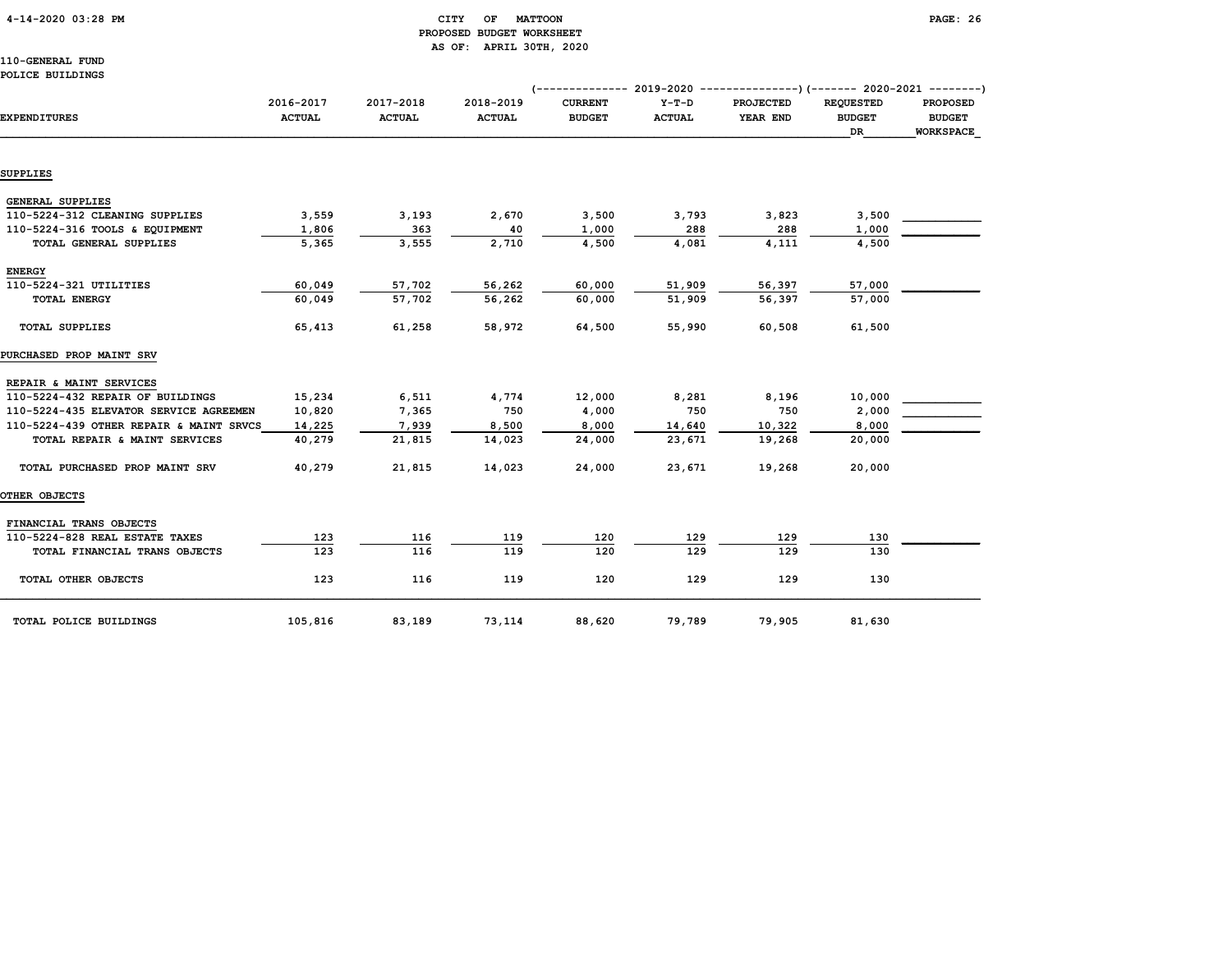# 4-14-2020 03:28 PM CITY OF MATTOON PAGE: 26 PROPOSED BUDGET WORKSHEET AS OF: APRIL 30TH, 2020

# 110-GENERAL FUND POLICE BUILDINGS

|                                         |                            |                            |                            |                                 |                          | (-------------- 2019-2020 ----------------) (------- 2020-2021 ---------) |                                          |                                               |
|-----------------------------------------|----------------------------|----------------------------|----------------------------|---------------------------------|--------------------------|---------------------------------------------------------------------------|------------------------------------------|-----------------------------------------------|
| <b>EXPENDITURES</b>                     | 2016-2017<br><b>ACTUAL</b> | 2017-2018<br><b>ACTUAL</b> | 2018-2019<br><b>ACTUAL</b> | <b>CURRENT</b><br><b>BUDGET</b> | $Y-T-D$<br><b>ACTUAL</b> | <b>PROJECTED</b><br>YEAR END                                              | <b>REOUESTED</b><br><b>BUDGET</b><br>DR. | <b>PROPOSED</b><br><b>BUDGET</b><br>WORKSPACE |
|                                         |                            |                            |                            |                                 |                          |                                                                           |                                          |                                               |
| <b>SUPPLIES</b>                         |                            |                            |                            |                                 |                          |                                                                           |                                          |                                               |
| GENERAL SUPPLIES                        |                            |                            |                            |                                 |                          |                                                                           |                                          |                                               |
| 110-5224-312 CLEANING SUPPLIES          | 3,559                      | 3,193                      | 2,670                      | 3,500                           | 3,793                    | 3,823                                                                     | 3,500                                    |                                               |
| 110-5224-316 TOOLS & EQUIPMENT          | 1,806                      | 363                        | 40                         | 1,000                           | 288                      | 288                                                                       | 1,000                                    |                                               |
| TOTAL GENERAL SUPPLIES                  | 5,365                      | 3,555                      | 2,710                      | 4,500                           | 4,081                    | 4,111                                                                     | 4,500                                    |                                               |
| <b>ENERGY</b>                           |                            |                            |                            |                                 |                          |                                                                           |                                          |                                               |
| 110-5224-321 UTILITIES                  | 60,049                     | 57,702                     | 56,262                     | 60,000                          | 51,909                   | 56,397                                                                    | 57,000                                   |                                               |
| <b>TOTAL ENERGY</b>                     | 60,049                     | 57,702                     | 56,262                     | 60,000                          | 51,909                   | 56,397                                                                    | 57,000                                   |                                               |
| <b>TOTAL SUPPLIES</b>                   | 65,413                     | 61,258                     | 58,972                     | 64,500                          | 55,990                   | 60,508                                                                    | 61,500                                   |                                               |
| <b>PURCHASED PROP MAINT SRV</b>         |                            |                            |                            |                                 |                          |                                                                           |                                          |                                               |
| REPAIR & MAINT SERVICES                 |                            |                            |                            |                                 |                          |                                                                           |                                          |                                               |
| 110-5224-432 REPAIR OF BUILDINGS        | 15,234                     | 6,511                      | 4,774                      | 12,000                          | 8,281                    | 8,196                                                                     | 10,000                                   |                                               |
| 110-5224-435 ELEVATOR SERVICE AGREEMEN  | 10,820                     | 7,365                      | 750                        | 4,000                           | 750                      | 750                                                                       | 2,000                                    |                                               |
| 110-5224-439 OTHER REPAIR & MAINT SRVCS | 14,225                     | 7,939                      | 8,500                      | 8,000                           | 14,640                   | 10,322                                                                    | 8,000                                    |                                               |
| TOTAL REPAIR & MAINT SERVICES           | 40,279                     | 21,815                     | 14,023                     | 24,000                          | 23,671                   | 19,268                                                                    | 20,000                                   |                                               |
| TOTAL PURCHASED PROP MAINT SRV          | 40,279                     | 21,815                     | 14,023                     | 24,000                          | 23,671                   | 19,268                                                                    | 20,000                                   |                                               |
| <b>OTHER OBJECTS</b>                    |                            |                            |                            |                                 |                          |                                                                           |                                          |                                               |
| FINANCIAL TRANS OBJECTS                 |                            |                            |                            |                                 |                          |                                                                           |                                          |                                               |
| 110-5224-828 REAL ESTATE TAXES          | 123                        | 116                        | 119                        | 120                             | 129                      | 129                                                                       | 130                                      |                                               |
| TOTAL FINANCIAL TRANS OBJECTS           | 123                        | 116                        | 119                        | 120                             | 129                      | 129                                                                       | 130                                      |                                               |
| TOTAL OTHER OBJECTS                     | 123                        | 116                        | 119                        | 120                             | 129                      | 129                                                                       | 130                                      |                                               |
| TOTAL POLICE BUILDINGS                  | 105,816                    | 83,189                     | 73,114                     | 88,620                          | 79,789                   | 79,905                                                                    | 81,630                                   |                                               |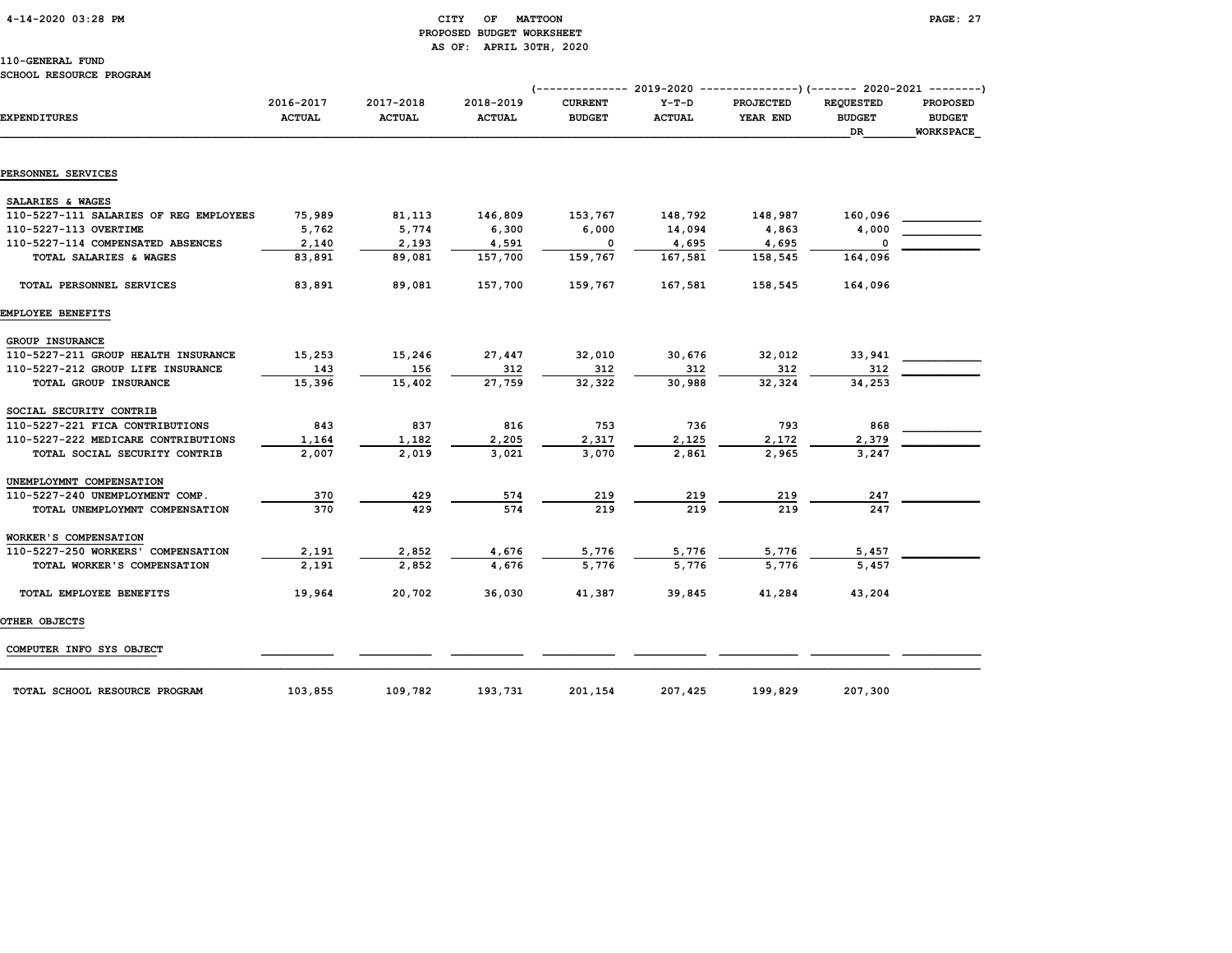# 4-14-2020 03:28 PM CITY OF MATTOON PAGE: 27 PROPOSED BUDGET WORKSHEET AS OF: APRIL 30TH, 2020

# 110-GENERAL FUND

### SCHOOL RESOURCE PROGRAM

|                                        | 2016-2017     | 2017-2018     | 2018-2019     | $---------2019-2020$<br><b>CURRENT</b> | $Y-T-D$       | ---------------) (------- 2020-2021 --------)<br><b>PROJECTED</b> | <b>REQUESTED</b>    |                                               |
|----------------------------------------|---------------|---------------|---------------|----------------------------------------|---------------|-------------------------------------------------------------------|---------------------|-----------------------------------------------|
| <b>EXPENDITURES</b>                    | <b>ACTUAL</b> | <b>ACTUAL</b> | <b>ACTUAL</b> | <b>BUDGET</b>                          | <b>ACTUAL</b> | YEAR END                                                          | <b>BUDGET</b><br>DR | <b>PROPOSED</b><br><b>BUDGET</b><br>WORKSPACE |
|                                        |               |               |               |                                        |               |                                                                   |                     |                                               |
| PERSONNEL SERVICES                     |               |               |               |                                        |               |                                                                   |                     |                                               |
| SALARIES & WAGES                       |               |               |               |                                        |               |                                                                   |                     |                                               |
| 110-5227-111 SALARIES OF REG EMPLOYEES | 75,989        | 81,113        | 146,809       | 153,767                                | 148,792       | 148,987                                                           | 160,096             |                                               |
| 110-5227-113 OVERTIME                  | 5,762         | 5,774         | 6,300         | 6,000                                  | 14,094        | 4,863                                                             | 4,000               |                                               |
| 110-5227-114 COMPENSATED ABSENCES      | 2,140         | 2,193         | 4,591         | $\Omega$                               | 4,695         | 4,695                                                             | $\Omega$            |                                               |
| TOTAL SALARIES & WAGES                 | 83,891        | 89,081        | 157,700       | 159,767                                | 167,581       | 158,545                                                           | 164,096             |                                               |
| TOTAL PERSONNEL SERVICES               | 83,891        | 89,081        | 157,700       | 159,767                                | 167,581       | 158,545                                                           | 164,096             |                                               |
| EMPLOYEE BENEFITS                      |               |               |               |                                        |               |                                                                   |                     |                                               |
| GROUP INSURANCE                        |               |               |               |                                        |               |                                                                   |                     |                                               |
| 110-5227-211 GROUP HEALTH INSURANCE    | 15,253        | 15,246        | 27,447        | 32,010                                 | 30,676        | 32,012                                                            | 33,941              |                                               |
| 110-5227-212 GROUP LIFE INSURANCE      | 143           | 156           | 312           | 312                                    | 312           | 312                                                               | 312                 |                                               |
| TOTAL GROUP INSURANCE                  | 15,396        | 15,402        | 27,759        | 32,322                                 | 30,988        | 32,324                                                            | 34,253              |                                               |
| SOCIAL SECURITY CONTRIB                |               |               |               |                                        |               |                                                                   |                     |                                               |
| 110-5227-221 FICA CONTRIBUTIONS        | 843           | 837           | 816           | 753                                    | 736           | 793                                                               | 868                 |                                               |
| 110-5227-222 MEDICARE CONTRIBUTIONS    | 1,164         | 1,182         | 2,205         | 2,317                                  | 2,125         | 2,172                                                             | 2,379               |                                               |
| TOTAL SOCIAL SECURITY CONTRIB          | 2,007         | 2,019         | 3,021         | 3,070                                  | 2,861         | 2,965                                                             | 3,247               |                                               |
| UNEMPLOYMNT COMPENSATION               |               |               |               |                                        |               |                                                                   |                     |                                               |
| 110-5227-240 UNEMPLOYMENT COMP.        | 370           | 429           | 574           | 219                                    | 219           | 219                                                               | 247                 |                                               |
| TOTAL UNEMPLOYMNT COMPENSATION         | 370           | 429           | 574           | 219                                    | 219           | 219                                                               | 247                 |                                               |
| WORKER'S COMPENSATION                  |               |               |               |                                        |               |                                                                   |                     |                                               |
| 110-5227-250 WORKERS' COMPENSATION     | 2,191         | 2,852         | 4,676         | 5,776                                  | 5,776         | 5,776                                                             | 5,457               |                                               |
| TOTAL WORKER'S COMPENSATION            | 2,191         | 2,852         | 4,676         | 5,776                                  | 5,776         | 5,776                                                             | 5,457               |                                               |
| TOTAL EMPLOYEE BENEFITS                | 19,964        | 20,702        | 36,030        | 41,387                                 | 39,845        | 41,284                                                            | 43,204              |                                               |
| OTHER OBJECTS                          |               |               |               |                                        |               |                                                                   |                     |                                               |
| COMPUTER INFO SYS OBJECT               |               |               |               |                                        |               |                                                                   |                     |                                               |

TOTAL SCHOOL RESOURCE PROGRAM 103,855 109,782 193,731 201,154 207,425 199,829 207,300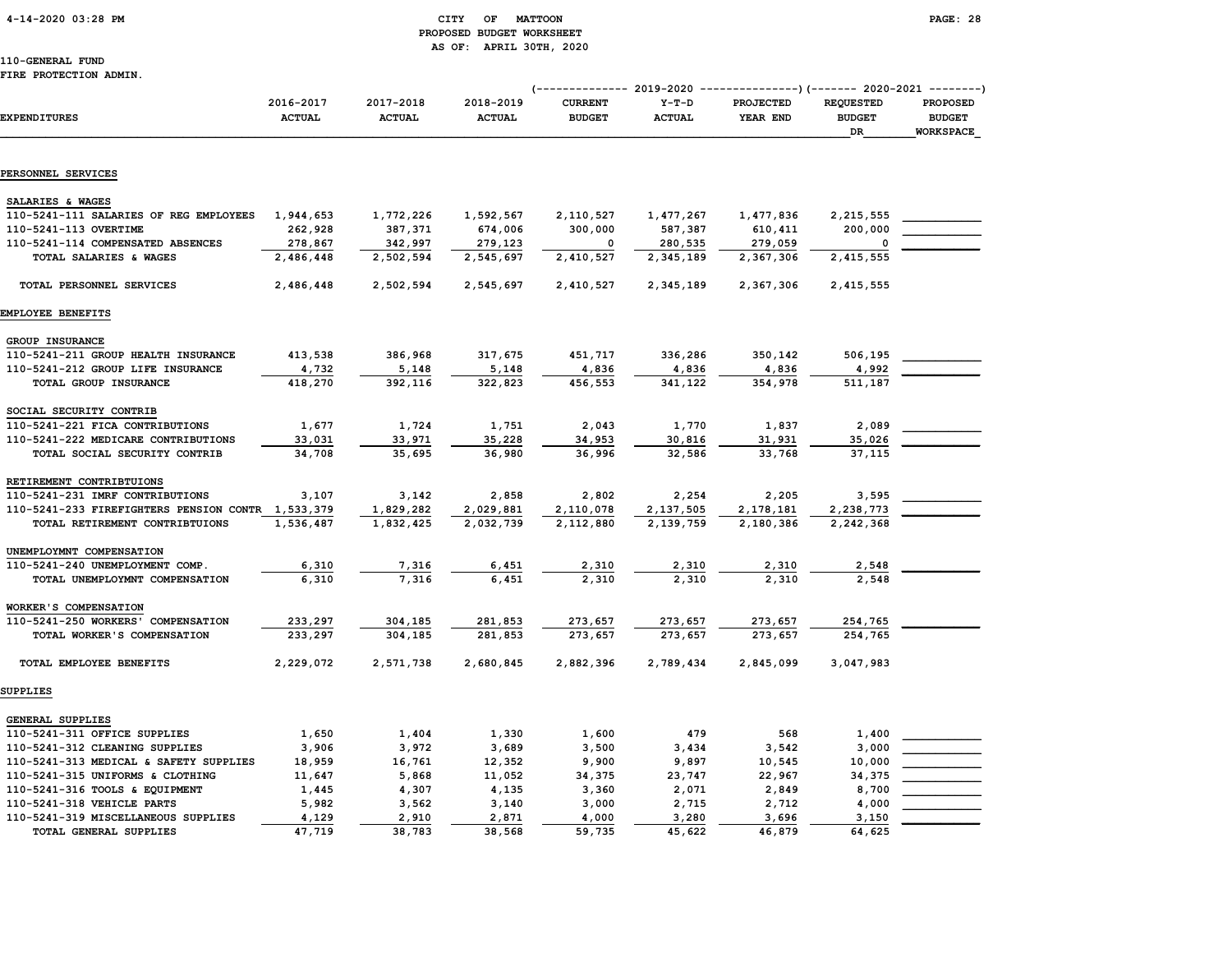# 4-14-2020 03:28 PM CITY OF MATTOON PAGE: 28 PROPOSED BUDGET WORKSHEET AS OF: APRIL 30TH, 2020

110-GENERAL FUND

#### FIRE PROTECTION ADMIN.

|                                                   |                            |                            |                            | (------------- 2019-2020 ----------------) (------- 2020-2021 --------) |                          |                              |                                         |                                               |
|---------------------------------------------------|----------------------------|----------------------------|----------------------------|-------------------------------------------------------------------------|--------------------------|------------------------------|-----------------------------------------|-----------------------------------------------|
| <b>EXPENDITURES</b>                               | 2016-2017<br><b>ACTUAL</b> | 2017-2018<br><b>ACTUAL</b> | 2018-2019<br><b>ACTUAL</b> | <b>CURRENT</b><br><b>BUDGET</b>                                         | $Y-T-D$<br><b>ACTUAL</b> | <b>PROJECTED</b><br>YEAR END | <b>REQUESTED</b><br><b>BUDGET</b><br>DR | <b>PROPOSED</b><br><b>BUDGET</b><br>WORKSPACE |
|                                                   |                            |                            |                            |                                                                         |                          |                              |                                         |                                               |
| PERSONNEL SERVICES                                |                            |                            |                            |                                                                         |                          |                              |                                         |                                               |
| SALARIES & WAGES                                  |                            |                            |                            |                                                                         |                          |                              |                                         |                                               |
| 110-5241-111 SALARIES OF REG EMPLOYEES            | 1,944,653                  | 1,772,226                  | 1,592,567                  | 2,110,527                                                               | 1,477,267                | 1,477,836                    | 2,215,555                               |                                               |
| 110-5241-113 OVERTIME                             | 262,928                    | 387,371                    | 674,006                    | 300,000                                                                 | 587,387                  | 610,411                      | 200,000                                 |                                               |
| 110-5241-114 COMPENSATED ABSENCES                 | 278,867                    | 342,997                    | 279,123                    | 0                                                                       | 280,535                  | 279,059                      | $\mathbf 0$                             |                                               |
| TOTAL SALARIES & WAGES                            | 2,486,448                  | 2,502,594                  | 2,545,697                  | 2,410,527                                                               | 2,345,189                | 2,367,306                    | 2,415,555                               |                                               |
| TOTAL PERSONNEL SERVICES                          | 2,486,448                  | 2,502,594                  | 2,545,697                  | 2,410,527                                                               | 2,345,189                | 2,367,306                    | 2,415,555                               |                                               |
| EMPLOYEE BENEFITS                                 |                            |                            |                            |                                                                         |                          |                              |                                         |                                               |
| GROUP INSURANCE                                   |                            |                            |                            |                                                                         |                          |                              |                                         |                                               |
| 110-5241-211 GROUP HEALTH INSURANCE               | 413,538                    | 386,968                    | 317,675                    | 451,717                                                                 | 336,286                  | 350,142                      | 506,195                                 |                                               |
| 110-5241-212 GROUP LIFE INSURANCE                 | 4,732                      | 5,148                      | 5,148                      | 4,836                                                                   | 4,836                    | 4,836                        | 4,992                                   |                                               |
| TOTAL GROUP INSURANCE                             | 418,270                    | 392,116                    | 322,823                    | 456,553                                                                 | 341,122                  | 354,978                      | 511,187                                 |                                               |
| SOCIAL SECURITY CONTRIB                           |                            |                            |                            |                                                                         |                          |                              |                                         |                                               |
| 110-5241-221 FICA CONTRIBUTIONS                   | 1,677                      | 1,724                      | 1,751                      | 2,043                                                                   | 1,770                    | 1,837                        | 2,089                                   |                                               |
| 110-5241-222 MEDICARE CONTRIBUTIONS               | 33,031                     | 33,971                     | 35,228                     | 34,953                                                                  | 30,816                   | 31,931                       | 35,026                                  |                                               |
| TOTAL SOCIAL SECURITY CONTRIB                     | 34,708                     | 35,695                     | 36,980                     | 36,996                                                                  | 32,586                   | 33,768                       | 37,115                                  |                                               |
| RETIREMENT CONTRIBTUIONS                          |                            |                            |                            |                                                                         |                          |                              |                                         |                                               |
| 110-5241-231 IMRF CONTRIBUTIONS                   | 3,107                      | 3,142                      | 2,858                      | 2,802                                                                   | 2,254                    | 2,205                        | 3,595                                   |                                               |
| 110-5241-233 FIREFIGHTERS PENSION CONTR 1,533,379 |                            | 1,829,282                  | 2,029,881                  | 2,110,078                                                               | 2,137,505                | 2,178,181                    | 2,238,773                               |                                               |
| TOTAL RETIREMENT CONTRIBTUIONS                    | 1,536,487                  | 1,832,425                  | 2,032,739                  | 2,112,880                                                               | 2,139,759                | 2,180,386                    | 2,242,368                               |                                               |
| UNEMPLOYMNT COMPENSATION                          |                            |                            |                            |                                                                         |                          |                              |                                         |                                               |
| 110-5241-240 UNEMPLOYMENT COMP.                   | 6,310                      | 7,316                      | 6,451                      | 2,310                                                                   | 2,310                    | 2,310                        | 2,548                                   |                                               |
| TOTAL UNEMPLOYMNT COMPENSATION                    | 6,310                      | 7,316                      | 6,451                      | 2,310                                                                   | 2,310                    | 2,310                        | 2,548                                   |                                               |
| WORKER'S COMPENSATION                             |                            |                            |                            |                                                                         |                          |                              |                                         |                                               |
| 110-5241-250 WORKERS' COMPENSATION                | 233,297                    | 304,185                    | 281,853                    | 273,657                                                                 | 273,657                  | 273,657                      | 254,765                                 |                                               |
| TOTAL WORKER'S COMPENSATION                       | 233,297                    | 304,185                    | 281,853                    | 273,657                                                                 | 273,657                  | 273,657                      | 254,765                                 |                                               |
| TOTAL EMPLOYEE BENEFITS                           | 2,229,072                  | 2,571,738                  | 2,680,845                  | 2,882,396                                                               | 2,789,434                | 2,845,099                    | 3,047,983                               |                                               |
| SUPPLIES                                          |                            |                            |                            |                                                                         |                          |                              |                                         |                                               |
| GENERAL SUPPLIES                                  |                            |                            |                            |                                                                         |                          |                              |                                         |                                               |
| 110-5241-311 OFFICE SUPPLIES                      | 1,650                      | 1,404                      | 1,330                      | 1,600                                                                   | 479                      | 568                          | 1,400                                   |                                               |
| 110-5241-312 CLEANING SUPPLIES                    | 3,906                      | 3,972                      | 3,689                      | 3,500                                                                   | 3,434                    | 3,542                        | 3,000                                   |                                               |
| 110-5241-313 MEDICAL & SAFETY SUPPLIES            | 18,959                     | 16,761                     | 12,352                     | 9,900                                                                   | 9,897                    | 10,545                       | 10,000                                  |                                               |
| 110-5241-315 UNIFORMS & CLOTHING                  | 11,647                     | 5,868                      | 11,052                     | 34,375                                                                  | 23,747                   | 22,967                       | 34,375                                  |                                               |
| 110-5241-316 TOOLS & EQUIPMENT                    | 1,445                      | 4,307                      | 4,135                      | 3,360                                                                   | 2,071                    | 2,849                        | 8,700                                   |                                               |
| 110-5241-318 VEHICLE PARTS                        | 5,982                      | 3,562                      | 3,140                      | 3,000                                                                   | 2,715                    | 2,712                        | 4,000                                   |                                               |

110-5241-319 MISCELLANEOUS SUPPLIES 4,129 2,910 2,871 4,000 3,280 3,696 3,150 \_\_\_\_\_\_\_\_\_\_\_\_

TOTAL GENERAL SUPPLIES 47,719 38,783 38,568 59,735 45,622 46,879 64,625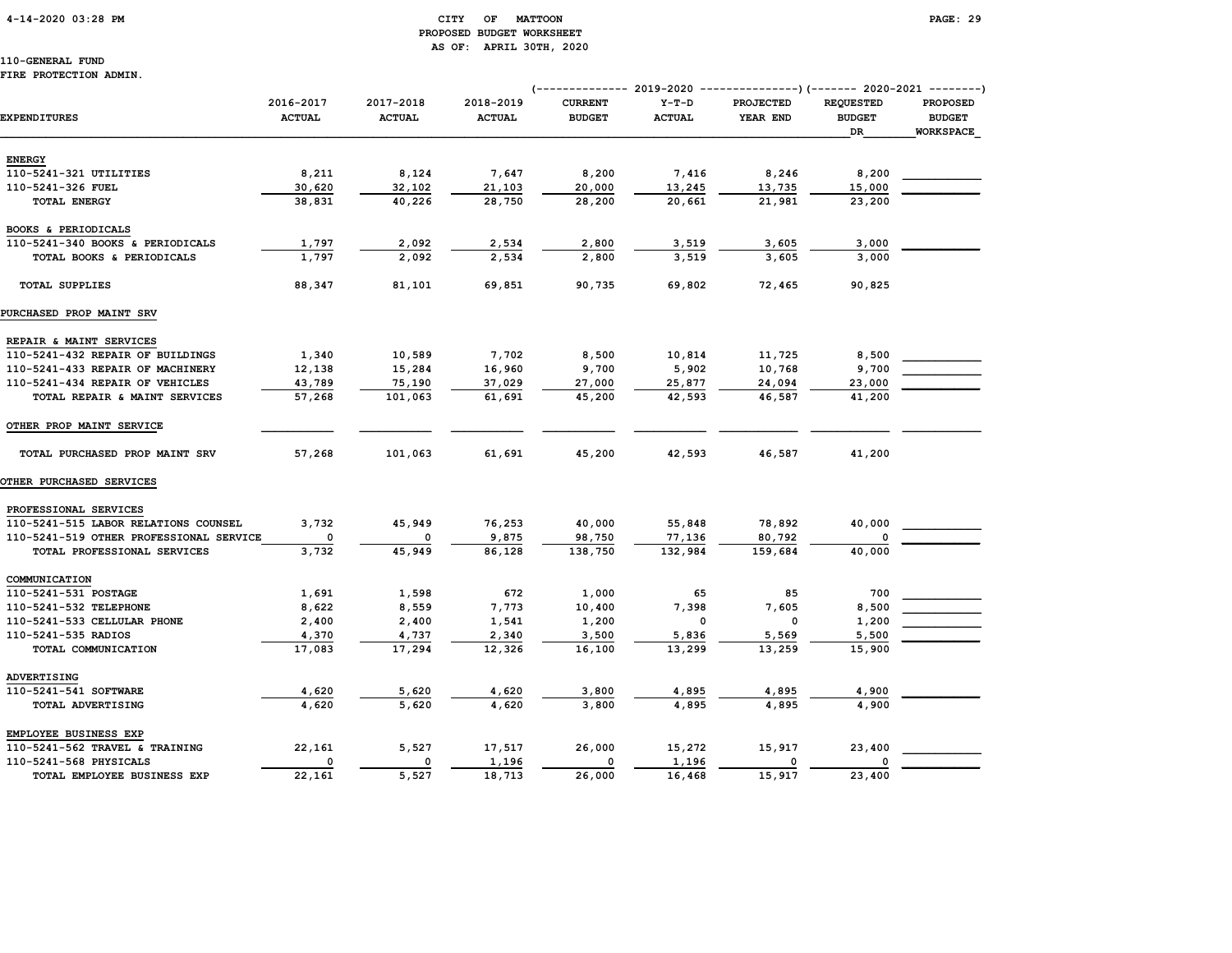# 4-14-2020 03:28 PM CITY OF MATTOON PAGE: 29 PROPOSED BUDGET WORKSHEET AS OF: APRIL 30TH, 2020

110-GENERAL FUND

# FIRE PROTECTION ADMIN.

|                                         |                            |                            |                            | (-------------- 2019-2020       |                          | ---------------)(------- 2020-2021 --------) |                                         |                                                      |
|-----------------------------------------|----------------------------|----------------------------|----------------------------|---------------------------------|--------------------------|----------------------------------------------|-----------------------------------------|------------------------------------------------------|
| <b>EXPENDITURES</b>                     | 2016-2017<br><b>ACTUAL</b> | 2017-2018<br><b>ACTUAL</b> | 2018-2019<br><b>ACTUAL</b> | <b>CURRENT</b><br><b>BUDGET</b> | $Y-T-D$<br><b>ACTUAL</b> | PROJECTED<br>YEAR END                        | <b>REQUESTED</b><br><b>BUDGET</b><br>DR | <b>PROPOSED</b><br><b>BUDGET</b><br><b>WORKSPACE</b> |
|                                         |                            |                            |                            |                                 |                          |                                              |                                         |                                                      |
| <b>ENERGY</b>                           |                            |                            |                            |                                 |                          |                                              |                                         |                                                      |
| 110-5241-321 UTILITIES                  | 8,211                      | 8,124                      | 7,647                      | 8,200                           | 7,416                    | 8,246                                        | 8,200                                   |                                                      |
| 110-5241-326 FUEL                       | 30,620                     | 32,102                     | 21,103                     | 20,000                          | 13,245                   | 13,735                                       | 15,000                                  |                                                      |
| TOTAL ENERGY                            | 38,831                     | 40,226                     | 28,750                     | 28,200                          | 20,661                   | 21,981                                       | 23,200                                  |                                                      |
| BOOKS & PERIODICALS                     |                            |                            |                            |                                 |                          |                                              |                                         |                                                      |
| 110-5241-340 BOOKS & PERIODICALS        | 1,797                      | 2,092                      | 2,534                      | 2,800                           | 3,519                    | 3,605                                        | 3,000                                   |                                                      |
| TOTAL BOOKS & PERIODICALS               | 1,797                      | 2,092                      | 2,534                      | 2,800                           | 3,519                    | 3,605                                        | 3,000                                   |                                                      |
| <b>TOTAL SUPPLIES</b>                   | 88,347                     | 81,101                     | 69,851                     | 90,735                          | 69,802                   | 72,465                                       | 90,825                                  |                                                      |
| <b>PURCHASED PROP MAINT SRV</b>         |                            |                            |                            |                                 |                          |                                              |                                         |                                                      |
| REPAIR & MAINT SERVICES                 |                            |                            |                            |                                 |                          |                                              |                                         |                                                      |
| 110-5241-432 REPAIR OF BUILDINGS        | 1,340                      | 10,589                     | 7,702                      | 8,500                           | 10,814                   | 11,725                                       | 8,500                                   |                                                      |
| 110-5241-433 REPAIR OF MACHINERY        | 12,138                     | 15,284                     | 16,960                     | 9,700                           | 5,902                    | 10,768                                       | 9,700                                   |                                                      |
| 110-5241-434 REPAIR OF VEHICLES         | 43,789                     | 75,190                     | 37,029                     | 27,000                          | 25,877                   | 24,094                                       | 23,000                                  |                                                      |
| TOTAL REPAIR & MAINT SERVICES           | 57,268                     | 101,063                    | 61,691                     | 45,200                          | 42,593                   | 46,587                                       | 41,200                                  |                                                      |
|                                         |                            |                            |                            |                                 |                          |                                              |                                         |                                                      |
| OTHER PROP MAINT SERVICE                |                            |                            |                            |                                 |                          |                                              |                                         |                                                      |
| TOTAL PURCHASED PROP MAINT SRV          | 57,268                     | 101,063                    | 61,691                     | 45,200                          | 42,593                   | 46,587                                       | 41,200                                  |                                                      |
| <b>OTHER PURCHASED SERVICES</b>         |                            |                            |                            |                                 |                          |                                              |                                         |                                                      |
| PROFESSIONAL SERVICES                   |                            |                            |                            |                                 |                          |                                              |                                         |                                                      |
| 110-5241-515 LABOR RELATIONS COUNSEL    | 3,732                      | 45,949                     | 76,253                     | 40,000                          | 55,848                   | 78,892                                       | 40,000                                  |                                                      |
| 110-5241-519 OTHER PROFESSIONAL SERVICE | $\circ$                    | 0                          | 9,875                      | 98,750                          | 77,136                   | 80,792                                       | 0                                       |                                                      |
| TOTAL PROFESSIONAL SERVICES             | 3,732                      | 45,949                     | 86,128                     | 138,750                         | 132,984                  | 159,684                                      | 40,000                                  |                                                      |
| COMMUNICATION                           |                            |                            |                            |                                 |                          |                                              |                                         |                                                      |
| 110-5241-531 POSTAGE                    | 1,691                      | 1,598                      | 672                        | 1,000                           | 65                       | 85                                           | 700                                     |                                                      |
| 110-5241-532 TELEPHONE                  | 8,622                      | 8,559                      | 7,773                      | 10,400                          | 7,398                    | 7,605                                        | 8,500                                   |                                                      |
| 110-5241-533 CELLULAR PHONE             | 2,400                      | 2,400                      | 1,541                      | 1,200                           | $\mathbf{o}$             | $\mathbf 0$                                  | 1,200                                   |                                                      |
| 110-5241-535 RADIOS                     | 4,370                      | 4,737                      | 2,340                      | 3,500                           | 5,836                    | 5,569                                        | 5,500                                   |                                                      |
| TOTAL COMMUNICATION                     | 17,083                     | 17,294                     | 12,326                     | 16,100                          | 13,299                   | 13,259                                       | 15,900                                  |                                                      |
|                                         |                            |                            |                            |                                 |                          |                                              |                                         |                                                      |
| ADVERTISING                             |                            |                            |                            |                                 |                          |                                              |                                         |                                                      |
| 110-5241-541 SOFTWARE                   | 4,620<br>4,620             | 5,620<br>5,620             | 4,620<br>4,620             | 3,800<br>3,800                  | 4,895<br>4,895           | 4,895                                        | 4,900                                   |                                                      |
| TOTAL ADVERTISING                       |                            |                            |                            |                                 |                          | 4,895                                        | 4,900                                   |                                                      |
| EMPLOYEE BUSINESS EXP                   |                            |                            |                            |                                 |                          |                                              |                                         |                                                      |
| 110-5241-562 TRAVEL & TRAINING          | 22,161                     | 5,527                      | 17,517                     | 26,000                          | 15,272                   | 15,917                                       | 23,400                                  |                                                      |
| 110-5241-568 PHYSICALS                  | 0                          | 0                          | 1,196                      | 0                               | 1,196                    | 0                                            | 0                                       |                                                      |
| TOTAL EMPLOYEE BUSINESS EXP             | 22,161                     | 5,527                      | 18,713                     | 26,000                          | 16,468                   | 15,917                                       | 23,400                                  |                                                      |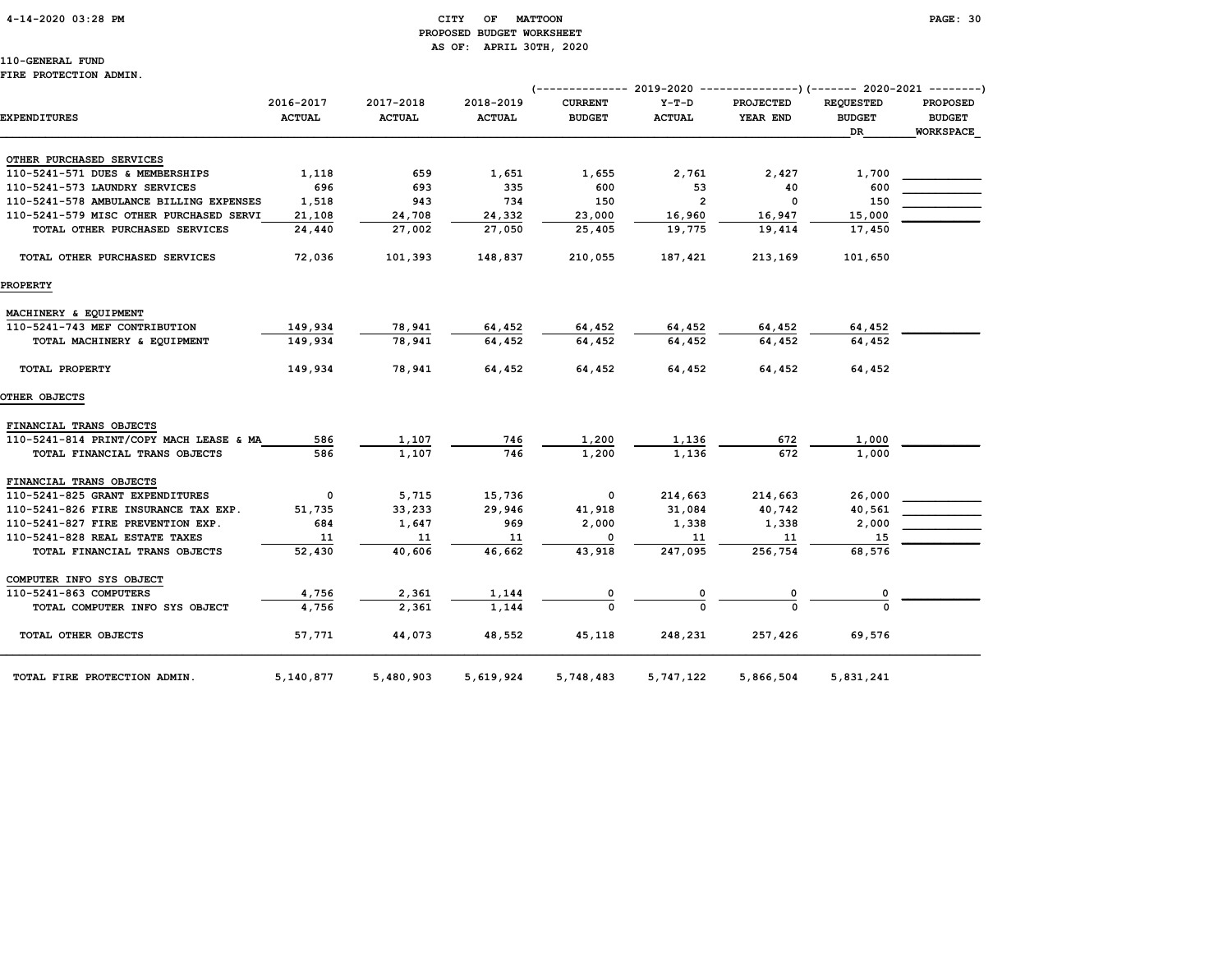# 4-14-2020 03:28 PM CITY OF MATTOON PAGE: 30 PROPOSED BUDGET WORKSHEET AS OF: APRIL 30TH, 2020

110-GENERAL FUND FIRE PROTECTION ADMIN.

|                                         |               |               |               | (------------- 2019-2020 |                | ---------------) (------- 2020-2021 --------) |                  |                  |
|-----------------------------------------|---------------|---------------|---------------|--------------------------|----------------|-----------------------------------------------|------------------|------------------|
|                                         | 2016-2017     | 2017-2018     | 2018-2019     | <b>CURRENT</b>           | $Y-T-D$        | PROJECTED                                     | <b>REQUESTED</b> | <b>PROPOSED</b>  |
| <b>EXPENDITURES</b>                     | <b>ACTUAL</b> | <b>ACTUAL</b> | <b>ACTUAL</b> | <b>BUDGET</b>            | <b>ACTUAL</b>  | YEAR END                                      | <b>BUDGET</b>    | <b>BUDGET</b>    |
|                                         |               |               |               |                          |                |                                               | <b>DR</b>        | <b>WORKSPACE</b> |
| OTHER PURCHASED SERVICES                |               |               |               |                          |                |                                               |                  |                  |
| 110-5241-571 DUES & MEMBERSHIPS         | 1,118         | 659           | 1,651         | 1,655                    | 2,761          | 2,427                                         | 1,700            |                  |
| 110-5241-573 LAUNDRY SERVICES           | 696           | 693           | 335           | 600                      | 53             | 40                                            | 600              |                  |
| 110-5241-578 AMBULANCE BILLING EXPENSES | 1,518         | 943           | 734           | 150                      | $\overline{2}$ | 0                                             | 150              |                  |
| 110-5241-579 MISC OTHER PURCHASED SERVI | 21,108        | 24,708        | 24,332        | 23,000                   | 16,960         | 16,947                                        | 15,000           |                  |
| TOTAL OTHER PURCHASED SERVICES          | 24,440        | 27,002        | 27,050        | 25,405                   | 19,775         | 19,414                                        | 17,450           |                  |
|                                         |               |               |               |                          |                |                                               |                  |                  |
| TOTAL OTHER PURCHASED SERVICES          | 72,036        | 101,393       | 148,837       | 210,055                  | 187,421        | 213,169                                       | 101,650          |                  |
| <b>PROPERTY</b>                         |               |               |               |                          |                |                                               |                  |                  |
| MACHINERY & EQUIPMENT                   |               |               |               |                          |                |                                               |                  |                  |
| 110-5241-743 MEF CONTRIBUTION           | 149,934       | 78,941        | 64,452        | 64,452                   | 64,452         | 64,452                                        | 64,452           |                  |
| TOTAL MACHINERY & EQUIPMENT             | 149,934       | 78,941        | 64,452        | 64,452                   | 64,452         | 64,452                                        | 64.452           |                  |
| TOTAL PROPERTY                          | 149,934       | 78,941        | 64,452        | 64,452                   | 64,452         | 64,452                                        | 64,452           |                  |
| OTHER OBJECTS                           |               |               |               |                          |                |                                               |                  |                  |
| FINANCIAL TRANS OBJECTS                 |               |               |               |                          |                |                                               |                  |                  |
| 110-5241-814 PRINT/COPY MACH LEASE & MA | 586           | 1,107         | 746           | 1,200                    | 1,136          | 672                                           | 1,000            |                  |
| TOTAL FINANCIAL TRANS OBJECTS           | 586           | 1,107         | 746           | 1,200                    | 1,136          | 672                                           | 1,000            |                  |
| FINANCIAL TRANS OBJECTS                 |               |               |               |                          |                |                                               |                  |                  |
| 110-5241-825 GRANT EXPENDITURES         | $\mathbf 0$   | 5,715         | 15,736        | 0                        | 214,663        | 214,663                                       | 26,000           |                  |
| 110-5241-826 FIRE INSURANCE TAX EXP.    | 51,735        | 33,233        | 29,946        | 41,918                   | 31,084         | 40,742                                        | 40,561           |                  |
| 110-5241-827 FIRE PREVENTION EXP.       | 684           | 1,647         | 969           | 2,000                    | 1,338          | 1,338                                         | 2,000            |                  |
| 110-5241-828 REAL ESTATE TAXES          | 11            | 11            | 11            | $^{\circ}$               | 11             | 11                                            | 15               |                  |
| TOTAL FINANCIAL TRANS OBJECTS           | 52,430        | 40,606        | 46,662        | 43,918                   | 247,095        | 256,754                                       | 68,576           |                  |
| COMPUTER INFO SYS OBJECT                |               |               |               |                          |                |                                               |                  |                  |
| 110-5241-863 COMPUTERS                  | 4,756         | 2,361         | 1,144         |                          |                | 0                                             |                  |                  |
| TOTAL COMPUTER INFO SYS OBJECT          | 4,756         | 2,361         | 1,144         |                          |                |                                               |                  |                  |
| TOTAL OTHER OBJECTS                     | 57,771        | 44,073        | 48,552        | 45,118                   | 248,231        | 257,426                                       | 69,576           |                  |
| TOTAL FIRE PROTECTION ADMIN.            | 5,140,877     | 5,480,903     | 5,619,924     | 5,748,483                | 5,747,122      | 5,866,504                                     | 5,831,241        |                  |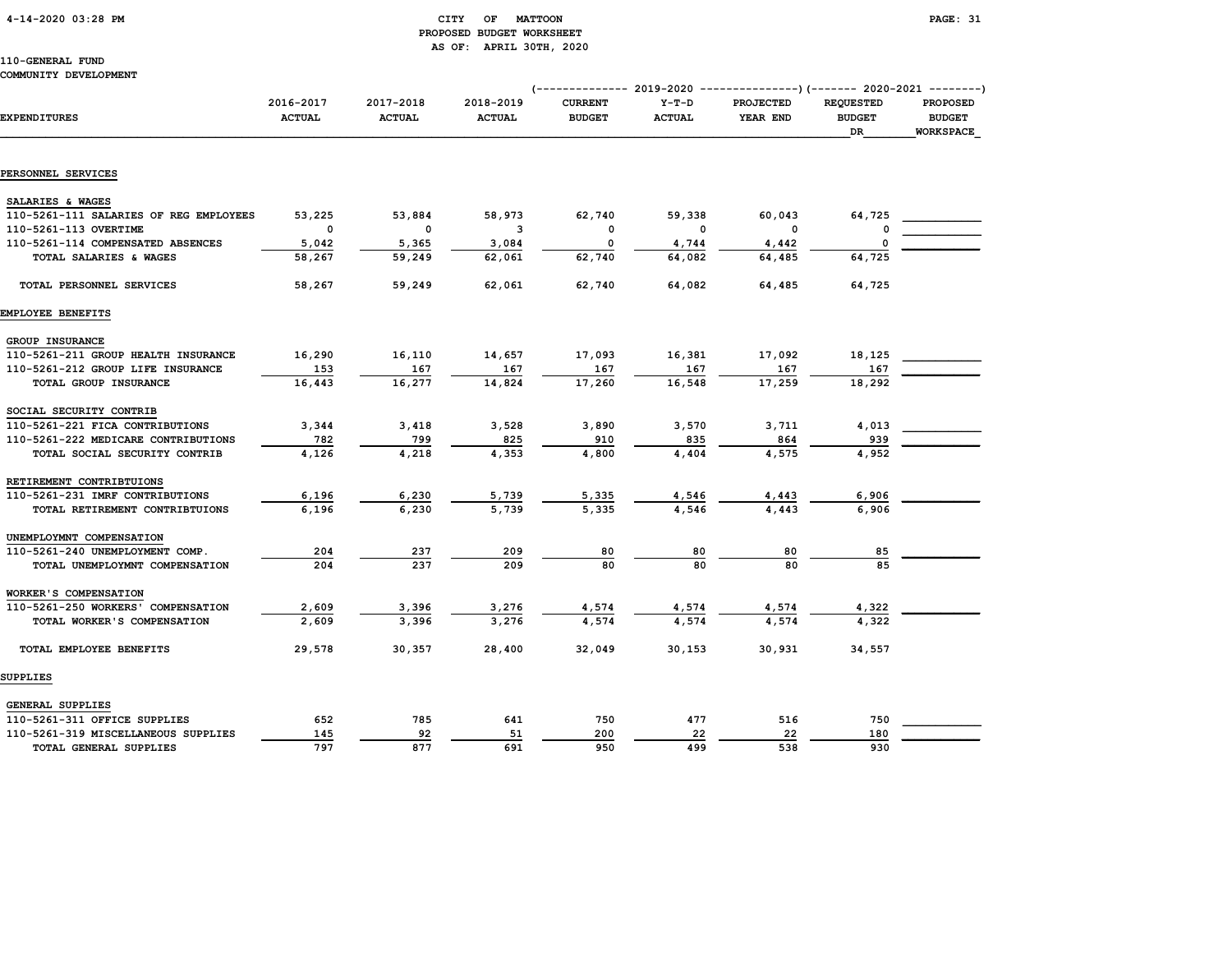# 4-14-2020 03:28 PM CITY OF MATTOON PAGE: 31 PROPOSED BUDGET WORKSHEET AS OF: APRIL 30TH, 2020

# 110-GENERAL FUND

# COMMUNITY DEVELOPMENT

|                                        |                            |                            |                            | $--------- 2019-2020$           |                          | $-----------$ ) (------- 2020-2021 --------) |                                         |                                               |
|----------------------------------------|----------------------------|----------------------------|----------------------------|---------------------------------|--------------------------|----------------------------------------------|-----------------------------------------|-----------------------------------------------|
| <b>EXPENDITURES</b>                    | 2016-2017<br><b>ACTUAL</b> | 2017-2018<br><b>ACTUAL</b> | 2018-2019<br><b>ACTUAL</b> | <b>CURRENT</b><br><b>BUDGET</b> | $Y-T-D$<br><b>ACTUAL</b> | PROJECTED<br>YEAR END                        | <b>REQUESTED</b><br><b>BUDGET</b><br>DR | <b>PROPOSED</b><br><b>BUDGET</b><br>WORKSPACE |
|                                        |                            |                            |                            |                                 |                          |                                              |                                         |                                               |
| PERSONNEL SERVICES                     |                            |                            |                            |                                 |                          |                                              |                                         |                                               |
| SALARIES & WAGES                       |                            |                            |                            |                                 |                          |                                              |                                         |                                               |
| 110-5261-111 SALARIES OF REG EMPLOYEES | 53,225                     | 53,884                     | 58,973                     | 62,740                          | 59,338                   | 60,043                                       | 64,725                                  |                                               |
| 110-5261-113 OVERTIME                  | $\mathbf 0$                | $\mathbf 0$                | 3                          | 0                               | $\Omega$                 | 0                                            | 0                                       |                                               |
| 110-5261-114 COMPENSATED ABSENCES      | 5,042                      | 5,365                      | 3,084                      | 0                               | 4,744                    | 4,442                                        | $\mathbf 0$                             |                                               |
| TOTAL SALARIES & WAGES                 | 58,267                     | 59,249                     | 62,061                     | 62,740                          | 64,082                   | 64,485                                       | 64,725                                  |                                               |
| TOTAL PERSONNEL SERVICES               | 58,267                     | 59,249                     | 62,061                     | 62,740                          | 64,082                   | 64,485                                       | 64,725                                  |                                               |
| EMPLOYEE BENEFITS                      |                            |                            |                            |                                 |                          |                                              |                                         |                                               |
| GROUP INSURANCE                        |                            |                            |                            |                                 |                          |                                              |                                         |                                               |
| 110-5261-211 GROUP HEALTH INSURANCE    | 16,290                     | 16,110                     | 14,657                     | 17,093                          | 16,381                   | 17,092                                       | 18,125                                  |                                               |
| 110-5261-212 GROUP LIFE INSURANCE      | 153                        | 167                        | 167                        | 167                             | 167                      | 167                                          | 167                                     |                                               |
| TOTAL GROUP INSURANCE                  | 16,443                     | 16,277                     | 14,824                     | 17,260                          | 16,548                   | 17,259                                       | 18,292                                  |                                               |
| SOCIAL SECURITY CONTRIB                |                            |                            |                            |                                 |                          |                                              |                                         |                                               |
| 110-5261-221 FICA CONTRIBUTIONS        | 3,344                      | 3,418                      | 3,528                      | 3,890                           | 3,570                    | 3,711                                        | 4,013                                   |                                               |
| 110-5261-222 MEDICARE CONTRIBUTIONS    | 782                        | 799                        | 825                        | 910                             | 835                      | 864                                          | 939                                     |                                               |
| TOTAL SOCIAL SECURITY CONTRIB          | 4,126                      | 4,218                      | 4,353                      | 4,800                           | 4,404                    | 4,575                                        | 4,952                                   |                                               |
| RETIREMENT CONTRIBTUIONS               |                            |                            |                            |                                 |                          |                                              |                                         |                                               |
| 110-5261-231 IMRF CONTRIBUTIONS        | 6,196                      | 6,230                      | 5,739                      | 5,335                           | 4,546                    | 4,443                                        | 6,906                                   |                                               |
| TOTAL RETIREMENT CONTRIBTUIONS         | 6,196                      | 6,230                      | 5,739                      | 5,335                           | 4,546                    | 4,443                                        | 6,906                                   |                                               |
| UNEMPLOYMNT COMPENSATION               |                            |                            |                            |                                 |                          |                                              |                                         |                                               |
| 110-5261-240 UNEMPLOYMENT COMP.        | 204                        | 237                        | 209                        | 80                              | 80                       | 80                                           | 85                                      |                                               |
| TOTAL UNEMPLOYMNT COMPENSATION         | 204                        | 237                        | 209                        | 80                              | 80                       | 80                                           | 85                                      |                                               |
| WORKER'S COMPENSATION                  |                            |                            |                            |                                 |                          |                                              |                                         |                                               |
| 110-5261-250 WORKERS' COMPENSATION     | 2,609                      | 3,396                      | 3,276                      | 4,574                           | 4,574                    | 4,574                                        | 4,322                                   |                                               |
| TOTAL WORKER'S COMPENSATION            | 2,609                      | 3,396                      | 3,276                      | 4,574                           | 4,574                    | 4,574                                        | 4,322                                   |                                               |
| TOTAL EMPLOYEE BENEFITS                | 29,578                     | 30,357                     | 28,400                     | 32,049                          | 30, 153                  | 30,931                                       | 34,557                                  |                                               |
| SUPPLIES                               |                            |                            |                            |                                 |                          |                                              |                                         |                                               |
|                                        |                            |                            |                            |                                 |                          |                                              |                                         |                                               |
| GENERAL SUPPLIES                       |                            |                            |                            |                                 |                          |                                              |                                         |                                               |
| 110-5261-311 OFFICE SUPPLIES           | 652                        | 785                        | 641                        | 750                             | 477                      | 516                                          | 750                                     |                                               |
| 110-5261-319 MISCELLANEOUS SUPPLIES    | 145                        | 92                         | 51                         | 200                             | 22                       | 22                                           | 180                                     |                                               |
| TOTAL GENERAL SUPPLIES                 | 797                        | 877                        | 691                        | 950                             | 499                      | 538                                          | 930                                     |                                               |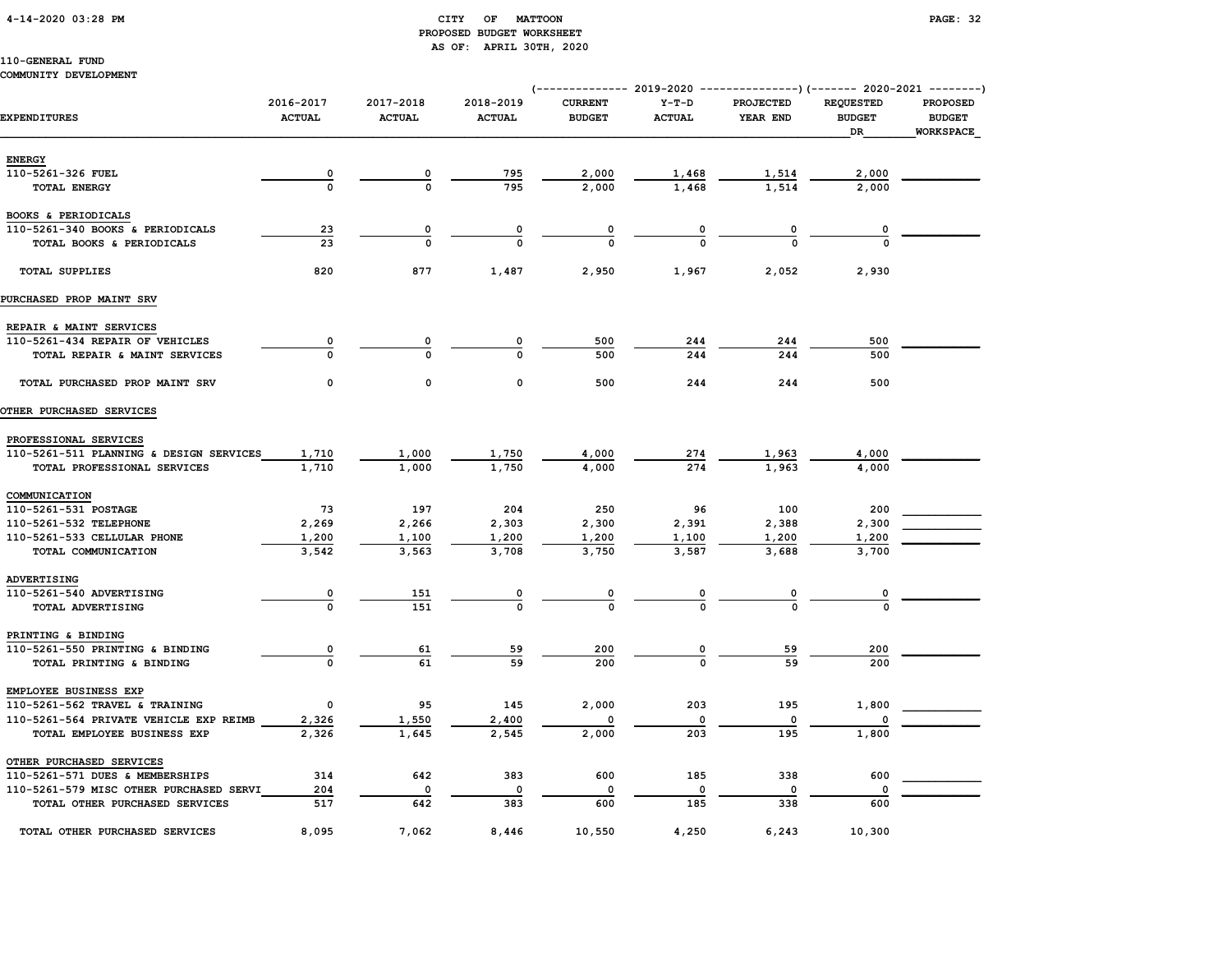# 4-14-2020 03:28 PM CITY OF MATTOON PAGE: 32 PROPOSED BUDGET WORKSHEET AS OF: APRIL 30TH, 2020

# 110-GENERAL FUND

# COMMUNITY DEVELOPMENT

|                                                         |                            |                            |                            | (-------------- 2019-2020 ----------------) (------- 2020-2021 --------) |                          |                              |                                         |                                                      |
|---------------------------------------------------------|----------------------------|----------------------------|----------------------------|--------------------------------------------------------------------------|--------------------------|------------------------------|-----------------------------------------|------------------------------------------------------|
| <b>EXPENDITURES</b>                                     | 2016-2017<br><b>ACTUAL</b> | 2017-2018<br><b>ACTUAL</b> | 2018-2019<br><b>ACTUAL</b> | <b>CURRENT</b><br><b>BUDGET</b>                                          | $Y-T-D$<br><b>ACTUAL</b> | PROJECTED<br>YEAR END        | <b>REQUESTED</b><br><b>BUDGET</b><br>DR | <b>PROPOSED</b><br><b>BUDGET</b><br><b>WORKSPACE</b> |
| <b>ENERGY</b>                                           |                            |                            |                            |                                                                          |                          |                              |                                         |                                                      |
| 110-5261-326 FUEL                                       | $\overline{\mathbf{0}}$    | 0                          | 795                        | 2,000                                                                    | 1,468                    | 1,514                        | 2,000                                   |                                                      |
| TOTAL ENERGY                                            | $\mathbf{o}$               | $\Omega$                   | 795                        | 2,000                                                                    | 1,468                    | 1,514                        | 2,000                                   |                                                      |
|                                                         |                            |                            |                            |                                                                          |                          |                              |                                         |                                                      |
| BOOKS & PERIODICALS<br>110-5261-340 BOOKS & PERIODICALS | 23                         | 0                          |                            |                                                                          |                          |                              |                                         |                                                      |
| TOTAL BOOKS & PERIODICALS                               | 23                         | $\Omega$                   | 0<br>$\Omega$              | 0<br>$\Omega$                                                            | 0                        | $\overline{\mathbf{0}}$<br>O | 0                                       |                                                      |
|                                                         |                            |                            |                            |                                                                          |                          |                              |                                         |                                                      |
| <b>TOTAL SUPPLIES</b>                                   | 820                        | 877                        | 1,487                      | 2,950                                                                    | 1,967                    | 2,052                        | 2,930                                   |                                                      |
| PURCHASED PROP MAINT SRV                                |                            |                            |                            |                                                                          |                          |                              |                                         |                                                      |
| REPAIR & MAINT SERVICES                                 |                            |                            |                            |                                                                          |                          |                              |                                         |                                                      |
| 110-5261-434 REPAIR OF VEHICLES                         | 0                          | 0                          | 0                          | 500                                                                      | 244                      | 244                          | 500                                     |                                                      |
| TOTAL REPAIR & MAINT SERVICES                           | $\Omega$                   | $\Omega$                   | $\Omega$                   | 500                                                                      | 244                      | 244                          | 500                                     |                                                      |
| TOTAL PURCHASED PROP MAINT SRV                          | 0                          | $\mathsf{o}\,$             | 0                          | 500                                                                      | 244                      | 244                          | 500                                     |                                                      |
| OTHER PURCHASED SERVICES                                |                            |                            |                            |                                                                          |                          |                              |                                         |                                                      |
| PROFESSIONAL SERVICES                                   |                            |                            |                            |                                                                          |                          |                              |                                         |                                                      |
| 110-5261-511 PLANNING & DESIGN SERVICES                 | 1,710                      | 1,000                      | 1,750                      | 4,000                                                                    | 274                      | 1,963                        | 4,000                                   |                                                      |
| TOTAL PROFESSIONAL SERVICES                             | 1,710                      | 1,000                      | 1,750                      | 4,000                                                                    | 274                      | 1,963                        | 4,000                                   |                                                      |
| COMMUNICATION                                           |                            |                            |                            |                                                                          |                          |                              |                                         |                                                      |
| 110-5261-531 POSTAGE                                    | 73                         | 197                        | 204                        | 250                                                                      | 96                       | 100                          | 200                                     |                                                      |
| 110-5261-532 TELEPHONE                                  | 2,269                      | 2,266                      | 2,303                      | 2,300                                                                    | 2,391                    | 2,388                        | 2,300                                   |                                                      |
| 110-5261-533 CELLULAR PHONE                             | 1,200                      | 1,100                      | 1,200                      | 1,200                                                                    | 1,100                    | 1,200                        | 1,200                                   |                                                      |
| TOTAL COMMUNICATION                                     | 3,542                      | 3,563                      | 3,708                      | 3,750                                                                    | 3,587                    | 3,688                        | 3,700                                   |                                                      |
| ADVERTISING                                             |                            |                            |                            |                                                                          |                          |                              |                                         |                                                      |
| 110-5261-540 ADVERTISING                                | $\overline{\mathbf{0}}$    | 151                        | 0                          | $\overline{\mathbf{0}}$                                                  | $\overline{\mathbf{0}}$  | $\overline{\mathbf{0}}$      | 0                                       |                                                      |
| TOTAL ADVERTISING                                       | $\mathbf 0$                | 151                        | $\mathbf 0$                | $\mathbf 0$                                                              | $\Omega$                 | $\Omega$                     | $\Omega$                                |                                                      |
| PRINTING & BINDING                                      |                            |                            |                            |                                                                          |                          |                              |                                         |                                                      |
| 110-5261-550 PRINTING & BINDING                         | $\overline{\mathbf{0}}$    | <u>61</u>                  | 59                         | 200                                                                      | 0                        | 59                           | 200                                     |                                                      |
| TOTAL PRINTING & BINDING                                | $\Omega$                   | 61                         | 59                         | 200                                                                      |                          | 59                           | 200                                     |                                                      |
| EMPLOYEE BUSINESS EXP                                   |                            |                            |                            |                                                                          |                          |                              |                                         |                                                      |
| 110-5261-562 TRAVEL & TRAINING                          | $\mathbf 0$                | 95                         | 145                        | 2,000                                                                    | 203                      | 195                          | 1,800                                   |                                                      |
| 110-5261-564 PRIVATE VEHICLE EXP REIMB                  | 2,326                      | 1,550                      | 2,400                      |                                                                          | 0                        | $\mathbf 0$                  |                                         |                                                      |
| TOTAL EMPLOYEE BUSINESS EXP                             | 2,326                      | 1,645                      | 2,545                      | 2,000                                                                    | 203                      | 195                          | 1,800                                   |                                                      |
| OTHER PURCHASED SERVICES                                |                            |                            |                            |                                                                          |                          |                              |                                         |                                                      |
| 110-5261-571 DUES & MEMBERSHIPS                         | 314                        | 642                        | 383                        | 600                                                                      | 185                      | 338                          | 600                                     |                                                      |
| 110-5261-579 MISC OTHER PURCHASED SERVI                 | 204                        | 0                          | $\mathbf 0$                | 0                                                                        | 0                        | 0                            |                                         |                                                      |
| TOTAL OTHER PURCHASED SERVICES                          | 517                        | 642                        | 383                        | 600                                                                      | 185                      | 338                          | 600                                     |                                                      |
| TOTAL OTHER PURCHASED SERVICES                          | 8,095                      | 7,062                      | 8,446                      | 10,550                                                                   | 4,250                    | 6,243                        | 10,300                                  |                                                      |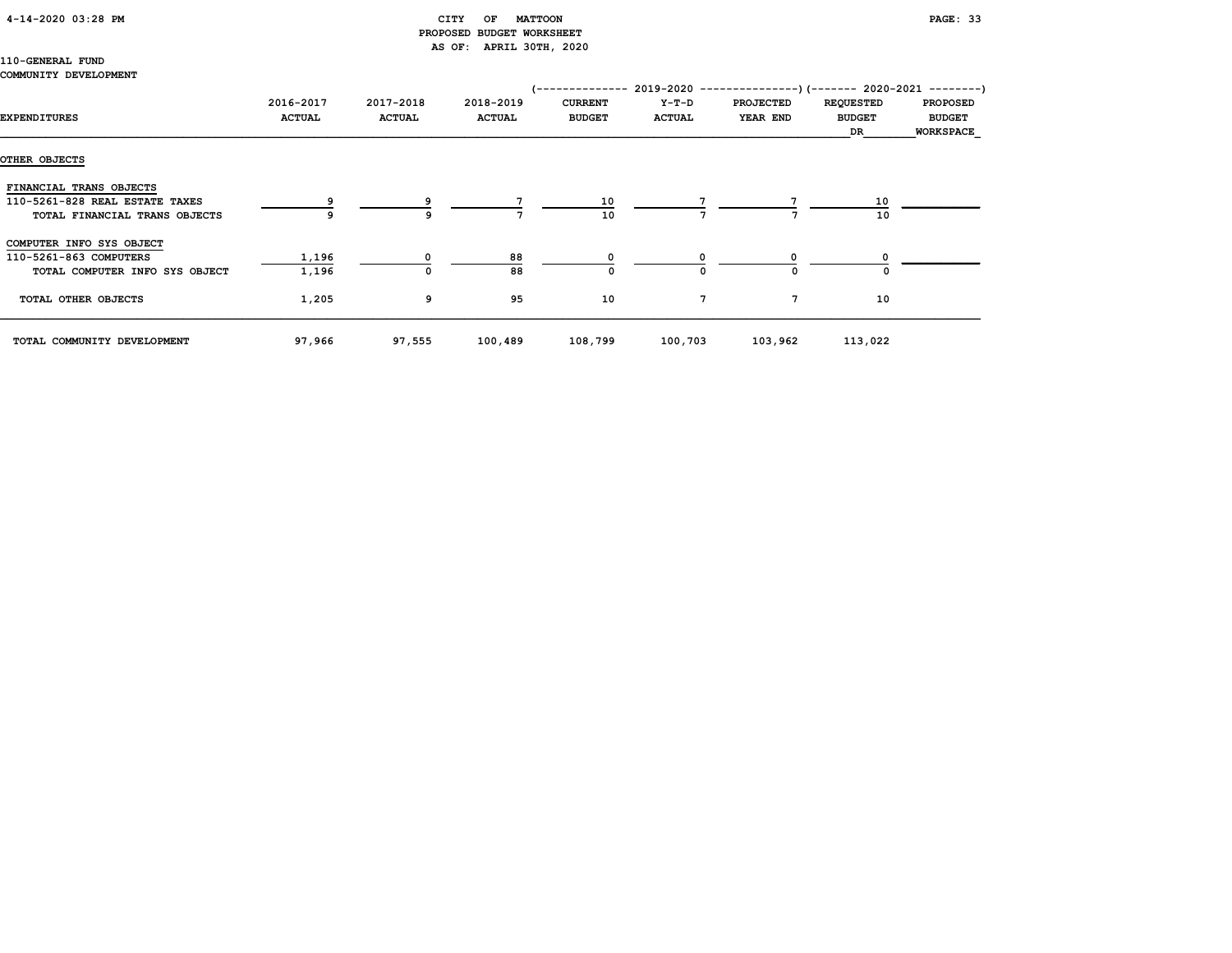# 4-14-2020 03:28 PM CITY OF MATTOON PAGE: 33 PROPOSED BUDGET WORKSHEET AS OF: APRIL 30TH, 2020

# 110-GENERAL FUND

# COMMUNITY DEVELOPMENT

|                                |               |               |               | /-------------- |               | $2019-2020$ ---------------) (------- 2020-2021 --------) |                  |                  |
|--------------------------------|---------------|---------------|---------------|-----------------|---------------|-----------------------------------------------------------|------------------|------------------|
|                                | 2016-2017     | 2017-2018     | 2018-2019     | <b>CURRENT</b>  | $Y-T-D$       | <b>PROJECTED</b>                                          | <b>REQUESTED</b> | <b>PROPOSED</b>  |
| <b>EXPENDITURES</b>            | <b>ACTUAL</b> | <b>ACTUAL</b> | <b>ACTUAL</b> | <b>BUDGET</b>   | <b>ACTUAL</b> | YEAR END                                                  | <b>BUDGET</b>    | <b>BUDGET</b>    |
|                                |               |               |               |                 |               |                                                           | DR               | <b>WORKSPACE</b> |
|                                |               |               |               |                 |               |                                                           |                  |                  |
| OTHER OBJECTS                  |               |               |               |                 |               |                                                           |                  |                  |
| FINANCIAL TRANS OBJECTS        |               |               |               |                 |               |                                                           |                  |                  |
| 110-5261-828 REAL ESTATE TAXES |               |               |               | 10              |               |                                                           | 10               |                  |
| TOTAL FINANCIAL TRANS OBJECTS  |               | 9             |               | 10              |               |                                                           | 10               |                  |
| COMPUTER INFO SYS OBJECT       |               |               |               |                 |               |                                                           |                  |                  |
| 110-5261-863 COMPUTERS         | 1,196         |               | 88            |                 |               |                                                           |                  |                  |
| TOTAL COMPUTER INFO SYS OBJECT | 1,196         | 0             | 88            | $\Omega$        | $\Omega$      | 0                                                         |                  |                  |
| TOTAL OTHER OBJECTS            | 1,205         | 9             | 95            | 10              | 7             | 7                                                         | 10               |                  |
| TOTAL COMMUNITY DEVELOPMENT    | 97,966        | 97,555        | 100,489       | 108,799         | 100,703       | 103,962                                                   | 113,022          |                  |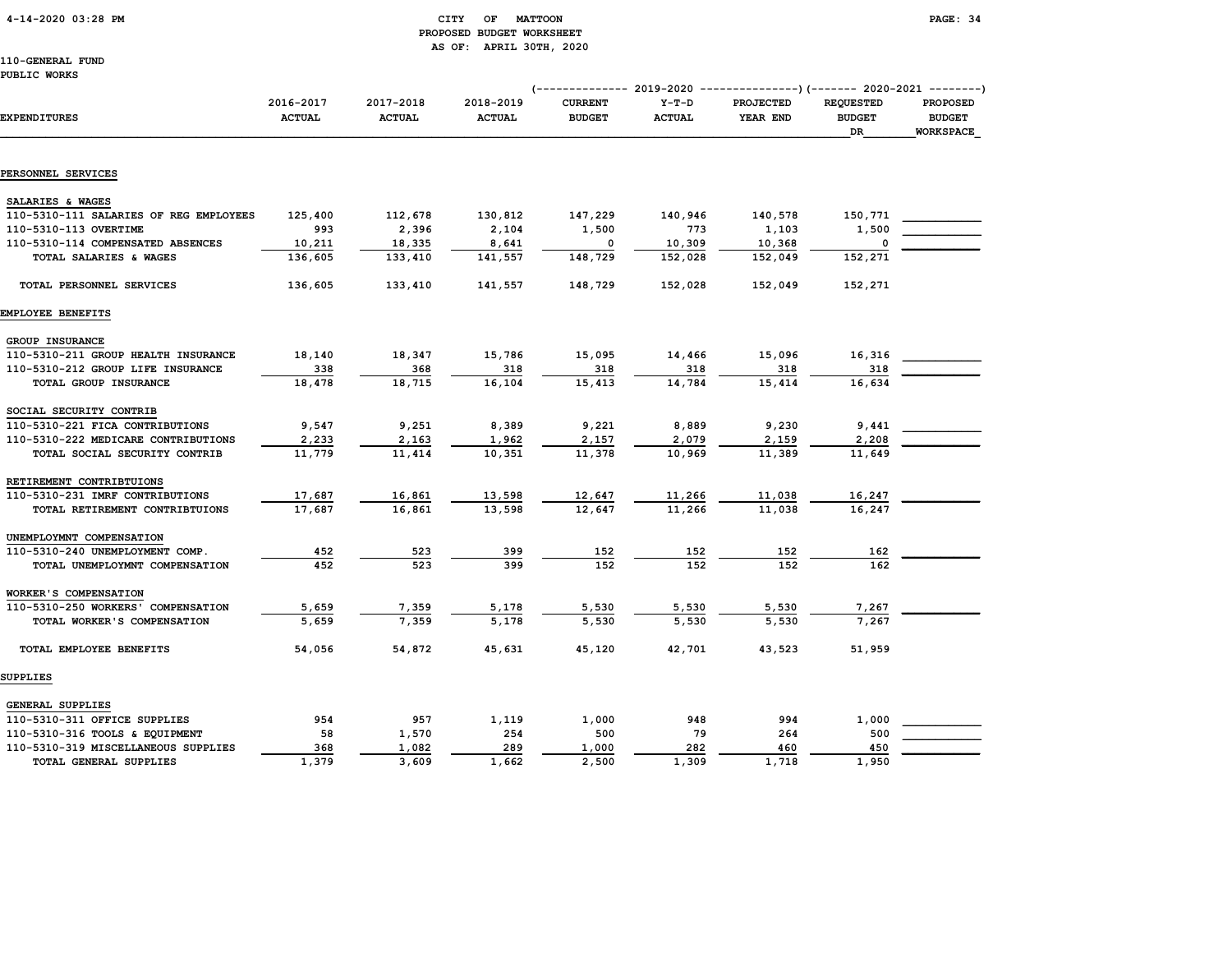# 4-14-2020 03:28 PM CITY OF MATTOON PAGE: 34 PROPOSED BUDGET WORKSHEET AS OF: APRIL 30TH, 2020

|                                        |                            |                            |                            | ---------------) (------- 2020-2021 --------) |                          |                       |                                                |                                                      |
|----------------------------------------|----------------------------|----------------------------|----------------------------|-----------------------------------------------|--------------------------|-----------------------|------------------------------------------------|------------------------------------------------------|
| <b>EXPENDITURES</b>                    | 2016-2017<br><b>ACTUAL</b> | 2017-2018<br><b>ACTUAL</b> | 2018-2019<br><b>ACTUAL</b> | <b>CURRENT</b><br><b>BUDGET</b>               | $Y-T-D$<br><b>ACTUAL</b> | PROJECTED<br>YEAR END | <b>REQUESTED</b><br><b>BUDGET</b><br><b>DR</b> | <b>PROPOSED</b><br><b>BUDGET</b><br><b>WORKSPACE</b> |
|                                        |                            |                            |                            |                                               |                          |                       |                                                |                                                      |
| PERSONNEL SERVICES                     |                            |                            |                            |                                               |                          |                       |                                                |                                                      |
| SALARIES & WAGES                       |                            |                            |                            |                                               |                          |                       |                                                |                                                      |
| 110-5310-111 SALARIES OF REG EMPLOYEES | 125,400                    | 112,678                    | 130,812                    | 147,229                                       | 140,946                  | 140,578               | 150,771                                        |                                                      |
| 110-5310-113 OVERTIME                  | 993                        | 2,396                      | 2,104                      | 1,500                                         | 773                      | 1,103                 | 1,500                                          |                                                      |
| 110-5310-114 COMPENSATED ABSENCES      | 10,211                     | 18,335                     | 8,641                      | 0                                             | 10,309                   | 10,368                | $\mathbf 0$                                    |                                                      |
| TOTAL SALARIES & WAGES                 | 136,605                    | 133,410                    | 141,557                    | 148,729                                       | 152,028                  | 152,049               | 152,271                                        |                                                      |
| TOTAL PERSONNEL SERVICES               | 136,605                    | 133,410                    | 141,557                    | 148,729                                       | 152,028                  | 152,049               | 152,271                                        |                                                      |
| EMPLOYEE BENEFITS                      |                            |                            |                            |                                               |                          |                       |                                                |                                                      |
| GROUP INSURANCE                        |                            |                            |                            |                                               |                          |                       |                                                |                                                      |
| 110-5310-211 GROUP HEALTH INSURANCE    | 18,140                     | 18,347                     | 15,786                     | 15,095                                        | 14,466                   | 15,096                | 16,316                                         |                                                      |
| 110-5310-212 GROUP LIFE INSURANCE      | 338                        | 368                        | 318                        | 318                                           | 318                      | 318                   | 318                                            |                                                      |
| TOTAL GROUP INSURANCE                  | 18,478                     | 18,715                     | 16,104                     | 15,413                                        | 14,784                   | 15,414                | 16,634                                         |                                                      |
| SOCIAL SECURITY CONTRIB                |                            |                            |                            |                                               |                          |                       |                                                |                                                      |
| 110-5310-221 FICA CONTRIBUTIONS        | 9,547                      | 9,251                      | 8,389                      | 9,221                                         | 8,889                    | 9,230                 | 9,441                                          |                                                      |
| 110-5310-222 MEDICARE CONTRIBUTIONS    | 2,233                      | 2,163                      | 1,962                      | 2,157                                         | 2,079                    | 2,159                 | 2,208                                          |                                                      |
| TOTAL SOCIAL SECURITY CONTRIB          | 11,779                     | 11,414                     | 10,351                     | 11,378                                        | 10,969                   | 11,389                | 11,649                                         |                                                      |
| RETIREMENT CONTRIBTUIONS               |                            |                            |                            |                                               |                          |                       |                                                |                                                      |
| 110-5310-231 IMRF CONTRIBUTIONS        | 17,687                     | 16,861                     | 13,598                     | 12,647                                        | 11,266                   | 11,038                | 16,247                                         |                                                      |
| TOTAL RETIREMENT CONTRIBTUIONS         | 17,687                     | 16,861                     | 13,598                     | 12,647                                        | 11,266                   | 11,038                | 16,247                                         |                                                      |
| UNEMPLOYMNT COMPENSATION               |                            |                            |                            |                                               |                          |                       |                                                |                                                      |
| 110-5310-240 UNEMPLOYMENT COMP.        | 452                        | 523                        | 399                        | 152                                           | 152                      | 152                   | 162                                            |                                                      |
| TOTAL UNEMPLOYMNT COMPENSATION         | 452                        | 523                        | 399                        | 152                                           | 152                      | 152                   | 162                                            |                                                      |
| WORKER'S COMPENSATION                  |                            |                            |                            |                                               |                          |                       |                                                |                                                      |
| 110-5310-250 WORKERS' COMPENSATION     | 5,659                      | 7,359                      | 5,178                      | 5,530                                         | 5,530                    | 5,530                 | 7,267                                          |                                                      |
| TOTAL WORKER'S COMPENSATION            | 5,659                      | 7,359                      | 5,178                      | 5,530                                         | 5,530                    | 5,530                 | 7.267                                          |                                                      |
| TOTAL EMPLOYEE BENEFITS                | 54,056                     | 54,872                     | 45,631                     | 45,120                                        | 42,701                   | 43,523                | 51,959                                         |                                                      |
| SUPPLIES                               |                            |                            |                            |                                               |                          |                       |                                                |                                                      |
| GENERAL SUPPLIES                       |                            |                            |                            |                                               |                          |                       |                                                |                                                      |
| 110-5310-311 OFFICE SUPPLIES           | 954                        | 957                        | 1,119                      | 1,000                                         | 948                      | 994                   | 1,000                                          |                                                      |
| 110-5310-316 TOOLS & EQUIPMENT         | 58                         | 1,570                      | 254                        | 500                                           | 79                       | 264                   | 500                                            |                                                      |
| 110-5310-319 MISCELLANEOUS SUPPLIES    | 368                        | 1,082                      | 289                        | 1,000                                         | 282                      | 460                   | 450                                            |                                                      |
| TOTAL GENERAL SUPPLIES                 | 1,379                      | 3,609                      | 1,662                      | 2,500                                         | 1,309                    | 1,718                 | 1,950                                          |                                                      |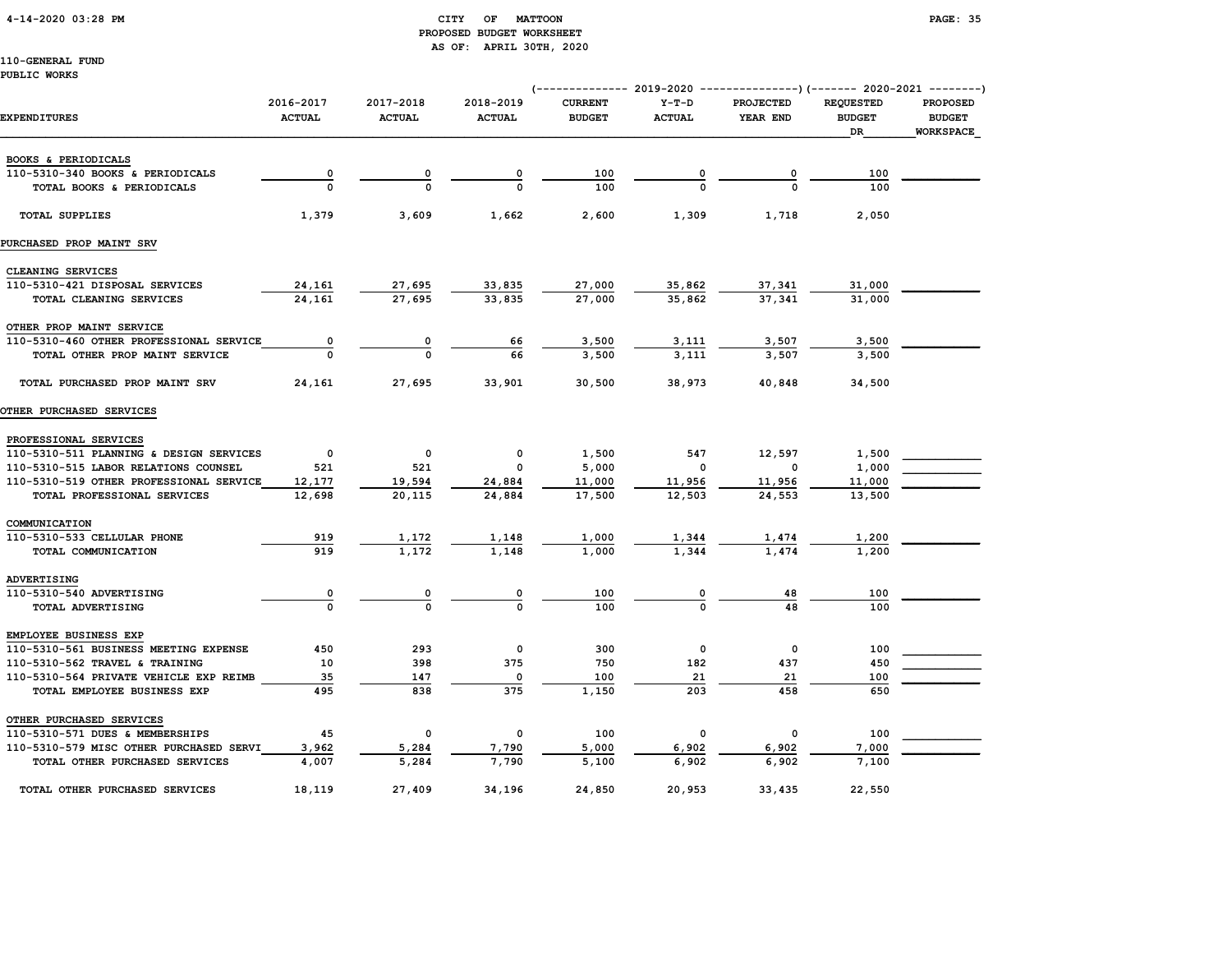# 4-14-2020 03:28 PM CITY OF MATTOON PAGE: 35 PROPOSED BUDGET WORKSHEET AS OF: APRIL 30TH, 2020

|                                         |                            |                            | (-                         |                                 |                          | ------------ 2019-2020 ----------------) (------- 2020-2021 --------) |                                                |                                                      |
|-----------------------------------------|----------------------------|----------------------------|----------------------------|---------------------------------|--------------------------|-----------------------------------------------------------------------|------------------------------------------------|------------------------------------------------------|
| EXPENDITURES                            | 2016-2017<br><b>ACTUAL</b> | 2017-2018<br><b>ACTUAL</b> | 2018-2019<br><b>ACTUAL</b> | <b>CURRENT</b><br><b>BUDGET</b> | $Y-T-D$<br><b>ACTUAL</b> | <b>PROJECTED</b><br>YEAR END                                          | <b>REOUESTED</b><br><b>BUDGET</b><br><b>DR</b> | <b>PROPOSED</b><br><b>BUDGET</b><br><b>WORKSPACE</b> |
|                                         |                            |                            |                            |                                 |                          |                                                                       |                                                |                                                      |
| BOOKS & PERIODICALS                     |                            |                            |                            |                                 |                          |                                                                       |                                                |                                                      |
| 110-5310-340 BOOKS & PERIODICALS        | 0                          | 0                          | 0                          | 100                             |                          | 0                                                                     | 100                                            |                                                      |
| TOTAL BOOKS & PERIODICALS               |                            | $\Omega$                   |                            | 100                             |                          | $\Omega$                                                              | 100                                            |                                                      |
| <b>TOTAL SUPPLIES</b>                   | 1,379                      | 3,609                      | 1,662                      | 2,600                           | 1,309                    | 1,718                                                                 | 2,050                                          |                                                      |
| PURCHASED PROP MAINT SRV                |                            |                            |                            |                                 |                          |                                                                       |                                                |                                                      |
| CLEANING SERVICES                       |                            |                            |                            |                                 |                          |                                                                       |                                                |                                                      |
| 110-5310-421 DISPOSAL SERVICES          | 24,161                     | 27,695                     | 33,835                     | 27,000                          | 35,862                   | 37,341                                                                | 31,000                                         |                                                      |
| TOTAL CLEANING SERVICES                 | 24,161                     | 27,695                     | 33.835                     | 27,000                          | 35,862                   | 37.341                                                                | 31,000                                         |                                                      |
| OTHER PROP MAINT SERVICE                |                            |                            |                            |                                 |                          |                                                                       |                                                |                                                      |
| 110-5310-460 OTHER PROFESSIONAL SERVICE | 0                          |                            | 66                         | 3,500                           | 3,111                    | 3,507                                                                 | 3,500                                          |                                                      |
| TOTAL OTHER PROP MAINT SERVICE          |                            |                            | 66                         | 3,500                           | 3,111                    | 3,507                                                                 | 3,500                                          |                                                      |
| TOTAL PURCHASED PROP MAINT SRV          | 24,161                     | 27,695                     | 33,901                     | 30,500                          | 38,973                   | 40,848                                                                | 34,500                                         |                                                      |
| OTHER PURCHASED SERVICES                |                            |                            |                            |                                 |                          |                                                                       |                                                |                                                      |
| PROFESSIONAL SERVICES                   |                            |                            |                            |                                 |                          |                                                                       |                                                |                                                      |
| 110-5310-511 PLANNING & DESIGN SERVICES | $\mathbf 0$                | 0                          | 0                          | 1,500                           | 547                      | 12,597                                                                | 1,500                                          |                                                      |
| 110-5310-515 LABOR RELATIONS COUNSEL    | 521                        | 521                        | 0                          | 5,000                           | $\mathbf 0$              | 0                                                                     | 1,000                                          |                                                      |
| 110-5310-519 OTHER PROFESSIONAL SERVICE | 12,177                     | 19,594                     | 24,884                     | 11,000                          | 11,956                   | 11,956                                                                | 11,000                                         |                                                      |
| TOTAL PROFESSIONAL SERVICES             | 12,698                     | 20,115                     | 24,884                     | 17,500                          | 12,503                   | 24,553                                                                | 13,500                                         |                                                      |
| COMMUNICATION                           |                            |                            |                            |                                 |                          |                                                                       |                                                |                                                      |
| 110-5310-533 CELLULAR PHONE             | 919                        | 1,172                      | 1,148                      | 1,000                           | 1,344                    | 1,474                                                                 | 1,200                                          |                                                      |
| TOTAL COMMUNICATION                     | 919                        | 1,172                      | 1,148                      | 1,000                           | 1,344                    | 1,474                                                                 | 1,200                                          |                                                      |
| ADVERTISING                             |                            |                            |                            |                                 |                          |                                                                       |                                                |                                                      |
| 110-5310-540 ADVERTISING                | 0                          | 0                          | 0                          | 100                             | 0                        | 48                                                                    | 100                                            |                                                      |
| TOTAL ADVERTISING                       | $\Omega$                   | $\Omega$                   | $\Omega$                   | 100                             | $\Omega$                 | 48                                                                    | 100                                            |                                                      |
| EMPLOYEE BUSINESS EXP                   |                            |                            |                            |                                 |                          |                                                                       |                                                |                                                      |
| 110-5310-561 BUSINESS MEETING EXPENSE   | 450                        | 293                        | $^{\circ}$                 | 300                             | $\mathbf 0$              | $\mathbf{0}$                                                          | 100                                            |                                                      |
| 110-5310-562 TRAVEL & TRAINING          | 10                         | 398                        | 375                        | 750                             | 182                      | 437                                                                   | 450                                            |                                                      |
| 110-5310-564 PRIVATE VEHICLE EXP REIMB  | 35                         | 147                        | $\mathbf 0$                | 100                             | 21                       | 21                                                                    | 100                                            |                                                      |
| TOTAL EMPLOYEE BUSINESS EXP             | 495                        | 838                        | 375                        | 1,150                           | 203                      | 458                                                                   | 650                                            |                                                      |
| OTHER PURCHASED SERVICES                |                            |                            |                            |                                 |                          |                                                                       |                                                |                                                      |
| 110-5310-571 DUES & MEMBERSHIPS         | 45                         | $\mathbf 0$                | 0                          | 100                             | 0                        | 0                                                                     | 100                                            |                                                      |
| 110-5310-579 MISC OTHER PURCHASED SERVI | 3,962                      | 5,284                      | 7,790                      | 5,000                           | 6,902                    | 6,902                                                                 | 7,000                                          |                                                      |
| TOTAL OTHER PURCHASED SERVICES          | 4,007                      | 5,284                      | 7.790                      | 5,100                           | 6,902                    | 6,902                                                                 | 7,100                                          |                                                      |
| TOTAL OTHER PURCHASED SERVICES          | 18,119                     | 27,409                     | 34,196                     | 24,850                          | 20,953                   | 33,435                                                                | 22,550                                         |                                                      |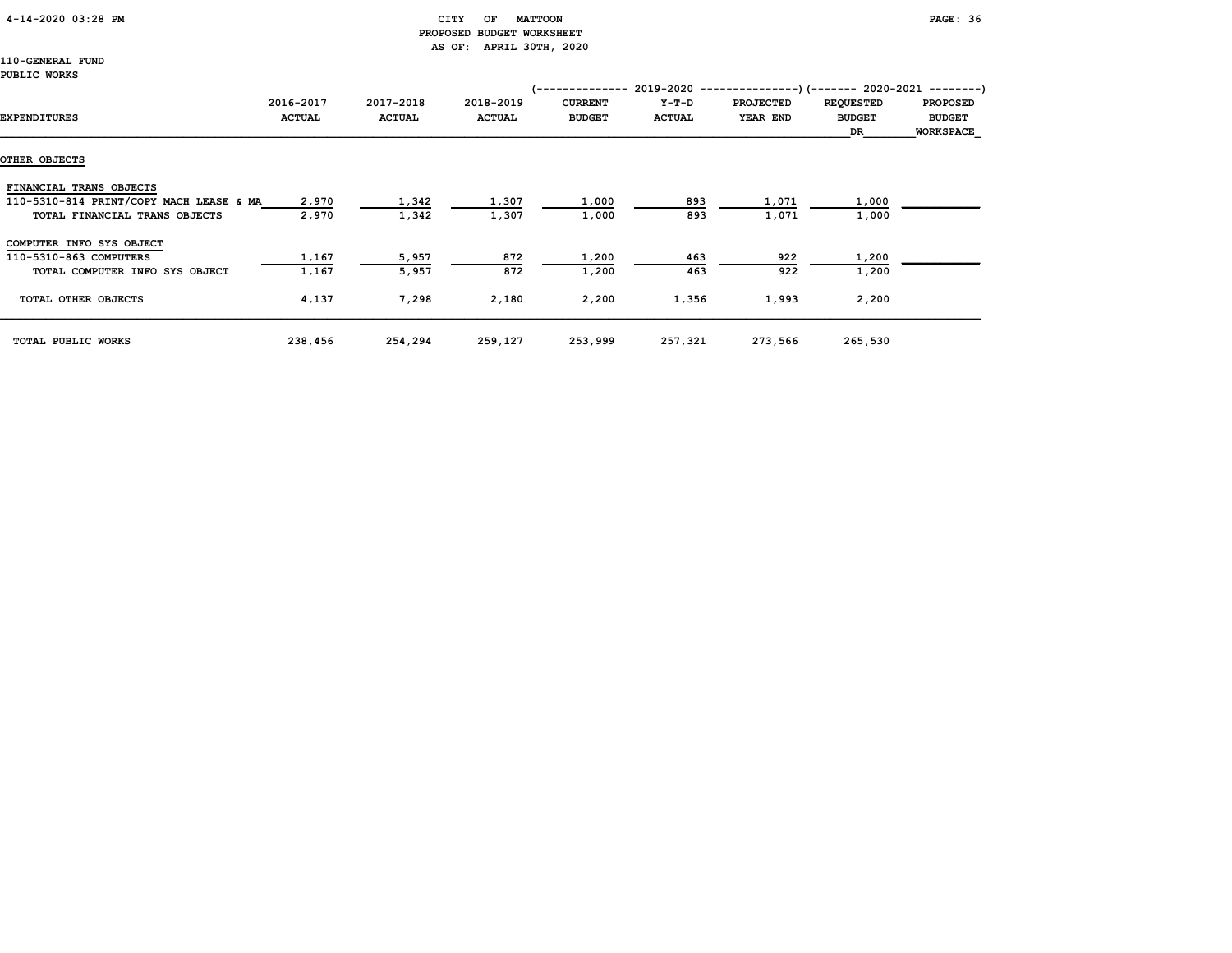# 4-14-2020 03:28 PM CITY OF MATTOON PAGE: 36 PROPOSED BUDGET WORKSHEET AS OF: APRIL 30TH, 2020

|                                         |               |               |               | /-------------- |               | $2019-2020$ ----------------) (------- 2020-2021 ---------) |                  |                  |
|-----------------------------------------|---------------|---------------|---------------|-----------------|---------------|-------------------------------------------------------------|------------------|------------------|
|                                         | 2016-2017     | 2017-2018     | 2018-2019     | <b>CURRENT</b>  | $Y-T-D$       | <b>PROJECTED</b>                                            | <b>REQUESTED</b> | <b>PROPOSED</b>  |
| <b>EXPENDITURES</b>                     | <b>ACTUAL</b> | <b>ACTUAL</b> | <b>ACTUAL</b> | <b>BUDGET</b>   | <b>ACTUAL</b> | YEAR END                                                    | <b>BUDGET</b>    | <b>BUDGET</b>    |
|                                         |               |               |               |                 |               |                                                             | DR               | <b>WORKSPACE</b> |
| OTHER OBJECTS                           |               |               |               |                 |               |                                                             |                  |                  |
|                                         |               |               |               |                 |               |                                                             |                  |                  |
| FINANCIAL TRANS OBJECTS                 |               |               |               |                 |               |                                                             |                  |                  |
| 110-5310-814 PRINT/COPY MACH LEASE & MA | 2,970         | 1,342         | 1,307         | 1,000           | 893           | 1,071                                                       | 1,000            |                  |
| TOTAL FINANCIAL TRANS OBJECTS           | 2,970         | 1,342         | 1,307         | 1,000           | 893           | 1,071                                                       | 1,000            |                  |
| COMPUTER INFO SYS OBJECT                |               |               |               |                 |               |                                                             |                  |                  |
| 110-5310-863 COMPUTERS                  | 1,167         | 5,957         | 872           | 1,200           | 463           | 922                                                         | 1,200            |                  |
| TOTAL COMPUTER INFO SYS OBJECT          | 1,167         | 5,957         | 872           | 1,200           | 463           | 922                                                         | 1,200            |                  |
| TOTAL OTHER OBJECTS                     | 4,137         | 7,298         | 2,180         | 2,200           | 1,356         | 1,993                                                       | 2,200            |                  |
| TOTAL PUBLIC WORKS                      | 238,456       | 254,294       | 259,127       | 253,999         | 257,321       | 273,566                                                     | 265,530          |                  |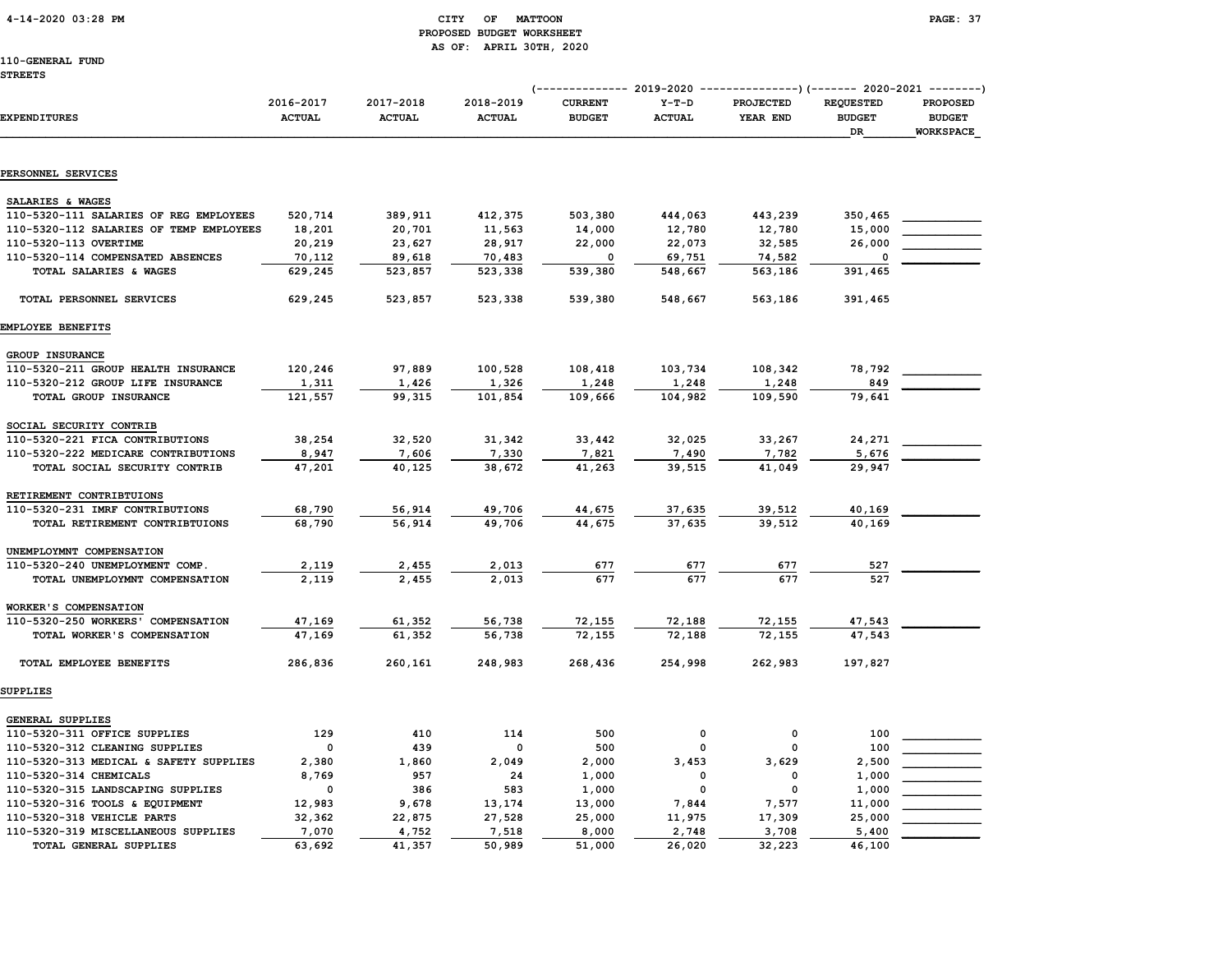### 4-14-2020 03:28 PM CITY OF MATTOON PAGE: 37 PROPOSED BUDGET WORKSHEET AS OF: APRIL 30TH, 2020

|                                                             |                            |                            |                            | ------------ 2019-2020<br>$( - - )$ |                          |                              | --------------)(------- 2020-2021 --------) |                                                      |
|-------------------------------------------------------------|----------------------------|----------------------------|----------------------------|-------------------------------------|--------------------------|------------------------------|---------------------------------------------|------------------------------------------------------|
| <b>EXPENDITURES</b>                                         | 2016-2017<br><b>ACTUAL</b> | 2017-2018<br><b>ACTUAL</b> | 2018-2019<br><b>ACTUAL</b> | <b>CURRENT</b><br><b>BUDGET</b>     | $Y-T-D$<br><b>ACTUAL</b> | <b>PROJECTED</b><br>YEAR END | <b>REQUESTED</b><br><b>BUDGET</b><br>DR     | <b>PROPOSED</b><br><b>BUDGET</b><br><b>WORKSPACE</b> |
| PERSONNEL SERVICES                                          |                            |                            |                            |                                     |                          |                              |                                             |                                                      |
|                                                             |                            |                            |                            |                                     |                          |                              |                                             |                                                      |
| SALARIES & WAGES                                            |                            |                            |                            |                                     |                          |                              |                                             |                                                      |
| 110-5320-111 SALARIES OF REG EMPLOYEES                      | 520,714                    | 389,911                    | 412,375                    | 503,380                             | 444,063                  | 443,239                      | 350,465                                     |                                                      |
| 110-5320-112 SALARIES OF TEMP EMPLOYEES                     | 18,201                     | 20,701                     | 11,563                     | 14,000                              | 12,780                   | 12,780                       | 15,000                                      |                                                      |
| 110-5320-113 OVERTIME                                       | 20,219                     | 23,627                     | 28,917                     | 22,000                              | 22,073                   | 32,585                       | 26,000<br>$\Omega$                          |                                                      |
| 110-5320-114 COMPENSATED ABSENCES<br>TOTAL SALARIES & WAGES | 70,112<br>629,245          | 89,618<br>523,857          | 70,483<br>523,338          | 0<br>539,380                        | 69,751<br>548,667        | 74,582<br>563,186            | 391,465                                     |                                                      |
|                                                             |                            |                            |                            |                                     |                          |                              |                                             |                                                      |
| TOTAL PERSONNEL SERVICES                                    | 629,245                    | 523,857                    | 523,338                    | 539,380                             | 548,667                  | 563,186                      | 391,465                                     |                                                      |
| EMPLOYEE BENEFITS                                           |                            |                            |                            |                                     |                          |                              |                                             |                                                      |
| <b>GROUP INSURANCE</b>                                      |                            |                            |                            |                                     |                          |                              |                                             |                                                      |
| 110-5320-211 GROUP HEALTH INSURANCE                         | 120,246                    | 97,889                     | 100,528                    | 108,418                             | 103,734                  | 108,342                      | 78,792                                      |                                                      |
| 110-5320-212 GROUP LIFE INSURANCE                           | 1,311                      | 1,426                      | 1,326                      | 1,248                               | 1,248                    | 1,248                        | 849                                         |                                                      |
| TOTAL GROUP INSURANCE                                       | 121,557                    | 99,315                     | 101,854                    | 109,666                             | 104,982                  | 109,590                      | 79,641                                      |                                                      |
| SOCIAL SECURITY CONTRIB                                     |                            |                            |                            |                                     |                          |                              |                                             |                                                      |
| 110-5320-221 FICA CONTRIBUTIONS                             | 38,254                     | 32,520                     | 31,342                     | 33,442                              | 32,025                   | 33,267                       | 24,271                                      |                                                      |
| 110-5320-222 MEDICARE CONTRIBUTIONS                         | 8,947                      | 7,606                      | 7,330                      | 7,821                               | 7,490                    | 7,782                        | 5,676                                       |                                                      |
| TOTAL SOCIAL SECURITY CONTRIB                               | 47,201                     | 40,125                     | 38,672                     | 41,263                              | 39,515                   | 41,049                       | 29,947                                      |                                                      |
| RETIREMENT CONTRIBTUIONS                                    |                            |                            |                            |                                     |                          |                              |                                             |                                                      |
| 110-5320-231 IMRF CONTRIBUTIONS                             | 68,790                     | 56,914                     | 49,706                     | 44,675                              | 37,635                   | 39,512                       | 40,169                                      |                                                      |
| TOTAL RETIREMENT CONTRIBTUIONS                              | 68,790                     | 56,914                     | 49,706                     | 44,675                              | 37,635                   | 39,512                       | 40,169                                      |                                                      |
|                                                             |                            |                            |                            |                                     |                          |                              |                                             |                                                      |
| UNEMPLOYMNT COMPENSATION                                    |                            |                            |                            |                                     |                          |                              |                                             |                                                      |
| 110-5320-240 UNEMPLOYMENT COMP.                             | 2,119                      | 2,455                      | 2,013                      | 677                                 | 677                      | 677                          | 527                                         |                                                      |
| TOTAL UNEMPLOYMNT COMPENSATION                              | 2,119                      | 2,455                      | 2,013                      | 677                                 | 677                      | 677                          | 527                                         |                                                      |
| <b>WORKER'S COMPENSATION</b>                                |                            |                            |                            |                                     |                          |                              |                                             |                                                      |
| 110-5320-250 WORKERS' COMPENSATION                          | 47,169                     | 61,352                     | 56,738                     | 72,155                              | 72,188                   | 72,155                       | 47,543                                      |                                                      |
| TOTAL WORKER'S COMPENSATION                                 | 47,169                     | 61,352                     | 56,738                     | 72,155                              | 72,188                   | 72,155                       | 47,543                                      |                                                      |
| TOTAL EMPLOYEE BENEFITS                                     | 286,836                    | 260,161                    | 248,983                    | 268,436                             | 254,998                  | 262,983                      | 197,827                                     |                                                      |
| <b>SUPPLIES</b>                                             |                            |                            |                            |                                     |                          |                              |                                             |                                                      |
| <b>GENERAL SUPPLIES</b>                                     |                            |                            |                            |                                     |                          |                              |                                             |                                                      |
| 110-5320-311 OFFICE SUPPLIES                                | 129                        | 410                        | 114                        | 500                                 | 0                        | 0                            | 100                                         |                                                      |
| 110-5320-312 CLEANING SUPPLIES                              | $\mathbf 0$                | 439                        | 0                          | 500                                 | 0                        | 0                            | 100                                         |                                                      |
| 110-5320-313 MEDICAL & SAFETY SUPPLIES                      | 2,380                      | 1,860                      | 2,049                      | 2,000                               | 3,453                    | 3,629                        | 2,500                                       |                                                      |
| 110-5320-314 CHEMICALS                                      | 8,769                      | 957                        | 24                         | 1,000                               | $\Omega$                 | $\Omega$                     | 1,000                                       |                                                      |
| 110-5320-315 LANDSCAPING SUPPLIES                           | 0                          | 386                        | 583                        | 1,000                               | $\mathbf 0$              | $\Omega$                     | 1,000                                       |                                                      |
| 110-5320-316 TOOLS & EQUIPMENT                              | 12,983                     | 9,678                      | 13,174                     | 13,000                              | 7,844                    | 7,577                        | 11,000                                      |                                                      |
| 110-5320-318 VEHICLE PARTS                                  | 32,362                     | 22,875                     | 27,528                     | 25,000                              | 11,975                   | 17,309                       | 25,000                                      |                                                      |
| 110-5320-319 MISCELLANEOUS SUPPLIES                         | 7,070                      | 4,752                      | 7,518                      | 8,000                               | 2,748                    | 3,708                        | 5,400                                       |                                                      |
| TOTAL GENERAL SUPPLIES                                      | 63,692                     | 41,357                     | 50,989                     | 51,000                              | 26,020                   | 32,223                       | 46,100                                      |                                                      |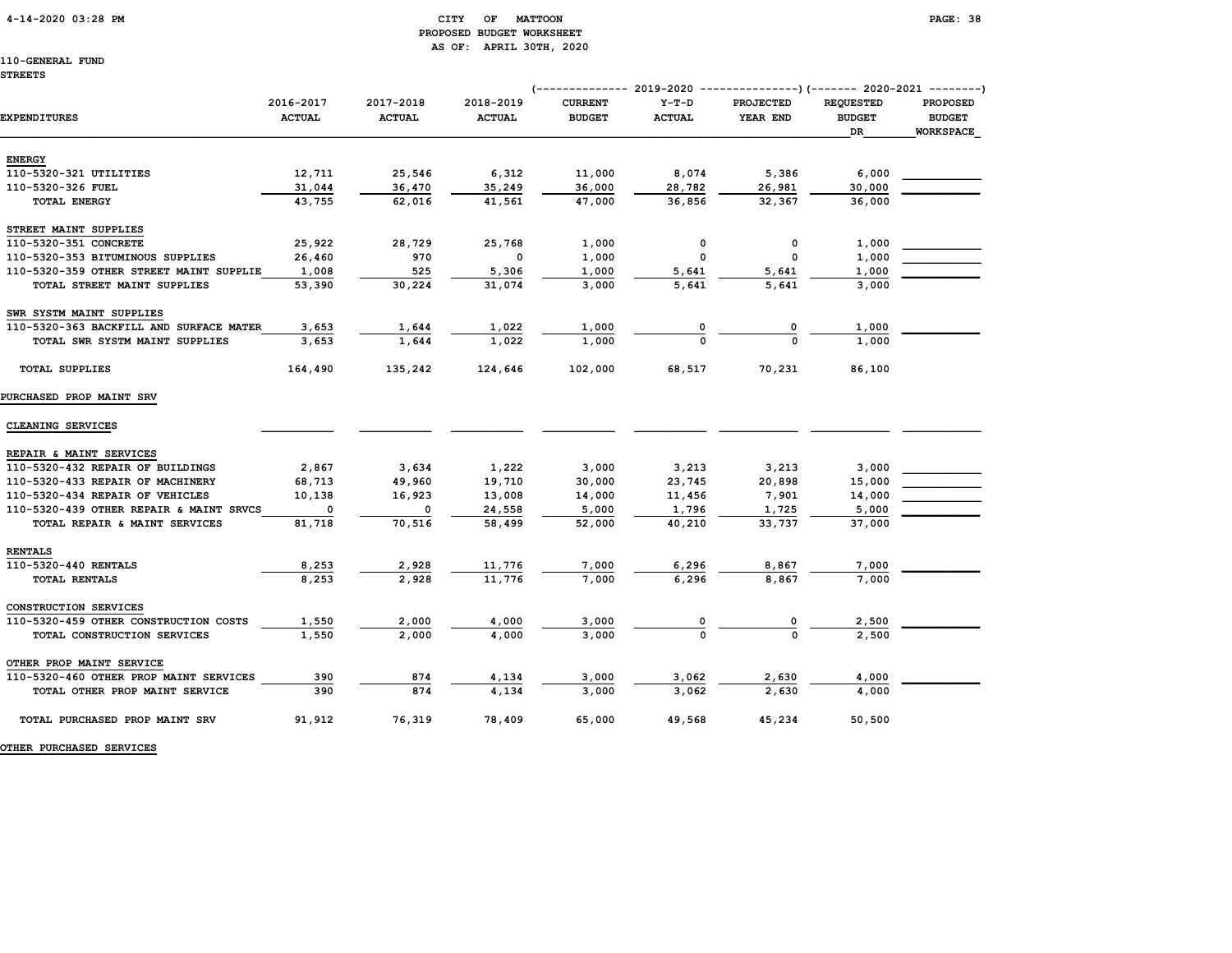#### 4-14-2020 03:28 PM CITY OF MATTOON PAGE: 38 PROPOSED BUDGET WORKSHEET AS OF: APRIL 30TH, 2020

## 110-GENERAL FUND

|                                         |                            |                            |                            | ------------ 2019-2020          |                          | --------------)(------- 2020-2021 --------) |                                         |                                                      |
|-----------------------------------------|----------------------------|----------------------------|----------------------------|---------------------------------|--------------------------|---------------------------------------------|-----------------------------------------|------------------------------------------------------|
| <b>EXPENDITURES</b>                     | 2016-2017<br><b>ACTUAL</b> | 2017-2018<br><b>ACTUAL</b> | 2018-2019<br><b>ACTUAL</b> | <b>CURRENT</b><br><b>BUDGET</b> | $Y-T-D$<br><b>ACTUAL</b> | <b>PROJECTED</b><br>YEAR END                | <b>REQUESTED</b><br><b>BUDGET</b><br>DR | <b>PROPOSED</b><br><b>BUDGET</b><br><b>WORKSPACE</b> |
| <b>ENERGY</b>                           |                            |                            |                            |                                 |                          |                                             |                                         |                                                      |
| 110-5320-321 UTILITIES                  | 12,711                     | 25,546                     | 6,312                      | 11,000                          | 8,074                    | 5,386                                       | 6,000                                   |                                                      |
| 110-5320-326 FUEL                       | 31,044                     | 36,470                     | 35,249                     | 36,000                          | 28,782                   | 26,981                                      | 30,000                                  |                                                      |
| TOTAL ENERGY                            | 43,755                     | 62,016                     | 41,561                     | 47,000                          | 36,856                   | 32,367                                      | 36,000                                  |                                                      |
| STREET MAINT SUPPLIES                   |                            |                            |                            |                                 |                          |                                             |                                         |                                                      |
| 110-5320-351 CONCRETE                   | 25,922                     | 28,729                     | 25,768                     | 1,000                           | 0                        | 0                                           | 1,000                                   |                                                      |
| 110-5320-353 BITUMINOUS SUPPLIES        | 26,460                     | 970                        | $\mathbf 0$                | 1,000                           | $\mathbf 0$              | 0                                           | 1,000                                   |                                                      |
| 110-5320-359 OTHER STREET MAINT SUPPLIE | 1,008                      | 525                        | 5,306                      | 1,000                           | 5,641                    | 5,641                                       | 1,000                                   |                                                      |
| TOTAL STREET MAINT SUPPLIES             | 53,390                     | 30,224                     | 31,074                     | 3,000                           | 5,641                    | 5,641                                       | 3,000                                   |                                                      |
| SWR SYSTM MAINT SUPPLIES                |                            |                            |                            |                                 |                          |                                             |                                         |                                                      |
| 110-5320-363 BACKFILL AND SURFACE MATER | 3,653                      | 1,644                      | 1,022                      | 1,000                           |                          |                                             | 1,000                                   |                                                      |
| TOTAL SWR SYSTM MAINT SUPPLIES          | 3,653                      | 1,644                      | 1,022                      | 1,000                           |                          |                                             | 1,000                                   |                                                      |
| <b>TOTAL SUPPLIES</b>                   | 164,490                    | 135,242                    | 124,646                    | 102,000                         | 68,517                   | 70,231                                      | 86,100                                  |                                                      |
| PURCHASED PROP MAINT SRV                |                            |                            |                            |                                 |                          |                                             |                                         |                                                      |
| CLEANING SERVICES                       |                            |                            |                            |                                 |                          |                                             |                                         |                                                      |
| REPAIR & MAINT SERVICES                 |                            |                            |                            |                                 |                          |                                             |                                         |                                                      |
| 110-5320-432 REPAIR OF BUILDINGS        | 2,867                      | 3,634                      | 1,222                      | 3,000                           | 3,213                    | 3,213                                       | 3,000                                   |                                                      |
| 110-5320-433 REPAIR OF MACHINERY        | 68,713                     | 49,960                     | 19,710                     | 30,000                          | 23,745                   | 20,898                                      | 15,000                                  |                                                      |
| 110-5320-434 REPAIR OF VEHICLES         | 10,138                     | 16,923                     | 13,008                     | 14,000                          | 11,456                   | 7,901                                       | 14,000                                  |                                                      |
| 110-5320-439 OTHER REPAIR & MAINT SRVCS |                            | 0                          | 24,558                     | 5,000                           | 1,796                    | 1,725                                       | 5,000                                   |                                                      |
| TOTAL REPAIR & MAINT SERVICES           | 81,718                     | 70,516                     | 58,499                     | 52,000                          | 40,210                   | 33,737                                      | 37,000                                  |                                                      |
| <b>RENTALS</b>                          |                            |                            |                            |                                 |                          |                                             |                                         |                                                      |
| 110-5320-440 RENTALS                    | 8,253                      | 2,928                      | 11,776                     | 7,000                           | 6,296                    | 8,867                                       | 7,000                                   |                                                      |
| TOTAL RENTALS                           | 8,253                      | 2,928                      | 11,776                     | 7,000                           | 6,296                    | 8,867                                       | 7,000                                   |                                                      |
| CONSTRUCTION SERVICES                   |                            |                            |                            |                                 |                          |                                             |                                         |                                                      |
| 110-5320-459 OTHER CONSTRUCTION COSTS   | 1,550                      | 2,000                      | 4,000                      | 3,000                           |                          | 0                                           | 2,500                                   |                                                      |
| TOTAL CONSTRUCTION SERVICES             | 1,550                      | 2,000                      | 4,000                      | 3,000                           |                          | $\Omega$                                    | 2,500                                   |                                                      |
| OTHER PROP MAINT SERVICE                |                            |                            |                            |                                 |                          |                                             |                                         |                                                      |
| 110-5320-460 OTHER PROP MAINT SERVICES  | 390                        | 874                        | 4,134                      | 3,000                           | 3,062                    | 2,630                                       | 4,000                                   |                                                      |
| TOTAL OTHER PROP MAINT SERVICE          | 390                        | 874                        | 4,134                      | 3,000                           | 3,062                    | 2,630                                       | 4,000                                   |                                                      |
| TOTAL PURCHASED PROP MAINT SRV          | 91,912                     | 76,319                     | 78,409                     | 65,000                          | 49,568                   | 45,234                                      | 50,500                                  |                                                      |

OTHER PURCHASED SERVICES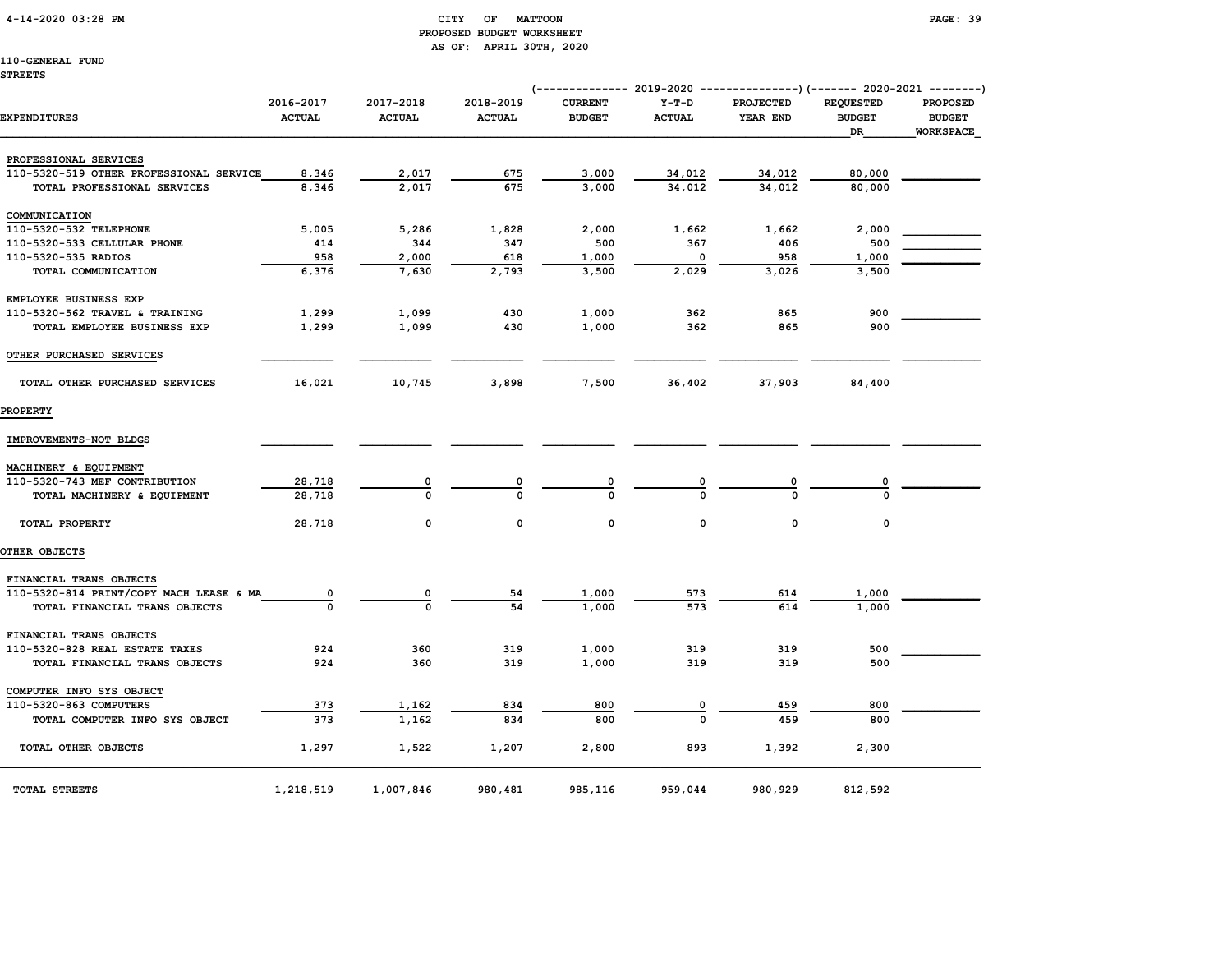4-14-2020 03:28 PM CITY OF MATTOON PAGE: 39

# PROPOSED BUDGET WORKSHEET AS OF: APRIL 30TH, 2020

110-GENERAL FUND STREETS

# (-------------- 2019-2020 ---------------)(------- 2020-2021 --------) 2016-2017 2017-2018 2018-2019 CURRENT Y-T-D PROJECTED REQUESTED PROPOSED EXPENDITURES ACTUAL ACTUAL ACTUAL BUDGET ACTUAL YEAR END BUDGET BUDGET  $\Box$  . The contract of the contract of the contract of the contract of the contract of the contract of the contract of the contract of the contract of the contract of the contract of the contract of the contract of the co PROFESSIONAL SERVICES 110-5320-519 OTHER PROFESSIONAL SERVICE 8,346 2,017 675 3,000 34,012 34,012 34,012 80,000 TOTAL PROFESSIONAL SERVICES 8,346 2,017 675 3,000 34,012 34,012 80,000 COMMUNICATION 110-5320-532 TELEPHONE 5,005 5,286 1,828 2,000 1,662 1,662 2,000 \_\_\_\_\_\_\_\_\_\_\_\_ 110-5320-533 CELLULAR PHONE 414 344 347 500 367 406 500 \_\_\_\_\_\_\_\_\_\_\_\_ 110-5320-535 RADIOS 958 2,000 618 1,000 0 958 1,000 TOTAL COMMUNICATION 6,376 7,630 2,793 3,500 2,029 3,026 3,500 EMPLOYEE BUSINESS EXP 110-5320-562 TRAVEL & TRAINING  $\begin{array}{cccccccc} 1,299 & & 1,099 & & 430 & & 1,000 & & 362 & & 865 & & 900 \end{array}$  TOTAL EMPLOYEE BUSINESS EXP 1,299 1,099 430 1,000 362 865 900 OTHER PURCHASED SERVICES TOTAL OTHER PURCHASED SERVICES 16,021 10,745 3,898 7,500 36,402 37,903 84,400 PROPERTY IMPROVEMENTS-NOT BLDGS \_\_\_\_\_\_\_\_\_\_\_ \_\_\_\_\_\_\_\_\_\_\_ \_\_\_\_\_\_\_\_\_\_\_ \_\_\_\_\_\_\_\_\_\_\_ \_\_\_\_\_\_\_\_\_\_\_ \_\_\_\_\_\_\_\_\_\_\_\_ \_\_\_\_\_\_\_\_\_\_\_\_ \_\_\_\_\_\_\_\_\_\_\_\_ MACHINERY & EQUIPMENT 110-5320-743 MEF CONTRIBUTION  $\frac{28,718}{28,718}$   $\frac{0}{0}$   $\frac{0}{0}$   $\frac{0}{0}$   $\frac{0}{0}$   $\frac{0}{0}$   $\frac{0}{0}$   $\frac{0}{0}$ TOTAL MACHINERY & EQUIPMENT 28,718 TOTAL PROPERTY 28,718 0 0 0 0 0 0 OTHER OBJECTS FINANCIAL TRANS OBJECTS

| 110-5320-814 PRINT/COPY MACH LEASE & MA | $\Omega$  |           | 54      | 1,000   | 573     | 614     | 1,000   |  |
|-----------------------------------------|-----------|-----------|---------|---------|---------|---------|---------|--|
| TOTAL FINANCIAL TRANS OBJECTS           |           | 0         | 54      | 1,000   | 573     | 614     | 1,000   |  |
| FINANCIAL TRANS OBJECTS                 |           |           |         |         |         |         |         |  |
| 110-5320-828 REAL ESTATE TAXES          | 924       | 360       | 319     | 1,000   | 319     | 319     | 500     |  |
| TOTAL FINANCIAL TRANS OBJECTS           | 924       | 360       | 319     | 1,000   | 319     | 319     | 500     |  |
| COMPUTER INFO SYS OBJECT                |           |           |         |         |         |         |         |  |
| 110-5320-863 COMPUTERS                  | 373       | 1,162     | 834     | 800     |         | 459     | 800     |  |
| TOTAL COMPUTER INFO SYS OBJECT          | 373       | 1,162     | 834     | 800     | 0       | 459     | 800     |  |
| TOTAL OTHER OBJECTS                     | 1,297     | 1,522     | 1,207   | 2,800   | 893     | 1,392   | 2,300   |  |
| TOTAL STREETS                           | 1,218,519 | 1,007,846 | 980,481 | 985,116 | 959,044 | 980,929 | 812,592 |  |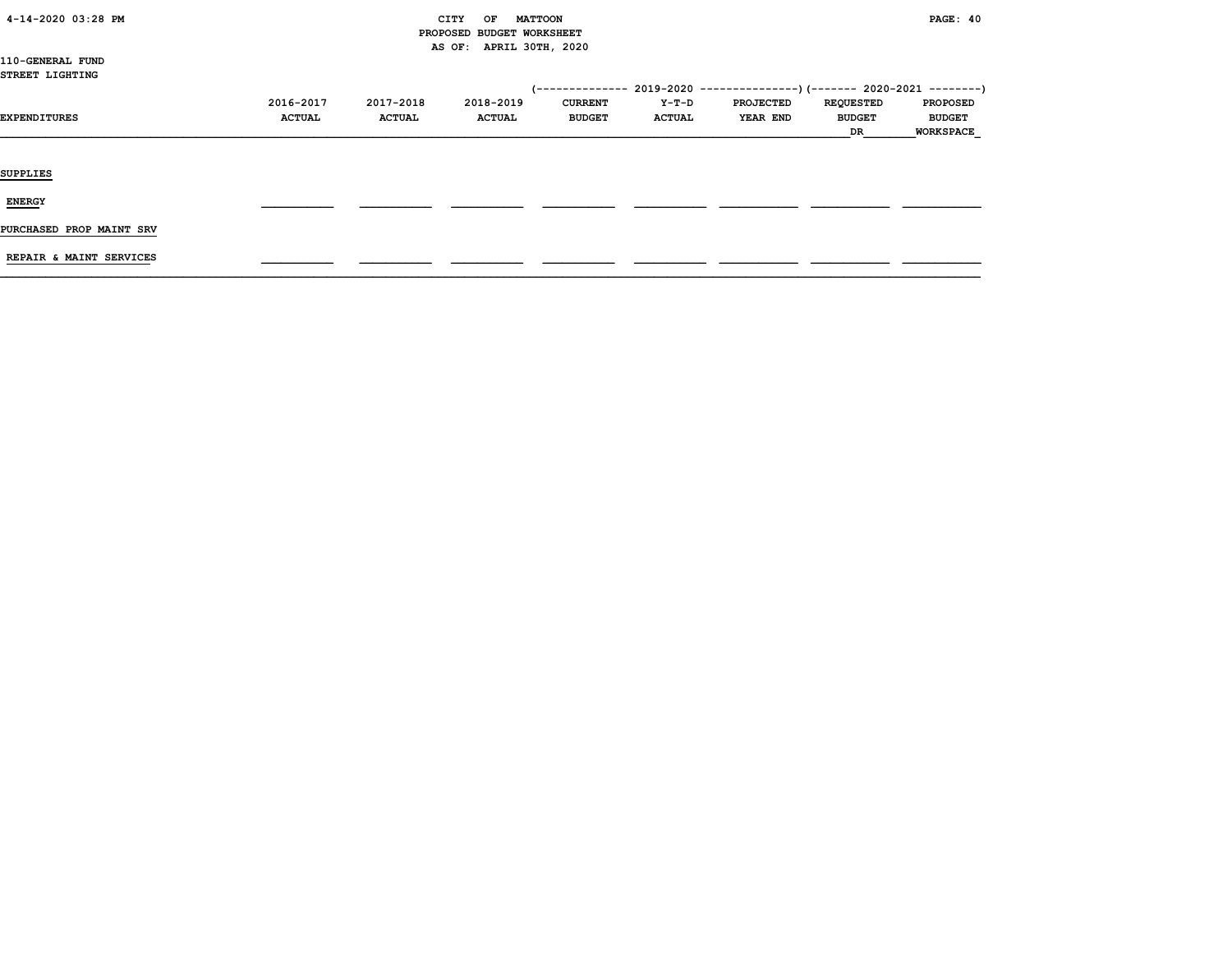| 4-14-2020 03:28 PM |  |
|--------------------|--|
|                    |  |

### CITY OF MATTOON **PAGE:** 40 PROPOSED BUDGET WORKSHEET AS OF: APRIL 30TH, 2020

110-GENERAL FUND STREET LIGHTING

|                          |               |               |               | -------------- |               | $2019-2020$ ---------------) (------- 2020-2021 --------) |                  |                  |
|--------------------------|---------------|---------------|---------------|----------------|---------------|-----------------------------------------------------------|------------------|------------------|
|                          | 2016-2017     | 2017-2018     | 2018-2019     | <b>CURRENT</b> | Y-T-D         | <b>PROJECTED</b>                                          | <b>REQUESTED</b> | <b>PROPOSED</b>  |
| EXPENDITURES             | <b>ACTUAL</b> | <b>ACTUAL</b> | <b>ACTUAL</b> | <b>BUDGET</b>  | <b>ACTUAL</b> | <b>YEAR END</b>                                           | <b>BUDGET</b>    | <b>BUDGET</b>    |
|                          |               |               |               |                |               |                                                           | DR               | <b>WORKSPACE</b> |
|                          |               |               |               |                |               |                                                           |                  |                  |
|                          |               |               |               |                |               |                                                           |                  |                  |
| <b>SUPPLIES</b>          |               |               |               |                |               |                                                           |                  |                  |
|                          |               |               |               |                |               |                                                           |                  |                  |
| <b>ENERGY</b>            |               |               |               |                |               |                                                           |                  |                  |
|                          |               |               |               |                |               |                                                           |                  |                  |
| PURCHASED PROP MAINT SRV |               |               |               |                |               |                                                           |                  |                  |

REPAIR & MAINT SERVICES \_\_\_\_\_\_\_\_\_\_\_ \_\_\_\_\_\_\_\_\_\_\_ \_\_\_\_\_\_\_\_\_\_\_ \_\_\_\_\_\_\_\_\_\_\_ \_\_\_\_\_\_\_\_\_\_\_ \_\_\_\_\_\_\_\_\_\_\_\_ \_\_\_\_\_\_\_\_\_\_\_\_ \_\_\_\_\_\_\_\_\_\_\_\_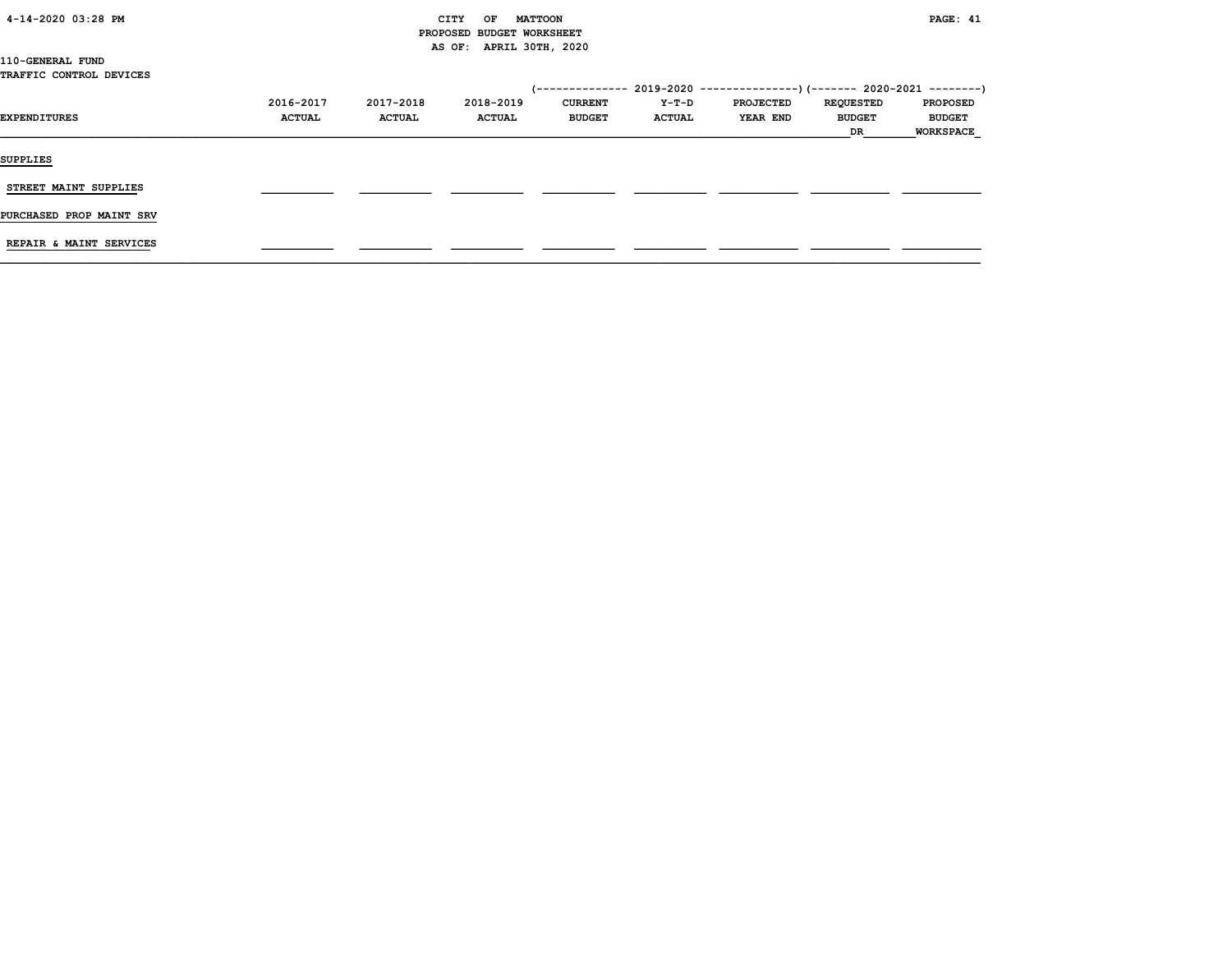| 4-14-2020 03:28 PM |  |  |  |
|--------------------|--|--|--|
|--------------------|--|--|--|

#### CITY OF MATTOON **PAGE:** 41 PROPOSED BUDGET WORKSHEET AS OF: APRIL 30TH, 2020

110-GENERAL FUND TRAFFIC CONTROL DEVICES

| (-------------- 2019-2020 ----------------) (------- 2020-2021 --------) |
|--------------------------------------------------------------------------|
| <b>PROPOSED</b>                                                          |
| <b>BUDGET</b>                                                            |
| <b>WORKSPACE</b>                                                         |
|                                                                          |
|                                                                          |
|                                                                          |
|                                                                          |
|                                                                          |
|                                                                          |
|                                                                          |
|                                                                          |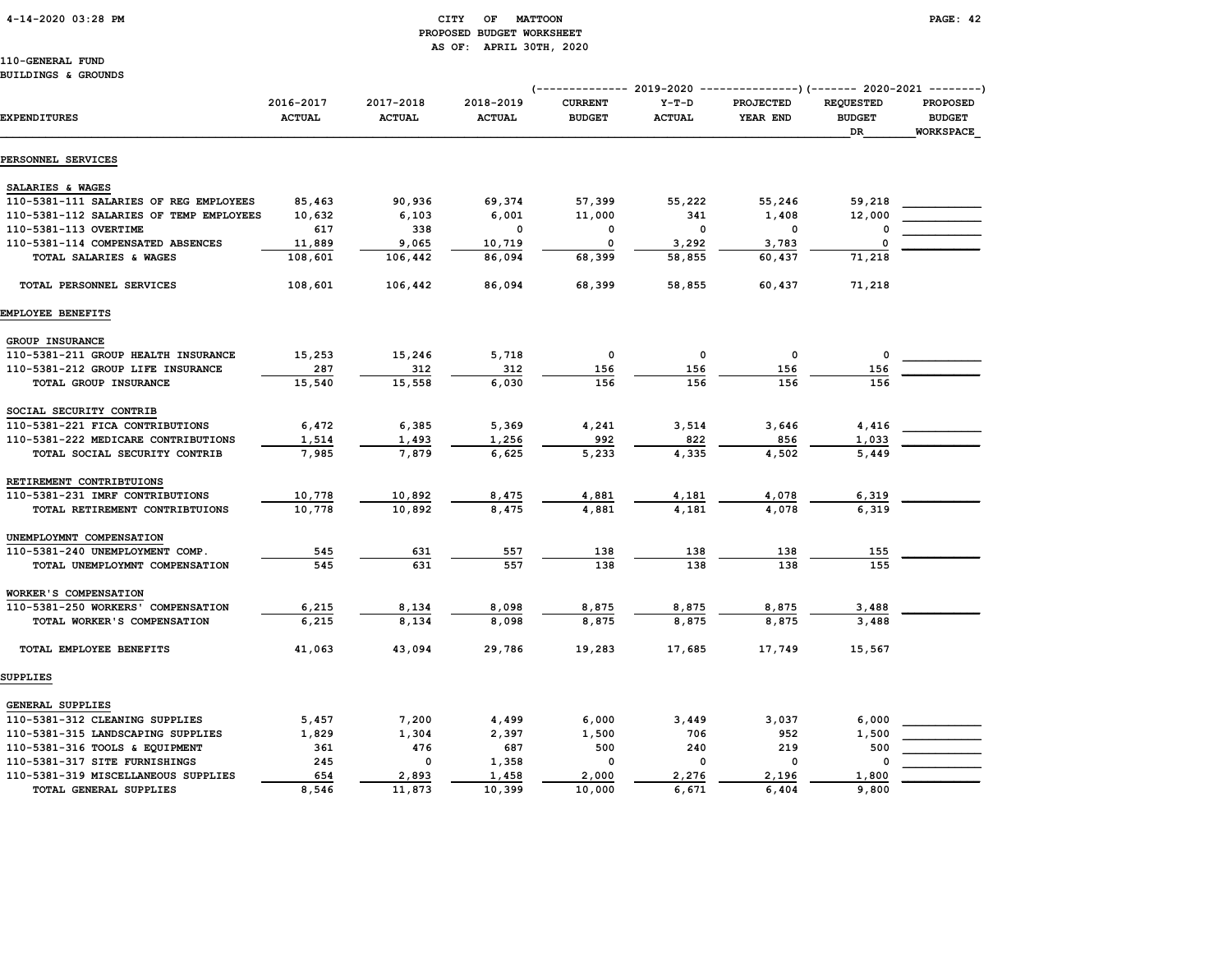## PROPOSED BUDGET WORKSHEET AS OF: APRIL 30TH, 2020

2016-2017 2017-2018 2018-2019 CURRENT Y-T-D PROJECTED REQUESTED PROPOSED

110-GENERAL FUND BUILDINGS & GROUNDS

(-------------- 2019-2020 ---------------)(------- 2020-2021 --------)

| <b>EXPENDITURES</b>                     | <b>ACTUAL</b> | <b>ACTUAL</b> | <b>ACTUAL</b> | <b>BUDGET</b> | <b>ACTUAL</b> | YEAR END | <b>BUDGET</b><br>DR | <b>BUDGET</b><br><b>WORKSPACE</b> |
|-----------------------------------------|---------------|---------------|---------------|---------------|---------------|----------|---------------------|-----------------------------------|
| PERSONNEL SERVICES                      |               |               |               |               |               |          |                     |                                   |
| SALARIES & WAGES                        |               |               |               |               |               |          |                     |                                   |
| 110-5381-111 SALARIES OF REG EMPLOYEES  | 85,463        | 90,936        | 69,374        | 57,399        | 55,222        | 55,246   | 59,218              |                                   |
| 110-5381-112 SALARIES OF TEMP EMPLOYEES | 10,632        | 6,103         | 6,001         | 11,000        | 341           | 1,408    | 12,000              |                                   |
| 110-5381-113 OVERTIME                   | 617           | 338           | 0             | 0             | 0             | 0        |                     |                                   |
| 110-5381-114 COMPENSATED ABSENCES       | 11,889        | 9,065         | 10,719        | 0             | 3,292         | 3,783    | $\Omega$            |                                   |
| TOTAL SALARIES & WAGES                  | 108,601       | 106,442       | 86,094        | 68,399        | 58,855        | 60,437   | 71,218              |                                   |
| TOTAL PERSONNEL SERVICES                | 108,601       | 106,442       | 86,094        | 68,399        | 58,855        | 60,437   | 71,218              |                                   |
| EMPLOYEE BENEFITS                       |               |               |               |               |               |          |                     |                                   |
| GROUP INSURANCE                         |               |               |               |               |               |          |                     |                                   |
| 110-5381-211 GROUP HEALTH INSURANCE     | 15,253        | 15,246        | 5,718         | 0             | 0             | 0        | $\mathbf 0$         |                                   |
| 110-5381-212 GROUP LIFE INSURANCE       | 287           | 312           | 312           | 156           | 156           | 156      | 156                 |                                   |
| TOTAL GROUP INSURANCE                   | 15,540        | 15,558        | 6,030         | 156           | 156           | 156      | 156                 |                                   |
| SOCIAL SECURITY CONTRIB                 |               |               |               |               |               |          |                     |                                   |
| 110-5381-221 FICA CONTRIBUTIONS         | 6,472         | 6,385         | 5,369         | 4,241         | 3,514         | 3,646    | 4,416               |                                   |
| 110-5381-222 MEDICARE CONTRIBUTIONS     | 1,514         | 1,493         | 1,256         | 992           | 822           | 856      | 1,033               |                                   |
| TOTAL SOCIAL SECURITY CONTRIB           | 7,985         | 7,879         | 6,625         | 5,233         | 4,335         | 4,502    | 5,449               |                                   |
| RETIREMENT CONTRIBTUIONS                |               |               |               |               |               |          |                     |                                   |
| 110-5381-231 IMRF CONTRIBUTIONS         | 10,778        | 10,892        | 8,475         | 4,881         | 4,181         | 4,078    | 6,319               |                                   |
| TOTAL RETIREMENT CONTRIBTUIONS          | 10,778        | 10,892        | 8,475         | 4,881         | 4,181         | 4,078    | 6,319               |                                   |
| UNEMPLOYMNT COMPENSATION                |               |               |               |               |               |          |                     |                                   |
| 110-5381-240 UNEMPLOYMENT COMP.         | 545           | 631           | 557           | 138           | 138           | 138      | 155                 |                                   |
| TOTAL UNEMPLOYMNT COMPENSATION          | 545           | 631           | 557           | 138           | 138           | 138      | 155                 |                                   |
| WORKER'S COMPENSATION                   |               |               |               |               |               |          |                     |                                   |
| 110-5381-250 WORKERS' COMPENSATION      | 6,215         | 8,134         | 8,098         | 8,875         | 8,875         | 8,875    | 3,488               |                                   |
| TOTAL WORKER'S COMPENSATION             | 6,215         | 8,134         | 8,098         | 8,875         | 8,875         | 8,875    | 3,488               |                                   |
| TOTAL EMPLOYEE BENEFITS                 | 41,063        | 43,094        | 29,786        | 19,283        | 17,685        | 17,749   | 15,567              |                                   |
| SUPPLIES                                |               |               |               |               |               |          |                     |                                   |
| GENERAL SUPPLIES                        |               |               |               |               |               |          |                     |                                   |
| 110-5381-312 CLEANING SUPPLIES          | 5,457         | 7,200         | 4,499         | 6,000         | 3,449         | 3,037    | 6,000               |                                   |
| 110-5381-315 LANDSCAPING SUPPLIES       | 1,829         | 1,304         | 2,397         | 1,500         | 706           | 952      | 1,500               |                                   |
| 110-5381-316 TOOLS & EQUIPMENT          | 361           | 476           | 687           | 500           | 240           | 219      | 500                 |                                   |

110-5381-317 SITE FURNISHINGS 245 0 1,358 0 0 0 0 0 110-5381-319 MISCELLANEOUS SUPPLIES 654 2,893 1,458 2,000 2,276 2,196 1,800 TOTAL GENERAL SUPPLIES 8,546 11,873 10,399 10,000 6,671 6,404 9,800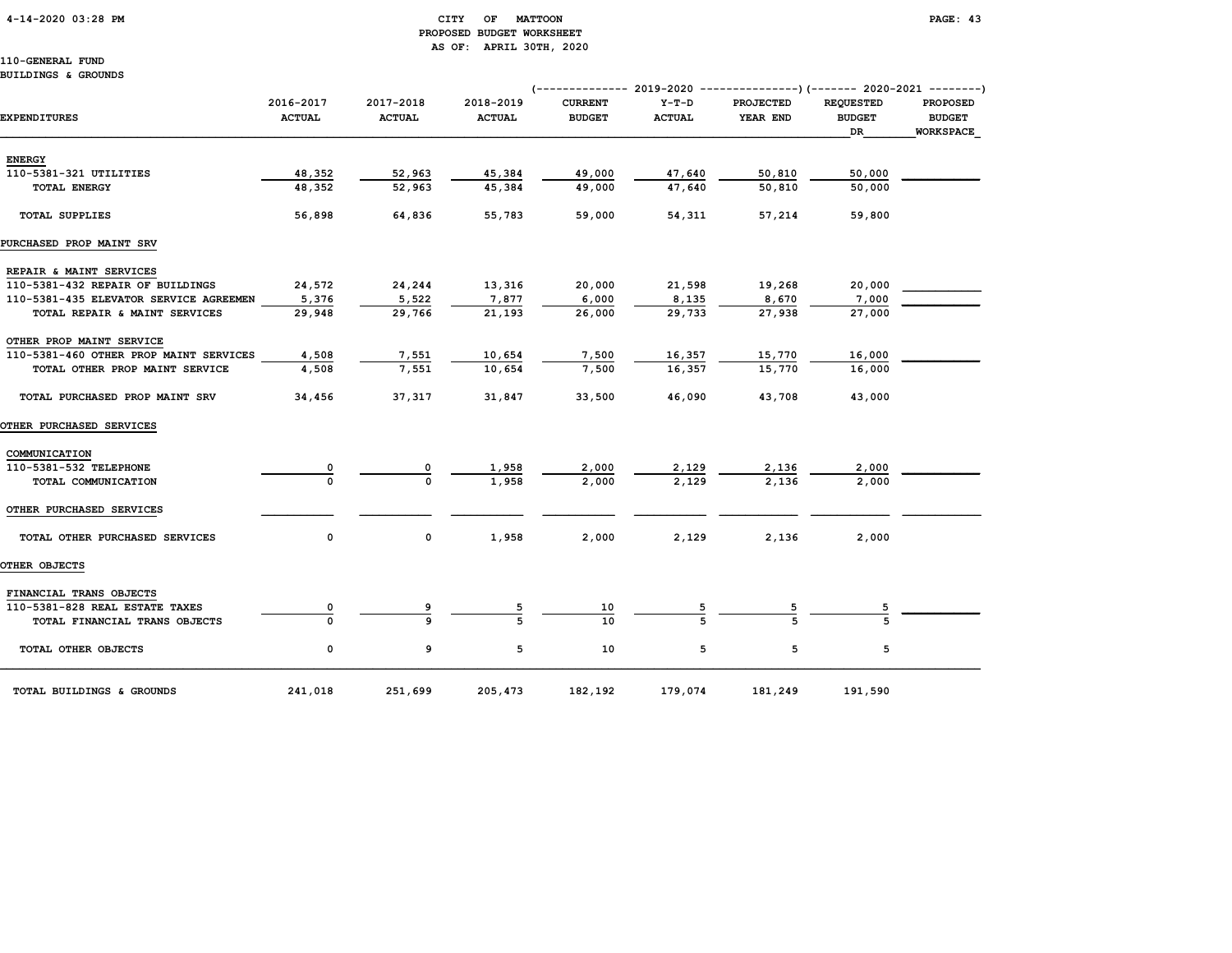#### 4-14-2020 03:28 PM CITY OF MATTOON PAGE: 43 PROPOSED BUDGET WORKSHEET AS OF: APRIL 30TH, 2020

110-GENERAL FUND

#### BUILDINGS & GROUNDS

|                                        |                            |                            |                            | (-------------- 2019-2020       |                          | ----------------) (------- 2020-2021 ---------) |                                         |                                                      |
|----------------------------------------|----------------------------|----------------------------|----------------------------|---------------------------------|--------------------------|-------------------------------------------------|-----------------------------------------|------------------------------------------------------|
| <b>EXPENDITURES</b>                    | 2016-2017<br><b>ACTUAL</b> | 2017-2018<br><b>ACTUAL</b> | 2018-2019<br><b>ACTUAL</b> | <b>CURRENT</b><br><b>BUDGET</b> | $Y-T-D$<br><b>ACTUAL</b> | <b>PROJECTED</b><br>YEAR END                    | <b>REQUESTED</b><br><b>BUDGET</b><br>DR | <b>PROPOSED</b><br><b>BUDGET</b><br><b>WORKSPACE</b> |
| <b>ENERGY</b>                          |                            |                            |                            |                                 |                          |                                                 |                                         |                                                      |
| 110-5381-321 UTILITIES                 | 48,352                     | 52,963                     | 45,384                     | 49,000                          | 47,640                   | 50,810                                          | 50,000                                  |                                                      |
| <b>TOTAL ENERGY</b>                    | 48,352                     | 52,963                     | 45,384                     | 49,000                          | 47,640                   | 50,810                                          | 50,000                                  |                                                      |
| <b>TOTAL SUPPLIES</b>                  | 56,898                     | 64,836                     | 55,783                     | 59,000                          | 54,311                   | 57,214                                          | 59,800                                  |                                                      |
| PURCHASED PROP MAINT SRV               |                            |                            |                            |                                 |                          |                                                 |                                         |                                                      |
| REPAIR & MAINT SERVICES                |                            |                            |                            |                                 |                          |                                                 |                                         |                                                      |
| 110-5381-432 REPAIR OF BUILDINGS       | 24,572                     | 24,244                     | 13,316                     | 20,000                          | 21,598                   | 19,268                                          | 20,000                                  |                                                      |
| 110-5381-435 ELEVATOR SERVICE AGREEMEN | 5,376                      | 5,522                      | 7,877                      | 6,000                           | 8,135                    | 8,670                                           | 7,000                                   |                                                      |
| TOTAL REPAIR & MAINT SERVICES          | 29,948                     | 29,766                     | 21,193                     | 26,000                          | 29,733                   | 27,938                                          | 27,000                                  |                                                      |
| OTHER PROP MAINT SERVICE               |                            |                            |                            |                                 |                          |                                                 |                                         |                                                      |
| 110-5381-460 OTHER PROP MAINT SERVICES | 4,508                      | 7,551                      | 10,654                     | 7,500                           | 16,357                   | 15,770                                          | 16,000                                  |                                                      |
| TOTAL OTHER PROP MAINT SERVICE         | 4,508                      | 7,551                      | 10,654                     | 7,500                           | 16,357                   | 15,770                                          | 16,000                                  |                                                      |
| TOTAL PURCHASED PROP MAINT SRV         | 34,456                     | 37,317                     | 31,847                     | 33,500                          | 46,090                   | 43,708                                          | 43,000                                  |                                                      |
| <b>OTHER PURCHASED SERVICES</b>        |                            |                            |                            |                                 |                          |                                                 |                                         |                                                      |
| COMMUNICATION                          |                            |                            |                            |                                 |                          |                                                 |                                         |                                                      |
| 110-5381-532 TELEPHONE                 | 0                          | 0                          | 1,958                      | 2,000                           | 2,129                    | 2,136                                           | 2,000                                   |                                                      |
| TOTAL COMMUNICATION                    | $\Omega$                   | $\Omega$                   | 1,958                      | 2,000                           | 2,129                    | 2,136                                           | 2,000                                   |                                                      |
| OTHER PURCHASED SERVICES               |                            |                            |                            |                                 |                          |                                                 |                                         |                                                      |
| TOTAL OTHER PURCHASED SERVICES         | 0                          | 0                          | 1,958                      | 2,000                           | 2,129                    | 2,136                                           | 2,000                                   |                                                      |
| OTHER OBJECTS                          |                            |                            |                            |                                 |                          |                                                 |                                         |                                                      |
| FINANCIAL TRANS OBJECTS                |                            |                            |                            |                                 |                          |                                                 |                                         |                                                      |
| 110-5381-828 REAL ESTATE TAXES         |                            | 9                          | 5                          | 10                              |                          | $\overline{5}$                                  |                                         |                                                      |
| TOTAL FINANCIAL TRANS OBJECTS          |                            | Q                          |                            | 10                              |                          |                                                 |                                         |                                                      |
| TOTAL OTHER OBJECTS                    | 0                          | 9                          | 5                          | 10                              | 5                        | 5                                               | 5                                       |                                                      |
| TOTAL BUILDINGS & GROUNDS              | 241,018                    | 251,699                    | 205,473                    | 182,192                         | 179,074                  | 181,249                                         | 191,590                                 |                                                      |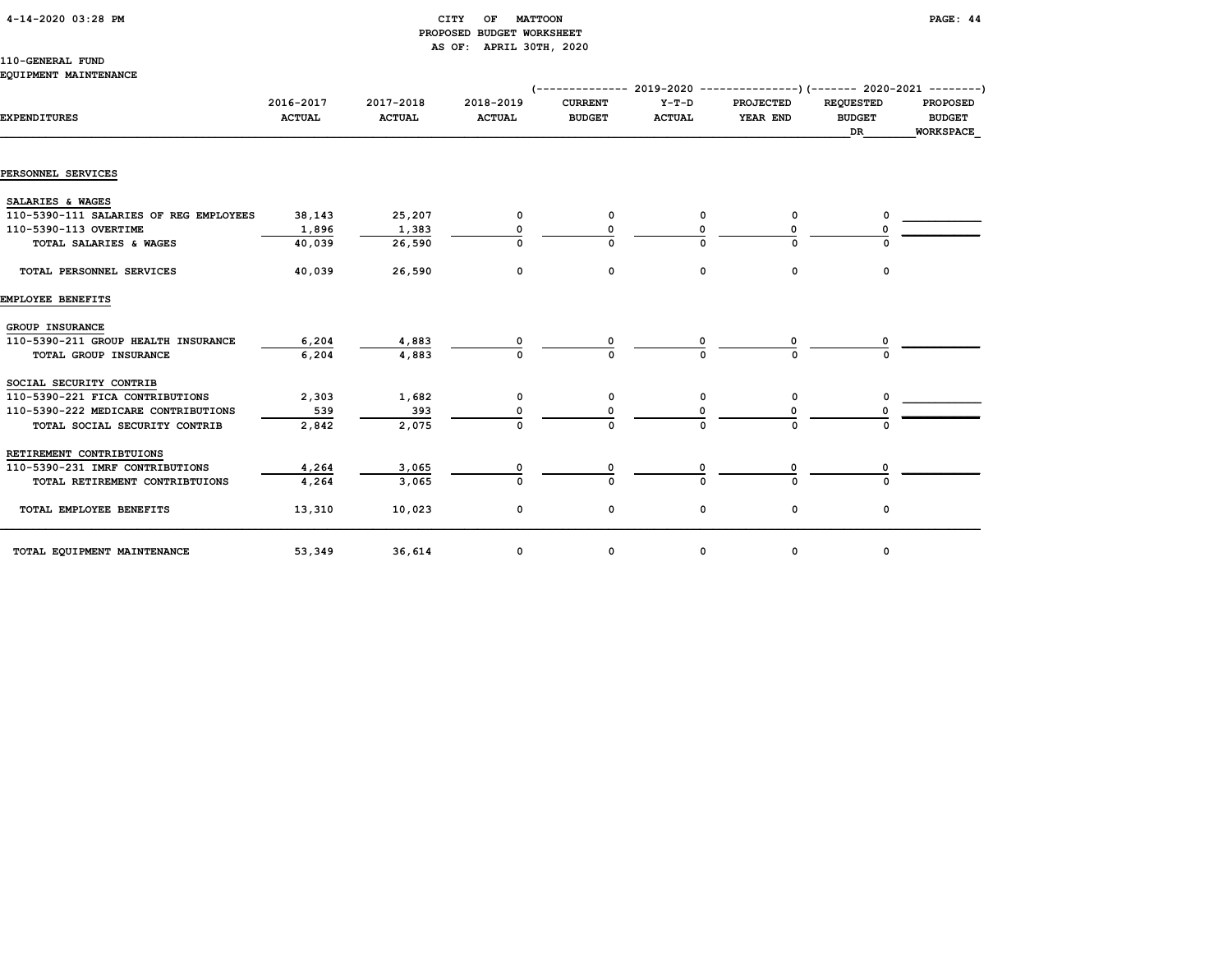|  | 4-14-2020 03:28 PM |  |
|--|--------------------|--|
|--|--------------------|--|

#### CITY OF MATTOON **PAGE: 44**  PROPOSED BUDGET WORKSHEET AS OF: APRIL 30TH, 2020

#### 110-GENERAL FUND EQUIPMENT MAINTENANCE

|                                        |                            |                            |                            | (------------- 2019-2020 ----------------) (------- 2020-2021 ---------) |                          |                              |                                   |                                  |
|----------------------------------------|----------------------------|----------------------------|----------------------------|--------------------------------------------------------------------------|--------------------------|------------------------------|-----------------------------------|----------------------------------|
| <b>EXPENDITURES</b>                    | 2016-2017<br><b>ACTUAL</b> | 2017-2018<br><b>ACTUAL</b> | 2018-2019<br><b>ACTUAL</b> | <b>CURRENT</b><br><b>BUDGET</b>                                          | $Y-T-D$<br><b>ACTUAL</b> | <b>PROJECTED</b><br>YEAR END | <b>REQUESTED</b><br><b>BUDGET</b> | <b>PROPOSED</b><br><b>BUDGET</b> |
|                                        |                            |                            |                            |                                                                          |                          |                              | DR                                | <b>WORKSPACE</b>                 |
| PERSONNEL SERVICES                     |                            |                            |                            |                                                                          |                          |                              |                                   |                                  |
| SALARIES & WAGES                       |                            |                            |                            |                                                                          |                          |                              |                                   |                                  |
| 110-5390-111 SALARIES OF REG EMPLOYEES | 38,143                     | 25,207                     | 0                          | 0                                                                        | 0                        | 0                            |                                   |                                  |
| 110-5390-113 OVERTIME                  | 1,896                      | 1,383                      |                            |                                                                          |                          |                              |                                   |                                  |
| TOTAL SALARIES & WAGES                 | 40,039                     | 26,590                     |                            | n                                                                        |                          | U                            |                                   |                                  |
| TOTAL PERSONNEL SERVICES               | 40,039                     | 26,590                     | 0                          | 0                                                                        | 0                        | 0                            | 0                                 |                                  |
| EMPLOYEE BENEFITS                      |                            |                            |                            |                                                                          |                          |                              |                                   |                                  |
| GROUP INSURANCE                        |                            |                            |                            |                                                                          |                          |                              |                                   |                                  |
| 110-5390-211 GROUP HEALTH INSURANCE    | 6,204                      | 4,883                      |                            |                                                                          |                          |                              |                                   |                                  |
| TOTAL GROUP INSURANCE                  | 6,204                      | 4,883                      |                            |                                                                          |                          |                              |                                   |                                  |
| SOCIAL SECURITY CONTRIB                |                            |                            |                            |                                                                          |                          |                              |                                   |                                  |
| 110-5390-221 FICA CONTRIBUTIONS        | 2,303                      | 1,682                      | 0                          | 0                                                                        | 0                        | 0                            |                                   |                                  |
| 110-5390-222 MEDICARE CONTRIBUTIONS    | 539                        | 393                        |                            |                                                                          |                          |                              |                                   |                                  |
| TOTAL SOCIAL SECURITY CONTRIB          | 2,842                      | 2,075                      | $\Omega$                   | $\Omega$                                                                 |                          | U                            |                                   |                                  |
| RETIREMENT CONTRIBTUIONS               |                            |                            |                            |                                                                          |                          |                              |                                   |                                  |
| 110-5390-231 IMRF CONTRIBUTIONS        | 4,264                      | 3,065                      | ٥                          |                                                                          |                          |                              |                                   |                                  |
| TOTAL RETIREMENT CONTRIBTUIONS         | 4,264                      | 3,065                      | O                          | O                                                                        |                          | $\Omega$                     |                                   |                                  |
| TOTAL EMPLOYEE BENEFITS                | 13,310                     | 10,023                     | 0                          | 0                                                                        | 0                        | 0                            | 0                                 |                                  |
| TOTAL EQUIPMENT MAINTENANCE            | 53,349                     | 36,614                     | 0                          | 0                                                                        | 0                        | 0                            | 0                                 |                                  |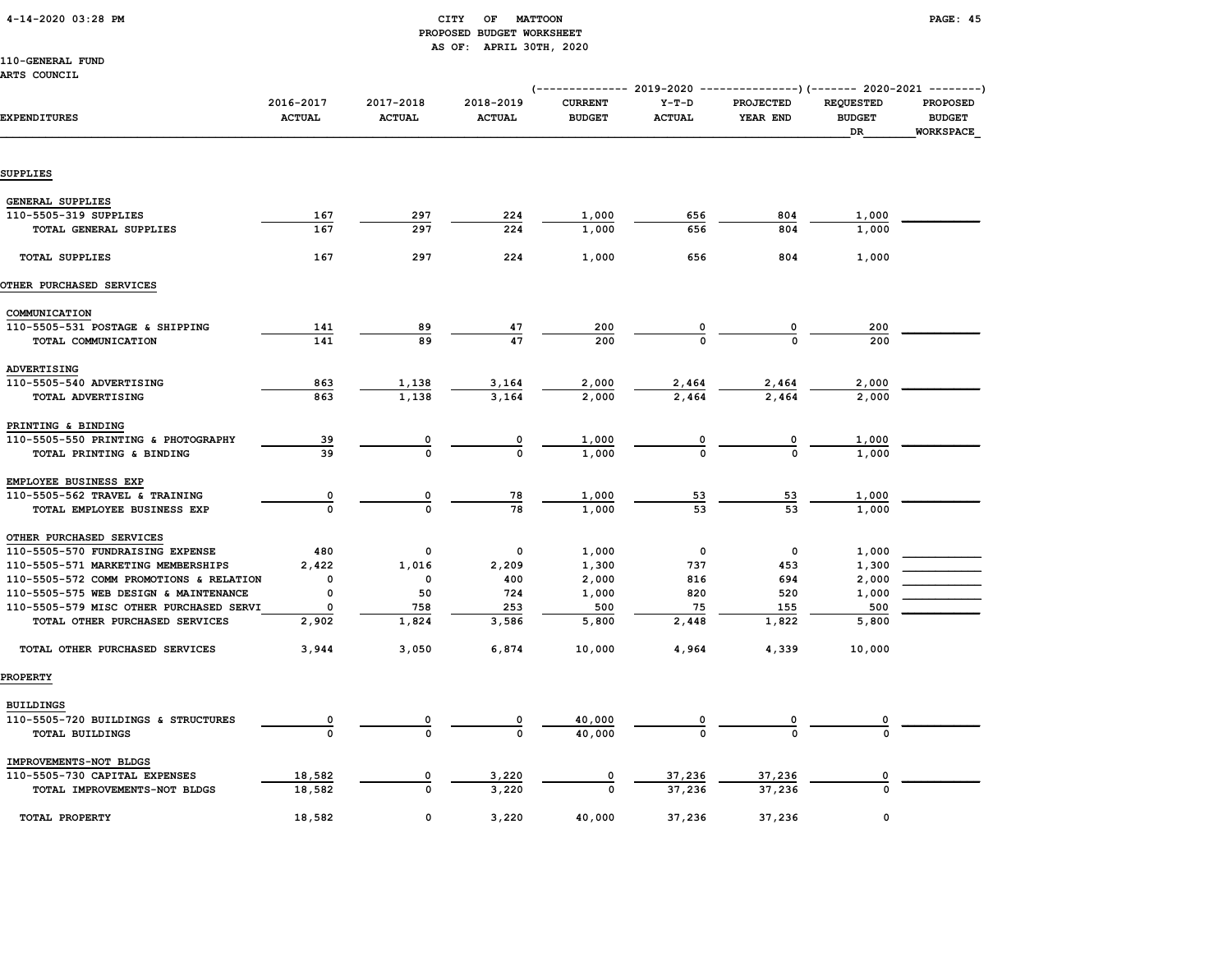#### 4-14-2020 03:28 PM CITY OF MATTOON PAGE: 45 PROPOSED BUDGET WORKSHEET AS OF: APRIL 30TH, 2020

110-GENERAL FUND

ARTS COUNCIL

| ----- ------                            |                            |                            |                            |                                 |                          | (-------------- 2019-2020 ----------------) (------- 2020-2021 --------) |                                         |                                               |
|-----------------------------------------|----------------------------|----------------------------|----------------------------|---------------------------------|--------------------------|--------------------------------------------------------------------------|-----------------------------------------|-----------------------------------------------|
| <b>EXPENDITURES</b>                     | 2016-2017<br><b>ACTUAL</b> | 2017-2018<br><b>ACTUAL</b> | 2018-2019<br><b>ACTUAL</b> | <b>CURRENT</b><br><b>BUDGET</b> | $Y-T-D$<br><b>ACTUAL</b> | <b>PROJECTED</b><br>YEAR END                                             | <b>REQUESTED</b><br><b>BUDGET</b><br>DR | <b>PROPOSED</b><br><b>BUDGET</b><br>WORKSPACE |
| SUPPLIES                                |                            |                            |                            |                                 |                          |                                                                          |                                         |                                               |
|                                         |                            |                            |                            |                                 |                          |                                                                          |                                         |                                               |
| <b>GENERAL SUPPLIES</b>                 |                            |                            |                            |                                 |                          |                                                                          |                                         |                                               |
| 110-5505-319 SUPPLIES                   | 167                        | 297                        | 224                        | 1,000                           | 656                      | 804                                                                      | 1,000                                   |                                               |
| TOTAL GENERAL SUPPLIES                  | 167                        | 297                        | 224                        | 1,000                           | 656                      | 804                                                                      | 1,000                                   |                                               |
| <b>TOTAL SUPPLIES</b>                   | 167                        | 297                        | 224                        | 1,000                           | 656                      | 804                                                                      | 1,000                                   |                                               |
| OTHER PURCHASED SERVICES                |                            |                            |                            |                                 |                          |                                                                          |                                         |                                               |
| COMMUNICATION                           |                            |                            |                            |                                 |                          |                                                                          |                                         |                                               |
| 110-5505-531 POSTAGE & SHIPPING         | 141                        | 89                         | 47                         | 200                             | 0                        | $\overline{\mathbf{0}}$                                                  | 200                                     |                                               |
| TOTAL COMMUNICATION                     | 141                        | 89                         | 47                         | 200                             |                          | $\Omega$                                                                 | 200                                     |                                               |
| ADVERTISING                             |                            |                            |                            |                                 |                          |                                                                          |                                         |                                               |
| 110-5505-540 ADVERTISING                | 863                        | 1,138                      | 3,164                      | 2,000                           | 2,464                    | 2,464                                                                    | 2,000                                   |                                               |
| TOTAL ADVERTISING                       | 863                        | 1,138                      | 3,164                      | 2,000                           | 2,464                    | 2,464                                                                    | 2,000                                   |                                               |
| PRINTING & BINDING                      |                            |                            |                            |                                 |                          |                                                                          |                                         |                                               |
| 110-5505-550 PRINTING & PHOTOGRAPHY     | 39                         |                            | 0                          | 1,000                           | $\frac{0}{0}$            | 0                                                                        | 1,000                                   |                                               |
| TOTAL PRINTING & BINDING                | 39                         | $\Omega$                   | $\mathbf 0$                | 1,000                           |                          | $\Omega$                                                                 | 1,000                                   |                                               |
| EMPLOYEE BUSINESS EXP                   |                            |                            |                            |                                 |                          |                                                                          |                                         |                                               |
| 110-5505-562 TRAVEL & TRAINING          | $\overline{\mathbf{0}}$    | 0                          | 78                         | 1,000                           | 53                       | 53                                                                       | 1,000                                   |                                               |
| TOTAL EMPLOYEE BUSINESS EXP             | $\mathbf{o}$               | $\Omega$                   | 78                         | 1,000                           | 53                       | 53                                                                       | 1,000                                   |                                               |
| OTHER PURCHASED SERVICES                |                            |                            |                            |                                 |                          |                                                                          |                                         |                                               |
| 110-5505-570 FUNDRAISING EXPENSE        | 480                        | 0                          | 0                          | 1,000                           | 0                        | $\mathbf 0$                                                              | 1,000                                   |                                               |
| 110-5505-571 MARKETING MEMBERSHIPS      | 2,422                      | 1,016                      | 2,209                      | 1,300                           | 737                      | 453                                                                      | 1,300                                   |                                               |
| 110-5505-572 COMM PROMOTIONS & RELATION | 0                          | 0                          | 400                        | 2,000                           | 816                      | 694                                                                      | 2,000                                   |                                               |
| 110-5505-575 WEB DESIGN & MAINTENANCE   | 0                          | 50                         | 724                        | 1,000                           | 820                      | 520                                                                      | 1,000                                   |                                               |
| 110-5505-579 MISC OTHER PURCHASED SERVI | $\mathbf 0$                | 758                        | 253                        | 500                             | 75                       | 155                                                                      | 500                                     |                                               |
| TOTAL OTHER PURCHASED SERVICES          | 2,902                      | 1,824                      | 3,586                      | 5,800                           | 2,448                    | 1,822                                                                    | 5,800                                   |                                               |
| TOTAL OTHER PURCHASED SERVICES          | 3,944                      | 3,050                      | 6,874                      | 10,000                          | 4,964                    | 4,339                                                                    | 10,000                                  |                                               |
| <b>PROPERTY</b>                         |                            |                            |                            |                                 |                          |                                                                          |                                         |                                               |
| <b>BUILDINGS</b>                        |                            |                            |                            |                                 |                          |                                                                          |                                         |                                               |
| 110-5505-720 BUILDINGS & STRUCTURES     |                            |                            |                            | 40,000                          |                          | 0                                                                        |                                         |                                               |
| TOTAL BUILDINGS                         |                            |                            |                            | 40,000                          |                          |                                                                          |                                         |                                               |
| IMPROVEMENTS-NOT BLDGS                  |                            |                            |                            |                                 |                          |                                                                          |                                         |                                               |
| 110-5505-730 CAPITAL EXPENSES           | 18,582                     | 0                          | 3,220                      | 0                               | 37,236                   | 37,236                                                                   |                                         |                                               |
| TOTAL IMPROVEMENTS-NOT BLDGS            | 18,582                     | $\Omega$                   | 3,220                      | $\Omega$                        | 37,236                   | 37,236                                                                   | $\Omega$                                |                                               |
| TOTAL PROPERTY                          | 18,582                     | 0                          | 3,220                      | 40,000                          | 37,236                   | 37,236                                                                   | 0                                       |                                               |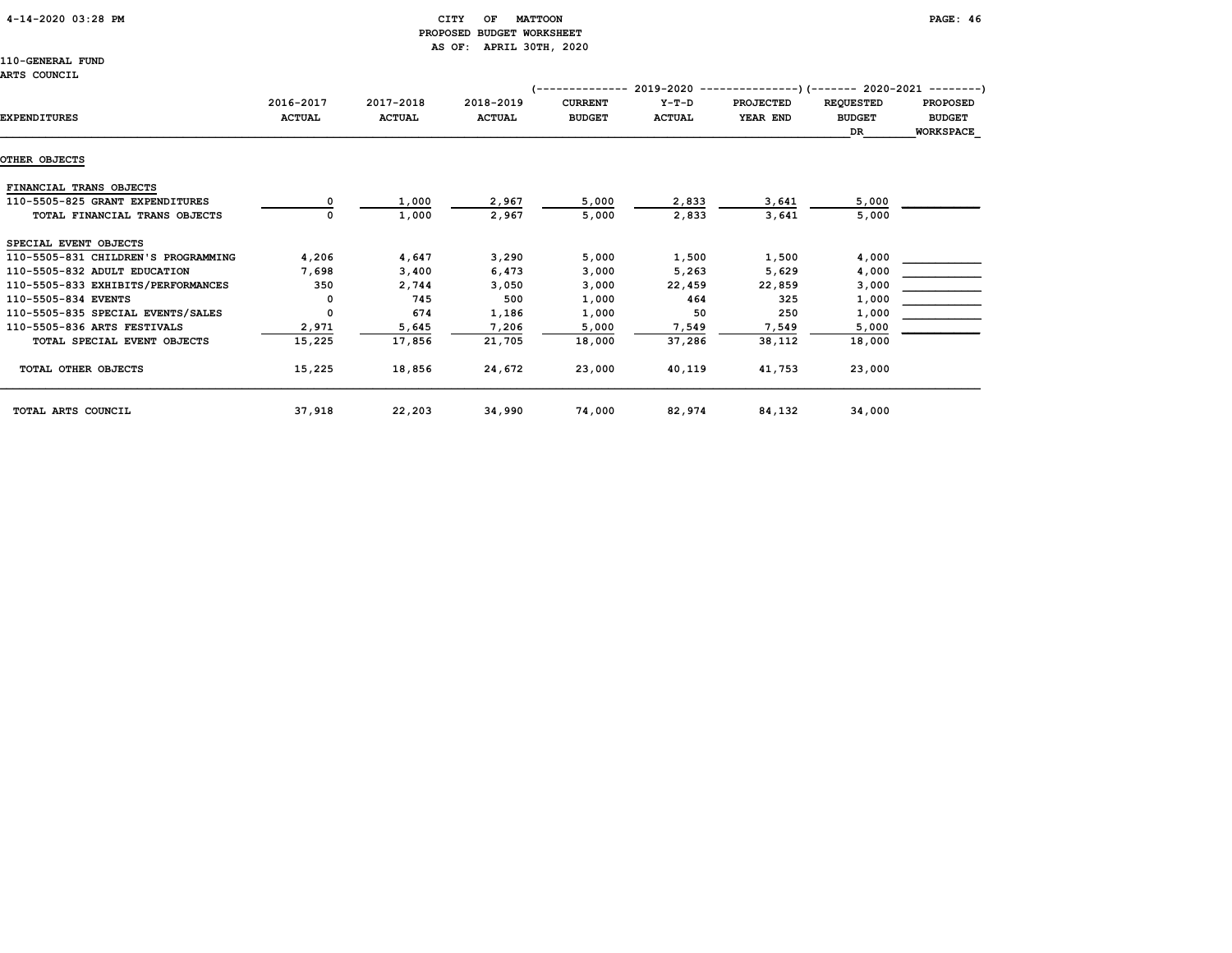### 4-14-2020 03:28 PM CITY OF MATTOON PAGE: 46 PROPOSED BUDGET WORKSHEET AS OF: APRIL 30TH, 2020

|                                     |               |               |               | ----------     | 2019-2020     |                  | --)(------- 2020-2021 --------) |                 |
|-------------------------------------|---------------|---------------|---------------|----------------|---------------|------------------|---------------------------------|-----------------|
|                                     | 2016-2017     | 2017-2018     | 2018-2019     | <b>CURRENT</b> | $Y-T-D$       | <b>PROJECTED</b> | <b>REQUESTED</b>                | <b>PROPOSED</b> |
| <b>EXPENDITURES</b>                 | <b>ACTUAL</b> | <b>ACTUAL</b> | <b>ACTUAL</b> | <b>BUDGET</b>  | <b>ACTUAL</b> | YEAR END         | <b>BUDGET</b>                   | <b>BUDGET</b>   |
|                                     |               |               |               |                |               |                  | DR                              | WORKSPACE       |
|                                     |               |               |               |                |               |                  |                                 |                 |
| OTHER OBJECTS                       |               |               |               |                |               |                  |                                 |                 |
| FINANCIAL TRANS OBJECTS             |               |               |               |                |               |                  |                                 |                 |
| 110-5505-825 GRANT EXPENDITURES     |               | 1,000         | 2,967         | 5,000          | 2,833         | 3,641            | 5,000                           |                 |
| TOTAL FINANCIAL TRANS OBJECTS       |               | 1,000         | 2,967         | 5,000          | 2,833         | 3,641            | 5,000                           |                 |
| SPECIAL EVENT OBJECTS               |               |               |               |                |               |                  |                                 |                 |
| 110-5505-831 CHILDREN'S PROGRAMMING | 4,206         | 4,647         | 3,290         | 5,000          | 1,500         | 1,500            | 4,000                           |                 |
| 110-5505-832 ADULT EDUCATION        | 7,698         | 3,400         | 6,473         | 3,000          | 5,263         | 5,629            | 4,000                           |                 |
| 110-5505-833 EXHIBITS/PERFORMANCES  | 350           | 2,744         | 3,050         | 3,000          | 22,459        | 22,859           | 3,000                           |                 |
| 110-5505-834 EVENTS                 |               | 745           | 500           | 1,000          | 464           | 325              | 1,000                           |                 |
| 110-5505-835 SPECIAL EVENTS/SALES   | 0             | 674           | 1,186         | 1,000          | 50            | 250              | 1,000                           |                 |
| 110-5505-836 ARTS FESTIVALS         | 2,971         | 5,645         | 7,206         | 5,000          | 7,549         | 7,549            | 5,000                           |                 |
| TOTAL SPECIAL EVENT OBJECTS         | 15,225        | 17,856        | 21,705        | 18,000         | 37,286        | 38,112           | 18,000                          |                 |
| TOTAL OTHER OBJECTS                 | 15,225        | 18,856        | 24,672        | 23,000         | 40,119        | 41,753           | 23,000                          |                 |
| TOTAL ARTS COUNCIL                  | 37,918        | 22,203        | 34,990        | 74,000         | 82,974        | 84,132           | 34,000                          |                 |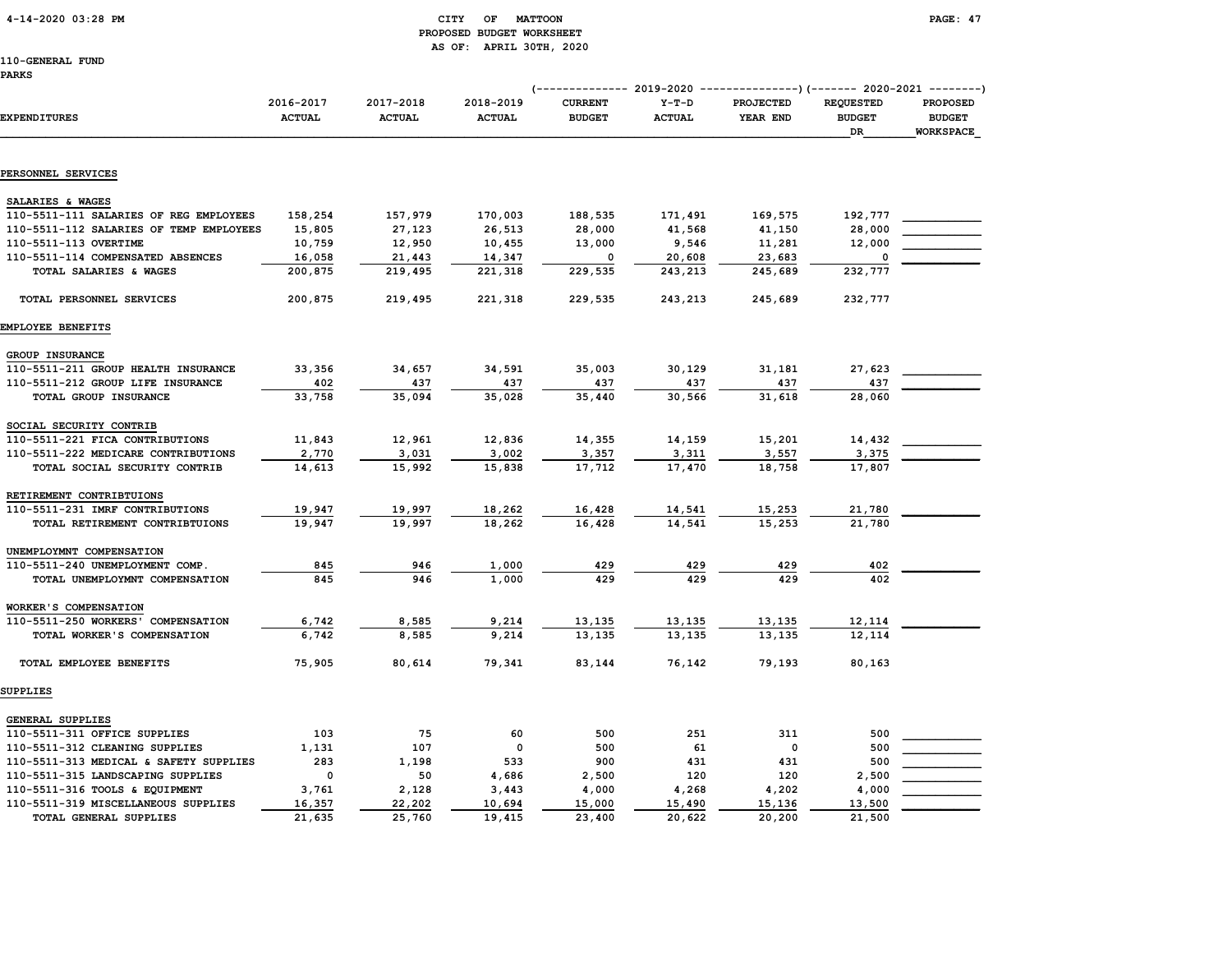### 4-14-2020 03:28 PM CITY OF MATTOON PAGE: 47 PROPOSED BUDGET WORKSHEET AS OF: APRIL 30TH, 2020

|  | .<br>_____ |
|--|------------|
|  |            |
|  |            |
|  |            |

|                                         |                            |                            |                            |                                 |                          | (-------------- 2019-2020 ----------------) (------- 2020-2021 --------) |                                         |                                                      |
|-----------------------------------------|----------------------------|----------------------------|----------------------------|---------------------------------|--------------------------|--------------------------------------------------------------------------|-----------------------------------------|------------------------------------------------------|
| <b>EXPENDITURES</b>                     | 2016-2017<br><b>ACTUAL</b> | 2017-2018<br><b>ACTUAL</b> | 2018-2019<br><b>ACTUAL</b> | <b>CURRENT</b><br><b>BUDGET</b> | $Y-T-D$<br><b>ACTUAL</b> | <b>PROJECTED</b><br>YEAR END                                             | <b>REQUESTED</b><br><b>BUDGET</b><br>DR | <b>PROPOSED</b><br><b>BUDGET</b><br><b>WORKSPACE</b> |
|                                         |                            |                            |                            |                                 |                          |                                                                          |                                         |                                                      |
| PERSONNEL SERVICES                      |                            |                            |                            |                                 |                          |                                                                          |                                         |                                                      |
| SALARIES & WAGES                        |                            |                            |                            |                                 |                          |                                                                          |                                         |                                                      |
| 110-5511-111 SALARIES OF REG EMPLOYEES  | 158,254                    | 157,979                    | 170,003                    | 188,535                         | 171,491                  | 169,575                                                                  | 192,777                                 |                                                      |
| 110-5511-112 SALARIES OF TEMP EMPLOYEES | 15,805                     | 27,123                     | 26,513                     | 28,000                          | 41,568                   | 41,150                                                                   | 28,000                                  |                                                      |
| 110-5511-113 OVERTIME                   | 10,759                     | 12,950                     | 10,455                     | 13,000                          | 9,546                    | 11,281                                                                   | 12,000                                  |                                                      |
| 110-5511-114 COMPENSATED ABSENCES       | 16,058                     | 21,443                     | 14,347                     | 0                               | 20,608                   | 23,683                                                                   |                                         |                                                      |
| TOTAL SALARIES & WAGES                  | 200,875                    | 219,495                    | 221,318                    | 229,535                         | 243,213                  | 245,689                                                                  | 232,777                                 |                                                      |
| TOTAL PERSONNEL SERVICES                | 200,875                    | 219,495                    | 221,318                    | 229,535                         | 243,213                  | 245,689                                                                  | 232,777                                 |                                                      |
| EMPLOYEE BENEFITS                       |                            |                            |                            |                                 |                          |                                                                          |                                         |                                                      |
| <b>GROUP INSURANCE</b>                  |                            |                            |                            |                                 |                          |                                                                          |                                         |                                                      |
| 110-5511-211 GROUP HEALTH INSURANCE     | 33,356                     | 34,657                     | 34,591                     | 35,003                          | 30,129                   | 31,181                                                                   | 27,623                                  |                                                      |
| 110-5511-212 GROUP LIFE INSURANCE       | 402                        | 437                        | 437                        | 437                             | 437                      | 437                                                                      | 437                                     |                                                      |
| TOTAL GROUP INSURANCE                   | 33,758                     | 35,094                     | 35,028                     | 35,440                          | 30,566                   | 31,618                                                                   | 28,060                                  |                                                      |
| SOCIAL SECURITY CONTRIB                 |                            |                            |                            |                                 |                          |                                                                          |                                         |                                                      |
| 110-5511-221 FICA CONTRIBUTIONS         | 11,843                     | 12,961                     | 12,836                     | 14,355                          | 14,159                   | 15,201                                                                   | 14,432                                  |                                                      |
| 110-5511-222 MEDICARE CONTRIBUTIONS     | 2,770                      | 3,031                      | 3,002                      | 3,357                           | 3,311                    | 3,557                                                                    | 3,375                                   |                                                      |
| TOTAL SOCIAL SECURITY CONTRIB           | 14,613                     | 15,992                     | 15,838                     | 17,712                          | 17,470                   | 18,758                                                                   | 17,807                                  |                                                      |
| RETIREMENT CONTRIBTUIONS                |                            |                            |                            |                                 |                          |                                                                          |                                         |                                                      |
| 110-5511-231 IMRF CONTRIBUTIONS         | 19,947                     | 19,997                     | 18,262                     | 16,428                          | 14,541                   | 15,253                                                                   | 21,780                                  |                                                      |
| TOTAL RETIREMENT CONTRIBTUIONS          | 19,947                     | 19,997                     | 18,262                     | 16,428                          | 14,541                   | 15,253                                                                   | 21,780                                  |                                                      |
| UNEMPLOYMNT COMPENSATION                |                            |                            |                            |                                 |                          |                                                                          |                                         |                                                      |
| 110-5511-240 UNEMPLOYMENT COMP.         | 845                        | 946                        | 1,000                      | 429                             | 429                      | 429                                                                      | 402                                     |                                                      |
| TOTAL UNEMPLOYMNT COMPENSATION          | 845                        | 946                        | 1,000                      | 429                             | 429                      | 429                                                                      | 402                                     |                                                      |
| WORKER'S COMPENSATION                   |                            |                            |                            |                                 |                          |                                                                          |                                         |                                                      |
| 110-5511-250 WORKERS' COMPENSATION      | 6,742                      | 8,585                      | 9,214                      | 13,135                          | 13,135                   | 13,135                                                                   | 12,114                                  |                                                      |
| TOTAL WORKER'S COMPENSATION             | 6,742                      | 8,585                      | 9,214                      | 13,135                          | 13,135                   | 13,135                                                                   | 12,114                                  |                                                      |
| TOTAL EMPLOYEE BENEFITS                 | 75,905                     | 80,614                     | 79,341                     | 83,144                          | 76,142                   | 79,193                                                                   | 80,163                                  |                                                      |
| SUPPLIES                                |                            |                            |                            |                                 |                          |                                                                          |                                         |                                                      |
| GENERAL SUPPLIES                        |                            |                            |                            |                                 |                          |                                                                          |                                         |                                                      |
| 110-5511-311 OFFICE SUPPLIES            | 103                        | 75                         | 60                         | 500                             | 251                      | 311                                                                      | 500                                     |                                                      |
| 110-5511-312 CLEANING SUPPLIES          | 1,131                      | 107                        | 0                          | 500                             | 61                       | 0                                                                        | 500                                     |                                                      |
| 110-5511-313 MEDICAL & SAFETY SUPPLIES  | 283                        | 1,198                      | 533                        | 900                             | 431                      | 431                                                                      | 500                                     |                                                      |
| 110-5511-315 LANDSCAPING SUPPLIES       | $\mathbf 0$                | 50                         | 4,686                      | 2,500                           | 120                      | 120                                                                      | 2,500                                   |                                                      |
| 110-5511-316 TOOLS & EQUIPMENT          | 3,761                      | 2,128                      | 3,443                      | 4,000                           | 4,268                    | 4,202                                                                    | 4,000                                   |                                                      |
| 110-5511-319 MISCELLANEOUS SUPPLIES     | 16,357                     | 22,202                     | 10,694                     | 15,000                          | 15,490                   | 15,136                                                                   | 13,500                                  |                                                      |
| TOTAL GENERAL SUPPLIES                  | 21,635                     | 25,760                     | 19,415                     | 23,400                          | 20,622                   | 20,200                                                                   | 21,500                                  |                                                      |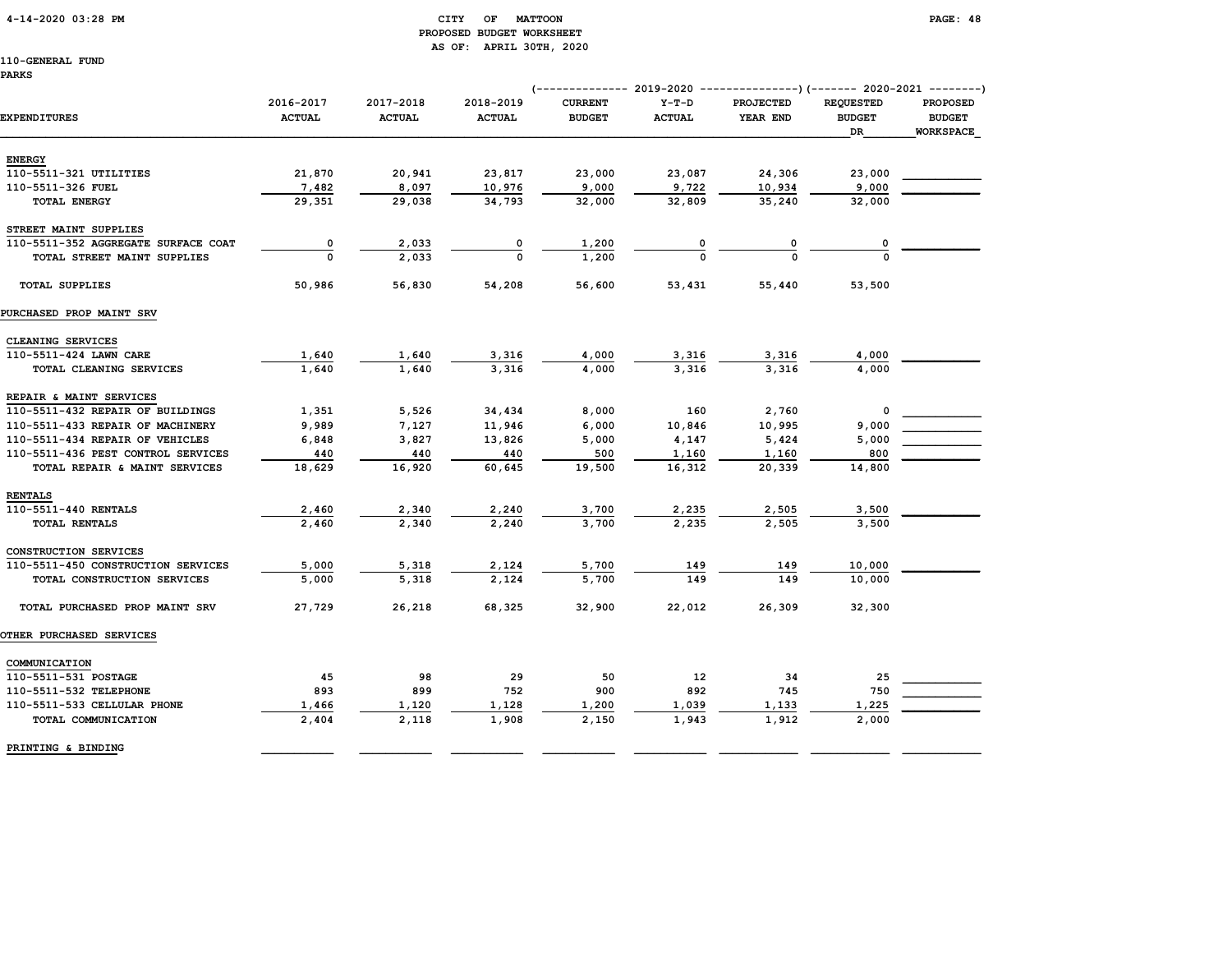#### 4-14-2020 03:28 PM CITY OF MATTOON PAGE: 48 PROPOSED BUDGET WORKSHEET AS OF: APRIL 30TH, 2020

|                                     |                            |                            |                            | (------------- 2019-2020        |                          | ---------------) (------- 2020-2021 --------) |                                         |                                                      |
|-------------------------------------|----------------------------|----------------------------|----------------------------|---------------------------------|--------------------------|-----------------------------------------------|-----------------------------------------|------------------------------------------------------|
| <b>EXPENDITURES</b>                 | 2016-2017<br><b>ACTUAL</b> | 2017-2018<br><b>ACTUAL</b> | 2018-2019<br><b>ACTUAL</b> | <b>CURRENT</b><br><b>BUDGET</b> | $Y-T-D$<br><b>ACTUAL</b> | <b>PROJECTED</b><br>YEAR END                  | <b>REQUESTED</b><br><b>BUDGET</b><br>DR | <b>PROPOSED</b><br><b>BUDGET</b><br><b>WORKSPACE</b> |
| <b>ENERGY</b>                       |                            |                            |                            |                                 |                          |                                               |                                         |                                                      |
| 110-5511-321 UTILITIES              | 21,870                     | 20,941                     | 23,817                     | 23,000                          | 23,087                   | 24,306                                        | 23,000                                  |                                                      |
| 110-5511-326 FUEL                   | 7,482                      | 8,097                      | 10,976                     | 9,000                           | 9,722                    | 10,934                                        | 9,000                                   |                                                      |
| TOTAL ENERGY                        | 29,351                     | 29,038                     | 34,793                     | 32,000                          | 32,809                   | 35,240                                        | 32,000                                  |                                                      |
| STREET MAINT SUPPLIES               |                            |                            |                            |                                 |                          |                                               |                                         |                                                      |
| 110-5511-352 AGGREGATE SURFACE COAT | 0                          | 2,033                      | 0                          | 1,200                           |                          | 0                                             |                                         |                                                      |
| TOTAL STREET MAINT SUPPLIES         | $\Omega$                   | 2,033                      | $\Omega$                   | 1,200                           |                          | $\Omega$                                      | $\Omega$                                |                                                      |
| <b>TOTAL SUPPLIES</b>               | 50,986                     | 56,830                     | 54,208                     | 56,600                          | 53,431                   | 55,440                                        | 53,500                                  |                                                      |
| PURCHASED PROP MAINT SRV            |                            |                            |                            |                                 |                          |                                               |                                         |                                                      |
| CLEANING SERVICES                   |                            |                            |                            |                                 |                          |                                               |                                         |                                                      |
| 110-5511-424 LAWN CARE              | 1,640                      | 1,640                      | 3,316                      | 4,000                           | 3,316                    | 3,316                                         | 4,000                                   |                                                      |
| TOTAL CLEANING SERVICES             | 1,640                      | 1,640                      | 3,316                      | 4,000                           | 3,316                    | 3,316                                         | 4,000                                   |                                                      |
| REPAIR & MAINT SERVICES             |                            |                            |                            |                                 |                          |                                               |                                         |                                                      |
| 110-5511-432 REPAIR OF BUILDINGS    | 1,351                      | 5,526                      | 34,434                     | 8,000                           | 160                      | 2,760                                         | 0                                       |                                                      |
| 110-5511-433 REPAIR OF MACHINERY    | 9,989                      | 7,127                      | 11,946                     | 6,000                           | 10,846                   | 10,995                                        | 9,000                                   |                                                      |
| 110-5511-434 REPAIR OF VEHICLES     | 6,848                      | 3,827                      | 13,826                     | 5,000                           | 4,147                    | 5,424                                         | 5,000                                   |                                                      |
| 110-5511-436 PEST CONTROL SERVICES  | 440                        | 440                        | 440                        | 500                             | 1,160                    | 1,160                                         | 800                                     |                                                      |
| TOTAL REPAIR & MAINT SERVICES       | 18,629                     | 16,920                     | 60,645                     | 19,500                          | 16,312                   | 20,339                                        | 14,800                                  |                                                      |
| <b>RENTALS</b>                      |                            |                            |                            |                                 |                          |                                               |                                         |                                                      |
| 110-5511-440 RENTALS                | 2,460                      | 2,340                      | 2,240                      | 3,700                           | 2,235                    | 2,505                                         | 3,500                                   |                                                      |
| TOTAL RENTALS                       | 2,460                      | 2,340                      | 2,240                      | 3,700                           | 2,235                    | 2,505                                         | 3,500                                   |                                                      |
| CONSTRUCTION SERVICES               |                            |                            |                            |                                 |                          |                                               |                                         |                                                      |
| 110-5511-450 CONSTRUCTION SERVICES  | 5,000                      | 5,318                      | 2,124                      | 5,700                           | 149                      | 149                                           | 10,000                                  |                                                      |
| TOTAL CONSTRUCTION SERVICES         | 5,000                      | 5,318                      | 2,124                      | 5,700                           | 149                      | 149                                           | 10,000                                  |                                                      |
| TOTAL PURCHASED PROP MAINT SRV      | 27,729                     | 26,218                     | 68,325                     | 32,900                          | 22,012                   | 26,309                                        | 32,300                                  |                                                      |
| <b>OTHER PURCHASED SERVICES</b>     |                            |                            |                            |                                 |                          |                                               |                                         |                                                      |
| COMMUNICATION                       |                            |                            |                            |                                 |                          |                                               |                                         |                                                      |
| 110-5511-531 POSTAGE                | 45                         | 98                         | 29                         | 50                              | 12                       | 34                                            | 25                                      |                                                      |
| 110-5511-532 TELEPHONE              | 893                        | 899                        | 752                        | 900                             | 892                      | 745                                           | 750                                     |                                                      |
| 110-5511-533 CELLULAR PHONE         | 1,466                      | 1,120                      | 1,128                      | 1,200                           | 1,039                    | 1,133                                         | 1,225                                   |                                                      |
| TOTAL COMMUNICATION                 | 2,404                      | 2,118                      | 1,908                      | 2,150                           | 1,943                    | 1,912                                         | 2,000                                   |                                                      |
| PRINTING & BINDING                  |                            |                            |                            |                                 |                          |                                               |                                         |                                                      |
|                                     |                            |                            |                            |                                 |                          |                                               |                                         |                                                      |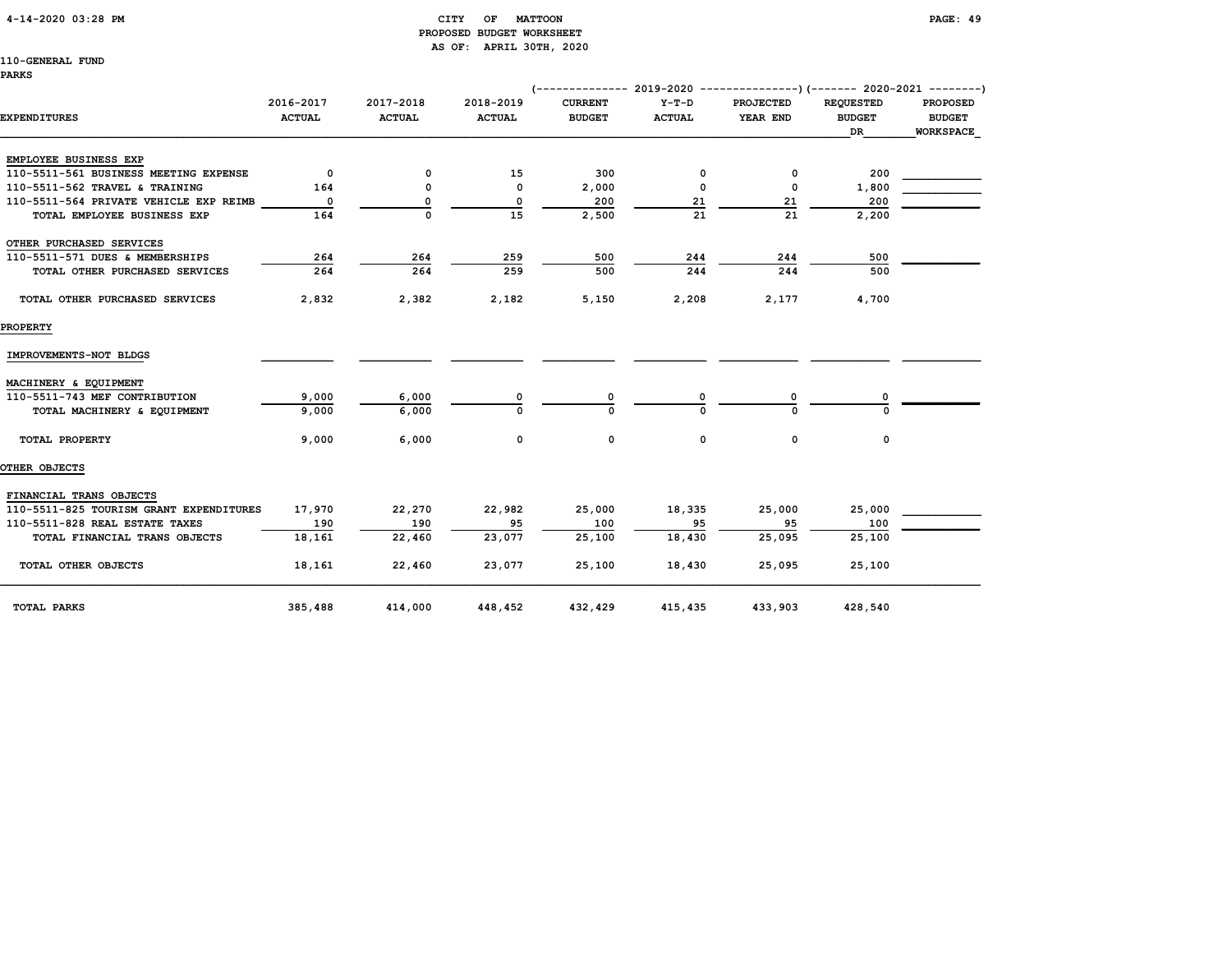#### 4-14-2020 03:28 PM CITY OF MATTOON PAGE: 49 PROPOSED BUDGET WORKSHEET AS OF: APRIL 30TH, 2020

|                                         |                            |                            |                            | (-------------- 2019-2020 ----------------) (------- 2020-2021 ---------) |                          |                              |                                         |                                                      |
|-----------------------------------------|----------------------------|----------------------------|----------------------------|---------------------------------------------------------------------------|--------------------------|------------------------------|-----------------------------------------|------------------------------------------------------|
| <b>EXPENDITURES</b>                     | 2016-2017<br><b>ACTUAL</b> | 2017-2018<br><b>ACTUAL</b> | 2018-2019<br><b>ACTUAL</b> | <b>CURRENT</b><br><b>BUDGET</b>                                           | $Y-T-D$<br><b>ACTUAL</b> | <b>PROJECTED</b><br>YEAR END | <b>REQUESTED</b><br><b>BUDGET</b><br>DR | <b>PROPOSED</b><br><b>BUDGET</b><br><b>WORKSPACE</b> |
| EMPLOYEE BUSINESS EXP                   |                            |                            |                            |                                                                           |                          |                              |                                         |                                                      |
| 110-5511-561 BUSINESS MEETING EXPENSE   | 0                          | 0                          | 15                         | 300                                                                       | 0                        | 0                            | 200                                     |                                                      |
| 110-5511-562 TRAVEL & TRAINING          | 164                        | 0                          | 0                          | 2,000                                                                     | 0                        | $\mathbf 0$                  | 1,800                                   |                                                      |
| 110-5511-564 PRIVATE VEHICLE EXP REIMB  | 0                          | 0                          | $\mathbf 0$                | 200                                                                       | 21                       | 21                           | 200                                     |                                                      |
| TOTAL EMPLOYEE BUSINESS EXP             | 164                        | 0                          | 15                         | 2,500                                                                     | 21                       | 21                           | 2,200                                   |                                                      |
| OTHER PURCHASED SERVICES                |                            |                            |                            |                                                                           |                          |                              |                                         |                                                      |
| 110-5511-571 DUES & MEMBERSHIPS         | 264                        | 264                        | 259                        | 500                                                                       | 244                      | 244                          | 500                                     |                                                      |
| TOTAL OTHER PURCHASED SERVICES          | 264                        | 264                        | 259                        | 500                                                                       | 244                      | 244                          | 500                                     |                                                      |
| TOTAL OTHER PURCHASED SERVICES          | 2,832                      | 2,382                      | 2,182                      | 5,150                                                                     | 2,208                    | 2,177                        | 4,700                                   |                                                      |
| <b>PROPERTY</b>                         |                            |                            |                            |                                                                           |                          |                              |                                         |                                                      |
| IMPROVEMENTS-NOT BLDGS                  |                            |                            |                            |                                                                           |                          |                              |                                         |                                                      |
| MACHINERY & EQUIPMENT                   |                            |                            |                            |                                                                           |                          |                              |                                         |                                                      |
| 110-5511-743 MEF CONTRIBUTION           | 9,000                      | 6,000                      | O                          |                                                                           |                          | O                            |                                         |                                                      |
| TOTAL MACHINERY & EQUIPMENT             | 9,000                      | 6,000                      | $\Omega$                   | $\Omega$                                                                  | $\Omega$                 | U                            | U                                       |                                                      |
| TOTAL PROPERTY                          | 9,000                      | 6,000                      | 0                          | 0                                                                         | 0                        | 0                            | 0                                       |                                                      |
| OTHER OBJECTS                           |                            |                            |                            |                                                                           |                          |                              |                                         |                                                      |
| FINANCIAL TRANS OBJECTS                 |                            |                            |                            |                                                                           |                          |                              |                                         |                                                      |
| 110-5511-825 TOURISM GRANT EXPENDITURES | 17,970                     | 22,270                     | 22,982                     | 25,000                                                                    | 18,335                   | 25,000                       | 25,000                                  |                                                      |
| 110-5511-828 REAL ESTATE TAXES          | 190                        | 190                        | 95                         | 100                                                                       | 95                       | 95                           | 100                                     |                                                      |
| TOTAL FINANCIAL TRANS OBJECTS           | 18,161                     | 22,460                     | 23,077                     | 25,100                                                                    | 18,430                   | 25,095                       | 25,100                                  |                                                      |
| TOTAL OTHER OBJECTS                     | 18,161                     | 22,460                     | 23,077                     | 25,100                                                                    | 18,430                   | 25,095                       | 25,100                                  |                                                      |
| <b>TOTAL PARKS</b>                      | 385,488                    | 414,000                    | 448,452                    | 432,429                                                                   | 415,435                  | 433,903                      | 428,540                                 |                                                      |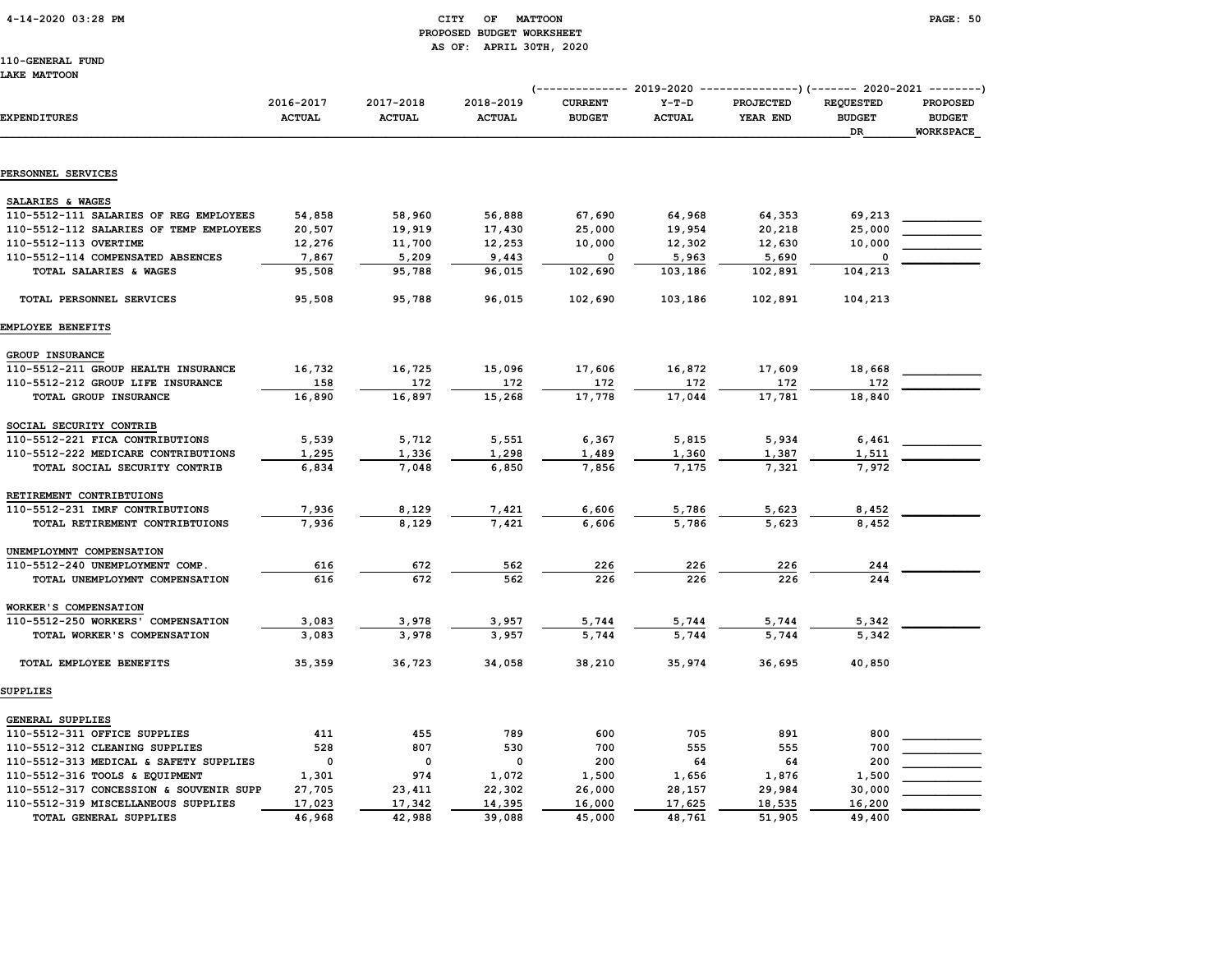### 4-14-2020 03:28 PM CITY OF MATTOON PAGE: 50 PROPOSED BUDGET WORKSHEET AS OF: APRIL 30TH, 2020

110-GENERAL FUND LAKE MATTOON

|                                         |                            |                            |                            |                                 |                          | (-------------- 2019-2020 ----------------) (------- 2020-2021 --------)<br><b>REQUESTED</b><br><b>PROJECTED</b> |                     |                                               |
|-----------------------------------------|----------------------------|----------------------------|----------------------------|---------------------------------|--------------------------|------------------------------------------------------------------------------------------------------------------|---------------------|-----------------------------------------------|
| <b>EXPENDITURES</b>                     | 2016-2017<br><b>ACTUAL</b> | 2017-2018<br><b>ACTUAL</b> | 2018-2019<br><b>ACTUAL</b> | <b>CURRENT</b><br><b>BUDGET</b> | $Y-T-D$<br><b>ACTUAL</b> | YEAR END                                                                                                         | <b>BUDGET</b><br>DR | <b>PROPOSED</b><br><b>BUDGET</b><br>WORKSPACE |
|                                         |                            |                            |                            |                                 |                          |                                                                                                                  |                     |                                               |
| PERSONNEL SERVICES                      |                            |                            |                            |                                 |                          |                                                                                                                  |                     |                                               |
| SALARIES & WAGES                        |                            |                            |                            |                                 |                          |                                                                                                                  |                     |                                               |
| 110-5512-111 SALARIES OF REG EMPLOYEES  | 54,858                     | 58,960                     | 56,888                     | 67,690                          | 64,968                   | 64,353                                                                                                           | 69,213              |                                               |
| 110-5512-112 SALARIES OF TEMP EMPLOYEES | 20,507                     | 19,919                     | 17,430                     | 25,000                          | 19,954                   | 20,218                                                                                                           | 25,000              |                                               |
| 110-5512-113 OVERTIME                   | 12,276                     | 11,700                     | 12,253                     | 10,000                          | 12,302                   | 12,630                                                                                                           | 10,000              |                                               |
| 110-5512-114 COMPENSATED ABSENCES       | 7,867                      | 5,209                      | 9,443                      | $\mathbf 0$                     | 5,963                    | 5,690                                                                                                            | $\Omega$            |                                               |
| TOTAL SALARIES & WAGES                  | 95,508                     | 95,788                     | 96,015                     | 102,690                         | 103,186                  | 102,891                                                                                                          | 104,213             |                                               |
| TOTAL PERSONNEL SERVICES                | 95,508                     | 95,788                     | 96,015                     | 102,690                         | 103,186                  | 102,891                                                                                                          | 104,213             |                                               |
| EMPLOYEE BENEFITS                       |                            |                            |                            |                                 |                          |                                                                                                                  |                     |                                               |
| GROUP INSURANCE                         |                            |                            |                            |                                 |                          |                                                                                                                  |                     |                                               |
| 110-5512-211 GROUP HEALTH INSURANCE     | 16,732                     | 16,725                     | 15,096                     | 17,606                          | 16,872                   | 17,609                                                                                                           | 18,668              |                                               |
| 110-5512-212 GROUP LIFE INSURANCE       | 158                        | 172                        | 172                        | 172                             | 172                      | 172                                                                                                              | 172                 |                                               |
| TOTAL GROUP INSURANCE                   | 16,890                     | 16,897                     | 15,268                     | 17,778                          | 17,044                   | 17,781                                                                                                           | 18,840              |                                               |
| SOCIAL SECURITY CONTRIB                 |                            |                            |                            |                                 |                          |                                                                                                                  |                     |                                               |
| 110-5512-221 FICA CONTRIBUTIONS         | 5,539                      | 5,712                      | 5,551                      | 6,367                           | 5,815                    | 5,934                                                                                                            | 6,461               |                                               |
| 110-5512-222 MEDICARE CONTRIBUTIONS     | 1,295                      | 1,336                      | 1,298                      | 1,489                           | 1,360                    | 1,387                                                                                                            | 1,511               |                                               |
| TOTAL SOCIAL SECURITY CONTRIB           | 6,834                      | 7,048                      | 6,850                      | 7,856                           | 7,175                    | 7.321                                                                                                            | 7,972               |                                               |
| RETIREMENT CONTRIBTUIONS                |                            |                            |                            |                                 |                          |                                                                                                                  |                     |                                               |
| 110-5512-231 IMRF CONTRIBUTIONS         | 7,936                      | 8,129                      | 7,421                      | 6,606                           | 5,786                    | 5,623                                                                                                            | 8,452               |                                               |
| TOTAL RETIREMENT CONTRIBTUIONS          | 7,936                      | 8,129                      | 7,421                      | 6,606                           | 5,786                    | 5.623                                                                                                            | 8,452               |                                               |
| UNEMPLOYMNT COMPENSATION                |                            |                            |                            |                                 |                          |                                                                                                                  |                     |                                               |
| 110-5512-240 UNEMPLOYMENT COMP.         | 616                        | 672                        | 562                        | 226                             | 226                      | 226                                                                                                              | 244                 |                                               |
| TOTAL UNEMPLOYMNT COMPENSATION          | 616                        | 672                        | 562                        | 226                             | 226                      | 226                                                                                                              | 244                 |                                               |
| WORKER'S COMPENSATION                   |                            |                            |                            |                                 |                          |                                                                                                                  |                     |                                               |
| 110-5512-250 WORKERS' COMPENSATION      | 3,083                      | 3,978                      | 3,957                      | 5,744                           | 5,744                    | 5,744                                                                                                            | 5,342               |                                               |
| TOTAL WORKER'S COMPENSATION             | 3,083                      | 3,978                      | 3,957                      | 5,744                           | 5,744                    | 5,744                                                                                                            | 5,342               |                                               |
| TOTAL EMPLOYEE BENEFITS                 | 35,359                     | 36,723                     | 34,058                     | 38,210                          | 35,974                   | 36,695                                                                                                           | 40,850              |                                               |
| <b>SUPPLIES</b>                         |                            |                            |                            |                                 |                          |                                                                                                                  |                     |                                               |
| GENERAL SUPPLIES                        |                            |                            |                            |                                 |                          |                                                                                                                  |                     |                                               |
| 110-5512-311 OFFICE SUPPLIES            | 411                        | 455                        | 789                        | 600                             | 705                      | 891                                                                                                              | 800                 |                                               |
| 110-5512-312 CLEANING SUPPLIES          | 528                        | 807                        | 530                        | 700                             | 555                      | 555                                                                                                              | 700                 |                                               |
| 110-5512-313 MEDICAL & SAFETY SUPPLIES  | $\mathbf 0$                | 0                          | $\mathsf{o}\,$             | 200                             | 64                       | 64                                                                                                               | 200                 |                                               |
| 110-5512-316 TOOLS & EQUIPMENT          | 1,301                      | 974                        | 1,072                      | 1,500                           | 1,656                    | 1,876                                                                                                            | 1,500               |                                               |
| 110-5512-317 CONCESSION & SOUVENIR SUPP | 27,705                     | 23,411                     | 22,302                     | 26,000                          | 28,157                   | 29,984                                                                                                           | 30,000              |                                               |
| 110-5512-319 MISCELLANEOUS SUPPLIES     | 17,023                     | 17,342                     | 14,395                     | 16,000                          | 17,625                   | 18,535                                                                                                           | 16,200              |                                               |
| TOTAL GENERAL SUPPLIES                  | 46,968                     | 42,988                     | 39,088                     | 45,000                          | 48,761                   | 51,905                                                                                                           | 49,400              |                                               |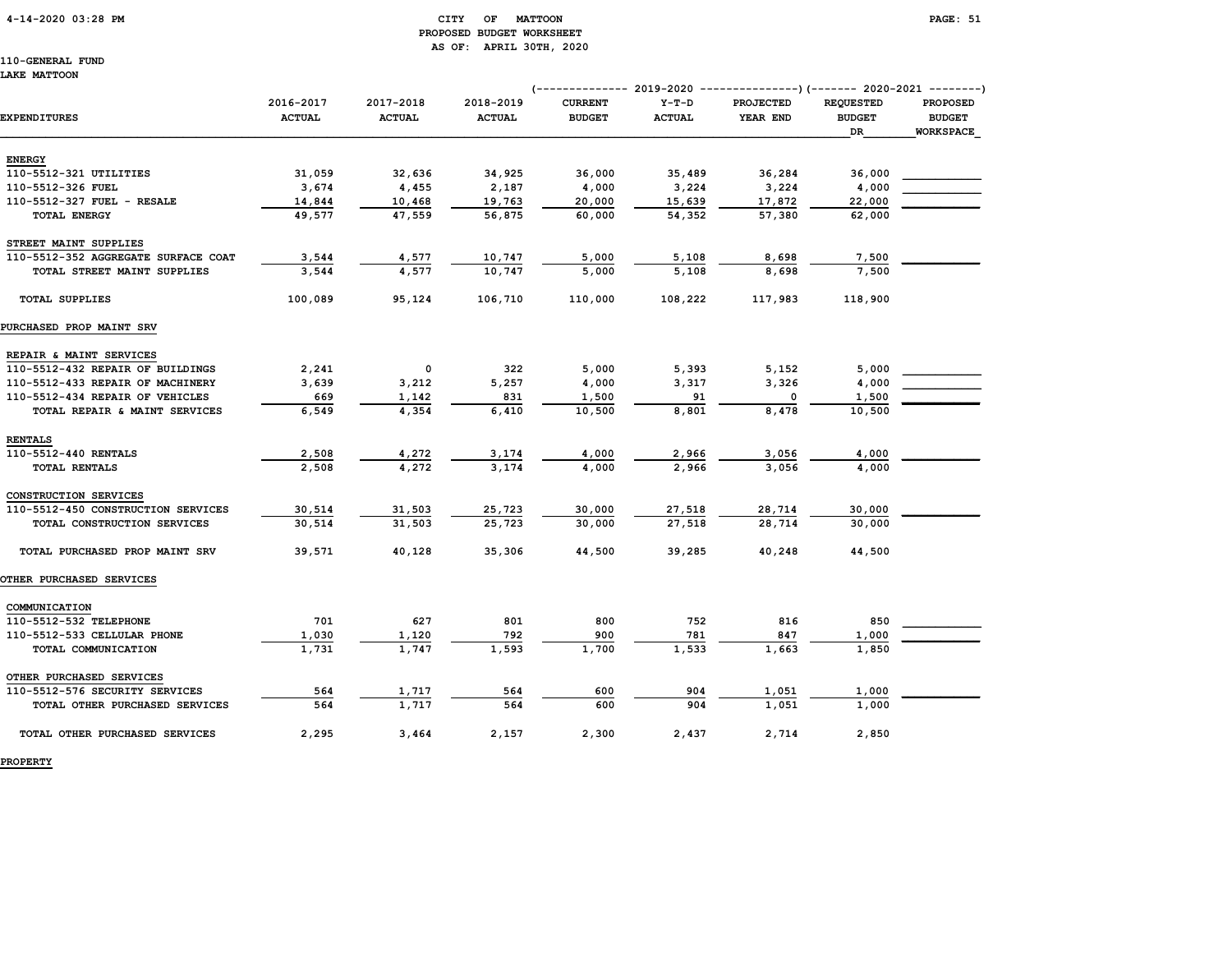#### 4-14-2020 03:28 PM CITY OF MATTOON PAGE: 51 PROPOSED BUDGET WORKSHEET AS OF: APRIL 30TH, 2020

110-GENERAL FUND LAKE MATTOON

|                                     |                            |                            |                            |                                 |                          | (-------------- 2019-2020 ----------------) (------- 2020-2021 --------) |                                         |                                                      |
|-------------------------------------|----------------------------|----------------------------|----------------------------|---------------------------------|--------------------------|--------------------------------------------------------------------------|-----------------------------------------|------------------------------------------------------|
| EXPENDITURES                        | 2016-2017<br><b>ACTUAL</b> | 2017-2018<br><b>ACTUAL</b> | 2018-2019<br><b>ACTUAL</b> | <b>CURRENT</b><br><b>BUDGET</b> | $Y-T-D$<br><b>ACTUAL</b> | <b>PROJECTED</b><br>YEAR END                                             | <b>REQUESTED</b><br><b>BUDGET</b><br>DR | <b>PROPOSED</b><br><b>BUDGET</b><br><b>WORKSPACE</b> |
|                                     |                            |                            |                            |                                 |                          |                                                                          |                                         |                                                      |
| <b>ENERGY</b>                       |                            |                            |                            |                                 |                          |                                                                          |                                         |                                                      |
| 110-5512-321 UTILITIES              | 31,059                     | 32,636                     | 34,925                     | 36,000                          | 35,489                   | 36,284                                                                   | 36,000                                  |                                                      |
| 110-5512-326 FUEL                   | 3,674                      | 4,455                      | 2,187                      | 4,000                           | 3,224                    | 3,224                                                                    | 4,000                                   |                                                      |
| 110-5512-327 FUEL - RESALE          | 14,844                     | 10,468                     | 19,763                     | 20,000                          | 15,639                   | 17,872                                                                   | 22,000                                  |                                                      |
| <b>TOTAL ENERGY</b>                 | 49,577                     | 47,559                     | 56,875                     | 60,000                          | 54,352                   | 57,380                                                                   | 62,000                                  |                                                      |
| STREET MAINT SUPPLIES               |                            |                            |                            |                                 |                          |                                                                          |                                         |                                                      |
| 110-5512-352 AGGREGATE SURFACE COAT | 3,544                      | 4,577                      | 10,747                     | 5,000                           | 5,108                    | 8,698                                                                    | 7,500                                   |                                                      |
| TOTAL STREET MAINT SUPPLIES         | 3,544                      | 4,577                      | 10,747                     | 5,000                           | 5,108                    | 8,698                                                                    | 7,500                                   |                                                      |
| <b>TOTAL SUPPLIES</b>               | 100,089                    | 95,124                     | 106,710                    | 110,000                         | 108,222                  | 117,983                                                                  | 118,900                                 |                                                      |
| PURCHASED PROP MAINT SRV            |                            |                            |                            |                                 |                          |                                                                          |                                         |                                                      |
| REPAIR & MAINT SERVICES             |                            |                            |                            |                                 |                          |                                                                          |                                         |                                                      |
| 110-5512-432 REPAIR OF BUILDINGS    | 2,241                      | 0                          | 322                        | 5,000                           | 5,393                    | 5,152                                                                    | 5,000                                   |                                                      |
| 110-5512-433 REPAIR OF MACHINERY    | 3,639                      | 3,212                      | 5,257                      | 4,000                           | 3,317                    | 3,326                                                                    | 4,000                                   |                                                      |
| 110-5512-434 REPAIR OF VEHICLES     | 669                        | 1,142                      | 831                        | 1,500                           | 91                       | 0                                                                        | 1,500                                   |                                                      |
| TOTAL REPAIR & MAINT SERVICES       | 6,549                      | 4,354                      | 6,410                      | 10,500                          | 8,801                    | 8,478                                                                    | 10,500                                  |                                                      |
| <b>RENTALS</b>                      |                            |                            |                            |                                 |                          |                                                                          |                                         |                                                      |
| 110-5512-440 RENTALS                | 2,508                      | 4,272                      | 3,174                      | 4,000                           | 2,966                    | 3,056                                                                    | 4,000                                   |                                                      |
| <b>TOTAL RENTALS</b>                | 2,508                      | 4.272                      | 3,174                      | 4,000                           | 2,966                    | 3.056                                                                    | 4,000                                   |                                                      |
| CONSTRUCTION SERVICES               |                            |                            |                            |                                 |                          |                                                                          |                                         |                                                      |
| 110-5512-450 CONSTRUCTION SERVICES  | 30,514                     | 31,503                     | 25,723                     | 30,000                          | 27,518                   | 28,714                                                                   | 30,000                                  |                                                      |
| TOTAL CONSTRUCTION SERVICES         | 30,514                     | 31,503                     | 25,723                     | 30,000                          | 27,518                   | 28,714                                                                   | 30,000                                  |                                                      |
| TOTAL PURCHASED PROP MAINT SRV      | 39,571                     | 40,128                     | 35,306                     | 44,500                          | 39,285                   | 40,248                                                                   | 44,500                                  |                                                      |
| <b>OTHER PURCHASED SERVICES</b>     |                            |                            |                            |                                 |                          |                                                                          |                                         |                                                      |
| COMMUNICATION                       |                            |                            |                            |                                 |                          |                                                                          |                                         |                                                      |
| 110-5512-532 TELEPHONE              | 701                        | 627                        | 801                        | 800                             | 752                      | 816                                                                      | 850                                     |                                                      |
| 110-5512-533 CELLULAR PHONE         | 1,030                      | 1,120                      | 792                        | 900                             | 781                      | 847                                                                      | 1,000                                   |                                                      |
| TOTAL COMMUNICATION                 | 1,731                      | 1,747                      | 1,593                      | 1,700                           | 1,533                    | 1,663                                                                    | 1,850                                   |                                                      |
| OTHER PURCHASED SERVICES            |                            |                            |                            |                                 |                          |                                                                          |                                         |                                                      |
| 110-5512-576 SECURITY SERVICES      | 564                        | 1,717                      | 564                        | 600                             | 904                      | 1,051                                                                    | 1,000                                   |                                                      |
| TOTAL OTHER PURCHASED SERVICES      | 564                        | 1,717                      | 564                        | 600                             | 904                      | 1,051                                                                    | 1,000                                   |                                                      |
| TOTAL OTHER PURCHASED SERVICES      | 2,295                      | 3,464                      | 2,157                      | 2,300                           | 2,437                    | 2,714                                                                    | 2,850                                   |                                                      |

PROPERTY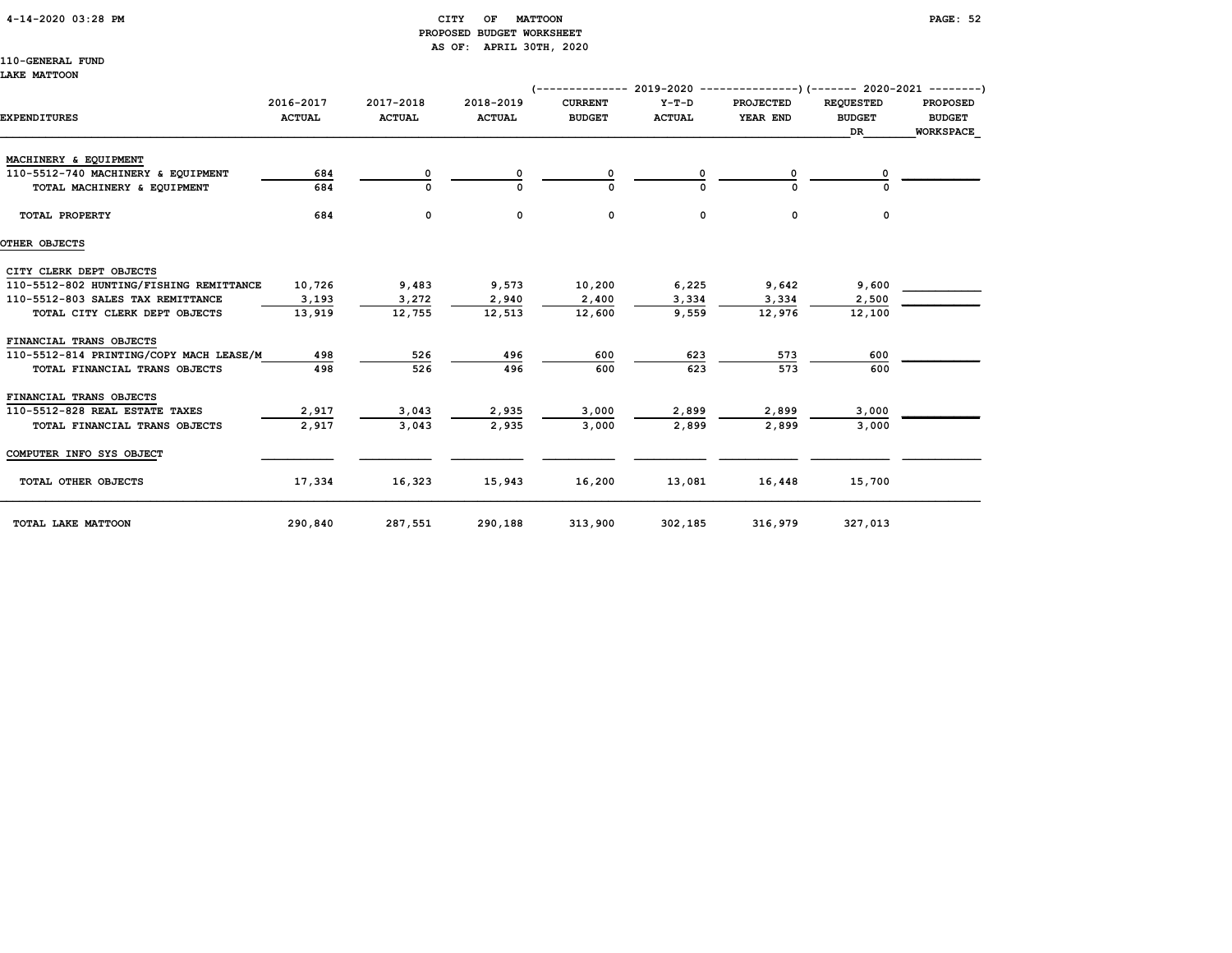#### 4-14-2020 03:28 PM CITY OF MATTOON PAGE: 52 PROPOSED BUDGET WORKSHEET AS OF: APRIL 30TH, 2020

110-GENERAL FUND

#### LAKE MATTOON

|                                         |                            |                            |                            | (-------------- 2019-2020 ----------------)(------- 2020-2021 --------) |                          |                              |                                         |                                                      |  |  |
|-----------------------------------------|----------------------------|----------------------------|----------------------------|-------------------------------------------------------------------------|--------------------------|------------------------------|-----------------------------------------|------------------------------------------------------|--|--|
| <b>EXPENDITURES</b>                     | 2016-2017<br><b>ACTUAL</b> | 2017-2018<br><b>ACTUAL</b> | 2018-2019<br><b>ACTUAL</b> | <b>CURRENT</b><br><b>BUDGET</b>                                         | $Y-T-D$<br><b>ACTUAL</b> | <b>PROJECTED</b><br>YEAR END | <b>REQUESTED</b><br><b>BUDGET</b><br>DR | <b>PROPOSED</b><br><b>BUDGET</b><br><b>WORKSPACE</b> |  |  |
| MACHINERY & EQUIPMENT                   |                            |                            |                            |                                                                         |                          |                              |                                         |                                                      |  |  |
| 110-5512-740 MACHINERY & EQUIPMENT      | 684                        | 0                          |                            |                                                                         |                          |                              |                                         |                                                      |  |  |
| TOTAL MACHINERY & EQUIPMENT             | 684                        |                            |                            |                                                                         |                          |                              |                                         |                                                      |  |  |
| TOTAL PROPERTY                          | 684                        | 0                          | 0                          | 0                                                                       | 0                        | $\mathbf 0$                  | 0                                       |                                                      |  |  |
| OTHER OBJECTS                           |                            |                            |                            |                                                                         |                          |                              |                                         |                                                      |  |  |
| CITY CLERK DEPT OBJECTS                 |                            |                            |                            |                                                                         |                          |                              |                                         |                                                      |  |  |
| 110-5512-802 HUNTING/FISHING REMITTANCE | 10,726                     | 9,483                      | 9,573                      | 10,200                                                                  | 6,225                    | 9,642                        | 9,600                                   |                                                      |  |  |
| 110-5512-803 SALES TAX REMITTANCE       | 3,193                      | 3,272                      | 2,940                      | 2,400                                                                   | 3,334                    | 3,334                        | 2,500                                   |                                                      |  |  |
| TOTAL CITY CLERK DEPT OBJECTS           | 13,919                     | 12,755                     | 12,513                     | 12,600                                                                  | 9,559                    | 12,976                       | 12,100                                  |                                                      |  |  |
| FINANCIAL TRANS OBJECTS                 |                            |                            |                            |                                                                         |                          |                              |                                         |                                                      |  |  |
| 110-5512-814 PRINTING/COPY MACH LEASE/M | 498                        | 526                        | 496                        | 600                                                                     | 623                      | 573                          | 600                                     |                                                      |  |  |
| TOTAL FINANCIAL TRANS OBJECTS           | 498                        | 526                        | 496                        | 600                                                                     | 623                      | 573                          | 600                                     |                                                      |  |  |
| FINANCIAL TRANS OBJECTS                 |                            |                            |                            |                                                                         |                          |                              |                                         |                                                      |  |  |
| 110-5512-828 REAL ESTATE TAXES          | 2,917                      | 3,043                      | 2,935                      | 3,000                                                                   | 2,899                    | 2,899                        | 3,000                                   |                                                      |  |  |
| TOTAL FINANCIAL TRANS OBJECTS           | 2,917                      | 3.043                      | 2,935                      | 3,000                                                                   | 2,899                    | 2,899                        | 3,000                                   |                                                      |  |  |
| COMPUTER INFO SYS OBJECT                |                            |                            |                            |                                                                         |                          |                              |                                         |                                                      |  |  |
| TOTAL OTHER OBJECTS                     | 17,334                     | 16,323                     | 15,943                     | 16,200                                                                  | 13,081                   | 16,448                       | 15,700                                  |                                                      |  |  |
| TOTAL LAKE MATTOON                      | 290,840                    | 287,551                    | 290,188                    | 313,900                                                                 | 302,185                  | 316,979                      | 327,013                                 |                                                      |  |  |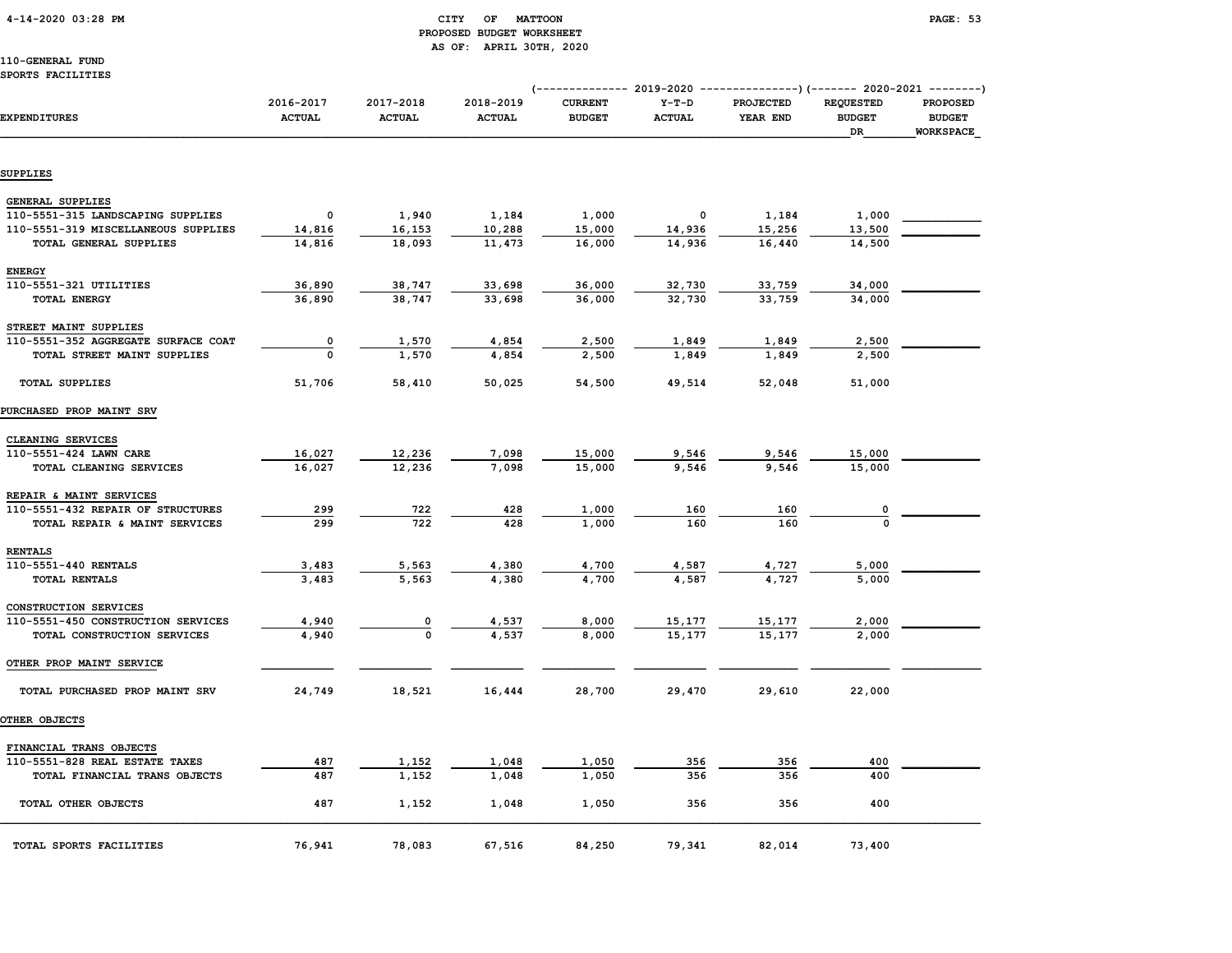#### 4-14-2020 03:28 PM CITY OF MATTOON PAGE: 53 PROPOSED BUDGET WORKSHEET AS OF: APRIL 30TH, 2020

#### 110-GENERAL FUND SPORTS FACILITIES

|                                                              |                            |                            |                            | (-------------- 2019-2020 ----------------) (------- 2020-2021 --------) |                          |                              |                                         |                                                      |
|--------------------------------------------------------------|----------------------------|----------------------------|----------------------------|--------------------------------------------------------------------------|--------------------------|------------------------------|-----------------------------------------|------------------------------------------------------|
| <b>EXPENDITURES</b>                                          | 2016-2017<br><b>ACTUAL</b> | 2017-2018<br><b>ACTUAL</b> | 2018-2019<br><b>ACTUAL</b> | <b>CURRENT</b><br><b>BUDGET</b>                                          | $Y-T-D$<br><b>ACTUAL</b> | <b>PROJECTED</b><br>YEAR END | <b>REQUESTED</b><br><b>BUDGET</b><br>DR | <b>PROPOSED</b><br><b>BUDGET</b><br><b>WORKSPACE</b> |
| <b>SUPPLIES</b>                                              |                            |                            |                            |                                                                          |                          |                              |                                         |                                                      |
|                                                              |                            |                            |                            |                                                                          |                          |                              |                                         |                                                      |
| <b>GENERAL SUPPLIES</b>                                      |                            |                            |                            |                                                                          |                          |                              |                                         |                                                      |
| 110-5551-315 LANDSCAPING SUPPLIES                            | $\mathbf 0$                | 1,940                      | 1,184                      | 1,000                                                                    | 0                        | 1,184                        | 1,000                                   |                                                      |
| 110-5551-319 MISCELLANEOUS SUPPLIES                          | 14,816                     | 16,153                     | 10,288                     | 15,000                                                                   | 14,936                   | 15,256                       | 13,500                                  |                                                      |
| TOTAL GENERAL SUPPLIES                                       | 14,816                     | 18,093                     | 11,473                     | 16,000                                                                   | 14,936                   | 16,440                       | 14,500                                  |                                                      |
| <b>ENERGY</b>                                                |                            |                            |                            |                                                                          |                          |                              |                                         |                                                      |
| 110-5551-321 UTILITIES                                       | 36,890                     | 38,747                     | 33,698                     | 36,000                                                                   | 32,730                   | 33,759                       | 34,000                                  |                                                      |
| <b>TOTAL ENERGY</b>                                          | 36,890                     | 38,747                     | 33,698                     | 36,000                                                                   | 32,730                   | 33,759                       | 34,000                                  |                                                      |
|                                                              |                            |                            |                            |                                                                          |                          |                              |                                         |                                                      |
| STREET MAINT SUPPLIES<br>110-5551-352 AGGREGATE SURFACE COAT | $\pmb{\mathsf{0}}$         | 1,570                      | 4,854                      | 2,500                                                                    | 1,849                    | 1,849                        | 2,500                                   |                                                      |
| TOTAL STREET MAINT SUPPLIES                                  | 0                          | 1,570                      | 4,854                      | 2,500                                                                    | 1,849                    | 1,849                        | 2,500                                   |                                                      |
|                                                              |                            |                            |                            |                                                                          |                          |                              |                                         |                                                      |
| <b>TOTAL SUPPLIES</b>                                        | 51,706                     | 58,410                     | 50,025                     | 54,500                                                                   | 49,514                   | 52,048                       | 51,000                                  |                                                      |
| PURCHASED PROP MAINT SRV                                     |                            |                            |                            |                                                                          |                          |                              |                                         |                                                      |
| CLEANING SERVICES                                            |                            |                            |                            |                                                                          |                          |                              |                                         |                                                      |
| 110-5551-424 LAWN CARE                                       | 16,027                     | 12,236                     | 7,098                      | 15,000                                                                   | 9,546                    | 9,546                        | 15,000                                  |                                                      |
| TOTAL CLEANING SERVICES                                      | 16,027                     | 12,236                     | 7,098                      | 15,000                                                                   | 9,546                    | 9,546                        | 15,000                                  |                                                      |
|                                                              |                            |                            |                            |                                                                          |                          |                              |                                         |                                                      |
| REPAIR & MAINT SERVICES<br>110-5551-432 REPAIR OF STRUCTURES | 299                        | 722                        | 428                        | 1,000                                                                    | 160                      | 160                          |                                         |                                                      |
| TOTAL REPAIR & MAINT SERVICES                                | 299                        | 722                        | 428                        | 1,000                                                                    | 160                      | 160                          | $\Omega$                                |                                                      |
|                                                              |                            |                            |                            |                                                                          |                          |                              |                                         |                                                      |
| <b>RENTALS</b>                                               |                            |                            |                            |                                                                          |                          |                              |                                         |                                                      |
| 110-5551-440 RENTALS                                         | 3,483<br>3,483             | 5,563                      | 4,380                      | 4,700<br>4,700                                                           | 4,587                    | 4,727<br>4.727               | 5,000                                   |                                                      |
| TOTAL RENTALS                                                |                            | 5,563                      | 4,380                      |                                                                          | 4,587                    |                              | 5,000                                   |                                                      |
| CONSTRUCTION SERVICES                                        |                            |                            |                            |                                                                          |                          |                              |                                         |                                                      |
| 110-5551-450 CONSTRUCTION SERVICES                           | 4,940                      | 0                          | 4,537                      | 8,000                                                                    | 15,177                   | 15,177                       | 2,000                                   |                                                      |
| TOTAL CONSTRUCTION SERVICES                                  | 4,940                      | $\mathbf 0$                | 4,537                      | 8,000                                                                    | 15,177                   | 15,177                       | 2,000                                   |                                                      |
| OTHER PROP MAINT SERVICE                                     |                            |                            |                            |                                                                          |                          |                              |                                         |                                                      |
| TOTAL PURCHASED PROP MAINT SRV                               | 24,749                     | 18,521                     | 16,444                     | 28,700                                                                   | 29,470                   | 29,610                       | 22,000                                  |                                                      |
| OTHER OBJECTS                                                |                            |                            |                            |                                                                          |                          |                              |                                         |                                                      |
|                                                              |                            |                            |                            |                                                                          |                          |                              |                                         |                                                      |
| FINANCIAL TRANS OBJECTS<br>110-5551-828 REAL ESTATE TAXES    | 487                        | 1,152                      | 1,048                      | 1,050                                                                    | 356                      | 356                          | 400                                     |                                                      |
| TOTAL FINANCIAL TRANS OBJECTS                                | 487                        | 1,152                      | 1,048                      | 1,050                                                                    | 356                      | 356                          | 400                                     |                                                      |
|                                                              |                            |                            |                            |                                                                          |                          |                              |                                         |                                                      |
| TOTAL OTHER OBJECTS                                          | 487                        | 1,152                      | 1,048                      | 1,050                                                                    | 356                      | 356                          | 400                                     |                                                      |
| TOTAL SPORTS FACILITIES                                      | 76,941                     | 78,083                     | 67,516                     | 84,250                                                                   | 79,341                   | 82,014                       | 73,400                                  |                                                      |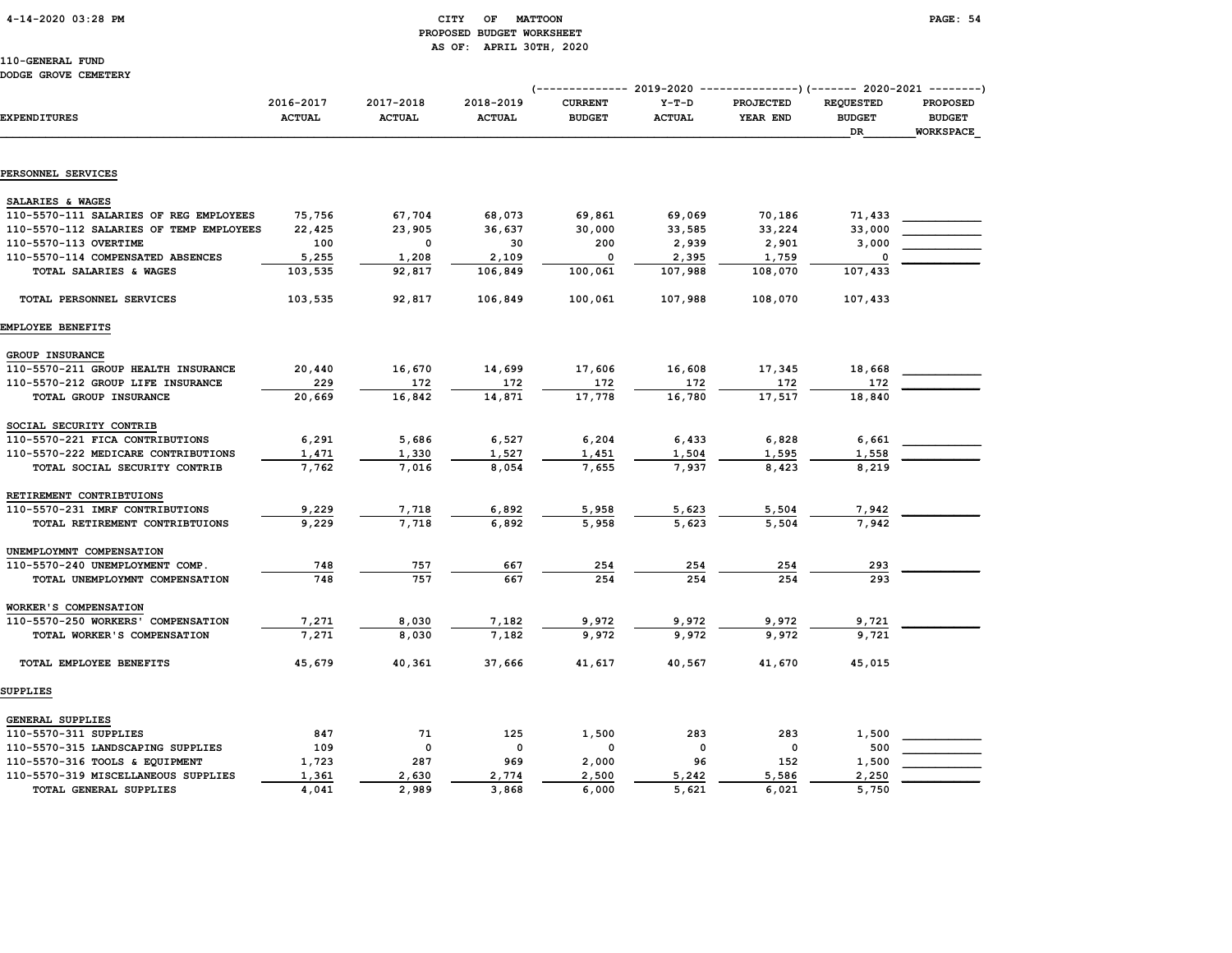4-14-2020 03:28 PM CITY OF MATTOON PAGE: 54

# PROPOSED BUDGET WORKSHEET AS OF: APRIL 30TH, 2020

110-GENERAL FUND DODGE GROVE CEMETERY

SUPPLIES

GENERAL SUPPLIES

|                                         |               |               |               |                |               | (--------------  2019-2020  ----------------) (-------  2020-2021  --------) |                  |                  |
|-----------------------------------------|---------------|---------------|---------------|----------------|---------------|------------------------------------------------------------------------------|------------------|------------------|
|                                         | 2016-2017     | 2017-2018     | 2018-2019     | <b>CURRENT</b> | $Y-T-D$       | <b>PROJECTED</b>                                                             | <b>REOUESTED</b> | <b>PROPOSED</b>  |
| <b>EXPENDITURES</b>                     | <b>ACTUAL</b> | <b>ACTUAL</b> | <b>ACTUAL</b> | <b>BUDGET</b>  | <b>ACTUAL</b> | YEAR END                                                                     | <b>BUDGET</b>    | <b>BUDGET</b>    |
|                                         |               |               |               |                |               |                                                                              | DR.              | <b>WORKSPACE</b> |
| PERSONNEL SERVICES                      |               |               |               |                |               |                                                                              |                  |                  |
| SALARIES & WAGES                        |               |               |               |                |               |                                                                              |                  |                  |
| 110-5570-111 SALARIES OF REG EMPLOYEES  | 75,756        | 67,704        | 68,073        | 69,861         | 69,069        | 70,186                                                                       | 71,433           |                  |
| 110-5570-112 SALARIES OF TEMP EMPLOYEES | 22,425        | 23,905        | 36,637        | 30,000         | 33,585        | 33,224                                                                       | 33,000           |                  |
| 110-5570-113 OVERTIME                   | 100           | $\mathbf 0$   | 30            | 200            | 2,939         | 2,901                                                                        | 3,000            |                  |
| 110-5570-114 COMPENSATED ABSENCES       | 5,255         | 1,208         | 2,109         | $\mathbf 0$    | 2,395         | 1,759                                                                        | 0                |                  |
| TOTAL SALARIES & WAGES                  | 103,535       | 92,817        | 106,849       | 100,061        | 107,988       | 108,070                                                                      | 107,433          |                  |
| TOTAL PERSONNEL SERVICES                | 103,535       | 92,817        | 106,849       | 100,061        | 107,988       | 108,070                                                                      | 107,433          |                  |
| <b>EMPLOYEE BENEFITS</b>                |               |               |               |                |               |                                                                              |                  |                  |
| GROUP INSURANCE                         |               |               |               |                |               |                                                                              |                  |                  |
| 110-5570-211 GROUP HEALTH INSURANCE     | 20,440        | 16,670        | 14,699        | 17,606         | 16,608        | 17,345                                                                       | 18,668           |                  |
| 110-5570-212 GROUP LIFE INSURANCE       | 229           | 172           | 172           | 172            | 172           | $\frac{172}{17,517}$                                                         | 172              |                  |
| TOTAL GROUP INSURANCE                   | 20,669        | 16,842        | 14,871        | 17,778         | 16,780        |                                                                              | 18,840           |                  |
| SOCIAL SECURITY CONTRIB                 |               |               |               |                |               |                                                                              |                  |                  |
| 110-5570-221 FICA CONTRIBUTIONS         | 6,291         | 5,686         | 6,527         | 6,204          | 6,433         | 6,828                                                                        | 6,661            |                  |
| 110-5570-222 MEDICARE CONTRIBUTIONS     | 1,471         | 1,330         | 1,527         | 1,451          | 1,504         | 1,595                                                                        | 1,558            |                  |
| TOTAL SOCIAL SECURITY CONTRIB           | 7,762         | 7,016         | 8,054         | 7,655          | 7,937         | 8,423                                                                        | 8,219            |                  |
| RETIREMENT CONTRIBTUIONS                |               |               |               |                |               |                                                                              |                  |                  |
| 110-5570-231 IMRF CONTRIBUTIONS         | 9,229         | 7,718         | 6,892         | 5,958          | 5,623         | 5,504                                                                        | 7,942            |                  |
| TOTAL RETIREMENT CONTRIBTUIONS          | 9,229         | 7,718         | 6,892         | 5,958          | 5,623         | 5,504                                                                        | 7,942            |                  |
| UNEMPLOYMNT COMPENSATION                |               |               |               |                |               |                                                                              |                  |                  |
| 110-5570-240 UNEMPLOYMENT COMP.         | 748           | 757           | 667           | 254            | 254           | 254                                                                          | 293              |                  |
| TOTAL UNEMPLOYMNT COMPENSATION          | 748           | 757           | 667           | 254            | 254           | 254                                                                          | 293              |                  |
| WORKER'S COMPENSATION                   |               |               |               |                |               |                                                                              |                  |                  |
| 110-5570-250 WORKERS' COMPENSATION      | 7,271         | 8,030         | 7,182         | 9,972          | 9,972         | 9,972                                                                        | 9,721            |                  |
| TOTAL WORKER'S COMPENSATION             | 7,271         | 8,030         | 7,182         | 9,972          | 9,972         | 9,972                                                                        | 9,721            |                  |

TOTAL EMPLOYEE BENEFITS 45,679 40,361 37,666 41,617 40,567 41,670 45,015

 110-5570-311 SUPPLIES 847 71 125 1,500 283 283 1,500 \_\_\_\_\_\_\_\_\_\_\_\_  $110-5570-315 \text{ LANDSCAPING SUPPLIES} \qquad \qquad 109 \qquad \qquad 0 \qquad \qquad 0 \qquad \qquad 0 \qquad \qquad 0 \qquad \qquad 0 \qquad \qquad 500$ 110-5570-316 TOOLS & EQUIPMENT 1,723 287 969 2,000 96 152 1,500 110-5570-319 MISCELLANEOUS SUPPLIES 1,361 2,630 2,774 2,500 5,242 5,586 2,250 TOTAL GENERAL SUPPLIES 4,041 2,989 3,868 6,000 5,621 6,021 5,750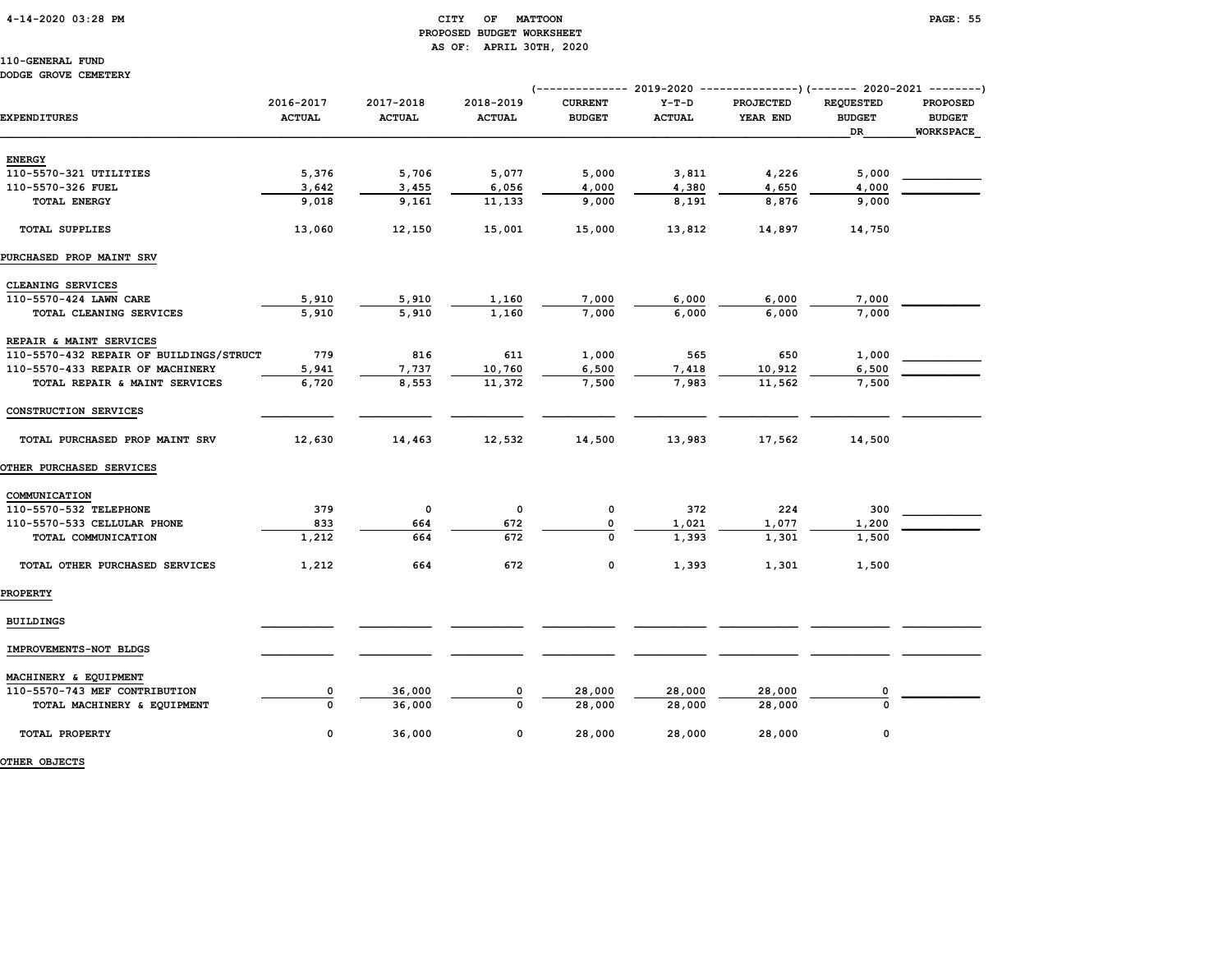#### 4-14-2020 03:28 PM CITY OF MATTOON PAGE: 55 PROPOSED BUDGET WORKSHEET AS OF: APRIL 30TH, 2020

110-GENERAL FUND DODGE GROVE CEMETERY

|                                         |                            |                            |                            |                                 |                          | (------------- 2019-2020 ----------------) (------- 2020-2021 --------) |                                         |                                        |
|-----------------------------------------|----------------------------|----------------------------|----------------------------|---------------------------------|--------------------------|-------------------------------------------------------------------------|-----------------------------------------|----------------------------------------|
| <b>EXPENDITURES</b>                     | 2016-2017<br><b>ACTUAL</b> | 2017-2018<br><b>ACTUAL</b> | 2018-2019<br><b>ACTUAL</b> | <b>CURRENT</b><br><b>BUDGET</b> | $Y-T-D$<br><b>ACTUAL</b> | PROJECTED<br>YEAR END                                                   | <b>REQUESTED</b><br><b>BUDGET</b><br>DR | PROPOSED<br><b>BUDGET</b><br>WORKSPACE |
|                                         |                            |                            |                            |                                 |                          |                                                                         |                                         |                                        |
| <b>ENERGY</b>                           |                            |                            |                            |                                 |                          |                                                                         |                                         |                                        |
| 110-5570-321 UTILITIES                  | 5,376                      | 5,706                      | 5,077                      | 5,000                           | 3,811                    | 4,226                                                                   | 5,000                                   |                                        |
| 110-5570-326 FUEL                       | 3,642                      | 3,455                      | 6,056                      | 4,000                           | 4,380                    | 4,650                                                                   | 4,000                                   |                                        |
| <b>TOTAL ENERGY</b>                     | 9,018                      | 9,161                      | 11,133                     | 9,000                           | 8,191                    | 8,876                                                                   | 9,000                                   |                                        |
| <b>TOTAL SUPPLIES</b>                   | 13,060                     | 12,150                     | 15,001                     | 15,000                          | 13,812                   | 14,897                                                                  | 14,750                                  |                                        |
| PURCHASED PROP MAINT SRV                |                            |                            |                            |                                 |                          |                                                                         |                                         |                                        |
| CLEANING SERVICES                       |                            |                            |                            |                                 |                          |                                                                         |                                         |                                        |
| 110-5570-424 LAWN CARE                  | 5,910                      | 5,910                      | 1,160                      | 7,000                           | 6,000                    | 6,000                                                                   | 7,000                                   |                                        |
| TOTAL CLEANING SERVICES                 | 5,910                      | 5,910                      | 1,160                      | 7,000                           | 6,000                    | 6,000                                                                   | 7,000                                   |                                        |
| REPAIR & MAINT SERVICES                 |                            |                            |                            |                                 |                          |                                                                         |                                         |                                        |
| 110-5570-432 REPAIR OF BUILDINGS/STRUCT | 779                        | 816                        | 611                        | 1,000                           | 565                      | 650                                                                     | 1,000                                   |                                        |
| 110-5570-433 REPAIR OF MACHINERY        | 5,941                      | 7,737                      | 10,760                     | 6,500                           | 7,418                    | 10,912                                                                  | 6,500                                   |                                        |
| TOTAL REPAIR & MAINT SERVICES           | 6,720                      | 8,553                      | 11,372                     | 7,500                           | 7,983                    | 11,562                                                                  | 7,500                                   |                                        |
| CONSTRUCTION SERVICES                   |                            |                            |                            |                                 |                          |                                                                         |                                         |                                        |
| TOTAL PURCHASED PROP MAINT SRV          | 12,630                     | 14,463                     | 12,532                     | 14,500                          | 13,983                   | 17,562                                                                  | 14,500                                  |                                        |
| <b>OTHER PURCHASED SERVICES</b>         |                            |                            |                            |                                 |                          |                                                                         |                                         |                                        |
| COMMUNICATION                           |                            |                            |                            |                                 |                          |                                                                         |                                         |                                        |
| 110-5570-532 TELEPHONE                  | 379                        | $\mathsf{o}\,$             | 0                          | $\mathbf 0$                     | 372                      | 224                                                                     | 300                                     |                                        |
| 110-5570-533 CELLULAR PHONE             | 833                        | 664                        | 672                        | 0                               | 1,021                    | 1,077                                                                   | 1,200                                   |                                        |
| TOTAL COMMUNICATION                     | 1,212                      | 664                        | 672                        | $\Omega$                        | 1,393                    | 1,301                                                                   | 1,500                                   |                                        |
| TOTAL OTHER PURCHASED SERVICES          | 1,212                      | 664                        | 672                        | 0                               | 1,393                    | 1,301                                                                   | 1,500                                   |                                        |
| <b>PROPERTY</b>                         |                            |                            |                            |                                 |                          |                                                                         |                                         |                                        |
| <b>BUILDINGS</b>                        |                            |                            |                            |                                 |                          |                                                                         |                                         |                                        |
| IMPROVEMENTS-NOT BLDGS                  |                            |                            |                            |                                 |                          |                                                                         |                                         |                                        |
| MACHINERY & EQUIPMENT                   |                            |                            |                            |                                 |                          |                                                                         |                                         |                                        |
| 110-5570-743 MEF CONTRIBUTION           | 0                          | 36,000                     | 0                          | 28,000                          | 28,000                   | 28,000                                                                  | 0                                       |                                        |
| TOTAL MACHINERY & EQUIPMENT             | $\Omega$                   | 36,000                     | $\Omega$                   | 28,000                          | 28,000                   | 28,000                                                                  | $\Omega$                                |                                        |
| TOTAL PROPERTY                          | 0                          | 36,000                     | $\mathbf 0$                | 28,000                          | 28,000                   | 28,000                                                                  | 0                                       |                                        |

OTHER OBJECTS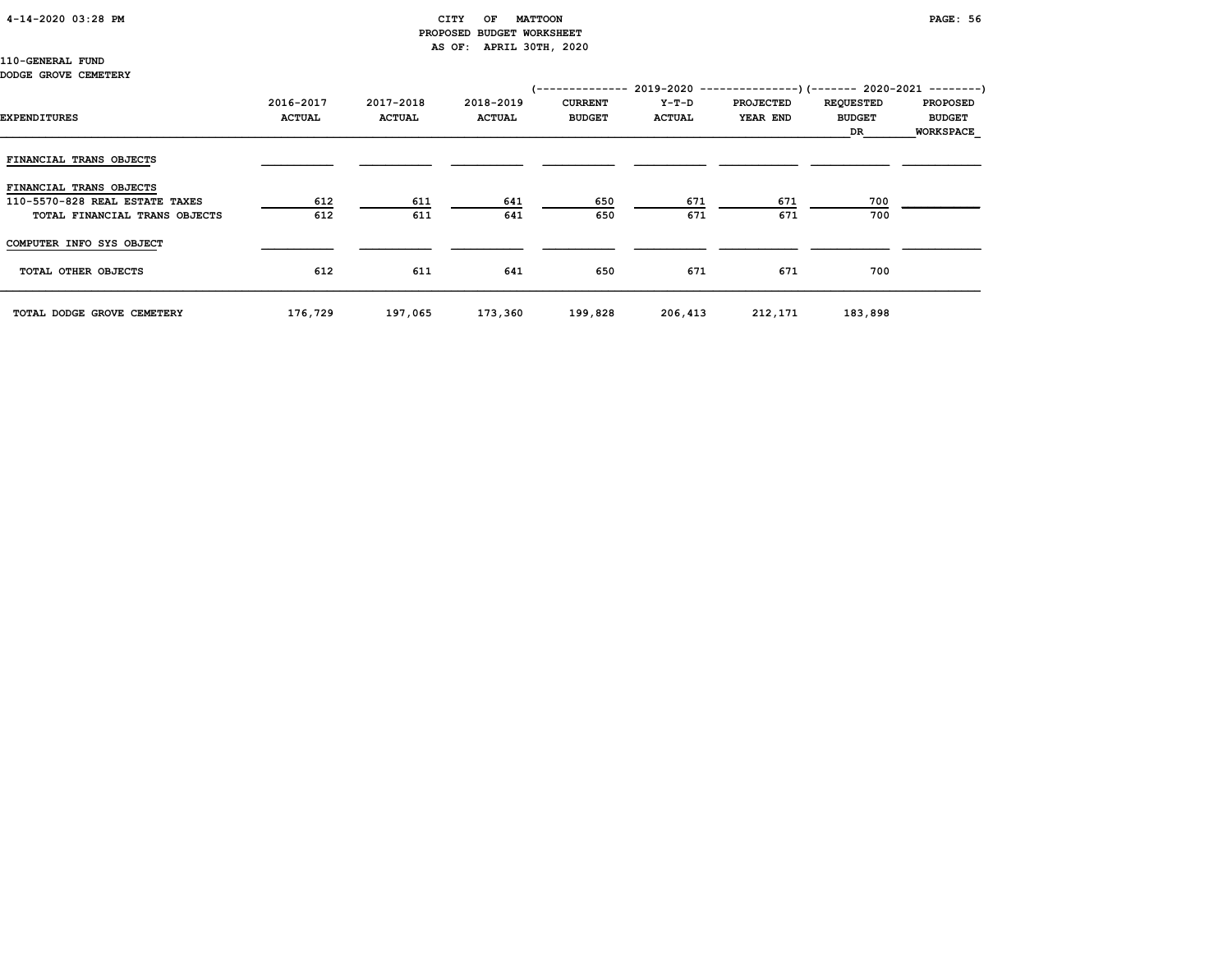#### 4-14-2020 03:28 PM CITY OF MATTOON PAGE: 56 PROPOSED BUDGET WORKSHEET AS OF: APRIL 30TH, 2020

110-GENERAL FUND

#### DODGE GROVE CEMETERY

| EXPENDITURES                                                                               | 2016-2017<br><b>ACTUAL</b> | 2017-2018<br><b>ACTUAL</b> | 2018-2019<br><b>ACTUAL</b> | <b>CURRENT</b><br><b>BUDGET</b> | Y-T-D<br><b>ACTUAL</b> | (-------------- 2019-2020 ----------------) (------- 2020-2021 --------)<br><b>PROJECTED</b><br>YEAR END | <b>REQUESTED</b><br><b>BUDGET</b><br>DR | <b>PROPOSED</b><br><b>BUDGET</b><br><b>WORKSPACE</b> |
|--------------------------------------------------------------------------------------------|----------------------------|----------------------------|----------------------------|---------------------------------|------------------------|----------------------------------------------------------------------------------------------------------|-----------------------------------------|------------------------------------------------------|
| FINANCIAL TRANS OBJECTS                                                                    |                            |                            |                            |                                 |                        |                                                                                                          |                                         |                                                      |
| FINANCIAL TRANS OBJECTS<br>110-5570-828 REAL ESTATE TAXES<br>TOTAL FINANCIAL TRANS OBJECTS | 612<br>612                 | 611<br>611                 | 641<br>641                 | 650<br>650                      | 671<br>671             | 671<br>671                                                                                               | 700<br>700                              |                                                      |
| COMPUTER INFO SYS OBJECT                                                                   |                            |                            |                            |                                 |                        |                                                                                                          |                                         |                                                      |
| TOTAL OTHER OBJECTS                                                                        | 612                        | 611                        | 641                        | 650                             | 671                    | 671                                                                                                      | 700                                     |                                                      |
| TOTAL DODGE GROVE CEMETERY                                                                 | 176,729                    | 197,065                    | 173,360                    | 199,828                         | 206,413                | 212,171                                                                                                  | 183,898                                 |                                                      |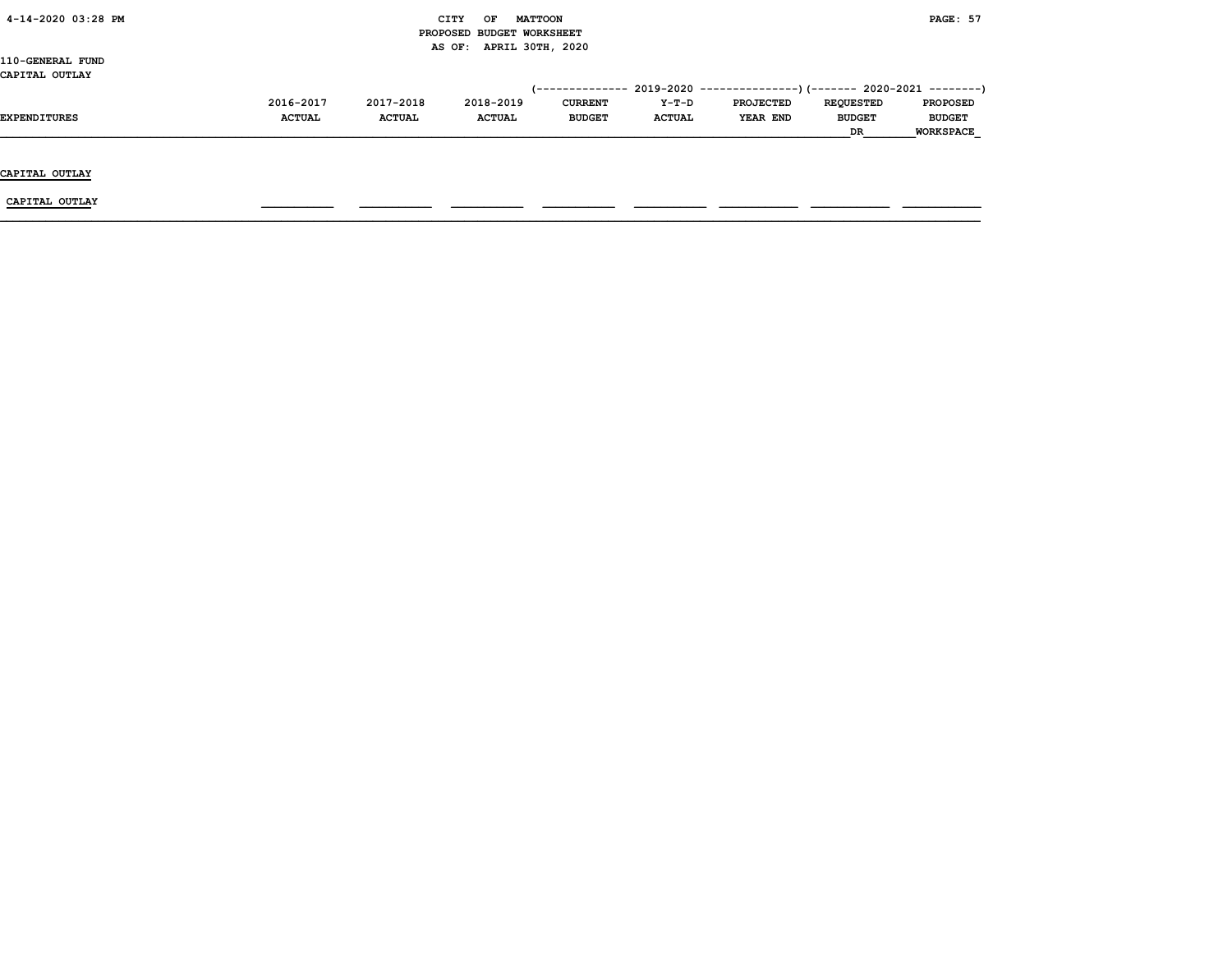| 4-14-2020 03:28 PM |               |               | CITY<br>OF                | <b>MATTOON</b> |               |                                                                         |                  | <b>PAGE: 57</b>  |
|--------------------|---------------|---------------|---------------------------|----------------|---------------|-------------------------------------------------------------------------|------------------|------------------|
|                    |               |               | PROPOSED BUDGET WORKSHEET |                |               |                                                                         |                  |                  |
|                    |               |               | AS OF: APRIL 30TH, 2020   |                |               |                                                                         |                  |                  |
| 110-GENERAL FUND   |               |               |                           |                |               |                                                                         |                  |                  |
| CAPITAL OUTLAY     |               |               |                           |                |               |                                                                         |                  |                  |
|                    |               |               |                           |                |               | (-------------- 2019-2020 ----------------)(------- 2020-2021 --------) |                  |                  |
|                    | 2016-2017     | 2017-2018     | 2018-2019                 | <b>CURRENT</b> | Y-T-D         | <b>PROJECTED</b>                                                        | <b>REQUESTED</b> | <b>PROPOSED</b>  |
| EXPENDITURES       | <b>ACTUAL</b> | <b>ACTUAL</b> | <b>ACTUAL</b>             | <b>BUDGET</b>  | <b>ACTUAL</b> | <b>YEAR END</b>                                                         | <b>BUDGET</b>    | <b>BUDGET</b>    |
|                    |               |               |                           |                |               |                                                                         | DR               | <b>WORKSPACE</b> |
|                    |               |               |                           |                |               |                                                                         |                  |                  |
|                    |               |               |                           |                |               |                                                                         |                  |                  |
| CAPITAL OUTLAY     |               |               |                           |                |               |                                                                         |                  |                  |
|                    |               |               |                           |                |               |                                                                         |                  |                  |
| CAPITAL OUTLAY     |               |               |                           |                |               |                                                                         |                  |                  |
|                    |               |               |                           |                |               |                                                                         |                  |                  |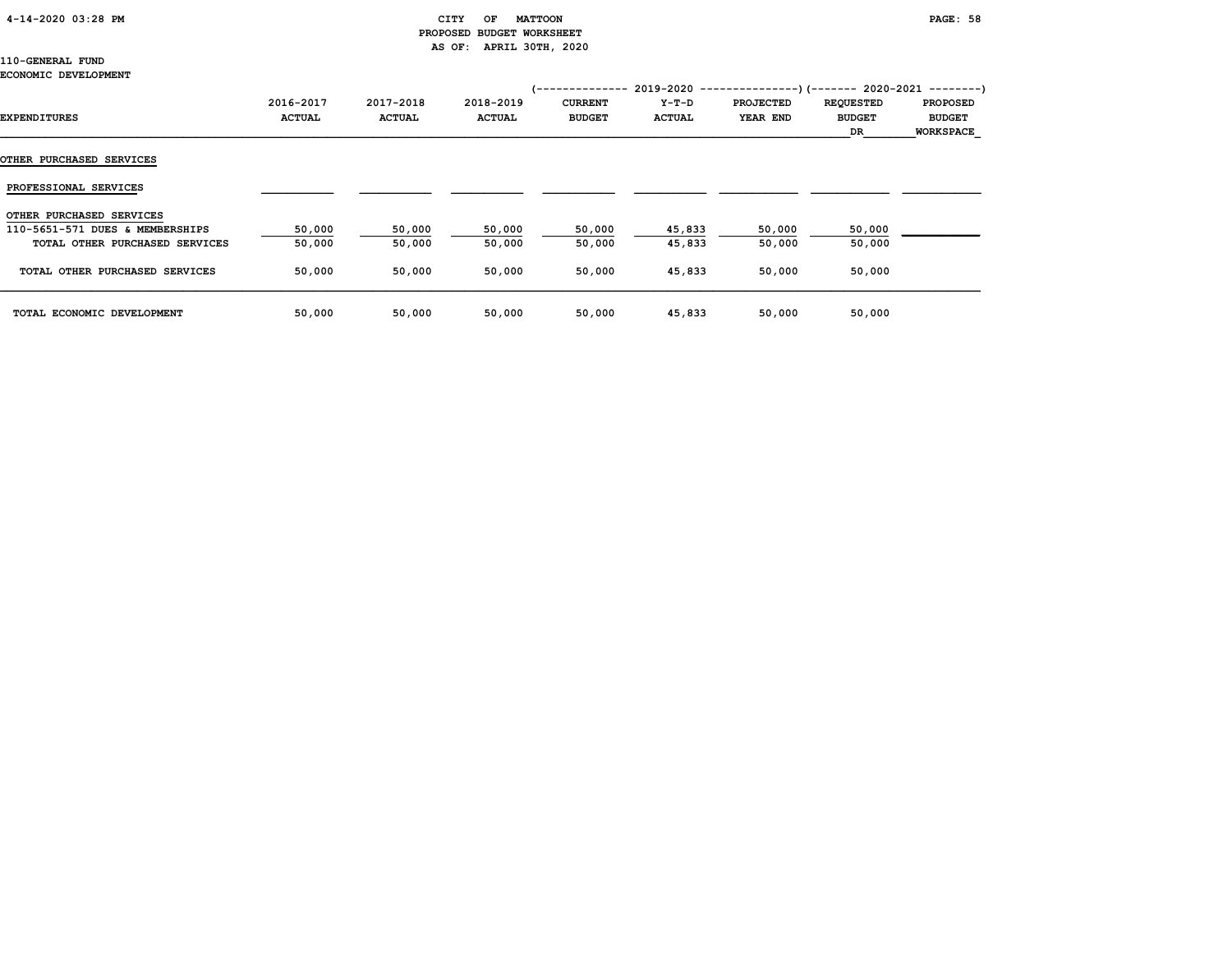#### 4-14-2020 03:28 PM CITY OF MATTOON PAGE: 58 PROPOSED BUDGET WORKSHEET AS OF: APRIL 30TH, 2020

## 110-GENERAL FUND

#### ECONOMIC DEVELOPMENT

| EXPENDITURES                    | 2016-2017<br><b>ACTUAL</b> | 2017-2018<br><b>ACTUAL</b> | 2018-2019<br><b>ACTUAL</b> | 1--------------<br><b>CURRENT</b><br><b>BUDGET</b> | $Y-T-D$<br><b>ACTUAL</b> | 2019-2020 ----------------)(------- 2020-2021 ---------)<br><b>PROJECTED</b><br>YEAR END | <b>REQUESTED</b><br><b>BUDGET</b><br>DR | <b>PROPOSED</b><br><b>BUDGET</b><br><b>WORKSPACE</b> |
|---------------------------------|----------------------------|----------------------------|----------------------------|----------------------------------------------------|--------------------------|------------------------------------------------------------------------------------------|-----------------------------------------|------------------------------------------------------|
| <b>OTHER PURCHASED SERVICES</b> |                            |                            |                            |                                                    |                          |                                                                                          |                                         |                                                      |
| PROFESSIONAL SERVICES           |                            |                            |                            |                                                    |                          |                                                                                          |                                         |                                                      |
| OTHER PURCHASED SERVICES        |                            |                            |                            |                                                    |                          |                                                                                          |                                         |                                                      |
| 110-5651-571 DUES & MEMBERSHIPS | 50,000                     | 50,000                     | 50,000                     | 50,000                                             | 45,833                   | 50,000                                                                                   | 50,000                                  |                                                      |
| TOTAL OTHER PURCHASED SERVICES  | 50,000                     | 50,000                     | 50,000                     | 50,000                                             | 45,833                   | 50,000                                                                                   | 50,000                                  |                                                      |
| TOTAL OTHER PURCHASED SERVICES  | 50,000                     | 50,000                     | 50,000                     | 50,000                                             | 45,833                   | 50,000                                                                                   | 50,000                                  |                                                      |
| TOTAL ECONOMIC DEVELOPMENT      | 50,000                     | 50,000                     | 50,000                     | 50,000                                             | 45,833                   | 50,000                                                                                   | 50,000                                  |                                                      |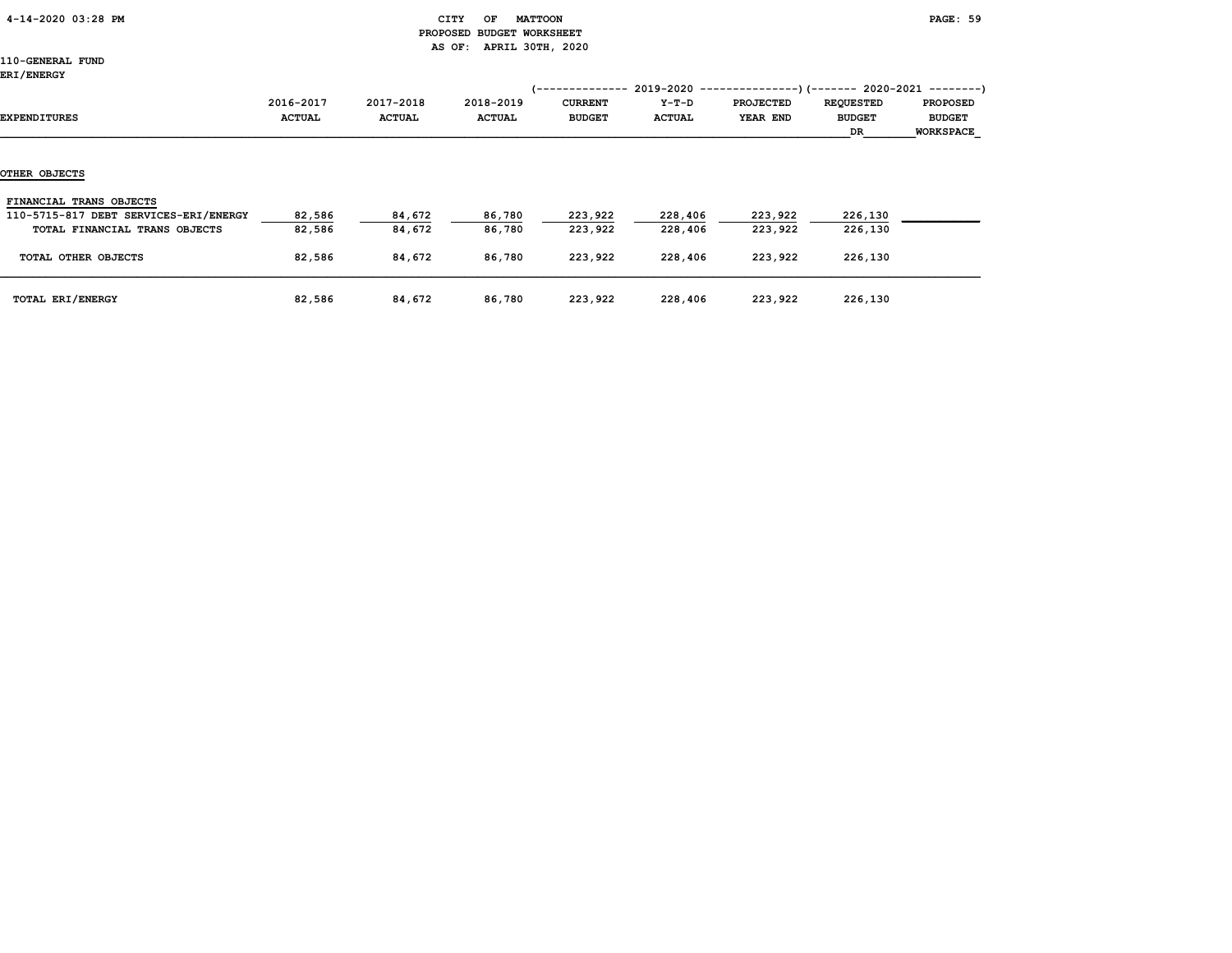#### 4-14-2020 03:28 PM CITY OF MATTOON PAGE: 59 PROPOSED BUDGET WORKSHEET AS OF: APRIL 30TH, 2020

| <b>ERI/ENERGY</b>                     |               |               |               |                | $2019 - 2020 -$ |                  | --)(------- 2020-2021 --------) |                  |
|---------------------------------------|---------------|---------------|---------------|----------------|-----------------|------------------|---------------------------------|------------------|
|                                       | 2016-2017     | 2017-2018     | 2018-2019     | <b>CURRENT</b> | $Y-T-D$         | <b>PROJECTED</b> | <b>REQUESTED</b>                | <b>PROPOSED</b>  |
| EXPENDITURES                          | <b>ACTUAL</b> | <b>ACTUAL</b> | <b>ACTUAL</b> | <b>BUDGET</b>  | <b>ACTUAL</b>   | YEAR END         | <b>BUDGET</b>                   | <b>BUDGET</b>    |
|                                       |               |               |               |                |                 |                  | DR                              | <b>WORKSPACE</b> |
|                                       |               |               |               |                |                 |                  |                                 |                  |
| <b>OTHER OBJECTS</b>                  |               |               |               |                |                 |                  |                                 |                  |
| FINANCIAL TRANS OBJECTS               |               |               |               |                |                 |                  |                                 |                  |
| 110-5715-817 DEBT SERVICES-ERI/ENERGY | 82,586        | 84,672        | 86,780        | 223,922        | 228,406         | 223,922          | 226,130                         |                  |
| TOTAL FINANCIAL TRANS OBJECTS         | 82,586        | 84,672        | 86,780        | 223,922        | 228,406         | 223,922          | 226,130                         |                  |
| TOTAL OTHER OBJECTS                   | 82,586        | 84,672        | 86,780        | 223,922        | 228,406         | 223,922          | 226,130                         |                  |
| TOTAL ERI/ENERGY                      | 82,586        | 84,672        | 86,780        | 223,922        | 228,406         | 223,922          | 226,130                         |                  |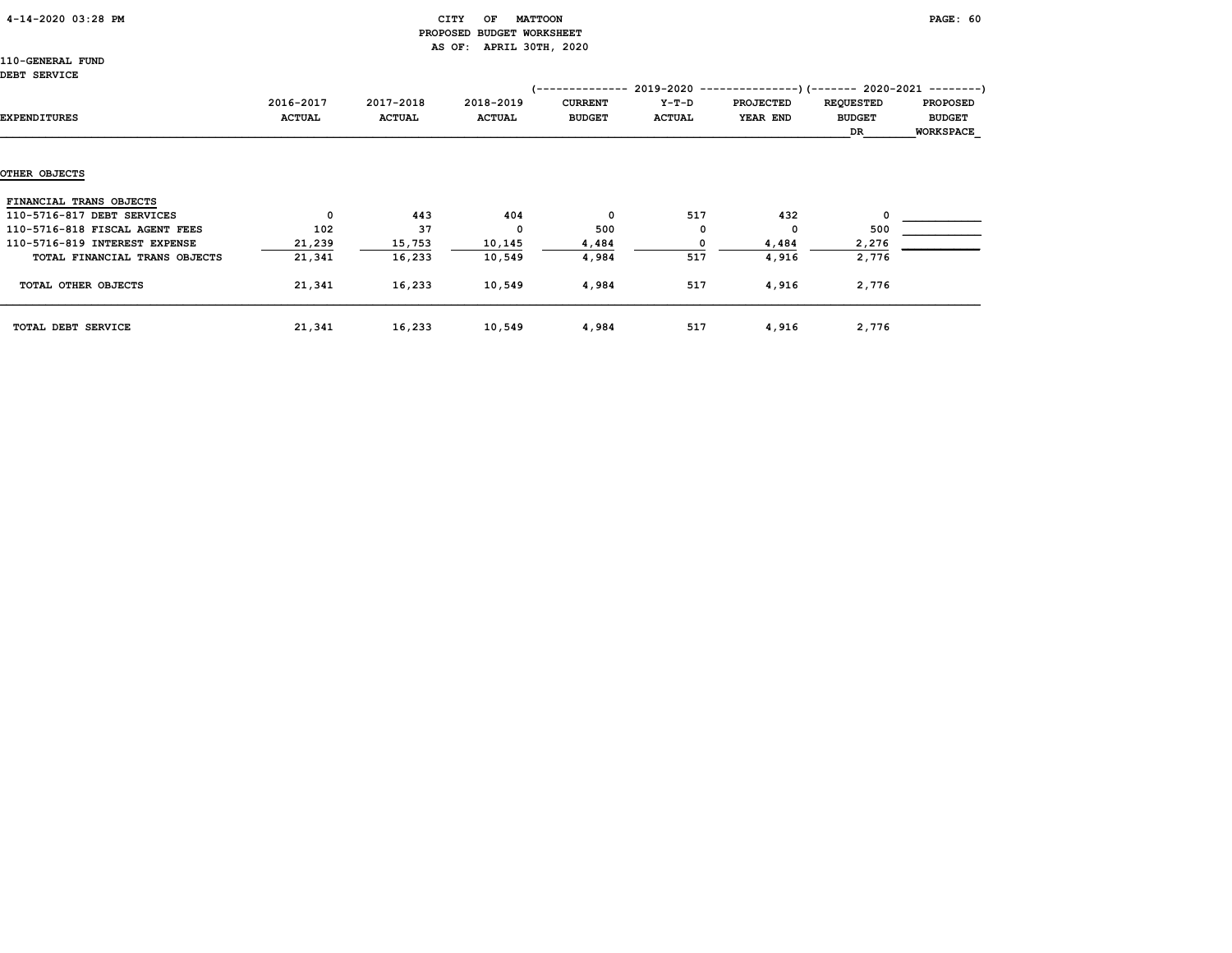#### 4-14-2020 03:28 PM CITY OF MATTOON PAGE: 60 PROPOSED BUDGET WORKSHEET AS OF: APRIL 30TH, 2020

110-GENERAL FUND DEI

| DERI SEKVICE                   |                            |                            |                            | '--------------                 |                        | $2019-2020$ ----------------)(------- 2020-2021 --------) |                                         |                                                      |
|--------------------------------|----------------------------|----------------------------|----------------------------|---------------------------------|------------------------|-----------------------------------------------------------|-----------------------------------------|------------------------------------------------------|
| EXPENDITURES                   | 2016-2017<br><b>ACTUAL</b> | 2017-2018<br><b>ACTUAL</b> | 2018-2019<br><b>ACTUAL</b> | <b>CURRENT</b><br><b>BUDGET</b> | Y-T-D<br><b>ACTUAL</b> | <b>PROJECTED</b><br>YEAR END                              | <b>REQUESTED</b><br><b>BUDGET</b><br>DR | <b>PROPOSED</b><br><b>BUDGET</b><br><b>WORKSPACE</b> |
| OTHER OBJECTS                  |                            |                            |                            |                                 |                        |                                                           |                                         |                                                      |
| FINANCIAL TRANS OBJECTS        |                            |                            |                            |                                 |                        |                                                           |                                         |                                                      |
| 110-5716-817 DEBT SERVICES     | $\mathbf 0$                | 443                        | 404                        | 0                               | 517                    | 432                                                       | $^{\circ}$                              |                                                      |
| 110-5716-818 FISCAL AGENT FEES | 102                        | 37                         | 0                          | 500                             | O                      | $^{\circ}$                                                | 500                                     |                                                      |
| 110-5716-819 INTEREST EXPENSE  | 21,239                     | 15,753                     | 10,145                     | 4,484                           |                        | 4,484                                                     | 2,276                                   |                                                      |
| TOTAL FINANCIAL TRANS OBJECTS  | 21,341                     | 16,233                     | 10,549                     | 4,984                           | 517                    | 4,916                                                     | 2,776                                   |                                                      |
| TOTAL OTHER OBJECTS            | 21,341                     | 16,233                     | 10,549                     | 4,984                           | 517                    | 4,916                                                     | 2,776                                   |                                                      |
| TOTAL DEBT SERVICE             | 21,341                     | 16,233                     | 10,549                     | 4,984                           | 517                    | 4,916                                                     | 2,776                                   |                                                      |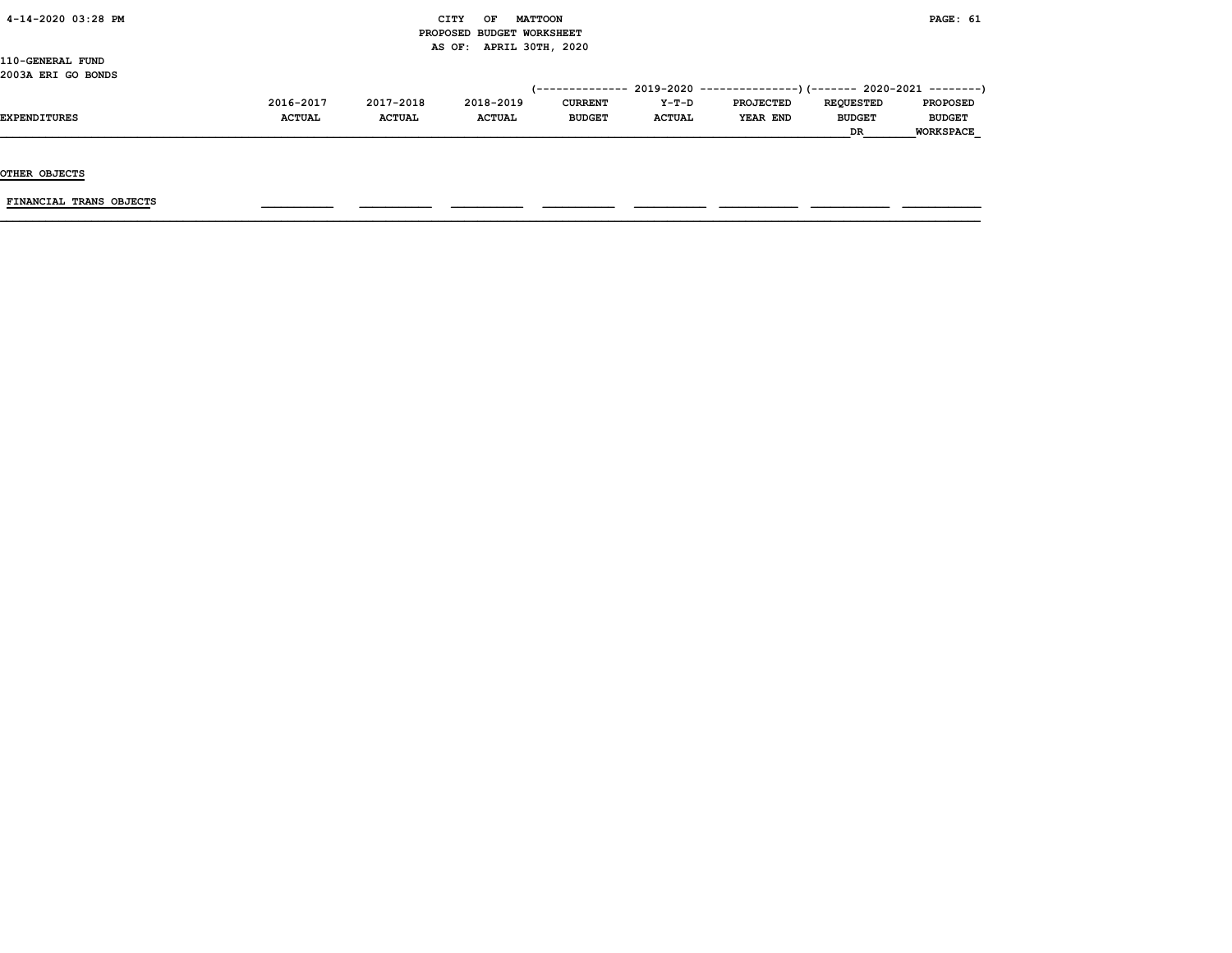|  | $4 - 14 - 2020$ 03:28 PM |  |  |
|--|--------------------------|--|--|
|--|--------------------------|--|--|

#### CITY OF MATTOON **EXAMPLE SECURE ASSESSED ASSESSED AT A CITY** OF MATTOON PROPOSED BUDGET WORKSHEET AS OF: APRIL 30TH, 2020

110-GENERAL FUND 2003A ERI GO BONDS

| 2016-2017     | 2017-2018     | 2018-2019     | <b>CURRENT</b> | $Y-T-D$       | <b>PROJECTED</b> | <b>REOUESTED</b> | <b>PROPOSED</b>                                                             |
|---------------|---------------|---------------|----------------|---------------|------------------|------------------|-----------------------------------------------------------------------------|
| <b>ACTUAL</b> | <b>ACTUAL</b> | <b>ACTUAL</b> | <b>BUDGET</b>  | <b>ACTUAL</b> | YEAR END         | <b>BUDGET</b>    | <b>BUDGET</b>                                                               |
|               |               |               |                |               |                  | <b>DR</b>        | <b>WORKSPACE</b>                                                            |
|               |               |               |                |               |                  |                  | $(-$ ------------- 2019-2020 ----------------) (------- 2020-2021 --------) |

OTHER OBJECTS

 $FINANCIAL$  TRANS OBJECTS  $\qquad \qquad \qquad \qquad$   $\qquad \qquad$   $\qquad \qquad$   $\qquad \qquad$   $\qquad$   $\qquad \qquad$   $\qquad \qquad$   $\qquad \qquad$   $\qquad$   $\qquad$   $\qquad$   $\qquad$   $\qquad$   $\qquad$   $\qquad$   $\qquad$   $\qquad$   $\qquad$   $\qquad$   $\qquad$   $\qquad$   $\qquad$   $\qquad$   $\qquad$   $\qquad$   $\qquad$   $\qquad$   $\qquad$   $\qquad$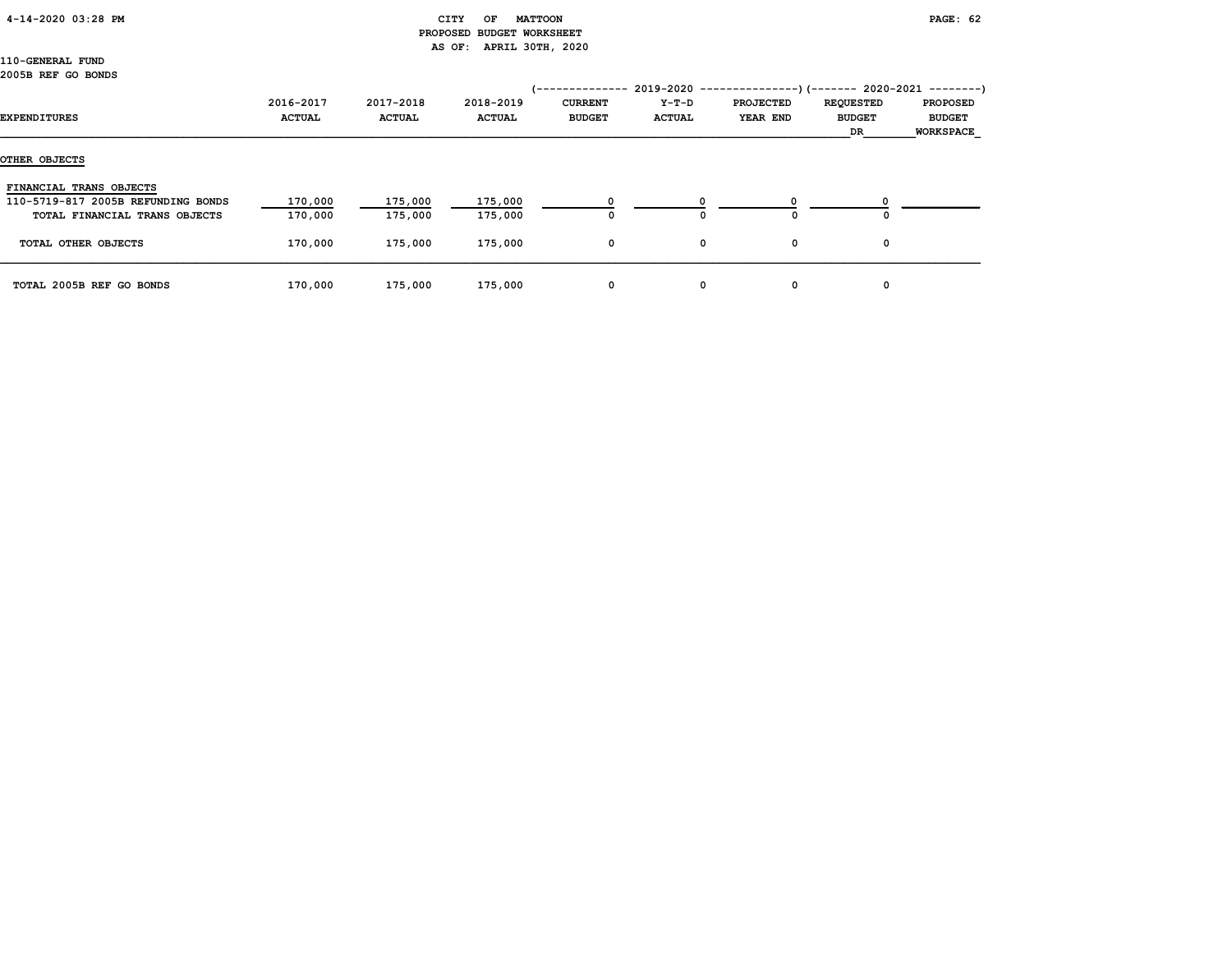| 4-14-2020 03:28 PM |  |
|--------------------|--|
|--------------------|--|

#### CITY OF MATTOON **PAGE: 62**  PROPOSED BUDGET WORKSHEET AS OF: APRIL 30TH, 2020

110-GENERAL FUND 2005B REF GO BONDS

| EXPENDITURES                       | 2016-2017<br><b>ACTUAL</b> | 2017-2018<br><b>ACTUAL</b> | 2018-2019<br><b>ACTUAL</b> | ----------<br><b>CURRENT</b><br><b>BUDGET</b> | $2019 - 2020 -$<br>Y-T-D<br><b>ACTUAL</b> | <b>PROJECTED</b><br>YEAR END | --)(------- 2020-2021<br><b>REQUESTED</b><br><b>BUDGET</b><br>DR | ---------)<br><b>PROPOSED</b><br><b>BUDGET</b><br><b>WORKSPACE</b> |
|------------------------------------|----------------------------|----------------------------|----------------------------|-----------------------------------------------|-------------------------------------------|------------------------------|------------------------------------------------------------------|--------------------------------------------------------------------|
| OTHER OBJECTS                      |                            |                            |                            |                                               |                                           |                              |                                                                  |                                                                    |
| FINANCIAL TRANS OBJECTS            |                            |                            |                            |                                               |                                           |                              |                                                                  |                                                                    |
| 110-5719-817 2005B REFUNDING BONDS | 170,000                    | 175,000                    | 175,000                    |                                               |                                           |                              |                                                                  |                                                                    |
| TOTAL FINANCIAL TRANS OBJECTS      | 170,000                    | 175,000                    | 175,000                    | 0                                             | 0                                         | O                            | ٥                                                                |                                                                    |
| TOTAL OTHER OBJECTS                | 170,000                    | 175,000                    | 175,000                    | 0                                             | 0                                         | 0                            | 0                                                                |                                                                    |
| TOTAL 2005B REF GO BONDS           | 170,000                    | 175,000                    | 175,000                    | 0                                             | 0                                         | 0                            | 0                                                                |                                                                    |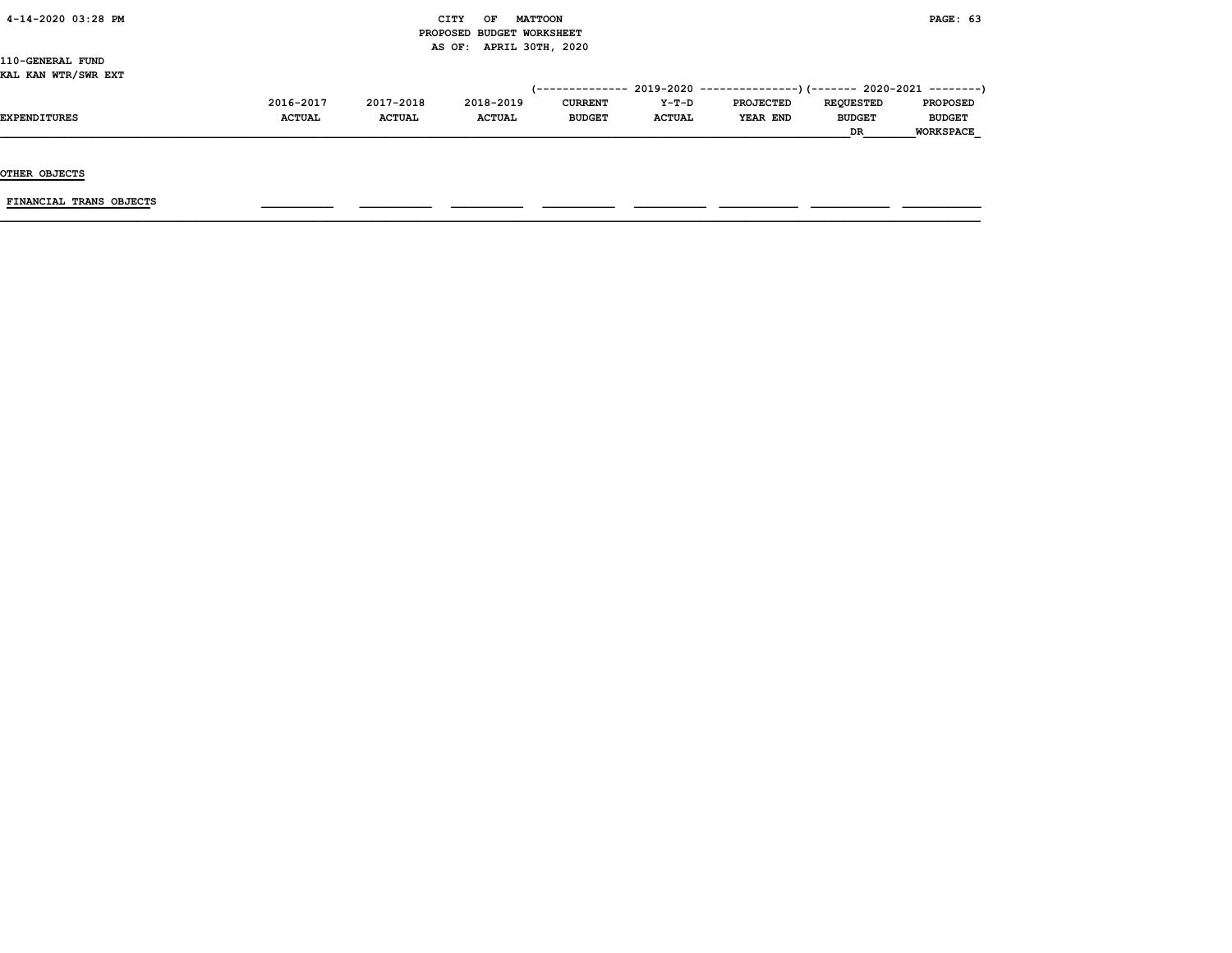|  | $4 - 14 - 2020$ 03:28 PM |  |  |
|--|--------------------------|--|--|
|--|--------------------------|--|--|

#### $\begin{array}{ccc} \text{CITY} & \text{OF} & \text{MATTCON} \end{array}$  PROPOSED BUDGET WORKSHEET AS OF: APRIL 30TH, 2020

110-GENERAL FUND KAL KAN WTR/SWR EXT

| ---- ----- -----, ---- ---- |               |               |               |                |               |                                                                             |                  |                  |
|-----------------------------|---------------|---------------|---------------|----------------|---------------|-----------------------------------------------------------------------------|------------------|------------------|
|                             |               |               |               |                |               | $(-$ ------------- 2019-2020 ----------------) (------- 2020-2021 --------) |                  |                  |
|                             | 2016-2017     | 2017-2018     | 2018-2019     | <b>CURRENT</b> | $Y-T-D$       | <b>PROJECTED</b>                                                            | <b>REOUESTED</b> | <b>PROPOSED</b>  |
| <b>EXPENDITURES</b>         | <b>ACTUAL</b> | <b>ACTUAL</b> | <b>ACTUAL</b> | <b>BUDGET</b>  | <b>ACTUAL</b> | YEAR END                                                                    | <b>BUDGET</b>    | <b>BUDGET</b>    |
|                             |               |               |               |                |               |                                                                             | <b>DR</b>        | <b>WORKSPACE</b> |
|                             |               |               |               |                |               |                                                                             |                  |                  |

OTHER OBJECTS

FINANCIAL TRANS OBJECTS \_\_\_\_\_\_\_\_\_\_\_ \_\_\_\_\_\_\_\_\_\_\_ \_\_\_\_\_\_\_\_\_\_\_ \_\_\_\_\_\_\_\_\_\_\_ \_\_\_\_\_\_\_\_\_\_\_ \_\_\_\_\_\_\_\_\_\_\_\_ \_\_\_\_\_\_\_\_\_\_\_\_ \_\_\_\_\_\_\_\_\_\_\_\_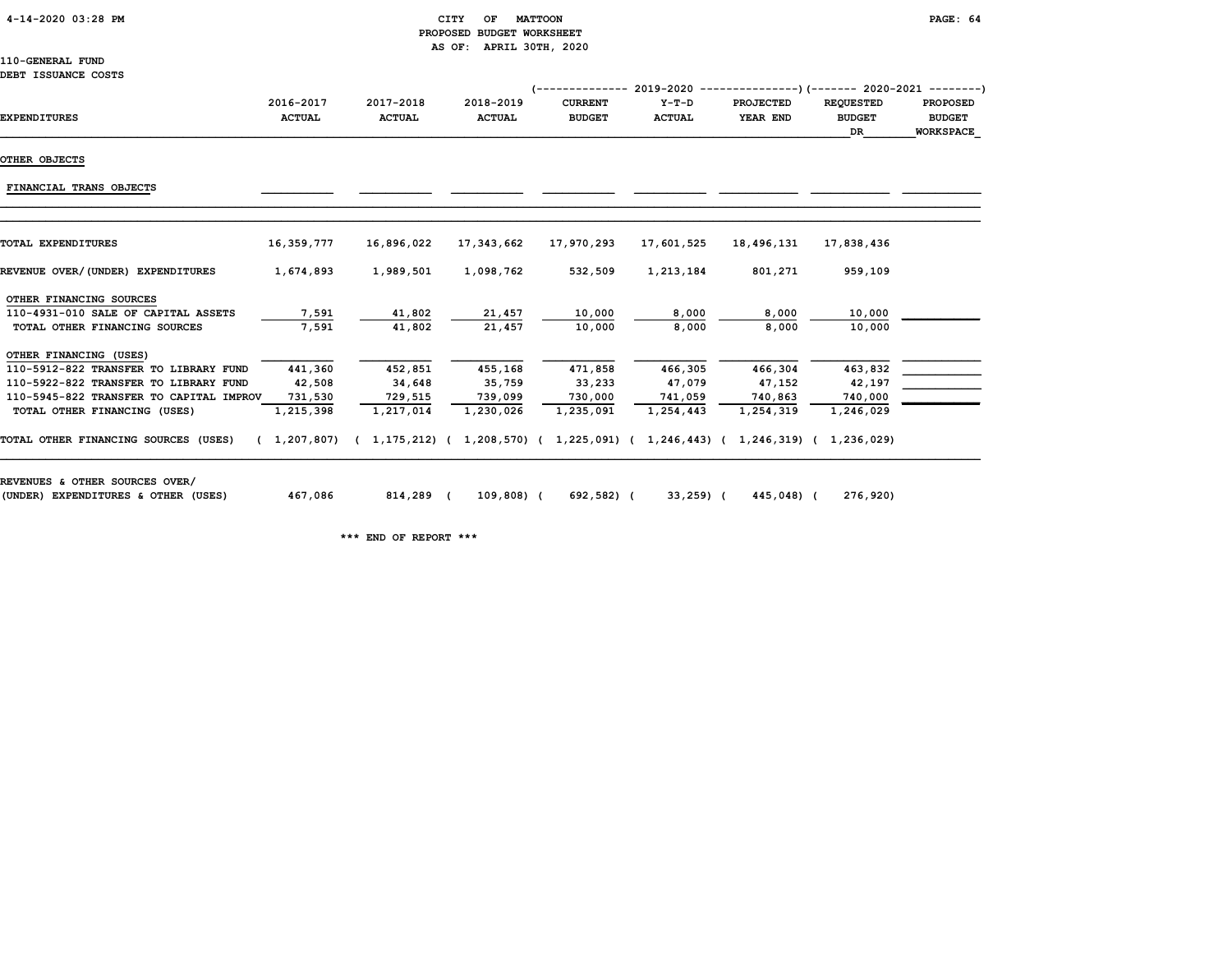4-14-2020 03:28 PM CITY OF MATTOON PAGE: 64

## PROPOSED BUDGET WORKSHEET AS OF: APRIL 30TH, 2020

110-GENERAL FUND DEBT ISSUANCE COSTS

| DEDI TOODAMUL COSID<br><b>EXPENDITURES</b> | 2016-2017<br><b>ACTUAL</b> | 2017-2018<br><b>ACTUAL</b>                                                          | 2018-2019<br><b>ACTUAL</b> | <b>CURRENT</b><br><b>BUDGET</b> | $Y-T-D$<br><b>ACTUAL</b> | (-------------- 2019-2020 ----------------)(------- 2020-2021 ---------)<br><b>PROJECTED</b><br>YEAR END | <b>REQUESTED</b><br><b>BUDGET</b><br>DR. | <b>PROPOSED</b><br><b>BUDGET</b><br><b>WORKSPACE</b> |
|--------------------------------------------|----------------------------|-------------------------------------------------------------------------------------|----------------------------|---------------------------------|--------------------------|----------------------------------------------------------------------------------------------------------|------------------------------------------|------------------------------------------------------|
| OTHER OBJECTS                              |                            |                                                                                     |                            |                                 |                          |                                                                                                          |                                          |                                                      |
|                                            |                            |                                                                                     |                            |                                 |                          |                                                                                                          |                                          |                                                      |
| FINANCIAL TRANS OBJECTS                    |                            |                                                                                     |                            |                                 |                          |                                                                                                          |                                          |                                                      |
|                                            |                            |                                                                                     |                            |                                 |                          |                                                                                                          |                                          |                                                      |
| <b>TOTAL EXPENDITURES</b>                  | 16,359,777                 | 16,896,022                                                                          | 17,343,662                 | 17,970,293                      | 17,601,525               | 18,496,131                                                                                               | 17,838,436                               |                                                      |
| REVENUE OVER/(UNDER) EXPENDITURES          | 1,674,893                  | 1,989,501                                                                           | 1,098,762                  | 532,509                         | 1,213,184                | 801,271                                                                                                  | 959,109                                  |                                                      |
| OTHER FINANCING SOURCES                    |                            |                                                                                     |                            |                                 |                          |                                                                                                          |                                          |                                                      |
| 110-4931-010 SALE OF CAPITAL ASSETS        | 7,591                      | 41,802                                                                              | 21,457                     | 10,000                          | 8,000                    | 8,000                                                                                                    | 10,000                                   |                                                      |
| TOTAL OTHER FINANCING SOURCES              | 7,591                      | 41,802                                                                              | 21,457                     | 10,000                          | 8,000                    | 8,000                                                                                                    | 10,000                                   |                                                      |
| OTHER FINANCING (USES)                     |                            |                                                                                     |                            |                                 |                          |                                                                                                          |                                          |                                                      |
| 110-5912-822 TRANSFER TO LIBRARY FUND      | 441,360                    | 452,851                                                                             | 455,168                    | 471,858                         | 466,305                  | 466,304                                                                                                  | 463,832                                  |                                                      |
| 110-5922-822 TRANSFER TO LIBRARY FUND      | 42,508                     | 34,648                                                                              | 35,759                     | 33,233                          | 47,079                   | 47,152                                                                                                   | 42,197                                   |                                                      |
| 110-5945-822 TRANSFER TO CAPITAL IMPROV    | 731,530                    | 729,515                                                                             | 739,099                    | 730,000                         | 741,059                  | 740,863                                                                                                  | 740,000                                  |                                                      |
| TOTAL OTHER FINANCING (USES)               | 1,215,398                  | 1,217,014                                                                           | 1,230,026                  | 1,235,091                       | 1,254,443                | 1,254,319                                                                                                | 1,246,029                                |                                                      |
| TOTAL OTHER FINANCING SOURCES (USES)       |                            | (1,207,807) (1,175,212) (1,208,570) (1,225,091) (1,246,443) (1,246,319) (1,236,029) |                            |                                 |                          |                                                                                                          |                                          |                                                      |
| REVENUES & OTHER SOURCES OVER/             |                            |                                                                                     |                            |                                 |                          |                                                                                                          |                                          |                                                      |
| (UNDER) EXPENDITURES & OTHER (USES)        | 467,086                    | 814,289 (                                                                           | 109,808) (                 | 692,582) (                      | 33,259) (                | 445,048) (                                                                                               | 276,920)                                 |                                                      |

\*\*\* END OF REPORT \*\*\*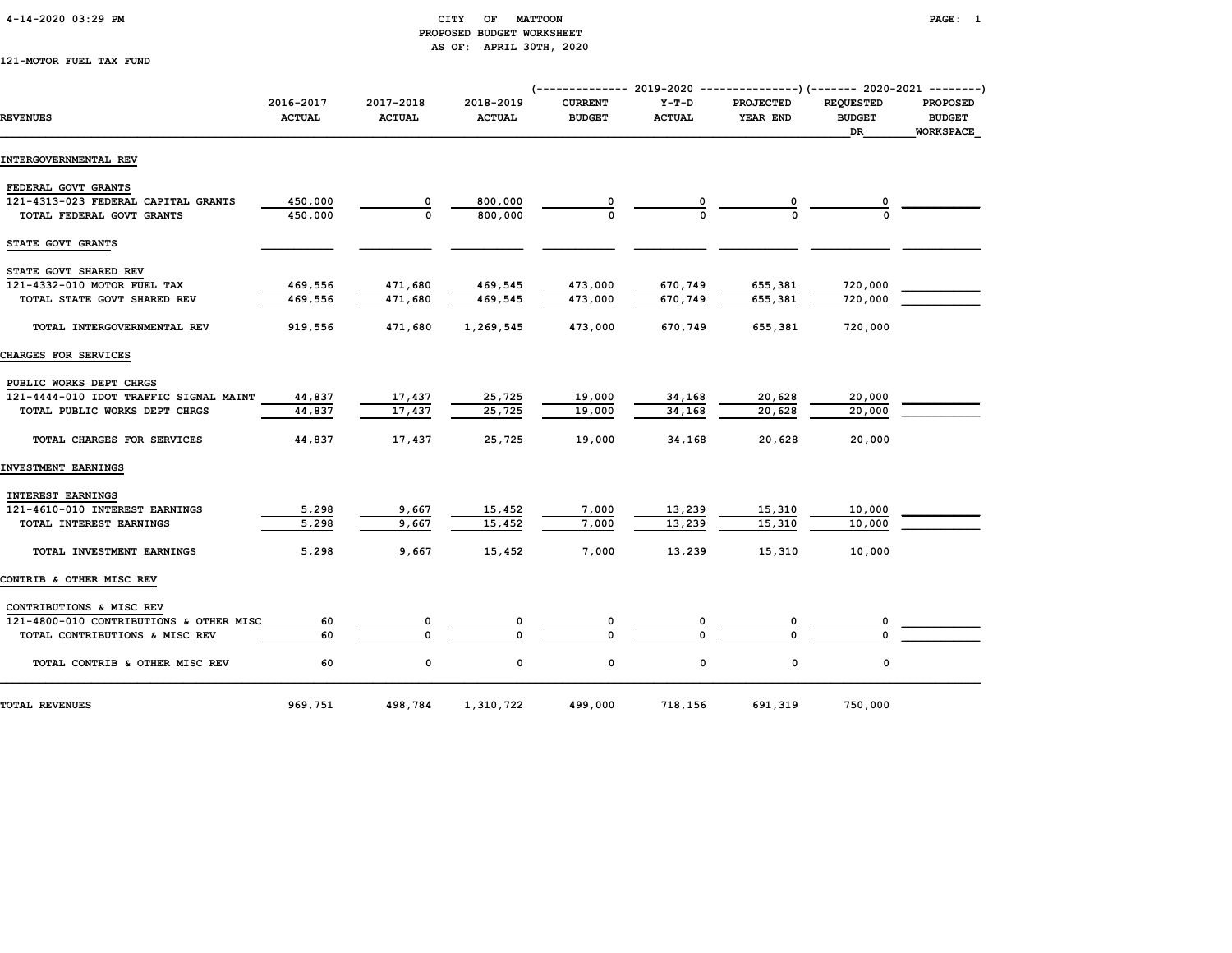#### 4-14-2020 03:29 PM CITY OF MATTOON PAGE: 1 PROPOSED BUDGET WORKSHEET AS OF: APRIL 30TH, 2020

121-MOTOR FUEL TAX FUND

|                                         |                            |                            |                            | (------------- 2019-2020 ----------------) (------- 2020-2021 --------) |                          |                              |                                         |                                                      |
|-----------------------------------------|----------------------------|----------------------------|----------------------------|-------------------------------------------------------------------------|--------------------------|------------------------------|-----------------------------------------|------------------------------------------------------|
| <b>REVENUES</b>                         | 2016-2017<br><b>ACTUAL</b> | 2017-2018<br><b>ACTUAL</b> | 2018-2019<br><b>ACTUAL</b> | <b>CURRENT</b><br><b>BUDGET</b>                                         | $Y-T-D$<br><b>ACTUAL</b> | <b>PROJECTED</b><br>YEAR END | <b>REQUESTED</b><br><b>BUDGET</b><br>DR | <b>PROPOSED</b><br><b>BUDGET</b><br><b>WORKSPACE</b> |
| INTERGOVERNMENTAL REV                   |                            |                            |                            |                                                                         |                          |                              |                                         |                                                      |
| FEDERAL GOVT GRANTS                     |                            |                            |                            |                                                                         |                          |                              |                                         |                                                      |
| 121-4313-023 FEDERAL CAPITAL GRANTS     | 450,000                    | 0                          | 800,000                    |                                                                         |                          |                              |                                         |                                                      |
| TOTAL FEDERAL GOVT GRANTS               | 450,000                    | $\Omega$                   | 800,000                    |                                                                         |                          |                              |                                         |                                                      |
| STATE GOVT GRANTS                       |                            |                            |                            |                                                                         |                          |                              |                                         |                                                      |
| STATE GOVT SHARED REV                   |                            |                            |                            |                                                                         |                          |                              |                                         |                                                      |
| 121-4332-010 MOTOR FUEL TAX             | 469,556                    | 471,680                    | 469,545                    | 473,000                                                                 | 670,749                  | 655,381                      | 720,000                                 |                                                      |
| TOTAL STATE GOVT SHARED REV             | 469,556                    | 471,680                    | 469,545                    | 473,000                                                                 | 670,749                  | 655,381                      | 720,000                                 |                                                      |
| TOTAL INTERGOVERNMENTAL REV             | 919,556                    | 471,680                    | 1,269,545                  | 473,000                                                                 | 670,749                  | 655,381                      | 720,000                                 |                                                      |
| CHARGES FOR SERVICES                    |                            |                            |                            |                                                                         |                          |                              |                                         |                                                      |
| PUBLIC WORKS DEPT CHRGS                 |                            |                            |                            |                                                                         |                          |                              |                                         |                                                      |
| 121-4444-010 IDOT TRAFFIC SIGNAL MAINT  | 44,837                     | 17,437                     | 25,725                     | 19,000                                                                  | 34,168                   | 20,628                       | 20,000                                  |                                                      |
| TOTAL PUBLIC WORKS DEPT CHRGS           | 44,837                     | 17,437                     | 25,725                     | 19,000                                                                  | 34,168                   | 20,628                       | 20,000                                  |                                                      |
| TOTAL CHARGES FOR SERVICES              | 44,837                     | 17,437                     | 25,725                     | 19,000                                                                  | 34,168                   | 20,628                       | 20,000                                  |                                                      |
| INVESTMENT EARNINGS                     |                            |                            |                            |                                                                         |                          |                              |                                         |                                                      |
| INTEREST EARNINGS                       |                            |                            |                            |                                                                         |                          |                              |                                         |                                                      |
| 121-4610-010 INTEREST EARNINGS          | 5,298                      | 9,667                      | 15,452                     | 7,000                                                                   | 13,239                   | 15,310                       | 10,000                                  |                                                      |
| TOTAL INTEREST EARNINGS                 | 5,298                      | 9,667                      | 15,452                     | 7,000                                                                   | 13,239                   | 15,310                       | 10,000                                  |                                                      |
| TOTAL INVESTMENT EARNINGS               | 5,298                      | 9,667                      | 15,452                     | 7,000                                                                   | 13,239                   | 15,310                       | 10,000                                  |                                                      |
| CONTRIB & OTHER MISC REV                |                            |                            |                            |                                                                         |                          |                              |                                         |                                                      |
| CONTRIBUTIONS & MISC REV                |                            |                            |                            |                                                                         |                          |                              |                                         |                                                      |
| 121-4800-010 CONTRIBUTIONS & OTHER MISC | 60                         | 0                          |                            | 0                                                                       |                          | 0                            |                                         |                                                      |
| TOTAL CONTRIBUTIONS & MISC REV          | 60                         | $\Omega$                   | $\Omega$                   | $\Omega$                                                                | n                        | U                            |                                         |                                                      |
| TOTAL CONTRIB & OTHER MISC REV          | 60                         | 0                          | 0                          | 0                                                                       | 0                        | $\mathbf 0$                  | $\mathbf 0$                             |                                                      |
| <b>TOTAL REVENUES</b>                   | 969,751                    | 498,784                    | 1,310,722                  | 499,000                                                                 | 718,156                  | 691,319                      | 750,000                                 |                                                      |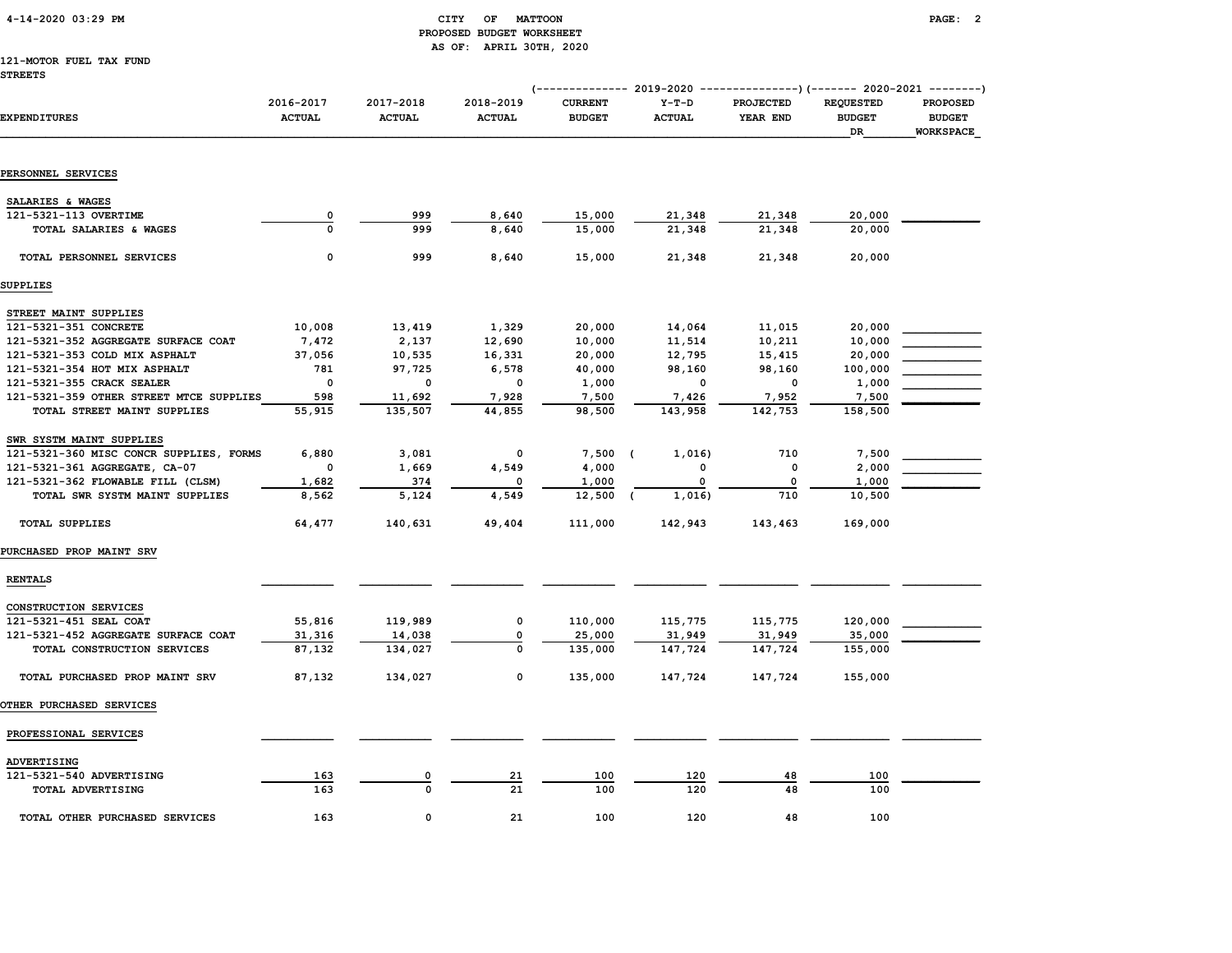#### 4-14-2020 03:29 PM CITY OF MATTOON PAGE: 2 PROPOSED BUDGET WORKSHEET AS OF: APRIL 30TH, 2020

## 121-MOTOR FUEL TAX FUND

|                                         |                            |                            |                            |                                 |                          | (-------------- 2019-2020 ----------------) (------- 2020-2021 --------) |                                         |                                               |
|-----------------------------------------|----------------------------|----------------------------|----------------------------|---------------------------------|--------------------------|--------------------------------------------------------------------------|-----------------------------------------|-----------------------------------------------|
| <b>EXPENDITURES</b>                     | 2016-2017<br><b>ACTUAL</b> | 2017-2018<br><b>ACTUAL</b> | 2018-2019<br><b>ACTUAL</b> | <b>CURRENT</b><br><b>BUDGET</b> | $Y-T-D$<br><b>ACTUAL</b> | <b>PROJECTED</b><br>YEAR END                                             | <b>REQUESTED</b><br><b>BUDGET</b><br>DR | PROPOSED<br><b>BUDGET</b><br><b>WORKSPACE</b> |
| PERSONNEL SERVICES                      |                            |                            |                            |                                 |                          |                                                                          |                                         |                                               |
|                                         |                            |                            |                            |                                 |                          |                                                                          |                                         |                                               |
| SALARIES & WAGES                        |                            |                            |                            |                                 |                          |                                                                          |                                         |                                               |
| 121-5321-113 OVERTIME                   | 0                          | 999                        | 8,640                      | 15,000                          | 21,348                   | 21,348                                                                   | 20,000                                  |                                               |
| TOTAL SALARIES & WAGES                  | $\Omega$                   | 999                        | 8,640                      | 15,000                          | 21,348                   | 21,348                                                                   | 20,000                                  |                                               |
| TOTAL PERSONNEL SERVICES                | 0                          | 999                        | 8,640                      | 15,000                          | 21,348                   | 21,348                                                                   | 20,000                                  |                                               |
| <b>SUPPLIES</b>                         |                            |                            |                            |                                 |                          |                                                                          |                                         |                                               |
| STREET MAINT SUPPLIES                   |                            |                            |                            |                                 |                          |                                                                          |                                         |                                               |
| 121-5321-351 CONCRETE                   | 10,008                     | 13,419                     | 1,329                      | 20,000                          | 14,064                   | 11,015                                                                   | 20,000                                  |                                               |
| 121-5321-352 AGGREGATE SURFACE COAT     | 7,472                      | 2,137                      | 12,690                     | 10,000                          | 11,514                   | 10,211                                                                   | 10,000                                  |                                               |
| 121-5321-353 COLD MIX ASPHALT           | 37,056                     | 10,535                     | 16,331                     | 20,000                          | 12,795                   | 15,415                                                                   | 20,000                                  |                                               |
| 121-5321-354 HOT MIX ASPHALT            | 781                        | 97,725                     | 6,578                      | 40,000                          | 98,160                   | 98,160                                                                   | 100,000                                 |                                               |
| 121-5321-355 CRACK SEALER               | $\mathbf 0$                | 0                          | 0                          | 1,000                           | 0                        | $\mathbf 0$                                                              | 1,000                                   |                                               |
| 121-5321-359 OTHER STREET MTCE SUPPLIES | 598                        | 11,692                     | 7,928                      | 7,500                           | 7,426                    | 7,952                                                                    | 7,500                                   |                                               |
| TOTAL STREET MAINT SUPPLIES             | 55,915                     | 135,507                    | 44,855                     | 98,500                          | 143,958                  | 142,753                                                                  | 158,500                                 |                                               |
| SWR SYSTM MAINT SUPPLIES                |                            |                            |                            |                                 |                          |                                                                          |                                         |                                               |
| 121-5321-360 MISC CONCR SUPPLIES, FORMS | 6,880                      | 3,081                      | 0                          | $7,500$ (                       | 1,016)                   | 710                                                                      | 7,500                                   |                                               |
| 121-5321-361 AGGREGATE, CA-07           | $\mathbf 0$                | 1,669                      | 4,549                      | 4,000                           | 0                        | $\mathbf 0$                                                              | 2,000                                   |                                               |
| 121-5321-362 FLOWABLE FILL (CLSM)       | 1,682                      | 374                        | 0                          | 1,000                           | 0                        | 0                                                                        | 1,000                                   |                                               |
| TOTAL SWR SYSTM MAINT SUPPLIES          | 8,562                      | 5,124                      | 4,549                      | 12,500                          | 1,016<br>- (             | 710                                                                      | 10,500                                  |                                               |
| <b>TOTAL SUPPLIES</b>                   | 64,477                     | 140,631                    | 49,404                     | 111,000                         | 142,943                  | 143,463                                                                  | 169,000                                 |                                               |
| PURCHASED PROP MAINT SRV                |                            |                            |                            |                                 |                          |                                                                          |                                         |                                               |
| <b>RENTALS</b>                          |                            |                            |                            |                                 |                          |                                                                          |                                         |                                               |
| CONSTRUCTION SERVICES                   |                            |                            |                            |                                 |                          |                                                                          |                                         |                                               |
| 121-5321-451 SEAL COAT                  | 55,816                     | 119,989                    | 0                          | 110,000                         | 115,775                  | 115,775                                                                  | 120,000                                 |                                               |
| 121-5321-452 AGGREGATE SURFACE COAT     | 31,316                     | 14,038                     | $\mathbf 0$                | 25,000                          | 31,949                   | 31,949                                                                   | 35,000                                  |                                               |
| TOTAL CONSTRUCTION SERVICES             | 87,132                     | 134,027                    | 0                          | 135,000                         | 147,724                  | 147,724                                                                  | 155,000                                 |                                               |
| TOTAL PURCHASED PROP MAINT SRV          | 87,132                     | 134,027                    | 0                          | 135,000                         | 147,724                  | 147,724                                                                  | 155,000                                 |                                               |
| OTHER PURCHASED SERVICES                |                            |                            |                            |                                 |                          |                                                                          |                                         |                                               |
| PROFESSIONAL SERVICES                   |                            |                            |                            |                                 |                          |                                                                          |                                         |                                               |
| ADVERTISING                             |                            |                            |                            |                                 |                          |                                                                          |                                         |                                               |
| 121-5321-540 ADVERTISING                | 163                        | 0                          | 21                         | 100                             | 120                      | 48                                                                       | 100                                     |                                               |
| TOTAL ADVERTISING                       | 163                        | $\Omega$                   | 21                         | 100                             | 120                      | 48                                                                       | 100                                     |                                               |
|                                         |                            |                            |                            |                                 |                          |                                                                          |                                         |                                               |
| TOTAL OTHER PURCHASED SERVICES          | 163                        | $\Omega$                   | 21                         | 100                             | 120                      | 48                                                                       | 100                                     |                                               |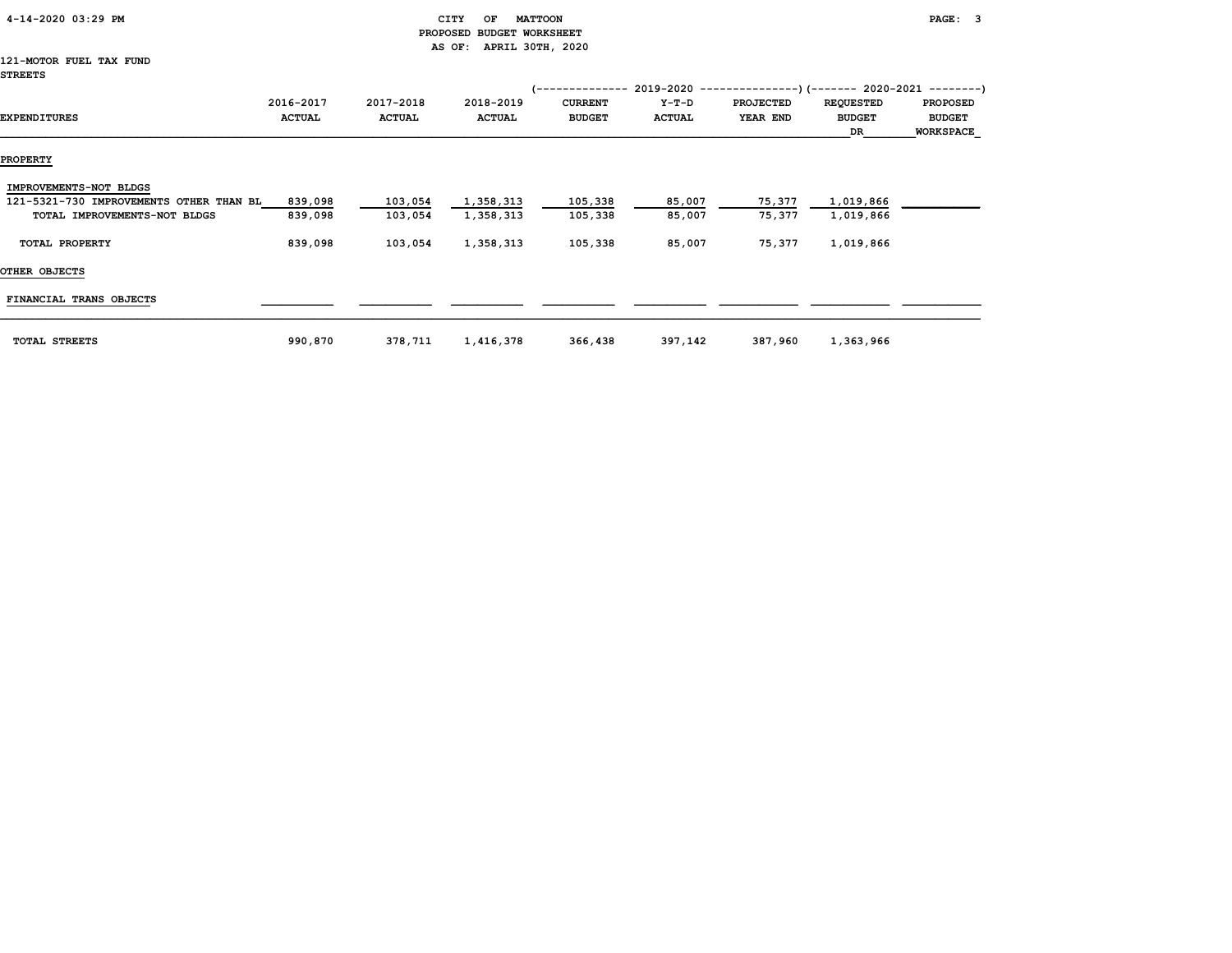| 4-14-2020 03:29 PM                                                                                |                            |                            | CITY<br>OF<br><b>MATTOON</b> |                                 |                          |                       |                                                                                                                      | PAGE: 3                                              |
|---------------------------------------------------------------------------------------------------|----------------------------|----------------------------|------------------------------|---------------------------------|--------------------------|-----------------------|----------------------------------------------------------------------------------------------------------------------|------------------------------------------------------|
|                                                                                                   |                            | <b>PROPOSED</b>            | <b>BUDGET WORKSHEET</b>      |                                 |                          |                       |                                                                                                                      |                                                      |
| 121-MOTOR FUEL TAX FUND<br><b>STREETS</b>                                                         |                            |                            | AS OF: APRIL 30TH, 2020      |                                 |                          |                       |                                                                                                                      |                                                      |
| <b>EXPENDITURES</b>                                                                               | 2016-2017<br><b>ACTUAL</b> | 2017-2018<br><b>ACTUAL</b> | 2018-2019<br><b>ACTUAL</b>   | <b>CURRENT</b><br><b>BUDGET</b> | $Y-T-D$<br><b>ACTUAL</b> | PROJECTED<br>YEAR END | (-------------- 2019-2020 ----------------) (------- 2020-2021 ---------)<br><b>REQUESTED</b><br><b>BUDGET</b><br>DR | <b>PROPOSED</b><br><b>BUDGET</b><br><b>WORKSPACE</b> |
| <b>PROPERTY</b>                                                                                   |                            |                            |                              |                                 |                          |                       |                                                                                                                      |                                                      |
| IMPROVEMENTS-NOT BLDGS<br>121-5321-730 IMPROVEMENTS OTHER THAN BL<br>TOTAL IMPROVEMENTS-NOT BLDGS | 839,098<br>839,098         | 103,054<br>103,054         | 1,358,313<br>1,358,313       | 105,338<br>105,338              | 85,007<br>85,007         | 75,377<br>75,377      | 1,019,866<br>1,019,866                                                                                               |                                                      |
| TOTAL PROPERTY                                                                                    | 839,098                    | 103,054                    | 1,358,313                    | 105,338                         | 85,007                   | 75,377                | 1,019,866                                                                                                            |                                                      |
| OTHER OBJECTS                                                                                     |                            |                            |                              |                                 |                          |                       |                                                                                                                      |                                                      |
| FINANCIAL TRANS OBJECTS                                                                           |                            |                            |                              |                                 |                          |                       |                                                                                                                      |                                                      |
| TOTAL STREETS                                                                                     | 990,870                    | 378,711                    | 1,416,378                    | 366,438                         | 397,142                  | 387,960               | 1,363,966                                                                                                            |                                                      |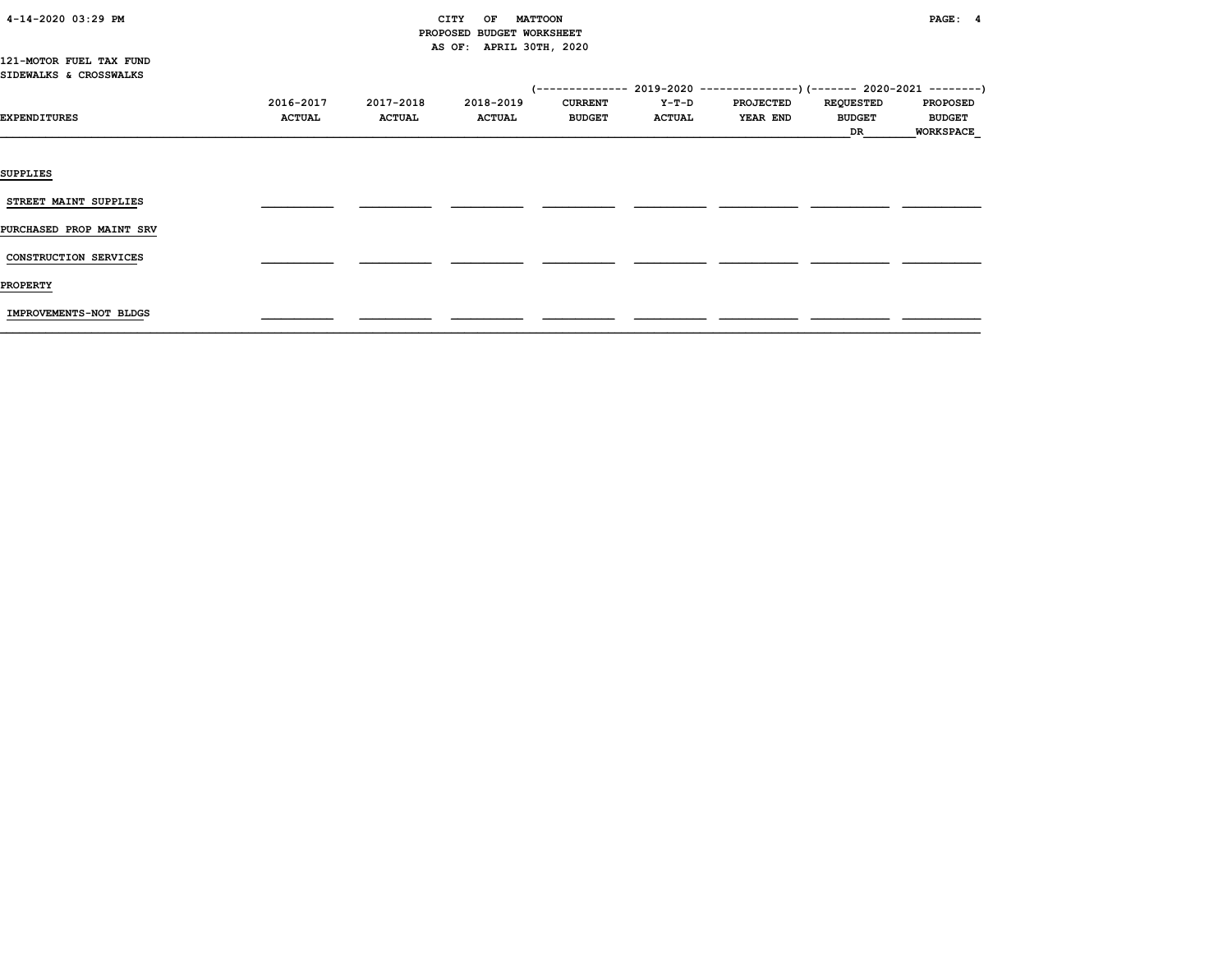| 4-14-2020 03:29 PM |  |
|--------------------|--|
|                    |  |

### CITY OF MATTOON **PAGE:** 4 PROPOSED BUDGET WORKSHEET AS OF: APRIL 30TH, 2020

121-MOTOR FUEL TAX FUND SIDEWALKS & CROSSWALKS

|                          |               |               |               |                |               | $(-$ ------------- 2019-2020 ----------------) $(-$ ------ 2020-2021 --------) |                  |                  |
|--------------------------|---------------|---------------|---------------|----------------|---------------|--------------------------------------------------------------------------------|------------------|------------------|
|                          | 2016-2017     | 2017-2018     | 2018-2019     | <b>CURRENT</b> | Y-T-D         | <b>PROJECTED</b>                                                               | <b>REQUESTED</b> | <b>PROPOSED</b>  |
| EXPENDITURES             | <b>ACTUAL</b> | <b>ACTUAL</b> | <b>ACTUAL</b> | <b>BUDGET</b>  | <b>ACTUAL</b> | <b>YEAR END</b>                                                                | <b>BUDGET</b>    | <b>BUDGET</b>    |
|                          |               |               |               |                |               |                                                                                | DR               | <b>WORKSPACE</b> |
|                          |               |               |               |                |               |                                                                                |                  |                  |
| <b>SUPPLIES</b>          |               |               |               |                |               |                                                                                |                  |                  |
| STREET MAINT SUPPLIES    |               |               |               |                |               |                                                                                |                  |                  |
| PURCHASED PROP MAINT SRV |               |               |               |                |               |                                                                                |                  |                  |
| CONSTRUCTION SERVICES    |               |               |               |                |               |                                                                                |                  |                  |
| <b>PROPERTY</b>          |               |               |               |                |               |                                                                                |                  |                  |
| IMPROVEMENTS-NOT BLDGS   |               |               |               |                |               |                                                                                |                  |                  |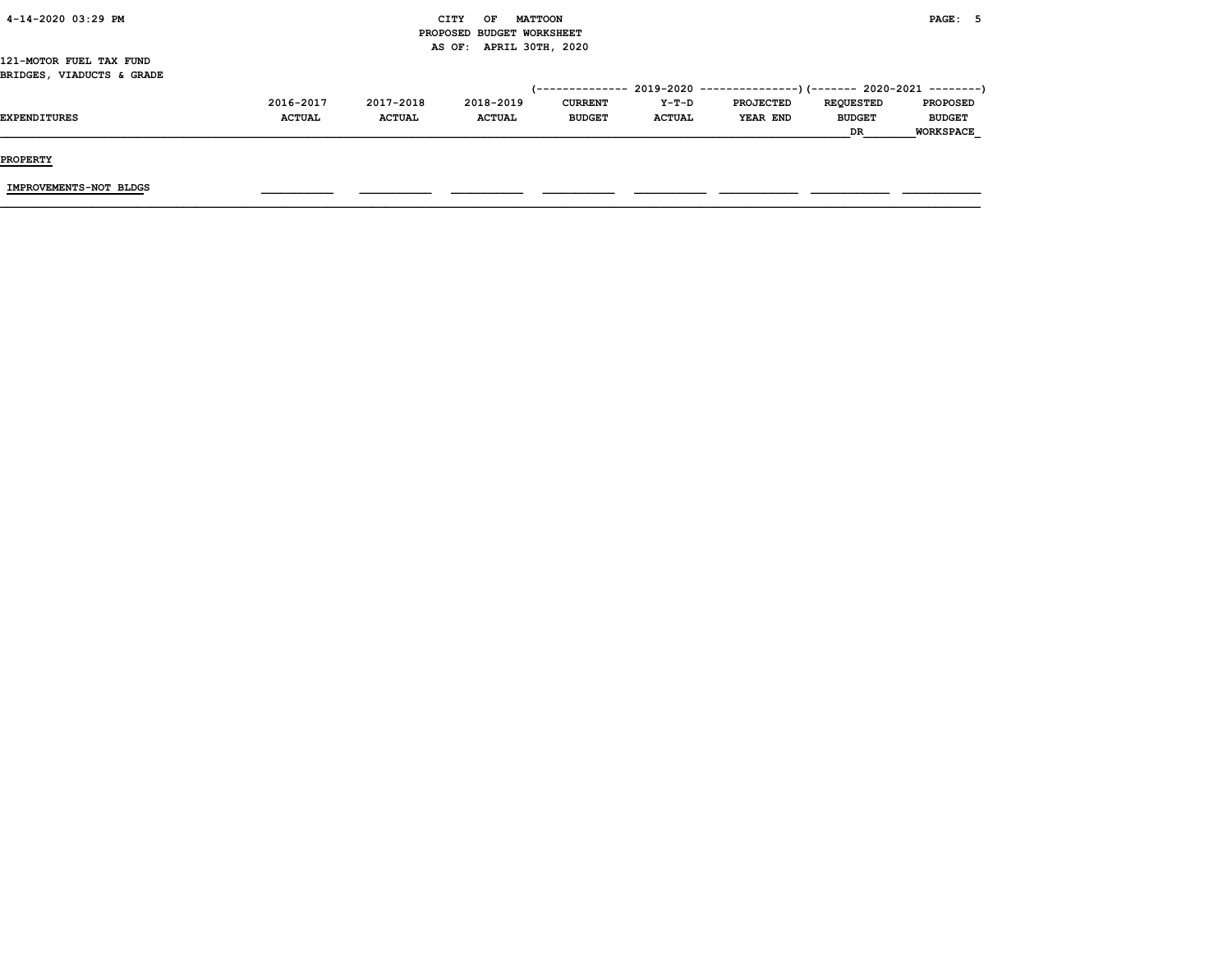| 4-14-2020 03:29 PM<br>CITY   | OF | <b>MATTOON</b>            | PAGE: 5 |
|------------------------------|----|---------------------------|---------|
|                              |    | PROPOSED BUDGET WORKSHEET |         |
|                              |    | AS OF: APRIL 30TH, 2020   |         |
| 121-MOTOR FUEL TAX FUND      |    |                           |         |
| VIADUCTS & GRADE<br>BRIDGES, |    |                           |         |

|              | 2016-2017     | 2017-2018     | 2018-2019     | <b>CURRENT</b> | $Y-T-D$       | <b>PROJECTED</b> | <b>REOUESTED</b> | <b>PROPOSED</b>  |
|--------------|---------------|---------------|---------------|----------------|---------------|------------------|------------------|------------------|
| EXPENDITURES | <b>ACTUAL</b> | <b>ACTUAL</b> | <b>ACTUAL</b> | <b>BUDGET</b>  | <b>ACTUAL</b> | YEAR END         | <b>BUDGET</b>    | <b>BUDGET</b>    |
|              |               |               |               |                |               |                  | <b>DR</b>        | <b>WORKSPACE</b> |
|              |               |               |               |                |               |                  |                  |                  |

PROPERTY

IMPROVEMENTS-NOT BLDGS \_\_\_\_\_\_\_\_\_\_\_ \_\_\_\_\_\_\_\_\_\_\_ \_\_\_\_\_\_\_\_\_\_\_ \_\_\_\_\_\_\_\_\_\_\_ \_\_\_\_\_\_\_\_\_\_\_ \_\_\_\_\_\_\_\_\_\_\_\_ \_\_\_\_\_\_\_\_\_\_\_\_ \_\_\_\_\_\_\_\_\_\_\_\_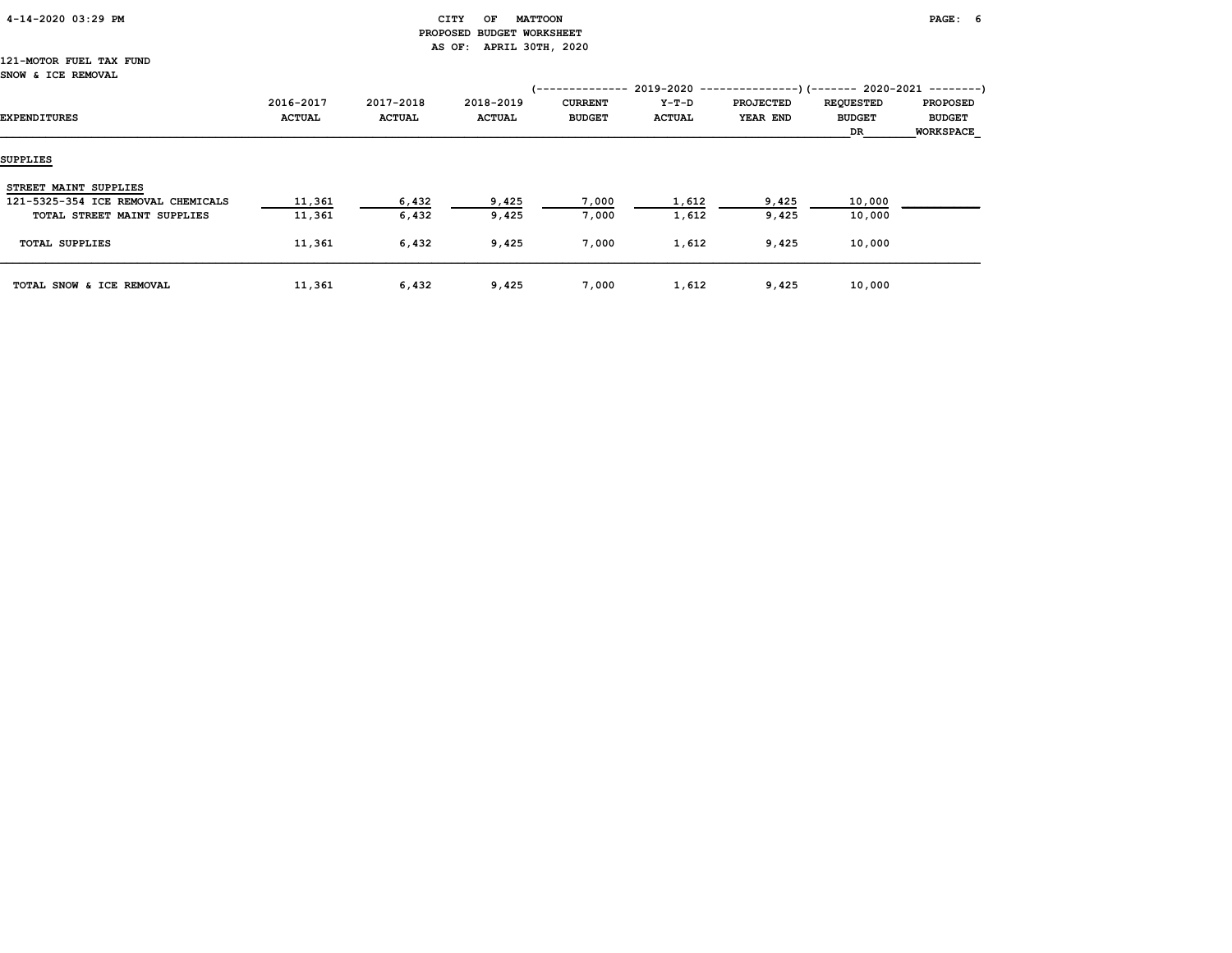#### 4-14-2020 03:29 PM CITY OF MATTOON PAGE: 6 PROPOSED BUDGET WORKSHEET AS OF: APRIL 30TH, 2020

#### 121-MOTOR FUEL TAX FUND SNOW & ICE REMOVAL

| EXPENDITURES                       | 2016-2017<br><b>ACTUAL</b> | 2017-2018<br><b>ACTUAL</b> | 2018-2019<br><b>ACTUAL</b> | ------------<br>. – –<br><b>CURRENT</b><br><b>BUDGET</b> | 2019-2020<br>Y-T-D<br><b>ACTUAL</b> | <b>PROJECTED</b><br>YEAR END | --)(------- 2020-2021 --------)<br><b>REQUESTED</b><br><b>BUDGET</b><br>DR | <b>PROPOSED</b><br><b>BUDGET</b><br><b>WORKSPACE</b> |
|------------------------------------|----------------------------|----------------------------|----------------------------|----------------------------------------------------------|-------------------------------------|------------------------------|----------------------------------------------------------------------------|------------------------------------------------------|
| <b>SUPPLIES</b>                    |                            |                            |                            |                                                          |                                     |                              |                                                                            |                                                      |
| STREET MAINT SUPPLIES              |                            |                            |                            |                                                          |                                     |                              |                                                                            |                                                      |
| 121-5325-354 ICE REMOVAL CHEMICALS | 11,361                     | 6,432                      | 9,425                      | 7,000                                                    | 1,612                               | 9,425                        | 10,000                                                                     |                                                      |
| TOTAL STREET MAINT SUPPLIES        | 11,361                     | 6,432                      | 9,425                      | 7,000                                                    | 1,612                               | 9,425                        | 10,000                                                                     |                                                      |
| <b>TOTAL SUPPLIES</b>              | 11,361                     | 6,432                      | 9,425                      | 7,000                                                    | 1,612                               | 9,425                        | 10,000                                                                     |                                                      |
| TOTAL SNOW & ICE REMOVAL           | 11,361                     | 6,432                      | 9,425                      | 7,000                                                    | 1,612                               | 9,425                        | 10,000                                                                     |                                                      |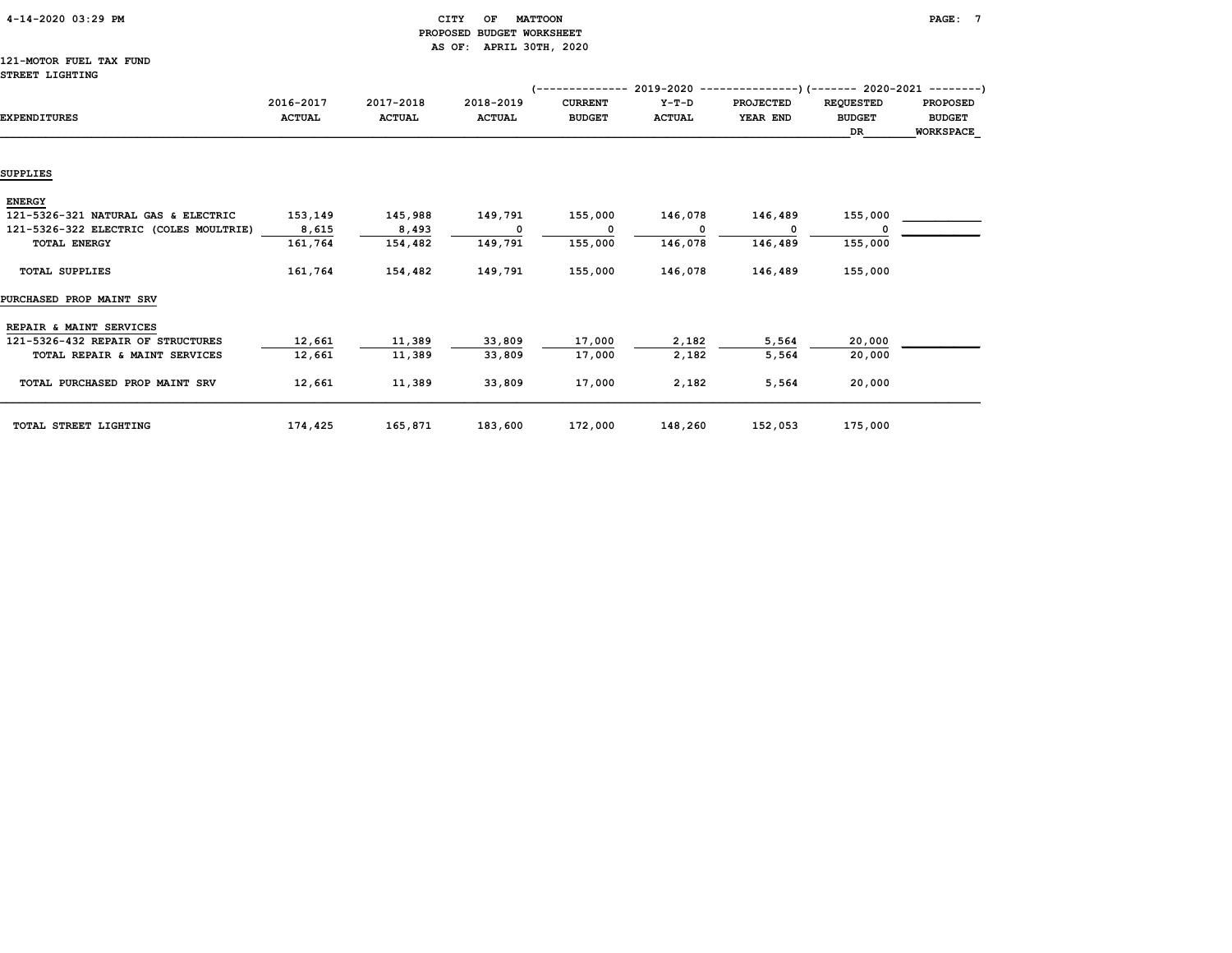#### 4-14-2020 03:29 PM CITY OF MATTOON PAGE: 7 PROPOSED BUDGET WORKSHEET AS OF: APRIL 30TH, 2020

#### 121-MOTOR FUEL TAX FUND STREET LIGHTING

|                                        |               |               |               | ----------     | 2019-2020     |                  | --)(------- 2020-2021 --------) |                  |
|----------------------------------------|---------------|---------------|---------------|----------------|---------------|------------------|---------------------------------|------------------|
|                                        | 2016-2017     | 2017-2018     | 2018-2019     | <b>CURRENT</b> | $Y-T-D$       | <b>PROJECTED</b> | <b>REQUESTED</b>                | <b>PROPOSED</b>  |
| <b>EXPENDITURES</b>                    | <b>ACTUAL</b> | <b>ACTUAL</b> | <b>ACTUAL</b> | <b>BUDGET</b>  | <b>ACTUAL</b> | YEAR END         | <b>BUDGET</b>                   | <b>BUDGET</b>    |
|                                        |               |               |               |                |               |                  | DR                              | <b>WORKSPACE</b> |
|                                        |               |               |               |                |               |                  |                                 |                  |
| SUPPLIES                               |               |               |               |                |               |                  |                                 |                  |
| <b>ENERGY</b>                          |               |               |               |                |               |                  |                                 |                  |
| 121-5326-321 NATURAL GAS & ELECTRIC    | 153,149       | 145,988       | 149,791       | 155,000        | 146,078       | 146,489          | 155,000                         |                  |
| 121-5326-322 ELECTRIC (COLES MOULTRIE) | 8,615         | 8,493         | 0             | $\Omega$       | n             |                  |                                 |                  |
| <b>TOTAL ENERGY</b>                    | 161,764       | 154,482       | 149,791       | 155,000        | 146,078       | 146,489          | 155,000                         |                  |
| <b>TOTAL SUPPLIES</b>                  | 161,764       | 154,482       | 149,791       | 155,000        | 146,078       | 146,489          | 155,000                         |                  |
| PURCHASED PROP MAINT SRV               |               |               |               |                |               |                  |                                 |                  |
| REPAIR & MAINT SERVICES                |               |               |               |                |               |                  |                                 |                  |
| 121-5326-432 REPAIR OF STRUCTURES      | 12,661        | 11,389        | 33,809        | 17,000         | 2,182         | 5,564            | 20,000                          |                  |
| TOTAL REPAIR & MAINT SERVICES          | 12,661        | 11,389        | 33,809        | 17,000         | 2,182         | 5,564            | 20,000                          |                  |
| TOTAL PURCHASED PROP MAINT SRV         | 12,661        | 11,389        | 33,809        | 17,000         | 2,182         | 5,564            | 20,000                          |                  |
| TOTAL STREET LIGHTING                  | 174,425       | 165,871       | 183,600       | 172,000        | 148,260       | 152,053          | 175,000                         |                  |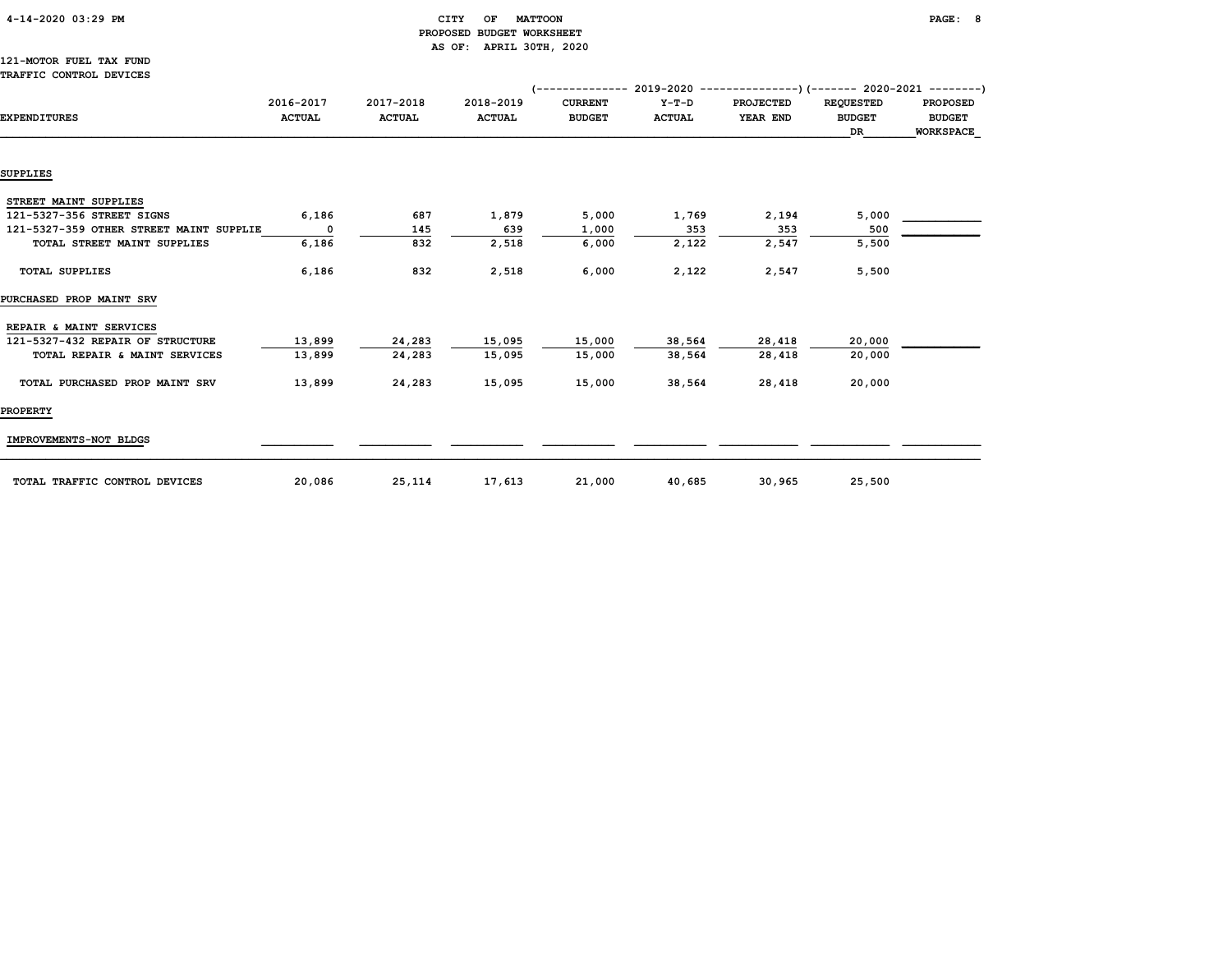|  | 4-14-2020 03:29 PM |  |  |
|--|--------------------|--|--|
|--|--------------------|--|--|

#### $\begin{array}{ccc} \texttt{CITY} & \texttt{OF} & \texttt{MATTOON} \end{array}$  PROPOSED BUDGET WORKSHEET AS OF: APRIL 30TH, 2020

#### 121-MOTOR FUEL TAX FUND TRAFFIC CONTROL DEVICES

|                                         |                            |                            |                            |                                 |                        | (-------------- 2019-2020 ----------------) (------- 2020-2021 --------) |                                         |                                                      |
|-----------------------------------------|----------------------------|----------------------------|----------------------------|---------------------------------|------------------------|--------------------------------------------------------------------------|-----------------------------------------|------------------------------------------------------|
| <b>EXPENDITURES</b>                     | 2016-2017<br><b>ACTUAL</b> | 2017-2018<br><b>ACTUAL</b> | 2018-2019<br><b>ACTUAL</b> | <b>CURRENT</b><br><b>BUDGET</b> | Y-T-D<br><b>ACTUAL</b> | PROJECTED<br>YEAR END                                                    | <b>REQUESTED</b><br><b>BUDGET</b><br>DR | <b>PROPOSED</b><br><b>BUDGET</b><br><b>WORKSPACE</b> |
|                                         |                            |                            |                            |                                 |                        |                                                                          |                                         |                                                      |
| SUPPLIES                                |                            |                            |                            |                                 |                        |                                                                          |                                         |                                                      |
| STREET MAINT SUPPLIES                   |                            |                            |                            |                                 |                        |                                                                          |                                         |                                                      |
| 121-5327-356 STREET SIGNS               | 6,186                      | 687                        | 1,879                      | 5,000                           | 1,769                  | 2,194                                                                    | 5,000                                   |                                                      |
| 121-5327-359 OTHER STREET MAINT SUPPLIE | $\mathbf{o}$               | 145                        | 639                        | 1,000                           | 353                    | 353                                                                      | 500                                     |                                                      |
| TOTAL STREET MAINT SUPPLIES             | 6,186                      | 832                        | 2,518                      | 6,000                           | 2,122                  | 2,547                                                                    | 5,500                                   |                                                      |
| <b>TOTAL SUPPLIES</b>                   | 6,186                      | 832                        | 2,518                      | 6,000                           | 2,122                  | 2,547                                                                    | 5,500                                   |                                                      |
| PURCHASED PROP MAINT SRV                |                            |                            |                            |                                 |                        |                                                                          |                                         |                                                      |
| REPAIR & MAINT SERVICES                 |                            |                            |                            |                                 |                        |                                                                          |                                         |                                                      |
| 121-5327-432 REPAIR OF STRUCTURE        | 13,899                     | 24,283                     | 15,095                     | 15,000                          | 38,564                 | 28,418                                                                   | 20,000                                  |                                                      |
| TOTAL REPAIR & MAINT SERVICES           | 13,899                     | 24,283                     | 15,095                     | 15,000                          | 38,564                 | 28,418                                                                   | 20,000                                  |                                                      |
| TOTAL PURCHASED PROP MAINT SRV          | 13,899                     | 24,283                     | 15,095                     | 15,000                          | 38,564                 | 28,418                                                                   | 20,000                                  |                                                      |
| <b>PROPERTY</b>                         |                            |                            |                            |                                 |                        |                                                                          |                                         |                                                      |
| IMPROVEMENTS-NOT BLDGS                  |                            |                            |                            |                                 |                        |                                                                          |                                         |                                                      |
| TOTAL TRAFFIC CONTROL DEVICES           | 20,086                     | 25,114                     | 17,613                     | 21,000                          | 40,685                 | 30,965                                                                   | 25,500                                  |                                                      |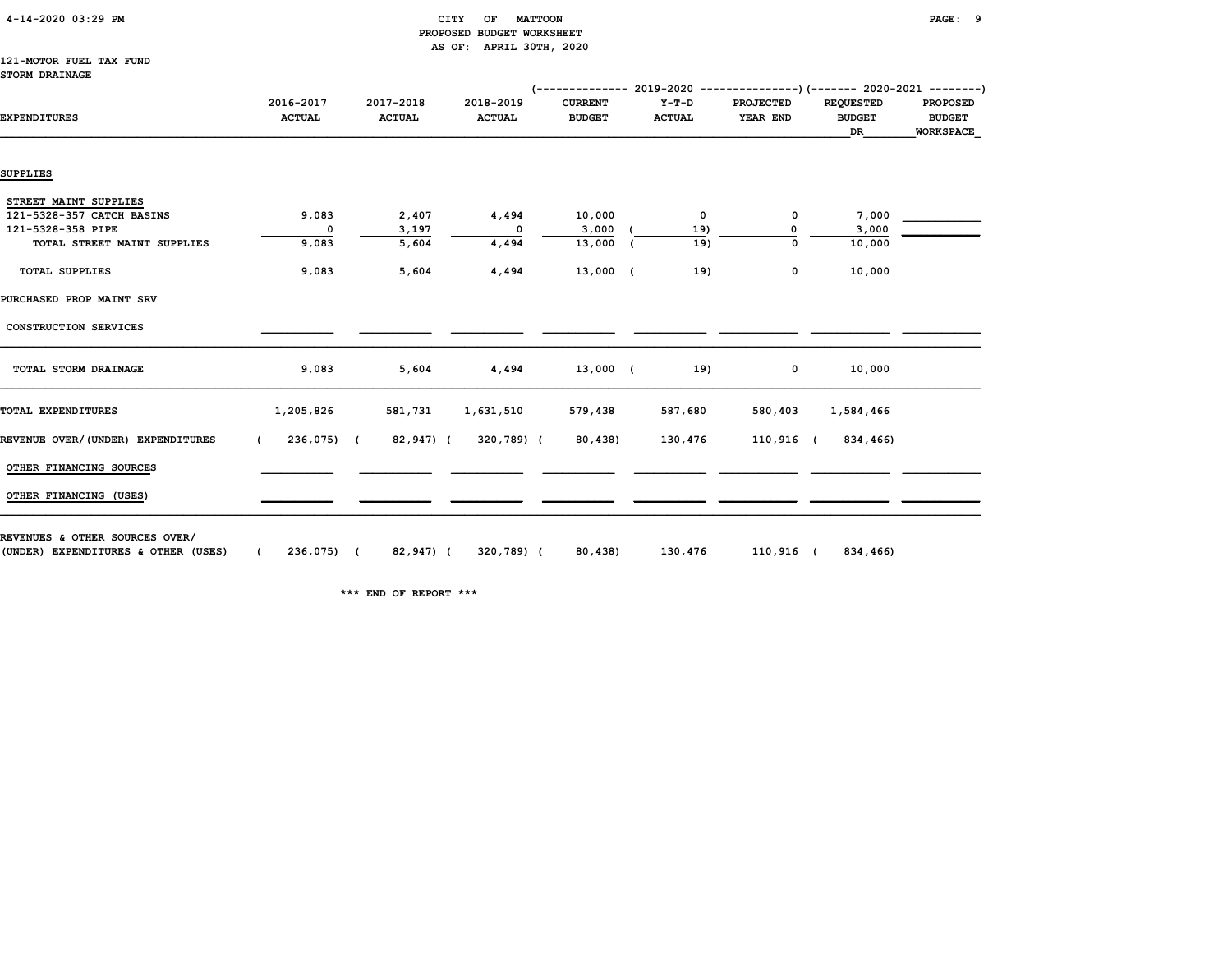| 4-14-2020 03:29 PM |  |
|--------------------|--|
|                    |  |

#### 4-14-2020 03:29 PM CITY OF MATTOON PAGE: 9 PROPOSED BUDGET WORKSHEET AS OF: APRIL 30TH, 2020

#### 121-MOTOR FUEL TAX FUND STORM DRAINAGE

|                                   |                            |                            |                            |                                 |                          | $($ -------------- 2019-2020 ----------------) (------- 2020-2021 --------) |                                         |                                                      |  |
|-----------------------------------|----------------------------|----------------------------|----------------------------|---------------------------------|--------------------------|-----------------------------------------------------------------------------|-----------------------------------------|------------------------------------------------------|--|
| <b>EXPENDITURES</b>               | 2016-2017<br><b>ACTUAL</b> | 2017-2018<br><b>ACTUAL</b> | 2018-2019<br><b>ACTUAL</b> | <b>CURRENT</b><br><b>BUDGET</b> | $Y-T-D$<br><b>ACTUAL</b> | <b>PROJECTED</b><br>YEAR END                                                | <b>REQUESTED</b><br><b>BUDGET</b><br>DR | <b>PROPOSED</b><br><b>BUDGET</b><br><b>WORKSPACE</b> |  |
|                                   |                            |                            |                            |                                 |                          |                                                                             |                                         |                                                      |  |
| SUPPLIES                          |                            |                            |                            |                                 |                          |                                                                             |                                         |                                                      |  |
| STREET MAINT SUPPLIES             |                            |                            |                            |                                 |                          |                                                                             |                                         |                                                      |  |
| 121-5328-357 CATCH BASINS         | 9,083                      | 2,407                      | 4,494                      | 10,000                          | 0                        | 0                                                                           | 7,000                                   |                                                      |  |
| 121-5328-358 PIPE                 | 0                          | 3,197                      | 0                          | 3,000                           | 19)                      |                                                                             | 3,000                                   |                                                      |  |
| TOTAL STREET MAINT SUPPLIES       | 9,083                      | 5,604                      | 4,494                      | 13,000 (                        | 19)                      | $\mathbf 0$                                                                 | 10,000                                  |                                                      |  |
| <b>TOTAL SUPPLIES</b>             | 9,083                      | 5,604                      | 4,494                      | 13,000 (                        | 19)                      | 0                                                                           | 10,000                                  |                                                      |  |
| PURCHASED PROP MAINT SRV          |                            |                            |                            |                                 |                          |                                                                             |                                         |                                                      |  |
| CONSTRUCTION SERVICES             |                            |                            |                            |                                 |                          |                                                                             |                                         |                                                      |  |
| TOTAL STORM DRAINAGE              | 9,083                      | 5,604                      | 4,494                      | 13,000 (                        | 19)                      | 0                                                                           | 10,000                                  |                                                      |  |
| TOTAL EXPENDITURES                | 1,205,826                  | 581,731                    | 1,631,510                  | 579,438                         | 587,680                  | 580,403                                                                     | 1,584,466                               |                                                      |  |
| REVENUE OVER/(UNDER) EXPENDITURES | 236,075) (<br>$\epsilon$   | 82,947) (                  | 320,789) (                 | 80,438)                         | 130,476                  | 110,916 (                                                                   | 834,466)                                |                                                      |  |
| OTHER FINANCING SOURCES           |                            |                            |                            |                                 |                          |                                                                             |                                         |                                                      |  |
| OTHER FINANCING (USES)            |                            |                            |                            |                                 |                          |                                                                             |                                         |                                                      |  |
|                                   |                            |                            |                            |                                 |                          |                                                                             |                                         |                                                      |  |

REVENUES & OTHER SOURCES OVER/

(UNDER) EXPENDITURES & OTHER (USES) ( 236,075) ( 82,947) ( 320,789) ( 80,438) 130,476 110,916 ( 834,466)

\*\*\* END OF REPORT \*\*\*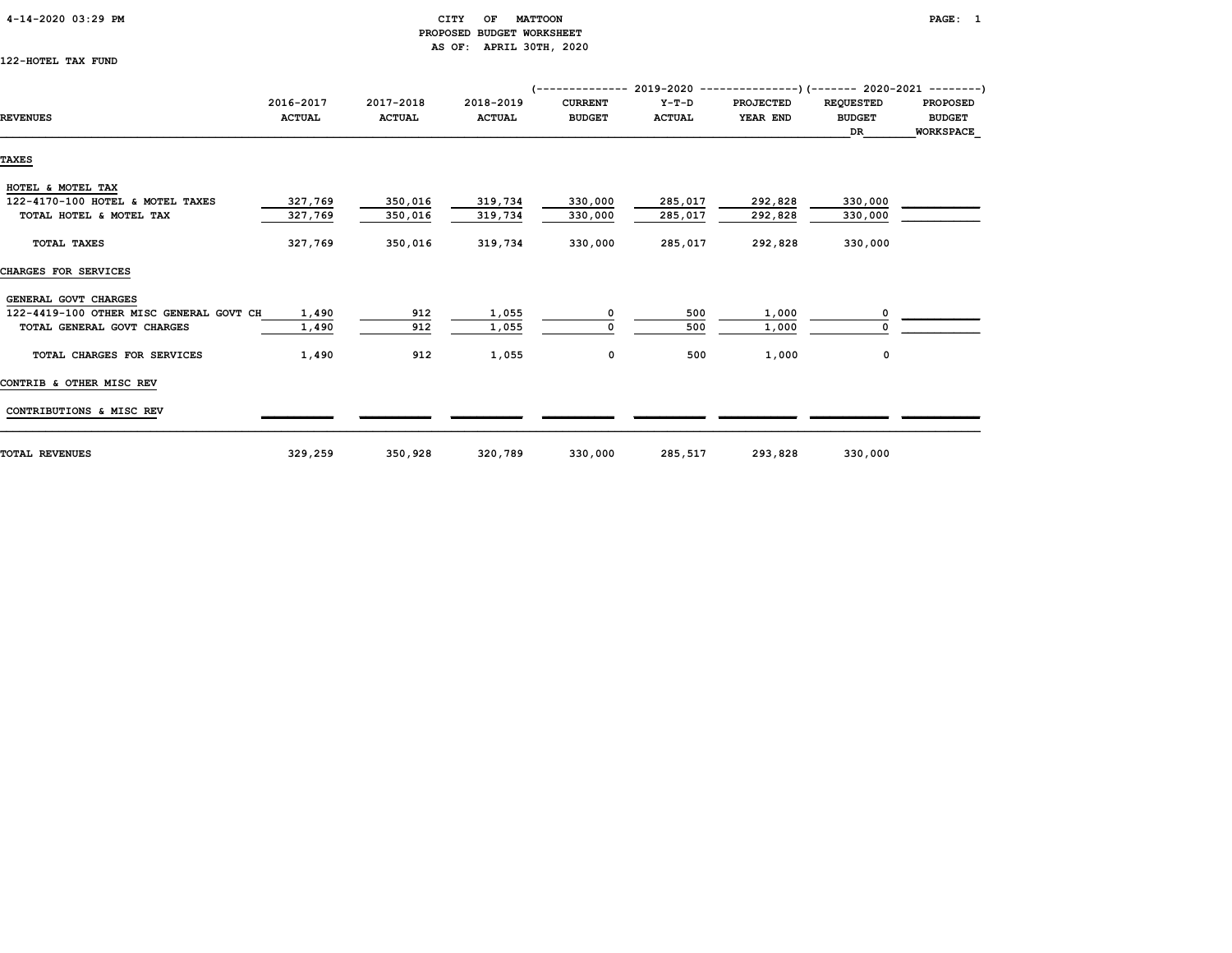#### 4-14-2020 03:29 PM CITY OF MATTOON PAGE: 1 PROPOSED BUDGET WORKSHEET AS OF: APRIL 30TH, 2020

122-HOTEL TAX FUND

|                                         |               |               | (-------------- 2019-2020 ----------------) (------- 2020-2021 ---------) |                |               |                  |                  |                  |  |
|-----------------------------------------|---------------|---------------|---------------------------------------------------------------------------|----------------|---------------|------------------|------------------|------------------|--|
|                                         | 2016-2017     | 2017-2018     | 2018-2019                                                                 | <b>CURRENT</b> | $Y-T-D$       | <b>PROJECTED</b> | <b>REQUESTED</b> | <b>PROPOSED</b>  |  |
| <b>REVENUES</b>                         | <b>ACTUAL</b> | <b>ACTUAL</b> | <b>ACTUAL</b>                                                             | <b>BUDGET</b>  | <b>ACTUAL</b> | YEAR END         | <b>BUDGET</b>    | <b>BUDGET</b>    |  |
|                                         |               |               |                                                                           |                |               |                  | DR               | <b>WORKSPACE</b> |  |
| TAXES                                   |               |               |                                                                           |                |               |                  |                  |                  |  |
|                                         |               |               |                                                                           |                |               |                  |                  |                  |  |
| HOTEL & MOTEL TAX                       |               |               |                                                                           |                |               |                  |                  |                  |  |
| 122-4170-100 HOTEL & MOTEL TAXES        | 327,769       | 350,016       | 319,734                                                                   | 330,000        | 285,017       | 292,828          | 330,000          |                  |  |
| TOTAL HOTEL & MOTEL TAX                 | 327,769       | 350,016       | 319,734                                                                   | 330,000        | 285,017       | 292,828          | 330,000          |                  |  |
| TOTAL TAXES                             | 327,769       | 350,016       | 319,734                                                                   | 330,000        | 285,017       | 292,828          | 330,000          |                  |  |
| CHARGES FOR SERVICES                    |               |               |                                                                           |                |               |                  |                  |                  |  |
| GENERAL GOVT CHARGES                    |               |               |                                                                           |                |               |                  |                  |                  |  |
| 122-4419-100 OTHER MISC GENERAL GOVT CH | 1,490         | 912           | 1,055                                                                     | 0              | 500           | 1,000            |                  |                  |  |
| TOTAL GENERAL GOVT CHARGES              | 1,490         | 912           | 1,055                                                                     |                | 500           | 1,000            |                  |                  |  |
| TOTAL CHARGES FOR SERVICES              | 1,490         | 912           | 1,055                                                                     | 0              | 500           | 1,000            | 0                |                  |  |
| CONTRIB & OTHER MISC REV                |               |               |                                                                           |                |               |                  |                  |                  |  |
| CONTRIBUTIONS & MISC REV                |               |               |                                                                           |                |               |                  |                  |                  |  |
| <b>TOTAL REVENUES</b>                   | 329,259       | 350,928       | 320,789                                                                   | 330,000        | 285,517       | 293,828          | 330,000          |                  |  |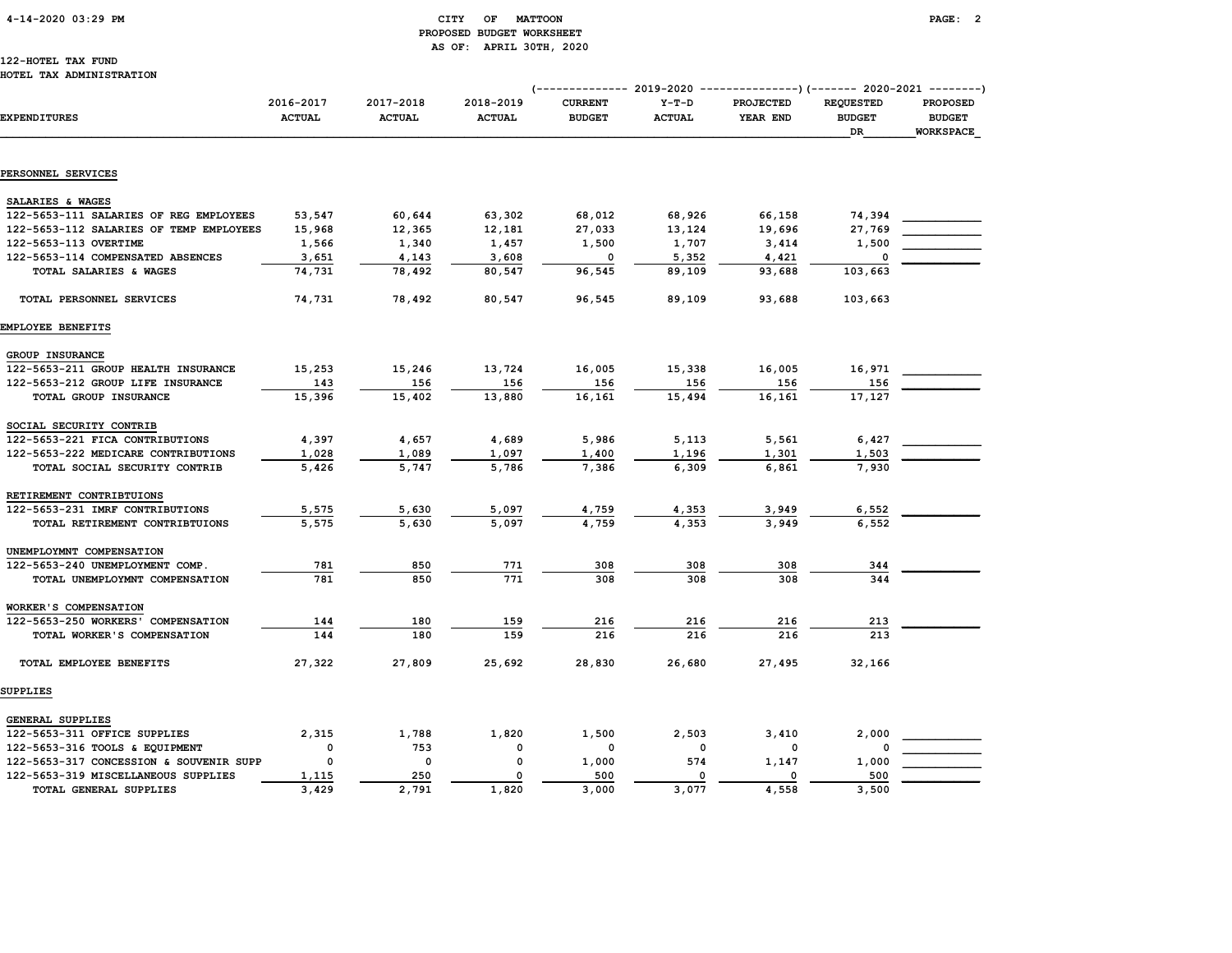# 4-14-2020 03:29 PM CITY OF MATTOON PAGE: 2 PROPOSED BUDGET WORKSHEET AS OF: APRIL 30TH, 2020

#### 122-HOTEL TAX FUND HOTEL TAX ADMINISTRATION

|                                         |                            |                            |                            | (------------- 2019-2020<br>---------------)(------- 2020-2021 --------) |                          |                              |                                         |                                                      |
|-----------------------------------------|----------------------------|----------------------------|----------------------------|--------------------------------------------------------------------------|--------------------------|------------------------------|-----------------------------------------|------------------------------------------------------|
| <b>EXPENDITURES</b>                     | 2016-2017<br><b>ACTUAL</b> | 2017-2018<br><b>ACTUAL</b> | 2018-2019<br><b>ACTUAL</b> | <b>CURRENT</b><br><b>BUDGET</b>                                          | $Y-T-D$<br><b>ACTUAL</b> | <b>PROJECTED</b><br>YEAR END | <b>REQUESTED</b><br><b>BUDGET</b><br>DR | <b>PROPOSED</b><br><b>BUDGET</b><br><b>WORKSPACE</b> |
|                                         |                            |                            |                            |                                                                          |                          |                              |                                         |                                                      |
| PERSONNEL SERVICES                      |                            |                            |                            |                                                                          |                          |                              |                                         |                                                      |
| SALARIES & WAGES                        |                            |                            |                            |                                                                          |                          |                              |                                         |                                                      |
| 122-5653-111 SALARIES OF REG EMPLOYEES  | 53,547                     | 60,644                     | 63,302                     | 68,012                                                                   | 68,926                   | 66,158                       | 74,394                                  |                                                      |
| 122-5653-112 SALARIES OF TEMP EMPLOYEES | 15,968                     | 12,365                     | 12,181                     | 27,033                                                                   | 13,124                   | 19,696                       | 27,769                                  |                                                      |
| 122-5653-113 OVERTIME                   | 1,566                      | 1,340                      | 1,457                      | 1,500                                                                    | 1,707                    | 3,414                        | 1,500                                   |                                                      |
| 122-5653-114 COMPENSATED ABSENCES       | 3,651                      | 4,143                      | 3,608                      | $\Omega$                                                                 | 5,352                    | 4,421                        | 0                                       |                                                      |
| TOTAL SALARIES & WAGES                  | 74,731                     | 78,492                     | 80,547                     | 96,545                                                                   | 89,109                   | 93,688                       | 103,663                                 |                                                      |
| TOTAL PERSONNEL SERVICES                | 74,731                     | 78,492                     | 80,547                     | 96,545                                                                   | 89,109                   | 93,688                       | 103,663                                 |                                                      |
| EMPLOYEE BENEFITS                       |                            |                            |                            |                                                                          |                          |                              |                                         |                                                      |
| GROUP INSURANCE                         |                            |                            |                            |                                                                          |                          |                              |                                         |                                                      |
| 122-5653-211 GROUP HEALTH INSURANCE     | 15,253                     | 15,246                     | 13,724                     | 16,005                                                                   | 15,338                   | 16,005                       | 16,971                                  |                                                      |
| 122-5653-212 GROUP LIFE INSURANCE       | 143                        | 156                        | 156                        | 156                                                                      | 156                      | 156                          | 156                                     |                                                      |
| TOTAL GROUP INSURANCE                   | 15,396                     | 15,402                     | 13,880                     | 16,161                                                                   | 15,494                   | 16,161                       | 17,127                                  |                                                      |
| SOCIAL SECURITY CONTRIB                 |                            |                            |                            |                                                                          |                          |                              |                                         |                                                      |
| 122-5653-221 FICA CONTRIBUTIONS         | 4,397                      | 4,657                      | 4,689                      | 5,986                                                                    | 5,113                    | 5,561                        | 6,427                                   |                                                      |
| 122-5653-222 MEDICARE CONTRIBUTIONS     | 1,028                      | 1,089                      | 1,097                      | 1,400                                                                    | 1,196                    | 1,301                        | 1,503                                   |                                                      |
| TOTAL SOCIAL SECURITY CONTRIB           | 5,426                      | 5,747                      | 5,786                      | 7,386                                                                    | 6,309                    | 6,861                        | 7,930                                   |                                                      |
|                                         |                            |                            |                            |                                                                          |                          |                              |                                         |                                                      |
| RETIREMENT CONTRIBTUIONS                | 5,575                      |                            |                            |                                                                          |                          |                              | 6,552                                   |                                                      |
| 122-5653-231 IMRF CONTRIBUTIONS         |                            | 5,630                      | 5,097<br>5,097             | 4,759<br>4,759                                                           | 4,353<br>4,353           | 3,949<br>3,949               |                                         |                                                      |
| TOTAL RETIREMENT CONTRIBTUIONS          | 5,575                      | 5,630                      |                            |                                                                          |                          |                              | 6,552                                   |                                                      |
| UNEMPLOYMNT COMPENSATION                |                            |                            |                            |                                                                          |                          |                              |                                         |                                                      |
| 122-5653-240 UNEMPLOYMENT COMP.         | 781                        | 850                        | 771                        | 308                                                                      | 308                      | 308                          | 344                                     |                                                      |
| TOTAL UNEMPLOYMNT COMPENSATION          | 781                        | 850                        | 771                        | 308                                                                      | 308                      | 308                          | 344                                     |                                                      |
| WORKER'S COMPENSATION                   |                            |                            |                            |                                                                          |                          |                              |                                         |                                                      |
| 122-5653-250 WORKERS' COMPENSATION      | 144                        | 180                        | 159                        | 216                                                                      | 216                      | 216                          | 213                                     |                                                      |
| TOTAL WORKER'S COMPENSATION             | 144                        | 180                        | 159                        | 216                                                                      | 216                      | 216                          | 213                                     |                                                      |
| TOTAL EMPLOYEE BENEFITS                 | 27,322                     | 27,809                     | 25,692                     | 28,830                                                                   | 26,680                   | 27,495                       | 32,166                                  |                                                      |
| SUPPLIES                                |                            |                            |                            |                                                                          |                          |                              |                                         |                                                      |
| GENERAL SUPPLIES                        |                            |                            |                            |                                                                          |                          |                              |                                         |                                                      |
| 122-5653-311 OFFICE SUPPLIES            | 2,315                      | 1,788                      | 1,820                      | 1,500                                                                    | 2,503                    | 3,410                        | 2,000                                   |                                                      |
| 122-5653-316 TOOLS & EQUIPMENT          | 0                          | 753                        | 0                          | 0                                                                        | 0                        | 0                            | 0                                       |                                                      |
| 122-5653-317 CONCESSION & SOUVENIR SUPP | $\Omega$                   | $\mathbf 0$                | 0                          | 1,000                                                                    | 574                      | 1,147                        | 1,000                                   |                                                      |
| 122-5653-319 MISCELLANEOUS SUPPLIES     | 1,115                      | 250                        | 0                          | 500                                                                      | 0                        | 0                            | 500                                     |                                                      |
| TOTAL GENERAL SUPPLIES                  | 3,429                      | 2,791                      | 1,820                      | 3,000                                                                    | 3,077                    | 4,558                        | 3,500                                   |                                                      |
|                                         |                            |                            |                            |                                                                          |                          |                              |                                         |                                                      |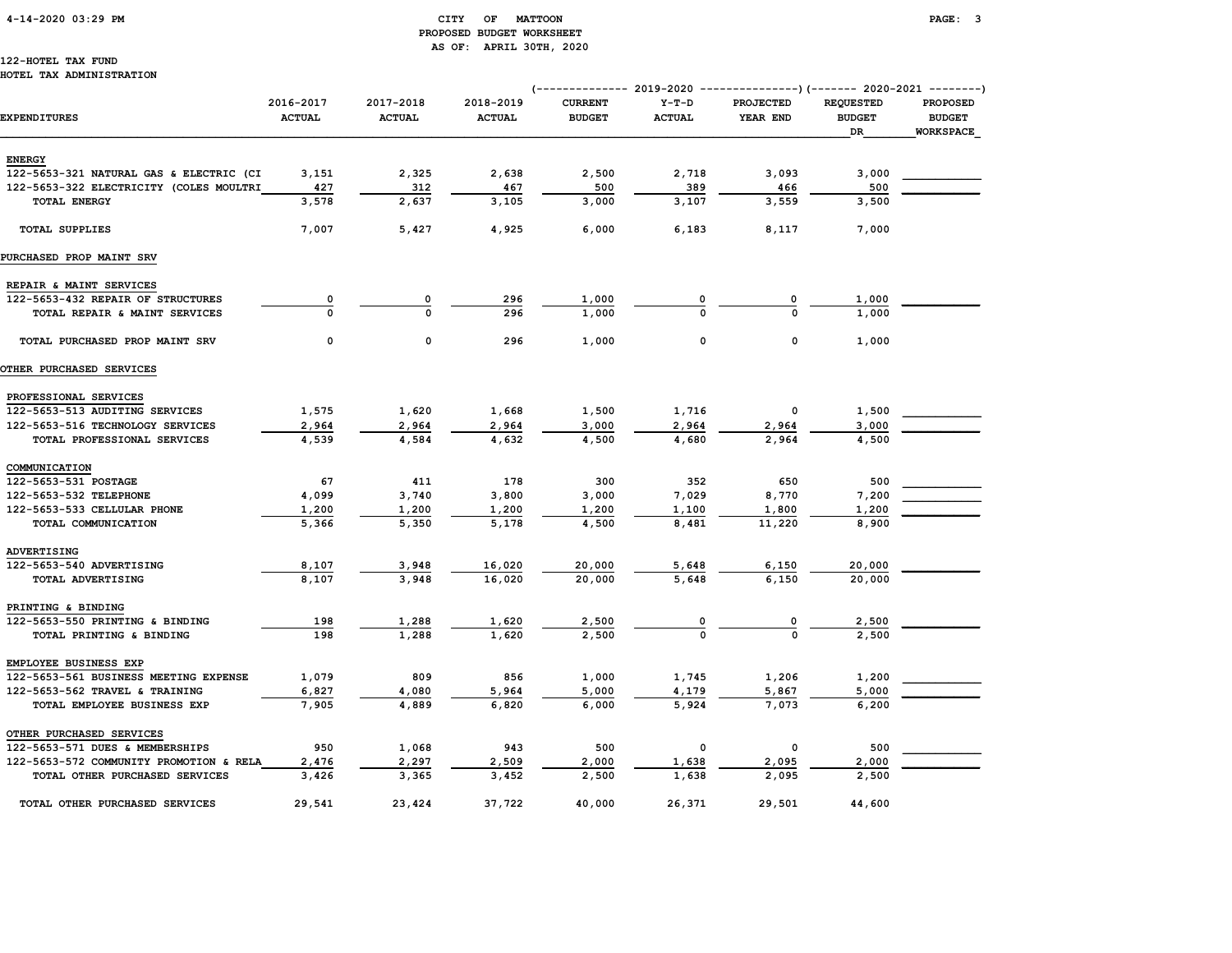# 4-14-2020 03:29 PM CITY OF MATTOON PAGE: 3 PROPOSED BUDGET WORKSHEET AS OF: APRIL 30TH, 2020

#### 122-HOTEL TAX FUND HOTEL TAX ADMINISTRATION

|                                         |                            |                            |                            |                                 |                          |                              | (------------- 2019-2020 ----------------) (------- 2020-2021 --------) |                                               |  |
|-----------------------------------------|----------------------------|----------------------------|----------------------------|---------------------------------|--------------------------|------------------------------|-------------------------------------------------------------------------|-----------------------------------------------|--|
| <b>EXPENDITURES</b>                     | 2016-2017<br><b>ACTUAL</b> | 2017-2018<br><b>ACTUAL</b> | 2018-2019<br><b>ACTUAL</b> | <b>CURRENT</b><br><b>BUDGET</b> | $Y-T-D$<br><b>ACTUAL</b> | <b>PROJECTED</b><br>YEAR END | <b>REQUESTED</b><br><b>BUDGET</b><br>DR                                 | <b>PROPOSED</b><br><b>BUDGET</b><br>WORKSPACE |  |
| <b>ENERGY</b>                           |                            |                            |                            |                                 |                          |                              |                                                                         |                                               |  |
| 122-5653-321 NATURAL GAS & ELECTRIC (CI | 3,151                      | 2,325                      | 2,638                      | 2,500                           | 2,718                    | 3,093                        | 3,000                                                                   |                                               |  |
| 122-5653-322 ELECTRICITY (COLES MOULTRI | 427                        | 312                        | 467                        | 500                             | 389                      | 466                          | 500                                                                     |                                               |  |
| <b>TOTAL ENERGY</b>                     | 3,578                      | 2,637                      | 3,105                      | 3,000                           | 3,107                    | 3,559                        | 3,500                                                                   |                                               |  |
| <b>TOTAL SUPPLIES</b>                   | 7,007                      | 5,427                      | 4,925                      | 6,000                           | 6,183                    | 8,117                        | 7,000                                                                   |                                               |  |
| PURCHASED PROP MAINT SRV                |                            |                            |                            |                                 |                          |                              |                                                                         |                                               |  |
| REPAIR & MAINT SERVICES                 |                            |                            |                            |                                 |                          |                              |                                                                         |                                               |  |
| 122-5653-432 REPAIR OF STRUCTURES       | 0                          | 0                          | 296                        | 1,000                           |                          |                              | 1,000                                                                   |                                               |  |
| TOTAL REPAIR & MAINT SERVICES           | $\Omega$                   | $\Omega$                   | 296                        | 1,000                           | $\Omega$                 | $\mathbf 0$                  | 1,000                                                                   |                                               |  |
| TOTAL PURCHASED PROP MAINT SRV          | 0                          | 0                          | 296                        | 1,000                           | 0                        | 0                            | 1,000                                                                   |                                               |  |
| <b>OTHER PURCHASED SERVICES</b>         |                            |                            |                            |                                 |                          |                              |                                                                         |                                               |  |
| PROFESSIONAL SERVICES                   |                            |                            |                            |                                 |                          |                              |                                                                         |                                               |  |
| 122-5653-513 AUDITING SERVICES          | 1,575                      | 1,620                      | 1,668                      | 1,500                           | 1,716                    | 0                            | 1,500                                                                   |                                               |  |
| 122-5653-516 TECHNOLOGY SERVICES        | 2,964                      | 2,964                      | 2,964                      | 3,000                           | 2,964                    | 2,964                        | 3,000                                                                   |                                               |  |
| TOTAL PROFESSIONAL SERVICES             | 4,539                      | 4,584                      | 4,632                      | 4,500                           | 4,680                    | 2,964                        | 4,500                                                                   |                                               |  |
| COMMUNICATION                           |                            |                            |                            |                                 |                          |                              |                                                                         |                                               |  |
| 122-5653-531 POSTAGE                    | 67                         | 411                        | 178                        | 300                             | 352                      | 650                          | 500                                                                     |                                               |  |
| 122-5653-532 TELEPHONE                  | 4,099                      | 3,740                      | 3,800                      | 3,000                           | 7,029                    | 8,770                        | 7,200                                                                   |                                               |  |
| 122-5653-533 CELLULAR PHONE             | 1,200                      | 1,200                      | 1,200                      | 1,200                           | 1,100                    | 1,800                        | 1,200                                                                   |                                               |  |
| TOTAL COMMUNICATION                     | 5,366                      | 5,350                      | 5,178                      | 4,500                           | 8,481                    | 11,220                       | 8,900                                                                   |                                               |  |
| ADVERTISING                             |                            |                            |                            |                                 |                          |                              |                                                                         |                                               |  |
| 122-5653-540 ADVERTISING                | 8,107                      | 3,948                      | 16,020                     | 20,000                          | 5,648                    | 6,150                        | 20,000                                                                  |                                               |  |
| TOTAL ADVERTISING                       | 8,107                      | 3,948                      | 16,020                     | 20,000                          | 5,648                    | 6,150                        | 20,000                                                                  |                                               |  |
| PRINTING & BINDING                      |                            |                            |                            |                                 |                          |                              |                                                                         |                                               |  |
| 122-5653-550 PRINTING & BINDING         | 198                        | 1,288                      | 1,620                      | 2,500                           |                          |                              | 2,500                                                                   |                                               |  |
| TOTAL PRINTING & BINDING                | 198                        | 1,288                      | 1,620                      | 2,500                           |                          |                              | 2,500                                                                   |                                               |  |
| EMPLOYEE BUSINESS EXP                   |                            |                            |                            |                                 |                          |                              |                                                                         |                                               |  |
| 122-5653-561 BUSINESS MEETING EXPENSE   | 1,079                      | 809                        | 856                        | 1,000                           | 1,745                    | 1,206                        | 1,200                                                                   |                                               |  |
| 122-5653-562 TRAVEL & TRAINING          | 6,827                      | 4,080                      | 5,964                      | 5,000                           | 4,179                    | 5,867                        | 5,000                                                                   |                                               |  |
| TOTAL EMPLOYEE BUSINESS EXP             | 7,905                      | 4,889                      | 6,820                      | 6,000                           | 5,924                    | 7,073                        | 6,200                                                                   |                                               |  |
| OTHER PURCHASED SERVICES                |                            |                            |                            |                                 |                          |                              |                                                                         |                                               |  |
| 122-5653-571 DUES & MEMBERSHIPS         | 950                        | 1,068                      | 943                        | 500                             | 0                        | 0                            | 500                                                                     |                                               |  |
| 122-5653-572 COMMUNITY PROMOTION & RELA | 2,476                      | 2,297                      | 2,509                      | 2,000                           | 1,638                    | 2,095                        | 2,000                                                                   |                                               |  |
| TOTAL OTHER PURCHASED SERVICES          | 3,426                      | 3,365                      | 3,452                      | 2,500                           | 1,638                    | 2,095                        | 2,500                                                                   |                                               |  |
| TOTAL OTHER PURCHASED SERVICES          | 29,541                     | 23,424                     | 37,722                     | 40,000                          | 26,371                   | 29,501                       | 44,600                                                                  |                                               |  |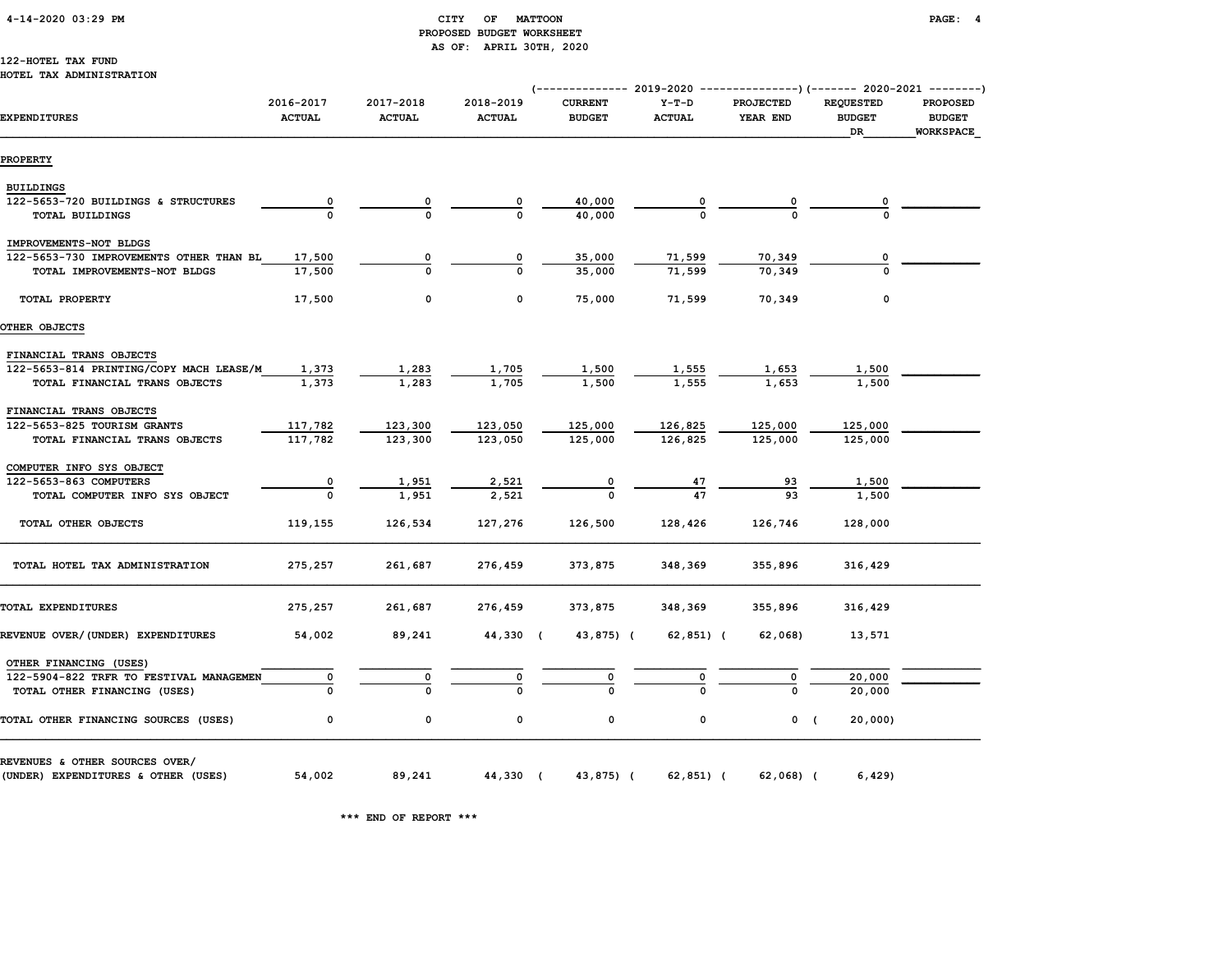# 4-14-2020 03:29 PM CITY OF MATTOON PAGE: 4 PROPOSED BUDGET WORKSHEET AS OF: APRIL 30TH, 2020

#### 122-HOTEL TAX FUND HOTEL TAX ADMINISTRATION

|                                         |                            |                            |                            |                                 |                          |                              |                                         | (-------------- 2019-2020 ----------------) (------- 2020-2021 --------) |  |
|-----------------------------------------|----------------------------|----------------------------|----------------------------|---------------------------------|--------------------------|------------------------------|-----------------------------------------|--------------------------------------------------------------------------|--|
| <b>EXPENDITURES</b>                     | 2016-2017<br><b>ACTUAL</b> | 2017-2018<br><b>ACTUAL</b> | 2018-2019<br><b>ACTUAL</b> | <b>CURRENT</b><br><b>BUDGET</b> | $Y-T-D$<br><b>ACTUAL</b> | <b>PROJECTED</b><br>YEAR END | <b>REQUESTED</b><br><b>BUDGET</b><br>DR | <b>PROPOSED</b><br><b>BUDGET</b><br>WORKSPACE                            |  |
| <b>PROPERTY</b>                         |                            |                            |                            |                                 |                          |                              |                                         |                                                                          |  |
| <b>BUILDINGS</b>                        |                            |                            |                            |                                 |                          |                              |                                         |                                                                          |  |
| 122-5653-720 BUILDINGS & STRUCTURES     | $\overline{\mathbf{0}}$    |                            | 0                          | 40,000                          |                          | 0                            |                                         |                                                                          |  |
| TOTAL BUILDINGS                         |                            | $\Omega$                   | $\Omega$                   | 40,000                          |                          |                              |                                         |                                                                          |  |
| IMPROVEMENTS-NOT BLDGS                  |                            |                            |                            |                                 |                          |                              |                                         |                                                                          |  |
| 122-5653-730 IMPROVEMENTS OTHER THAN BL | 17,500                     |                            | 0                          | 35,000                          | 71,599                   | 70,349                       | 0                                       |                                                                          |  |
| TOTAL IMPROVEMENTS-NOT BLDGS            | 17,500                     | 0                          | $\Omega$                   | 35,000                          | 71,599                   | 70,349                       |                                         |                                                                          |  |
| TOTAL PROPERTY                          | 17,500                     | 0                          | 0                          | 75,000                          | 71,599                   | 70,349                       | $\mathbf 0$                             |                                                                          |  |
| OTHER OBJECTS                           |                            |                            |                            |                                 |                          |                              |                                         |                                                                          |  |
| FINANCIAL TRANS OBJECTS                 |                            |                            |                            |                                 |                          |                              |                                         |                                                                          |  |
| 122-5653-814 PRINTING/COPY MACH LEASE/M | 1,373                      | 1,283                      | 1,705                      | 1,500                           | <u>1,555</u>             | 1,653                        | 1,500                                   |                                                                          |  |
| TOTAL FINANCIAL TRANS OBJECTS           | 1,373                      | 1,283                      | 1,705                      | 1,500                           | 1,555                    | 1,653                        | 1,500                                   |                                                                          |  |
| FINANCIAL TRANS OBJECTS                 |                            |                            |                            |                                 |                          |                              |                                         |                                                                          |  |
| 122-5653-825 TOURISM GRANTS             | 117,782                    | 123,300                    | 123,050                    | 125,000                         | 126,825                  | 125,000                      | 125,000                                 |                                                                          |  |
| TOTAL FINANCIAL TRANS OBJECTS           | 117,782                    | 123,300                    | 123,050                    | 125,000                         | 126,825                  | 125,000                      | 125,000                                 |                                                                          |  |
| COMPUTER INFO SYS OBJECT                |                            |                            |                            |                                 |                          |                              |                                         |                                                                          |  |
| 122-5653-863 COMPUTERS                  | 0                          | 1,951                      | 2,521                      | $\overline{\mathbf{0}}$         | $\frac{47}{47}$          | <u>93</u>                    | 1,500                                   |                                                                          |  |
| TOTAL COMPUTER INFO SYS OBJECT          | $\Omega$                   | 1,951                      | 2,521                      |                                 |                          | 93                           | 1,500                                   |                                                                          |  |
| TOTAL OTHER OBJECTS                     | 119,155                    | 126,534                    | 127,276                    | 126,500                         | 128,426                  | 126,746                      | 128,000                                 |                                                                          |  |
| TOTAL HOTEL TAX ADMINISTRATION          | 275,257                    | 261,687                    | 276,459                    | 373,875                         | 348,369                  | 355,896                      | 316,429                                 |                                                                          |  |
| TOTAL EXPENDITURES                      | 275,257                    | 261,687                    | 276,459                    | 373,875                         | 348,369                  | 355,896                      | 316,429                                 |                                                                          |  |
| REVENUE OVER/(UNDER) EXPENDITURES       | 54,002                     | 89,241                     | 44,330 (                   | 43,875) (                       | 62,851) (                | 62,068)                      | 13,571                                  |                                                                          |  |
| OTHER FINANCING (USES)                  |                            |                            |                            |                                 |                          |                              |                                         |                                                                          |  |
| 122-5904-822 TRFR TO FESTIVAL MANAGEMEN | 0                          | 0                          | $\overline{\mathbf{0}}$    | $\overline{\mathbf{0}}$         |                          | $\mathbf{o}$                 | 20,000                                  |                                                                          |  |
| TOTAL OTHER FINANCING (USES)            |                            |                            |                            |                                 |                          |                              | 20,000                                  |                                                                          |  |
| TOTAL OTHER FINANCING SOURCES (USES)    | 0                          | 0                          | 0                          | 0                               | 0                        | $0 \quad ($                  | 20,000)                                 |                                                                          |  |
| REVENUES & OTHER SOURCES OVER/          |                            |                            |                            |                                 |                          |                              |                                         |                                                                          |  |
| (UNDER) EXPENDITURES & OTHER (USES)     | 54,002                     | 89,241                     | 44,330 (                   | 43,875) (                       | $62,851$ ) (             | 62,068) (                    | 6,429                                   |                                                                          |  |

\*\*\* END OF REPORT \*\*\*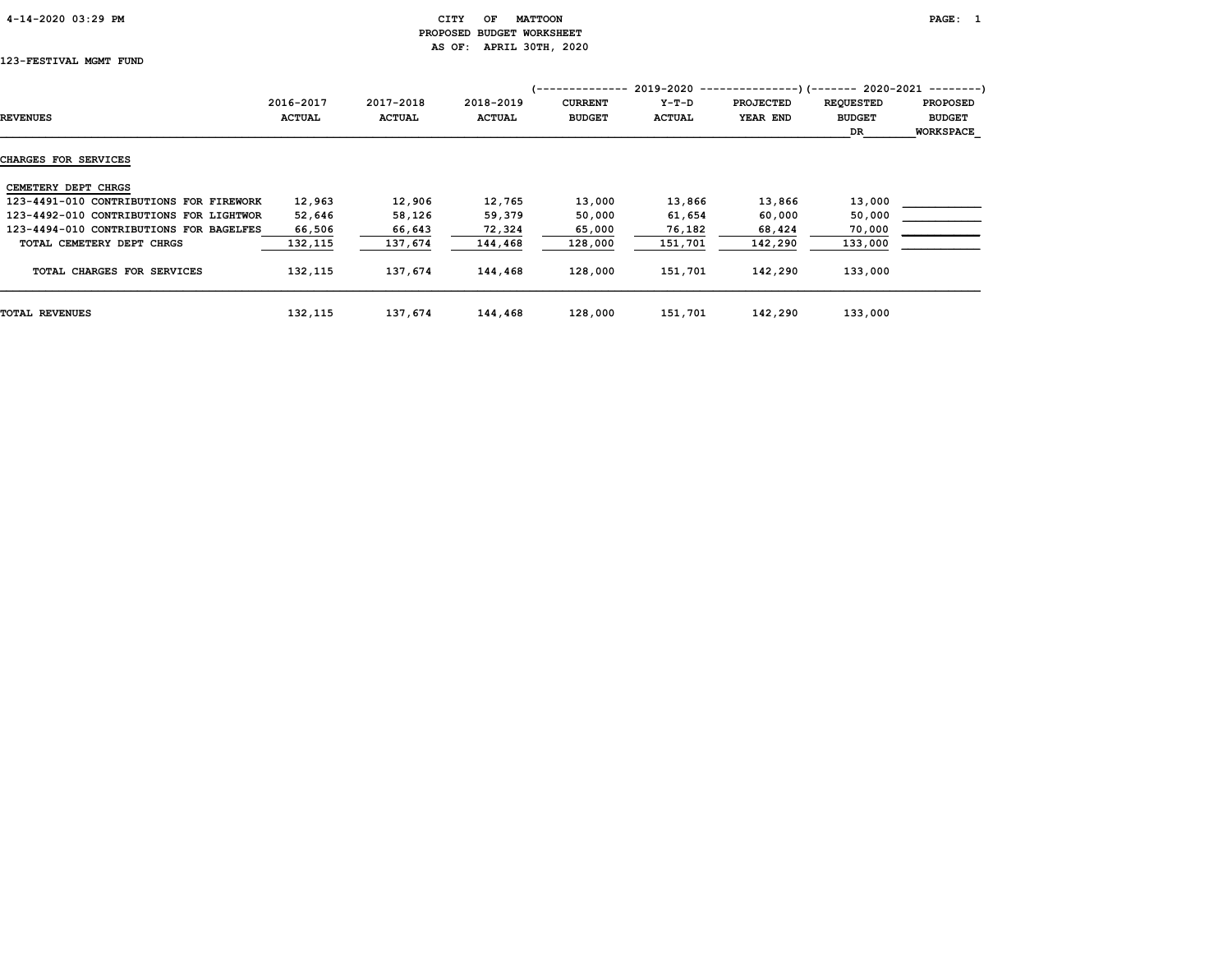# 4-14-2020 03:29 PM CITY OF MATTOON PAGE: 1 PROPOSED BUDGET WORKSHEET AS OF: APRIL 30TH, 2020

# 123-FESTIVAL MGMT FUND

|                                         |               |               |               | 1-------------- |         | $2019-2020$ ----------------) (------- 2020-2021 ---------) |                  |                  |
|-----------------------------------------|---------------|---------------|---------------|-----------------|---------|-------------------------------------------------------------|------------------|------------------|
|                                         | 2016-2017     | 2017-2018     | 2018-2019     | <b>CURRENT</b>  | $Y-T-D$ | <b>PROJECTED</b>                                            | <b>REQUESTED</b> | <b>PROPOSED</b>  |
| <b>REVENUES</b>                         | <b>ACTUAL</b> | <b>ACTUAL</b> | <b>ACTUAL</b> | <b>BUDGET</b>   | ACTUAL  | YEAR END                                                    | <b>BUDGET</b>    | <b>BUDGET</b>    |
|                                         |               |               |               |                 |         |                                                             | DR.              | <b>WORKSPACE</b> |
| <b>CHARGES FOR SERVICES</b>             |               |               |               |                 |         |                                                             |                  |                  |
| CEMETERY DEPT CHRGS                     |               |               |               |                 |         |                                                             |                  |                  |
| 123-4491-010 CONTRIBUTIONS FOR FIREWORK | 12,963        | 12,906        | 12,765        | 13,000          | 13,866  | 13,866                                                      | 13,000           |                  |
| 123-4492-010 CONTRIBUTIONS FOR LIGHTWOR | 52,646        | 58,126        | 59,379        | 50,000          | 61,654  | 60,000                                                      | 50,000           |                  |
| 123-4494-010 CONTRIBUTIONS FOR BAGELFES | 66,506        | 66,643        | 72,324        | 65,000          | 76,182  | 68,424                                                      | 70,000           |                  |
| TOTAL CEMETERY DEPT CHRGS               | 132,115       | 137,674       | 144,468       | 128,000         | 151,701 | 142,290                                                     | 133,000          |                  |
| TOTAL CHARGES FOR SERVICES              | 132,115       | 137,674       | 144,468       | 128,000         | 151,701 | 142,290                                                     | 133,000          |                  |
| <b>TOTAL REVENUES</b>                   | 132,115       | 137,674       | 144,468       | 128,000         | 151,701 | 142,290                                                     | 133,000          |                  |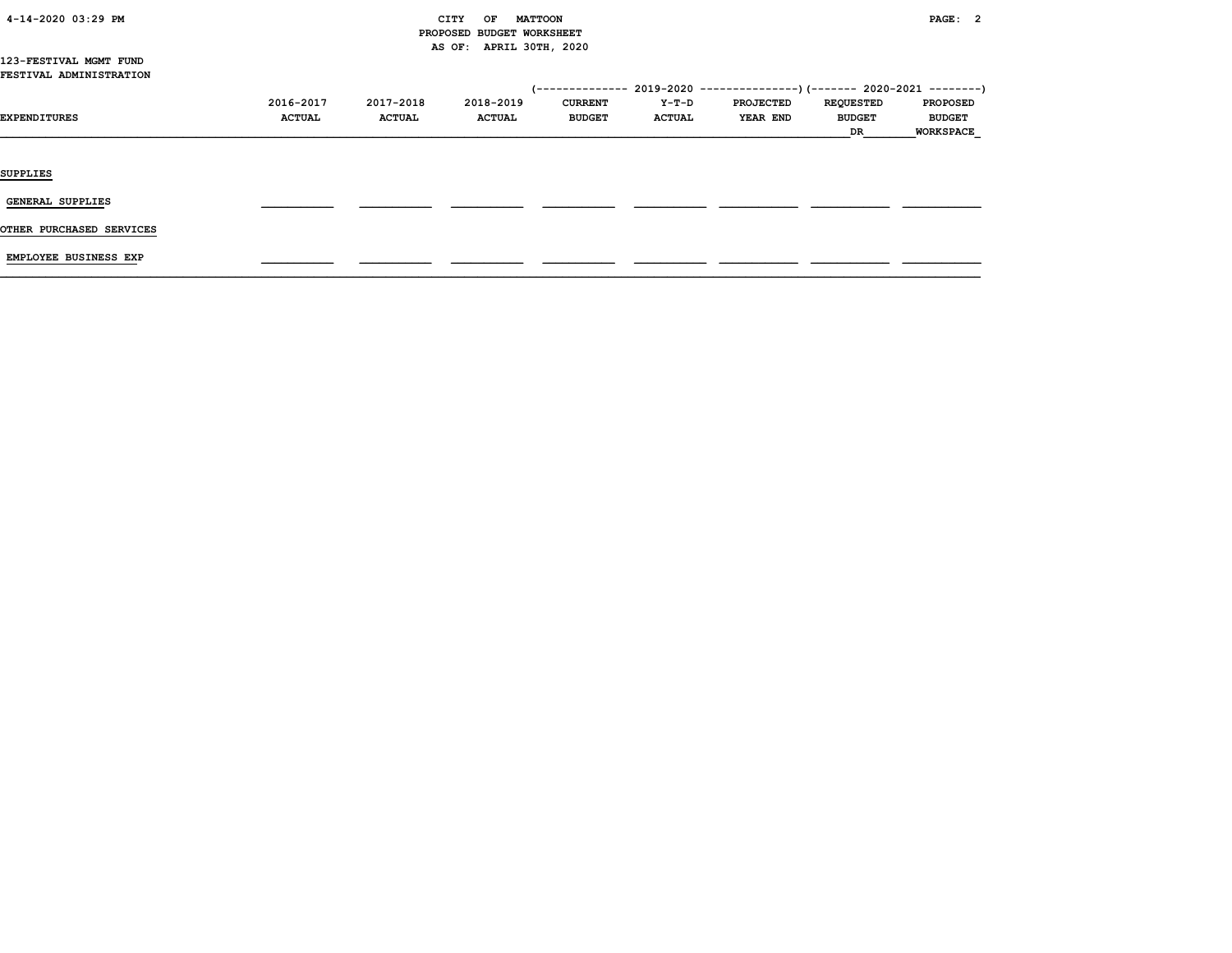| 4-14-2020 03:29 PM |  |
|--------------------|--|
|                    |  |

# CITY OF MATTOON **PAGE: 2**  PROPOSED BUDGET WORKSHEET AS OF: APRIL 30TH, 2020

#### 123-FESTIVAL MGMT FUND FESTIVAL ADMINISTRATION

| <b>EXPENDITURES</b>      | 2016-2017<br><b>ACTUAL</b> | 2017-2018<br><b>ACTUAL</b> | 2018-2019<br><b>ACTUAL</b> | <b>CURRENT</b><br><b>BUDGET</b> | Y-T-D<br><b>ACTUAL</b> | (-------------- 2019-2020 ----------------) (------- 2020-2021 --------)<br><b>PROJECTED</b><br><b>YEAR END</b> | <b>REQUESTED</b><br><b>BUDGET</b><br>DR | <b>PROPOSED</b><br><b>BUDGET</b><br><b>WORKSPACE</b> |
|--------------------------|----------------------------|----------------------------|----------------------------|---------------------------------|------------------------|-----------------------------------------------------------------------------------------------------------------|-----------------------------------------|------------------------------------------------------|
| <b>SUPPLIES</b>          |                            |                            |                            |                                 |                        |                                                                                                                 |                                         |                                                      |
| GENERAL SUPPLIES         |                            |                            |                            |                                 |                        |                                                                                                                 |                                         |                                                      |
| OTHER PURCHASED SERVICES |                            |                            |                            |                                 |                        |                                                                                                                 |                                         |                                                      |

EMPLOYEE BUSINESS EXP \_\_\_\_\_\_\_\_\_\_\_ \_\_\_\_\_\_\_\_\_\_\_ \_\_\_\_\_\_\_\_\_\_\_ \_\_\_\_\_\_\_\_\_\_\_ \_\_\_\_\_\_\_\_\_\_\_ \_\_\_\_\_\_\_\_\_\_\_\_ \_\_\_\_\_\_\_\_\_\_\_\_ \_\_\_\_\_\_\_\_\_\_\_\_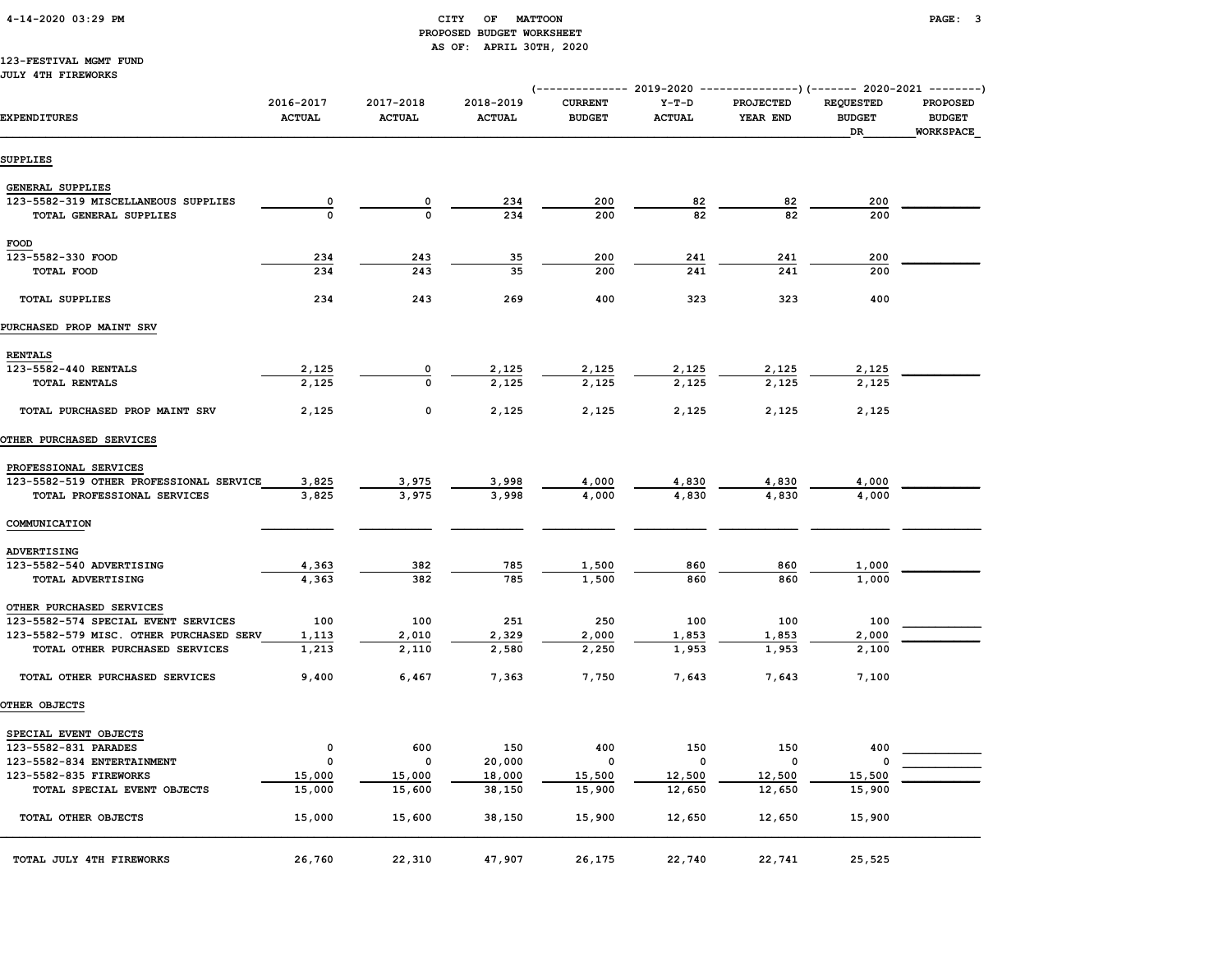# 4-14-2020 03:29 PM CITY OF MATTOON PAGE: 3 PROPOSED BUDGET WORKSHEET AS OF: APRIL 30TH, 2020

#### 123-FESTIVAL MGMT FUND JULY 4TH FIREWORKS

|                                               |                            |                            |                            |                                 |                          | ------------ 2019-2020 ---------------) (------- 2020-2021 --------) |                                         |                                               |
|-----------------------------------------------|----------------------------|----------------------------|----------------------------|---------------------------------|--------------------------|----------------------------------------------------------------------|-----------------------------------------|-----------------------------------------------|
| <b>EXPENDITURES</b>                           | 2016-2017<br><b>ACTUAL</b> | 2017-2018<br><b>ACTUAL</b> | 2018-2019<br><b>ACTUAL</b> | <b>CURRENT</b><br><b>BUDGET</b> | $Y-T-D$<br><b>ACTUAL</b> | <b>PROJECTED</b><br>YEAR END                                         | <b>REQUESTED</b><br><b>BUDGET</b><br>DR | PROPOSED<br><b>BUDGET</b><br><b>WORKSPACE</b> |
| <b>SUPPLIES</b>                               |                            |                            |                            |                                 |                          |                                                                      |                                         |                                               |
| <b>GENERAL SUPPLIES</b>                       |                            |                            |                            |                                 |                          |                                                                      |                                         |                                               |
| 123-5582-319 MISCELLANEOUS SUPPLIES           | $\overline{\mathbf{0}}$    | 0                          | 234                        | 200                             | 82                       | 82                                                                   | 200                                     |                                               |
| TOTAL GENERAL SUPPLIES                        | $\mathbf 0$                | 0                          | 234                        | 200                             | 82                       | 82                                                                   | 200                                     |                                               |
|                                               |                            |                            |                            |                                 |                          |                                                                      |                                         |                                               |
| <b>FOOD</b><br>123-5582-330 FOOD              | 234                        | 243                        | 35                         | 200                             | 241                      | 241                                                                  | 200                                     |                                               |
|                                               | 234                        | 243                        | 35                         | 200                             | 241                      | 241                                                                  | 200                                     |                                               |
| TOTAL FOOD                                    |                            |                            |                            |                                 |                          |                                                                      |                                         |                                               |
| <b>TOTAL SUPPLIES</b>                         | 234                        | 243                        | 269                        | 400                             | 323                      | 323                                                                  | 400                                     |                                               |
| PURCHASED PROP MAINT SRV                      |                            |                            |                            |                                 |                          |                                                                      |                                         |                                               |
| <b>RENTALS</b>                                |                            |                            |                            |                                 |                          |                                                                      |                                         |                                               |
| 123-5582-440 RENTALS                          | 2,125                      | 0                          | 2,125                      | 2,125                           | 2,125                    | 2,125                                                                | 2,125                                   |                                               |
| <b>TOTAL RENTALS</b>                          | 2,125                      | $\Omega$                   | 2,125                      | 2,125                           | 2,125                    | 2.125                                                                | 2,125                                   |                                               |
|                                               |                            |                            |                            |                                 |                          |                                                                      |                                         |                                               |
| TOTAL PURCHASED PROP MAINT SRV                | 2,125                      | 0                          | 2,125                      | 2,125                           | 2,125                    | 2,125                                                                | 2,125                                   |                                               |
| OTHER PURCHASED SERVICES                      |                            |                            |                            |                                 |                          |                                                                      |                                         |                                               |
| PROFESSIONAL SERVICES                         |                            |                            |                            |                                 |                          |                                                                      |                                         |                                               |
| 123-5582-519 OTHER PROFESSIONAL SERVICE       | 3,825                      | 3,975                      | 3,998                      | 4,000                           | 4,830                    | 4,830                                                                | 4,000                                   |                                               |
| TOTAL PROFESSIONAL SERVICES                   | 3,825                      | 3,975                      | 3,998                      | 4,000                           | 4,830                    | 4,830                                                                | 4,000                                   |                                               |
| COMMUNICATION                                 |                            |                            |                            |                                 |                          |                                                                      |                                         |                                               |
|                                               |                            |                            |                            |                                 |                          |                                                                      |                                         |                                               |
| ADVERTISING                                   |                            |                            |                            |                                 |                          |                                                                      |                                         |                                               |
| 123-5582-540 ADVERTISING                      | 4,363                      | 382                        | 785                        | 1,500                           | 860                      | 860                                                                  | 1,000                                   |                                               |
| TOTAL ADVERTISING                             | 4,363                      | 382                        | 785                        | 1,500                           | 860                      | 860                                                                  | 1,000                                   |                                               |
| OTHER PURCHASED SERVICES                      |                            |                            |                            |                                 |                          |                                                                      |                                         |                                               |
| 123-5582-574 SPECIAL EVENT SERVICES           | 100                        | 100                        | 251                        | 250                             | 100                      | 100                                                                  | 100                                     |                                               |
| 123-5582-579 MISC. OTHER PURCHASED SERV       | 1,113                      | 2,010                      | 2,329                      | 2,000                           | 1,853                    | 1,853                                                                | 2,000                                   |                                               |
| TOTAL OTHER PURCHASED SERVICES                | 1,213                      | 2,110                      | 2,580                      | 2,250                           | 1,953                    | 1,953                                                                | 2,100                                   |                                               |
| TOTAL OTHER PURCHASED SERVICES                | 9,400                      | 6,467                      | 7,363                      | 7,750                           | 7,643                    | 7,643                                                                | 7,100                                   |                                               |
| OTHER OBJECTS                                 |                            |                            |                            |                                 |                          |                                                                      |                                         |                                               |
|                                               |                            |                            |                            |                                 |                          |                                                                      |                                         |                                               |
| SPECIAL EVENT OBJECTS<br>123-5582-831 PARADES | 0                          | 600                        | 150                        | 400                             | 150                      | 150                                                                  | 400                                     |                                               |
| 123-5582-834 ENTERTAINMENT                    | 0                          | 0                          | 20,000                     | $\mathbf 0$                     | $\Omega$                 | $\mathsf{o}\,$                                                       | O                                       |                                               |
| 123-5582-835 FIREWORKS                        |                            | 15,000                     | 18,000                     | 15,500                          | 12,500                   | 12,500                                                               | 15,500                                  |                                               |
| TOTAL SPECIAL EVENT OBJECTS                   | 15,000<br>15,000           | 15,600                     | 38,150                     | 15,900                          | 12,650                   | 12,650                                                               | 15,900                                  |                                               |
|                                               |                            |                            |                            |                                 |                          |                                                                      |                                         |                                               |
| TOTAL OTHER OBJECTS                           | 15,000                     | 15,600                     | 38,150                     | 15,900                          | 12,650                   | 12,650                                                               | 15,900                                  |                                               |
| TOTAL JULY 4TH FIREWORKS                      | 26,760                     | 22,310                     | 47,907                     | 26,175                          | 22,740                   | 22,741                                                               | 25,525                                  |                                               |
|                                               |                            |                            |                            |                                 |                          |                                                                      |                                         |                                               |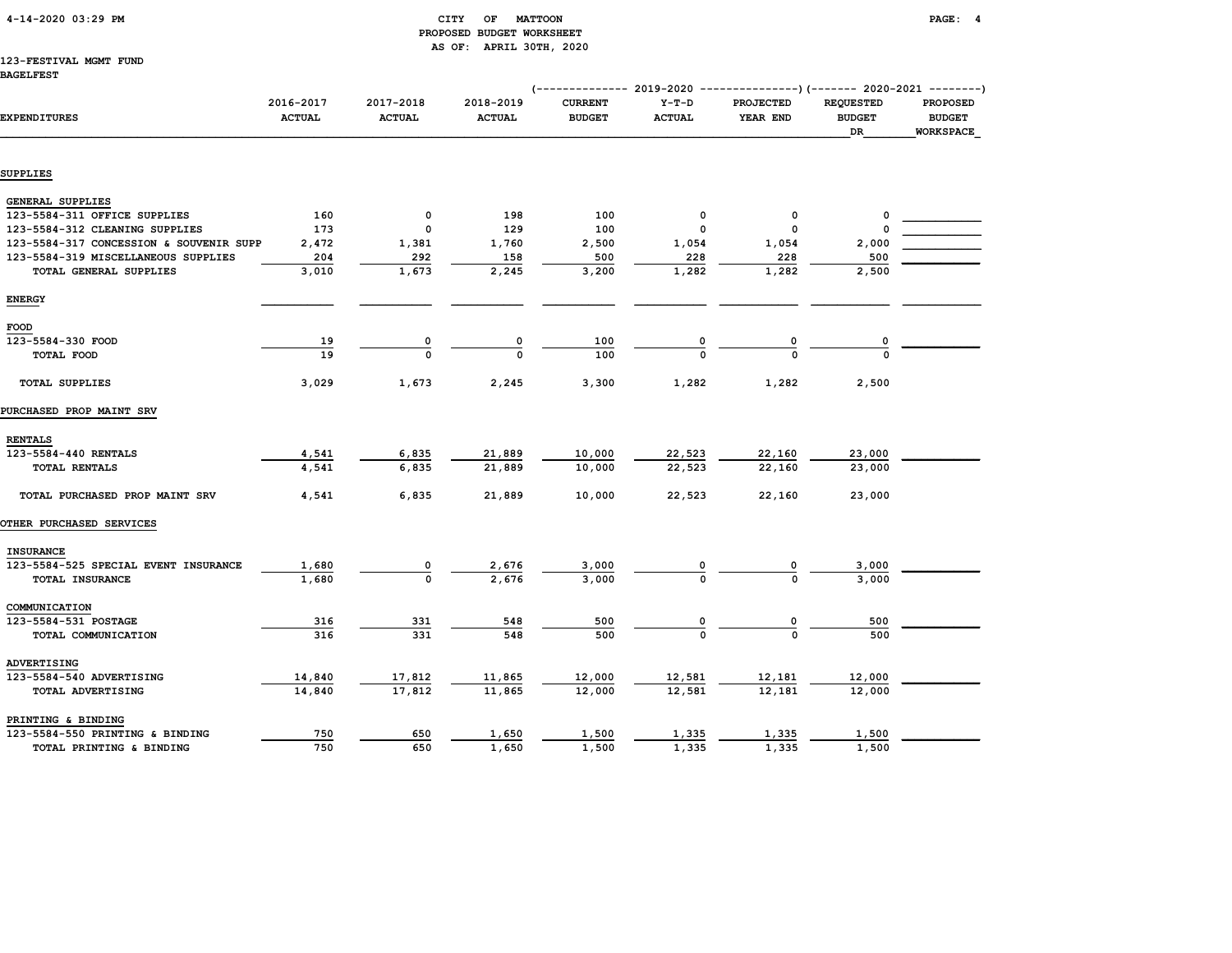# CITY OF MATTOON **PAGE:** 4 PROPOSED BUDGET WORKSHEET AS OF: APRIL 30TH, 2020

# 123-FESTIVAL MGMT FUND

|                                         |               |               |               | ------------- 2019-2020 ----------------) (------- 2020-2021 --------) |               |                  |                  |                  |
|-----------------------------------------|---------------|---------------|---------------|------------------------------------------------------------------------|---------------|------------------|------------------|------------------|
|                                         | 2016-2017     | 2017-2018     | 2018-2019     | <b>CURRENT</b>                                                         | $Y-T-D$       | <b>PROJECTED</b> | <b>REQUESTED</b> | <b>PROPOSED</b>  |
| <b>EXPENDITURES</b>                     | <b>ACTUAL</b> | <b>ACTUAL</b> | <b>ACTUAL</b> | <b>BUDGET</b>                                                          | <b>ACTUAL</b> | YEAR END         | <b>BUDGET</b>    | <b>BUDGET</b>    |
|                                         |               |               |               |                                                                        |               |                  | DR               | <b>WORKSPACE</b> |
|                                         |               |               |               |                                                                        |               |                  |                  |                  |
| <b>SUPPLIES</b>                         |               |               |               |                                                                        |               |                  |                  |                  |
| <b>GENERAL SUPPLIES</b>                 |               |               |               |                                                                        |               |                  |                  |                  |
| 123-5584-311 OFFICE SUPPLIES            | 160           | 0             | 198           | 100                                                                    | 0             | 0                | 0                |                  |
| 123-5584-312 CLEANING SUPPLIES          | 173           | 0             | 129           | 100                                                                    | 0             | 0                |                  |                  |
| 123-5584-317 CONCESSION & SOUVENIR SUPP | 2,472         | 1,381         | 1,760         | 2,500                                                                  | 1,054         | 1,054            | 2,000            |                  |
| 123-5584-319 MISCELLANEOUS SUPPLIES     | 204           | 292           | 158           | 500                                                                    | 228           | 228              | 500              |                  |
| TOTAL GENERAL SUPPLIES                  | 3,010         | 1,673         | 2,245         | 3,200                                                                  | 1,282         | 1,282            | 2,500            |                  |
| <b>ENERGY</b>                           |               |               |               |                                                                        |               |                  |                  |                  |
| FOOD                                    |               |               |               |                                                                        |               |                  |                  |                  |
| 123-5584-330 FOOD                       |               | 0             | 0             | 100                                                                    |               |                  |                  |                  |
|                                         | 19<br>19      | $\Omega$      | O             | 100                                                                    | 0             | 0<br>$\Omega$    | 0<br>$\Omega$    |                  |
| TOTAL FOOD                              |               |               |               |                                                                        |               |                  |                  |                  |
| <b>TOTAL SUPPLIES</b>                   | 3,029         | 1,673         | 2,245         | 3,300                                                                  | 1,282         | 1,282            | 2,500            |                  |
| PURCHASED PROP MAINT SRV                |               |               |               |                                                                        |               |                  |                  |                  |
| <b>RENTALS</b>                          |               |               |               |                                                                        |               |                  |                  |                  |
| 123-5584-440 RENTALS                    | 4,541         | 6,835         | 21,889        | 10,000                                                                 | 22,523        | 22,160           | 23,000           |                  |
| TOTAL RENTALS                           | 4,541         | 6,835         | 21,889        | 10,000                                                                 | 22,523        | 22,160           | 23,000           |                  |
| TOTAL PURCHASED PROP MAINT SRV          | 4,541         | 6,835         | 21,889        | 10,000                                                                 | 22,523        | 22,160           | 23,000           |                  |
| <b>OTHER PURCHASED SERVICES</b>         |               |               |               |                                                                        |               |                  |                  |                  |
| <b>INSURANCE</b>                        |               |               |               |                                                                        |               |                  |                  |                  |
| 123-5584-525 SPECIAL EVENT INSURANCE    | 1,680         | 0             | 2,676         | 3,000                                                                  |               |                  | 3,000            |                  |
| TOTAL INSURANCE                         | 1,680         | $\Omega$      | 2,676         | 3,000                                                                  |               |                  | 3,000            |                  |
|                                         |               |               |               |                                                                        |               |                  |                  |                  |
| COMMUNICATION<br>123-5584-531 POSTAGE   | 316           | 331           | 548           | 500                                                                    |               | 0                | 500              |                  |
| TOTAL COMMUNICATION                     | 316           | 331           | 548           | 500                                                                    | $\Omega$      | $\Omega$         | 500              |                  |
|                                         |               |               |               |                                                                        |               |                  |                  |                  |
| ADVERTISING                             |               |               |               |                                                                        |               |                  |                  |                  |
| 123-5584-540 ADVERTISING                | 14,840        | 17,812        | 11,865        | 12,000                                                                 | 12,581        | 12,181           | 12,000           |                  |
| TOTAL ADVERTISING                       | 14,840        | 17,812        | 11,865        | 12,000                                                                 | 12,581        | 12,181           | 12,000           |                  |
| PRINTING & BINDING                      |               |               |               |                                                                        |               |                  |                  |                  |
| 123-5584-550 PRINTING & BINDING         | 750           | 650           | 1,650         | 1,500                                                                  | 1,335         | 1,335            | 1,500            |                  |
| TOTAL PRINTING & BINDING                | 750           | 650           | 1,650         | 1,500                                                                  | 1,335         | 1,335            | 1,500            |                  |
|                                         |               |               |               |                                                                        |               |                  |                  |                  |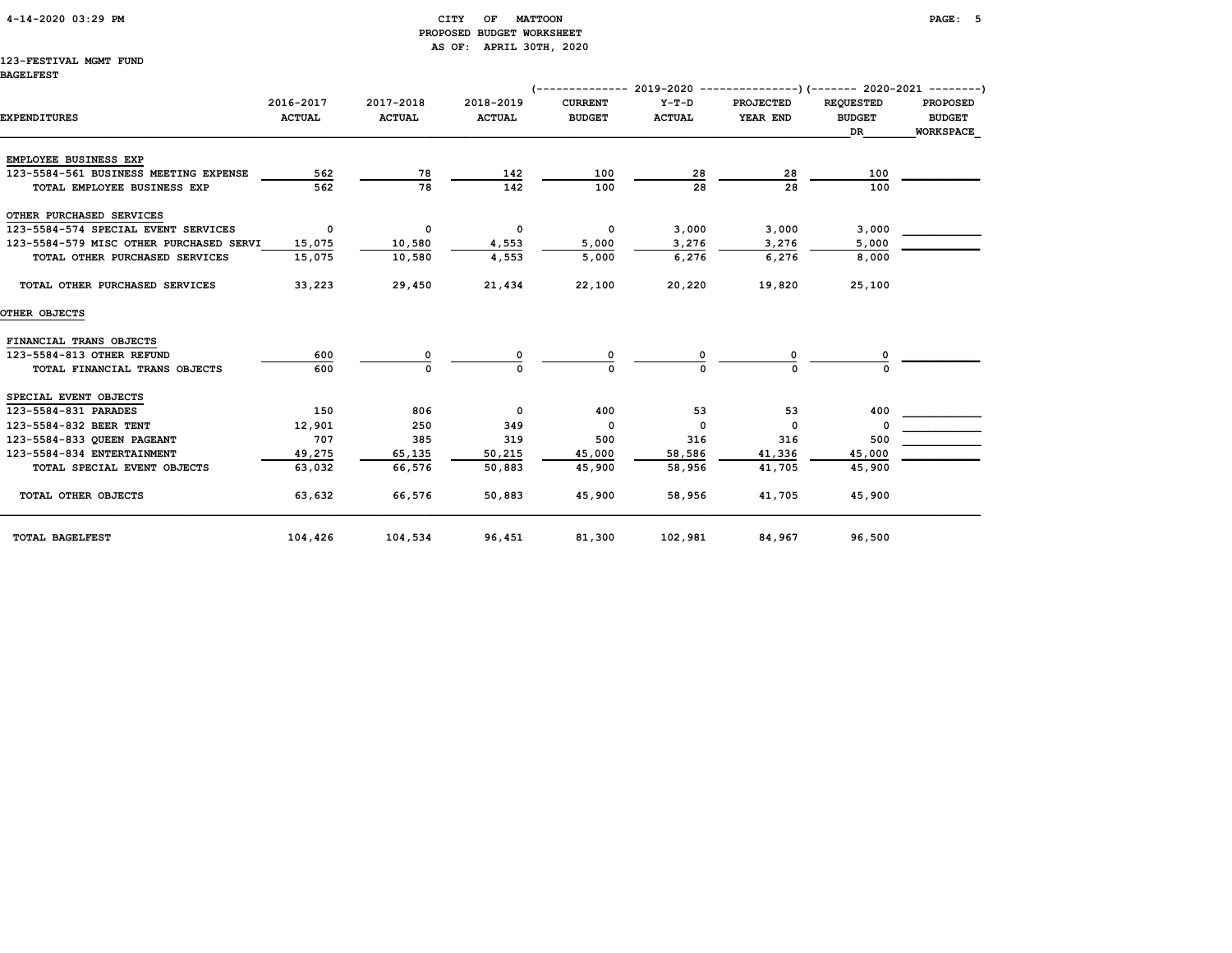# 4-14-2020 03:29 PM CITY OF MATTOON PAGE: 5 PROPOSED BUDGET WORKSHEET AS OF: APRIL 30TH, 2020

# 123-FESTIVAL MGMT FUND

|                                         |                            |                            |                            | $(---------- 2019-2020 ------------)$ $(---- 2020-2021 ------)$ |                          |                              |                                                |                                                      |
|-----------------------------------------|----------------------------|----------------------------|----------------------------|-----------------------------------------------------------------|--------------------------|------------------------------|------------------------------------------------|------------------------------------------------------|
| <b>EXPENDITURES</b>                     | 2016-2017<br><b>ACTUAL</b> | 2017-2018<br><b>ACTUAL</b> | 2018-2019<br><b>ACTUAL</b> | <b>CURRENT</b><br><b>BUDGET</b>                                 | $Y-T-D$<br><b>ACTUAL</b> | <b>PROJECTED</b><br>YEAR END | <b>REQUESTED</b><br><b>BUDGET</b><br><b>DR</b> | <b>PROPOSED</b><br><b>BUDGET</b><br><b>WORKSPACE</b> |
| EMPLOYEE BUSINESS EXP                   |                            |                            |                            |                                                                 |                          |                              |                                                |                                                      |
| 123-5584-561 BUSINESS MEETING EXPENSE   | 562                        | 78                         | 142                        | 100                                                             | 28                       | 28                           | 100                                            |                                                      |
| TOTAL EMPLOYEE BUSINESS EXP             | 562                        | 78                         | 142                        | 100                                                             | 28                       | 28                           | 100                                            |                                                      |
| OTHER PURCHASED SERVICES                |                            |                            |                            |                                                                 |                          |                              |                                                |                                                      |
| 123-5584-574 SPECIAL EVENT SERVICES     | $\overline{\mathbf{0}}$    | 0                          | 0                          | 0                                                               | 3,000                    | 3,000                        | 3,000                                          |                                                      |
| 123-5584-579 MISC OTHER PURCHASED SERVI | 15,075                     | 10,580                     | 4,553                      | 5,000                                                           | 3,276                    | 3,276                        | 5,000                                          |                                                      |
| TOTAL OTHER PURCHASED SERVICES          | 15,075                     | 10,580                     | 4,553                      | 5,000                                                           | 6,276                    | 6,276                        | 8,000                                          |                                                      |
| TOTAL OTHER PURCHASED SERVICES          | 33,223                     | 29,450                     | 21,434                     | 22,100                                                          | 20,220                   | 19,820                       | 25,100                                         |                                                      |
| OTHER OBJECTS                           |                            |                            |                            |                                                                 |                          |                              |                                                |                                                      |
| FINANCIAL TRANS OBJECTS                 |                            |                            |                            |                                                                 |                          |                              |                                                |                                                      |
| 123-5584-813 OTHER REFUND               | 600                        |                            |                            |                                                                 |                          |                              |                                                |                                                      |
| TOTAL FINANCIAL TRANS OBJECTS           | 600                        | $\Omega$                   |                            |                                                                 |                          | U                            |                                                |                                                      |
| SPECIAL EVENT OBJECTS                   |                            |                            |                            |                                                                 |                          |                              |                                                |                                                      |
| 123-5584-831 PARADES                    | 150                        | 806                        | $\mathbf 0$                | 400                                                             | 53                       | 53                           | 400                                            |                                                      |
| 123-5584-832 BEER TENT                  | 12,901                     | 250                        | 349                        | 0                                                               | $\Omega$                 | 0                            |                                                |                                                      |
| 123-5584-833 QUEEN PAGEANT              | 707                        | 385                        | 319                        | 500                                                             | 316                      | 316                          | 500                                            |                                                      |
| 123-5584-834 ENTERTAINMENT              | 49,275                     | 65,135                     | 50,215                     | 45,000                                                          | 58,586                   | 41,336                       | 45,000                                         |                                                      |
| TOTAL SPECIAL EVENT OBJECTS             | 63,032                     | 66,576                     | 50,883                     | 45,900                                                          | 58,956                   | 41,705                       | 45,900                                         |                                                      |
| TOTAL OTHER OBJECTS                     | 63,632                     | 66,576                     | 50,883                     | 45,900                                                          | 58,956                   | 41,705                       | 45,900                                         |                                                      |
| TOTAL BAGELFEST                         | 104,426                    | 104,534                    | 96,451                     | 81,300                                                          | 102,981                  | 84,967                       | 96,500                                         |                                                      |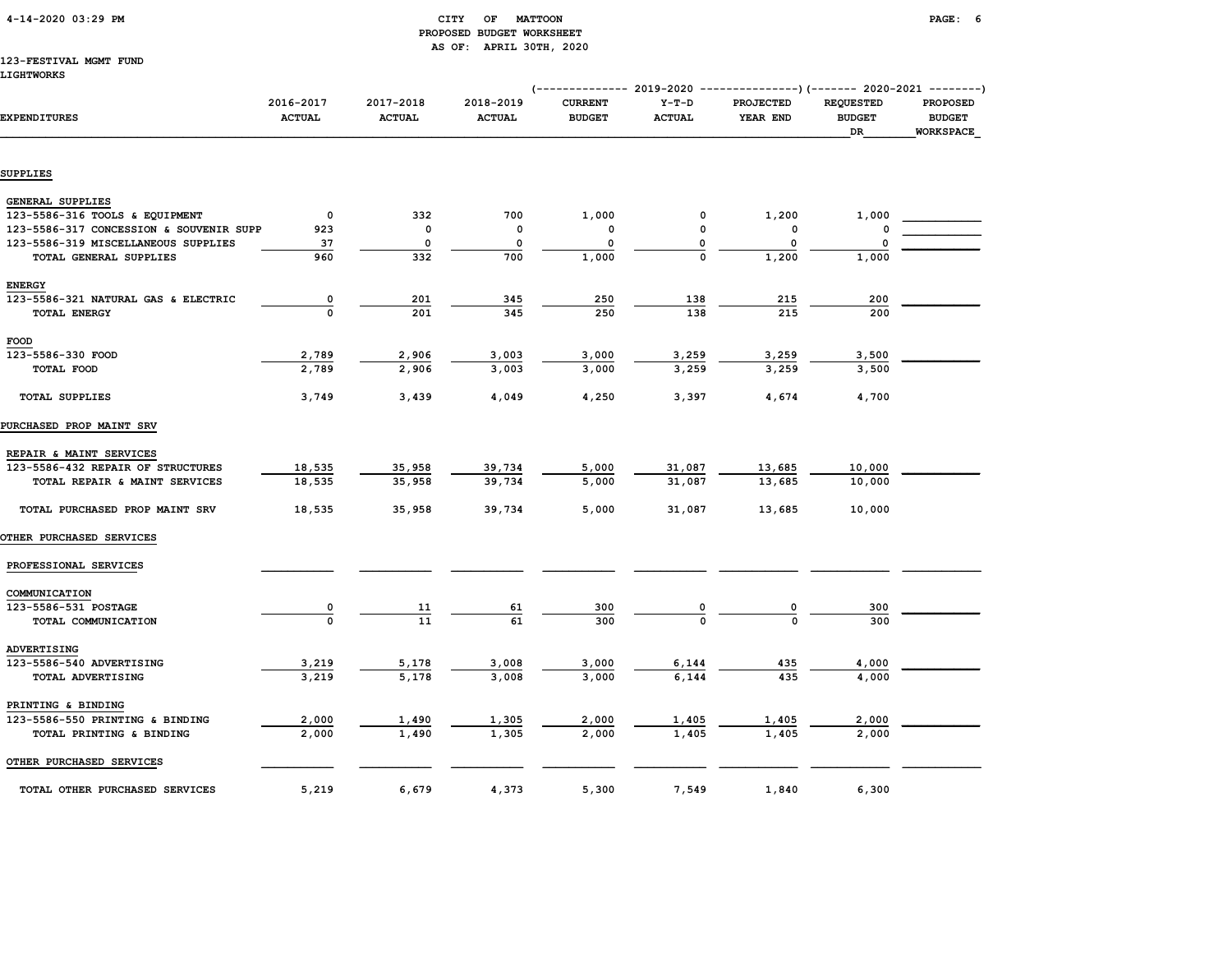| 4-14-2020 03:29 PM |  |
|--------------------|--|
|                    |  |

## CITY OF MATTOON **PAGE:** 6 PROPOSED BUDGET WORKSHEET AS OF: APRIL 30TH, 2020

#### 123-FESTIVAL MGMT FUND LIGHTWORKS

|                                         |                            |                            |                            | (-------------- 2019-2020 ---------------)(------- 2020-2021 --------) |                          |                       |                                         |                                                      |  |
|-----------------------------------------|----------------------------|----------------------------|----------------------------|------------------------------------------------------------------------|--------------------------|-----------------------|-----------------------------------------|------------------------------------------------------|--|
| <b>EXPENDITURES</b>                     | 2016-2017<br><b>ACTUAL</b> | 2017-2018<br><b>ACTUAL</b> | 2018-2019<br><b>ACTUAL</b> | <b>CURRENT</b><br><b>BUDGET</b>                                        | $Y-T-D$<br><b>ACTUAL</b> | PROJECTED<br>YEAR END | <b>REQUESTED</b><br><b>BUDGET</b><br>DR | <b>PROPOSED</b><br><b>BUDGET</b><br><b>WORKSPACE</b> |  |
|                                         |                            |                            |                            |                                                                        |                          |                       |                                         |                                                      |  |
| SUPPLIES                                |                            |                            |                            |                                                                        |                          |                       |                                         |                                                      |  |
| GENERAL SUPPLIES                        |                            |                            |                            |                                                                        |                          |                       |                                         |                                                      |  |
| 123-5586-316 TOOLS & EQUIPMENT          | $\mathbf 0$                | 332                        | 700                        | 1,000                                                                  | 0                        | 1,200                 | 1,000                                   |                                                      |  |
| 123-5586-317 CONCESSION & SOUVENIR SUPP | 923                        | $\mathbf 0$                | 0                          | 0                                                                      | 0                        | 0                     | O                                       |                                                      |  |
| 123-5586-319 MISCELLANEOUS SUPPLIES     | 37                         | 0                          | $\mathbf 0$                | 0                                                                      | 0                        | $\Omega$              | $\mathbf 0$                             |                                                      |  |
| TOTAL GENERAL SUPPLIES                  | 960                        | 332                        | 700                        | 1,000                                                                  | 0                        | 1,200                 | 1,000                                   |                                                      |  |
| <b>ENERGY</b>                           |                            |                            |                            |                                                                        |                          |                       |                                         |                                                      |  |
| 123-5586-321 NATURAL GAS & ELECTRIC     | $\overline{\mathbf{0}}$    | 201                        | 345                        | 250                                                                    | 138                      | 215                   | 200                                     |                                                      |  |
| <b>TOTAL ENERGY</b>                     | $\Omega$                   | 201                        | 345                        | 250                                                                    | 138                      | 215                   | 200                                     |                                                      |  |
| FOOD                                    |                            |                            |                            |                                                                        |                          |                       |                                         |                                                      |  |
| 123-5586-330 FOOD                       | 2,789                      | 2,906                      | 3,003                      | 3,000                                                                  | 3,259                    | 3,259                 | 3,500                                   |                                                      |  |
| TOTAL FOOD                              | 2,789                      | 2,906                      | 3,003                      | 3,000                                                                  | 3,259                    | 3,259                 | 3,500                                   |                                                      |  |
| <b>TOTAL SUPPLIES</b>                   | 3,749                      | 3,439                      | 4,049                      | 4,250                                                                  | 3,397                    | 4,674                 | 4,700                                   |                                                      |  |
| PURCHASED PROP MAINT SRV                |                            |                            |                            |                                                                        |                          |                       |                                         |                                                      |  |
| REPAIR & MAINT SERVICES                 |                            |                            |                            |                                                                        |                          |                       |                                         |                                                      |  |
| 123-5586-432 REPAIR OF STRUCTURES       | 18,535                     | 35,958                     | 39,734                     | 5,000                                                                  | 31,087                   | 13,685                | 10,000                                  |                                                      |  |
| TOTAL REPAIR & MAINT SERVICES           | 18,535                     | 35,958                     | 39,734                     | 5,000                                                                  | 31,087                   | 13,685                | 10,000                                  |                                                      |  |
| TOTAL PURCHASED PROP MAINT SRV          | 18,535                     | 35,958                     | 39,734                     | 5,000                                                                  | 31,087                   | 13,685                | 10,000                                  |                                                      |  |
| OTHER PURCHASED SERVICES                |                            |                            |                            |                                                                        |                          |                       |                                         |                                                      |  |
| PROFESSIONAL SERVICES                   |                            |                            |                            |                                                                        |                          |                       |                                         |                                                      |  |
| COMMUNICATION                           |                            |                            |                            |                                                                        |                          |                       |                                         |                                                      |  |
| 123-5586-531 POSTAGE                    | $\overline{\mathbf{0}}$    | <u>11</u>                  | <u>61</u>                  | 300                                                                    |                          |                       | 300                                     |                                                      |  |
| TOTAL COMMUNICATION                     | $\mathbf 0$                | 11                         | 61                         | 300                                                                    |                          |                       | 300                                     |                                                      |  |
| ADVERTISING                             |                            |                            |                            |                                                                        |                          |                       |                                         |                                                      |  |
| 123-5586-540 ADVERTISING                | 3,219                      | 5,178                      | 3,008                      | 3,000                                                                  | 6,144                    | 435                   | 4,000                                   |                                                      |  |
| TOTAL ADVERTISING                       | 3,219                      | 5,178                      | 3,008                      | 3,000                                                                  | 6,144                    | 435                   | 4,000                                   |                                                      |  |
| PRINTING & BINDING                      |                            |                            |                            |                                                                        |                          |                       |                                         |                                                      |  |
| 123-5586-550 PRINTING & BINDING         | 2,000                      | 1,490                      | 1,305                      | 2,000                                                                  | 1,405                    | <u>1,405</u>          | 2,000                                   |                                                      |  |
| TOTAL PRINTING & BINDING                | 2,000                      | 1,490                      | 1,305                      | 2,000                                                                  | 1,405                    | 1,405                 | 2,000                                   |                                                      |  |
| OTHER PURCHASED SERVICES                |                            |                            |                            |                                                                        |                          |                       |                                         |                                                      |  |
| TOTAL OTHER PURCHASED SERVICES          | 5,219                      | 6,679                      | 4,373                      | 5,300                                                                  | 7,549                    | 1,840                 | 6,300                                   |                                                      |  |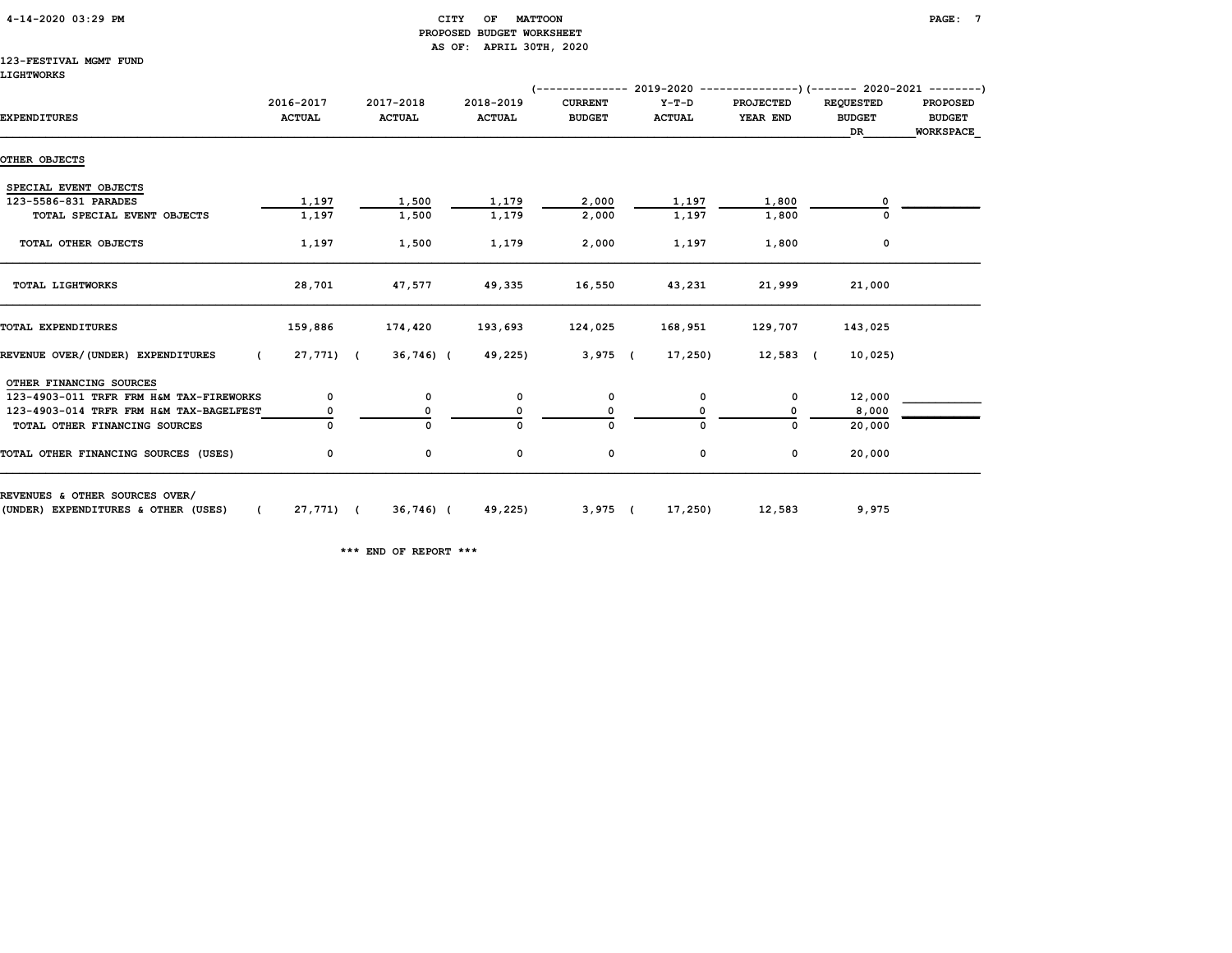# 4-14-2020 03:29 PM CITY OF MATTOON PAGE: 7 PROPOSED BUDGET WORKSHEET AS OF: APRIL 30TH, 2020

# 123-FESTIVAL MGMT FUND

| 2016-2017<br><b>ACTUAL</b> | 2017-2018<br><b>ACTUAL</b>                   | 2018-2019     | <b>CURRENT</b> | $Y-T-D$       | <b>PROJECTED</b> | <b>REQUESTED</b>    | PROPOSED                          |
|----------------------------|----------------------------------------------|---------------|----------------|---------------|------------------|---------------------|-----------------------------------|
|                            |                                              | <b>ACTUAL</b> | <b>BUDGET</b>  | <b>ACTUAL</b> | YEAR END         | <b>BUDGET</b><br>DR | <b>BUDGET</b><br><b>WORKSPACE</b> |
|                            |                                              |               |                |               |                  |                     |                                   |
|                            |                                              |               |                |               |                  |                     |                                   |
|                            |                                              |               |                |               |                  |                     |                                   |
|                            | 1,500                                        | 1,179         | 2,000          | 1,197         | 1,800            |                     |                                   |
|                            | 1,500                                        | 1,179         | 2,000          | 1,197         | 1,800            |                     |                                   |
|                            | 1,500                                        | 1,179         | 2,000          | 1,197         | 1,800            | 0                   |                                   |
|                            | 47,577                                       | 49,335        | 16,550         | 43,231        | 21,999           | 21,000              |                                   |
|                            | 174,420                                      | 193,693       | 124,025        | 168,951       | 129,707          | 143,025             |                                   |
|                            |                                              |               |                | 17,250)       |                  | 10,025)             |                                   |
|                            |                                              |               |                |               |                  |                     |                                   |
| 0                          | 0                                            | 0             | 0              | 0             | 0                | 12,000              |                                   |
|                            | 0                                            | 0             |                |               | O                | 8,000               |                                   |
|                            | $\mathbf{0}$                                 | ŋ             | $\Omega$       |               | 0                | 20,000              |                                   |
| 0                          | 0                                            | 0             | 0              | 0             | 0                | 20,000              |                                   |
|                            | 1,197<br>1,197<br>1,197<br>28,701<br>159,886 | 27,771) (     | $36,746$ ) (   | 49,225)       | $3,975$ (        |                     | $12,583$ (                        |

(UNDER) EXPENDITURES & OTHER (USES) ( 27,771) ( 36,746) ( 49,225) 3,975 ( 17,250) 12,583 9,975

\*\*\* END OF REPORT \*\*\*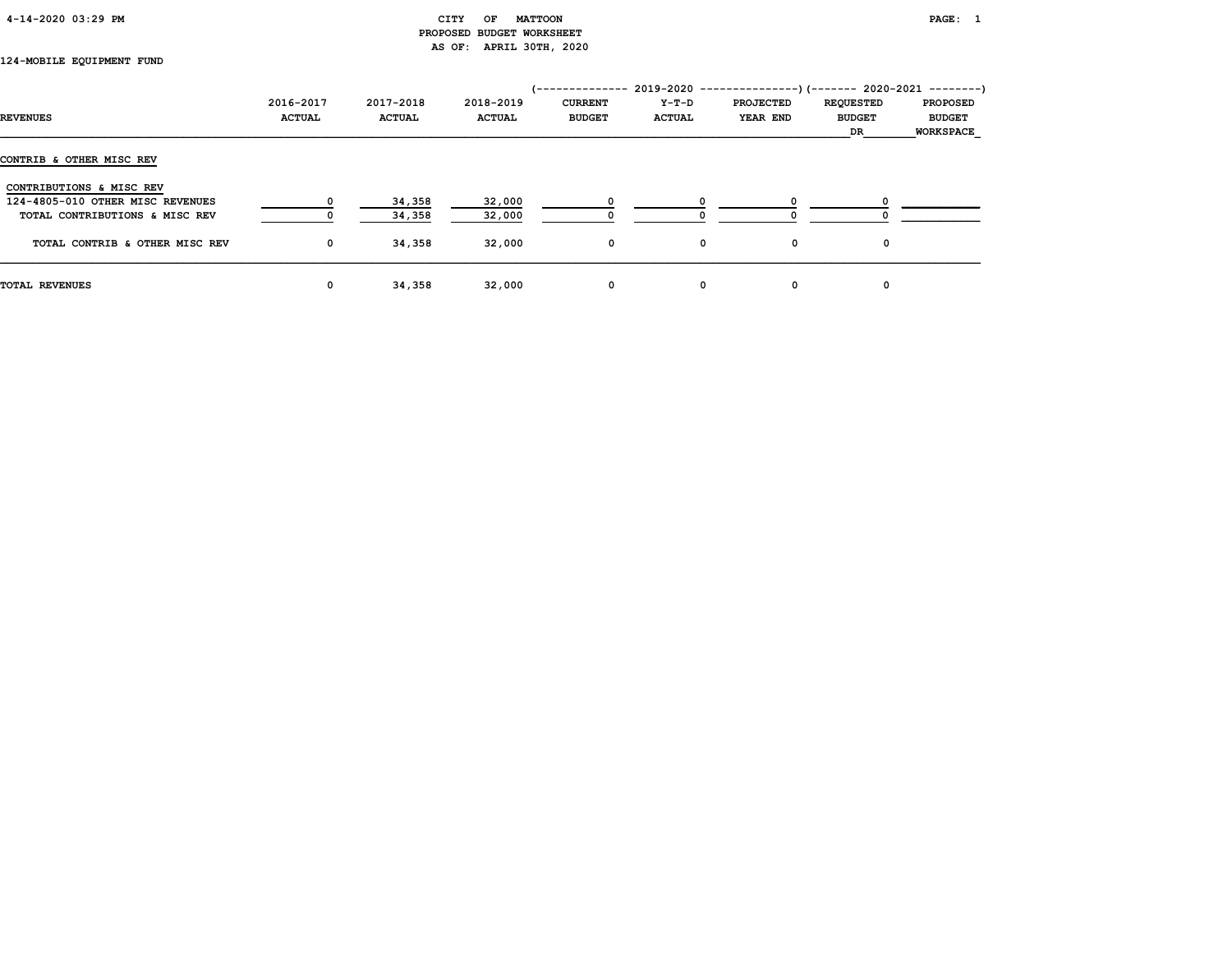| $4 - 14 - 2020$ 03:29 PM |  |  |  |  |
|--------------------------|--|--|--|--|
|--------------------------|--|--|--|--|

# CITY OF MATTOON PAGE: 1 PROPOSED BUDGET WORKSHEET AS OF: APRIL 30TH, 2020

# 124-MOBILE EQUIPMENT FUND

|                                  |               |               |               | /-------------- |               | $2019-2020$ ----------------)(------- 2020-2021 --------) |                  |                  |
|----------------------------------|---------------|---------------|---------------|-----------------|---------------|-----------------------------------------------------------|------------------|------------------|
|                                  | 2016-2017     | 2017-2018     | 2018-2019     | <b>CURRENT</b>  | Y-T-D         | <b>PROJECTED</b>                                          | <b>REQUESTED</b> | <b>PROPOSED</b>  |
| <b>REVENUES</b>                  | <b>ACTUAL</b> | <b>ACTUAL</b> | <b>ACTUAL</b> | <b>BUDGET</b>   | <b>ACTUAL</b> | <b>YEAR END</b>                                           | <b>BUDGET</b>    | <b>BUDGET</b>    |
|                                  |               |               |               |                 |               |                                                           | DR               | <b>WORKSPACE</b> |
| CONTRIB & OTHER MISC REV         |               |               |               |                 |               |                                                           |                  |                  |
| CONTRIBUTIONS & MISC REV         |               |               |               |                 |               |                                                           |                  |                  |
| 124-4805-010 OTHER MISC REVENUES |               | 34,358        | 32,000        |                 |               |                                                           |                  |                  |
| TOTAL CONTRIBUTIONS & MISC REV   |               | 34,358        | 32,000        |                 |               |                                                           |                  |                  |
| TOTAL CONTRIB & OTHER MISC REV   | $\mathbf 0$   | 34,358        | 32,000        | 0               | 0             | 0                                                         | 0                |                  |
| <b>TOTAL REVENUES</b>            | 0             | 34,358        | 32,000        | 0               | 0             | 0                                                         | 0                |                  |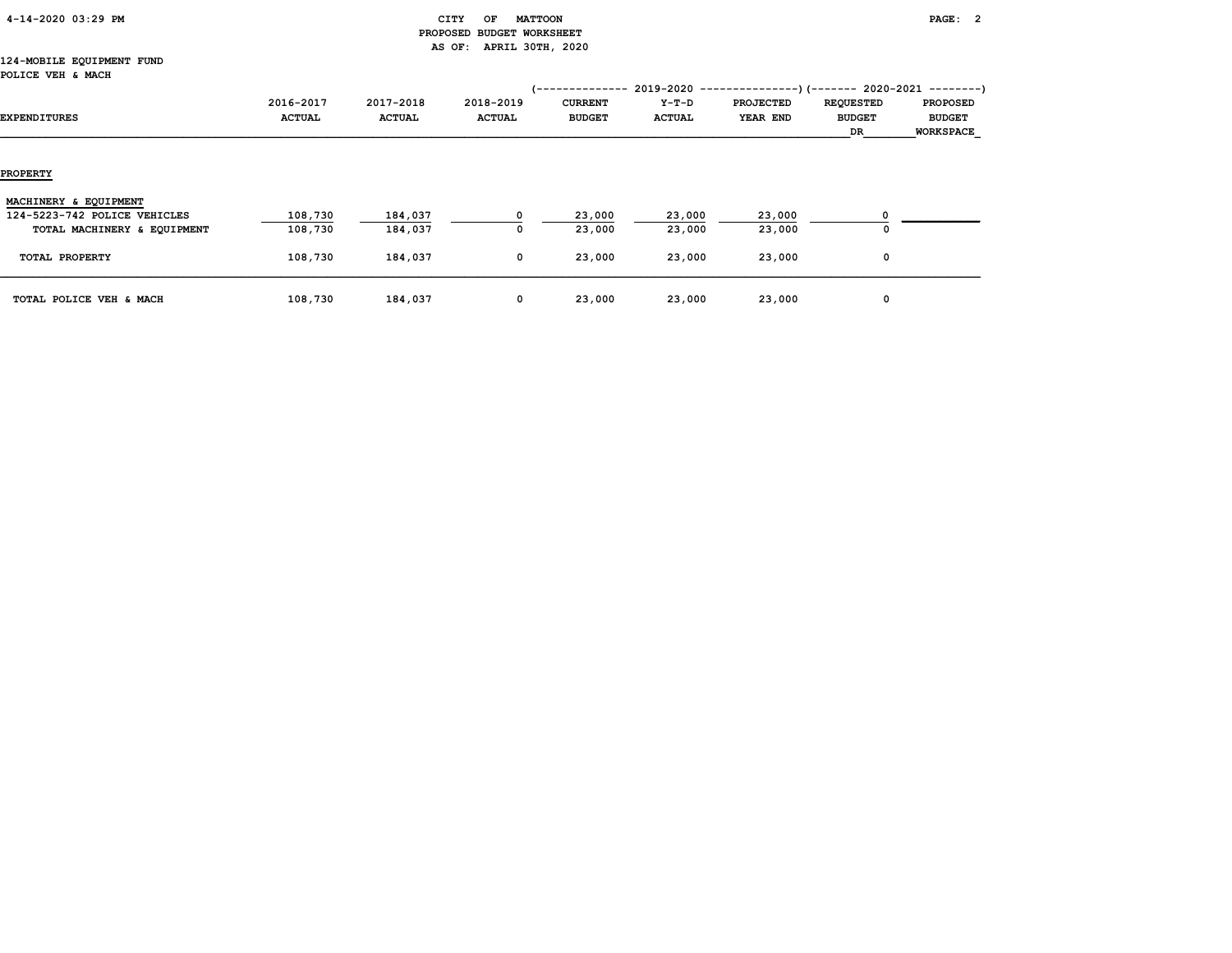| 4-14-2020 03:29 PM |  |  |
|--------------------|--|--|
|--------------------|--|--|

# CITY OF MATTOON **PAGE: 2**  PROPOSED BUDGET WORKSHEET AS OF: APRIL 30TH, 2020

#### 124-MOBILE EQUIPMENT FUND POLICE VEH & MACH

| <b>EXPENDITURES</b>          | 2016-2017<br><b>ACTUAL</b> | 2017-2018<br><b>ACTUAL</b> | 2018-2019<br><b>ACTUAL</b> | /--------------<br><b>CURRENT</b><br><b>BUDGET</b> | Y-T-D<br><b>ACTUAL</b> | $2019-2020$ ----------------) (------- 2020-2021 --------)<br><b>PROJECTED</b><br>YEAR END | <b>REQUESTED</b><br><b>BUDGET</b><br>DR | <b>PROPOSED</b><br><b>BUDGET</b><br>WORKSPACE |
|------------------------------|----------------------------|----------------------------|----------------------------|----------------------------------------------------|------------------------|--------------------------------------------------------------------------------------------|-----------------------------------------|-----------------------------------------------|
| <b>PROPERTY</b>              |                            |                            |                            |                                                    |                        |                                                                                            |                                         |                                               |
| MACHINERY & EQUIPMENT        |                            |                            |                            |                                                    |                        |                                                                                            |                                         |                                               |
| 124-5223-742 POLICE VEHICLES | 108,730                    | 184,037                    | 0                          | 23,000                                             | 23,000                 | 23,000                                                                                     | $\Omega$                                |                                               |
| TOTAL MACHINERY & EQUIPMENT  | 108,730                    | 184,037                    | 0                          | 23,000                                             | 23,000                 | 23,000                                                                                     | 0                                       |                                               |
| TOTAL PROPERTY               | 108,730                    | 184,037                    | 0                          | 23,000                                             | 23,000                 | 23,000                                                                                     | $\mathbf{o}$                            |                                               |
| TOTAL POLICE VEH & MACH      | 108,730                    | 184,037                    | 0                          | 23,000                                             | 23,000                 | 23,000                                                                                     | 0                                       |                                               |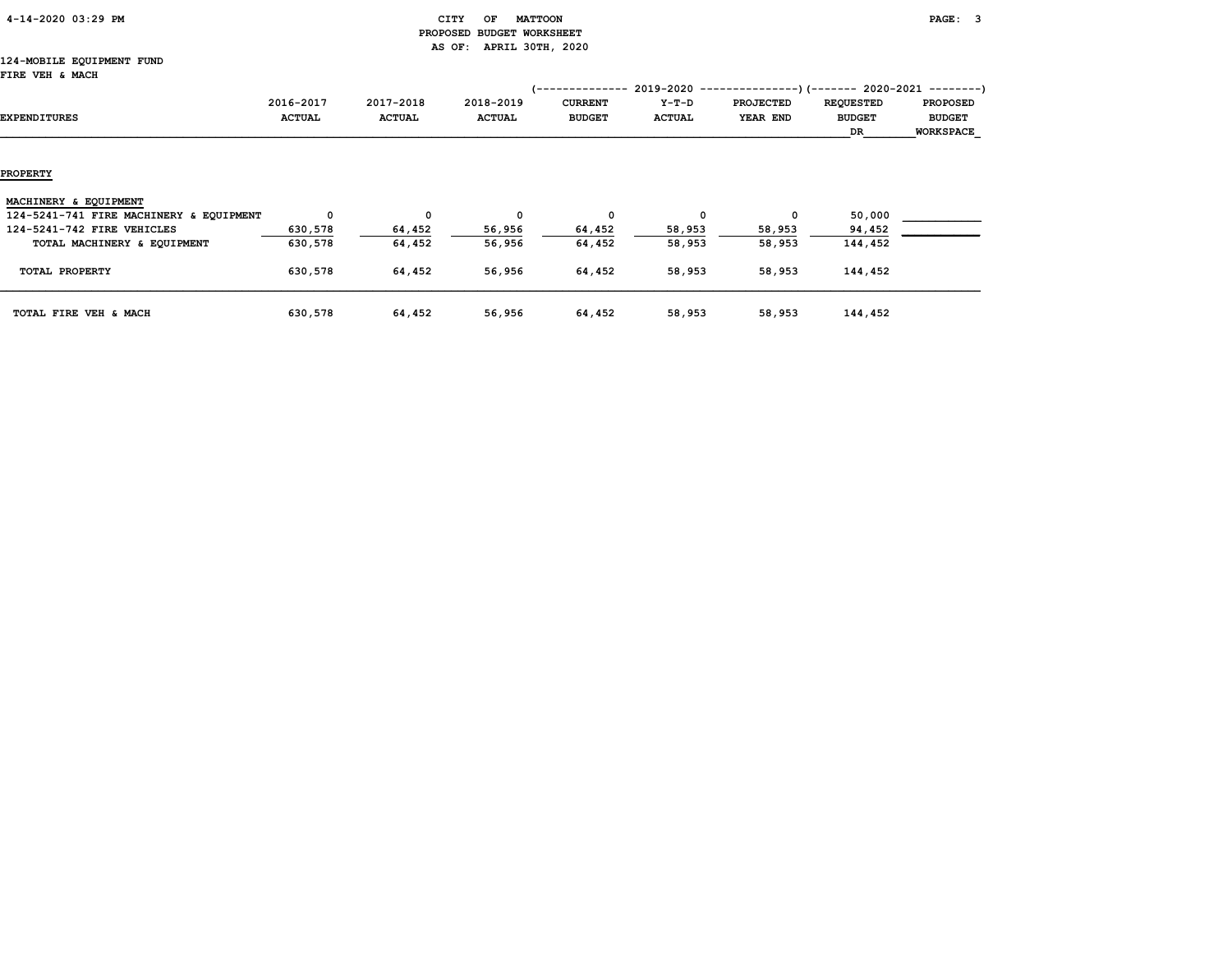| 4-14-2020 03:29 PM |  |  |
|--------------------|--|--|
|                    |  |  |

# CITY OF MATTOON **PAGE:** 3 PROPOSED BUDGET WORKSHEET AS OF: APRIL 30TH, 2020

#### 124-MOBILE EQUIPMENT FUND FIRE VEH & MACH

| rika van « MACA                         |               |               |               |                 |               |                                                           |                  |                  |
|-----------------------------------------|---------------|---------------|---------------|-----------------|---------------|-----------------------------------------------------------|------------------|------------------|
|                                         |               |               |               | '-------------- |               | $2019-2020$ ----------------)(------- 2020-2021 --------) |                  |                  |
|                                         | 2016-2017     | 2017-2018     | 2018-2019     | <b>CURRENT</b>  | Y-T-D         | <b>PROJECTED</b>                                          | <b>REQUESTED</b> | <b>PROPOSED</b>  |
| EXPENDITURES                            | <b>ACTUAL</b> | <b>ACTUAL</b> | <b>ACTUAL</b> | <b>BUDGET</b>   | <b>ACTUAL</b> | YEAR END                                                  | <b>BUDGET</b>    | <b>BUDGET</b>    |
|                                         |               |               |               |                 |               |                                                           | DR               | <b>WORKSPACE</b> |
|                                         |               |               |               |                 |               |                                                           |                  |                  |
|                                         |               |               |               |                 |               |                                                           |                  |                  |
| <b>PROPERTY</b>                         |               |               |               |                 |               |                                                           |                  |                  |
|                                         |               |               |               |                 |               |                                                           |                  |                  |
| MACHINERY & EQUIPMENT                   |               |               |               |                 |               |                                                           |                  |                  |
| 124-5241-741 FIRE MACHINERY & EQUIPMENT | 0             | 0             | 0             | 0               | $\mathbf{o}$  | $^{\circ}$                                                | 50,000           |                  |
| 124-5241-742 FIRE VEHICLES              | 630,578       | 64,452        | 56,956        | 64,452          | 58,953        | 58,953                                                    | 94,452           |                  |
| TOTAL MACHINERY & EQUIPMENT             | 630,578       | 64,452        | 56,956        | 64,452          | 58,953        | 58,953                                                    | 144,452          |                  |
| TOTAL PROPERTY                          | 630,578       | 64,452        | 56,956        | 64,452          | 58,953        | 58,953                                                    | 144,452          |                  |
|                                         |               |               |               |                 |               |                                                           |                  |                  |
|                                         |               |               |               |                 |               |                                                           |                  |                  |
| TOTAL FIRE VEH & MACH                   | 630,578       | 64,452        | 56,956        | 64,452          | 58,953        | 58,953                                                    | 144,452          |                  |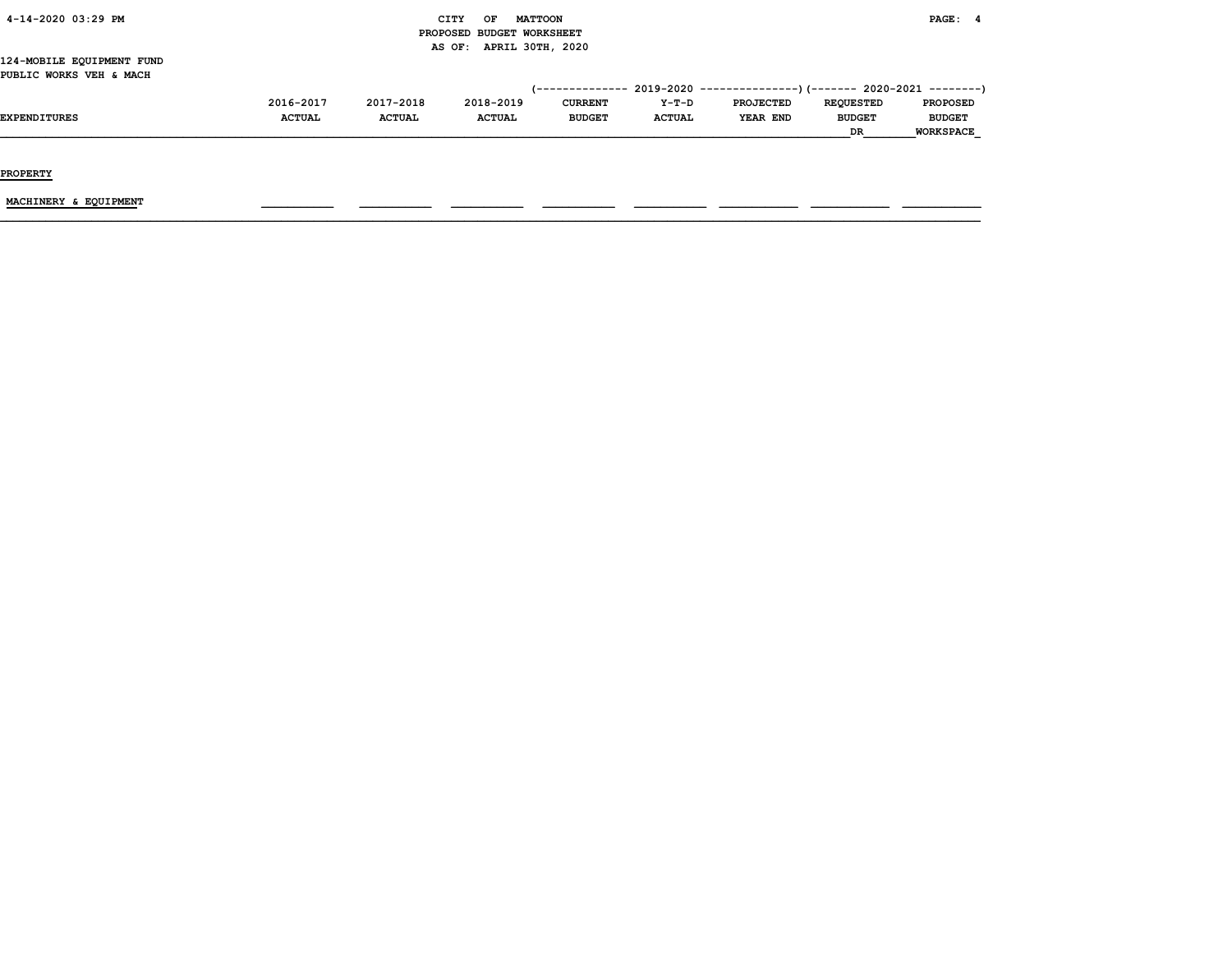| 4-14-2020 03:29 PM |  |
|--------------------|--|
|                    |  |

# CITY OF MATTOON **PAGE: 4**  PROPOSED BUDGET WORKSHEET AS OF: APRIL 30TH, 2020

#### 124-MOBILE EQUIPMENT FUND PUBLIC WORKS VEH & MACH

|                     |               |               |               |                |               | $(-$ -------------- 2019-2020 ----------------) (------- 2020-2021 ---------) |                  |                  |
|---------------------|---------------|---------------|---------------|----------------|---------------|-------------------------------------------------------------------------------|------------------|------------------|
|                     | 2016-2017     | 2017-2018     | 2018-2019     | <b>CURRENT</b> | $Y-T-D$       | PROJECTED                                                                     | <b>REOUESTED</b> | <b>PROPOSED</b>  |
| <b>EXPENDITURE:</b> | <b>ACTUAL</b> | <b>ACTUAL</b> | <b>ACTUAL</b> | <b>BUDGET</b>  | <b>ACTUAL</b> | YEAR END                                                                      | <b>BUDGET</b>    | <b>BUDGET</b>    |
|                     |               |               |               |                |               |                                                                               | <b>DR</b>        | <b>WORKSPACE</b> |

PROPERTY

MACHINERY & EQUIPMENT \_\_\_\_\_\_\_\_\_\_\_ \_\_\_\_\_\_\_\_\_\_\_ \_\_\_\_\_\_\_\_\_\_\_ \_\_\_\_\_\_\_\_\_\_\_ \_\_\_\_\_\_\_\_\_\_\_ \_\_\_\_\_\_\_\_\_\_\_\_ \_\_\_\_\_\_\_\_\_\_\_\_ \_\_\_\_\_\_\_\_\_\_\_\_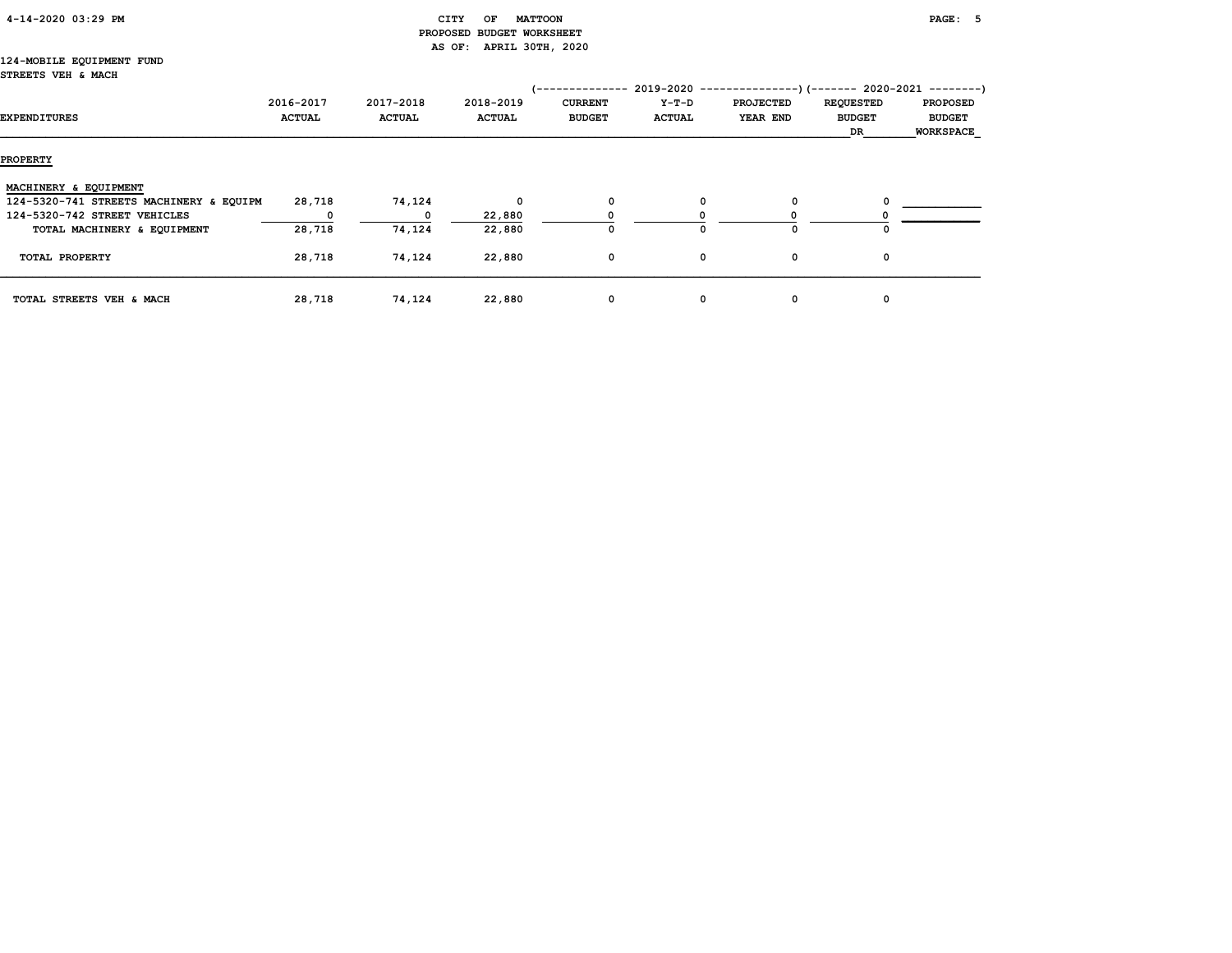# CITY OF MATTOON **PAGE:** 5 PROPOSED BUDGET WORKSHEET AS OF: APRIL 30TH, 2020

#### 124-MOBILE EQUIPMENT FUND STREETS VEH & MACH

| EXPENDITURES                            | 2016-2017<br><b>ACTUAL</b> | 2017-2018<br><b>ACTUAL</b> | 2018-2019<br><b>ACTUAL</b> | ----------<br><b>CURRENT</b><br><b>BUDGET</b> | 2019-2020 -------------<br>Y-T-D<br><b>ACTUAL</b> | <b>PROJECTED</b><br>YEAR END | <b>REQUESTED</b><br><b>BUDGET</b><br>DR | --)(------- 2020-2021 --------)<br><b>PROPOSED</b><br><b>BUDGET</b><br><b>WORKSPACE</b> |
|-----------------------------------------|----------------------------|----------------------------|----------------------------|-----------------------------------------------|---------------------------------------------------|------------------------------|-----------------------------------------|-----------------------------------------------------------------------------------------|
| <b>PROPERTY</b>                         |                            |                            |                            |                                               |                                                   |                              |                                         |                                                                                         |
| MACHINERY & EQUIPMENT                   |                            |                            |                            |                                               |                                                   |                              |                                         |                                                                                         |
| 124-5320-741 STREETS MACHINERY & EQUIPM | 28,718                     | 74,124                     | 0                          | 0                                             |                                                   | 0                            |                                         |                                                                                         |
| 124-5320-742 STREET VEHICLES            | 0                          | $^{\circ}$                 | 22,880                     |                                               |                                                   |                              |                                         |                                                                                         |
| TOTAL MACHINERY & EQUIPMENT             | 28,718                     | 74,124                     | 22,880                     | 0                                             |                                                   | $\Omega$                     |                                         |                                                                                         |
| TOTAL PROPERTY                          | 28,718                     | 74,124                     | 22,880                     | 0                                             | 0                                                 | 0                            | 0                                       |                                                                                         |
| TOTAL STREETS VEH & MACH                | 28,718                     | 74,124                     | 22,880                     | 0                                             | 0                                                 | 0                            | 0                                       |                                                                                         |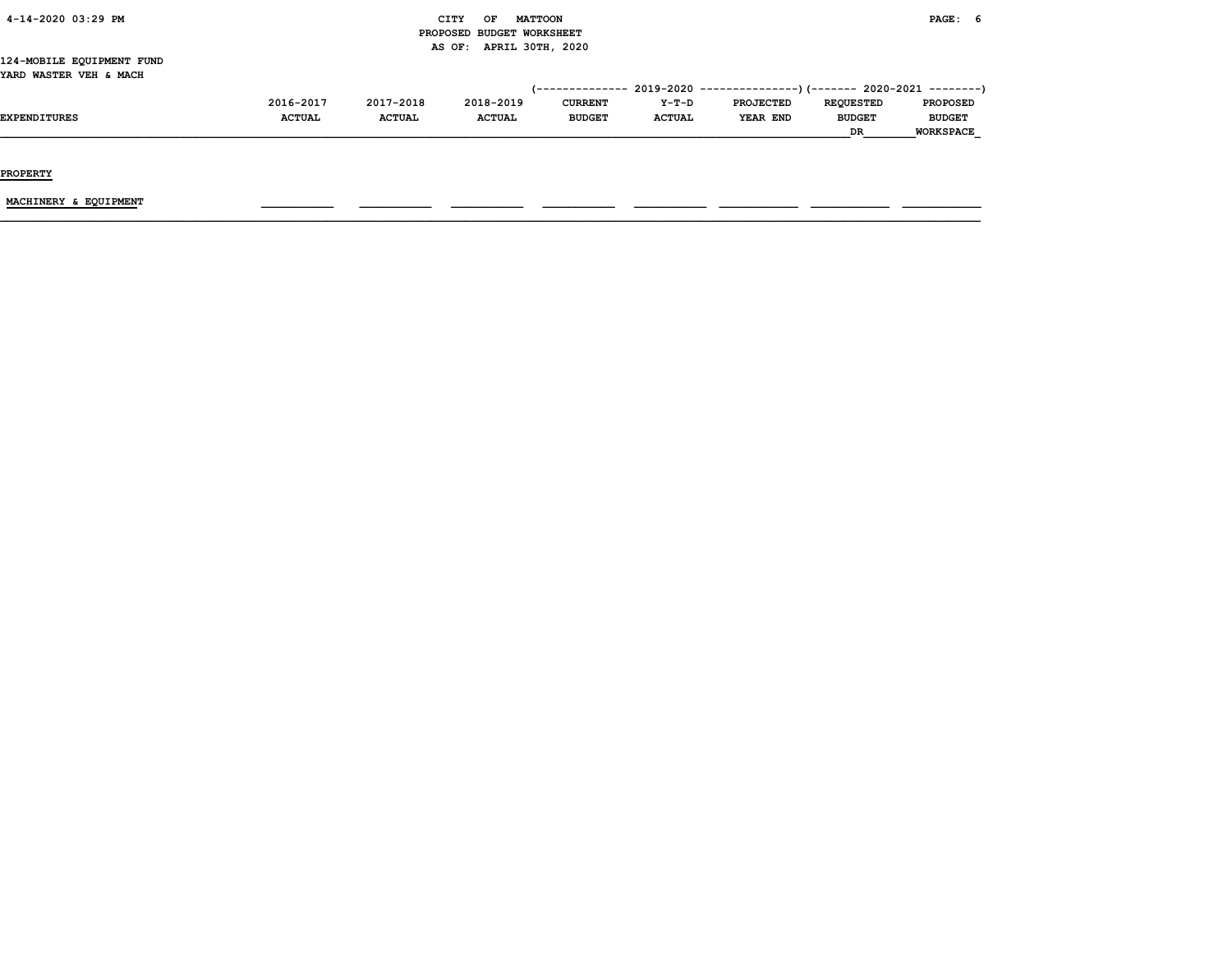| 4-14-2020 03:29 PM |  |  |
|--------------------|--|--|
|                    |  |  |

# $CITY$  OF MATTOON PAGE: 6 PROPOSED BUDGET WORKSHEET AS OF: APRIL 30TH, 2020

#### 124-MOBILE EQUIPMENT FUND YARD WASTER VEH & MACH

|                     |               |               |               |                |               | (-------------- 2019-2020 ----------------)(------- 2020-2021 --------) |                  |                  |
|---------------------|---------------|---------------|---------------|----------------|---------------|-------------------------------------------------------------------------|------------------|------------------|
|                     | 2016-2017     | 2017-2018     | 2018-2019     | <b>CURRENT</b> | $Y-T-D$       | <b>PROJECTED</b>                                                        | <b>REOUESTED</b> | <b>PROPOSED</b>  |
| <b>EXPENDITURES</b> | <b>ACTUAL</b> | <b>ACTUAL</b> | <b>ACTUAL</b> | <b>BUDGET</b>  | <b>ACTUAL</b> | YEAR END                                                                | <b>BUDGET</b>    | <b>BUDGET</b>    |
|                     |               |               |               |                |               |                                                                         | DR               | <b>WORKSPACE</b> |

PROPERTY

 $\underline{\text{MACHINERY}} \text{ & EQUIPMENT} \qquad \qquad \text{---} \qquad \text{---} \qquad \text{---} \qquad \text{---} \qquad \text{---} \qquad \text{---} \qquad \text{---} \qquad \text{---} \qquad \text{---} \qquad \text{---} \qquad \text{---} \qquad \text{---} \qquad \text{---} \qquad \text{---} \qquad \text{---} \qquad \text{---} \qquad \text{---} \qquad \text{---} \qquad \text{---} \qquad \text{---} \qquad \text{---} \qquad \text{---} \qquad \text{---} \qquad \text{---}$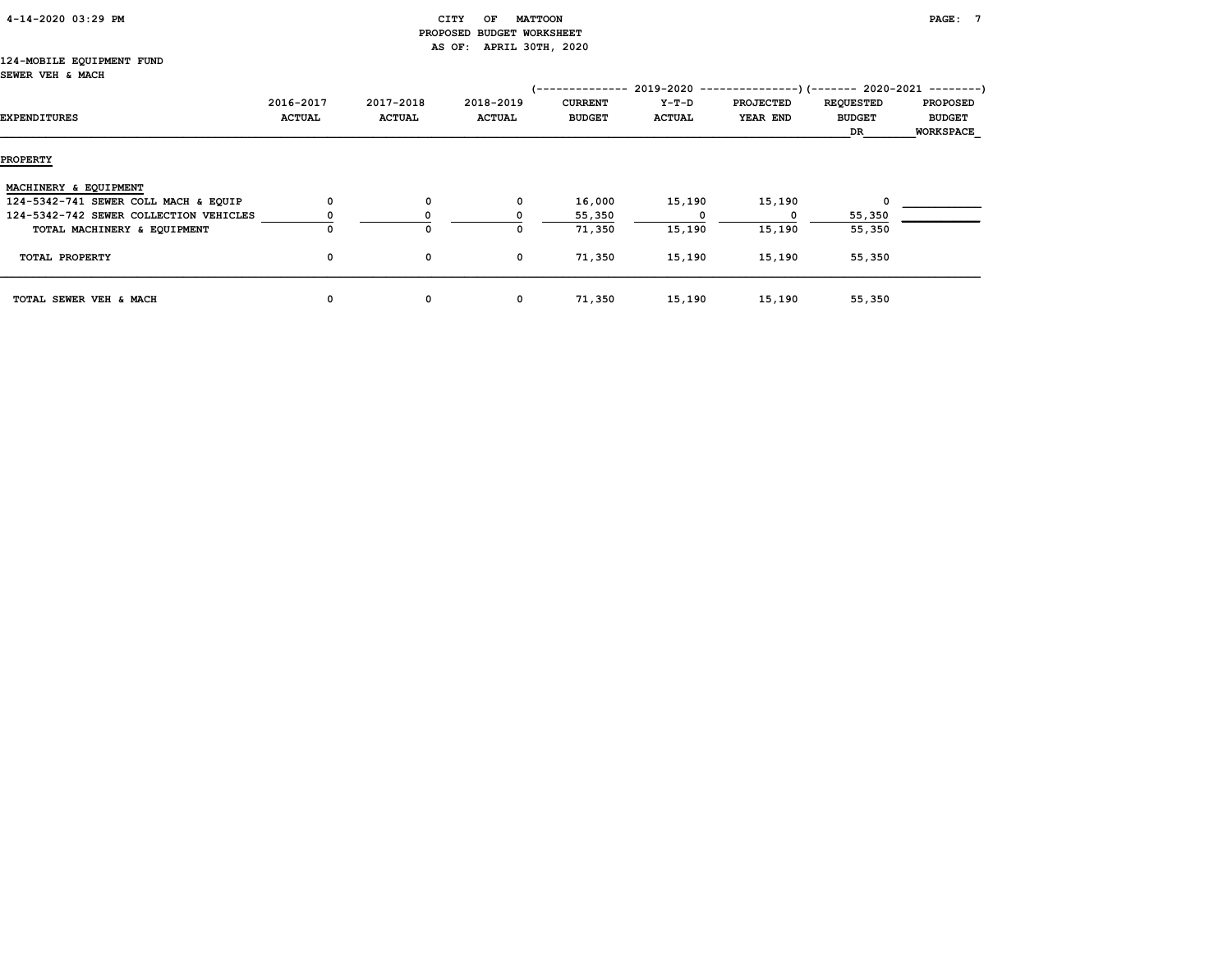| $4 - 14 - 2020$ 03:29 PM |
|--------------------------|
|--------------------------|

# $\begin{array}{ccc} \texttt{CITY} & \texttt{OF} & \texttt{MATTOON} \end{array}$  PROPOSED BUDGET WORKSHEET AS OF: APRIL 30TH, 2020

#### 124-MOBILE EQUIPMENT FUND SEWER VEH & MACH

|                                        |               |               |               | '-------------- |               | $2019-2020$ ----------------)(------- 2020-2021 --------) |                  |                  |
|----------------------------------------|---------------|---------------|---------------|-----------------|---------------|-----------------------------------------------------------|------------------|------------------|
|                                        | 2016-2017     | 2017-2018     | 2018-2019     | <b>CURRENT</b>  | Y-T-D         | <b>PROJECTED</b>                                          | <b>REQUESTED</b> | <b>PROPOSED</b>  |
| EXPENDITURES                           | <b>ACTUAL</b> | <b>ACTUAL</b> | <b>ACTUAL</b> | <b>BUDGET</b>   | <b>ACTUAL</b> | YEAR END                                                  | <b>BUDGET</b>    | <b>BUDGET</b>    |
|                                        |               |               |               |                 |               |                                                           | DR               | <b>WORKSPACE</b> |
| <b>PROPERTY</b>                        |               |               |               |                 |               |                                                           |                  |                  |
| MACHINERY & EQUIPMENT                  |               |               |               |                 |               |                                                           |                  |                  |
| 124-5342-741 SEWER COLL MACH & EQUIP   | 0             | 0             | 0             | 16,000          | 15,190        | 15,190                                                    |                  |                  |
| 124-5342-742 SEWER COLLECTION VEHICLES |               | 0             |               | 55,350          |               |                                                           | 55,350           |                  |
| TOTAL MACHINERY & EQUIPMENT            | 0             | 0             | O             | 71,350          | 15,190        | 15,190                                                    | 55,350           |                  |
| TOTAL PROPERTY                         | $\mathbf 0$   | 0             | 0             | 71,350          | 15,190        | 15,190                                                    | 55,350           |                  |
| TOTAL SEWER VEH & MACH                 | 0             | 0             | 0             | 71,350          | 15,190        | 15,190                                                    | 55,350           |                  |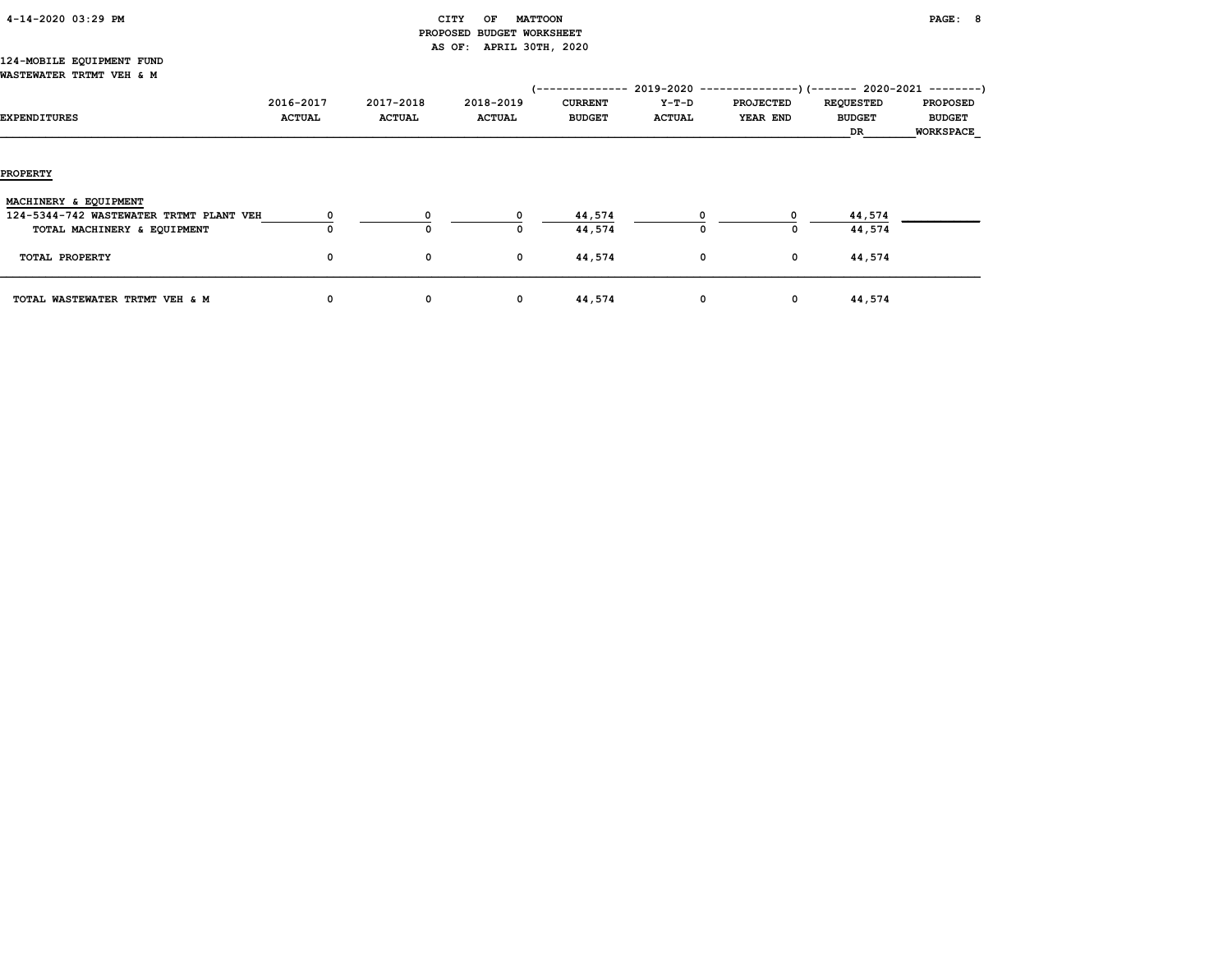| 4-14-2020 03:29 PM |  |
|--------------------|--|
|                    |  |

# $\begin{array}{ccc} \texttt{CITY} & \texttt{OF} & \texttt{MATTOON} \end{array}$  PROPOSED BUDGET WORKSHEET AS OF: APRIL 30TH, 2020

#### 124-MOBILE EQUIPMENT FUND WASTEWATER TRTMT VEH & M

| EXPENDITURES                                                     | 2016-2017<br><b>ACTUAL</b> | 2017-2018<br><b>ACTUAL</b> | 2018-2019<br><b>ACTUAL</b> | -----------<br><b>CURRENT</b><br><b>BUDGET</b> | Y-T-D<br><b>ACTUAL</b> | $2019-2020$ ----------------) (------- 2020-2021 --------)<br><b>PROJECTED</b><br><b>YEAR END</b> | <b>REQUESTED</b><br><b>BUDGET</b><br>DR | <b>PROPOSED</b><br><b>BUDGET</b><br>WORKSPACE |
|------------------------------------------------------------------|----------------------------|----------------------------|----------------------------|------------------------------------------------|------------------------|---------------------------------------------------------------------------------------------------|-----------------------------------------|-----------------------------------------------|
| <b>PROPERTY</b>                                                  |                            |                            |                            |                                                |                        |                                                                                                   |                                         |                                               |
| MACHINERY & EQUIPMENT<br>124-5344-742 WASTEWATER TRTMT PLANT VEH |                            |                            | $\Omega$                   | 44,574                                         |                        |                                                                                                   | 44,574                                  |                                               |
| TOTAL MACHINERY & EQUIPMENT<br>TOTAL PROPERTY                    | 0<br>0                     | 0<br>0                     | 0                          | 44,574<br>44,574                               | 0<br>$\mathbf 0$       | 0<br>$\mathbf 0$                                                                                  | 44,574<br>44,574                        |                                               |
| TOTAL WASTEWATER TRTMT VEH & M                                   | 0                          | 0                          | 0                          | 44,574                                         | 0                      | $\mathbf{o}$                                                                                      | 44,574                                  |                                               |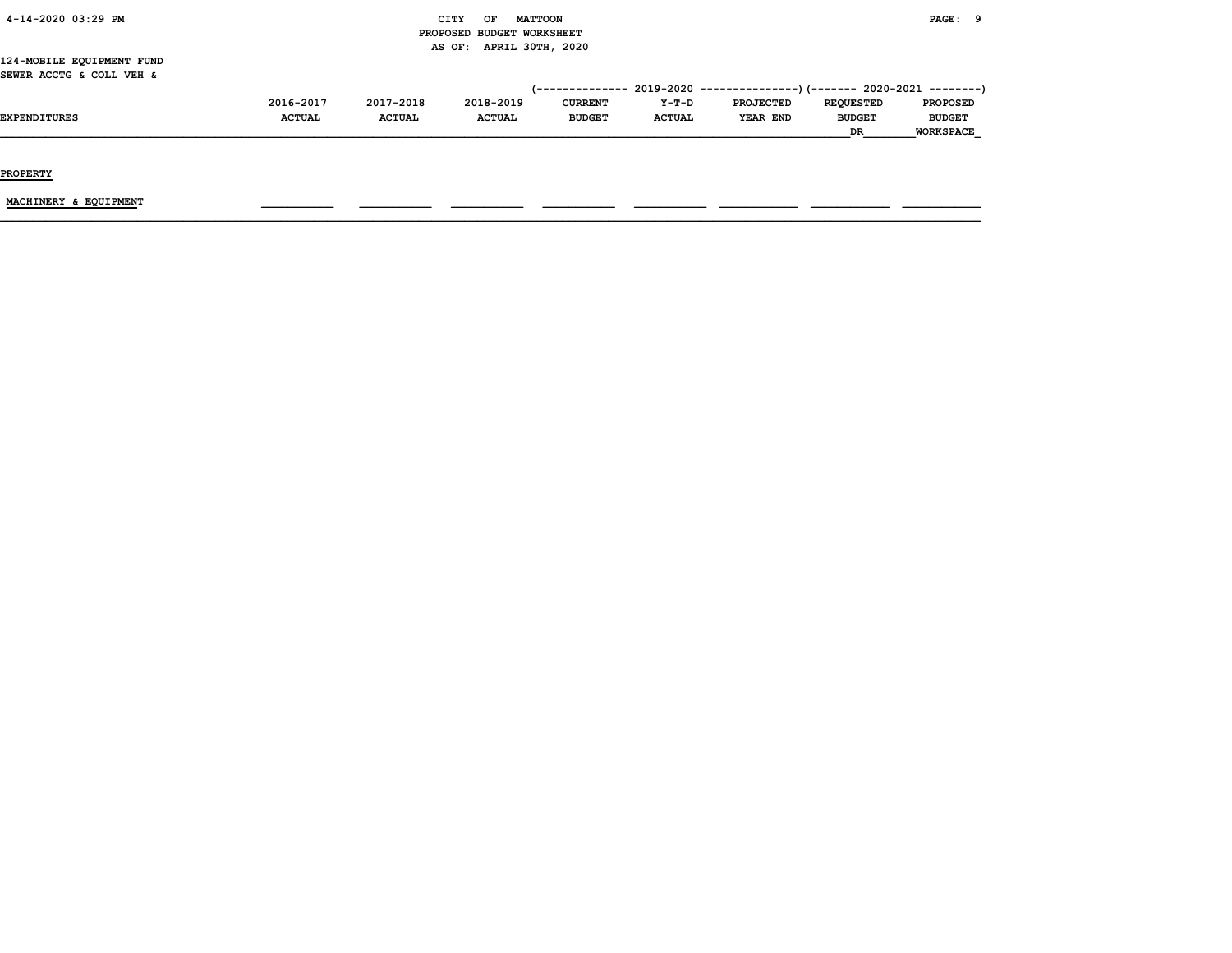| 4-14-2020 03:29 PM |  |
|--------------------|--|
|                    |  |

# $\begin{array}{ccc} \text{CITY} & \text{OF} & \text{MATTCON} \end{array}$  PROPOSED BUDGET WORKSHEET AS OF: APRIL 30TH, 2020

124-MOBILE EQUIPMENT FUND SEWER ACCTG & COLL VEH &

|               |               |               |                |               | (-------------- 2019-2020 ----------------) (------- 2020-2021 ---------) |                  |                  |
|---------------|---------------|---------------|----------------|---------------|---------------------------------------------------------------------------|------------------|------------------|
| 2016-2017     | 2017-2018     | 2018-2019     | <b>CURRENT</b> | $Y-T-D$       | PROJECTED                                                                 | <b>REOUESTED</b> | <b>PROPOSED</b>  |
| <b>ACTUAL</b> | <b>ACTUAL</b> | <b>ACTUAL</b> | <b>BUDGET</b>  | <b>ACTUAL</b> | YEAR END                                                                  | <b>BUDGET</b>    | <b>BUDGET</b>    |
|               |               |               |                |               |                                                                           | <b>DR</b>        | <b>WORKSPACE</b> |

PROPERTY

MACHINERY & EQUIPMENT \_\_\_\_\_\_\_\_\_\_\_ \_\_\_\_\_\_\_\_\_\_\_ \_\_\_\_\_\_\_\_\_\_\_ \_\_\_\_\_\_\_\_\_\_\_ \_\_\_\_\_\_\_\_\_\_\_ \_\_\_\_\_\_\_\_\_\_\_\_ \_\_\_\_\_\_\_\_\_\_\_\_ \_\_\_\_\_\_\_\_\_\_\_\_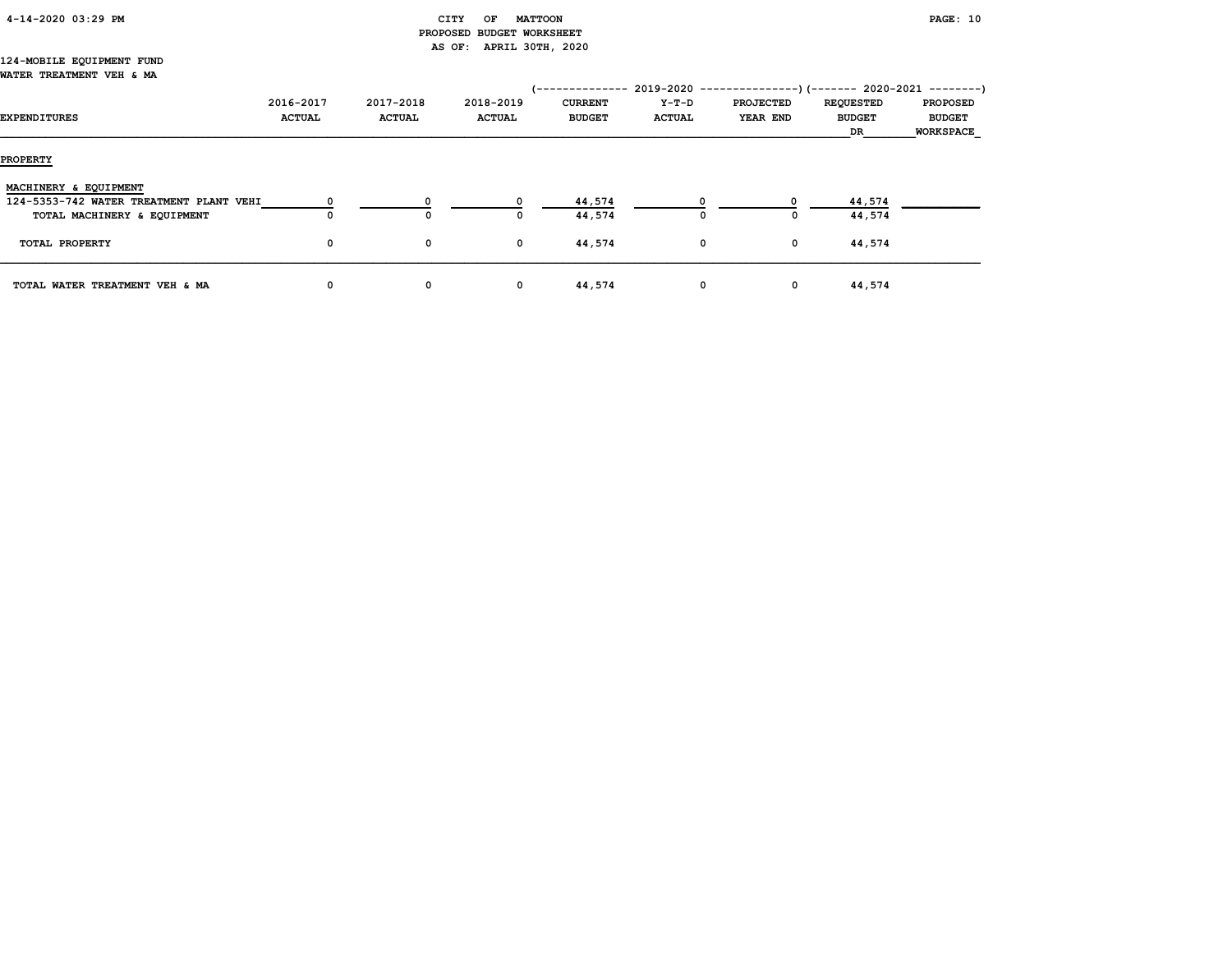| 4-14-2020 03:29 PM |  |  |
|--------------------|--|--|
|                    |  |  |

# CITY OF MATTOON **PAGE:** 10 PROPOSED BUDGET WORKSHEET AS OF: APRIL 30TH, 2020

#### 124-MOBILE EQUIPMENT FUND WATER TREATMENT VEH & MA

| EXPENDITURES                            | 2016-2017<br><b>ACTUAL</b> | 2017-2018<br><b>ACTUAL</b> | 2018-2019<br><b>ACTUAL</b> | -----------<br><b>CURRENT</b><br><b>BUDGET</b> | 2019-2020<br>Y-T-D<br><b>ACTUAL</b> | -------------)(------- 2020-2021 ---------)<br><b>PROJECTED</b><br>YEAR END | <b>REQUESTED</b><br><b>BUDGET</b><br>DR | <b>PROPOSED</b><br><b>BUDGET</b><br><b>WORKSPACE</b> |
|-----------------------------------------|----------------------------|----------------------------|----------------------------|------------------------------------------------|-------------------------------------|-----------------------------------------------------------------------------|-----------------------------------------|------------------------------------------------------|
| <b>PROPERTY</b>                         |                            |                            |                            |                                                |                                     |                                                                             |                                         |                                                      |
| MACHINERY & EQUIPMENT                   |                            |                            |                            |                                                |                                     |                                                                             |                                         |                                                      |
| 124-5353-742 WATER TREATMENT PLANT VEHI |                            | O                          |                            | 44,574                                         |                                     |                                                                             | 44,574                                  |                                                      |
| TOTAL MACHINERY & EQUIPMENT             |                            | O                          | o                          | 44,574                                         | 0                                   | 0                                                                           | 44,574                                  |                                                      |
| TOTAL PROPERTY                          | 0                          | 0                          | 0                          | 44,574                                         | $\mathbf 0$                         | $\mathbf 0$                                                                 | 44,574                                  |                                                      |
| TOTAL WATER TREATMENT VEH & MA          | 0                          | 0                          | 0                          | 44,574                                         | $\mathbf 0$                         | $\mathbf 0$                                                                 | 44,574                                  |                                                      |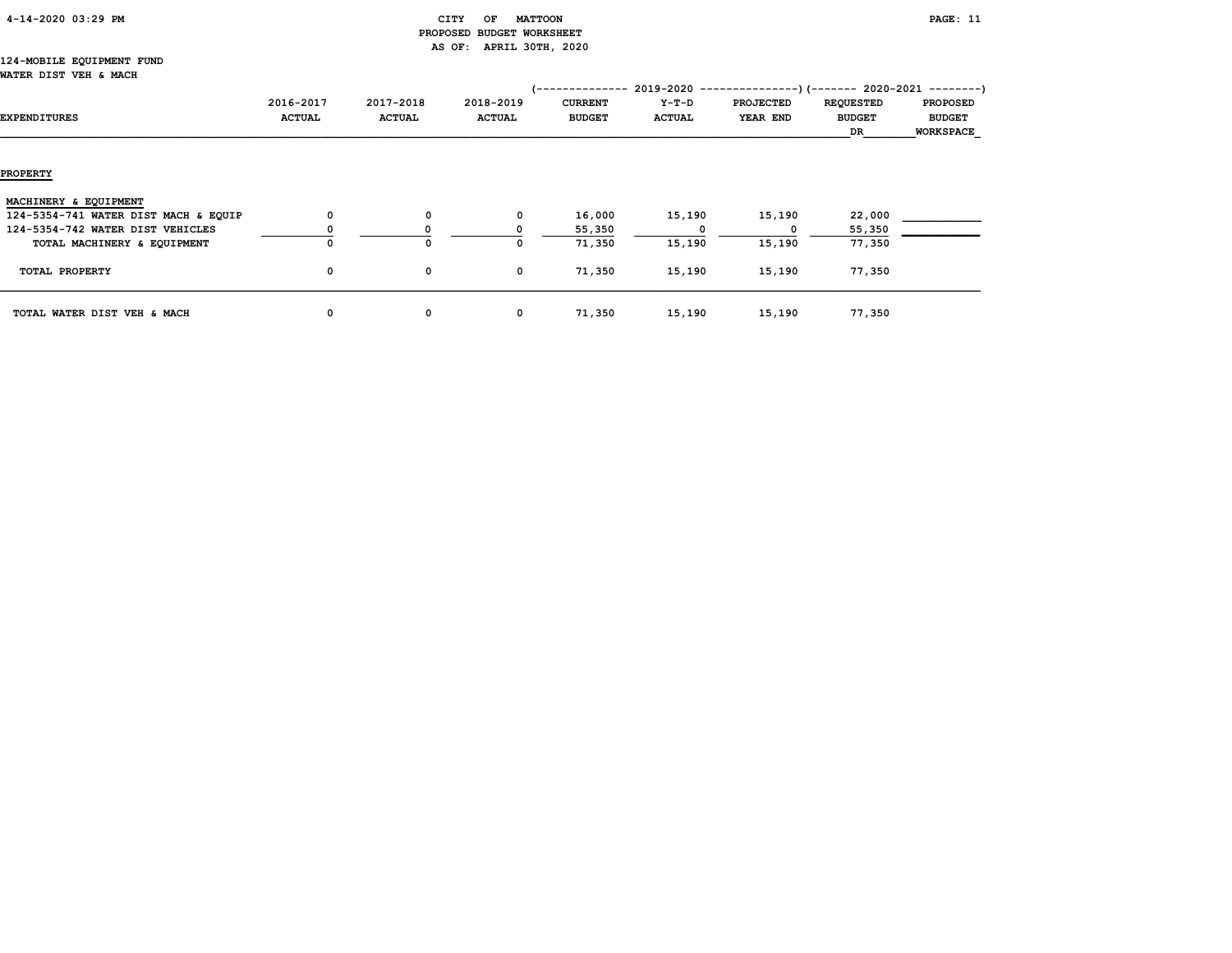| 4-14-2020 03:29 PM |  |
|--------------------|--|
|                    |  |

# CITY OF MATTOON PAGE: 11 PROPOSED BUDGET WORKSHEET AS OF: APRIL 30TH, 2020

#### 124-MOBILE EQUIPMENT FUND WATER DIST VEH & MACH

| <b>EXPENDITURES</b>                  | 2016-2017<br><b>ACTUAL</b> | 2017-2018<br><b>ACTUAL</b> | 2018-2019<br><b>ACTUAL</b> | . <u>.</u><br><b>CURRENT</b><br><b>BUDGET</b> | Y-T-D<br><b>ACTUAL</b> | $2019-2020$ ---------------) (------- 2020-2021 --------)<br><b>PROJECTED</b><br>YEAR END | <b>REQUESTED</b><br><b>BUDGET</b> | <b>PROPOSED</b><br><b>BUDGET</b> |
|--------------------------------------|----------------------------|----------------------------|----------------------------|-----------------------------------------------|------------------------|-------------------------------------------------------------------------------------------|-----------------------------------|----------------------------------|
|                                      |                            |                            |                            |                                               |                        |                                                                                           | DR                                | <b>WORKSPACE</b>                 |
|                                      |                            |                            |                            |                                               |                        |                                                                                           |                                   |                                  |
| <b>PROPERTY</b>                      |                            |                            |                            |                                               |                        |                                                                                           |                                   |                                  |
| MACHINERY & EQUIPMENT                |                            |                            |                            |                                               |                        |                                                                                           |                                   |                                  |
| 124-5354-741 WATER DIST MACH & EQUIP | 0                          | $\mathbf 0$                | 0                          | 16,000                                        | 15,190                 | 15,190                                                                                    | 22,000                            |                                  |
| 124-5354-742 WATER DIST VEHICLES     |                            |                            |                            | 55,350                                        |                        |                                                                                           | 55,350                            |                                  |
| TOTAL MACHINERY & EQUIPMENT          | 0                          | $\Omega$                   | 0                          | 71,350                                        | 15,190                 | 15,190                                                                                    | 77,350                            |                                  |
| TOTAL PROPERTY                       | 0                          | 0                          | 0                          | 71,350                                        | 15,190                 | 15,190                                                                                    | 77,350                            |                                  |
| TOTAL WATER DIST VEH & MACH          | 0                          | 0                          | $\mathbf{o}$               | 71,350                                        | 15,190                 | 15,190                                                                                    | 77,350                            |                                  |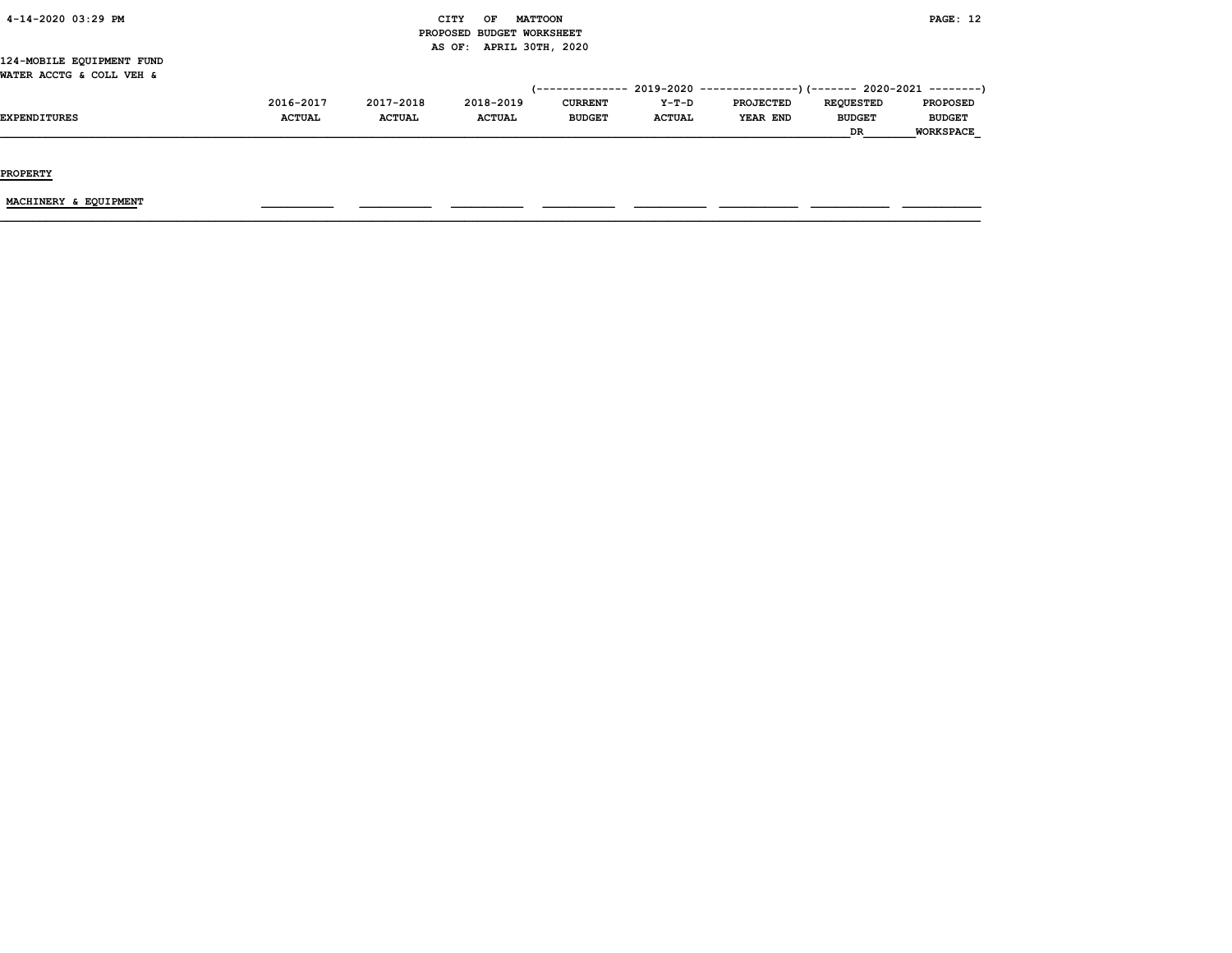| 4-14-2020 03:29 PM |  |
|--------------------|--|
|                    |  |

# CITY OF MATTOON **EXAMPLE AND CONSUMING ASSAULT** CONSUMING THE PAGE: 12 PROPOSED BUDGET WORKSHEET AS OF: APRIL 30TH, 2020

124-MOBILE EQUIPMENT FUND WATER ACCTG & COLL VEH &

|                     |               |               |               |                |               | $(-$ ------------- 2019-2020 ----------------) (------- 2020-2021 --------) |                  |                  |
|---------------------|---------------|---------------|---------------|----------------|---------------|-----------------------------------------------------------------------------|------------------|------------------|
|                     | 2016-2017     | 2017-2018     | 2018-2019     | <b>CURRENT</b> | $Y-T-D$       | <b>PROJECTED</b>                                                            | <b>REOUESTED</b> | <b>PROPOSED</b>  |
| <b>EXPENDITURES</b> | <b>ACTUAL</b> | <b>ACTUAL</b> | <b>ACTUAL</b> | <b>BUDGET</b>  | <b>ACTUAL</b> | YEAR END                                                                    | <b>BUDGET</b>    | <b>BUDGET</b>    |
|                     |               |               |               |                |               |                                                                             | <b>DR</b>        | <b>WORKSPACE</b> |

PROPERTY

MACHINERY & EQUIPMENT \_\_\_\_\_\_\_\_\_\_\_ \_\_\_\_\_\_\_\_\_\_\_ \_\_\_\_\_\_\_\_\_\_\_ \_\_\_\_\_\_\_\_\_\_\_ \_\_\_\_\_\_\_\_\_\_\_ \_\_\_\_\_\_\_\_\_\_\_\_ \_\_\_\_\_\_\_\_\_\_\_\_ \_\_\_\_\_\_\_\_\_\_\_\_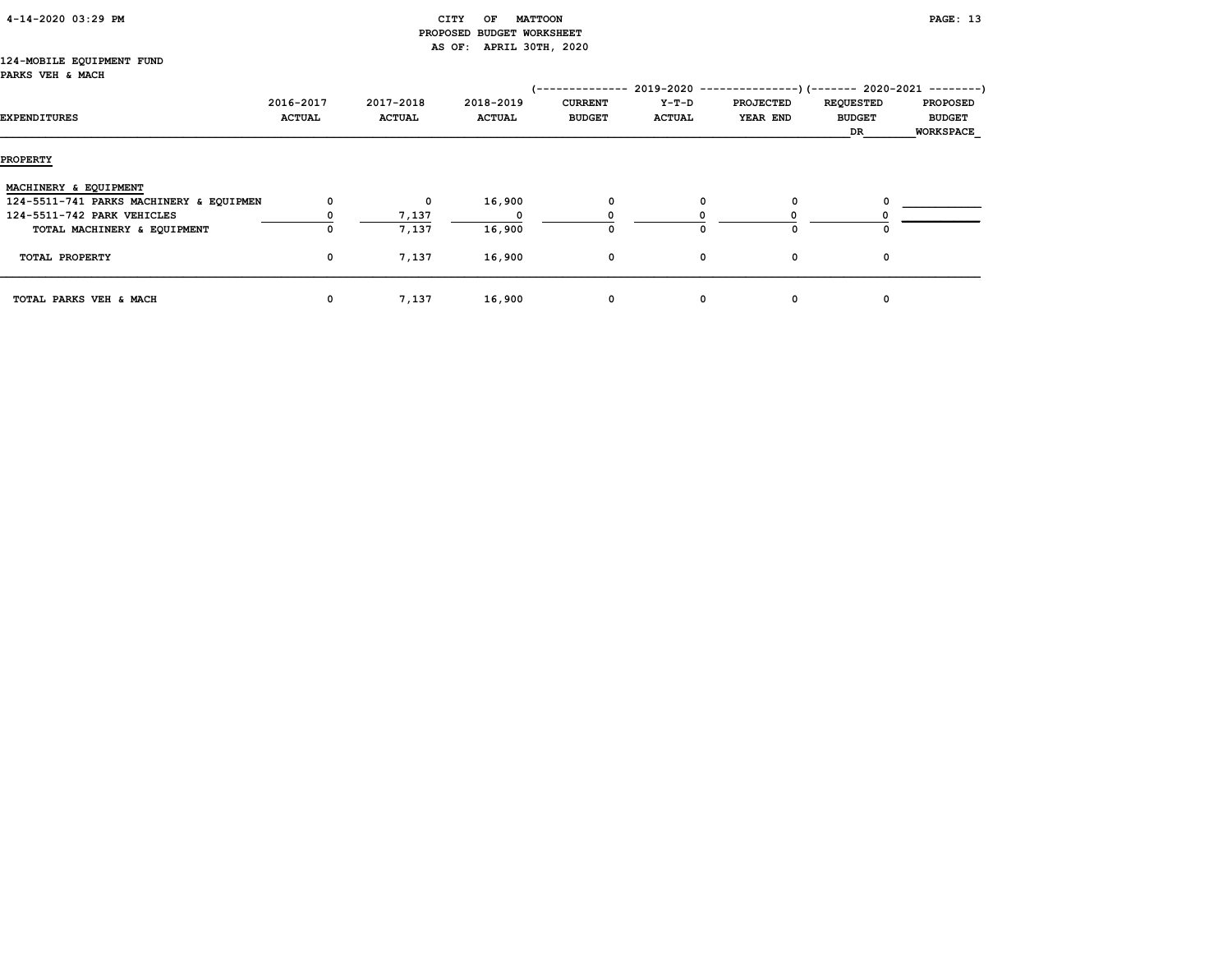|  | 4-14-2020 03:29 PM |  |  |
|--|--------------------|--|--|
|--|--------------------|--|--|

# CITY OF MATTOON **PAGE:** 13 PROPOSED BUDGET WORKSHEET AS OF: APRIL 30TH, 2020

#### 124-MOBILE EQUIPMENT FUND PARKS VEH & MACH

|                                         |               |               |               | 1-------------- |               | $2019-2020$ ----------------) (------- 2020-2021 ---------) |                  |                  |
|-----------------------------------------|---------------|---------------|---------------|-----------------|---------------|-------------------------------------------------------------|------------------|------------------|
|                                         | 2016-2017     | 2017-2018     | 2018-2019     | <b>CURRENT</b>  | $Y-T-D$       | <b>PROJECTED</b>                                            | <b>REQUESTED</b> | <b>PROPOSED</b>  |
| EXPENDITURES                            | <b>ACTUAL</b> | <b>ACTUAL</b> | <b>ACTUAL</b> | <b>BUDGET</b>   | <b>ACTUAL</b> | YEAR END                                                    | <b>BUDGET</b>    | <b>BUDGET</b>    |
|                                         |               |               |               |                 |               |                                                             | DR.              | <b>WORKSPACE</b> |
| <b>PROPERTY</b>                         |               |               |               |                 |               |                                                             |                  |                  |
| MACHINERY & EQUIPMENT                   |               |               |               |                 |               |                                                             |                  |                  |
| 124-5511-741 PARKS MACHINERY & EQUIPMEN | 0             | $\mathbf 0$   | 16,900        | 0               | 0             | 0                                                           |                  |                  |
| 124-5511-742 PARK VEHICLES              |               | 7,137         |               |                 |               |                                                             |                  |                  |
| TOTAL MACHINERY & EQUIPMENT             |               | 7,137         | 16,900        | O               | O             | $\Omega$                                                    |                  |                  |
| TOTAL PROPERTY                          | 0             | 7,137         | 16,900        | 0               | 0             | 0                                                           | 0                |                  |
| TOTAL PARKS VEH & MACH                  | 0             | 7,137         | 16,900        | 0               | 0             | 0                                                           | 0                |                  |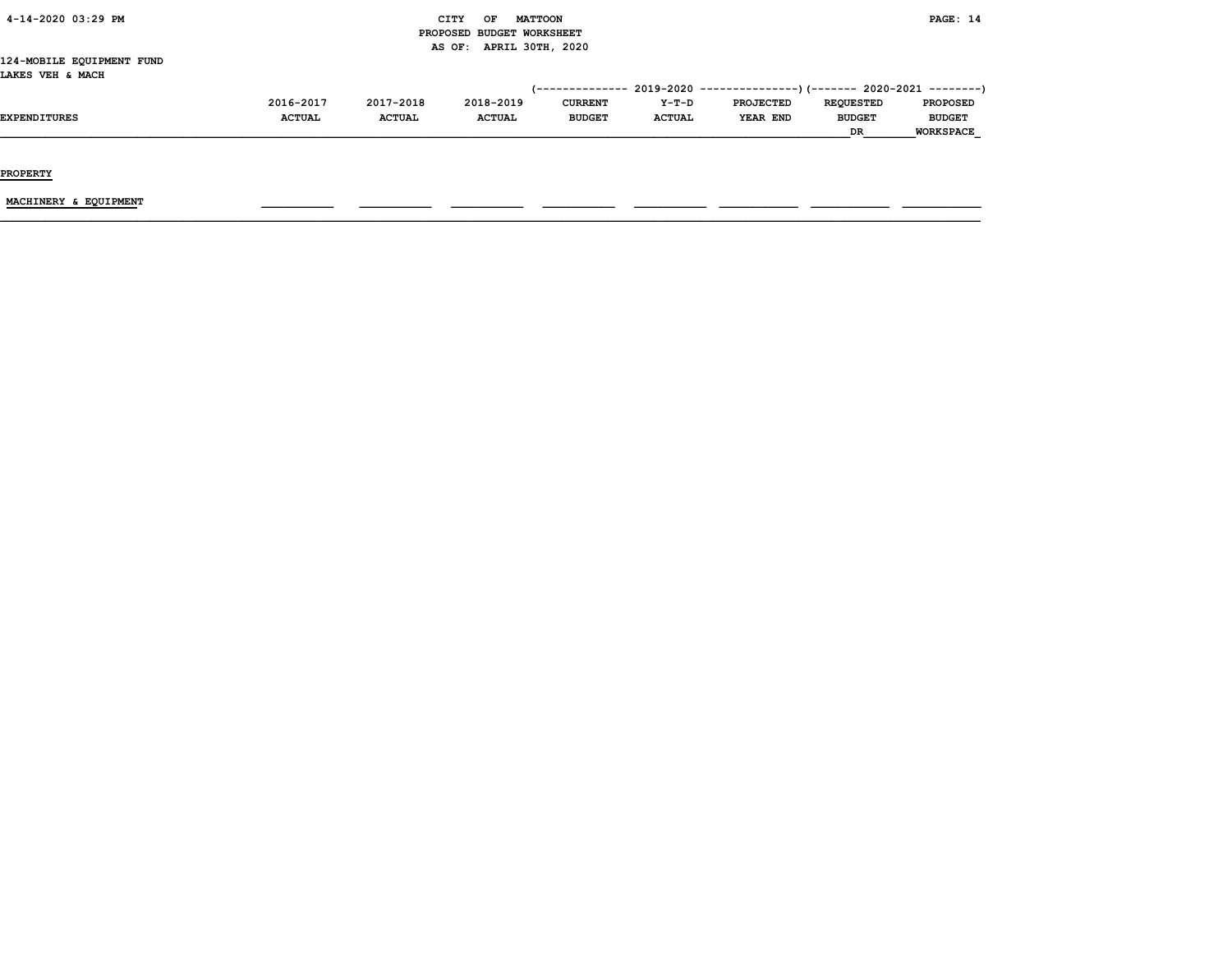| 4-14-2020 03:29 PM |  |
|--------------------|--|
|                    |  |

#### CITY OF MATTOON **PAGE:** 14 PROPOSED BUDGET WORKSHEET AS OF: APRIL 30TH, 2020

124-MOBILE EQUIPMENT FUND LAKES VEH & MACH

|                     |               |               |               |                |               | $(-$ ------------- 2019-2020 ----------------) (------- 2020-2021 --------) |                  |                  |
|---------------------|---------------|---------------|---------------|----------------|---------------|-----------------------------------------------------------------------------|------------------|------------------|
|                     | 2016-2017     | 2017-2018     | 2018-2019     | <b>CURRENT</b> | $Y-T-D$       | <b>PROJECTED</b>                                                            | <b>REOUESTED</b> | <b>PROPOSED</b>  |
| <b>EXPENDITURES</b> | <b>ACTUAL</b> | <b>ACTUAL</b> | <b>ACTUAL</b> | <b>BUDGET</b>  | <b>ACTUAL</b> | YEAR END                                                                    | <b>BUDGET</b>    | <b>BUDGET</b>    |
|                     |               |               |               |                |               |                                                                             | DR               | <b>WORKSPACE</b> |

PROPERTY

MACHINERY & EQUIPMENT \_\_\_\_\_\_\_\_\_\_\_ \_\_\_\_\_\_\_\_\_\_\_ \_\_\_\_\_\_\_\_\_\_\_ \_\_\_\_\_\_\_\_\_\_\_ \_\_\_\_\_\_\_\_\_\_\_ \_\_\_\_\_\_\_\_\_\_\_\_ \_\_\_\_\_\_\_\_\_\_\_\_ \_\_\_\_\_\_\_\_\_\_\_\_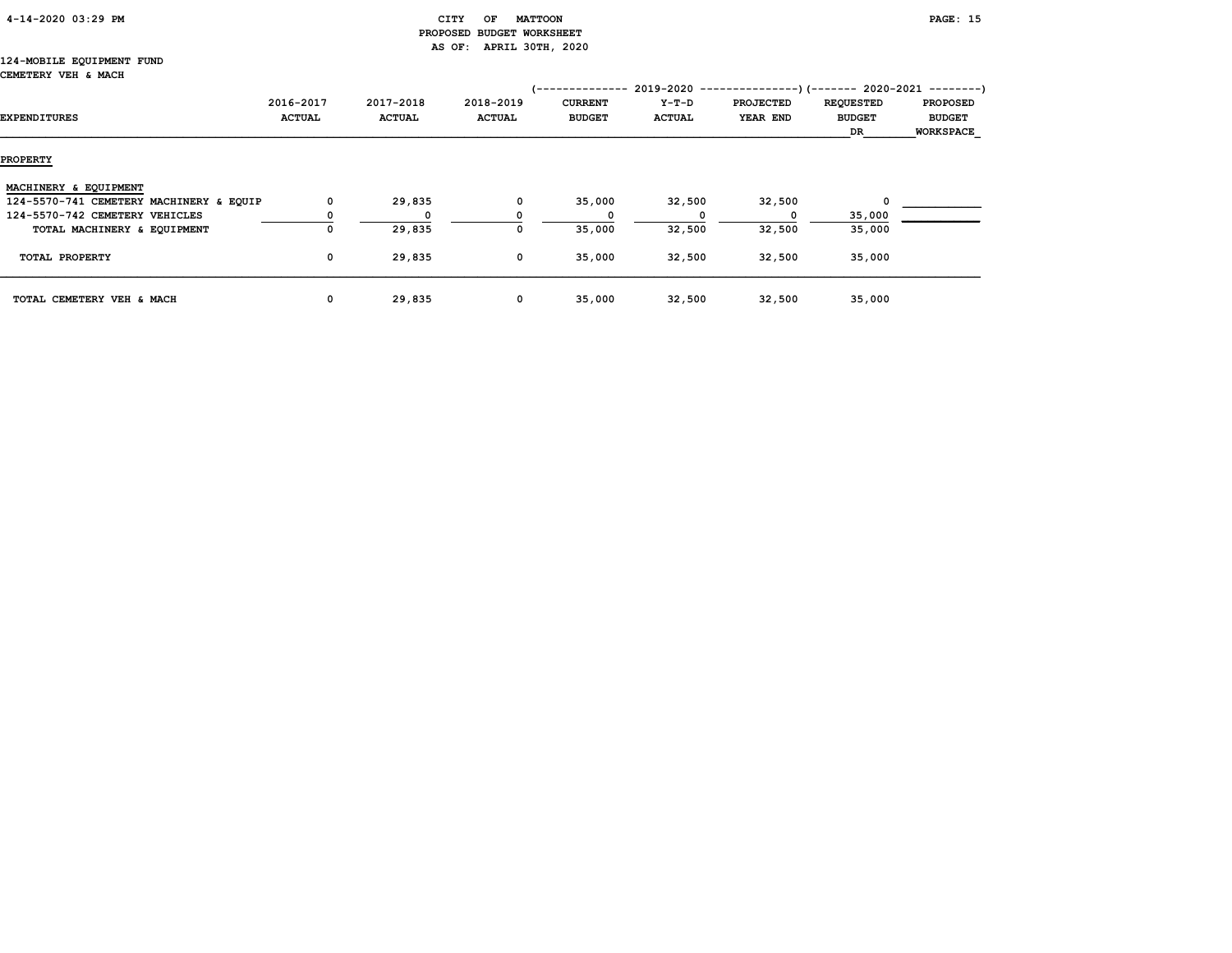| 4-14-2020 03:29 PM |  |
|--------------------|--|
|                    |  |

# CITY OF MATTOON **PAGE:** 15 PROPOSED BUDGET WORKSHEET AS OF: APRIL 30TH, 2020

#### 124-MOBILE EQUIPMENT FUND CEMETERY VEH & MACH

|                                         |               |               |               | '-------------- | $2019 - 2020 - -$ | --------------)(------- 2020-2021 ---------) |                  |                 |
|-----------------------------------------|---------------|---------------|---------------|-----------------|-------------------|----------------------------------------------|------------------|-----------------|
|                                         | 2016-2017     | 2017-2018     | 2018-2019     | <b>CURRENT</b>  | $Y-T-D$           | <b>PROJECTED</b>                             | <b>REQUESTED</b> | <b>PROPOSED</b> |
| EXPENDITURES                            | <b>ACTUAL</b> | <b>ACTUAL</b> | <b>ACTUAL</b> | <b>BUDGET</b>   | <b>ACTUAL</b>     | YEAR END                                     | <b>BUDGET</b>    | <b>BUDGET</b>   |
|                                         |               |               |               |                 |                   |                                              | DR               | WORKSPACE       |
| <b>PROPERTY</b>                         |               |               |               |                 |                   |                                              |                  |                 |
| MACHINERY & EQUIPMENT                   |               |               |               |                 |                   |                                              |                  |                 |
| 124-5570-741 CEMETERY MACHINERY & EQUIP | 0             | 29,835        | 0             | 35,000          | 32,500            | 32,500                                       | 0                |                 |
| 124-5570-742 CEMETERY VEHICLES          |               | $\Omega$      |               |                 |                   |                                              | 35,000           |                 |
| TOTAL MACHINERY & EQUIPMENT             | 0             | 29,835        |               | 35,000          | 32,500            | 32,500                                       | 35,000           |                 |
| TOTAL PROPERTY                          | $\mathbf 0$   | 29,835        | 0             | 35,000          | 32,500            | 32,500                                       | 35,000           |                 |
| TOTAL CEMETERY VEH & MACH               | 0             | 29,835        | 0             | 35,000          | 32,500            | 32,500                                       | 35,000           |                 |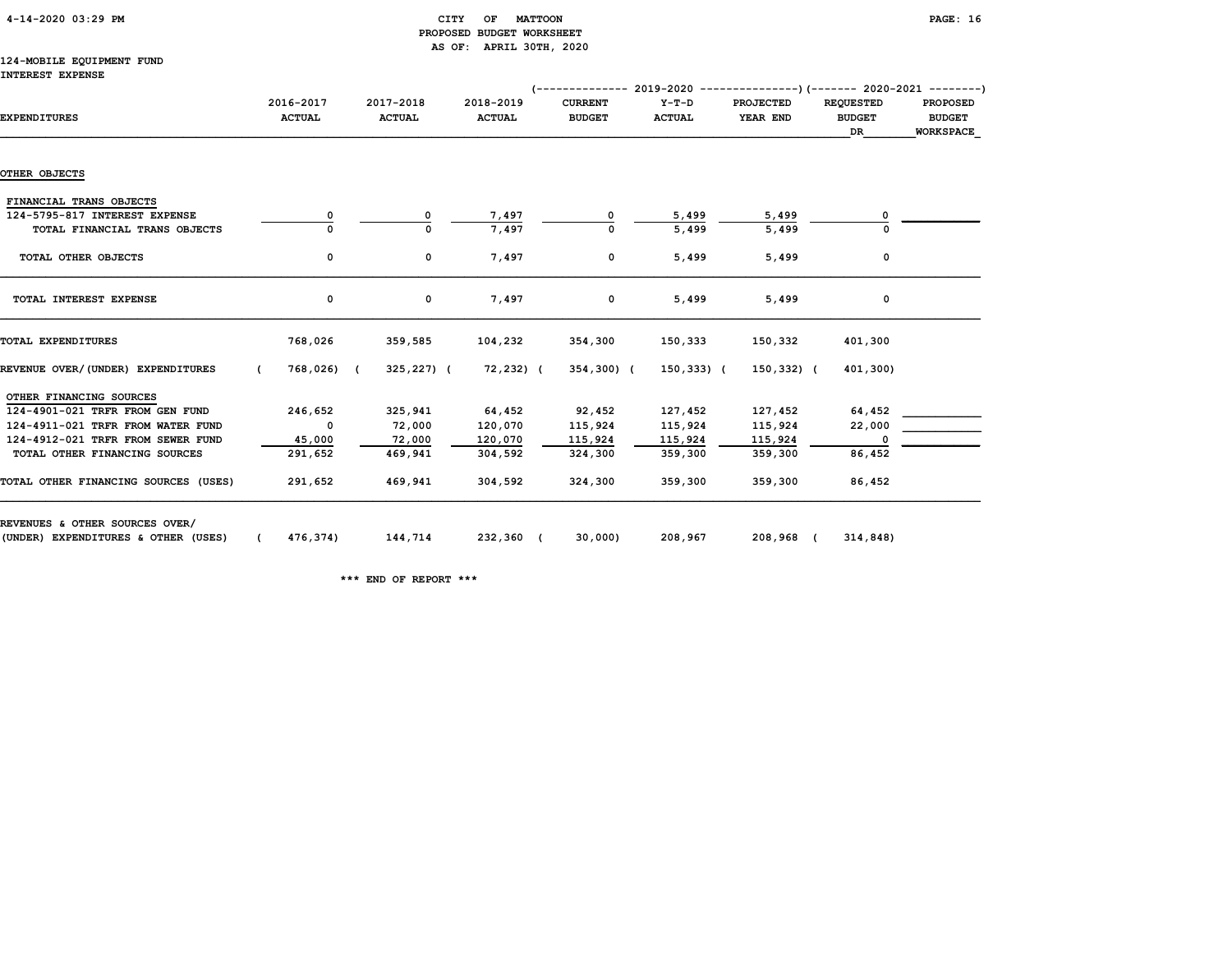| 4-14-2020 03:29 PM |
|--------------------|
|--------------------|

# CITY OF MATTOON **PAGE:** 16 PROPOSED BUDGET WORKSHEET AS OF: APRIL 30TH, 2020

#### 124-MOBILE EQUIPMENT FUND INTEREST EXPENSE

|                                                                       |                            |                            |                            |                                 | (-------------- 2019-2020 ----------------) (------- 2020-2021 --------) |                              |                                         |                                                      |
|-----------------------------------------------------------------------|----------------------------|----------------------------|----------------------------|---------------------------------|--------------------------------------------------------------------------|------------------------------|-----------------------------------------|------------------------------------------------------|
| <b>EXPENDITURES</b>                                                   | 2016-2017<br><b>ACTUAL</b> | 2017-2018<br><b>ACTUAL</b> | 2018-2019<br><b>ACTUAL</b> | <b>CURRENT</b><br><b>BUDGET</b> | $Y-T-D$<br><b>ACTUAL</b>                                                 | <b>PROJECTED</b><br>YEAR END | <b>REQUESTED</b><br><b>BUDGET</b><br>DR | <b>PROPOSED</b><br><b>BUDGET</b><br><b>WORKSPACE</b> |
|                                                                       |                            |                            |                            |                                 |                                                                          |                              |                                         |                                                      |
| OTHER OBJECTS                                                         |                            |                            |                            |                                 |                                                                          |                              |                                         |                                                      |
| FINANCIAL TRANS OBJECTS                                               |                            |                            |                            |                                 |                                                                          |                              |                                         |                                                      |
| 124-5795-817 INTEREST EXPENSE                                         | 0                          | 0                          | 7,497                      | 0                               | 5,499                                                                    | 5,499                        | 0                                       |                                                      |
| TOTAL FINANCIAL TRANS OBJECTS                                         | 0                          | $\Omega$                   | 7,497                      | 0                               | 5,499                                                                    | 5,499                        | $\Omega$                                |                                                      |
| TOTAL OTHER OBJECTS                                                   | 0                          | $\mathbf 0$                | 7,497                      | 0                               | 5,499                                                                    | 5,499                        | 0                                       |                                                      |
| TOTAL INTEREST EXPENSE                                                | 0                          | 0                          | 7,497                      | $\mathbf 0$                     | 5,499                                                                    | 5,499                        | 0                                       |                                                      |
| TOTAL EXPENDITURES                                                    | 768,026                    | 359,585                    | 104,232                    | 354,300                         | 150,333                                                                  | 150,332                      | 401,300                                 |                                                      |
| REVENUE OVER/(UNDER) EXPENDITURES                                     | 768,026) (<br>$\epsilon$   | 325,227) (                 | 72,232) (                  | 354,300) (                      | $150,333)$ (                                                             | 150,332) (                   | 401,300)                                |                                                      |
| OTHER FINANCING SOURCES                                               |                            |                            |                            |                                 |                                                                          |                              |                                         |                                                      |
| 124-4901-021 TRFR FROM GEN FUND                                       | 246,652                    | 325,941                    | 64,452                     | 92,452                          | 127,452                                                                  | 127,452                      | 64,452                                  |                                                      |
| 124-4911-021 TRFR FROM WATER FUND                                     | $\mathbf 0$                | 72,000                     | 120,070                    | 115,924                         | 115,924                                                                  | 115,924                      | 22,000                                  |                                                      |
| 124-4912-021 TRFR FROM SEWER FUND                                     | 45,000                     | 72,000                     | 120,070                    | 115,924                         | 115,924                                                                  | 115,924                      | 0                                       |                                                      |
| TOTAL OTHER FINANCING SOURCES                                         | 291,652                    | 469,941                    | 304,592                    | 324,300                         | 359,300                                                                  | 359,300                      | 86,452                                  |                                                      |
| TOTAL OTHER FINANCING SOURCES (USES)                                  | 291,652                    | 469,941                    | 304,592                    | 324,300                         | 359,300                                                                  | 359,300                      | 86,452                                  |                                                      |
| REVENUES & OTHER SOURCES OVER/<br>(UNDER) EXPENDITURES & OTHER (USES) | 476,374)                   | 144,714                    | 232,360 (                  | 30,000)                         | 208,967                                                                  | 208,968 (                    | 314,848)                                |                                                      |

\*\*\* END OF REPORT \*\*\*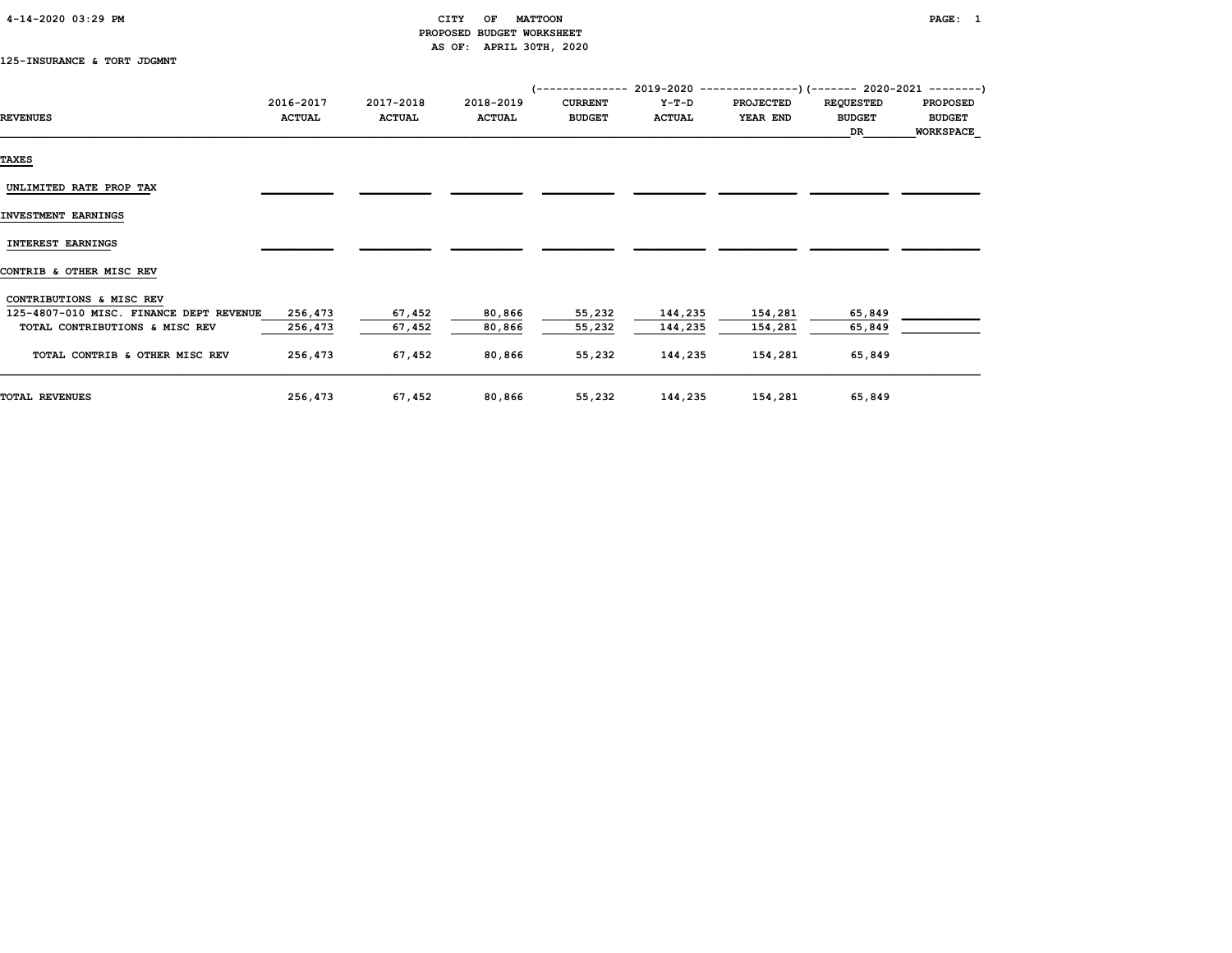| 4-14-2020 03:29 PM |  |  |  |  |
|--------------------|--|--|--|--|
|--------------------|--|--|--|--|

# CITY OF MATTOON PAGE: 1 PROPOSED BUDGET WORKSHEET AS OF: APRIL 30TH, 2020

125-INSURANCE & TORT JDGMNT

|                                         |               |               |               |                |               | $($ -------------- 2019-2020 ----------------) (------- 2020-2021 --------) |                  |                  |
|-----------------------------------------|---------------|---------------|---------------|----------------|---------------|-----------------------------------------------------------------------------|------------------|------------------|
|                                         | 2016-2017     | 2017-2018     | 2018-2019     | <b>CURRENT</b> | $Y-T-D$       | <b>PROJECTED</b>                                                            | <b>REQUESTED</b> | <b>PROPOSED</b>  |
| <b>REVENUES</b>                         | <b>ACTUAL</b> | <b>ACTUAL</b> | <b>ACTUAL</b> | <b>BUDGET</b>  | <b>ACTUAL</b> | YEAR END                                                                    | <b>BUDGET</b>    | <b>BUDGET</b>    |
|                                         |               |               |               |                |               |                                                                             | DR               | <b>WORKSPACE</b> |
| <b>TAXES</b>                            |               |               |               |                |               |                                                                             |                  |                  |
| UNLIMITED RATE PROP TAX                 |               |               |               |                |               |                                                                             |                  |                  |
| INVESTMENT EARNINGS                     |               |               |               |                |               |                                                                             |                  |                  |
| <b>INTEREST EARNINGS</b>                |               |               |               |                |               |                                                                             |                  |                  |
| CONTRIB & OTHER MISC REV                |               |               |               |                |               |                                                                             |                  |                  |
| CONTRIBUTIONS & MISC REV                |               |               |               |                |               |                                                                             |                  |                  |
| 125-4807-010 MISC. FINANCE DEPT REVENUE | 256,473       | 67,452        | 80,866        | 55,232         | 144,235       | 154,281                                                                     | 65,849           |                  |
| TOTAL CONTRIBUTIONS & MISC REV          | 256,473       | 67,452        | 80,866        | 55,232         | 144,235       | 154,281                                                                     | 65,849           |                  |
| TOTAL CONTRIB & OTHER MISC REV          | 256,473       | 67,452        | 80,866        | 55,232         | 144,235       | 154,281                                                                     | 65,849           |                  |
| <b>TOTAL REVENUES</b>                   | 256,473       | 67,452        | 80,866        | 55,232         | 144,235       | 154,281                                                                     | 65,849           |                  |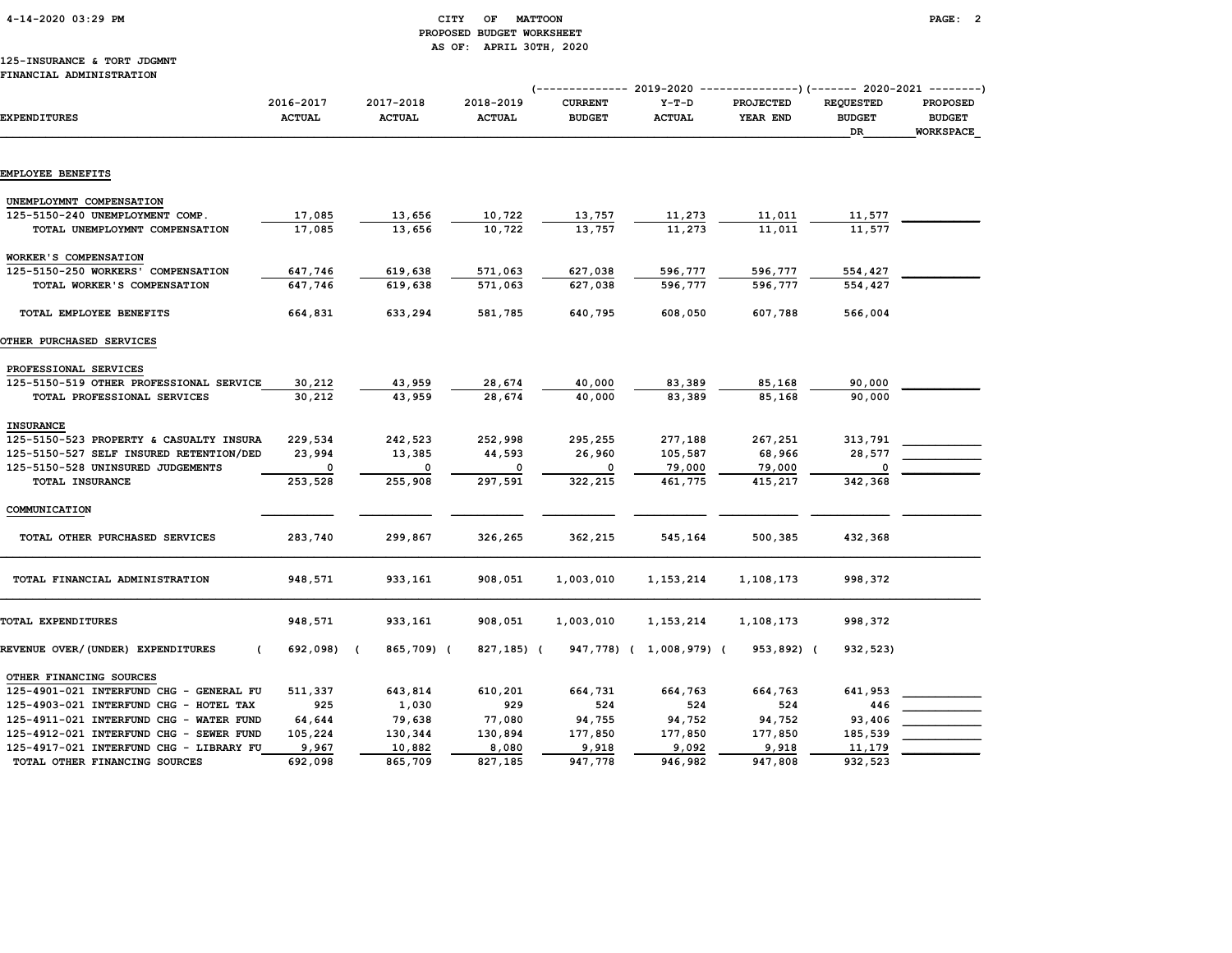4-14-2020 03:29 PM CITY OF MATTOON PAGE: 2

# PROPOSED BUDGET WORKSHEET AS OF: APRIL 30TH, 2020

#### 125-INSURANCE & TORT JDGMNT FINANCIAL ADMINISTRATION

|                                                                             |                            |                            |                            | (------------- 2019-2020        |                          |                       | ---------------) (------- 2020-2021            | ---------)                                           |
|-----------------------------------------------------------------------------|----------------------------|----------------------------|----------------------------|---------------------------------|--------------------------|-----------------------|------------------------------------------------|------------------------------------------------------|
| <b>EXPENDITURES</b>                                                         | 2016-2017<br><b>ACTUAL</b> | 2017-2018<br><b>ACTUAL</b> | 2018-2019<br><b>ACTUAL</b> | <b>CURRENT</b><br><b>BUDGET</b> | $Y-T-D$<br><b>ACTUAL</b> | PROJECTED<br>YEAR END | <b>REQUESTED</b><br><b>BUDGET</b><br><b>DR</b> | <b>PROPOSED</b><br><b>BUDGET</b><br><b>WORKSPACE</b> |
| EMPLOYEE BENEFITS                                                           |                            |                            |                            |                                 |                          |                       |                                                |                                                      |
|                                                                             |                            |                            |                            |                                 |                          |                       |                                                |                                                      |
| UNEMPLOYMNT COMPENSATION                                                    |                            |                            |                            |                                 |                          |                       |                                                |                                                      |
| 125-5150-240 UNEMPLOYMENT COMP.                                             | 17,085                     | 13,656                     | 10,722                     | 13,757                          | 11,273                   | 11,011                | 11,577                                         |                                                      |
| TOTAL UNEMPLOYMNT COMPENSATION                                              | 17,085                     | 13,656                     | 10,722                     | 13,757                          | 11,273                   | 11,011                | 11,577                                         |                                                      |
| WORKER'S COMPENSATION                                                       |                            |                            |                            |                                 |                          |                       |                                                |                                                      |
| 125-5150-250 WORKERS' COMPENSATION                                          | 647,746                    | 619,638                    | 571,063                    | 627,038                         | 596,777                  | 596,777               | 554,427                                        |                                                      |
| TOTAL WORKER'S COMPENSATION                                                 | 647,746                    | 619,638                    | 571,063                    | 627,038                         | 596,777                  | 596,777               | 554,427                                        |                                                      |
| TOTAL EMPLOYEE BENEFITS                                                     | 664,831                    | 633,294                    | 581,785                    | 640,795                         | 608,050                  | 607,788               | 566,004                                        |                                                      |
| OTHER PURCHASED SERVICES                                                    |                            |                            |                            |                                 |                          |                       |                                                |                                                      |
| PROFESSIONAL SERVICES                                                       |                            |                            |                            |                                 |                          |                       |                                                |                                                      |
| 125-5150-519 OTHER PROFESSIONAL SERVICE                                     | 30,212                     | 43,959                     | 28,674                     | 40,000                          | 83,389                   | 85,168                | 90,000                                         |                                                      |
| TOTAL PROFESSIONAL SERVICES                                                 | 30,212                     | 43,959                     | 28,674                     | 40,000                          | 83,389                   | 85,168                | 90,000                                         |                                                      |
| <b>INSURANCE</b>                                                            |                            |                            |                            |                                 |                          |                       |                                                |                                                      |
| 125-5150-523 PROPERTY & CASUALTY INSURA                                     | 229,534                    | 242,523                    | 252,998                    | 295,255                         | 277,188                  | 267,251               | 313,791                                        |                                                      |
| 125-5150-527 SELF INSURED RETENTION/DED                                     | 23,994                     | 13,385                     | 44,593                     | 26,960                          | 105,587                  | 68,966                | 28,577                                         |                                                      |
| 125-5150-528 UNINSURED JUDGEMENTS                                           | $\Omega$                   | $\Omega$                   | 0                          | 0                               | 79,000                   | 79,000                | $\Omega$                                       |                                                      |
| TOTAL INSURANCE                                                             | 253,528                    | 255,908                    | 297,591                    | 322,215                         | 461,775                  | 415,217               | 342,368                                        |                                                      |
| COMMUNICATION                                                               |                            |                            |                            |                                 |                          |                       |                                                |                                                      |
| TOTAL OTHER PURCHASED SERVICES                                              | 283,740                    | 299,867                    | 326,265                    | 362,215                         | 545,164                  | 500,385               | 432,368                                        |                                                      |
| TOTAL FINANCIAL ADMINISTRATION                                              | 948,571                    | 933,161                    | 908,051                    | 1,003,010                       | 1,153,214                | 1,108,173             | 998,372                                        |                                                      |
| TOTAL EXPENDITURES                                                          | 948,571                    | 933,161                    | 908,051                    | 1,003,010                       | 1,153,214                | 1,108,173             | 998,372                                        |                                                      |
| REVENUE OVER/(UNDER) EXPENDITURES<br>$\epsilon$                             | 692,098)                   | 865,709) (                 | 827,185) (                 | 947,778) (                      | 1,008,979) (             | 953,892) (            | 932,523)                                       |                                                      |
| OTHER FINANCING SOURCES                                                     |                            |                            |                            |                                 |                          |                       |                                                |                                                      |
| 125-4901-021 INTERFUND CHG - GENERAL FU                                     | 511,337                    | 643,814                    | 610,201                    | 664,731                         | 664,763                  | 664,763               | 641,953                                        |                                                      |
| 125-4903-021 INTERFUND CHG -<br>HOTEL TAX                                   | 925                        | 1,030                      | 929                        | 524                             | 524                      | 524                   | 446                                            |                                                      |
| 125-4911-021 INTERFUND CHG<br><b>WATER FUND</b><br>$\overline{\phantom{a}}$ | 64,644                     | 79,638                     | 77,080                     | 94,755                          | 94,752                   | 94,752                | 93,406                                         |                                                      |
| 125-4912-021 INTERFUND CHG - SEWER FUND                                     | 105,224                    | 130,344                    | 130,894                    | 177,850                         | 177,850                  | 177,850               | 185,539                                        |                                                      |
| 125-4917-021 INTERFUND CHG - LIBRARY FU                                     | 9,967                      | 10,882                     | 8,080                      | 9,918                           | 9,092                    | 9,918                 | 11,179                                         |                                                      |
| TOTAL OTHER FINANCING SOURCES                                               | 692,098                    | 865,709                    | 827,185                    | 947,778                         | 946,982                  | 947,808               | 932,523                                        |                                                      |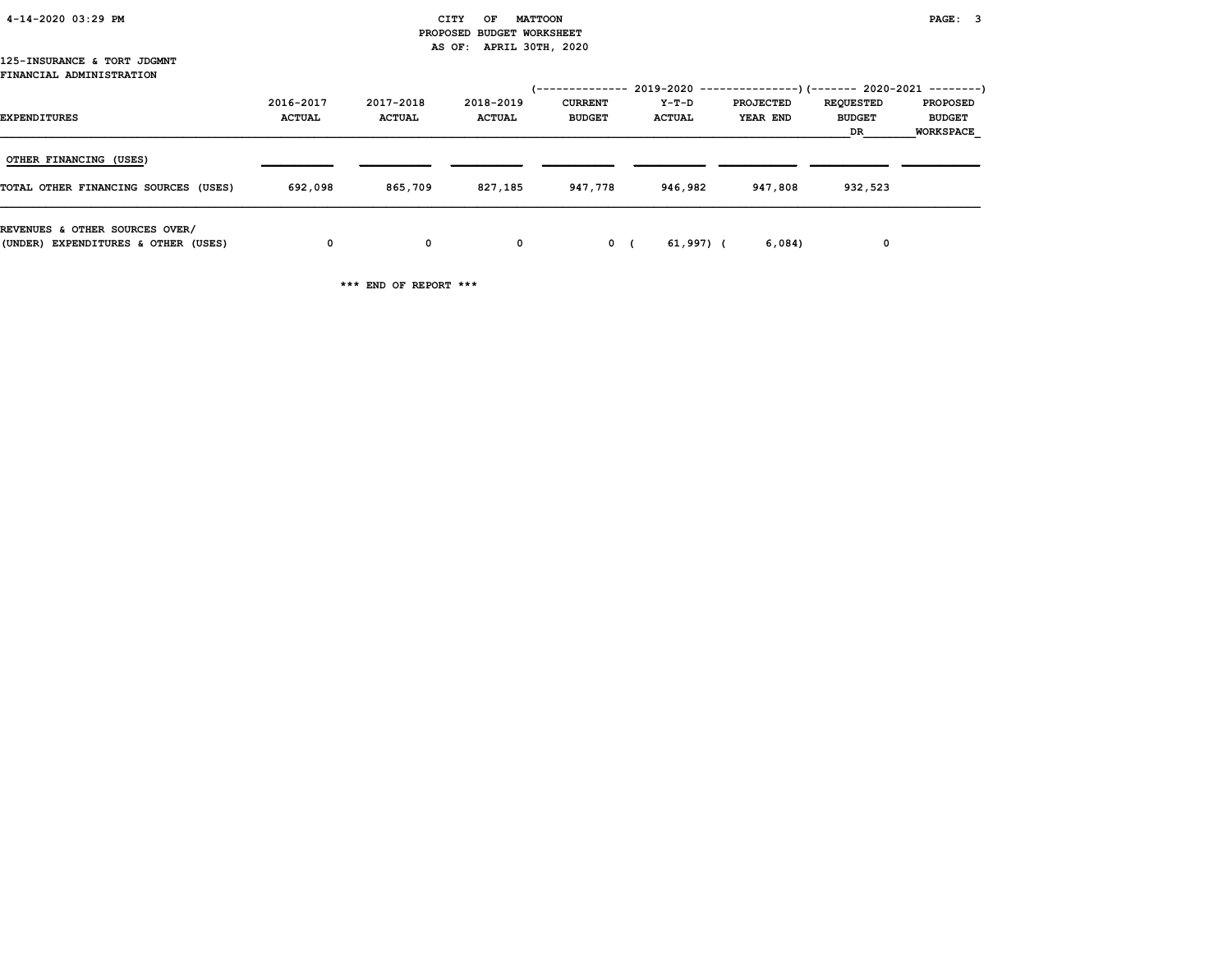| 4-14-2020 03:29 PM |  |
|--------------------|--|
|                    |  |

#### CITY OF MATTOON **PAGE:** 3 PROPOSED BUDGET WORKSHEET AS OF: APRIL 30TH, 2020

#### 125-INSURANCE & TORT JDGMNT FINANCIAL ADMINISTRATION

| <b>EXPENDITURES</b>                                                   | 2016-2017<br><b>ACTUAL</b> | 2017-2018<br><b>ACTUAL</b> | 2018-2019<br><b>ACTUAL</b> | 1--------------<br><b>CURRENT</b><br><b>BUDGET</b> | Y-T-D<br><b>ACTUAL</b> | $2019-2020$ ----------------)(------- 2020-2021 --------)<br><b>PROJECTED</b><br>YEAR END | <b>REQUESTED</b><br><b>BUDGET</b><br>DR | <b>PROPOSED</b><br><b>BUDGET</b><br><b>WORKSPACE</b> |
|-----------------------------------------------------------------------|----------------------------|----------------------------|----------------------------|----------------------------------------------------|------------------------|-------------------------------------------------------------------------------------------|-----------------------------------------|------------------------------------------------------|
| OTHER FINANCING (USES)<br>TOTAL OTHER FINANCING SOURCES (USES)        | 692,098                    | 865,709                    | 827,185                    | 947,778                                            | 946,982                | 947,808                                                                                   | 932,523                                 |                                                      |
| REVENUES & OTHER SOURCES OVER/<br>(UNDER) EXPENDITURES & OTHER (USES) | 0                          | 0                          | $\mathbf{o}$               | 0 <sub>0</sub>                                     | 61,997) (              | 6,084)                                                                                    | 0                                       |                                                      |

\*\*\* END OF REPORT \*\*\*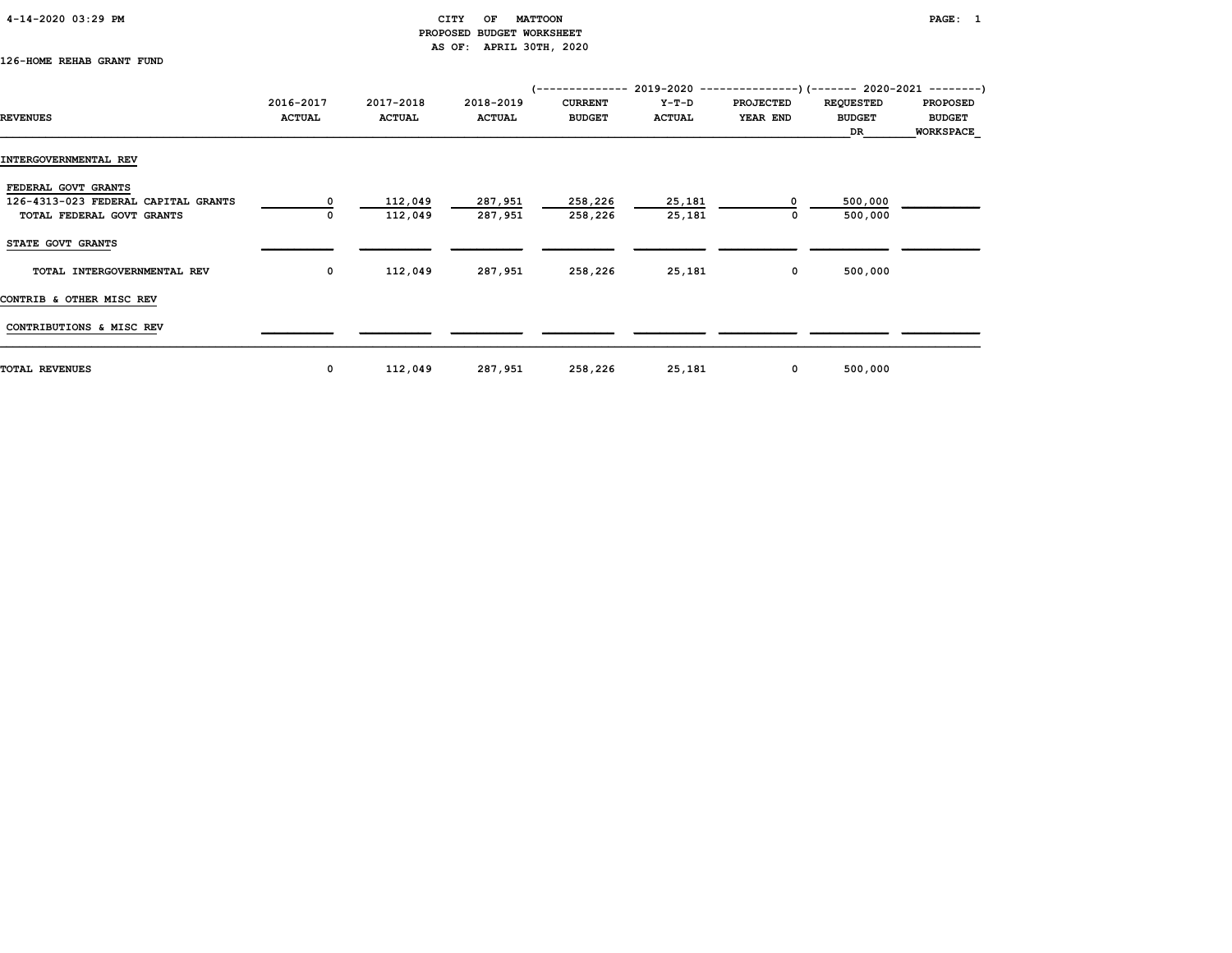# CITY OF MATTOON PAGE: 1 PROPOSED BUDGET WORKSHEET AS OF: APRIL 30TH, 2020

# 126-HOME REHAB GRANT FUND

|                                     |               |               |               |                |               | (-------------- 2019-2020 ----------------) (------- 2020-2021 --------) |                  |                 |
|-------------------------------------|---------------|---------------|---------------|----------------|---------------|--------------------------------------------------------------------------|------------------|-----------------|
|                                     | 2016-2017     | 2017-2018     | 2018-2019     | <b>CURRENT</b> | Y-T-D         | <b>PROJECTED</b>                                                         | <b>REQUESTED</b> | <b>PROPOSED</b> |
| <b>REVENUES</b>                     | <b>ACTUAL</b> | <b>ACTUAL</b> | <b>ACTUAL</b> | <b>BUDGET</b>  | <b>ACTUAL</b> | YEAR END                                                                 | <b>BUDGET</b>    | <b>BUDGET</b>   |
|                                     |               |               |               |                |               |                                                                          | DR               | WORKSPACE       |
| INTERGOVERNMENTAL REV               |               |               |               |                |               |                                                                          |                  |                 |
| FEDERAL GOVT GRANTS                 |               |               |               |                |               |                                                                          |                  |                 |
| 126-4313-023 FEDERAL CAPITAL GRANTS | 0             | 112,049       | 287,951       | 258,226        | 25,181        | 0                                                                        | 500,000          |                 |
| TOTAL FEDERAL GOVT GRANTS           |               | 112,049       | 287,951       | 258,226        | 25,181        | 0                                                                        | 500,000          |                 |
| STATE GOVT GRANTS                   |               |               |               |                |               |                                                                          |                  |                 |
| TOTAL INTERGOVERNMENTAL REV         | $\mathbf 0$   | 112,049       | 287,951       | 258,226        | 25,181        | $\mathbf{0}$                                                             | 500,000          |                 |
| CONTRIB & OTHER MISC REV            |               |               |               |                |               |                                                                          |                  |                 |
| CONTRIBUTIONS & MISC REV            |               |               |               |                |               |                                                                          |                  |                 |
| <b>TOTAL REVENUES</b>               | 0             | 112,049       | 287,951       | 258,226        | 25,181        | $\mathbf{0}$                                                             | 500,000          |                 |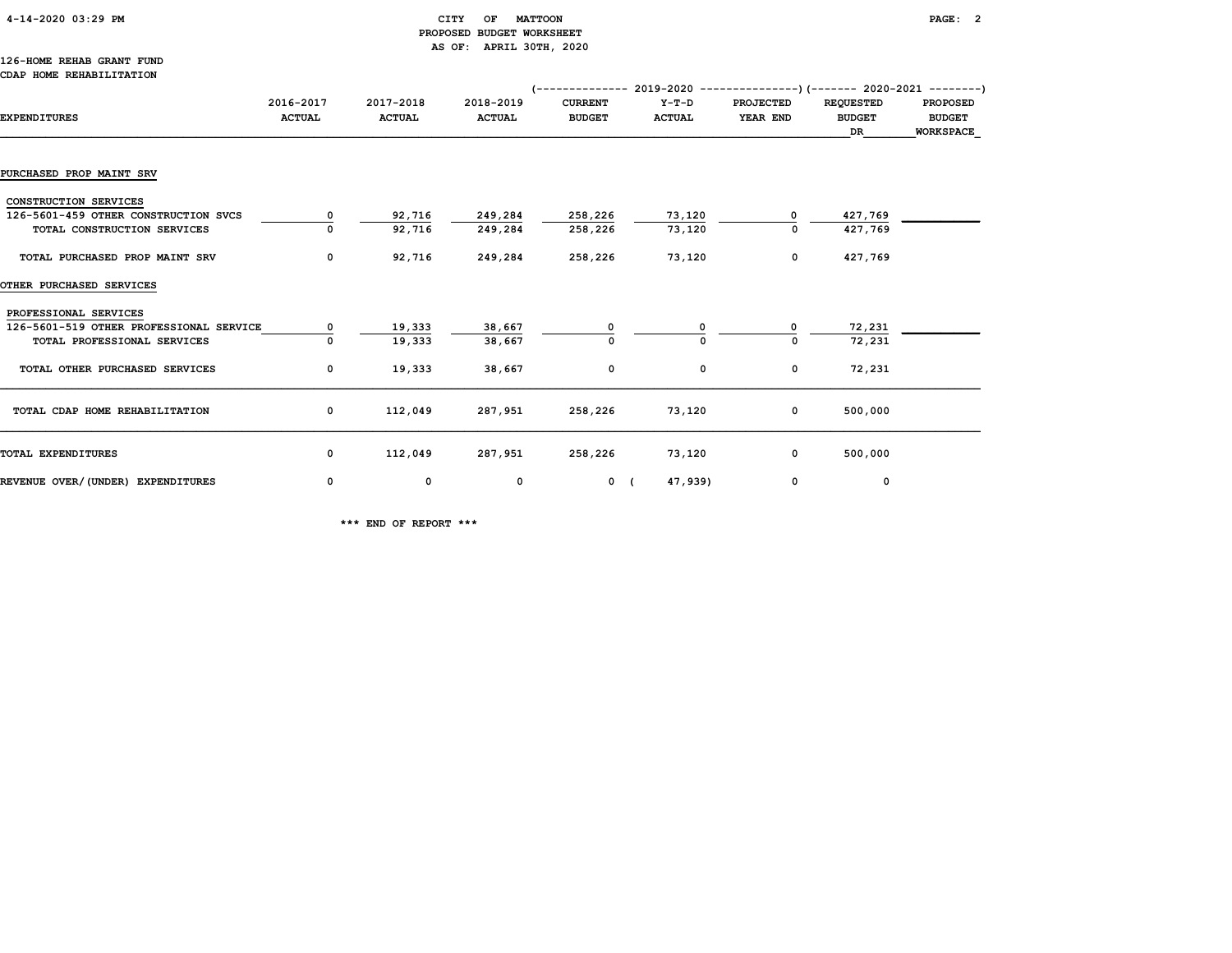# 4-14-2020 03:29 PM CITY OF MATTOON PAGE: 2 PROPOSED BUDGET WORKSHEET AS OF: APRIL 30TH, 2020

#### 126-HOME REHAB GRANT FUND CDAP HOME REHABILITATION

|                                         |                            |                            |                            | (-------------- 2019-2020 ----------------) (------- 2020-2021 --------) |                          |                              |                                         |                                               |
|-----------------------------------------|----------------------------|----------------------------|----------------------------|--------------------------------------------------------------------------|--------------------------|------------------------------|-----------------------------------------|-----------------------------------------------|
| <b>EXPENDITURES</b>                     | 2016-2017<br><b>ACTUAL</b> | 2017-2018<br><b>ACTUAL</b> | 2018-2019<br><b>ACTUAL</b> | <b>CURRENT</b><br><b>BUDGET</b>                                          | $Y-T-D$<br><b>ACTUAL</b> | <b>PROJECTED</b><br>YEAR END | <b>REQUESTED</b><br><b>BUDGET</b><br>DR | <b>PROPOSED</b><br><b>BUDGET</b><br>WORKSPACE |
|                                         |                            |                            |                            |                                                                          |                          |                              |                                         |                                               |
| PURCHASED PROP MAINT SRV                |                            |                            |                            |                                                                          |                          |                              |                                         |                                               |
| CONSTRUCTION SERVICES                   |                            |                            |                            |                                                                          |                          |                              |                                         |                                               |
| 126-5601-459 OTHER CONSTRUCTION SVCS    | 0                          | 92,716                     | 249,284                    | 258,226                                                                  | 73,120                   |                              | 427,769                                 |                                               |
| TOTAL CONSTRUCTION SERVICES             |                            | 92,716                     | 249,284                    | 258,226                                                                  | 73,120                   |                              | 427,769                                 |                                               |
| TOTAL PURCHASED PROP MAINT SRV          | $\mathbf 0$                | 92,716                     | 249,284                    | 258,226                                                                  | 73,120                   | $\mathbf 0$                  | 427,769                                 |                                               |
| <b>OTHER PURCHASED SERVICES</b>         |                            |                            |                            |                                                                          |                          |                              |                                         |                                               |
| PROFESSIONAL SERVICES                   |                            |                            |                            |                                                                          |                          |                              |                                         |                                               |
| 126-5601-519 OTHER PROFESSIONAL SERVICE | 0                          | 19,333                     | 38,667                     |                                                                          |                          |                              | 72,231                                  |                                               |
| TOTAL PROFESSIONAL SERVICES             |                            | 19,333                     | 38,667                     |                                                                          |                          |                              | 72,231                                  |                                               |
| TOTAL OTHER PURCHASED SERVICES          | 0                          | 19,333                     | 38,667                     | 0                                                                        | $\mathbf{o}$             | $\mathbf 0$                  | 72,231                                  |                                               |
| TOTAL CDAP HOME REHABILITATION          | 0                          | 112,049                    | 287,951                    | 258,226                                                                  | 73,120                   | $\mathbf 0$                  | 500,000                                 |                                               |
| TOTAL EXPENDITURES                      | $\mathbf 0$                | 112,049                    | 287,951                    | 258,226                                                                  | 73,120                   | $\mathbf 0$                  | 500,000                                 |                                               |
| REVENUE OVER/(UNDER) EXPENDITURES       | 0                          | $\mathbf{o}$               | 0                          | 0 <sup>0</sup>                                                           | 47,939)                  | 0                            | 0                                       |                                               |

\*\*\* END OF REPORT \*\*\*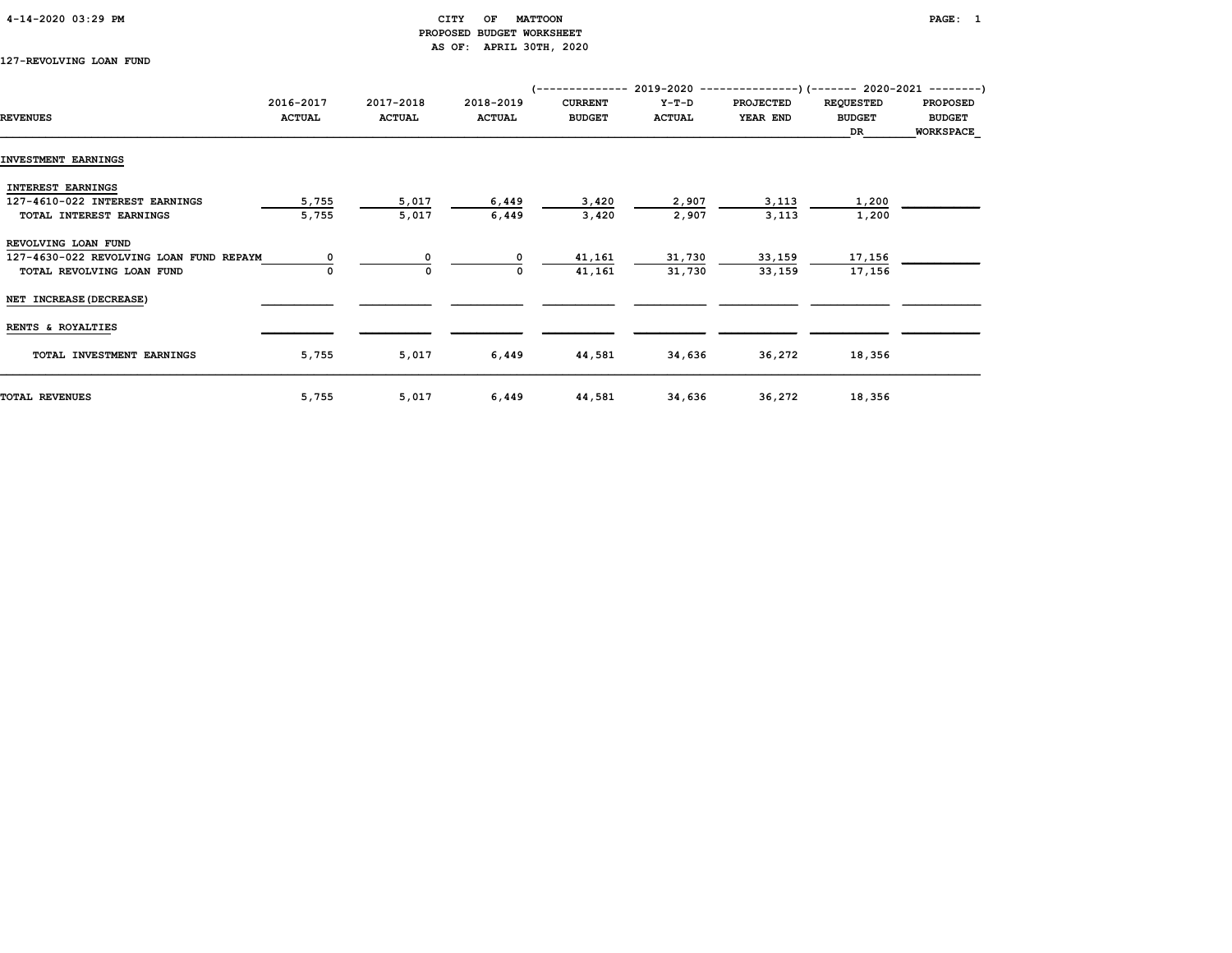# 4-14-2020 03:29 PM CITY OF MATTOON PAGE: 1 PROPOSED BUDGET WORKSHEET AS OF: APRIL 30TH, 2020

127-REVOLVING LOAN FUND

| 2016-2017     | 2017-2018                                                                   | 2018-2019                        | <b>CURRENT</b>                   | $Y-T-D$                            | <b>PROJECTED</b>                   | <b>REQUESTED</b>                   | <b>PROPOSED</b>                                                                                                |
|---------------|-----------------------------------------------------------------------------|----------------------------------|----------------------------------|------------------------------------|------------------------------------|------------------------------------|----------------------------------------------------------------------------------------------------------------|
| <b>ACTUAL</b> | <b>ACTUAL</b>                                                               | <b>ACTUAL</b>                    | <b>BUDGET</b>                    | <b>ACTUAL</b>                      | YEAR END                           | <b>BUDGET</b>                      | <b>BUDGET</b>                                                                                                  |
|               |                                                                             |                                  |                                  |                                    |                                    | DR                                 | <b>WORKSPACE</b>                                                                                               |
|               |                                                                             |                                  |                                  |                                    |                                    |                                    |                                                                                                                |
|               |                                                                             |                                  |                                  |                                    |                                    |                                    |                                                                                                                |
|               |                                                                             |                                  |                                  |                                    |                                    |                                    |                                                                                                                |
|               |                                                                             |                                  |                                  |                                    |                                    |                                    |                                                                                                                |
|               |                                                                             |                                  |                                  |                                    |                                    |                                    |                                                                                                                |
|               |                                                                             |                                  |                                  |                                    |                                    |                                    |                                                                                                                |
|               |                                                                             |                                  |                                  |                                    |                                    |                                    |                                                                                                                |
|               | 0                                                                           | $\Omega$                         | 41,161                           | 31,730                             | 33,159                             | 17,156                             |                                                                                                                |
|               | 0                                                                           | 0                                | 41,161                           | 31,730                             | 33,159                             | 17,156                             |                                                                                                                |
|               |                                                                             |                                  |                                  |                                    |                                    |                                    |                                                                                                                |
|               |                                                                             |                                  |                                  |                                    |                                    |                                    |                                                                                                                |
|               |                                                                             |                                  |                                  |                                    |                                    |                                    |                                                                                                                |
|               |                                                                             |                                  |                                  |                                    |                                    |                                    |                                                                                                                |
|               |                                                                             |                                  |                                  |                                    |                                    |                                    |                                                                                                                |
|               |                                                                             |                                  |                                  |                                    |                                    |                                    |                                                                                                                |
|               | 5,755<br>5,755<br>127-4630-022 REVOLVING LOAN FUND REPAYM<br>5,755<br>5,755 | 5,017<br>5,017<br>5,017<br>5,017 | 6,449<br>6,449<br>6,449<br>6,449 | 3,420<br>3,420<br>44,581<br>44,581 | 2,907<br>2,907<br>34,636<br>34,636 | 3,113<br>3,113<br>36,272<br>36,272 | (-------------- 2019-2020 ----------------) (------- 2020-2021 --------)<br>1,200<br>1,200<br>18,356<br>18,356 |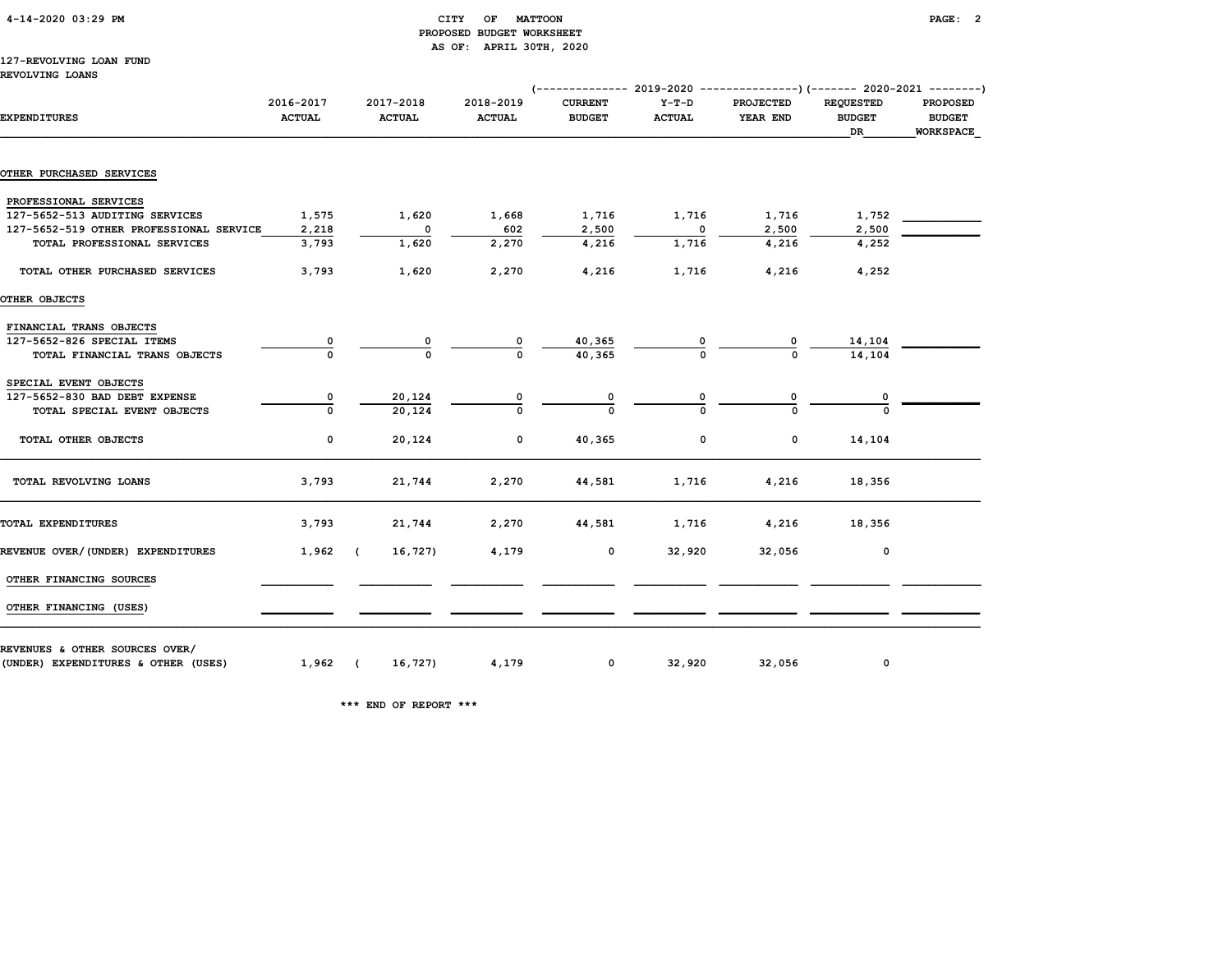|  | 4-14-2020 03:29 PM |  |  |
|--|--------------------|--|--|
|--|--------------------|--|--|

## CITY OF MATTOON **PAGE: 2**  PROPOSED BUDGET WORKSHEET AS OF: APRIL 30TH, 2020

# 127-REVOLVING LOAN FUND

REVOLVING LOANS

|                                         |                            |                            |                            |                                 | (------------- 2019-2020 ---------------)(------- 2020-2021 --------) |                              |                                         |                                                      |
|-----------------------------------------|----------------------------|----------------------------|----------------------------|---------------------------------|-----------------------------------------------------------------------|------------------------------|-----------------------------------------|------------------------------------------------------|
| <b>EXPENDITURES</b>                     | 2016-2017<br><b>ACTUAL</b> | 2017-2018<br><b>ACTUAL</b> | 2018-2019<br><b>ACTUAL</b> | <b>CURRENT</b><br><b>BUDGET</b> | Y-T-D<br><b>ACTUAL</b>                                                | <b>PROJECTED</b><br>YEAR END | <b>REQUESTED</b><br><b>BUDGET</b><br>DR | <b>PROPOSED</b><br><b>BUDGET</b><br><b>WORKSPACE</b> |
| <b>OTHER PURCHASED SERVICES</b>         |                            |                            |                            |                                 |                                                                       |                              |                                         |                                                      |
|                                         |                            |                            |                            |                                 |                                                                       |                              |                                         |                                                      |
| PROFESSIONAL SERVICES                   |                            |                            |                            |                                 |                                                                       |                              |                                         |                                                      |
| 127-5652-513 AUDITING SERVICES          | 1,575                      | 1,620                      | 1,668                      | 1,716                           | 1,716                                                                 | 1,716                        | 1,752                                   |                                                      |
| 127-5652-519 OTHER PROFESSIONAL SERVICE | 2,218                      | 0                          | 602                        | 2,500                           | $\overline{\phantom{0}}$                                              | 2,500                        | 2,500                                   |                                                      |
| TOTAL PROFESSIONAL SERVICES             | 3,793                      | 1,620                      | 2,270                      | 4,216                           | 1,716                                                                 | 4,216                        | 4,252                                   |                                                      |
| TOTAL OTHER PURCHASED SERVICES          | 3,793                      | 1,620                      | 2,270                      | 4,216                           | 1,716                                                                 | 4,216                        | 4,252                                   |                                                      |
| OTHER OBJECTS                           |                            |                            |                            |                                 |                                                                       |                              |                                         |                                                      |
| FINANCIAL TRANS OBJECTS                 |                            |                            |                            |                                 |                                                                       |                              |                                         |                                                      |
| 127-5652-826 SPECIAL ITEMS              |                            |                            |                            | 40,365                          |                                                                       |                              | 14,104                                  |                                                      |
| TOTAL FINANCIAL TRANS OBJECTS           | $\Omega$                   | $\Omega$                   |                            | 40,365                          |                                                                       |                              | 14,104                                  |                                                      |
| SPECIAL EVENT OBJECTS                   |                            |                            |                            |                                 |                                                                       |                              |                                         |                                                      |
| 127-5652-830 BAD DEBT EXPENSE           | 0                          | 20,124                     |                            | $\overline{\mathbf{0}}$         |                                                                       |                              |                                         |                                                      |
| TOTAL SPECIAL EVENT OBJECTS             | $\Omega$                   | 20,124                     |                            |                                 |                                                                       |                              |                                         |                                                      |
| TOTAL OTHER OBJECTS                     | 0                          | 20,124                     | $\mathbf 0$                | 40,365                          | $\mathbf{o}$                                                          | $\mathbf 0$                  | 14,104                                  |                                                      |
| TOTAL REVOLVING LOANS                   | 3,793                      | 21,744                     | 2,270                      | 44,581                          | 1,716                                                                 | 4,216                        | 18,356                                  |                                                      |
| TOTAL EXPENDITURES                      | 3,793                      | 21,744                     | 2,270                      | 44,581                          | 1,716                                                                 | 4,216                        | 18,356                                  |                                                      |
| REVENUE OVER/(UNDER) EXPENDITURES       | $1,962$ (                  | 16,727)                    | 4,179                      | 0                               | 32,920                                                                | 32,056                       | 0                                       |                                                      |
| OTHER FINANCING SOURCES                 |                            |                            |                            |                                 |                                                                       |                              |                                         |                                                      |
|                                         |                            |                            |                            |                                 |                                                                       |                              |                                         |                                                      |
| OTHER FINANCING (USES)                  |                            |                            |                            |                                 |                                                                       |                              |                                         |                                                      |
| REVENUES & OTHER SOURCES OVER/          |                            |                            |                            |                                 |                                                                       |                              |                                         |                                                      |
| (UNDER) EXPENDITURES & OTHER (USES)     | $1,962$ (                  | 16,727)                    | 4,179                      | $\mathbf 0$                     | 32,920                                                                | 32,056                       | $\mathsf{o}\,$                          |                                                      |

\*\*\* END OF REPORT \*\*\*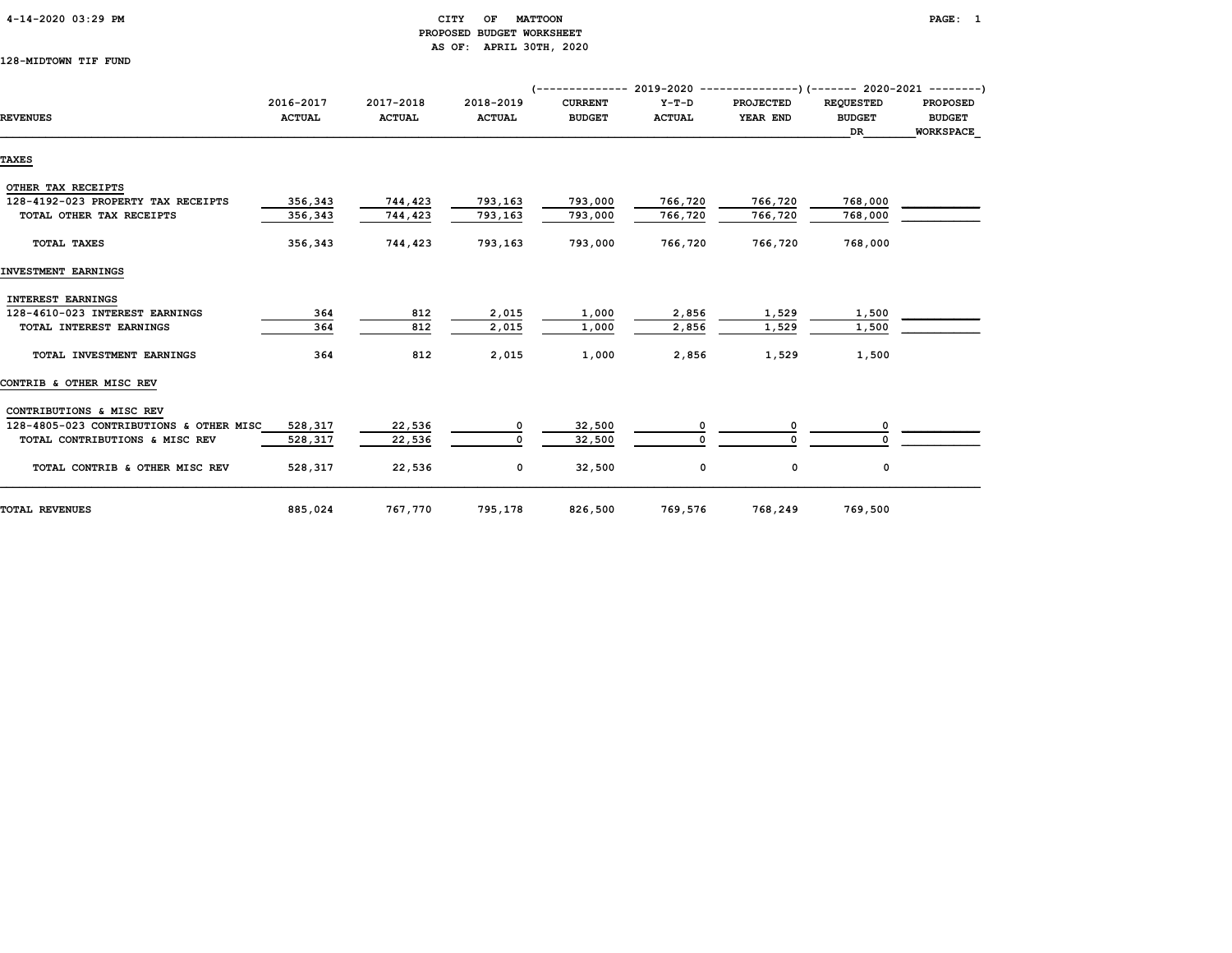#### 4-14-2020 03:29 PM CITY OF MATTOON PAGE: 1 PROPOSED BUDGET WORKSHEET AS OF: APRIL 30TH, 2020

128-MIDTOWN TIF FUND

|                                         |                            |                            |                            | $($ -------------- 2019-2020 ----------------) (------- 2020-2021 --------) |                          |                              |                                   |                                  |
|-----------------------------------------|----------------------------|----------------------------|----------------------------|-----------------------------------------------------------------------------|--------------------------|------------------------------|-----------------------------------|----------------------------------|
| <b>REVENUES</b>                         | 2016-2017<br><b>ACTUAL</b> | 2017-2018<br><b>ACTUAL</b> | 2018-2019<br><b>ACTUAL</b> | <b>CURRENT</b><br><b>BUDGET</b>                                             | $Y-T-D$<br><b>ACTUAL</b> | <b>PROJECTED</b><br>YEAR END | <b>REQUESTED</b><br><b>BUDGET</b> | <b>PROPOSED</b><br><b>BUDGET</b> |
|                                         |                            |                            |                            |                                                                             |                          |                              | DR                                | <b>WORKSPACE</b>                 |
| <b>TAXES</b>                            |                            |                            |                            |                                                                             |                          |                              |                                   |                                  |
| OTHER TAX RECEIPTS                      |                            |                            |                            |                                                                             |                          |                              |                                   |                                  |
| 128-4192-023 PROPERTY TAX RECEIPTS      | 356,343                    | 744,423                    | 793,163                    | 793,000                                                                     | 766,720                  | 766,720                      | 768,000                           |                                  |
| TOTAL OTHER TAX RECEIPTS                | 356,343                    | 744,423                    | 793,163                    | 793,000                                                                     | 766,720                  | 766,720                      | 768,000                           |                                  |
| TOTAL TAXES                             | 356,343                    | 744,423                    | 793,163                    | 793,000                                                                     | 766,720                  | 766,720                      | 768,000                           |                                  |
| INVESTMENT EARNINGS                     |                            |                            |                            |                                                                             |                          |                              |                                   |                                  |
| <b>INTEREST EARNINGS</b>                |                            |                            |                            |                                                                             |                          |                              |                                   |                                  |
| 128-4610-023 INTEREST EARNINGS          | 364                        | 812                        | 2,015                      | 1,000                                                                       | 2,856                    | 1,529                        | 1,500                             |                                  |
| TOTAL INTEREST EARNINGS                 | 364                        | 812                        | 2,015                      | 1,000                                                                       | 2,856                    | 1,529                        | 1,500                             |                                  |
| TOTAL INVESTMENT EARNINGS               | 364                        | 812                        | 2,015                      | 1,000                                                                       | 2,856                    | 1,529                        | 1,500                             |                                  |
| CONTRIB & OTHER MISC REV                |                            |                            |                            |                                                                             |                          |                              |                                   |                                  |
| CONTRIBUTIONS & MISC REV                |                            |                            |                            |                                                                             |                          |                              |                                   |                                  |
| 128-4805-023 CONTRIBUTIONS & OTHER MISC | 528,317                    | 22,536                     | 0                          | 32,500                                                                      |                          | 0                            |                                   |                                  |
| TOTAL CONTRIBUTIONS & MISC REV          | 528,317                    | 22,536                     | 0                          | 32,500                                                                      | $\Omega$                 | 0                            |                                   |                                  |
| TOTAL CONTRIB & OTHER MISC REV          | 528,317                    | 22,536                     | 0                          | 32,500                                                                      | 0                        | 0                            | 0                                 |                                  |
| <b>TOTAL REVENUES</b>                   | 885,024                    | 767,770                    | 795,178                    | 826,500                                                                     | 769,576                  | 768,249                      | 769,500                           |                                  |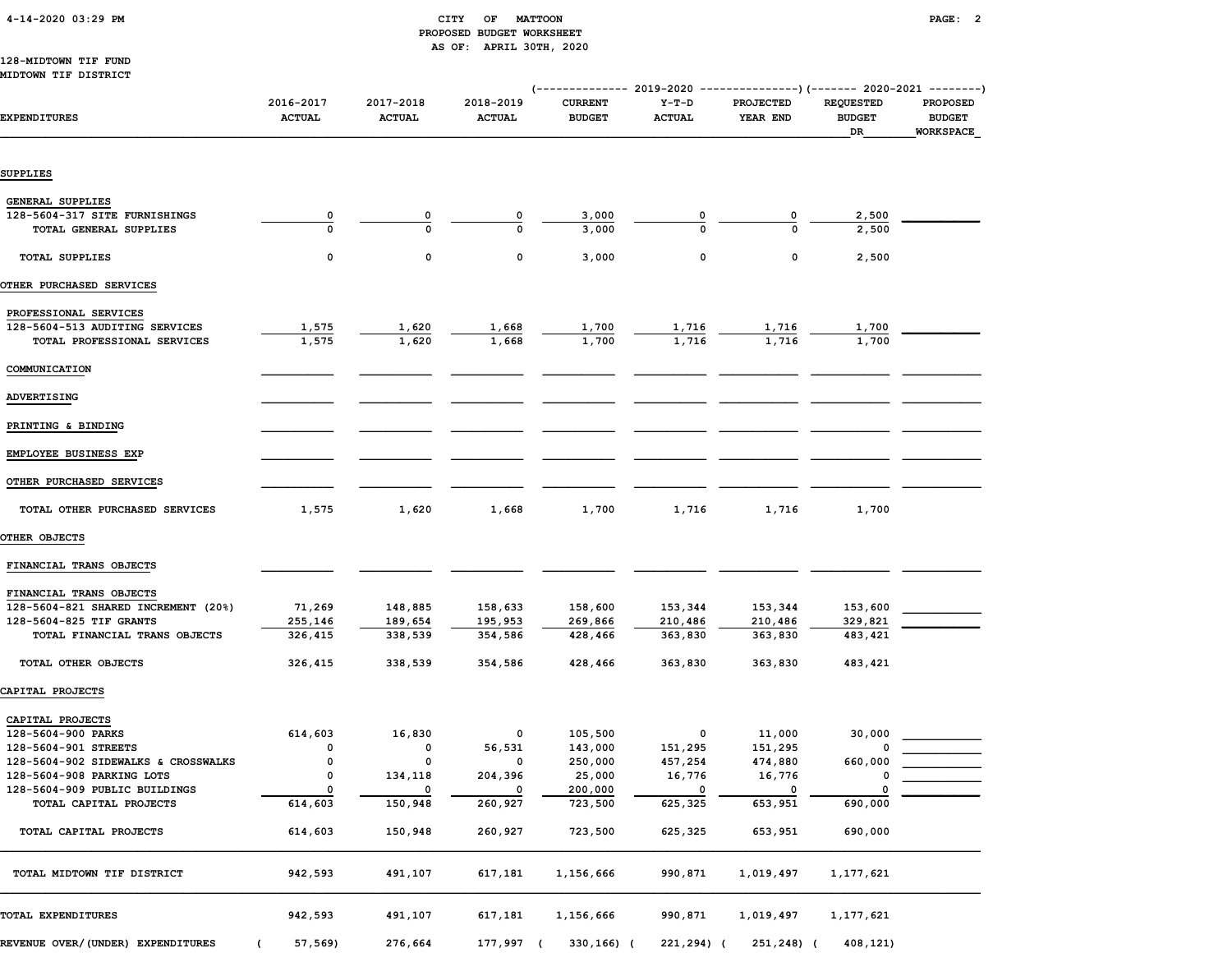|  | 4-14-2020 03:29 PM |  |  |
|--|--------------------|--|--|
|--|--------------------|--|--|

## $\begin{array}{ccc} \text{CITY} & \text{OF} & \text{MATTCON} \end{array}$  PROPOSED BUDGET WORKSHEET AS OF: APRIL 30TH, 2020

#### 128-MIDTOWN TIF FUND MIDTOWN TIF DISTRICT

|                                     |                            |                            |                            | (------------- 2019-2020        |                          | ---------------) (------- 2020-2021 ---------) |                                         |                                               |
|-------------------------------------|----------------------------|----------------------------|----------------------------|---------------------------------|--------------------------|------------------------------------------------|-----------------------------------------|-----------------------------------------------|
| <b>EXPENDITURES</b>                 | 2016-2017<br><b>ACTUAL</b> | 2017-2018<br><b>ACTUAL</b> | 2018-2019<br><b>ACTUAL</b> | <b>CURRENT</b><br><b>BUDGET</b> | $Y-T-D$<br><b>ACTUAL</b> | PROJECTED<br>YEAR END                          | <b>REQUESTED</b><br><b>BUDGET</b><br>DR | <b>PROPOSED</b><br><b>BUDGET</b><br>WORKSPACE |
| SUPPLIES                            |                            |                            |                            |                                 |                          |                                                |                                         |                                               |
|                                     |                            |                            |                            |                                 |                          |                                                |                                         |                                               |
| GENERAL SUPPLIES                    |                            |                            |                            |                                 |                          |                                                |                                         |                                               |
| 128-5604-317 SITE FURNISHINGS       | 0                          | 0                          | 0                          | 3,000                           |                          | 0                                              | 2,500                                   |                                               |
| TOTAL GENERAL SUPPLIES              | $\mathbf 0$                | $\Omega$                   | $\Omega$                   | 3,000                           | $\Omega$                 |                                                | 2,500                                   |                                               |
| <b>TOTAL SUPPLIES</b>               | 0                          | 0                          | 0                          | 3,000                           | 0                        | 0                                              | 2,500                                   |                                               |
| OTHER PURCHASED SERVICES            |                            |                            |                            |                                 |                          |                                                |                                         |                                               |
| PROFESSIONAL SERVICES               |                            |                            |                            |                                 |                          |                                                |                                         |                                               |
| 128-5604-513 AUDITING SERVICES      | 1,575                      | 1,620                      | 1,668                      | 1,700                           | 1,716                    | 1,716                                          | 1,700                                   |                                               |
| TOTAL PROFESSIONAL SERVICES         | 1,575                      | 1,620                      | 1,668                      | 1,700                           | 1,716                    | 1,716                                          | 1,700                                   |                                               |
| COMMUNICATION                       |                            |                            |                            |                                 |                          |                                                |                                         |                                               |
|                                     |                            |                            |                            |                                 |                          |                                                |                                         |                                               |
| ADVERTISING                         |                            |                            |                            |                                 |                          |                                                |                                         |                                               |
| PRINTING & BINDING                  |                            |                            |                            |                                 |                          |                                                |                                         |                                               |
| EMPLOYEE BUSINESS EXP               |                            |                            |                            |                                 |                          |                                                |                                         |                                               |
| OTHER PURCHASED SERVICES            |                            |                            |                            |                                 |                          |                                                |                                         |                                               |
| TOTAL OTHER PURCHASED SERVICES      | 1,575                      | 1,620                      | 1,668                      | 1,700                           | 1,716                    | 1,716                                          | 1,700                                   |                                               |
| OTHER OBJECTS                       |                            |                            |                            |                                 |                          |                                                |                                         |                                               |
| FINANCIAL TRANS OBJECTS             |                            |                            |                            |                                 |                          |                                                |                                         |                                               |
| FINANCIAL TRANS OBJECTS             |                            |                            |                            |                                 |                          |                                                |                                         |                                               |
| 128-5604-821 SHARED INCREMENT (20%) | 71,269                     | 148,885                    | 158,633                    | 158,600                         | 153,344                  | 153,344                                        | 153,600                                 |                                               |
| 128-5604-825 TIF GRANTS             | 255,146                    | 189,654                    | 195,953                    | 269,866                         | 210,486                  | 210,486                                        | 329,821                                 |                                               |
| TOTAL FINANCIAL TRANS OBJECTS       | 326,415                    | 338,539                    | 354,586                    | 428,466                         | 363,830                  | 363,830                                        | 483,421                                 |                                               |
| TOTAL OTHER OBJECTS                 | 326,415                    | 338,539                    | 354,586                    | 428,466                         | 363,830                  | 363,830                                        | 483,421                                 |                                               |
| CAPITAL PROJECTS                    |                            |                            |                            |                                 |                          |                                                |                                         |                                               |
| CAPITAL PROJECTS                    |                            |                            |                            |                                 |                          |                                                |                                         |                                               |
| 128-5604-900 PARKS                  | 614,603                    | 16,830                     | 0                          | 105,500                         | 0                        | 11,000                                         | 30,000                                  |                                               |
| 128-5604-901 STREETS                | 0                          | 0                          | 56,531                     | 143,000                         | 151,295                  | 151,295                                        | $\Omega$                                |                                               |
| 128-5604-902 SIDEWALKS & CROSSWALKS | 0                          | 0                          | 0                          | 250,000                         | 457,254                  | 474,880                                        | 660,000                                 |                                               |
| 128-5604-908 PARKING LOTS           | 0                          | 134,118                    | 204,396                    | 25,000                          | 16,776                   | 16,776                                         | 0                                       |                                               |
| 128-5604-909 PUBLIC BUILDINGS       | $\mathbf 0$                | 0                          | $\overline{\mathbf{0}}$    | 200,000                         | 0                        | 0                                              | 0                                       |                                               |
| TOTAL CAPITAL PROJECTS              | 614,603                    | 150,948                    | 260,927                    | 723,500                         | 625,325                  | 653,951                                        | 690,000                                 |                                               |
| TOTAL CAPITAL PROJECTS              | 614,603                    | 150,948                    | 260,927                    | 723,500                         | 625,325                  | 653,951                                        | 690,000                                 |                                               |
| TOTAL MIDTOWN TIF DISTRICT          | 942,593                    | 491,107                    | 617,181                    | 1,156,666                       | 990,871                  | 1,019,497                                      | 1,177,621                               |                                               |
| TOTAL EXPENDITURES                  | 942,593                    | 491,107                    | 617,181                    | 1,156,666                       | 990,871                  | 1,019,497                                      | 1,177,621                               |                                               |

REVENUE OVER/(UNDER) EXPENDITURES ( 57,569) 276,664 177,997 ( 330,166) ( 221,294) ( 251,248) ( 408,121)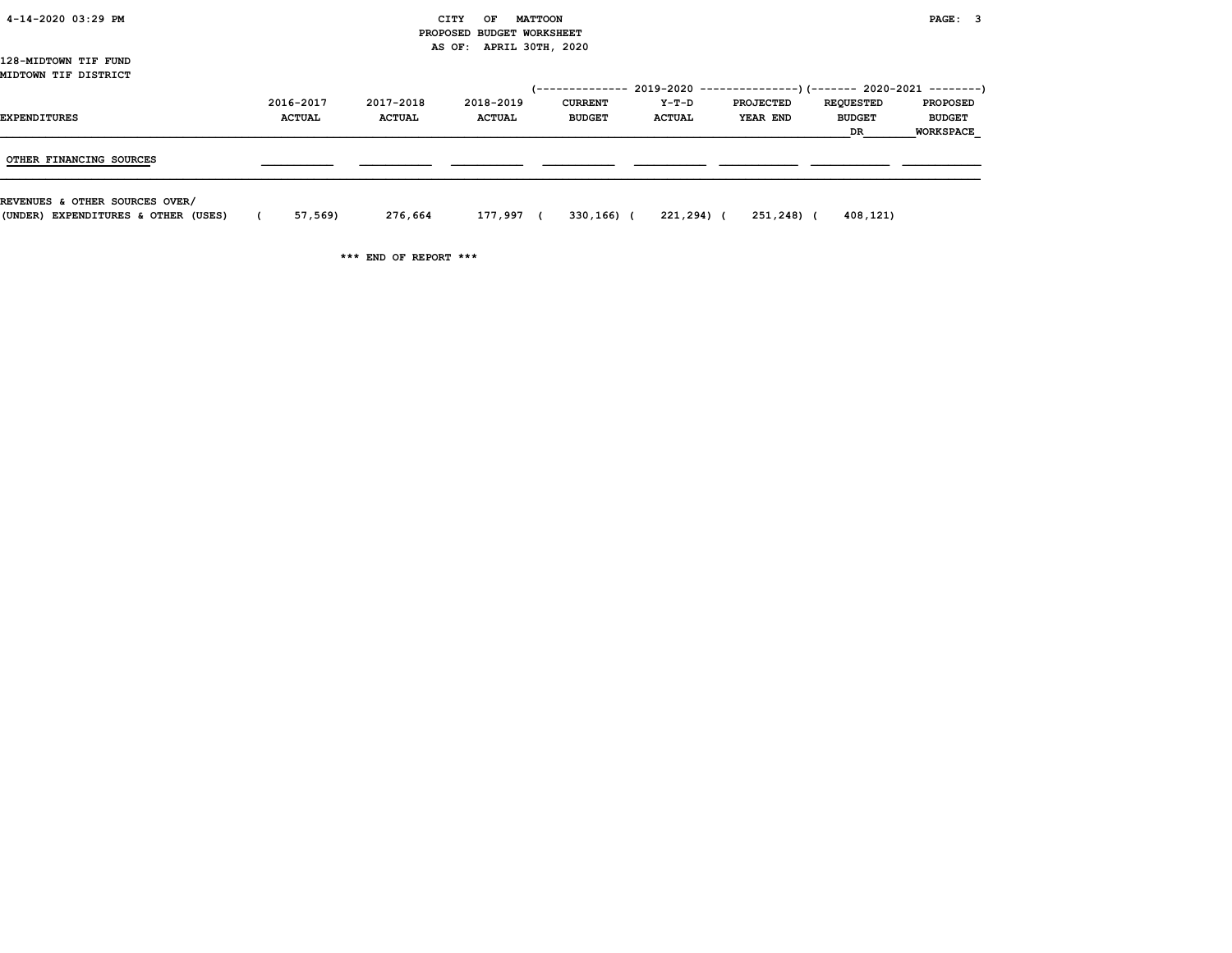| 4-14-2020 03:29 PM |  |
|--------------------|--|

#### 4-14-2020 03:29 PM CITY OF MATTOON PAGE: 3 PROPOSED BUDGET WORKSHEET AS OF: APRIL 30TH, 2020

128-MIDTOWN TIF FUND MIDTOWN TIF DISTRICT

| MIDTOWN TIF DISTRICT    |                            |                            |                            |                                 |                        | $(-$ ------------- 2019-2020 ----------------) $(-$ ------ 2020-2021 --------) |                                                |                                                      |
|-------------------------|----------------------------|----------------------------|----------------------------|---------------------------------|------------------------|--------------------------------------------------------------------------------|------------------------------------------------|------------------------------------------------------|
| <b>EXPENDITURES</b>     | 2016-2017<br><b>ACTUAL</b> | 2017-2018<br><b>ACTUAL</b> | 2018-2019<br><b>ACTUAL</b> | <b>CURRENT</b><br><b>BUDGET</b> | Y-T-D<br><b>ACTUAL</b> | <b>PROJECTED</b><br>YEAR END                                                   | <b>REQUESTED</b><br><b>BUDGET</b><br><b>DR</b> | <b>PROPOSED</b><br><b>BUDGET</b><br><b>WORKSPACE</b> |
| OTHER FINANCING SOURCES |                            |                            |                            |                                 |                        |                                                                                |                                                |                                                      |
|                         |                            |                            |                            |                                 |                        |                                                                                |                                                |                                                      |

REVENUES & OTHER SOURCES OVER/

(UNDER) EXPENDITURES & OTHER (USES) ( 57,569) 276,664 177,997 ( 330,166) ( 221,294) ( 251,248) ( 408,121)

\*\*\* END OF REPORT \*\*\*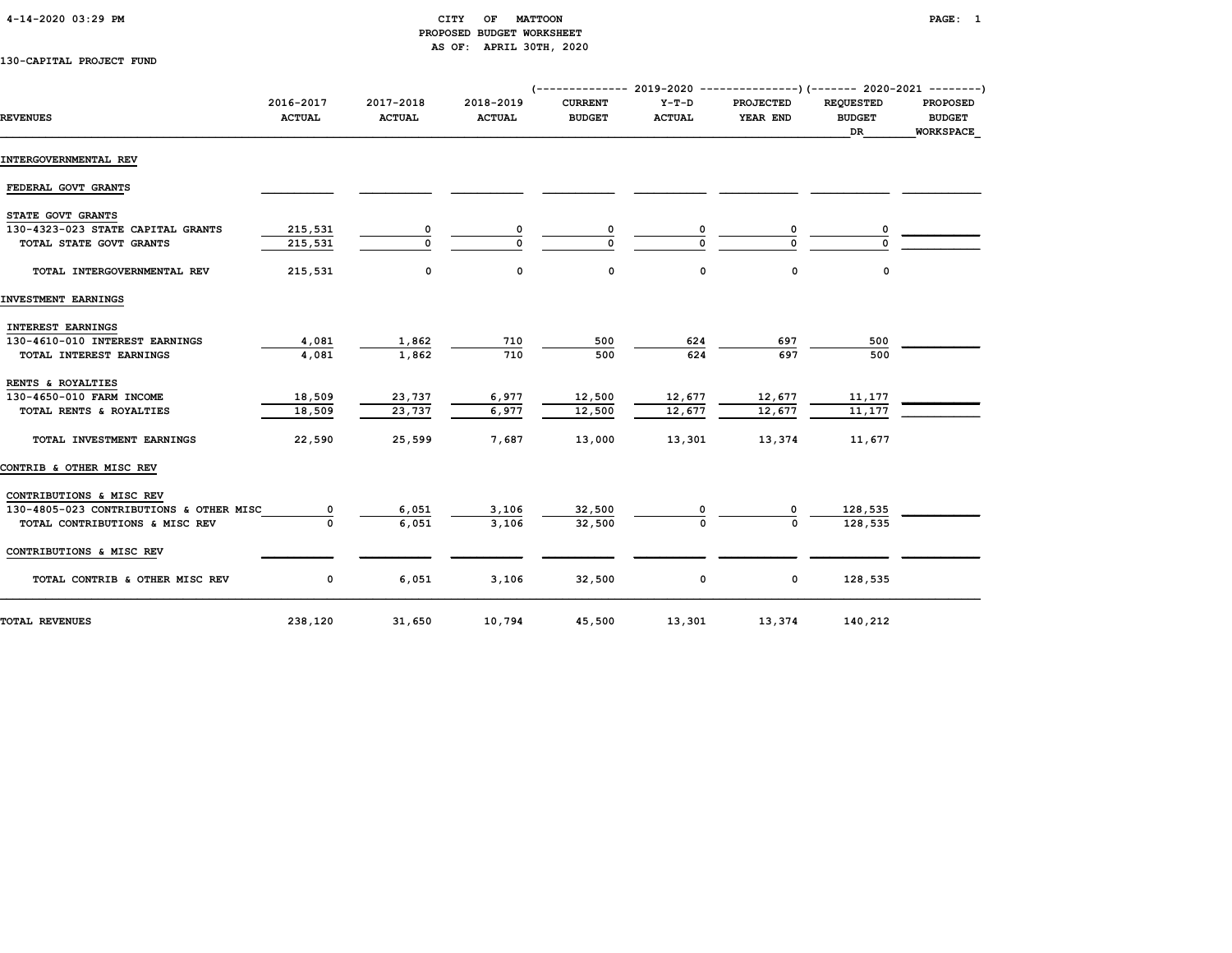## 4-14-2020 03:29 PM CITY OF MATTOON PAGE: 1 PROPOSED BUDGET WORKSHEET AS OF: APRIL 30TH, 2020

130-CAPITAL PROJECT FUND

|                                         | 2016-2017     | 2017-2018     | 2018-2019     | <b>CURRENT</b> | $Y-T-D$       | $(-$ ------------- 2019-2020 ----------------) $(-$ ------ 2020-2021 --------)<br><b>PROJECTED</b> | <b>REOUESTED</b>    | <b>PROPOSED</b>                   |
|-----------------------------------------|---------------|---------------|---------------|----------------|---------------|----------------------------------------------------------------------------------------------------|---------------------|-----------------------------------|
| <b>REVENUES</b>                         | <b>ACTUAL</b> | <b>ACTUAL</b> | <b>ACTUAL</b> | <b>BUDGET</b>  | <b>ACTUAL</b> | YEAR END                                                                                           | <b>BUDGET</b><br>DR | <b>BUDGET</b><br><b>WORKSPACE</b> |
| INTERGOVERNMENTAL REV                   |               |               |               |                |               |                                                                                                    |                     |                                   |
| FEDERAL GOVT GRANTS                     |               |               |               |                |               |                                                                                                    |                     |                                   |
| STATE GOVT GRANTS                       |               |               |               |                |               |                                                                                                    |                     |                                   |
| 130-4323-023 STATE CAPITAL GRANTS       | 215,531       | 0             |               | 0              |               | 0                                                                                                  |                     |                                   |
| TOTAL STATE GOVT GRANTS                 | 215,531       | $\Omega$      | $\Omega$      |                | $\Omega$      |                                                                                                    |                     |                                   |
| TOTAL INTERGOVERNMENTAL REV             | 215,531       | $\mathbf 0$   | 0             | 0              | 0             | $\mathbf 0$                                                                                        | 0                   |                                   |
| INVESTMENT EARNINGS                     |               |               |               |                |               |                                                                                                    |                     |                                   |
| <b>INTEREST EARNINGS</b>                |               |               |               |                |               |                                                                                                    |                     |                                   |
| 130-4610-010 INTEREST EARNINGS          | 4,081         | 1,862         | 710           | 500            | 624           | 697                                                                                                | 500                 |                                   |
| TOTAL INTEREST EARNINGS                 | 4,081         | 1,862         | 710           | 500            | 624           | 697                                                                                                | 500                 |                                   |
| RENTS & ROYALTIES                       |               |               |               |                |               |                                                                                                    |                     |                                   |
| 130-4650-010 FARM INCOME                | 18,509        | 23,737        | 6,977         | 12,500         | 12,677        | 12,677                                                                                             | 11,177              |                                   |
| TOTAL RENTS & ROYALTIES                 | 18,509        | 23,737        | 6,977         | 12,500         | 12,677        | 12,677                                                                                             | 11,177              |                                   |
| TOTAL INVESTMENT EARNINGS               | 22,590        | 25,599        | 7,687         | 13,000         | 13,301        | 13,374                                                                                             | 11,677              |                                   |
| CONTRIB & OTHER MISC REV                |               |               |               |                |               |                                                                                                    |                     |                                   |
| CONTRIBUTIONS & MISC REV                |               |               |               |                |               |                                                                                                    |                     |                                   |
| 130-4805-023 CONTRIBUTIONS & OTHER MISC |               | 6,051         | 3,106         | 32,500         |               |                                                                                                    | 128,535             |                                   |
| TOTAL CONTRIBUTIONS & MISC REV          | $\Omega$      | 6,051         | 3,106         | 32,500         | $\Omega$      | U                                                                                                  | 128,535             |                                   |
| CONTRIBUTIONS & MISC REV                |               |               |               |                |               |                                                                                                    |                     |                                   |
| TOTAL CONTRIB & OTHER MISC REV          | $\mathbf 0$   | 6,051         | 3,106         | 32,500         | 0             | $\mathbf 0$                                                                                        | 128,535             |                                   |
| <b>TOTAL REVENUES</b>                   | 238,120       | 31,650        | 10,794        | 45,500         | 13,301        | 13,374                                                                                             | 140,212             |                                   |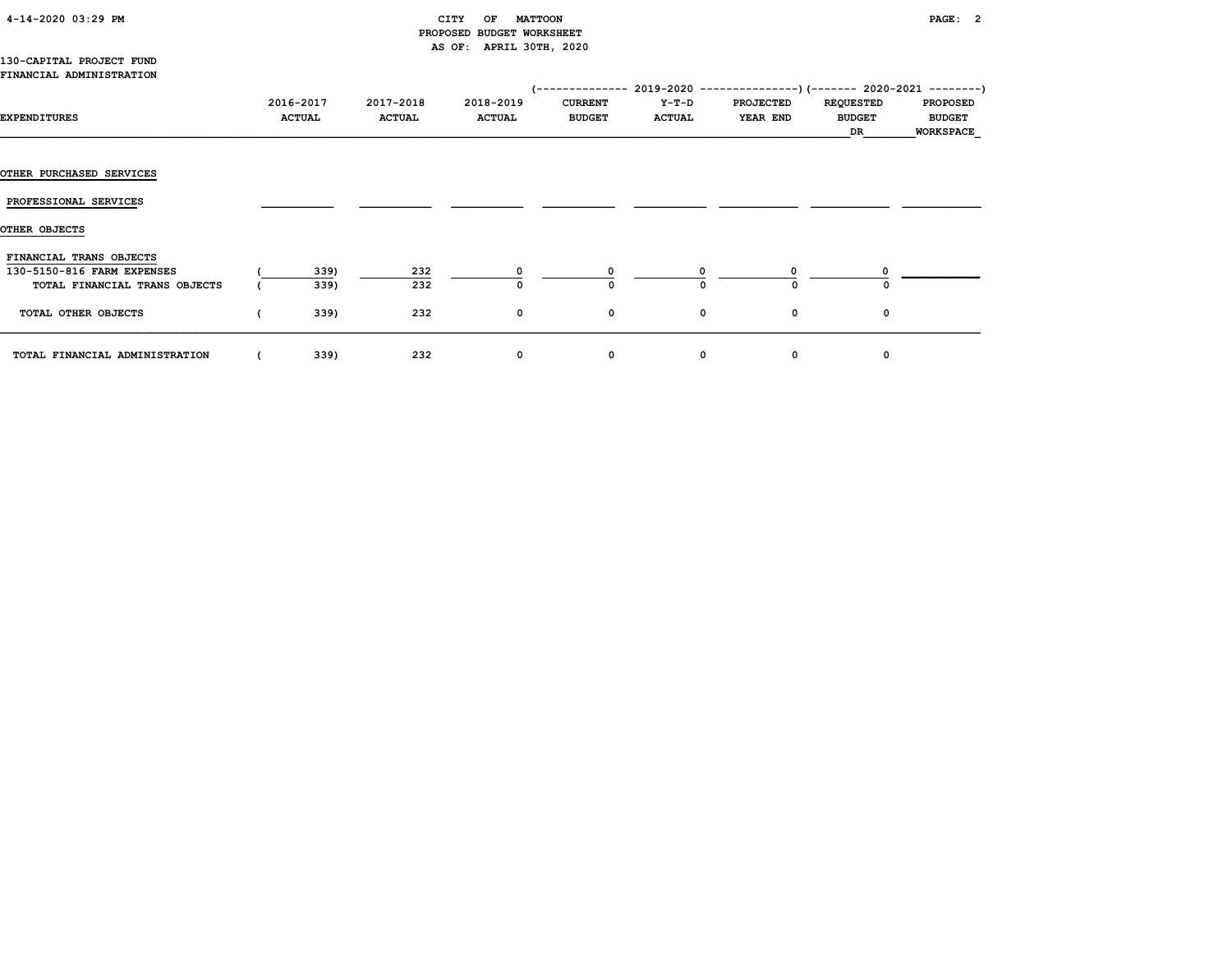# 4-14-2020 03:29 PM CITY OF MATTOON PAGE: 2 PROPOSED BUDGET WORKSHEET AS OF: APRIL 30TH, 2020

#### 130-CAPITAL PROJECT FUND FINANCIAL ADMINISTRATION

| EXPENDITURES                                                                           | 2016-2017<br><b>ACTUAL</b> | 2017-2018<br><b>ACTUAL</b> | 2018-2019<br><b>ACTUAL</b> | <b>CURRENT</b><br><b>BUDGET</b> | Y-T-D<br><b>ACTUAL</b> | (-------------- 2019-2020 ----------------) (------- 2020-2021 --------)<br><b>PROJECTED</b><br>YEAR END | <b>REQUESTED</b><br><b>BUDGET</b><br>DR | <b>PROPOSED</b><br><b>BUDGET</b><br><b>WORKSPACE</b> |
|----------------------------------------------------------------------------------------|----------------------------|----------------------------|----------------------------|---------------------------------|------------------------|----------------------------------------------------------------------------------------------------------|-----------------------------------------|------------------------------------------------------|
|                                                                                        |                            |                            |                            |                                 |                        |                                                                                                          |                                         |                                                      |
| <b>OTHER PURCHASED SERVICES</b>                                                        |                            |                            |                            |                                 |                        |                                                                                                          |                                         |                                                      |
| PROFESSIONAL SERVICES                                                                  |                            |                            |                            |                                 |                        |                                                                                                          |                                         |                                                      |
| OTHER OBJECTS                                                                          |                            |                            |                            |                                 |                        |                                                                                                          |                                         |                                                      |
| FINANCIAL TRANS OBJECTS<br>130-5150-816 FARM EXPENSES<br>TOTAL FINANCIAL TRANS OBJECTS | 339)<br>339)               | 232<br>232                 |                            | n                               |                        |                                                                                                          |                                         |                                                      |
| TOTAL OTHER OBJECTS                                                                    | 339)                       | 232                        | 0                          | 0                               |                        | 0<br>0                                                                                                   | 0                                       |                                                      |
| TOTAL FINANCIAL ADMINISTRATION                                                         | 339)                       | 232                        | 0                          | 0                               |                        | 0<br>0                                                                                                   | 0                                       |                                                      |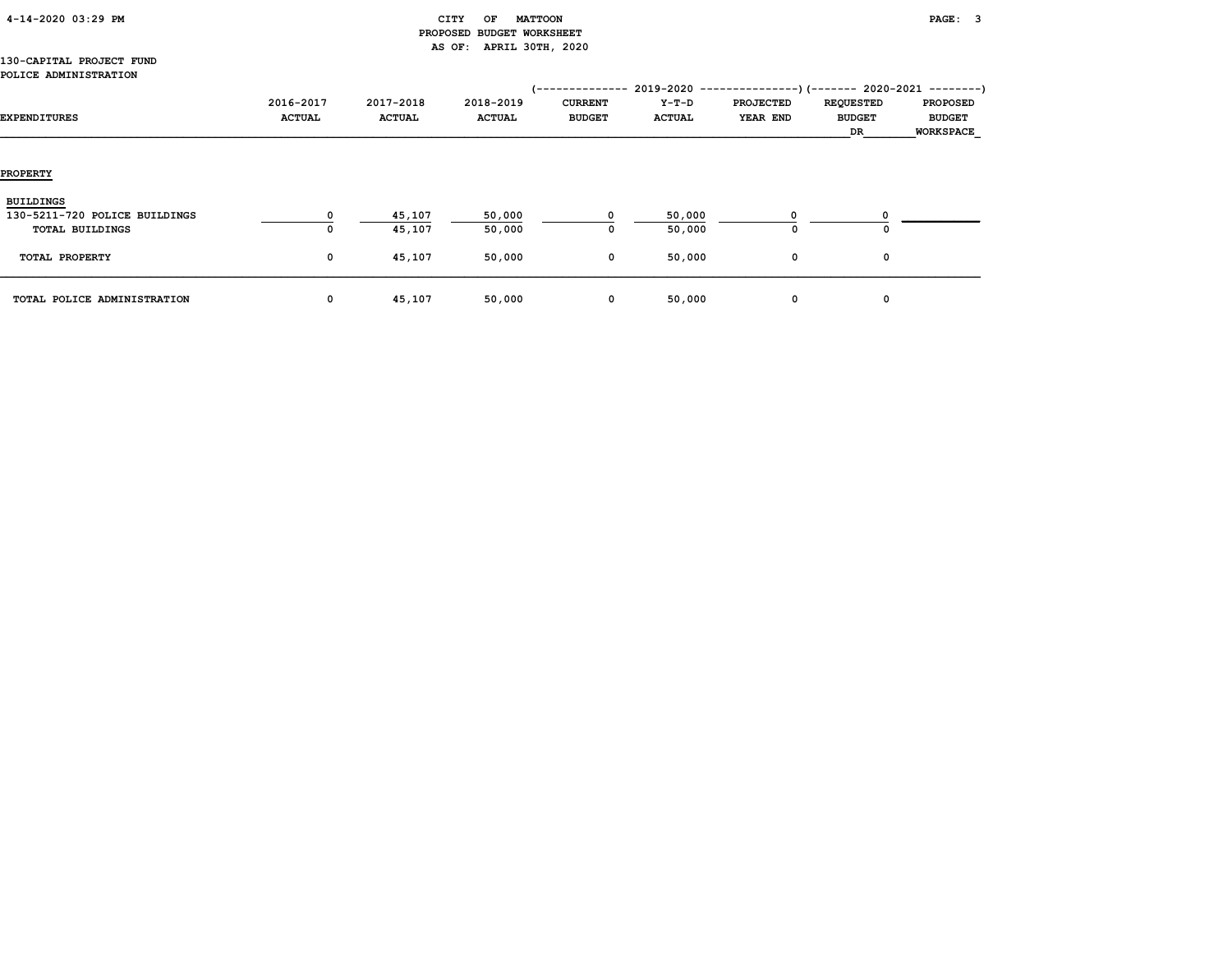|  | 4-14-2020 03:29 PM |  |  |
|--|--------------------|--|--|
|--|--------------------|--|--|

## CITY OF MATTOON **PAGE:** 3 PROPOSED BUDGET WORKSHEET AS OF: APRIL 30TH, 2020

#### 130-CAPITAL PROJECT FUND POLICE ADMINISTRATION

| EXPENDITURES                                                                | 2016-2017<br><b>ACTUAL</b> | 2017-2018<br><b>ACTUAL</b> | 2018-2019<br><b>ACTUAL</b> | 1 - - - - - - - - - - - - - -<br><b>CURRENT</b><br><b>BUDGET</b> | $2019 - 2020 - - -$<br>Y-T-D<br><b>ACTUAL</b> | $-----$ ) (--------) (------- 2020-2021 ---------)<br><b>PROJECTED</b><br>YEAR END | <b>REQUESTED</b><br><b>BUDGET</b><br>DR | <b>PROPOSED</b><br><b>BUDGET</b><br><b>WORKSPACE</b> |
|-----------------------------------------------------------------------------|----------------------------|----------------------------|----------------------------|------------------------------------------------------------------|-----------------------------------------------|------------------------------------------------------------------------------------|-----------------------------------------|------------------------------------------------------|
| <b>PROPERTY</b>                                                             |                            |                            |                            |                                                                  |                                               |                                                                                    |                                         |                                                      |
| <b>BUILDINGS</b><br>130-5211-720 POLICE BUILDINGS<br><b>TOTAL BUILDINGS</b> | 0                          | 45,107<br>45,107           | 50,000<br>50,000           | 0                                                                | 50,000<br>50,000                              | $\mathbf 0$                                                                        | 0                                       |                                                      |
| TOTAL PROPERTY                                                              | 0                          | 45,107                     | 50,000                     | 0                                                                | 50,000                                        | $\mathbf 0$                                                                        | 0                                       |                                                      |
| TOTAL POLICE ADMINISTRATION                                                 | 0                          | 45,107                     | 50,000                     | 0                                                                | 50,000                                        | $\mathbf 0$                                                                        | 0                                       |                                                      |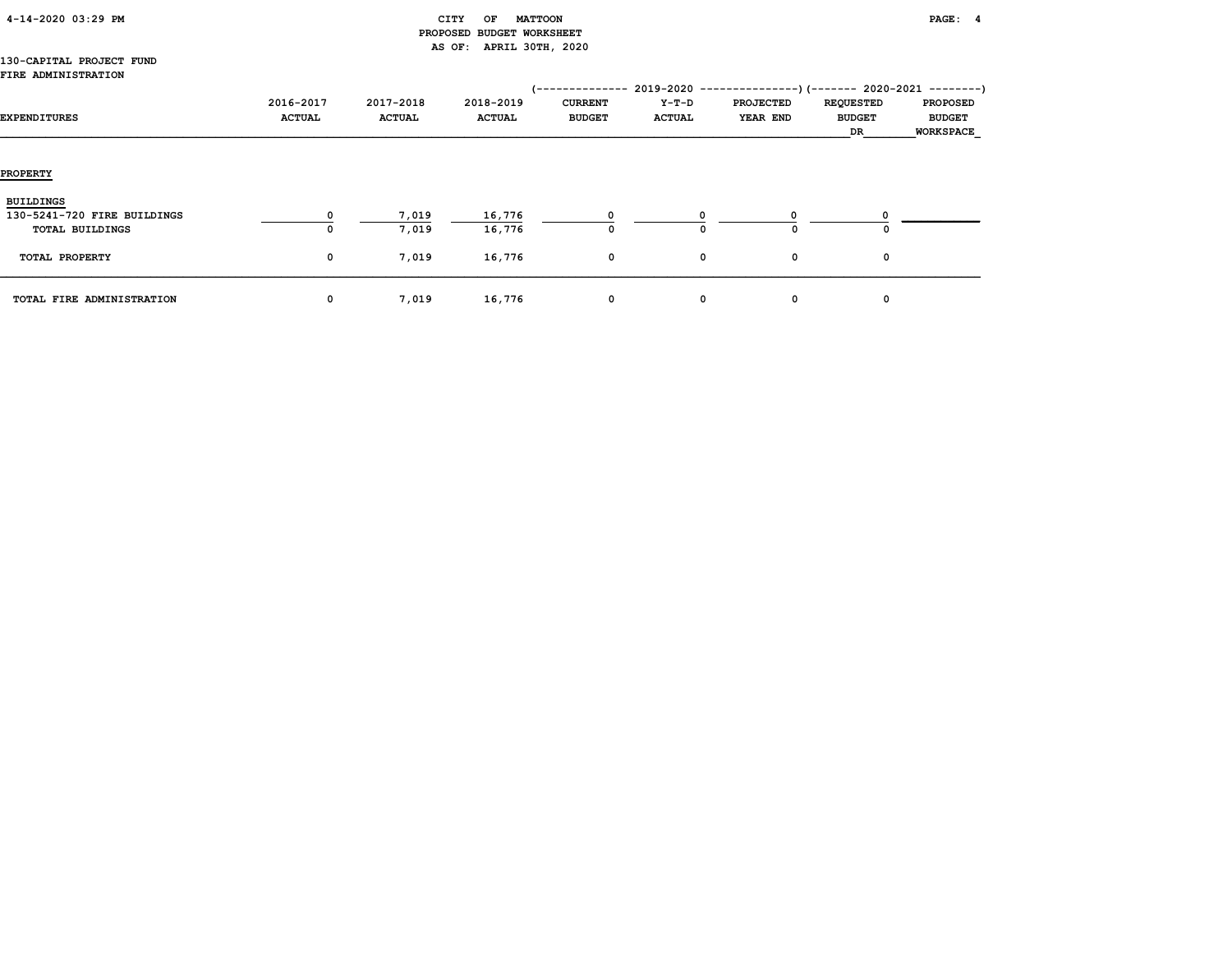| 4-14-2020 03:29 PM |
|--------------------|
|--------------------|

## CITY OF MATTOON **PAGE:** 4 PROPOSED BUDGET WORKSHEET AS OF: APRIL 30TH, 2020

#### 130-CAPITAL PROJECT FUND FIRE ADMINISTRATION

| EXPENDITURES                                                              | 2016-2017<br><b>ACTUAL</b> | 2017-2018<br><b>ACTUAL</b> | 2018-2019<br><b>ACTUAL</b> | '--------------<br><b>CURRENT</b><br><b>BUDGET</b> | Y-T-D<br><b>ACTUAL</b> | 2019-2020 ----------------) (------- 2020-2021 ---------)<br><b>PROJECTED</b><br>YEAR END | <b>REQUESTED</b><br><b>BUDGET</b><br>DR | <b>PROPOSED</b><br><b>BUDGET</b><br><b>WORKSPACE</b> |
|---------------------------------------------------------------------------|----------------------------|----------------------------|----------------------------|----------------------------------------------------|------------------------|-------------------------------------------------------------------------------------------|-----------------------------------------|------------------------------------------------------|
| <b>PROPERTY</b>                                                           |                            |                            |                            |                                                    |                        |                                                                                           |                                         |                                                      |
| <b>BUILDINGS</b><br>130-5241-720 FIRE BUILDINGS<br><b>TOTAL BUILDINGS</b> | 0<br>0                     | 7,019<br>7,019             | 16,776<br>16,776           | 0                                                  | O                      | $\Omega$                                                                                  | 0                                       |                                                      |
| TOTAL PROPERTY<br>TOTAL FIRE ADMINISTRATION                               | $\mathbf 0$<br>$\mathbf 0$ | 7,019<br>7,019             | 16,776<br>16,776           | 0<br>0                                             | 0<br>0                 | 0<br>0                                                                                    | 0<br>0                                  |                                                      |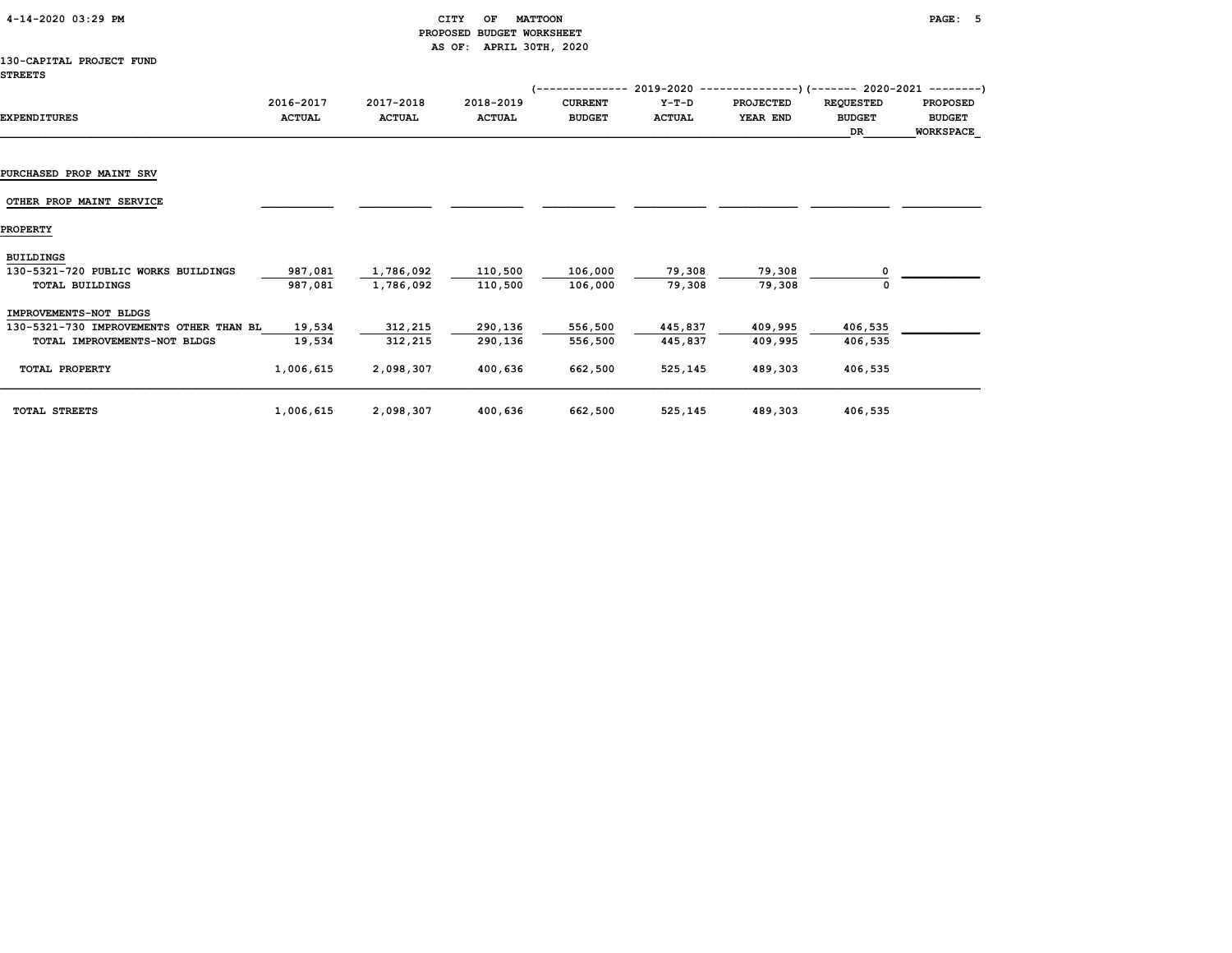| $4 - 14 - 2020$ 03:29 PM |  |  |
|--------------------------|--|--|
|--------------------------|--|--|

# $\begin{array}{ccc} \text{CITY} & \text{OF} & \text{MATTOON} \end{array}$  PROPOSED BUDGET WORKSHEET AS OF: APRIL 30TH, 2020

#### 130-CAPITAL PROJECT FUND STREETS

|                                         |               |               |               | ----------     | 2019-2020     |                  |                  | ------------)(------- 2020-2021 --------) |
|-----------------------------------------|---------------|---------------|---------------|----------------|---------------|------------------|------------------|-------------------------------------------|
|                                         | 2016-2017     | 2017-2018     | 2018-2019     | <b>CURRENT</b> | $Y-T-D$       | <b>PROJECTED</b> | <b>REQUESTED</b> | <b>PROPOSED</b>                           |
| <b>EXPENDITURES</b>                     | <b>ACTUAL</b> | <b>ACTUAL</b> | <b>ACTUAL</b> | <b>BUDGET</b>  | <b>ACTUAL</b> | YEAR END         | <b>BUDGET</b>    | <b>BUDGET</b>                             |
|                                         |               |               |               |                |               |                  | DR               | <b>WORKSPACE</b>                          |
|                                         |               |               |               |                |               |                  |                  |                                           |
| PURCHASED PROP MAINT SRV                |               |               |               |                |               |                  |                  |                                           |
| OTHER PROP MAINT SERVICE                |               |               |               |                |               |                  |                  |                                           |
| <b>PROPERTY</b>                         |               |               |               |                |               |                  |                  |                                           |
| <b>BUILDINGS</b>                        |               |               |               |                |               |                  |                  |                                           |
| 130-5321-720 PUBLIC WORKS BUILDINGS     | 987,081       | 1,786,092     | 110,500       | 106,000        | 79,308        | 79,308           |                  |                                           |
| <b>TOTAL BUILDINGS</b>                  | 987,081       | 1,786,092     | 110,500       | 106,000        | 79,308        | 79,308           |                  |                                           |
| IMPROVEMENTS-NOT BLDGS                  |               |               |               |                |               |                  |                  |                                           |
| 130-5321-730 IMPROVEMENTS OTHER THAN BL | 19,534        | 312,215       | 290,136       | 556,500        | 445,837       | 409,995          | 406,535          |                                           |
| TOTAL IMPROVEMENTS-NOT BLDGS            | 19,534        | 312,215       | 290,136       | 556,500        | 445,837       | 409,995          | 406,535          |                                           |
| TOTAL PROPERTY                          | 1,006,615     | 2,098,307     | 400,636       | 662,500        | 525,145       | 489,303          | 406,535          |                                           |
| TOTAL STREETS                           | 1,006,615     | 2,098,307     | 400,636       | 662,500        | 525,145       | 489,303          | 406,535          |                                           |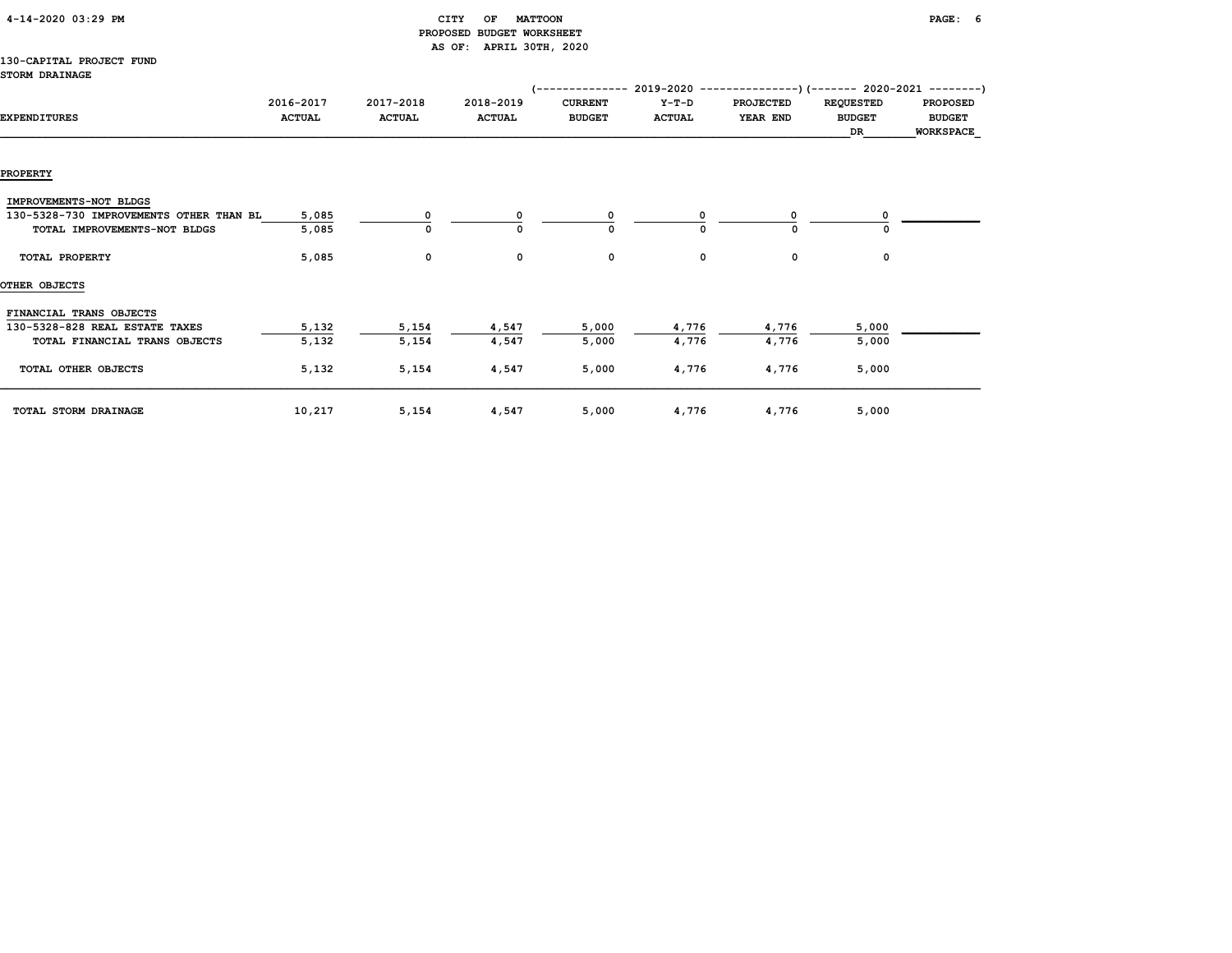|  | 4-14-2020 03:29 PM |  |  |
|--|--------------------|--|--|
|--|--------------------|--|--|

## $CITY$  OF MATTOON PAGE: 6 PROPOSED BUDGET WORKSHEET AS OF: APRIL 30TH, 2020

#### 130-CAPITAL PROJECT FUND STORM DRAINAGE

|                                         |               |               |               | (-------------- 2019-2020 |               |                  | ------------)(------- 2020-2021 --------) |                  |
|-----------------------------------------|---------------|---------------|---------------|---------------------------|---------------|------------------|-------------------------------------------|------------------|
|                                         | 2016-2017     | 2017-2018     | 2018-2019     | <b>CURRENT</b>            | $Y-T-D$       | <b>PROJECTED</b> | <b>REQUESTED</b>                          | <b>PROPOSED</b>  |
| <b>EXPENDITURES</b>                     | <b>ACTUAL</b> | <b>ACTUAL</b> | <b>ACTUAL</b> | <b>BUDGET</b>             | <b>ACTUAL</b> | YEAR END         | <b>BUDGET</b>                             | <b>BUDGET</b>    |
|                                         |               |               |               |                           |               |                  | DR                                        | <b>WORKSPACE</b> |
|                                         |               |               |               |                           |               |                  |                                           |                  |
| <b>PROPERTY</b>                         |               |               |               |                           |               |                  |                                           |                  |
| IMPROVEMENTS-NOT BLDGS                  |               |               |               |                           |               |                  |                                           |                  |
| 130-5328-730 IMPROVEMENTS OTHER THAN BL | 5,085         | 0             | 0             | 0                         | O             | 0                |                                           |                  |
| TOTAL IMPROVEMENTS-NOT BLDGS            | 5,085         | $\mathbf 0$   | 0             | $\Omega$                  | $\Omega$      | 0                |                                           |                  |
|                                         |               |               |               |                           |               |                  |                                           |                  |
| TOTAL PROPERTY                          | 5,085         | 0             | 0             | 0                         | 0             | 0                | 0                                         |                  |
| OTHER OBJECTS                           |               |               |               |                           |               |                  |                                           |                  |
| FINANCIAL TRANS OBJECTS                 |               |               |               |                           |               |                  |                                           |                  |
| 130-5328-828 REAL ESTATE TAXES          | 5,132         | 5,154         | 4,547         | 5,000                     | 4,776         | 4,776            | 5,000                                     |                  |
| TOTAL FINANCIAL TRANS OBJECTS           | 5,132         | 5,154         | 4,547         | 5,000                     | 4,776         | 4,776            | 5,000                                     |                  |
| TOTAL OTHER OBJECTS                     | 5,132         | 5,154         | 4,547         | 5,000                     | 4,776         | 4,776            | 5,000                                     |                  |
|                                         |               |               |               |                           |               |                  |                                           |                  |
|                                         |               |               |               |                           |               |                  |                                           |                  |
| TOTAL STORM DRAINAGE                    | 10,217        | 5,154         | 4,547         | 5,000                     | 4,776         | 4,776            | 5,000                                     |                  |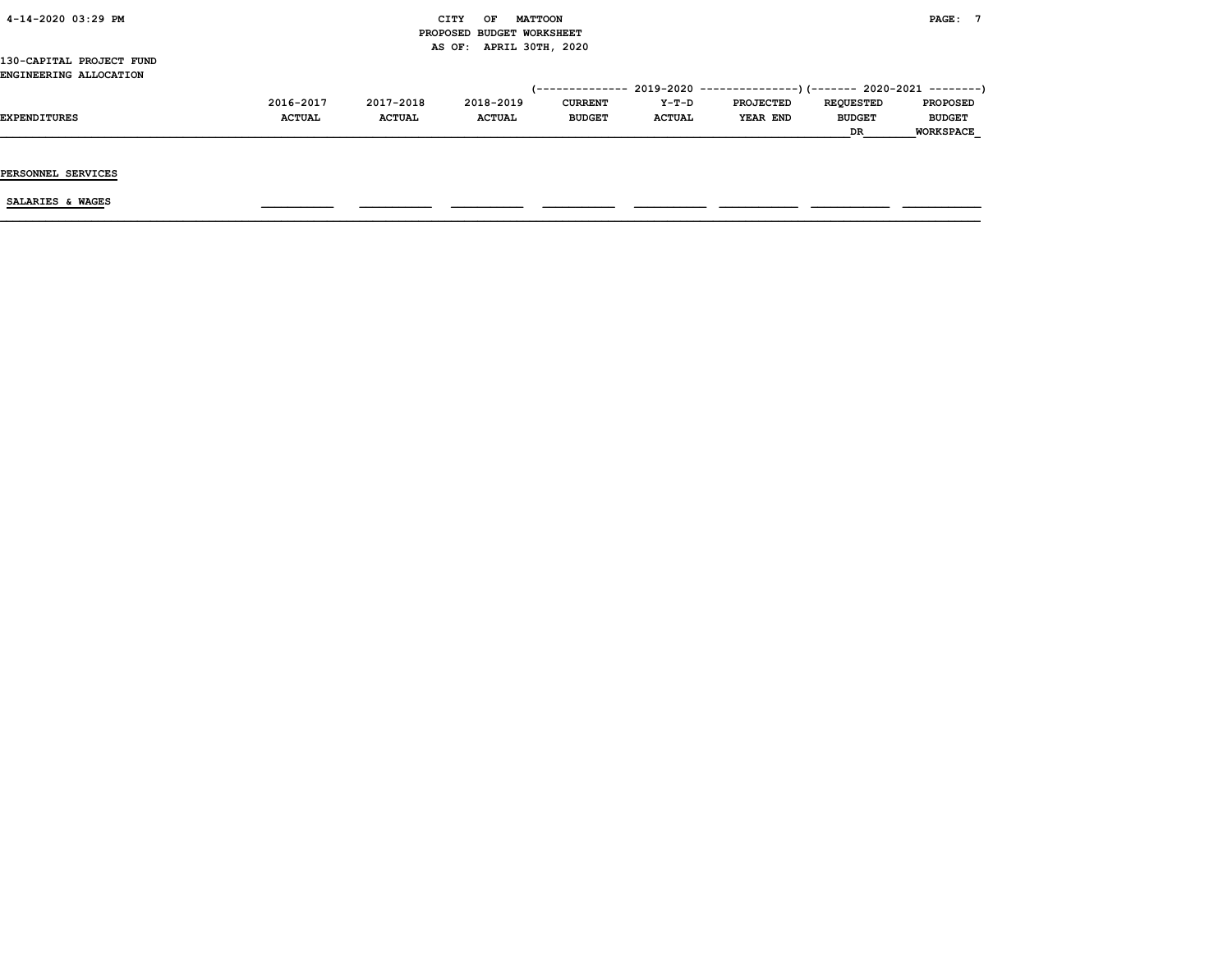| 4-14-2020 03:29 PM       |               |               | CITY<br>OF                | <b>MATTOON</b> |               |                                                                             |                  | PAGE: 7          |
|--------------------------|---------------|---------------|---------------------------|----------------|---------------|-----------------------------------------------------------------------------|------------------|------------------|
|                          |               |               | PROPOSED BUDGET WORKSHEET |                |               |                                                                             |                  |                  |
|                          |               |               | AS OF: APRIL 30TH, 2020   |                |               |                                                                             |                  |                  |
| 130-CAPITAL PROJECT FUND |               |               |                           |                |               |                                                                             |                  |                  |
| ENGINEERING ALLOCATION   |               |               |                           |                |               |                                                                             |                  |                  |
|                          |               |               |                           |                |               | $(-$ ------------- 2019-2020 ----------------) (------- 2020-2021 --------) |                  |                  |
|                          | 2016-2017     | 2017-2018     | 2018-2019                 | <b>CURRENT</b> | Y-T-D         | <b>PROJECTED</b>                                                            | <b>REQUESTED</b> | <b>PROPOSED</b>  |
| <b>EXPENDITURES</b>      | <b>ACTUAL</b> | <b>ACTUAL</b> | <b>ACTUAL</b>             | <b>BUDGET</b>  | <b>ACTUAL</b> | YEAR END                                                                    | <b>BUDGET</b>    | <b>BUDGET</b>    |
|                          |               |               |                           |                |               |                                                                             | DR               | <b>WORKSPACE</b> |
|                          |               |               |                           |                |               |                                                                             |                  |                  |
|                          |               |               |                           |                |               |                                                                             |                  |                  |
| PERSONNEL SERVICES       |               |               |                           |                |               |                                                                             |                  |                  |
|                          |               |               |                           |                |               |                                                                             |                  |                  |
| SALARIES & WAGES         |               |               |                           |                |               |                                                                             |                  |                  |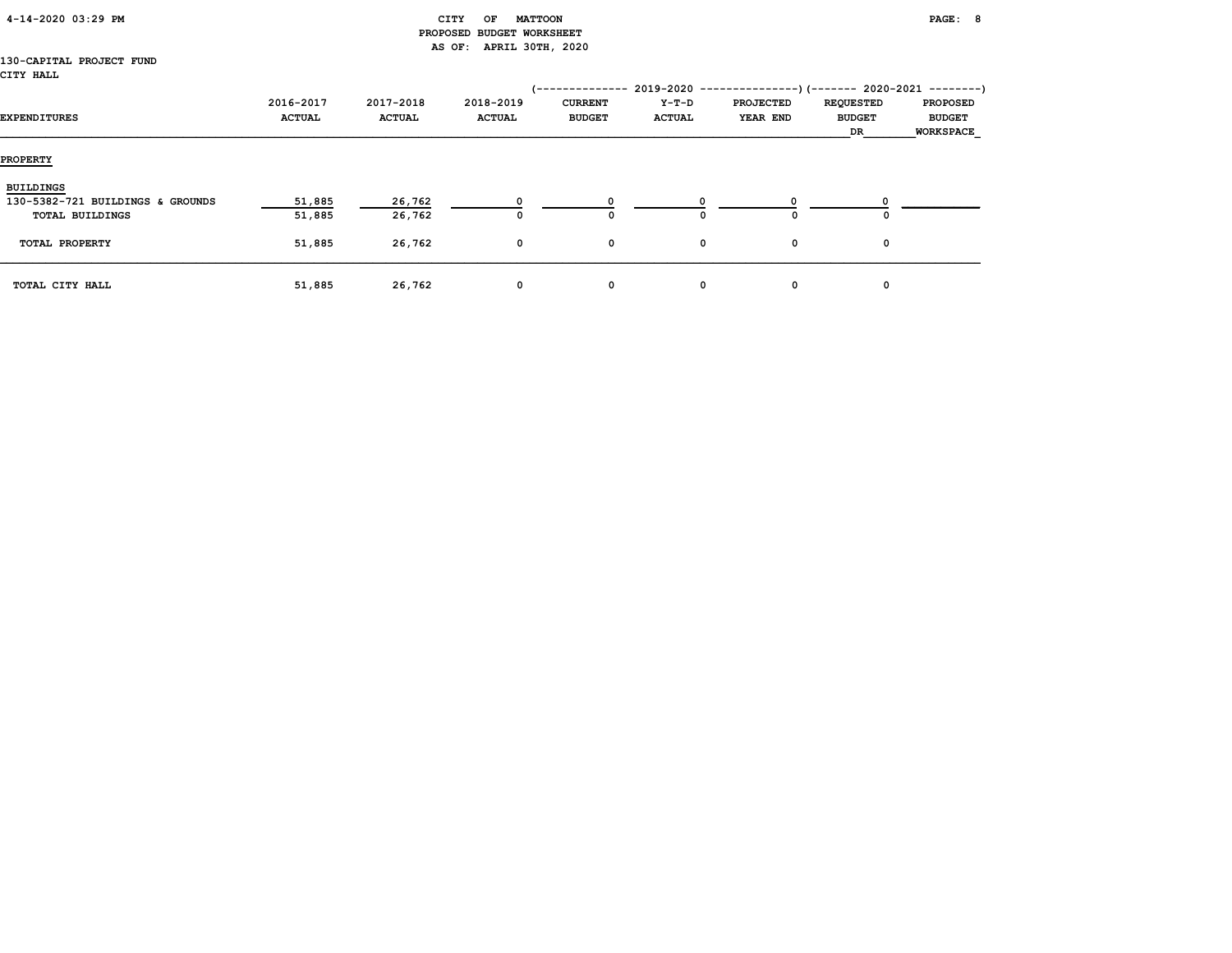| 4-14-2020 03:29 PM |  |
|--------------------|--|
|                    |  |

## $\begin{array}{ccc} \texttt{CITY} & \texttt{OF} & \texttt{MATTOON} \end{array}$  PROPOSED BUDGET WORKSHEET AS OF: APRIL 30TH, 2020

#### 130-CAPITAL PROJECT FUND CITY HALL

|                                  |                            |                            |                            | '--------------                 | 2019-2020              | $------------$ ) (------- 2020-2021 ---------) |                                         |                                                      |
|----------------------------------|----------------------------|----------------------------|----------------------------|---------------------------------|------------------------|------------------------------------------------|-----------------------------------------|------------------------------------------------------|
| EXPENDITURES                     | 2016-2017<br><b>ACTUAL</b> | 2017-2018<br><b>ACTUAL</b> | 2018-2019<br><b>ACTUAL</b> | <b>CURRENT</b><br><b>BUDGET</b> | Y-T-D<br><b>ACTUAL</b> | <b>PROJECTED</b><br>YEAR END                   | <b>REQUESTED</b><br><b>BUDGET</b><br>DR | <b>PROPOSED</b><br><b>BUDGET</b><br><b>WORKSPACE</b> |
| <b>PROPERTY</b>                  |                            |                            |                            |                                 |                        |                                                |                                         |                                                      |
| <b>BUILDINGS</b>                 |                            |                            |                            |                                 |                        |                                                |                                         |                                                      |
| 130-5382-721 BUILDINGS & GROUNDS | 51,885                     | 26,762                     |                            |                                 |                        |                                                |                                         |                                                      |
| <b>TOTAL BUILDINGS</b>           | 51,885                     | 26,762                     | O                          | 0                               | 0                      |                                                | 0                                       |                                                      |
| TOTAL PROPERTY                   | 51,885                     | 26,762                     | 0                          | 0                               | 0                      | 0                                              | 0                                       |                                                      |
| TOTAL CITY HALL                  | 51,885                     | 26,762                     | 0                          | 0                               | $\mathbf{o}$           | 0                                              | 0                                       |                                                      |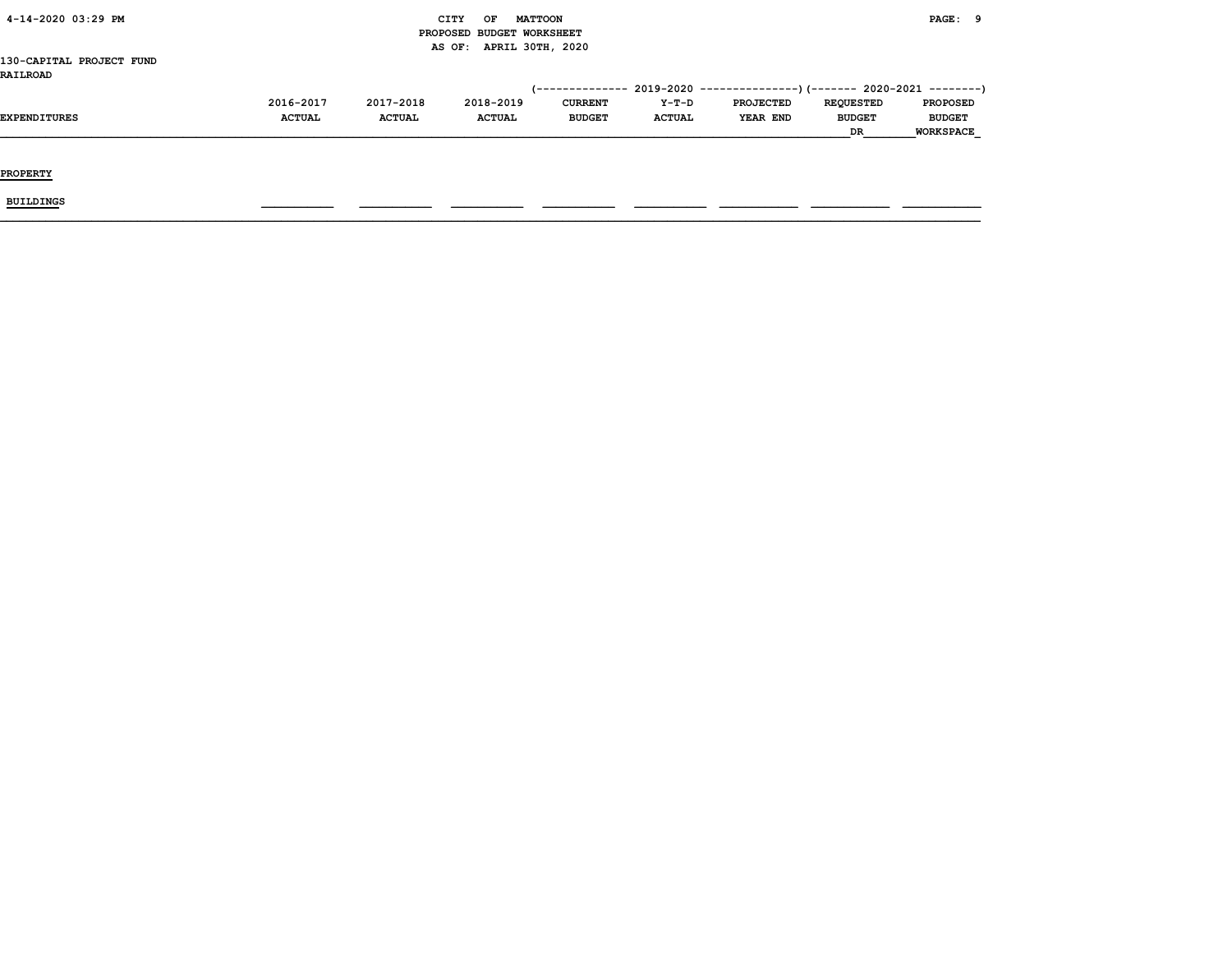| 4-14-2020 03:29 PM       |               |               | CITY<br><b>MATTOON</b><br>OF |                |               |                                                                          |                  | PAGE: 9          |
|--------------------------|---------------|---------------|------------------------------|----------------|---------------|--------------------------------------------------------------------------|------------------|------------------|
|                          |               |               | PROPOSED BUDGET WORKSHEET    |                |               |                                                                          |                  |                  |
|                          |               |               | AS OF: APRIL 30TH, 2020      |                |               |                                                                          |                  |                  |
| 130-CAPITAL PROJECT FUND |               |               |                              |                |               |                                                                          |                  |                  |
| <b>RAILROAD</b>          |               |               |                              |                |               |                                                                          |                  |                  |
|                          |               |               |                              |                |               | (-------------- 2019-2020 ----------------) (------- 2020-2021 --------) |                  |                  |
|                          | 2016-2017     | 2017-2018     | 2018-2019                    | <b>CURRENT</b> | Y-T-D         | <b>PROJECTED</b>                                                         | <b>REQUESTED</b> | <b>PROPOSED</b>  |
| EXPENDITURES             | <b>ACTUAL</b> | <b>ACTUAL</b> | <b>ACTUAL</b>                | <b>BUDGET</b>  | <b>ACTUAL</b> | <b>YEAR END</b>                                                          | <b>BUDGET</b>    | <b>BUDGET</b>    |
|                          |               |               |                              |                |               |                                                                          | DR               | <b>WORKSPACE</b> |
|                          |               |               |                              |                |               |                                                                          |                  |                  |
|                          |               |               |                              |                |               |                                                                          |                  |                  |
| <b>PROPERTY</b>          |               |               |                              |                |               |                                                                          |                  |                  |
|                          |               |               |                              |                |               |                                                                          |                  |                  |
| BUILDINGS                |               |               |                              |                |               |                                                                          |                  |                  |
|                          |               |               |                              |                |               |                                                                          |                  |                  |
|                          |               |               |                              |                |               |                                                                          |                  |                  |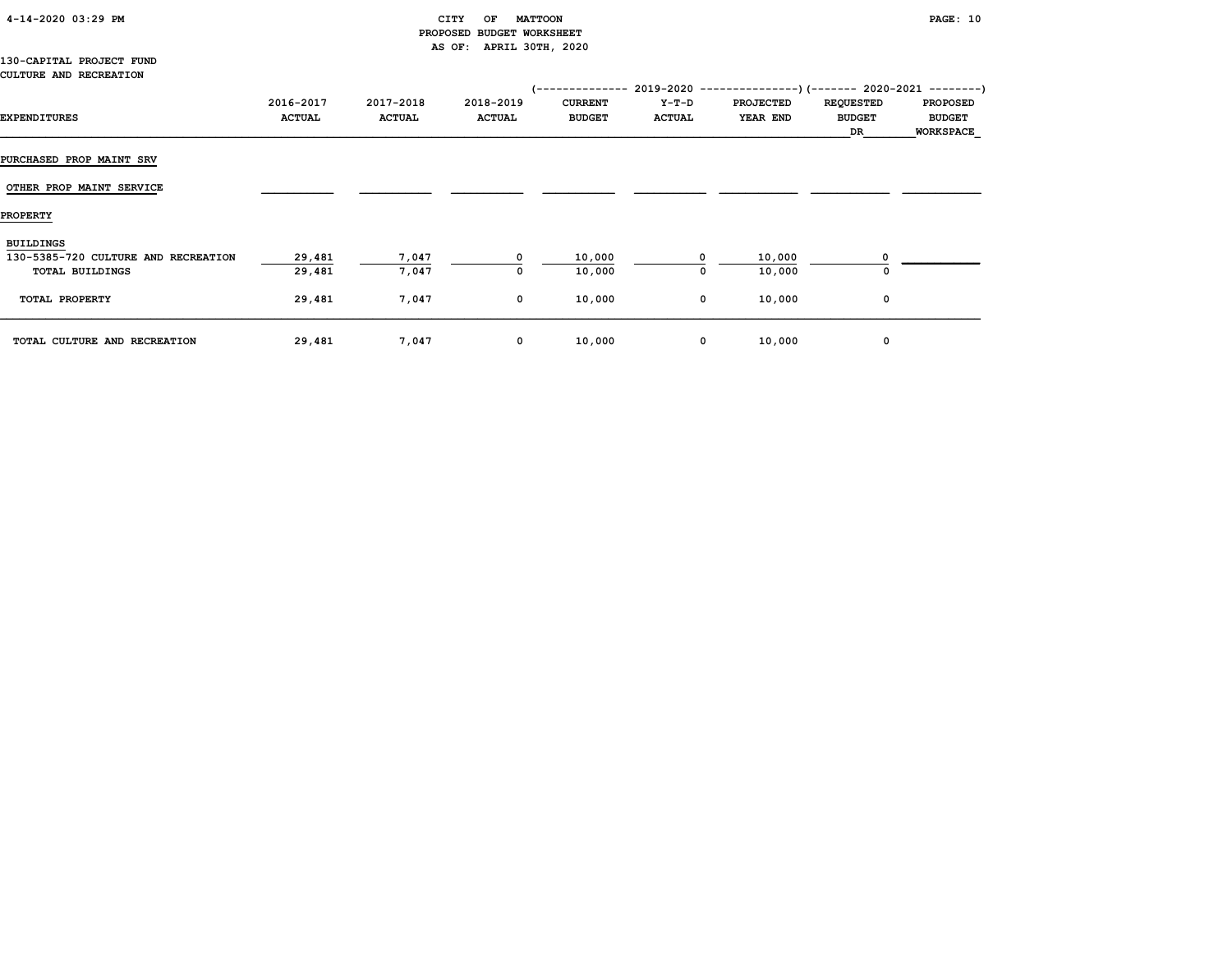| 4-14-2020 03:29 PM |  |  |
|--------------------|--|--|
|--------------------|--|--|

## CITY OF MATTOON **PAGE:** 10 PROPOSED BUDGET WORKSHEET AS OF: APRIL 30TH, 2020

#### 130-CAPITAL PROJECT FUND CULTURE AND RECREATION

|                                     |                            |                            |                            | /--------------                 |                        | $2019-2020$ ---------------) (------- 2020-2021 --------) |                                         |                                                      |
|-------------------------------------|----------------------------|----------------------------|----------------------------|---------------------------------|------------------------|-----------------------------------------------------------|-----------------------------------------|------------------------------------------------------|
| <b>EXPENDITURES</b>                 | 2016-2017<br><b>ACTUAL</b> | 2017-2018<br><b>ACTUAL</b> | 2018-2019<br><b>ACTUAL</b> | <b>CURRENT</b><br><b>BUDGET</b> | Y-T-D<br><b>ACTUAL</b> | <b>PROJECTED</b><br>YEAR END                              | <b>REQUESTED</b><br><b>BUDGET</b><br>DR | <b>PROPOSED</b><br><b>BUDGET</b><br><b>WORKSPACE</b> |
| <b>PURCHASED PROP MAINT SRV</b>     |                            |                            |                            |                                 |                        |                                                           |                                         |                                                      |
| OTHER PROP MAINT SERVICE            |                            |                            |                            |                                 |                        |                                                           |                                         |                                                      |
| <b>PROPERTY</b>                     |                            |                            |                            |                                 |                        |                                                           |                                         |                                                      |
| <b>BUILDINGS</b>                    |                            |                            |                            |                                 |                        |                                                           |                                         |                                                      |
| 130-5385-720 CULTURE AND RECREATION | 29,481                     | 7,047                      | $^{\circ}$                 | 10,000                          | n.                     | 10,000                                                    |                                         |                                                      |
| <b>TOTAL BUILDINGS</b>              | 29,481                     | 7,047                      | 0                          | 10,000                          | 0                      | 10,000                                                    | 0                                       |                                                      |
| TOTAL PROPERTY                      | 29,481                     | 7,047                      | $\mathbf{o}$               | 10,000                          | 0                      | 10,000                                                    | 0                                       |                                                      |
| TOTAL CULTURE AND RECREATION        | 29,481                     | 7,047                      | 0                          | 10,000                          | 0                      | 10,000                                                    | 0                                       |                                                      |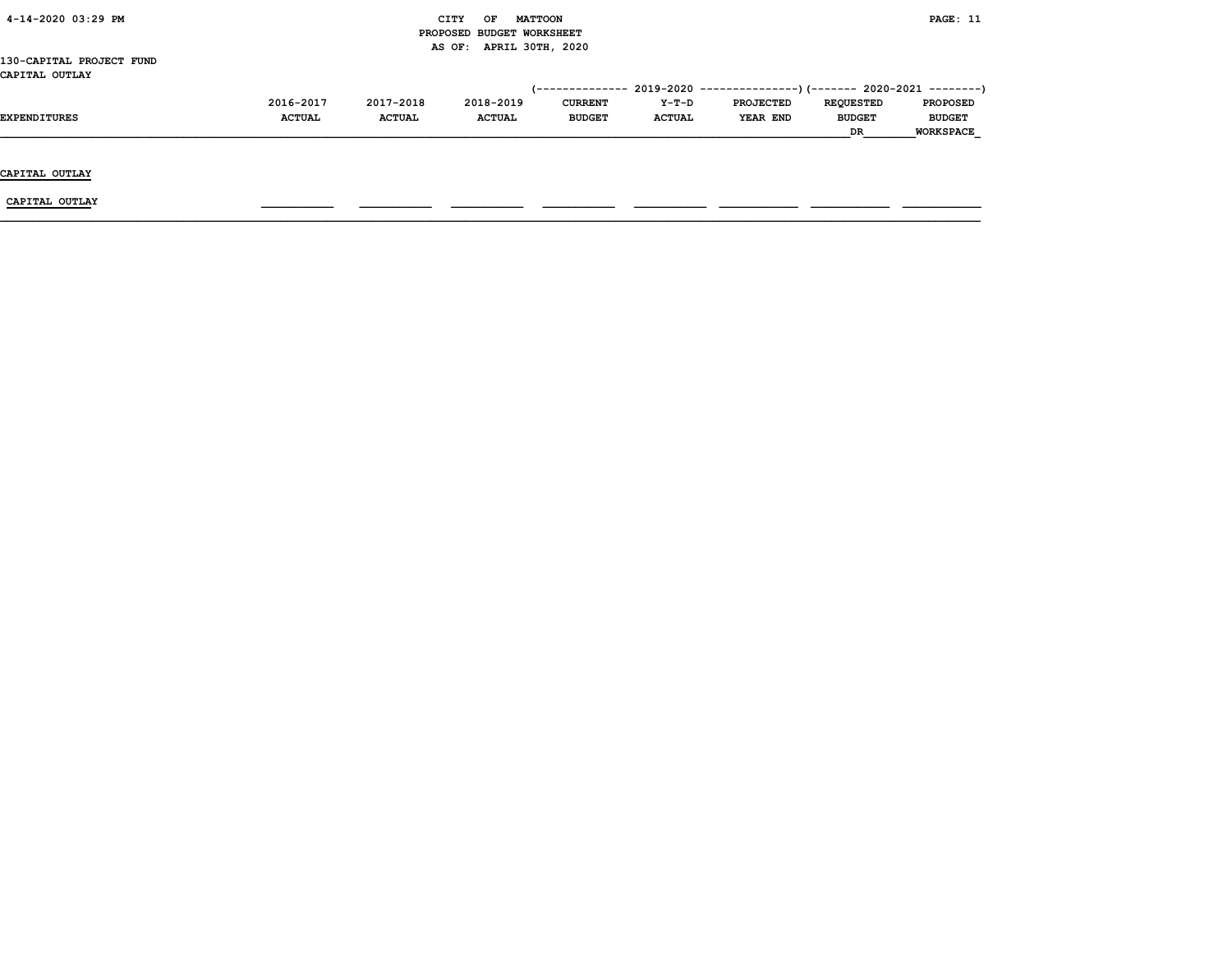| 4-14-2020 03:29 PM       |               |               | CITY<br>OF                | <b>MATTOON</b> |               |                                                                         |                  | PAGE: 11         |
|--------------------------|---------------|---------------|---------------------------|----------------|---------------|-------------------------------------------------------------------------|------------------|------------------|
|                          |               |               | PROPOSED BUDGET WORKSHEET |                |               |                                                                         |                  |                  |
|                          |               |               | AS OF: APRIL 30TH, 2020   |                |               |                                                                         |                  |                  |
| 130-CAPITAL PROJECT FUND |               |               |                           |                |               |                                                                         |                  |                  |
| CAPITAL OUTLAY           |               |               |                           |                |               |                                                                         |                  |                  |
|                          |               |               |                           |                |               | (-------------- 2019-2020 ----------------)(------- 2020-2021 --------) |                  |                  |
|                          | 2016-2017     | 2017-2018     | 2018-2019                 | <b>CURRENT</b> | Y-T-D         | <b>PROJECTED</b>                                                        | <b>REQUESTED</b> | <b>PROPOSED</b>  |
| EXPENDITURES             | <b>ACTUAL</b> | <b>ACTUAL</b> | <b>ACTUAL</b>             | <b>BUDGET</b>  | <b>ACTUAL</b> | <b>YEAR END</b>                                                         | <b>BUDGET</b>    | <b>BUDGET</b>    |
|                          |               |               |                           |                |               |                                                                         | DR               | <b>WORKSPACE</b> |
|                          |               |               |                           |                |               |                                                                         |                  |                  |
|                          |               |               |                           |                |               |                                                                         |                  |                  |
| CAPITAL OUTLAY           |               |               |                           |                |               |                                                                         |                  |                  |
|                          |               |               |                           |                |               |                                                                         |                  |                  |
| CAPITAL OUTLAY           |               |               |                           |                |               |                                                                         |                  |                  |
|                          |               |               |                           |                |               |                                                                         |                  |                  |
|                          |               |               |                           |                |               |                                                                         |                  |                  |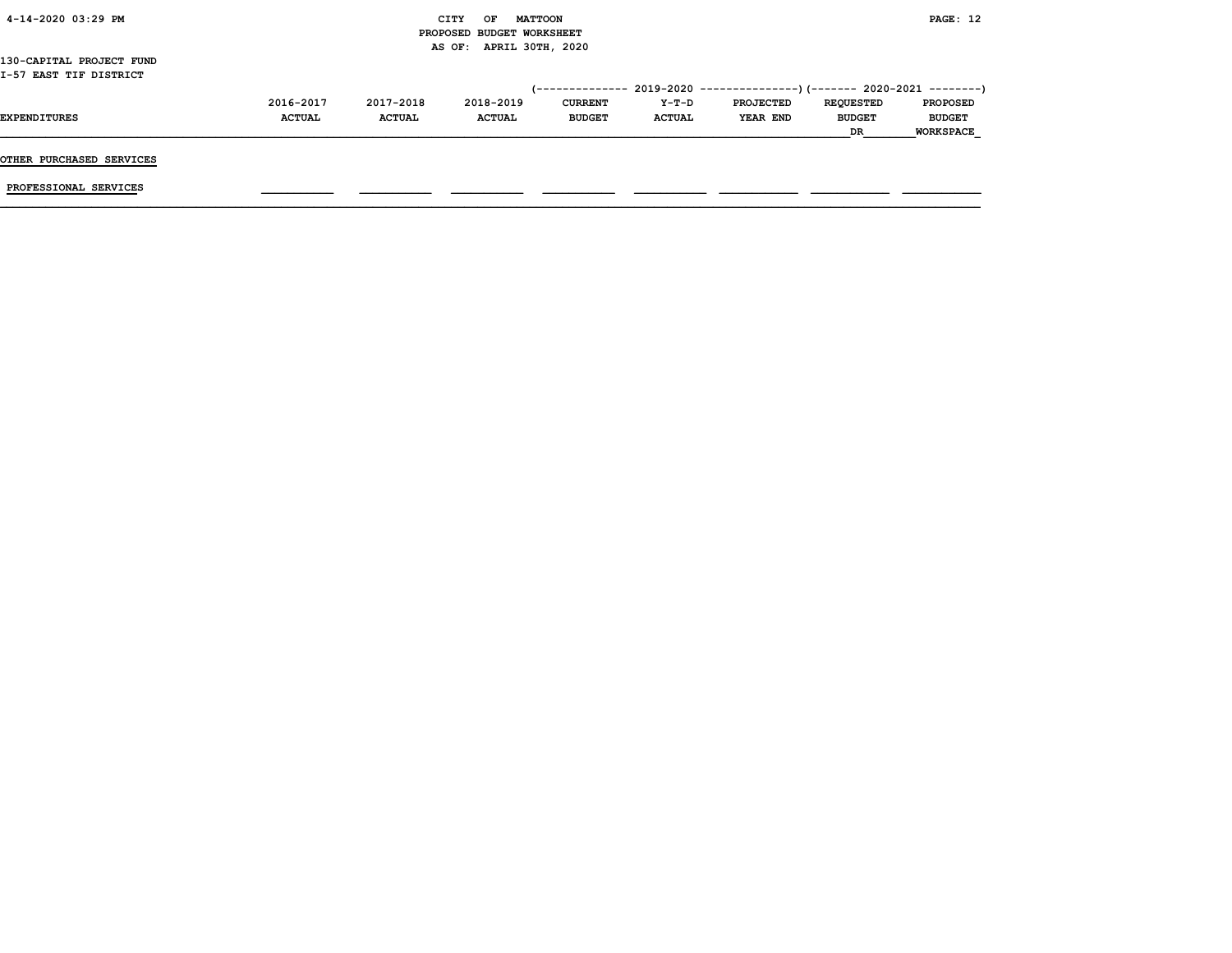| 4-14-2020 03:29 PM       |               | CITY          | OF            | <b>MATTOON</b>            |               |                                                           |                  | PAGE: 12         |
|--------------------------|---------------|---------------|---------------|---------------------------|---------------|-----------------------------------------------------------|------------------|------------------|
|                          |               |               |               | PROPOSED BUDGET WORKSHEET |               |                                                           |                  |                  |
|                          |               |               |               | AS OF: APRIL 30TH, 2020   |               |                                                           |                  |                  |
| 130-CAPITAL PROJECT FUND |               |               |               |                           |               |                                                           |                  |                  |
| I-57 EAST TIF DISTRICT   |               |               |               |                           |               |                                                           |                  |                  |
|                          |               |               |               | (--------------           |               | $2019-2020$ ----------------)(------- 2020-2021 --------) |                  |                  |
|                          | 2016-2017     | 2017-2018     | 2018-2019     | <b>CURRENT</b>            | Y-T-D         | <b>PROJECTED</b>                                          | <b>REQUESTED</b> | <b>PROPOSED</b>  |
| <b>EXPENDITURES</b>      | <b>ACTUAL</b> | <b>ACTUAL</b> | <b>ACTUAL</b> | <b>BUDGET</b>             | <b>ACTUAL</b> | YEAR END                                                  | <b>BUDGET</b>    | <b>BUDGET</b>    |
|                          |               |               |               |                           |               |                                                           | DR               | <b>WORKSPACE</b> |
|                          |               |               |               |                           |               |                                                           |                  |                  |
| OTHER PURCHASED SERVICES |               |               |               |                           |               |                                                           |                  |                  |
|                          |               |               |               |                           |               |                                                           |                  |                  |
| PROFESSIONAL SERVICES    |               |               |               |                           |               |                                                           |                  |                  |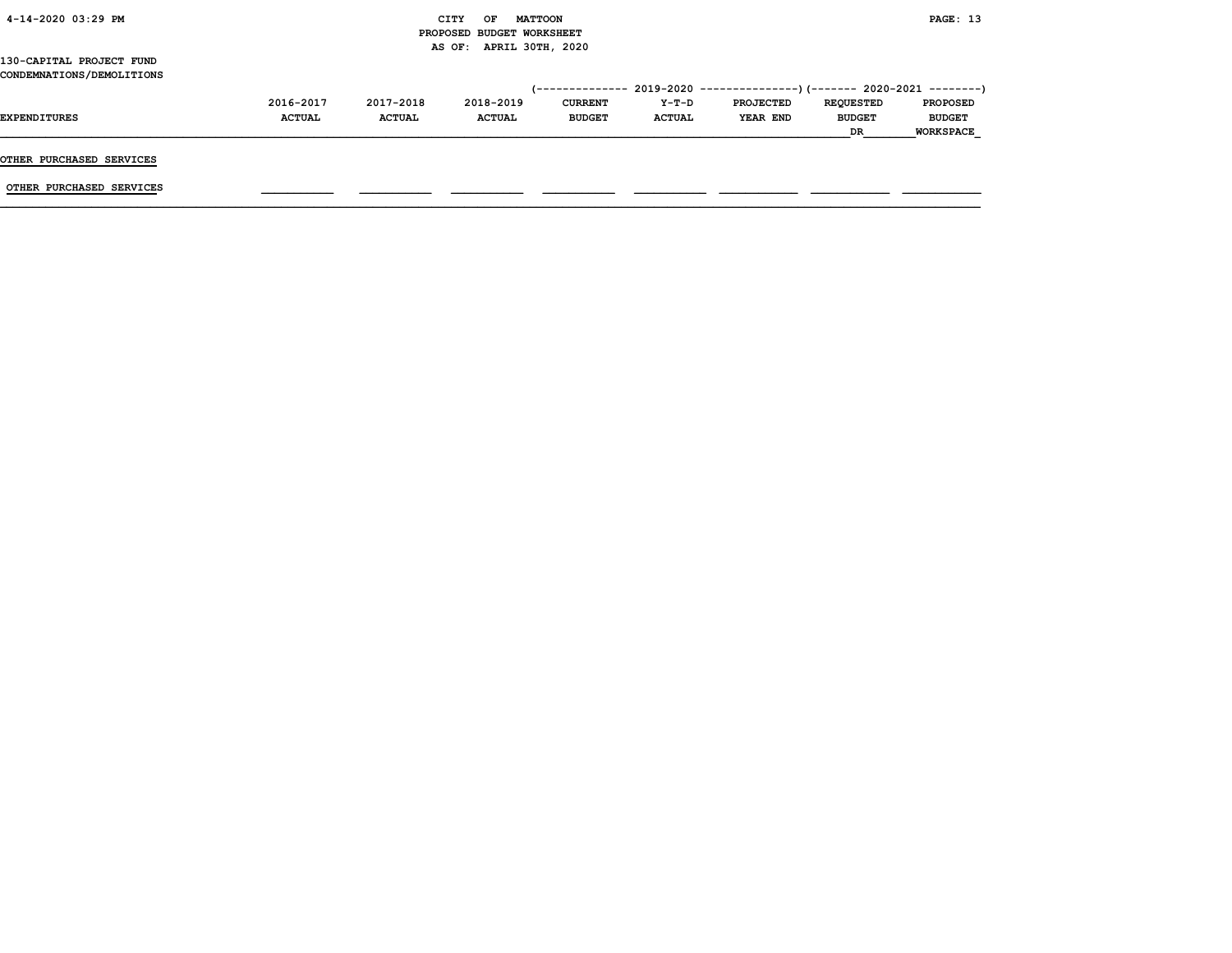| 4-14-2020 03:29 PM        |               |               | CITY<br>OF<br><b>MATTOON</b> |                |               |                                                                          |                  | PAGE: 13         |
|---------------------------|---------------|---------------|------------------------------|----------------|---------------|--------------------------------------------------------------------------|------------------|------------------|
|                           |               |               | PROPOSED BUDGET WORKSHEET    |                |               |                                                                          |                  |                  |
|                           |               |               | AS OF: APRIL 30TH, 2020      |                |               |                                                                          |                  |                  |
| 130-CAPITAL PROJECT FUND  |               |               |                              |                |               |                                                                          |                  |                  |
| CONDEMNATIONS/DEMOLITIONS |               |               |                              |                |               |                                                                          |                  |                  |
|                           |               |               |                              |                |               | (-------------- 2019-2020 ----------------) (------- 2020-2021 --------) |                  |                  |
|                           | 2016-2017     | 2017-2018     | 2018-2019                    | <b>CURRENT</b> | Y-T-D         | <b>PROJECTED</b>                                                         | <b>REQUESTED</b> | <b>PROPOSED</b>  |
| EXPENDITURES              | <b>ACTUAL</b> | <b>ACTUAL</b> | <b>ACTUAL</b>                | <b>BUDGET</b>  | <b>ACTUAL</b> | YEAR END                                                                 | <b>BUDGET</b>    | <b>BUDGET</b>    |
|                           |               |               |                              |                |               |                                                                          | DR               | <b>WORKSPACE</b> |
|                           |               |               |                              |                |               |                                                                          |                  |                  |
| OTHER PURCHASED SERVICES  |               |               |                              |                |               |                                                                          |                  |                  |
|                           |               |               |                              |                |               |                                                                          |                  |                  |
| OTHER PURCHASED SERVICES  |               |               |                              |                |               |                                                                          |                  |                  |
|                           |               |               |                              |                |               |                                                                          |                  |                  |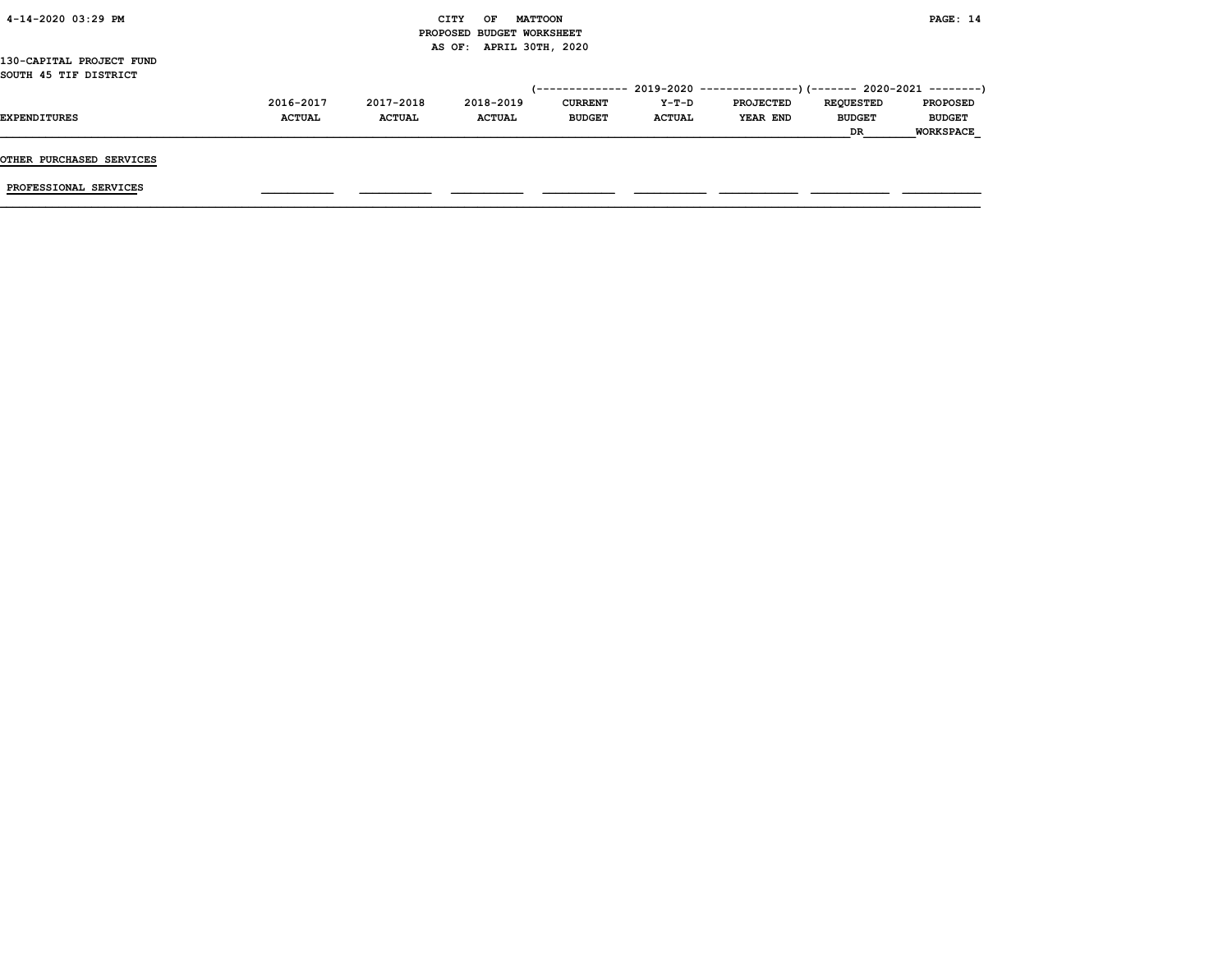| 4-14-2020 03:29 PM       |               |               | CITY<br><b>MATTOON</b><br>OF |                 |               |                                                          |                  | PAGE: 14         |
|--------------------------|---------------|---------------|------------------------------|-----------------|---------------|----------------------------------------------------------|------------------|------------------|
|                          |               |               | PROPOSED BUDGET WORKSHEET    |                 |               |                                                          |                  |                  |
|                          |               |               | AS OF: APRIL 30TH, 2020      |                 |               |                                                          |                  |                  |
| 130-CAPITAL PROJECT FUND |               |               |                              |                 |               |                                                          |                  |                  |
| SOUTH 45 TIF DISTRICT    |               |               |                              |                 |               |                                                          |                  |                  |
|                          |               |               |                              | (-------------- |               | 2019-2020 ----------------)(------- 2020-2021 ---------) |                  |                  |
|                          | 2016-2017     | 2017-2018     | 2018-2019                    | <b>CURRENT</b>  | Y-T-D         | <b>PROJECTED</b>                                         | <b>REQUESTED</b> | <b>PROPOSED</b>  |
| <b>EXPENDITURES</b>      | <b>ACTUAL</b> | <b>ACTUAL</b> | <b>ACTUAL</b>                | <b>BUDGET</b>   | <b>ACTUAL</b> | YEAR END                                                 | <b>BUDGET</b>    | <b>BUDGET</b>    |
|                          |               |               |                              |                 |               |                                                          | DR               | <b>WORKSPACE</b> |
|                          |               |               |                              |                 |               |                                                          |                  |                  |
| OTHER PURCHASED SERVICES |               |               |                              |                 |               |                                                          |                  |                  |
| PROFESSIONAL SERVICES    |               |               |                              |                 |               |                                                          |                  |                  |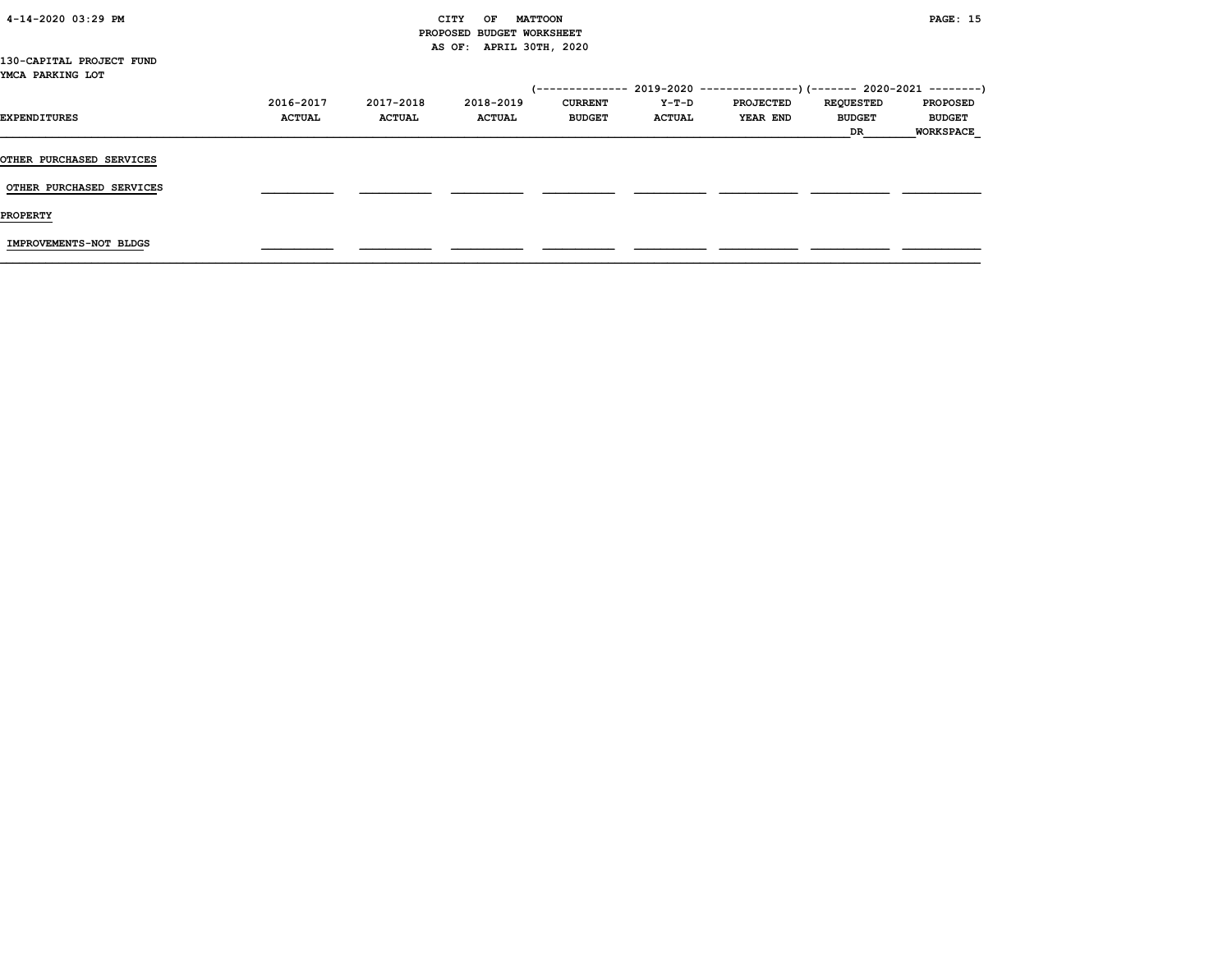| 4-14-2020 03:29 PM              |               |                           | CITY<br><b>MATTOON</b><br>OF |                |               |                                                                             |                  | <b>PAGE: 15</b>  |
|---------------------------------|---------------|---------------------------|------------------------------|----------------|---------------|-----------------------------------------------------------------------------|------------------|------------------|
|                                 |               | PROPOSED BUDGET WORKSHEET |                              |                |               |                                                                             |                  |                  |
|                                 |               |                           | AS OF: APRIL 30TH, 2020      |                |               |                                                                             |                  |                  |
| 130-CAPITAL PROJECT FUND        |               |                           |                              |                |               |                                                                             |                  |                  |
| YMCA PARKING LOT                |               |                           |                              |                |               |                                                                             |                  |                  |
|                                 |               |                           |                              |                |               | $(-$ ------------- 2019-2020 ----------------) (------- 2020-2021 --------) |                  |                  |
|                                 | 2016-2017     | 2017-2018                 | 2018-2019                    | <b>CURRENT</b> | Y-T-D         | <b>PROJECTED</b>                                                            | <b>REQUESTED</b> | <b>PROPOSED</b>  |
| EXPENDITURES                    | <b>ACTUAL</b> | <b>ACTUAL</b>             | <b>ACTUAL</b>                | <b>BUDGET</b>  | <b>ACTUAL</b> | <b>YEAR END</b>                                                             | <b>BUDGET</b>    | <b>BUDGET</b>    |
|                                 |               |                           |                              |                |               |                                                                             | DR               | <b>WORKSPACE</b> |
|                                 |               |                           |                              |                |               |                                                                             |                  |                  |
| <b>OTHER PURCHASED SERVICES</b> |               |                           |                              |                |               |                                                                             |                  |                  |
|                                 |               |                           |                              |                |               |                                                                             |                  |                  |
| OTHER PURCHASED SERVICES        |               |                           |                              |                |               |                                                                             |                  |                  |
|                                 |               |                           |                              |                |               |                                                                             |                  |                  |
| <b>PROPERTY</b>                 |               |                           |                              |                |               |                                                                             |                  |                  |
|                                 |               |                           |                              |                |               |                                                                             |                  |                  |
| IMPROVEMENTS-NOT BLDGS          |               |                           |                              |                |               |                                                                             |                  |                  |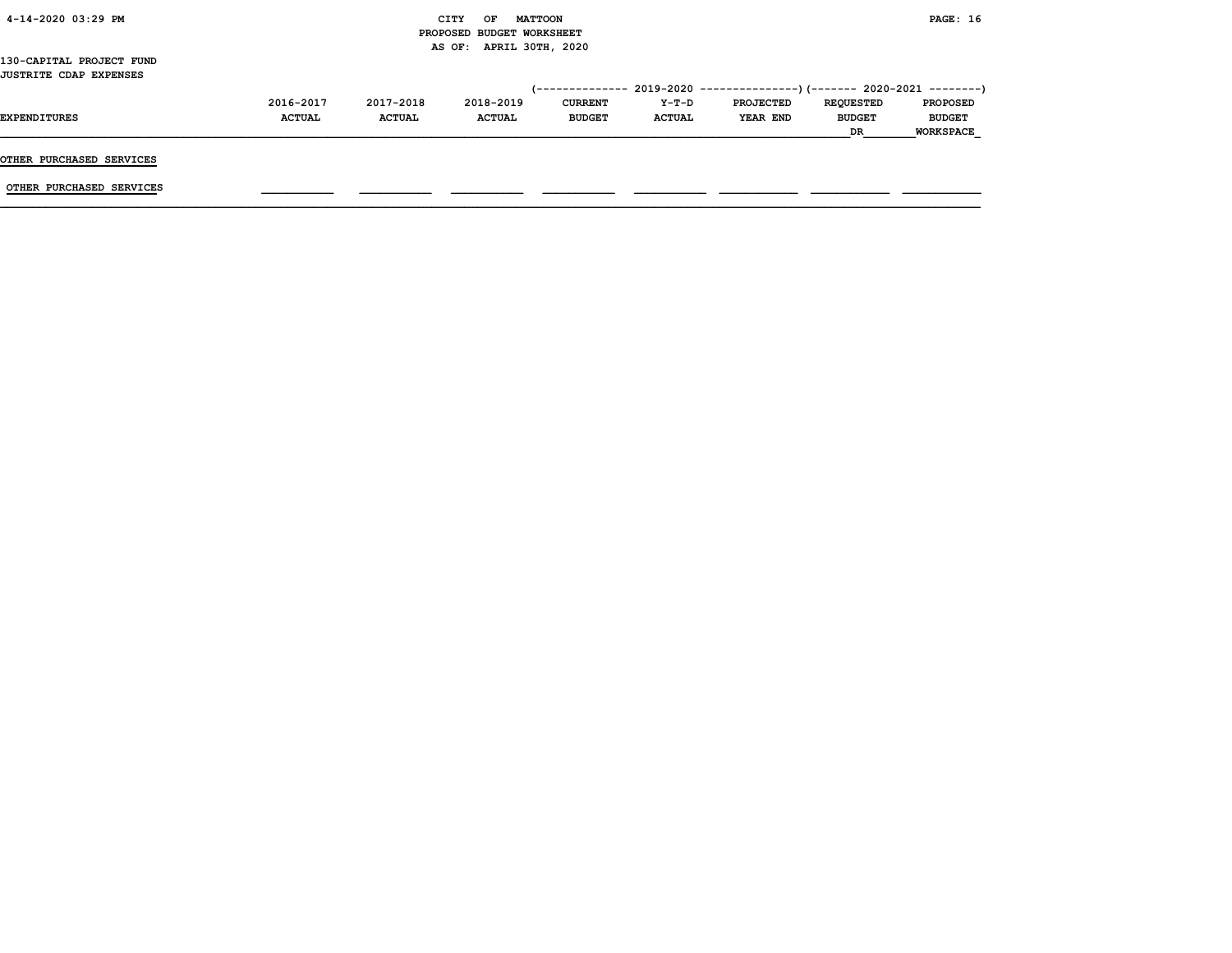|                               |               |               |                           |                |               |                                                                         | DR               | <b>WORKSPACE</b> |
|-------------------------------|---------------|---------------|---------------------------|----------------|---------------|-------------------------------------------------------------------------|------------------|------------------|
| <b>EXPENDITURES</b>           | <b>ACTUAL</b> | <b>ACTUAL</b> | <b>ACTUAL</b>             | <b>BUDGET</b>  | <b>ACTUAL</b> | YEAR END                                                                | <b>BUDGET</b>    | <b>BUDGET</b>    |
|                               | 2016-2017     | 2017-2018     | 2018-2019                 | <b>CURRENT</b> | Y-T-D         | <b>PROJECTED</b>                                                        | <b>REQUESTED</b> | <b>PROPOSED</b>  |
| <b>JUSTRITE CDAP EXPENSES</b> |               |               |                           |                |               | (-------------- 2019-2020 ----------------)(------- 2020-2021 --------) |                  |                  |
| 130-CAPITAL PROJECT FUND      |               |               | AS OF: APRIL 30TH, 2020   |                |               |                                                                         |                  |                  |
|                               |               |               | PROPOSED BUDGET WORKSHEET |                |               |                                                                         |                  |                  |
| 4-14-2020 03:29 PM            |               |               | OF<br>CITY                | <b>MATTOON</b> |               |                                                                         |                  | <b>PAGE: 16</b>  |
|                               |               |               |                           |                |               |                                                                         |                  |                  |

OTHER PURCHASED SERVICES

OTHER PURCHASED SERVICES \_\_\_\_\_\_\_\_\_\_\_ \_\_\_\_\_\_\_\_\_\_\_ \_\_\_\_\_\_\_\_\_\_\_ \_\_\_\_\_\_\_\_\_\_\_ \_\_\_\_\_\_\_\_\_\_\_ \_\_\_\_\_\_\_\_\_\_\_\_ \_\_\_\_\_\_\_\_\_\_\_\_ \_\_\_\_\_\_\_\_\_\_\_\_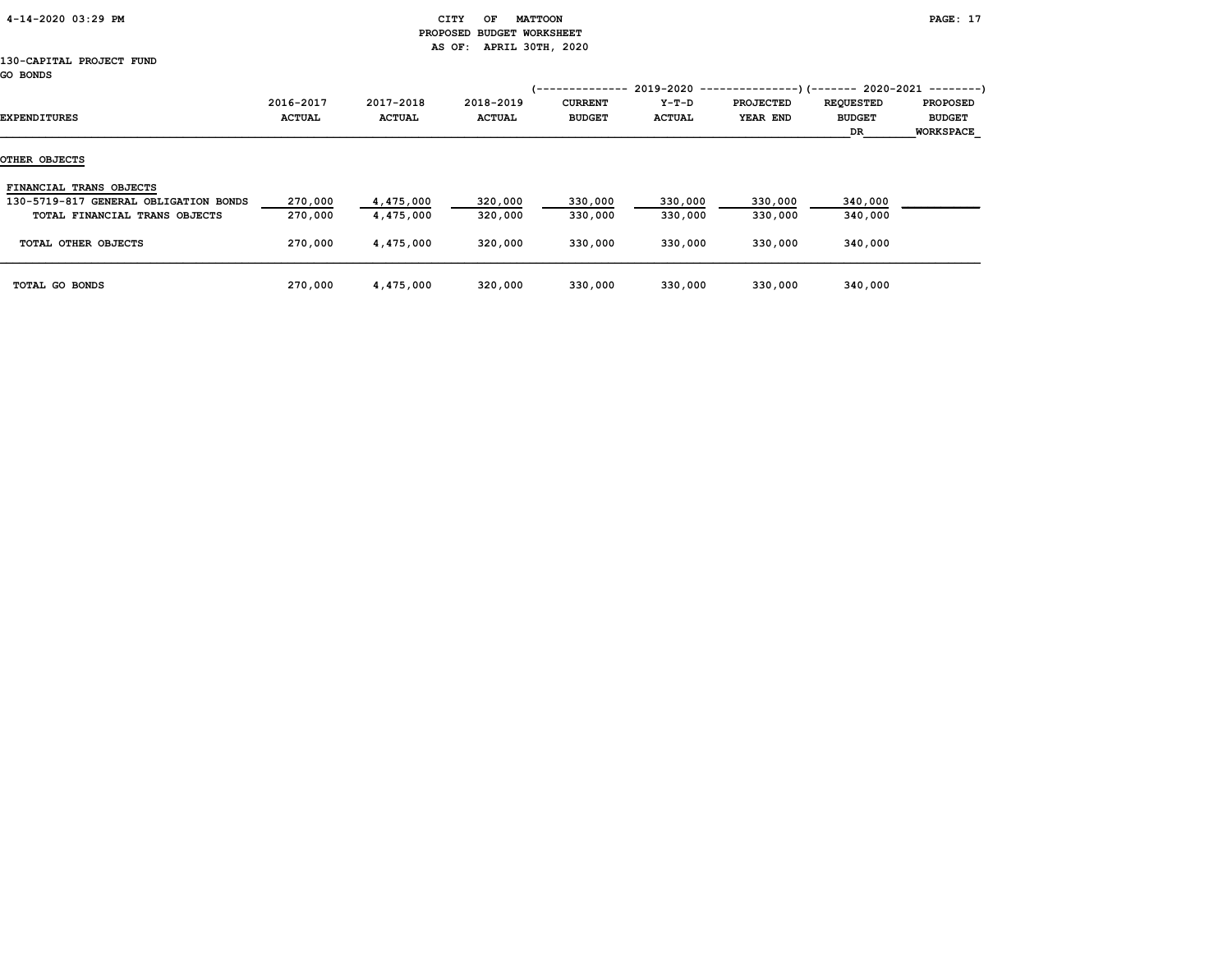| 4-14-2020 03:29 PM |  |
|--------------------|--|
|                    |  |

## CITY OF MATTOON **PAGE: 17**  PROPOSED BUDGET WORKSHEET AS OF: APRIL 30TH, 2020

#### 130-CAPITAL PROJECT FUND GO BONDS

| EXPENDITURES                          | 2016-2017<br><b>ACTUAL</b> | 2017-2018<br><b>ACTUAL</b> | 2018-2019<br><b>ACTUAL</b> | -----------<br><b>CURRENT</b><br><b>BUDGET</b> | $2019 - 2020 - -$<br>Y-T-D<br><b>ACTUAL</b> | <b>PROJECTED</b><br>YEAR END | --)(------- 2020-2021 --------)<br><b>REQUESTED</b><br><b>BUDGET</b><br>DR | <b>PROPOSED</b><br><b>BUDGET</b><br>WORKSPACE |
|---------------------------------------|----------------------------|----------------------------|----------------------------|------------------------------------------------|---------------------------------------------|------------------------------|----------------------------------------------------------------------------|-----------------------------------------------|
| OTHER OBJECTS                         |                            |                            |                            |                                                |                                             |                              |                                                                            |                                               |
| FINANCIAL TRANS OBJECTS               |                            |                            |                            |                                                |                                             |                              |                                                                            |                                               |
| 130-5719-817 GENERAL OBLIGATION BONDS | 270,000                    | 4,475,000                  | 320,000                    | 330,000                                        | 330,000                                     | 330,000                      | 340,000                                                                    |                                               |
| TOTAL FINANCIAL TRANS OBJECTS         | 270,000                    | 4,475,000                  | 320,000                    | 330,000                                        | 330,000                                     | 330,000                      | 340,000                                                                    |                                               |
| TOTAL OTHER OBJECTS                   | 270,000                    | 4,475,000                  | 320,000                    | 330,000                                        | 330,000                                     | 330,000                      | 340,000                                                                    |                                               |
| TOTAL GO BONDS                        | 270,000                    | 4,475,000                  | 320,000                    | 330,000                                        | 330,000                                     | 330,000                      | 340,000                                                                    |                                               |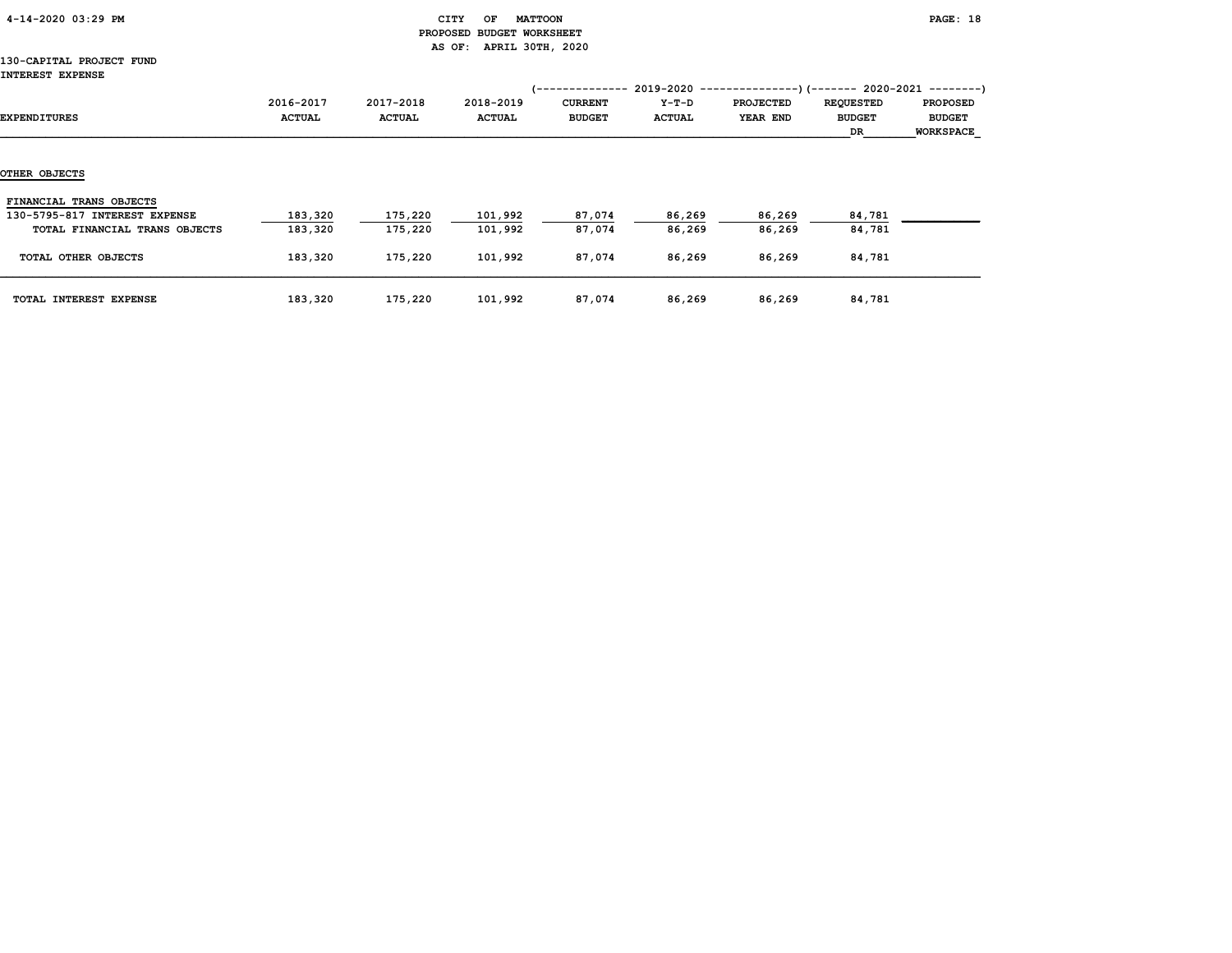|  | 4-14-2020 03:29 PM |  |  |
|--|--------------------|--|--|
|--|--------------------|--|--|

## CITY OF MATTOON **PAGE:** 18 PROPOSED BUDGET WORKSHEET AS OF: APRIL 30TH, 2020

#### 130-CAPITAL PROJECT FUND IN

| INTEREST E <i>AP</i> ENSE                                                                 |                            |                            |                            | '--------------                 |                        |                              |                                                                                                     |                                                      |
|-------------------------------------------------------------------------------------------|----------------------------|----------------------------|----------------------------|---------------------------------|------------------------|------------------------------|-----------------------------------------------------------------------------------------------------|------------------------------------------------------|
| EXPENDITURES                                                                              | 2016-2017<br><b>ACTUAL</b> | 2017-2018<br><b>ACTUAL</b> | 2018-2019<br><b>ACTUAL</b> | <b>CURRENT</b><br><b>BUDGET</b> | Y-T-D<br><b>ACTUAL</b> | <b>PROJECTED</b><br>YEAR END | $2019-2020$ ---------------)(------- 2020-2021 --------)<br><b>REQUESTED</b><br><b>BUDGET</b><br>DR | <b>PROPOSED</b><br><b>BUDGET</b><br><b>WORKSPACE</b> |
| OTHER OBJECTS                                                                             |                            |                            |                            |                                 |                        |                              |                                                                                                     |                                                      |
| FINANCIAL TRANS OBJECTS<br>130-5795-817 INTEREST EXPENSE<br>TOTAL FINANCIAL TRANS OBJECTS | 183,320<br>183,320         | 175,220<br>175,220         | 101,992<br>101,992         | 87,074<br>87,074                | 86,269<br>86,269       | 86,269<br>86,269             | 84,781<br>84,781                                                                                    |                                                      |
| TOTAL OTHER OBJECTS                                                                       | 183,320                    | 175,220                    | 101,992                    | 87,074                          | 86,269                 | 86,269                       | 84,781                                                                                              |                                                      |
| TOTAL INTEREST EXPENSE                                                                    | 183,320                    | 175,220                    | 101,992                    | 87,074                          | 86,269                 | 86,269                       | 84,781                                                                                              |                                                      |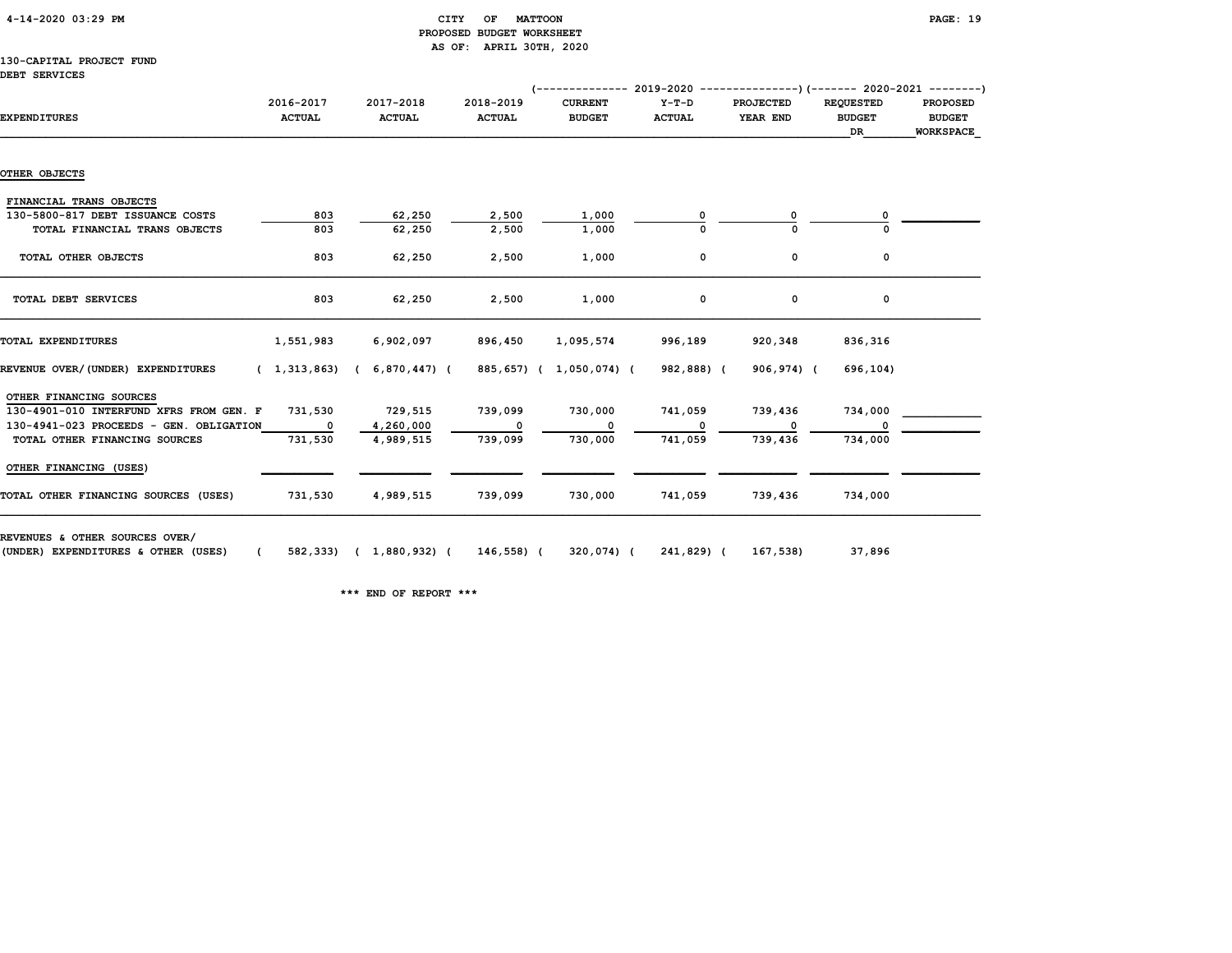# 4-14-2020 03:29 PM CITY OF MATTOON PAGE: 19 PROPOSED BUDGET WORKSHEET AS OF: APRIL 30TH, 2020

#### 130-CAPITAL PROJECT FUND DEBT SERVICES

| <b>EXPENDITURES</b>                     | 2016-2017<br><b>ACTUAL</b> | 2017-2018<br><b>ACTUAL</b>    | 2018-2019<br><b>ACTUAL</b> | (-------------- 2019-2020 ----------------) (------- 2020-2021 --------)<br><b>CURRENT</b><br><b>BUDGET</b> | $Y-T-D$<br><b>ACTUAL</b> | <b>PROJECTED</b><br>YEAR END | <b>REQUESTED</b><br><b>BUDGET</b><br>DR | <b>PROPOSED</b><br><b>BUDGET</b><br><b>WORKSPACE</b> |
|-----------------------------------------|----------------------------|-------------------------------|----------------------------|-------------------------------------------------------------------------------------------------------------|--------------------------|------------------------------|-----------------------------------------|------------------------------------------------------|
| OTHER OBJECTS                           |                            |                               |                            |                                                                                                             |                          |                              |                                         |                                                      |
| FINANCIAL TRANS OBJECTS                 |                            |                               |                            |                                                                                                             |                          |                              |                                         |                                                      |
| 130-5800-817 DEBT ISSUANCE COSTS        | 803                        | 62,250                        | 2,500                      | 1,000                                                                                                       |                          | 0                            |                                         |                                                      |
| TOTAL FINANCIAL TRANS OBJECTS           | 803                        | 62,250                        | 2,500                      | 1,000                                                                                                       |                          |                              |                                         |                                                      |
| TOTAL OTHER OBJECTS                     | 803                        | 62,250                        | 2,500                      | 1,000                                                                                                       | 0                        | 0                            | 0                                       |                                                      |
| TOTAL DEBT SERVICES                     | 803                        | 62,250                        | 2,500                      | 1,000                                                                                                       | 0                        | 0                            | 0                                       |                                                      |
| TOTAL EXPENDITURES                      | 1,551,983                  | 6,902,097                     | 896,450                    | 1,095,574                                                                                                   | 996,189                  | 920,348                      | 836,316                                 |                                                      |
| REVENUE OVER/(UNDER) EXPENDITURES       |                            | $(1,313,863)$ $(6,870,447)$ ( |                            | 885,657) ( 1,050,074) (                                                                                     | 982,888) (               | 906,974) (                   | 696,104)                                |                                                      |
| OTHER FINANCING SOURCES                 |                            |                               |                            |                                                                                                             |                          |                              |                                         |                                                      |
| 130-4901-010 INTERFUND XFRS FROM GEN. F | 731,530                    | 729,515                       | 739,099                    | 730,000                                                                                                     | 741,059                  | 739,436                      | 734,000                                 |                                                      |
| 130-4941-023 PROCEEDS - GEN. OBLIGATION | $\overline{\phantom{a}}$   | 4,260,000                     | 0                          | $\Omega$                                                                                                    | $\Omega$                 | <sup>0</sup>                 | $\Omega$                                |                                                      |
| TOTAL OTHER FINANCING SOURCES           | 731,530                    | 4,989,515                     | 739,099                    | 730,000                                                                                                     | 741,059                  | 739,436                      | 734,000                                 |                                                      |
| OTHER FINANCING (USES)                  |                            |                               |                            |                                                                                                             |                          |                              |                                         |                                                      |
| TOTAL OTHER FINANCING SOURCES (USES)    | 731,530                    | 4,989,515                     | 739,099                    | 730,000                                                                                                     | 741,059                  | 739,436                      | 734,000                                 |                                                      |

\*\*\* END OF REPORT \*\*\*

(UNDER) EXPENDITURES & OTHER (USES) ( 582,333) ( 1,880,932) ( 146,558) ( 320,074) ( 241,829) ( 167,538) 37,896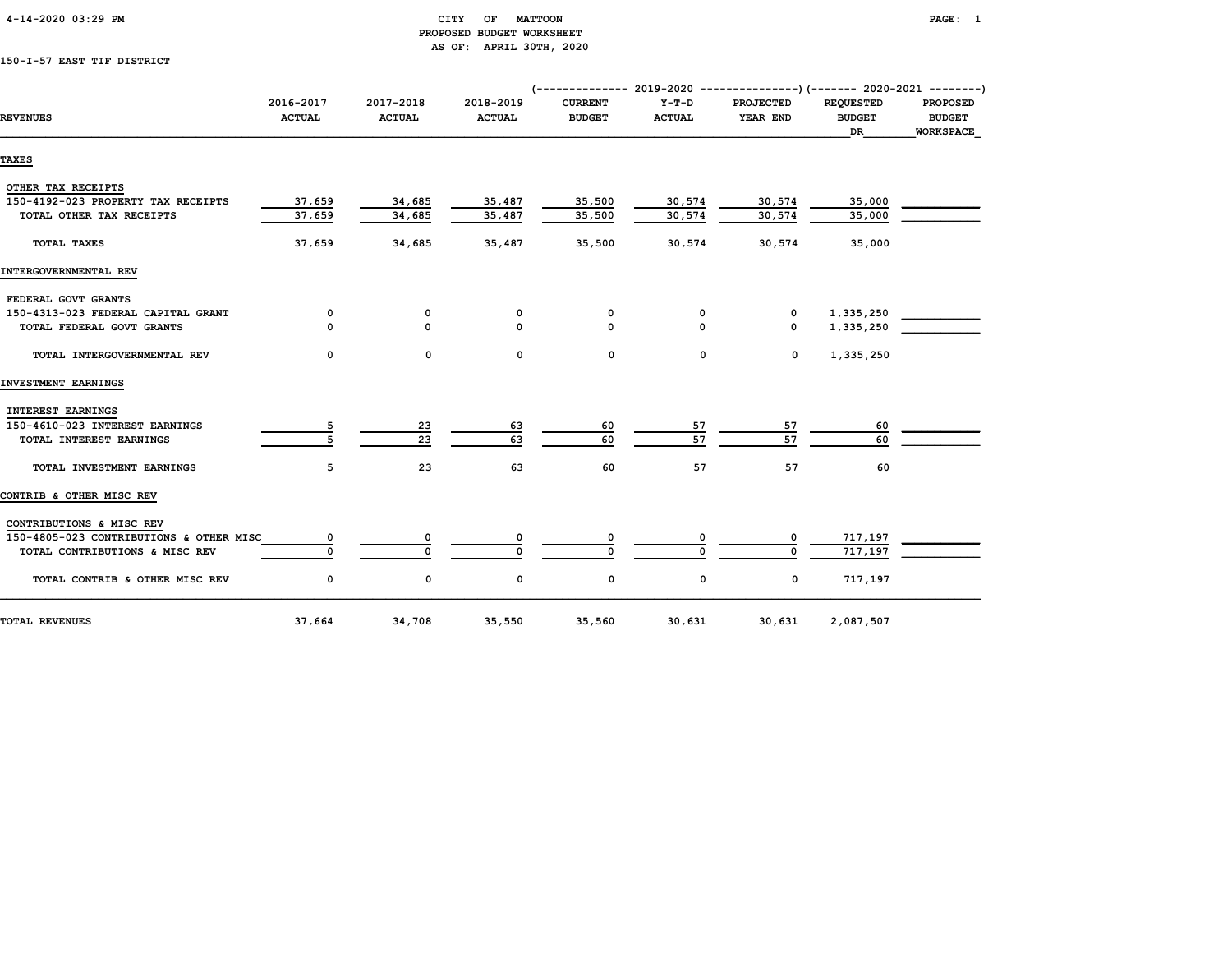| 4-14-2020 03:29 PM |  |
|--------------------|--|
|                    |  |

## CITY OF MATTOON **PAGE:** 1 PROPOSED BUDGET WORKSHEET AS OF: APRIL 30TH, 2020

# 150-I-57 EAST TIF DISTRICT

|                                         |                            |                            |                            | (------------- 2019-2020 ---------------)(------- 2020-2021 --------) |                          |                              |                                         |                                                      |
|-----------------------------------------|----------------------------|----------------------------|----------------------------|-----------------------------------------------------------------------|--------------------------|------------------------------|-----------------------------------------|------------------------------------------------------|
| <b>REVENUES</b>                         | 2016-2017<br><b>ACTUAL</b> | 2017-2018<br><b>ACTUAL</b> | 2018-2019<br><b>ACTUAL</b> | <b>CURRENT</b><br><b>BUDGET</b>                                       | $Y-T-D$<br><b>ACTUAL</b> | <b>PROJECTED</b><br>YEAR END | <b>REOUESTED</b><br><b>BUDGET</b><br>DR | <b>PROPOSED</b><br><b>BUDGET</b><br><b>WORKSPACE</b> |
| <b>TAXES</b>                            |                            |                            |                            |                                                                       |                          |                              |                                         |                                                      |
| OTHER TAX RECEIPTS                      |                            |                            |                            |                                                                       |                          |                              |                                         |                                                      |
| 150-4192-023 PROPERTY TAX RECEIPTS      | 37,659                     | 34,685                     | 35,487                     | 35,500                                                                | 30,574                   | 30,574                       | 35,000                                  |                                                      |
| TOTAL OTHER TAX RECEIPTS                | 37,659                     | 34,685                     | 35,487                     | 35,500                                                                | 30,574                   | 30,574                       | 35,000                                  |                                                      |
| <b>TOTAL TAXES</b>                      | 37,659                     | 34,685                     | 35,487                     | 35,500                                                                | 30,574                   | 30,574                       | 35,000                                  |                                                      |
| INTERGOVERNMENTAL REV                   |                            |                            |                            |                                                                       |                          |                              |                                         |                                                      |
|                                         |                            |                            |                            |                                                                       |                          |                              |                                         |                                                      |
| FEDERAL GOVT GRANTS                     |                            |                            |                            |                                                                       |                          |                              |                                         |                                                      |
| 150-4313-023 FEDERAL CAPITAL GRANT      |                            | 0                          |                            | 0                                                                     |                          | 0                            | 1,335,250                               |                                                      |
| TOTAL FEDERAL GOVT GRANTS               | $\Omega$                   | $\Omega$                   |                            | O                                                                     |                          |                              | 1,335,250                               |                                                      |
| TOTAL INTERGOVERNMENTAL REV             | 0                          | 0                          | 0                          | 0                                                                     | 0                        | 0                            | 1,335,250                               |                                                      |
| INVESTMENT EARNINGS                     |                            |                            |                            |                                                                       |                          |                              |                                         |                                                      |
| <b>INTEREST EARNINGS</b>                |                            |                            |                            |                                                                       |                          |                              |                                         |                                                      |
|                                         |                            |                            |                            |                                                                       |                          |                              |                                         |                                                      |
| 150-4610-023 INTEREST EARNINGS          | 5                          | 23                         | 63                         | 60                                                                    | 57                       | 57<br>57                     | 60                                      |                                                      |
| TOTAL INTEREST EARNINGS                 |                            | 23                         | 63                         | 60                                                                    | 57                       |                              | 60                                      |                                                      |
| TOTAL INVESTMENT EARNINGS               | 5                          | 23                         | 63                         | 60                                                                    | 57                       | 57                           | 60                                      |                                                      |
| CONTRIB & OTHER MISC REV                |                            |                            |                            |                                                                       |                          |                              |                                         |                                                      |
| CONTRIBUTIONS & MISC REV                |                            |                            |                            |                                                                       |                          |                              |                                         |                                                      |
| 150-4805-023 CONTRIBUTIONS & OTHER MISC | 0                          | 0                          |                            | 0                                                                     |                          | 0                            | 717,197                                 |                                                      |
| TOTAL CONTRIBUTIONS & MISC REV          | $\Omega$                   | $\Omega$                   | $\Omega$                   | 0                                                                     |                          | $\Omega$                     | 717,197                                 |                                                      |
|                                         |                            |                            |                            |                                                                       |                          |                              |                                         |                                                      |
| TOTAL CONTRIB & OTHER MISC REV          | 0                          | 0                          | 0                          | 0                                                                     | 0                        | 0                            | 717,197                                 |                                                      |
| <b>TOTAL REVENUES</b>                   | 37,664                     | 34,708                     | 35,550                     | 35,560                                                                | 30,631                   | 30,631                       | 2,087,507                               |                                                      |
|                                         |                            |                            |                            |                                                                       |                          |                              |                                         |                                                      |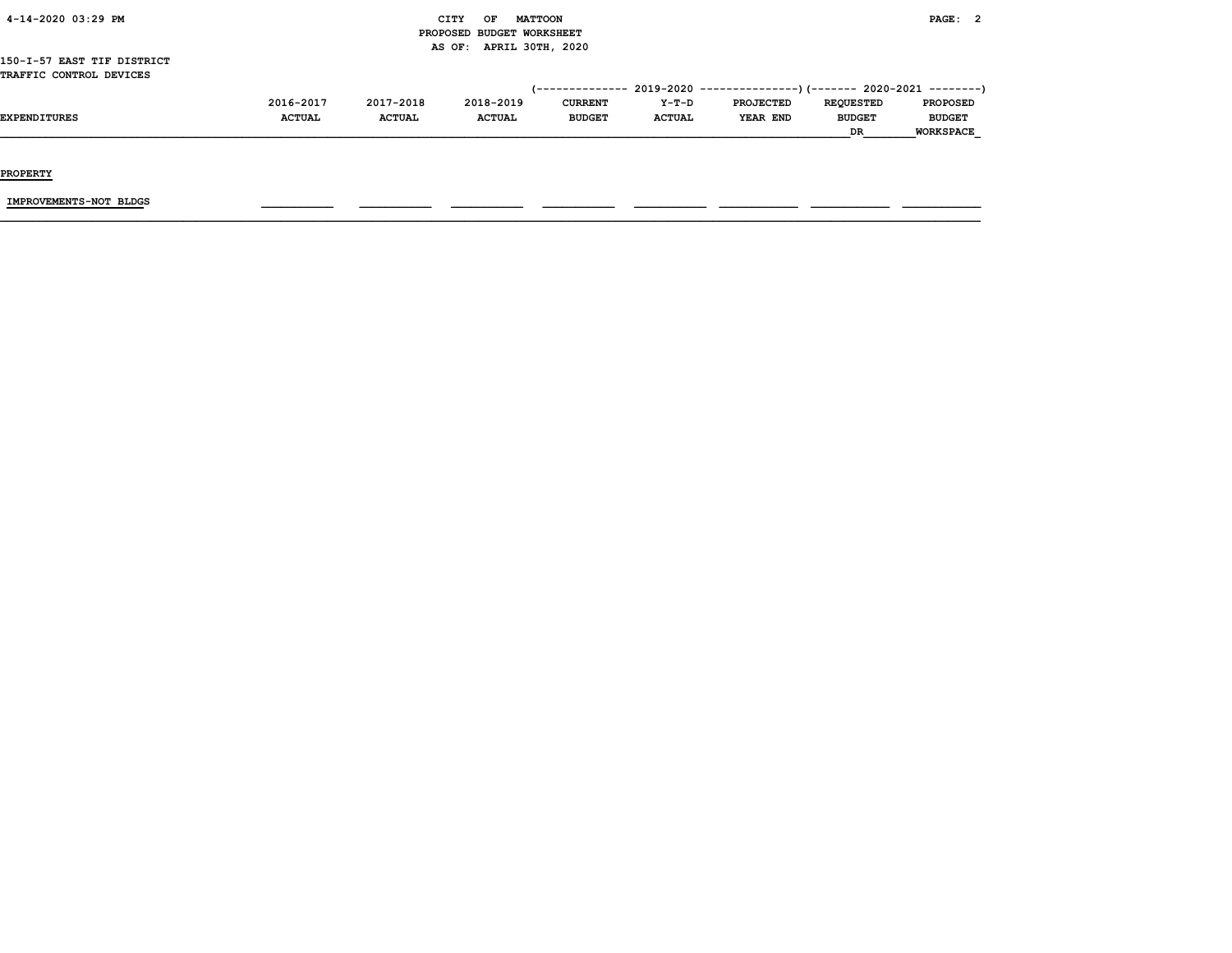| 4-14-2020 03:29 PM                                    |                            |                            | CITY<br>OF                 | <b>MATTOON</b>                  |                        |                                                                                                          |                                         | PAGE: 2                                       |  |
|-------------------------------------------------------|----------------------------|----------------------------|----------------------------|---------------------------------|------------------------|----------------------------------------------------------------------------------------------------------|-----------------------------------------|-----------------------------------------------|--|
|                                                       |                            |                            | PROPOSED BUDGET WORKSHEET  |                                 |                        |                                                                                                          |                                         |                                               |  |
| 150-I-57 EAST TIF DISTRICT<br>TRAFFIC CONTROL DEVICES |                            |                            | AS OF: APRIL 30TH, 2020    |                                 |                        |                                                                                                          |                                         |                                               |  |
| <b>EXPENDITURES</b>                                   | 2016-2017<br><b>ACTUAL</b> | 2017-2018<br><b>ACTUAL</b> | 2018-2019<br><b>ACTUAL</b> | <b>CURRENT</b><br><b>BUDGET</b> | Y-T-D<br><b>ACTUAL</b> | (-------------- 2019-2020 ----------------) (------- 2020-2021 --------)<br><b>PROJECTED</b><br>YEAR END | <b>REOUESTED</b><br><b>BUDGET</b><br>DR | <b>PROPOSED</b><br><b>BUDGET</b><br>WORKSPACE |  |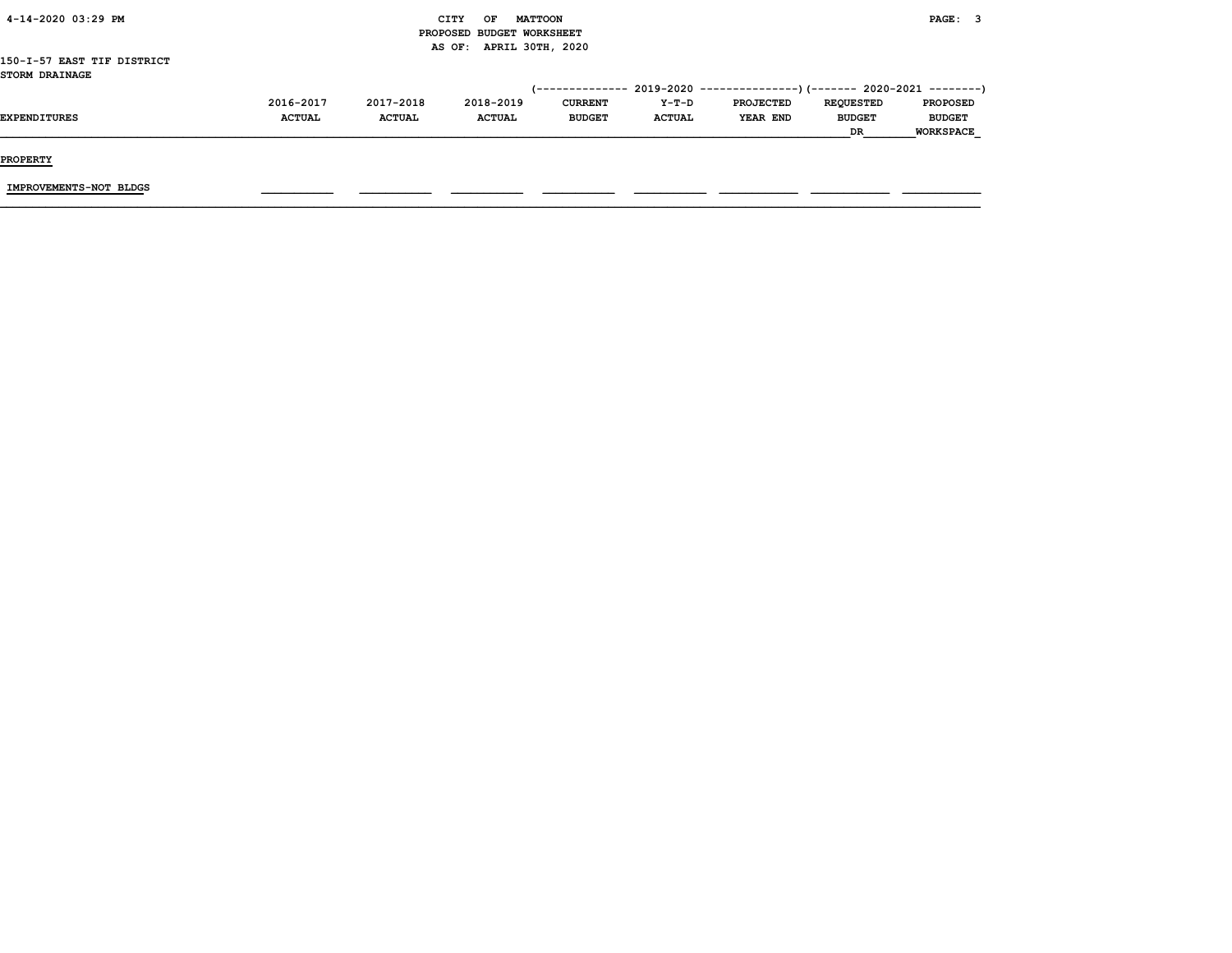|                            |               |               |                           |                        |               |                                                           | <b>DR</b>        | <b>WORKSPACE</b> |  |
|----------------------------|---------------|---------------|---------------------------|------------------------|---------------|-----------------------------------------------------------|------------------|------------------|--|
| <b>EXPENDITURES</b>        | <b>ACTUAL</b> | <b>ACTUAL</b> | <b>ACTUAL</b>             | <b>BUDGET</b>          | <b>ACTUAL</b> | <b>YEAR END</b>                                           | <b>BUDGET</b>    | <b>BUDGET</b>    |  |
|                            | 2016-2017     | 2017-2018     | 2018-2019                 | <b>CURRENT</b>         | Y-T-D         | <b>PROJECTED</b>                                          | <b>REQUESTED</b> | <b>PROPOSED</b>  |  |
|                            |               |               |                           | <i>(--------------</i> |               | $2019-2020$ ----------------)(------- 2020-2021 --------) |                  |                  |  |
| <b>STORM DRAINAGE</b>      |               |               |                           |                        |               |                                                           |                  |                  |  |
| 150-I-57 EAST TIF DISTRICT |               |               |                           |                        |               |                                                           |                  |                  |  |
|                            |               |               | AS OF: APRIL 30TH, 2020   |                        |               |                                                           |                  |                  |  |
|                            |               |               | PROPOSED BUDGET WORKSHEET |                        |               |                                                           |                  |                  |  |
| 4-14-2020 03:29 PM         |               |               | OF<br>CITY                | <b>MATTOON</b>         |               |                                                           |                  | PAGE: 3          |  |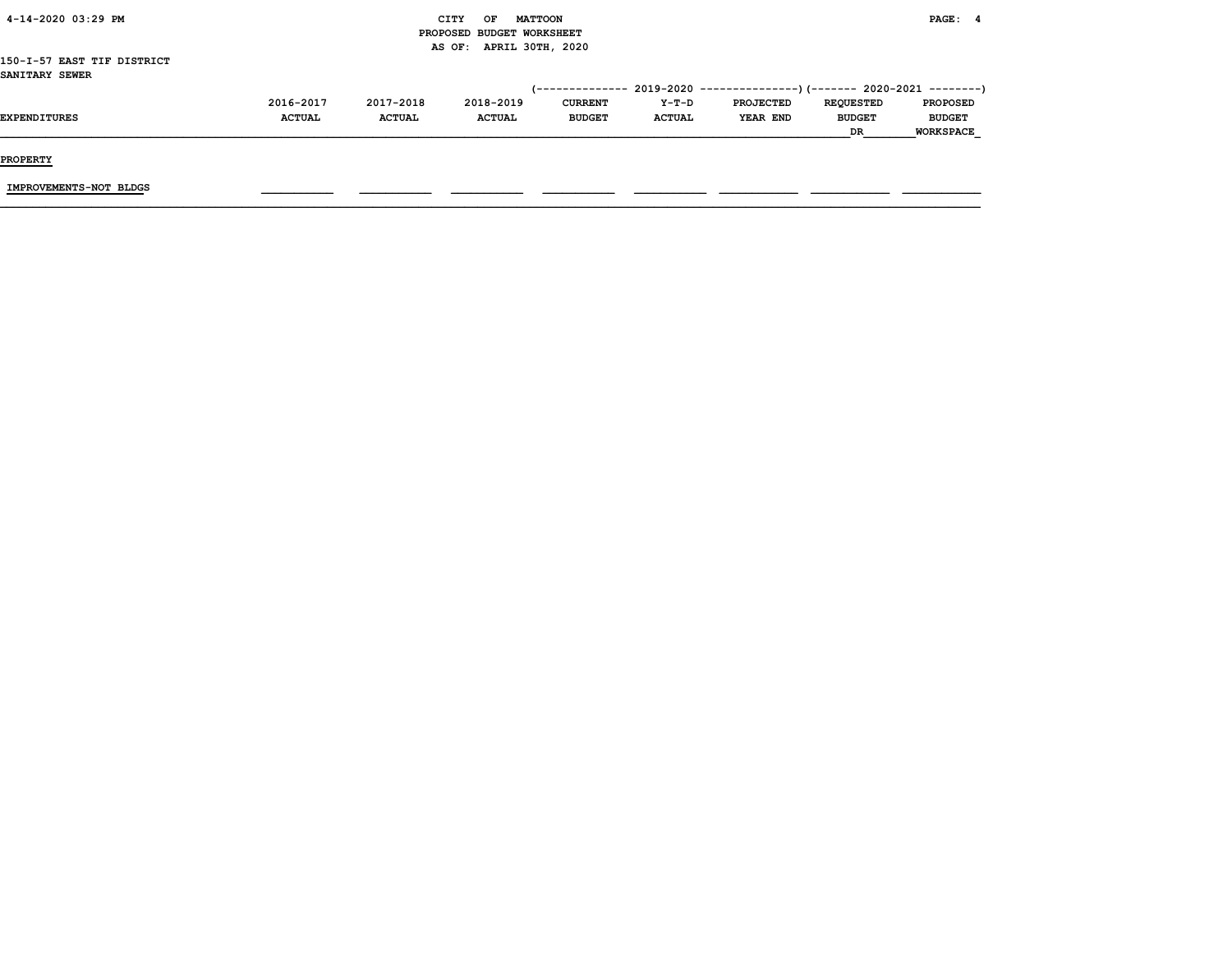| 4-14-2020 03:29 PM         |               |               | CITY<br>OF                | <b>MATTOON</b>   |               |                                                                           |                  | PAGE: 4          |  |
|----------------------------|---------------|---------------|---------------------------|------------------|---------------|---------------------------------------------------------------------------|------------------|------------------|--|
|                            |               |               | PROPOSED BUDGET WORKSHEET |                  |               |                                                                           |                  |                  |  |
|                            |               |               | AS OF:                    | APRIL 30TH, 2020 |               |                                                                           |                  |                  |  |
| 150-I-57 EAST TIF DISTRICT |               |               |                           |                  |               |                                                                           |                  |                  |  |
| SANITARY SEWER             |               |               |                           |                  |               |                                                                           |                  |                  |  |
|                            |               |               |                           |                  |               | (-------------- 2019-2020 ----------------) (------- 2020-2021 ---------) |                  |                  |  |
|                            | 2016-2017     | 2017-2018     | 2018-2019                 | <b>CURRENT</b>   | Y-T-D         | <b>PROJECTED</b>                                                          | <b>REQUESTED</b> | <b>PROPOSED</b>  |  |
| <b>EXPENDITURES</b>        | <b>ACTUAL</b> | <b>ACTUAL</b> | <b>ACTUAL</b>             | <b>BUDGET</b>    | <b>ACTUAL</b> | <b>YEAR END</b>                                                           | <b>BUDGET</b>    | <b>BUDGET</b>    |  |
|                            |               |               |                           |                  |               |                                                                           | <b>DR</b>        | <b>WORKSPACE</b> |  |
|                            |               |               |                           |                  |               |                                                                           |                  |                  |  |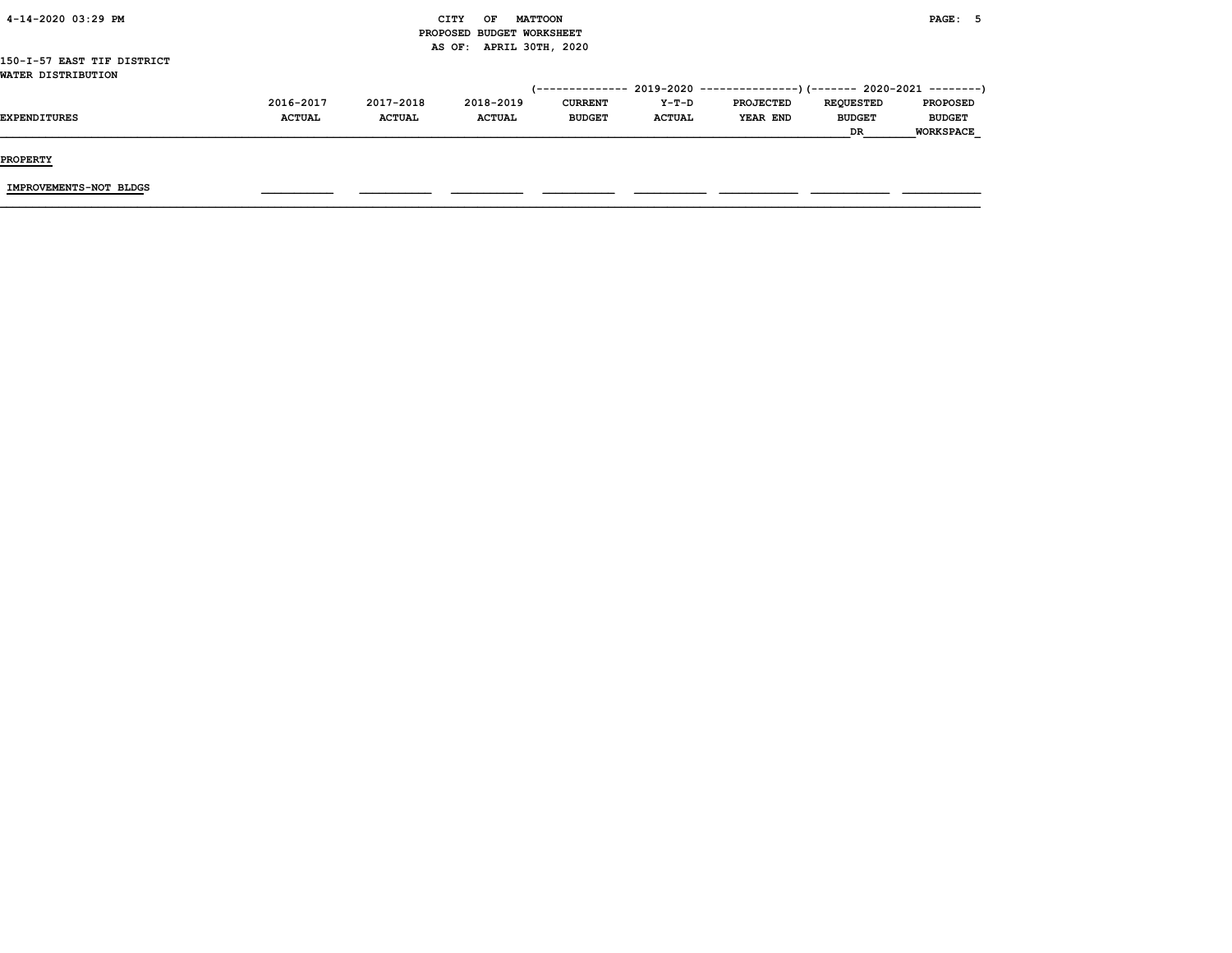|               |               | CITY<br>OF    | <b>MATTOON</b> |                                                      |                  |                  | PAGE: 5       |                                                                              |
|---------------|---------------|---------------|----------------|------------------------------------------------------|------------------|------------------|---------------|------------------------------------------------------------------------------|
|               |               |               |                |                                                      |                  |                  |               |                                                                              |
|               |               |               |                |                                                      |                  |                  |               |                                                                              |
|               |               |               |                |                                                      |                  |                  |               |                                                                              |
|               |               |               |                |                                                      |                  |                  |               |                                                                              |
|               |               |               |                |                                                      |                  |                  |               |                                                                              |
| 2016-2017     | 2017-2018     | 2018-2019     | <b>CURRENT</b> | Y-T-D                                                | <b>PROJECTED</b> | <b>REQUESTED</b> |               |                                                                              |
| <b>ACTUAL</b> | <b>ACTUAL</b> | <b>ACTUAL</b> | <b>BUDGET</b>  | <b>ACTUAL</b>                                        | <b>YEAR END</b>  | <b>BUDGET</b>    | <b>BUDGET</b> |                                                                              |
|               |               |               |                |                                                      |                  | DR               | WORKSPACE     |                                                                              |
|               |               |               |                | PROPOSED BUDGET WORKSHEET<br>AS OF: APRIL 30TH, 2020 | (--------------  |                  |               | $2019-2020$ ----------------)(------- 2020-2021 --------)<br><b>PROPOSED</b> |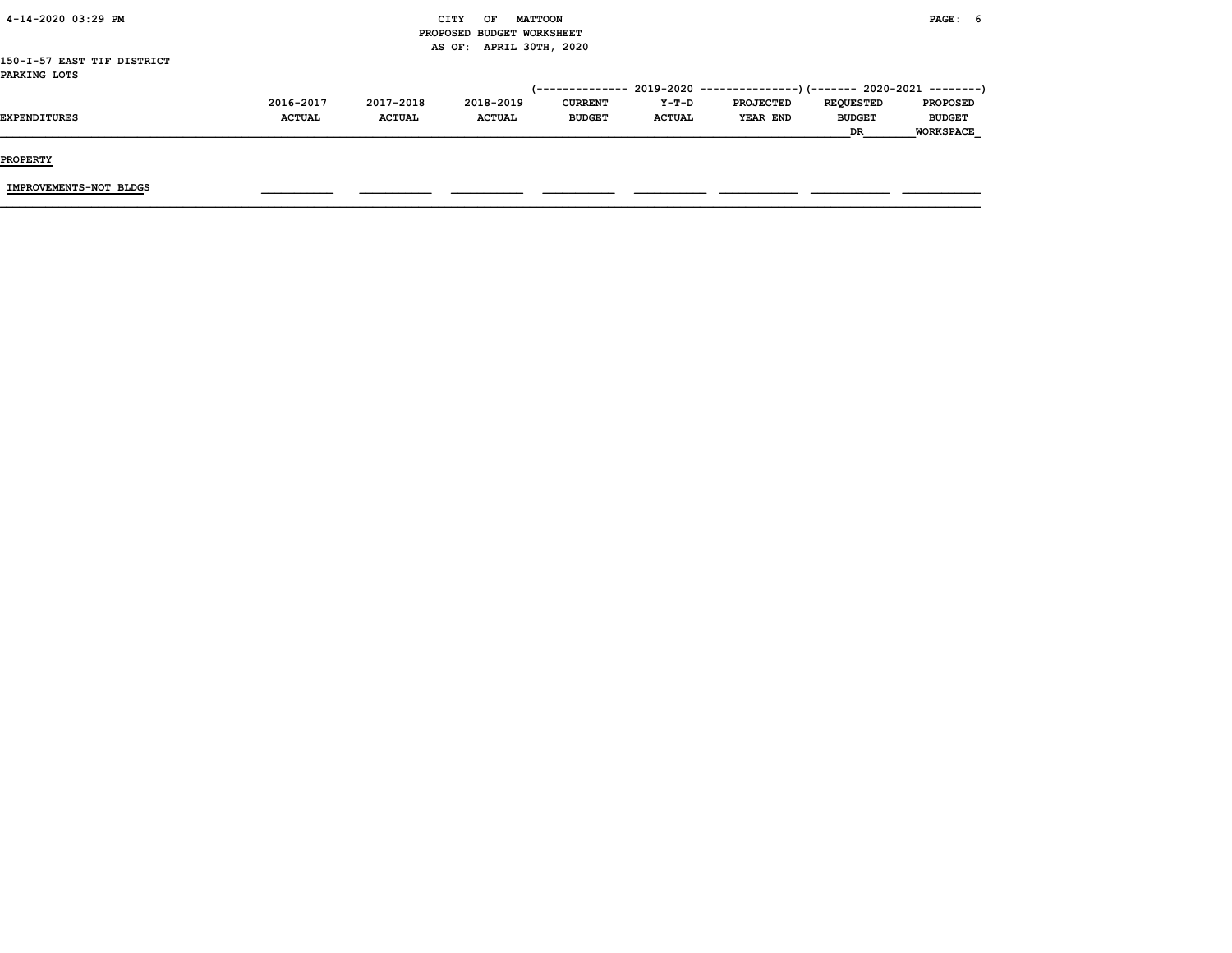| 4-14-2020 03:29 PM         |               |               | CITY<br>OF                | <b>MATTOON</b>  |               |                                                          |                  | PAGE: 6          |  |
|----------------------------|---------------|---------------|---------------------------|-----------------|---------------|----------------------------------------------------------|------------------|------------------|--|
|                            |               |               | PROPOSED BUDGET WORKSHEET |                 |               |                                                          |                  |                  |  |
|                            |               |               | AS OF: APRIL 30TH, 2020   |                 |               |                                                          |                  |                  |  |
| 150-I-57 EAST TIF DISTRICT |               |               |                           |                 |               |                                                          |                  |                  |  |
| PARKING LOTS               |               |               |                           |                 |               |                                                          |                  |                  |  |
|                            |               |               |                           | (-------------- |               | 2019-2020 ----------------)(------- 2020-2021 ---------) |                  |                  |  |
|                            | 2016-2017     | 2017-2018     | 2018-2019                 | <b>CURRENT</b>  | Y-T-D         | <b>PROJECTED</b>                                         | <b>REQUESTED</b> | <b>PROPOSED</b>  |  |
| <b>EXPENDITURES</b>        | <b>ACTUAL</b> | <b>ACTUAL</b> | <b>ACTUAL</b>             | <b>BUDGET</b>   | <b>ACTUAL</b> | <b>YEAR END</b>                                          | <b>BUDGET</b>    | <b>BUDGET</b>    |  |
|                            |               |               |                           |                 |               |                                                          | DR               | <b>WORKSPACE</b> |  |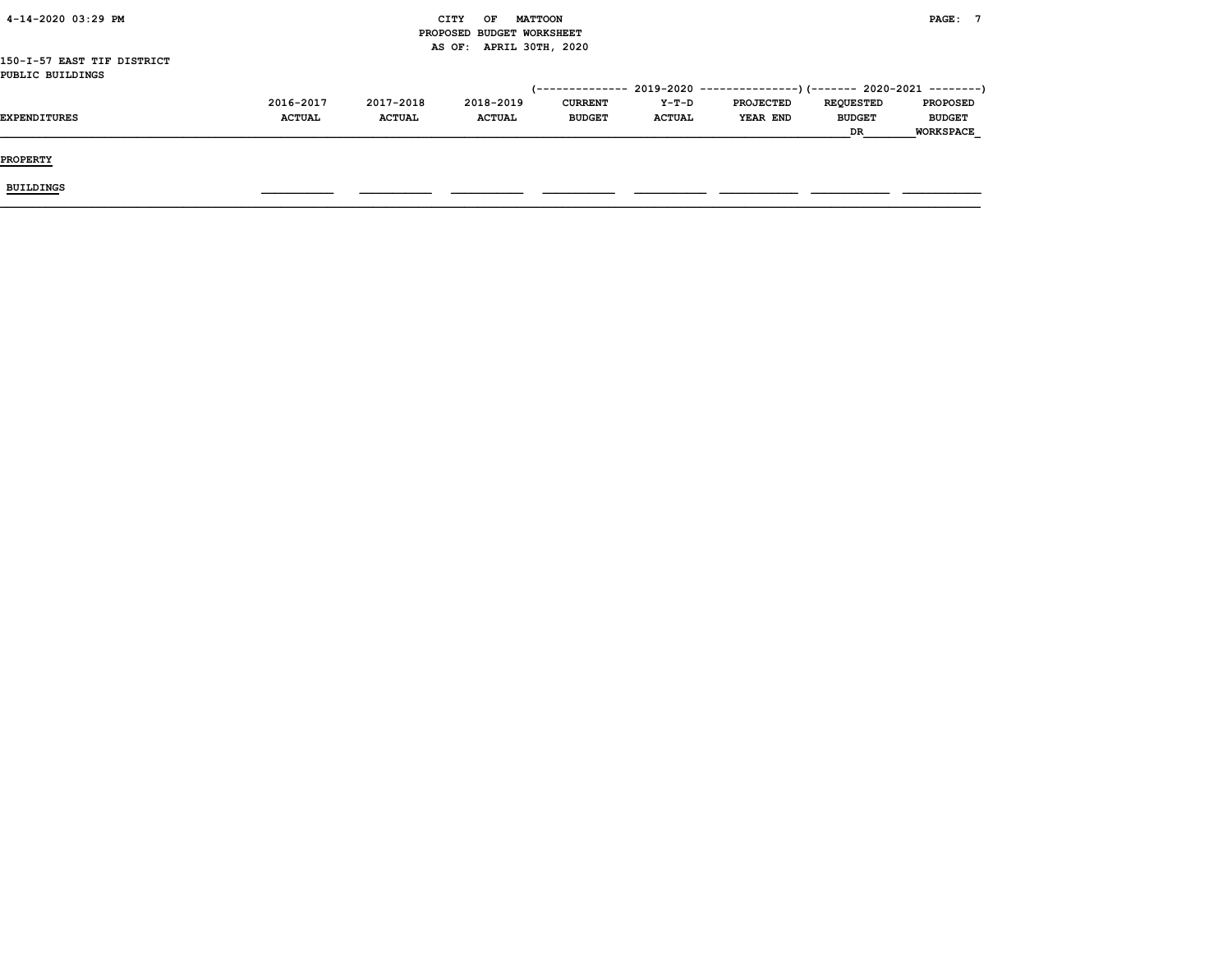| 4-14-2020 03:29 PM         |               |               | CITY<br>OF<br><b>MATTOON</b> |                |               |                                                                          |                  | PAGE:            |
|----------------------------|---------------|---------------|------------------------------|----------------|---------------|--------------------------------------------------------------------------|------------------|------------------|
|                            |               |               | PROPOSED BUDGET WORKSHEET    |                |               |                                                                          |                  |                  |
|                            |               |               | AS OF: APRIL 30TH, 2020      |                |               |                                                                          |                  |                  |
| 150-I-57 EAST TIF DISTRICT |               |               |                              |                |               |                                                                          |                  |                  |
| PUBLIC BUILDINGS           |               |               |                              |                |               |                                                                          |                  |                  |
|                            |               |               |                              |                |               | (-------------- 2019-2020 ----------------) (------- 2020-2021 --------) |                  |                  |
|                            | 2016-2017     | 2017-2018     | 2018-2019                    | <b>CURRENT</b> | Y-T-D         | <b>PROJECTED</b>                                                         | <b>REQUESTED</b> | <b>PROPOSED</b>  |
| <b>EXPENDITURES</b>        | <b>ACTUAL</b> | <b>ACTUAL</b> | <b>ACTUAL</b>                | <b>BUDGET</b>  | <b>ACTUAL</b> | YEAR END                                                                 | <b>BUDGET</b>    | <b>BUDGET</b>    |
|                            |               |               |                              |                |               |                                                                          | <b>DR</b>        | <b>WORKSPACE</b> |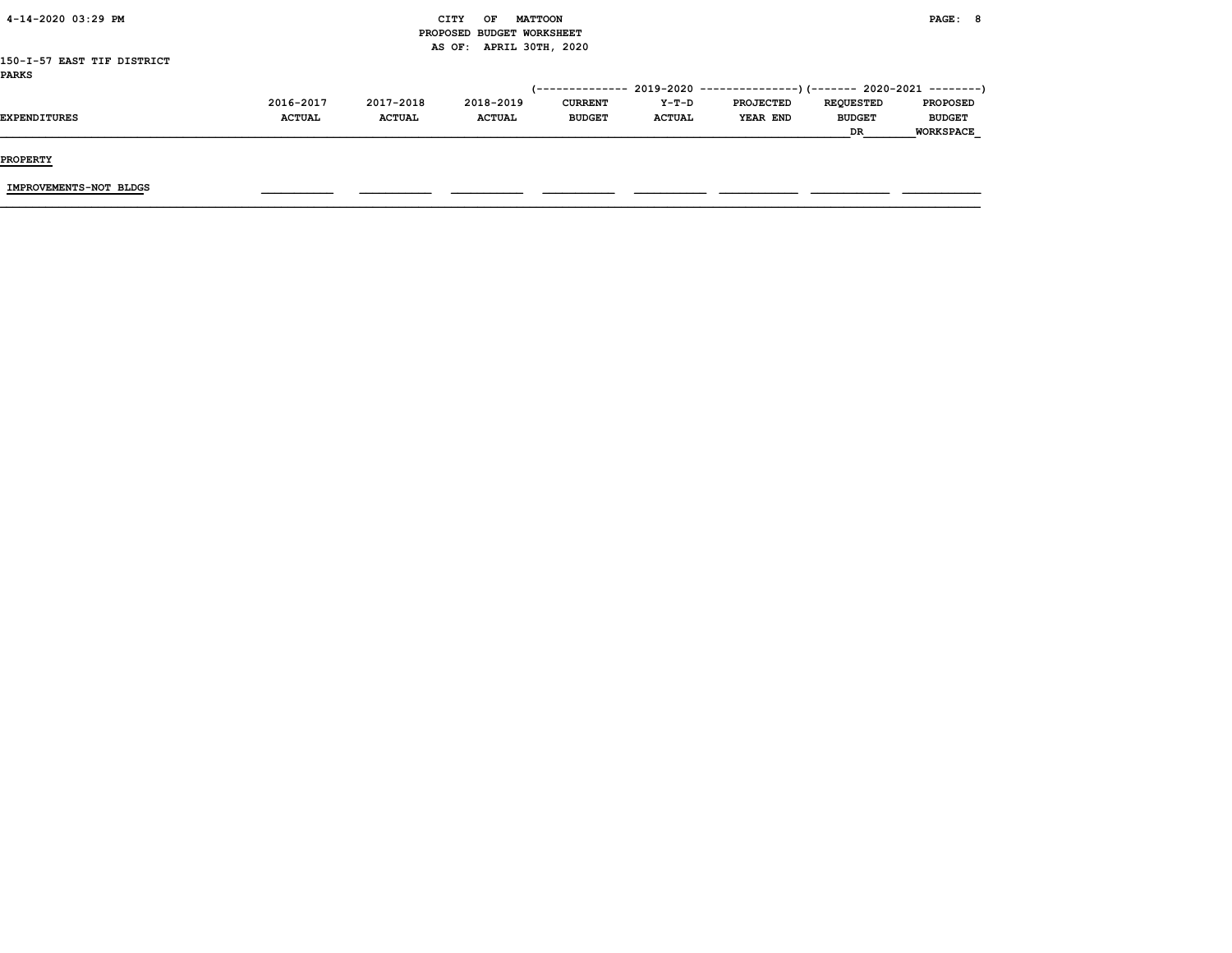| 4-14-2020 03:29 PM         |               |               | CITY<br>OF                | <b>MATTOON</b> |               |                                                                          |                  | PAGE: 8          |
|----------------------------|---------------|---------------|---------------------------|----------------|---------------|--------------------------------------------------------------------------|------------------|------------------|
|                            |               |               | PROPOSED BUDGET WORKSHEET |                |               |                                                                          |                  |                  |
|                            |               |               | AS OF: APRIL 30TH, 2020   |                |               |                                                                          |                  |                  |
| 150-I-57 EAST TIF DISTRICT |               |               |                           |                |               |                                                                          |                  |                  |
| <b>PARKS</b>               |               |               |                           |                |               |                                                                          |                  |                  |
|                            |               |               |                           |                |               | (-------------- 2019-2020 ----------------) (------- 2020-2021 --------) |                  |                  |
|                            | 2016-2017     | 2017-2018     | 2018-2019                 | <b>CURRENT</b> | Y-T-D         | <b>PROJECTED</b>                                                         | <b>REQUESTED</b> | <b>PROPOSED</b>  |
| <b>EXPENDITURES</b>        | <b>ACTUAL</b> | <b>ACTUAL</b> | <b>ACTUAL</b>             | <b>BUDGET</b>  | <b>ACTUAL</b> | YEAR END                                                                 | <b>BUDGET</b>    | <b>BUDGET</b>    |
|                            |               |               |                           |                |               |                                                                          | <b>DR</b>        | <b>WORKSPACE</b> |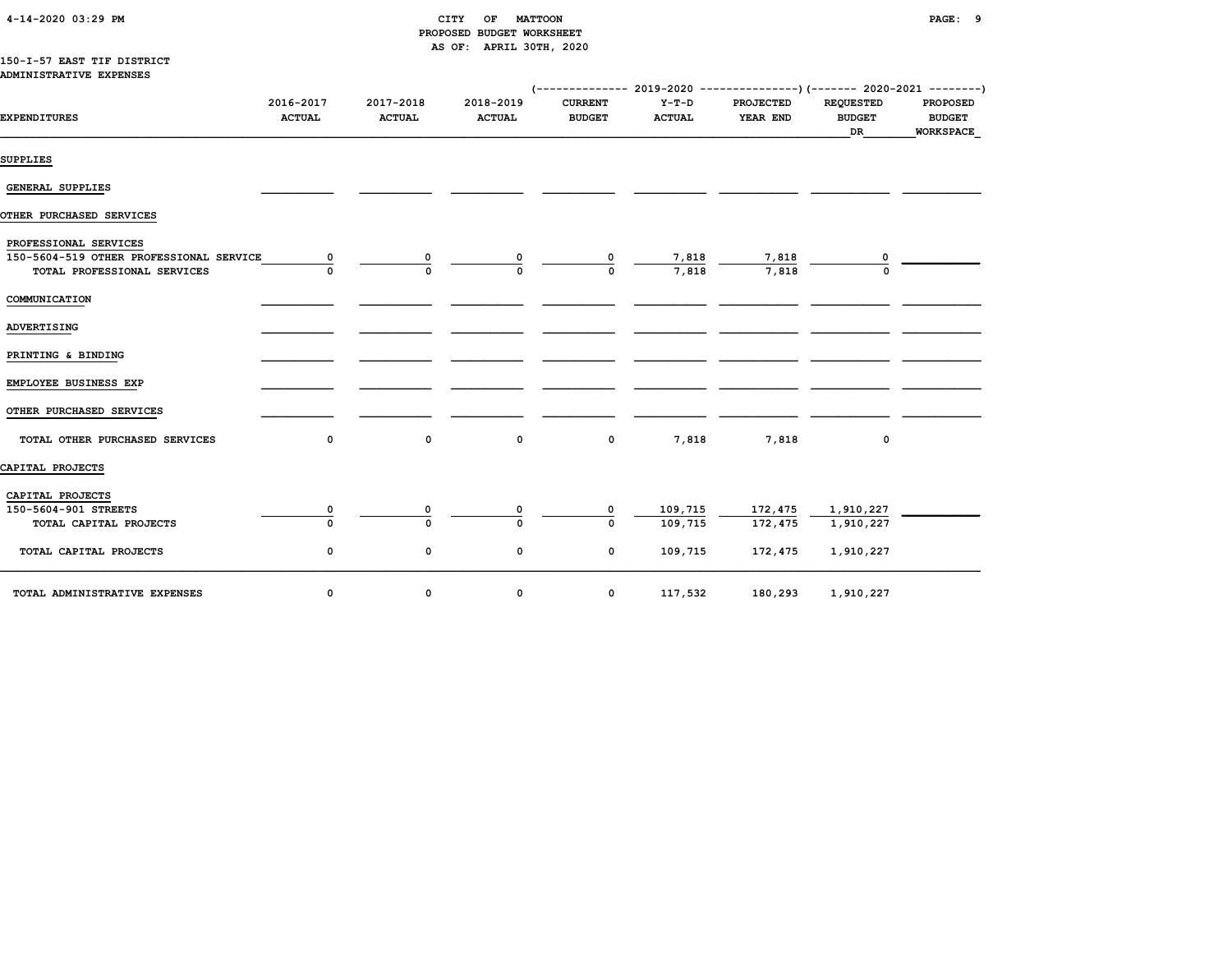| 4-14-2020 03:29 PM |  |  |
|--------------------|--|--|
|--------------------|--|--|

## 4-14-2020 03:29 PM CITY OF MATTOON PAGE: 9 PROPOSED BUDGET WORKSHEET AS OF: APRIL 30TH, 2020

#### 150-I-57 EAST TIF DISTRICT ADMINISTRATIVE EXPENSES

|                                                                                                 |                            |                            |                            | (-------------- 2019-2020 ----------------)(------- 2020-2021 --------) |                        |                              |                                         |                                               |
|-------------------------------------------------------------------------------------------------|----------------------------|----------------------------|----------------------------|-------------------------------------------------------------------------|------------------------|------------------------------|-----------------------------------------|-----------------------------------------------|
| <b>EXPENDITURES</b>                                                                             | 2016-2017<br><b>ACTUAL</b> | 2017-2018<br><b>ACTUAL</b> | 2018-2019<br><b>ACTUAL</b> | <b>CURRENT</b><br><b>BUDGET</b>                                         | Y-T-D<br><b>ACTUAL</b> | <b>PROJECTED</b><br>YEAR END | <b>REQUESTED</b><br><b>BUDGET</b><br>DR | <b>PROPOSED</b><br><b>BUDGET</b><br>WORKSPACE |
| SUPPLIES                                                                                        |                            |                            |                            |                                                                         |                        |                              |                                         |                                               |
| <b>GENERAL SUPPLIES</b>                                                                         |                            |                            |                            |                                                                         |                        |                              |                                         |                                               |
| OTHER PURCHASED SERVICES                                                                        |                            |                            |                            |                                                                         |                        |                              |                                         |                                               |
| PROFESSIONAL SERVICES<br>150-5604-519 OTHER PROFESSIONAL SERVICE<br>TOTAL PROFESSIONAL SERVICES | 0                          | 0                          | 0                          | 0                                                                       | 7,818<br>7,818         | 7,818<br>7,818               |                                         |                                               |
| COMMUNICATION                                                                                   |                            |                            |                            |                                                                         |                        |                              |                                         |                                               |
| ADVERTISING                                                                                     |                            |                            |                            |                                                                         |                        |                              |                                         |                                               |
| PRINTING & BINDING                                                                              |                            |                            |                            |                                                                         |                        |                              |                                         |                                               |
| EMPLOYEE BUSINESS EXP                                                                           |                            |                            |                            |                                                                         |                        |                              |                                         |                                               |
| OTHER PURCHASED SERVICES                                                                        |                            |                            |                            |                                                                         |                        |                              |                                         |                                               |
| TOTAL OTHER PURCHASED SERVICES                                                                  | 0                          | 0                          | 0                          | 0                                                                       | 7,818                  | 7,818                        | 0                                       |                                               |
| CAPITAL PROJECTS                                                                                |                            |                            |                            |                                                                         |                        |                              |                                         |                                               |
| CAPITAL PROJECTS                                                                                |                            |                            |                            |                                                                         |                        |                              |                                         |                                               |
| 150-5604-901 STREETS<br>TOTAL CAPITAL PROJECTS                                                  | 0                          | 0                          |                            | 0<br>$\Omega$                                                           | 109,715<br>109,715     | 172,475<br>172,475           | 1,910,227<br>1,910,227                  |                                               |
| TOTAL CAPITAL PROJECTS                                                                          | 0                          | 0                          | 0                          | 0                                                                       | 109,715                | 172,475                      | 1,910,227                               |                                               |
| TOTAL ADMINISTRATIVE EXPENSES                                                                   | 0                          | 0                          | 0                          | 0                                                                       | 117,532                | 180,293                      | 1,910,227                               |                                               |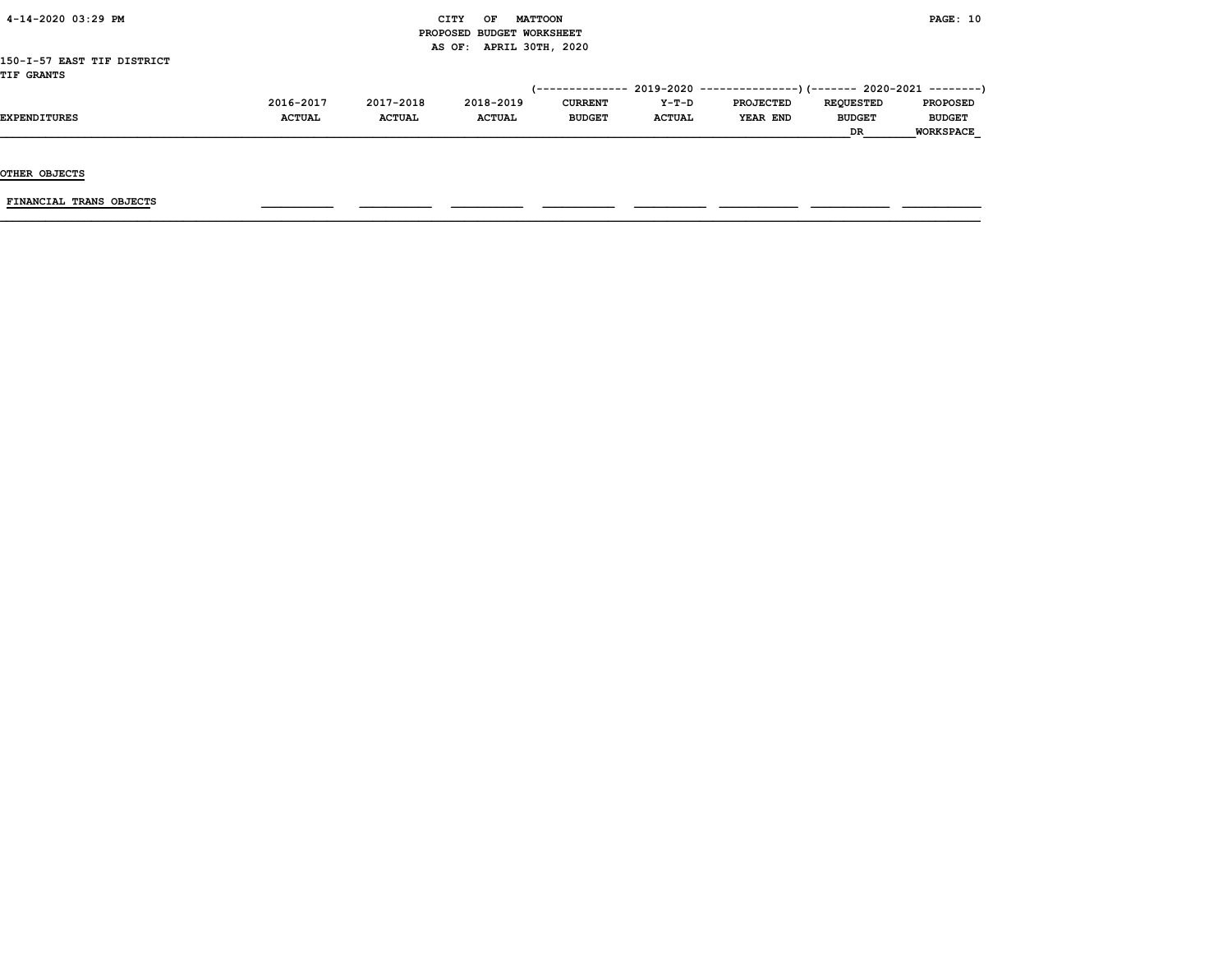| 4-14-2020 03:29 PM         |               |               | CITY<br>OF                | <b>MATTOON</b> |               |                                                                          |                  | PAGE: 10         |
|----------------------------|---------------|---------------|---------------------------|----------------|---------------|--------------------------------------------------------------------------|------------------|------------------|
|                            |               |               | PROPOSED BUDGET WORKSHEET |                |               |                                                                          |                  |                  |
|                            |               |               | AS OF: APRIL 30TH, 2020   |                |               |                                                                          |                  |                  |
| 150-I-57 EAST TIF DISTRICT |               |               |                           |                |               |                                                                          |                  |                  |
| <b>TIF GRANTS</b>          |               |               |                           |                |               |                                                                          |                  |                  |
|                            |               |               |                           |                |               | (-------------- 2019-2020 ----------------) (------- 2020-2021 --------) |                  |                  |
|                            | 2016-2017     | 2017-2018     | 2018-2019                 | <b>CURRENT</b> | Y-T-D         | <b>PROJECTED</b>                                                         | <b>REQUESTED</b> | <b>PROPOSED</b>  |
| <b>EXPENDITURES</b>        | <b>ACTUAL</b> | <b>ACTUAL</b> | <b>ACTUAL</b>             | <b>BUDGET</b>  | <b>ACTUAL</b> | YEAR END                                                                 | <b>BUDGET</b>    | <b>BUDGET</b>    |
|                            |               |               |                           |                |               |                                                                          | <b>DR</b>        | <b>WORKSPACE</b> |
|                            |               |               |                           |                |               |                                                                          |                  |                  |

OTHER OBJECTS

 $FINANCIAL$  TRANS OBJECTS  $\qquad \qquad \qquad \qquad$   $\qquad \qquad$   $\qquad \qquad$   $\qquad \qquad$   $\qquad \qquad$   $\qquad \qquad$   $\qquad \qquad$   $\qquad \qquad$   $\qquad \qquad$   $\qquad$   $\qquad \qquad$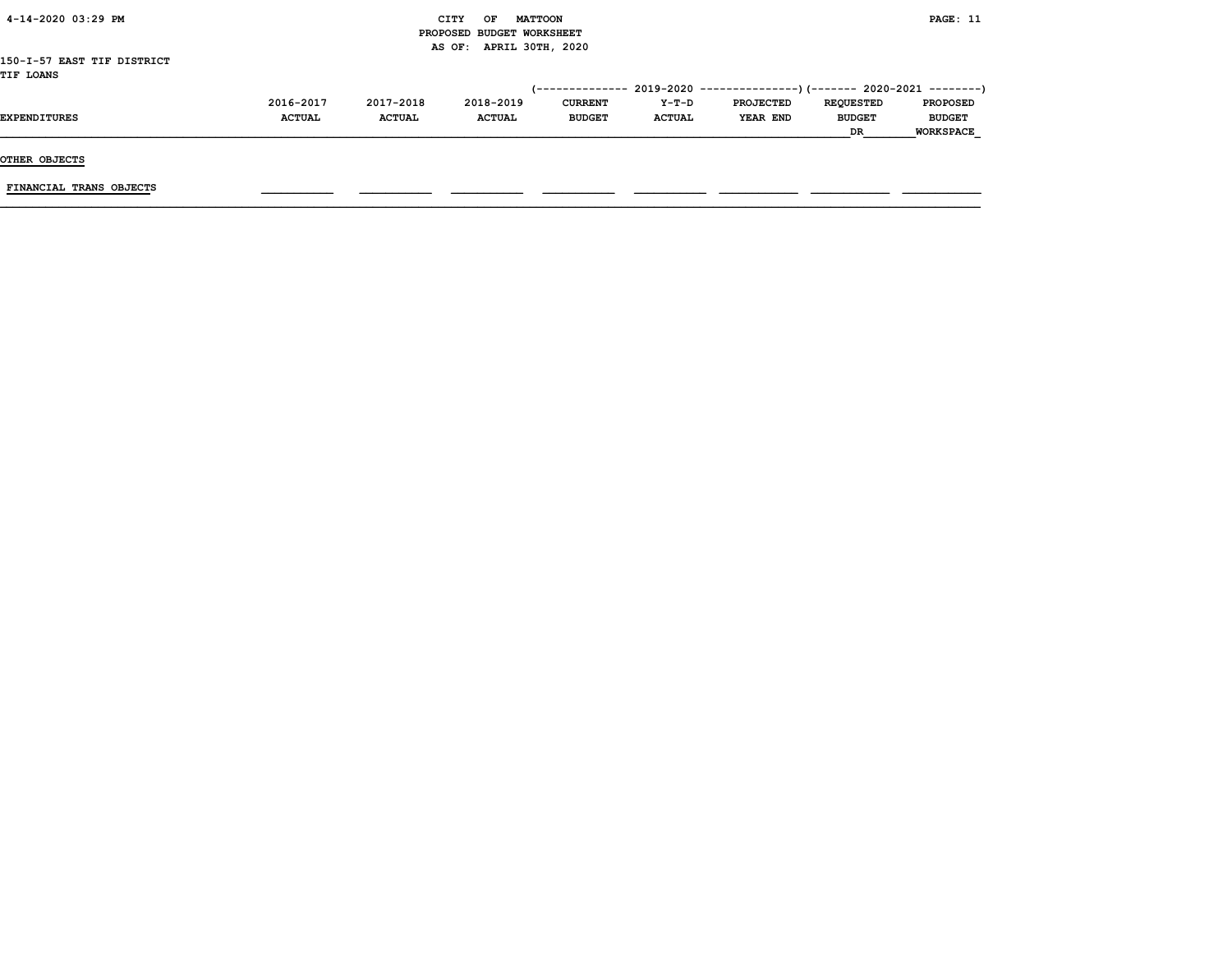| 4-14-2020 03:29 PM         |               |               | <b>CITY</b><br><b>MATTOON</b><br>OF |                 |               |                                                          |                  | PAGE: 11         |
|----------------------------|---------------|---------------|-------------------------------------|-----------------|---------------|----------------------------------------------------------|------------------|------------------|
|                            |               |               | PROPOSED BUDGET WORKSHEET           |                 |               |                                                          |                  |                  |
|                            |               |               | AS OF: APRIL 30TH, 2020             |                 |               |                                                          |                  |                  |
| 150-I-57 EAST TIF DISTRICT |               |               |                                     |                 |               |                                                          |                  |                  |
| <b>TIF LOANS</b>           |               |               |                                     |                 |               |                                                          |                  |                  |
|                            |               |               |                                     | (-------------- |               | 2019-2020 ----------------)(------- 2020-2021 ---------) |                  |                  |
|                            | 2016-2017     | 2017-2018     | 2018-2019                           | <b>CURRENT</b>  | Y-T-D         | <b>PROJECTED</b>                                         | <b>REOUESTED</b> | <b>PROPOSED</b>  |
| <b>EXPENDITURES</b>        | <b>ACTUAL</b> | <b>ACTUAL</b> | <b>ACTUAL</b>                       | <b>BUDGET</b>   | <b>ACTUAL</b> | YEAR END                                                 | <b>BUDGET</b>    | <b>BUDGET</b>    |
|                            |               |               |                                     |                 |               |                                                          | DR               | <b>WORKSPACE</b> |

FINANCIAL TRANS OBJECTS \_\_\_\_\_\_\_\_\_\_\_ \_\_\_\_\_\_\_\_\_\_\_ \_\_\_\_\_\_\_\_\_\_\_ \_\_\_\_\_\_\_\_\_\_\_ \_\_\_\_\_\_\_\_\_\_\_ \_\_\_\_\_\_\_\_\_\_\_\_ \_\_\_\_\_\_\_\_\_\_\_\_ \_\_\_\_\_\_\_\_\_\_\_\_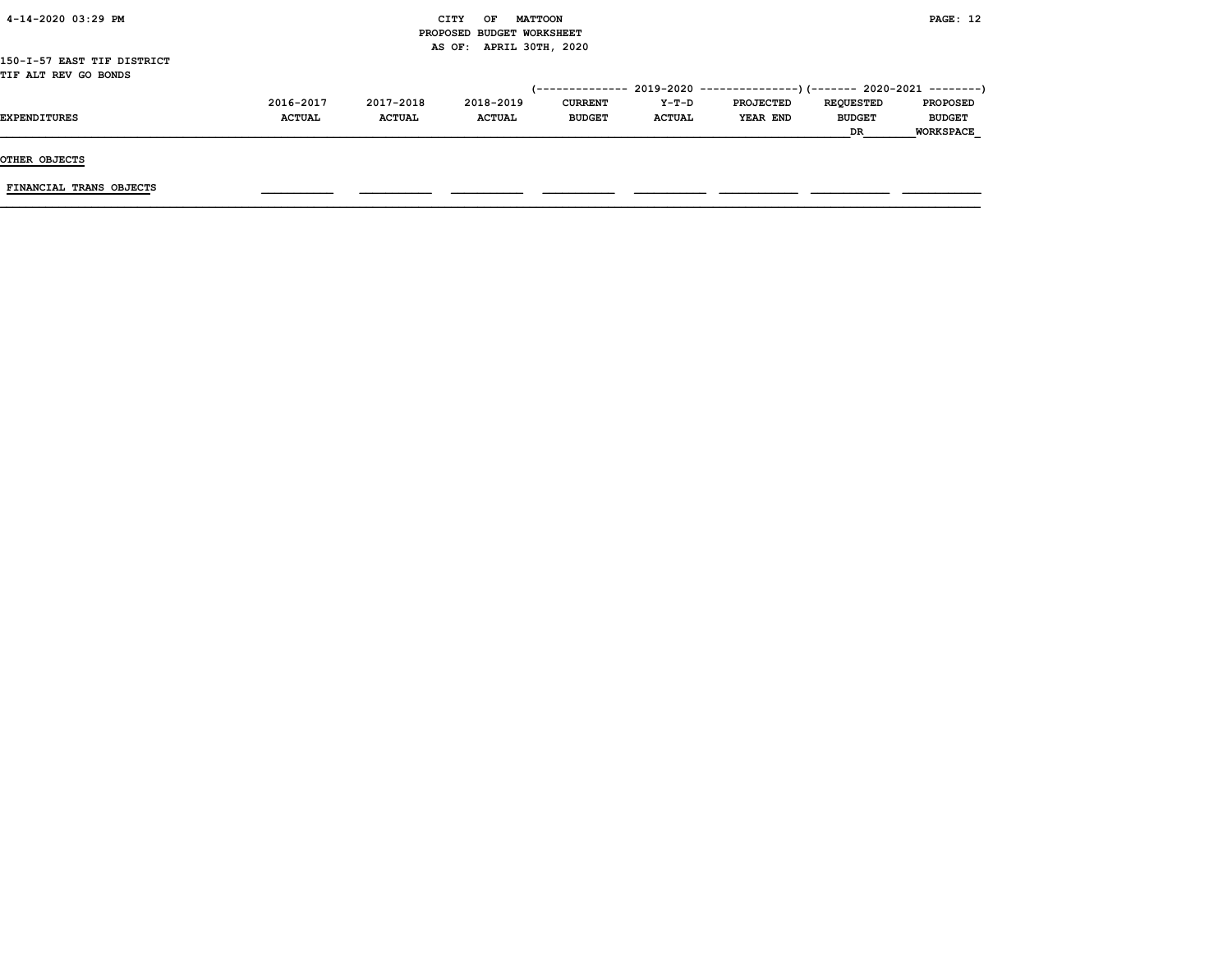| 4-14-2020 03:29 PM         |               |               | CITY<br>OF                | <b>MATTOON</b> |               |                                                                         |                  | <b>PAGE: 12</b>  |
|----------------------------|---------------|---------------|---------------------------|----------------|---------------|-------------------------------------------------------------------------|------------------|------------------|
|                            |               |               | PROPOSED BUDGET WORKSHEET |                |               |                                                                         |                  |                  |
|                            |               |               | AS OF: APRIL 30TH, 2020   |                |               |                                                                         |                  |                  |
| 150-I-57 EAST TIF DISTRICT |               |               |                           |                |               |                                                                         |                  |                  |
| TIF ALT REV GO BONDS       |               |               |                           |                |               |                                                                         |                  |                  |
|                            |               |               |                           |                |               | (-------------- 2019-2020 ----------------)(------- 2020-2021 --------) |                  |                  |
|                            | 2016-2017     | 2017-2018     | 2018-2019                 | <b>CURRENT</b> | Y-T-D         | <b>PROJECTED</b>                                                        | <b>REQUESTED</b> | <b>PROPOSED</b>  |
| <b>EXPENDITURES</b>        | <b>ACTUAL</b> | <b>ACTUAL</b> | <b>ACTUAL</b>             | <b>BUDGET</b>  | <b>ACTUAL</b> | YEAR END                                                                | <b>BUDGET</b>    | <b>BUDGET</b>    |
|                            |               |               |                           |                |               |                                                                         | <b>DR</b>        | <b>WORKSPACE</b> |

FINANCIAL TRANS OBJECTS \_\_\_\_\_\_\_\_\_\_\_ \_\_\_\_\_\_\_\_\_\_\_ \_\_\_\_\_\_\_\_\_\_\_ \_\_\_\_\_\_\_\_\_\_\_ \_\_\_\_\_\_\_\_\_\_\_ \_\_\_\_\_\_\_\_\_\_\_\_ \_\_\_\_\_\_\_\_\_\_\_\_ \_\_\_\_\_\_\_\_\_\_\_\_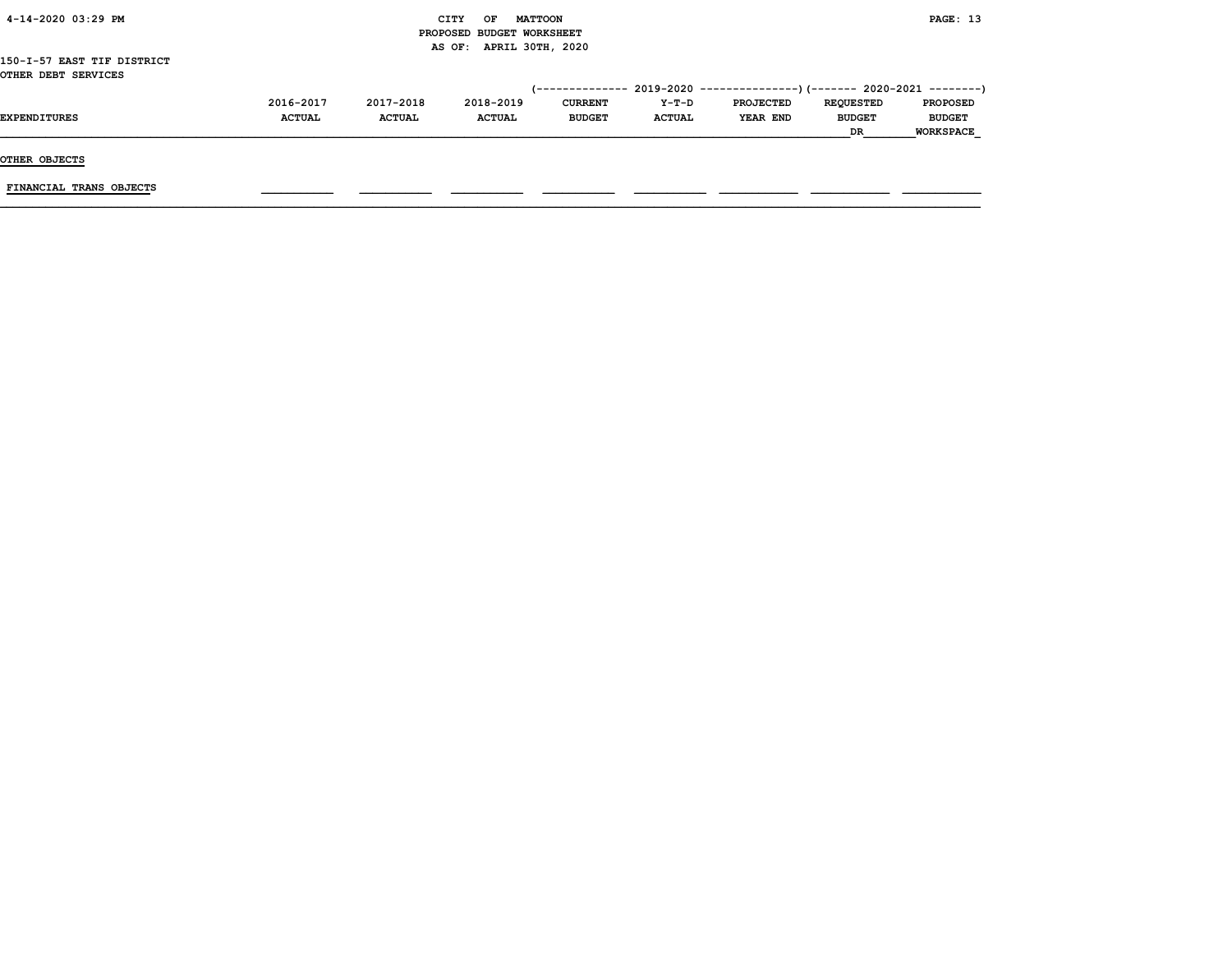| 4-14-2020 03:29 PM         |               |               | CITY<br>OF                | <b>MATTOON</b> |               |                                                                         |                  | PAGE: 13         |
|----------------------------|---------------|---------------|---------------------------|----------------|---------------|-------------------------------------------------------------------------|------------------|------------------|
|                            |               |               | PROPOSED BUDGET WORKSHEET |                |               |                                                                         |                  |                  |
|                            |               |               | AS OF: APRIL 30TH, 2020   |                |               |                                                                         |                  |                  |
| 150-I-57 EAST TIF DISTRICT |               |               |                           |                |               |                                                                         |                  |                  |
| OTHER DEBT SERVICES        |               |               |                           |                |               |                                                                         |                  |                  |
|                            |               |               |                           |                |               | (-------------- 2019-2020 ----------------)(------- 2020-2021 --------) |                  |                  |
|                            | 2016-2017     | 2017-2018     | 2018-2019                 | <b>CURRENT</b> | Y-T-D         | <b>PROJECTED</b>                                                        | <b>REQUESTED</b> | <b>PROPOSED</b>  |
| <b>EXPENDITURES</b>        | <b>ACTUAL</b> | <b>ACTUAL</b> | <b>ACTUAL</b>             | <b>BUDGET</b>  | <b>ACTUAL</b> | <b>YEAR END</b>                                                         | <b>BUDGET</b>    | <b>BUDGET</b>    |
|                            |               |               |                           |                |               |                                                                         | DR               | <b>WORKSPACE</b> |

FINANCIAL TRANS OBJECTS \_\_\_\_\_\_\_\_\_\_\_ \_\_\_\_\_\_\_\_\_\_\_ \_\_\_\_\_\_\_\_\_\_\_ \_\_\_\_\_\_\_\_\_\_\_ \_\_\_\_\_\_\_\_\_\_\_ \_\_\_\_\_\_\_\_\_\_\_\_ \_\_\_\_\_\_\_\_\_\_\_\_ \_\_\_\_\_\_\_\_\_\_\_\_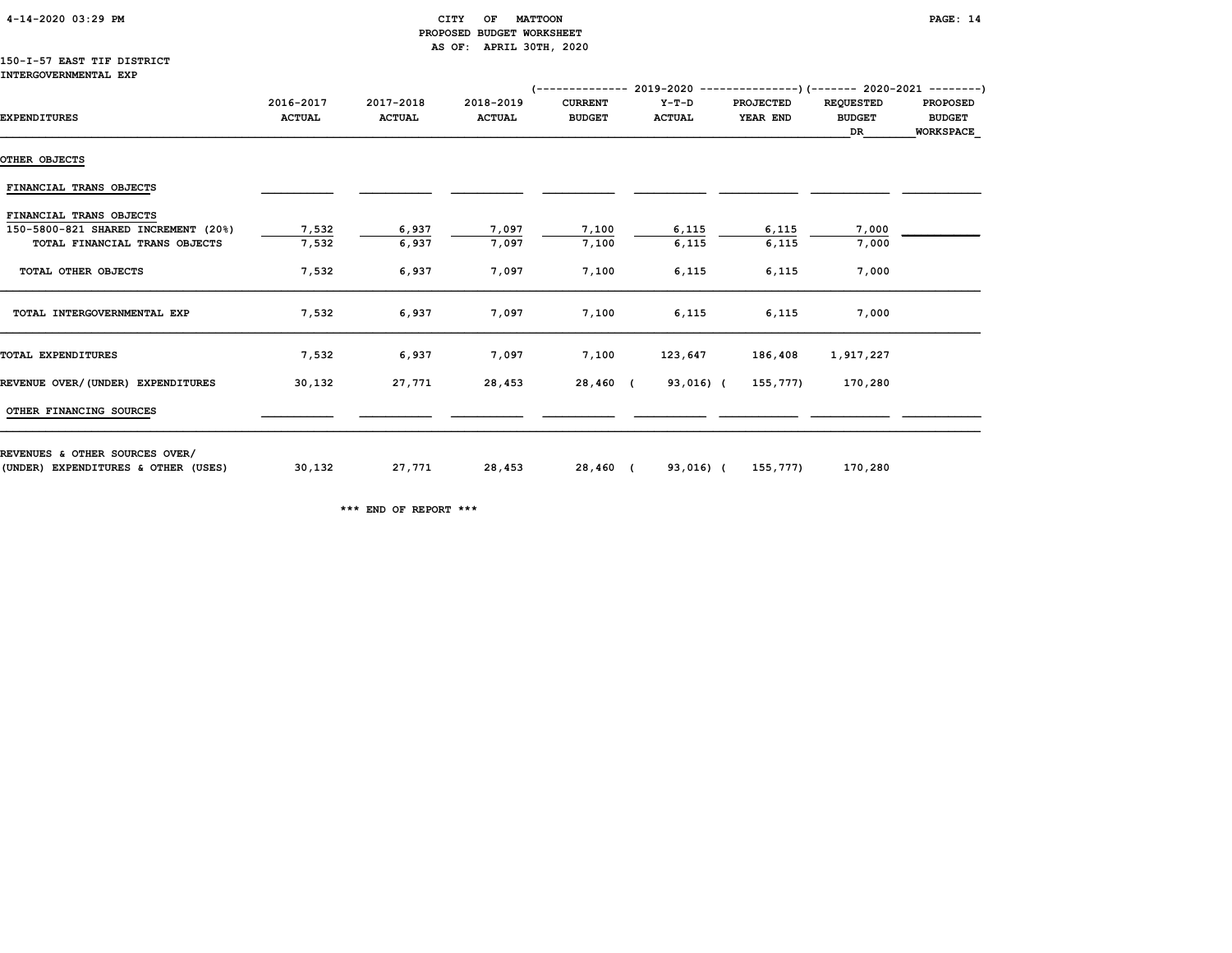# CITY OF MATTOON **PAGE:** 14 PROPOSED BUDGET WORKSHEET AS OF: APRIL 30TH, 2020

#### 150-I-57 EAST TIF DISTRICT INTERGOVERNMENTAL EXP

|                                     | (-------------- 2019-2020 ----------------) (------- 2020-2021 ---------) |                            |                            |                                 |                        |                              |                                         |                                                      |  |  |
|-------------------------------------|---------------------------------------------------------------------------|----------------------------|----------------------------|---------------------------------|------------------------|------------------------------|-----------------------------------------|------------------------------------------------------|--|--|
| <b>EXPENDITURES</b>                 | 2016-2017<br><b>ACTUAL</b>                                                | 2017-2018<br><b>ACTUAL</b> | 2018-2019<br><b>ACTUAL</b> | <b>CURRENT</b><br><b>BUDGET</b> | Y-T-D<br><b>ACTUAL</b> | <b>PROJECTED</b><br>YEAR END | <b>REQUESTED</b><br><b>BUDGET</b><br>DR | <b>PROPOSED</b><br><b>BUDGET</b><br><b>WORKSPACE</b> |  |  |
| OTHER OBJECTS                       |                                                                           |                            |                            |                                 |                        |                              |                                         |                                                      |  |  |
| FINANCIAL TRANS OBJECTS             |                                                                           |                            |                            |                                 |                        |                              |                                         |                                                      |  |  |
| FINANCIAL TRANS OBJECTS             |                                                                           |                            |                            |                                 |                        |                              |                                         |                                                      |  |  |
| 150-5800-821 SHARED INCREMENT (20%) | 7,532                                                                     | 6,937                      | 7,097                      | 7,100                           | 6,115                  | 6,115                        | 7,000                                   |                                                      |  |  |
| TOTAL FINANCIAL TRANS OBJECTS       | 7,532                                                                     | 6,937                      | 7,097                      | 7,100                           | 6,115                  | 6,115                        | 7,000                                   |                                                      |  |  |
| TOTAL OTHER OBJECTS                 | 7,532                                                                     | 6,937                      | 7,097                      | 7,100                           | 6,115                  | 6,115                        | 7,000                                   |                                                      |  |  |
| TOTAL INTERGOVERNMENTAL EXP         | 7,532                                                                     | 6,937                      | 7,097                      | 7,100                           | 6,115                  | 6,115                        | 7,000                                   |                                                      |  |  |
| TOTAL EXPENDITURES                  | 7,532                                                                     | 6,937                      | 7,097                      | 7,100                           | 123,647                | 186,408                      | 1,917,227                               |                                                      |  |  |
| REVENUE OVER/(UNDER) EXPENDITURES   | 30,132                                                                    | 27,771                     | 28,453                     | 28,460 (                        | 93,016) (              | 155,777)                     | 170,280                                 |                                                      |  |  |
| OTHER FINANCING SOURCES             |                                                                           |                            |                            |                                 |                        |                              |                                         |                                                      |  |  |
| REVENUES & OTHER SOURCES OVER/      |                                                                           |                            |                            |                                 |                        |                              |                                         |                                                      |  |  |
| (UNDER) EXPENDITURES & OTHER (USES) | 30,132                                                                    | 27,771                     | 28,453                     | 28,460 (                        |                        | 93,016) (155,777)            | 170,280                                 |                                                      |  |  |

\*\*\* END OF REPORT \*\*\*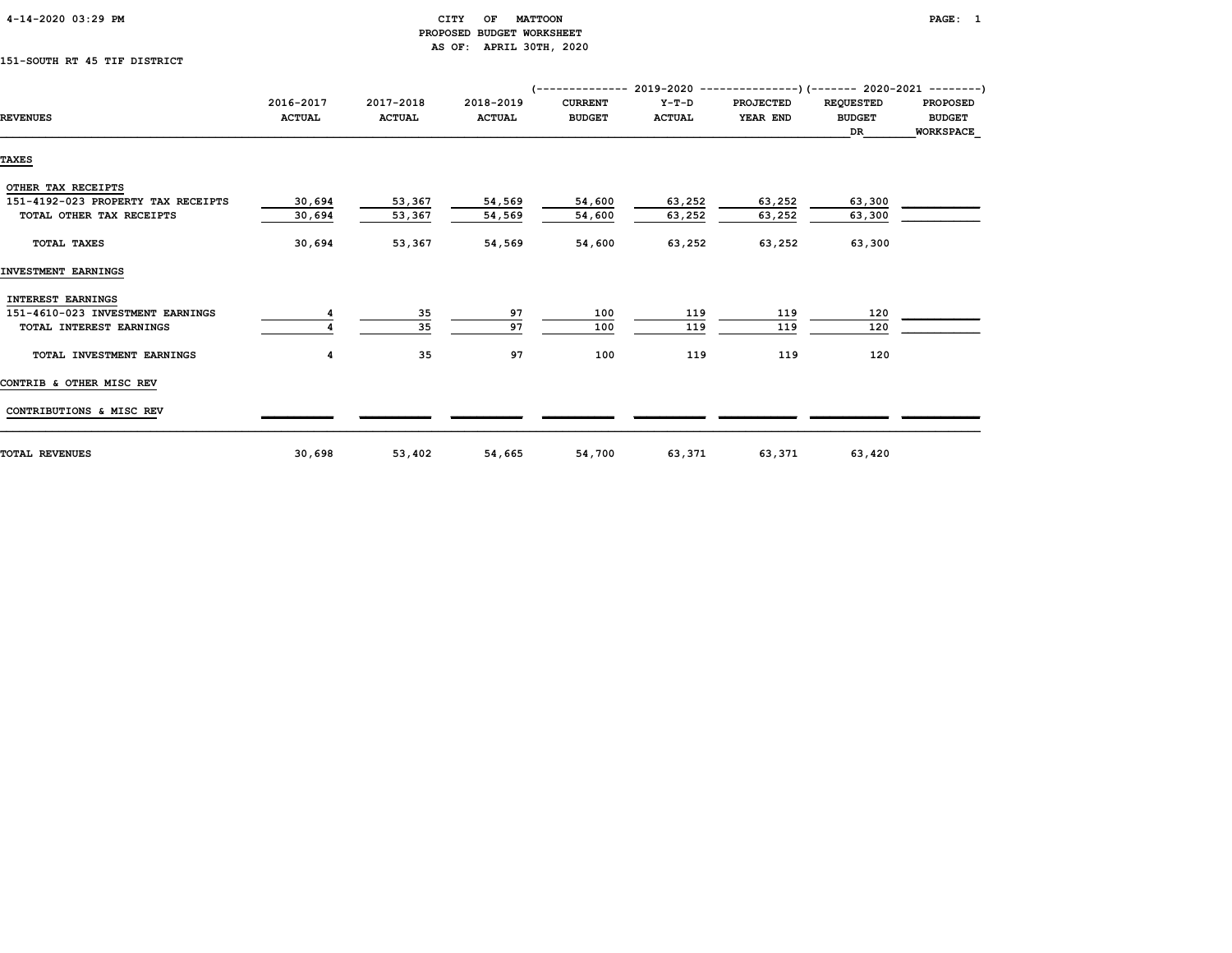| $4 - 14 - 2020$ 03:29 PM |  |
|--------------------------|--|
|                          |  |

## CITY OF MATTOON **PAGE:** 1 PROPOSED BUDGET WORKSHEET AS OF: APRIL 30TH, 2020

# 151-SOUTH RT 45 TIF DISTRICT

|                                    |               |               |               |                |               | $(---------- 2019-2020 ------------)$ $(---- 2020-2021 ------)$ |                  |                  |
|------------------------------------|---------------|---------------|---------------|----------------|---------------|-----------------------------------------------------------------|------------------|------------------|
|                                    | 2016-2017     | 2017-2018     | 2018-2019     | <b>CURRENT</b> | $Y-T-D$       | <b>PROJECTED</b>                                                | <b>REQUESTED</b> | <b>PROPOSED</b>  |
| <b>REVENUES</b>                    | <b>ACTUAL</b> | <b>ACTUAL</b> | <b>ACTUAL</b> | <b>BUDGET</b>  | <b>ACTUAL</b> | YEAR END                                                        | <b>BUDGET</b>    | <b>BUDGET</b>    |
|                                    |               |               |               |                |               |                                                                 | DR               | <b>WORKSPACE</b> |
| <b>TAXES</b>                       |               |               |               |                |               |                                                                 |                  |                  |
|                                    |               |               |               |                |               |                                                                 |                  |                  |
| OTHER TAX RECEIPTS                 |               |               |               |                |               |                                                                 |                  |                  |
| 151-4192-023 PROPERTY TAX RECEIPTS | 30,694        | 53,367        | 54,569        | 54,600         | 63,252        | 63,252                                                          | 63,300           |                  |
| TOTAL OTHER TAX RECEIPTS           | 30,694        | 53,367        | 54,569        | 54,600         | 63,252        | 63,252                                                          | 63,300           |                  |
| TOTAL TAXES                        | 30,694        | 53,367        | 54,569        | 54,600         | 63,252        | 63,252                                                          | 63,300           |                  |
| INVESTMENT EARNINGS                |               |               |               |                |               |                                                                 |                  |                  |
| INTEREST EARNINGS                  |               |               |               |                |               |                                                                 |                  |                  |
| 151-4610-023 INVESTMENT EARNINGS   |               | 35            | 97            | 100            | 119           | 119                                                             | 120              |                  |
| TOTAL INTEREST EARNINGS            |               | 35            | 97            | 100            | 119           | 119                                                             | 120              |                  |
| TOTAL INVESTMENT EARNINGS          | 4             | 35            | 97            | 100            | 119           | 119                                                             | 120              |                  |
| CONTRIB & OTHER MISC REV           |               |               |               |                |               |                                                                 |                  |                  |
| CONTRIBUTIONS & MISC REV           |               |               |               |                |               |                                                                 |                  |                  |
| <b>TOTAL REVENUES</b>              | 30,698        | 53,402        | 54,665        | 54,700         | 63,371        | 63,371                                                          | 63,420           |                  |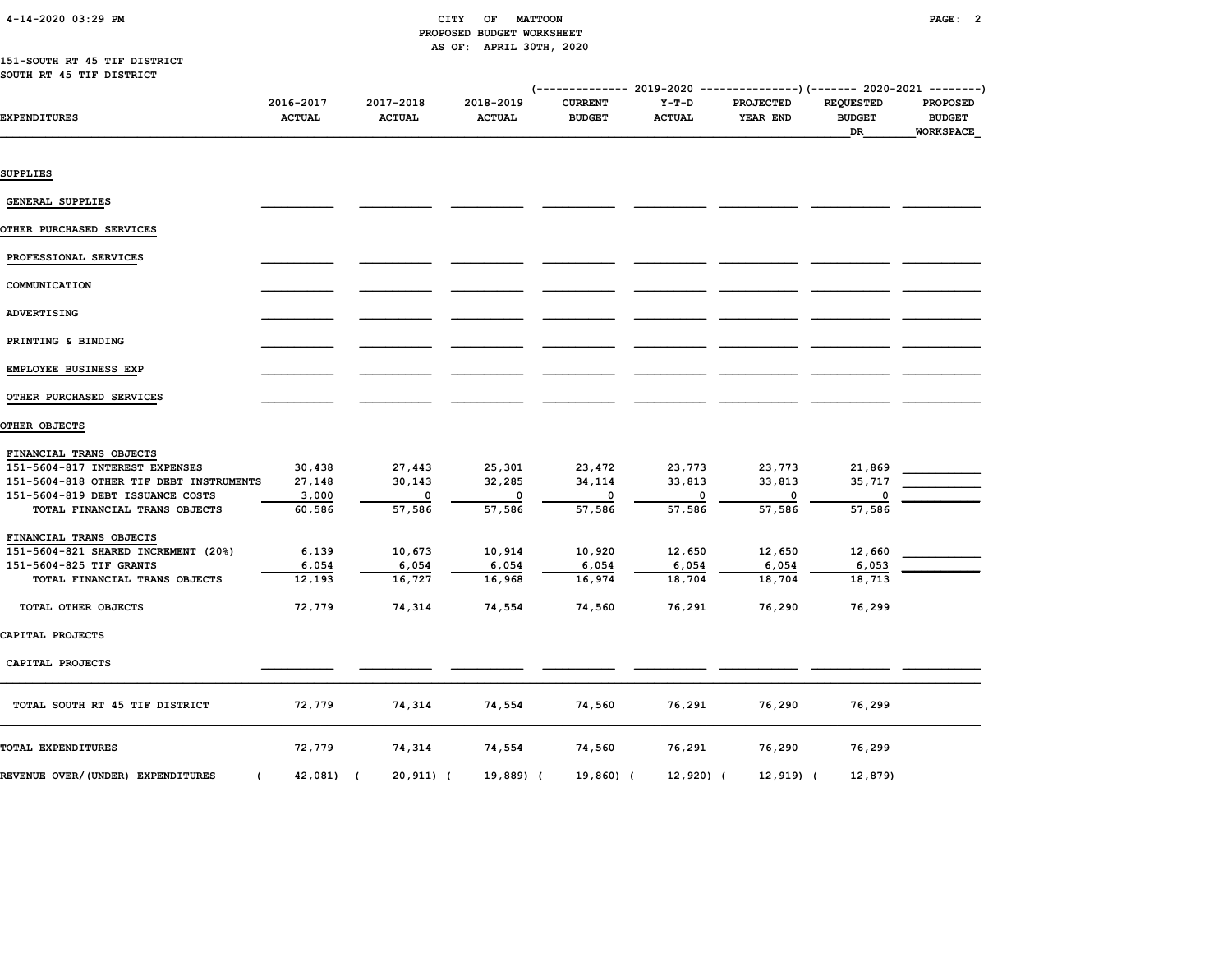# PROPOSED BUDGET WORKSHEET AS OF: APRIL 30TH, 2020

#### 151-SOUTH RT 45 TIF DISTRICT SOUTH RT 45 TIF DISTRICT

|                                                 |                            |                            |                            | ----------- 2019-2020           |                          |                       | ---------------) (------- 2020-2021 --------) |                           |
|-------------------------------------------------|----------------------------|----------------------------|----------------------------|---------------------------------|--------------------------|-----------------------|-----------------------------------------------|---------------------------|
| EXPENDITURES                                    | 2016-2017<br><b>ACTUAL</b> | 2017-2018<br><b>ACTUAL</b> | 2018-2019<br><b>ACTUAL</b> | <b>CURRENT</b><br><b>BUDGET</b> | $Y-T-D$<br><b>ACTUAL</b> | PROJECTED<br>YEAR END | <b>REQUESTED</b><br><b>BUDGET</b>             | PROPOSED<br><b>BUDGET</b> |
|                                                 |                            |                            |                            |                                 |                          |                       | DR                                            | WORKSPACE                 |
|                                                 |                            |                            |                            |                                 |                          |                       |                                               |                           |
| SUPPLIES                                        |                            |                            |                            |                                 |                          |                       |                                               |                           |
| GENERAL SUPPLIES                                |                            |                            |                            |                                 |                          |                       |                                               |                           |
| OTHER PURCHASED SERVICES                        |                            |                            |                            |                                 |                          |                       |                                               |                           |
| PROFESSIONAL SERVICES                           |                            |                            |                            |                                 |                          |                       |                                               |                           |
| COMMUNICATION                                   |                            |                            |                            |                                 |                          |                       |                                               |                           |
| ADVERTISING                                     |                            |                            |                            |                                 |                          |                       |                                               |                           |
| PRINTING & BINDING                              |                            |                            |                            |                                 |                          |                       |                                               |                           |
| EMPLOYEE BUSINESS EXP                           |                            |                            |                            |                                 |                          |                       |                                               |                           |
| OTHER PURCHASED SERVICES                        |                            |                            |                            |                                 |                          |                       |                                               |                           |
| OTHER OBJECTS                                   |                            |                            |                            |                                 |                          |                       |                                               |                           |
| FINANCIAL TRANS OBJECTS                         |                            |                            |                            |                                 |                          |                       |                                               |                           |
| 151-5604-817 INTEREST EXPENSES                  | 30,438                     | 27,443                     | 25,301                     | 23,472                          | 23,773                   | 23,773                | 21,869                                        |                           |
| 151-5604-818 OTHER TIF DEBT INSTRUMENTS         | 27,148                     | 30,143                     | 32,285                     | 34,114                          | 33,813                   | 33,813                | 35,717                                        |                           |
| 151-5604-819 DEBT ISSUANCE COSTS                | 3,000                      | 0                          | 0                          | 0                               | 0                        | 0                     |                                               |                           |
| TOTAL FINANCIAL TRANS OBJECTS                   | 60,586                     | 57,586                     | 57,586                     | 57,586                          | 57,586                   | 57,586                | 57,586                                        |                           |
| FINANCIAL TRANS OBJECTS                         |                            |                            |                            |                                 |                          |                       |                                               |                           |
| 151-5604-821 SHARED INCREMENT (20%)             | 6,139                      | 10,673                     | 10,914                     | 10,920                          | 12,650                   | 12,650                | 12,660                                        |                           |
| 151-5604-825 TIF GRANTS                         | 6,054                      | 6,054                      | 6,054                      | 6,054                           | 6,054                    | 6,054                 | 6,053                                         |                           |
| TOTAL FINANCIAL TRANS OBJECTS                   | 12,193                     | 16,727                     | 16,968                     | 16,974                          | 18,704                   | 18,704                | 18,713                                        |                           |
| TOTAL OTHER OBJECTS                             | 72,779                     | 74,314                     | 74,554                     | 74,560                          | 76,291                   | 76,290                | 76,299                                        |                           |
| CAPITAL PROJECTS                                |                            |                            |                            |                                 |                          |                       |                                               |                           |
| CAPITAL PROJECTS                                |                            |                            |                            |                                 |                          |                       |                                               |                           |
| TOTAL SOUTH RT 45 TIF DISTRICT                  | 72,779                     | 74,314                     | 74,554                     | 74,560                          | 76,291                   | 76,290                | 76,299                                        |                           |
| TOTAL EXPENDITURES                              | 72,779                     | 74,314                     | 74,554                     | 74,560                          | 76,291                   | 76,290                | 76,299                                        |                           |
| REVENUE OVER/(UNDER) EXPENDITURES<br>$\epsilon$ | 42,081) (                  | 20,911) (                  | 19,889) (                  | 19,860) (                       | $12,920$ (               | $12, 919$ (           | 12,879)                                       |                           |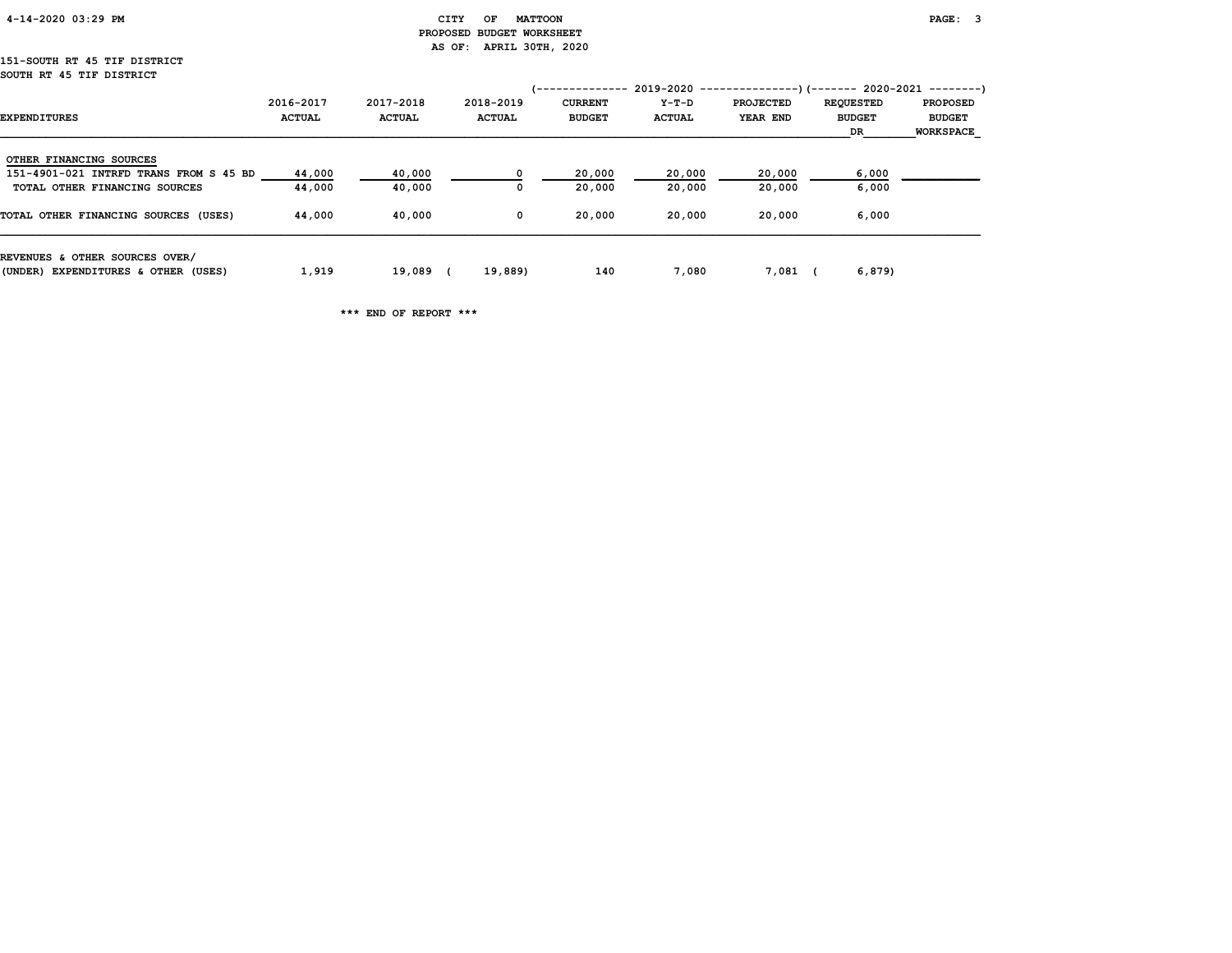| 4-14-2020 03:29 PM |  |
|--------------------|--|
|                    |  |

#### CITY OF MATTOON **PAGE: 3**  PROPOSED BUDGET WORKSHEET AS OF: APRIL 30TH, 2020

#### 151-SOUTH RT 45 TIF DISTRICT SOUTH RT 45 TIF DISTRICT

|                                        |               |               |               | /-------------- |               | $2019-2020$ ----------------)(------- 2020-2021 --------) |                  |                  |
|----------------------------------------|---------------|---------------|---------------|-----------------|---------------|-----------------------------------------------------------|------------------|------------------|
|                                        | 2016-2017     | 2017-2018     | 2018-2019     | <b>CURRENT</b>  | Y-T-D         | <b>PROJECTED</b>                                          | <b>REQUESTED</b> | <b>PROPOSED</b>  |
| <b>EXPENDITURES</b>                    | <b>ACTUAL</b> | <b>ACTUAL</b> | <b>ACTUAL</b> | <b>BUDGET</b>   | <b>ACTUAL</b> | YEAR END                                                  | <b>BUDGET</b>    | <b>BUDGET</b>    |
|                                        |               |               |               |                 |               |                                                           | DR               | <b>WORKSPACE</b> |
| OTHER FINANCING SOURCES                |               |               |               |                 |               |                                                           |                  |                  |
| 151-4901-021 INTRFD TRANS FROM S 45 BD | 44,000        | 40,000        |               | 20,000          | 20,000        | 20,000                                                    | 6,000            |                  |
| TOTAL OTHER FINANCING SOURCES          | 44,000        | 40,000        |               | 20,000          | 20,000        | 20,000                                                    | 6,000            |                  |
| TOTAL OTHER FINANCING SOURCES (USES)   | 44,000        | 40,000        | $^{\circ}$    | 20,000          | 20,000        | 20,000                                                    | 6,000            |                  |
| REVENUES & OTHER SOURCES OVER/         |               |               |               |                 |               |                                                           |                  |                  |
| (UNDER) EXPENDITURES & OTHER (USES)    | 1,919         | 19,089        | 19,889)       | 140             | 7,080         | 7,081                                                     | 6,879)           |                  |

\*\*\* END OF REPORT \*\*\*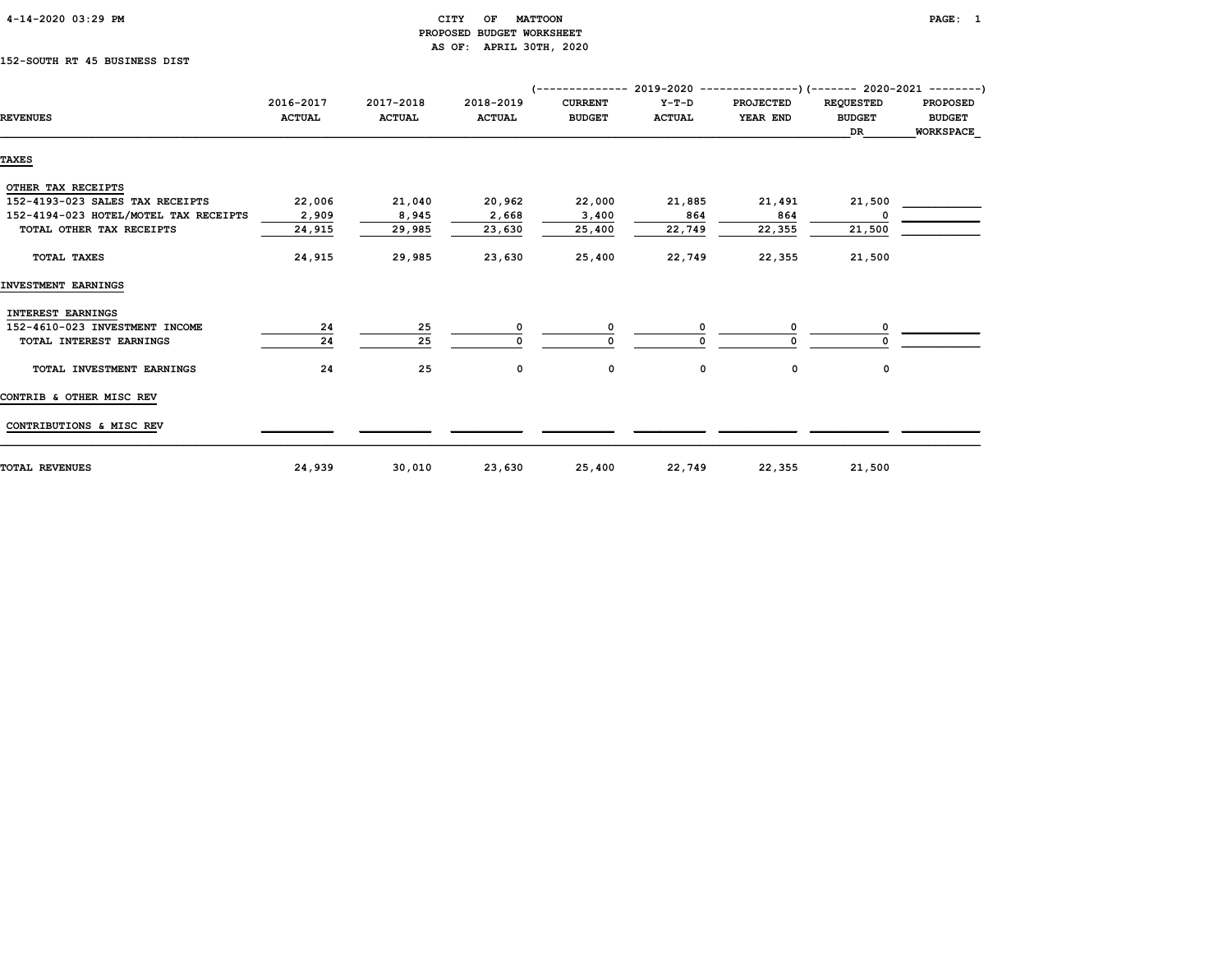| 4-14-2020 03:29 PM |  |
|--------------------|--|
|                    |  |

#### CITY OF MATTOON PAGE: 1 PROPOSED BUDGET WORKSHEET AS OF: APRIL 30TH, 2020

### 152-SOUTH RT 45 BUSINESS DIST

|                                       |                            |                            |                            | (-------------- 2019-2020 ----------------) (------- 2020-2021 --------) |                          |                              |                                         |                                               |
|---------------------------------------|----------------------------|----------------------------|----------------------------|--------------------------------------------------------------------------|--------------------------|------------------------------|-----------------------------------------|-----------------------------------------------|
| <b>REVENUES</b>                       | 2016-2017<br><b>ACTUAL</b> | 2017-2018<br><b>ACTUAL</b> | 2018-2019<br><b>ACTUAL</b> | <b>CURRENT</b><br><b>BUDGET</b>                                          | $Y-T-D$<br><b>ACTUAL</b> | <b>PROJECTED</b><br>YEAR END | <b>REQUESTED</b><br><b>BUDGET</b><br>DR | <b>PROPOSED</b><br><b>BUDGET</b><br>WORKSPACE |
|                                       |                            |                            |                            |                                                                          |                          |                              |                                         |                                               |
| <b>TAXES</b>                          |                            |                            |                            |                                                                          |                          |                              |                                         |                                               |
| OTHER TAX RECEIPTS                    |                            |                            |                            |                                                                          |                          |                              |                                         |                                               |
| 152-4193-023 SALES TAX RECEIPTS       | 22,006                     | 21,040                     | 20,962                     | 22,000                                                                   | 21,885                   | 21,491                       | 21,500                                  |                                               |
| 152-4194-023 HOTEL/MOTEL TAX RECEIPTS | 2,909                      | 8,945                      | 2,668                      | 3,400                                                                    | 864                      | 864                          |                                         |                                               |
| TOTAL OTHER TAX RECEIPTS              | 24,915                     | 29,985                     | 23,630                     | 25,400                                                                   | 22,749                   | 22,355                       | 21,500                                  |                                               |
| TOTAL TAXES                           | 24,915                     | 29,985                     | 23,630                     | 25,400                                                                   | 22,749                   | 22,355                       | 21,500                                  |                                               |
| INVESTMENT EARNINGS                   |                            |                            |                            |                                                                          |                          |                              |                                         |                                               |
| <b>INTEREST EARNINGS</b>              |                            |                            |                            |                                                                          |                          |                              |                                         |                                               |
| 152-4610-023 INVESTMENT INCOME        | 24                         | 25                         | 0                          | 0                                                                        | 0                        | O                            |                                         |                                               |
| TOTAL INTEREST EARNINGS               | 24                         | 25                         |                            |                                                                          |                          |                              |                                         |                                               |
| TOTAL INVESTMENT EARNINGS             | 24                         | 25                         | 0                          | 0                                                                        | 0                        | 0                            | 0                                       |                                               |
| CONTRIB & OTHER MISC REV              |                            |                            |                            |                                                                          |                          |                              |                                         |                                               |
| CONTRIBUTIONS & MISC REV              |                            |                            |                            |                                                                          |                          |                              |                                         |                                               |
| <b>TOTAL REVENUES</b>                 | 24,939                     | 30,010                     | 23,630                     | 25,400                                                                   | 22,749                   | 22,355                       | 21,500                                  |                                               |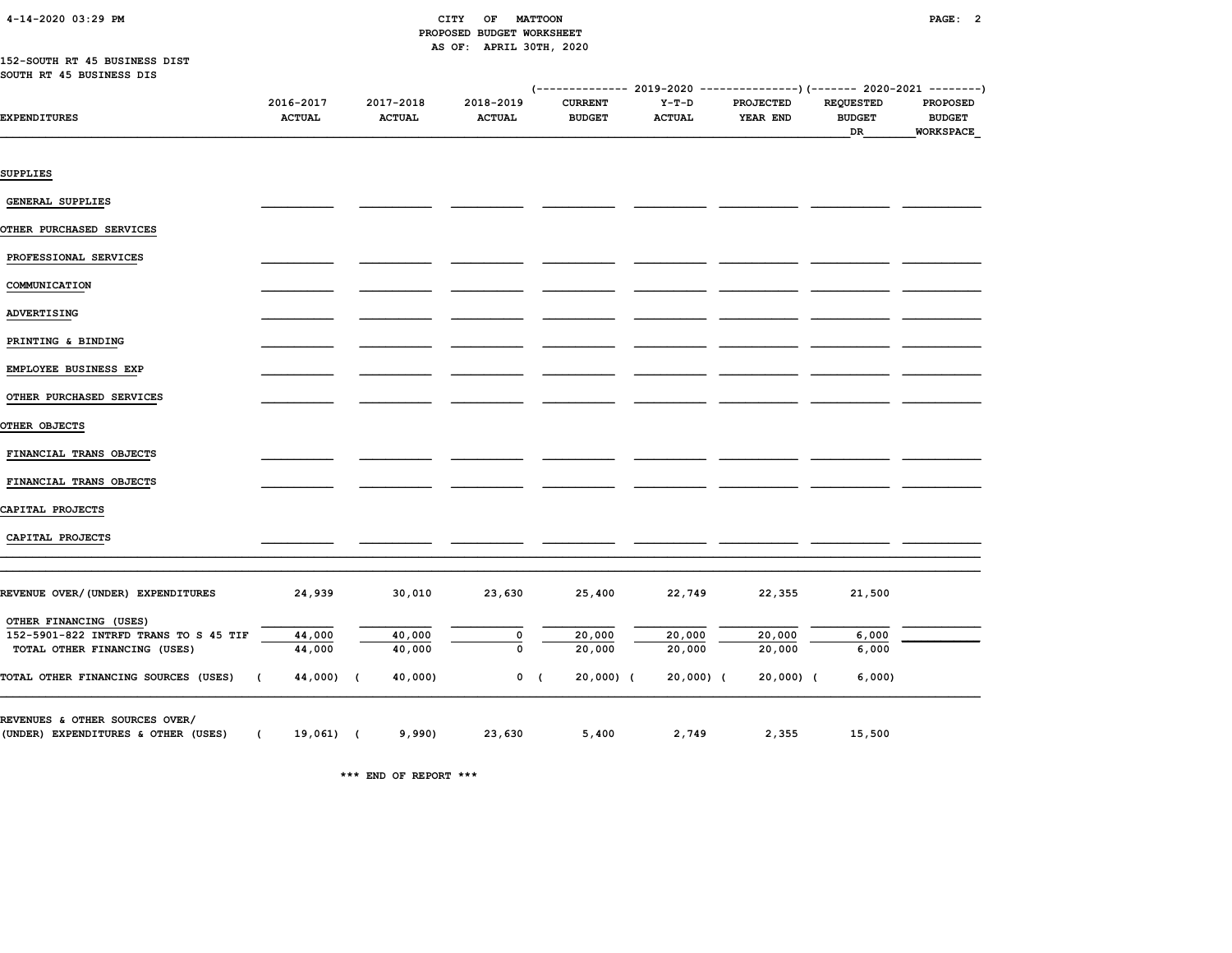| 4-14-2020 03:29 PM |  |
|--------------------|--|
|                    |  |

#### CITY OF MATTOON **PAGE: 2**  PROPOSED BUDGET WORKSHEET AS OF: APRIL 30TH, 2020

#### 152-SOUTH RT 45 BUSINESS DIST SOUTH RT 45 BUSINESS DIS

|                                                                       |                            |                            |                            |                                 | (-------------- 2019-2020 ----------------) (------- 2020-2021 --------) |                              |                                         |                                               |
|-----------------------------------------------------------------------|----------------------------|----------------------------|----------------------------|---------------------------------|--------------------------------------------------------------------------|------------------------------|-----------------------------------------|-----------------------------------------------|
| <b>EXPENDITURES</b>                                                   | 2016-2017<br><b>ACTUAL</b> | 2017-2018<br><b>ACTUAL</b> | 2018-2019<br><b>ACTUAL</b> | <b>CURRENT</b><br><b>BUDGET</b> | $Y-T-D$<br><b>ACTUAL</b>                                                 | <b>PROJECTED</b><br>YEAR END | <b>REQUESTED</b><br><b>BUDGET</b><br>DR | <b>PROPOSED</b><br><b>BUDGET</b><br>WORKSPACE |
| SUPPLIES                                                              |                            |                            |                            |                                 |                                                                          |                              |                                         |                                               |
| <b>GENERAL SUPPLIES</b>                                               |                            |                            |                            |                                 |                                                                          |                              |                                         |                                               |
| OTHER PURCHASED SERVICES                                              |                            |                            |                            |                                 |                                                                          |                              |                                         |                                               |
| PROFESSIONAL SERVICES                                                 |                            |                            |                            |                                 |                                                                          |                              |                                         |                                               |
| COMMUNICATION                                                         |                            |                            |                            |                                 |                                                                          |                              |                                         |                                               |
| ADVERTISING                                                           |                            |                            |                            |                                 |                                                                          |                              |                                         |                                               |
| PRINTING & BINDING                                                    |                            |                            |                            |                                 |                                                                          |                              |                                         |                                               |
| EMPLOYEE BUSINESS EXP                                                 |                            |                            |                            |                                 |                                                                          |                              |                                         |                                               |
| OTHER PURCHASED SERVICES                                              |                            |                            |                            |                                 |                                                                          |                              |                                         |                                               |
| OTHER OBJECTS                                                         |                            |                            |                            |                                 |                                                                          |                              |                                         |                                               |
| FINANCIAL TRANS OBJECTS                                               |                            |                            |                            |                                 |                                                                          |                              |                                         |                                               |
| FINANCIAL TRANS OBJECTS                                               |                            |                            |                            |                                 |                                                                          |                              |                                         |                                               |
| CAPITAL PROJECTS                                                      |                            |                            |                            |                                 |                                                                          |                              |                                         |                                               |
| CAPITAL PROJECTS                                                      |                            |                            |                            |                                 |                                                                          |                              |                                         |                                               |
| REVENUE OVER/(UNDER) EXPENDITURES                                     | 24,939                     | 30,010                     | 23,630                     | 25,400                          | 22,749                                                                   | 22,355                       | 21,500                                  |                                               |
| OTHER FINANCING (USES)                                                |                            |                            |                            |                                 |                                                                          |                              |                                         |                                               |
| 152-5901-822 INTRFD TRANS TO S 45 TIF                                 | 44,000                     | 40,000                     | 0                          | 20,000                          | 20,000                                                                   | 20,000                       | 6,000                                   |                                               |
| TOTAL OTHER FINANCING (USES)                                          | 44,000                     | 40,000                     | $\mathbf 0$                | 20,000                          | 20,000                                                                   | 20,000                       | 6,000                                   |                                               |
| TOTAL OTHER FINANCING SOURCES (USES)                                  | $\left($<br>44,000) (      | 40,000)                    |                            | $0$ (<br>$20,000$ ) (           | $20,000)$ (                                                              | 20,000) (                    | 6,000                                   |                                               |
| REVENUES & OTHER SOURCES OVER/<br>(UNDER) EXPENDITURES & OTHER (USES) | $\sqrt{2}$<br>19,061) (    | 9,990)                     | 23,630                     | 5,400                           | 2,749                                                                    | 2,355                        | 15,500                                  |                                               |

\*\*\* END OF REPORT \*\*\*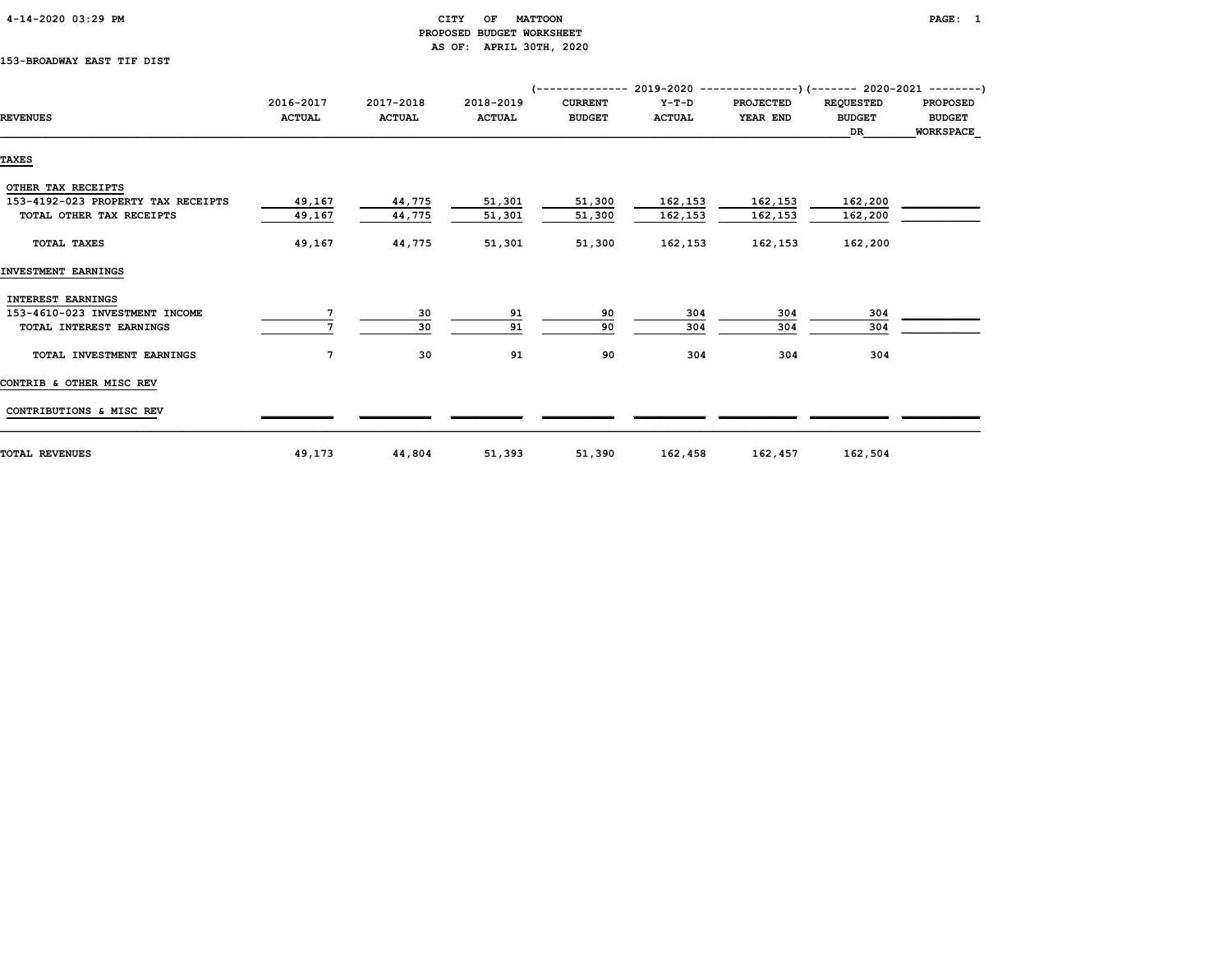| $4 - 14 - 2020$ 03:29 PM |
|--------------------------|
|--------------------------|

#### CITY OF MATTOON **PAGE:** 1 PROPOSED BUDGET WORKSHEET AS OF: APRIL 30TH, 2020

#### 153-BROADWAY EAST TIF DIST

|                                    |               |               |               | (-------------- 2019-2020 ----------------) (------- 2020-2021 ---------) |               |           |                  |                  |
|------------------------------------|---------------|---------------|---------------|---------------------------------------------------------------------------|---------------|-----------|------------------|------------------|
|                                    | 2016-2017     | 2017-2018     | 2018-2019     | <b>CURRENT</b>                                                            | Y-T-D         | PROJECTED | <b>REQUESTED</b> | <b>PROPOSED</b>  |
| <b>REVENUES</b>                    | <b>ACTUAL</b> | <b>ACTUAL</b> | <b>ACTUAL</b> | <b>BUDGET</b>                                                             | <b>ACTUAL</b> | YEAR END  | <b>BUDGET</b>    | <b>BUDGET</b>    |
|                                    |               |               |               |                                                                           |               |           | DR               | <b>WORKSPACE</b> |
| <b>TAXES</b>                       |               |               |               |                                                                           |               |           |                  |                  |
|                                    |               |               |               |                                                                           |               |           |                  |                  |
| OTHER TAX RECEIPTS                 |               |               |               |                                                                           |               |           |                  |                  |
| 153-4192-023 PROPERTY TAX RECEIPTS | 49,167        | 44,775        | 51,301        | 51,300                                                                    | 162,153       | 162,153   | 162,200          |                  |
| TOTAL OTHER TAX RECEIPTS           | 49,167        | 44,775        | 51,301        | 51,300                                                                    | 162,153       | 162,153   | 162,200          |                  |
| <b>TOTAL TAXES</b>                 | 49,167        | 44,775        | 51,301        | 51,300                                                                    | 162,153       | 162,153   | 162,200          |                  |
| INVESTMENT EARNINGS                |               |               |               |                                                                           |               |           |                  |                  |
| INTEREST EARNINGS                  |               |               |               |                                                                           |               |           |                  |                  |
| 153-4610-023 INVESTMENT INCOME     |               | 30            | 91            | 90                                                                        | 304           | 304       | 304              |                  |
| TOTAL INTEREST EARNINGS            |               | 30            | 91            | 90                                                                        | 304           | 304       | 304              |                  |
| TOTAL INVESTMENT EARNINGS          | 7             | 30            | 91            | 90                                                                        | 304           | 304       | 304              |                  |
| CONTRIB & OTHER MISC REV           |               |               |               |                                                                           |               |           |                  |                  |
| CONTRIBUTIONS & MISC REV           |               |               |               |                                                                           |               |           |                  |                  |
| <b>TOTAL REVENUES</b>              | 49,173        | 44,804        | 51,393        | 51,390                                                                    | 162,458       | 162,457   | 162,504          |                  |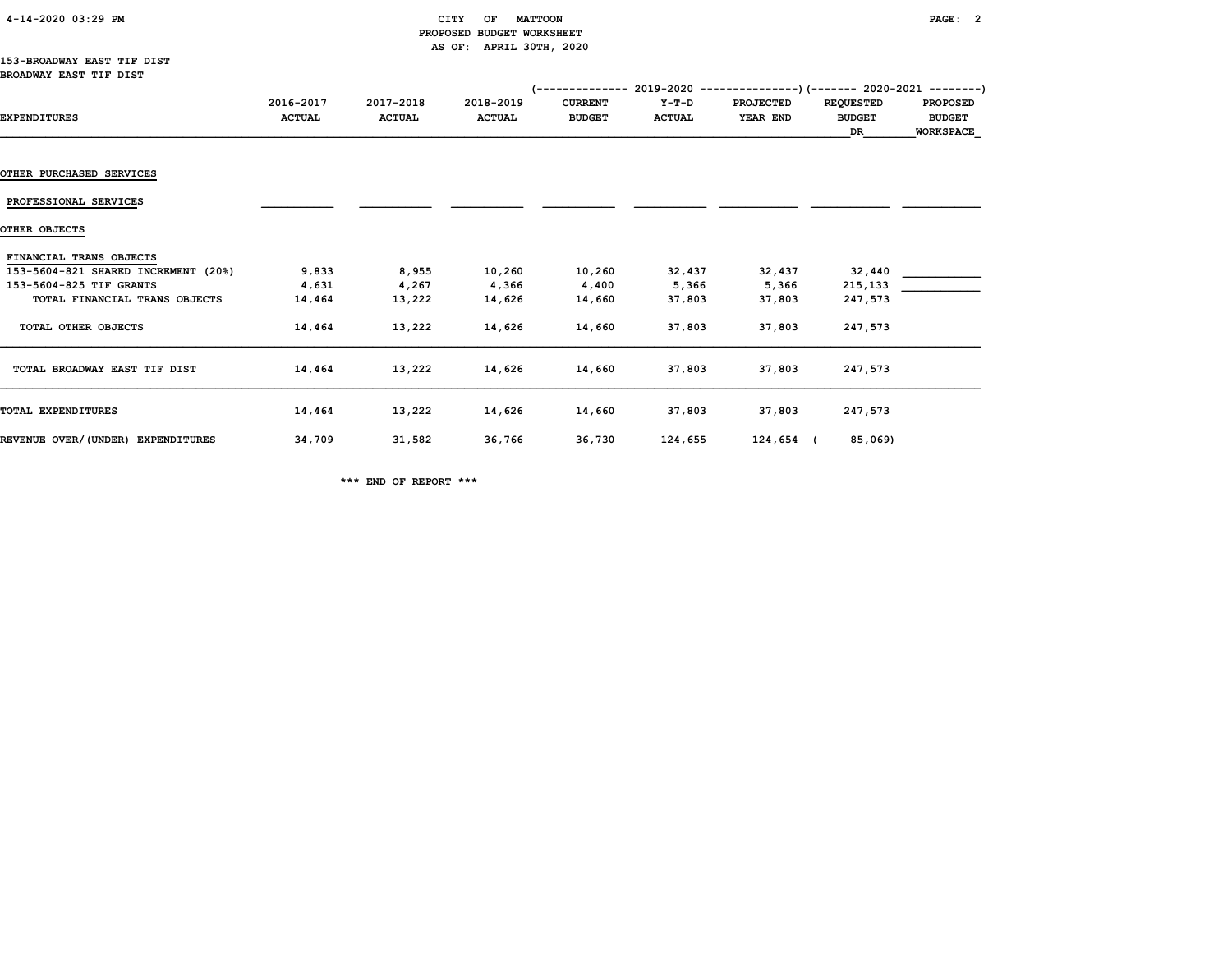| $4 - 14 - 2020$ 03:29 PM |
|--------------------------|
|--------------------------|

#### $CITY$  OF MATTOON PAGE: 2 PROPOSED BUDGET WORKSHEET AS OF: APRIL 30TH, 2020

#### 153-BROADWAY EAST TIF DIST BROADWAY EAST TIF DIST

|                                     |                            |                            |                            | '--------------                 |                        | 2019-2020 ----------------)(------- 2020-2021 ---------) |                                         |                                                      |
|-------------------------------------|----------------------------|----------------------------|----------------------------|---------------------------------|------------------------|----------------------------------------------------------|-----------------------------------------|------------------------------------------------------|
| <b>EXPENDITURES</b>                 | 2016-2017<br><b>ACTUAL</b> | 2017-2018<br><b>ACTUAL</b> | 2018-2019<br><b>ACTUAL</b> | <b>CURRENT</b><br><b>BUDGET</b> | Y-T-D<br><b>ACTUAL</b> | <b>PROJECTED</b><br>YEAR END                             | <b>REQUESTED</b><br><b>BUDGET</b><br>DR | <b>PROPOSED</b><br><b>BUDGET</b><br><b>WORKSPACE</b> |
|                                     |                            |                            |                            |                                 |                        |                                                          |                                         |                                                      |
| <b>OTHER PURCHASED SERVICES</b>     |                            |                            |                            |                                 |                        |                                                          |                                         |                                                      |
| PROFESSIONAL SERVICES               |                            |                            |                            |                                 |                        |                                                          |                                         |                                                      |
| OTHER OBJECTS                       |                            |                            |                            |                                 |                        |                                                          |                                         |                                                      |
| FINANCIAL TRANS OBJECTS             |                            |                            |                            |                                 |                        |                                                          |                                         |                                                      |
| 153-5604-821 SHARED INCREMENT (20%) | 9,833                      | 8,955                      | 10,260                     | 10,260                          | 32,437                 | 32,437                                                   | 32,440                                  |                                                      |
| 153-5604-825 TIF GRANTS             | 4,631                      | 4,267                      | 4,366                      | 4,400                           | 5,366                  | 5,366                                                    | 215,133                                 |                                                      |
| TOTAL FINANCIAL TRANS OBJECTS       | 14,464                     | 13,222                     | 14,626                     | 14,660                          | 37,803                 | 37,803                                                   | 247,573                                 |                                                      |
| TOTAL OTHER OBJECTS                 | 14,464                     | 13,222                     | 14,626                     | 14,660                          | 37,803                 | 37,803                                                   | 247,573                                 |                                                      |
| TOTAL BROADWAY EAST TIF DIST        | 14,464                     | 13,222                     | 14,626                     | 14,660                          | 37,803                 | 37,803                                                   | 247,573                                 |                                                      |
| TOTAL EXPENDITURES                  | 14,464                     | 13,222                     | 14,626                     | 14,660                          | 37,803                 | 37,803                                                   | 247,573                                 |                                                      |
| REVENUE OVER/(UNDER) EXPENDITURES   | 34,709                     | 31,582                     | 36,766                     | 36,730                          | 124,655                | 124,654 (                                                | 85,069)                                 |                                                      |

\*\*\* END OF REPORT \*\*\*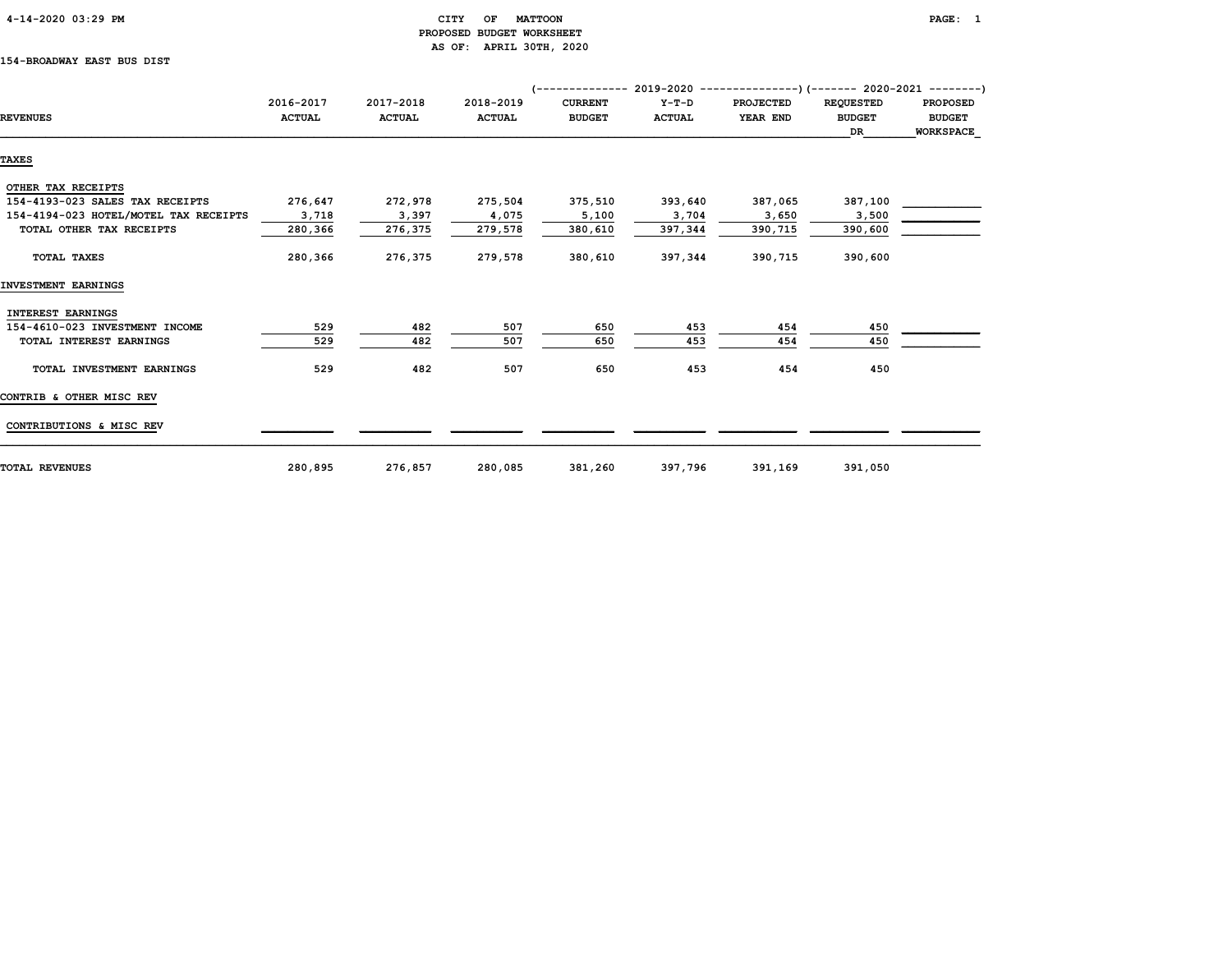| $4 - 14 - 2020$ 03:29 PM |  |
|--------------------------|--|
|                          |  |

#### CITY OF MATTOON PAGE: 1 PROPOSED BUDGET WORKSHEET AS OF: APRIL 30TH, 2020

#### 154-BROADWAY EAST BUS DIST

|                                       |               |               |               | $($ -------------- 2019-2020 ----------------) (------- 2020-2021 --------) |               |                  |                  |                 |
|---------------------------------------|---------------|---------------|---------------|-----------------------------------------------------------------------------|---------------|------------------|------------------|-----------------|
|                                       | 2016-2017     | 2017-2018     | 2018-2019     | <b>CURRENT</b>                                                              | $Y-T-D$       | <b>PROJECTED</b> | <b>REQUESTED</b> | <b>PROPOSED</b> |
| <b>REVENUES</b>                       | <b>ACTUAL</b> | <b>ACTUAL</b> | <b>ACTUAL</b> | <b>BUDGET</b>                                                               | <b>ACTUAL</b> | YEAR END         | <b>BUDGET</b>    | <b>BUDGET</b>   |
|                                       |               |               |               |                                                                             |               |                  | DR.              | WORKSPACE       |
| <b>TAXES</b>                          |               |               |               |                                                                             |               |                  |                  |                 |
|                                       |               |               |               |                                                                             |               |                  |                  |                 |
| OTHER TAX RECEIPTS                    |               |               |               |                                                                             |               |                  |                  |                 |
| 154-4193-023 SALES TAX RECEIPTS       | 276,647       | 272,978       | 275,504       | 375,510                                                                     | 393,640       | 387,065          | 387,100          |                 |
| 154-4194-023 HOTEL/MOTEL TAX RECEIPTS | 3,718         | 3,397         | 4,075         | 5,100                                                                       | 3,704         | 3,650            | 3,500            |                 |
| TOTAL OTHER TAX RECEIPTS              | 280,366       | 276,375       | 279,578       | 380,610                                                                     | 397,344       | 390,715          | 390,600          |                 |
| TOTAL TAXES                           | 280,366       | 276,375       | 279,578       | 380,610                                                                     | 397,344       | 390,715          | 390,600          |                 |
|                                       |               |               |               |                                                                             |               |                  |                  |                 |
| INVESTMENT EARNINGS                   |               |               |               |                                                                             |               |                  |                  |                 |
| INTEREST EARNINGS                     |               |               |               |                                                                             |               |                  |                  |                 |
| 154-4610-023 INVESTMENT INCOME        | 529           | 482           | 507           | 650                                                                         | 453           | 454              | 450              |                 |
| TOTAL INTEREST EARNINGS               | 529           | 482           | 507           | 650                                                                         | 453           | 454              | 450              |                 |
| TOTAL INVESTMENT EARNINGS             | 529           | 482           | 507           | 650                                                                         | 453           | 454              | 450              |                 |
| CONTRIB & OTHER MISC REV              |               |               |               |                                                                             |               |                  |                  |                 |
| CONTRIBUTIONS & MISC REV              |               |               |               |                                                                             |               |                  |                  |                 |
|                                       |               |               |               |                                                                             |               |                  |                  |                 |
| <b>TOTAL REVENUES</b>                 | 280,895       | 276,857       | 280,085       | 381,260                                                                     | 397,796       | 391,169          | 391,050          |                 |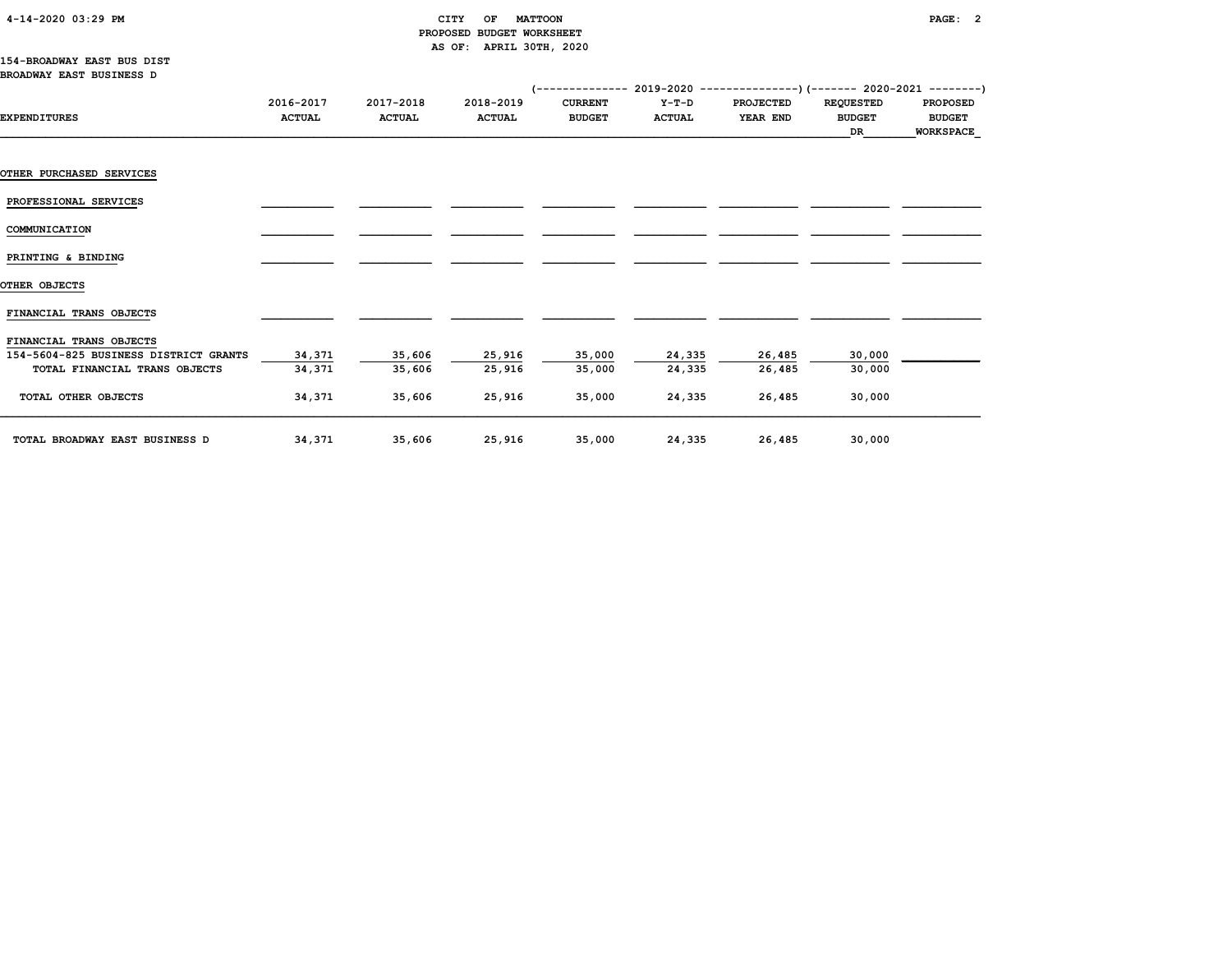#### 4-14-2020 03:29 PM CITY OF MATTOON PAGE: 2 PROPOSED BUDGET WORKSHEET AS OF: APRIL 30TH, 2020

|                                       |               |               |               | $($ -------------- 2019-2020 ----------------) (------- 2020-2021 --------) |               |                  |                  |                  |
|---------------------------------------|---------------|---------------|---------------|-----------------------------------------------------------------------------|---------------|------------------|------------------|------------------|
|                                       | 2016-2017     | 2017-2018     | 2018-2019     | <b>CURRENT</b>                                                              | $Y-T-D$       | <b>PROJECTED</b> | <b>REQUESTED</b> | <b>PROPOSED</b>  |
| <b>EXPENDITURES</b>                   | <b>ACTUAL</b> | <b>ACTUAL</b> | <b>ACTUAL</b> | <b>BUDGET</b>                                                               | <b>ACTUAL</b> | YEAR END         | <b>BUDGET</b>    | <b>BUDGET</b>    |
|                                       |               |               |               |                                                                             |               |                  | DR               | <b>WORKSPACE</b> |
|                                       |               |               |               |                                                                             |               |                  |                  |                  |
|                                       |               |               |               |                                                                             |               |                  |                  |                  |
| <b>OTHER PURCHASED SERVICES</b>       |               |               |               |                                                                             |               |                  |                  |                  |
|                                       |               |               |               |                                                                             |               |                  |                  |                  |
| PROFESSIONAL SERVICES                 |               |               |               |                                                                             |               |                  |                  |                  |
|                                       |               |               |               |                                                                             |               |                  |                  |                  |
| COMMUNICATION                         |               |               |               |                                                                             |               |                  |                  |                  |
|                                       |               |               |               |                                                                             |               |                  |                  |                  |
| PRINTING & BINDING                    |               |               |               |                                                                             |               |                  |                  |                  |
| OTHER OBJECTS                         |               |               |               |                                                                             |               |                  |                  |                  |
|                                       |               |               |               |                                                                             |               |                  |                  |                  |
| FINANCIAL TRANS OBJECTS               |               |               |               |                                                                             |               |                  |                  |                  |
|                                       |               |               |               |                                                                             |               |                  |                  |                  |
| FINANCIAL TRANS OBJECTS               |               |               |               |                                                                             |               |                  |                  |                  |
| 154-5604-825 BUSINESS DISTRICT GRANTS | 34,371        | 35,606        | 25,916        | 35,000                                                                      | 24,335        | 26,485           | 30,000           |                  |
| TOTAL FINANCIAL TRANS OBJECTS         | 34,371        | 35,606        | 25,916        | 35,000                                                                      | 24,335        | 26,485           | 30,000           |                  |
|                                       |               |               |               |                                                                             |               |                  |                  |                  |
| TOTAL OTHER OBJECTS                   | 34,371        | 35,606        | 25,916        | 35,000                                                                      | 24,335        | 26,485           | 30,000           |                  |
|                                       |               |               |               |                                                                             |               |                  |                  |                  |
|                                       |               |               |               |                                                                             |               |                  |                  |                  |
| TOTAL BROADWAY EAST BUSINESS D        | 34,371        | 35,606        | 25,916        | 35,000                                                                      | 24,335        | 26,485           | 30,000           |                  |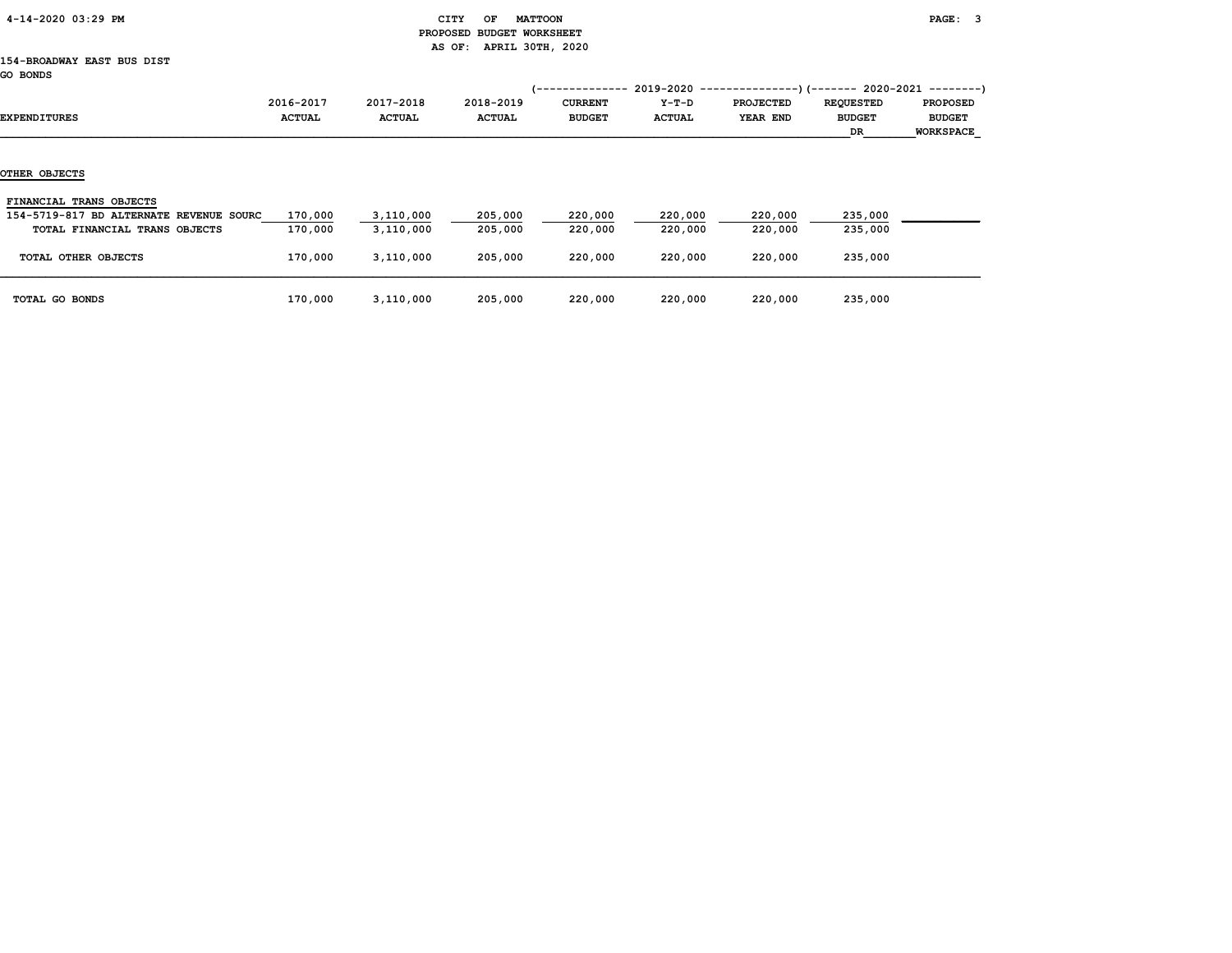| 4-14-2020 03:29 PM |  |
|--------------------|--|
|                    |  |

#### CITY OF MATTOON **PAGE:** 3 PROPOSED BUDGET WORKSHEET AS OF: APRIL 30TH, 2020

#### 154-BROADWAY EAST BUS DIST GO BONDS

| EXPENDITURES                                                                                        | 2016-2017<br><b>ACTUAL</b> | 2017-2018<br><b>ACTUAL</b> | 2018-2019<br><b>ACTUAL</b> | ------------<br><b>CURRENT</b><br><b>BUDGET</b> | 2019-2020<br>$Y-T-D$<br><b>ACTUAL</b> | <b>PROJECTED</b><br>YEAR END | -)(------- 2020-2021<br><b>REQUESTED</b><br><b>BUDGET</b><br>DR. | ---------<br><b>PROPOSED</b><br><b>BUDGET</b><br><b>WORKSPACE</b> |
|-----------------------------------------------------------------------------------------------------|----------------------------|----------------------------|----------------------------|-------------------------------------------------|---------------------------------------|------------------------------|------------------------------------------------------------------|-------------------------------------------------------------------|
| OTHER OBJECTS                                                                                       |                            |                            |                            |                                                 |                                       |                              |                                                                  |                                                                   |
| FINANCIAL TRANS OBJECTS<br>154-5719-817 BD ALTERNATE REVENUE SOURC<br>TOTAL FINANCIAL TRANS OBJECTS | 170,000<br>170,000         | 3,110,000<br>3,110,000     | 205,000<br>205,000         | 220,000<br>220,000                              | 220,000<br>220,000                    | 220,000<br>220,000           | 235,000<br>235,000                                               |                                                                   |
| TOTAL OTHER OBJECTS                                                                                 | 170,000                    | 3,110,000                  | 205,000                    | 220,000                                         | 220,000                               | 220,000                      | 235,000                                                          |                                                                   |
| TOTAL GO BONDS                                                                                      | 170,000                    | 3,110,000                  | 205,000                    | 220,000                                         | 220,000                               | 220,000                      | 235,000                                                          |                                                                   |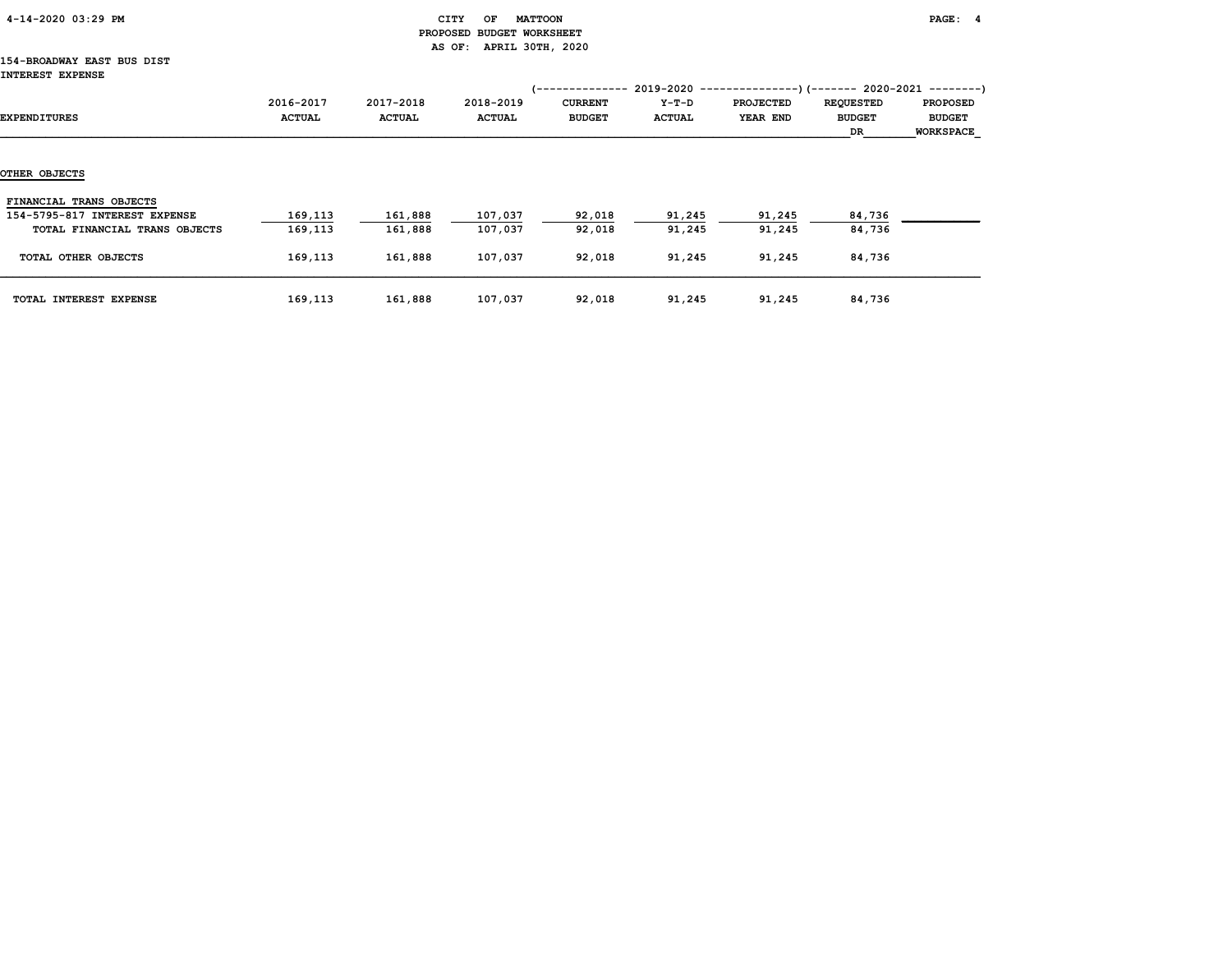| 4-14-2020 03:29 PM |  |
|--------------------|--|
|                    |  |

#### CITY OF MATTOON **PAGE:** 4 PROPOSED BUDGET WORKSHEET AS OF: APRIL 30TH, 2020

#### 154-BROADWAY EAST BUS DIST INTEREST EXPENSE

|                               |                            |                            |                            |                                 |                        | (-------------- 2019-2020 ----------------) (------- 2020-2021 --------) |                                         |                                               |
|-------------------------------|----------------------------|----------------------------|----------------------------|---------------------------------|------------------------|--------------------------------------------------------------------------|-----------------------------------------|-----------------------------------------------|
| EXPENDITURES                  | 2016-2017<br><b>ACTUAL</b> | 2017-2018<br><b>ACTUAL</b> | 2018-2019<br><b>ACTUAL</b> | <b>CURRENT</b><br><b>BUDGET</b> | Y-T-D<br><b>ACTUAL</b> | <b>PROJECTED</b><br><b>YEAR END</b>                                      | <b>REQUESTED</b><br><b>BUDGET</b><br>DR | <b>PROPOSED</b><br><b>BUDGET</b><br>WORKSPACE |
| OTHER OBJECTS                 |                            |                            |                            |                                 |                        |                                                                          |                                         |                                               |
|                               |                            |                            |                            |                                 |                        |                                                                          |                                         |                                               |
| FINANCIAL TRANS OBJECTS       |                            |                            |                            |                                 |                        |                                                                          |                                         |                                               |
| 154-5795-817 INTEREST EXPENSE | 169,113                    | 161,888                    | 107,037                    | 92,018                          | 91,245                 | 91,245                                                                   | 84,736                                  |                                               |
| TOTAL FINANCIAL TRANS OBJECTS | 169,113                    | 161,888                    | 107,037                    | 92,018                          | 91,245                 | 91,245                                                                   | 84,736                                  |                                               |
| TOTAL OTHER OBJECTS           | 169,113                    | 161,888                    | 107,037                    | 92,018                          | 91,245                 | 91,245                                                                   | 84,736                                  |                                               |
| TOTAL INTEREST EXPENSE        | 169,113                    | 161,888                    | 107,037                    | 92,018                          | 91,245                 | 91,245                                                                   | 84,736                                  |                                               |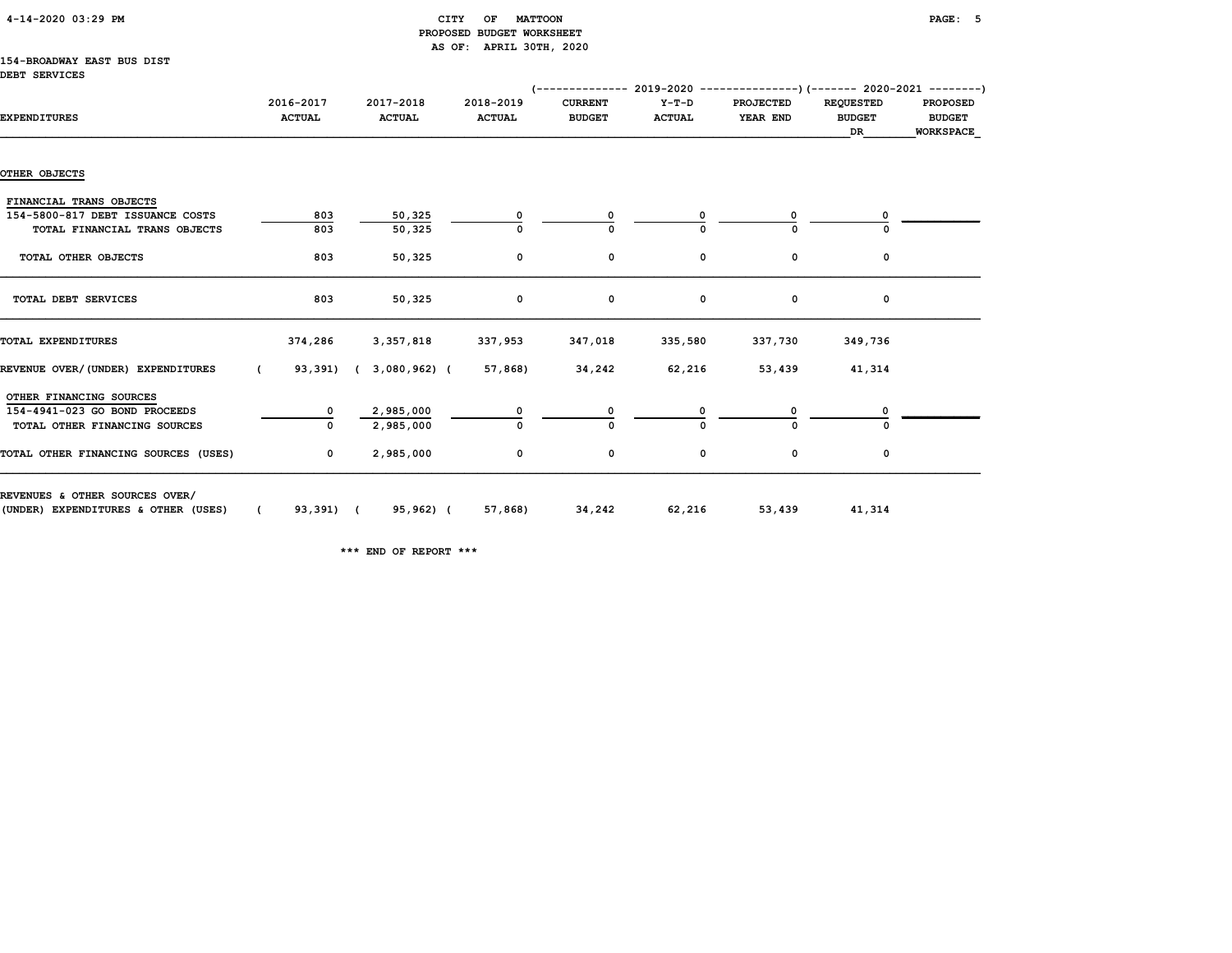#### CITY OF MATTOON **PAGE: 5**  PROPOSED BUDGET WORKSHEET AS OF: APRIL 30TH, 2020

#### 154-BROADWAY EAST BUS DIST DEBT SERVICES

|                                      |                            |                            |                            | $(-$ ------------- 2019-2020 ----------------) (------- 2020-2021 ---------) |                        |                              |                                         |                                               |
|--------------------------------------|----------------------------|----------------------------|----------------------------|------------------------------------------------------------------------------|------------------------|------------------------------|-----------------------------------------|-----------------------------------------------|
| <b>EXPENDITURES</b>                  | 2016-2017<br><b>ACTUAL</b> | 2017-2018<br><b>ACTUAL</b> | 2018-2019<br><b>ACTUAL</b> | <b>CURRENT</b><br><b>BUDGET</b>                                              | Y-T-D<br><b>ACTUAL</b> | <b>PROJECTED</b><br>YEAR END | <b>REQUESTED</b><br><b>BUDGET</b><br>DR | <b>PROPOSED</b><br><b>BUDGET</b><br>WORKSPACE |
|                                      |                            |                            |                            |                                                                              |                        |                              |                                         |                                               |
| OTHER OBJECTS                        |                            |                            |                            |                                                                              |                        |                              |                                         |                                               |
| FINANCIAL TRANS OBJECTS              |                            |                            |                            |                                                                              |                        |                              |                                         |                                               |
| 154-5800-817 DEBT ISSUANCE COSTS     | 803                        | 50,325                     | 0                          |                                                                              |                        | 0                            |                                         |                                               |
| TOTAL FINANCIAL TRANS OBJECTS        | 803                        | 50,325                     |                            |                                                                              |                        |                              |                                         |                                               |
| TOTAL OTHER OBJECTS                  | 803                        | 50,325                     | $\mathbf 0$                | 0                                                                            | 0                      | 0                            | 0                                       |                                               |
|                                      |                            |                            |                            |                                                                              |                        |                              |                                         |                                               |
| TOTAL DEBT SERVICES                  | 803                        | 50,325                     | 0                          | 0                                                                            | 0                      | 0                            | 0                                       |                                               |
| TOTAL EXPENDITURES                   | 374,286                    | 3,357,818                  | 337,953                    | 347,018                                                                      | 335,580                | 337,730                      | 349,736                                 |                                               |
| REVENUE OVER/(UNDER) EXPENDITURES    | $\epsilon$                 | 93,391) ( 3,080,962) (     | 57,868)                    | 34,242                                                                       | 62,216                 | 53,439                       | 41,314                                  |                                               |
| OTHER FINANCING SOURCES              |                            |                            |                            |                                                                              |                        |                              |                                         |                                               |
| 154-4941-023 GO BOND PROCEEDS        | 0                          | 2,985,000                  |                            |                                                                              |                        |                              |                                         |                                               |
| TOTAL OTHER FINANCING SOURCES        |                            | 2,985,000                  | 0                          |                                                                              |                        |                              |                                         |                                               |
| TOTAL OTHER FINANCING SOURCES (USES) | $\mathbf{0}$               | 2,985,000                  | 0                          | 0                                                                            | 0                      | 0                            | 0                                       |                                               |
| REVENUES & OTHER SOURCES OVER/       |                            |                            |                            |                                                                              |                        |                              |                                         |                                               |
| (UNDER) EXPENDITURES & OTHER (USES)  | 93,391) (<br>$\epsilon$    | 95,962) (                  | 57,868)                    | 34,242                                                                       | 62,216                 | 53,439                       | 41,314                                  |                                               |

\*\*\* END OF REPORT \*\*\*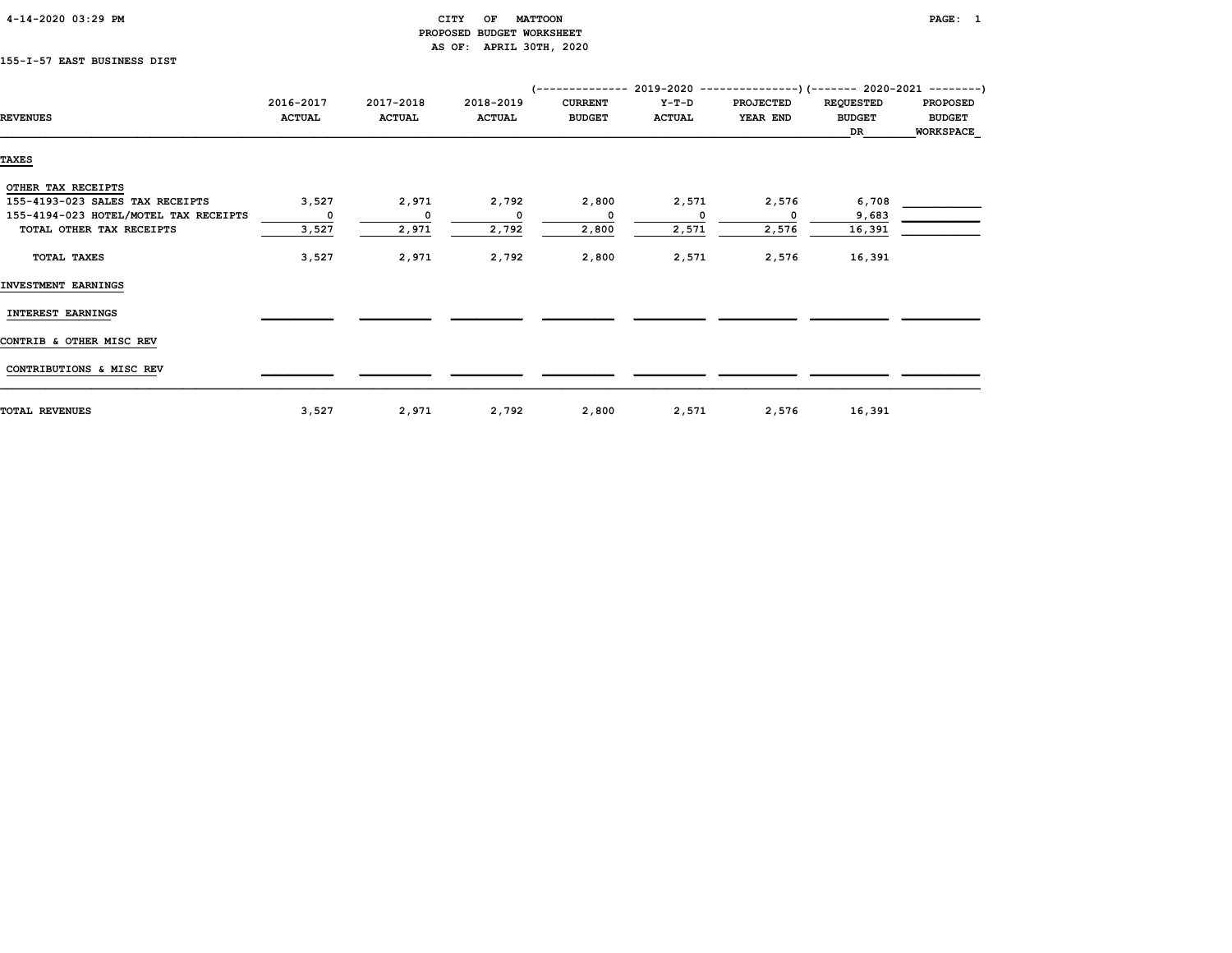| 4-14-2020 03:29 PM |  |  |
|--------------------|--|--|
|                    |  |  |

#### CITY OF MATTOON **PAGE:** 1 PROPOSED BUDGET WORKSHEET AS OF: APRIL 30TH, 2020

### 155-I-57 EAST BUSINESS DIST

|                                       |               |               |               | $---------2019-2020 -$ |               | --------------)(------- 2020-2021 --------) |                  |                  |
|---------------------------------------|---------------|---------------|---------------|------------------------|---------------|---------------------------------------------|------------------|------------------|
|                                       | 2016-2017     | 2017-2018     | 2018-2019     | <b>CURRENT</b>         | $Y-T-D$       | <b>PROJECTED</b>                            | <b>REQUESTED</b> | <b>PROPOSED</b>  |
| <b>REVENUES</b>                       | <b>ACTUAL</b> | <b>ACTUAL</b> | <b>ACTUAL</b> | <b>BUDGET</b>          | <b>ACTUAL</b> | YEAR END                                    | <b>BUDGET</b>    | <b>BUDGET</b>    |
|                                       |               |               |               |                        |               |                                             | DR               | <b>WORKSPACE</b> |
| <b>TAXES</b>                          |               |               |               |                        |               |                                             |                  |                  |
|                                       |               |               |               |                        |               |                                             |                  |                  |
| OTHER TAX RECEIPTS                    |               |               |               |                        |               |                                             |                  |                  |
| 155-4193-023 SALES TAX RECEIPTS       | 3,527         | 2,971         | 2,792         | 2,800                  | 2,571         | 2,576                                       | 6,708            |                  |
| 155-4194-023 HOTEL/MOTEL TAX RECEIPTS | 0             | $\mathbf{o}$  | 0             |                        |               |                                             | 9,683            |                  |
| TOTAL OTHER TAX RECEIPTS              | 3,527         | 2,971         | 2,792         | 2,800                  | 2,571         | 2,576                                       | 16,391           |                  |
| TOTAL TAXES                           | 3,527         | 2,971         | 2,792         | 2,800                  | 2,571         | 2,576                                       | 16,391           |                  |
| INVESTMENT EARNINGS                   |               |               |               |                        |               |                                             |                  |                  |
| INTEREST EARNINGS                     |               |               |               |                        |               |                                             |                  |                  |
| CONTRIB & OTHER MISC REV              |               |               |               |                        |               |                                             |                  |                  |
| CONTRIBUTIONS & MISC REV              |               |               |               |                        |               |                                             |                  |                  |
| <b>TOTAL REVENUES</b>                 | 3,527         | 2,971         | 2,792         | 2,800                  | 2,571         | 2,576                                       | 16,391           |                  |
|                                       |               |               |               |                        |               |                                             |                  |                  |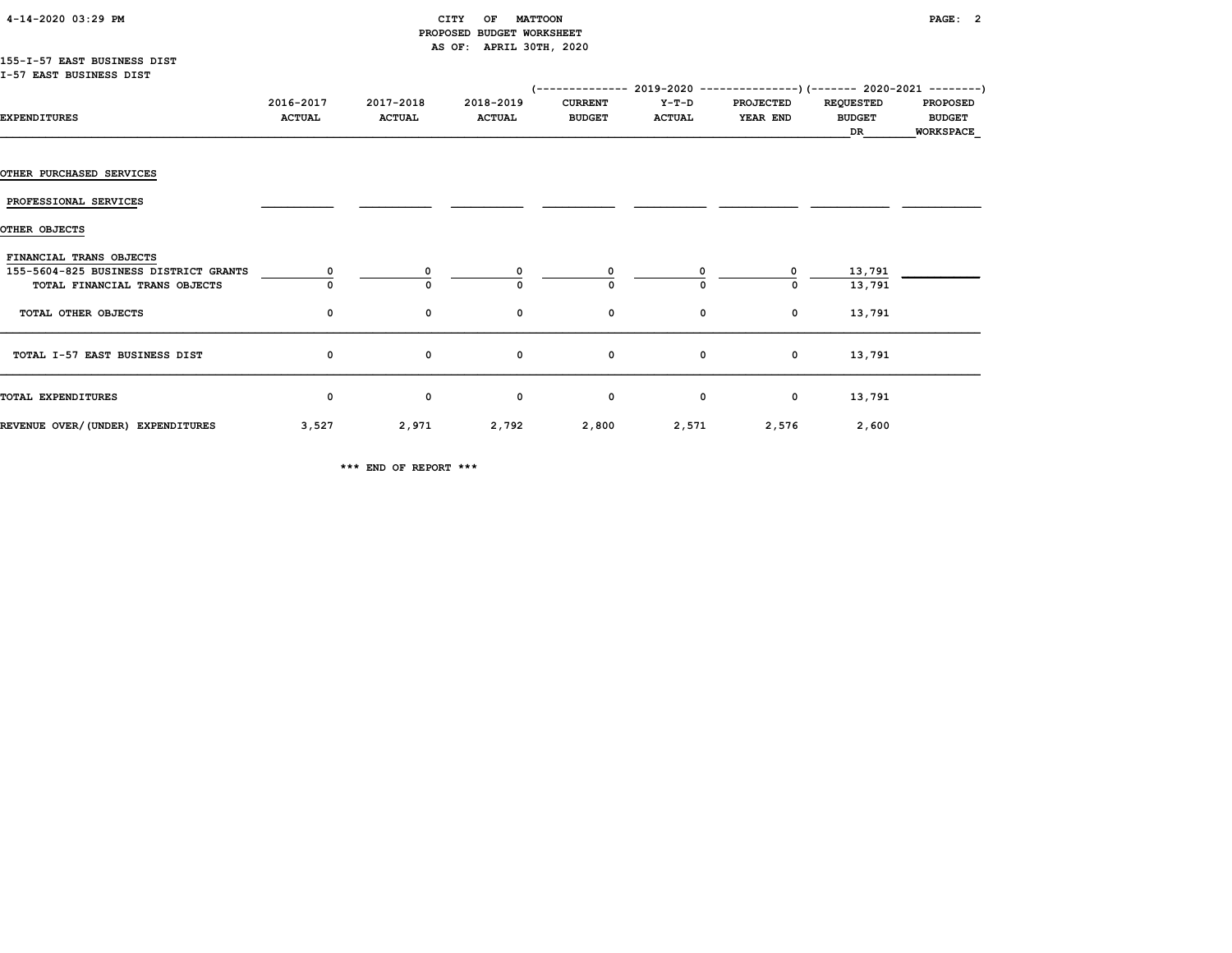#### 4-14-2020 03:29 PM CITY OF MATTOON PAGE: 2 PROPOSED BUDGET WORKSHEET AS OF: APRIL 30TH, 2020

#### 155-I-57 EAST BUSINESS DIST I-57 EAST BUSINESS DIST

|                                                                                                   |                            |                            |                            | (-------------- 2019-2020 ----------------) (------- 2020-2021 --------) |                        |                              |                                         |                                  |
|---------------------------------------------------------------------------------------------------|----------------------------|----------------------------|----------------------------|--------------------------------------------------------------------------|------------------------|------------------------------|-----------------------------------------|----------------------------------|
| <b>EXPENDITURES</b>                                                                               | 2016-2017<br><b>ACTUAL</b> | 2017-2018<br><b>ACTUAL</b> | 2018-2019<br><b>ACTUAL</b> | <b>CURRENT</b><br><b>BUDGET</b>                                          | Y-T-D<br><b>ACTUAL</b> | <b>PROJECTED</b><br>YEAR END | <b>REQUESTED</b><br><b>BUDGET</b><br>DR | <b>PROPOSED</b><br><b>BUDGET</b> |
|                                                                                                   |                            |                            |                            |                                                                          |                        |                              |                                         | <b>WORKSPACE</b>                 |
| <b>OTHER PURCHASED SERVICES</b>                                                                   |                            |                            |                            |                                                                          |                        |                              |                                         |                                  |
| PROFESSIONAL SERVICES                                                                             |                            |                            |                            |                                                                          |                        |                              |                                         |                                  |
| OTHER OBJECTS                                                                                     |                            |                            |                            |                                                                          |                        |                              |                                         |                                  |
| FINANCIAL TRANS OBJECTS<br>155-5604-825 BUSINESS DISTRICT GRANTS<br>TOTAL FINANCIAL TRANS OBJECTS |                            | 0<br>$\Omega$              | 0                          |                                                                          | 0                      | 0<br>0                       | 13,791<br>13,791                        |                                  |
| TOTAL OTHER OBJECTS                                                                               | 0                          | 0                          | 0                          | 0                                                                        | 0                      | 0                            | 13,791                                  |                                  |
| TOTAL I-57 EAST BUSINESS DIST                                                                     | 0                          | $\mathbf 0$                | 0                          | $\mathbf{o}$                                                             | 0                      | $\mathbf 0$                  | 13,791                                  |                                  |
| TOTAL EXPENDITURES                                                                                | 0                          | 0                          | 0                          | 0                                                                        | 0                      | 0                            | 13,791                                  |                                  |
| REVENUE OVER/(UNDER) EXPENDITURES                                                                 | 3,527                      | 2,971                      | 2,792                      | 2,800                                                                    | 2,571                  | 2,576                        | 2,600                                   |                                  |

\*\*\* END OF REPORT \*\*\*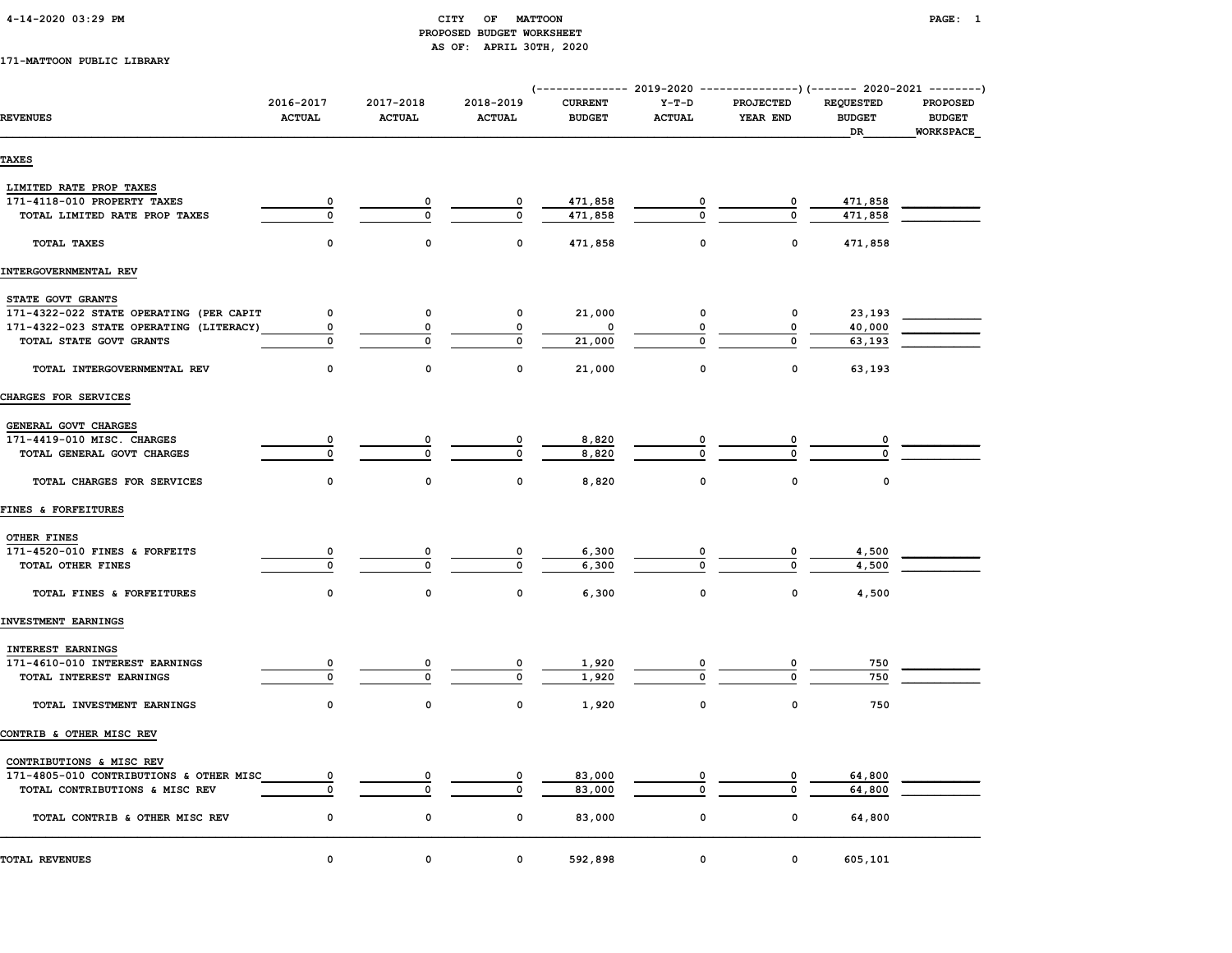#### 4-14-2020 03:29 PM CITY OF MATTOON PAGE: 1 PROPOSED BUDGET WORKSHEET AS OF: APRIL 30TH, 2020

#### 171-MATTOON PUBLIC LIBRARY

| <b>REVENUES</b>                                                     | 2016-2017<br><b>ACTUAL</b> | 2017-2018<br><b>ACTUAL</b> | 2018-2019<br><b>ACTUAL</b> | (-------------- 2019-2020 ----------------) (------- 2020-2021 --------)<br><b>CURRENT</b><br><b>BUDGET</b> | $Y-T-D$<br><b>ACTUAL</b> | <b>PROJECTED</b><br>YEAR END | <b>REQUESTED</b><br><b>BUDGET</b><br>DR | <b>PROPOSED</b><br><b>BUDGET</b><br>WORKSPACE |
|---------------------------------------------------------------------|----------------------------|----------------------------|----------------------------|-------------------------------------------------------------------------------------------------------------|--------------------------|------------------------------|-----------------------------------------|-----------------------------------------------|
| <b>TAXES</b>                                                        |                            |                            |                            |                                                                                                             |                          |                              |                                         |                                               |
| LIMITED RATE PROP TAXES                                             |                            |                            |                            |                                                                                                             |                          |                              |                                         |                                               |
| 171-4118-010 PROPERTY TAXES                                         | 0                          | 0                          | 0                          | 471,858                                                                                                     | 0                        | 0                            | 471,858                                 |                                               |
| TOTAL LIMITED RATE PROP TAXES                                       | $\mathbf 0$                | $\mathbf 0$                | $\mathbf 0$                | 471,858                                                                                                     | $\Omega$                 | 0                            | 471,858                                 |                                               |
| TOTAL TAXES                                                         | $\Omega$                   | $\mathbf{0}$               | $\mathbf{0}$               | 471,858                                                                                                     | $\mathbf 0$              | $\mathbf{0}$                 | 471,858                                 |                                               |
| INTERGOVERNMENTAL REV                                               |                            |                            |                            |                                                                                                             |                          |                              |                                         |                                               |
| STATE GOVT GRANTS                                                   |                            |                            |                            |                                                                                                             |                          |                              |                                         |                                               |
| 171-4322-022 STATE OPERATING (PER CAPIT                             | 0                          | $\mathbf 0$                | 0                          | 21,000                                                                                                      | 0                        | 0                            | 23,193                                  |                                               |
| 171-4322-023 STATE OPERATING (LITERACY)                             | 0                          | 0                          | 0                          | 0                                                                                                           | 0                        | 0                            | 40,000                                  |                                               |
| TOTAL STATE GOVT GRANTS                                             | 0                          | $\mathbf 0$                | $\mathbf 0$                | 21,000                                                                                                      | 0                        | 0                            | 63,193                                  |                                               |
| TOTAL INTERGOVERNMENTAL REV                                         | $\mathbf{0}$               | $\Omega$                   | 0                          | 21,000                                                                                                      | $\mathsf{o}\,$           | $\Omega$                     | 63,193                                  |                                               |
| CHARGES FOR SERVICES                                                |                            |                            |                            |                                                                                                             |                          |                              |                                         |                                               |
|                                                                     |                            |                            |                            |                                                                                                             |                          |                              |                                         |                                               |
| GENERAL GOVT CHARGES                                                |                            |                            |                            |                                                                                                             |                          |                              |                                         |                                               |
| 171-4419-010 MISC. CHARGES                                          | 0                          |                            |                            | 8,820                                                                                                       |                          |                              |                                         |                                               |
| TOTAL GENERAL GOVT CHARGES                                          | $\Omega$                   | $\Omega$                   | $\mathbf{0}$               | 8,820                                                                                                       | $\Omega$                 | $\Omega$                     |                                         |                                               |
| TOTAL CHARGES FOR SERVICES                                          | $\mathbf 0$                | $\mathbf 0$                | $\mathbf 0$                | 8,820                                                                                                       | $\mathsf{o}\,$           | 0                            | 0                                       |                                               |
| FINES & FORFEITURES                                                 |                            |                            |                            |                                                                                                             |                          |                              |                                         |                                               |
| OTHER FINES                                                         |                            |                            |                            |                                                                                                             |                          |                              |                                         |                                               |
| 171-4520-010 FINES & FORFEITS                                       | 0                          |                            |                            | 6,300                                                                                                       |                          | 0                            | 4,500                                   |                                               |
| TOTAL OTHER FINES                                                   | $\mathbf 0$                | $\mathbf 0$                | $\mathbf 0$                | 6,300                                                                                                       | $\Omega$                 | $\Omega$                     | 4,500                                   |                                               |
|                                                                     |                            |                            |                            |                                                                                                             |                          |                              |                                         |                                               |
| TOTAL FINES & FORFEITURES                                           | 0                          | $\mathbf 0$                | $\mathbf 0$                | 6,300                                                                                                       | $\mathbf 0$              | $\mathbf 0$                  | 4,500                                   |                                               |
| INVESTMENT EARNINGS                                                 |                            |                            |                            |                                                                                                             |                          |                              |                                         |                                               |
| INTEREST EARNINGS                                                   |                            |                            |                            |                                                                                                             |                          |                              |                                         |                                               |
| 171-4610-010 INTEREST EARNINGS                                      | 0                          | 0                          | 0                          | 1,920                                                                                                       | 0                        | 0                            | 750                                     |                                               |
| TOTAL INTEREST EARNINGS                                             | 0                          | $\mathbf 0$                | 0                          | 1,920                                                                                                       | $\Omega$                 | 0                            | 750                                     |                                               |
| TOTAL INVESTMENT EARNINGS                                           | $\Omega$                   | $\mathbf{0}$               | 0                          | 1,920                                                                                                       | $\mathsf{o}\,$           | $\mathbf{0}$                 | 750                                     |                                               |
| CONTRIB & OTHER MISC REV                                            |                            |                            |                            |                                                                                                             |                          |                              |                                         |                                               |
|                                                                     |                            |                            |                            |                                                                                                             |                          |                              |                                         |                                               |
| CONTRIBUTIONS & MISC REV<br>171-4805-010 CONTRIBUTIONS & OTHER MISC |                            |                            |                            |                                                                                                             |                          |                              |                                         |                                               |
| TOTAL CONTRIBUTIONS & MISC REV                                      | 0<br>$\Omega$              | $\Omega$                   | $\mathbf 0$                | 83,000<br>83,000                                                                                            | $\Omega$                 | 0<br>$\mathbf{0}$            | 64,800<br>64,800                        |                                               |
|                                                                     |                            |                            |                            |                                                                                                             |                          |                              |                                         |                                               |
| TOTAL CONTRIB & OTHER MISC REV                                      | 0                          | 0                          | 0                          | 83,000                                                                                                      | $\mathsf{o}\,$           | $\mathsf{o}\,$               | 64,800                                  |                                               |
| TOTAL REVENUES                                                      | $\mathbf 0$                | $\mathbf 0$                | $\mathbf 0$                | 592,898                                                                                                     | $\mathbf 0$              | $\mathbf 0$                  | 605,101                                 |                                               |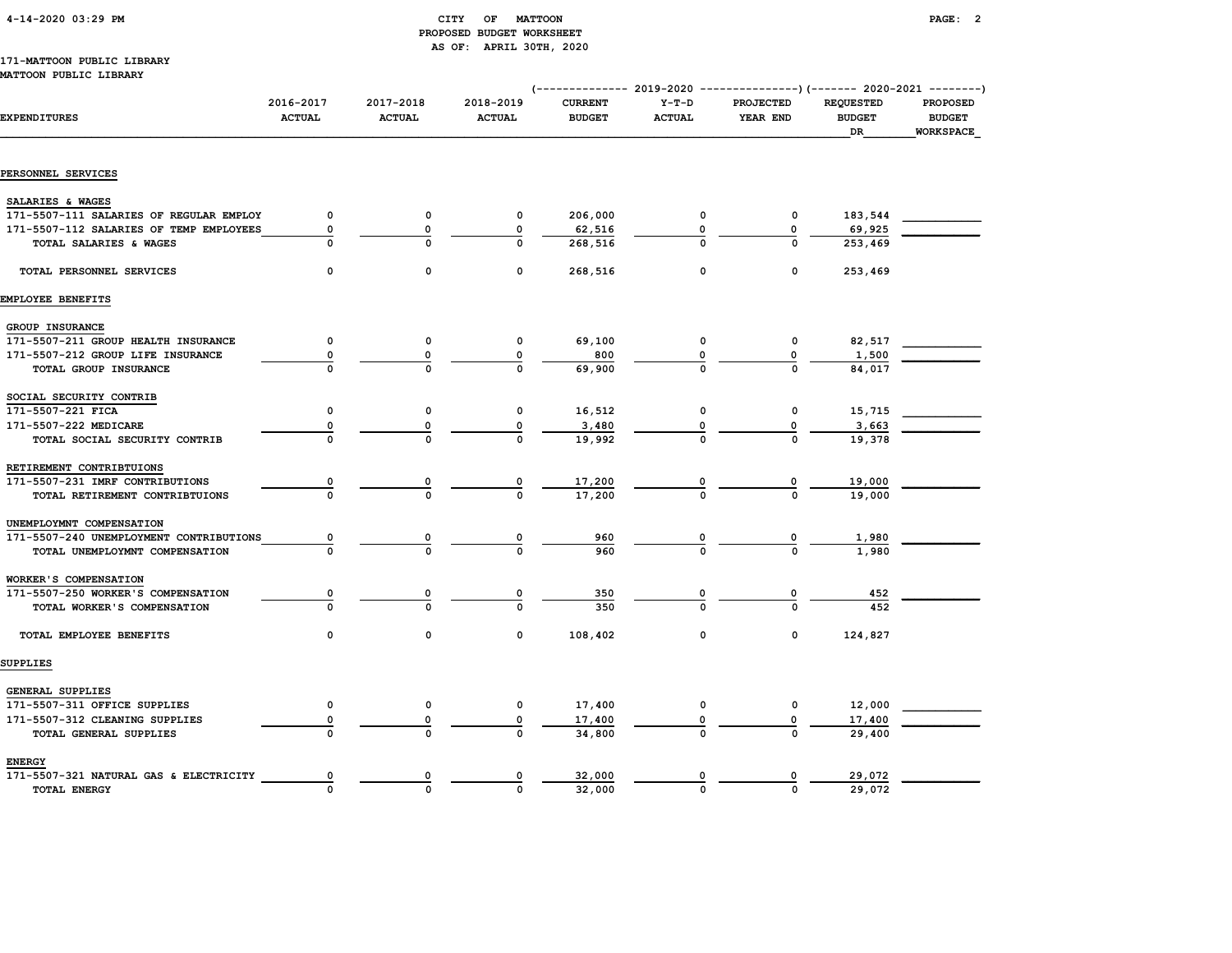| 4-14-2020 03:29 PM |  |
|--------------------|--|
|                    |  |

#### CITY OF MATTOON **PAGE: 2**  PROPOSED BUDGET WORKSHEET AS OF: APRIL 30TH, 2020

#### 171-MATTOON PUBLIC LIBRARY MATTOON PUBLIC LIBRARY

|                                         |                            |                            |                            |                                 |                          | (-------------- 2019-2020 ----------------) (------- 2020-2021 --------) |                                         |                                               |
|-----------------------------------------|----------------------------|----------------------------|----------------------------|---------------------------------|--------------------------|--------------------------------------------------------------------------|-----------------------------------------|-----------------------------------------------|
| <b>EXPENDITURES</b>                     | 2016-2017<br><b>ACTUAL</b> | 2017-2018<br><b>ACTUAL</b> | 2018-2019<br><b>ACTUAL</b> | <b>CURRENT</b><br><b>BUDGET</b> | $Y-T-D$<br><b>ACTUAL</b> | <b>PROJECTED</b><br>YEAR END                                             | <b>REQUESTED</b><br><b>BUDGET</b><br>DR | PROPOSED<br><b>BUDGET</b><br><b>WORKSPACE</b> |
|                                         |                            |                            |                            |                                 |                          |                                                                          |                                         |                                               |
| PERSONNEL SERVICES                      |                            |                            |                            |                                 |                          |                                                                          |                                         |                                               |
| SALARIES & WAGES                        |                            |                            |                            |                                 |                          |                                                                          |                                         |                                               |
| 171-5507-111 SALARIES OF REGULAR EMPLOY | $\mathbf 0$                | $\mathbf 0$                | $\mathbf{o}$               | 206,000                         | 0                        | 0                                                                        | 183,544                                 |                                               |
| 171-5507-112 SALARIES OF TEMP EMPLOYEES | 0                          | $\mathbf 0$                | 0                          | 62,516                          | $\Omega$                 | 0                                                                        | 69,925                                  |                                               |
| TOTAL SALARIES & WAGES                  | $\mathbf 0$                | $\Omega$                   | $\Omega$                   | 268,516                         | $\Omega$                 | $\Omega$                                                                 | 253,469                                 |                                               |
| TOTAL PERSONNEL SERVICES                | $\mathbf 0$                | 0                          | $\mathbf 0$                | 268,516                         | 0                        | $\mathbf 0$                                                              | 253,469                                 |                                               |
| EMPLOYEE BENEFITS                       |                            |                            |                            |                                 |                          |                                                                          |                                         |                                               |
| GROUP INSURANCE                         |                            |                            |                            |                                 |                          |                                                                          |                                         |                                               |
| 171-5507-211 GROUP HEALTH INSURANCE     | 0                          | 0                          | 0                          | 69,100                          |                          | 0                                                                        | 82,517                                  |                                               |
| 171-5507-212 GROUP LIFE INSURANCE       | 0                          | 0                          | 0                          | 800                             |                          | 0                                                                        | 1,500                                   |                                               |
| TOTAL GROUP INSURANCE                   | $\Omega$                   |                            |                            | 69,900                          |                          |                                                                          | 84,017                                  |                                               |
| SOCIAL SECURITY CONTRIB                 |                            |                            |                            |                                 |                          |                                                                          |                                         |                                               |
| 171-5507-221 FICA                       | 0                          | 0                          | 0                          | 16,512                          | 0                        | 0                                                                        | 15,715                                  |                                               |
| 171-5507-222 MEDICARE                   | 0                          | 0                          |                            | 3,480                           |                          | 0                                                                        | 3,663                                   |                                               |
| TOTAL SOCIAL SECURITY CONTRIB           | $\Omega$                   | $\Omega$                   |                            | 19,992                          |                          | $\Omega$                                                                 | 19,378                                  |                                               |
| RETIREMENT CONTRIBTUIONS                |                            |                            |                            |                                 |                          |                                                                          |                                         |                                               |
| 171-5507-231 IMRF CONTRIBUTIONS         | 0                          | 0                          |                            | 17,200                          |                          | $\Omega$                                                                 | 19,000                                  |                                               |
| TOTAL RETIREMENT CONTRIBTUIONS          | $\Omega$                   | $\Omega$                   | $\Omega$                   | 17,200                          |                          | $\Omega$                                                                 | 19,000                                  |                                               |
| UNEMPLOYMNT COMPENSATION                |                            |                            |                            |                                 |                          |                                                                          |                                         |                                               |
| 171-5507-240 UNEMPLOYMENT CONTRIBUTIONS | 0                          | $\overline{\mathbf{0}}$    | 0                          | 960                             |                          | 0                                                                        | 1,980                                   |                                               |
| TOTAL UNEMPLOYMNT COMPENSATION          |                            |                            |                            | 960                             |                          |                                                                          | 1,980                                   |                                               |
| WORKER'S COMPENSATION                   |                            |                            |                            |                                 |                          |                                                                          |                                         |                                               |
| 171-5507-250 WORKER'S COMPENSATION      |                            |                            |                            | 350                             |                          | 0                                                                        | 452                                     |                                               |
| TOTAL WORKER'S COMPENSATION             | $\Omega$                   | $\Omega$                   | $\mathbf 0$                | 350                             | $\Omega$                 | $\Omega$                                                                 | 452                                     |                                               |
| TOTAL EMPLOYEE BENEFITS                 | $\mathbf 0$                | 0                          | 0                          | 108,402                         | 0                        | $\mathbf 0$                                                              | 124,827                                 |                                               |
| SUPPLIES                                |                            |                            |                            |                                 |                          |                                                                          |                                         |                                               |
| GENERAL SUPPLIES                        |                            |                            |                            |                                 |                          |                                                                          |                                         |                                               |
| 171-5507-311 OFFICE SUPPLIES            | 0                          | 0                          | 0                          | 17,400                          |                          | 0                                                                        | 12,000                                  |                                               |
| 171-5507-312 CLEANING SUPPLIES          | 0                          | 0                          | $\mathbf 0$                | 17,400                          |                          | 0                                                                        | 17,400                                  |                                               |
| TOTAL GENERAL SUPPLIES                  |                            |                            |                            | 34,800                          |                          |                                                                          | 29,400                                  |                                               |
| <b>ENERGY</b>                           |                            |                            |                            |                                 |                          |                                                                          |                                         |                                               |
| 171-5507-321 NATURAL GAS & ELECTRICITY  | 0                          | 0                          |                            | 32,000                          |                          | 0                                                                        | 29,072                                  |                                               |
| <b>TOTAL ENERGY</b>                     | $\mathbf 0$                | $\mathbf 0$                | $\mathbf{0}$               | 32,000                          | $\mathbf{0}$             | $\Omega$                                                                 | 29,072                                  |                                               |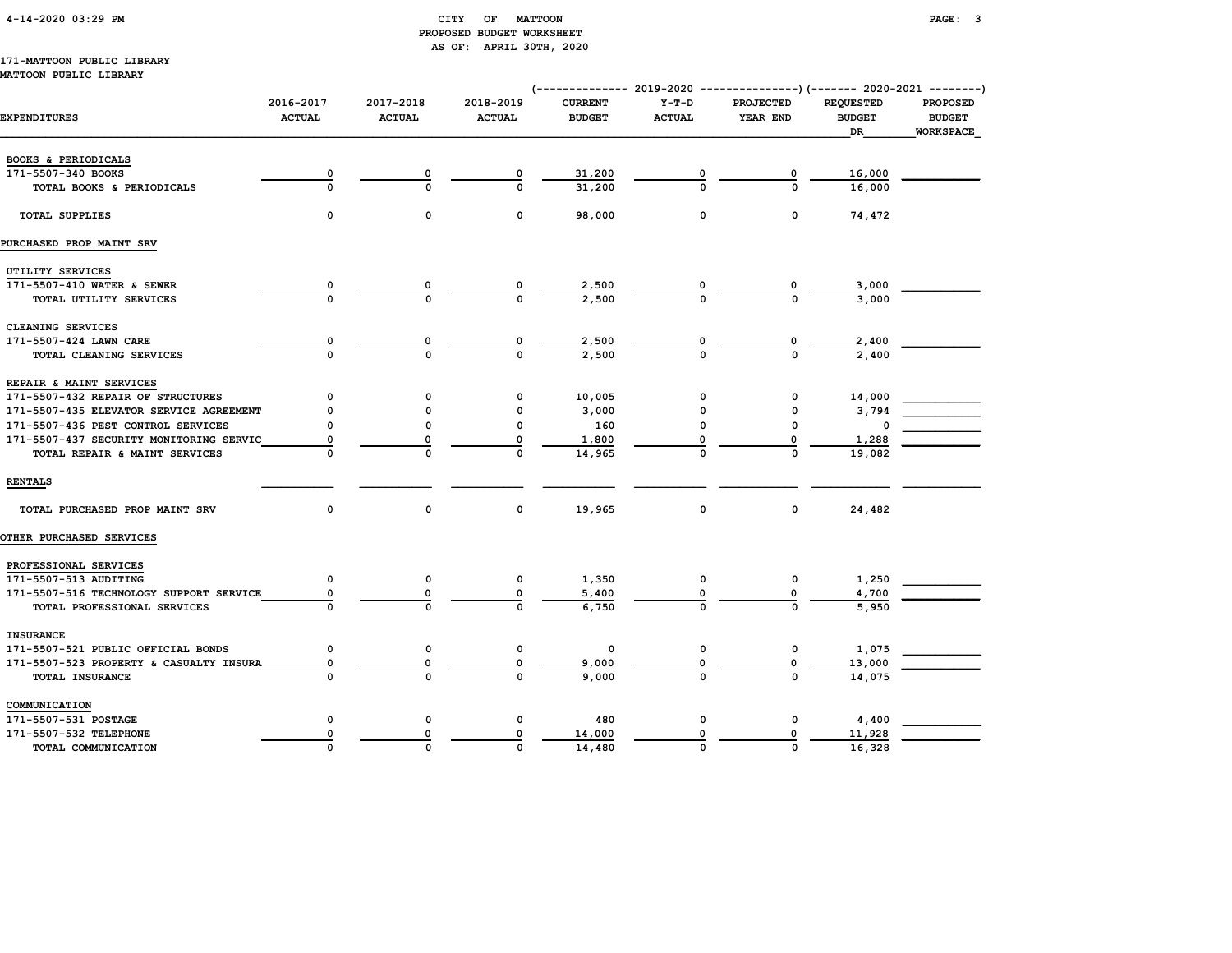#### 4-14-2020 03:29 PM CITY OF MATTOON PAGE: 3 PROPOSED BUDGET WORKSHEET AS OF: APRIL 30TH, 2020

# 171-MATTOON PUBLIC LIBRARY

| MATTOON PUBLIC LIBRARI                  |                            |                            |                            | (-------------- 2019-2020 ----------------)(------- 2020-2021 --------) |                          |                              |                                         |                                                      |
|-----------------------------------------|----------------------------|----------------------------|----------------------------|-------------------------------------------------------------------------|--------------------------|------------------------------|-----------------------------------------|------------------------------------------------------|
| <b>EXPENDITURES</b>                     | 2016-2017<br><b>ACTUAL</b> | 2017-2018<br><b>ACTUAL</b> | 2018-2019<br><b>ACTUAL</b> | <b>CURRENT</b><br><b>BUDGET</b>                                         | $Y-T-D$<br><b>ACTUAL</b> | <b>PROJECTED</b><br>YEAR END | <b>REQUESTED</b><br><b>BUDGET</b><br>DR | <b>PROPOSED</b><br><b>BUDGET</b><br><b>WORKSPACE</b> |
| BOOKS & PERIODICALS                     |                            |                            |                            |                                                                         |                          |                              |                                         |                                                      |
| 171-5507-340 BOOKS                      | 0                          | 0                          | 0                          | 31,200                                                                  |                          |                              | 16,000                                  |                                                      |
| TOTAL BOOKS & PERIODICALS               | $\Omega$                   | 0                          | $\Omega$                   | 31,200                                                                  | O                        | $\Omega$                     | 16,000                                  |                                                      |
| <b>TOTAL SUPPLIES</b>                   | 0                          | 0                          | $\mathbf 0$                | 98,000                                                                  | 0                        | ٥                            | 74,472                                  |                                                      |
| PURCHASED PROP MAINT SRV                |                            |                            |                            |                                                                         |                          |                              |                                         |                                                      |
| UTILITY SERVICES                        |                            |                            |                            |                                                                         |                          |                              |                                         |                                                      |
| 171-5507-410 WATER & SEWER              |                            |                            |                            | 2,500                                                                   |                          |                              | 3,000                                   |                                                      |
| TOTAL UTILITY SERVICES                  | $\mathbf 0$                |                            | $\Omega$                   | 2,500                                                                   | $\frac{0}{0}$            |                              | 3,000                                   |                                                      |
| CLEANING SERVICES                       |                            |                            |                            |                                                                         |                          |                              |                                         |                                                      |
| 171-5507-424 LAWN CARE                  | $\overline{\mathbf{0}}$    |                            | $\overline{0}$             | 2,500                                                                   |                          |                              | 2,400                                   |                                                      |
| TOTAL CLEANING SERVICES                 | $\Omega$                   | $\Omega$                   | $\Omega$                   | 2,500                                                                   | $\frac{0}{0}$            | $\frac{0}{0}$                | 2,400                                   |                                                      |
| REPAIR & MAINT SERVICES                 |                            |                            |                            |                                                                         |                          |                              |                                         |                                                      |
| 171-5507-432 REPAIR OF STRUCTURES       | 0                          | O                          | 0                          | 10,005                                                                  | 0                        | 0                            | 14,000                                  |                                                      |
| 171-5507-435 ELEVATOR SERVICE AGREEMENT | O                          |                            | 0                          | 3,000                                                                   | 0                        | 0                            | 3,794                                   |                                                      |
| 171-5507-436 PEST CONTROL SERVICES      | O                          | O                          | $\mathbf 0$                | 160                                                                     | O                        | $\Omega$                     |                                         |                                                      |
| 171-5507-437 SECURITY MONITORING SERVIC | 0                          | 0                          | 0                          | 1,800                                                                   | 0                        | 0                            | 1,288                                   |                                                      |
| TOTAL REPAIR & MAINT SERVICES           | $\Omega$                   | $\Omega$                   | $\mathbf 0$                | 14,965                                                                  | 0                        | $\mathbf 0$                  | 19,082                                  |                                                      |
| <b>RENTALS</b>                          |                            |                            |                            |                                                                         |                          |                              |                                         |                                                      |
| TOTAL PURCHASED PROP MAINT SRV          | $\Omega$                   | 0                          | 0                          | 19,965                                                                  | 0                        | 0                            | 24,482                                  |                                                      |
| <b>OTHER PURCHASED SERVICES</b>         |                            |                            |                            |                                                                         |                          |                              |                                         |                                                      |
| PROFESSIONAL SERVICES                   |                            |                            |                            |                                                                         |                          |                              |                                         |                                                      |
| 171-5507-513 AUDITING                   | 0                          | 0                          | 0                          | 1,350                                                                   | 0                        | 0                            | 1,250                                   |                                                      |
| 171-5507-516 TECHNOLOGY SUPPORT SERVICE | 0                          | 0                          | 0                          | 5,400                                                                   | 0                        |                              | 4,700                                   |                                                      |
| TOTAL PROFESSIONAL SERVICES             | 0                          | 0                          | $\Omega$                   | 6,750                                                                   | 0                        | 0                            | 5,950                                   |                                                      |
| <b>INSURANCE</b>                        |                            |                            |                            |                                                                         |                          |                              |                                         |                                                      |
| 171-5507-521 PUBLIC OFFICIAL BONDS      | 0                          | 0                          | 0                          | 0                                                                       | 0                        | 0                            | 1,075                                   |                                                      |
| 171-5507-523 PROPERTY & CASUALTY INSURA | 0                          | 0                          | 0                          | 9,000                                                                   | 0                        | 0                            | 13,000                                  |                                                      |
| TOTAL INSURANCE                         | $\Omega$                   | $\Omega$                   | $\Omega$                   | 9,000                                                                   | 0                        | 0                            | 14,075                                  |                                                      |
| COMMUNICATION                           |                            |                            |                            |                                                                         |                          |                              |                                         |                                                      |
| 171-5507-531 POSTAGE                    | 0                          | $\mathbf 0$                | $\mathbf 0$                | 480                                                                     | 0                        | 0                            | 4,400                                   |                                                      |
| 171-5507-532 TELEPHONE                  | 0                          | $\mathbf 0$                | 0                          | 14,000                                                                  | O                        | 0                            | 11,928                                  |                                                      |
| TOTAL COMMUNICATION                     | $\Omega$                   | $\mathbf{0}$               | $\Omega$                   | 14,480                                                                  | 0                        | $\Omega$                     | 16,328                                  |                                                      |
|                                         |                            |                            |                            |                                                                         |                          |                              |                                         |                                                      |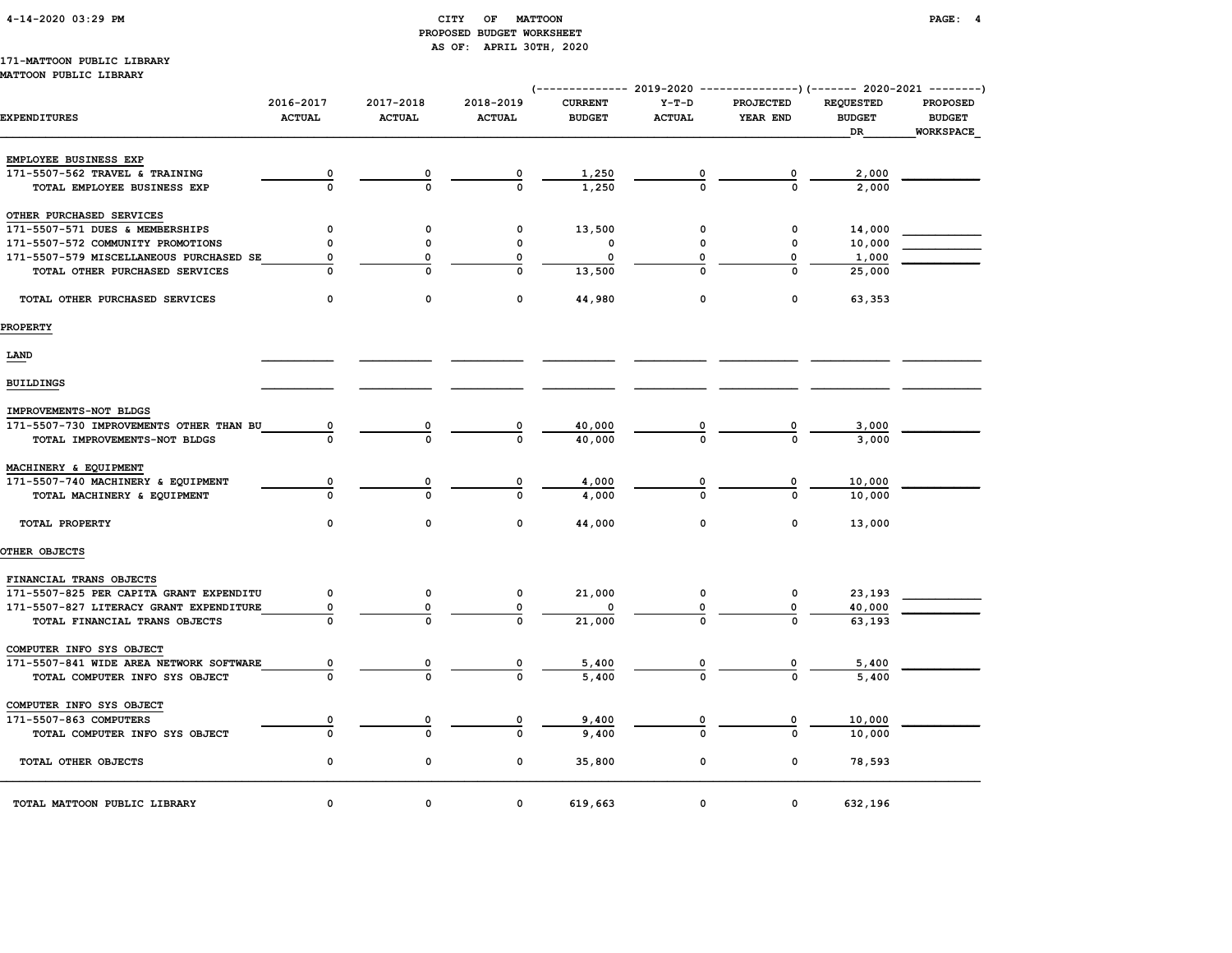#### 4-14-2020 03:29 PM CITY OF MATTOON PAGE: 4 PROPOSED BUDGET WORKSHEET AS OF: APRIL 30TH, 2020

#### 171-MATTOON PUBLIC LIBRARY MATTOON PUBLIC LIBRARY

|                                         |                            |                            |                            |                                 |                          |                              |                                         | (-------------- 2019-2020 ----------------) (------- 2020-2021 --------) |  |
|-----------------------------------------|----------------------------|----------------------------|----------------------------|---------------------------------|--------------------------|------------------------------|-----------------------------------------|--------------------------------------------------------------------------|--|
| <b>EXPENDITURES</b>                     | 2016-2017<br><b>ACTUAL</b> | 2017-2018<br><b>ACTUAL</b> | 2018-2019<br><b>ACTUAL</b> | <b>CURRENT</b><br><b>BUDGET</b> | $Y-T-D$<br><b>ACTUAL</b> | <b>PROJECTED</b><br>YEAR END | <b>REQUESTED</b><br><b>BUDGET</b><br>DR | <b>PROPOSED</b><br><b>BUDGET</b><br>WORKSPACE                            |  |
| EMPLOYEE BUSINESS EXP                   |                            |                            |                            |                                 |                          |                              |                                         |                                                                          |  |
| 171-5507-562 TRAVEL & TRAINING          | $\overline{\mathbf{0}}$    |                            |                            | 1,250                           |                          |                              | 2,000                                   |                                                                          |  |
| TOTAL EMPLOYEE BUSINESS EXP             | $\overline{0}$             | $\frac{0}{0}$              | $\frac{0}{0}$              | 1,250                           |                          | $\frac{0}{0}$                | 2,000                                   |                                                                          |  |
| OTHER PURCHASED SERVICES                |                            |                            |                            |                                 |                          |                              |                                         |                                                                          |  |
| 171-5507-571 DUES & MEMBERSHIPS         | 0                          | $\mathbf 0$                | 0                          | 13,500                          | 0                        | 0                            | 14,000                                  |                                                                          |  |
| 171-5507-572 COMMUNITY PROMOTIONS       | 0                          | $\mathbf 0$                | 0                          | 0                               | $\mathbf 0$              | 0                            | 10,000                                  |                                                                          |  |
| 171-5507-579 MISCELLANEOUS PURCHASED SE | 0                          | 0                          | 0                          | 0                               | 0                        | 0                            | 1,000                                   |                                                                          |  |
| TOTAL OTHER PURCHASED SERVICES          | $\Omega$                   | $\Omega$                   | $\Omega$                   | 13,500                          |                          | $\Omega$                     | 25,000                                  |                                                                          |  |
| TOTAL OTHER PURCHASED SERVICES          | 0                          | 0                          | $\mathbf 0$                | 44,980                          | 0                        | $\mathbf 0$                  | 63,353                                  |                                                                          |  |
| <b>PROPERTY</b>                         |                            |                            |                            |                                 |                          |                              |                                         |                                                                          |  |
| LAND                                    |                            |                            |                            |                                 |                          |                              |                                         |                                                                          |  |
| <b>BUILDINGS</b>                        |                            |                            |                            |                                 |                          |                              |                                         |                                                                          |  |
| IMPROVEMENTS-NOT BLDGS                  |                            |                            |                            |                                 |                          |                              |                                         |                                                                          |  |
| 171-5507-730 IMPROVEMENTS OTHER THAN BU | 0                          | $\frac{0}{0}$              |                            | 40,000                          |                          |                              | 3,000                                   |                                                                          |  |
| TOTAL IMPROVEMENTS-NOT BLDGS            | $\Omega$                   |                            | $\frac{0}{0}$              | 40,000                          |                          |                              | 3,000                                   |                                                                          |  |
| MACHINERY & EQUIPMENT                   |                            |                            |                            |                                 |                          |                              |                                         |                                                                          |  |
| 171-5507-740 MACHINERY & EQUIPMENT      | 0                          | 0                          | 0                          | 4,000                           | 0                        | 0                            | 10,000                                  |                                                                          |  |
| TOTAL MACHINERY & EQUIPMENT             | 0                          | $\Omega$                   | $\Omega$                   | 4,000                           | $\Omega$                 | $\Omega$                     | 10,000                                  |                                                                          |  |
| TOTAL PROPERTY                          | $\Omega$                   | $\mathbf 0$                | $\Omega$                   | 44,000                          | $\Omega$                 | 0                            | 13,000                                  |                                                                          |  |
| OTHER OBJECTS                           |                            |                            |                            |                                 |                          |                              |                                         |                                                                          |  |
| FINANCIAL TRANS OBJECTS                 |                            |                            |                            |                                 |                          |                              |                                         |                                                                          |  |
| 171-5507-825 PER CAPITA GRANT EXPENDITU | 0                          | 0                          | 0                          | 21,000                          | 0                        | 0                            | 23,193                                  |                                                                          |  |
| 171-5507-827 LITERACY GRANT EXPENDITURE | 0                          | 0                          | 0                          |                                 |                          | 0                            | 40,000                                  |                                                                          |  |
| TOTAL FINANCIAL TRANS OBJECTS           | $\Omega$                   |                            | $\Omega$                   | 21,000                          |                          |                              | 63,193                                  |                                                                          |  |
| COMPUTER INFO SYS OBJECT                |                            |                            |                            |                                 |                          |                              |                                         |                                                                          |  |
| 171-5507-841 WIDE AREA NETWORK SOFTWARE | 0                          | 0                          | 0                          | 5,400                           |                          | 0                            | 5,400                                   |                                                                          |  |
| TOTAL COMPUTER INFO SYS OBJECT          | $\Omega$                   | $\mathbf 0$                | $\Omega$                   | 5,400                           |                          | $\mathbf{0}$                 | 5,400                                   |                                                                          |  |
| COMPUTER INFO SYS OBJECT                |                            |                            |                            |                                 |                          |                              |                                         |                                                                          |  |
| 171-5507-863 COMPUTERS                  | 0                          |                            | 0                          | 9,400                           |                          | 0                            | 10,000                                  |                                                                          |  |
| TOTAL COMPUTER INFO SYS OBJECT          | $\Omega$                   | $\Omega$                   | $\mathbf 0$                | 9,400                           |                          | $\Omega$                     | 10,000                                  |                                                                          |  |
| TOTAL OTHER OBJECTS                     | 0                          | 0                          | 0                          | 35,800                          | 0                        | 0                            | 78,593                                  |                                                                          |  |
| TOTAL MATTOON PUBLIC LIBRARY            | $\mathbf 0$                | $\mathbf 0$                | 0                          | 619,663                         | 0                        | $\mathbf 0$                  | 632,196                                 |                                                                          |  |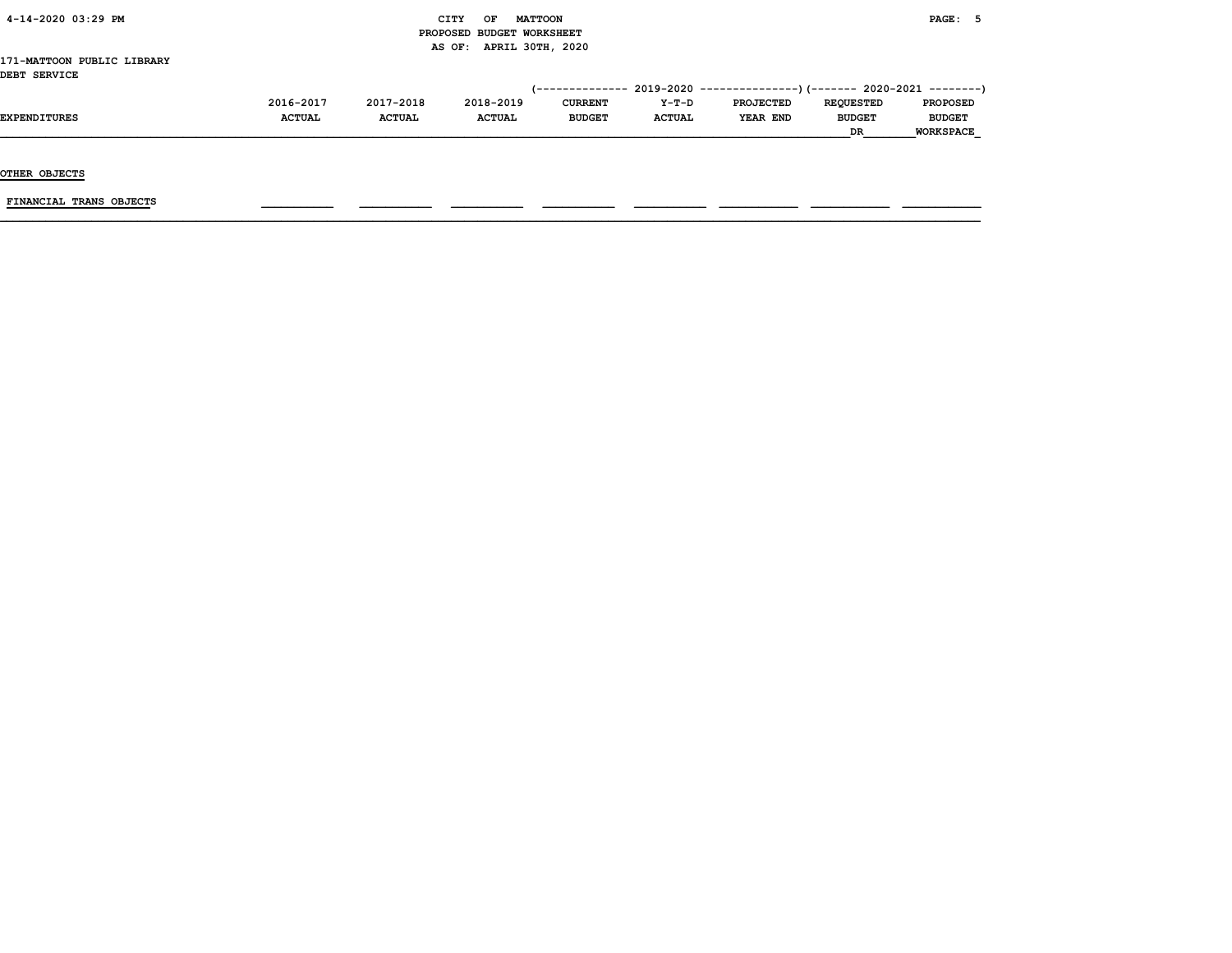| 4-14-2020 03:29 PM |  |
|--------------------|--|
|                    |  |

#### $\begin{array}{ccc} \text{CITY} & \text{OF} & \text{MATTCON} \end{array}$  PROPOSED BUDGET WORKSHEET AS OF: APRIL 30TH, 2020

#### 171-MATTOON PUBLIC LIBRARY DEBT SERVICE

| ---------------- |               |               |               |                |               |                                                                             |                  |                  |
|------------------|---------------|---------------|---------------|----------------|---------------|-----------------------------------------------------------------------------|------------------|------------------|
|                  |               |               |               |                |               | $(-$ ------------- 2019-2020 ----------------) (------- 2020-2021 --------) |                  |                  |
|                  | 2016-2017     | 2017-2018     | 2018-2019     | <b>CURRENT</b> | $Y-T-D$       | <b>PROJECTED</b>                                                            | <b>REOUESTED</b> | <b>PROPOSED</b>  |
| EXPENDITURES     | <b>ACTUAL</b> | <b>ACTUAL</b> | <b>ACTUAL</b> | <b>BUDGET</b>  | <b>ACTUAL</b> | YEAR END                                                                    | <b>BUDGET</b>    | <b>BUDGET</b>    |
|                  |               |               |               |                |               |                                                                             | <b>DR</b>        | <b>WORKSPACE</b> |

OTHER OBJECTS

 $FINANCIAL$  TRANS OBJECTS  $\qquad \qquad \qquad \qquad$   $\qquad \qquad$   $\qquad \qquad$   $\qquad \qquad$   $\qquad$   $\qquad \qquad$   $\qquad \qquad$   $\qquad \qquad$   $\qquad$   $\qquad$   $\qquad$   $\qquad$   $\qquad$   $\qquad$   $\qquad$   $\qquad$   $\qquad$   $\qquad$   $\qquad$   $\qquad$   $\qquad$   $\qquad$   $\qquad$   $\qquad$   $\qquad$   $\qquad$   $\qquad$   $\qquad$   $\qquad$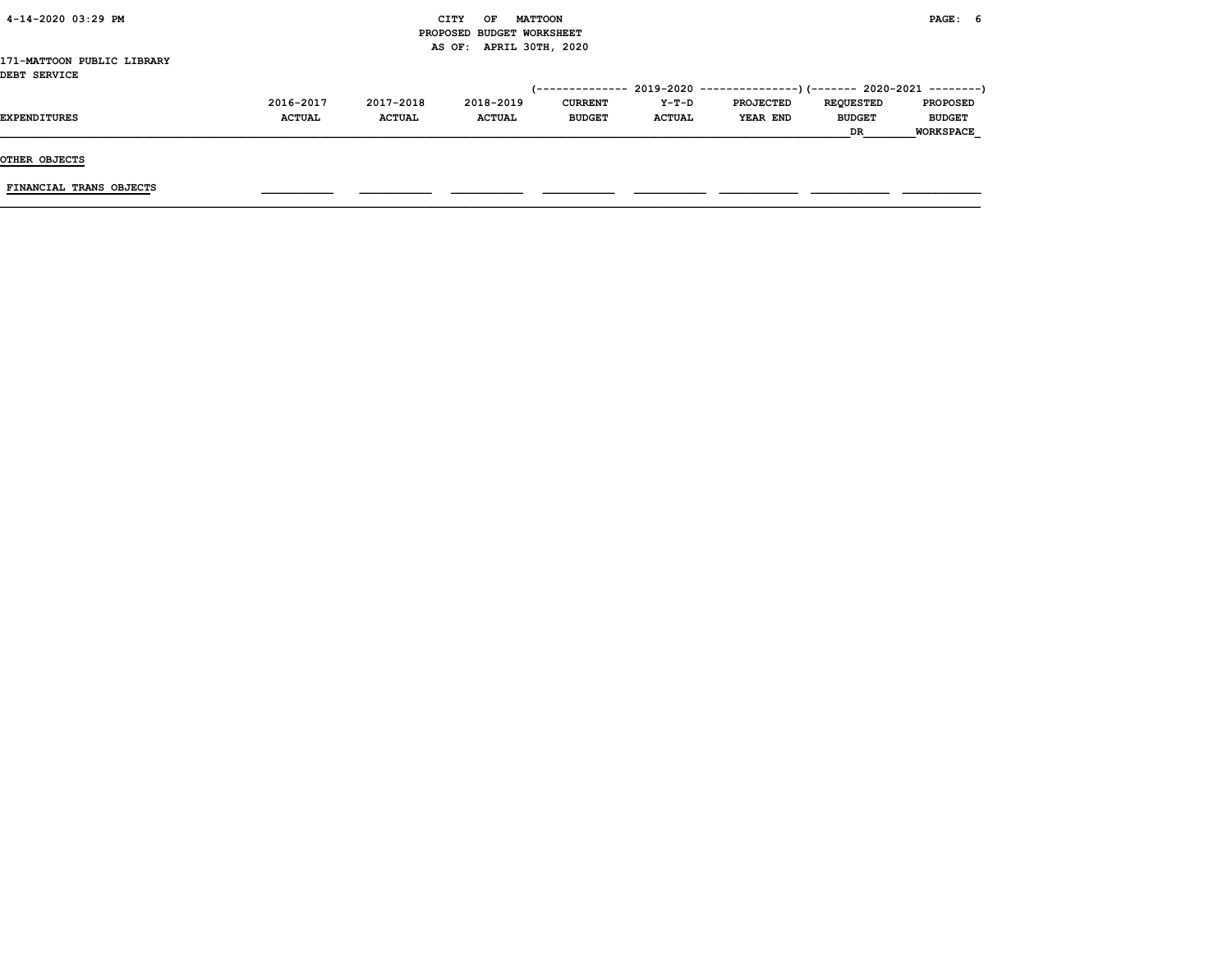| 4-14-2020 03:29 PM         |               |               | CITY<br>OF                | <b>MATTOON</b> |               |                                                                            |                  | PAGE: 6          |  |
|----------------------------|---------------|---------------|---------------------------|----------------|---------------|----------------------------------------------------------------------------|------------------|------------------|--|
|                            |               |               | PROPOSED BUDGET WORKSHEET |                |               |                                                                            |                  |                  |  |
|                            |               |               | AS OF: APRIL 30TH, 2020   |                |               |                                                                            |                  |                  |  |
| 171-MATTOON PUBLIC LIBRARY |               |               |                           |                |               |                                                                            |                  |                  |  |
| DEBT SERVICE               |               |               |                           |                |               |                                                                            |                  |                  |  |
|                            |               |               |                           |                |               | (-------------- 2019-2020 -----------------) (------- 2020-2021 ---------) |                  |                  |  |
|                            | 2016-2017     | 2017-2018     | 2018-2019                 | <b>CURRENT</b> | Y-T-D         | <b>PROJECTED</b>                                                           | <b>REQUESTED</b> | <b>PROPOSED</b>  |  |
| <b>EXPENDITURES</b>        | <b>ACTUAL</b> | <b>ACTUAL</b> | <b>ACTUAL</b>             | <b>BUDGET</b>  | <b>ACTUAL</b> | YEAR END                                                                   | <b>BUDGET</b>    | <b>BUDGET</b>    |  |
|                            |               |               |                           |                |               |                                                                            | <b>DR</b>        | <b>WORKSPACE</b> |  |
|                            |               |               |                           |                |               |                                                                            |                  |                  |  |
| OTHER OBJECTS              |               |               |                           |                |               |                                                                            |                  |                  |  |

 $\blacksquare$  TINANCIAL TRANS OBJECTS  $\blacksquare$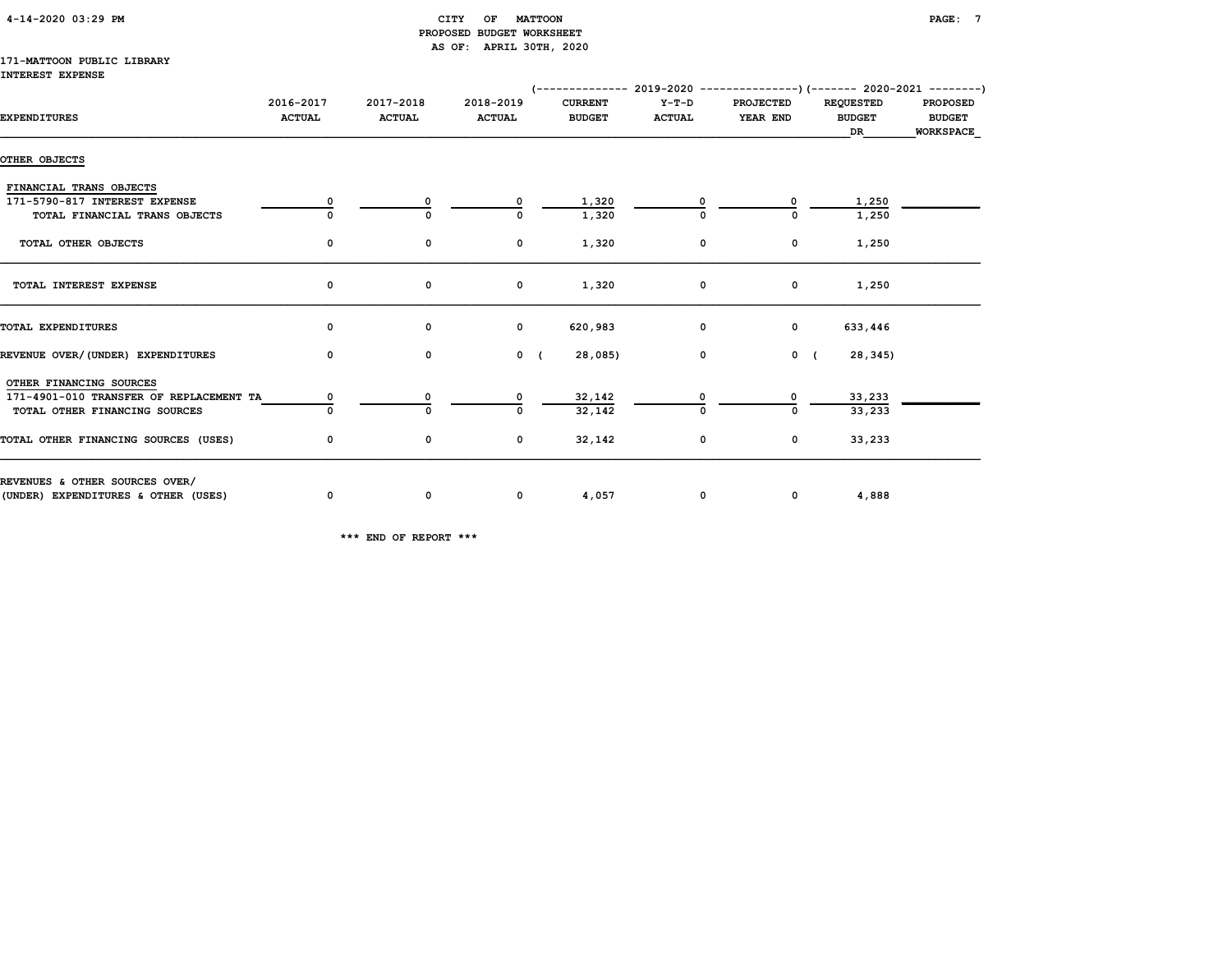| 4-14-2020 03:29 PM |  |
|--------------------|--|
|                    |  |

#### $\begin{array}{ccc} \texttt{CITY} & \texttt{OF} & \texttt{MATTOON} \end{array}$  PROPOSED BUDGET WORKSHEET AS OF: APRIL 30TH, 2020

#### 171-MATTOON PUBLIC LIBRARY INTEREST EXPENSE

|                                         |                            |                            |                            | $(-$ ------------- 2019-2020 ----------------) (------- 2020-2021 --------) |                        |                              |                                         |                                               |
|-----------------------------------------|----------------------------|----------------------------|----------------------------|-----------------------------------------------------------------------------|------------------------|------------------------------|-----------------------------------------|-----------------------------------------------|
| <b>EXPENDITURES</b>                     | 2016-2017<br><b>ACTUAL</b> | 2017-2018<br><b>ACTUAL</b> | 2018-2019<br><b>ACTUAL</b> | <b>CURRENT</b><br><b>BUDGET</b>                                             | Y-T-D<br><b>ACTUAL</b> | <b>PROJECTED</b><br>YEAR END | <b>REQUESTED</b><br><b>BUDGET</b><br>DR | <b>PROPOSED</b><br><b>BUDGET</b><br>WORKSPACE |
| OTHER OBJECTS                           |                            |                            |                            |                                                                             |                        |                              |                                         |                                               |
| FINANCIAL TRANS OBJECTS                 |                            |                            |                            |                                                                             |                        |                              |                                         |                                               |
| 171-5790-817 INTEREST EXPENSE           |                            |                            | 0                          | 1,320                                                                       |                        | 0                            | 1,250                                   |                                               |
| TOTAL FINANCIAL TRANS OBJECTS           |                            | 0                          | 0                          | 1,320                                                                       |                        |                              | 1,250                                   |                                               |
| TOTAL OTHER OBJECTS                     | 0                          | 0                          | 0                          | 1,320                                                                       | 0                      | $\mathbf 0$                  | 1,250                                   |                                               |
| TOTAL INTEREST EXPENSE                  | 0                          | 0                          | 0                          | 1,320                                                                       | 0                      | $\mathbf 0$                  | 1,250                                   |                                               |
| TOTAL EXPENDITURES                      | 0                          | 0                          | $\mathbf{0}$               | 620,983                                                                     | $\mathbf 0$            | $\mathbf{0}$                 | 633,446                                 |                                               |
| REVENUE OVER/(UNDER) EXPENDITURES       | 0                          | $\mathbf 0$                | $0 \left($                 | 28,085)                                                                     | $\mathbf 0$            | $0 \left($                   | 28,345)                                 |                                               |
| OTHER FINANCING SOURCES                 |                            |                            |                            |                                                                             |                        |                              |                                         |                                               |
| 171-4901-010 TRANSFER OF REPLACEMENT TA |                            |                            |                            | 32,142                                                                      |                        |                              | 33,233                                  |                                               |
| TOTAL OTHER FINANCING SOURCES           |                            | <sup>0</sup>               | $\Omega$                   | 32,142                                                                      |                        |                              | 33,233                                  |                                               |
| TOTAL OTHER FINANCING SOURCES (USES)    | 0                          | 0                          | $\mathbf{o}$               | 32,142                                                                      | 0                      | $\mathbf 0$                  | 33,233                                  |                                               |
| REVENUES & OTHER SOURCES OVER/          |                            |                            |                            |                                                                             |                        |                              |                                         |                                               |
| (UNDER) EXPENDITURES & OTHER (USES)     | $\mathbf{o}$               | $\mathbf{o}$               | $\mathbf 0$                | 4,057                                                                       | $\mathbf{o}$           | $\mathbf{0}$                 | 4,888                                   |                                               |

\*\*\* END OF REPORT \*\*\*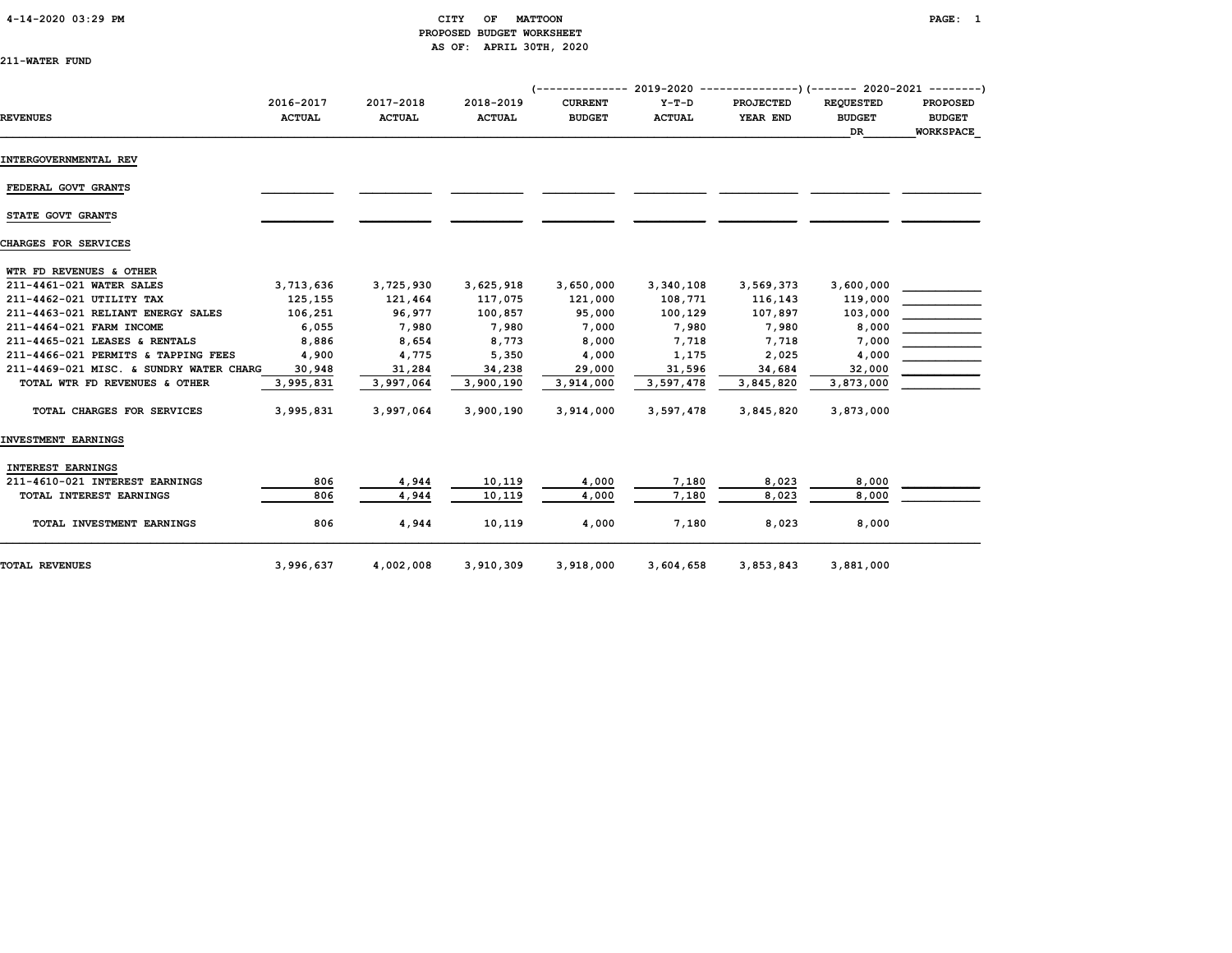#### 4-14-2020 03:29 PM CITY OF MATTOON PAGE: 1 PROPOSED BUDGET WORKSHEET AS OF: APRIL 30TH, 2020

| 211-WATER FUND |  |
|----------------|--|
|----------------|--|

|                                         |                            |                            |                            |                                 |                          | $(---------- 2019-2020 ------------)$ $(---- 2020-2021 ------)$ |                                          |                                                      |
|-----------------------------------------|----------------------------|----------------------------|----------------------------|---------------------------------|--------------------------|-----------------------------------------------------------------|------------------------------------------|------------------------------------------------------|
| <b>REVENUES</b>                         | 2016-2017<br><b>ACTUAL</b> | 2017-2018<br><b>ACTUAL</b> | 2018-2019<br><b>ACTUAL</b> | <b>CURRENT</b><br><b>BUDGET</b> | $Y-T-D$<br><b>ACTUAL</b> | <b>PROJECTED</b><br>YEAR END                                    | <b>REQUESTED</b><br><b>BUDGET</b><br>DR. | <b>PROPOSED</b><br><b>BUDGET</b><br><b>WORKSPACE</b> |
| INTERGOVERNMENTAL REV                   |                            |                            |                            |                                 |                          |                                                                 |                                          |                                                      |
| FEDERAL GOVT GRANTS                     |                            |                            |                            |                                 |                          |                                                                 |                                          |                                                      |
| STATE GOVT GRANTS                       |                            |                            |                            |                                 |                          |                                                                 |                                          |                                                      |
| CHARGES FOR SERVICES                    |                            |                            |                            |                                 |                          |                                                                 |                                          |                                                      |
| WTR FD REVENUES & OTHER                 |                            |                            |                            |                                 |                          |                                                                 |                                          |                                                      |
| 211-4461-021 WATER SALES                | 3,713,636                  | 3,725,930                  | 3,625,918                  | 3,650,000                       | 3,340,108                | 3,569,373                                                       | 3,600,000                                |                                                      |
| 211-4462-021 UTILITY TAX                | 125,155                    | 121,464                    | 117,075                    | 121,000                         | 108,771                  | 116,143                                                         | 119,000                                  |                                                      |
| 211-4463-021 RELIANT ENERGY SALES       | 106,251                    | 96,977                     | 100,857                    | 95,000                          | 100,129                  | 107,897                                                         | 103,000                                  |                                                      |
| 211-4464-021 FARM INCOME                | 6,055                      | 7,980                      | 7,980                      | 7,000                           | 7,980                    | 7,980                                                           | 8,000                                    |                                                      |
| 211-4465-021 LEASES & RENTALS           | 8,886                      | 8,654                      | 8,773                      | 8,000                           | 7,718                    | 7,718                                                           | 7,000                                    |                                                      |
| 211-4466-021 PERMITS & TAPPING FEES     | 4,900                      | 4,775                      | 5,350                      | 4,000                           | 1,175                    | 2,025                                                           | 4,000                                    |                                                      |
| 211-4469-021 MISC. & SUNDRY WATER CHARG | 30,948                     | 31,284                     | 34,238                     | 29,000                          | 31,596                   | 34,684                                                          | 32,000                                   |                                                      |
| TOTAL WTR FD REVENUES & OTHER           | 3,995,831                  | 3,997,064                  | 3,900,190                  | 3,914,000                       | 3,597,478                | 3,845,820                                                       | 3,873,000                                |                                                      |
| TOTAL CHARGES FOR SERVICES              | 3,995,831                  | 3,997,064                  | 3,900,190                  | 3,914,000                       | 3,597,478                | 3,845,820                                                       | 3,873,000                                |                                                      |
| INVESTMENT EARNINGS                     |                            |                            |                            |                                 |                          |                                                                 |                                          |                                                      |
| INTEREST EARNINGS                       |                            |                            |                            |                                 |                          |                                                                 |                                          |                                                      |
| 211-4610-021 INTEREST EARNINGS          | 806                        | 4,944                      | 10,119                     | 4,000                           | 7,180                    | 8,023                                                           | 8,000                                    |                                                      |
| TOTAL INTEREST EARNINGS                 | 806                        | 4,944                      | 10,119                     | 4,000                           | 7,180                    | 8,023                                                           | 8,000                                    |                                                      |
| TOTAL INVESTMENT EARNINGS               | 806                        | 4,944                      | 10,119                     | 4,000                           | 7,180                    | 8,023                                                           | 8,000                                    |                                                      |
| TOTAL REVENUES                          | 3,996,637                  | 4,002,008                  | 3,910,309                  | 3,918,000                       | 3,604,658                | 3,853,843                                                       | 3,881,000                                |                                                      |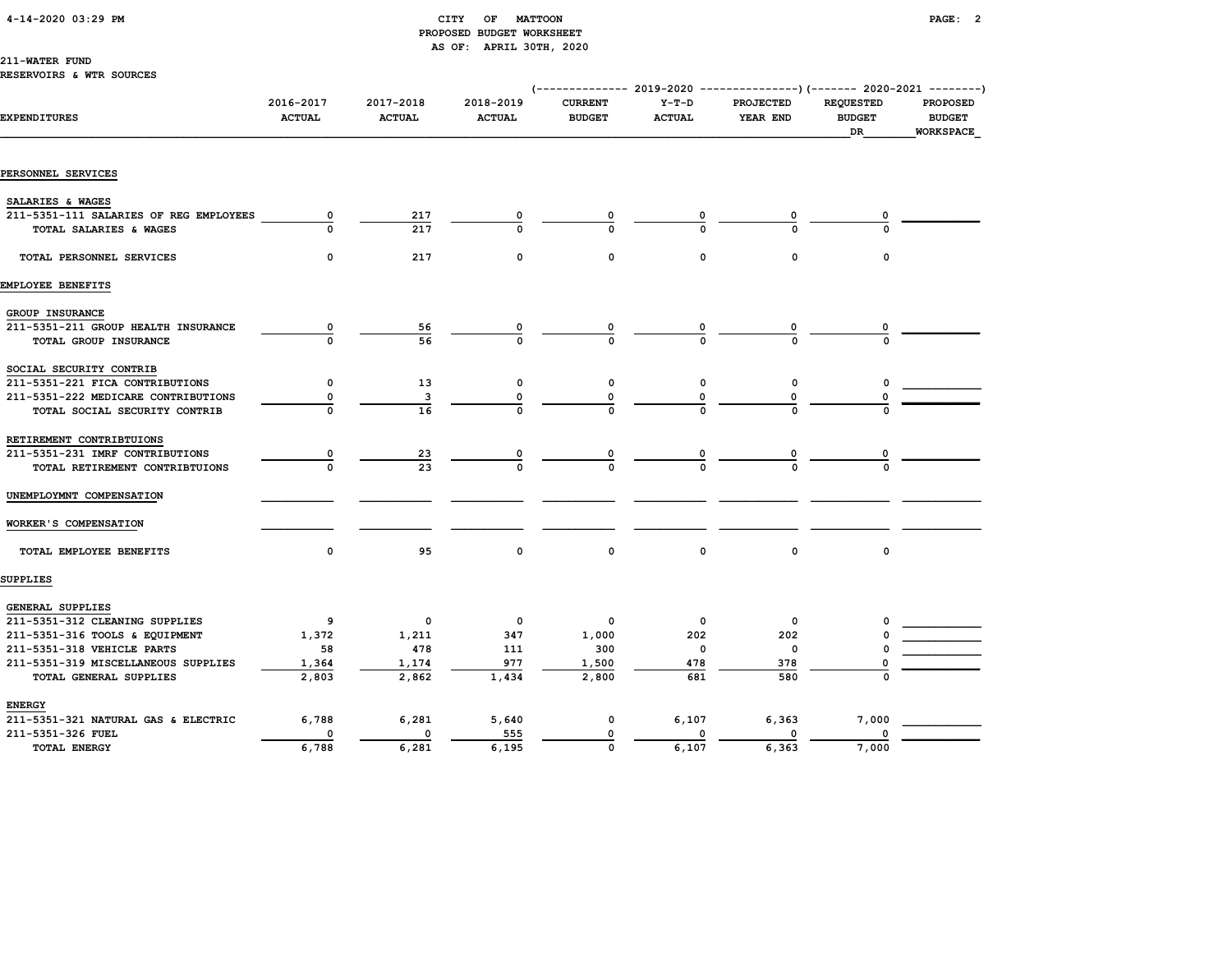#### 4-14-2020 03:29 PM CITY OF MATTOON PAGE: 2

# PROPOSED BUDGET WORKSHEET AS OF: APRIL 30TH, 2020

#### 211-WATER FUND

| <b>RESERVOIRS &amp; WTR SOURCES</b> |  |  |  |
|-------------------------------------|--|--|--|
|-------------------------------------|--|--|--|

|                                        |                            |                            |                            | (-------------- 2019-2020 ----------------) (------- 2020-2021 --------) |                          |                       |                                         |                                               |
|----------------------------------------|----------------------------|----------------------------|----------------------------|--------------------------------------------------------------------------|--------------------------|-----------------------|-----------------------------------------|-----------------------------------------------|
| <b>EXPENDITURES</b>                    | 2016-2017<br><b>ACTUAL</b> | 2017-2018<br><b>ACTUAL</b> | 2018-2019<br><b>ACTUAL</b> | <b>CURRENT</b><br><b>BUDGET</b>                                          | $Y-T-D$<br><b>ACTUAL</b> | PROJECTED<br>YEAR END | <b>REQUESTED</b><br><b>BUDGET</b><br>DR | PROPOSED<br><b>BUDGET</b><br><b>WORKSPACE</b> |
|                                        |                            |                            |                            |                                                                          |                          |                       |                                         |                                               |
| PERSONNEL SERVICES                     |                            |                            |                            |                                                                          |                          |                       |                                         |                                               |
| SALARIES & WAGES                       |                            |                            |                            |                                                                          |                          |                       |                                         |                                               |
| 211-5351-111 SALARIES OF REG EMPLOYEES | 0                          | 217                        |                            |                                                                          |                          | 0                     |                                         |                                               |
| TOTAL SALARIES & WAGES                 |                            | 217                        |                            | O                                                                        |                          |                       |                                         |                                               |
| TOTAL PERSONNEL SERVICES               | 0                          | 217                        | 0                          | $\mathbf 0$                                                              | 0                        | 0                     | 0                                       |                                               |
| EMPLOYEE BENEFITS                      |                            |                            |                            |                                                                          |                          |                       |                                         |                                               |
| GROUP INSURANCE                        |                            |                            |                            |                                                                          |                          |                       |                                         |                                               |
| 211-5351-211 GROUP HEALTH INSURANCE    | $\overline{\mathbf{0}}$    | <u>56</u>                  |                            |                                                                          |                          |                       |                                         |                                               |
| TOTAL GROUP INSURANCE                  |                            | 56                         |                            |                                                                          |                          |                       |                                         |                                               |
| SOCIAL SECURITY CONTRIB                |                            |                            |                            |                                                                          |                          |                       |                                         |                                               |
| 211-5351-221 FICA CONTRIBUTIONS        | 0                          | 13                         | 0                          | 0                                                                        | 0                        | 0                     |                                         |                                               |
| 211-5351-222 MEDICARE CONTRIBUTIONS    | 0                          | з                          | 0                          |                                                                          | 0                        |                       |                                         |                                               |
| TOTAL SOCIAL SECURITY CONTRIB          |                            | 16                         |                            |                                                                          |                          |                       |                                         |                                               |
| RETIREMENT CONTRIBTUIONS               |                            |                            |                            |                                                                          |                          |                       |                                         |                                               |
| 211-5351-231 IMRF CONTRIBUTIONS        |                            | <u>23</u>                  |                            |                                                                          |                          |                       |                                         |                                               |
| TOTAL RETIREMENT CONTRIBTUIONS         |                            | 23                         |                            |                                                                          |                          |                       |                                         |                                               |
| UNEMPLOYMNT COMPENSATION               |                            |                            |                            |                                                                          |                          |                       |                                         |                                               |
| WORKER'S COMPENSATION                  |                            |                            |                            |                                                                          |                          |                       |                                         |                                               |
| TOTAL EMPLOYEE BENEFITS                | 0                          | 95                         | $\mathsf{o}\,$             | $\mathsf{o}\,$                                                           | $\mathbf 0$              | $\mathbf 0$           | 0                                       |                                               |
| SUPPLIES                               |                            |                            |                            |                                                                          |                          |                       |                                         |                                               |
| GENERAL SUPPLIES                       |                            |                            |                            |                                                                          |                          |                       |                                         |                                               |
| 211-5351-312 CLEANING SUPPLIES         | 9                          | $\mathbf 0$                | $\mathbf 0$                | 0                                                                        | $\mathbf{o}$             | 0                     |                                         |                                               |
| 211-5351-316 TOOLS & EQUIPMENT         | 1,372                      | 1,211                      | 347                        | 1,000                                                                    | 202                      | 202                   |                                         |                                               |
| 211-5351-318 VEHICLE PARTS             | 58                         | 478                        | 111                        | 300                                                                      | 0                        | 0                     |                                         |                                               |
| 211-5351-319 MISCELLANEOUS SUPPLIES    | 1,364                      | 1,174                      | 977                        | 1,500                                                                    | 478                      | 378                   |                                         |                                               |
| TOTAL GENERAL SUPPLIES                 | 2,803                      | 2,862                      | 1,434                      | 2,800                                                                    | 681                      | 580                   |                                         |                                               |
| <b>ENERGY</b>                          |                            |                            |                            |                                                                          |                          |                       |                                         |                                               |
| 211-5351-321 NATURAL GAS & ELECTRIC    | 6,788                      | 6,281                      | 5,640                      | $\pmb{\mathsf{0}}$                                                       | 6,107                    | 6,363                 | 7,000                                   |                                               |
| 211-5351-326 FUEL                      | 0                          | 0                          | 555                        | 0                                                                        | $\Omega$                 | 0                     |                                         |                                               |
| TOTAL ENERGY                           | 6,788                      | 6,281                      | 6,195                      | $\mathbf 0$                                                              | 6,107                    | 6,363                 | 7,000                                   |                                               |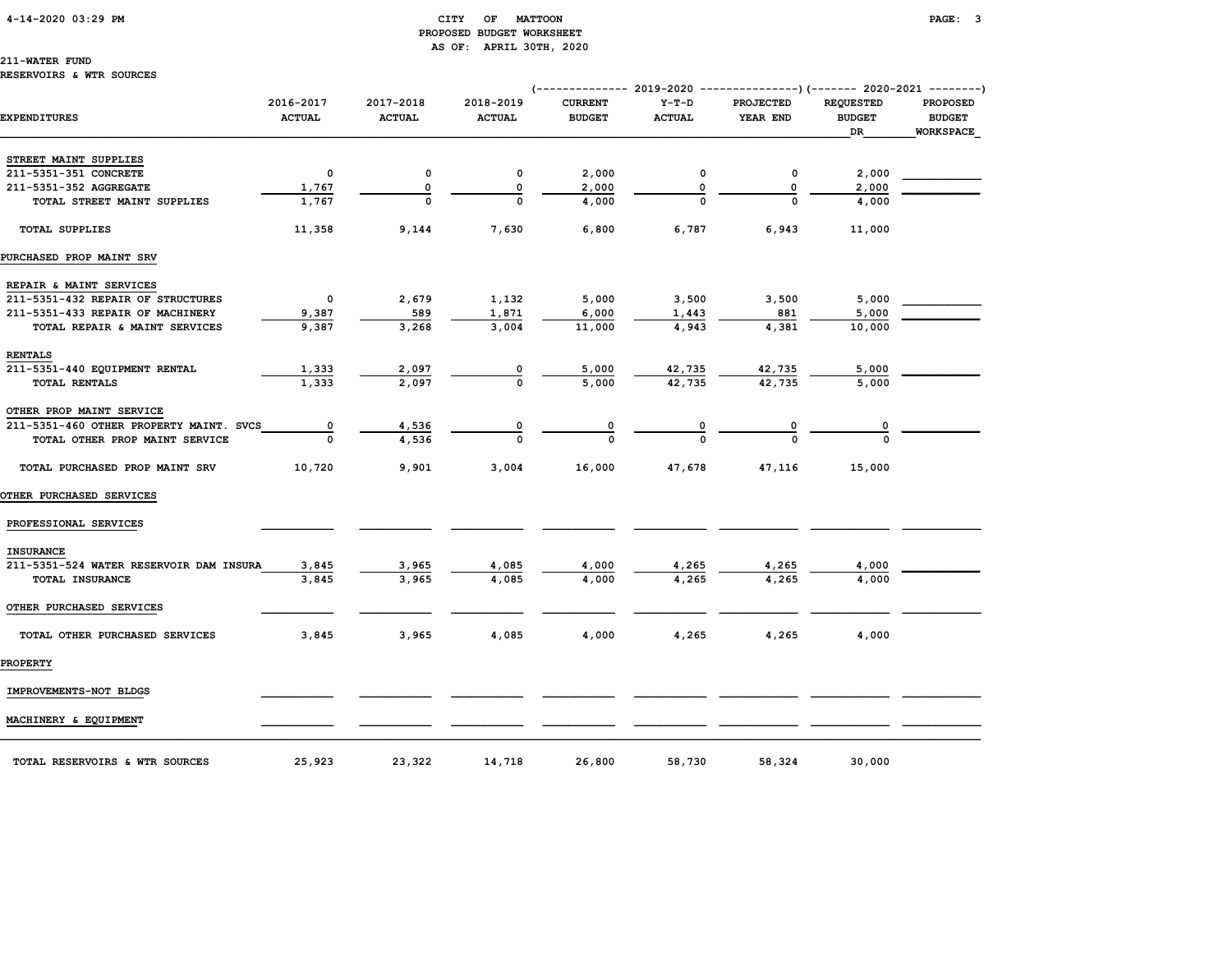#### 4-14-2020 03:29 PM CITY OF MATTOON PAGE: 3 PROPOSED BUDGET WORKSHEET AS OF: APRIL 30TH, 2020

211-WATER FUND

### RESERVOIRS & WTR SOURCES

|                                         |                            |                            |                            |                                 |                          | (-------------- 2019-2020 ----------------) (------- 2020-2021 --------) |                                         |                                               |
|-----------------------------------------|----------------------------|----------------------------|----------------------------|---------------------------------|--------------------------|--------------------------------------------------------------------------|-----------------------------------------|-----------------------------------------------|
| EXPENDITURES                            | 2016-2017<br><b>ACTUAL</b> | 2017-2018<br><b>ACTUAL</b> | 2018-2019<br><b>ACTUAL</b> | <b>CURRENT</b><br><b>BUDGET</b> | $Y-T-D$<br><b>ACTUAL</b> | <b>PROJECTED</b><br>YEAR END                                             | <b>REQUESTED</b><br><b>BUDGET</b><br>DR | <b>PROPOSED</b><br><b>BUDGET</b><br>WORKSPACE |
| STREET MAINT SUPPLIES                   |                            |                            |                            |                                 |                          |                                                                          |                                         |                                               |
| 211-5351-351 CONCRETE                   | $\mathbf 0$                | 0                          | 0                          | 2,000                           | 0                        | $\mathbf 0$                                                              | 2,000                                   |                                               |
| 211-5351-352 AGGREGATE                  | 1,767                      | 0                          | 0                          | 2,000                           | 0                        | 0                                                                        | 2,000                                   |                                               |
| TOTAL STREET MAINT SUPPLIES             | 1,767                      | $\Omega$                   | $\Omega$                   | 4,000                           |                          | $\Omega$                                                                 | 4,000                                   |                                               |
| <b>TOTAL SUPPLIES</b>                   | 11,358                     | 9,144                      | 7,630                      | 6,800                           | 6,787                    | 6,943                                                                    | 11,000                                  |                                               |
| PURCHASED PROP MAINT SRV                |                            |                            |                            |                                 |                          |                                                                          |                                         |                                               |
| REPAIR & MAINT SERVICES                 |                            |                            |                            |                                 |                          |                                                                          |                                         |                                               |
| 211-5351-432 REPAIR OF STRUCTURES       | $\mathbf 0$                | 2,679                      | 1,132                      | 5,000                           | 3,500                    | 3,500                                                                    | 5,000                                   |                                               |
| 211-5351-433 REPAIR OF MACHINERY        | 9,387                      | 589                        | 1,871                      | 6,000                           | 1,443                    | 881                                                                      | 5,000                                   |                                               |
| TOTAL REPAIR & MAINT SERVICES           | 9,387                      | 3,268                      | 3,004                      | 11,000                          | 4,943                    | 4,381                                                                    | 10,000                                  |                                               |
| <b>RENTALS</b>                          |                            |                            |                            |                                 |                          |                                                                          |                                         |                                               |
| 211-5351-440 EQUIPMENT RENTAL           | 1,333                      | 2,097                      |                            | 5,000                           | 42,735                   | 42,735                                                                   | 5,000                                   |                                               |
| <b>TOTAL RENTALS</b>                    | 1,333                      | 2,097                      | $\Omega$                   | 5,000                           | 42,735                   | 42,735                                                                   | 5,000                                   |                                               |
| OTHER PROP MAINT SERVICE                |                            |                            |                            |                                 |                          |                                                                          |                                         |                                               |
| 211-5351-460 OTHER PROPERTY MAINT. SVCS | $\mathbf{o}$               | 4,536                      |                            |                                 |                          |                                                                          | 0                                       |                                               |
| TOTAL OTHER PROP MAINT SERVICE          | $\Omega$                   | 4,536                      | $\Omega$                   |                                 |                          |                                                                          | $\Omega$                                |                                               |
| TOTAL PURCHASED PROP MAINT SRV          | 10,720                     | 9,901                      | 3,004                      | 16,000                          | 47,678                   | 47,116                                                                   | 15,000                                  |                                               |
| <b>OTHER PURCHASED SERVICES</b>         |                            |                            |                            |                                 |                          |                                                                          |                                         |                                               |
| PROFESSIONAL SERVICES                   |                            |                            |                            |                                 |                          |                                                                          |                                         |                                               |
| <b>INSURANCE</b>                        |                            |                            |                            |                                 |                          |                                                                          |                                         |                                               |
| 211-5351-524 WATER RESERVOIR DAM INSURA | 3,845                      | 3,965                      | 4,085                      | 4,000                           | 4,265                    | 4,265                                                                    | 4,000                                   |                                               |
| TOTAL INSURANCE                         | 3,845                      | 3,965                      | 4,085                      | 4,000                           | 4,265                    | 4,265                                                                    | 4,000                                   |                                               |
| OTHER PURCHASED SERVICES                |                            |                            |                            |                                 |                          |                                                                          |                                         |                                               |
| TOTAL OTHER PURCHASED SERVICES          | 3,845                      | 3,965                      | 4,085                      | 4,000                           | 4,265                    | 4,265                                                                    | 4,000                                   |                                               |
| <b>PROPERTY</b>                         |                            |                            |                            |                                 |                          |                                                                          |                                         |                                               |
| IMPROVEMENTS-NOT BLDGS                  |                            |                            |                            |                                 |                          |                                                                          |                                         |                                               |
| MACHINERY & EQUIPMENT                   |                            |                            |                            |                                 |                          |                                                                          |                                         |                                               |
| TOTAL RESERVOIRS & WTR SOURCES          | 25,923                     | 23,322                     | 14,718                     | 26,800                          | 58,730                   | 58,324                                                                   | 30,000                                  |                                               |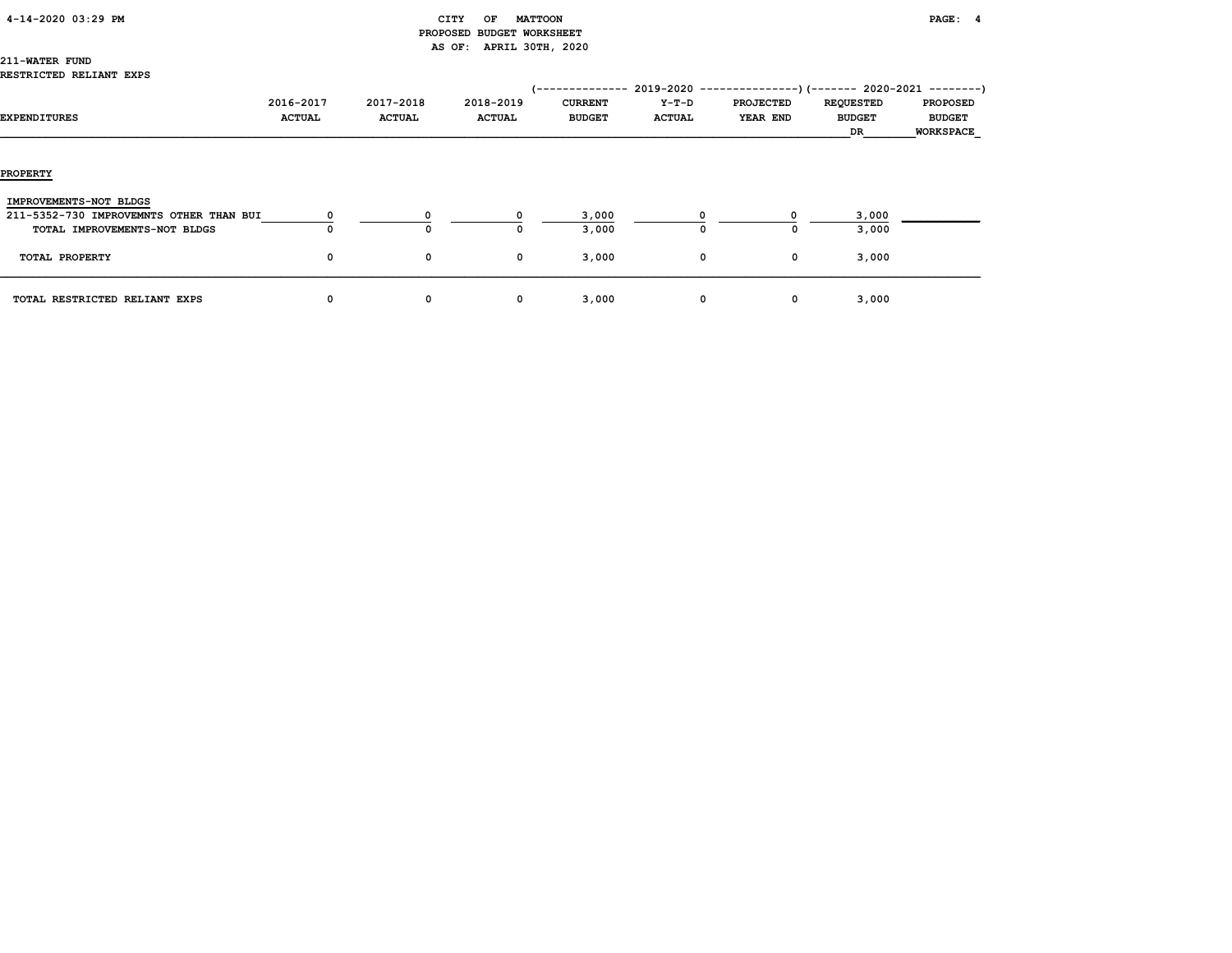#### CITY OF MATTOON **PAGE:** 4 PROPOSED BUDGET WORKSHEET AS OF: APRIL 30TH, 2020

# 211-WATER FUND

|                                         |               |               |               | 1-------------- | $2019 - 2020 -$ | -------------)(------- 2020-2021 ---------) |                  |                  |
|-----------------------------------------|---------------|---------------|---------------|-----------------|-----------------|---------------------------------------------|------------------|------------------|
|                                         | 2016-2017     | 2017-2018     | 2018-2019     | <b>CURRENT</b>  | Y-T-D           | <b>PROJECTED</b>                            | <b>REQUESTED</b> | <b>PROPOSED</b>  |
| <b>EXPENDITURES</b>                     | <b>ACTUAL</b> | <b>ACTUAL</b> | <b>ACTUAL</b> | <b>BUDGET</b>   | <b>ACTUAL</b>   | YEAR END                                    | <b>BUDGET</b>    | <b>BUDGET</b>    |
|                                         |               |               |               |                 |                 |                                             | DR               | <b>WORKSPACE</b> |
|                                         |               |               |               |                 |                 |                                             |                  |                  |
|                                         |               |               |               |                 |                 |                                             |                  |                  |
| <b>PROPERTY</b>                         |               |               |               |                 |                 |                                             |                  |                  |
|                                         |               |               |               |                 |                 |                                             |                  |                  |
| IMPROVEMENTS-NOT BLDGS                  |               |               |               |                 |                 |                                             |                  |                  |
| 211-5352-730 IMPROVEMNTS OTHER THAN BUI |               |               |               | 3,000           |                 |                                             | 3,000            |                  |
| TOTAL IMPROVEMENTS-NOT BLDGS            |               | $\Omega$      |               | 3,000           | O               | 0                                           | 3,000            |                  |
|                                         |               |               |               |                 |                 |                                             |                  |                  |
| TOTAL PROPERTY                          | 0             | 0             | 0             | 3,000           | 0               | 0                                           | 3,000            |                  |
|                                         |               |               |               |                 |                 |                                             |                  |                  |
| TOTAL RESTRICTED RELIANT EXPS           | 0             | 0             | 0             | 3,000           | 0               | 0                                           | 3,000            |                  |
|                                         |               |               |               |                 |                 |                                             |                  |                  |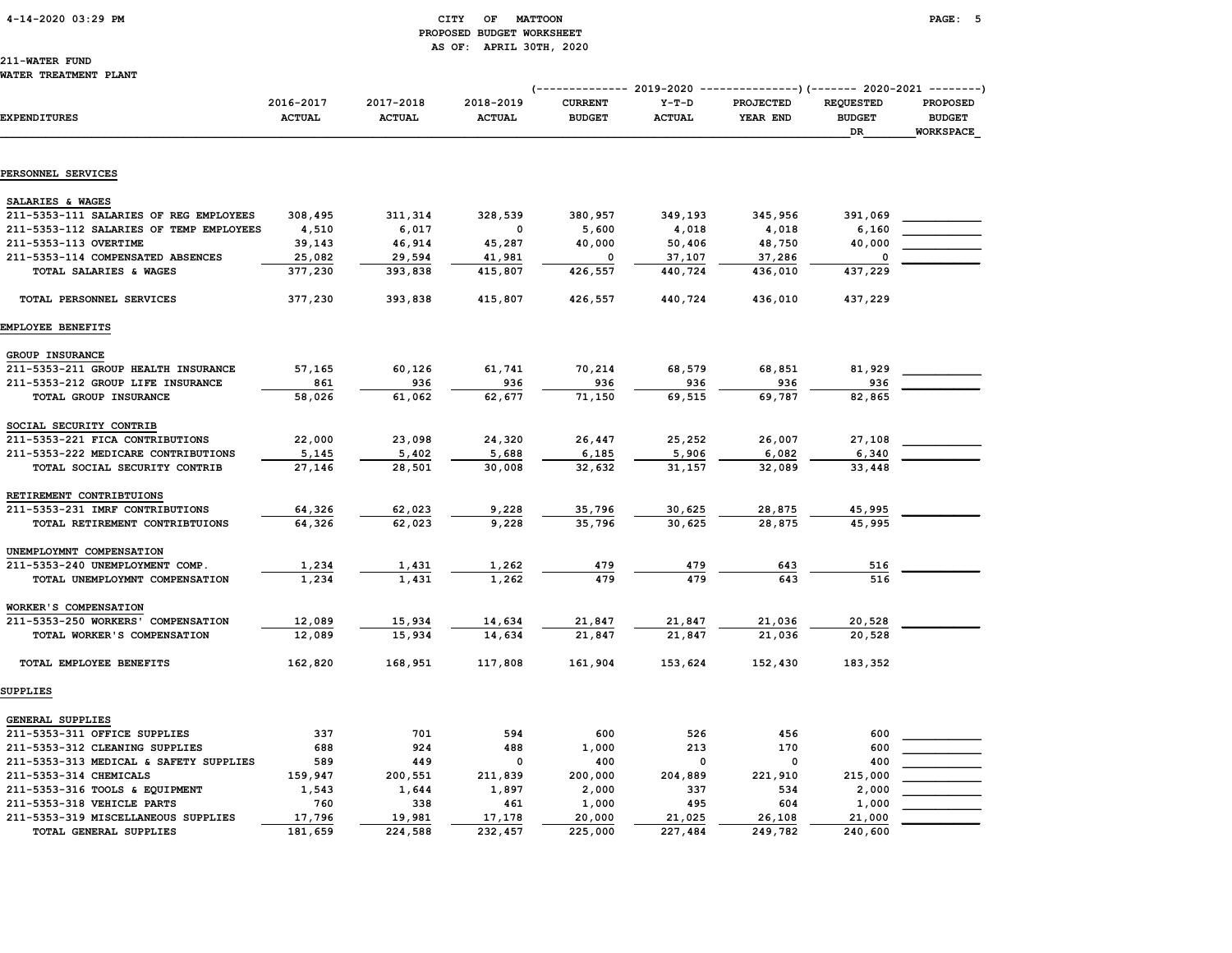#### 4-14-2020 03:29 PM CITY OF MATTOON PAGE: 5 PROPOSED BUDGET WORKSHEET AS OF: APRIL 30TH, 2020

# 211-WATER FUND

|                                                               |                            |                            |                            |                                 |                          | (------------- 2019-2020 ----------------) (------- 2020-2021 --------) |                                         |                                                      |
|---------------------------------------------------------------|----------------------------|----------------------------|----------------------------|---------------------------------|--------------------------|-------------------------------------------------------------------------|-----------------------------------------|------------------------------------------------------|
| EXPENDITURES                                                  | 2016-2017<br><b>ACTUAL</b> | 2017-2018<br><b>ACTUAL</b> | 2018-2019<br><b>ACTUAL</b> | <b>CURRENT</b><br><b>BUDGET</b> | $Y-T-D$<br><b>ACTUAL</b> | <b>PROJECTED</b><br>YEAR END                                            | <b>REQUESTED</b><br><b>BUDGET</b><br>DR | <b>PROPOSED</b><br><b>BUDGET</b><br><b>WORKSPACE</b> |
| PERSONNEL SERVICES                                            |                            |                            |                            |                                 |                          |                                                                         |                                         |                                                      |
|                                                               |                            |                            |                            |                                 |                          |                                                                         |                                         |                                                      |
| SALARIES & WAGES                                              |                            |                            |                            |                                 |                          |                                                                         |                                         |                                                      |
| 211-5353-111 SALARIES OF REG EMPLOYEES                        | 308,495                    | 311,314                    | 328,539                    | 380,957                         | 349,193                  | 345,956                                                                 | 391,069                                 |                                                      |
| 211-5353-112 SALARIES OF TEMP EMPLOYEES                       | 4,510                      | 6,017                      | $\mathbf 0$                | 5,600                           | 4,018                    | 4,018                                                                   | 6,160                                   |                                                      |
| 211-5353-113 OVERTIME                                         | 39,143                     | 46,914                     | 45,287                     | 40,000                          | 50,406                   | 48,750                                                                  | 40,000                                  |                                                      |
| 211-5353-114 COMPENSATED ABSENCES                             | 25,082                     | 29,594                     | 41,981                     | $\mathbf 0$                     | 37,107                   | 37,286                                                                  |                                         |                                                      |
| TOTAL SALARIES & WAGES                                        | 377,230                    | 393,838                    | 415,807                    | 426,557                         | 440,724                  | 436,010                                                                 | 437,229                                 |                                                      |
| TOTAL PERSONNEL SERVICES                                      | 377,230                    | 393,838                    | 415,807                    | 426,557                         | 440,724                  | 436,010                                                                 | 437,229                                 |                                                      |
| EMPLOYEE BENEFITS                                             |                            |                            |                            |                                 |                          |                                                                         |                                         |                                                      |
| GROUP INSURANCE                                               |                            |                            |                            |                                 |                          |                                                                         |                                         |                                                      |
| 211-5353-211 GROUP HEALTH INSURANCE                           | 57,165                     | 60,126                     | 61,741                     | 70,214                          | 68,579                   | 68,851                                                                  | 81,929                                  |                                                      |
| 211-5353-212 GROUP LIFE INSURANCE                             | 861                        | 936                        | 936                        | 936                             | 936                      | 936                                                                     | 936                                     |                                                      |
| TOTAL GROUP INSURANCE                                         | 58,026                     | 61,062                     | 62,677                     | 71,150                          | 69,515                   | 69,787                                                                  | 82,865                                  |                                                      |
|                                                               |                            |                            |                            |                                 |                          |                                                                         |                                         |                                                      |
| SOCIAL SECURITY CONTRIB                                       |                            |                            |                            |                                 |                          |                                                                         |                                         |                                                      |
| 211-5353-221 FICA CONTRIBUTIONS                               | 22,000                     | 23,098                     | 24,320                     | 26,447                          | 25,252                   | 26,007                                                                  | 27,108                                  |                                                      |
| 211-5353-222 MEDICARE CONTRIBUTIONS                           | 5,145                      | 5,402                      | 5,688                      | 6,185                           | 5,906                    | 6,082                                                                   | 6,340                                   |                                                      |
| TOTAL SOCIAL SECURITY CONTRIB                                 | 27,146                     | 28,501                     | 30,008                     | 32,632                          | 31,157                   | 32,089                                                                  | 33,448                                  |                                                      |
| RETIREMENT CONTRIBTUIONS                                      |                            |                            |                            |                                 |                          |                                                                         |                                         |                                                      |
| 211-5353-231 IMRF CONTRIBUTIONS                               | 64,326                     | 62,023                     | 9,228                      | 35,796                          | 30,625                   | 28,875                                                                  | 45,995                                  |                                                      |
| TOTAL RETIREMENT CONTRIBTUIONS                                | 64,326                     | 62,023                     | 9,228                      | 35,796                          | 30,625                   | 28,875                                                                  | 45,995                                  |                                                      |
|                                                               |                            |                            |                            |                                 |                          |                                                                         |                                         |                                                      |
| UNEMPLOYMNT COMPENSATION                                      |                            |                            |                            |                                 |                          |                                                                         |                                         |                                                      |
| 211-5353-240 UNEMPLOYMENT COMP.                               | 1,234                      | 1,431                      | 1,262                      | 479                             | 479                      | 643                                                                     | 516                                     |                                                      |
| TOTAL UNEMPLOYMNT COMPENSATION                                | 1,234                      | 1,431                      | 1,262                      | 479                             | 479                      | 643                                                                     | 516                                     |                                                      |
| WORKER'S COMPENSATION                                         |                            |                            |                            |                                 |                          |                                                                         |                                         |                                                      |
| 211-5353-250 WORKERS' COMPENSATION                            | 12,089                     | 15,934                     | 14,634                     | 21,847                          | 21,847                   | 21,036                                                                  | 20,528                                  |                                                      |
| TOTAL WORKER'S COMPENSATION                                   | 12,089                     | 15,934                     | 14,634                     | 21,847                          | 21,847                   | 21,036                                                                  | 20,528                                  |                                                      |
| TOTAL EMPLOYEE BENEFITS                                       | 162,820                    | 168,951                    | 117,808                    | 161,904                         | 153,624                  | 152,430                                                                 | 183,352                                 |                                                      |
| SUPPLIES                                                      |                            |                            |                            |                                 |                          |                                                                         |                                         |                                                      |
|                                                               |                            |                            |                            |                                 |                          |                                                                         |                                         |                                                      |
| GENERAL SUPPLIES                                              |                            |                            |                            |                                 |                          |                                                                         |                                         |                                                      |
| 211-5353-311 OFFICE SUPPLIES                                  | 337                        | 701                        | 594                        | 600                             | 526                      | 456                                                                     | 600                                     |                                                      |
| 211-5353-312 CLEANING SUPPLIES                                | 688                        | 924                        | 488                        | 1,000                           | 213                      | 170                                                                     | 600                                     |                                                      |
| 211-5353-313 MEDICAL & SAFETY SUPPLIES                        | 589                        | 449                        | $\mathbf 0$                | 400                             | $\mathbf 0$              | 0                                                                       | 400                                     |                                                      |
| 211-5353-314 CHEMICALS                                        | 159,947                    | 200,551                    | 211,839                    | 200,000                         | 204,889                  | 221,910                                                                 | 215,000                                 |                                                      |
| 211-5353-316 TOOLS & EQUIPMENT                                | 1,543                      | 1,644                      | 1,897                      | 2,000                           | 337                      | 534                                                                     | 2,000                                   |                                                      |
| 211-5353-318 VEHICLE PARTS                                    | 760                        | 338                        | 461                        | 1,000                           | 495                      | 604                                                                     | 1,000                                   |                                                      |
| 211-5353-319 MISCELLANEOUS SUPPLIES<br>TOTAL GENERAL SUPPLIES | 17,796<br>181,659          | 19,981<br>224,588          | 17,178<br>232,457          | 20,000<br>225,000               | 21,025<br>227,484        | 26,108<br>249,782                                                       | 21,000<br>240,600                       |                                                      |
|                                                               |                            |                            |                            |                                 |                          |                                                                         |                                         |                                                      |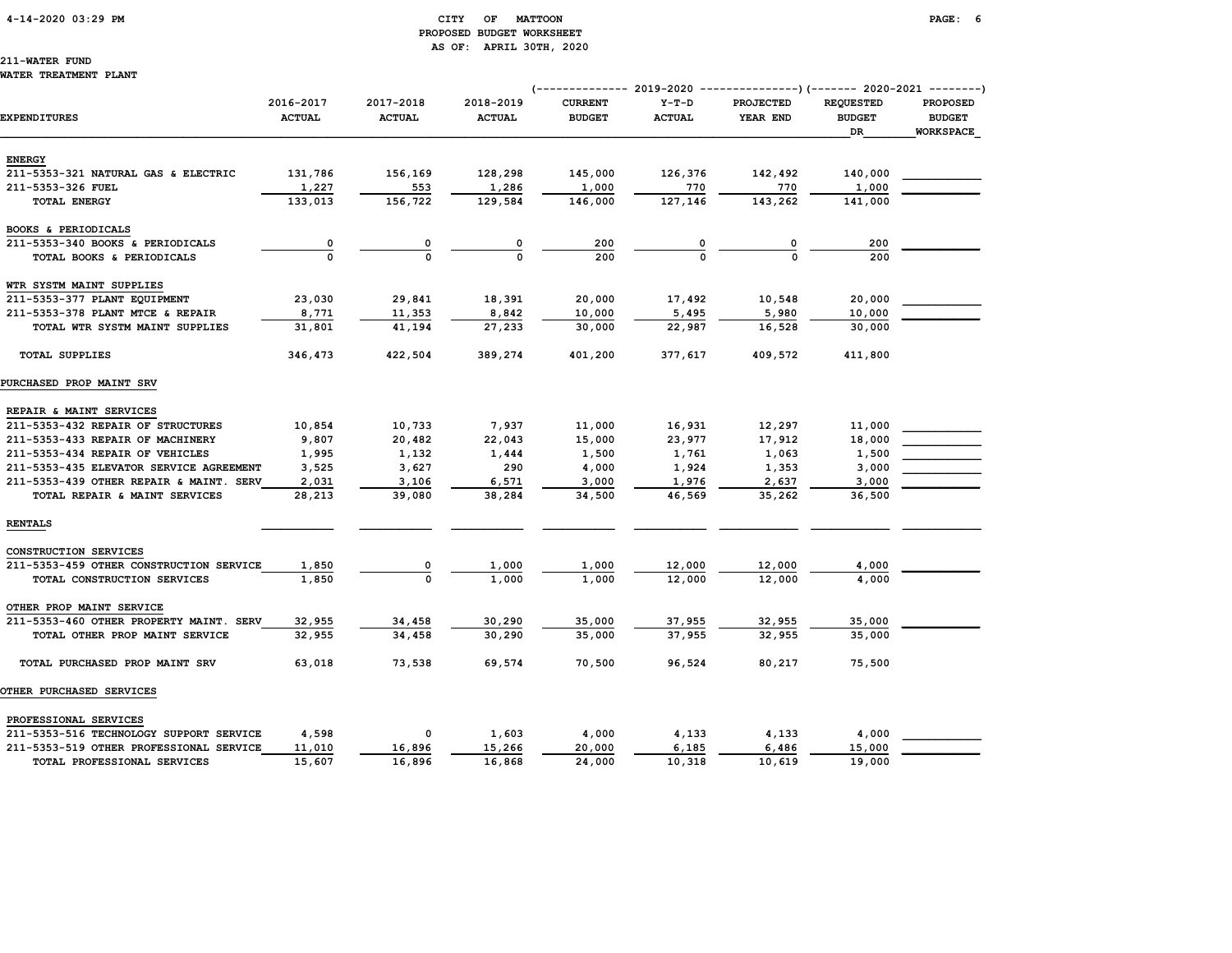#### 4-14-2020 03:29 PM CITY OF MATTOON PAGE: 6 PROPOSED BUDGET WORKSHEET AS OF: APRIL 30TH, 2020

# 211-WATER FUND

#### WATER TREATMENT PLANT

|                                         |                            |                            |                            |                                 |                          | (-------------- 2019-2020 ----------------) (------- 2020-2021 --------) |                                   |                                  |
|-----------------------------------------|----------------------------|----------------------------|----------------------------|---------------------------------|--------------------------|--------------------------------------------------------------------------|-----------------------------------|----------------------------------|
| EXPENDITURES                            | 2016-2017<br><b>ACTUAL</b> | 2017-2018<br><b>ACTUAL</b> | 2018-2019<br><b>ACTUAL</b> | <b>CURRENT</b><br><b>BUDGET</b> | $Y-T-D$<br><b>ACTUAL</b> | PROJECTED<br>YEAR END                                                    | <b>REQUESTED</b><br><b>BUDGET</b> | <b>PROPOSED</b><br><b>BUDGET</b> |
|                                         |                            |                            |                            |                                 |                          |                                                                          | DR                                | <b>WORKSPACE</b>                 |
| <b>ENERGY</b>                           |                            |                            |                            |                                 |                          |                                                                          |                                   |                                  |
| 211-5353-321 NATURAL GAS & ELECTRIC     | 131,786                    | 156,169                    | 128,298                    | 145,000                         | 126,376                  | 142,492                                                                  | 140,000                           |                                  |
| 211-5353-326 FUEL                       | 1,227                      | 553                        | 1,286                      | 1,000                           | 770                      | 770                                                                      | 1,000                             |                                  |
| TOTAL ENERGY                            | 133,013                    | 156,722                    | 129,584                    | 146,000                         | 127,146                  | 143,262                                                                  | 141,000                           |                                  |
| BOOKS & PERIODICALS                     |                            |                            |                            |                                 |                          |                                                                          |                                   |                                  |
| 211-5353-340 BOOKS & PERIODICALS        | $\overline{\mathbf{0}}$    | 0                          | 0                          | 200                             |                          | 0                                                                        | 200                               |                                  |
| TOTAL BOOKS & PERIODICALS               |                            | $\Omega$                   |                            | 200                             |                          |                                                                          | 200                               |                                  |
| WTR SYSTM MAINT SUPPLIES                |                            |                            |                            |                                 |                          |                                                                          |                                   |                                  |
| 211-5353-377 PLANT EQUIPMENT            | 23,030                     | 29,841                     | 18,391                     | 20,000                          | 17,492                   | 10,548                                                                   | 20,000                            |                                  |
| 211-5353-378 PLANT MTCE & REPAIR        | 8,771                      | 11,353                     | 8,842                      | 10,000                          | 5,495                    | 5,980                                                                    | 10,000                            |                                  |
| TOTAL WTR SYSTM MAINT SUPPLIES          | 31,801                     | 41,194                     | 27,233                     | 30,000                          | 22,987                   | 16,528                                                                   | 30,000                            |                                  |
| <b>TOTAL SUPPLIES</b>                   | 346,473                    | 422,504                    | 389,274                    | 401,200                         | 377,617                  | 409,572                                                                  | 411,800                           |                                  |
| PURCHASED PROP MAINT SRV                |                            |                            |                            |                                 |                          |                                                                          |                                   |                                  |
| REPAIR & MAINT SERVICES                 |                            |                            |                            |                                 |                          |                                                                          |                                   |                                  |
| 211-5353-432 REPAIR OF STRUCTURES       | 10,854                     | 10,733                     | 7,937                      | 11,000                          | 16,931                   | 12,297                                                                   | 11,000                            |                                  |
| 211-5353-433 REPAIR OF MACHINERY        | 9,807                      | 20,482                     | 22,043                     | 15,000                          | 23,977                   | 17,912                                                                   | 18,000                            |                                  |
| 211-5353-434 REPAIR OF VEHICLES         | 1,995                      | 1,132                      | 1,444                      | 1,500                           | 1,761                    | 1,063                                                                    | 1,500                             |                                  |
| 211-5353-435 ELEVATOR SERVICE AGREEMENT | 3,525                      | 3,627                      | 290                        | 4,000                           | 1,924                    | 1,353                                                                    | 3,000                             |                                  |
| 211-5353-439 OTHER REPAIR & MAINT. SERV | 2,031                      | 3,106                      | 6,571                      | 3,000                           | 1,976                    | 2,637                                                                    | 3,000                             |                                  |
| TOTAL REPAIR & MAINT SERVICES           | 28,213                     | 39,080                     | 38,284                     | 34,500                          | 46,569                   | 35,262                                                                   | 36,500                            |                                  |
| <b>RENTALS</b>                          |                            |                            |                            |                                 |                          |                                                                          |                                   |                                  |
| CONSTRUCTION SERVICES                   |                            |                            |                            |                                 |                          |                                                                          |                                   |                                  |
| 211-5353-459 OTHER CONSTRUCTION SERVICE | 1,850                      | 0                          | 1,000                      | 1,000                           | 12,000                   | 12,000                                                                   | 4,000                             |                                  |
| TOTAL CONSTRUCTION SERVICES             | 1,850                      | $\mathbf 0$                | 1,000                      | 1,000                           | 12,000                   | 12,000                                                                   | 4,000                             |                                  |
| OTHER PROP MAINT SERVICE                |                            |                            |                            |                                 |                          |                                                                          |                                   |                                  |
| 211-5353-460 OTHER PROPERTY MAINT. SERV | 32,955                     | 34,458                     | 30,290                     | 35,000                          | 37,955                   | 32,955                                                                   | 35,000                            |                                  |
| TOTAL OTHER PROP MAINT SERVICE          | 32,955                     | 34,458                     | 30,290                     | 35,000                          | 37,955                   | 32,955                                                                   | 35,000                            |                                  |
| TOTAL PURCHASED PROP MAINT SRV          | 63,018                     | 73,538                     | 69,574                     | 70,500                          | 96,524                   | 80,217                                                                   | 75,500                            |                                  |
| <b>OTHER PURCHASED SERVICES</b>         |                            |                            |                            |                                 |                          |                                                                          |                                   |                                  |
| PROFESSIONAL SERVICES                   |                            |                            |                            |                                 |                          |                                                                          |                                   |                                  |
| 211-5353-516 TECHNOLOGY SUPPORT SERVICE | 4,598                      | 0                          | 1,603                      | 4,000                           | 4,133                    | 4,133                                                                    | 4,000                             |                                  |
| 211-5353-519 OTHER PROFESSIONAL SERVICE | 11,010                     | 16,896                     | 15,266                     | 20,000                          | 6,185                    | 6,486                                                                    | 15,000                            |                                  |
| TOTAL PROFESSIONAL SERVICES             | 15,607                     | 16,896                     | 16,868                     | 24,000                          | 10,318                   | 10,619                                                                   | 19,000                            |                                  |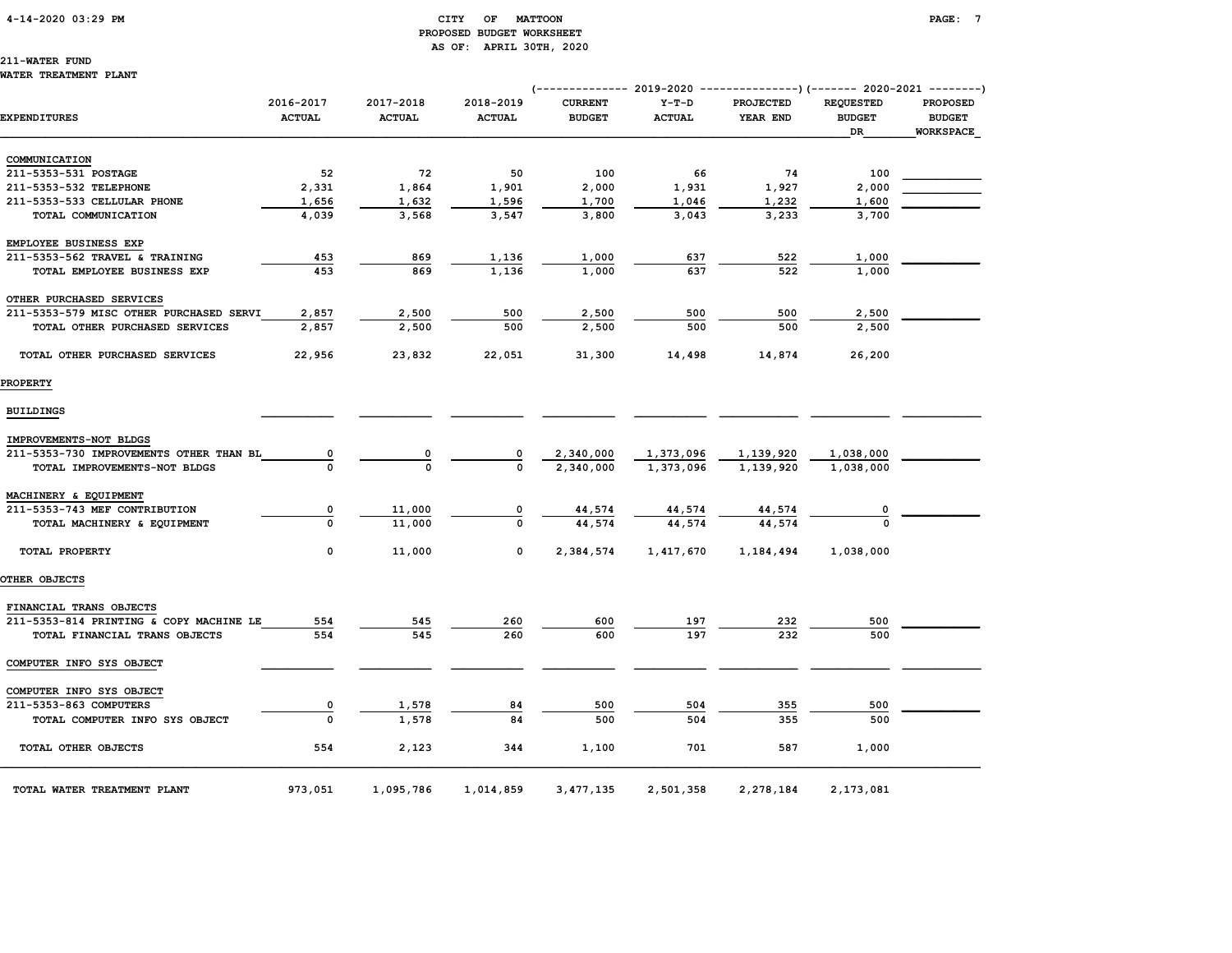#### 4-14-2020 03:29 PM CITY OF MATTOON PAGE: 7 PROPOSED BUDGET WORKSHEET AS OF: APRIL 30TH, 2020

### 211-WATER FUND

#### WATER TREATMENT PLANT

|                                         |                            |                            |                            | (-------------- 2019-2020 ----------------) (------- 2020-2021 --------) |                          |                              |                                         |                                               |
|-----------------------------------------|----------------------------|----------------------------|----------------------------|--------------------------------------------------------------------------|--------------------------|------------------------------|-----------------------------------------|-----------------------------------------------|
| <b>EXPENDITURES</b>                     | 2016-2017<br><b>ACTUAL</b> | 2017-2018<br><b>ACTUAL</b> | 2018-2019<br><b>ACTUAL</b> | <b>CURRENT</b><br><b>BUDGET</b>                                          | $Y-T-D$<br><b>ACTUAL</b> | <b>PROJECTED</b><br>YEAR END | <b>REQUESTED</b><br><b>BUDGET</b><br>DR | PROPOSED<br><b>BUDGET</b><br><b>WORKSPACE</b> |
|                                         |                            |                            |                            |                                                                          |                          |                              |                                         |                                               |
| COMMUNICATION                           |                            |                            |                            |                                                                          |                          |                              |                                         |                                               |
| 211-5353-531 POSTAGE                    | 52                         | 72                         | 50                         | 100                                                                      | 66                       | 74                           | 100                                     |                                               |
| 211-5353-532 TELEPHONE                  | 2,331                      | 1,864                      | 1,901                      | 2,000                                                                    | 1,931                    | 1,927                        | 2,000                                   |                                               |
| 211-5353-533 CELLULAR PHONE             | 1,656                      | 1,632                      | 1,596                      | 1,700                                                                    | 1,046                    | 1,232                        | 1,600                                   |                                               |
| TOTAL COMMUNICATION                     | 4,039                      | 3,568                      | 3,547                      | 3,800                                                                    | 3,043                    | 3,233                        | 3,700                                   |                                               |
| EMPLOYEE BUSINESS EXP                   |                            |                            |                            |                                                                          |                          |                              |                                         |                                               |
| 211-5353-562 TRAVEL & TRAINING          | 453                        | 869                        | 1,136                      | 1,000                                                                    | 637                      | 522                          | 1,000                                   |                                               |
| TOTAL EMPLOYEE BUSINESS EXP             | 453                        | 869                        | 1,136                      | 1,000                                                                    | 637                      | 522                          | 1,000                                   |                                               |
| OTHER PURCHASED SERVICES                |                            |                            |                            |                                                                          |                          |                              |                                         |                                               |
| 211-5353-579 MISC OTHER PURCHASED SERVI | 2,857                      | 2,500                      | 500                        | 2,500                                                                    | 500                      | 500                          | 2,500                                   |                                               |
| TOTAL OTHER PURCHASED SERVICES          | 2,857                      | 2,500                      | 500                        | 2,500                                                                    | 500                      | 500                          | 2,500                                   |                                               |
| TOTAL OTHER PURCHASED SERVICES          | 22,956                     | 23,832                     | 22,051                     | 31,300                                                                   | 14,498                   | 14,874                       | 26,200                                  |                                               |
| <b>PROPERTY</b>                         |                            |                            |                            |                                                                          |                          |                              |                                         |                                               |
| <b>BUILDINGS</b>                        |                            |                            |                            |                                                                          |                          |                              |                                         |                                               |
| IMPROVEMENTS-NOT BLDGS                  |                            |                            |                            |                                                                          |                          |                              |                                         |                                               |
| 211-5353-730 IMPROVEMENTS OTHER THAN BL | 0                          | 0                          | 0                          | 2,340,000                                                                | 1,373,096                | 1,139,920                    | 1,038,000                               |                                               |
| TOTAL IMPROVEMENTS-NOT BLDGS            |                            | $\mathbf 0$                | $\mathbf{o}$               | 2,340,000                                                                | 1,373,096                | 1,139,920                    | 1,038,000                               |                                               |
| MACHINERY & EQUIPMENT                   |                            |                            |                            |                                                                          |                          |                              |                                         |                                               |
| 211-5353-743 MEF CONTRIBUTION           | $\overline{\mathbf{0}}$    | 11,000                     | 0                          | 44,574                                                                   | 44,574                   | 44,574                       | 0                                       |                                               |
| TOTAL MACHINERY & EQUIPMENT             | $\Omega$                   | 11,000                     | $\mathbf 0$                | 44,574                                                                   | 44,574                   | 44,574                       |                                         |                                               |
| TOTAL PROPERTY                          | 0                          | 11,000                     | 0                          | 2,384,574                                                                | 1,417,670                | 1,184,494                    | 1,038,000                               |                                               |
| OTHER OBJECTS                           |                            |                            |                            |                                                                          |                          |                              |                                         |                                               |
| FINANCIAL TRANS OBJECTS                 |                            |                            |                            |                                                                          |                          |                              |                                         |                                               |
| 211-5353-814 PRINTING & COPY MACHINE LE | 554                        | 545                        | 260                        | 600                                                                      | 197                      | 232                          | 500                                     |                                               |
| TOTAL FINANCIAL TRANS OBJECTS           | 554                        | 545                        | 260                        | 600                                                                      | 197                      | 232                          | 500                                     |                                               |
| COMPUTER INFO SYS OBJECT                |                            |                            |                            |                                                                          |                          |                              |                                         |                                               |
| COMPUTER INFO SYS OBJECT                |                            |                            |                            |                                                                          |                          |                              |                                         |                                               |
| 211-5353-863 COMPUTERS                  | 0                          | 1,578                      | 84                         | 500                                                                      | 504                      | 355                          | 500                                     |                                               |
| TOTAL COMPUTER INFO SYS OBJECT          | $\Omega$                   | 1,578                      | 84                         | 500                                                                      | 504                      | 355                          | 500                                     |                                               |
| TOTAL OTHER OBJECTS                     | 554                        | 2,123                      | 344                        | 1,100                                                                    | 701                      | 587                          | 1,000                                   |                                               |
| TOTAL WATER TREATMENT PLANT             | 973,051                    | 1,095,786                  | 1,014,859                  | 3,477,135                                                                | 2,501,358                | 2,278,184                    | 2,173,081                               |                                               |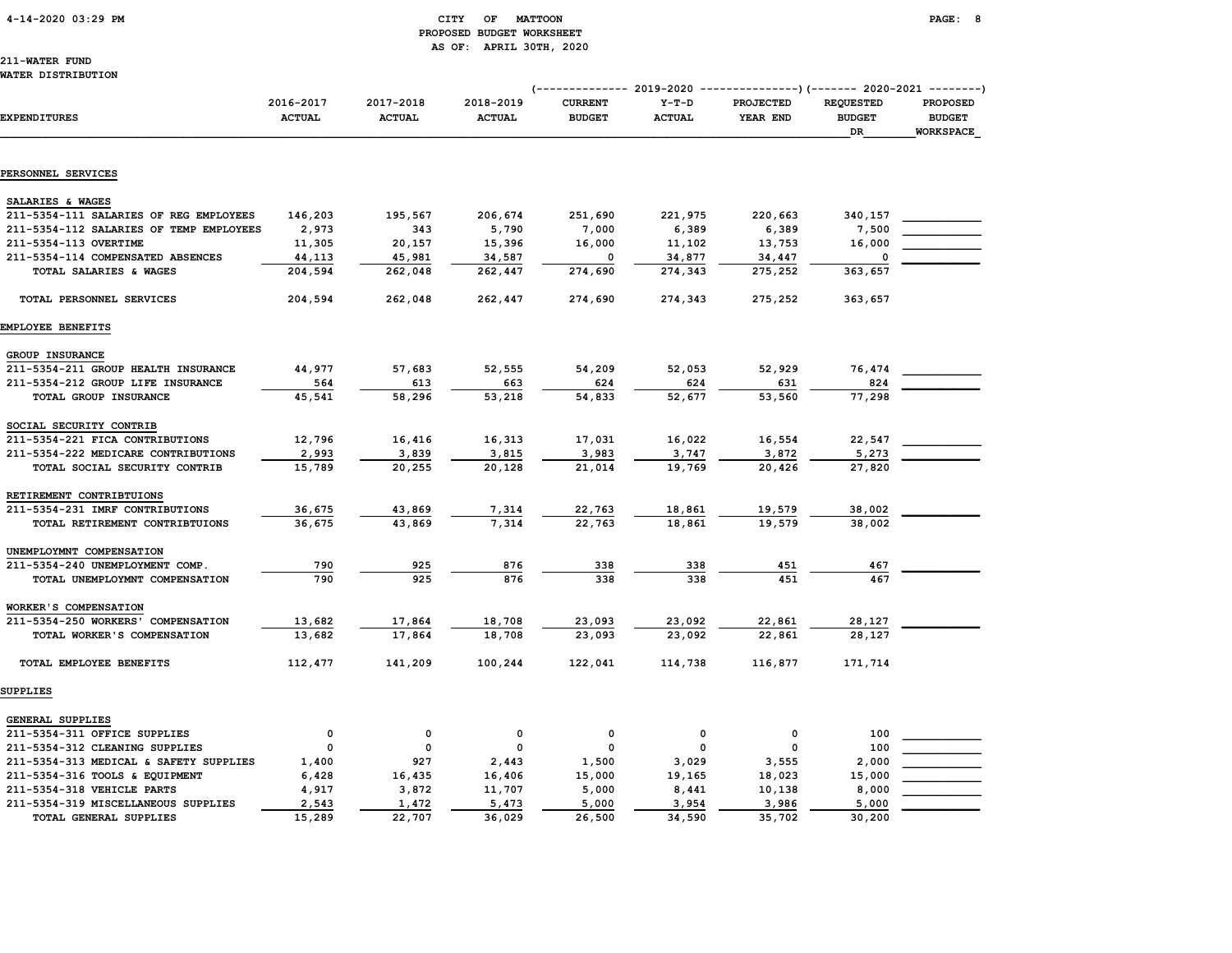#### 4-14-2020 03:29 PM CITY OF MATTOON PAGE: 8 PROPOSED BUDGET WORKSHEET AS OF: APRIL 30TH, 2020

211-WATER FUND WATER DISTRIBUTION

|                                         |                            |                            |                            | (------------- 2019-2020        |                          | ---------------)(------- 2020-2021 --------) |                                         |                                               |
|-----------------------------------------|----------------------------|----------------------------|----------------------------|---------------------------------|--------------------------|----------------------------------------------|-----------------------------------------|-----------------------------------------------|
| <b>EXPENDITURES</b>                     | 2016-2017<br><b>ACTUAL</b> | 2017-2018<br><b>ACTUAL</b> | 2018-2019<br><b>ACTUAL</b> | <b>CURRENT</b><br><b>BUDGET</b> | $Y-T-D$<br><b>ACTUAL</b> | PROJECTED<br>YEAR END                        | <b>REQUESTED</b><br><b>BUDGET</b><br>DR | PROPOSED<br><b>BUDGET</b><br><b>WORKSPACE</b> |
|                                         |                            |                            |                            |                                 |                          |                                              |                                         |                                               |
| PERSONNEL SERVICES                      |                            |                            |                            |                                 |                          |                                              |                                         |                                               |
| SALARIES & WAGES                        |                            |                            |                            |                                 |                          |                                              |                                         |                                               |
| 211-5354-111 SALARIES OF REG EMPLOYEES  | 146,203                    | 195,567                    | 206,674                    | 251,690                         | 221,975                  | 220,663                                      | 340,157                                 |                                               |
| 211-5354-112 SALARIES OF TEMP EMPLOYEES | 2,973                      | 343                        | 5,790                      | 7,000                           | 6,389                    | 6,389                                        | 7,500                                   |                                               |
| 211-5354-113 OVERTIME                   | 11,305                     | 20,157                     | 15,396                     | 16,000                          | 11,102                   | 13,753                                       | 16,000                                  |                                               |
| 211-5354-114 COMPENSATED ABSENCES       | 44,113                     | 45,981                     | 34,587                     | $\Omega$                        | 34,877                   | 34,447                                       | $\Omega$                                |                                               |
| TOTAL SALARIES & WAGES                  | 204,594                    | 262,048                    | 262,447                    | 274,690                         | 274,343                  | 275,252                                      | 363,657                                 |                                               |
| TOTAL PERSONNEL SERVICES                | 204,594                    | 262,048                    | 262,447                    | 274,690                         | 274,343                  | 275,252                                      | 363,657                                 |                                               |
| EMPLOYEE BENEFITS                       |                            |                            |                            |                                 |                          |                                              |                                         |                                               |
| <b>GROUP INSURANCE</b>                  |                            |                            |                            |                                 |                          |                                              |                                         |                                               |
| 211-5354-211 GROUP HEALTH INSURANCE     | 44,977                     | 57,683                     | 52,555                     | 54,209                          | 52,053                   | 52,929                                       | 76,474                                  |                                               |
| 211-5354-212 GROUP LIFE INSURANCE       | 564                        | 613                        | 663                        | 624                             | 624                      | 631                                          | 824                                     |                                               |
| TOTAL GROUP INSURANCE                   | 45,541                     | 58,296                     | 53,218                     | 54,833                          | 52,677                   | 53,560                                       | 77,298                                  |                                               |
| SOCIAL SECURITY CONTRIB                 |                            |                            |                            |                                 |                          |                                              |                                         |                                               |
| 211-5354-221 FICA CONTRIBUTIONS         | 12,796                     | 16,416                     | 16,313                     | 17,031                          | 16,022                   | 16,554                                       | 22,547                                  |                                               |
| 211-5354-222 MEDICARE CONTRIBUTIONS     | 2,993                      | 3,839                      | 3,815                      | 3,983                           | 3,747                    | 3,872                                        | 5,273                                   |                                               |
| TOTAL SOCIAL SECURITY CONTRIB           | 15,789                     | 20,255                     | 20,128                     | 21,014                          | 19,769                   | 20,426                                       | 27,820                                  |                                               |
| RETIREMENT CONTRIBTUIONS                |                            |                            |                            |                                 |                          |                                              |                                         |                                               |
| 211-5354-231 IMRF CONTRIBUTIONS         | 36,675                     | 43,869                     | 7,314                      | 22,763                          | 18,861                   | 19,579                                       | 38,002                                  |                                               |
| TOTAL RETIREMENT CONTRIBTUIONS          | 36,675                     | 43,869                     | 7,314                      | 22,763                          | 18,861                   | 19,579                                       | 38,002                                  |                                               |
| UNEMPLOYMNT COMPENSATION                |                            |                            |                            |                                 |                          |                                              |                                         |                                               |
| 211-5354-240 UNEMPLOYMENT COMP.         | 790                        | 925                        | 876                        | 338                             | 338                      | 451                                          | 467                                     |                                               |
| TOTAL UNEMPLOYMNT COMPENSATION          | 790                        | 925                        | 876                        | 338                             | 338                      | 451                                          | 467                                     |                                               |
| WORKER'S COMPENSATION                   |                            |                            |                            |                                 |                          |                                              |                                         |                                               |
| 211-5354-250 WORKERS' COMPENSATION      | 13,682                     | 17,864                     | 18,708                     | 23,093                          | 23,092                   | 22,861                                       | 28,127                                  |                                               |
| TOTAL WORKER'S COMPENSATION             | 13,682                     | 17,864                     | 18,708                     | 23,093                          | 23,092                   | 22,861                                       | 28,127                                  |                                               |
| TOTAL EMPLOYEE BENEFITS                 | 112,477                    | 141,209                    | 100,244                    | 122,041                         | 114,738                  | 116,877                                      | 171,714                                 |                                               |
| <b>SUPPLIES</b>                         |                            |                            |                            |                                 |                          |                                              |                                         |                                               |
| GENERAL SUPPLIES                        |                            |                            |                            |                                 |                          |                                              |                                         |                                               |
| 211-5354-311 OFFICE SUPPLIES            | $\mathbf 0$                | 0                          | 0                          | 0                               | 0                        | 0                                            | 100                                     |                                               |
| 211-5354-312 CLEANING SUPPLIES          | $\Omega$                   | $\Omega$                   | 0                          | $\Omega$                        | 0                        | 0                                            | 100                                     |                                               |
| 211-5354-313 MEDICAL & SAFETY SUPPLIES  | 1,400                      | 927                        | 2,443                      | 1,500                           | 3,029                    | 3,555                                        | 2,000                                   |                                               |
| 211-5354-316 TOOLS & EQUIPMENT          | 6,428                      | 16,435                     | 16,406                     | 15,000                          | 19,165                   | 18,023                                       | 15,000                                  |                                               |
| 211-5354-318 VEHICLE PARTS              | 4,917                      | 3,872                      | 11,707                     | 5,000                           | 8,441                    | 10,138                                       | 8,000                                   |                                               |
| 211-5354-319 MISCELLANEOUS SUPPLIES     | 2,543                      | 1,472                      | 5,473                      | 5,000                           | 3,954                    | 3,986                                        | 5,000                                   |                                               |
| TOTAL GENERAL SUPPLIES                  | 15,289                     | 22,707                     | 36,029                     | 26,500                          | 34,590                   | 35,702                                       | 30,200                                  |                                               |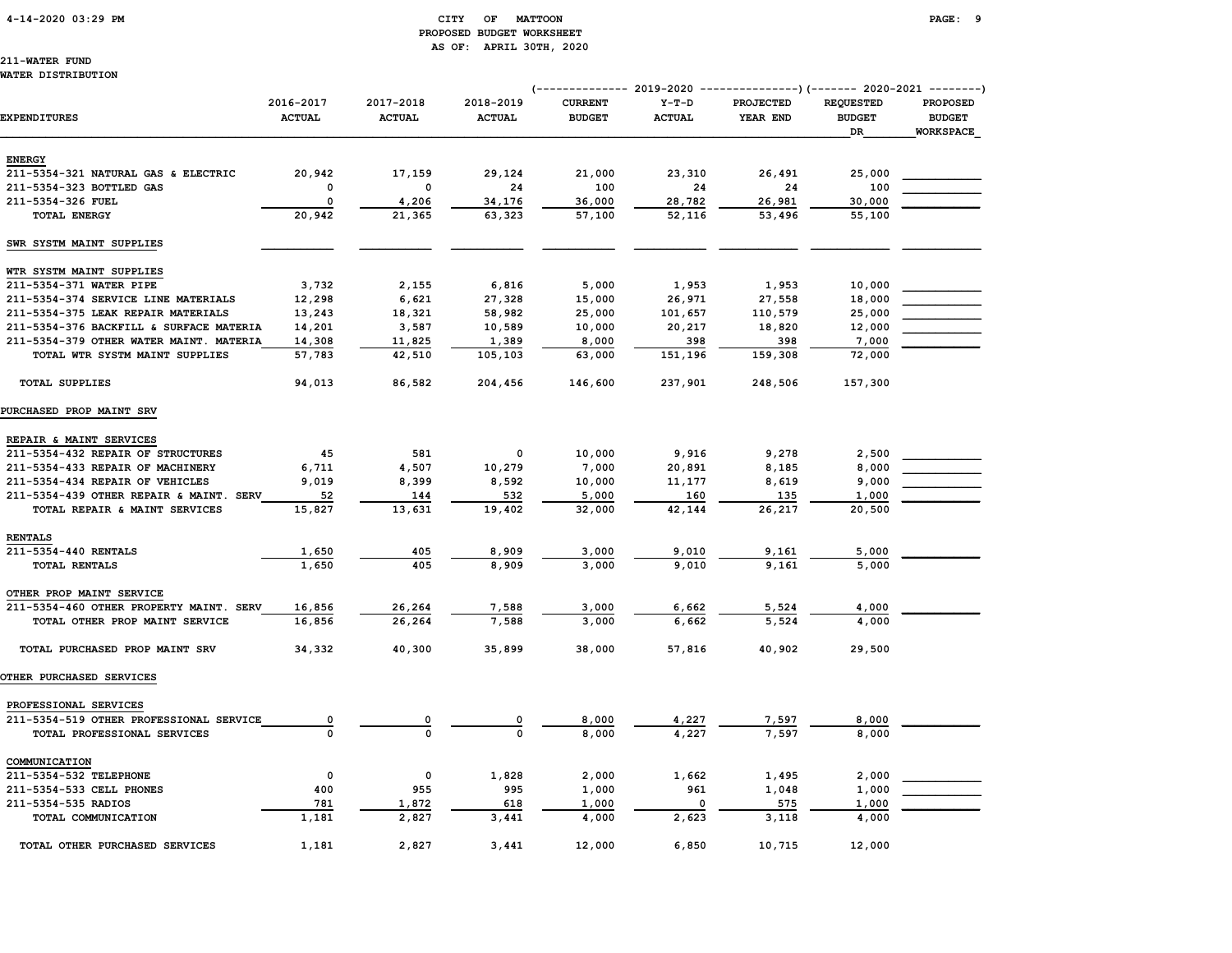#### 4-14-2020 03:29 PM CITY OF MATTOON PAGE: 9 PROPOSED BUDGET WORKSHEET AS OF: APRIL 30TH, 2020

### 211-WATER FUND

#### WATER DISTRIBUTION

|                                         |                            |                            |                            | (-------------- 2019-2020 ----------------) (------- 2020-2021 --------) |                          |                              |                                   |                                  |
|-----------------------------------------|----------------------------|----------------------------|----------------------------|--------------------------------------------------------------------------|--------------------------|------------------------------|-----------------------------------|----------------------------------|
| <b>EXPENDITURES</b>                     | 2016-2017<br><b>ACTUAL</b> | 2017-2018<br><b>ACTUAL</b> | 2018-2019<br><b>ACTUAL</b> | <b>CURRENT</b><br><b>BUDGET</b>                                          | $Y-T-D$<br><b>ACTUAL</b> | <b>PROJECTED</b><br>YEAR END | <b>REQUESTED</b><br><b>BUDGET</b> | <b>PROPOSED</b><br><b>BUDGET</b> |
|                                         |                            |                            |                            |                                                                          |                          |                              | DR                                | <b>WORKSPACE</b>                 |
| <b>ENERGY</b>                           |                            |                            |                            |                                                                          |                          |                              |                                   |                                  |
| 211-5354-321 NATURAL GAS & ELECTRIC     | 20,942                     | 17,159                     | 29,124                     | 21,000                                                                   | 23,310                   | 26,491                       | 25,000                            |                                  |
| 211-5354-323 BOTTLED GAS                | $\mathbf 0$                | 0                          | 24                         | 100                                                                      | 24                       | 24                           | 100                               |                                  |
| 211-5354-326 FUEL                       | $\mathsf{o}\,$             | 4,206                      | 34,176                     | 36,000                                                                   | 28,782                   | 26,981                       | 30,000                            |                                  |
| <b>TOTAL ENERGY</b>                     | 20,942                     | 21,365                     | 63,323                     | 57,100                                                                   | 52,116                   | 53,496                       | 55,100                            |                                  |
| SWR SYSTM MAINT SUPPLIES                |                            |                            |                            |                                                                          |                          |                              |                                   |                                  |
| WTR SYSTM MAINT SUPPLIES                |                            |                            |                            |                                                                          |                          |                              |                                   |                                  |
| 211-5354-371 WATER PIPE                 | 3,732                      | 2,155                      | 6,816                      | 5,000                                                                    | 1,953                    | 1,953                        | 10,000                            |                                  |
| 211-5354-374 SERVICE LINE MATERIALS     | 12,298                     | 6,621                      | 27,328                     | 15,000                                                                   | 26,971                   | 27,558                       | 18,000                            |                                  |
| 211-5354-375 LEAK REPAIR MATERIALS      | 13,243                     | 18,321                     | 58,982                     | 25,000                                                                   | 101,657                  | 110,579                      | 25,000                            |                                  |
| 211-5354-376 BACKFILL & SURFACE MATERIA | 14,201                     | 3,587                      | 10,589                     | 10,000                                                                   | 20,217                   | 18,820                       | 12,000                            |                                  |
| 211-5354-379 OTHER WATER MAINT. MATERIA | 14,308                     | 11,825                     | 1,389                      | 8,000                                                                    | 398                      | 398                          | 7,000                             |                                  |
| TOTAL WTR SYSTM MAINT SUPPLIES          | 57,783                     | 42,510                     | 105,103                    | 63,000                                                                   | 151,196                  | 159,308                      | 72,000                            |                                  |
| <b>TOTAL SUPPLIES</b>                   | 94,013                     | 86,582                     | 204,456                    | 146,600                                                                  | 237,901                  | 248,506                      | 157,300                           |                                  |
| PURCHASED PROP MAINT SRV                |                            |                            |                            |                                                                          |                          |                              |                                   |                                  |
| REPAIR & MAINT SERVICES                 |                            |                            |                            |                                                                          |                          |                              |                                   |                                  |
| 211-5354-432 REPAIR OF STRUCTURES       | 45                         | 581                        | 0                          | 10,000                                                                   | 9,916                    | 9,278                        | 2,500                             |                                  |
| 211-5354-433 REPAIR OF MACHINERY        | 6,711                      | 4,507                      | 10,279                     | 7,000                                                                    | 20,891                   | 8,185                        | 8,000                             |                                  |
| 211-5354-434 REPAIR OF VEHICLES         | 9,019                      | 8,399                      | 8,592                      | 10,000                                                                   | 11,177                   | 8,619                        | 9,000                             |                                  |
| 211-5354-439 OTHER REPAIR & MAINT. SERV | 52                         | 144                        | 532                        | 5,000                                                                    | 160                      | 135                          | 1,000                             |                                  |
| TOTAL REPAIR & MAINT SERVICES           | 15,827                     | 13,631                     | 19,402                     | 32,000                                                                   | 42,144                   | 26,217                       | 20,500                            |                                  |
| <b>RENTALS</b>                          |                            |                            |                            |                                                                          |                          |                              |                                   |                                  |
| 211-5354-440 RENTALS                    | 1,650                      | 405                        | 8,909                      | 3,000                                                                    | 9,010                    | 9,161                        | 5,000                             |                                  |
| <b>TOTAL RENTALS</b>                    | 1,650                      | 405                        | 8,909                      | 3,000                                                                    | 9.010                    | 9,161                        | 5,000                             |                                  |
| OTHER PROP MAINT SERVICE                |                            |                            |                            |                                                                          |                          |                              |                                   |                                  |
| 211-5354-460 OTHER PROPERTY MAINT. SERV | 16,856                     | 26,264                     | 7,588                      | 3,000                                                                    | 6,662                    | 5,524                        | 4,000                             |                                  |
| TOTAL OTHER PROP MAINT SERVICE          | 16,856                     | 26,264                     | 7,588                      | 3,000                                                                    | 6,662                    | 5,524                        | 4,000                             |                                  |
| TOTAL PURCHASED PROP MAINT SRV          | 34,332                     | 40,300                     | 35,899                     | 38,000                                                                   | 57,816                   | 40,902                       | 29,500                            |                                  |
| <b>OTHER PURCHASED SERVICES</b>         |                            |                            |                            |                                                                          |                          |                              |                                   |                                  |
| PROFESSIONAL SERVICES                   |                            |                            |                            |                                                                          |                          |                              |                                   |                                  |
| 211-5354-519 OTHER PROFESSIONAL SERVICE | 0                          | 0                          | 0                          | 8,000                                                                    | 4,227                    | 7,597                        | 8,000                             |                                  |
| TOTAL PROFESSIONAL SERVICES             |                            |                            | $\Omega$                   | 8,000                                                                    | 4,227                    | 7,597                        | 8,000                             |                                  |
| COMMUNICATION                           |                            |                            |                            |                                                                          |                          |                              |                                   |                                  |
| 211-5354-532 TELEPHONE                  | 0                          | 0                          | 1,828                      | 2,000                                                                    | 1,662                    | 1,495                        | 2,000                             |                                  |
| 211-5354-533 CELL PHONES                | 400                        | 955                        | 995                        | 1,000                                                                    | 961                      | 1,048                        | 1,000                             |                                  |
| 211-5354-535 RADIOS                     | 781                        | 1,872                      | 618                        | 1,000                                                                    | $\mathbf 0$              | 575                          | 1,000                             |                                  |
| TOTAL COMMUNICATION                     | 1,181                      | 2,827                      | 3,441                      | 4,000                                                                    | 2,623                    | 3,118                        | 4,000                             |                                  |
| TOTAL OTHER PURCHASED SERVICES          | 1,181                      | 2,827                      | 3.441                      | 12,000                                                                   | 6,850                    | 10,715                       | 12,000                            |                                  |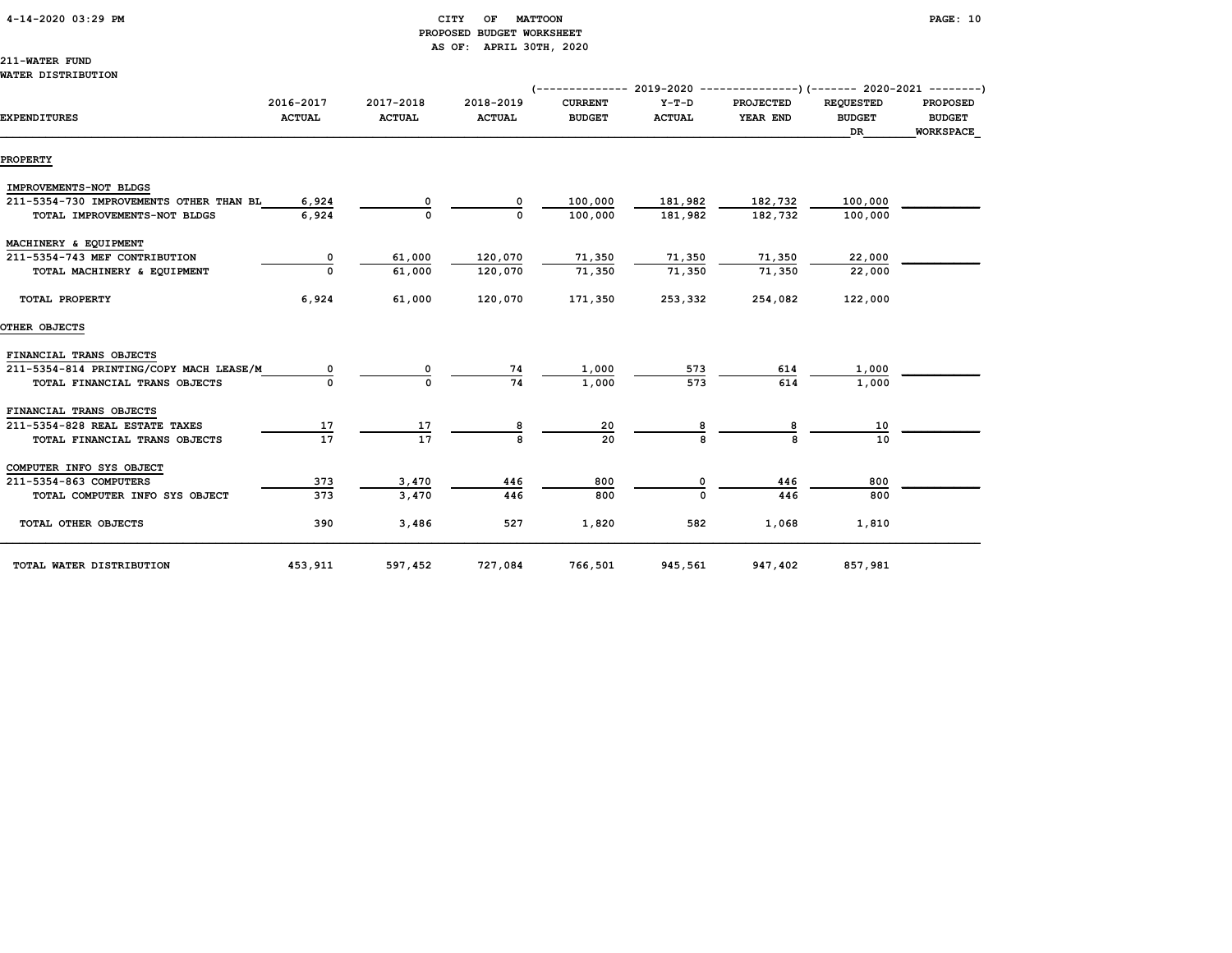#### 4-14-2020 03:29 PM CITY OF MATTOON PAGE: 10 PROPOSED BUDGET WORKSHEET AS OF: APRIL 30TH, 2020

211-WATER FUND

#### WATER DISTRIBUTION

|                                         |                            |                            |                            | (-------------- 2019-2020 ----------------)(------- 2020-2021 ---------) |                          |                              |                                                |                                  |
|-----------------------------------------|----------------------------|----------------------------|----------------------------|--------------------------------------------------------------------------|--------------------------|------------------------------|------------------------------------------------|----------------------------------|
| <b>EXPENDITURES</b>                     | 2016-2017<br><b>ACTUAL</b> | 2017-2018<br><b>ACTUAL</b> | 2018-2019<br><b>ACTUAL</b> | <b>CURRENT</b><br><b>BUDGET</b>                                          | $Y-T-D$<br><b>ACTUAL</b> | <b>PROJECTED</b><br>YEAR END | <b>REQUESTED</b><br><b>BUDGET</b><br><b>DR</b> | <b>PROPOSED</b><br><b>BUDGET</b> |
| <b>PROPERTY</b>                         |                            |                            |                            |                                                                          |                          |                              |                                                | WORKSPACE                        |
|                                         |                            |                            |                            |                                                                          |                          |                              |                                                |                                  |
| IMPROVEMENTS-NOT BLDGS                  |                            |                            |                            |                                                                          |                          |                              |                                                |                                  |
| 211-5354-730 IMPROVEMENTS OTHER THAN BL | 6,924                      |                            |                            | 100,000                                                                  | 181,982                  | 182,732                      | 100,000                                        |                                  |
| TOTAL IMPROVEMENTS-NOT BLDGS            | 6,924                      | $\mathbf{0}$               | 0                          | 100,000                                                                  | 181,982                  | 182,732                      | 100,000                                        |                                  |
| MACHINERY & EQUIPMENT                   |                            |                            |                            |                                                                          |                          |                              |                                                |                                  |
| 211-5354-743 MEF CONTRIBUTION           | 0                          | 61,000                     | 120,070                    | 71,350                                                                   | 71,350                   | 71,350                       | 22,000                                         |                                  |
| TOTAL MACHINERY & EQUIPMENT             |                            | 61,000                     | 120,070                    | 71,350                                                                   | 71,350                   | 71,350                       | 22,000                                         |                                  |
| TOTAL PROPERTY                          | 6,924                      | 61,000                     | 120,070                    | 171,350                                                                  | 253,332                  | 254,082                      | 122,000                                        |                                  |
| OTHER OBJECTS                           |                            |                            |                            |                                                                          |                          |                              |                                                |                                  |
| FINANCIAL TRANS OBJECTS                 |                            |                            |                            |                                                                          |                          |                              |                                                |                                  |
| 211-5354-814 PRINTING/COPY MACH LEASE/M |                            |                            | 74                         | 1,000                                                                    | 573                      | 614                          | 1,000                                          |                                  |
| TOTAL FINANCIAL TRANS OBJECTS           |                            |                            | 74                         | 1,000                                                                    | 573                      | 614                          | 1,000                                          |                                  |
| FINANCIAL TRANS OBJECTS                 |                            |                            |                            |                                                                          |                          |                              |                                                |                                  |
| 211-5354-828 REAL ESTATE TAXES          | 17                         | 17                         |                            | 20                                                                       |                          |                              | 10                                             |                                  |
| TOTAL FINANCIAL TRANS OBJECTS           | $\overline{17}$            | 17                         |                            | 20                                                                       |                          |                              | 10                                             |                                  |
| COMPUTER INFO SYS OBJECT                |                            |                            |                            |                                                                          |                          |                              |                                                |                                  |
| 211-5354-863 COMPUTERS                  | 373                        | 3,470                      | 446                        | 800                                                                      |                          | 446                          | 800                                            |                                  |
| TOTAL COMPUTER INFO SYS OBJECT          | 373                        | 3,470                      | 446                        | 800                                                                      |                          | 446                          | 800                                            |                                  |
| TOTAL OTHER OBJECTS                     | 390                        | 3,486                      | 527                        | 1,820                                                                    | 582                      | 1,068                        | 1,810                                          |                                  |
| TOTAL WATER DISTRIBUTION                | 453,911                    | 597,452                    | 727,084                    | 766,501                                                                  | 945,561                  | 947,402                      | 857,981                                        |                                  |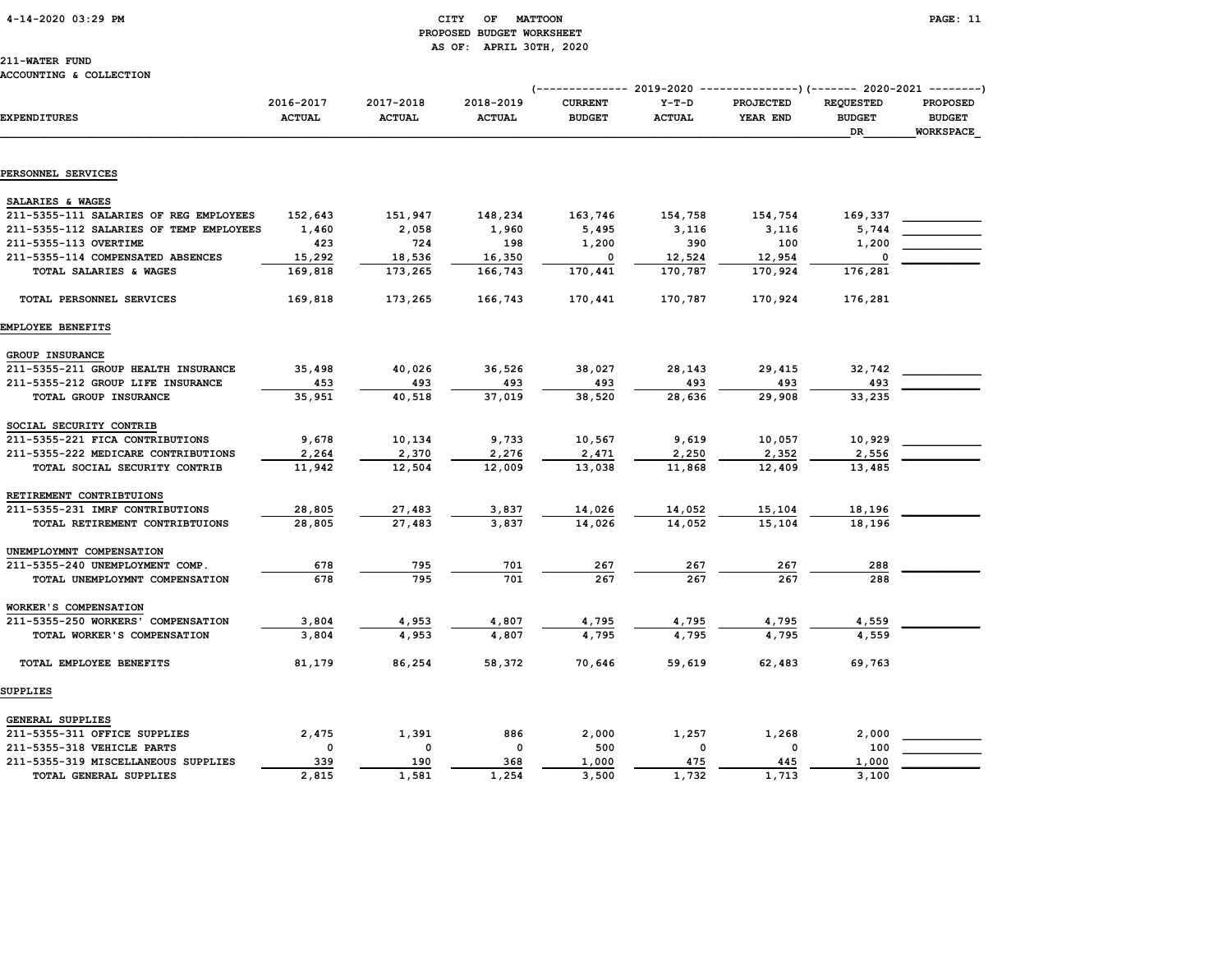#### 4-14-2020 03:29 PM CITY OF MATTOON PAGE: 11 PROPOSED BUDGET WORKSHEET AS OF: APRIL 30TH, 2020

#### ACCOUNTING & COLLECTION

|                                         |                            |                            |                            | (------------- 2019-2020        |                          | ----------------) (------- 2020-2021 --------) |                                         |                                                      |
|-----------------------------------------|----------------------------|----------------------------|----------------------------|---------------------------------|--------------------------|------------------------------------------------|-----------------------------------------|------------------------------------------------------|
| <b>EXPENDITURES</b>                     | 2016-2017<br><b>ACTUAL</b> | 2017-2018<br><b>ACTUAL</b> | 2018-2019<br><b>ACTUAL</b> | <b>CURRENT</b><br><b>BUDGET</b> | $Y-T-D$<br><b>ACTUAL</b> | <b>PROJECTED</b><br>YEAR END                   | <b>REQUESTED</b><br><b>BUDGET</b><br>DR | <b>PROPOSED</b><br><b>BUDGET</b><br><b>WORKSPACE</b> |
|                                         |                            |                            |                            |                                 |                          |                                                |                                         |                                                      |
| PERSONNEL SERVICES                      |                            |                            |                            |                                 |                          |                                                |                                         |                                                      |
| SALARIES & WAGES                        |                            |                            |                            |                                 |                          |                                                |                                         |                                                      |
| 211-5355-111 SALARIES OF REG EMPLOYEES  | 152,643                    | 151,947                    | 148,234                    | 163,746                         | 154,758                  | 154,754                                        | 169,337                                 |                                                      |
| 211-5355-112 SALARIES OF TEMP EMPLOYEES | 1,460                      | 2,058                      | 1,960                      | 5,495                           | 3,116                    | 3,116                                          | 5,744                                   |                                                      |
| 211-5355-113 OVERTIME                   | 423                        | 724                        | 198                        | 1,200                           | 390                      | 100                                            | 1,200                                   |                                                      |
| 211-5355-114 COMPENSATED ABSENCES       | 15,292                     | 18,536                     | 16,350                     | $\mathbf 0$                     | 12,524                   | 12,954                                         | $\mathbf 0$                             |                                                      |
| TOTAL SALARIES & WAGES                  | 169,818                    | 173,265                    | 166,743                    | 170,441                         | 170,787                  | 170,924                                        | 176,281                                 |                                                      |
| TOTAL PERSONNEL SERVICES                | 169,818                    | 173,265                    | 166,743                    | 170,441                         | 170,787                  | 170,924                                        | 176,281                                 |                                                      |
| EMPLOYEE BENEFITS                       |                            |                            |                            |                                 |                          |                                                |                                         |                                                      |
| GROUP INSURANCE                         |                            |                            |                            |                                 |                          |                                                |                                         |                                                      |
| 211-5355-211 GROUP HEALTH INSURANCE     | 35,498                     | 40,026                     | 36,526                     | 38,027                          | 28,143                   | 29,415                                         | 32,742                                  |                                                      |
| 211-5355-212 GROUP LIFE INSURANCE       | 453                        | 493                        | 493                        | 493                             | 493                      | 493                                            | 493                                     |                                                      |
| TOTAL GROUP INSURANCE                   | 35,951                     | 40,518                     | 37,019                     | 38,520                          | 28,636                   | 29,908                                         | 33,235                                  |                                                      |
| SOCIAL SECURITY CONTRIB                 |                            |                            |                            |                                 |                          |                                                |                                         |                                                      |
| 211-5355-221 FICA CONTRIBUTIONS         | 9,678                      | 10,134                     | 9,733                      | 10,567                          | 9,619                    | 10,057                                         | 10,929                                  |                                                      |
| 211-5355-222 MEDICARE CONTRIBUTIONS     | 2,264                      | 2,370                      | 2,276                      | 2,471                           | 2,250                    | 2,352                                          | 2,556                                   |                                                      |
| TOTAL SOCIAL SECURITY CONTRIB           | 11,942                     | 12,504                     | 12,009                     | 13,038                          | 11,868                   | 12,409                                         | 13,485                                  |                                                      |
| RETIREMENT CONTRIBTUIONS                |                            |                            |                            |                                 |                          |                                                |                                         |                                                      |
| 211-5355-231 IMRF CONTRIBUTIONS         | 28,805                     | 27,483                     | 3,837                      | 14,026                          | 14,052                   | 15,104                                         | 18,196                                  |                                                      |
| TOTAL RETIREMENT CONTRIBTUIONS          | 28,805                     | 27,483                     | 3,837                      | 14,026                          | 14,052                   | 15,104                                         | 18,196                                  |                                                      |
| UNEMPLOYMNT COMPENSATION                |                            |                            |                            |                                 |                          |                                                |                                         |                                                      |
| 211-5355-240 UNEMPLOYMENT COMP.         | 678                        | 795                        | 701                        | 267                             | 267                      | 267                                            | 288                                     |                                                      |
| TOTAL UNEMPLOYMNT COMPENSATION          | 678                        | 795                        | 701                        | 267                             | 267                      | 267                                            | 288                                     |                                                      |
| WORKER'S COMPENSATION                   |                            |                            |                            |                                 |                          |                                                |                                         |                                                      |
| 211-5355-250 WORKERS' COMPENSATION      | 3,804                      | 4,953                      | 4,807                      | 4,795                           | 4,795                    | 4,795                                          | 4,559                                   |                                                      |
| TOTAL WORKER'S COMPENSATION             | 3,804                      | 4,953                      | 4,807                      | 4,795                           | 4,795                    | 4,795                                          | 4,559                                   |                                                      |
| TOTAL EMPLOYEE BENEFITS                 | 81,179                     | 86,254                     | 58,372                     | 70,646                          | 59,619                   | 62,483                                         | 69,763                                  |                                                      |
| SUPPLIES                                |                            |                            |                            |                                 |                          |                                                |                                         |                                                      |
| GENERAL SUPPLIES                        |                            |                            |                            |                                 |                          |                                                |                                         |                                                      |
| 211-5355-311 OFFICE SUPPLIES            | 2,475                      | 1,391                      | 886                        | 2,000                           | 1,257                    | 1,268                                          | 2,000                                   |                                                      |
| 211-5355-318 VEHICLE PARTS              | 0                          | 0                          | 0                          | 500                             | 0                        | $\mathbf 0$                                    | 100                                     |                                                      |
| 211-5355-319 MISCELLANEOUS SUPPLIES     | 339                        | 190                        | 368                        | 1,000                           | 475                      | 445                                            | 1,000                                   |                                                      |
| TOTAL GENERAL SUPPLIES                  | 2,815                      | 1,581                      | 1,254                      | 3,500                           | 1,732                    | 1,713                                          | 3,100                                   |                                                      |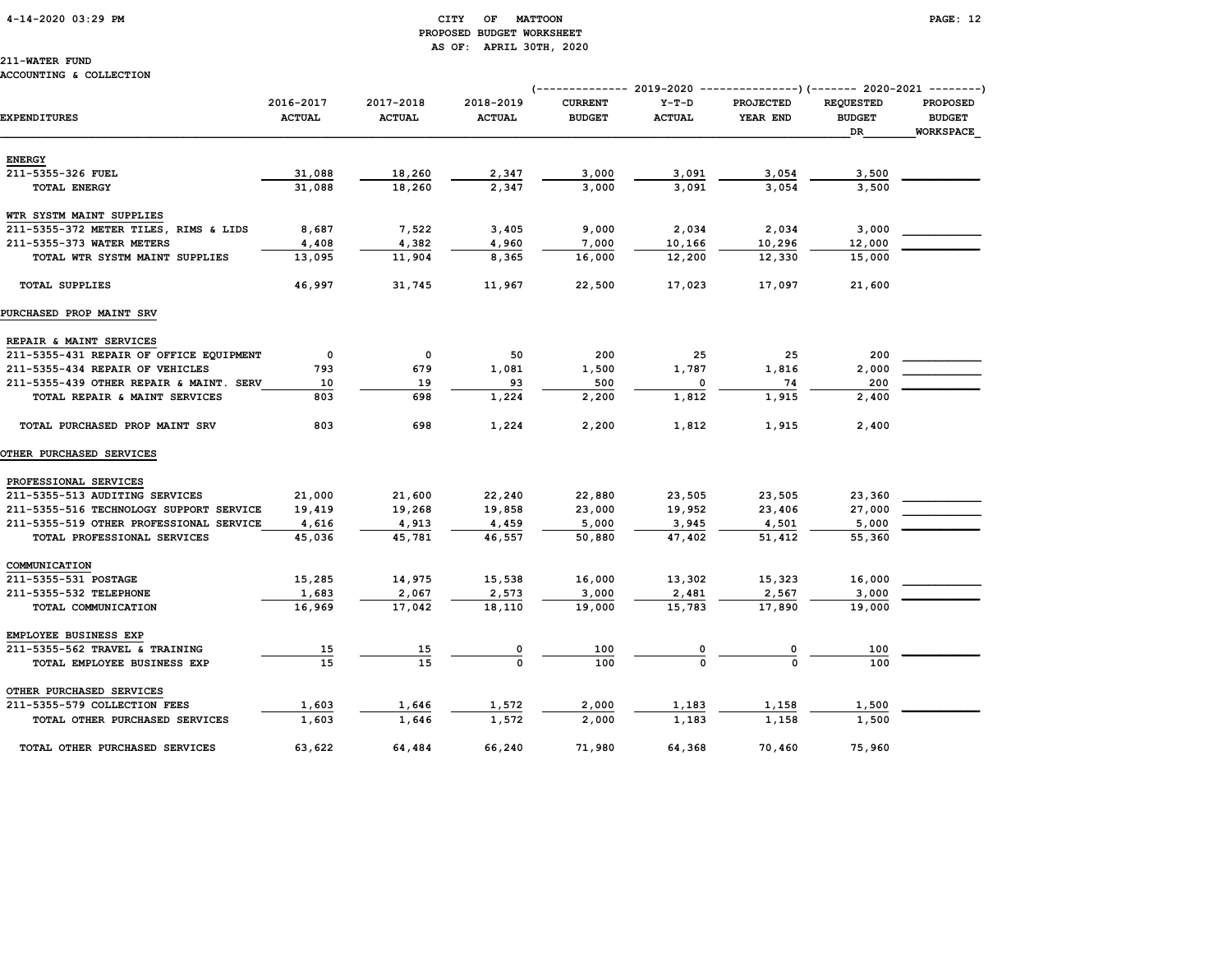# PROPOSED BUDGET WORKSHEET AS OF: APRIL 30TH, 2020

## 211-WATER FUND

#### ACCOUNTING & COLLECTION

|                                         |                            |                            |                            | (------------- 2019-2020        |                          | ---------------) (------- 2020-2021 --------) |                                         |                                                      |
|-----------------------------------------|----------------------------|----------------------------|----------------------------|---------------------------------|--------------------------|-----------------------------------------------|-----------------------------------------|------------------------------------------------------|
| <b>EXPENDITURES</b>                     | 2016-2017<br><b>ACTUAL</b> | 2017-2018<br><b>ACTUAL</b> | 2018-2019<br><b>ACTUAL</b> | <b>CURRENT</b><br><b>BUDGET</b> | $Y-T-D$<br><b>ACTUAL</b> | <b>PROJECTED</b><br>YEAR END                  | <b>REQUESTED</b><br><b>BUDGET</b><br>DR | <b>PROPOSED</b><br><b>BUDGET</b><br><b>WORKSPACE</b> |
| <b>ENERGY</b>                           |                            |                            |                            |                                 |                          |                                               |                                         |                                                      |
| 211-5355-326 FUEL                       | 31,088                     | 18,260                     | 2,347                      | 3,000                           | 3,091                    | 3,054                                         | 3,500                                   |                                                      |
| <b>TOTAL ENERGY</b>                     | 31,088                     | 18,260                     | 2,347                      | 3,000                           | 3,091                    | 3,054                                         | 3,500                                   |                                                      |
| WTR SYSTM MAINT SUPPLIES                |                            |                            |                            |                                 |                          |                                               |                                         |                                                      |
| 211-5355-372 METER TILES, RIMS & LIDS   | 8,687                      | 7,522                      | 3,405                      | 9,000                           | 2,034                    | 2,034                                         | 3,000                                   |                                                      |
| 211-5355-373 WATER METERS               | 4,408                      | 4,382                      | 4,960                      | 7,000                           | 10,166                   | 10,296                                        | 12,000                                  |                                                      |
| TOTAL WTR SYSTM MAINT SUPPLIES          | 13,095                     | 11,904                     | 8,365                      | 16,000                          | 12,200                   | 12,330                                        | 15,000                                  |                                                      |
| <b>TOTAL SUPPLIES</b>                   | 46,997                     | 31,745                     | 11,967                     | 22,500                          | 17,023                   | 17,097                                        | 21,600                                  |                                                      |
| PURCHASED PROP MAINT SRV                |                            |                            |                            |                                 |                          |                                               |                                         |                                                      |
| REPAIR & MAINT SERVICES                 |                            |                            |                            |                                 |                          |                                               |                                         |                                                      |
| 211-5355-431 REPAIR OF OFFICE EQUIPMENT | 0                          | 0                          | 50                         | 200                             | 25                       | 25                                            | 200                                     |                                                      |
| 211-5355-434 REPAIR OF VEHICLES         | 793                        | 679                        | 1,081                      | 1,500                           | 1,787                    | 1,816                                         | 2,000                                   |                                                      |
| 211-5355-439 OTHER REPAIR & MAINT. SERV | 10                         | 19                         | 93                         | 500                             | 0                        | 74                                            | 200                                     |                                                      |
| TOTAL REPAIR & MAINT SERVICES           | 803                        | 698                        | 1,224                      | 2,200                           | 1,812                    | 1,915                                         | 2,400                                   |                                                      |
| TOTAL PURCHASED PROP MAINT SRV          | 803                        | 698                        | 1,224                      | 2,200                           | 1,812                    | 1,915                                         | 2,400                                   |                                                      |
| <b>OTHER PURCHASED SERVICES</b>         |                            |                            |                            |                                 |                          |                                               |                                         |                                                      |
| PROFESSIONAL SERVICES                   |                            |                            |                            |                                 |                          |                                               |                                         |                                                      |
| 211-5355-513 AUDITING SERVICES          | 21,000                     | 21,600                     | 22,240                     | 22,880                          | 23,505                   | 23,505                                        | 23,360                                  |                                                      |
| 211-5355-516 TECHNOLOGY SUPPORT SERVICE | 19,419                     | 19,268                     | 19,858                     | 23,000                          | 19,952                   | 23,406                                        | 27,000                                  |                                                      |
| 211-5355-519 OTHER PROFESSIONAL SERVICE | 4,616                      | 4,913                      | 4,459                      | 5,000                           | 3,945                    | 4,501                                         | 5,000                                   |                                                      |
| TOTAL PROFESSIONAL SERVICES             | 45,036                     | 45,781                     | 46,557                     | 50,880                          | 47,402                   | 51,412                                        | 55,360                                  |                                                      |
| COMMUNICATION                           |                            |                            |                            |                                 |                          |                                               |                                         |                                                      |
| 211-5355-531 POSTAGE                    | 15,285                     | 14,975                     | 15,538                     | 16,000                          | 13,302                   | 15,323                                        | 16,000                                  |                                                      |
| 211-5355-532 TELEPHONE                  | 1,683                      | 2,067                      | 2,573                      | 3,000                           | 2,481                    | 2,567                                         | 3,000                                   |                                                      |
| TOTAL COMMUNICATION                     | 16,969                     | 17,042                     | 18,110                     | 19,000                          | 15,783                   | 17,890                                        | 19,000                                  |                                                      |
| EMPLOYEE BUSINESS EXP                   |                            |                            |                            |                                 |                          |                                               |                                         |                                                      |
| 211-5355-562 TRAVEL & TRAINING          | <u>15</u>                  | <u>15</u>                  | $\frac{0}{0}$              | 100                             |                          |                                               | 100                                     |                                                      |
| TOTAL EMPLOYEE BUSINESS EXP             | 15                         | 15                         |                            | 100                             |                          |                                               | 100                                     |                                                      |
| OTHER PURCHASED SERVICES                |                            |                            |                            |                                 |                          |                                               |                                         |                                                      |
| 211-5355-579 COLLECTION FEES            | 1,603                      | 1,646                      | 1,572                      | 2,000                           | 1,183                    | 1,158                                         | 1,500                                   |                                                      |
| TOTAL OTHER PURCHASED SERVICES          | 1,603                      | 1,646                      | 1,572                      | 2,000                           | 1,183                    | 1,158                                         | 1,500                                   |                                                      |
| TOTAL OTHER PURCHASED SERVICES          | 63,622                     | 64,484                     | 66,240                     | 71,980                          | 64,368                   | 70,460                                        | 75,960                                  |                                                      |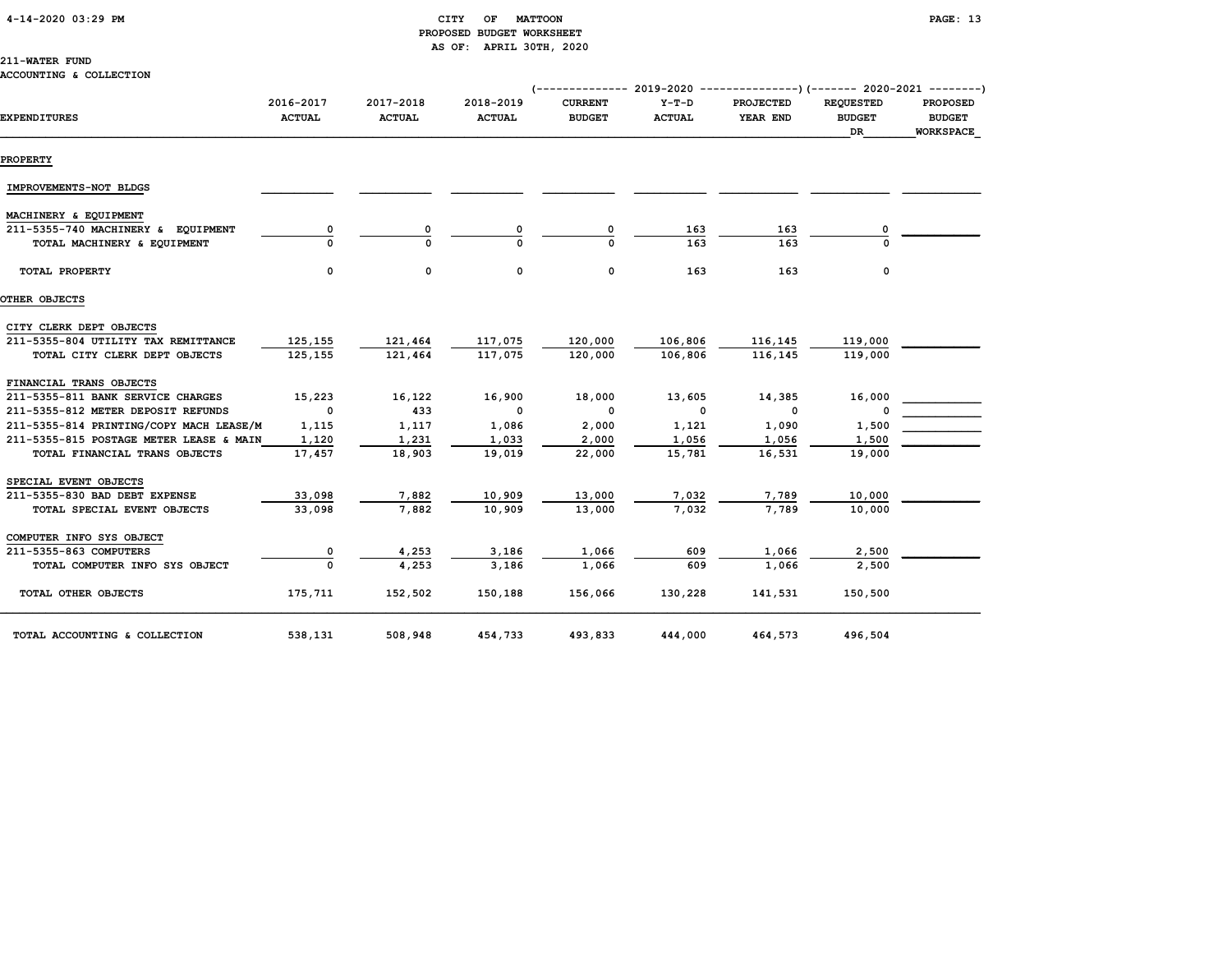|  | 4-14-2020 03:29 PM |  |  |  |
|--|--------------------|--|--|--|
|--|--------------------|--|--|--|

#### CITY OF MATTOON **PAGE:** 13 PROPOSED BUDGET WORKSHEET AS OF: APRIL 30TH, 2020

#### 211-WATER FUND

#### ACCOUNTING & COLLECTION

|                                         |                            |                            |                            |                                 |                          |                              |                                         | (-------------- 2019-2020 ----------------) (------- 2020-2021 --------) |
|-----------------------------------------|----------------------------|----------------------------|----------------------------|---------------------------------|--------------------------|------------------------------|-----------------------------------------|--------------------------------------------------------------------------|
| <b>EXPENDITURES</b>                     | 2016-2017<br><b>ACTUAL</b> | 2017-2018<br><b>ACTUAL</b> | 2018-2019<br><b>ACTUAL</b> | <b>CURRENT</b><br><b>BUDGET</b> | $Y-T-D$<br><b>ACTUAL</b> | <b>PROJECTED</b><br>YEAR END | <b>REQUESTED</b><br><b>BUDGET</b><br>DR | <b>PROPOSED</b><br><b>BUDGET</b><br><b>WORKSPACE</b>                     |
| <b>PROPERTY</b>                         |                            |                            |                            |                                 |                          |                              |                                         |                                                                          |
| IMPROVEMENTS-NOT BLDGS                  |                            |                            |                            |                                 |                          |                              |                                         |                                                                          |
| MACHINERY & EQUIPMENT                   |                            |                            |                            |                                 |                          |                              |                                         |                                                                          |
| 211-5355-740 MACHINERY & EQUIPMENT      |                            | 0                          |                            |                                 | 163                      | 163                          |                                         |                                                                          |
| TOTAL MACHINERY & EQUIPMENT             |                            |                            |                            |                                 | 163                      | 163                          |                                         |                                                                          |
| TOTAL PROPERTY                          | $\mathbf 0$                | $\mathbf{0}$               | 0                          | 0                               | 163                      | 163                          | 0                                       |                                                                          |
| OTHER OBJECTS                           |                            |                            |                            |                                 |                          |                              |                                         |                                                                          |
| CITY CLERK DEPT OBJECTS                 |                            |                            |                            |                                 |                          |                              |                                         |                                                                          |
| 211-5355-804 UTILITY TAX REMITTANCE     | 125,155                    | 121,464                    | 117,075                    | 120,000                         | 106,806                  | 116,145                      | 119,000                                 |                                                                          |
| TOTAL CITY CLERK DEPT OBJECTS           | 125,155                    | 121,464                    | 117,075                    | 120,000                         | 106,806                  | 116,145                      | 119,000                                 |                                                                          |
| FINANCIAL TRANS OBJECTS                 |                            |                            |                            |                                 |                          |                              |                                         |                                                                          |
| 211-5355-811 BANK SERVICE CHARGES       | 15,223                     | 16,122                     | 16,900                     | 18,000                          | 13,605                   | 14,385                       | 16,000                                  |                                                                          |
| 211-5355-812 METER DEPOSIT REFUNDS      | $\overline{\phantom{0}}$   | 433                        | $\overline{\phantom{0}}$   | $\mathbf{o}$                    | $\overline{\phantom{0}}$ | $\mathbf{o}$                 | 0                                       |                                                                          |
| 211-5355-814 PRINTING/COPY MACH LEASE/M | 1,115                      | 1,117                      | 1,086                      | 2,000                           | 1,121                    | 1,090                        | 1,500                                   |                                                                          |
| 211-5355-815 POSTAGE METER LEASE & MAIN | 1,120                      | 1,231                      | 1,033                      | 2,000                           | 1,056                    | 1,056                        | 1,500                                   |                                                                          |
| TOTAL FINANCIAL TRANS OBJECTS           | 17,457                     | 18,903                     | 19,019                     | 22,000                          | 15,781                   | 16,531                       | 19,000                                  |                                                                          |
| SPECIAL EVENT OBJECTS                   |                            |                            |                            |                                 |                          |                              |                                         |                                                                          |
| 211-5355-830 BAD DEBT EXPENSE           | 33,098                     | 7,882                      | 10,909                     | 13,000                          | 7,032                    | 7,789                        | 10,000                                  |                                                                          |
| TOTAL SPECIAL EVENT OBJECTS             | 33,098                     | 7,882                      | 10,909                     | 13,000                          | 7,032                    | 7,789                        | 10,000                                  |                                                                          |
| COMPUTER INFO SYS OBJECT                |                            |                            |                            |                                 |                          |                              |                                         |                                                                          |
| 211-5355-863 COMPUTERS                  | 0                          | 4,253                      | 3,186                      | 1,066                           | 609                      | 1,066                        | 2,500                                   |                                                                          |
| TOTAL COMPUTER INFO SYS OBJECT          |                            | 4,253                      | 3,186                      | 1,066                           | 609                      | 1,066                        | 2,500                                   |                                                                          |
| TOTAL OTHER OBJECTS                     | 175,711                    | 152,502                    | 150,188                    | 156,066                         | 130,228                  | 141,531                      | 150,500                                 |                                                                          |
| TOTAL ACCOUNTING & COLLECTION           | 538,131                    | 508,948                    | 454,733                    | 493,833                         | 444,000                  | 464,573                      | 496,504                                 |                                                                          |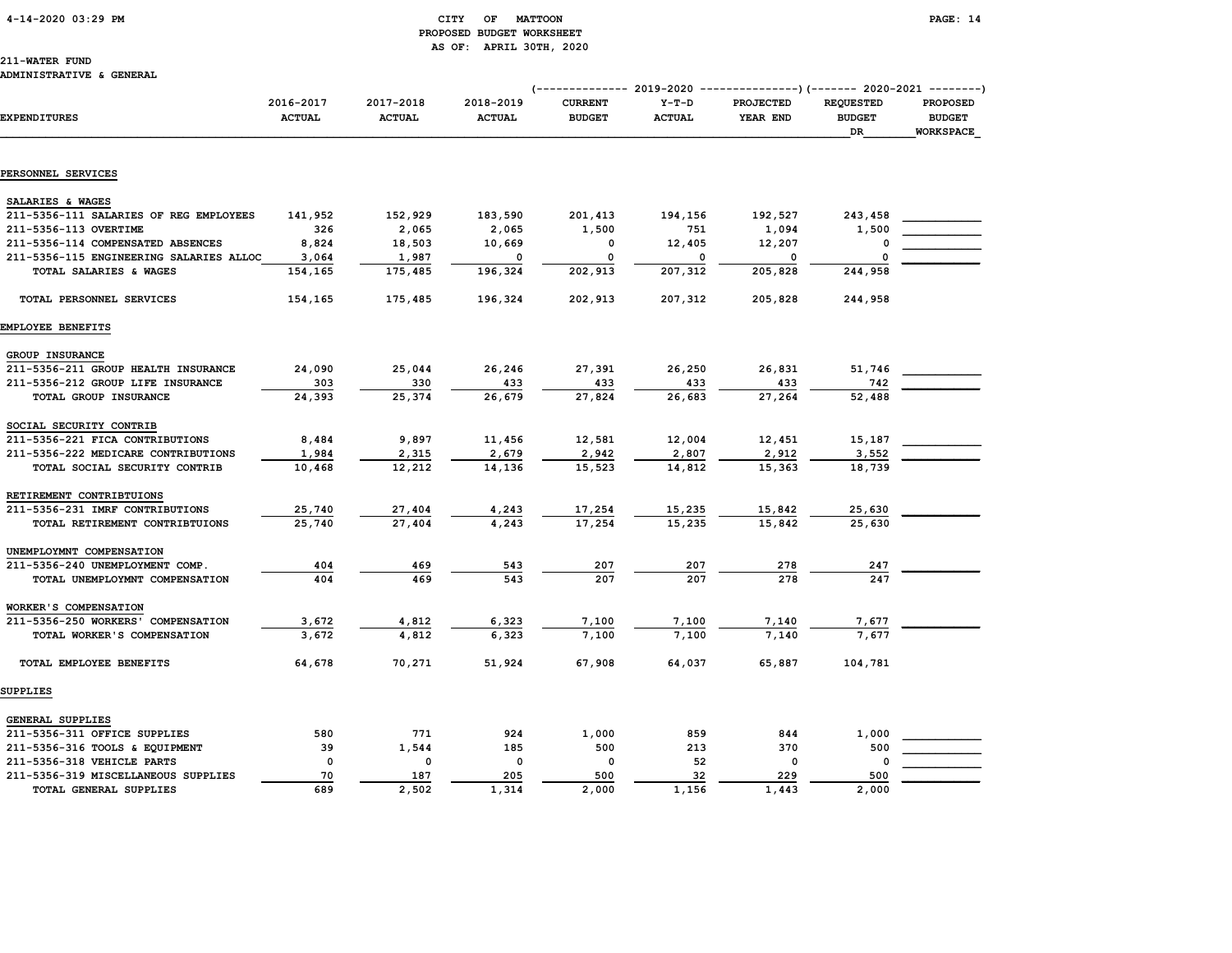#### 4-14-2020 03:29 PM CITY OF MATTOON PAGE: 14 PROPOSED BUDGET WORKSHEET AS OF: APRIL 30TH, 2020

#### 211-WATER FUND

#### ADMINISTRATIVE & GENERAL

|                                         |                            |                            |                            |                                 |                          | (-------------- 2019-2020 ---------------)        (------- 2020-2021 --------) |                                         |                                               |
|-----------------------------------------|----------------------------|----------------------------|----------------------------|---------------------------------|--------------------------|--------------------------------------------------------------------------------|-----------------------------------------|-----------------------------------------------|
| <b>EXPENDITURES</b>                     | 2016-2017<br><b>ACTUAL</b> | 2017-2018<br><b>ACTUAL</b> | 2018-2019<br><b>ACTUAL</b> | <b>CURRENT</b><br><b>BUDGET</b> | $Y-T-D$<br><b>ACTUAL</b> | <b>PROJECTED</b><br>YEAR END                                                   | <b>REQUESTED</b><br><b>BUDGET</b><br>DR | <b>PROPOSED</b><br><b>BUDGET</b><br>WORKSPACE |
|                                         |                            |                            |                            |                                 |                          |                                                                                |                                         |                                               |
| PERSONNEL SERVICES                      |                            |                            |                            |                                 |                          |                                                                                |                                         |                                               |
| SALARIES & WAGES                        |                            |                            |                            |                                 |                          |                                                                                |                                         |                                               |
| 211-5356-111 SALARIES OF REG EMPLOYEES  | 141,952                    | 152,929                    | 183,590                    | 201,413                         | 194,156                  | 192,527                                                                        | 243,458                                 |                                               |
| 211-5356-113 OVERTIME                   | 326                        | 2,065                      | 2,065                      | 1,500                           | 751                      | 1,094                                                                          | 1,500                                   |                                               |
| 211-5356-114 COMPENSATED ABSENCES       | 8,824                      | 18,503                     | 10,669                     | 0                               | 12,405                   | 12,207                                                                         | $\Omega$                                |                                               |
| 211-5356-115 ENGINEERING SALARIES ALLOC | 3,064                      | 1,987                      | 0                          | 0                               | 0                        | 0                                                                              | $\Omega$                                |                                               |
| TOTAL SALARIES & WAGES                  | 154,165                    | 175,485                    | 196,324                    | 202,913                         | 207,312                  | 205,828                                                                        | 244,958                                 |                                               |
| TOTAL PERSONNEL SERVICES                | 154,165                    | 175,485                    | 196,324                    | 202,913                         | 207,312                  | 205,828                                                                        | 244,958                                 |                                               |
| EMPLOYEE BENEFITS                       |                            |                            |                            |                                 |                          |                                                                                |                                         |                                               |
| GROUP INSURANCE                         |                            |                            |                            |                                 |                          |                                                                                |                                         |                                               |
| 211-5356-211 GROUP HEALTH INSURANCE     | 24,090                     | 25,044                     | 26,246                     | 27,391                          | 26,250                   | 26,831                                                                         | 51,746                                  |                                               |
| 211-5356-212 GROUP LIFE INSURANCE       | 303                        | 330                        | 433                        | 433                             | 433                      | 433                                                                            | 742                                     |                                               |
| TOTAL GROUP INSURANCE                   | 24,393                     | 25,374                     | 26,679                     | 27,824                          | 26,683                   | 27,264                                                                         | 52,488                                  |                                               |
| SOCIAL SECURITY CONTRIB                 |                            |                            |                            |                                 |                          |                                                                                |                                         |                                               |
| 211-5356-221 FICA CONTRIBUTIONS         | 8,484                      | 9,897                      | 11,456                     | 12,581                          | 12,004                   | 12,451                                                                         | 15,187                                  |                                               |
| 211-5356-222 MEDICARE CONTRIBUTIONS     | 1,984                      | 2,315                      | 2,679                      | 2,942                           | 2,807                    | 2,912                                                                          | 3,552                                   |                                               |
| TOTAL SOCIAL SECURITY CONTRIB           | 10,468                     | 12,212                     | 14,136                     | 15,523                          | 14,812                   | 15,363                                                                         | 18,739                                  |                                               |
| RETIREMENT CONTRIBTUIONS                |                            |                            |                            |                                 |                          |                                                                                |                                         |                                               |
| 211-5356-231 IMRF CONTRIBUTIONS         | 25,740                     | 27,404                     | 4,243                      | 17,254                          | 15,235                   | 15,842                                                                         | 25,630                                  |                                               |
| TOTAL RETIREMENT CONTRIBTUIONS          | 25,740                     | 27,404                     | 4,243                      | 17,254                          | 15,235                   | 15,842                                                                         | 25,630                                  |                                               |
| UNEMPLOYMNT COMPENSATION                |                            |                            |                            |                                 |                          |                                                                                |                                         |                                               |
| 211-5356-240 UNEMPLOYMENT COMP.         | 404                        | 469                        | 543                        | 207                             | 207                      | 278                                                                            | 247                                     |                                               |
| TOTAL UNEMPLOYMNT COMPENSATION          | 404                        | 469                        | 543                        | 207                             | 207                      | 278                                                                            | 247                                     |                                               |
| WORKER'S COMPENSATION                   |                            |                            |                            |                                 |                          |                                                                                |                                         |                                               |
| 211-5356-250 WORKERS' COMPENSATION      | 3,672                      | 4,812                      | 6,323                      | 7,100                           | 7,100                    | 7,140                                                                          | 7,677                                   |                                               |
| TOTAL WORKER'S COMPENSATION             | 3,672                      | 4,812                      | 6,323                      | 7,100                           | 7,100                    | 7,140                                                                          | 7,677                                   |                                               |
| TOTAL EMPLOYEE BENEFITS                 | 64,678                     | 70,271                     | 51,924                     | 67,908                          | 64,037                   | 65,887                                                                         | 104,781                                 |                                               |
| <b>SUPPLIES</b>                         |                            |                            |                            |                                 |                          |                                                                                |                                         |                                               |
| GENERAL SUPPLIES                        |                            |                            |                            |                                 |                          |                                                                                |                                         |                                               |
| 211-5356-311 OFFICE SUPPLIES            | 580                        | 771                        | 924                        | 1,000                           | 859                      | 844                                                                            | 1,000                                   |                                               |
| 211-5356-316 TOOLS & EQUIPMENT          | 39                         | 1,544                      | 185                        | 500                             | 213                      | 370                                                                            | 500                                     |                                               |
| 211-5356-318 VEHICLE PARTS              | 0                          | $\mathbf 0$                | $\mathsf{o}\,$             | 0                               | 52                       | 0                                                                              | 0                                       |                                               |
| 211-5356-319 MISCELLANEOUS SUPPLIES     | 70                         | 187                        | 205                        | 500                             | 32                       | 229                                                                            | 500                                     |                                               |
| TOTAL GENERAL SUPPLIES                  | 689                        | 2,502                      | 1,314                      | 2,000                           | 1,156                    | 1,443                                                                          | 2,000                                   |                                               |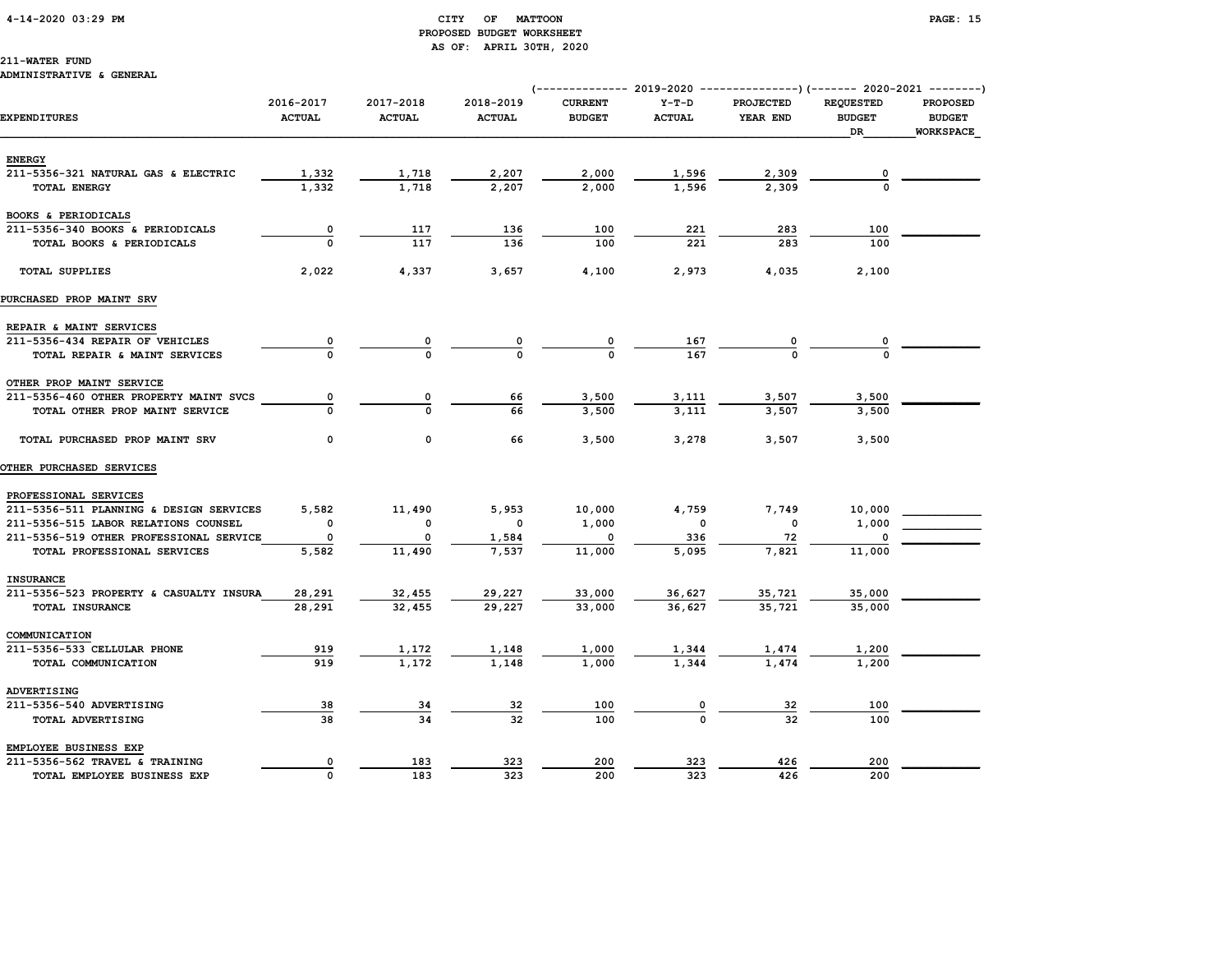#### 4-14-2020 03:29 PM CITY OF MATTOON PAGE: 15 PROPOSED BUDGET WORKSHEET AS OF: APRIL 30TH, 2020

211-WATER FUND

#### ADMINISTRATIVE & GENERAL

|                                         |                            |                            |                            |                                 |                          | (-------------- 2019-2020 ----------------) (------- 2020-2021 --------) |                                         |                                               |
|-----------------------------------------|----------------------------|----------------------------|----------------------------|---------------------------------|--------------------------|--------------------------------------------------------------------------|-----------------------------------------|-----------------------------------------------|
| <b>EXPENDITURES</b>                     | 2016-2017<br><b>ACTUAL</b> | 2017-2018<br><b>ACTUAL</b> | 2018-2019<br><b>ACTUAL</b> | <b>CURRENT</b><br><b>BUDGET</b> | $Y-T-D$<br><b>ACTUAL</b> | <b>PROJECTED</b><br>YEAR END                                             | <b>REQUESTED</b><br><b>BUDGET</b><br>DR | <b>PROPOSED</b><br><b>BUDGET</b><br>WORKSPACE |
| <b>ENERGY</b>                           |                            |                            |                            |                                 |                          |                                                                          |                                         |                                               |
| 211-5356-321 NATURAL GAS & ELECTRIC     | 1,332                      | 1,718                      | 2,207                      | 2,000                           | 1,596                    | 2,309                                                                    |                                         |                                               |
| <b>TOTAL ENERGY</b>                     | 1,332                      | 1,718                      | 2,207                      | 2,000                           | 1,596                    | 2,309                                                                    |                                         |                                               |
|                                         |                            |                            |                            |                                 |                          |                                                                          |                                         |                                               |
| BOOKS & PERIODICALS                     |                            |                            |                            |                                 |                          |                                                                          |                                         |                                               |
| 211-5356-340 BOOKS & PERIODICALS        | 0                          | 117                        | 136                        | 100                             | 221                      | 283                                                                      | 100                                     |                                               |
| TOTAL BOOKS & PERIODICALS               |                            | 117                        | 136                        | 100                             | 221                      | 283                                                                      | 100                                     |                                               |
| <b>TOTAL SUPPLIES</b>                   | 2,022                      | 4,337                      | 3,657                      | 4,100                           | 2,973                    | 4,035                                                                    | 2,100                                   |                                               |
| PURCHASED PROP MAINT SRV                |                            |                            |                            |                                 |                          |                                                                          |                                         |                                               |
| REPAIR & MAINT SERVICES                 |                            |                            |                            |                                 |                          |                                                                          |                                         |                                               |
| 211-5356-434 REPAIR OF VEHICLES         |                            |                            |                            |                                 |                          |                                                                          |                                         |                                               |
| TOTAL REPAIR & MAINT SERVICES           |                            |                            |                            |                                 | $\frac{167}{167}$        |                                                                          |                                         |                                               |
| OTHER PROP MAINT SERVICE                |                            |                            |                            |                                 |                          |                                                                          |                                         |                                               |
| 211-5356-460 OTHER PROPERTY MAINT SVCS  | 0                          | 0                          | 66                         | 3,500                           | <u>3,111</u>             | 3,507                                                                    | 3,500                                   |                                               |
| TOTAL OTHER PROP MAINT SERVICE          |                            | $\Omega$                   | 66                         | 3,500                           | 3,111                    | 3,507                                                                    | 3,500                                   |                                               |
| TOTAL PURCHASED PROP MAINT SRV          | 0                          | $\mathbf 0$                | 66                         | 3,500                           | 3,278                    | 3,507                                                                    | 3,500                                   |                                               |
| <b>OTHER PURCHASED SERVICES</b>         |                            |                            |                            |                                 |                          |                                                                          |                                         |                                               |
| PROFESSIONAL SERVICES                   |                            |                            |                            |                                 |                          |                                                                          |                                         |                                               |
| 211-5356-511 PLANNING & DESIGN SERVICES | 5,582                      | 11,490                     | 5,953                      | 10,000                          | 4,759                    | 7,749                                                                    | 10,000                                  |                                               |
| 211-5356-515 LABOR RELATIONS COUNSEL    | $\Omega$                   | 0                          | 0                          | 1,000                           | 0                        | $\mathbf 0$                                                              | 1,000                                   |                                               |
| 211-5356-519 OTHER PROFESSIONAL SERVICE | O                          |                            | 1,584                      |                                 | 336                      | 72                                                                       |                                         |                                               |
| TOTAL PROFESSIONAL SERVICES             | 5,582                      | 11,490                     | 7,537                      | 11,000                          | 5,095                    | 7,821                                                                    | 11,000                                  |                                               |
| <b>INSURANCE</b>                        |                            |                            |                            |                                 |                          |                                                                          |                                         |                                               |
| 211-5356-523 PROPERTY & CASUALTY INSURA | 28,291                     | 32,455                     | 29,227                     | 33,000                          | 36,627                   | <u>35,721</u>                                                            | 35,000                                  |                                               |
| TOTAL INSURANCE                         | 28,291                     | 32,455                     | 29,227                     | 33,000                          | 36,627                   | 35,721                                                                   | 35,000                                  |                                               |
| COMMUNICATION                           |                            |                            |                            |                                 |                          |                                                                          |                                         |                                               |
| 211-5356-533 CELLULAR PHONE             | 919                        | 1,172                      | 1,148                      | 1,000                           |                          |                                                                          | 1,200                                   |                                               |
| TOTAL COMMUNICATION                     | 919                        | 1,172                      | 1,148                      | 1,000                           | <u>1,344</u><br>1,344    | <u>1,474</u><br>1,474                                                    | 1,200                                   |                                               |
|                                         |                            |                            |                            |                                 |                          |                                                                          |                                         |                                               |
| ADVERTISING                             |                            |                            |                            |                                 |                          |                                                                          |                                         |                                               |
| 211-5356-540 ADVERTISING                | 38                         | 34                         | 32                         | 100                             |                          | 32                                                                       | 100                                     |                                               |
| TOTAL ADVERTISING                       | 38                         | 34                         | 32                         | 100                             |                          | 32                                                                       | 100                                     |                                               |
| EMPLOYEE BUSINESS EXP                   |                            |                            |                            |                                 |                          |                                                                          |                                         |                                               |
| 211-5356-562 TRAVEL & TRAINING          | 0                          | 183                        | 323                        | 200                             | 323                      | 426                                                                      | 200                                     |                                               |
| TOTAL EMPLOYEE BUSINESS EXP             | $\Omega$                   | 183                        | 323                        | 200                             | 323                      | 426                                                                      | 200                                     |                                               |
|                                         |                            |                            |                            |                                 |                          |                                                                          |                                         |                                               |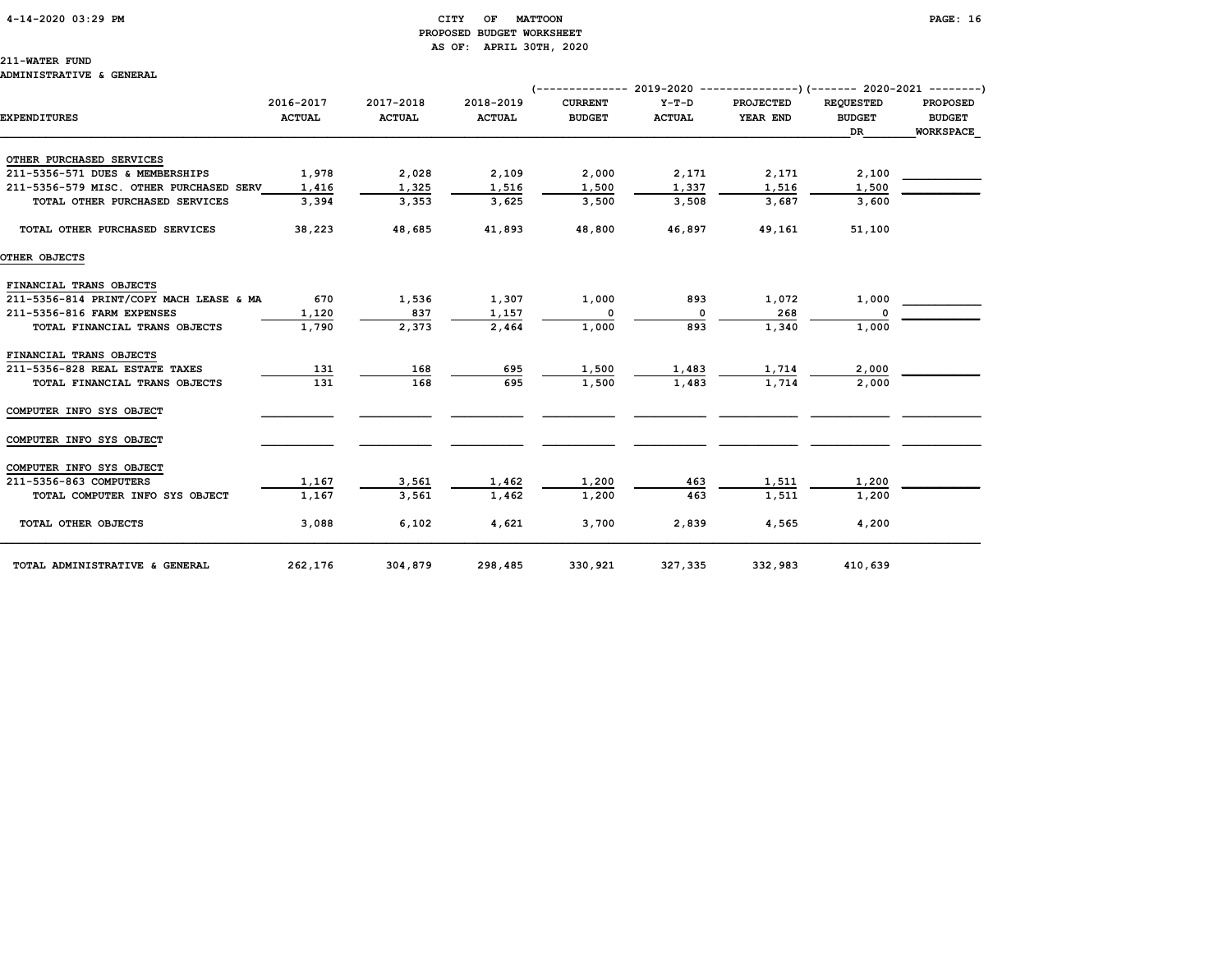#### 4-14-2020 03:29 PM CITY OF MATTOON PAGE: 16 PROPOSED BUDGET WORKSHEET AS OF: APRIL 30TH, 2020

211-WATER FUND ADMINISTRATIVE & GENERAL

# (-------------- 2019-2020 ---------------)(------- 2020-2021 --------) 2016-2017 2017-2018 2018-2019 CURRENT Y-T-D PROJECTED REQUESTED PROPOSED EXPENDITURES ACTUAL ACTUAL ACTUAL BUDGET ACTUAL YEAR END BUDGET BUDGET  $\Box$  . The contract of the contract of the contract of the contract of the contract of the contract of the contract of the contract of the contract of the contract of the contract of the contract of the contract of the co

| OTHER PURCHASED SERVICES                |         |         |         |         |         |         |         |  |
|-----------------------------------------|---------|---------|---------|---------|---------|---------|---------|--|
| 211-5356-571 DUES & MEMBERSHIPS         | 1,978   | 2,028   | 2,109   | 2,000   | 2,171   | 2,171   | 2,100   |  |
| 211-5356-579 MISC. OTHER PURCHASED SERV | 1,416   | 1,325   | 1,516   | 1,500   | 1,337   | 1,516   | 1,500   |  |
| TOTAL OTHER PURCHASED SERVICES          | 3,394   | 3,353   | 3,625   | 3,500   | 3,508   | 3,687   | 3,600   |  |
| TOTAL OTHER PURCHASED SERVICES          | 38,223  | 48,685  | 41,893  | 48,800  | 46,897  | 49,161  | 51,100  |  |
| OTHER OBJECTS                           |         |         |         |         |         |         |         |  |
| FINANCIAL TRANS OBJECTS                 |         |         |         |         |         |         |         |  |
| 211-5356-814 PRINT/COPY MACH LEASE & MA | 670     | 1,536   | 1,307   | 1,000   | 893     | 1,072   | 1,000   |  |
| 211-5356-816 FARM EXPENSES              | 1,120   | 837     | 1,157   | 0       | 0       | 268     | O       |  |
| TOTAL FINANCIAL TRANS OBJECTS           | 1,790   | 2,373   | 2,464   | 1,000   | 893     | 1,340   | 1,000   |  |
| FINANCIAL TRANS OBJECTS                 |         |         |         |         |         |         |         |  |
| 211-5356-828 REAL ESTATE TAXES          | 131     | 168     | 695     | 1,500   | 1,483   | 1,714   | 2,000   |  |
| TOTAL FINANCIAL TRANS OBJECTS           | 131     | 168     | 695     | 1,500   | 1,483   | 1,714   | 2,000   |  |
| COMPUTER INFO SYS OBJECT                |         |         |         |         |         |         |         |  |
| COMPUTER INFO SYS OBJECT                |         |         |         |         |         |         |         |  |
| COMPUTER INFO SYS OBJECT                |         |         |         |         |         |         |         |  |
| 211-5356-863 COMPUTERS                  | 1,167   | 3,561   | 1,462   | 1,200   | 463     | 1,511   | 1,200   |  |
| TOTAL COMPUTER INFO SYS OBJECT          | 1,167   | 3,561   | 1,462   | 1,200   | 463     | 1,511   | 1,200   |  |
| TOTAL OTHER OBJECTS                     | 3,088   | 6,102   | 4,621   | 3,700   | 2,839   | 4,565   | 4,200   |  |
| TOTAL ADMINISTRATIVE & GENERAL          | 262,176 | 304,879 | 298,485 | 330,921 | 327,335 | 332,983 | 410,639 |  |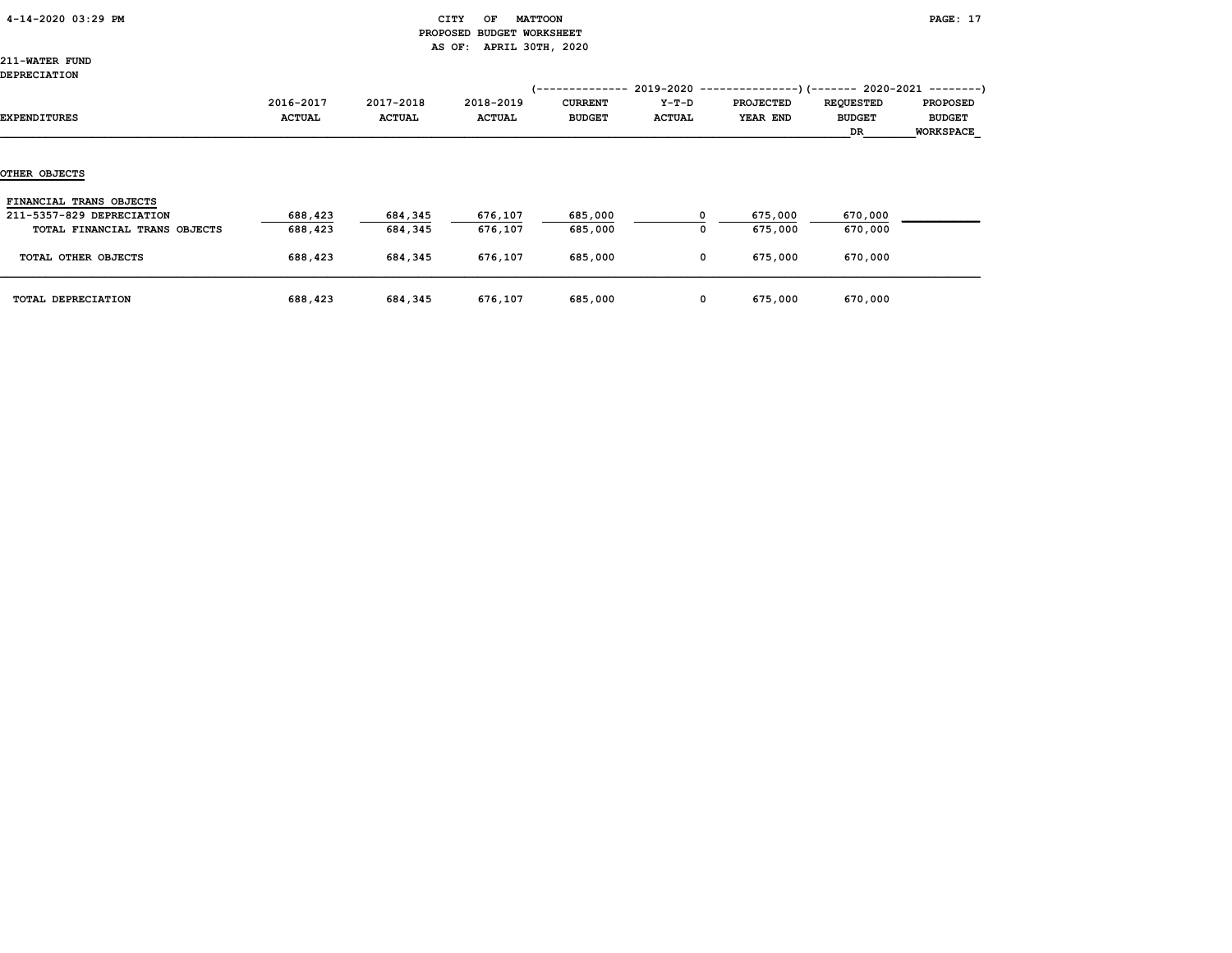|  | 4-14-2020 03:29 PM |  |  |
|--|--------------------|--|--|
|--|--------------------|--|--|

### CITY OF MATTOON **PAGE: 17**  PROPOSED BUDGET WORKSHEET AS OF: APRIL 30TH, 2020

211-WATER FUND

### DEPRECIATION

| DEPRECIATION                                         |                            |                            |                     | -----------                     |                        | $2019-2020$ ----------------)(------- 2020-2021 --------) |                                         |                                               |
|------------------------------------------------------|----------------------------|----------------------------|---------------------|---------------------------------|------------------------|-----------------------------------------------------------|-----------------------------------------|-----------------------------------------------|
| EXPENDITURES                                         | 2016-2017<br><b>ACTUAL</b> | 2017-2018<br><b>ACTUAL</b> | 2018-2019<br>ACTUAL | <b>CURRENT</b><br><b>BUDGET</b> | Y-T-D<br><b>ACTUAL</b> | <b>PROJECTED</b><br>YEAR END                              | <b>REQUESTED</b><br><b>BUDGET</b><br>DR | <b>PROPOSED</b><br><b>BUDGET</b><br>WORKSPACE |
| OTHER OBJECTS                                        |                            |                            |                     |                                 |                        |                                                           |                                         |                                               |
| FINANCIAL TRANS OBJECTS<br>211-5357-829 DEPRECIATION | 688,423                    | 684,345                    | 676,107             | 685,000                         |                        | 675,000                                                   | 670,000                                 |                                               |
| TOTAL FINANCIAL TRANS OBJECTS                        | 688,423                    | 684,345                    | 676,107             | 685,000                         | 0                      | 675,000                                                   | 670,000                                 |                                               |
| TOTAL OTHER OBJECTS                                  | 688,423                    | 684,345                    | 676,107             | 685,000                         | $\mathbf 0$            | 675,000                                                   | 670,000                                 |                                               |
| TOTAL DEPRECIATION                                   | 688,423                    | 684,345                    | 676,107             | 685,000                         | $\mathbf 0$            | 675,000                                                   | 670,000                                 |                                               |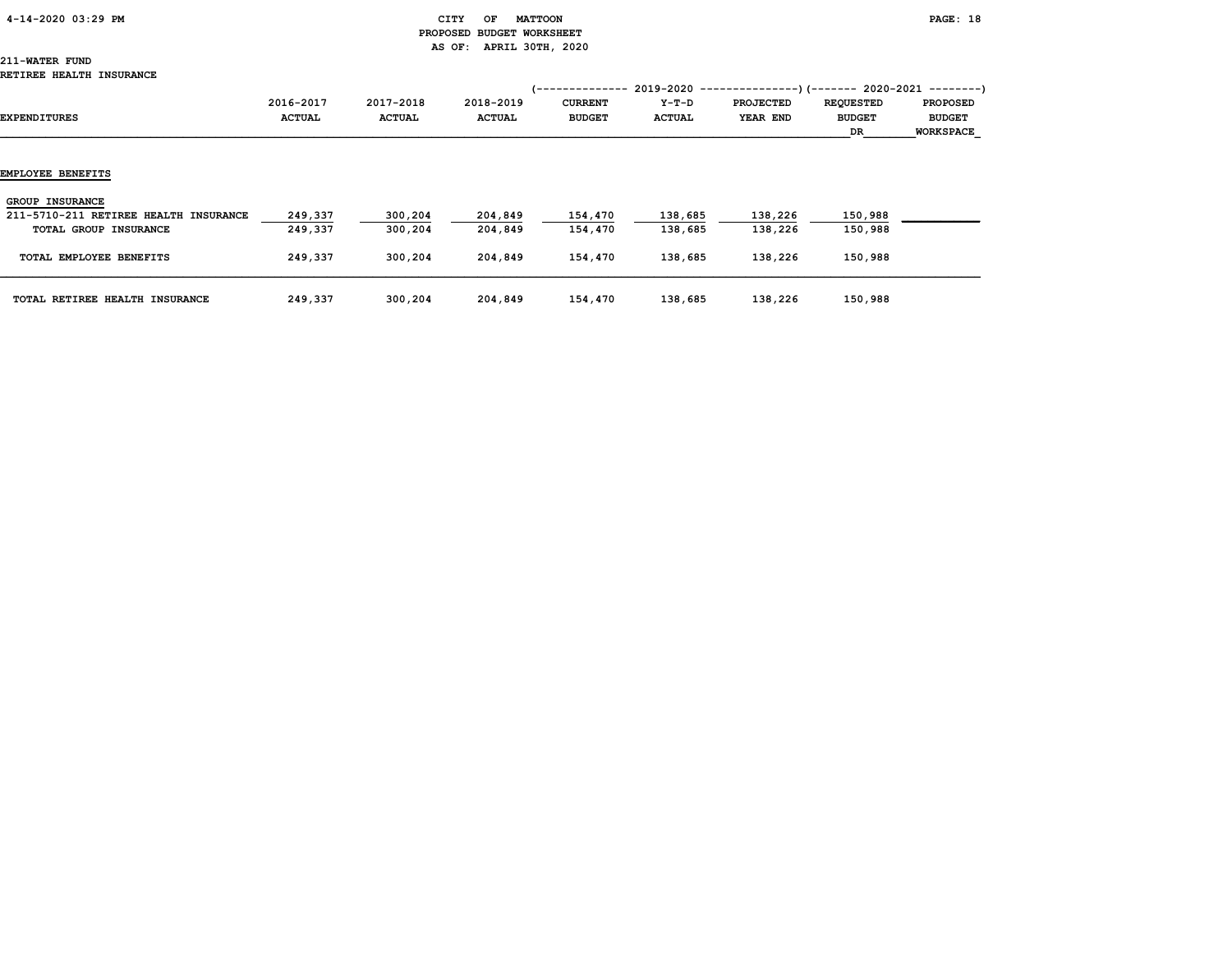### 4-14-2020 03:29 PM CITY OF MATTOON PAGE: 18 PROPOSED BUDGET WORKSHEET AS OF: APRIL 30TH, 2020

# 211-WATER FUND

| EXPENDITURES                                                                             | 2016-2017<br><b>ACTUAL</b> | 2017-2018<br><b>ACTUAL</b> | 2018-2019<br><b>ACTUAL</b> | <b>CURRENT</b><br><b>BUDGET</b> | $Y-T-D$<br>ACTUAL  | (-------------- 2019-2020 ----------------) (------- 2020-2021 --------)<br><b>PROJECTED</b><br>YEAR END | <b>REQUESTED</b><br><b>BUDGET</b><br>DR | <b>PROPOSED</b><br><b>BUDGET</b><br><b>WORKSPACE</b> |
|------------------------------------------------------------------------------------------|----------------------------|----------------------------|----------------------------|---------------------------------|--------------------|----------------------------------------------------------------------------------------------------------|-----------------------------------------|------------------------------------------------------|
| <b>EMPLOYEE BENEFITS</b>                                                                 |                            |                            |                            |                                 |                    |                                                                                                          |                                         |                                                      |
| <b>GROUP INSURANCE</b><br>211-5710-211 RETIREE HEALTH INSURANCE<br>TOTAL GROUP INSURANCE | 249,337<br>249,337         | 300,204<br>300,204         | 204,849<br>204,849         | 154,470<br>154,470              | 138,685<br>138,685 | 138,226<br>138,226                                                                                       | 150,988<br>150,988                      |                                                      |
| TOTAL EMPLOYEE BENEFITS                                                                  | 249,337                    | 300,204                    | 204,849                    | 154,470                         | 138,685            | 138,226                                                                                                  | 150,988                                 |                                                      |
| TOTAL RETIREE HEALTH INSURANCE                                                           | 249,337                    | 300,204                    | 204,849                    | 154,470                         | 138,685            | 138,226                                                                                                  | 150,988                                 |                                                      |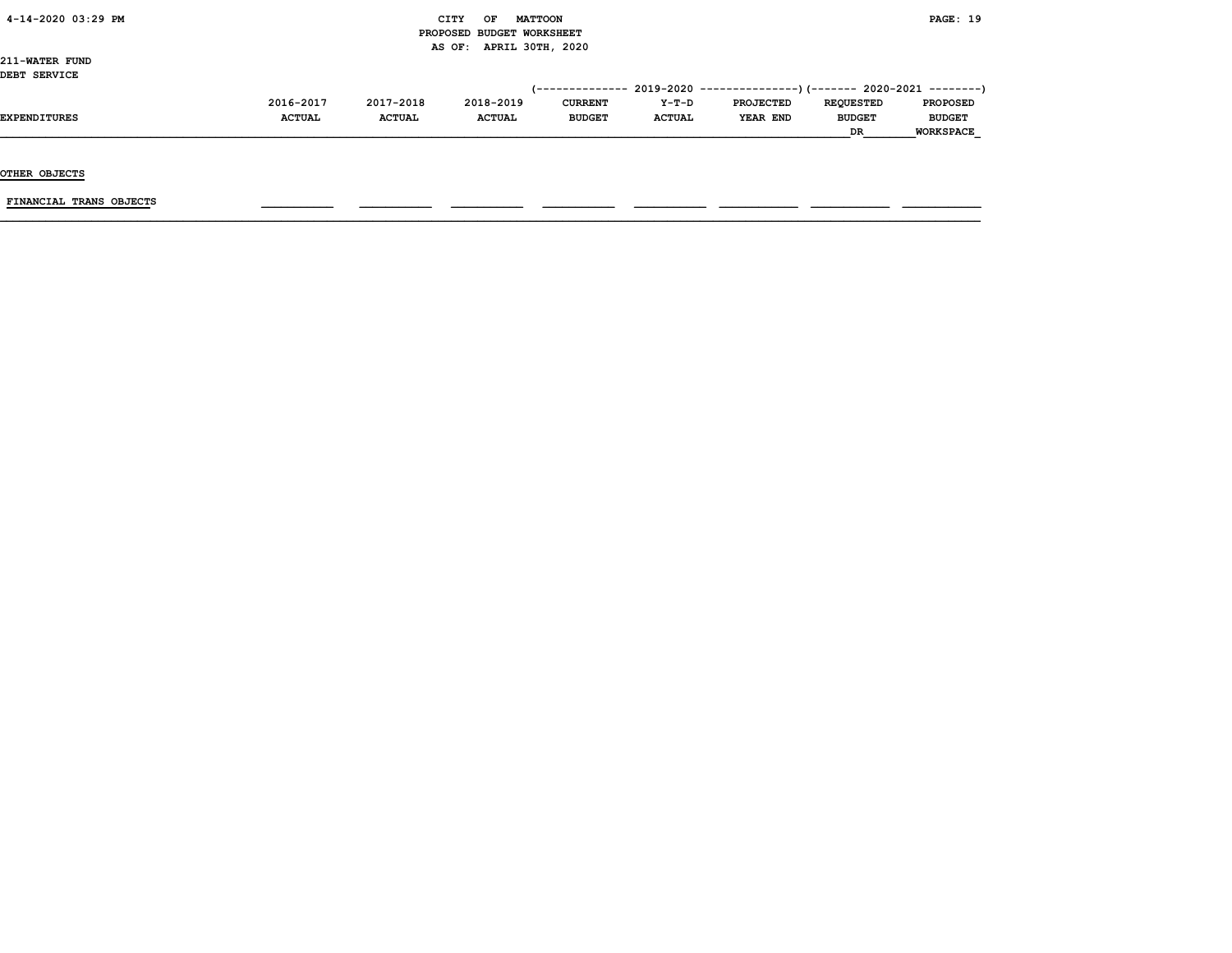### $\begin{array}{ccc} \text{CITY} & \text{OF} & \text{MATTCON} \end{array}$  PROPOSED BUDGET WORKSHEET AS OF: APRIL 30TH, 2020

211-WATER FUND DEBT SERVICE

| DEBI SERVICE |               |               |               |                |               |                                                                              |                  |                  |
|--------------|---------------|---------------|---------------|----------------|---------------|------------------------------------------------------------------------------|------------------|------------------|
|              |               |               |               |                |               | $(-$ ------------- 2019-2020 ----------------) (------- 2020-2021 ---------) |                  |                  |
|              | 2016-2017     | 2017-2018     | 2018-2019     | <b>CURRENT</b> | $Y-T-D$       | <b>PROJECTED</b>                                                             | <b>REOUESTED</b> | <b>PROPOSED</b>  |
| EXPENDITURES | <b>ACTUAL</b> | <b>ACTUAL</b> | <b>ACTUAL</b> | <b>BUDGET</b>  | <b>ACTUAL</b> | YEAR END                                                                     | <b>BUDGET</b>    | <b>BUDGET</b>    |
|              |               |               |               |                |               |                                                                              | <b>DR</b>        | <b>WORKSPACE</b> |

OTHER OBJECTS

 $FINANCIAL$  TRANS OBJECTS  $\qquad \qquad \qquad \qquad$   $\qquad \qquad$   $\qquad \qquad$   $\qquad \qquad$   $\qquad$   $\qquad \qquad$   $\qquad \qquad$   $\qquad \qquad$   $\qquad$   $\qquad$   $\qquad$   $\qquad$   $\qquad$   $\qquad$   $\qquad$   $\qquad$   $\qquad$   $\qquad$   $\qquad$   $\qquad$   $\qquad$   $\qquad$   $\qquad$   $\qquad$   $\qquad$   $\qquad$   $\qquad$   $\qquad$   $\qquad$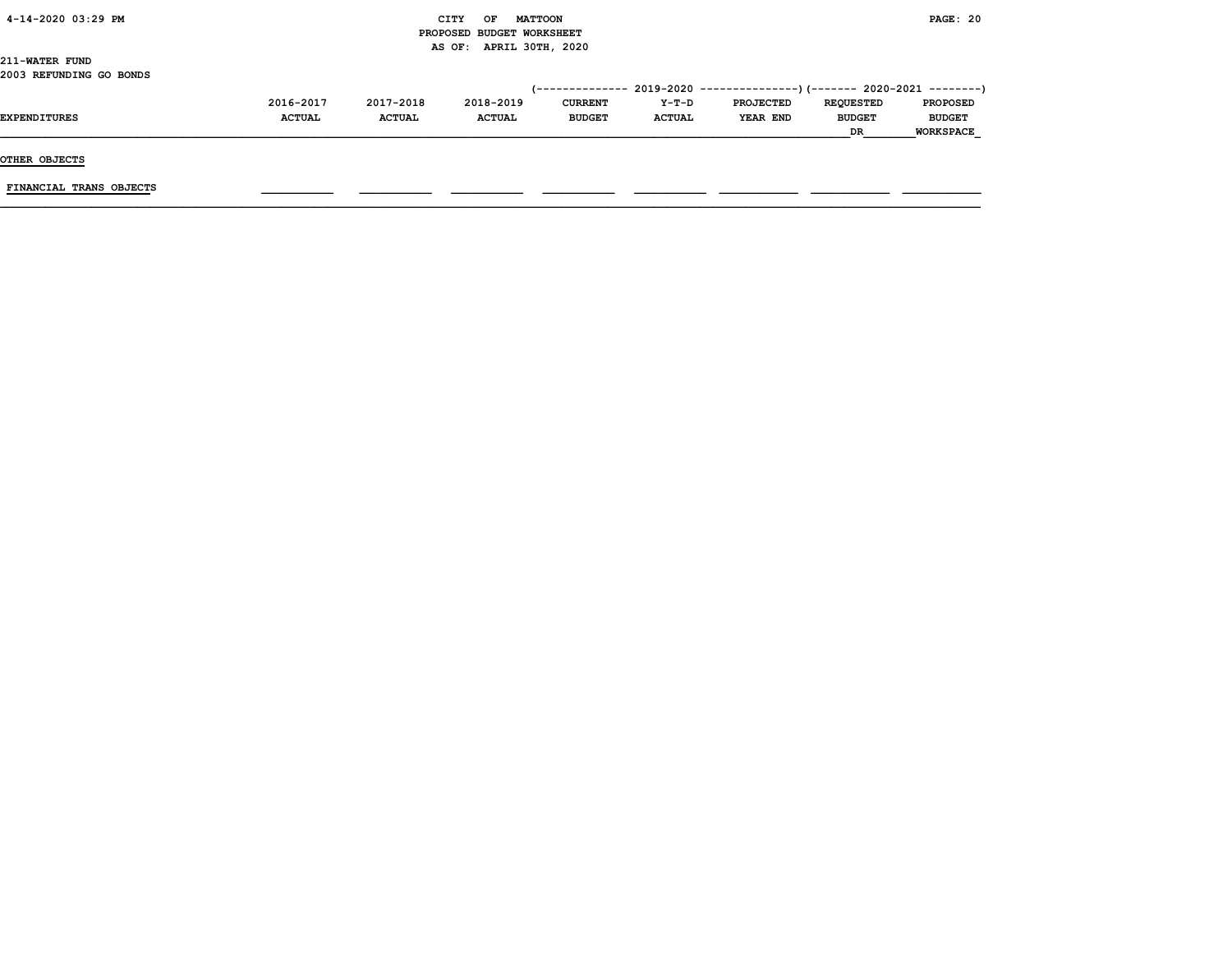|  | 4-14-2020 03:29 PM |  |  |
|--|--------------------|--|--|
|--|--------------------|--|--|

### CITY OF MATTOON **PAGE: 20**  PROPOSED BUDGET WORKSHEET AS OF: APRIL 30TH, 2020

211-WATER FUND 2003 REFUNDING GO BONDS

|                     |               |               |               |                |               | (-------------- 2019-2020 ----------------) (------- 2020-2021 --------) |                  |                  |
|---------------------|---------------|---------------|---------------|----------------|---------------|--------------------------------------------------------------------------|------------------|------------------|
|                     | 2016-2017     | 2017-2018     | 2018-2019     | <b>CURRENT</b> | $Y-T-D$       | <b>PROJECTED</b>                                                         | <b>REOUESTED</b> | <b>PROPOSED</b>  |
| <b>EXPENDITURES</b> | <b>ACTUAL</b> | <b>ACTUAL</b> | <b>ACTUAL</b> | <b>BUDGET</b>  | <b>ACTUAL</b> | YEAR END                                                                 | <b>BUDGET</b>    | <b>BUDGET</b>    |
|                     |               |               |               |                |               |                                                                          | DR               | <b>WORKSPACE</b> |

OTHER OBJECTS

FINANCIAL TRANS OBJECTS \_\_\_\_\_\_\_\_\_\_\_ \_\_\_\_\_\_\_\_\_\_\_ \_\_\_\_\_\_\_\_\_\_\_ \_\_\_\_\_\_\_\_\_\_\_ \_\_\_\_\_\_\_\_\_\_\_ \_\_\_\_\_\_\_\_\_\_\_\_ \_\_\_\_\_\_\_\_\_\_\_\_ \_\_\_\_\_\_\_\_\_\_\_\_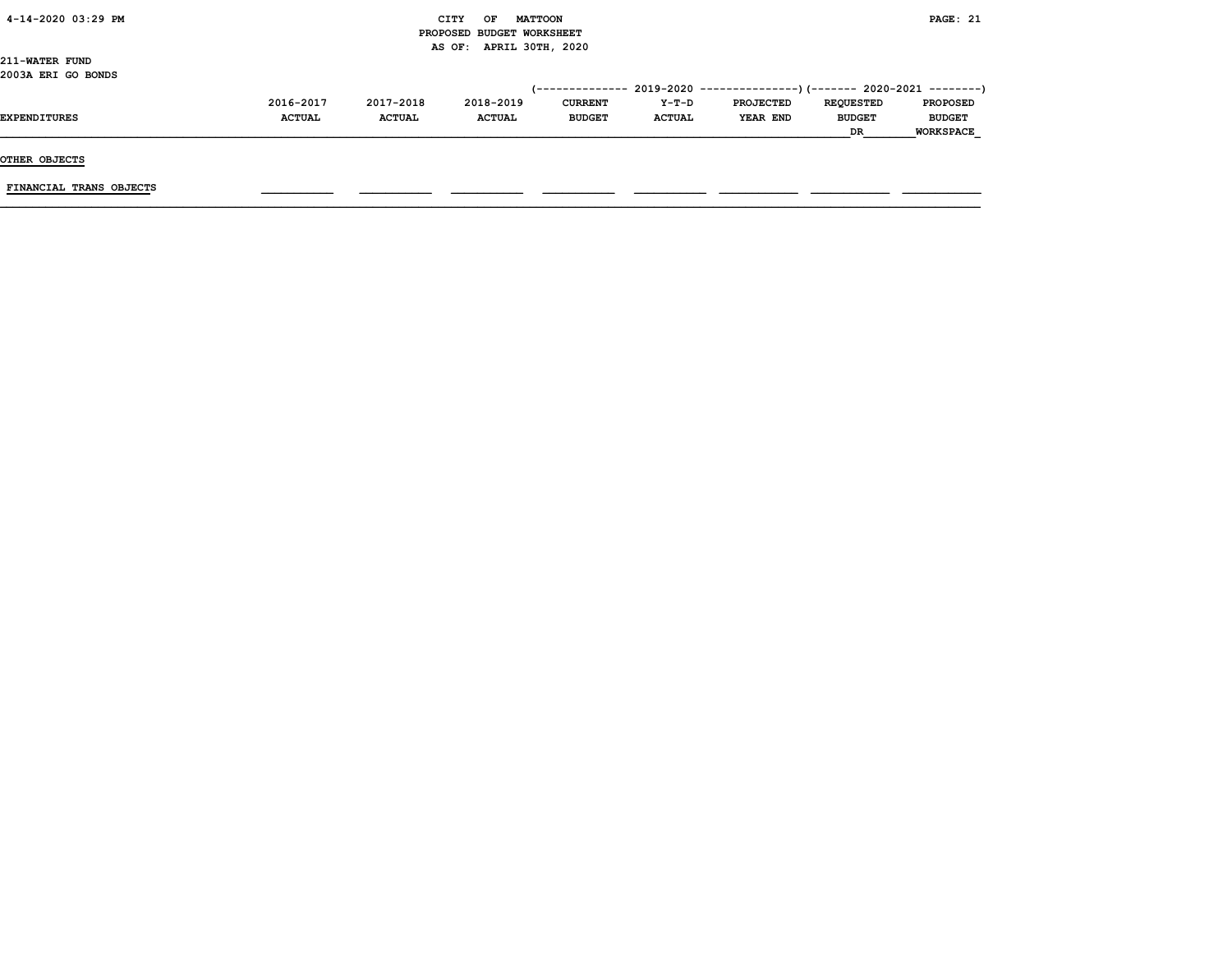| 4-14-2020 03:29 PM |  |
|--------------------|--|
|                    |  |

### CITY OF MATTOON **PAGE: 21**  PROPOSED BUDGET WORKSHEET AS OF: APRIL 30TH, 2020

211-WATER FUND 2003A ERI GO BONDS

|                     |               |               |               |                |               | (------------- 2019-2020 ----------------) (------- 2020-2021 --------) |                  |                  |
|---------------------|---------------|---------------|---------------|----------------|---------------|-------------------------------------------------------------------------|------------------|------------------|
|                     | 2016-2017     | 2017-2018     | 2018-2019     | <b>CURRENT</b> | Y-T-D         | <b>PROJECTED</b>                                                        | <b>REOUESTED</b> | <b>PROPOSED</b>  |
| <b>EXPENDITURES</b> | <b>ACTUAL</b> | <b>ACTUAL</b> | <b>ACTUAL</b> | <b>BUDGET</b>  | <b>ACTUAL</b> | YEAR END                                                                | <b>BUDGET</b>    | <b>BUDGET</b>    |
|                     |               |               |               |                |               |                                                                         | <b>DR</b>        | <b>WORKSPACE</b> |

OTHER OBJECTS

FINANCIAL TRANS OBJECTS \_\_\_\_\_\_\_\_\_\_\_ \_\_\_\_\_\_\_\_\_\_\_ \_\_\_\_\_\_\_\_\_\_\_ \_\_\_\_\_\_\_\_\_\_\_ \_\_\_\_\_\_\_\_\_\_\_ \_\_\_\_\_\_\_\_\_\_\_\_ \_\_\_\_\_\_\_\_\_\_\_\_ \_\_\_\_\_\_\_\_\_\_\_\_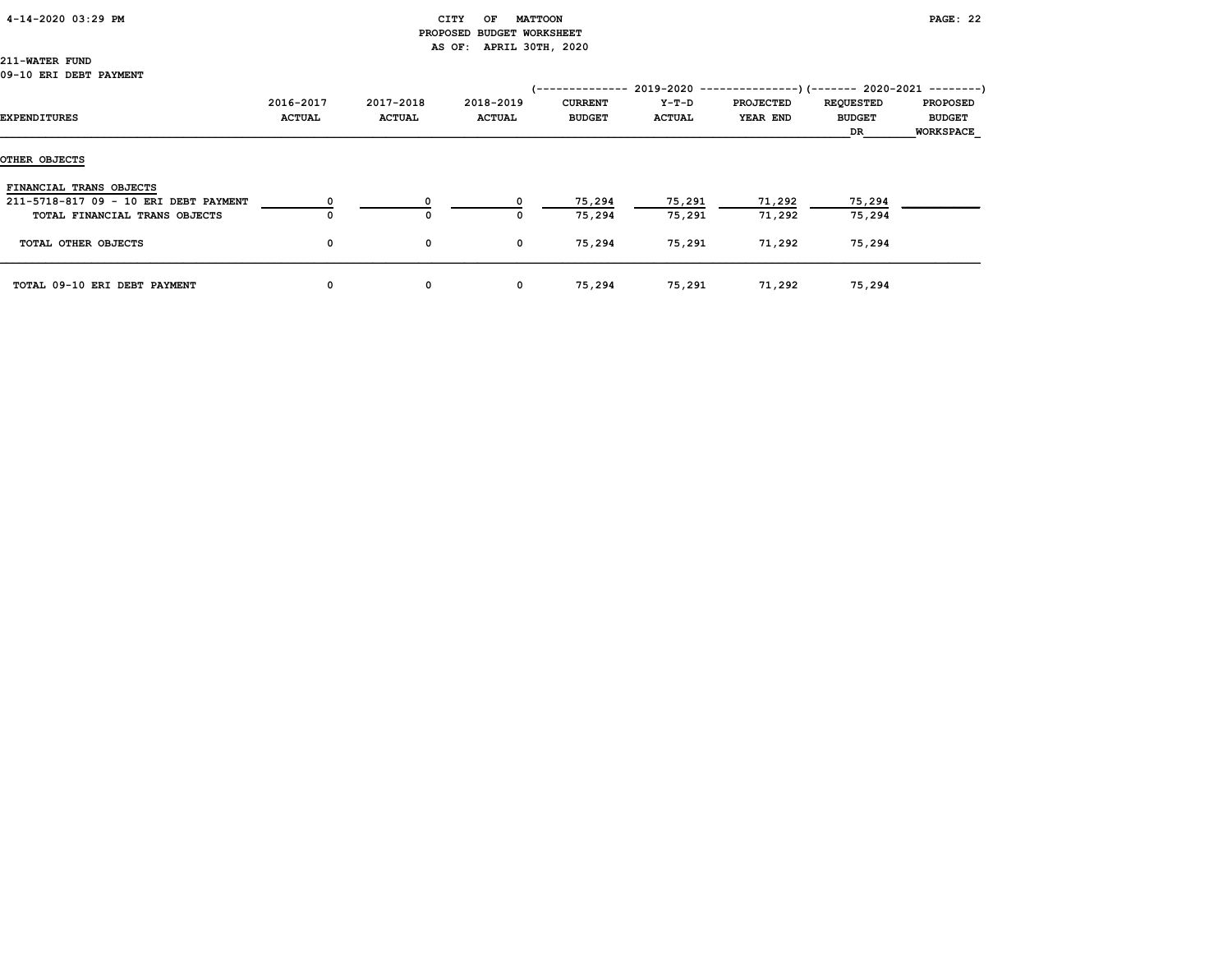### 4-14-2020 03:29 PM CITY OF MATTOON PAGE: 22

# PROPOSED BUDGET WORKSHEET AS OF: APRIL 30TH, 2020

## 211-WATER FUND

#### 09-10 ERI DEBT PAYMENT

|                                       |                            |                            |                            | '--------------                 | 2019-2020              | $-----------$ ) (------- 2020-2021 --------) |                                         |                                                      |
|---------------------------------------|----------------------------|----------------------------|----------------------------|---------------------------------|------------------------|----------------------------------------------|-----------------------------------------|------------------------------------------------------|
| EXPENDITURES                          | 2016-2017<br><b>ACTUAL</b> | 2017-2018<br><b>ACTUAL</b> | 2018-2019<br><b>ACTUAL</b> | <b>CURRENT</b><br><b>BUDGET</b> | Y-T-D<br><b>ACTUAL</b> | <b>PROJECTED</b><br>YEAR END                 | <b>REQUESTED</b><br><b>BUDGET</b><br>DR | <b>PROPOSED</b><br><b>BUDGET</b><br><b>WORKSPACE</b> |
| OTHER OBJECTS                         |                            |                            |                            |                                 |                        |                                              |                                         |                                                      |
| FINANCIAL TRANS OBJECTS               |                            |                            |                            |                                 |                        |                                              |                                         |                                                      |
| 211-5718-817 09 - 10 ERI DEBT PAYMENT |                            | 0                          |                            | 75,294                          | 75,291                 | 71,292                                       | 75,294                                  |                                                      |
| TOTAL FINANCIAL TRANS OBJECTS         | 0                          | O                          | 0                          | 75,294                          | 75,291                 | 71,292                                       | 75,294                                  |                                                      |
| TOTAL OTHER OBJECTS                   | 0                          | 0                          | 0                          | 75,294                          | 75,291                 | 71,292                                       | 75,294                                  |                                                      |
| TOTAL 09-10 ERI DEBT PAYMENT          | 0                          | 0                          | 0                          | 75,294                          | 75,291                 | 71,292                                       | 75,294                                  |                                                      |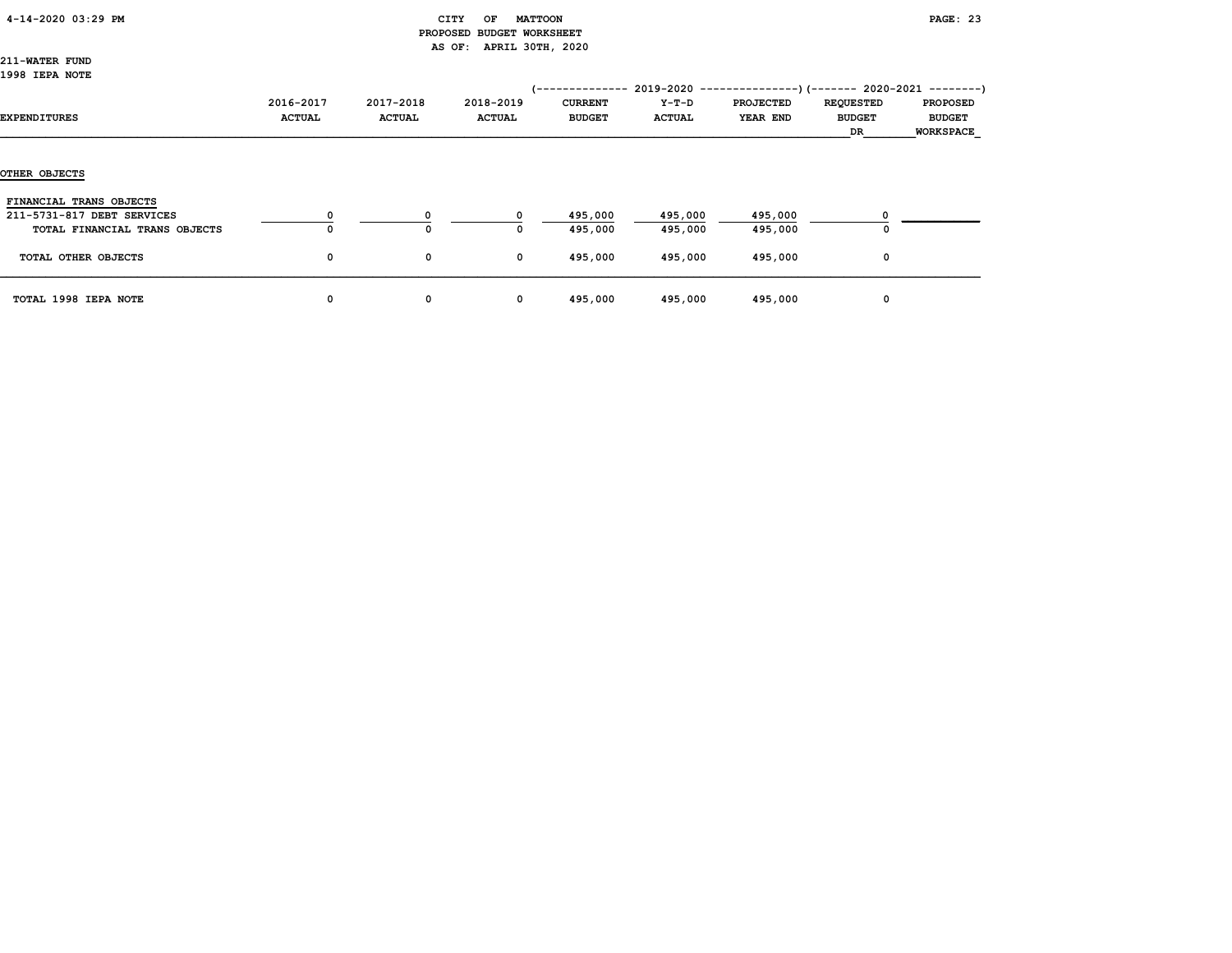| 4-14-2020 03:29 PM |
|--------------------|
|--------------------|

### CITY OF MATTOON **PAGE: 23**  PROPOSED BUDGET WORKSHEET AS OF: APRIL 30TH, 2020

211-WATER FUND 1998 IEPA NOTE

|                               |                            |                            |                            | (--------------                 | $2019 - 2020$ ----       |                              |                                                | --)(------- 2020-2021 --------)                      |
|-------------------------------|----------------------------|----------------------------|----------------------------|---------------------------------|--------------------------|------------------------------|------------------------------------------------|------------------------------------------------------|
| EXPENDITURES                  | 2016-2017<br><b>ACTUAL</b> | 2017-2018<br><b>ACTUAL</b> | 2018-2019<br><b>ACTUAL</b> | <b>CURRENT</b><br><b>BUDGET</b> | $Y-T-D$<br><b>ACTUAL</b> | <b>PROJECTED</b><br>YEAR END | <b>REQUESTED</b><br><b>BUDGET</b><br><b>DR</b> | <b>PROPOSED</b><br><b>BUDGET</b><br><b>WORKSPACE</b> |
| OTHER OBJECTS                 |                            |                            |                            |                                 |                          |                              |                                                |                                                      |
| FINANCIAL TRANS OBJECTS       |                            |                            |                            |                                 |                          |                              |                                                |                                                      |
| 211-5731-817 DEBT SERVICES    |                            | 0                          | $^{\circ}$                 | 495,000                         | 495,000                  | 495,000                      |                                                |                                                      |
| TOTAL FINANCIAL TRANS OBJECTS |                            | 0                          | 0                          | 495,000                         | 495,000                  | 495,000                      |                                                |                                                      |
| TOTAL OTHER OBJECTS           | 0                          | 0                          | 0                          | 495,000                         | 495,000                  | 495,000                      | 0                                              |                                                      |
| TOTAL 1998 IEPA NOTE          | 0                          | 0                          | $\mathbf{o}$               | 495,000                         | 495,000                  | 495,000                      | 0                                              |                                                      |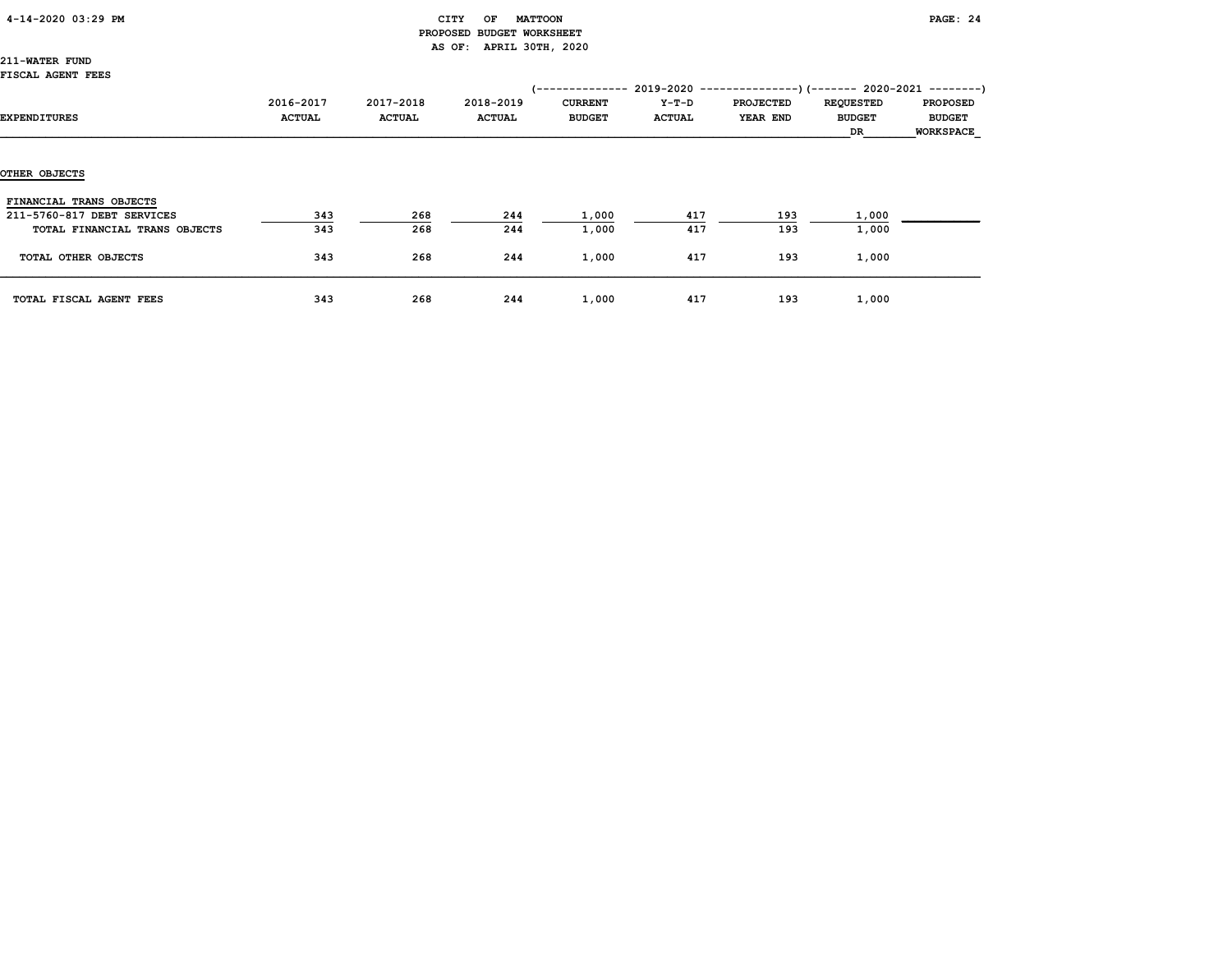### 4-14-2020 03:29 PM CITY OF MATTOON PAGE: 24 PROPOSED BUDGET WORKSHEET AS OF: APRIL 30TH, 2020

211-WATER FUND FISCAL AGENT FEES

| riauni nurni rrra             |                            |                            |                            |                                 |                          | (-------------- 2019-2020 ----------------) (------- 2020-2021 ---------) |                                         |                                                      |
|-------------------------------|----------------------------|----------------------------|----------------------------|---------------------------------|--------------------------|---------------------------------------------------------------------------|-----------------------------------------|------------------------------------------------------|
| <b>EXPENDITURES</b>           | 2016-2017<br><b>ACTUAL</b> | 2017-2018<br><b>ACTUAL</b> | 2018-2019<br><b>ACTUAL</b> | <b>CURRENT</b><br><b>BUDGET</b> | $Y-T-D$<br><b>ACTUAL</b> | <b>PROJECTED</b><br>YEAR END                                              | <b>REQUESTED</b><br><b>BUDGET</b><br>DR | <b>PROPOSED</b><br><b>BUDGET</b><br><b>WORKSPACE</b> |
| OTHER OBJECTS                 |                            |                            |                            |                                 |                          |                                                                           |                                         |                                                      |
| FINANCIAL TRANS OBJECTS       |                            |                            |                            |                                 |                          |                                                                           |                                         |                                                      |
| 211-5760-817 DEBT SERVICES    | 343                        | 268                        | 244                        | 1,000                           | 417                      | 193                                                                       | 1,000                                   |                                                      |
| TOTAL FINANCIAL TRANS OBJECTS | 343                        | 268                        | 244                        | 1,000                           | 417                      | 193                                                                       | 1,000                                   |                                                      |
| TOTAL OTHER OBJECTS           | 343                        | 268                        | 244                        | 1,000                           | 417                      | 193                                                                       | 1,000                                   |                                                      |
| TOTAL FISCAL AGENT FEES       | 343                        | 268                        | 244                        | 1,000                           | 417                      | 193                                                                       | 1,000                                   |                                                      |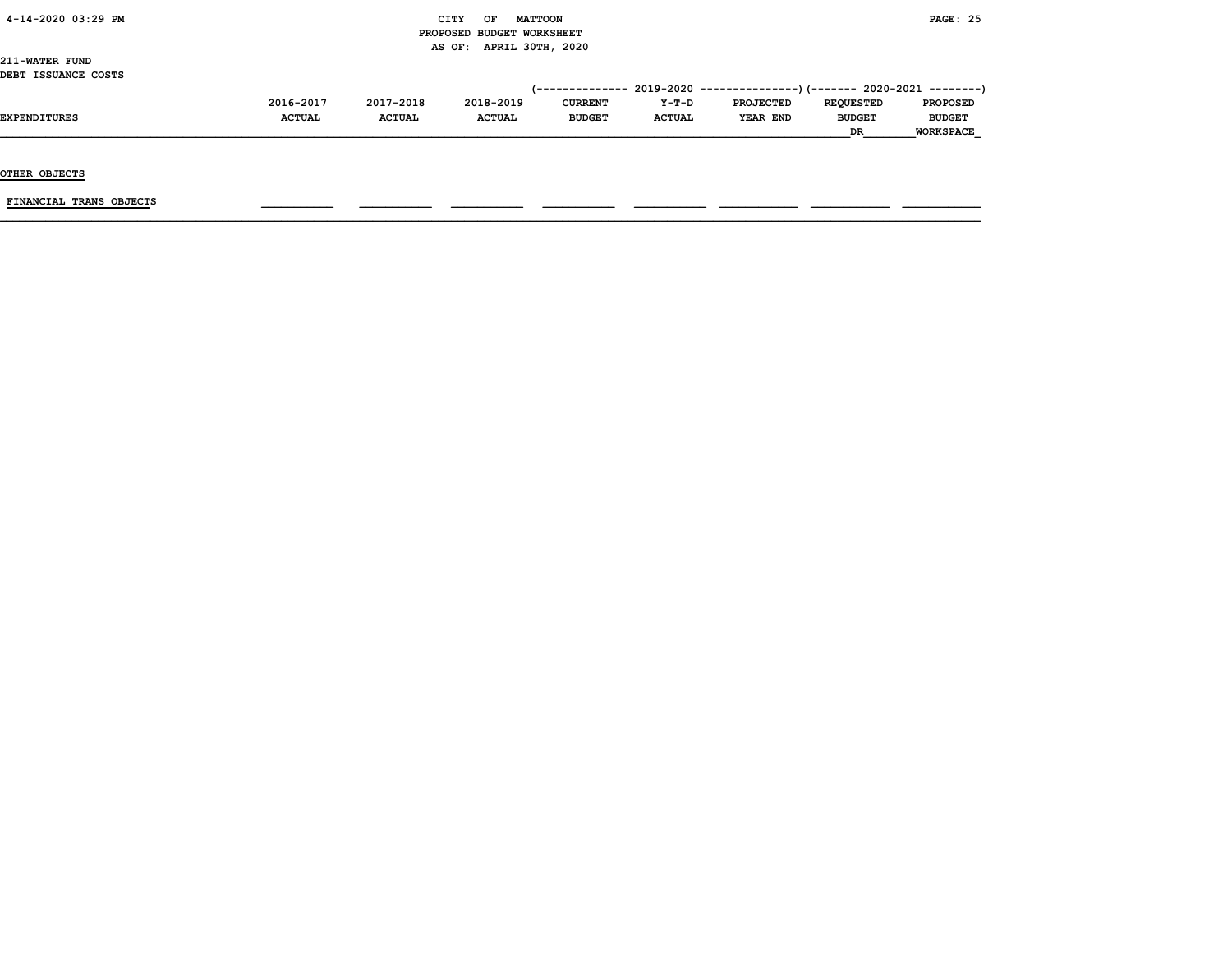### 4-14-2020 03:29 PM CITY OF MATTOON PAGE: 25 PROPOSED BUDGET WORKSHEET AS OF: APRIL 30TH, 2020

211-WATER FUND DEBT ISSUANCE COSTS

| .                   |               |               |               |                |               | $(-$ ------------- 2019-2020 ----------------) (------- 2020-2021 --------) |                  |                  |
|---------------------|---------------|---------------|---------------|----------------|---------------|-----------------------------------------------------------------------------|------------------|------------------|
|                     | 2016-2017     | 2017-2018     | 2018-2019     | <b>CURRENT</b> | $Y-T-D$       | <b>PROJECTED</b>                                                            | <b>REOUESTED</b> | <b>PROPOSED</b>  |
| <b>EXPENDITURES</b> | <b>ACTUAL</b> | <b>ACTUAL</b> | <b>ACTUAL</b> | <b>BUDGET</b>  | <b>ACTUAL</b> | YEAR END                                                                    | <b>BUDGET</b>    | <b>BUDGET</b>    |
|                     |               |               |               |                |               |                                                                             | <b>DR</b>        | <b>WORKSPACE</b> |

OTHER OBJECTS

 $FINANCIAL$  TRANS OBJECTS  $\qquad \qquad \qquad \qquad$   $\qquad \qquad$   $\qquad \qquad$   $\qquad \qquad$   $\qquad$   $\qquad \qquad$   $\qquad \qquad$   $\qquad \qquad$   $\qquad$   $\qquad$   $\qquad$   $\qquad$   $\qquad$   $\qquad$   $\qquad$   $\qquad$   $\qquad$   $\qquad$   $\qquad$   $\qquad$   $\qquad$   $\qquad$   $\qquad$   $\qquad$   $\qquad$   $\qquad$   $\qquad$   $\qquad$   $\qquad$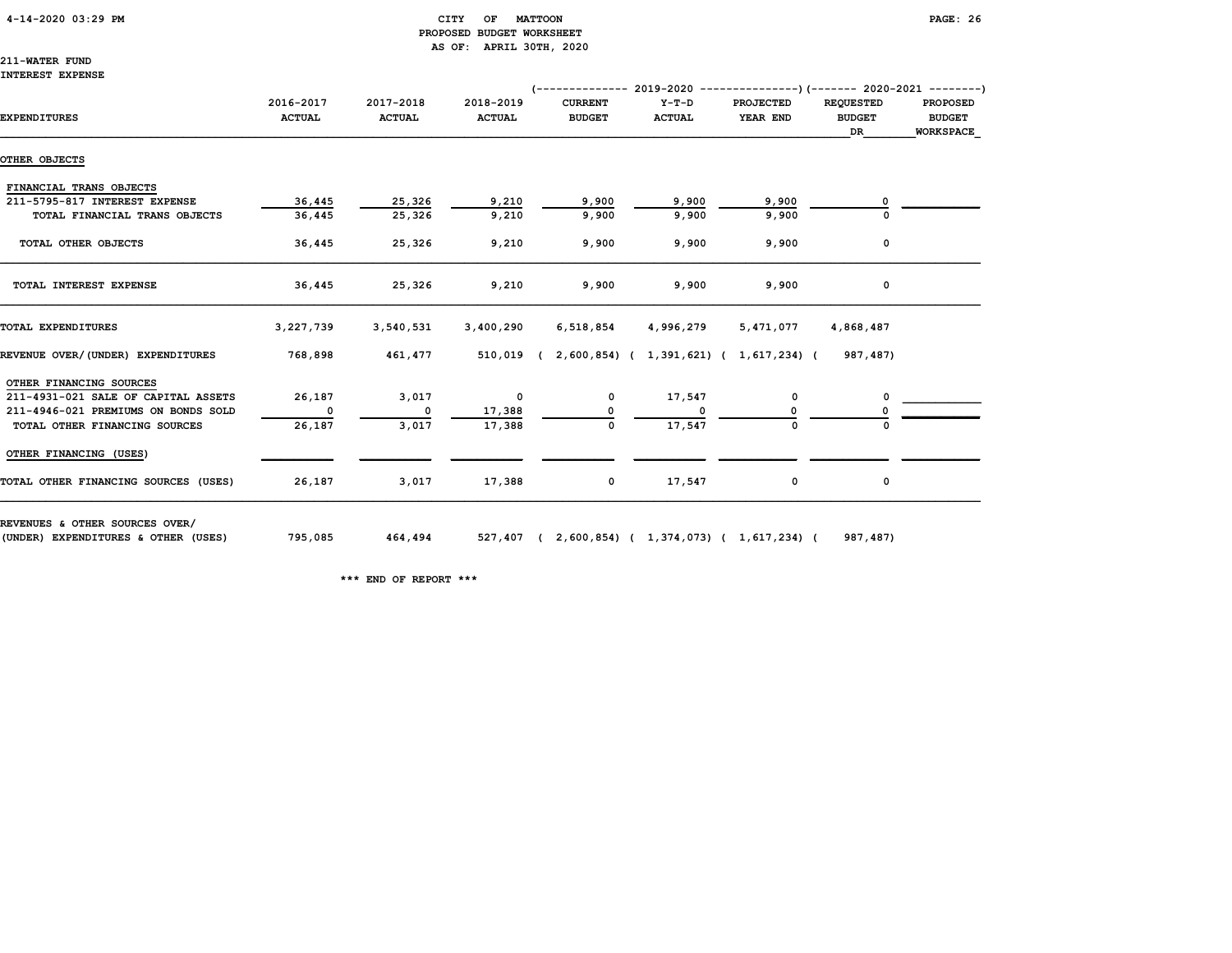### 4-14-2020 03:29 PM CITY OF MATTOON PAGE: 26 PROPOSED BUDGET WORKSHEET AS OF: APRIL 30TH, 2020

# 211-WATER FUND

INTEREST EXPENSE

|                                      |                            |                            |                            | $($ -------------- 2019-2020 ----------------) (------- 2020-2021 --------) |                          |                              |                                         |                                                      |
|--------------------------------------|----------------------------|----------------------------|----------------------------|-----------------------------------------------------------------------------|--------------------------|------------------------------|-----------------------------------------|------------------------------------------------------|
| <b>EXPENDITURES</b>                  | 2016-2017<br><b>ACTUAL</b> | 2017-2018<br><b>ACTUAL</b> | 2018-2019<br><b>ACTUAL</b> | <b>CURRENT</b><br><b>BUDGET</b>                                             | $Y-T-D$<br><b>ACTUAL</b> | <b>PROJECTED</b><br>YEAR END | <b>REQUESTED</b><br><b>BUDGET</b><br>DR | <b>PROPOSED</b><br><b>BUDGET</b><br><b>WORKSPACE</b> |
| OTHER OBJECTS                        |                            |                            |                            |                                                                             |                          |                              |                                         |                                                      |
| FINANCIAL TRANS OBJECTS              |                            |                            |                            |                                                                             |                          |                              |                                         |                                                      |
| 211-5795-817 INTEREST EXPENSE        | 36,445                     | 25,326                     | 9,210                      | 9,900                                                                       | 9,900                    | 9,900                        |                                         |                                                      |
| TOTAL FINANCIAL TRANS OBJECTS        | 36,445                     | 25,326                     | 9,210                      | 9,900                                                                       | 9,900                    | 9,900                        | 0                                       |                                                      |
| TOTAL OTHER OBJECTS                  | 36,445                     | 25,326                     | 9,210                      | 9,900                                                                       | 9,900                    | 9,900                        | 0                                       |                                                      |
| TOTAL INTEREST EXPENSE               | 36,445                     | 25,326                     | 9,210                      | 9,900                                                                       | 9,900                    | 9,900                        | 0                                       |                                                      |
| TOTAL EXPENDITURES                   | 3,227,739                  | 3,540,531                  | 3,400,290                  | 6,518,854                                                                   | 4,996,279                | 5,471,077                    | 4,868,487                               |                                                      |
| REVENUE OVER/(UNDER) EXPENDITURES    | 768,898                    | 461,477                    |                            | 510,019 (2,600,854) (1,391,621) (1,617,234) (                               |                          |                              | 987,487)                                |                                                      |
| OTHER FINANCING SOURCES              |                            |                            |                            |                                                                             |                          |                              |                                         |                                                      |
| 211-4931-021 SALE OF CAPITAL ASSETS  | 26,187                     | 3,017                      | $\mathbf 0$                | 0                                                                           | 17,547                   | 0                            | 0                                       |                                                      |
| 211-4946-021 PREMIUMS ON BONDS SOLD  | $\mathbf{o}$               | $\mathbf{o}$               | 17,388                     |                                                                             | 0                        |                              |                                         |                                                      |
| TOTAL OTHER FINANCING SOURCES        | 26,187                     | 3,017                      | 17,388                     | 0                                                                           | 17,547                   | $\Omega$                     |                                         |                                                      |
| OTHER FINANCING (USES)               |                            |                            |                            |                                                                             |                          |                              |                                         |                                                      |
| TOTAL OTHER FINANCING SOURCES (USES) | 26,187                     | 3,017                      | 17,388                     | 0                                                                           | 17,547                   | 0                            | 0                                       |                                                      |

(UNDER) EXPENDITURES & OTHER (USES) 795,085 464,494 527,407 ( 2,600,854) ( 1,374,073) ( 1,617,234) ( 987,487)

\*\*\* END OF REPORT \*\*\*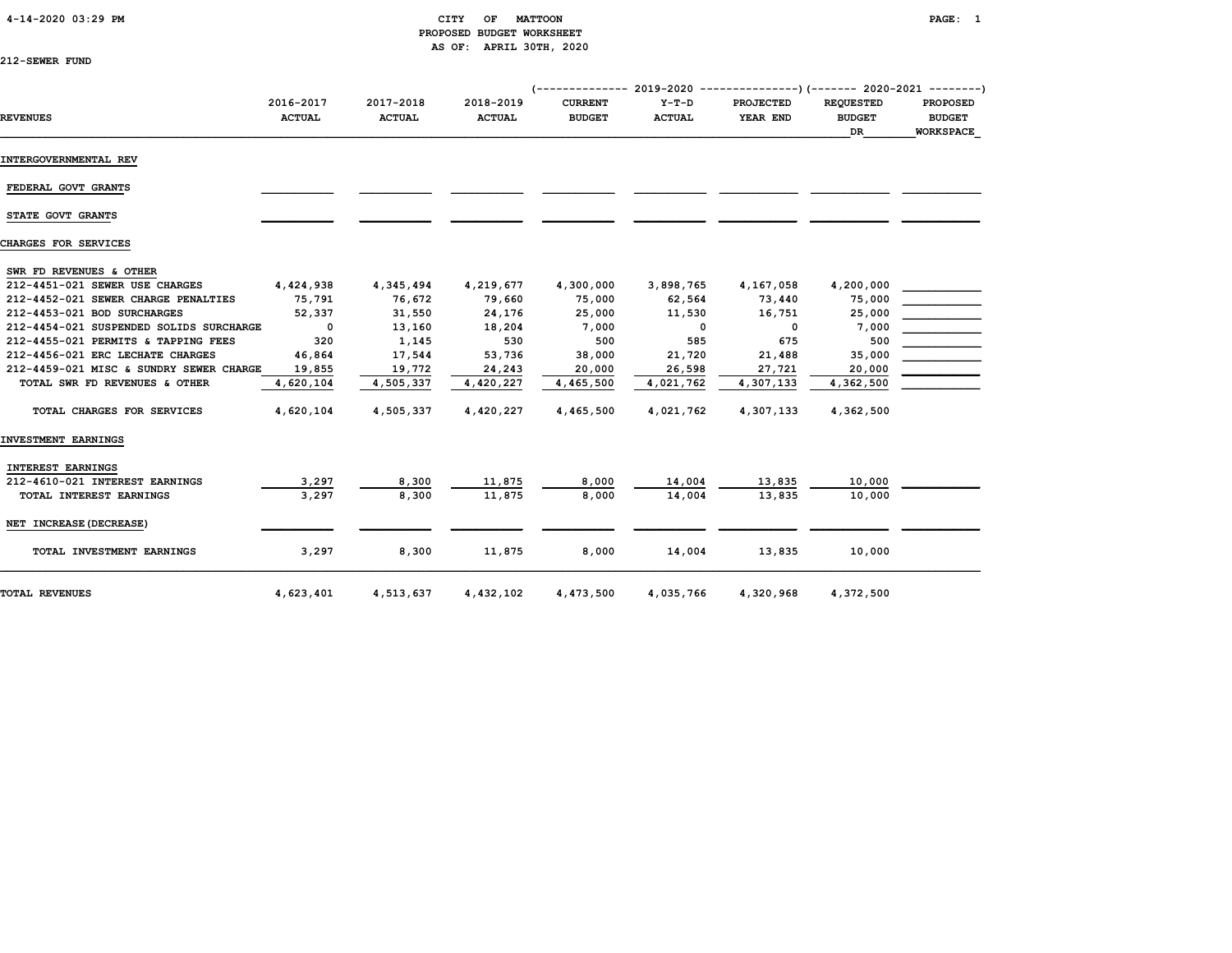### 4-14-2020 03:29 PM CITY OF MATTOON PAGE: 1 PROPOSED BUDGET WORKSHEET AS OF: APRIL 30TH, 2020

| 212-SEWER FUND |  |
|----------------|--|
|----------------|--|

|                                         |                            |                            |                            |                                 |                          | (-------------- 2019-2020 ----------------) (------- 2020-2021 ---------) |                                                |                                                      |
|-----------------------------------------|----------------------------|----------------------------|----------------------------|---------------------------------|--------------------------|---------------------------------------------------------------------------|------------------------------------------------|------------------------------------------------------|
| <b>REVENUES</b>                         | 2016-2017<br><b>ACTUAL</b> | 2017-2018<br><b>ACTUAL</b> | 2018-2019<br><b>ACTUAL</b> | <b>CURRENT</b><br><b>BUDGET</b> | $Y-T-D$<br><b>ACTUAL</b> | <b>PROJECTED</b><br>YEAR END                                              | <b>REQUESTED</b><br><b>BUDGET</b><br><b>DR</b> | <b>PROPOSED</b><br><b>BUDGET</b><br><b>WORKSPACE</b> |
| INTERGOVERNMENTAL REV                   |                            |                            |                            |                                 |                          |                                                                           |                                                |                                                      |
| FEDERAL GOVT GRANTS                     |                            |                            |                            |                                 |                          |                                                                           |                                                |                                                      |
| STATE GOVT GRANTS                       |                            |                            |                            |                                 |                          |                                                                           |                                                |                                                      |
| CHARGES FOR SERVICES                    |                            |                            |                            |                                 |                          |                                                                           |                                                |                                                      |
| SWR FD REVENUES & OTHER                 |                            |                            |                            |                                 |                          |                                                                           |                                                |                                                      |
| 212-4451-021 SEWER USE CHARGES          | 4,424,938                  | 4,345,494                  | 4,219,677                  | 4,300,000                       | 3,898,765                | 4,167,058                                                                 | 4,200,000                                      |                                                      |
| 212-4452-021 SEWER CHARGE PENALTIES     | 75,791                     | 76,672                     | 79,660                     | 75,000                          | 62,564                   | 73,440                                                                    | 75,000                                         |                                                      |
| 212-4453-021 BOD SURCHARGES             | 52,337                     | 31,550                     | 24,176                     | 25,000                          | 11,530                   | 16,751                                                                    | 25,000                                         |                                                      |
| 212-4454-021 SUSPENDED SOLIDS SURCHARGE | $\mathbf{0}$               | 13,160                     | 18,204                     | 7,000                           | 0                        | 0                                                                         | 7,000                                          |                                                      |
| 212-4455-021 PERMITS & TAPPING FEES     | 320                        | 1,145                      | 530                        | 500                             | 585                      | 675                                                                       | 500                                            |                                                      |
| 212-4456-021 ERC LECHATE CHARGES        | 46,864                     | 17,544                     | 53,736                     | 38,000                          | 21,720                   | 21,488                                                                    | 35,000                                         |                                                      |
| 212-4459-021 MISC & SUNDRY SEWER CHARGE | 19,855                     | 19,772                     | 24,243                     | 20,000                          | 26,598                   | 27,721                                                                    | 20,000                                         |                                                      |
| TOTAL SWR FD REVENUES & OTHER           | 4,620,104                  | 4,505,337                  | 4,420,227                  | 4,465,500                       | 4,021,762                | 4,307,133                                                                 | 4,362,500                                      |                                                      |
| TOTAL CHARGES FOR SERVICES              | 4,620,104                  | 4,505,337                  | 4,420,227                  | 4,465,500                       | 4,021,762                | 4,307,133                                                                 | 4,362,500                                      |                                                      |
| INVESTMENT EARNINGS                     |                            |                            |                            |                                 |                          |                                                                           |                                                |                                                      |
| <b>INTEREST EARNINGS</b>                |                            |                            |                            |                                 |                          |                                                                           |                                                |                                                      |
| 212-4610-021 INTEREST EARNINGS          | 3,297                      | 8,300                      | 11,875                     | 8,000                           | 14,004                   | 13,835                                                                    | 10,000                                         |                                                      |
| TOTAL INTEREST EARNINGS                 | 3.297                      | 8,300                      | 11,875                     | 8,000                           | 14,004                   | 13,835                                                                    | 10,000                                         |                                                      |
| NET INCREASE (DECREASE)                 |                            |                            |                            |                                 |                          |                                                                           |                                                |                                                      |
| TOTAL INVESTMENT EARNINGS               | 3,297                      | 8,300                      | 11,875                     | 8,000                           | 14,004                   | 13,835                                                                    | 10,000                                         |                                                      |
| <b>TOTAL REVENUES</b>                   | 4,623,401                  | 4,513,637                  | 4,432,102                  | 4,473,500                       | 4,035,766                | 4,320,968                                                                 | 4,372,500                                      |                                                      |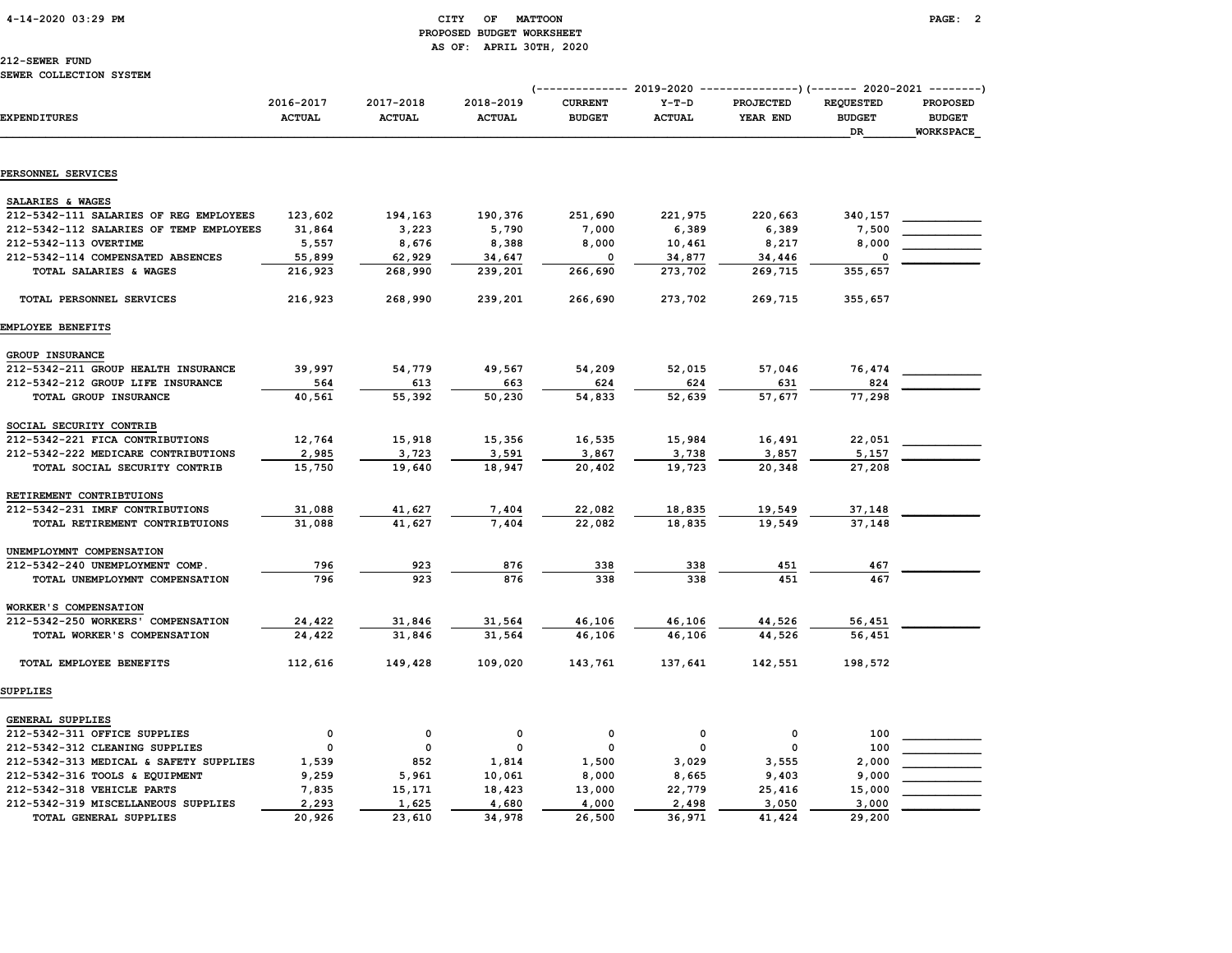### 4-14-2020 03:29 PM CITY OF MATTOON PAGE: 2 PROPOSED BUDGET WORKSHEET AS OF: APRIL 30TH, 2020

# 212-SEWER FUND

| <b>EXPENDITURES</b>                     | 2016-2017<br><b>ACTUAL</b> | 2017-2018<br><b>ACTUAL</b> | 2018-2019<br><b>ACTUAL</b> | <b>CURRENT</b><br><b>BUDGET</b> | $Y-T-D$<br><b>ACTUAL</b> | (-------------- 2019-2020 ----------------) (------- 2020-2021 --------)<br>PROJECTED<br>YEAR END | <b>REQUESTED</b><br><b>BUDGET</b><br>DR | PROPOSED<br><b>BUDGET</b><br><b>WORKSPACE</b> |
|-----------------------------------------|----------------------------|----------------------------|----------------------------|---------------------------------|--------------------------|---------------------------------------------------------------------------------------------------|-----------------------------------------|-----------------------------------------------|
|                                         |                            |                            |                            |                                 |                          |                                                                                                   |                                         |                                               |
| PERSONNEL SERVICES                      |                            |                            |                            |                                 |                          |                                                                                                   |                                         |                                               |
| SALARIES & WAGES                        |                            |                            |                            |                                 |                          |                                                                                                   |                                         |                                               |
| 212-5342-111 SALARIES OF REG EMPLOYEES  | 123,602                    | 194,163                    | 190,376                    | 251,690                         | 221,975                  | 220,663                                                                                           | 340,157                                 |                                               |
| 212-5342-112 SALARIES OF TEMP EMPLOYEES | 31,864                     | 3,223                      | 5,790                      | 7,000                           | 6,389                    | 6,389                                                                                             | 7,500                                   |                                               |
| 212-5342-113 OVERTIME                   | 5,557                      | 8,676                      | 8,388                      | 8,000                           | 10,461                   | 8,217                                                                                             | 8,000                                   |                                               |
| 212-5342-114 COMPENSATED ABSENCES       | 55,899                     | 62,929                     | 34,647                     | 0                               | 34,877                   | 34,446                                                                                            | $\mathbf 0$                             |                                               |
| TOTAL SALARIES & WAGES                  | 216,923                    | 268,990                    | 239,201                    | 266,690                         | 273,702                  | 269,715                                                                                           | 355,657                                 |                                               |
| TOTAL PERSONNEL SERVICES                | 216,923                    | 268,990                    | 239,201                    | 266,690                         | 273,702                  | 269,715                                                                                           | 355,657                                 |                                               |
| EMPLOYEE BENEFITS                       |                            |                            |                            |                                 |                          |                                                                                                   |                                         |                                               |
| GROUP INSURANCE                         |                            |                            |                            |                                 |                          |                                                                                                   |                                         |                                               |
| 212-5342-211 GROUP HEALTH INSURANCE     | 39,997                     | 54,779                     | 49,567                     | 54,209                          | 52,015                   | 57,046                                                                                            | 76,474                                  |                                               |
| 212-5342-212 GROUP LIFE INSURANCE       | 564                        | 613                        | 663                        | 624                             | 624                      | 631                                                                                               | 824                                     |                                               |
| TOTAL GROUP INSURANCE                   | 40,561                     | 55,392                     | 50,230                     | 54,833                          | 52,639                   | 57,677                                                                                            | 77,298                                  |                                               |
| SOCIAL SECURITY CONTRIB                 |                            |                            |                            |                                 |                          |                                                                                                   |                                         |                                               |
| 212-5342-221 FICA CONTRIBUTIONS         | 12,764                     | 15,918                     | 15,356                     | 16,535                          | 15,984                   | 16,491                                                                                            | 22,051                                  |                                               |
| 212-5342-222 MEDICARE CONTRIBUTIONS     | 2,985                      | 3,723                      | 3,591                      | 3,867                           | 3,738                    | 3,857                                                                                             | 5,157                                   |                                               |
| TOTAL SOCIAL SECURITY CONTRIB           | 15,750                     | 19,640                     | 18,947                     | 20,402                          | 19,723                   | 20,348                                                                                            | 27,208                                  |                                               |
| RETIREMENT CONTRIBTUIONS                |                            |                            |                            |                                 |                          |                                                                                                   |                                         |                                               |
| 212-5342-231 IMRF CONTRIBUTIONS         | 31,088                     | 41,627                     | 7,404                      | 22,082                          | 18,835                   | 19,549                                                                                            | 37,148                                  |                                               |
| TOTAL RETIREMENT CONTRIBTUIONS          | 31,088                     | 41,627                     | 7,404                      | 22,082                          | 18,835                   | 19,549                                                                                            | 37,148                                  |                                               |
| UNEMPLOYMNT COMPENSATION                |                            |                            |                            |                                 |                          |                                                                                                   |                                         |                                               |
| 212-5342-240 UNEMPLOYMENT COMP.         | 796                        | 923                        | 876                        | 338                             | 338                      | 451                                                                                               | 467                                     |                                               |
| TOTAL UNEMPLOYMNT COMPENSATION          | 796                        | 923                        | 876                        | 338                             | 338                      | 451                                                                                               | 467                                     |                                               |
| WORKER'S COMPENSATION                   |                            |                            |                            |                                 |                          |                                                                                                   |                                         |                                               |
| 212-5342-250 WORKERS' COMPENSATION      | 24,422                     | 31,846                     | 31,564                     | 46,106                          | 46,106                   | 44,526                                                                                            | 56,451                                  |                                               |
| TOTAL WORKER'S COMPENSATION             | 24,422                     | 31,846                     | 31,564                     | 46,106                          | 46,106                   | 44,526                                                                                            | 56,451                                  |                                               |
| TOTAL EMPLOYEE BENEFITS                 | 112,616                    | 149,428                    | 109,020                    | 143,761                         | 137,641                  | 142,551                                                                                           | 198,572                                 |                                               |
| SUPPLIES                                |                            |                            |                            |                                 |                          |                                                                                                   |                                         |                                               |
| <b>GENERAL SUPPLIES</b>                 |                            |                            |                            |                                 |                          |                                                                                                   |                                         |                                               |
| 212-5342-311 OFFICE SUPPLIES            | 0                          | 0                          | 0                          | 0                               | 0                        | 0                                                                                                 | 100                                     |                                               |
| 212-5342-312 CLEANING SUPPLIES          | 0                          | 0                          | $\mathbf 0$                | 0                               | 0                        | 0                                                                                                 | 100                                     |                                               |
| 212-5342-313 MEDICAL & SAFETY SUPPLIES  | 1,539                      | 852                        | 1,814                      | 1,500                           | 3,029                    | 3,555                                                                                             | 2,000                                   |                                               |
| 212-5342-316 TOOLS & EQUIPMENT          | 9,259                      | 5,961                      | 10,061                     | 8,000                           | 8,665                    | 9,403                                                                                             | 9,000                                   |                                               |
| 212-5342-318 VEHICLE PARTS              | 7,835                      | 15,171                     | 18,423                     | 13,000                          | 22,779                   | 25,416                                                                                            | 15,000                                  |                                               |
| 212-5342-319 MISCELLANEOUS SUPPLIES     | 2,293                      | 1,625                      | 4,680                      | 4,000                           | 2,498                    | 3,050                                                                                             | 3,000                                   |                                               |
| <b>TOTAL GENERAL SUPPLIES</b>           | 20,926                     | 23,610                     | 34,978                     | 26,500                          | 36,971                   | 41,424                                                                                            | 29,200                                  |                                               |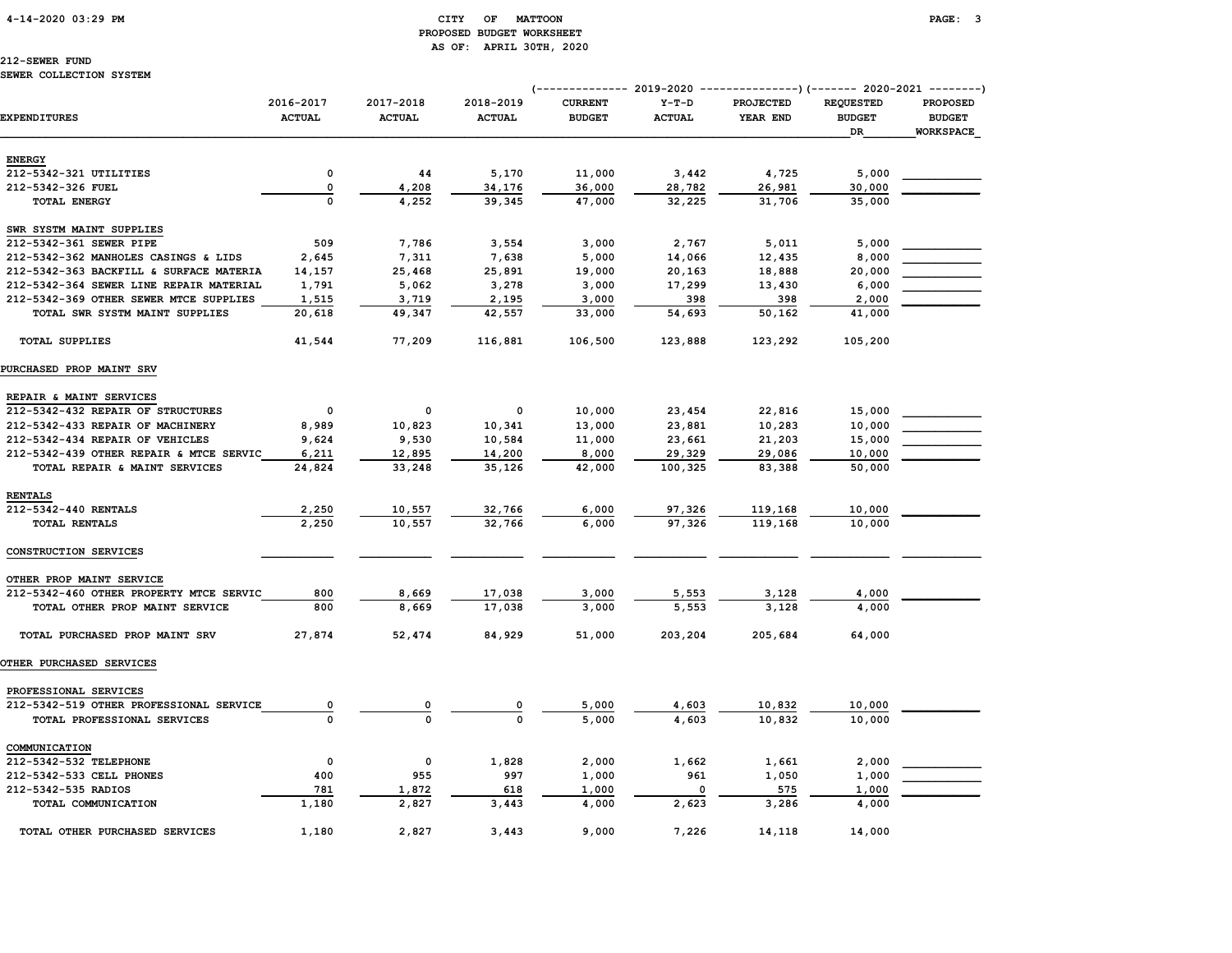# PROPOSED BUDGET WORKSHEET AS OF: APRIL 30TH, 2020

# 212-SEWER FUND

### SEWER COLLECTION SYSTEM

|                                         |                            |                            |                            |                                 |                          | (-------------- 2019-2020 ----------------) (------- 2020-2021 --------) |                                         |                                                      |  |
|-----------------------------------------|----------------------------|----------------------------|----------------------------|---------------------------------|--------------------------|--------------------------------------------------------------------------|-----------------------------------------|------------------------------------------------------|--|
| <b>EXPENDITURES</b>                     | 2016-2017<br><b>ACTUAL</b> | 2017-2018<br><b>ACTUAL</b> | 2018-2019<br><b>ACTUAL</b> | <b>CURRENT</b><br><b>BUDGET</b> | $Y-T-D$<br><b>ACTUAL</b> | <b>PROJECTED</b><br>YEAR END                                             | <b>REQUESTED</b><br><b>BUDGET</b><br>DR | <b>PROPOSED</b><br><b>BUDGET</b><br><b>WORKSPACE</b> |  |
| <b>ENERGY</b>                           |                            |                            |                            |                                 |                          |                                                                          |                                         |                                                      |  |
| 212-5342-321 UTILITIES                  | 0                          | 44                         | 5,170                      | 11,000                          | 3,442                    | 4,725                                                                    | 5,000                                   |                                                      |  |
| 212-5342-326 FUEL                       | 0                          | 4,208                      | 34,176                     | 36,000                          | 28,782                   | 26,981                                                                   | 30,000                                  |                                                      |  |
| <b>TOTAL ENERGY</b>                     | $\mathbf 0$                | 4,252                      | 39,345                     | 47,000                          | 32,225                   | 31,706                                                                   | 35,000                                  |                                                      |  |
| SWR SYSTM MAINT SUPPLIES                |                            |                            |                            |                                 |                          |                                                                          |                                         |                                                      |  |
| 212-5342-361 SEWER PIPE                 | 509                        | 7,786                      | 3,554                      | 3,000                           | 2,767                    | 5,011                                                                    | 5,000                                   |                                                      |  |
| 212-5342-362 MANHOLES CASINGS & LIDS    | 2,645                      | 7,311                      | 7,638                      | 5,000                           | 14,066                   | 12,435                                                                   | 8,000                                   |                                                      |  |
| 212-5342-363 BACKFILL & SURFACE MATERIA | 14,157                     | 25,468                     | 25,891                     | 19,000                          | 20,163                   | 18,888                                                                   | 20,000                                  |                                                      |  |
| 212-5342-364 SEWER LINE REPAIR MATERIAL | 1,791                      | 5,062                      | 3,278                      | 3,000                           | 17,299                   | 13,430                                                                   | 6,000                                   |                                                      |  |
| 212-5342-369 OTHER SEWER MTCE SUPPLIES  | 1,515                      | 3,719                      | 2,195                      | 3,000                           | 398                      | 398                                                                      | 2,000                                   |                                                      |  |
| TOTAL SWR SYSTM MAINT SUPPLIES          | 20,618                     | 49,347                     | 42,557                     | 33,000                          | 54,693                   | 50,162                                                                   | 41,000                                  |                                                      |  |
| <b>TOTAL SUPPLIES</b>                   | 41,544                     | 77,209                     | 116,881                    | 106,500                         | 123,888                  | 123,292                                                                  | 105,200                                 |                                                      |  |
| PURCHASED PROP MAINT SRV                |                            |                            |                            |                                 |                          |                                                                          |                                         |                                                      |  |
| REPAIR & MAINT SERVICES                 |                            |                            |                            |                                 |                          |                                                                          |                                         |                                                      |  |
| 212-5342-432 REPAIR OF STRUCTURES       | $\mathbf{o}$               | 0                          | 0                          | 10,000                          | 23,454                   | 22,816                                                                   | 15,000                                  |                                                      |  |
| 212-5342-433 REPAIR OF MACHINERY        | 8,989                      | 10,823                     | 10,341                     | 13,000                          | 23,881                   | 10,283                                                                   | 10,000                                  |                                                      |  |
| 212-5342-434 REPAIR OF VEHICLES         | 9,624                      | 9,530                      | 10,584                     | 11,000                          | 23,661                   | 21,203                                                                   | 15,000                                  |                                                      |  |
| 212-5342-439 OTHER REPAIR & MTCE SERVIC | 6,211                      | 12,895                     | 14,200                     | 8,000                           | 29,329                   | 29,086                                                                   | 10,000                                  |                                                      |  |
| TOTAL REPAIR & MAINT SERVICES           | 24,824                     | 33,248                     | 35,126                     | 42,000                          | 100,325                  | 83,388                                                                   | 50,000                                  |                                                      |  |
| <b>RENTALS</b>                          |                            |                            |                            |                                 |                          |                                                                          |                                         |                                                      |  |
| 212-5342-440 RENTALS                    | 2,250                      | 10,557                     | 32,766                     | 6,000                           | 97,326                   | 119,168                                                                  | 10,000                                  |                                                      |  |
| TOTAL RENTALS                           | 2,250                      | 10,557                     | 32,766                     | 6,000                           | 97,326                   | 119,168                                                                  | 10,000                                  |                                                      |  |
| CONSTRUCTION SERVICES                   |                            |                            |                            |                                 |                          |                                                                          |                                         |                                                      |  |
| OTHER PROP MAINT SERVICE                |                            |                            |                            |                                 |                          |                                                                          |                                         |                                                      |  |
| 212-5342-460 OTHER PROPERTY MTCE SERVIC | 800                        | 8,669                      | 17,038                     | 3,000                           | 5,553                    | 3,128                                                                    | 4,000                                   |                                                      |  |
| TOTAL OTHER PROP MAINT SERVICE          | 800                        | 8,669                      | 17,038                     | 3,000                           | 5,553                    | 3,128                                                                    | 4,000                                   |                                                      |  |
| TOTAL PURCHASED PROP MAINT SRV          | 27,874                     | 52,474                     | 84,929                     | 51,000                          | 203,204                  | 205,684                                                                  | 64,000                                  |                                                      |  |
| OTHER PURCHASED SERVICES                |                            |                            |                            |                                 |                          |                                                                          |                                         |                                                      |  |
| PROFESSIONAL SERVICES                   |                            |                            |                            |                                 |                          |                                                                          |                                         |                                                      |  |
| 212-5342-519 OTHER PROFESSIONAL SERVICE | 0                          | 0                          | 0                          | 5,000                           | 4,603                    | 10,832                                                                   | 10,000                                  |                                                      |  |
| TOTAL PROFESSIONAL SERVICES             | $\Omega$                   | $\Omega$                   | $\Omega$                   | 5,000                           | 4,603                    | 10,832                                                                   | 10,000                                  |                                                      |  |
| COMMUNICATION                           |                            |                            |                            |                                 |                          |                                                                          |                                         |                                                      |  |
| 212-5342-532 TELEPHONE                  | $\mathbf 0$                | 0                          | 1,828                      | 2,000                           | 1,662                    | 1,661                                                                    | 2,000                                   |                                                      |  |
| 212-5342-533 CELL PHONES                | 400                        | 955                        | 997                        | 1,000                           | 961                      | 1,050                                                                    | 1,000                                   |                                                      |  |
| 212-5342-535 RADIOS                     | 781                        | 1,872                      | 618                        | 1,000                           | $\Omega$                 | 575                                                                      | 1,000                                   |                                                      |  |
| TOTAL COMMUNICATION                     | 1,180                      | 2,827                      | 3,443                      | 4,000                           | 2,623                    | 3,286                                                                    | 4,000                                   |                                                      |  |
| TOTAL OTHER PURCHASED SERVICES          | 1,180                      | 2,827                      | 3.443                      | 9,000                           | 7,226                    | 14,118                                                                   | 14,000                                  |                                                      |  |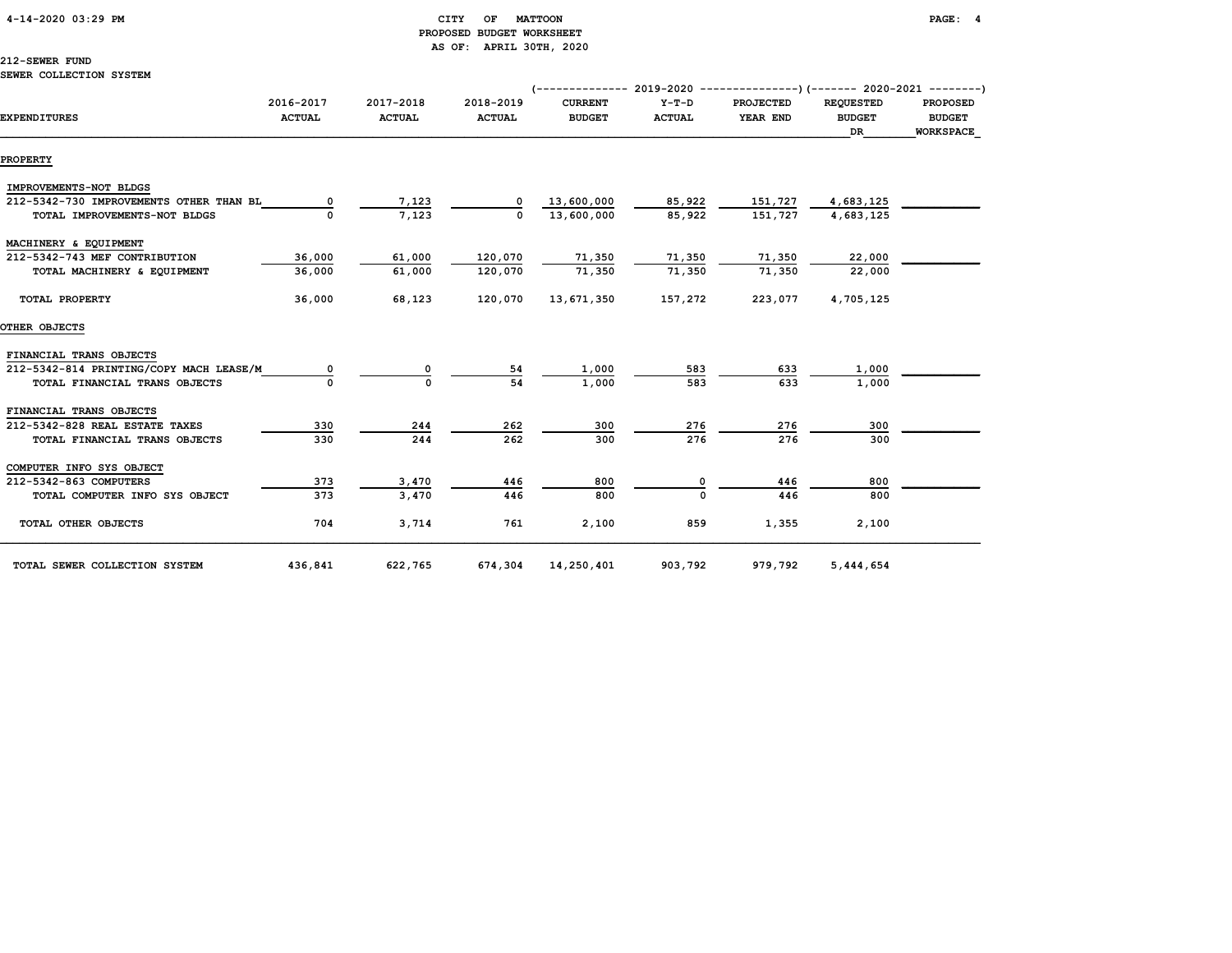### 4-14-2020 03:29 PM CITY OF MATTOON PAGE: 4 PROPOSED BUDGET WORKSHEET AS OF: APRIL 30TH, 2020

212-SEWER FUND

|                                         |               |               |               | $(-$ ------------- 2019-2020 ----------------) (------- 2020-2021 --------) |               |                  |                  |                  |
|-----------------------------------------|---------------|---------------|---------------|-----------------------------------------------------------------------------|---------------|------------------|------------------|------------------|
|                                         | 2016-2017     | 2017-2018     | 2018-2019     | <b>CURRENT</b>                                                              | $Y-T-D$       | <b>PROJECTED</b> | <b>REOUESTED</b> | <b>PROPOSED</b>  |
| <b>EXPENDITURES</b>                     | <b>ACTUAL</b> | <b>ACTUAL</b> | <b>ACTUAL</b> | <b>BUDGET</b>                                                               | <b>ACTUAL</b> | YEAR END         | <b>BUDGET</b>    | <b>BUDGET</b>    |
|                                         |               |               |               |                                                                             |               |                  | DR.              | <b>WORKSPACE</b> |
| <b>PROPERTY</b>                         |               |               |               |                                                                             |               |                  |                  |                  |
| IMPROVEMENTS-NOT BLDGS                  |               |               |               |                                                                             |               |                  |                  |                  |
| 212-5342-730 IMPROVEMENTS OTHER THAN BL |               | 7,123         |               | 13,600,000                                                                  | 85,922        | 151,727          | 4,683,125        |                  |
| TOTAL IMPROVEMENTS-NOT BLDGS            |               | 7,123         |               | 13,600,000                                                                  | 85,922        | 151,727          | 4,683,125        |                  |
| MACHINERY & EQUIPMENT                   |               |               |               |                                                                             |               |                  |                  |                  |
| 212-5342-743 MEF CONTRIBUTION           | 36,000        | 61,000        | 120,070       | 71,350                                                                      | 71,350        | 71,350           | 22,000           |                  |
| TOTAL MACHINERY & EQUIPMENT             | 36,000        | 61,000        | 120,070       | 71,350                                                                      | 71,350        | 71,350           | 22,000           |                  |
| TOTAL PROPERTY                          | 36,000        | 68,123        | 120,070       | 13,671,350                                                                  | 157,272       | 223,077          | 4,705,125        |                  |
| OTHER OBJECTS                           |               |               |               |                                                                             |               |                  |                  |                  |
| FINANCIAL TRANS OBJECTS                 |               |               |               |                                                                             |               |                  |                  |                  |
| 212-5342-814 PRINTING/COPY MACH LEASE/M |               |               | 54            | 1,000                                                                       | 583           | 633              | 1,000            |                  |
| TOTAL FINANCIAL TRANS OBJECTS           |               |               | 54            | 1,000                                                                       | 583           | 633              | 1,000            |                  |
| FINANCIAL TRANS OBJECTS                 |               |               |               |                                                                             |               |                  |                  |                  |
| 212-5342-828 REAL ESTATE TAXES          | 330           | 244           | 262           | 300                                                                         | 276           | 276              | 300              |                  |
| TOTAL FINANCIAL TRANS OBJECTS           | 330           | 244           | 262           | 300                                                                         | 276           | 276              | 300              |                  |
| COMPUTER INFO SYS OBJECT                |               |               |               |                                                                             |               |                  |                  |                  |
| 212-5342-863 COMPUTERS                  | 373           | 3,470         | 446           | 800                                                                         | 0             | 446              | 800              |                  |
| TOTAL COMPUTER INFO SYS OBJECT          | 373           | 3,470         | 446           | 800                                                                         |               | 446              | 800              |                  |
| TOTAL OTHER OBJECTS                     | 704           | 3,714         | 761           | 2,100                                                                       | 859           | 1,355            | 2,100            |                  |
| TOTAL SEWER COLLECTION SYSTEM           | 436,841       | 622,765       | 674,304       | 14,250,401                                                                  | 903,792       | 979,792          | 5,444,654        |                  |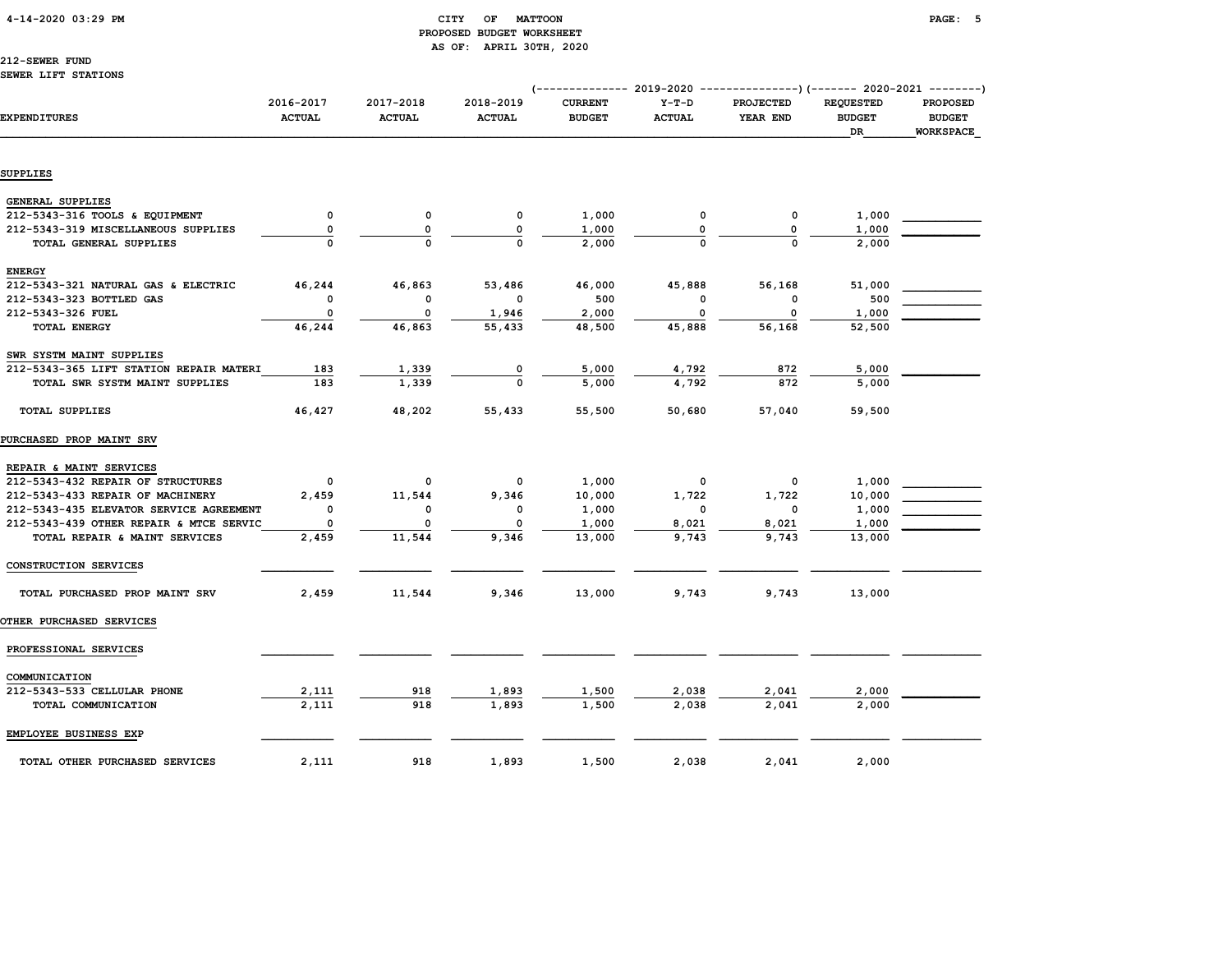### 4-14-2020 03:29 PM CITY OF MATTOON PAGE: 5 PROPOSED BUDGET WORKSHEET AS OF: APRIL 30TH, 2020

### 212-SEWER FUND

### SEWER LIFT STATIONS

|                                         |                            |                            |                            | (-------------- 2019-2020 ----------------) (------- 2020-2021 --------) |                          |                              |                                         |                                                      |
|-----------------------------------------|----------------------------|----------------------------|----------------------------|--------------------------------------------------------------------------|--------------------------|------------------------------|-----------------------------------------|------------------------------------------------------|
| <b>EXPENDITURES</b>                     | 2016-2017<br><b>ACTUAL</b> | 2017-2018<br><b>ACTUAL</b> | 2018-2019<br><b>ACTUAL</b> | <b>CURRENT</b><br><b>BUDGET</b>                                          | $Y-T-D$<br><b>ACTUAL</b> | <b>PROJECTED</b><br>YEAR END | <b>REQUESTED</b><br><b>BUDGET</b><br>DR | <b>PROPOSED</b><br><b>BUDGET</b><br><b>WORKSPACE</b> |
|                                         |                            |                            |                            |                                                                          |                          |                              |                                         |                                                      |
| SUPPLIES                                |                            |                            |                            |                                                                          |                          |                              |                                         |                                                      |
|                                         |                            |                            |                            |                                                                          |                          |                              |                                         |                                                      |
| <b>GENERAL SUPPLIES</b>                 |                            |                            |                            |                                                                          |                          |                              |                                         |                                                      |
| 212-5343-316 TOOLS & EQUIPMENT          | 0                          | $\mathsf{o}\,$             | 0                          | 1,000                                                                    | 0                        | 0                            | 1,000                                   |                                                      |
| 212-5343-319 MISCELLANEOUS SUPPLIES     | 0                          | 0                          | $\Omega$                   | 1,000                                                                    | O                        | 0                            | 1,000                                   |                                                      |
| TOTAL GENERAL SUPPLIES                  |                            |                            |                            | 2,000                                                                    |                          | $\Omega$                     | 2,000                                   |                                                      |
| <b>ENERGY</b>                           |                            |                            |                            |                                                                          |                          |                              |                                         |                                                      |
| 212-5343-321 NATURAL GAS & ELECTRIC     | 46,244                     | 46,863                     | 53,486                     | 46,000                                                                   | 45,888                   | 56,168                       | 51,000                                  |                                                      |
| 212-5343-323 BOTTLED GAS                | 0                          | 0                          | 0                          | 500                                                                      | $\Omega$                 | 0                            | 500                                     |                                                      |
| 212-5343-326 FUEL                       | 0                          | 0                          | 1,946                      | 2,000                                                                    | $\Omega$                 | 0                            | 1,000                                   |                                                      |
| TOTAL ENERGY                            | 46,244                     | 46,863                     | 55,433                     | 48,500                                                                   | 45,888                   | 56,168                       | 52,500                                  |                                                      |
| SWR SYSTM MAINT SUPPLIES                |                            |                            |                            |                                                                          |                          |                              |                                         |                                                      |
| 212-5343-365 LIFT STATION REPAIR MATERI | 183                        | 1,339                      |                            | 5,000                                                                    | 4,792                    | 872                          | 5,000                                   |                                                      |
| TOTAL SWR SYSTM MAINT SUPPLIES          | 183                        | 1,339                      | $\Omega$                   | 5,000                                                                    | 4,792                    | 872                          | 5,000                                   |                                                      |
| <b>TOTAL SUPPLIES</b>                   | 46,427                     | 48,202                     | 55,433                     | 55,500                                                                   | 50,680                   | 57,040                       | 59,500                                  |                                                      |
| PURCHASED PROP MAINT SRV                |                            |                            |                            |                                                                          |                          |                              |                                         |                                                      |
| REPAIR & MAINT SERVICES                 |                            |                            |                            |                                                                          |                          |                              |                                         |                                                      |
| 212-5343-432 REPAIR OF STRUCTURES       | 0                          | 0                          | 0                          | 1,000                                                                    | 0                        | 0                            | 1,000                                   |                                                      |
| 212-5343-433 REPAIR OF MACHINERY        | 2,459                      | 11,544                     | 9,346                      | 10,000                                                                   | 1,722                    | 1,722                        | 10,000                                  |                                                      |
| 212-5343-435 ELEVATOR SERVICE AGREEMENT | $\mathbf 0$                | 0                          | $\mathbf 0$                | 1,000                                                                    | 0                        | $\mathbf 0$                  | 1,000                                   |                                                      |
| 212-5343-439 OTHER REPAIR & MTCE SERVIC | 0                          |                            |                            | 1,000                                                                    | 8,021                    | 8,021                        | 1,000                                   |                                                      |
| TOTAL REPAIR & MAINT SERVICES           | 2,459                      | 11,544                     | 9,346                      | 13,000                                                                   | 9,743                    | 9,743                        | 13,000                                  |                                                      |
| CONSTRUCTION SERVICES                   |                            |                            |                            |                                                                          |                          |                              |                                         |                                                      |
| TOTAL PURCHASED PROP MAINT SRV          | 2,459                      | 11,544                     | 9,346                      | 13,000                                                                   | 9,743                    | 9,743                        | 13,000                                  |                                                      |
| <b>OTHER PURCHASED SERVICES</b>         |                            |                            |                            |                                                                          |                          |                              |                                         |                                                      |
| PROFESSIONAL SERVICES                   |                            |                            |                            |                                                                          |                          |                              |                                         |                                                      |
| COMMUNICATION                           |                            |                            |                            |                                                                          |                          |                              |                                         |                                                      |
| 212-5343-533 CELLULAR PHONE             | 2,111                      | 918                        | 1,893                      | 1,500                                                                    | 2,038                    | 2,041                        | 2,000                                   |                                                      |
| TOTAL COMMUNICATION                     | 2,111                      | 918                        | 1,893                      | 1,500                                                                    | 2,038                    | 2.041                        | 2,000                                   |                                                      |
| EMPLOYEE BUSINESS EXP                   |                            |                            |                            |                                                                          |                          |                              |                                         |                                                      |
| TOTAL OTHER PURCHASED SERVICES          | 2,111                      | 918                        | 1,893                      | 1,500                                                                    | 2,038                    | 2,041                        | 2,000                                   |                                                      |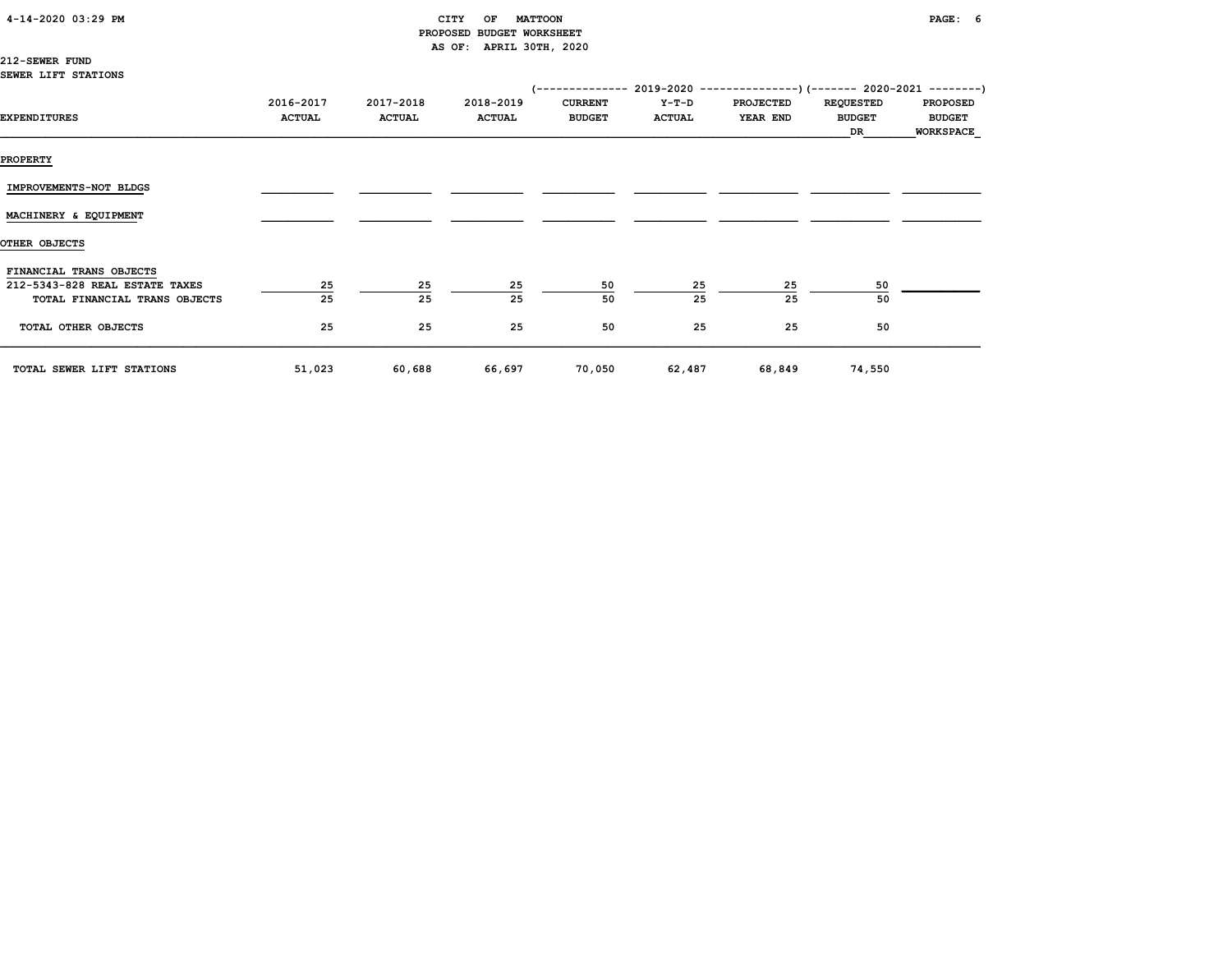| 4-14-2020 03:29 PM |
|--------------------|
|--------------------|

### $CITY$  OF MATTOON PAGE: 6 PROPOSED BUDGET WORKSHEET AS OF: APRIL 30TH, 2020

212-SEWER FUND SEWER LIFT STATIONS

|                                |                            |                            |                            |                                 |                        | (-------------- 2019-2020 ----------------) (------- 2020-2021 --------) |                                   |                                  |
|--------------------------------|----------------------------|----------------------------|----------------------------|---------------------------------|------------------------|--------------------------------------------------------------------------|-----------------------------------|----------------------------------|
| EXPENDITURES                   | 2016-2017<br><b>ACTUAL</b> | 2017-2018<br><b>ACTUAL</b> | 2018-2019<br><b>ACTUAL</b> | <b>CURRENT</b><br><b>BUDGET</b> | Y-T-D<br><b>ACTUAL</b> | <b>PROJECTED</b><br>YEAR END                                             | <b>REQUESTED</b><br><b>BUDGET</b> | <b>PROPOSED</b><br><b>BUDGET</b> |
|                                |                            |                            |                            |                                 |                        |                                                                          | DR                                | <b>WORKSPACE</b>                 |
| <b>PROPERTY</b>                |                            |                            |                            |                                 |                        |                                                                          |                                   |                                  |
| IMPROVEMENTS-NOT BLDGS         |                            |                            |                            |                                 |                        |                                                                          |                                   |                                  |
| MACHINERY & EQUIPMENT          |                            |                            |                            |                                 |                        |                                                                          |                                   |                                  |
| OTHER OBJECTS                  |                            |                            |                            |                                 |                        |                                                                          |                                   |                                  |
| FINANCIAL TRANS OBJECTS        |                            |                            |                            |                                 |                        |                                                                          |                                   |                                  |
| 212-5343-828 REAL ESTATE TAXES | 25                         | 25                         | 25                         | 50                              | 25                     | 25                                                                       | 50                                |                                  |
| TOTAL FINANCIAL TRANS OBJECTS  | 25                         | 25                         | 25                         | 50                              | 25                     | 25                                                                       | 50                                |                                  |
| TOTAL OTHER OBJECTS            | 25                         | 25                         | 25                         | 50                              | 25                     | 25                                                                       | 50                                |                                  |
| TOTAL SEWER LIFT STATIONS      | 51,023                     | 60,688                     | 66,697                     | 70,050                          | 62,487                 | 68,849                                                                   | 74,550                            |                                  |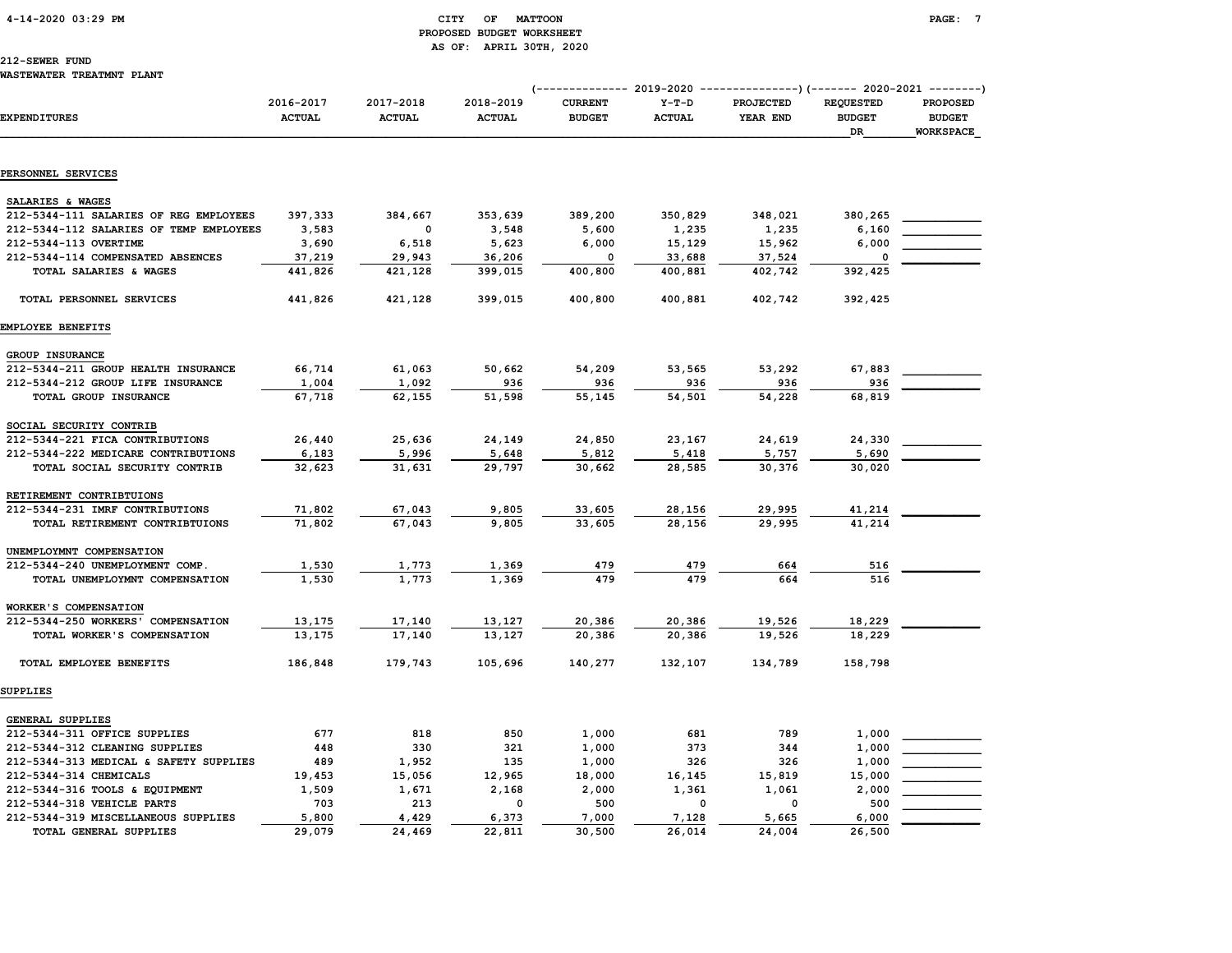### 4-14-2020 03:29 PM CITY OF MATTOON PAGE: 7 PROPOSED BUDGET WORKSHEET AS OF: APRIL 30TH, 2020

## 212-SEWER FUND

| <b>EXPENDITURES</b>                                            | 2016-2017<br><b>ACTUAL</b> | 2017-2018<br><b>ACTUAL</b> | 2018-2019     | <b>CURRENT</b> | $Y-T-D$       | PROJECTED | <b>REQUESTED</b>    | <b>PROPOSED</b>                   |
|----------------------------------------------------------------|----------------------------|----------------------------|---------------|----------------|---------------|-----------|---------------------|-----------------------------------|
|                                                                |                            |                            | <b>ACTUAL</b> | <b>BUDGET</b>  | <b>ACTUAL</b> | YEAR END  | <b>BUDGET</b><br>DR | <b>BUDGET</b><br><b>WORKSPACE</b> |
| PERSONNEL SERVICES                                             |                            |                            |               |                |               |           |                     |                                   |
|                                                                |                            |                            |               |                |               |           |                     |                                   |
| SALARIES & WAGES                                               |                            |                            |               |                |               |           |                     |                                   |
| 212-5344-111 SALARIES OF REG EMPLOYEES                         | 397,333                    | 384,667                    | 353,639       | 389,200        | 350,829       | 348,021   | 380,265             |                                   |
| 212-5344-112 SALARIES OF TEMP EMPLOYEES                        | 3,583                      | 0                          | 3,548         | 5,600          | 1,235         | 1,235     | 6,160               |                                   |
| 212-5344-113 OVERTIME                                          | 3,690                      | 6,518                      | 5,623         | 6,000          | 15,129        | 15,962    | 6,000               |                                   |
| 212-5344-114 COMPENSATED ABSENCES                              | 37,219                     | 29,943                     | 36,206        | $\Omega$       | 33,688        | 37,524    | $\Omega$            |                                   |
| TOTAL SALARIES & WAGES                                         | 441,826                    | 421,128                    | 399,015       | 400,800        | 400,881       | 402,742   | 392,425             |                                   |
| TOTAL PERSONNEL SERVICES                                       | 441,826                    | 421,128                    | 399,015       | 400,800        | 400,881       | 402,742   | 392,425             |                                   |
| EMPLOYEE BENEFITS                                              |                            |                            |               |                |               |           |                     |                                   |
| GROUP INSURANCE                                                |                            |                            |               |                |               |           |                     |                                   |
| 212-5344-211 GROUP HEALTH INSURANCE                            | 66,714                     | 61,063                     | 50,662        | 54,209         | 53,565        | 53,292    | 67,883              |                                   |
| 212-5344-212 GROUP LIFE INSURANCE                              | 1,004                      | 1,092                      | 936           | 936            | 936           | 936       | 936                 |                                   |
| TOTAL GROUP INSURANCE                                          | 67,718                     | 62,155                     | 51,598        | 55,145         | 54,501        | 54,228    | 68,819              |                                   |
| SOCIAL SECURITY CONTRIB                                        |                            |                            |               |                |               |           |                     |                                   |
| 212-5344-221 FICA CONTRIBUTIONS                                | 26,440                     | 25,636                     | 24,149        | 24,850         | 23,167        | 24,619    | 24,330              |                                   |
| 212-5344-222 MEDICARE CONTRIBUTIONS                            | 6,183                      | 5,996                      | 5,648         | 5,812          | 5,418         | 5,757     | 5,690               |                                   |
| TOTAL SOCIAL SECURITY CONTRIB                                  | 32,623                     | 31,631                     | 29,797        | 30,662         | 28,585        | 30,376    | 30,020              |                                   |
| RETIREMENT CONTRIBTUIONS                                       |                            |                            |               |                |               |           |                     |                                   |
| 212-5344-231 IMRF CONTRIBUTIONS                                | 71,802                     | 67,043                     | 9,805         | 33,605         | 28,156        | 29,995    | 41,214              |                                   |
| TOTAL RETIREMENT CONTRIBTUIONS                                 | 71,802                     | 67,043                     | 9,805         | 33,605         | 28,156        | 29,995    | 41,214              |                                   |
| UNEMPLOYMNT COMPENSATION                                       |                            |                            |               |                |               |           |                     |                                   |
| 212-5344-240 UNEMPLOYMENT COMP.                                | 1,530                      | 1,773                      | 1,369         | 479            | 479           | 664       | 516                 |                                   |
| TOTAL UNEMPLOYMNT COMPENSATION                                 | 1,530                      | 1,773                      | 1,369         | 479            | 479           | 664       | 516                 |                                   |
|                                                                |                            |                            |               |                |               |           |                     |                                   |
| WORKER'S COMPENSATION<br>212-5344-250 WORKERS' COMPENSATION    | 13,175                     | 17,140                     | 13,127        | 20,386         | 20,386        | 19,526    | 18,229              |                                   |
| TOTAL WORKER'S COMPENSATION                                    | 13,175                     | 17,140                     | 13,127        | 20,386         | 20,386        | 19,526    | 18,229              |                                   |
| TOTAL EMPLOYEE BENEFITS                                        | 186,848                    | 179,743                    | 105,696       | 140,277        | 132,107       | 134,789   | 158,798             |                                   |
| SUPPLIES                                                       |                            |                            |               |                |               |           |                     |                                   |
|                                                                |                            |                            |               |                |               |           |                     |                                   |
| <b>GENERAL SUPPLIES</b>                                        | 677                        | 818                        | 850           |                | 681           | 789       | 1,000               |                                   |
| 212-5344-311 OFFICE SUPPLIES<br>212-5344-312 CLEANING SUPPLIES | 448                        | 330                        | 321           | 1,000<br>1,000 | 373           | 344       | 1,000               |                                   |
| 212-5344-313 MEDICAL & SAFETY SUPPLIES                         | 489                        | 1,952                      | 135           | 1,000          | 326           | 326       | 1,000               |                                   |
| 212-5344-314 CHEMICALS                                         | 19,453                     | 15,056                     | 12,965        | 18,000         | 16,145        | 15,819    | 15,000              |                                   |
| 212-5344-316 TOOLS & EQUIPMENT                                 | 1,509                      | 1,671                      | 2,168         | 2,000          | 1,361         | 1,061     | 2,000               |                                   |
| 212-5344-318 VEHICLE PARTS                                     | 703                        | 213                        | $\Omega$      | 500            | 0             | $\Omega$  | 500                 |                                   |
| 212-5344-319 MISCELLANEOUS SUPPLIES                            | 5,800                      | 4,429                      | 6,373         | 7,000          | 7,128         | 5,665     | 6,000               |                                   |
| <b>TOTAL GENERAL SUPPLIES</b>                                  | 29,079                     | 24,469                     | 22,811        | 30,500         | 26,014        | 24,004    | 26,500              |                                   |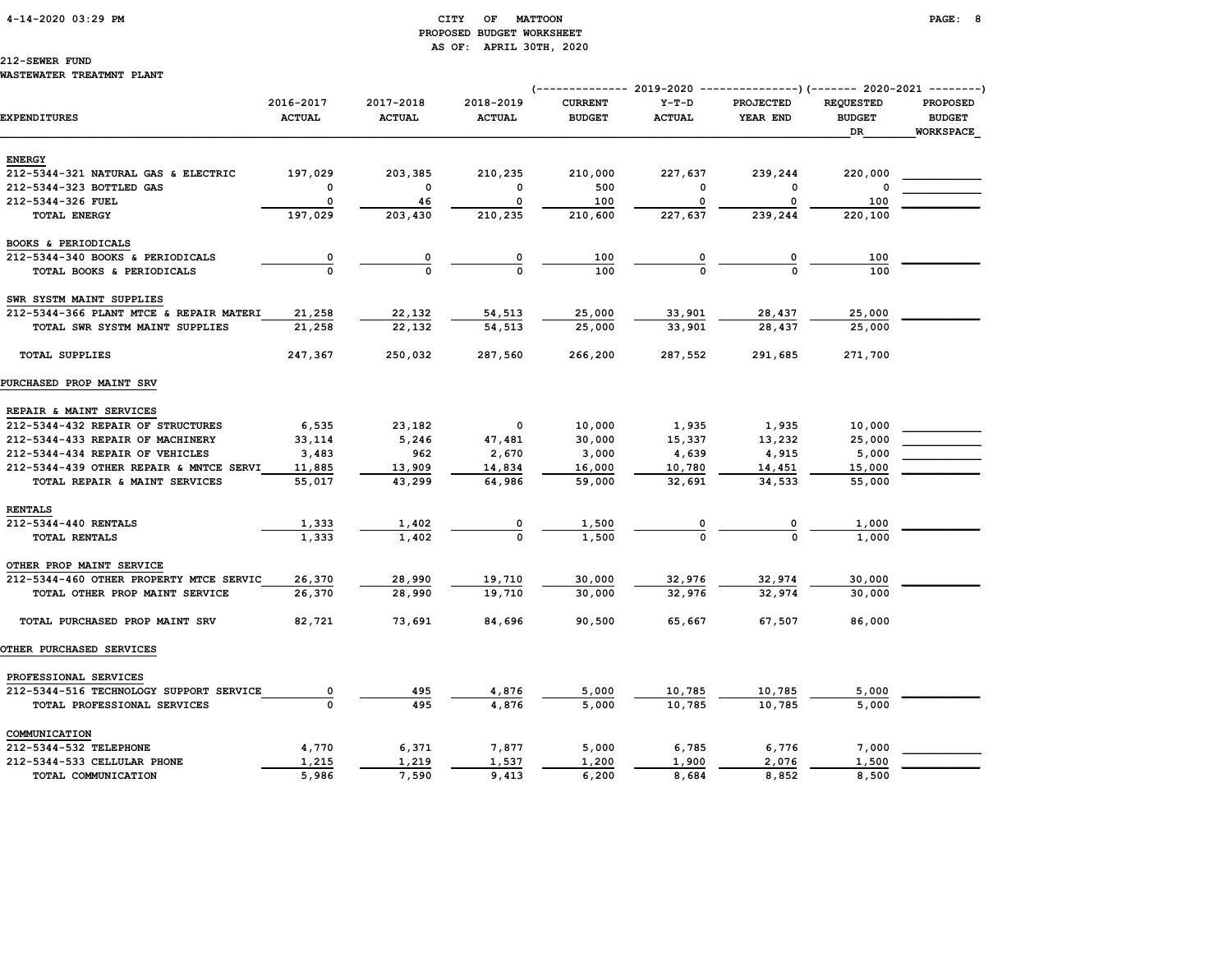### 4-14-2020 03:29 PM CITY OF MATTOON PAGE: 8 PROPOSED BUDGET WORKSHEET AS OF: APRIL 30TH, 2020

# 212-SEWER FUND

#### WASTEWATER TREATMNT PLANT

|                                         |                            |                            |                            |                                 |                          | (-------------- 2019-2020 ----------------) (------- 2020-2021 --------) |                                   |                                  |
|-----------------------------------------|----------------------------|----------------------------|----------------------------|---------------------------------|--------------------------|--------------------------------------------------------------------------|-----------------------------------|----------------------------------|
| <b>EXPENDITURES</b>                     | 2016-2017<br><b>ACTUAL</b> | 2017-2018<br><b>ACTUAL</b> | 2018-2019<br><b>ACTUAL</b> | <b>CURRENT</b><br><b>BUDGET</b> | $Y-T-D$<br><b>ACTUAL</b> | PROJECTED<br>YEAR END                                                    | <b>REQUESTED</b><br><b>BUDGET</b> | <b>PROPOSED</b><br><b>BUDGET</b> |
|                                         |                            |                            |                            |                                 |                          |                                                                          | DR                                | <b>WORKSPACE</b>                 |
| <b>ENERGY</b>                           |                            |                            |                            |                                 |                          |                                                                          |                                   |                                  |
| 212-5344-321 NATURAL GAS & ELECTRIC     | 197,029                    | 203,385                    | 210,235                    | 210,000                         | 227,637                  | 239,244                                                                  | 220,000                           |                                  |
| 212-5344-323 BOTTLED GAS                | $\Omega$                   | $\Omega$                   | $\Omega$                   | 500                             | O                        | $\Omega$                                                                 |                                   |                                  |
| 212-5344-326 FUEL                       | 0                          | 46                         | 0                          | 100                             | 0                        | 0                                                                        | 100                               |                                  |
| <b>TOTAL ENERGY</b>                     | 197,029                    | 203,430                    | 210,235                    | 210,600                         | 227,637                  | 239,244                                                                  | 220,100                           |                                  |
| BOOKS & PERIODICALS                     |                            |                            |                            |                                 |                          |                                                                          |                                   |                                  |
| 212-5344-340 BOOKS & PERIODICALS        | $\overline{\mathbf{0}}$    | 0                          |                            | 100                             | 0                        |                                                                          | 100                               |                                  |
| TOTAL BOOKS & PERIODICALS               | $\Omega$                   | $\Omega$                   | $\Omega$                   | 100                             |                          |                                                                          | 100                               |                                  |
| SWR SYSTM MAINT SUPPLIES                |                            |                            |                            |                                 |                          |                                                                          |                                   |                                  |
| 212-5344-366 PLANT MTCE & REPAIR MATERI | 21,258                     | 22,132                     | 54,513                     | 25,000                          | 33,901                   | 28,437                                                                   | 25,000                            |                                  |
| TOTAL SWR SYSTM MAINT SUPPLIES          | 21,258                     | 22,132                     | 54,513                     | 25,000                          | 33,901                   | 28,437                                                                   | 25,000                            |                                  |
| <b>TOTAL SUPPLIES</b>                   | 247,367                    | 250,032                    | 287,560                    | 266,200                         | 287,552                  | 291,685                                                                  | 271,700                           |                                  |
| PURCHASED PROP MAINT SRV                |                            |                            |                            |                                 |                          |                                                                          |                                   |                                  |
| REPAIR & MAINT SERVICES                 |                            |                            |                            |                                 |                          |                                                                          |                                   |                                  |
| 212-5344-432 REPAIR OF STRUCTURES       | 6,535                      | 23,182                     | 0                          | 10,000                          | 1,935                    | 1,935                                                                    | 10,000                            |                                  |
| 212-5344-433 REPAIR OF MACHINERY        | 33,114                     | 5,246                      | 47,481                     | 30,000                          | 15,337                   | 13,232                                                                   | 25,000                            |                                  |
| 212-5344-434 REPAIR OF VEHICLES         | 3,483                      | 962                        | 2,670                      | 3,000                           | 4,639                    | 4,915                                                                    | 5,000                             |                                  |
| 212-5344-439 OTHER REPAIR & MNTCE SERVI | 11,885                     | 13,909                     | 14,834                     | 16,000                          | 10,780                   | 14,451                                                                   | 15,000                            |                                  |
| TOTAL REPAIR & MAINT SERVICES           | 55,017                     | 43,299                     | 64,986                     | 59,000                          | 32,691                   | 34,533                                                                   | 55,000                            |                                  |
| <b>RENTALS</b>                          |                            |                            |                            |                                 |                          |                                                                          |                                   |                                  |
| 212-5344-440 RENTALS                    | 1,333                      | 1,402                      |                            | 1,500                           |                          |                                                                          | 1,000                             |                                  |
| TOTAL RENTALS                           | 1,333                      | 1,402                      | $\Omega$                   | 1,500                           |                          |                                                                          | 1,000                             |                                  |
| OTHER PROP MAINT SERVICE                |                            |                            |                            |                                 |                          |                                                                          |                                   |                                  |
| 212-5344-460 OTHER PROPERTY MTCE SERVIC | 26,370                     | 28,990                     | 19,710                     | 30,000                          | 32,976                   | 32,974                                                                   | 30,000                            |                                  |
| TOTAL OTHER PROP MAINT SERVICE          | 26,370                     | 28,990                     | 19,710                     | 30,000                          | 32,976                   | 32,974                                                                   | 30,000                            |                                  |
| TOTAL PURCHASED PROP MAINT SRV          | 82,721                     | 73,691                     | 84,696                     | 90,500                          | 65,667                   | 67,507                                                                   | 86,000                            |                                  |
| <b>OTHER PURCHASED SERVICES</b>         |                            |                            |                            |                                 |                          |                                                                          |                                   |                                  |
| PROFESSIONAL SERVICES                   |                            |                            |                            |                                 |                          |                                                                          |                                   |                                  |
| 212-5344-516 TECHNOLOGY SUPPORT SERVICE | $\overline{\mathbf{0}}$    | 495                        | 4,876                      | 5,000                           | 10,785                   | 10,785                                                                   | 5,000                             |                                  |
| TOTAL PROFESSIONAL SERVICES             | $\mathbf 0$                | 495                        | 4.876                      | 5,000                           | 10,785                   | 10,785                                                                   | 5,000                             |                                  |
| COMMUNICATION                           |                            |                            |                            |                                 |                          |                                                                          |                                   |                                  |
| 212-5344-532 TELEPHONE                  | 4,770                      | 6,371                      | 7,877                      | 5,000                           | 6,785                    | 6,776                                                                    | 7,000                             |                                  |
| 212-5344-533 CELLULAR PHONE             | 1,215                      | 1,219                      | 1,537                      | 1,200                           | 1,900                    | 2,076                                                                    | 1,500                             |                                  |
| TOTAL COMMUNICATION                     | 5,986                      | 7,590                      | 9,413                      | 6,200                           | 8,684                    | 8,852                                                                    | 8,500                             |                                  |
|                                         |                            |                            |                            |                                 |                          |                                                                          |                                   |                                  |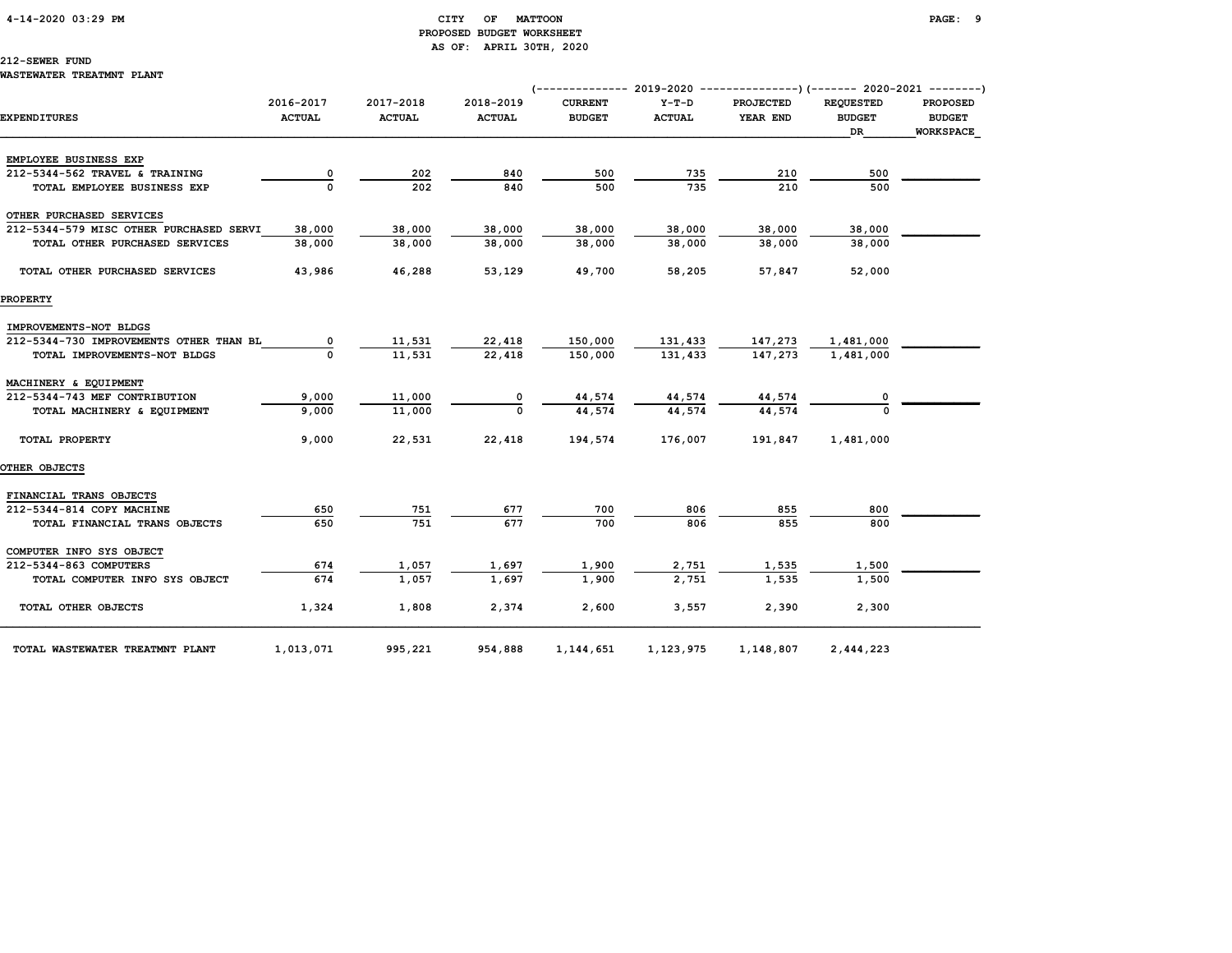### 4-14-2020 03:29 PM CITY OF MATTOON PAGE: 9 PROPOSED BUDGET WORKSHEET AS OF: APRIL 30TH, 2020

### 212-SEWER FUND

### WASTEWATER TREATMNT PLANT

|                                                      |                            |                            |                            | (------------- 2019-2020 ----------------)(------- 2020-2021 --------) |                          |                              |                                   |                                  |
|------------------------------------------------------|----------------------------|----------------------------|----------------------------|------------------------------------------------------------------------|--------------------------|------------------------------|-----------------------------------|----------------------------------|
| <b>EXPENDITURES</b>                                  | 2016-2017<br><b>ACTUAL</b> | 2017-2018<br><b>ACTUAL</b> | 2018-2019<br><b>ACTUAL</b> | <b>CURRENT</b><br><b>BUDGET</b>                                        | $Y-T-D$<br><b>ACTUAL</b> | <b>PROJECTED</b><br>YEAR END | <b>REQUESTED</b><br><b>BUDGET</b> | <b>PROPOSED</b><br><b>BUDGET</b> |
|                                                      |                            |                            |                            |                                                                        |                          |                              | DR                                | <b>WORKSPACE</b>                 |
|                                                      |                            |                            |                            |                                                                        |                          |                              |                                   |                                  |
| EMPLOYEE BUSINESS EXP                                |                            |                            |                            |                                                                        |                          |                              |                                   |                                  |
| 212-5344-562 TRAVEL & TRAINING                       | 0                          | 202<br>202                 | 840<br>840                 | 500<br>500                                                             | 735<br>735               | 210<br>210                   | 500<br>500                        |                                  |
| TOTAL EMPLOYEE BUSINESS EXP                          |                            |                            |                            |                                                                        |                          |                              |                                   |                                  |
| OTHER PURCHASED SERVICES                             |                            |                            |                            |                                                                        |                          |                              |                                   |                                  |
| 212-5344-579 MISC OTHER PURCHASED SERVI              | 38,000                     | 38,000                     | 38,000                     | 38,000                                                                 | 38,000                   | 38,000                       | 38,000                            |                                  |
| TOTAL OTHER PURCHASED SERVICES                       | 38,000                     | 38,000                     | 38,000                     | 38,000                                                                 | 38,000                   | 38,000                       | 38,000                            |                                  |
|                                                      |                            |                            |                            |                                                                        |                          |                              |                                   |                                  |
| TOTAL OTHER PURCHASED SERVICES                       | 43,986                     | 46,288                     | 53,129                     | 49,700                                                                 | 58,205                   | 57,847                       | 52,000                            |                                  |
|                                                      |                            |                            |                            |                                                                        |                          |                              |                                   |                                  |
| <b>PROPERTY</b>                                      |                            |                            |                            |                                                                        |                          |                              |                                   |                                  |
| IMPROVEMENTS-NOT BLDGS                               |                            |                            |                            |                                                                        |                          |                              |                                   |                                  |
| 212-5344-730 IMPROVEMENTS OTHER THAN BL              | 0                          | 11,531                     | 22,418                     | 150,000                                                                | 131,433                  |                              | 1,481,000                         |                                  |
| TOTAL IMPROVEMENTS-NOT BLDGS                         |                            | 11,531                     | 22.418                     | 150,000                                                                | 131,433                  | 147,273<br>147,273           | 1,481,000                         |                                  |
|                                                      |                            |                            |                            |                                                                        |                          |                              |                                   |                                  |
| MACHINERY & EQUIPMENT                                |                            |                            |                            |                                                                        |                          |                              |                                   |                                  |
| 212-5344-743 MEF CONTRIBUTION                        | 9,000                      | 11,000                     |                            | 44,574                                                                 | 44,574                   | 44,574                       |                                   |                                  |
| TOTAL MACHINERY & EQUIPMENT                          | 9,000                      | 11,000                     | $\Omega$                   | 44,574                                                                 | 44,574                   | 44,574                       |                                   |                                  |
|                                                      |                            |                            |                            |                                                                        |                          |                              |                                   |                                  |
| TOTAL PROPERTY                                       | 9,000                      | 22,531                     | 22,418                     | 194,574                                                                | 176,007                  | 191,847                      | 1,481,000                         |                                  |
|                                                      |                            |                            |                            |                                                                        |                          |                              |                                   |                                  |
| <b>OTHER OBJECTS</b>                                 |                            |                            |                            |                                                                        |                          |                              |                                   |                                  |
|                                                      |                            |                            |                            |                                                                        |                          |                              |                                   |                                  |
| FINANCIAL TRANS OBJECTS<br>212-5344-814 COPY MACHINE | 650                        | 751                        | 677                        | 700                                                                    | 806                      | 855                          | 800                               |                                  |
|                                                      | 650                        | 751                        | 677                        | 700                                                                    | 806                      | 855                          | 800                               |                                  |
| TOTAL FINANCIAL TRANS OBJECTS                        |                            |                            |                            |                                                                        |                          |                              |                                   |                                  |
| COMPUTER INFO SYS OBJECT                             |                            |                            |                            |                                                                        |                          |                              |                                   |                                  |
| 212-5344-863 COMPUTERS                               | 674                        | 1,057                      | 1,697                      | 1,900                                                                  | 2,751                    | 1,535                        | 1,500                             |                                  |
| TOTAL COMPUTER INFO SYS OBJECT                       | 674                        | 1,057                      | 1,697                      | 1,900                                                                  | 2,751                    | 1,535                        | 1,500                             |                                  |
|                                                      |                            |                            |                            |                                                                        |                          |                              |                                   |                                  |
| TOTAL OTHER OBJECTS                                  | 1,324                      | 1,808                      | 2,374                      | 2,600                                                                  | 3,557                    | 2,390                        | 2,300                             |                                  |
|                                                      |                            |                            |                            |                                                                        |                          |                              |                                   |                                  |
| TOTAL WASTEWATER TREATMNT PLANT                      | 1,013,071                  | 995,221                    | 954,888                    | 1,144,651                                                              | 1,123,975                | 1,148,807                    | 2,444,223                         |                                  |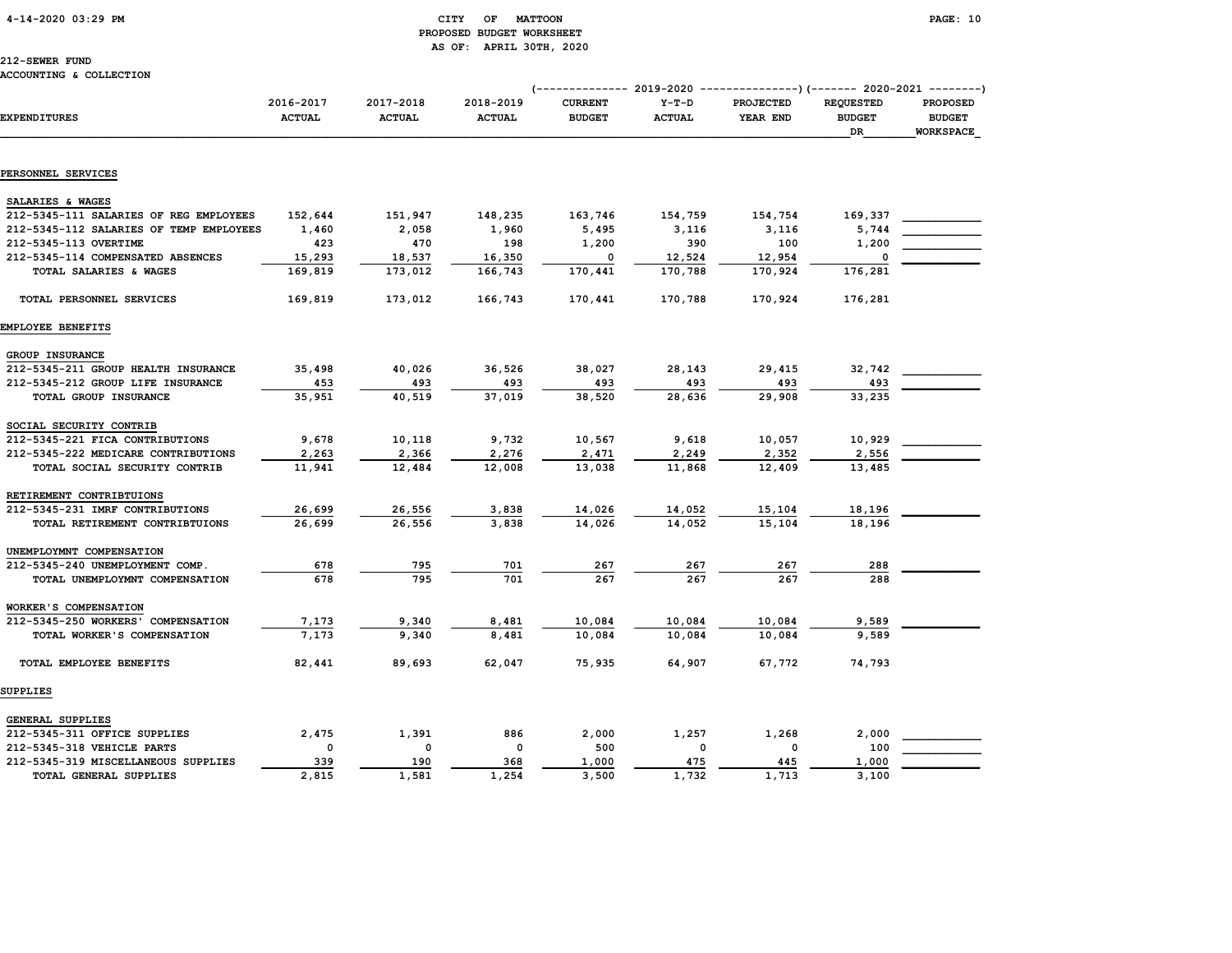### 4-14-2020 03:29 PM CITY OF MATTOON PAGE: 10 PROPOSED BUDGET WORKSHEET AS OF: APRIL 30TH, 2020

## 212-SEWER FUND

|                                         |                            |                            |                            | (------------- 2019-2020 ----------------) (------- 2020-2021 --------) |                          |                              |                                         |                                                      |
|-----------------------------------------|----------------------------|----------------------------|----------------------------|-------------------------------------------------------------------------|--------------------------|------------------------------|-----------------------------------------|------------------------------------------------------|
| <b>EXPENDITURES</b>                     | 2016-2017<br><b>ACTUAL</b> | 2017-2018<br><b>ACTUAL</b> | 2018-2019<br><b>ACTUAL</b> | <b>CURRENT</b><br><b>BUDGET</b>                                         | $Y-T-D$<br><b>ACTUAL</b> | <b>PROJECTED</b><br>YEAR END | <b>REQUESTED</b><br><b>BUDGET</b><br>DR | <b>PROPOSED</b><br><b>BUDGET</b><br><b>WORKSPACE</b> |
|                                         |                            |                            |                            |                                                                         |                          |                              |                                         |                                                      |
| PERSONNEL SERVICES                      |                            |                            |                            |                                                                         |                          |                              |                                         |                                                      |
| SALARIES & WAGES                        |                            |                            |                            |                                                                         |                          |                              |                                         |                                                      |
| 212-5345-111 SALARIES OF REG EMPLOYEES  | 152,644                    | 151,947                    | 148,235                    | 163,746                                                                 | 154,759                  | 154,754                      | 169,337                                 |                                                      |
| 212-5345-112 SALARIES OF TEMP EMPLOYEES | 1,460                      | 2,058                      | 1,960                      | 5,495                                                                   | 3,116                    | 3,116                        | 5,744                                   |                                                      |
| 212-5345-113 OVERTIME                   | 423                        | 470                        | 198                        | 1,200                                                                   | 390                      | 100                          | 1,200                                   |                                                      |
| 212-5345-114 COMPENSATED ABSENCES       | 15,293                     | 18,537                     | 16,350                     | 0                                                                       | 12,524                   | 12,954                       | 0                                       |                                                      |
| TOTAL SALARIES & WAGES                  | 169,819                    | 173,012                    | 166,743                    | 170,441                                                                 | 170,788                  | 170,924                      | 176,281                                 |                                                      |
|                                         |                            |                            |                            |                                                                         |                          |                              |                                         |                                                      |
| TOTAL PERSONNEL SERVICES                | 169,819                    | 173,012                    | 166,743                    | 170,441                                                                 | 170,788                  | 170,924                      | 176,281                                 |                                                      |
| EMPLOYEE BENEFITS                       |                            |                            |                            |                                                                         |                          |                              |                                         |                                                      |
| GROUP INSURANCE                         |                            |                            |                            |                                                                         |                          |                              |                                         |                                                      |
| 212-5345-211 GROUP HEALTH INSURANCE     | 35,498                     | 40,026                     | 36,526                     | 38,027                                                                  | 28,143                   | 29,415                       | 32,742                                  |                                                      |
| 212-5345-212 GROUP LIFE INSURANCE       | 453                        | 493                        | 493                        | 493                                                                     | 493                      | 493                          | 493                                     |                                                      |
| TOTAL GROUP INSURANCE                   | 35,951                     | 40,519                     | 37,019                     | 38,520                                                                  | 28,636                   | 29,908                       | 33,235                                  |                                                      |
| SOCIAL SECURITY CONTRIB                 |                            |                            |                            |                                                                         |                          |                              |                                         |                                                      |
| 212-5345-221 FICA CONTRIBUTIONS         | 9,678                      | 10,118                     | 9,732                      | 10,567                                                                  | 9,618                    | 10,057                       | 10,929                                  |                                                      |
| 212-5345-222 MEDICARE CONTRIBUTIONS     | 2,263                      | 2,366                      | 2,276                      | 2,471                                                                   | 2,249                    | 2,352                        | 2,556                                   |                                                      |
| TOTAL SOCIAL SECURITY CONTRIB           | 11,941                     | 12,484                     | 12,008                     | 13,038                                                                  | 11,868                   | 12,409                       | 13,485                                  |                                                      |
| RETIREMENT CONTRIBTUIONS                |                            |                            |                            |                                                                         |                          |                              |                                         |                                                      |
| 212-5345-231 IMRF CONTRIBUTIONS         | 26,699                     | 26,556                     | 3,838                      | 14,026                                                                  | 14,052                   | 15,104                       | 18,196                                  |                                                      |
| TOTAL RETIREMENT CONTRIBTUIONS          | 26,699                     | 26,556                     | 3,838                      | 14,026                                                                  | 14,052                   | 15,104                       | 18,196                                  |                                                      |
| UNEMPLOYMNT COMPENSATION                |                            |                            |                            |                                                                         |                          |                              |                                         |                                                      |
| 212-5345-240 UNEMPLOYMENT COMP.         | 678                        | 795                        | 701                        | 267                                                                     | 267                      | 267                          | 288                                     |                                                      |
| TOTAL UNEMPLOYMNT COMPENSATION          | 678                        | 795                        | 701                        | 267                                                                     | 267                      | 267                          | 288                                     |                                                      |
| WORKER'S COMPENSATION                   |                            |                            |                            |                                                                         |                          |                              |                                         |                                                      |
| 212-5345-250 WORKERS' COMPENSATION      | 7,173                      | 9,340                      | 8,481                      | 10,084                                                                  | 10,084                   | 10,084                       | 9,589                                   |                                                      |
| TOTAL WORKER'S COMPENSATION             | 7,173                      | 9,340                      | 8,481                      | 10,084                                                                  | 10,084                   | 10,084                       | 9,589                                   |                                                      |
| TOTAL EMPLOYEE BENEFITS                 | 82,441                     | 89,693                     | 62,047                     | 75,935                                                                  | 64,907                   | 67,772                       | 74,793                                  |                                                      |
| SUPPLIES                                |                            |                            |                            |                                                                         |                          |                              |                                         |                                                      |
| GENERAL SUPPLIES                        |                            |                            |                            |                                                                         |                          |                              |                                         |                                                      |
| 212-5345-311 OFFICE SUPPLIES            | 2,475                      | 1,391                      | 886                        | 2,000                                                                   | 1,257                    | 1,268                        | 2,000                                   |                                                      |
| 212-5345-318 VEHICLE PARTS              | 0                          | 0                          | 0                          | 500                                                                     | $\mathbf 0$              | 0                            | 100                                     |                                                      |
| 212-5345-319 MISCELLANEOUS SUPPLIES     | 339                        | 190                        | 368                        | 1,000                                                                   | 475                      | 445                          | 1,000                                   |                                                      |
| TOTAL GENERAL SUPPLIES                  | 2,815                      | 1,581                      | 1,254                      | 3,500                                                                   | 1,732                    | 1,713                        | 3,100                                   |                                                      |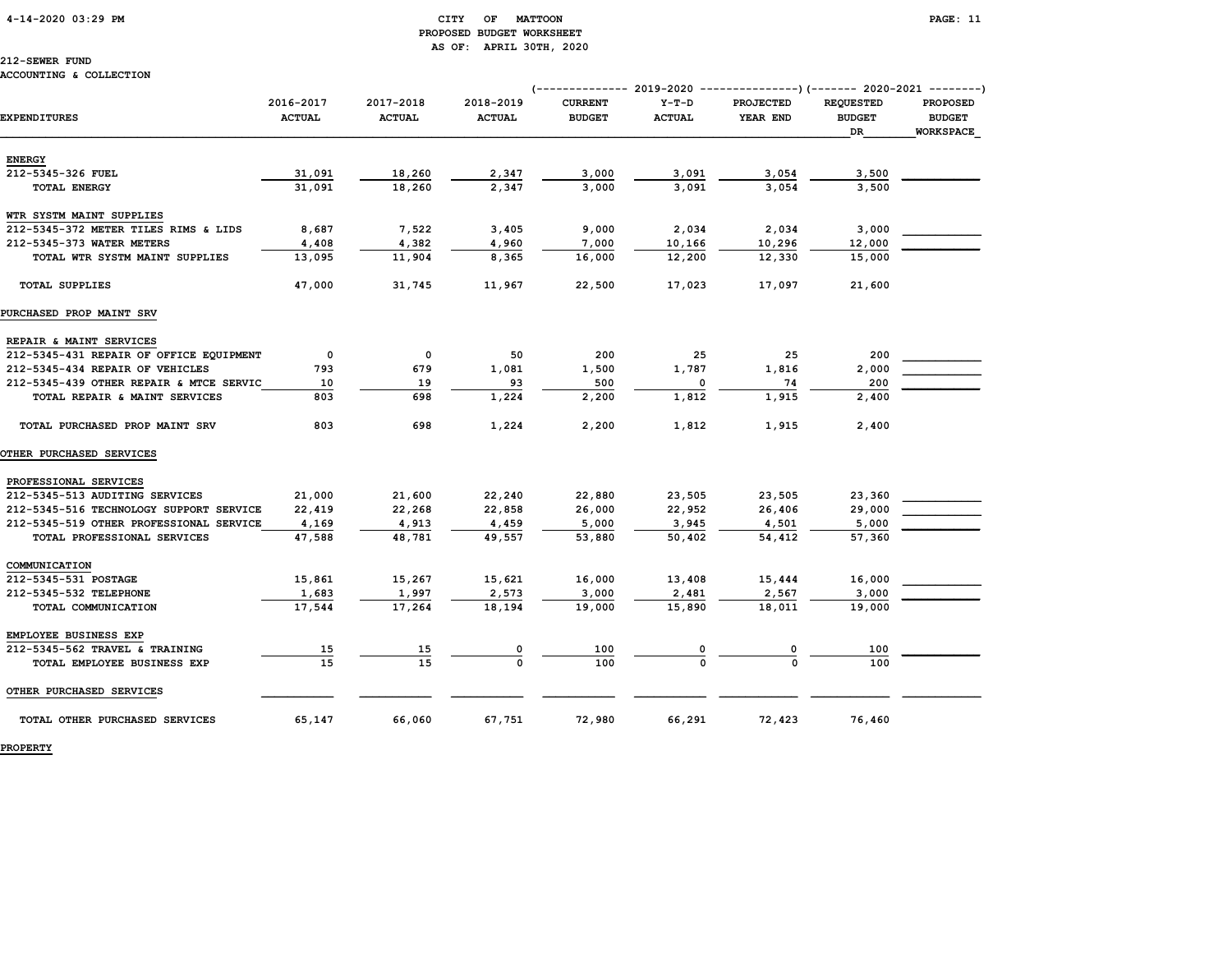# PROPOSED BUDGET WORKSHEET AS OF: APRIL 30TH, 2020

### 212-SEWER FUND

### ACCOUNTING & COLLECTION

|                                                         |                            |                              |                            |                                 |                          | (------------- 2019-2020 ----------------) (------- 2020-2021 --------) |                                   |                                  |
|---------------------------------------------------------|----------------------------|------------------------------|----------------------------|---------------------------------|--------------------------|-------------------------------------------------------------------------|-----------------------------------|----------------------------------|
| <b>EXPENDITURES</b>                                     | 2016-2017<br><b>ACTUAL</b> | 2017-2018<br><b>ACTUAL</b>   | 2018-2019<br><b>ACTUAL</b> | <b>CURRENT</b><br><b>BUDGET</b> | $Y-T-D$<br><b>ACTUAL</b> | <b>PROJECTED</b><br>YEAR END                                            | <b>REOUESTED</b><br><b>BUDGET</b> | <b>PROPOSED</b><br><b>BUDGET</b> |
|                                                         |                            |                              |                            |                                 |                          |                                                                         | DR                                | WORKSPACE                        |
| <b>ENERGY</b>                                           |                            |                              |                            |                                 |                          |                                                                         |                                   |                                  |
| 212-5345-326 FUEL                                       | 31,091                     | 18,260                       | 2,347                      | 3,000                           | 3,091                    | 3,054                                                                   | 3,500                             |                                  |
| TOTAL ENERGY                                            | 31,091                     | 18,260                       | 2,347                      | 3,000                           | 3,091                    | 3,054                                                                   | 3,500                             |                                  |
|                                                         |                            |                              |                            |                                 |                          |                                                                         |                                   |                                  |
| WTR SYSTM MAINT SUPPLIES                                |                            |                              |                            |                                 |                          |                                                                         |                                   |                                  |
| 212-5345-372 METER TILES RIMS & LIDS                    | 8,687                      | 7,522                        | 3,405                      | 9,000                           | 2,034                    | 2,034                                                                   | 3,000                             |                                  |
| 212-5345-373 WATER METERS                               | 4,408                      | 4,382                        | 4,960                      | 7,000                           | 10,166                   | 10,296                                                                  | 12,000                            |                                  |
| TOTAL WTR SYSTM MAINT SUPPLIES                          | 13,095                     | 11,904                       | 8,365                      | 16,000                          | 12,200                   | 12,330                                                                  | 15,000                            |                                  |
| <b>TOTAL SUPPLIES</b>                                   | 47,000                     | 31,745                       | 11,967                     | 22,500                          | 17,023                   | 17,097                                                                  | 21,600                            |                                  |
| PURCHASED PROP MAINT SRV                                |                            |                              |                            |                                 |                          |                                                                         |                                   |                                  |
| REPAIR & MAINT SERVICES                                 |                            |                              |                            |                                 |                          |                                                                         |                                   |                                  |
| 212-5345-431 REPAIR OF OFFICE EQUIPMENT                 | $\mathbf 0$                | 0                            | 50                         | 200                             | 25                       | 25                                                                      | 200                               |                                  |
| 212-5345-434 REPAIR OF VEHICLES                         | 793                        | 679                          | 1,081                      | 1,500                           | 1,787                    | 1,816                                                                   | 2,000                             |                                  |
| 212-5345-439 OTHER REPAIR & MTCE SERVIC                 | 10                         | 19                           | 93                         | 500                             | $\Omega$                 | 74                                                                      | 200                               |                                  |
| TOTAL REPAIR & MAINT SERVICES                           | 803                        | 698                          | 1,224                      | 2,200                           | 1,812                    | 1,915                                                                   | 2,400                             |                                  |
| TOTAL PURCHASED PROP MAINT SRV                          | 803                        | 698                          | 1,224                      | 2,200                           | 1,812                    | 1,915                                                                   | 2,400                             |                                  |
| <b>OTHER PURCHASED SERVICES</b>                         |                            |                              |                            |                                 |                          |                                                                         |                                   |                                  |
| PROFESSIONAL SERVICES                                   |                            |                              |                            |                                 |                          |                                                                         |                                   |                                  |
| 212-5345-513 AUDITING SERVICES                          | 21,000                     | 21,600                       | 22,240                     | 22,880                          | 23,505                   | 23,505                                                                  | 23,360                            |                                  |
| 212-5345-516 TECHNOLOGY SUPPORT SERVICE                 | 22,419                     | 22,268                       | 22,858                     | 26,000                          | 22,952                   | 26,406                                                                  | 29,000                            |                                  |
| 212-5345-519 OTHER PROFESSIONAL SERVICE                 | 4,169                      | 4,913                        | 4,459                      | 5,000                           | 3,945                    | 4,501                                                                   | 5,000                             |                                  |
| TOTAL PROFESSIONAL SERVICES                             | 47,588                     | 48,781                       | 49,557                     | 53,880                          | 50,402                   | 54,412                                                                  | 57,360                            |                                  |
| COMMUNICATION                                           |                            |                              |                            |                                 |                          |                                                                         |                                   |                                  |
| 212-5345-531 POSTAGE                                    | 15,861                     | 15,267                       | 15,621                     | 16,000                          | 13,408                   | 15,444                                                                  | 16,000                            |                                  |
| 212-5345-532 TELEPHONE                                  | 1,683                      | 1,997                        | 2,573                      | 3,000                           | 2,481                    | 2,567                                                                   | 3,000                             |                                  |
| TOTAL COMMUNICATION                                     | 17,544                     | 17,264                       | 18,194                     | 19,000                          | 15,890                   | 18,011                                                                  | 19,000                            |                                  |
|                                                         |                            |                              |                            |                                 |                          |                                                                         |                                   |                                  |
| EMPLOYEE BUSINESS EXP<br>212-5345-562 TRAVEL & TRAINING |                            |                              |                            |                                 |                          |                                                                         |                                   |                                  |
|                                                         | 15<br>15                   | <u>15</u><br>$\overline{15}$ |                            | 100<br>100                      |                          |                                                                         | 100<br>100                        |                                  |
| TOTAL EMPLOYEE BUSINESS EXP                             |                            |                              |                            |                                 |                          |                                                                         |                                   |                                  |
| OTHER PURCHASED SERVICES                                |                            |                              |                            |                                 |                          |                                                                         |                                   |                                  |
| TOTAL OTHER PURCHASED SERVICES                          | 65,147                     | 66,060                       | 67,751                     | 72,980                          | 66,291                   | 72,423                                                                  | 76,460                            |                                  |

PROPERTY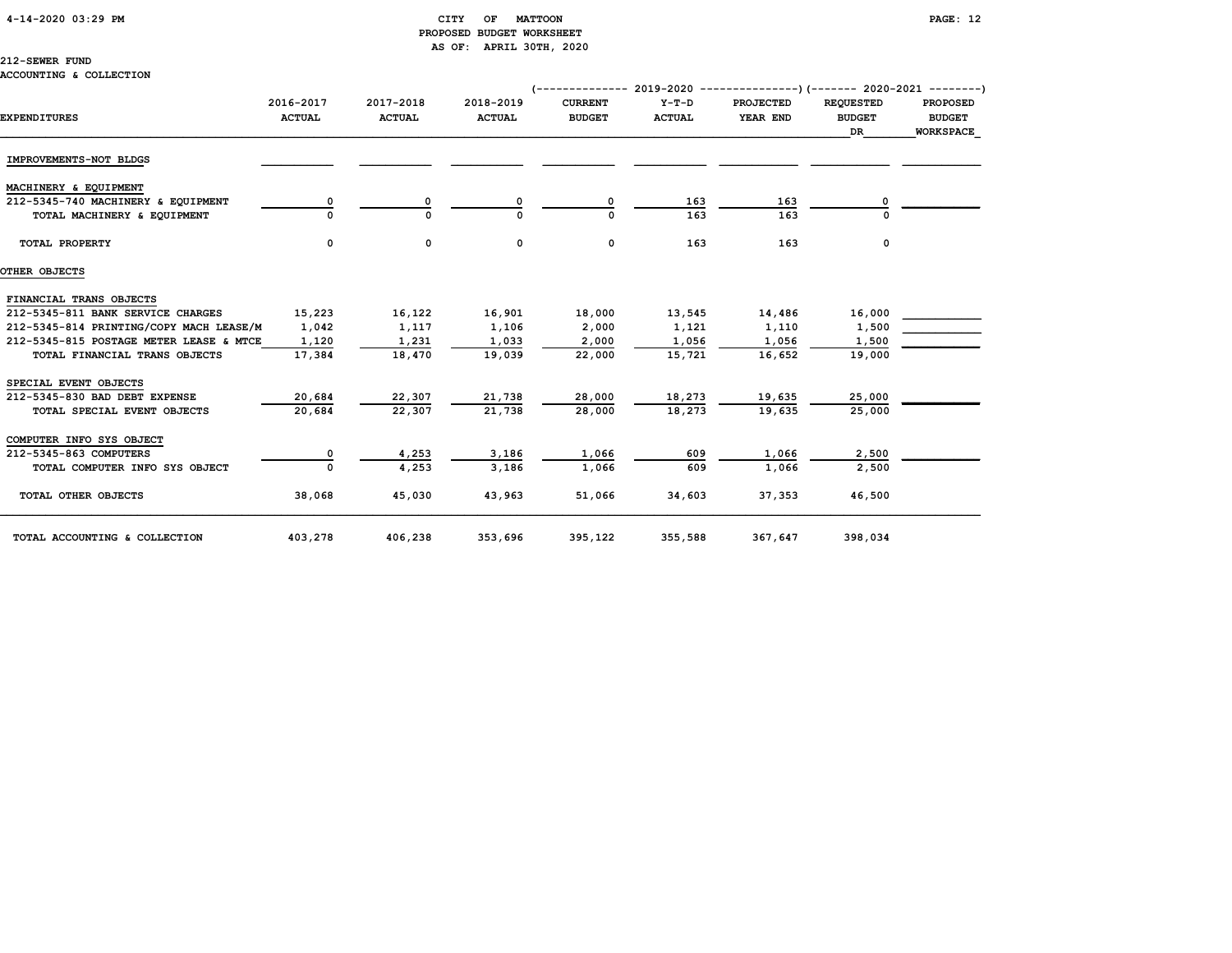### 4-14-2020 03:29 PM CITY OF MATTOON PAGE: 12 PROPOSED BUDGET WORKSHEET AS OF: APRIL 30TH, 2020

### 212-SEWER FUND

### ACCOUNTING & COLLECTION

| <b>EXPENDITURES</b>                     | 2016-2017<br><b>ACTUAL</b> | 2017-2018<br><b>ACTUAL</b> | 2018-2019<br><b>ACTUAL</b> | $(-$ ------------- 2019-2020 ----------------) (------- 2020-2021 ---------)<br><b>CURRENT</b><br><b>BUDGET</b> | $Y-T-D$<br><b>ACTUAL</b> | <b>PROJECTED</b><br>YEAR END | <b>REQUESTED</b><br><b>BUDGET</b><br>DR | <b>PROPOSED</b><br><b>BUDGET</b><br>WORKSPACE |
|-----------------------------------------|----------------------------|----------------------------|----------------------------|-----------------------------------------------------------------------------------------------------------------|--------------------------|------------------------------|-----------------------------------------|-----------------------------------------------|
| IMPROVEMENTS-NOT BLDGS                  |                            |                            |                            |                                                                                                                 |                          |                              |                                         |                                               |
| MACHINERY & EQUIPMENT                   |                            |                            |                            |                                                                                                                 |                          |                              |                                         |                                               |
| 212-5345-740 MACHINERY & EQUIPMENT      |                            | 0                          |                            |                                                                                                                 | 163                      | 163                          |                                         |                                               |
| TOTAL MACHINERY & EQUIPMENT             |                            |                            |                            |                                                                                                                 | 163                      | 163                          |                                         |                                               |
| TOTAL PROPERTY                          | 0                          | 0                          | 0                          | 0                                                                                                               | 163                      | 163                          | 0                                       |                                               |
| OTHER OBJECTS                           |                            |                            |                            |                                                                                                                 |                          |                              |                                         |                                               |
| FINANCIAL TRANS OBJECTS                 |                            |                            |                            |                                                                                                                 |                          |                              |                                         |                                               |
| 212-5345-811 BANK SERVICE CHARGES       | 15,223                     | 16,122                     | 16,901                     | 18,000                                                                                                          | 13,545                   | 14,486                       | 16,000                                  |                                               |
| 212-5345-814 PRINTING/COPY MACH LEASE/M | 1,042                      | 1,117                      | 1,106                      | 2,000                                                                                                           | 1,121                    | 1,110                        | 1,500                                   |                                               |
| 212-5345-815 POSTAGE METER LEASE & MTCE | 1,120                      | 1,231                      | 1,033                      | 2,000                                                                                                           | 1,056                    | 1,056                        | 1,500                                   |                                               |
| TOTAL FINANCIAL TRANS OBJECTS           | 17,384                     | 18,470                     | 19,039                     | 22,000                                                                                                          | 15,721                   | 16,652                       | 19,000                                  |                                               |
| SPECIAL EVENT OBJECTS                   |                            |                            |                            |                                                                                                                 |                          |                              |                                         |                                               |
| 212-5345-830 BAD DEBT EXPENSE           | 20,684                     | 22,307                     | 21,738                     | 28,000                                                                                                          | 18,273                   | 19,635                       | 25,000                                  |                                               |
| TOTAL SPECIAL EVENT OBJECTS             | 20,684                     | 22,307                     | 21,738                     | 28,000                                                                                                          | 18,273                   | 19,635                       | 25,000                                  |                                               |
| COMPUTER INFO SYS OBJECT                |                            |                            |                            |                                                                                                                 |                          |                              |                                         |                                               |
| 212-5345-863 COMPUTERS                  |                            | 4,253                      | 3,186                      | 1,066                                                                                                           | 609                      | 1,066                        | 2,500                                   |                                               |
| TOTAL COMPUTER INFO SYS OBJECT          |                            | 4,253                      | 3,186                      | 1,066                                                                                                           | 609                      | 1,066                        | 2,500                                   |                                               |
| TOTAL OTHER OBJECTS                     | 38,068                     | 45,030                     | 43,963                     | 51,066                                                                                                          | 34,603                   | 37,353                       | 46,500                                  |                                               |
| TOTAL ACCOUNTING & COLLECTION           | 403,278                    | 406,238                    | 353,696                    | 395,122                                                                                                         | 355,588                  | 367,647                      | 398,034                                 |                                               |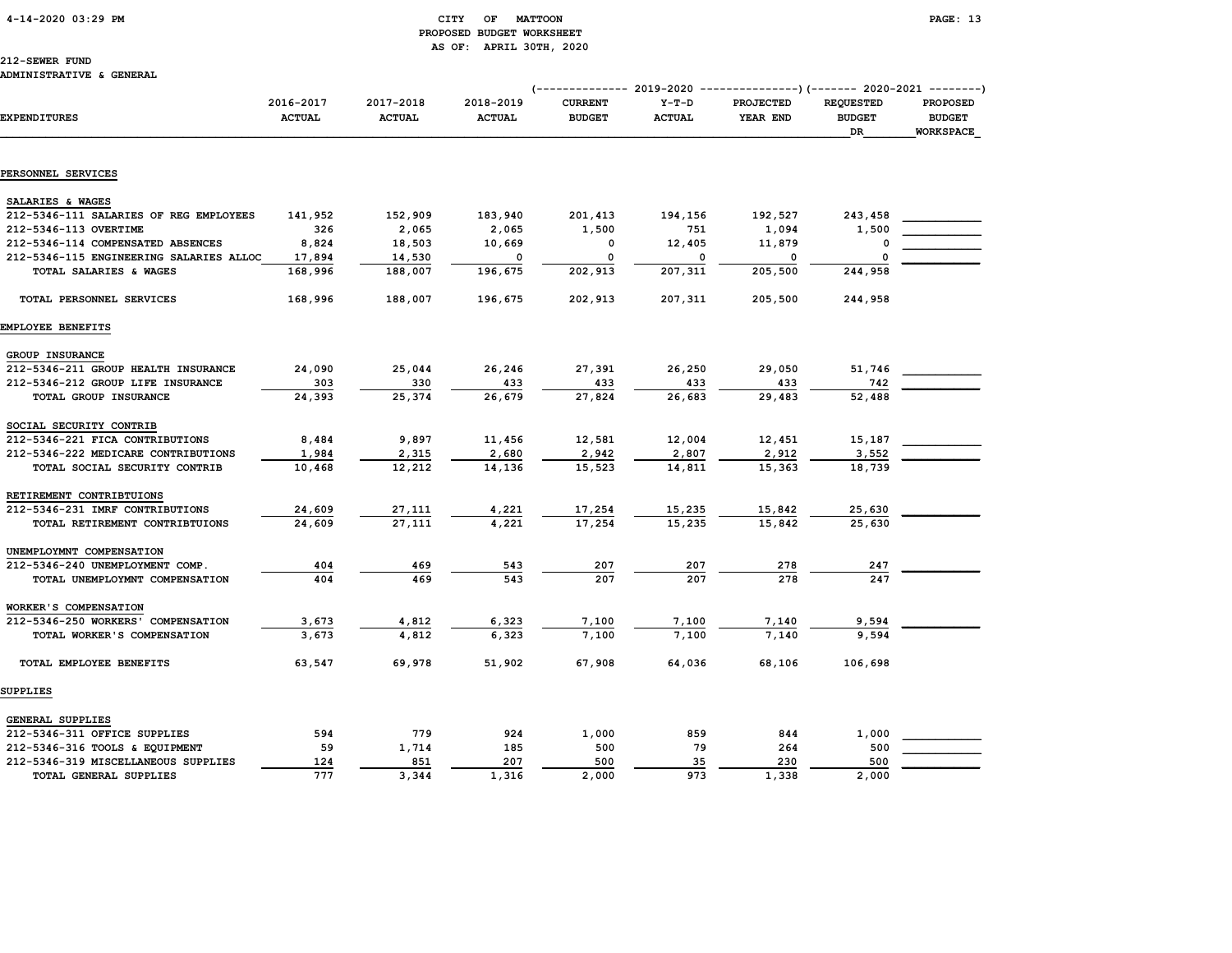### 4-14-2020 03:29 PM CITY OF MATTOON PAGE: 13 PROPOSED BUDGET WORKSHEET AS OF: APRIL 30TH, 2020

212-SEWER FUND

#### ADMINISTRATIVE & GENERAL

|                                         |                            |                            |                            | (------------- 2019-2020        |                          | --------------)(------- 2020-2021 --------) |                                                |                                                      |
|-----------------------------------------|----------------------------|----------------------------|----------------------------|---------------------------------|--------------------------|---------------------------------------------|------------------------------------------------|------------------------------------------------------|
| <b>EXPENDITURES</b>                     | 2016-2017<br><b>ACTUAL</b> | 2017-2018<br><b>ACTUAL</b> | 2018-2019<br><b>ACTUAL</b> | <b>CURRENT</b><br><b>BUDGET</b> | $Y-T-D$<br><b>ACTUAL</b> | PROJECTED<br>YEAR END                       | <b>REQUESTED</b><br><b>BUDGET</b><br><b>DR</b> | <b>PROPOSED</b><br><b>BUDGET</b><br><b>WORKSPACE</b> |
|                                         |                            |                            |                            |                                 |                          |                                             |                                                |                                                      |
| PERSONNEL SERVICES                      |                            |                            |                            |                                 |                          |                                             |                                                |                                                      |
| SALARIES & WAGES                        |                            |                            |                            |                                 |                          |                                             |                                                |                                                      |
| 212-5346-111 SALARIES OF REG EMPLOYEES  | 141,952                    | 152,909                    | 183,940                    | 201,413                         | 194,156                  | 192,527                                     | 243,458                                        |                                                      |
| 212-5346-113 OVERTIME                   | 326                        | 2,065                      | 2,065                      | 1,500                           | 751                      | 1,094                                       | 1,500                                          |                                                      |
| 212-5346-114 COMPENSATED ABSENCES       | 8,824                      | 18,503                     | 10,669                     | 0                               | 12,405                   | 11,879                                      | O                                              |                                                      |
| 212-5346-115 ENGINEERING SALARIES ALLOC | 17,894                     | 14,530                     | $\mathbf 0$                | 0                               | 0                        | 0                                           | $\Omega$                                       |                                                      |
| TOTAL SALARIES & WAGES                  | 168,996                    | 188,007                    | 196,675                    | 202,913                         | 207,311                  | 205,500                                     | 244,958                                        |                                                      |
| TOTAL PERSONNEL SERVICES                | 168,996                    | 188,007                    | 196,675                    | 202,913                         | 207,311                  | 205,500                                     | 244,958                                        |                                                      |
| EMPLOYEE BENEFITS                       |                            |                            |                            |                                 |                          |                                             |                                                |                                                      |
| GROUP INSURANCE                         |                            |                            |                            |                                 |                          |                                             |                                                |                                                      |
| 212-5346-211 GROUP HEALTH INSURANCE     | 24,090                     | 25,044                     | 26,246                     | 27,391                          | 26,250                   | 29,050                                      | 51,746                                         |                                                      |
| 212-5346-212 GROUP LIFE INSURANCE       | 303                        | 330                        | 433                        | 433                             | 433                      | 433                                         | 742                                            |                                                      |
| TOTAL GROUP INSURANCE                   | 24,393                     | 25,374                     | 26,679                     | 27,824                          | 26,683                   | 29,483                                      | 52,488                                         |                                                      |
| SOCIAL SECURITY CONTRIB                 |                            |                            |                            |                                 |                          |                                             |                                                |                                                      |
| 212-5346-221 FICA CONTRIBUTIONS         | 8,484                      | 9,897                      | 11,456                     | 12,581                          | 12,004                   | 12,451                                      | 15,187                                         |                                                      |
| 212-5346-222 MEDICARE CONTRIBUTIONS     | 1,984                      | 2,315                      | 2,680                      | 2,942                           | 2,807                    | 2,912                                       | 3,552                                          |                                                      |
| TOTAL SOCIAL SECURITY CONTRIB           | 10,468                     | 12,212                     | 14,136                     | 15,523                          | 14,811                   | 15,363                                      | 18,739                                         |                                                      |
| RETIREMENT CONTRIBTUIONS                |                            |                            |                            |                                 |                          |                                             |                                                |                                                      |
| 212-5346-231 IMRF CONTRIBUTIONS         | 24,609                     | 27,111                     | 4,221                      | 17,254                          | 15,235                   | 15,842                                      | 25,630                                         |                                                      |
| TOTAL RETIREMENT CONTRIBTUIONS          | 24,609                     | 27,111                     | 4,221                      | 17,254                          | 15,235                   | 15,842                                      | 25,630                                         |                                                      |
| UNEMPLOYMNT COMPENSATION                |                            |                            |                            |                                 |                          |                                             |                                                |                                                      |
| 212-5346-240 UNEMPLOYMENT COMP.         | 404                        | 469                        | 543                        | 207                             | 207                      | 278                                         | 247                                            |                                                      |
| TOTAL UNEMPLOYMNT COMPENSATION          | 404                        | 469                        | 543                        | 207                             | 207                      | 278                                         | 247                                            |                                                      |
| WORKER'S COMPENSATION                   |                            |                            |                            |                                 |                          |                                             |                                                |                                                      |
| 212-5346-250 WORKERS' COMPENSATION      | 3,673                      | 4,812                      | 6,323                      | 7,100                           | 7,100                    | 7,140                                       | 9,594                                          |                                                      |
| TOTAL WORKER'S COMPENSATION             | 3,673                      | 4.812                      | 6.323                      | 7,100                           | 7,100                    | 7.140                                       | 9,594                                          |                                                      |
| TOTAL EMPLOYEE BENEFITS                 | 63,547                     | 69,978                     | 51,902                     | 67,908                          | 64,036                   | 68,106                                      | 106,698                                        |                                                      |
| <b>SUPPLIES</b>                         |                            |                            |                            |                                 |                          |                                             |                                                |                                                      |
| <b>GENERAL SUPPLIES</b>                 |                            |                            |                            |                                 |                          |                                             |                                                |                                                      |
| 212-5346-311 OFFICE SUPPLIES            | 594                        | 779                        | 924                        | 1,000                           | 859                      | 844                                         | 1,000                                          |                                                      |
| 212-5346-316 TOOLS & EQUIPMENT          | 59                         | 1,714                      | 185                        | 500                             | 79                       | 264                                         | 500                                            |                                                      |
| 212-5346-319 MISCELLANEOUS SUPPLIES     | 124                        | 851                        | 207                        | 500                             | 35                       | 230                                         | 500                                            |                                                      |
| TOTAL GENERAL SUPPLIES                  | 777                        | 3,344                      | 1,316                      | 2,000                           | 973                      | 1,338                                       | 2,000                                          |                                                      |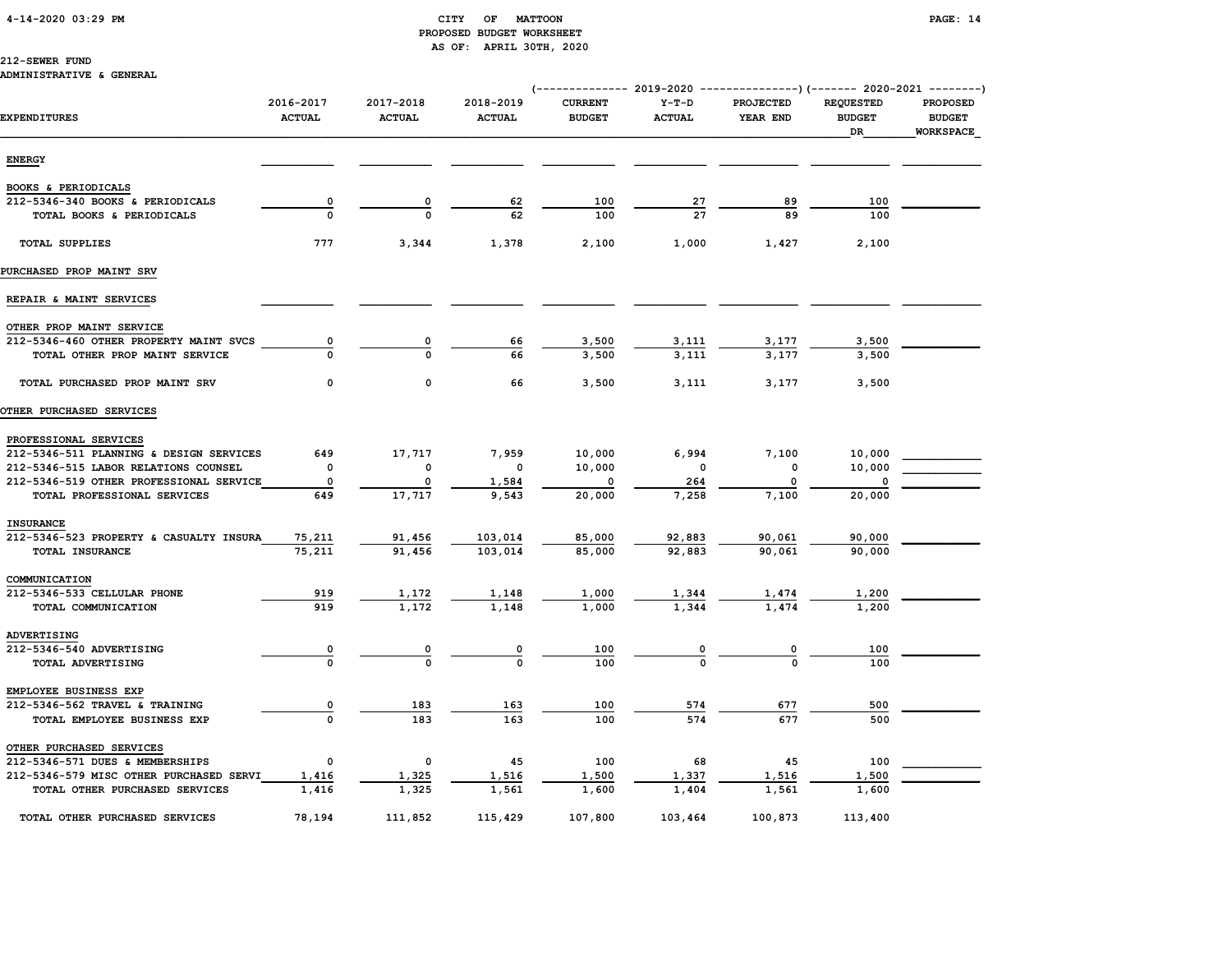### 4-14-2020 03:29 PM CITY OF MATTOON PAGE: 14 PROPOSED BUDGET WORKSHEET AS OF: APRIL 30TH, 2020

### 212-SEWER FUND

### ADMINISTRATIVE & GENERAL

|                                         | 2016-2017     | 2017-2018     | 2018-2019      | <b>CURRENT</b> | $Y-T-D$       | (-------------- 2019-2020 ----------------) (------- 2020-2021 --------)<br><b>PROJECTED</b> | <b>REQUESTED</b>    | <b>PROPOSED</b>                   |
|-----------------------------------------|---------------|---------------|----------------|----------------|---------------|----------------------------------------------------------------------------------------------|---------------------|-----------------------------------|
| <b>EXPENDITURES</b>                     | <b>ACTUAL</b> | <b>ACTUAL</b> | <b>ACTUAL</b>  | <b>BUDGET</b>  | <b>ACTUAL</b> | YEAR END                                                                                     | <b>BUDGET</b><br>DR | <b>BUDGET</b><br><b>WORKSPACE</b> |
| <b>ENERGY</b>                           |               |               |                |                |               |                                                                                              |                     |                                   |
| BOOKS & PERIODICALS                     |               |               |                |                |               |                                                                                              |                     |                                   |
| 212-5346-340 BOOKS & PERIODICALS        | 0             | 0             | 62             | 100            | <u>27</u>     | 89                                                                                           | 100                 |                                   |
| TOTAL BOOKS & PERIODICALS               |               |               | 62             | 100            | 27            | 89                                                                                           | 100                 |                                   |
| <b>TOTAL SUPPLIES</b>                   | 777           | 3,344         | 1,378          | 2,100          | 1,000         | 1,427                                                                                        | 2,100               |                                   |
| PURCHASED PROP MAINT SRV                |               |               |                |                |               |                                                                                              |                     |                                   |
| REPAIR & MAINT SERVICES                 |               |               |                |                |               |                                                                                              |                     |                                   |
| OTHER PROP MAINT SERVICE                |               |               |                |                |               |                                                                                              |                     |                                   |
| 212-5346-460 OTHER PROPERTY MAINT SVCS  | 0             |               | 66             | 3,500          | 3,111         | 3,177                                                                                        | 3,500               |                                   |
| TOTAL OTHER PROP MAINT SERVICE          |               |               | 66             | 3,500          | 3.111         | 3,177                                                                                        | 3,500               |                                   |
| TOTAL PURCHASED PROP MAINT SRV          | 0             | $\mathbf 0$   | 66             | 3,500          | 3,111         | 3,177                                                                                        | 3,500               |                                   |
| OTHER PURCHASED SERVICES                |               |               |                |                |               |                                                                                              |                     |                                   |
| PROFESSIONAL SERVICES                   |               |               |                |                |               |                                                                                              |                     |                                   |
| 212-5346-511 PLANNING & DESIGN SERVICES | 649           | 17,717        | 7,959          | 10,000         | 6,994         | 7,100                                                                                        | 10,000              |                                   |
| 212-5346-515 LABOR RELATIONS COUNSEL    | 0             | 0             | 0              | 10,000         | $\mathbf 0$   | 0                                                                                            | 10,000              |                                   |
| 212-5346-519 OTHER PROFESSIONAL SERVICE | 0             | 0             | 1,584          | 0              | 264           | $\Omega$                                                                                     | $\Omega$            |                                   |
| TOTAL PROFESSIONAL SERVICES             | 649           | 17,717        | 9,543          | 20,000         | 7,258         | 7,100                                                                                        | 20,000              |                                   |
| <b>INSURANCE</b>                        |               |               |                |                |               |                                                                                              |                     |                                   |
| 212-5346-523 PROPERTY & CASUALTY INSURA | 75,211        | 91,456        | 103,014        | 85,000         | 92,883        | 90,061                                                                                       | 90,000              |                                   |
| TOTAL INSURANCE                         | 75,211        | 91,456        | 103,014        | 85,000         | 92,883        | 90,061                                                                                       | 90,000              |                                   |
| COMMUNICATION                           |               |               |                |                |               |                                                                                              |                     |                                   |
| 212-5346-533 CELLULAR PHONE             | 919           | 1,172         | 1,148          | 1,000          | 1,344         | 1,474                                                                                        | 1,200               |                                   |
| TOTAL COMMUNICATION                     | 919           | 1,172         | 1,148          | 1,000          | 1,344         | 1.474                                                                                        | 1,200               |                                   |
| ADVERTISING                             |               |               |                |                |               |                                                                                              |                     |                                   |
| 212-5346-540 ADVERTISING                |               |               | $\overline{0}$ | 100            | $\frac{0}{0}$ | $\frac{0}{0}$                                                                                | 100                 |                                   |
| TOTAL ADVERTISING                       |               |               |                | 100            |               |                                                                                              | 100                 |                                   |
| EMPLOYEE BUSINESS EXP                   |               |               |                |                |               |                                                                                              |                     |                                   |
| 212-5346-562 TRAVEL & TRAINING          | 0             | 183           | 163            | 100            | 574           | 677                                                                                          | 500                 |                                   |
| TOTAL EMPLOYEE BUSINESS EXP             | $\mathbf 0$   | 183           | 163            | 100            | 574           | 677                                                                                          | 500                 |                                   |
| OTHER PURCHASED SERVICES                |               |               |                |                |               |                                                                                              |                     |                                   |
| 212-5346-571 DUES & MEMBERSHIPS         | 0             | $\mathbf 0$   | 45             | 100            | 68            | 45                                                                                           | 100                 |                                   |
| 212-5346-579 MISC OTHER PURCHASED SERVI | 1,416         | 1,325         | 1,516          | 1,500          | 1,337         | 1,516                                                                                        | 1,500               |                                   |
| TOTAL OTHER PURCHASED SERVICES          | 1,416         | 1,325         | 1,561          | 1,600          | 1,404         | 1,561                                                                                        | 1,600               |                                   |
| TOTAL OTHER PURCHASED SERVICES          | 78,194        | 111,852       | 115,429        | 107,800        | 103,464       | 100,873                                                                                      | 113,400             |                                   |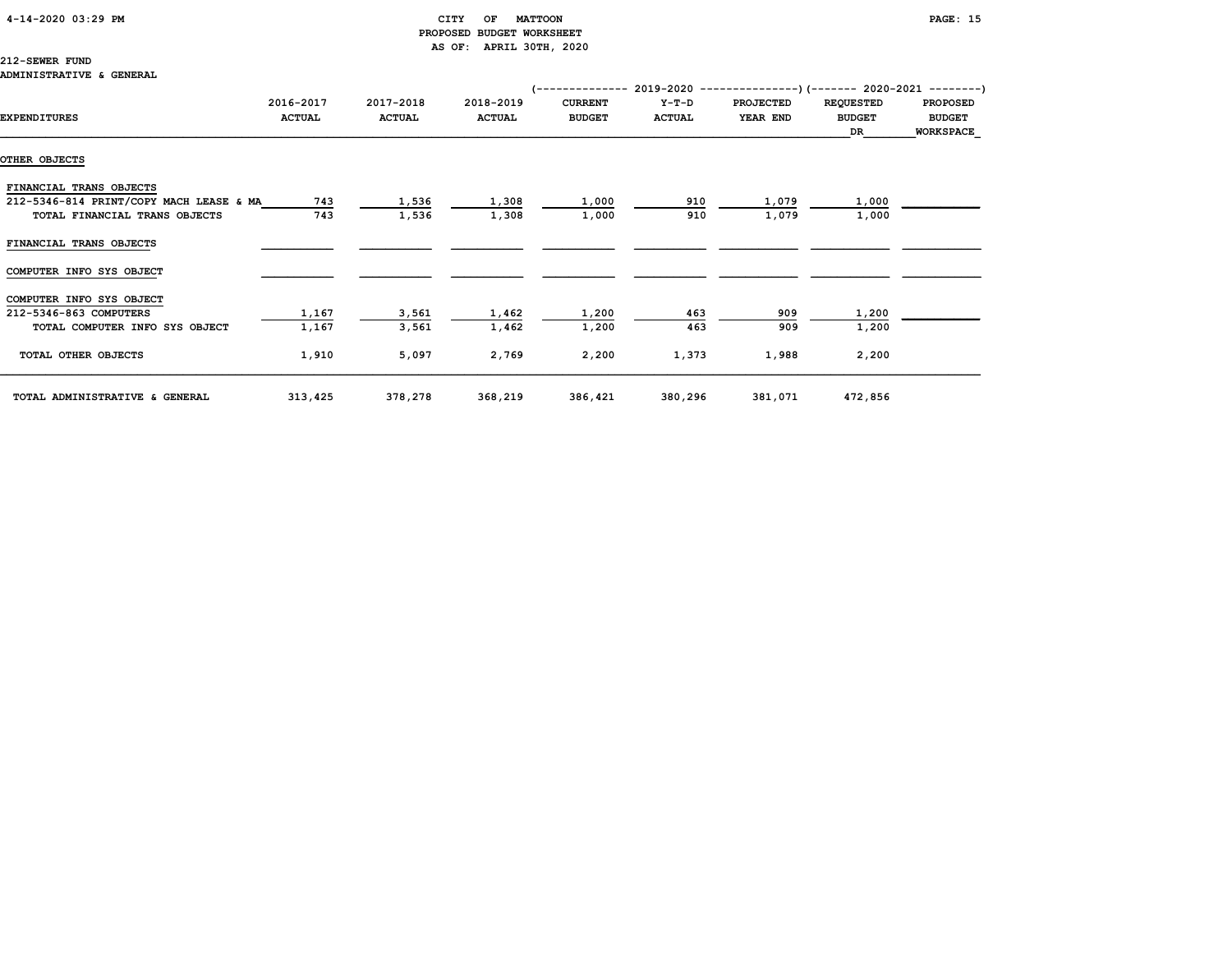### 4-14-2020 03:29 PM CITY OF MATTOON PAGE: 15

# PROPOSED BUDGET WORKSHEET AS OF: APRIL 30TH, 2020

### 212-SEWER FUND

|                                         |                            |                            |                            | (-------------- 2019-2020 ----------------) (------- 2020-2021 --------) |                          |                              |                                   |                                  |
|-----------------------------------------|----------------------------|----------------------------|----------------------------|--------------------------------------------------------------------------|--------------------------|------------------------------|-----------------------------------|----------------------------------|
| <b>EXPENDITURES</b>                     | 2016-2017<br><b>ACTUAL</b> | 2017-2018<br><b>ACTUAL</b> | 2018-2019<br><b>ACTUAL</b> | <b>CURRENT</b><br><b>BUDGET</b>                                          | $Y-T-D$<br><b>ACTUAL</b> | <b>PROJECTED</b><br>YEAR END | <b>REQUESTED</b><br><b>BUDGET</b> | <b>PROPOSED</b><br><b>BUDGET</b> |
|                                         |                            |                            |                            |                                                                          |                          |                              | DR                                | <b>WORKSPACE</b>                 |
| OTHER OBJECTS                           |                            |                            |                            |                                                                          |                          |                              |                                   |                                  |
| FINANCIAL TRANS OBJECTS                 |                            |                            |                            |                                                                          |                          |                              |                                   |                                  |
| 212-5346-814 PRINT/COPY MACH LEASE & MA | 743                        | 1,536                      | 1,308                      | 1,000                                                                    | 910                      | 1,079                        | 1,000                             |                                  |
| TOTAL FINANCIAL TRANS OBJECTS           | 743                        | 1,536                      | 1,308                      | 1,000                                                                    | 910                      | 1,079                        | 1,000                             |                                  |
| FINANCIAL TRANS OBJECTS                 |                            |                            |                            |                                                                          |                          |                              |                                   |                                  |
| COMPUTER INFO SYS OBJECT                |                            |                            |                            |                                                                          |                          |                              |                                   |                                  |
| COMPUTER INFO SYS OBJECT                |                            |                            |                            |                                                                          |                          |                              |                                   |                                  |
| 212-5346-863 COMPUTERS                  | 1,167                      | 3,561                      | 1,462                      | 1,200                                                                    | 463                      | 909                          | 1,200                             |                                  |
| TOTAL COMPUTER INFO SYS OBJECT          | 1,167                      | 3,561                      | 1,462                      | 1,200                                                                    | 463                      | 909                          | 1,200                             |                                  |
| TOTAL OTHER OBJECTS                     | 1,910                      | 5,097                      | 2,769                      | 2,200                                                                    | 1,373                    | 1,988                        | 2,200                             |                                  |
| TOTAL ADMINISTRATIVE & GENERAL          | 313,425                    | 378,278                    | 368,219                    | 386,421                                                                  | 380,296                  | 381,071                      | 472,856                           |                                  |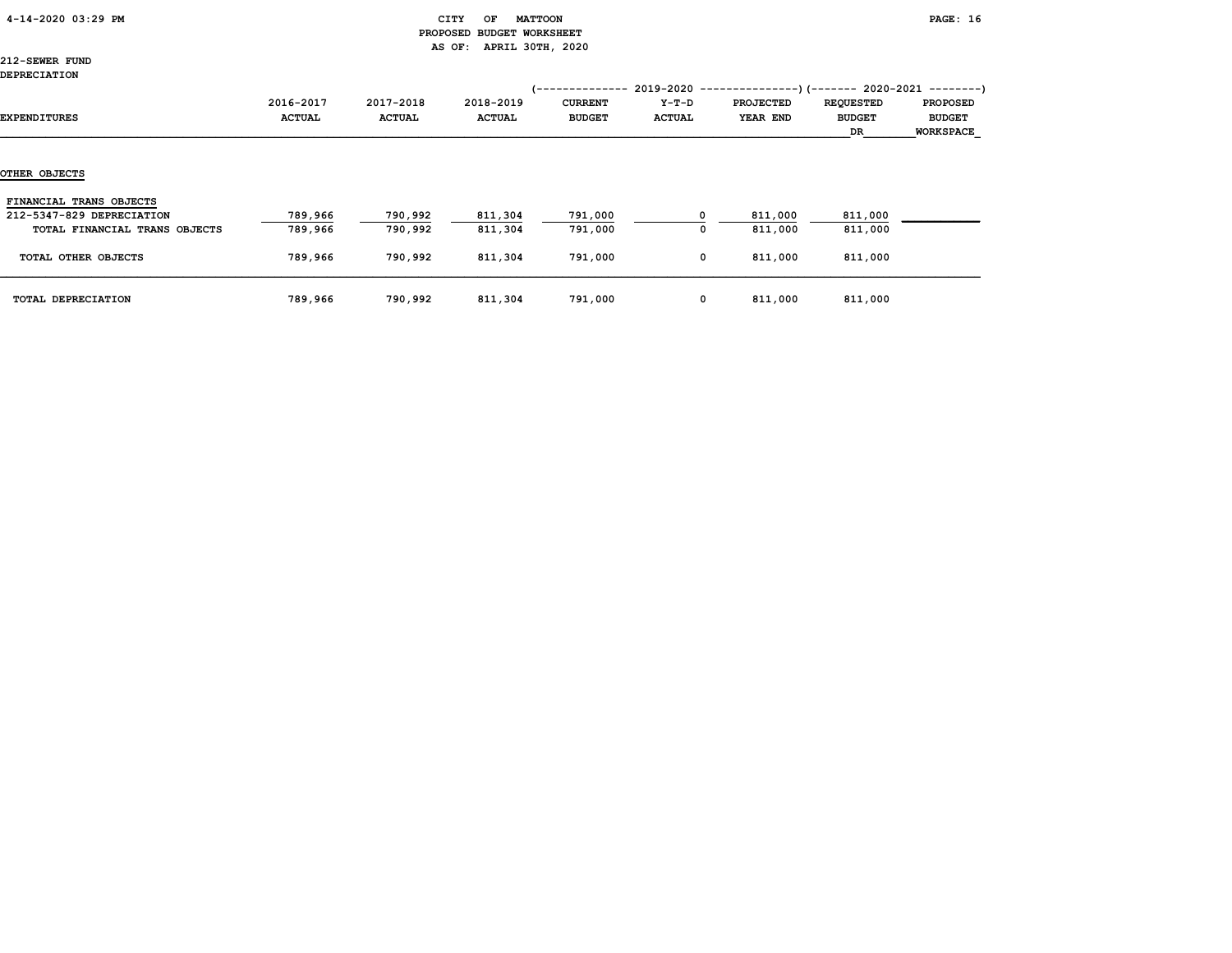|  | 4-14-2020 03:29 PM |  |  |
|--|--------------------|--|--|
|--|--------------------|--|--|

### CITY OF MATTOON **PAGE:** 16 PROPOSED BUDGET WORKSHEET AS OF: APRIL 30TH, 2020

212-SEWER FUND DEPRECIATION

|                               |               |               |               | 1-------------- | $2019 - 2020 -$ |                  | --)(------- 2020-2021 --------) |                  |
|-------------------------------|---------------|---------------|---------------|-----------------|-----------------|------------------|---------------------------------|------------------|
|                               | 2016-2017     | 2017-2018     | 2018-2019     | <b>CURRENT</b>  | $Y-T-D$         | <b>PROJECTED</b> | <b>REQUESTED</b>                | <b>PROPOSED</b>  |
| EXPENDITURES                  | <b>ACTUAL</b> | <b>ACTUAL</b> | <b>ACTUAL</b> | <b>BUDGET</b>   | <b>ACTUAL</b>   | YEAR END         | <b>BUDGET</b>                   | <b>BUDGET</b>    |
|                               |               |               |               |                 |                 |                  | DR                              | <b>WORKSPACE</b> |
|                               |               |               |               |                 |                 |                  |                                 |                  |
|                               |               |               |               |                 |                 |                  |                                 |                  |
| OTHER OBJECTS                 |               |               |               |                 |                 |                  |                                 |                  |
| FINANCIAL TRANS OBJECTS       |               |               |               |                 |                 |                  |                                 |                  |
| 212-5347-829 DEPRECIATION     | 789,966       | 790,992       | 811,304       | 791,000         | o               | 811,000          | 811,000                         |                  |
| TOTAL FINANCIAL TRANS OBJECTS | 789,966       | 790,992       | 811,304       | 791,000         | 0               | 811,000          | 811,000                         |                  |
|                               |               |               |               |                 |                 |                  |                                 |                  |
| TOTAL OTHER OBJECTS           | 789,966       | 790,992       | 811,304       | 791,000         | 0               | 811,000          | 811,000                         |                  |
|                               |               |               |               |                 |                 |                  |                                 |                  |
| TOTAL DEPRECIATION            | 789,966       | 790,992       | 811,304       | 791,000         | 0               | 811,000          | 811,000                         |                  |
|                               |               |               |               |                 |                 |                  |                                 |                  |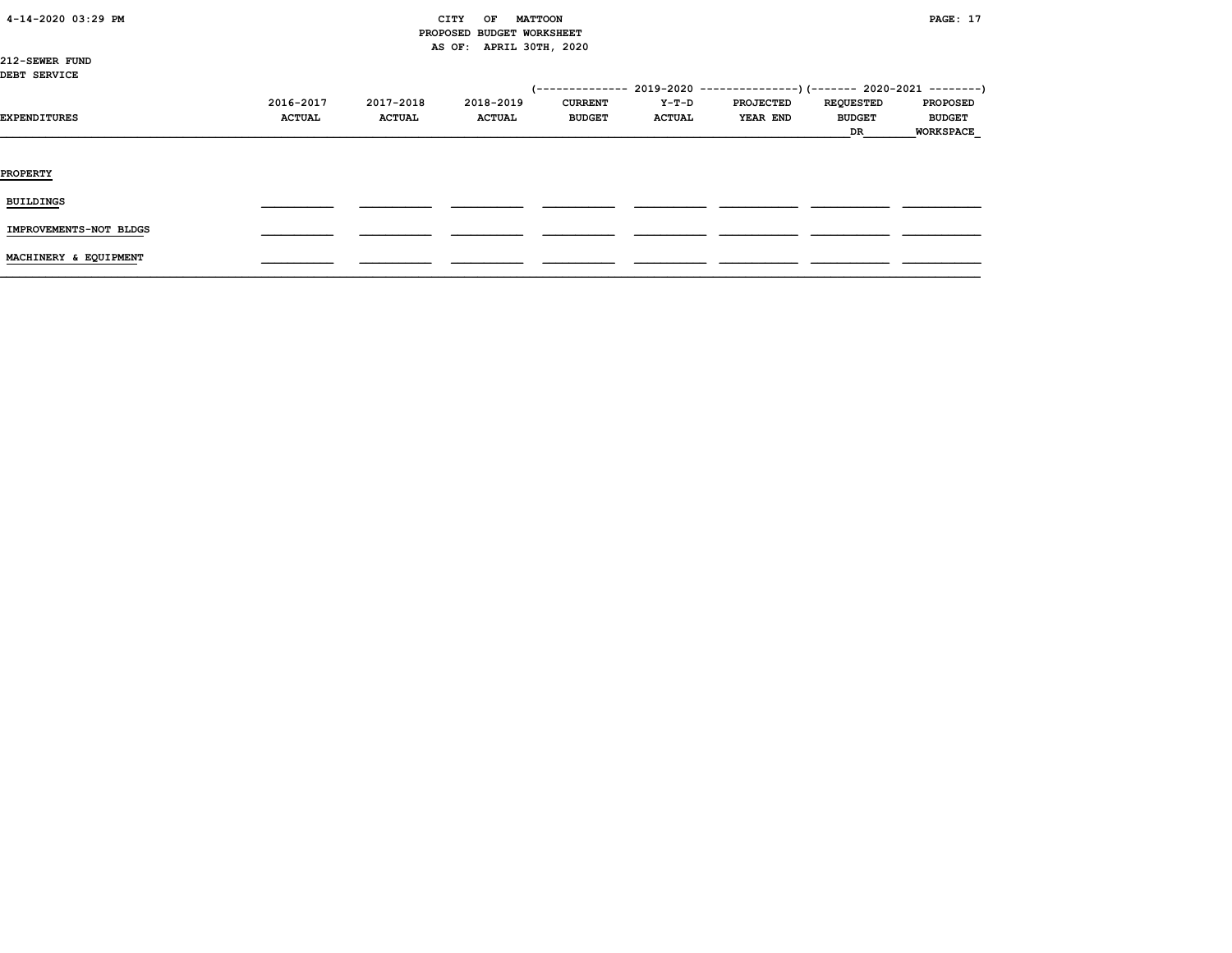| 4-14-2020 03:29 PM |  |
|--------------------|--|
|                    |  |

### CITY OF MATTOON **PAGE:** 17 PROPOSED BUDGET WORKSHEET AS OF: APRIL 30TH, 2020

212-SEWER FUND DEBT SERVICE

| ----- -------          |                            |                            |                            |                                 |                        | (-------------- 2019-2020 ----------------) (------- 2020-2021 --------) |                                         |                                                      |
|------------------------|----------------------------|----------------------------|----------------------------|---------------------------------|------------------------|--------------------------------------------------------------------------|-----------------------------------------|------------------------------------------------------|
| <b>EXPENDITURES</b>    | 2016-2017<br><b>ACTUAL</b> | 2017-2018<br><b>ACTUAL</b> | 2018-2019<br><b>ACTUAL</b> | <b>CURRENT</b><br><b>BUDGET</b> | Y-T-D<br><b>ACTUAL</b> | <b>PROJECTED</b><br>YEAR END                                             | <b>REQUESTED</b><br><b>BUDGET</b><br>DR | <b>PROPOSED</b><br><b>BUDGET</b><br><b>WORKSPACE</b> |
| <b>PROPERTY</b>        |                            |                            |                            |                                 |                        |                                                                          |                                         |                                                      |
| <b>BUILDINGS</b>       |                            |                            |                            |                                 |                        |                                                                          |                                         |                                                      |
| IMPROVEMENTS-NOT BLDGS |                            |                            |                            |                                 |                        |                                                                          |                                         |                                                      |
| MACHINERY & EQUIPMENT  |                            |                            |                            |                                 |                        |                                                                          |                                         |                                                      |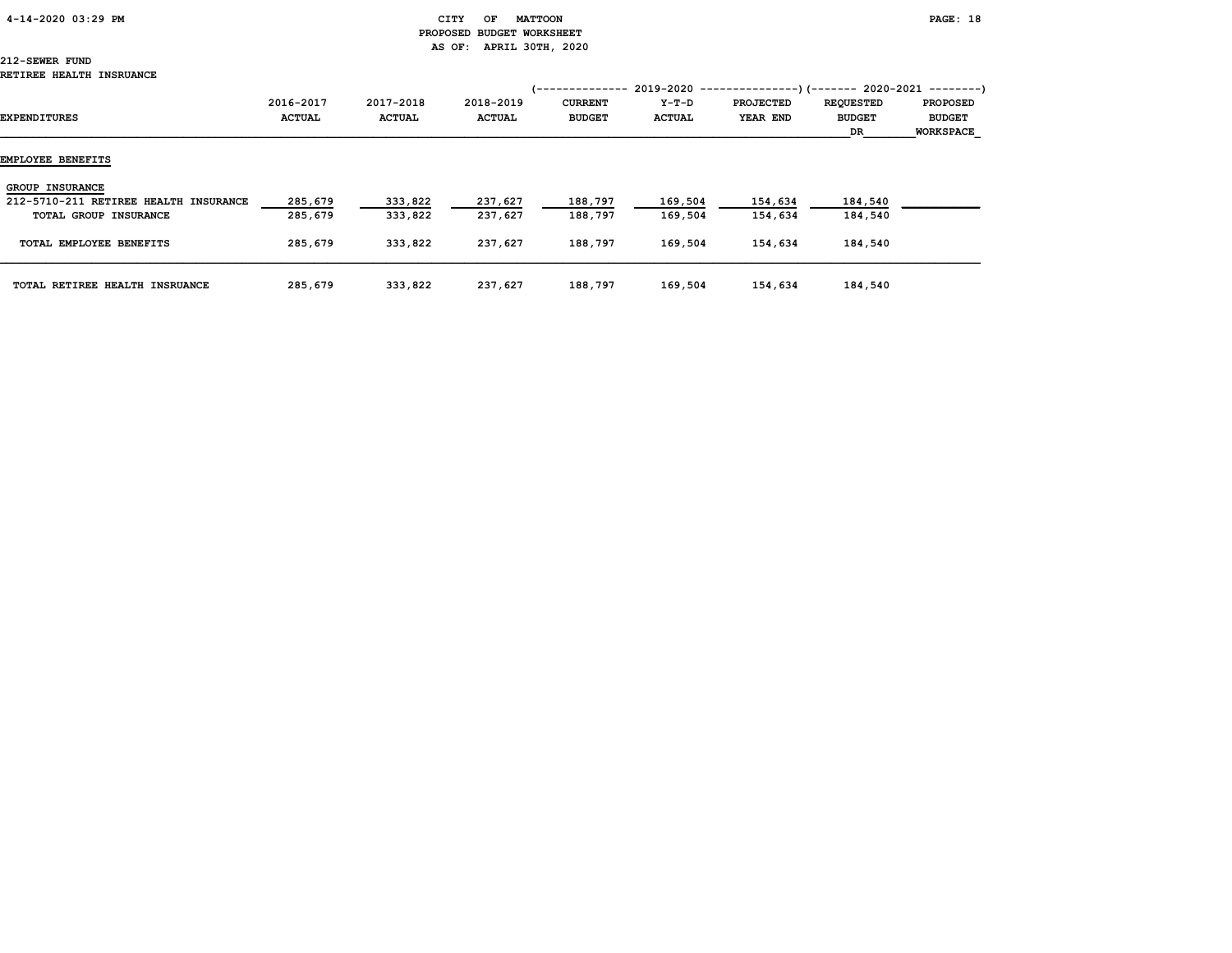# PROPOSED BUDGET WORKSHEET AS OF: APRIL 30TH, 2020

# 212-SEWER FUND

| EXPENDITURES                          | 2016-2017<br><b>ACTUAL</b> | 2017-2018<br><b>ACTUAL</b> | 2018-2019<br><b>ACTUAL</b> | '--------------<br><b>CURRENT</b><br><b>BUDGET</b> | $2019 - 2020 - -$<br>Y-T-D<br><b>ACTUAL</b> | <b>PROJECTED</b><br>YEAR END | --)(------- 2020-2021 --------)<br><b>REQUESTED</b><br><b>BUDGET</b><br>DR. | <b>PROPOSED</b><br><b>BUDGET</b><br><b>WORKSPACE</b> |
|---------------------------------------|----------------------------|----------------------------|----------------------------|----------------------------------------------------|---------------------------------------------|------------------------------|-----------------------------------------------------------------------------|------------------------------------------------------|
| EMPLOYEE BENEFITS                     |                            |                            |                            |                                                    |                                             |                              |                                                                             |                                                      |
| <b>GROUP INSURANCE</b>                |                            |                            |                            |                                                    |                                             |                              |                                                                             |                                                      |
| 212-5710-211 RETIREE HEALTH INSURANCE | 285,679                    | 333,822                    | 237,627                    | 188,797                                            | 169,504                                     | 154,634                      | 184,540                                                                     |                                                      |
| TOTAL GROUP INSURANCE                 | 285,679                    | 333,822                    | 237,627                    | 188,797                                            | 169,504                                     | 154,634                      | 184,540                                                                     |                                                      |
| TOTAL EMPLOYEE BENEFITS               | 285,679                    | 333,822                    | 237,627                    | 188,797                                            | 169,504                                     | 154,634                      | 184,540                                                                     |                                                      |
| TOTAL RETIREE HEALTH INSRUANCE        | 285,679                    | 333,822                    | 237,627                    | 188,797                                            | 169,504                                     | 154,634                      | 184,540                                                                     |                                                      |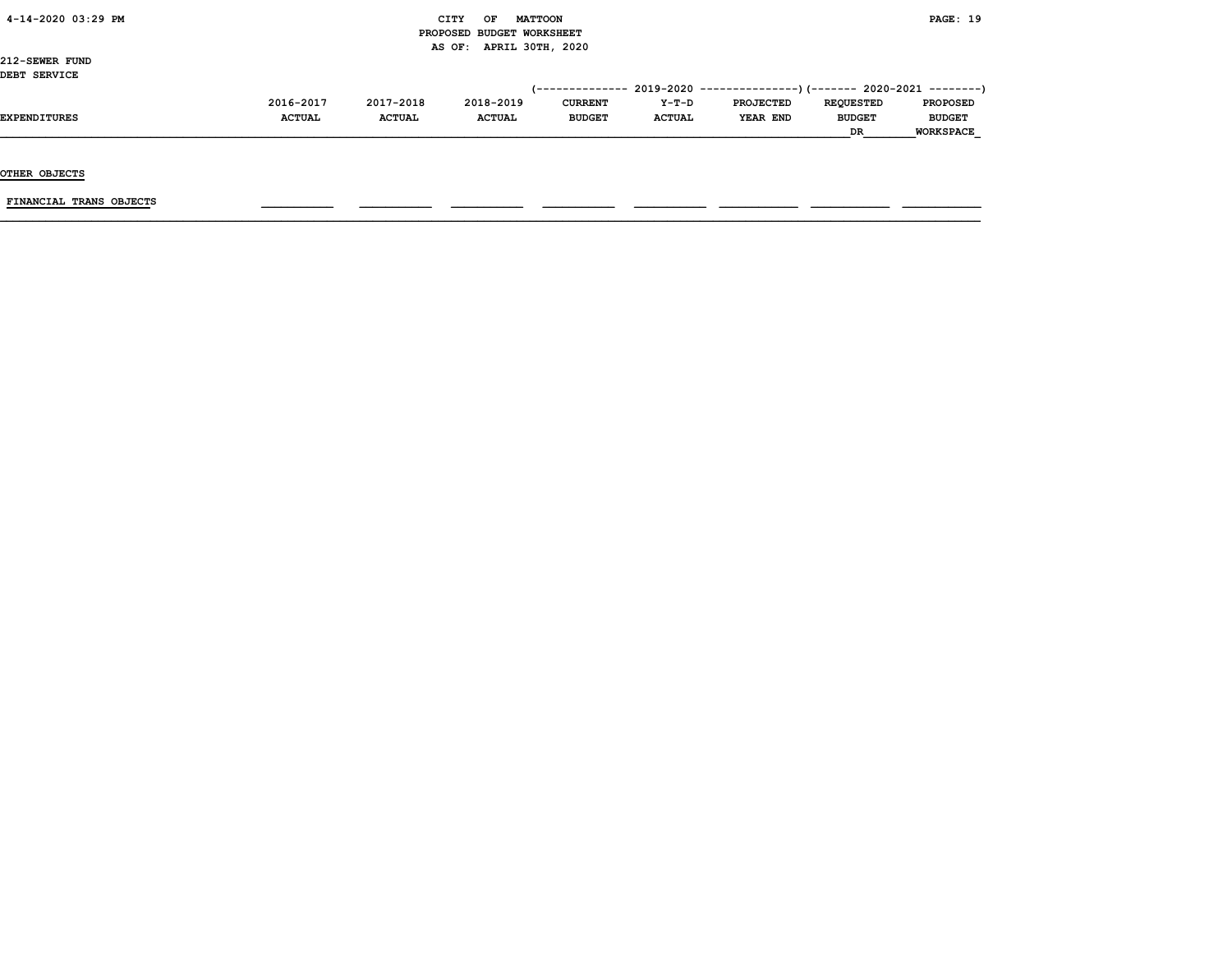|  |  |  | 4-14-2020 03:29 PM |  |
|--|--|--|--------------------|--|
|--|--|--|--------------------|--|

### $\begin{array}{ccc} \text{CITY} & \text{OF} & \text{MATTCON} \end{array}$  PROPOSED BUDGET WORKSHEET AS OF: APRIL 30TH, 2020

212-SEWER FUND DEBT SERVICE

| DEBI SERVICE |               |               |               |                |               |                                                                          |                  |                  |
|--------------|---------------|---------------|---------------|----------------|---------------|--------------------------------------------------------------------------|------------------|------------------|
|              |               |               |               |                |               | (-------------- 2019-2020 ----------------) (------- 2020-2021 --------) |                  |                  |
|              | 2016-2017     | 2017-2018     | 2018-2019     | <b>CURRENT</b> | $Y-T-D$       | <b>PROJECTED</b>                                                         | <b>REOUESTED</b> | <b>PROPOSED</b>  |
| EXPENDITURES | <b>ACTUAL</b> | <b>ACTUAL</b> | <b>ACTUAL</b> | <b>BUDGET</b>  | <b>ACTUAL</b> | YEAR END                                                                 | <b>BUDGET</b>    | <b>BUDGET</b>    |
|              |               |               |               |                |               |                                                                          | DR               | <b>WORKSPACE</b> |

OTHER OBJECTS

FINANCIAL TRANS OBJECTS \_\_\_\_\_\_\_\_\_\_\_ \_\_\_\_\_\_\_\_\_\_\_ \_\_\_\_\_\_\_\_\_\_\_ \_\_\_\_\_\_\_\_\_\_\_ \_\_\_\_\_\_\_\_\_\_\_ \_\_\_\_\_\_\_\_\_\_\_\_ \_\_\_\_\_\_\_\_\_\_\_\_ \_\_\_\_\_\_\_\_\_\_\_\_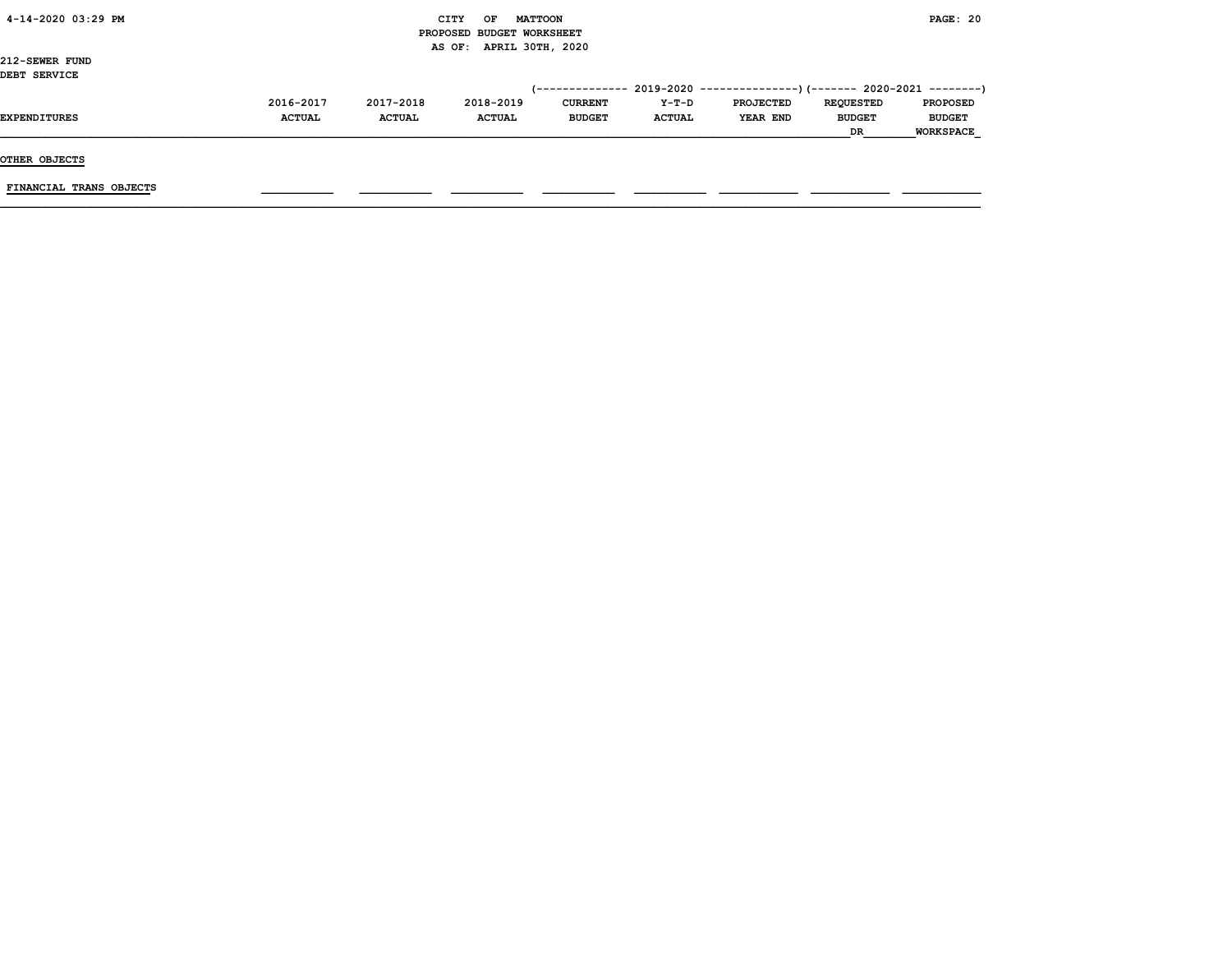| 4-14-2020 03:29 PM |  |
|--------------------|--|
|                    |  |

### CITY OF MATTOON **PAGE: 20**  PROPOSED BUDGET WORKSHEET AS OF: APRIL 30TH, 2020

212-SEWER FUND DEBT SERVICE

| DEBI SERVICE |               |               |               |                |               |                                                                             |                  |                  |
|--------------|---------------|---------------|---------------|----------------|---------------|-----------------------------------------------------------------------------|------------------|------------------|
|              |               |               |               |                |               | $(-$ ------------- 2019-2020 ----------------) (------- 2020-2021 --------) |                  |                  |
|              | 2016-2017     | 2017-2018     | 2018-2019     | <b>CURRENT</b> | $Y-T-D$       | <b>PROJECTED</b>                                                            | <b>REOUESTED</b> | <b>PROPOSED</b>  |
| EXPENDITURES | <b>ACTUAL</b> | <b>ACTUAL</b> | <b>ACTUAL</b> | <b>BUDGET</b>  | <b>ACTUAL</b> | YEAR END                                                                    | <b>BUDGET</b>    | <b>BUDGET</b>    |
|              |               |               |               |                |               |                                                                             | <b>DR</b>        | <b>WORKSPACE</b> |
|              |               |               |               |                |               |                                                                             |                  |                  |

OTHER OBJECTS

FINANCIAL TRANS OBJECTS \_\_\_\_\_\_\_\_\_\_\_ \_\_\_\_\_\_\_\_\_\_\_ \_\_\_\_\_\_\_\_\_\_\_ \_\_\_\_\_\_\_\_\_\_\_ \_\_\_\_\_\_\_\_\_\_\_ \_\_\_\_\_\_\_\_\_\_\_\_ \_\_\_\_\_\_\_\_\_\_\_\_ \_\_\_\_\_\_\_\_\_\_\_\_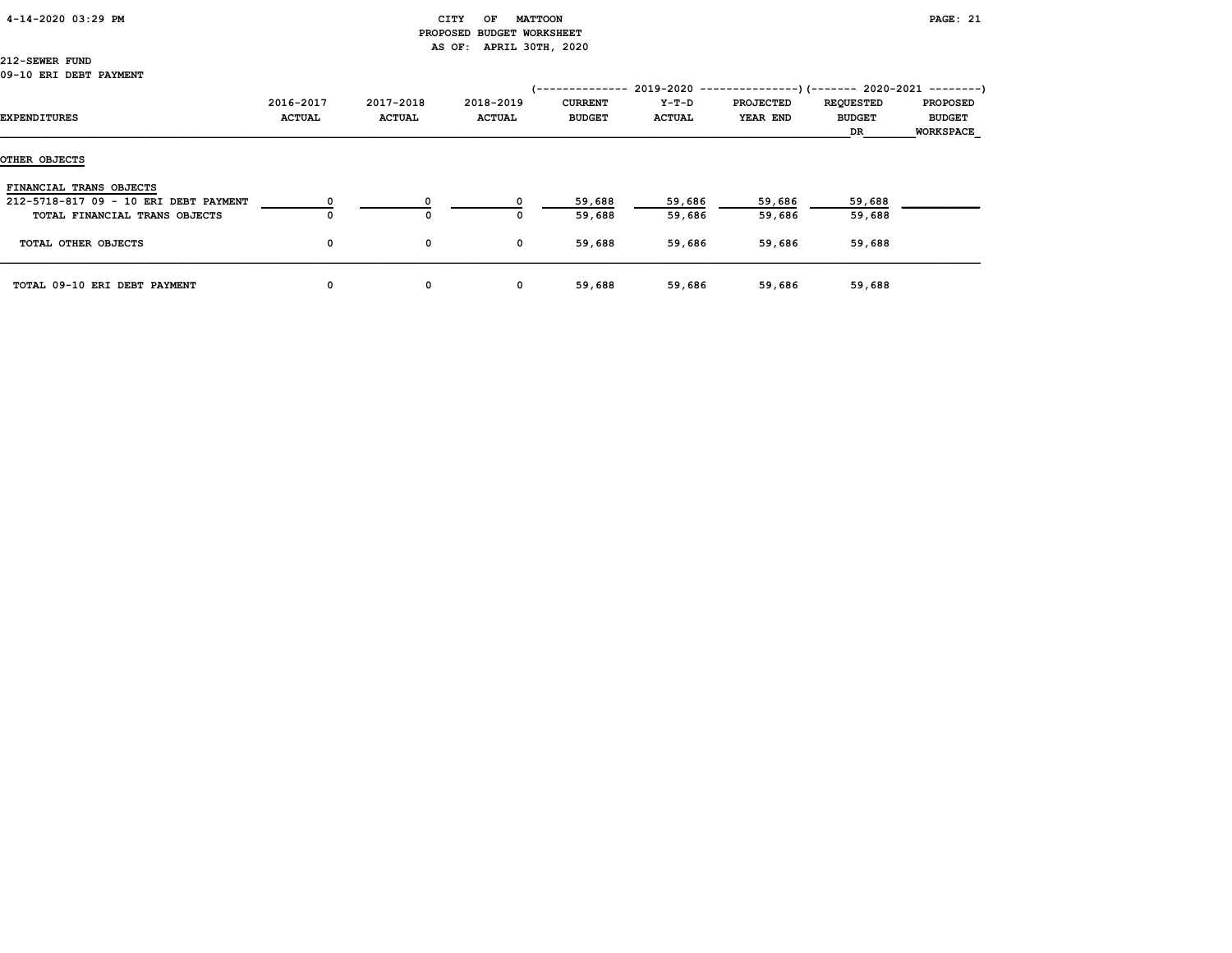### 4-14-2020 03:29 PM CITY OF MATTOON PAGE: 21 PROPOSED BUDGET WORKSHEET AS OF: APRIL 30TH, 2020

# 212-SEWER FUND

| EXPENDITURES                          | 2016-2017<br><b>ACTUAL</b> | 2017-2018<br><b>ACTUAL</b> | 2018-2019<br><b>ACTUAL</b> | /--------------<br><b>CURRENT</b><br><b>BUDGET</b> | 2019-2020<br>Y-T-D<br><b>ACTUAL</b> | PROJECTED<br>YEAR END | <b>REQUESTED</b><br><b>BUDGET</b><br>DR | --)(------- 2020-2021 --------)<br><b>PROPOSED</b><br><b>BUDGET</b><br><b>WORKSPACE</b> |
|---------------------------------------|----------------------------|----------------------------|----------------------------|----------------------------------------------------|-------------------------------------|-----------------------|-----------------------------------------|-----------------------------------------------------------------------------------------|
| OTHER OBJECTS                         |                            |                            |                            |                                                    |                                     |                       |                                         |                                                                                         |
| FINANCIAL TRANS OBJECTS               |                            |                            |                            |                                                    |                                     |                       |                                         |                                                                                         |
| 212-5718-817 09 - 10 ERI DEBT PAYMENT |                            |                            |                            | 59,688                                             | 59,686                              | 59,686                | 59,688                                  |                                                                                         |
| TOTAL FINANCIAL TRANS OBJECTS         |                            | $\Omega$                   |                            | 59,688                                             | 59,686                              | 59,686                | 59,688                                  |                                                                                         |
| TOTAL OTHER OBJECTS                   | 0                          | 0                          | $\mathbf{o}$               | 59,688                                             | 59,686                              | 59,686                | 59,688                                  |                                                                                         |
| TOTAL 09-10 ERI DEBT PAYMENT          | 0                          | 0                          | 0                          | 59,688                                             | 59,686                              | 59,686                | 59,688                                  |                                                                                         |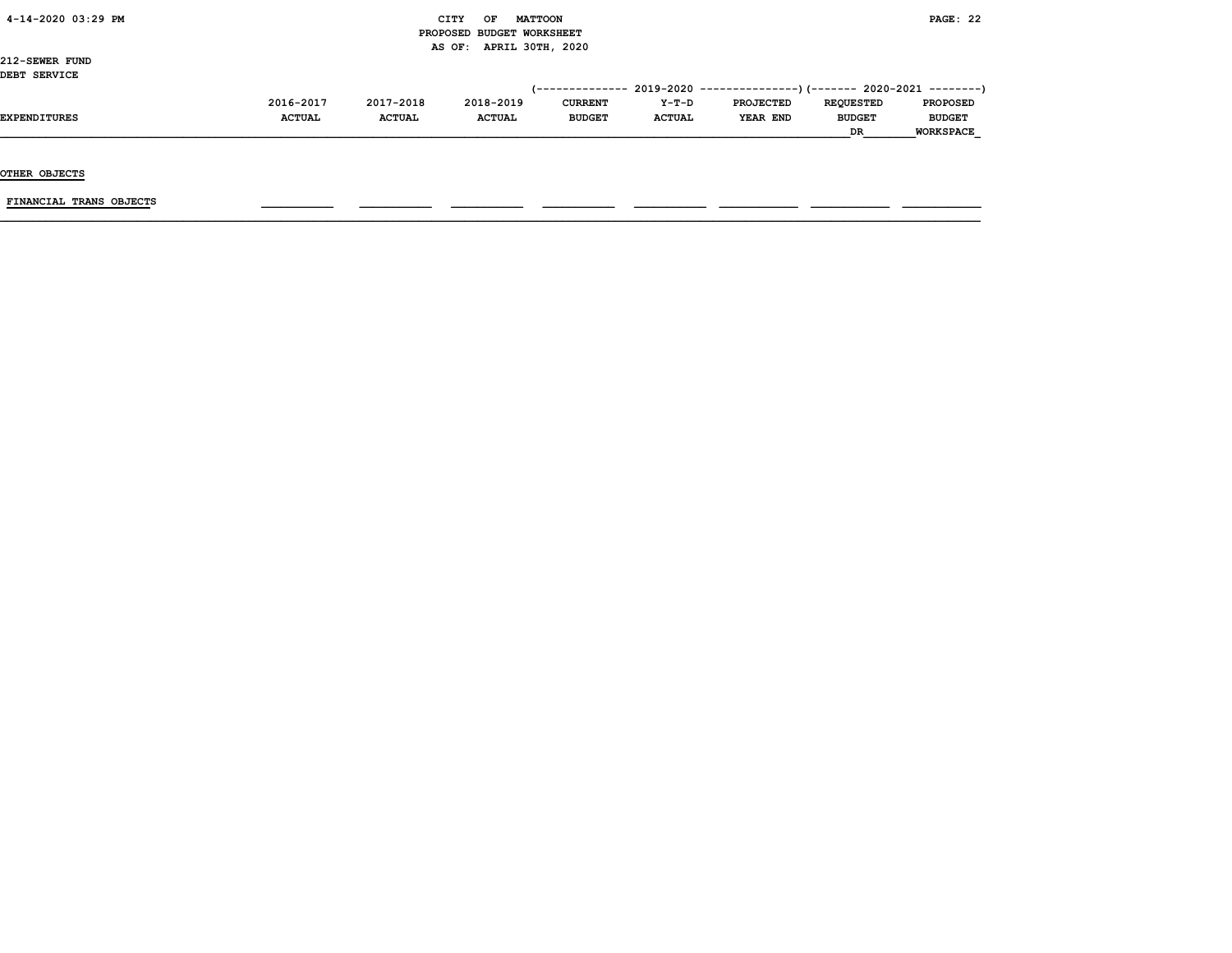|  |  |  | 4-14-2020 03:29 PM |  |
|--|--|--|--------------------|--|
|--|--|--|--------------------|--|

### $\begin{array}{ccc} \text{CITY} & \text{OF} & \text{MATTCON} \end{array}$  PROPOSED BUDGET WORKSHEET AS OF: APRIL 30TH, 2020

212-SEWER FUND DEBT SERVICE

| 2016-2017     | 2017-2018     | 2018-2019     | <b>CURRENT</b> | $Y-T-D$       | <b>PROJECTED</b> | <b>REOUESTED</b> | <b>PROPOSED</b>                                                          |
|---------------|---------------|---------------|----------------|---------------|------------------|------------------|--------------------------------------------------------------------------|
| <b>ACTUAL</b> | <b>ACTUAL</b> | <b>ACTUAL</b> | <b>BUDGET</b>  | <b>ACTUAL</b> | YEAR END         | <b>BUDGET</b>    | <b>BUDGET</b>                                                            |
|               |               |               |                |               |                  | DR               | <b>WORKSPACE</b>                                                         |
|               |               |               |                |               |                  |                  | (-------------- 2019-2020 ----------------) (------- 2020-2021 --------) |

OTHER OBJECTS

FINANCIAL TRANS OBJECTS \_\_\_\_\_\_\_\_\_\_\_ \_\_\_\_\_\_\_\_\_\_\_ \_\_\_\_\_\_\_\_\_\_\_ \_\_\_\_\_\_\_\_\_\_\_ \_\_\_\_\_\_\_\_\_\_\_ \_\_\_\_\_\_\_\_\_\_\_\_ \_\_\_\_\_\_\_\_\_\_\_\_ \_\_\_\_\_\_\_\_\_\_\_\_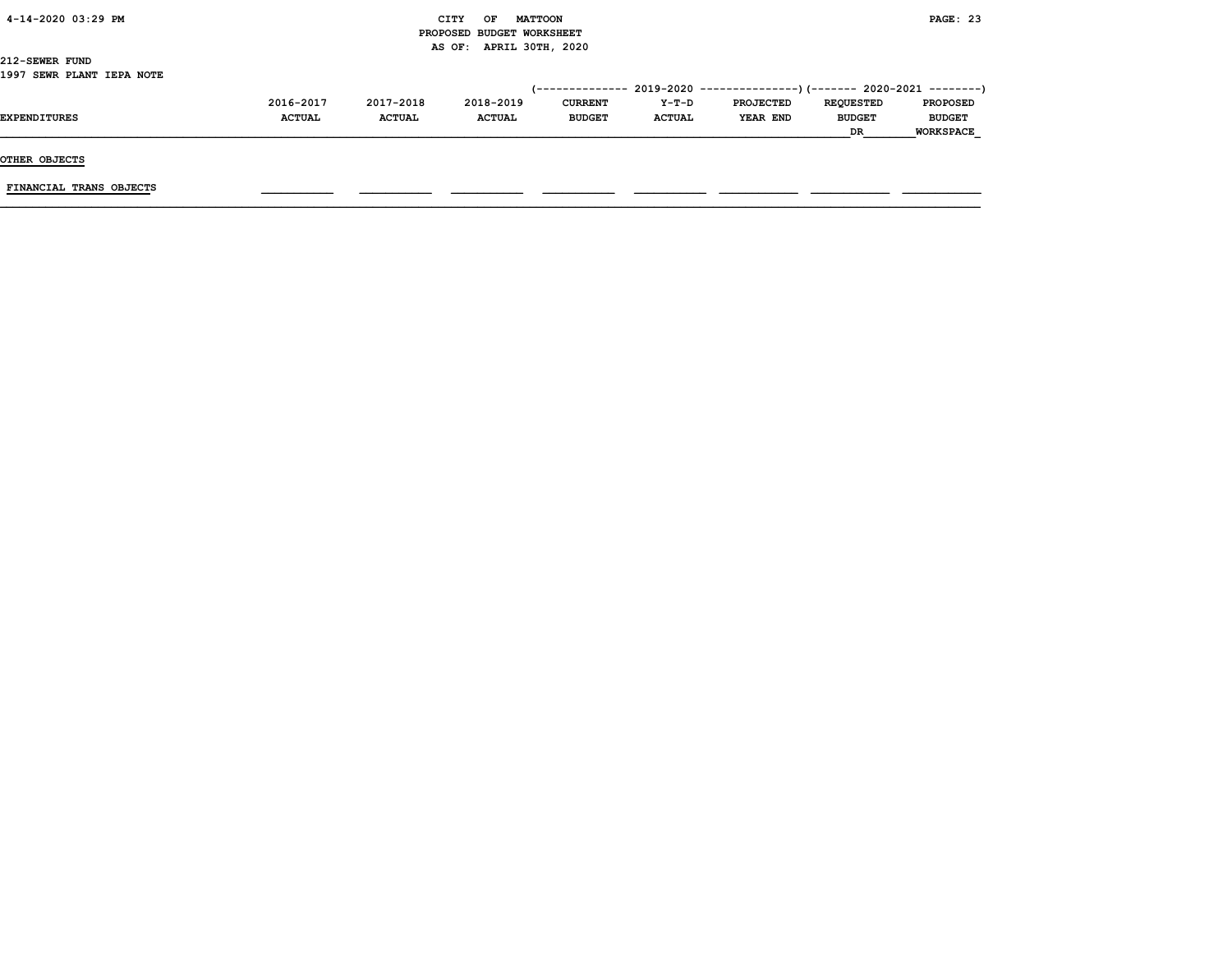| 4-14-2020 03:29 PM |  |
|--------------------|--|
|                    |  |

### CITY OF MATTOON **PAGE: 23**  PROPOSED BUDGET WORKSHEET AS OF: APRIL 30TH, 2020

212-SEWER FUND 1997 SEWR PLANT IEPA NOTE

|                     |               |               |               |                |               | $(-$ ------------- 2019-2020 ----------------) (------- 2020-2021 --------) |                  |                  |
|---------------------|---------------|---------------|---------------|----------------|---------------|-----------------------------------------------------------------------------|------------------|------------------|
|                     | 2016-2017     | 2017-2018     | 2018-2019     | <b>CURRENT</b> | $Y-T-D$       | <b>PROJECTED</b>                                                            | <b>REOUESTED</b> | <b>PROPOSED</b>  |
| <b>EXPENDITURES</b> | <b>ACTUAL</b> | <b>ACTUAL</b> | <b>ACTUAL</b> | <b>BUDGET</b>  | <b>ACTUAL</b> | YEAR END                                                                    | <b>BUDGET</b>    | <b>BUDGET</b>    |
|                     |               |               |               |                |               |                                                                             | DR               | <b>WORKSPACE</b> |

OTHER OBJECTS

FINANCIAL TRANS OBJECTS \_\_\_\_\_\_\_\_\_\_\_ \_\_\_\_\_\_\_\_\_\_\_ \_\_\_\_\_\_\_\_\_\_\_ \_\_\_\_\_\_\_\_\_\_\_ \_\_\_\_\_\_\_\_\_\_\_ \_\_\_\_\_\_\_\_\_\_\_\_ \_\_\_\_\_\_\_\_\_\_\_\_ \_\_\_\_\_\_\_\_\_\_\_\_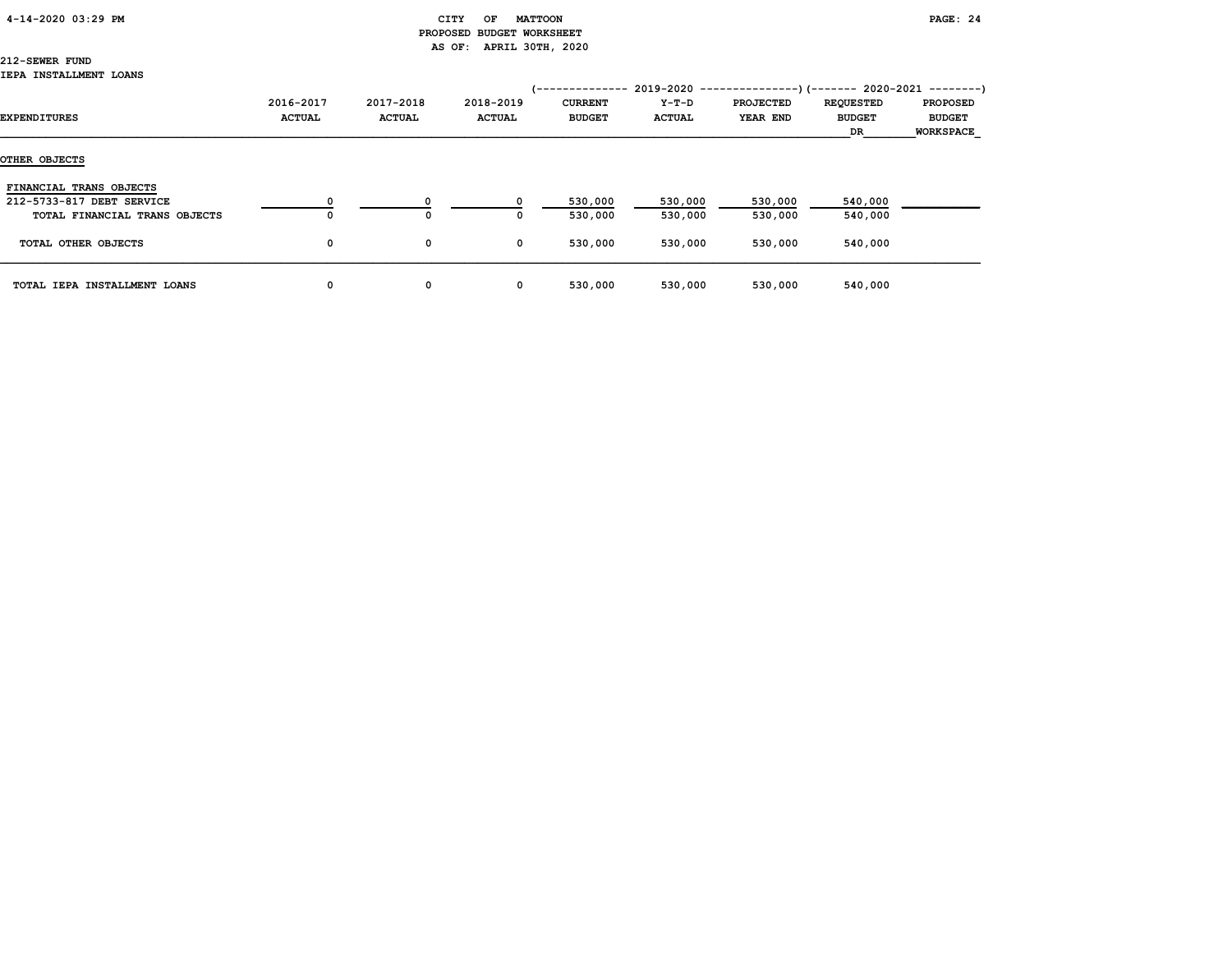### 4-14-2020 03:29 PM CITY OF MATTOON PAGE: 24

# PROPOSED BUDGET WORKSHEET AS OF: APRIL 30TH, 2020

212-SEWER FUND

### IEPA INSTALLMENT LOANS

| EXPENDITURES                                                                          | 2016-2017<br><b>ACTUAL</b> | 2017-2018<br><b>ACTUAL</b> | 2018-2019<br><b>ACTUAL</b> | '--------------<br><b>CURRENT</b><br><b>BUDGET</b> | 2019-2020<br>Y-T-D<br><b>ACTUAL</b> | <b>PROJECTED</b><br><b>YEAR END</b> | $---------(---)(---2020-2021---)$<br><b>REQUESTED</b><br><b>BUDGET</b><br>DR | <b>PROPOSED</b><br><b>BUDGET</b><br><b>WORKSPACE</b> |
|---------------------------------------------------------------------------------------|----------------------------|----------------------------|----------------------------|----------------------------------------------------|-------------------------------------|-------------------------------------|------------------------------------------------------------------------------|------------------------------------------------------|
| OTHER OBJECTS                                                                         |                            |                            |                            |                                                    |                                     |                                     |                                                                              |                                                      |
| FINANCIAL TRANS OBJECTS<br>212-5733-817 DEBT SERVICE<br>TOTAL FINANCIAL TRANS OBJECTS | $\Omega$                   | 0                          |                            | 530,000<br>530,000                                 | 530,000<br>530,000                  | 530,000<br>530,000                  | 540,000<br>540,000                                                           |                                                      |
| TOTAL OTHER OBJECTS                                                                   | 0                          | 0                          | $\mathbf 0$                | 530,000                                            | 530,000                             | 530,000                             | 540,000                                                                      |                                                      |
| TOTAL IEPA INSTALLMENT LOANS                                                          | 0                          | 0                          | $\mathbf{o}$               | 530,000                                            | 530,000                             | 530,000                             | 540,000                                                                      |                                                      |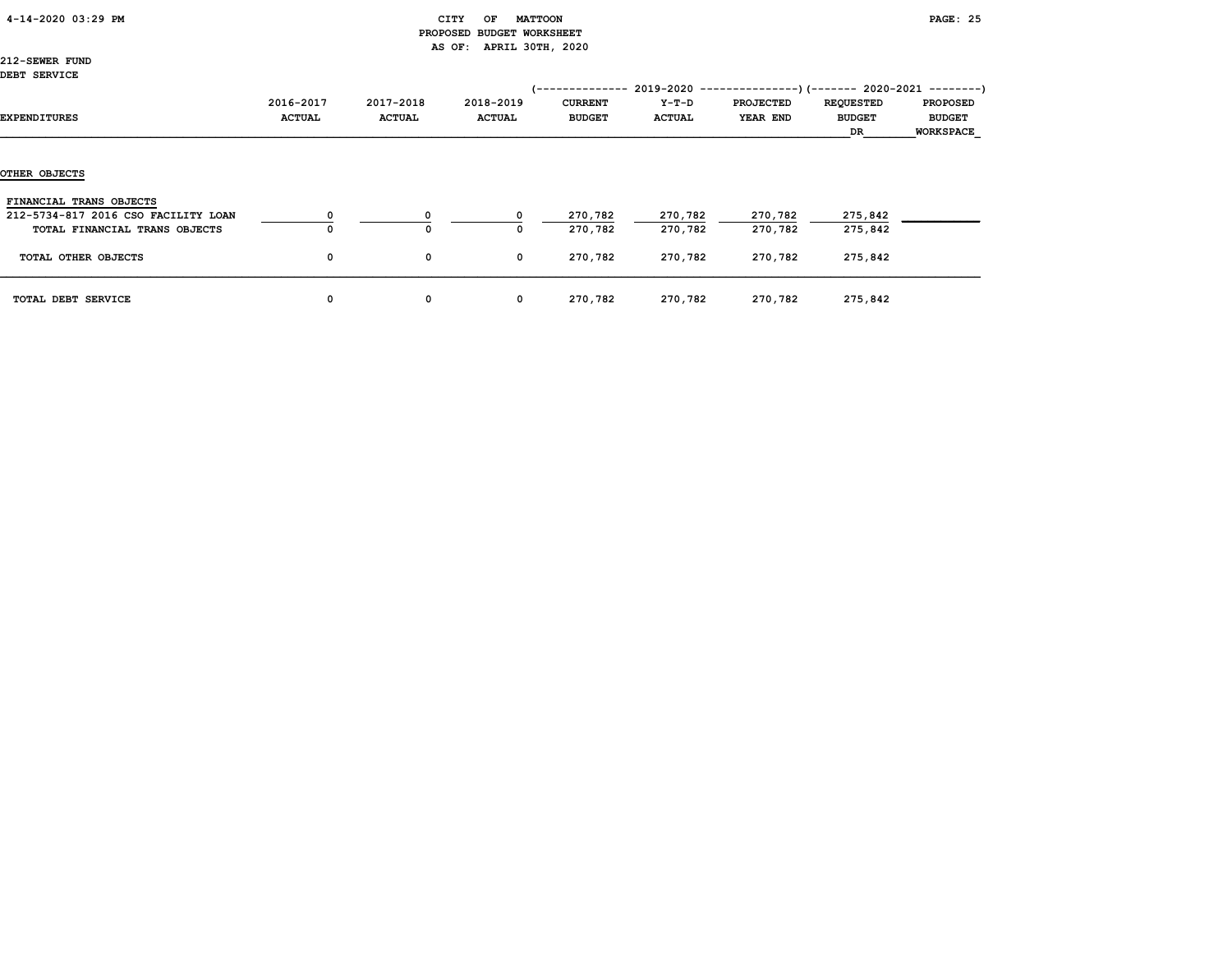| 4-14-2020 03:29 PM |
|--------------------|
|--------------------|

### CITY OF MATTOON **PAGE: 25**  PROPOSED BUDGET WORKSHEET AS OF: APRIL 30TH, 2020

212-SEWER FUND DEBT SERVICE

| פטבעמפט בכפט                                                         |                            |                            |                            | /--------------                 |                          | $2019-2020$ ----------------) (------- 2020-2021 ---------) |                                         |                                                      |
|----------------------------------------------------------------------|----------------------------|----------------------------|----------------------------|---------------------------------|--------------------------|-------------------------------------------------------------|-----------------------------------------|------------------------------------------------------|
| EXPENDITURES                                                         | 2016-2017<br><b>ACTUAL</b> | 2017-2018<br><b>ACTUAL</b> | 2018-2019<br><b>ACTUAL</b> | <b>CURRENT</b><br><b>BUDGET</b> | $Y-T-D$<br><b>ACTUAL</b> | <b>PROJECTED</b><br>YEAR END                                | <b>REQUESTED</b><br><b>BUDGET</b><br>DR | <b>PROPOSED</b><br><b>BUDGET</b><br><b>WORKSPACE</b> |
| <b>OTHER OBJECTS</b>                                                 |                            |                            |                            |                                 |                          |                                                             |                                         |                                                      |
| FINANCIAL TRANS OBJECTS                                              |                            |                            |                            |                                 |                          |                                                             |                                         |                                                      |
| 212-5734-817 2016 CSO FACILITY LOAN<br>TOTAL FINANCIAL TRANS OBJECTS |                            | $^{\circ}$                 | $\Omega$<br>0              | 270,782<br>270,782              | 270,782<br>270,782       | 270,782<br>270,782                                          | 275,842<br>275,842                      |                                                      |
| TOTAL OTHER OBJECTS                                                  | 0                          | 0                          | $\mathbf{o}$               | 270,782                         | 270,782                  | 270,782                                                     | 275,842                                 |                                                      |
| TOTAL DEBT SERVICE                                                   | 0                          | 0                          | $\mathbf{o}$               | 270,782                         | 270,782                  | 270,782                                                     | 275,842                                 |                                                      |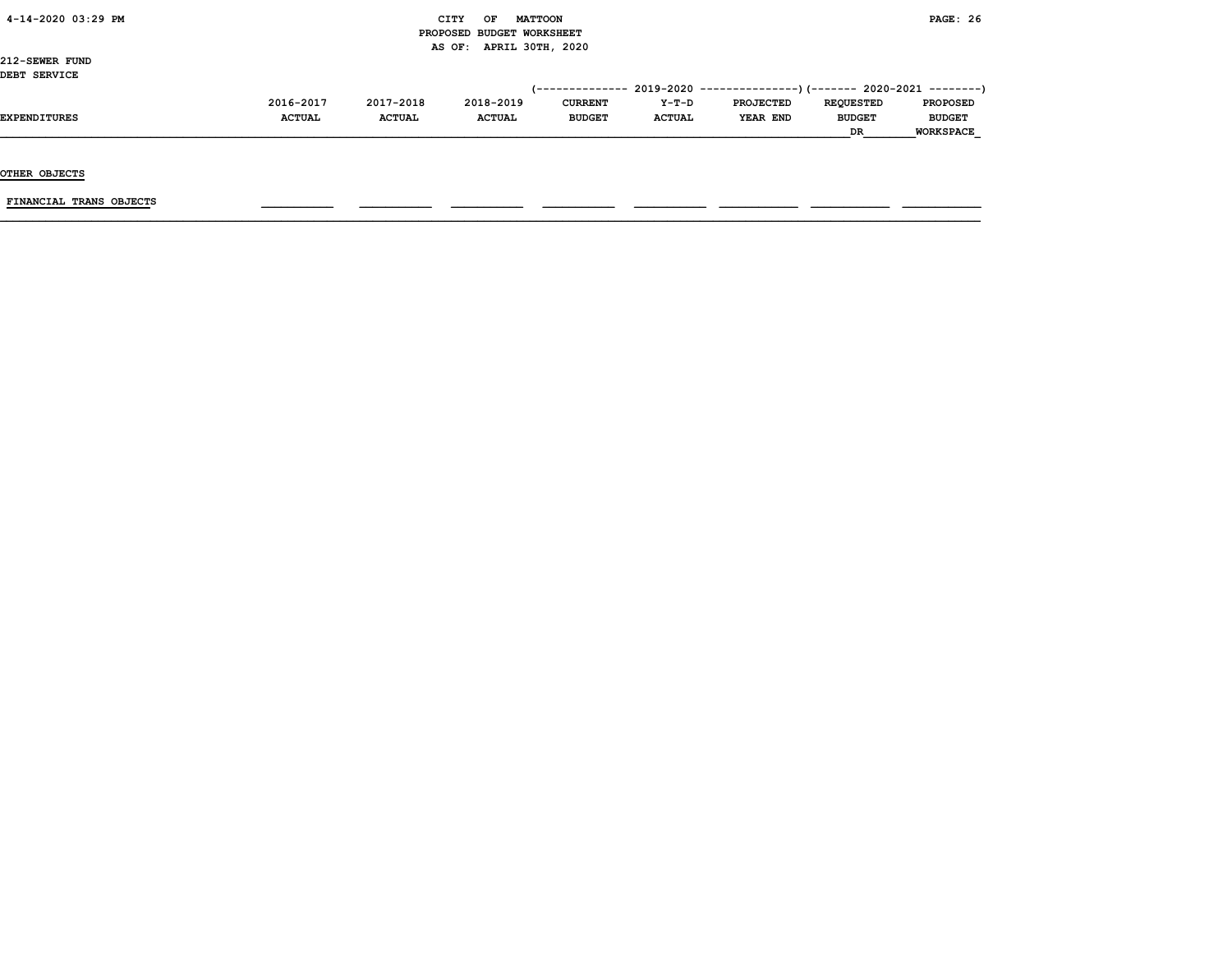|  |  |  | 4-14-2020 03:29 PM |  |
|--|--|--|--------------------|--|
|--|--|--|--------------------|--|

### $\begin{array}{ccc} \text{CITY} & \text{OF} & \text{MATTCON} \end{array}$  PROPOSED BUDGET WORKSHEET AS OF: APRIL 30TH, 2020

212-SEWER FUND DEBT SERVICE

| DEBI SERVICE |               |               |               |                |               |                                                                              |                  |                  |
|--------------|---------------|---------------|---------------|----------------|---------------|------------------------------------------------------------------------------|------------------|------------------|
|              |               |               |               |                |               | $(-$ ------------- 2019-2020 ----------------) (------- 2020-2021 ---------) |                  |                  |
|              | 2016-2017     | 2017-2018     | 2018-2019     | <b>CURRENT</b> | $Y-T-D$       | <b>PROJECTED</b>                                                             | <b>REOUESTED</b> | <b>PROPOSED</b>  |
| EXPENDITURES | <b>ACTUAL</b> | <b>ACTUAL</b> | <b>ACTUAL</b> | <b>BUDGET</b>  | <b>ACTUAL</b> | YEAR END                                                                     | <b>BUDGET</b>    | <b>BUDGET</b>    |
|              |               |               |               |                |               |                                                                              | <b>DR</b>        | <b>WORKSPACE</b> |

OTHER OBJECTS

 $FINANCIAL$  TRANS OBJECTS  $\qquad \qquad \qquad \qquad$   $\qquad \qquad$   $\qquad \qquad$   $\qquad \qquad$   $\qquad$   $\qquad \qquad$   $\qquad \qquad$   $\qquad \qquad$   $\qquad$   $\qquad$   $\qquad$   $\qquad$   $\qquad$   $\qquad$   $\qquad$   $\qquad$   $\qquad$   $\qquad$   $\qquad$   $\qquad$   $\qquad$   $\qquad$   $\qquad$   $\qquad$   $\qquad$   $\qquad$   $\qquad$   $\qquad$   $\qquad$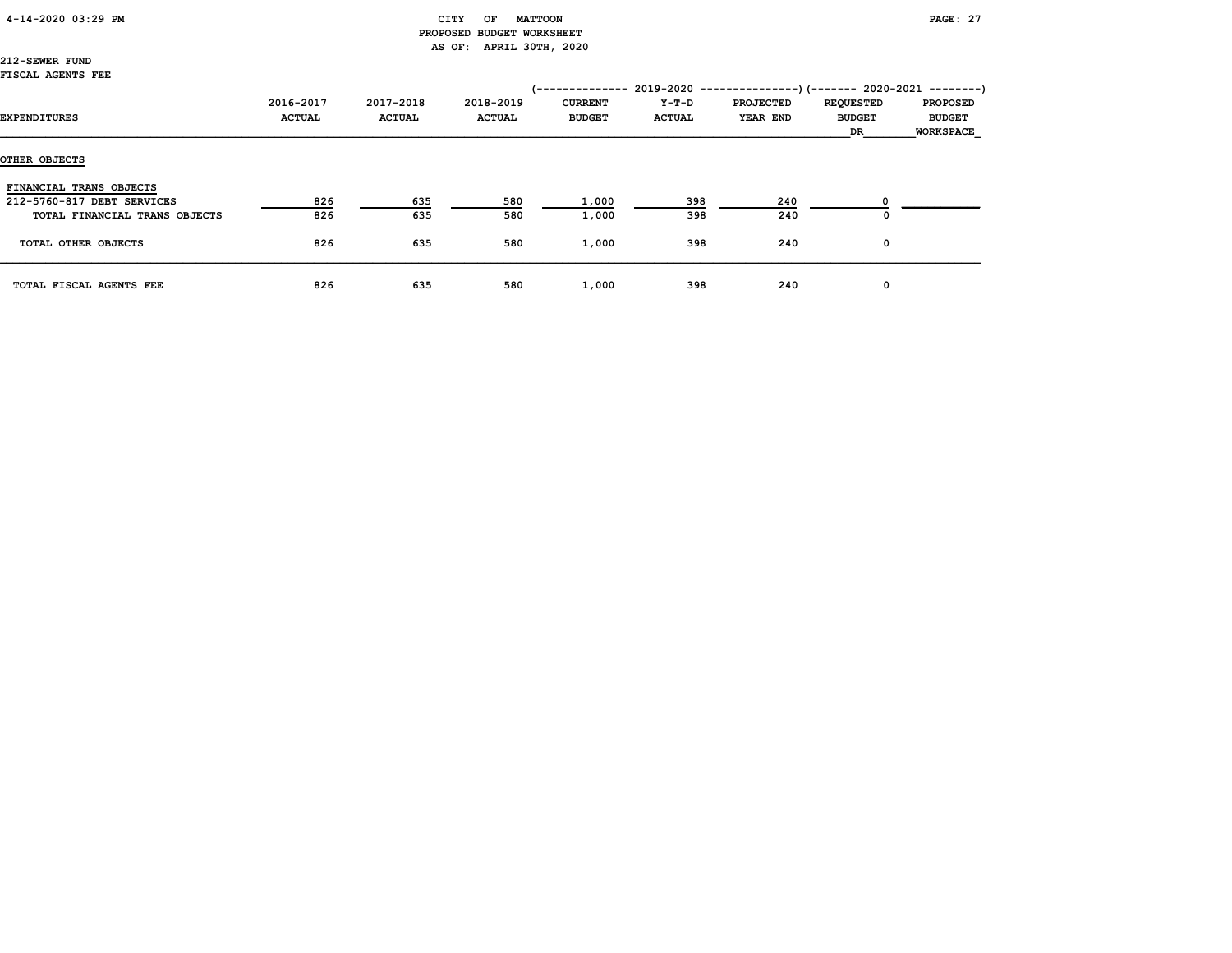# CITY OF MATTOON **PAGE: 27**  PROPOSED BUDGET WORKSHEET AS OF: APRIL 30TH, 2020

212-SEWER FUND FISCAL AGENTS FEE

| <b>EXPENDITURES</b>           | 2016-2017<br><b>ACTUAL</b> | 2017-2018<br><b>ACTUAL</b> | 2018-2019<br><b>ACTUAL</b> | <b>CURRENT</b><br><b>BUDGET</b> | Y-T-D<br><b>ACTUAL</b> | (-------------- 2019-2020 ----------------) (------- 2020-2021 --------)<br><b>PROJECTED</b><br>YEAR END | <b>REQUESTED</b><br><b>BUDGET</b><br>DR | <b>PROPOSED</b><br><b>BUDGET</b><br><b>WORKSPACE</b> |
|-------------------------------|----------------------------|----------------------------|----------------------------|---------------------------------|------------------------|----------------------------------------------------------------------------------------------------------|-----------------------------------------|------------------------------------------------------|
| OTHER OBJECTS                 |                            |                            |                            |                                 |                        |                                                                                                          |                                         |                                                      |
| FINANCIAL TRANS OBJECTS       |                            |                            |                            |                                 |                        |                                                                                                          |                                         |                                                      |
| 212-5760-817 DEBT SERVICES    | 826                        | 635                        | 580                        | 1,000                           | 398                    | 240                                                                                                      |                                         |                                                      |
| TOTAL FINANCIAL TRANS OBJECTS | 826                        | 635                        | 580                        | 1,000                           | 398                    | 240                                                                                                      | 0                                       |                                                      |
| TOTAL OTHER OBJECTS           | 826                        | 635                        | 580                        | 1,000                           | 398                    | 240                                                                                                      | 0                                       |                                                      |
| TOTAL FISCAL AGENTS FEE       | 826                        | 635                        | 580                        | 1,000                           | 398                    | 240                                                                                                      | 0                                       |                                                      |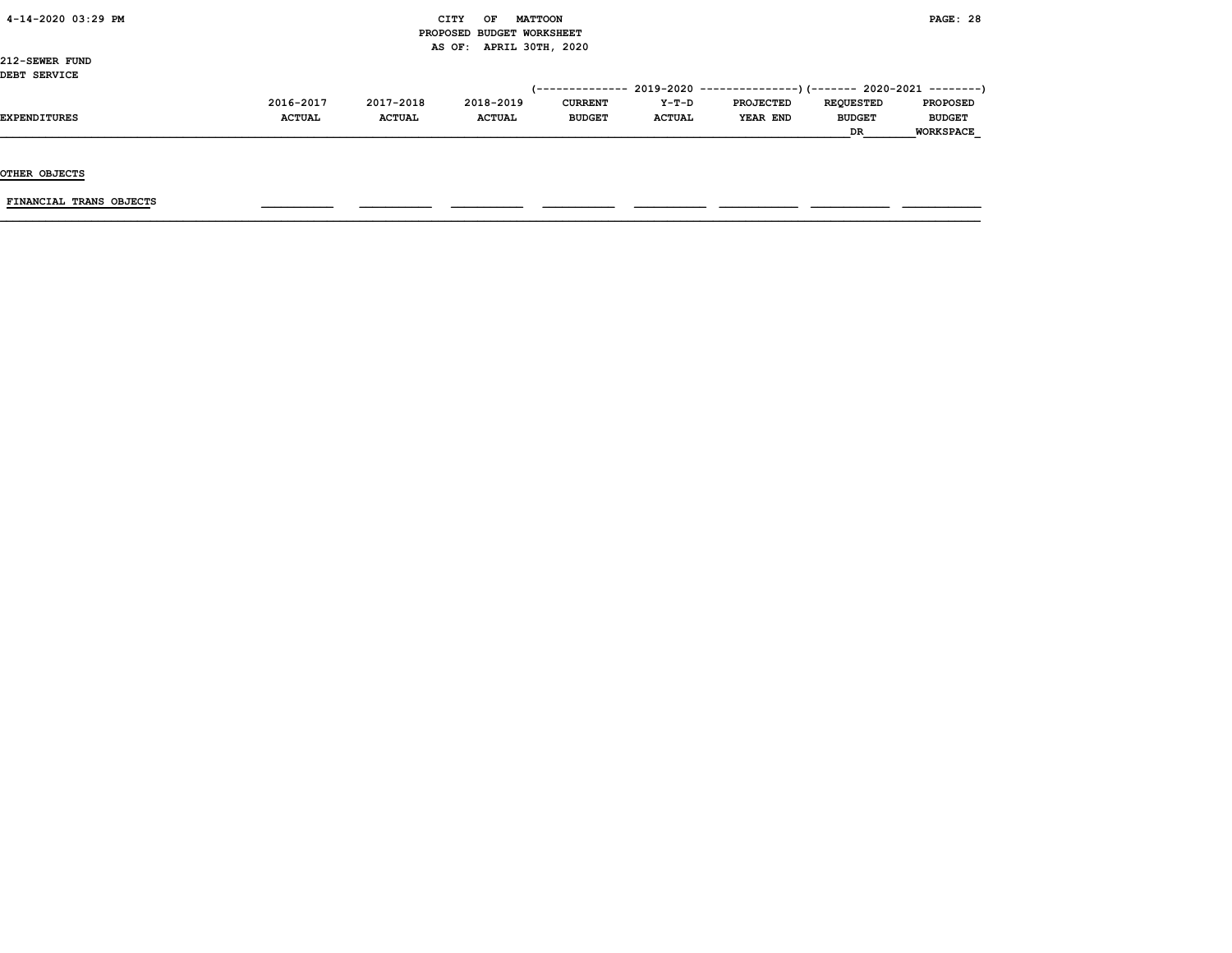|  |  |  | 4-14-2020 03:29 PM |  |
|--|--|--|--------------------|--|
|--|--|--|--------------------|--|

# $\begin{array}{ccc} \text{CITY} & \text{OF} & \text{MATTCON} \end{array}$  PROPOSED BUDGET WORKSHEET AS OF: APRIL 30TH, 2020

212-SEWER FUND DEBT SERVICE

| 2016-2017     | 2017-2018     | 2018-2019     | <b>CURRENT</b> | $Y-T-D$       | <b>PROJECTED</b> | <b>REOUESTED</b> | <b>PROPOSED</b>                                                             |
|---------------|---------------|---------------|----------------|---------------|------------------|------------------|-----------------------------------------------------------------------------|
| <b>ACTUAL</b> | <b>ACTUAL</b> | <b>ACTUAL</b> | <b>BUDGET</b>  | <b>ACTUAL</b> | YEAR END         | <b>BUDGET</b>    | <b>BUDGET</b>                                                               |
|               |               |               |                |               |                  | DR               | <b>WORKSPACE</b>                                                            |
|               |               |               |                |               |                  |                  | $(-$ ------------- 2019-2020 ----------------) (------- 2020-2021 --------) |

OTHER OBJECTS

FINANCIAL TRANS OBJECTS \_\_\_\_\_\_\_\_\_\_\_ \_\_\_\_\_\_\_\_\_\_\_ \_\_\_\_\_\_\_\_\_\_\_ \_\_\_\_\_\_\_\_\_\_\_ \_\_\_\_\_\_\_\_\_\_\_ \_\_\_\_\_\_\_\_\_\_\_\_ \_\_\_\_\_\_\_\_\_\_\_\_ \_\_\_\_\_\_\_\_\_\_\_\_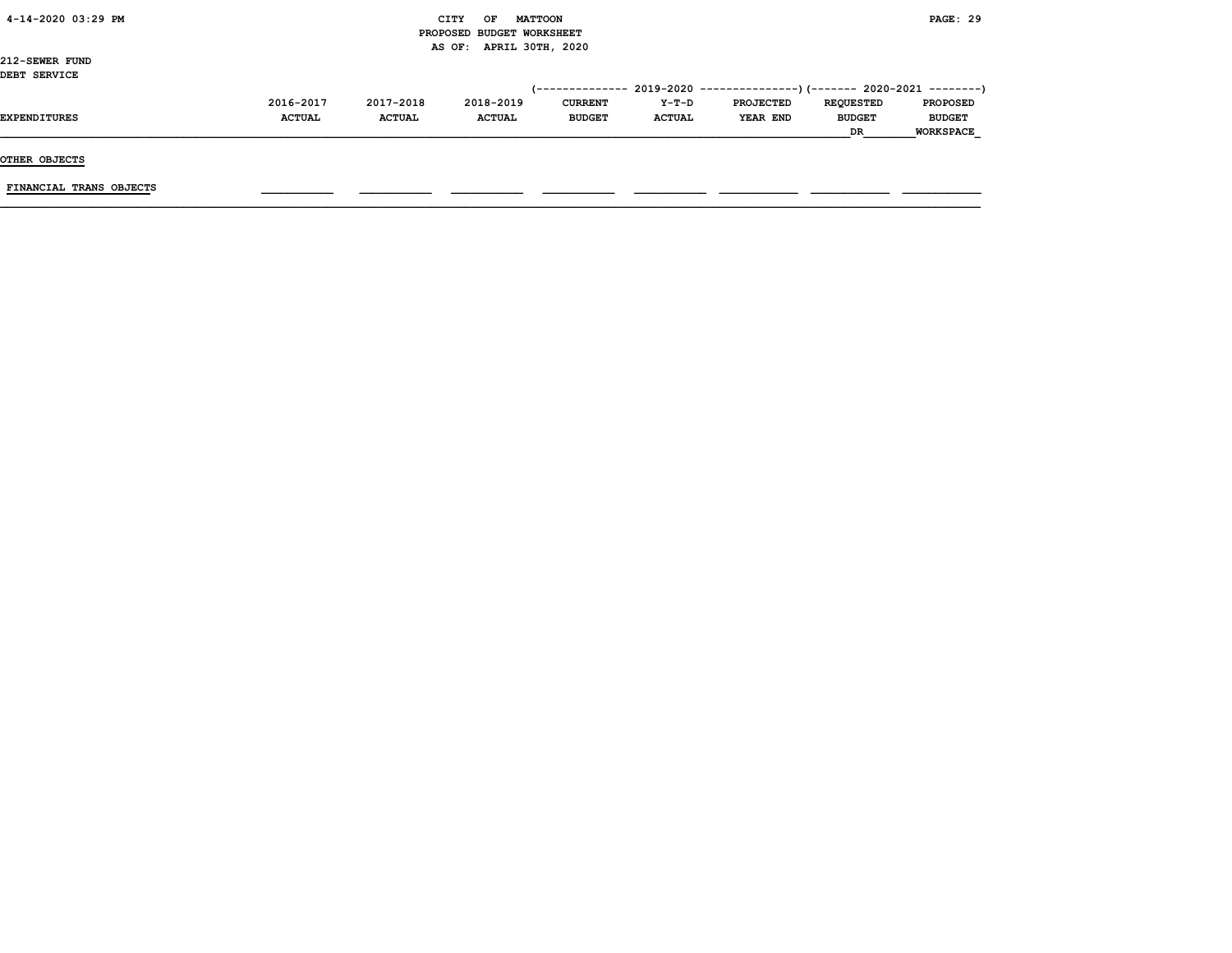| 4-14-2020 03:29 PM |  |
|--------------------|--|
|                    |  |

#### CITY OF MATTOON **PAGE: 29**  PROPOSED BUDGET WORKSHEET AS OF: APRIL 30TH, 2020

212-SEWER FUND DEBT SERVICE

OTHER OBJECTS

 $\texttt{FINANCIAL}$  trans objects  $\begin{array}{|l|} \texttt{FINANCIAL} \end{array}$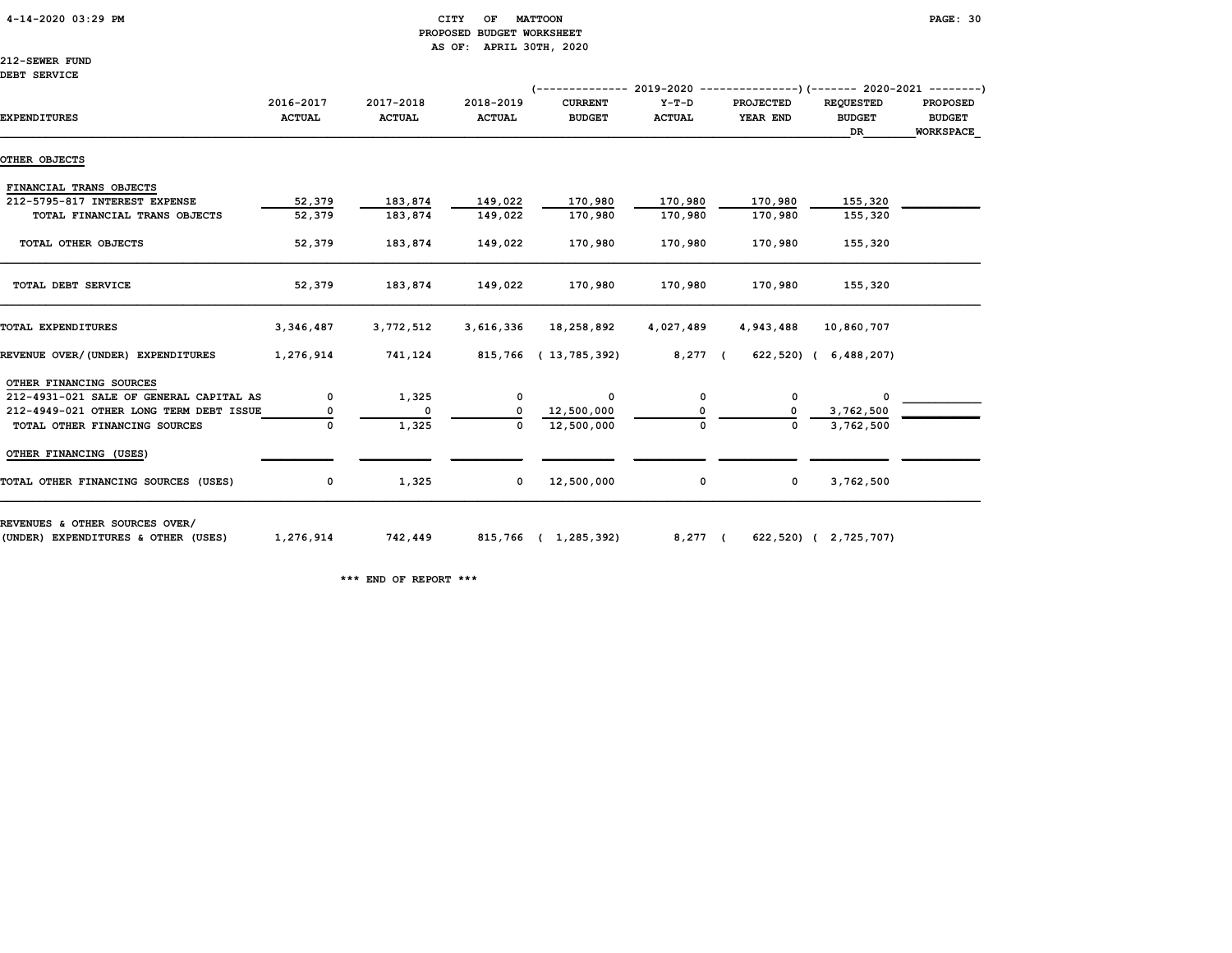# 4-14-2020 03:29 PM CITY OF MATTOON PAGE: 30 PROPOSED BUDGET WORKSHEET AS OF: APRIL 30TH, 2020

212-SEWER FUND DEBT SERVICE

|                                         |               |                   |               | $(-$ ------------- 2019-2020 ----------------) (------- 2020-2021 ---------) |               |                  |                       |                  |
|-----------------------------------------|---------------|-------------------|---------------|------------------------------------------------------------------------------|---------------|------------------|-----------------------|------------------|
|                                         | 2016-2017     | 2017-2018         | 2018-2019     | <b>CURRENT</b>                                                               | Y-T-D         | <b>PROJECTED</b> | <b>REQUESTED</b>      | <b>PROPOSED</b>  |
| <b>EXPENDITURES</b>                     | <b>ACTUAL</b> | <b>ACTUAL</b>     | <b>ACTUAL</b> | <b>BUDGET</b>                                                                | <b>ACTUAL</b> | YEAR END         | <b>BUDGET</b>         | <b>BUDGET</b>    |
|                                         |               |                   |               |                                                                              |               |                  | DR                    | <b>WORKSPACE</b> |
| OTHER OBJECTS                           |               |                   |               |                                                                              |               |                  |                       |                  |
| FINANCIAL TRANS OBJECTS                 |               |                   |               |                                                                              |               |                  |                       |                  |
| 212-5795-817 INTEREST EXPENSE           | 52,379        | 183,874           | 149,022       | 170,980                                                                      | 170,980       | 170,980          | 155,320               |                  |
| TOTAL FINANCIAL TRANS OBJECTS           | 52,379        | 183,874           | 149,022       | 170,980                                                                      | 170,980       | 170,980          | 155,320               |                  |
| TOTAL OTHER OBJECTS                     | 52,379        | 183,874           | 149,022       | 170,980                                                                      | 170,980       | 170,980          | 155,320               |                  |
| TOTAL DEBT SERVICE                      | 52,379        | 183,874           | 149,022       | 170,980                                                                      | 170,980       | 170,980          | 155,320               |                  |
| TOTAL EXPENDITURES                      | 3,346,487     | 3,772,512         | 3,616,336     | 18,258,892                                                                   | 4,027,489     | 4,943,488        | 10,860,707            |                  |
| REVENUE OVER/(UNDER) EXPENDITURES       | 1,276,914     | 741,124           |               | 815,766 (13,785,392)                                                         | 8,277 (       |                  | 622,520) ( 6,488,207) |                  |
| OTHER FINANCING SOURCES                 |               |                   |               |                                                                              |               |                  |                       |                  |
| 212-4931-021 SALE OF GENERAL CAPITAL AS | 0             | 1,325             | $\mathbf 0$   | $\Omega$                                                                     | 0             | 0                | $^{\circ}$            |                  |
| 212-4949-021 OTHER LONG TERM DEBT ISSUE | 0             | $\mathbf{o}$      | 0             | 12,500,000                                                                   | O             |                  | 3,762,500             |                  |
| TOTAL OTHER FINANCING SOURCES           |               | 1,325             | $\Omega$      | 12,500,000                                                                   | $\Omega$      | $\Omega$         | 3,762,500             |                  |
| OTHER FINANCING (USES)                  |               |                   |               |                                                                              |               |                  |                       |                  |
| TOTAL OTHER FINANCING SOURCES (USES)    | $\mathbf{o}$  | 1,325             | $\mathbf 0$   | 12,500,000                                                                   | 0             | $\mathbf 0$      | 3,762,500             |                  |
| REVENUES & OTHER SOURCES OVER/          |               |                   |               |                                                                              |               |                  |                       |                  |
| (UNDER) EXPENDITURES & OTHER (USES)     |               | 1,276,914 742,449 |               | 815,766 ( 1,285,392)                                                         | 8,277 (       |                  | 622,520) ( 2,725,707) |                  |

\*\*\* END OF REPORT \*\*\*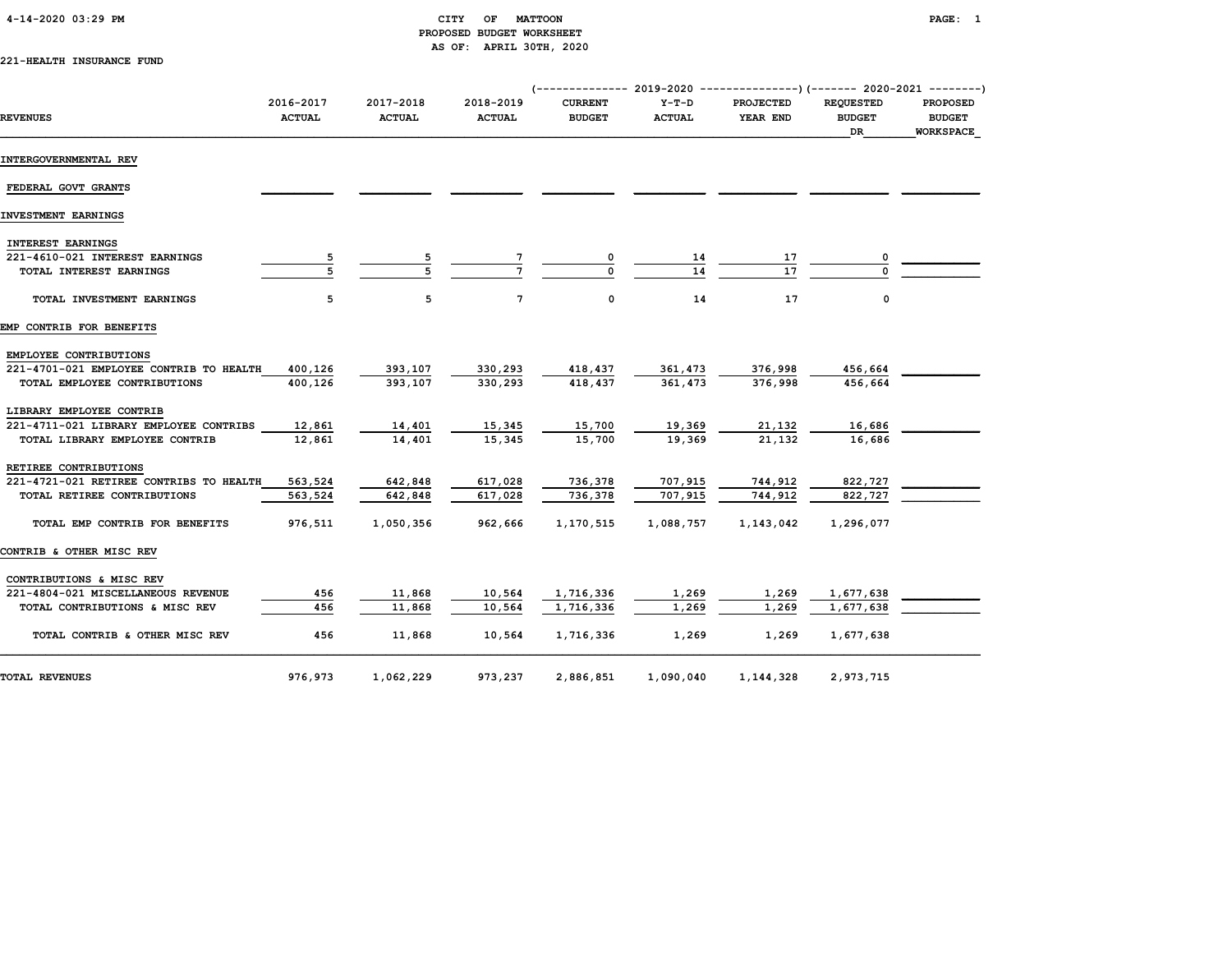# PROPOSED BUDGET WORKSHEET AS OF: APRIL 30TH, 2020

221-HEALTH INSURANCE FUND

|                                         |                            |                            |                            | $(-$ ------------- 2019-2020 ----------------) (------- 2020-2021 --------) |                          |                              |                                         |                                               |
|-----------------------------------------|----------------------------|----------------------------|----------------------------|-----------------------------------------------------------------------------|--------------------------|------------------------------|-----------------------------------------|-----------------------------------------------|
| <b>REVENUES</b>                         | 2016-2017<br><b>ACTUAL</b> | 2017-2018<br><b>ACTUAL</b> | 2018-2019<br><b>ACTUAL</b> | <b>CURRENT</b><br><b>BUDGET</b>                                             | $Y-T-D$<br><b>ACTUAL</b> | <b>PROJECTED</b><br>YEAR END | <b>REOUESTED</b><br><b>BUDGET</b><br>DR | <b>PROPOSED</b><br><b>BUDGET</b><br>WORKSPACE |
| INTERGOVERNMENTAL REV                   |                            |                            |                            |                                                                             |                          |                              |                                         |                                               |
| FEDERAL GOVT GRANTS                     |                            |                            |                            |                                                                             |                          |                              |                                         |                                               |
| INVESTMENT EARNINGS                     |                            |                            |                            |                                                                             |                          |                              |                                         |                                               |
| <b>INTEREST EARNINGS</b>                |                            |                            |                            |                                                                             |                          |                              |                                         |                                               |
| 221-4610-021 INTEREST EARNINGS          |                            |                            |                            |                                                                             | 14                       | 17                           |                                         |                                               |
| TOTAL INTEREST EARNINGS                 |                            |                            |                            | $\Omega$                                                                    | 14                       | 17                           |                                         |                                               |
| TOTAL INVESTMENT EARNINGS               | 5                          | 5                          | 7                          | 0                                                                           | 14                       | 17                           | 0                                       |                                               |
| EMP CONTRIB FOR BENEFITS                |                            |                            |                            |                                                                             |                          |                              |                                         |                                               |
| EMPLOYEE CONTRIBUTIONS                  |                            |                            |                            |                                                                             |                          |                              |                                         |                                               |
| 221-4701-021 EMPLOYEE CONTRIB TO HEALTH | 400,126                    | 393,107                    | 330,293                    | 418,437                                                                     | 361,473                  | 376,998                      | 456,664                                 |                                               |
| TOTAL EMPLOYEE CONTRIBUTIONS            | 400,126                    | 393,107                    | 330,293                    | 418,437                                                                     | 361,473                  | 376,998                      | 456,664                                 |                                               |
| LIBRARY EMPLOYEE CONTRIB                |                            |                            |                            |                                                                             |                          |                              |                                         |                                               |
| 221-4711-021 LIBRARY EMPLOYEE CONTRIBS  | 12,861                     | 14,401                     | 15,345                     | 15,700                                                                      | 19,369                   | 21,132                       | 16,686                                  |                                               |
| TOTAL LIBRARY EMPLOYEE CONTRIB          | 12,861                     | 14,401                     | 15,345                     | 15,700                                                                      | 19,369                   | 21,132                       | 16,686                                  |                                               |
| RETIREE CONTRIBUTIONS                   |                            |                            |                            |                                                                             |                          |                              |                                         |                                               |
| 221-4721-021 RETIREE CONTRIBS TO HEALTH | 563,524                    | 642,848                    | 617,028                    | 736,378                                                                     | 707,915                  | 744,912                      | 822,727                                 |                                               |
| TOTAL RETIREE CONTRIBUTIONS             | 563,524                    | 642,848                    | 617,028                    | 736,378                                                                     | 707,915                  | 744.912                      | 822,727                                 |                                               |
| TOTAL EMP CONTRIB FOR BENEFITS          | 976,511                    | 1,050,356                  | 962,666                    | 1,170,515                                                                   | 1,088,757                | 1,143,042                    | 1,296,077                               |                                               |
| CONTRIB & OTHER MISC REV                |                            |                            |                            |                                                                             |                          |                              |                                         |                                               |
| CONTRIBUTIONS & MISC REV                |                            |                            |                            |                                                                             |                          |                              |                                         |                                               |
| 221-4804-021 MISCELLANEOUS REVENUE      | 456                        | 11,868                     | 10,564                     | 1,716,336                                                                   | 1,269                    | 1,269                        | 1,677,638                               |                                               |
| TOTAL CONTRIBUTIONS & MISC REV          | 456                        | 11,868                     | 10,564                     | 1,716,336                                                                   | 1,269                    | 1,269                        | 1,677,638                               |                                               |
| TOTAL CONTRIB & OTHER MISC REV          | 456                        | 11,868                     | 10,564                     | 1,716,336                                                                   | 1,269                    | 1,269                        | 1,677,638                               |                                               |
| <b>TOTAL REVENUES</b>                   | 976,973                    | 1,062,229                  | 973,237                    | 2,886,851                                                                   | 1,090,040                | 1,144,328                    | 2,973,715                               |                                               |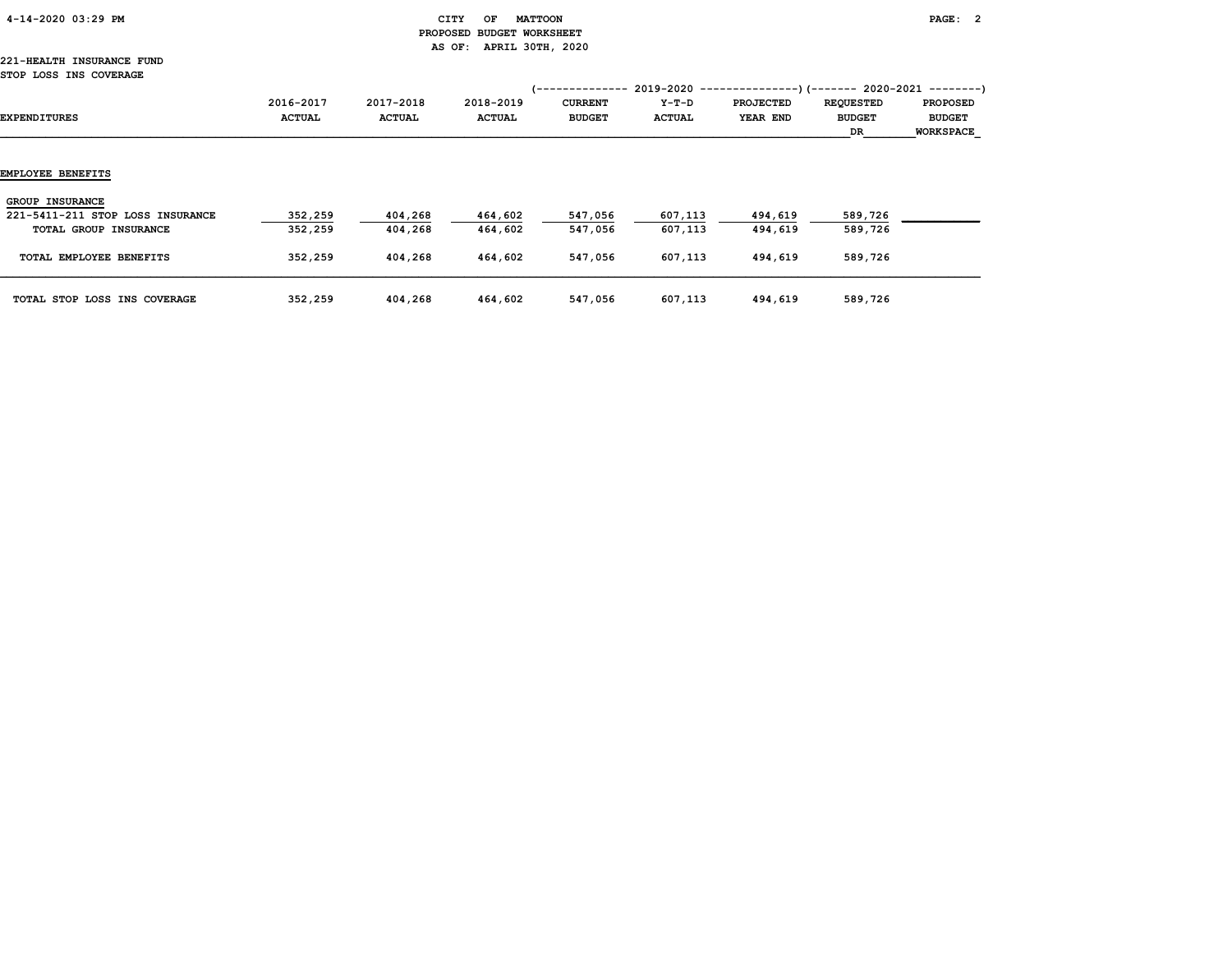| 4-14-2020 03:29 PM |  |
|--------------------|--|
|                    |  |

# $CITY$  OF MATTOON PAGE: 2 PROPOSED BUDGET WORKSHEET AS OF: APRIL 30TH, 2020

#### 221-HEALTH INSURANCE FUND STOP LOSS INS COVERAGE

| SIOP LOSS INS COVERAGE           |                            |                            |                            |                                                    |                        |                                                                                           |                                         |                                                      |
|----------------------------------|----------------------------|----------------------------|----------------------------|----------------------------------------------------|------------------------|-------------------------------------------------------------------------------------------|-----------------------------------------|------------------------------------------------------|
| EXPENDITURES                     | 2016-2017<br><b>ACTUAL</b> | 2017-2018<br><b>ACTUAL</b> | 2018-2019<br><b>ACTUAL</b> | '--------------<br><b>CURRENT</b><br><b>BUDGET</b> | Y-T-D<br><b>ACTUAL</b> | 2019-2020 ----------------)(-------- 2020-2021 ---------)<br><b>PROJECTED</b><br>YEAR END | <b>REQUESTED</b><br><b>BUDGET</b><br>DR | <b>PROPOSED</b><br><b>BUDGET</b><br><b>WORKSPACE</b> |
|                                  |                            |                            |                            |                                                    |                        |                                                                                           |                                         |                                                      |
| EMPLOYEE BENEFITS                |                            |                            |                            |                                                    |                        |                                                                                           |                                         |                                                      |
| <b>GROUP INSURANCE</b>           |                            |                            |                            |                                                    |                        |                                                                                           |                                         |                                                      |
| 221-5411-211 STOP LOSS INSURANCE | 352,259                    | 404,268                    | 464,602                    | 547,056                                            | 607,113                | 494,619                                                                                   | 589,726                                 |                                                      |
| TOTAL GROUP INSURANCE            | 352,259                    | 404,268                    | 464,602                    | 547,056                                            | 607,113                | 494,619                                                                                   | 589,726                                 |                                                      |
| TOTAL EMPLOYEE BENEFITS          | 352,259                    | 404,268                    | 464,602                    | 547,056                                            | 607,113                | 494,619                                                                                   | 589,726                                 |                                                      |
| TOTAL STOP LOSS INS COVERAGE     | 352,259                    | 404,268                    | 464,602                    | 547,056                                            | 607,113                | 494,619                                                                                   | 589,726                                 |                                                      |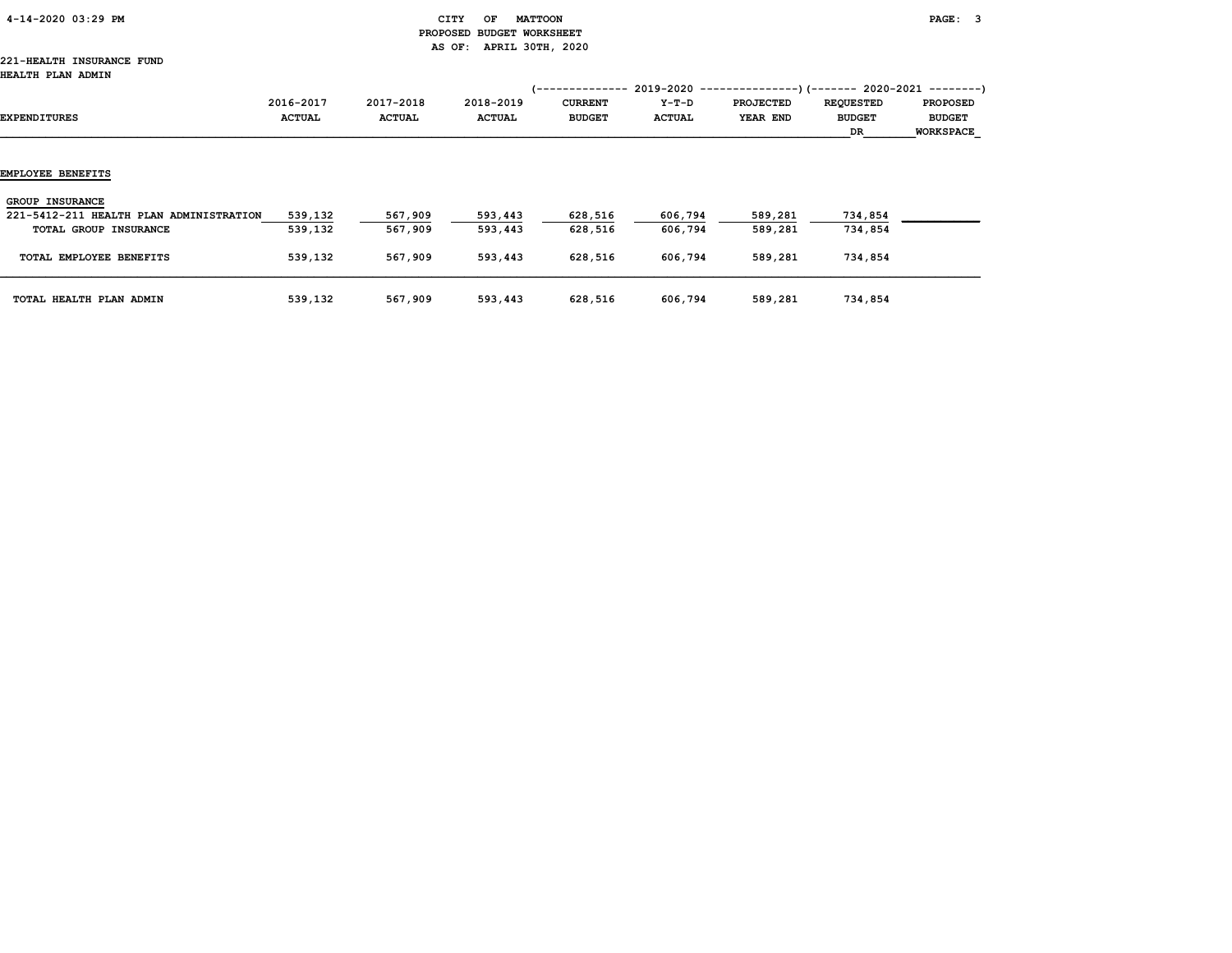| 4-14-2020 03:29 PM |  |
|--------------------|--|
|                    |  |

# CITY OF MATTOON **PAGE:** 3 PROPOSED BUDGET WORKSHEET AS OF: APRIL 30TH, 2020

#### 221-HEALTH INSURANCE FUND HEALTH PLAN ADMIN

|                                                                   |                            |                            |                            | 1 - - - - - - - - - - - - - -   |                        |                              | $2019-2020$ ----------------)(------- 2020-2021 --------) |                                                      |
|-------------------------------------------------------------------|----------------------------|----------------------------|----------------------------|---------------------------------|------------------------|------------------------------|-----------------------------------------------------------|------------------------------------------------------|
| EXPENDITURES                                                      | 2016-2017<br><b>ACTUAL</b> | 2017-2018<br><b>ACTUAL</b> | 2018-2019<br><b>ACTUAL</b> | <b>CURRENT</b><br><b>BUDGET</b> | Y-T-D<br><b>ACTUAL</b> | <b>PROJECTED</b><br>YEAR END | <b>REQUESTED</b><br><b>BUDGET</b><br>DR                   | <b>PROPOSED</b><br><b>BUDGET</b><br><b>WORKSPACE</b> |
| EMPLOYEE BENEFITS                                                 |                            |                            |                            |                                 |                        |                              |                                                           |                                                      |
| <b>GROUP INSURANCE</b><br>221-5412-211 HEALTH PLAN ADMINISTRATION | 539,132                    | 567,909                    | 593,443                    | 628,516                         | 606,794                | 589,281                      | 734,854                                                   |                                                      |
| TOTAL GROUP INSURANCE                                             | 539,132                    | 567,909                    | 593,443                    | 628,516                         | 606,794                | 589,281                      | 734,854                                                   |                                                      |
| TOTAL EMPLOYEE BENEFITS                                           | 539,132                    | 567,909                    | 593,443                    | 628,516                         | 606,794                | 589,281                      | 734,854                                                   |                                                      |
| TOTAL HEALTH PLAN ADMIN                                           | 539,132                    | 567,909                    | 593,443                    | 628,516                         | 606,794                | 589,281                      | 734,854                                                   |                                                      |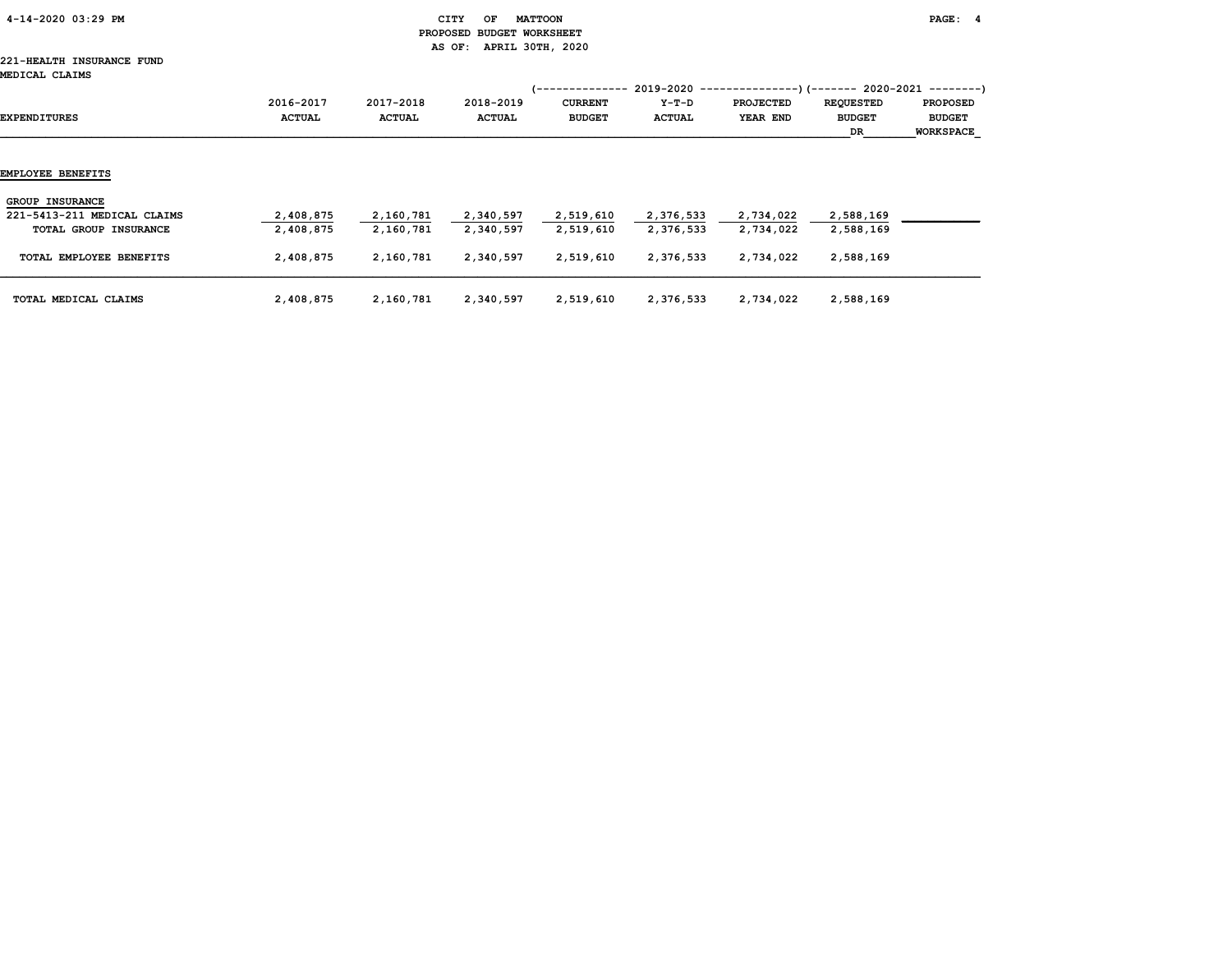| 4-14-2020 03:29 PM |  |
|--------------------|--|
|                    |  |

# CITY OF MATTOON **PAGE:** 4 PROPOSED BUDGET WORKSHEET AS OF: APRIL 30TH, 2020

# 221-HEALTH INSURANCE FUND

| MEDICAL CLAIMS              |                            |                            |                            | (--------------                 |                          | $2019-2020$ ----------------)(------- 2020-2021 --------) |                                   |                                  |
|-----------------------------|----------------------------|----------------------------|----------------------------|---------------------------------|--------------------------|-----------------------------------------------------------|-----------------------------------|----------------------------------|
| EXPENDITURES                | 2016-2017<br><b>ACTUAL</b> | 2017-2018<br><b>ACTUAL</b> | 2018-2019<br><b>ACTUAL</b> | <b>CURRENT</b><br><b>BUDGET</b> | $Y-T-D$<br><b>ACTUAL</b> | <b>PROJECTED</b><br>YEAR END                              | <b>REQUESTED</b><br><b>BUDGET</b> | <b>PROPOSED</b><br><b>BUDGET</b> |
|                             |                            |                            |                            |                                 |                          |                                                           | DR                                | <b>WORKSPACE</b>                 |
| EMPLOYEE BENEFITS           |                            |                            |                            |                                 |                          |                                                           |                                   |                                  |
| <b>GROUP INSURANCE</b>      |                            |                            |                            |                                 |                          |                                                           |                                   |                                  |
| 221-5413-211 MEDICAL CLAIMS | 2,408,875                  | 2,160,781                  | 2,340,597                  | 2,519,610                       | 2,376,533                | 2,734,022                                                 | 2,588,169                         |                                  |
| TOTAL GROUP INSURANCE       | 2,408,875                  | 2,160,781                  | 2,340,597                  | 2,519,610                       | 2,376,533                | 2,734,022                                                 | 2,588,169                         |                                  |
| TOTAL EMPLOYEE BENEFITS     | 2,408,875                  | 2,160,781                  | 2,340,597                  | 2,519,610                       | 2,376,533                | 2,734,022                                                 | 2,588,169                         |                                  |
| TOTAL MEDICAL CLAIMS        | 2,408,875                  | 2,160,781                  | 2,340,597                  | 2,519,610                       | 2,376,533                | 2,734,022                                                 | 2,588,169                         |                                  |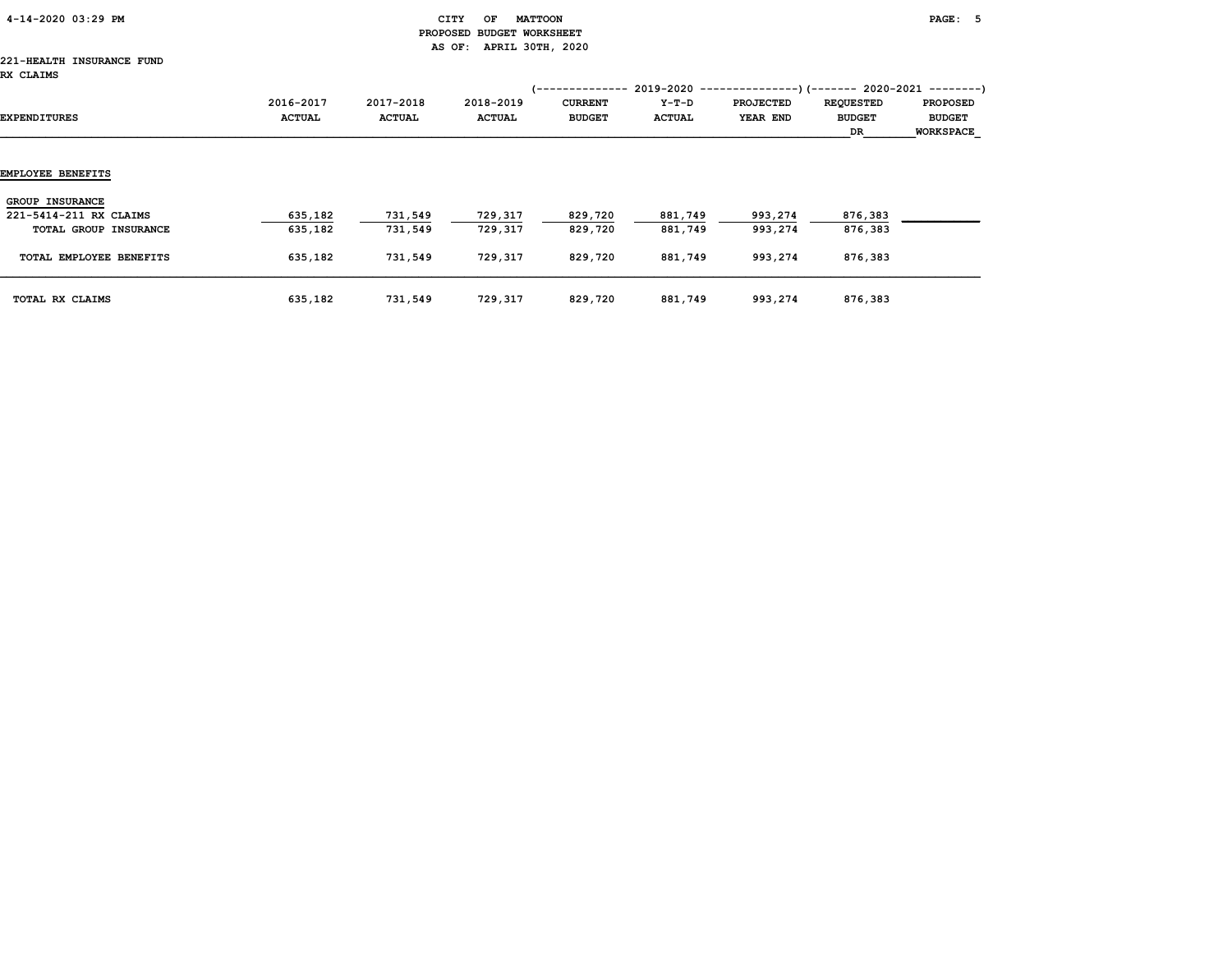| 4-14-2020 03:29 PM |  |
|--------------------|--|
|                    |  |

# $\begin{array}{ccc} \texttt{CITY} & \texttt{OF} & \texttt{MATTOON} \end{array}$  PROPOSED BUDGET WORKSHEET AS OF: APRIL 30TH, 2020

#### 221-HEALTH INSURANCE FUND RX CLAIMS

| שנת השני מאנ            |                            |                            |                            | <i>(--------------</i>          |                   | $2019-2020$ ----------------)(------- 2020-2021 --------) |                                         |                                                      |
|-------------------------|----------------------------|----------------------------|----------------------------|---------------------------------|-------------------|-----------------------------------------------------------|-----------------------------------------|------------------------------------------------------|
| EXPENDITURES            | 2016-2017<br><b>ACTUAL</b> | 2017-2018<br><b>ACTUAL</b> | 2018-2019<br><b>ACTUAL</b> | <b>CURRENT</b><br><b>BUDGET</b> | $Y-T-D$<br>ACTUAL | <b>PROJECTED</b><br>YEAR END                              | <b>REQUESTED</b><br><b>BUDGET</b><br>DR | <b>PROPOSED</b><br><b>BUDGET</b><br><b>WORKSPACE</b> |
| EMPLOYEE BENEFITS       |                            |                            |                            |                                 |                   |                                                           |                                         |                                                      |
| <b>GROUP INSURANCE</b>  |                            |                            |                            |                                 |                   |                                                           |                                         |                                                      |
| 221-5414-211 RX CLAIMS  | 635,182                    | 731,549                    | 729,317                    | 829,720                         | 881,749           | 993,274                                                   | 876,383                                 |                                                      |
| TOTAL GROUP INSURANCE   | 635,182                    | 731,549                    | 729,317                    | 829,720                         | 881,749           | 993,274                                                   | 876,383                                 |                                                      |
| TOTAL EMPLOYEE BENEFITS | 635,182                    | 731,549                    | 729,317                    | 829,720                         | 881,749           | 993,274                                                   | 876,383                                 |                                                      |
| TOTAL RX CLAIMS         | 635,182                    | 731,549                    | 729,317                    | 829,720                         | 881,749           | 993,274                                                   | 876,383                                 |                                                      |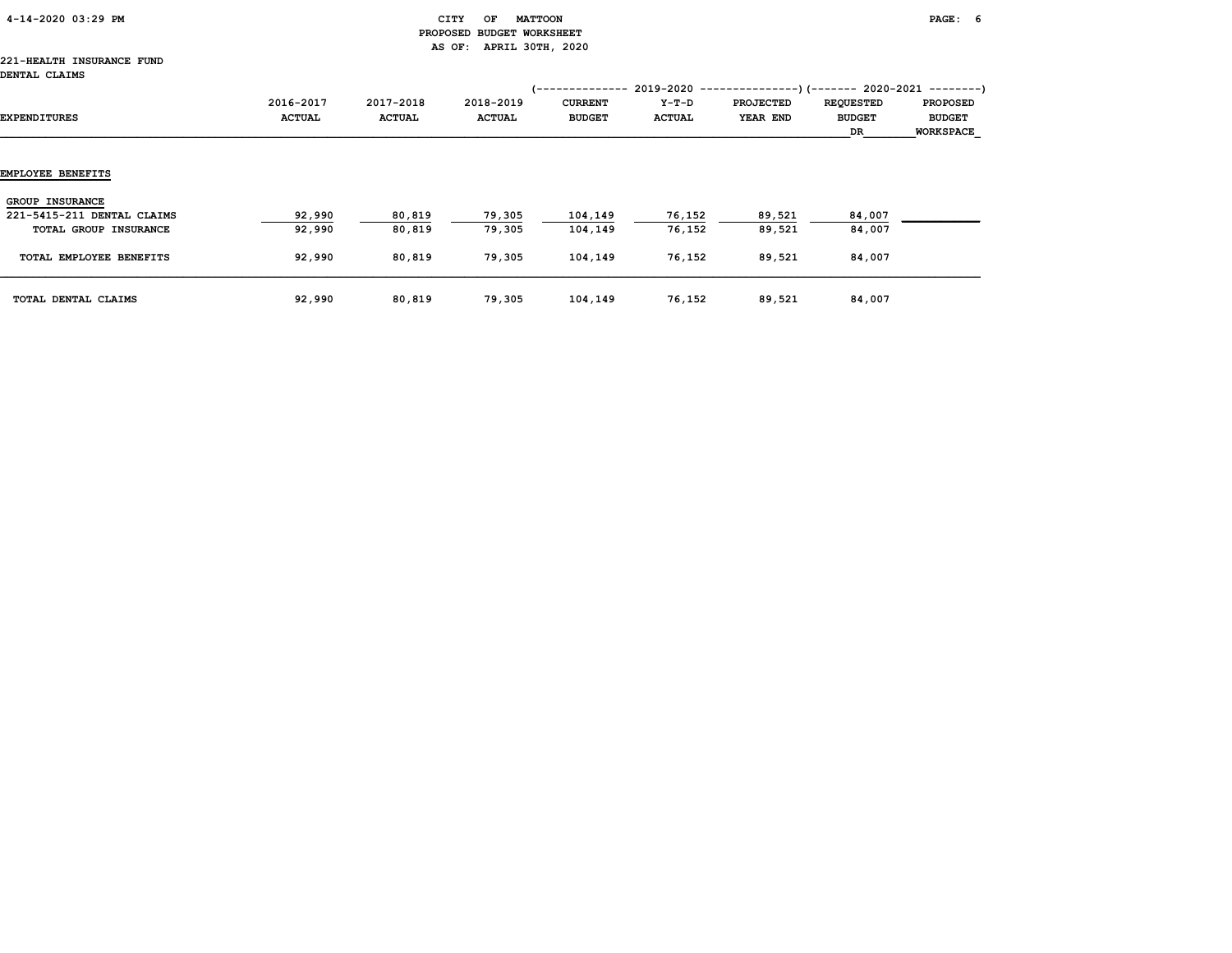| 4-14-2020 03:29 PM |  |
|--------------------|--|
|                    |  |

# CITY OF MATTOON **PAGE:** 6 PROPOSED BUDGET WORKSHEET AS OF: APRIL 30TH, 2020

#### 221-HEALTH INSURANCE FUND DENTAL CLAIMS

| סמונתע עתושע               |                            |                            |                            |                                                                  |                        |                              |                                                                                                      |                                                      |
|----------------------------|----------------------------|----------------------------|----------------------------|------------------------------------------------------------------|------------------------|------------------------------|------------------------------------------------------------------------------------------------------|------------------------------------------------------|
| EXPENDITURES               | 2016-2017<br><b>ACTUAL</b> | 2017-2018<br><b>ACTUAL</b> | 2018-2019<br><b>ACTUAL</b> | 1 - - - - - - - - - - - - - -<br><b>CURRENT</b><br><b>BUDGET</b> | Y-T-D<br><b>ACTUAL</b> | <b>PROJECTED</b><br>YEAR END | $2019-2020$ ----------------)(------- 2020-2021 --------)<br><b>REQUESTED</b><br><b>BUDGET</b><br>DR | <b>PROPOSED</b><br><b>BUDGET</b><br><b>WORKSPACE</b> |
| EMPLOYEE BENEFITS          |                            |                            |                            |                                                                  |                        |                              |                                                                                                      |                                                      |
|                            |                            |                            |                            |                                                                  |                        |                              |                                                                                                      |                                                      |
| <b>GROUP INSURANCE</b>     |                            |                            |                            |                                                                  |                        |                              |                                                                                                      |                                                      |
| 221-5415-211 DENTAL CLAIMS | 92,990                     | 80,819                     | 79,305                     | 104,149                                                          | 76,152                 | 89,521                       | 84,007                                                                                               |                                                      |
| TOTAL GROUP INSURANCE      | 92,990                     | 80,819                     | 79,305                     | 104,149                                                          | 76,152                 | 89,521                       | 84,007                                                                                               |                                                      |
| TOTAL EMPLOYEE BENEFITS    | 92,990                     | 80,819                     | 79,305                     | 104,149                                                          | 76,152                 | 89,521                       | 84,007                                                                                               |                                                      |
| TOTAL DENTAL CLAIMS        | 92,990                     | 80,819                     | 79,305                     | 104,149                                                          | 76,152                 | 89,521                       | 84,007                                                                                               |                                                      |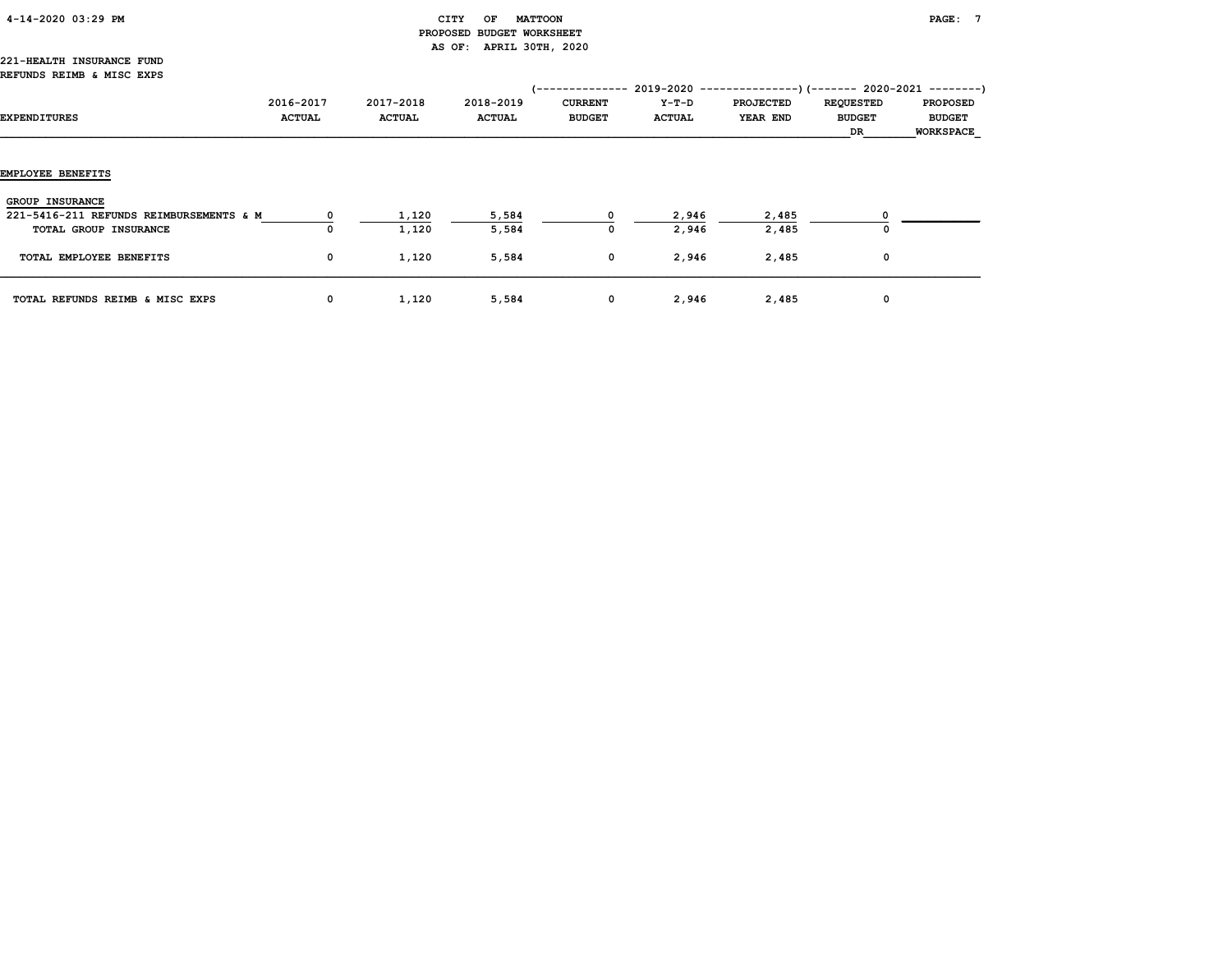| 4-14-2020 03:29 PM |  |
|--------------------|--|
|                    |  |

# $\begin{array}{ccc} \texttt{CITY} & \texttt{OF} & \texttt{MATTOON} \end{array}$  PROPOSED BUDGET WORKSHEET AS OF: APRIL 30TH, 2020

#### 221-HEALTH INSURANCE FUND REFUNDS REIMB & MISC EXPS

| EXPENDITURES                                                      | 2016-2017<br><b>ACTUAL</b> | 2017-2018<br><b>ACTUAL</b> | 2018-2019<br><b>ACTUAL</b> | <b>CURRENT</b><br><b>BUDGET</b> | Y-T-D<br><b>ACTUAL</b> | (-------------- 2019-2020 ----------------) (------- 2020-2021 --------)<br><b>PROJECTED</b><br>YEAR END | <b>REQUESTED</b><br><b>BUDGET</b><br>DR | <b>PROPOSED</b><br><b>BUDGET</b><br><b>WORKSPACE</b> |
|-------------------------------------------------------------------|----------------------------|----------------------------|----------------------------|---------------------------------|------------------------|----------------------------------------------------------------------------------------------------------|-----------------------------------------|------------------------------------------------------|
| <b>EMPLOYEE BENEFITS</b>                                          |                            |                            |                            |                                 |                        |                                                                                                          |                                         |                                                      |
| <b>GROUP INSURANCE</b><br>221-5416-211 REFUNDS REIMBURSEMENTS & M |                            | 1,120                      | 5,584                      |                                 | 2,946                  | 2,485                                                                                                    |                                         |                                                      |
| TOTAL GROUP INSURANCE                                             | 0                          | 1,120                      | 5,584                      | 0                               | 2,946                  | 2,485                                                                                                    | 0                                       |                                                      |
| TOTAL EMPLOYEE BENEFITS                                           | $\mathbf{o}$               | 1,120                      | 5,584                      | $\mathbf 0$                     | 2,946                  | 2,485                                                                                                    | 0                                       |                                                      |
| TOTAL REFUNDS REIMB & MISC EXPS                                   | 0                          | 1,120                      | 5,584                      | 0                               | 2,946                  | 2,485                                                                                                    | 0                                       |                                                      |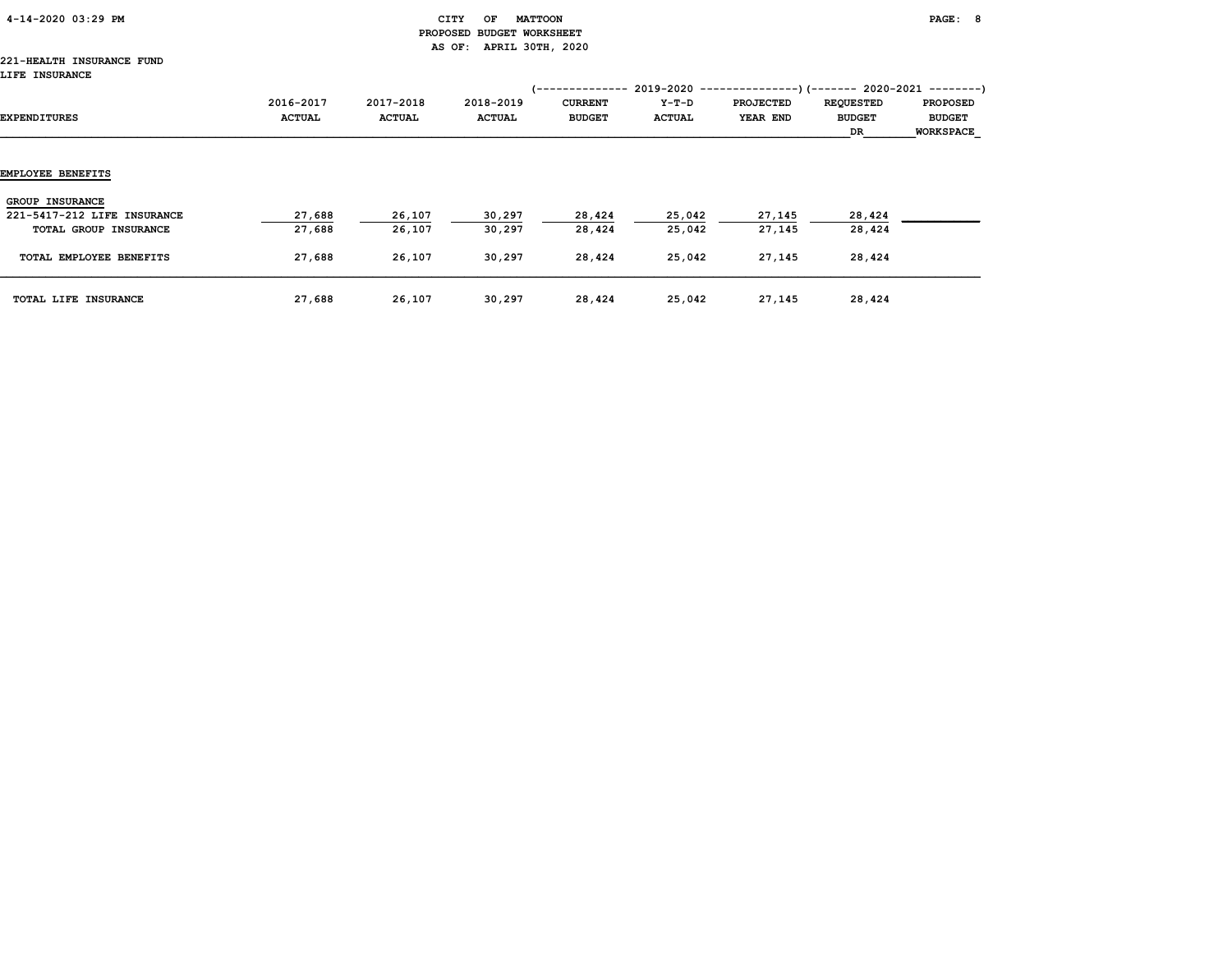| 4-14-2020 03:29 PM |  |
|--------------------|--|
|                    |  |

# $\begin{array}{ccc} \texttt{CITY} & \texttt{OF} & \texttt{MATTOON} \end{array}$  PROPOSED BUDGET WORKSHEET AS OF: APRIL 30TH, 2020

#### 221-HEALTH INSURANCE FUND LIFE INSURANCE

| EXPENDITURES                | 2016-2017<br><b>ACTUAL</b> | 2017-2018<br><b>ACTUAL</b> | 2018-2019<br><b>ACTUAL</b> | -----------<br><b>CURRENT</b><br><b>BUDGET</b> | Y-T-D<br><b>ACTUAL</b> | $2019-2020$ ----------------) (------- 2020-2021 --------)<br><b>PROJECTED</b><br>YEAR END | <b>REQUESTED</b><br><b>BUDGET</b><br>DR | <b>PROPOSED</b><br><b>BUDGET</b><br>WORKSPACE |
|-----------------------------|----------------------------|----------------------------|----------------------------|------------------------------------------------|------------------------|--------------------------------------------------------------------------------------------|-----------------------------------------|-----------------------------------------------|
| EMPLOYEE BENEFITS           |                            |                            |                            |                                                |                        |                                                                                            |                                         |                                               |
| <b>GROUP INSURANCE</b>      |                            |                            |                            |                                                |                        |                                                                                            |                                         |                                               |
| 221-5417-212 LIFE INSURANCE | 27,688                     | 26,107                     | 30,297                     | 28,424                                         | 25,042                 | 27,145                                                                                     | 28,424                                  |                                               |
| TOTAL GROUP INSURANCE       | 27,688                     | 26,107                     | 30,297                     | 28,424                                         | 25,042                 | 27,145                                                                                     | 28,424                                  |                                               |
| TOTAL EMPLOYEE BENEFITS     | 27,688                     | 26,107                     | 30,297                     | 28,424                                         | 25,042                 | 27,145                                                                                     | 28,424                                  |                                               |
| TOTAL LIFE INSURANCE        | 27,688                     | 26,107                     | 30,297                     | 28,424                                         | 25,042                 | 27,145                                                                                     | 28,424                                  |                                               |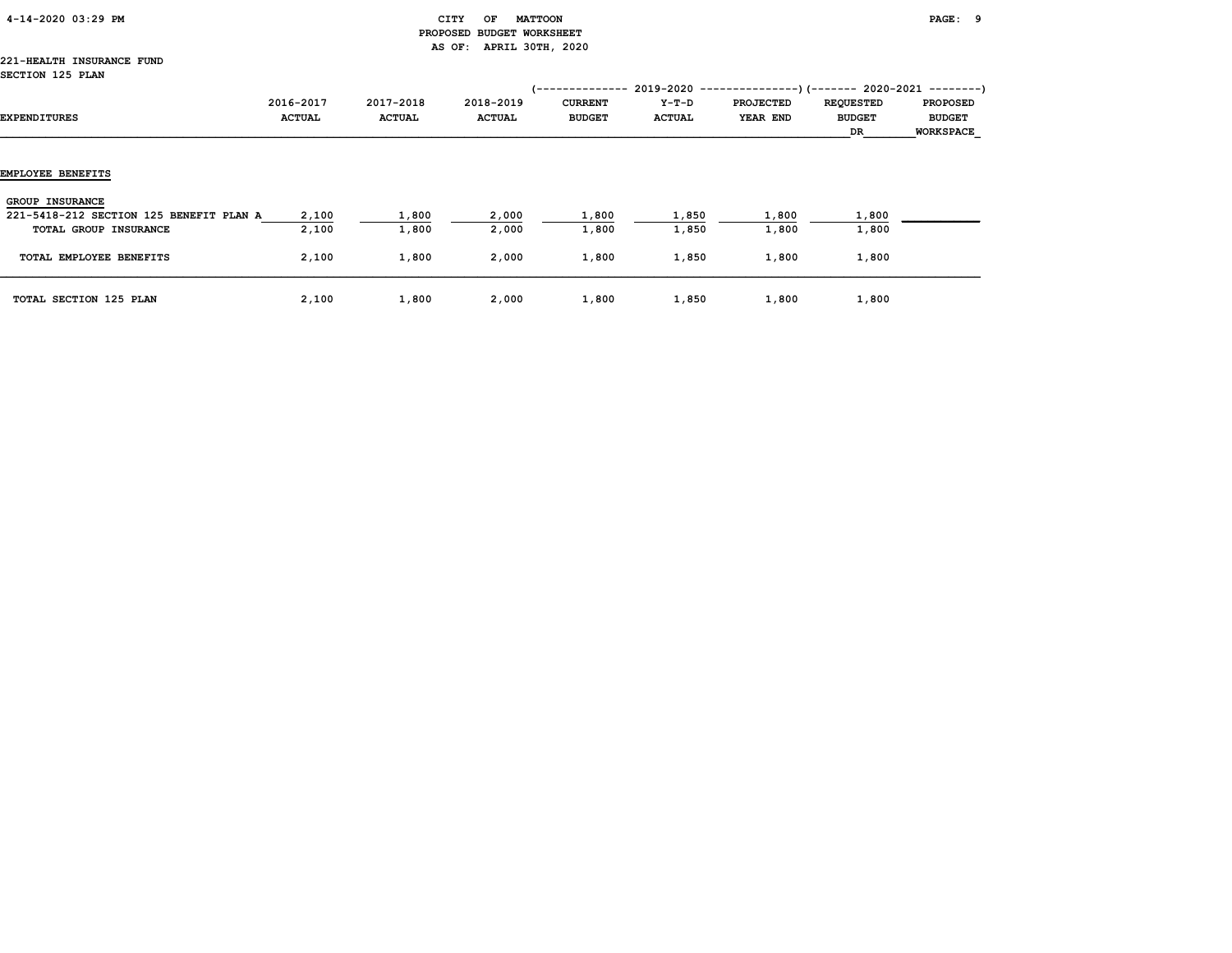| 4-14-2020 03:29 PM |  |  |  |  |
|--------------------|--|--|--|--|
|--------------------|--|--|--|--|

# $\begin{array}{ccc} \text{CITY} & \text{OF} & \text{MATTOON} \end{array}$  PROPOSED BUDGET WORKSHEET AS OF: APRIL 30TH, 2020

#### 221-HEALTH INSURANCE FUND SECTION 125 PLAN

| OGGILON 120 FANN                                                                           |                            |                            |                            | 1 - - - - - - - - - - - - - -   |                        | 2019-2020 -----------------) (-------- 2020-2021 ---------) |                                         |                                                      |
|--------------------------------------------------------------------------------------------|----------------------------|----------------------------|----------------------------|---------------------------------|------------------------|-------------------------------------------------------------|-----------------------------------------|------------------------------------------------------|
| EXPENDITURES                                                                               | 2016-2017<br><b>ACTUAL</b> | 2017-2018<br><b>ACTUAL</b> | 2018-2019<br><b>ACTUAL</b> | <b>CURRENT</b><br><b>BUDGET</b> | Y-T-D<br><b>ACTUAL</b> | <b>PROJECTED</b><br>YEAR END                                | <b>REQUESTED</b><br><b>BUDGET</b><br>DR | <b>PROPOSED</b><br><b>BUDGET</b><br><b>WORKSPACE</b> |
| EMPLOYEE BENEFITS                                                                          |                            |                            |                            |                                 |                        |                                                             |                                         |                                                      |
| <b>GROUP INSURANCE</b><br>221-5418-212 SECTION 125 BENEFIT PLAN A<br>TOTAL GROUP INSURANCE | 2,100<br>2,100             | 1,800<br>1,800             | 2,000<br>2,000             | 1,800<br>1,800                  | 1,850<br>1,850         | 1,800<br>1,800                                              | 1,800<br>1,800                          |                                                      |
| TOTAL EMPLOYEE BENEFITS                                                                    | 2,100                      | 1,800                      | 2,000                      | 1,800                           | 1,850                  | 1,800                                                       | 1,800                                   |                                                      |
| TOTAL SECTION 125 PLAN                                                                     | 2,100                      | 1,800                      | 2,000                      | 1,800                           | 1,850                  | 1,800                                                       | 1,800                                   |                                                      |